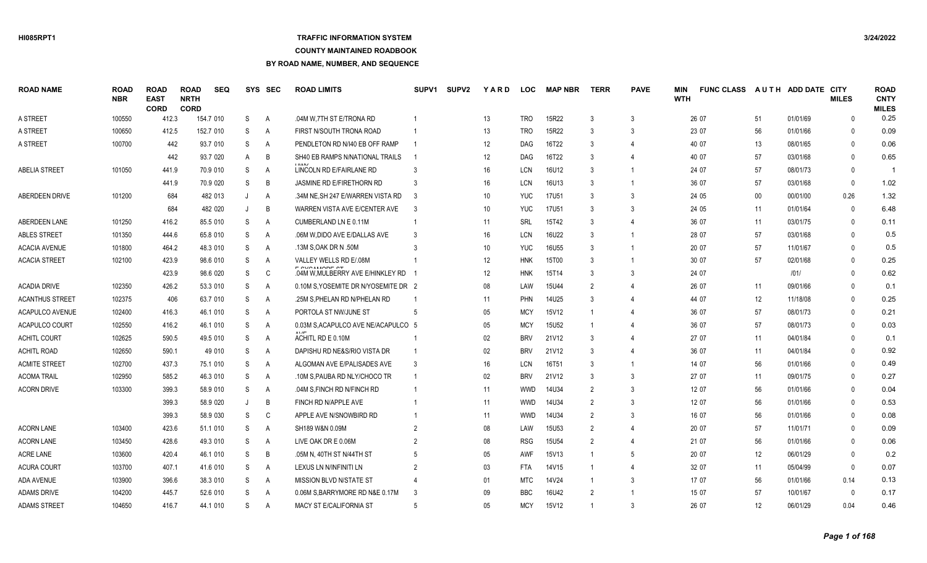# **TRAFFIC INFORMATION SYSTEM**

### **COUNTY MAINTAINED ROADBOOK**

| <b>ROAD NAME</b>       | <b>ROAD</b><br><b>NBR</b> | <b>ROAD</b><br><b>EAST</b><br><b>CORD</b> | <b>ROAD</b><br><b>NRTH</b><br><b>CORD</b> | <b>SEQ</b> |    | SYS SEC        | <b>ROAD LIMITS</b>                                | SUPV1          | <b>SUPV2</b> | YARD            | <b>LOC</b> | <b>MAP NBR</b>    | <b>TERR</b>    | <b>PAVE</b>           | MIN<br><b>WTH</b> | <b>FUNC CLASS</b> |                   | AUTH ADD DATE CITY | <b>MILES</b> | <b>ROAD</b><br><b>CNTY</b><br><b>MILES</b> |
|------------------------|---------------------------|-------------------------------------------|-------------------------------------------|------------|----|----------------|---------------------------------------------------|----------------|--------------|-----------------|------------|-------------------|----------------|-----------------------|-------------------|-------------------|-------------------|--------------------|--------------|--------------------------------------------|
| A STREET               | 100550                    | 412.3                                     |                                           | 154.7 010  | S  | A              | .04M W.7TH ST E/TRONA RD                          |                |              | 13              | <b>TRO</b> | 15R22             | 3              | 3                     |                   | 26 07             | 51                | 01/01/69           | <sup>0</sup> | 0.25                                       |
| A STREET               | 100650                    | 412.5                                     |                                           | 152.7 010  | S  | A              | FIRST N/SOUTH TRONA ROAD                          | - 1            |              | 13              | <b>TRO</b> | 15R22             | 3              | 3                     |                   | 23 07             | 56                | 01/01/66           | 0            | 0.09                                       |
| A STREET               | 100700                    | 442                                       |                                           | 93.7 010   | S  | A              | PENDLETON RD N/I40 EB OFF RAMP                    |                |              | 12              | DAG        | 16T22             | 3              | $\overline{4}$        |                   | 40 07             | 13                | 08/01/65           | <sup>0</sup> | 0.06                                       |
|                        |                           | 442                                       |                                           | 93.7 020   | A  | B              | SH40 EB RAMPS N/NATIONAL TRAILS                   |                |              | 12              | DAG        | 16T22             | 3              | $\boldsymbol{\Delta}$ |                   | 40 07             | 57                | 03/01/68           | $\Omega$     | 0.65                                       |
| ABELIA STREET          | 101050                    | 441.9                                     |                                           | 70.9 010   | S  | A              | LINCOLN RD E/FAIRLANE RD                          | 3              |              | 16              | <b>LCN</b> | 16U12             | 3              |                       |                   | 24 07             | 57                | 08/01/73           | $\Omega$     |                                            |
|                        |                           | 441.9                                     |                                           | 70.9 020   | S  | B              | <b>JASMINE RD E/FIRETHORN RD</b>                  | -3             |              | 16              | <b>LCN</b> | 16U13             | 3              |                       |                   | 36 07             | 57                | 03/01/68           | $\Omega$     | 1.02                                       |
| ABERDEEN DRIVE         | 101200                    | 684                                       |                                           | 482 013    |    | $\overline{A}$ | .34M NE.SH 247 E/WARREN VISTA RD                  | $\mathbf{R}$   |              | 10 <sup>°</sup> | <b>YUC</b> | <b>17U51</b>      | 3              | 3                     |                   | 24 05             | $00\,$            | 00/01/00           | 0.26         | 1.32                                       |
|                        |                           | 684                                       |                                           | 482 020    |    | B              | WARREN VISTA AVE E/CENTER AVE                     | -3             |              | 10              | <b>YUC</b> | <b>17U51</b>      | 3              | 3                     |                   | 24 05             | 11                | 01/01/64           | $\Omega$     | 6.48                                       |
| ABERDEEN LANE          | 101250                    | 416.2                                     |                                           | 85.5 010   | S  | A              | CUMBERLAND LN E 0.11M                             |                |              | 11              | <b>SRL</b> | 15T42             | 3              | $\overline{4}$        |                   | 36 07             | 11                | 03/01/75           | 0            | 0.11                                       |
| ABLES STREET           | 101350                    | 444.6                                     |                                           | 65.8 010   | S  | A              | .06M W,DIDO AVE E/DALLAS AVE                      | -3             |              | 16              | <b>LCN</b> | 16U22             | 3              |                       |                   | 28 07             | 57                | 03/01/68           | <sup>0</sup> | 0.5                                        |
| <b>ACACIA AVENUE</b>   | 101800                    | 464.2                                     |                                           | 48.3 010   | S  | A              | 13M S.OAK DR N .50M                               |                |              | 10              | <b>YUC</b> | 16U55             | 3              |                       |                   | 20 07             | 57                | 11/01/67           | <sup>0</sup> | 0.5                                        |
| ACACIA STREET          | 102100                    | 423.9                                     |                                           | 98.6 010   | S  | A              | VALLEY WELLS RD E/.08M                            |                |              | 12              | <b>HNK</b> | 15T00             | 3              |                       |                   | 30 07             | 57                | 02/01/68           | $\Omega$     | 0.25                                       |
|                        |                           | 423.9                                     |                                           | 98.6 020   | S  | C              | E OVOMMODE OT<br>.04M W.MULBERRY AVE E/HINKLEY RD |                |              | 12              | <b>HNK</b> | 15T14             | 3              | 3                     |                   | 24 07             |                   | 1011               | <sup>0</sup> | 0.62                                       |
| ACADIA DRIVE           | 102350                    | 426.2                                     |                                           | 53.3 010   | S  | $\overline{A}$ | 0.10M S, YOSEMITE DR N/YOSEMITE DR 2              |                |              | 08              | LAW        | <b>15U44</b>      | $\overline{2}$ | Δ                     |                   | 26 07             | 11                | 09/01/66           | $\Omega$     | 0.1                                        |
| <b>ACANTHUS STREET</b> | 102375                    | 406                                       |                                           | 63.7 010   | S  | $\overline{A}$ | .25M S.PHELAN RD N/PHELAN RD                      |                |              | 11              | <b>PHN</b> | 14U25             | 3              |                       |                   | 44 07             | 12                | 11/18/08           | $\Omega$     | 0.25                                       |
| ACAPULCO AVENUE        | 102400                    | 416.3                                     |                                           | 46.1 010   | S  | A              | PORTOLA ST NW/JUNE ST                             | -5             |              | 05              | <b>MCY</b> | 15V12             |                | $\Delta$              |                   | 36 07             | 57                | 08/01/73           | $\Omega$     | 0.21                                       |
| ACAPULCO COURT         | 102550                    | 416.2                                     |                                           | 46.1 010   | S  | $\overline{A}$ | 0.03M S, ACAPULCO AVE NE/ACAPULCO 5               |                |              | 05              | <b>MCY</b> | 15U <sub>52</sub> | -1             | $\boldsymbol{\Delta}$ |                   | 36 07             | 57                | 08/01/73           | $\Omega$     | 0.03                                       |
| ACHITL COURT           | 102625                    | 590.5                                     |                                           | 49.5 010   | S  | A              | <b>A 1 / F</b><br>ACHITL RD E 0.10M               |                |              | 02              | <b>BRV</b> | 21V12             | 3              | $\Delta$              |                   | 27 07             | 11                | 04/01/84           | $\Omega$     | 0.1                                        |
| ACHITL ROAD            | 102650                    | 590.1                                     |                                           | 49 010     | S  | A              | DAPISHU RD NE&S/RIO VISTA DR                      |                |              | 02              | <b>BRV</b> | 21V12             | 3              | $\overline{4}$        |                   | 36 07             | 11                | 04/01/84           | $\Omega$     | 0.92                                       |
| ACMITE STREET          | 102700                    | 437.3                                     |                                           | 75.1 010   | S  | $\overline{A}$ | ALGOMAN AVE E/PALISADES AVE                       | 3              |              | 16              | <b>LCN</b> | 16T51             | 3              |                       |                   | 14 07             | 56                | 01/01/66           | $\Omega$     | 0.49                                       |
| <b>ACOMA TRAIL</b>     | 102950                    | 585.2                                     |                                           | 46.3 010   | S  | $\overline{A}$ | .10M S.PAUBA RD NLY/CHOCO TR                      |                |              | 02              | <b>BRV</b> | 21V12             | 3              | 3                     |                   | 27 07             | 11                | 09/01/75           | $\Omega$     | 0.27                                       |
| ACORN DRIVE            | 103300                    | 399.3                                     |                                           | 58.9 010   | S  | A              | .04M S.FINCH RD N/FINCH RD                        |                |              | 11              | <b>WWD</b> | 14U34             | $\overline{2}$ | 3                     |                   | 12 07             | 56                | 01/01/66           | $\Omega$     | 0.04                                       |
|                        |                           | 399.3                                     |                                           | 58.9 020   |    | B              | FINCH RD N/APPLE AVE                              |                |              | 11              | <b>WWD</b> | 14U34             | $\overline{2}$ | 3                     |                   | 12 07             | 56                | 01/01/66           | $\Omega$     | 0.53                                       |
|                        |                           | 399.3                                     |                                           | 58.9 030   | S  | C              | APPLE AVE N/SNOWBIRD RD                           |                |              | 11              | <b>WWD</b> | 14U34             | $\mathcal{P}$  | 3                     |                   | 16 07             | 56                | 01/01/66           | $\Omega$     | 0.08                                       |
| <b>ACORN LANE</b>      | 103400                    | 423.6                                     |                                           | 51.1 010   | S  | A              | SH189 W&N 0.09M                                   | $\overline{2}$ |              | 08              | LAW        | 15U <sub>53</sub> | $\overline{2}$ | $\overline{4}$        |                   | 20 07             | 57                | 11/01/71           | $\Omega$     | 0.09                                       |
| <b>ACORN LANE</b>      | 103450                    | 428.6                                     |                                           | 49.3 010   | S  | A              | LIVE OAK DR E 0.06M                               | $\mathcal{P}$  |              | 08              | <b>RSG</b> | <b>15U54</b>      | $\overline{2}$ | $\boldsymbol{\Delta}$ |                   | 21 07             | 56                | 01/01/66           | $\Omega$     | 0.06                                       |
| ACRE LANE              | 103600                    | 420.4                                     |                                           | 46.1 010   | S  | B              | .05M N. 40TH ST N/44TH ST                         | .5             |              | 05              | <b>AWF</b> | 15V13             | $\overline{1}$ | 5                     |                   | 20 07             | $12 \overline{ }$ | 06/01/29           | $\Omega$     | 0.2                                        |
| ACURA COURT            | 103700                    | 407.1                                     |                                           | 41.6 010   | S  | $\overline{A}$ | LEXUS LN N/INFINITI LN                            | $\mathcal{P}$  |              | 03              | <b>FTA</b> | 14V15             |                | 4                     |                   | 32 07             | 11                | 05/04/99           | $\Omega$     | 0.07                                       |
| ADA AVENUE             | 103900                    | 396.6                                     |                                           | 38.3 010   | S  | $\overline{A}$ | <b>MISSION BLVD N/STATE ST</b>                    | 4              |              | 01              | <b>MTC</b> | 14V24             | -1             | 3                     |                   | 17 07             | 56                | 01/01/66           | 0.14         | 0.13                                       |
| <b>ADAMS DRIVE</b>     | 104200                    | 445.7                                     |                                           | 52.6 010   | S  | $\overline{A}$ | 0.06M S.BARRYMORE RD N&E 0.17M                    | -3             |              | 09              | <b>BBC</b> | 16U42             | $\overline{2}$ |                       |                   | 15 07             | 57                | 10/01/67           | $\Omega$     | 0.17                                       |
| ADAMS STREET           | 104650                    | 416.7                                     |                                           | 44.1 010   | S. | $\overline{A}$ | <b>MACY ST E/CALIFORNIA ST</b>                    |                |              | 05              | <b>MCY</b> | 15V12             |                | 3                     |                   | 26 07             | 12                | 06/01/29           | 0.04         | 0.46                                       |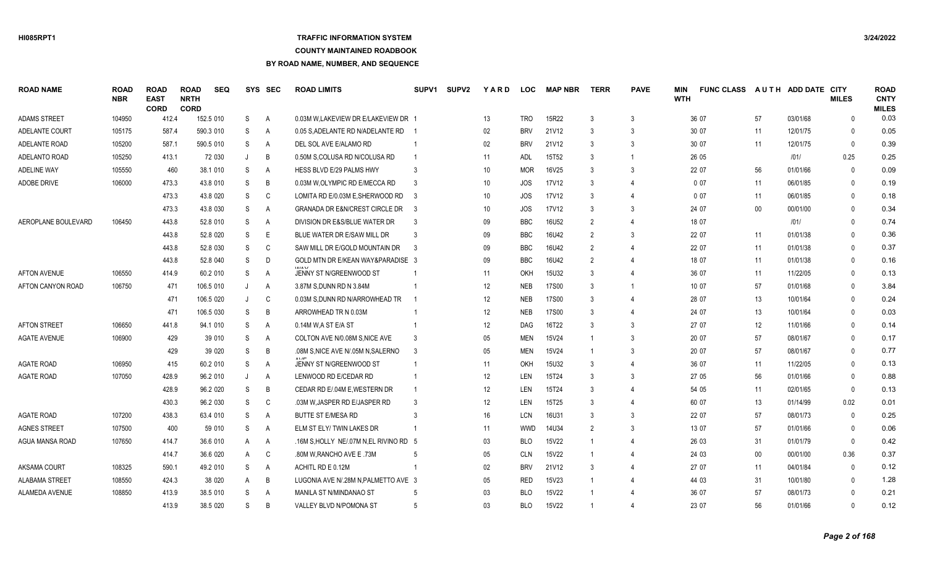# **TRAFFIC INFORMATION SYSTEM**

**COUNTY MAINTAINED ROADBOOK**

| <b>ROAD NAME</b>    | <b>ROAD</b><br><b>NBR</b> | <b>ROAD</b><br><b>EAST</b><br><b>CORD</b> | <b>ROAD</b><br><b>NRTH</b><br><b>CORD</b> | <b>SEQ</b> |         | SYS SEC        | <b>ROAD LIMITS</b>                             | SUPV <sub>1</sub> | <b>SUPV2</b> | YARD            | <b>LOC</b> | <b>MAP NBR</b> | <b>TERR</b>    | <b>PAVE</b>    | MIN<br><b>WTH</b> | <b>FUNC CLASS</b> |        | AUTH ADD DATE CITY | <b>MILES</b> | <b>ROAD</b><br><b>CNTY</b><br><b>MILES</b> |
|---------------------|---------------------------|-------------------------------------------|-------------------------------------------|------------|---------|----------------|------------------------------------------------|-------------------|--------------|-----------------|------------|----------------|----------------|----------------|-------------------|-------------------|--------|--------------------|--------------|--------------------------------------------|
| <b>ADAMS STREET</b> | 104950                    | 412.4                                     |                                           | 152.5 010  | S       | A              | 0.03M W.LAKEVIEW DR E/LAKEVIEW DR 1            |                   |              | 13              | <b>TRO</b> | 15R22          | 3              | 3              |                   | 36 07             | 57     | 03/01/68           | $\Omega$     | 0.03                                       |
| ADELANTE COURT      | 105175                    | 587.4                                     |                                           | 590.3 010  | S       | A              | 0.05 S.ADELANTE RD N/ADELANTE RD               |                   |              | 02              | <b>BRV</b> | 21V12          | 3              | 3              |                   | 30 07             | 11     | 12/01/75           | $\Omega$     | 0.05                                       |
| ADELANTE ROAD       | 105200                    | 587.1                                     |                                           | 590.5 010  | S       | A              | DEL SOL AVE E/ALAMO RD                         |                   |              | 02              | <b>BRV</b> | 21V12          | 3              | 3              |                   | 30 07             | 11     | 12/01/75           | $\mathbf{0}$ | 0.39                                       |
| ADELANTO ROAD       | 105250                    | 413.1                                     |                                           | 72 030     | $\cdot$ | B              | 0.50M S.COLUSA RD N/COLUSA RD                  |                   |              | 11              | <b>ADL</b> | 15T52          | 3              | 1              |                   | 26 05             |        | 1011               | 0.25         | 0.25                                       |
| ADELINE WAY         | 105550                    | 460                                       |                                           | 38.1 010   | S       | $\overline{A}$ | <b>HESS BLVD E/29 PALMS HWY</b>                | 3                 |              | 10              | <b>MOR</b> | 16V25          | 3              | 3              |                   | 22 07             | 56     | 01/01/66           | $\mathbf{0}$ | 0.09                                       |
| ADOBE DRIVE         | 106000                    | 473.3                                     |                                           | 43.8 010   | S       | B              | 0.03M W.OLYMPIC RD E/MECCA RD                  | 3                 |              | 10              | JOS        | 17V12          | 3              | 4              |                   | 007               | 11     | 06/01/85           | $\Omega$     | 0.19                                       |
|                     |                           | 473.3                                     |                                           | 43.8 020   | S       | C              | LOMITA RD E/0.03M E, SHERWOOD RD               | - 3               |              | 10 <sup>°</sup> | <b>JOS</b> | 17V12          | 3              | 4              |                   | 007               | 11     | 06/01/85           | $\Omega$     | 0.18                                       |
|                     |                           | 473.3                                     |                                           | 43.8 030   | S       | A              | GRANADA DR E&N/CREST CIRCLE DR 3               |                   |              | 10              | <b>JOS</b> | 17V12          | 3              | 3              |                   | 24 07             | $00\,$ | 00/01/00           | $\Omega$     | 0.34                                       |
| AEROPLANE BOULEVARD | 106450                    | 443.8                                     |                                           | 52.8 010   | S       | $\overline{A}$ | DIVISION DR E&S/BLUE WATER DR                  | -3                |              | 09              | <b>BBC</b> | 16U52          | 2              | $\Delta$       |                   | 18 07             |        | 1011               | $\Omega$     | 0.74                                       |
|                     |                           | 443.8                                     |                                           | 52.8 020   | S       | E              | BLUE WATER DR E/SAW MILL DR                    | 3                 |              | 09              | <b>BBC</b> | 16U42          | 2              | 3              |                   | 22 07             | 11     | 01/01/38           | $\mathbf{0}$ | 0.36                                       |
|                     |                           | 443.8                                     |                                           | 52.8 030   | S       | C              | SAW MILL DR E/GOLD MOUNTAIN DR                 | -3                |              | 09              | <b>BBC</b> | 16U42          | $\mathcal{P}$  | 4              |                   | 22 07             | 11     | 01/01/38           | $\mathbf{0}$ | 0.37                                       |
|                     |                           | 443.8                                     |                                           | 52.8 040   | S       | D              | GOLD MTN DR E/KEAN WAY&PARADISE 3              |                   |              | 09              | <b>BBC</b> | 16U42          | $\mathfrak{D}$ | $\overline{4}$ |                   | 18 07             | 11     | 01/01/38           | $\mathbf{0}$ | 0.16                                       |
| <b>AFTON AVENUE</b> | 106550                    | 414.9                                     |                                           | 60.2 010   | S       | A              | <b><i>MAANA</i></b><br>JENNY ST N/GREENWOOD ST |                   |              | 11              | OKH        | 15U32          | 3              | 4              |                   | 36 07             | 11     | 11/22/05           | $\Omega$     | 0.13                                       |
| AFTON CANYON ROAD   | 106750                    | 471                                       |                                           | 106.5 010  |         | $\overline{A}$ | 3.87M S, DUNN RD N 3.84M                       |                   |              | 12              | <b>NEB</b> | <b>17S00</b>   | 3              | $\mathbf{1}$   |                   | 10 07             | 57     | 01/01/68           | $\Omega$     | 3.84                                       |
|                     |                           | 471                                       |                                           | 106.5 020  | J       | C              | 0.03M S.DUNN RD N/ARROWHEAD TR                 |                   |              | 12              | <b>NEB</b> | <b>17S00</b>   | 3              | 4              |                   | 28 07             | 13     | 10/01/64           | $\Omega$     | 0.24                                       |
|                     |                           | 471                                       |                                           | 106.5 030  | S       | B              | ARROWHEAD TR N 0.03M                           |                   |              | 12              | <b>NEB</b> | <b>17S00</b>   | 3              | $\overline{4}$ |                   | 24 07             | 13     | 10/01/64           | $\Omega$     | 0.03                                       |
| <b>AFTON STREET</b> | 106650                    | 441.8                                     |                                           | 94.1 010   | S       | $\overline{A}$ | 0.14M W.A ST E/A ST                            |                   |              | 12              | DAG        | 16T22          | 3              | 3              |                   | 27 07             | 12     | 11/01/66           | $\mathbf{0}$ | 0.14                                       |
| AGATE AVENUE        | 106900                    | 429                                       |                                           | 39 010     | S       | $\overline{A}$ | COLTON AVE N/0.08M S, NICE AVE                 | 3                 |              | 05              | <b>MEN</b> | 15V24          |                | 3              |                   | 20 07             | 57     | 08/01/67           | $\Omega$     | 0.17                                       |
|                     |                           | 429                                       |                                           | 39 0 20    | S       | B              | .08M S, NICE AVE N/.05M N, SALERNO             | -3                |              | 05              | <b>MEN</b> | 15V24          | -1             | 3              |                   | 20 07             | 57     | 08/01/67           | $\mathbf{0}$ | 0.77                                       |
| <b>AGATE ROAD</b>   | 106950                    | 415                                       |                                           | 60.2 010   | S       | $\overline{A}$ | JENNY ST N/GREENWOOD ST                        |                   |              | 11              | OKH        | 15U32          | 3              | $\overline{4}$ |                   | 36 07             | 11     | 11/22/05           | $\mathbf{0}$ | 0.13                                       |
| AGATE ROAD          | 107050                    | 428.9                                     |                                           | 96.2 010   | J.      | A              | LENWOOD RD E/CEDAR RD                          |                   |              | 12              | LEN        | 15T24          | 3              | 3              |                   | 27 05             | 56     | 01/01/66           | $\mathbf{0}$ | 0.88                                       |
|                     |                           | 428.9                                     |                                           | 96.2 020   | S       | B              | CEDAR RD E/.04M E, WESTERN DR                  |                   |              | 12              | LEN        | 15T24          | 3              | 4              |                   | 54 05             | 11     | 02/01/65           | $\mathbf{0}$ | 0.13                                       |
|                     |                           | 430.3                                     |                                           | 96.2 030   | S       | C              | .03M W, JASPER RD E/JASPER RD                  | 3                 |              | $12 \,$         | LEN        | 15T25          | 3              | $\overline{4}$ |                   | 60 07             | 13     | 01/14/99           | 0.02         | 0.01                                       |
| AGATE ROAD          | 107200                    | 438.3                                     |                                           | 63.4 010   | S       | A              | <b>BUTTE ST E/MESA RD</b>                      | 3                 |              | 16              | LCN        | 16U31          | 3              | 3              |                   | 22 07             | 57     | 08/01/73           | $\Omega$     | 0.25                                       |
| AGNES STREET        | 107500                    | 400                                       |                                           | 59 010     | S       | $\overline{A}$ | ELM ST ELY/ TWIN LAKES DR                      |                   |              | 11              | <b>WWD</b> | 14U34          | $\overline{2}$ | 3              |                   | 13 07             | 57     | 01/01/66           | $\Omega$     | 0.06                                       |
| AGUA MANSA ROAD     | 107650                    | 414.7                                     |                                           | 36.6 010   | A       | $\mathsf{A}$   | .16M S.HOLLY NE/.07M N.EL RIVINO RD 5          |                   |              | 03              | <b>BLO</b> | 15V22          | -1             | 4              |                   | 26 03             | 31     | 01/01/79           | 0            | 0.42                                       |
|                     |                           | 414.7                                     |                                           | 36.6 020   | A       | C              | .80M W.RANCHO AVE E .73M                       | .5                |              | 05              | <b>CLN</b> | 15V22          |                | 4              |                   | 24 03             | $00\,$ | 00/01/00           | 0.36         | 0.37                                       |
| AKSAMA COURT        | 108325                    | 590.1                                     |                                           | 49.2 010   | S       | $\overline{A}$ | ACHITL RD E 0.12M                              |                   |              | 02              | <b>BRV</b> | 21V12          | 3              | 4              |                   | 27 07             | 11     | 04/01/84           | $\Omega$     | 0.12                                       |
| ALABAMA STREET      | 108550                    | 424.3                                     |                                           | 38 020     | A       | B              | LUGONIA AVE N/28M N.PALMETTO AVE 3             |                   |              | 05              | <b>RED</b> | 15V23          |                | 4              |                   | 44 03             | 31     | 10/01/80           | $\Omega$     | 1.28                                       |
| ALAMEDA AVENUE      | 108850                    | 413.9                                     |                                           | 38.5 010   | S       | $\overline{A}$ | <b>MANILA ST N/MINDANAO ST</b>                 | 5                 |              | 03              | <b>BLO</b> | 15V22          |                |                |                   | 36 07             | 57     | 08/01/73           | $\Omega$     | 0.21                                       |
|                     |                           | 413.9                                     |                                           | 38.5 020   | S.      | B              | <b>VALLEY BLVD N/POMONA ST</b>                 |                   |              | 03              | <b>BLO</b> | 15V22          | -1             | $\Delta$       |                   | 23 07             | 56     | 01/01/66           | $\Omega$     | 0.12                                       |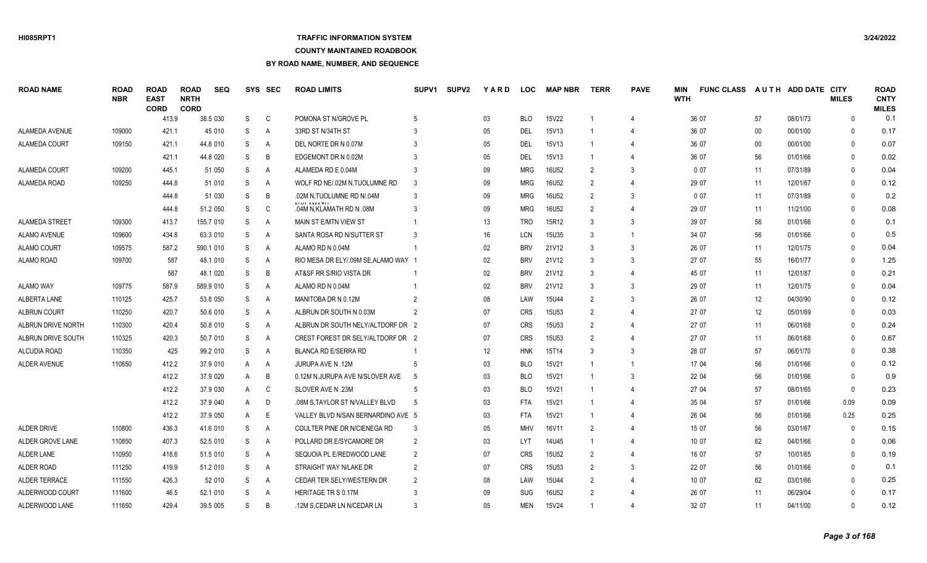### **TRAFFIC INFORMATION SYSTEM**

### **COUNTY MAINTAINED ROADBOOK**

| <b>ROAD NAME</b>      | <b>ROAD</b><br><b>NBR</b> | <b>ROAD</b><br><b>EAST</b><br><b>CORD</b> | <b>ROAD</b><br><b>NRTH</b><br><b>CORD</b> | <b>SEQ</b> | SYS | SEC | <b>ROAD LIMITS</b>                   | SUPV <sub>1</sub> | <b>SUPV2</b> | YARD   | LOC        | <b>MAP NBR</b>    | <b>TERR</b>    | <b>PAVE</b>                 | MIN<br><b>WTH</b> | <b>FUNC CLASS</b> |        | AUTH ADD DATE CITY | <b>MILES</b> | <b>ROAD</b><br><b>CNTY</b><br><b>MILES</b> |
|-----------------------|---------------------------|-------------------------------------------|-------------------------------------------|------------|-----|-----|--------------------------------------|-------------------|--------------|--------|------------|-------------------|----------------|-----------------------------|-------------------|-------------------|--------|--------------------|--------------|--------------------------------------------|
|                       |                           | 413.9                                     |                                           | 38.5 030   | S   | C   | POMONA ST N/GROVE PL                 |                   |              | 03     | <b>BLO</b> | 15V22             |                | 4                           |                   | 36 07             | 57     | 08/01/73           | $\Omega$     | 0.1                                        |
| ALAMEDA AVENUE        | 109000                    | 421.1                                     |                                           | 45 010     | S   | A   | 33RD ST N/34TH ST                    |                   |              | 05     | <b>DEL</b> | 15V13             |                |                             |                   | 36 07             | $00\,$ | 00/01/00           | $\Omega$     | 0.17                                       |
| <b>ALAMEDA COURT</b>  | 109150                    | 421.1                                     |                                           | 44.8 010   | S   | A   | DEL NORTE DR N 0.07M                 |                   |              | $05\,$ | <b>DEL</b> | 15V13             |                | $\Delta$                    |                   | 36 07             | $00\,$ | 00/01/00           | $\Omega$     | 0.07                                       |
|                       |                           | 421.1                                     |                                           | 44.8 020   | S   | B   | EDGEMONT DR N 0.02M                  |                   |              | 05     | DEL        | 15V13             |                | 4                           |                   | 36 07             | 56     | 01/01/66           | $\Omega$     | 0.02                                       |
| ALAMEDA COURT         | 109200                    | 445.1                                     |                                           | 51 050     | S   | Α   | ALAMEDA RD E 0.04M                   |                   |              | 09     | <b>MRG</b> | 16U52             | 2              | 3                           |                   | 007               | 11     | 07/31/89           | $\Omega$     | 0.04                                       |
| ALAMEDA ROAD          | 109250                    | 444.8                                     |                                           | 51 010     | S   | Α   | WOLF RD NE/.02M N, TUOLUMNE RD       |                   |              | 09     | <b>MRG</b> | 16U52             | $\overline{2}$ |                             |                   | 29 07             | 11     | 12/01/67           | $\mathbf{0}$ | 0.12                                       |
|                       |                           | 444.8                                     |                                           | 51 030     | S   | B   | .02M N.TUOLUMNE RD N/ 04M            |                   |              | 09     | <b>MRG</b> | 16U52             | $\overline{2}$ | 3                           |                   | 007               | 11     | 07/31/89           | $\Omega$     | 0.2                                        |
|                       |                           | 444.8                                     |                                           | 51.2 050   | S   | C   | .04M N,KLAMATH RD N .08M             |                   |              | 09     | <b>MRG</b> | 16U52             | $\overline{2}$ |                             |                   | 29 07             | 11     | 11/21/00           | $\mathbf{0}$ | 0.08                                       |
| <b>ALAMEDA STREET</b> | 109300                    | 413.7                                     |                                           | 155.7 010  | S   | Α   | MAIN ST E/MTN VIEW ST                |                   |              | 13     | <b>TRO</b> | 15R12             | 3              | 3                           |                   | 39 07             | 56     | 01/01/66           | $\mathbf{0}$ | 0.1                                        |
| <b>ALAMO AVENUE</b>   | 109600                    | 434.8                                     |                                           | 63.3 010   | S   | A   | SANTA ROSA RD N/SUTTER ST            |                   |              | 16     | <b>LCN</b> | 15U35             | 3              |                             |                   | 34 07             | 56     | 01/01/66           | $\mathbf{0}$ | 0.5                                        |
| ALAMO COURT           | 109575                    | 587.2                                     |                                           | 590.1 010  | S   | Α   | ALAMO RD N 0.04M                     |                   |              | 02     | <b>BRV</b> | 21V12             |                | 3                           |                   | 26 07             | 11     | 12/01/75           | $\Omega$     | 0.04                                       |
| ALAMO ROAD            | 109700                    |                                           | 587                                       | 48.1 010   | S   | Α   | RIO MESA DR ELY/.09M SE, ALAMO WAY 1 |                   |              | $02\,$ | <b>BRV</b> | 21V12             | 3              | 3                           |                   | 27 07             | 55     | 16/01/77           | $\mathbf{0}$ | 1.25                                       |
|                       |                           |                                           | 587                                       | 48.1 020   | S   | B   | AT&SF RR S/RIO VISTA DR              |                   |              | 02     | <b>BRV</b> | 21V12             |                |                             |                   | 45 07             | 11     | 12/01/87           | $\Omega$     | 0.21                                       |
| <b>ALAMO WAY</b>      | 109775                    | 587.9                                     |                                           | 589.9 010  | S   | A   | ALAMO RD N 0.04M                     |                   |              | $02\,$ | <b>BRV</b> | 21V12             | 3              | 3                           |                   | 29 07             | 11     | 12/01/75           | $\Omega$     | 0.04                                       |
| ALBERTA LANE          | 110125                    | 425.7                                     |                                           | 53.8 050   | S   | Α   | MANITOBA DR N 0.12M                  |                   |              | 08     | LAW        | 15U44             | $\overline{2}$ | 3                           |                   | 26 07             | 12     | 04/30/90           | $\Omega$     | 0.12                                       |
| <b>ALBRUN COURT</b>   | 110250                    | 420.7                                     |                                           | 50.6 010   | S   | A   | ALBRUN DR SOUTH N 0.03M              |                   |              | 07     | <b>CRS</b> | 15U53             | $\overline{2}$ | $\boldsymbol{\vartriangle}$ |                   | 27 07             | 12     | 05/01/69           | $\Omega$     | 0.03                                       |
| ALBRUN DRIVE NORTH    | 110300                    | 420.4                                     |                                           | 50.8 010   | S   | A   | ALBRUN DR SOUTH NELY/ALTDORF DR 2    |                   |              | 07     | <b>CRS</b> | 15U53             | $\mathcal{P}$  | $\overline{4}$              |                   | 27 07             | 11     | 06/01/68           | $\mathbf{0}$ | 0.24                                       |
| ALBRUN DRIVE SOUTH    | 110325                    | 420.3                                     |                                           | 50.7 010   | S   | A   | CREST FOREST DR SELY/ALTDORF DR 2    |                   |              | 07     | <b>CRS</b> | 15U <sub>53</sub> |                | 4                           |                   | 27 07             | 11     | 06/01/68           | $\Omega$     | 0.67                                       |
| ALCUDIA ROAD          | 110350                    |                                           | 425                                       | 99.2 010   | S   | A   | <b>BLANCA RD E/SERRA RD</b>          |                   |              | 12     | <b>HNK</b> | 15T14             |                | 3                           |                   | 28 07             | 57     | 06/01/70           | $\mathbf{0}$ | 0.38                                       |
| ALDER AVENUE          | 110650                    | 412.2                                     |                                           | 37.9 010   | A   | Α   | JURUPA AVE N .12M                    |                   |              | 03     | <b>BLO</b> | 15V21             |                | -1                          |                   | 17 04             | 56     | 01/01/66           | $\Omega$     | 0.12                                       |
|                       |                           | 412.2                                     |                                           | 37.9 020   | A   | B   | 0.12M N, JURUPA AVE N/SLOVER AVE     |                   |              | 03     | <b>BLO</b> | 15V21             |                | 3                           |                   | 22 04             | 56     | 01/01/66           | $\Omega$     | 0.9                                        |
|                       |                           | 412.2                                     |                                           | 37.9 030   | A   | C   | SLOVER AVE N .23M                    |                   |              | 03     | <b>BLO</b> | 15V21             |                |                             |                   | 27 04             | 57     | 08/01/65           | $\Omega$     | 0.23                                       |
|                       |                           | 412.2                                     |                                           | 37.9 040   | A   | D   | .08M S, TAYLOR ST N/VALLEY BLVD      | -5                |              | 03     | <b>FTA</b> | 15V21             |                | 4                           |                   | 35 04             | 57     | 01/01/66           | 0.09         | 0.09                                       |
|                       |                           | 412.2                                     |                                           | 37.9 050   | A   | E   | VALLEY BLVD N/SAN BERNARDINO AVE 5   |                   |              | 03     | <b>FTA</b> | 15V21             |                | 4                           |                   | 26 04             | 56     | 01/01/66           | 0.25         | 0.25                                       |
| <b>ALDER DRIVE</b>    | 110800                    | 436.3                                     |                                           | 41.6 010   | S   | Α   | COULTER PINE DR N/CIENEGA RD         | -3                |              | 05     | <b>MHV</b> | 16V11             | $\overline{2}$ | 4                           |                   | 15 07             | 56     | 03/01/67           | $\Omega$     | 0.15                                       |
| ALDER GROVE LANE      | 110850                    | 407.3                                     |                                           | 52.5 010   | S   | Α   | POLLARD DR E/SYCAMORE DR             | $\overline{2}$    |              | 03     | <b>LYT</b> | 14U45             |                | $\overline{4}$              |                   | 10 07             | 62     | 04/01/66           | $\Omega$     | 0.06                                       |
| <b>ALDER LANE</b>     | 110950                    | 418.6                                     |                                           | 51.5 010   | S   | A   | SEQUOIA PL E/REDWOOD LANE            | $\mathcal{P}$     |              | 07     | <b>CRS</b> | <b>15U52</b>      | $\overline{2}$ |                             |                   | 16 07             | 57     | 10/01/65           | $\Omega$     | 0.19                                       |
| <b>ALDER ROAD</b>     | 111250                    | 419.9                                     |                                           | 51.2 010   | S   | A   | STRAIGHT WAY N/LAKE DR               | $\mathcal{P}$     |              | 07     | <b>CRS</b> | 15U <sub>53</sub> | 2              | 3                           |                   | 22 07             | 56     | 01/01/66           | $\Omega$     | 0.1                                        |
| <b>ALDER TERRACE</b>  | 111550                    | 426.3                                     |                                           | 52 010     | S   | A   | CEDAR TER SELY/WESTERN DR            |                   |              | 08     | LAW        | <b>15U44</b>      | $\mathcal{P}$  | 4                           |                   | 10 07             | 62     | 03/01/66           | $\Omega$     | 0.25                                       |
| ALDERWOOD COURT       | 111600                    | 46.5                                      |                                           | 52.1 010   | S   | A   | <b>HERITAGE TR S 0.17M</b>           |                   |              | 09     | <b>SUG</b> | 16U52             |                |                             |                   | 26 07             | 11     | 06/29/04           | $\Omega$     | 0.17                                       |
| ALDERWOOD LANE        | 111650                    | 429.4                                     |                                           | 39.5 005   | S.  | B   | 12M S.CEDAR LN N/CEDAR LN            |                   |              | 05     | <b>MEN</b> | 15V24             |                | Δ                           |                   | 32 07             | 11     | 04/11/00           | $\Omega$     | 0.12                                       |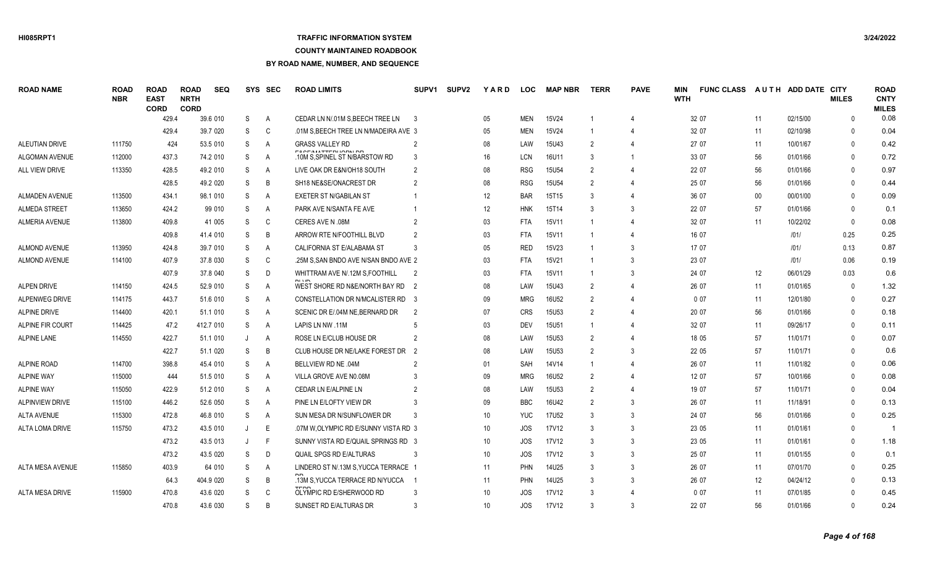### **TRAFFIC INFORMATION SYSTEM**

### **COUNTY MAINTAINED ROADBOOK**

| <b>ROAD NAME</b>       | <b>ROAD</b><br><b>NBR</b> | <b>ROAD</b><br><b>EAST</b><br><b>CORD</b> | <b>ROAD</b><br><b>NRTH</b><br><b>CORD</b> | <b>SEQ</b> | SYS          | <b>SEC</b>     | <b>ROAD LIMITS</b>                                         | SUPV <sub>1</sub> | SUPV2 | YARD            | <b>LOC</b> | <b>MAP NBR</b>    | <b>TERR</b>    | <b>PAVE</b>    | MIN<br><b>WTH</b> | <b>FUNC CLASS</b> |                   | AUTH ADD DATE CITY | <b>MILES</b> | <b>ROAD</b><br><b>CNTY</b><br><b>MILES</b> |
|------------------------|---------------------------|-------------------------------------------|-------------------------------------------|------------|--------------|----------------|------------------------------------------------------------|-------------------|-------|-----------------|------------|-------------------|----------------|----------------|-------------------|-------------------|-------------------|--------------------|--------------|--------------------------------------------|
|                        |                           | 429.4                                     |                                           | 39.6 010   | S            | $\overline{A}$ | CEDAR LN N/.01M S.BEECH TREE LN                            | -3                |       | 05              | <b>MEN</b> | 15V24             |                |                |                   | 32 07             | 11                | 02/15/00           | $\Omega$     | 0.08                                       |
|                        |                           | 429.4                                     |                                           | 39.7 020   | S            | C              | .01M S.BEECH TREE LN N/MADEIRA AVE 3                       |                   |       | 05              | <b>MEN</b> | 15V24             |                |                |                   | 32 07             | 11                | 02/10/98           | $\Omega$     | 0.04                                       |
| ALEUTIAN DRIVE         | 111750                    | 424                                       |                                           | 53.5 010   | S            | A              | <b>GRASS VALLEY RD</b>                                     |                   |       | 08              | LAW        | 15U43             | $\mathcal{P}$  |                |                   | 27 07             | 11                | 10/01/67           | $\Omega$     | 0.42                                       |
| <b>ALGOMAN AVENUE</b>  | 112000                    | 437.3                                     |                                           | 74.2 010   | S            | A              | <b>COOCAIATTCDUODU DD</b><br>.10M S.SPINEL ST N/BARSTOW RD |                   |       | 16              | <b>LCN</b> | 16U11             |                | $\overline{1}$ |                   | 33 07             | 56                | 01/01/66           | $\Omega$     | 0.72                                       |
| ALL VIEW DRIVE         | 113350                    | 428.5                                     |                                           | 49.2 010   | S            | A              | LIVE OAK DR E&N/OH18 SOUTH                                 | $\overline{2}$    |       | 08              | <b>RSG</b> | <b>15U54</b>      | $\overline{2}$ |                |                   | 22 07             | 56                | 01/01/66           | $\Omega$     | 0.97                                       |
|                        |                           | 428.5                                     |                                           | 49.2 020   | S            | B              | SH18 NE&SE/ONACREST DR                                     | $\overline{2}$    |       | 08              | <b>RSG</b> | <b>15U54</b>      | $\mathcal{P}$  |                |                   | 25 07             | 56                | 01/01/66           | $\Omega$     | 0.44                                       |
| <b>ALMADEN AVENUE</b>  | 113500                    | 434.1                                     |                                           | 98.1 010   | S            | A              | <b>EXETER ST N/GABILAN ST</b>                              |                   |       | 12              | <b>BAR</b> | 15T15             | $\mathbf{3}$   |                |                   | 36 07             | $00\,$            | 00/01/00           | $\Omega$     | 0.09                                       |
| <b>ALMEDA STREET</b>   | 113650                    | 424.2                                     |                                           | 99 010     | S            | A              | PARK AVE N/SANTA FE AVE                                    |                   |       | 12              | <b>HNK</b> | 15T14             | $\mathbf{3}$   | 3              |                   | 22 07             | 57                | 01/01/66           | $\Omega$     | 0.1                                        |
| <b>ALMERIA AVENUE</b>  | 113800                    | 409.8                                     |                                           | 41 005     | S            | $\mathsf{C}$   | CERES AVE N .08M                                           |                   |       | 03              | <b>FTA</b> | 15V11             |                | $\overline{4}$ |                   | 32 07             | 11                | 10/22/02           | $\Omega$     | 0.08                                       |
|                        |                           | 409.8                                     |                                           | 41.4 010   | <sub>S</sub> | B              | ARROW RTE N/FOOTHILL BLVD                                  | 2                 |       | 03              | <b>FTA</b> | 15V11             |                | $\overline{4}$ |                   | 16 07             |                   | 1011               | 0.25         | 0.25                                       |
| <b>ALMOND AVENUE</b>   | 113950                    | 424.8                                     |                                           | 39.7 010   | S            | A              | CALIFORNIA ST E/ALABAMA ST                                 |                   |       | 05              | <b>RED</b> | 15V23             |                | 3              |                   | 17 07             |                   | 1011               | 0.13         | 0.87                                       |
| <b>ALMOND AVENUE</b>   | 114100                    | 407.9                                     |                                           | 37.8 030   | S            | C              | .25M S.SAN BNDO AVE N/SAN BNDO AVE 2                       |                   |       | 03              | <b>FTA</b> | 15V21             |                | 3              |                   | 23 07             |                   | 1011               | 0.06         | 0.19                                       |
|                        |                           | 407.9                                     |                                           | 37.8 040   | S            | D              | WHITTRAM AVE N/.12M S.FOOTHILL                             | $\overline{2}$    |       | 03              | <b>FTA</b> | 15V11             |                | 3              |                   | 24 07             | $12 \overline{ }$ | 06/01/29           | 0.03         | 0.6                                        |
| <b>ALPEN DRIVE</b>     | 114150                    | 424.5                                     |                                           | 52.9 010   | S            | A              | WEST SHORE RD N&E/NORTH BAY RD 2                           |                   |       | 08              | LAW        | 15U43             | $\overline{2}$ |                |                   | 26 07             | 11                | 01/01/65           | $\Omega$     | 1.32                                       |
| ALPENWEG DRIVE         | 114175                    | 443.7                                     |                                           | 51.6 010   | S            | A              | CONSTELLATION DR N/MCALISTER RD 3                          |                   |       | 09              | <b>MRG</b> | 16U52             | $\mathcal{P}$  |                |                   | 007               | 11                | 12/01/80           | $\Omega$     | 0.27                                       |
| <b>ALPINE DRIVE</b>    | 114400                    | 420.1                                     |                                           | 51.1 010   | S            | A              | SCENIC DR E/.04M NE.BERNARD DR                             | 2                 |       | 07              | <b>CRS</b> | <b>15U53</b>      | $\overline{2}$ |                |                   | 20 07             | 56                | 01/01/66           | $\Omega$     | 0.18                                       |
| ALPINE FIR COURT       | 114425                    | 47.2                                      |                                           | 412.7 010  | S            | A              | LAPIS LN NW 11M                                            |                   |       | 03              | <b>DEV</b> | 15U51             |                | $\overline{4}$ |                   | 32 07             | 11                | 09/26/17           | $\Omega$     | 0.11                                       |
| <b>ALPINE LANE</b>     | 114550                    | 422.7                                     |                                           | 51.1 010   | $\cdot$      | A              | ROSE LN E/CLUB HOUSE DR                                    |                   |       | 08              | LAW        | <b>15U53</b>      | $\mathcal{P}$  |                |                   | 18 05             | 57                | 11/01/71           | $\Omega$     | 0.07                                       |
|                        |                           | 422.7                                     |                                           | 51.1 020   | S            | B              | CLUB HOUSE DR NE/LAKE FOREST DR 2                          |                   |       | 08              | LAW        | <b>15U53</b>      | $\mathcal{P}$  | 3              |                   | 22 05             | 57                | 11/01/71           | $\Omega$     | 0.6                                        |
| ALPINE ROAD            | 114700                    | 398.8                                     |                                           | 45.4 010   | S            | A              | BELLVIEW RD NE .04M                                        |                   |       | 01              | <b>SAH</b> | 14V14             |                | $\overline{4}$ |                   | 26 07             | 11                | 11/01/82           | $\Omega$     | 0.06                                       |
| <b>ALPINE WAY</b>      | 115000                    | 444                                       |                                           | 51.5 010   | S            | $\overline{A}$ | VILLA GROVE AVE N0.08M                                     |                   |       | 09              | <b>MRG</b> | 16U52             | 2              |                |                   | 12 07             | 57                | 10/01/66           | $\Omega$     | 0.08                                       |
| <b>ALPINE WAY</b>      | 115050                    | 422.9                                     |                                           | 51.2 010   | S            | A              | <b>CEDAR LN E/ALPINE LN</b>                                |                   |       | 08              | LAW        | 15U <sub>53</sub> | $\mathcal{P}$  |                |                   | 19 07             | 57                | 11/01/71           | $\Omega$     | 0.04                                       |
| <b>ALPINVIEW DRIVE</b> | 115100                    | 446.2                                     |                                           | 52.6 050   | S            | A              | PINE LN E/LOFTY VIEW DR                                    |                   |       | 09              | <b>BBC</b> | 16U42             | $\mathcal{P}$  | 3              |                   | 26 07             | 11                | 11/18/91           | $\Omega$     | 0.13                                       |
| <b>ALTA AVENUE</b>     | 115300                    | 472.8                                     |                                           | 46.8 010   | S            | A              | SUN MESA DR N/SUNFLOWER DR                                 |                   |       | 10 <sup>°</sup> | <b>YUC</b> | <b>17U52</b>      | $\mathbf{3}$   | 3              |                   | 24 07             | 56                | 01/01/66           | $\Omega$     | 0.25                                       |
| ALTA LOMA DRIVE        | 115750                    | 473.2                                     |                                           | 43.5 010   |              | E              | .07M W, OLYMPIC RD E/SUNNY VISTA RD 3                      |                   |       | 10 <sup>°</sup> | <b>JOS</b> | 17V12             |                | 3              |                   | 23 05             | 11                | 01/01/61           | $\Omega$     |                                            |
|                        |                           | 473.2                                     |                                           | 43.5 013   | J            | F              | SUNNY VISTA RD E/QUAIL SPRINGS RD 3                        |                   |       | 10              | <b>JOS</b> | 17V12             | $\mathbf{3}$   | 3              |                   | 23 05             | 11                | 01/01/61           | $\Omega$     | 1.18                                       |
|                        |                           | 473.2                                     |                                           | 43.5 020   | S            | D              | <b>QUAIL SPGS RD E/ALTURAS</b>                             | -3                |       | 10 <sup>°</sup> | <b>JOS</b> | 17V12             | 3              | 3              |                   | 25 07             | 11                | 01/01/55           | $\Omega$     | 0.1                                        |
| ALTA MESA AVENUE       | 115850                    | 403.9                                     |                                           | 64 010     | S            | A              | LINDERO ST N/.13M S, YUCCA TERRACE 1                       |                   |       | 11              | PHN        | 14U25             | $\mathbf{3}$   | 3              |                   | 26 07             | 11                | 07/01/70           | $\Omega$     | 0.25                                       |
|                        |                           | 64.3                                      |                                           | 404.9 020  | S            | B              | .13M S.YUCCA TERRACE RD N/YUCCA                            |                   |       | 11              | <b>PHN</b> | 14U25             | $\mathcal{R}$  | 3              |                   | 26 07             | 12                | 04/24/12           | $\Omega$     | 0.13                                       |
| ALTA MESA DRIVE        | 115900                    | 470.8                                     |                                           | 43.6 020   | S            | C              | OLYMPIC RD E/SHERWOOD RD                                   |                   |       | 10 <sup>°</sup> | JOS        | 17V12             |                |                |                   | 007               | 11                | 07/01/85           | $\Omega$     | 0.45                                       |
|                        |                           | 470.8                                     |                                           | 43.6 030   | <sub>S</sub> | <b>B</b>       | SUNSET RD E/ALTURAS DR                                     | 3                 |       | 10              | <b>JOS</b> | 17V12             | $\mathcal{R}$  | $\mathcal{R}$  |                   | 22 07             | 56                | 01/01/66           | $\Omega$     | 0.24                                       |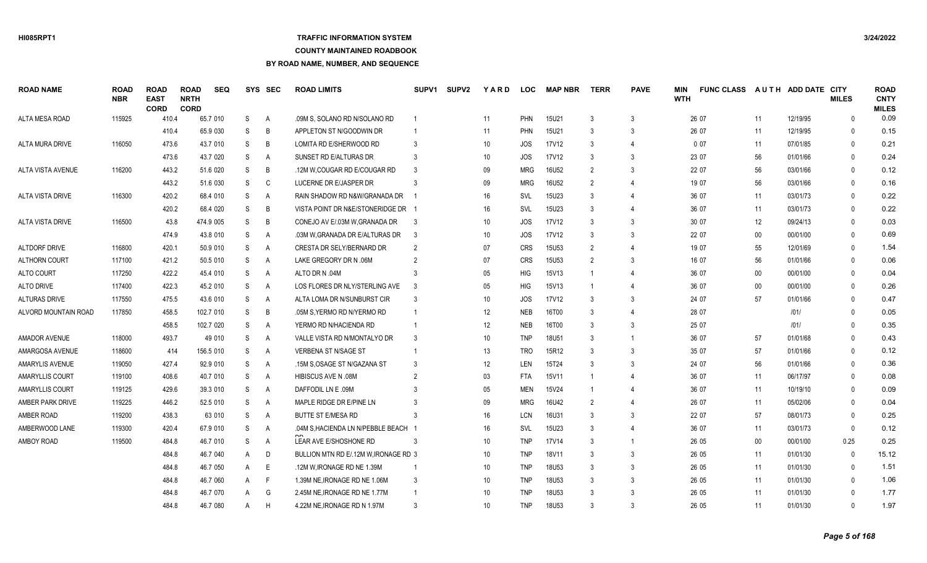# **TRAFFIC INFORMATION SYSTEM**

#### **COUNTY MAINTAINED ROADBOOK**

| <b>ROAD NAME</b>        | <b>ROAD</b><br><b>NBR</b> | <b>ROAD</b><br><b>EAST</b><br><b>CORD</b> | <b>ROAD</b><br><b>NRTH</b><br><b>CORD</b> | <b>SEQ</b> | SYS | <b>SEC</b> | <b>ROAD LIMITS</b>                   | SUPV <sub>1</sub> | <b>SUPV2</b> | YARD            | <b>LOC</b> | <b>MAP NBR</b> | <b>TERR</b>    | <b>PAVE</b>                 | MIN<br><b>WTH</b> | <b>FUNC CLASS</b> |        | AUTH ADD DATE CITY | <b>MILES</b> | <b>ROAD</b><br><b>CNTY</b><br><b>MILES</b> |
|-------------------------|---------------------------|-------------------------------------------|-------------------------------------------|------------|-----|------------|--------------------------------------|-------------------|--------------|-----------------|------------|----------------|----------------|-----------------------------|-------------------|-------------------|--------|--------------------|--------------|--------------------------------------------|
| ALTA MESA ROAD          | 115925                    | 410.4                                     |                                           | 65.7 010   | S   | Α          | .09M S, SOLANO RD N/SOLANO RD        |                   |              | 11              | <b>PHN</b> | 15U21          | 3              | 3                           |                   | 26 07             | 11     | 12/19/95           | $\Omega$     | 0.09                                       |
|                         |                           | 410.4                                     |                                           | 65.9 030   | S   | B          | APPLETON ST N/GOODWIN DR             |                   |              | 11              | <b>PHN</b> | 15U21          | 3              | 3                           |                   | 26 07             | 11     | 12/19/95           | $\Omega$     | 0.15                                       |
| ALTA MURA DRIVE         | 116050                    | 473.6                                     |                                           | 43.7 010   | S   | B          | LOMITA RD E/SHERWOOD RD              |                   |              | 10              | JOS        | 17V12          | $\mathbf{3}$   |                             |                   | 007               | 11     | 07/01/85           | $\Omega$     | 0.21                                       |
|                         |                           | 473.6                                     |                                           | 43.7 020   | S   | A          | SUNSET RD E/ALTURAS DR               |                   |              | 10              | JOS        | 17V12          |                | 3                           |                   | 23 07             | 56     | 01/01/66           | $\Omega$     | 0.24                                       |
| ALTA VISTA AVENUE       | 116200                    | 443.2                                     |                                           | 51.6 020   | S   | B          | .12M W, COUGAR RD E/COUGAR RD        |                   |              | 09              | <b>MRG</b> | 16U52          | $\overline{2}$ | 3                           |                   | 22 07             | 56     | 03/01/66           | $\Omega$     | 0.12                                       |
|                         |                           | 443.2                                     |                                           | 51.6 030   | S   | C          | LUCERNE DR E/JASPER DR               |                   |              | 09              | <b>MRG</b> | 16U52          | $\overline{2}$ |                             |                   | 19 07             | 56     | 03/01/66           | $\mathbf{0}$ | 0.16                                       |
| ALTA VISTA DRIVE        | 116300                    | 420.2                                     |                                           | 68.4 010   | S   | A          | RAIN SHADOW RD N&W/GRANADA DR        |                   |              | 16              | SVL        | 15U23          | 3              |                             |                   | 36 07             | 11     | 03/01/73           | $\Omega$     | 0.22                                       |
|                         |                           | 420.2                                     |                                           | 68.4 020   | S   | B          | VISTA POINT DR N&E/STONERIDGE DR 1   |                   |              | 16              | SVL        | 15U23          | 3              |                             |                   | 36 07             | 11     | 03/01/73           | $\Omega$     | 0.22                                       |
| <b>ALTA VISTA DRIVE</b> | 116500                    | 43.8                                      |                                           | 474.9 005  | S   | B          | CONEJO AV E/.03M W, GRANADA DR       | 3                 |              | 10              | <b>JOS</b> | 17V12          | 3              | 3                           |                   | 30 07             | 12     | 09/24/13           | $\mathbf{0}$ | 0.03                                       |
|                         |                           | 474.9                                     |                                           | 43.8 010   | S   | A          | .03M W, GRANADA DR E/ALTURAS DR      | -3                |              | 10              | JOS        | <b>17V12</b>   | 3              | 3                           |                   | 22 07             | $00\,$ | 00/01/00           | $\mathbf{0}$ | 0.69                                       |
| <b>ALTDORF DRIVE</b>    | 116800                    | 420.1                                     |                                           | 50.9 010   | S   | Α          | CRESTA DR SELY/BERNARD DR            | $\overline{2}$    |              | 07              | <b>CRS</b> | <b>15U53</b>   | $\overline{2}$ | 4                           |                   | 19 07             | 55     | 12/01/69           | $\mathbf{0}$ | 1.54                                       |
| <b>ALTHORN COURT</b>    | 117100                    | 421.2                                     |                                           | 50.5 010   | S   | A          | LAKE GREGORY DR N .06M               |                   |              | 07              | <b>CRS</b> | 15U53          | 2              | 3                           |                   | 16 07             | 56     | 01/01/66           | $\Omega$     | 0.06                                       |
| ALTO COURT              | 117250                    | 422.2                                     |                                           | 45.4 010   | S   | A          | ALTO DR N .04M                       |                   |              | 05              | <b>HIG</b> | 15V13          |                |                             |                   | 36 07             | 00     | 00/01/00           | $\Omega$     | 0.04                                       |
| <b>ALTO DRIVE</b>       | 117400                    | 422.3                                     |                                           | 45.2 010   | S   | A          | LOS FLORES DR NLY/STERLING AVE       |                   |              | 05              | <b>HIG</b> | 15V13          |                |                             |                   | 36 07             | $00\,$ | 00/01/00           | $\Omega$     | 0.26                                       |
| ALTURAS DRIVE           | 117550                    | 475.5                                     |                                           | 43.6 010   | S   | A          | ALTA LOMA DR N/SUNBURST CIR          |                   |              | 10              | <b>JOS</b> | 17V12          |                | 3                           |                   | 24 07             | 57     | 01/01/66           | $\Omega$     | 0.47                                       |
| ALVORD MOUNTAIN ROAD    | 117850                    | 458.5                                     |                                           | 102.7 010  | S   | B          | .05M S, YERMO RD N/YERMO RD          |                   |              | 12              | <b>NEB</b> | 16T00          | 3              | $\boldsymbol{\vartriangle}$ |                   | 28 07             |        | 1011               | $\Omega$     | 0.05                                       |
|                         |                           | 458.5                                     |                                           | 102.7 020  | S   | A          | YERMO RD N/HACIENDA RD               |                   |              | 12              | <b>NEB</b> | 16T00          | $\mathbf{3}$   | 3                           |                   | 25 07             |        | 1011               | $\Omega$     | 0.35                                       |
| <b>AMADOR AVENUE</b>    | 118000                    | 493.7                                     |                                           | 49 010     | S   | Α          | VALLE VISTA RD N/MONTALYO DR         |                   |              | 10              | <b>TNP</b> | 18U51          |                | $\overline{1}$              |                   | 36 07             | 57     | 01/01/68           | $\Omega$     | 0.43                                       |
| AMARGOSA AVENUE         | 118600                    | 414                                       |                                           | 156.5 010  | S   | Α          | <b>VERBENA ST N/SAGE ST</b>          |                   |              | 13              | <b>TRO</b> | 15R12          | $\mathbf{3}$   | 3                           |                   | 35 07             | 57     | 01/01/66           | $\Omega$     | 0.12                                       |
| <b>AMARYLIS AVENUE</b>  | 119050                    | 427.4                                     |                                           | 92.9 010   | S   | Α          | .15M S, OSAGE ST N/GAZANA ST         |                   |              | 12              | <b>LEN</b> | 15T24          | 3              | 3                           |                   | 24 07             | 56     | 01/01/66           | $\Omega$     | 0.36                                       |
| AMARYLLIS COURT         | 119100                    | 408.6                                     |                                           | 40.7 010   | S   | A          | HIBISCUS AVE N.08M                   |                   |              | 03              | <b>FTA</b> | 15V11          |                |                             |                   | 36 07             | 11     | 06/17/97           | $\Omega$     | 0.08                                       |
| <b>AMARYLLIS COURT</b>  | 119125                    | 429.6                                     |                                           | 39.3 010   | S   | Α          | DAFFODIL LN E .09M                   |                   |              | 05              | <b>MEN</b> | 15V24          |                |                             |                   | 36 07             | 11     | 10/19/10           | $\Omega$     | 0.09                                       |
| AMBER PARK DRIVE        | 119225                    | 446.2                                     |                                           | 52.5 010   | S   | A          | MAPLE RIDGE DR E/PINE LN             |                   |              | 09              | <b>MRG</b> | 16U42          | $\overline{2}$ |                             |                   | 26 07             | 11     | 05/02/06           | $\Omega$     | 0.04                                       |
| AMBER ROAD              | 119200                    | 438.3                                     |                                           | 63 010     | S   | Α          | <b>BUTTE ST E/MESA RD</b>            |                   |              | 16              | <b>LCN</b> | 16U31          | 3              | 3                           |                   | 22 07             | 57     | 08/01/73           | $\mathbf{0}$ | 0.25                                       |
| AMBERWOOD LANE          | 119300                    | 420.4                                     |                                           | 67.9 010   | S   | Α          | .04M S, HACIENDA LN N/PEBBLE BEACH   |                   |              | 16              | SVL        | 15U23          |                | $\overline{4}$              |                   | 36 07             | 11     | 03/01/73           | $\mathbf{0}$ | 0.12                                       |
| AMBOY ROAD              | 119500                    | 484.8                                     |                                           | 46.7 010   | S   | Α          | LEAR AVE E/SHOSHONE RD               |                   |              | 10              | <b>TNP</b> | 17V14          | 3              | $\mathbf{1}$                |                   | 26 05             | $00\,$ | 00/01/00           | 0.25         | 0.25                                       |
|                         |                           | 484.8                                     |                                           | 46.7 040   | A   | D          | BULLION MTN RD E/.12M W.IRONAGE RD 3 |                   |              | 10              | <b>TNP</b> | 18V11          | 3              | 3                           |                   | 26 05             | 11     | 01/01/30           | $\Omega$     | 15.12                                      |
|                         |                           | 484.8                                     |                                           | 46.7 050   | A   | E          | .12M W.IRONAGE RD NE 1.39M           |                   |              | 10              | <b>TNP</b> | 18U53          | $\mathbf{R}$   | 3                           |                   | 26 05             | 11     | 01/01/30           | $\Omega$     | 1.51                                       |
|                         |                           | 484.8                                     |                                           | 46.7 060   | A   | F          | 1.39M NE, IRONAGE RD NE 1.06M        | 3                 |              | 10              | <b>TNP</b> | 18U53          |                | 3                           |                   | 26 05             | 11     | 01/01/30           | $\Omega$     | 1.06                                       |
|                         |                           | 484.8                                     |                                           | 46.7 070   | A   | G          | 2.45M NE, IRONAGE RD NE 1.77M        |                   |              | 10 <sup>°</sup> | <b>TNP</b> | 18U53          |                | 3                           |                   | 26 05             | 11     | 01/01/30           | $\Omega$     | 1.77                                       |
|                         |                           | 484.8                                     |                                           | 46.7 080   | A   | H          | 4.22M NE, IRONAGE RD N 1.97M         |                   |              | $10^{\circ}$    | <b>TNP</b> | 18U53          | $\mathbf{3}$   | $\mathcal{R}$               |                   | 26 05             | 11     | 01/01/30           | $\Omega$     | 1.97                                       |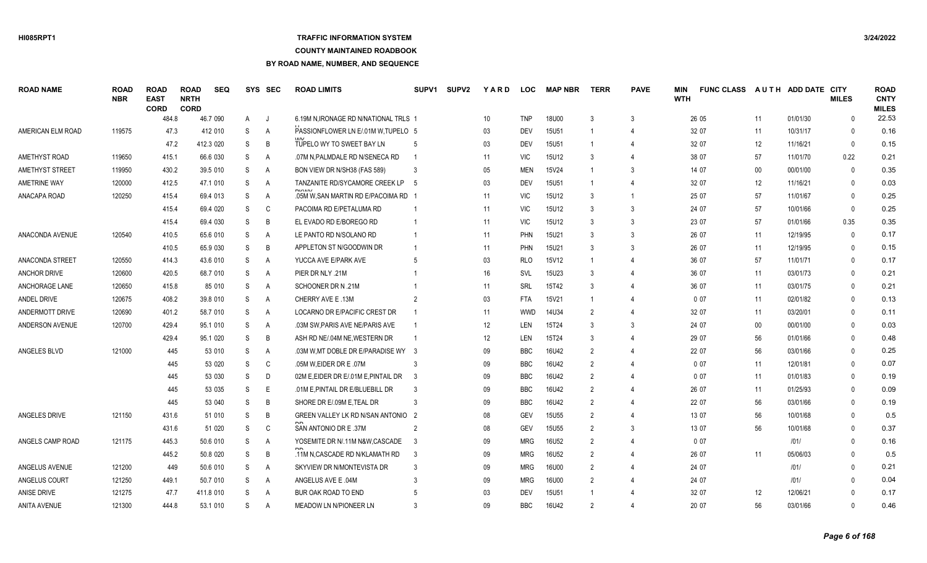### **TRAFFIC INFORMATION SYSTEM**

### **COUNTY MAINTAINED ROADBOOK**

| <b>ROAD NAME</b>     | <b>ROAD</b><br><b>NBR</b> | <b>ROAD</b><br><b>EAST</b><br><b>CORD</b> | <b>ROAD</b><br><b>NRTH</b><br><b>CORD</b> | <b>SEQ</b> | SYS | <b>SEC</b>     | <b>ROAD LIMITS</b>                     | SUPV <sub>1</sub> | <b>SUPV2</b> | YARD | <b>LOC</b> | <b>MAP NBR</b> | <b>TERR</b>    | <b>PAVE</b>                 | MIN<br><b>WTH</b> | <b>FUNC CLASS</b> |        | AUTH ADD DATE CITY | <b>MILES</b> | <b>ROAD</b><br><b>CNTY</b><br><b>MILES</b> |
|----------------------|---------------------------|-------------------------------------------|-------------------------------------------|------------|-----|----------------|----------------------------------------|-------------------|--------------|------|------------|----------------|----------------|-----------------------------|-------------------|-------------------|--------|--------------------|--------------|--------------------------------------------|
|                      |                           | 484.8                                     |                                           | 46.7 090   | A   | J.             | 6.19M N.IRONAGE RD N/NATIONAL TRLS 1   |                   |              | 10   | <b>TNP</b> | 18U00          | 3              | 3                           |                   | 26 05             | 11     | 01/01/30           | $\Omega$     | 22.53                                      |
| AMERICAN ELM ROAD    | 119575                    | 47.3                                      |                                           | 412 010    | S   | A              | PASSIONFLOWER LN E/.01M W.TUPELO 5     |                   |              | 03   | <b>DEV</b> | <b>15U51</b>   |                | 4                           |                   | 32 07             | 11     | 10/31/17           | $\Omega$     | 0.16                                       |
|                      |                           | 47.2                                      |                                           | 412.3 020  | S   | B              | TUPELO WY TO SWEET BAY LN              |                   |              | 03   | <b>DEV</b> | 15U51          |                | 4                           |                   | 32 07             | 12     | 11/16/21           | 0            | 0.15                                       |
| <b>AMETHYST ROAD</b> | 119650                    | 415.1                                     |                                           | 66.6 030   | S   | Α              | .07M N.PALMDALE RD N/SENECA RD         |                   |              | 11   | <b>VIC</b> | 15U12          |                | 4                           |                   | 38 07             | 57     | 11/01/70           | 0.22         | 0.21                                       |
| AMETHYST STREET      | 119950                    | 430.2                                     |                                           | 39.5 010   | S   | A              | BON VIEW DR N/SH38 (FAS 589)           | -3                |              | 05   | <b>MEN</b> | 15V24          |                | 3                           |                   | 14 07             | $00\,$ | 00/01/00           | $\Omega$     | 0.35                                       |
| AMETRINE WAY         | 120000                    | 412.5                                     |                                           | 47.1 010   | S   | A              | TANZANITE RD/SYCAMORE CREEK LP 5       |                   |              | 03   | <b>DEV</b> | 15U51          |                |                             |                   | 32 07             | 12     | 11/16/21           | $\Omega$     | 0.03                                       |
| ANACAPA ROAD         | 120250                    | 415.4                                     |                                           | 69.4 013   | S   | A              | .05M W.SAN MARTIN RD E/PACOIMA RD      |                   |              | 11   | <b>VIC</b> | 15U12          | 3              |                             |                   | 25 07             | 57     | 11/01/67           | $\Omega$     | 0.25                                       |
|                      |                           | 415.4                                     |                                           | 69.4 020   | S   | C              | PACOIMA RD E/PETALUMA RD               |                   |              | 11   | <b>VIC</b> | 15U12          | $\mathbf{3}$   | 3                           |                   | 24 07             | 57     | 10/01/66           | $\mathbf{0}$ | 0.25                                       |
|                      |                           | 415.4                                     |                                           | 69.4 030   | S   | B              | EL EVADO RD E/BOREGO RD                |                   |              | 11   | <b>VIC</b> | 15U12          | 3              | 3                           |                   | 23 07             | 57     | 01/01/66           | 0.35         | 0.35                                       |
| ANACONDA AVENUE      | 120540                    | 410.5                                     |                                           | 65.6 010   | S   | A              | LE PANTO RD N/SOLANO RD                |                   |              | 11   | <b>PHN</b> | 15U21          | $\mathbf{3}$   | 3                           |                   | 26 07             | 11     | 12/19/95           | $\mathbf{0}$ | 0.17                                       |
|                      |                           | 410.5                                     |                                           | 65.9 030   | S   | B              | APPLETON ST N/GOODWIN DR               |                   |              | 11   | <b>PHN</b> | 15U21          |                | 3                           |                   | 26 07             | 11     | 12/19/95           | $\Omega$     | 0.15                                       |
| ANACONDA STREET      | 120550                    | 414.3                                     |                                           | 43.6 010   | S   | A              | YUCCA AVE E/PARK AVE                   |                   |              | 03   | <b>RLO</b> | <b>15V12</b>   |                | 4                           |                   | 36 07             | 57     | 11/01/71           | $\Omega$     | 0.17                                       |
| <b>ANCHOR DRIVE</b>  | 120600                    | 420.5                                     |                                           | 68.7 010   | S   | A              | PIER DR NLY .21M                       |                   |              | 16   | SVL        | 15U23          | 3              |                             |                   | 36 07             | 11     | 03/01/73           | $\Omega$     | 0.21                                       |
| ANCHORAGE LANE       | 120650                    | 415.8                                     |                                           | 85 010     | S   | $\overline{A}$ | SCHOONER DR N .21M                     |                   |              | 11   | <b>SRL</b> | 15T42          | $\mathcal{R}$  |                             |                   | 36 07             | 11     | 03/01/75           | $\Omega$     | 0.21                                       |
| ANDEL DRIVE          | 120675                    | 408.2                                     |                                           | 39.8 010   | S   | A              | CHERRY AVE E.13M                       |                   |              | 03   | <b>FTA</b> | <b>15V21</b>   |                | 4                           |                   | 007               | 11     | 02/01/82           | $\Omega$     | 0.13                                       |
| ANDERMOTT DRIVE      | 120690                    | 401.2                                     |                                           | 58.7 010   | S   | A              | LOCARNO DR E/PACIFIC CREST DR          |                   |              | 11   | <b>WWD</b> | 14U34          | $\overline{2}$ |                             |                   | 32 07             | 11     | 03/20/01           | $\mathbf{0}$ | 0.11                                       |
| ANDERSON AVENUE      | 120700                    | 429.4                                     |                                           | 95.1 010   | S   | A              | .03M SW, PARIS AVE NE/PARIS AVE        |                   |              | 12   | LEN        | 15T24          | 3              | 3                           |                   | 24 07             | $00\,$ | 00/01/00           | $\mathbf{0}$ | 0.03                                       |
|                      |                           | 429.4                                     |                                           | 95.1 020   | S   | B              | ASH RD NE/.04M NE, WESTERN DR          |                   |              | 12   | <b>LEN</b> | 15T24          |                | $\overline{4}$              |                   | 29 07             | 56     | 01/01/66           | $\mathbf{0}$ | 0.48                                       |
| ANGELES BLVD         | 121000                    |                                           | 445                                       | 53 010     | S   | A              | .03M W, MT DOBLE DR E/PARADISE WY 3    |                   |              | 09   | <b>BBC</b> | 16U42          | $\overline{2}$ | $\overline{4}$              |                   | 22 07             | 56     | 03/01/66           | $\mathbf{0}$ | 0.25                                       |
|                      |                           |                                           | 445                                       | 53 020     | S   | C              | .07M W,EIDER DR E .07M                 |                   |              | 09   | <b>BBC</b> | 16U42          | $\overline{2}$ |                             |                   | 007               | 11     | 12/01/81           | $\Omega$     | 0.07                                       |
|                      |                           |                                           | 445                                       | 53 030     | S   | D              | 02M E, EIDER DR E/.01M E, PINTAIL DR 3 |                   |              | 09   | <b>BBC</b> | 16U42          | $\overline{2}$ |                             |                   | 007               | 11     | 01/01/83           | $\Omega$     | 0.19                                       |
|                      |                           |                                           | 445                                       | 53 035     | S   | E              | .01M E, PINTAIL DR E/BLUEBILL DR       |                   |              | 09   | <b>BBC</b> | 16U42          | $\mathcal{P}$  | $\overline{4}$              |                   | 26 07             | 11     | 01/25/93           | $\Omega$     | 0.09                                       |
|                      |                           |                                           | 445                                       | 53 040     | S   | B              | SHORE DR E/.09M E, TEAL DR             | 3                 |              | 09   | <b>BBC</b> | 16U42          | $\overline{2}$ | $\boldsymbol{\Delta}$       |                   | 22 07             | 56     | 03/01/66           | $\Omega$     | 0.19                                       |
| ANGELES DRIVE        | 121150                    | 431.6                                     |                                           | 51 010     | S   | B              | GREEN VALLEY LK RD N/SAN ANTONIO 2     |                   |              | 08   | <b>GEV</b> | 15U55          | $\overline{2}$ | $\boldsymbol{\vartriangle}$ |                   | 13 07             | 56     | 10/01/68           | $\mathbf{0}$ | 0.5                                        |
|                      |                           | 431.6                                     |                                           | 51 020     | S   | C              | SAN ANTONIO DR E .37M                  |                   |              | 08   | GEV        | 15U55          |                | 3                           |                   | 13 07             | 56     | 10/01/68           | $\Omega$     | 0.37                                       |
| ANGELS CAMP ROAD     | 121175                    | 445.3                                     |                                           | 50.6 010   | S   | A              | YOSEMITE DR N/.11M N&W,CASCADE         | -3                |              | 09   | <b>MRG</b> | 16U52          | $\mathcal{P}$  |                             |                   | 007               |        | 1011               | $\Omega$     | 0.16                                       |
|                      |                           | 445.2                                     |                                           | 50.8 020   | S   | B              | 11M N.CASCADE RD N/KLAMATH RD          | $\mathbf{3}$      |              | 09   | <b>MRG</b> | 16U52          |                |                             |                   | 26 07             | 11     | 05/06/03           | $\Omega$     | 0.5                                        |
| ANGELUS AVENUE       | 121200                    | 449                                       |                                           | 50.6 010   | S   | A              | SKYVIEW DR N/MONTEVISTA DR             |                   |              | 09   | <b>MRG</b> | 16U00          | 2              | 4                           |                   | 24 07             |        | 1011               | $\Omega$     | 0.21                                       |
| ANGELUS COURT        | 121250                    | 449.1                                     |                                           | 50.7 010   | S   | Α              | ANGELUS AVE E .04M                     |                   |              | 09   | <b>MRG</b> | 16U00          |                | 4                           |                   | 24 07             |        | 1011               | $\Omega$     | 0.04                                       |
| <b>ANISE DRIVE</b>   | 121275                    | 47.7                                      |                                           | 411.8 010  | S   | A              | BUR OAK ROAD TO END                    |                   |              | 03   | <b>DEV</b> | 15U51          |                |                             |                   | 32 07             | 12     | 12/06/21           | $\Omega$     | 0.17                                       |
| ANITA AVENUE         | 121300                    | 444.8                                     |                                           | 53.1 010   | S.  | A              | MEADOW LN N/PIONEER LN                 |                   |              | 09   | <b>BBC</b> | 16U42          | $\mathcal{P}$  |                             |                   | 20 07             | 56     | 03/01/66           | $\Omega$     | 0.46                                       |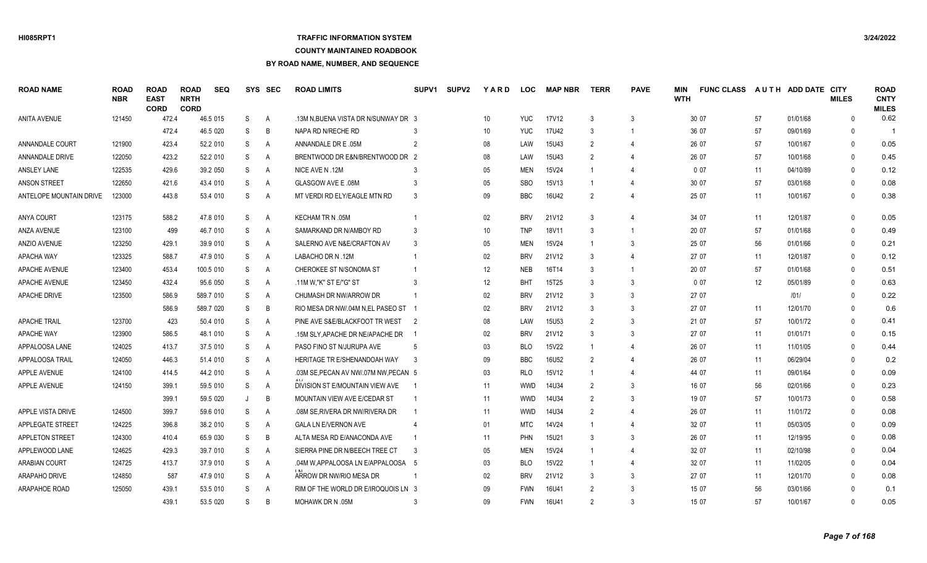# **TRAFFIC INFORMATION SYSTEM**

### **COUNTY MAINTAINED ROADBOOK**

| <b>ROAD NAME</b>        | <b>ROAD</b><br><b>NBR</b> | <b>ROAD</b><br><b>EAST</b><br><b>CORD</b> | <b>ROAD</b><br><b>NRTH</b><br><b>CORD</b> | <b>SEQ</b> |    | SYS SEC        | <b>ROAD LIMITS</b>                  | SUPV <sub>1</sub> | <b>SUPV2</b> | YARD            | <b>LOC</b> | <b>MAP NBR</b> | <b>TERR</b>    | <b>PAVE</b>    | MIN<br><b>WTH</b> | <b>FUNC CLASS</b> |    | AUTH ADD DATE CITY | <b>MILES</b> | <b>ROAD</b><br><b>CNTY</b><br><b>MILES</b> |
|-------------------------|---------------------------|-------------------------------------------|-------------------------------------------|------------|----|----------------|-------------------------------------|-------------------|--------------|-----------------|------------|----------------|----------------|----------------|-------------------|-------------------|----|--------------------|--------------|--------------------------------------------|
| ANITA AVENUE            | 121450                    | 472.4                                     |                                           | 46.5 015   | S  | $\overline{A}$ | 13M N.BUENA VISTA DR N/SUNWAY DR 3  |                   |              | 10 <sup>1</sup> | <b>YUC</b> | 17V12          | 3              | 3              |                   | 30 07             | 57 | 01/01/68           | $\Omega$     | 0.62                                       |
|                         |                           | 472.4                                     |                                           | 46.5 020   | S  | B              | NAPA RD N/RECHE RD                  |                   |              | 10              | <b>YUC</b> | <b>17U42</b>   | 3              | $\mathbf{1}$   |                   | 36 07             | 57 | 09/01/69           | $\mathbf{0}$ |                                            |
| <b>ANNANDALE COURT</b>  | 121900                    | 423.4                                     |                                           | 52.2 010   | S  | $\overline{A}$ | ANNANDALE DR E .05M                 | $\overline{2}$    |              | 08              | LAW        | <b>15U43</b>   | $\mathfrak{D}$ | 4              |                   | 26 07             | 57 | 10/01/67           | $\Omega$     | 0.05                                       |
| ANNANDALE DRIVE         | 122050                    | 423.2                                     |                                           | 52.2 010   | S  | A              | BRENTWOOD DR E&N/BRENTWOOD DR 2     |                   |              | 08              | LAW        | <b>15U43</b>   | $\mathfrak{D}$ | 4              |                   | 26 07             | 57 | 10/01/68           | $\Omega$     | 0.45                                       |
| ANSLEY LANE             | 122535                    | 429.6                                     |                                           | 39.2 050   | S  | A              | NICE AVE N.12M                      | 3                 |              | 05              | <b>MEN</b> | 15V24          |                |                |                   | 007               | 11 | 04/10/89           | $\mathbf{0}$ | 0.12                                       |
| ANSON STREET            | 122650                    | 421.6                                     |                                           | 43.4 010   | S  | A              | GLASGOW AVE E .08M                  | 3                 |              | 05              | <b>SBO</b> | 15V13          | $\overline{1}$ | $\Delta$       |                   | 30 07             | 57 | 03/01/68           | $\Omega$     | 0.08                                       |
| ANTELOPE MOUNTAIN DRIVE | 123000                    | 443.8                                     |                                           | 53.4 010   | S  | A              | MT VERDI RD ELY/EAGLE MTN RD        | 3                 |              | 09              | BBC        | 16U42          | 2              | 4              |                   | 25 07             | 11 | 10/01/67           | $\Omega$     | 0.38                                       |
| <b>ANYA COURT</b>       | 123175                    | 588.2                                     |                                           | 47.8 010   | S  | A              | KECHAM TR N .05M                    |                   |              | 02              | <b>BRV</b> | 21V12          | 3              | 4              |                   | 34 07             | 11 | 12/01/87           | $\Omega$     | 0.05                                       |
| ANZA AVENUE             | 123100                    | 499                                       |                                           | 46.7 010   | S  | A              | SAMARKAND DR N/AMBOY RD             | 3                 |              | 10              | <b>TNP</b> | 18V11          | 3              | $\overline{1}$ |                   | 20 07             | 57 | 01/01/68           | $\mathbf{0}$ | 0.49                                       |
| ANZIO AVENUE            | 123250                    | 429.1                                     |                                           | 39.9 010   | S  | $\overline{A}$ | SALERNO AVE N&E/CRAFTON AV          | -3                |              | 05              | <b>MEN</b> | 15V24          | $\overline{1}$ | 3              |                   | 25 07             | 56 | 01/01/66           | $\Omega$     | 0.21                                       |
| <b>APACHA WAY</b>       | 123325                    | 588.7                                     |                                           | 47.9 010   | S  | A              | LABACHO DR N .12M                   |                   |              | 02              | <b>BRV</b> | 21V12          | 3              | 4              |                   | 27 07             | 11 | 12/01/87           | $\Omega$     | 0.12                                       |
| APACHE AVENUE           | 123400                    | 453.4                                     |                                           | 100.5 010  | S  | A              | CHEROKEE ST N/SONOMA ST             |                   |              | 12              | <b>NEB</b> | 16T14          | 3              | $\mathbf{1}$   |                   | 20 07             | 57 | 01/01/68           | $\Omega$     | 0.51                                       |
| APACHE AVENUE           | 123450                    | 432.4                                     |                                           | 95.6 050   | S  | A              | .11M W, "K" ST E/"G" ST             | 3                 |              | 12              | <b>BHT</b> | 15T25          | 3              | 3              |                   | 007               | 12 | 05/01/89           | $\Omega$     | 0.63                                       |
| APACHE DRIVE            | 123500                    | 586.9                                     |                                           | 589.7 010  | S  | A              | CHUMASH DR NW/ARROW DR              |                   |              | 02              | <b>BRV</b> | 21V12          | 3              | 3              |                   | 27 07             |    | 1011               | $\Omega$     | 0.22                                       |
|                         |                           | 586.9                                     |                                           | 589.7 020  | S  | B              | RIO MESA DR NW/.04M N.EL PASEO ST   |                   |              | 02              | <b>BRV</b> | 21V12          | 3              | 3              |                   | 27 07             | 11 | 12/01/70           | $\Omega$     | 0.6                                        |
| APACHE TRAIL            | 123700                    | 423                                       |                                           | 50.4 010   | S  | A              | PINE AVE S& E/BLACK FOOT TR WEST 2  |                   |              | 08              | LAW        | <b>15U53</b>   | 2              | 3              |                   | 21 07             | 57 | 10/01/72           | $\Omega$     | 0.41                                       |
| APACHE WAY              | 123900                    | 586.5                                     |                                           | 48.1 010   | S  | $\overline{A}$ | .15M SLY.APACHE DR NE/APACHE DR     |                   |              | 02              | <b>BRV</b> | 21V12          | 3              | 3              |                   | 27 07             | 11 | 01/01/71           | $\Omega$     | 0.15                                       |
| APPALOOSA LANE          | 124025                    | 413.7                                     |                                           | 37.5 010   | S  | A              | PASO FINO ST N/JURUPA AVE           | .5                |              | 03              | <b>BLO</b> | <b>15V22</b>   |                | $\Delta$       |                   | 26 07             | 11 | 11/01/05           | $\Omega$     | 0.44                                       |
| APPALOOSA TRAIL         | 124050                    | 446.3                                     |                                           | 51.4 010   | S  | $\overline{A}$ | HERITAGE TR E/SHENANDOAH WAY        | -3                |              | 09              | <b>BBC</b> | 16U52          | 2              | 4              |                   | 26 07             | 11 | 06/29/04           | $\Omega$     | 0.2                                        |
| APPLE AVENUE            | 124100                    | 414.5                                     |                                           | 44.2 010   | S  | $\overline{A}$ | .03M SE.PECAN AV NW/ 07M NW PECAN 5 |                   |              | 03              | <b>RLO</b> | 15V12          | $\overline{1}$ | 4              |                   | 44 07             | 11 | 09/01/64           | $\Omega$     | 0.09                                       |
| APPLE AVENUE            | 124150                    | 399.1                                     |                                           | 59.5 010   | S  | A              | DIVISION ST E/MOUNTAIN VIEW AVE     |                   |              | 11              | <b>WWD</b> | 14U34          | $\mathfrak{D}$ | 3              |                   | 16 07             | 56 | 02/01/66           | $\Omega$     | 0.23                                       |
|                         |                           | 399.1                                     |                                           | 59.5 020   |    | B              | MOUNTAIN VIEW AVE E/CEDAR ST        |                   |              | 11              | <b>WWD</b> | 14U34          | $\mathfrak{D}$ | 3              |                   | 19 07             | 57 | 10/01/73           | $\Omega$     | 0.58                                       |
| APPLE VISTA DRIVE       | 124500                    | 399.7                                     |                                           | 59.6 010   | S  | A              | .08M SE, RIVERA DR NW/RIVERA DR     |                   |              | 11              | <b>WWD</b> | 14U34          | 2              | $\overline{4}$ |                   | 26 07             | 11 | 11/01/72           | $\Omega$     | 0.08                                       |
| APPLEGATE STREET        | 124225                    | 396.8                                     |                                           | 38.2 010   | S  | A              | <b>GALA LN E/VERNON AVE</b>         |                   |              | 01              | <b>MTC</b> | 14V24          | $\overline{1}$ | $\overline{4}$ |                   | 32 07             | 11 | 05/03/05           | $\Omega$     | 0.09                                       |
| APPLETON STREET         | 124300                    | 410.4                                     |                                           | 65.9 030   | S  | B              | ALTA MESA RD E/ANACONDA AVE         |                   |              | 11              | PHN        | <b>15U21</b>   | 3              | 3              |                   | 26 07             | 11 | 12/19/95           | $\Omega$     | 0.08                                       |
| APPLEWOOD LANE          | 124625                    | 429.3                                     |                                           | 39.7 010   | S  | A              | SIERRA PINE DR N/BEECH TREE CT      | - 3               |              | 05              | <b>MEN</b> | 15V24          |                | 4              |                   | 32 07             | 11 | 02/10/98           | $\Omega$     | 0.04                                       |
| ARABIAN COURT           | 124725                    | 413.7                                     |                                           | 37.9 010   | S  | A              | .04M W, APPALOOSA LN E/APPALOOSA 5  |                   |              | 03              | <b>BLO</b> | 15V22          | $\overline{1}$ | $\overline{4}$ |                   | 32 07             | 11 | 11/02/05           | $\mathbf{0}$ | 0.04                                       |
| ARAPAHO DRIVE           | 124850                    | 587                                       |                                           | 47.9 010   | S  | A              | ARROW DR NW/RIO MESA DR             |                   |              | 02              | <b>BRV</b> | 21V12          | 3              | 3              |                   | 27 07             | 11 | 12/01/70           | $\Omega$     | 0.08                                       |
| ARAPAHOE ROAD           | 125050                    | 439.1                                     |                                           | 53.5 010   | S  | $\overline{A}$ | RIM OF THE WORLD DR E/IROQUOIS LN 3 |                   |              | 09              | <b>FWN</b> | 16U41          | $\mathfrak{D}$ | 3              |                   | 15 07             | 56 | 03/01/66           | $\Omega$     | 0.1                                        |
|                         |                           | 439.1                                     |                                           | 53.5 020   | S. | B <sub>1</sub> | MOHAWK DR N .05M                    |                   |              | 09              | <b>FWN</b> | 16U41          | $\mathcal{P}$  | 3              |                   | 15 07             | 57 | 10/01/67           | $\Omega$     | 0.05                                       |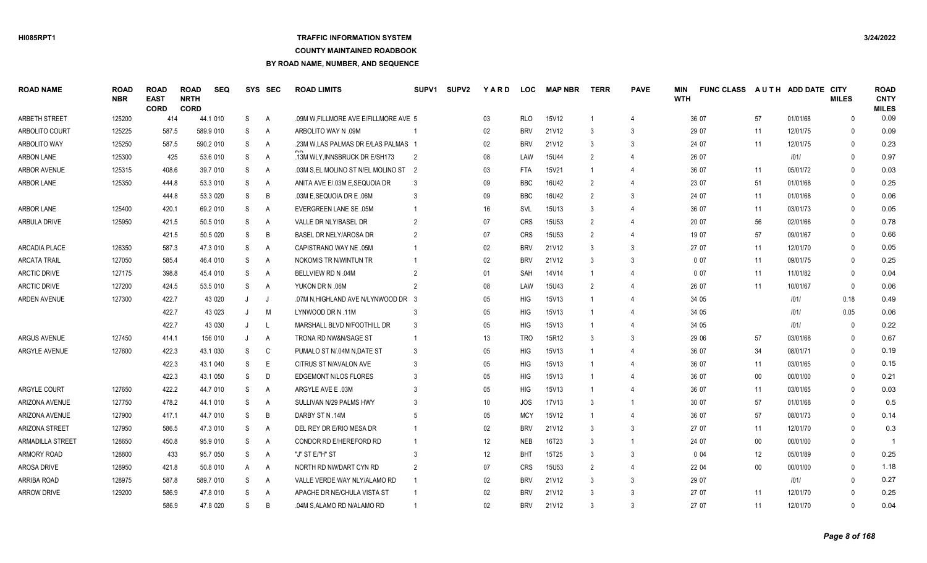# **TRAFFIC INFORMATION SYSTEM**

### **COUNTY MAINTAINED ROADBOOK**

| <b>ROAD NAME</b>      | <b>ROAD</b><br><b>NBR</b> | <b>ROAD</b><br><b>EAST</b><br><b>CORD</b> | <b>ROAD</b><br><b>NRTH</b><br><b>CORD</b> | <b>SEQ</b> |    | SYS SEC        | <b>ROAD LIMITS</b>                   | SUPV <sub>1</sub> | <b>SUPV2</b> | <b>YARD</b> | <b>LOC</b> | <b>MAP NBR</b>    | <b>TERR</b>    | <b>PAVE</b>    | <b>MIN</b><br><b>WTH</b> | <b>FUNC CLASS</b> |        | AUTH ADD DATE CITY | <b>MILES</b> | <b>ROAD</b><br><b>CNTY</b><br><b>MILES</b> |
|-----------------------|---------------------------|-------------------------------------------|-------------------------------------------|------------|----|----------------|--------------------------------------|-------------------|--------------|-------------|------------|-------------------|----------------|----------------|--------------------------|-------------------|--------|--------------------|--------------|--------------------------------------------|
| <b>ARBETH STREET</b>  | 125200                    | 414                                       |                                           | 44.1 010   | S  | A              | .09M W.FILLMORE AVE E/FILLMORE AVE 5 |                   |              | 03          | <b>RLO</b> | 15V12             |                | $\overline{4}$ |                          | 36 07             | 57     | 01/01/68           | $\mathbf{0}$ | 0.09                                       |
| ARBOLITO COURT        | 125225                    | 587.5                                     |                                           | 589.9 010  | S  | A              | ARBOLITO WAY N .09M                  |                   |              | 02          | <b>BRV</b> | 21V12             | 3              | 3              |                          | 29 07             | 11     | 12/01/75           | $\mathbf{0}$ | 0.09                                       |
| <b>ARBOLITO WAY</b>   | 125250                    | 587.5                                     |                                           | 590.2 010  | S  | A              | .23M W, LAS PALMAS DR E/LAS PALMAS 1 |                   |              | $02\,$      | <b>BRV</b> | 21V12             | 3              | 3              |                          | 24 07             | 11     | 12/01/75           | $\Omega$     | 0.23                                       |
| ARBON LANE            | 125300                    |                                           | 425                                       | 53.6 010   | S  | A              | .13M WLY, INNSBRUCK DR E/SH173       | 2                 |              | 08          | LAW        | 15U44             | $\overline{2}$ | $\overline{4}$ |                          | 26 07             |        | 1011               | $\Omega$     | 0.97                                       |
| ARBOR AVENUE          | 125315                    | 408.6                                     |                                           | 39.7 010   | S  | A              | .03M S,EL MOLINO ST N/EL MOLINO ST 2 |                   |              | 03          | FTA        | 15V21             |                | 4              |                          | 36 07             | 11     | 05/01/72           | $\mathbf{0}$ | 0.03                                       |
| ARBOR LANE            | 125350                    | 444.8                                     |                                           | 53.3 010   | S  | A              | ANITA AVE E/.03M E, SEQUOIA DR       | 3                 |              | 09          | <b>BBC</b> | 16U42             | 2              | 4              |                          | 23 07             | 51     | 01/01/68           | $\Omega$     | 0.25                                       |
|                       |                           | 444.8                                     |                                           | 53.3 020   | S  | B              | .03M E.SEQUOIA DR E .06M             |                   |              | 09          | <b>BBC</b> | 16U42             | $\mathcal{P}$  | 3              |                          | 24 07             | 11     | 01/01/68           | $\Omega$     | 0.06                                       |
| ARBOR LANE            | 125400                    | 420.1                                     |                                           | 69.2 010   | S  | A              | EVERGREEN LANE SE .05M               |                   |              | 16          | SVL        | 15U13             | 3              | 4              |                          | 36 07             | 11     | 03/01/73           | $\Omega$     | 0.05                                       |
| ARBULA DRIVE          | 125950                    | 421.5                                     |                                           | 50.5 010   | S  | A              | VALLE DR NLY/BASEL DR                |                   |              | 07          | <b>CRS</b> | 15U <sub>53</sub> | $\mathcal{P}$  | $\overline{4}$ |                          | 20 07             | 56     | 02/01/66           | $\Omega$     | 0.78                                       |
|                       |                           | 421.5                                     |                                           | 50.5 020   | S  | B              | BASEL DR NELY/AROSA DR               | $\mathcal{P}$     |              | 07          | <b>CRS</b> | <b>15U53</b>      | $\mathcal{P}$  | $\overline{4}$ |                          | 19 07             | 57     | 09/01/67           | $\Omega$     | 0.66                                       |
| <b>ARCADIA PLACE</b>  | 126350                    | 587.3                                     |                                           | 47.3 010   | S  | A              | CAPISTRANO WAY NE .05M               |                   |              | 02          | <b>BRV</b> | 21V12             | $\mathcal{R}$  | 3              |                          | 27 07             | 11     | 12/01/70           | $\Omega$     | 0.05                                       |
| <b>ARCATA TRAIL</b>   | 127050                    | 585.4                                     |                                           | 46.4 010   | S  | A              | NOKOMIS TR N/WINTUN TR               |                   |              | 02          | <b>BRV</b> | 21V12             | 3              | 3              |                          | 007               | 11     | 09/01/75           | $\mathbf{0}$ | 0.25                                       |
| ARCTIC DRIVE          | 127175                    | 398.8                                     |                                           | 45.4 010   | S  | A              | <b>BELLVIEW RD N .04M</b>            |                   |              | 01          | SAH        | 14V14             |                | $\overline{4}$ |                          | 007               | 11     | 11/01/82           | $\Omega$     | 0.04                                       |
| ARCTIC DRIVE          | 127200                    | 424.5                                     |                                           | 53.5 010   | S  | A              | YUKON DR N .06M                      |                   |              | 08          | LAW        | 15U43             | $\overline{2}$ | 4              |                          | 26 07             | 11     | 10/01/67           | $\Omega$     | 0.06                                       |
| ARDEN AVENUE          | 127300                    | 422.7                                     |                                           | 43 020     | J  | J.             | .07M N.HIGHLAND AVE N/LYNWOOD DR 3   |                   |              | 05          | <b>HIG</b> | 15V13             |                | $\overline{4}$ |                          | 34 05             |        | 1011               | 0.18         | 0.49                                       |
|                       |                           | 422.7                                     |                                           | 43 023     |    | M              | LYNWOOD DR N .11M                    |                   |              | 05          | <b>HIG</b> | 15V13             |                | 4              |                          | 34 05             |        | 1011               | 0.05         | 0.06                                       |
|                       |                           | 422.7                                     |                                           | 43 030     | J  | $\perp$        | MARSHALL BLVD N/FOOTHILL DR          | 3                 |              | 05          | <b>HIG</b> | 15V13             |                | 4              |                          | 34 05             |        | 1011               | $\Omega$     | 0.22                                       |
| <b>ARGUS AVENUE</b>   | 127450                    | 414.1                                     |                                           | 156 010    | J  | A              | <b>TRONA RD NW&amp;N/SAGE ST</b>     |                   |              | 13          | <b>TRO</b> | 15R12             |                | 3              |                          | 29 06             | 57     | 03/01/68           | $\Omega$     | 0.67                                       |
| ARGYLE AVENUE         | 127600                    | 422.3                                     |                                           | 43.1 030   | S  | C              | PUMALO ST N/.04M N.DATE ST           | 3                 |              | 05          | <b>HIG</b> | 15V13             |                | 4              |                          | 36 07             | 34     | 08/01/71           | $\Omega$     | 0.19                                       |
|                       |                           | 422.3                                     |                                           | 43.1 040   | S  | E              | CITRUS ST N/AVALON AVE               |                   |              | 05          | <b>HIG</b> | 15V13             |                | 4              |                          | 36 07             | 11     | 03/01/65           | $\Omega$     | 0.15                                       |
|                       |                           | 422.3                                     |                                           | 43.1 050   | S  | D              | <b>EDGEMONT N/LOS FLORES</b>         |                   |              | 05          | <b>HIG</b> | 15V13             |                | $\overline{4}$ |                          | 36 07             | $00\,$ | 00/01/00           | $\Omega$     | 0.21                                       |
| ARGYLE COURT          | 127650                    | 422.2                                     |                                           | 44.7 010   | S  | A              | ARGYLE AVE E .03M                    |                   |              | 05          | HIG        | 15V13             |                | 4              |                          | 36 07             | 11     | 03/01/65           | $\Omega$     | 0.03                                       |
| ARIZONA AVENUE        | 127750                    | 478.2                                     |                                           | 44.1 010   | S  | $\overline{A}$ | SULLIVAN N/29 PALMS HWY              |                   |              | 10          | JOS        | 17V13             | 3              | $\overline{1}$ |                          | 30 07             | 57     | 01/01/68           | $\Omega$     | 0.5                                        |
| ARIZONA AVENUE        | 127900                    | 417.1                                     |                                           | 44.7 010   | S  | B              | DARBY ST N .14M                      | -5                |              | 05          | <b>MCY</b> | 15V12             | -1             | $\overline{4}$ |                          | 36 07             | 57     | 08/01/73           | $\Omega$     | 0.14                                       |
| <b>ARIZONA STREET</b> | 127950                    | 586.5                                     |                                           | 47.3 010   | S  | $\overline{A}$ | DEL REY DR E/RIO MESA DR             |                   |              | 02          | <b>BRV</b> | 21V12             | 3              | 3              |                          | 27 07             | 11     | 12/01/70           | $\Omega$     | 0.3                                        |
| ARMADILLA STREET      | 128650                    | 450.8                                     |                                           | 95.9 010   | S  | $\mathsf{A}$   | CONDOR RD E/HEREFORD RD              |                   |              | 12          | <b>NEB</b> | 16T23             | 3              | $\overline{1}$ |                          | 24 07             | $00\,$ | 00/01/00           | $\mathbf{0}$ | $\overline{1}$                             |
| <b>ARMORY ROAD</b>    | 128800                    |                                           | 433                                       | 95.7 050   | S  | A              | "J" ST E/"H" ST                      |                   |              | 12          | <b>BHT</b> | 15T25             | 3              | 3              |                          | 004               | 12     | 05/01/89           | $\Omega$     | 0.25                                       |
| AROSA DRIVE           | 128950                    | 421.8                                     |                                           | 50.8 010   | A  | A              | NORTH RD NW/DART CYN RD              | $\mathcal{P}$     |              | 07          | <b>CRS</b> | 15U <sub>53</sub> | $\mathcal{P}$  | 4              |                          | 22 04             | $00\,$ | 00/01/00           | $\Omega$     | 1.18                                       |
| ARRIBA ROAD           | 128975                    | 587.8                                     |                                           | 589.7 010  | S  | A              | VALLE VERDE WAY NLY/ALAMO RD         |                   |              | 02          | <b>BRV</b> | 21V12             |                | 3              |                          | 29 07             |        | 1011               | $\Omega$     | 0.27                                       |
| <b>ARROW DRIVE</b>    | 129200                    | 586.9                                     |                                           | 47.8 010   | S  | A              | APACHE DR NE/CHULA VISTA ST          |                   |              | 02          | <b>BRV</b> | 21V12             |                | 3              |                          | 27 07             | 11     | 12/01/70           | $\Omega$     | 0.25                                       |
|                       |                           | 586.9                                     |                                           | 47.8 020   | S. | B.             | .04M S.ALAMO RD N/ALAMO RD           |                   |              | 02          | <b>BRV</b> | 21V12             |                | 3              |                          | 27 07             | 11     | 12/01/70           | $\Omega$     | 0.04                                       |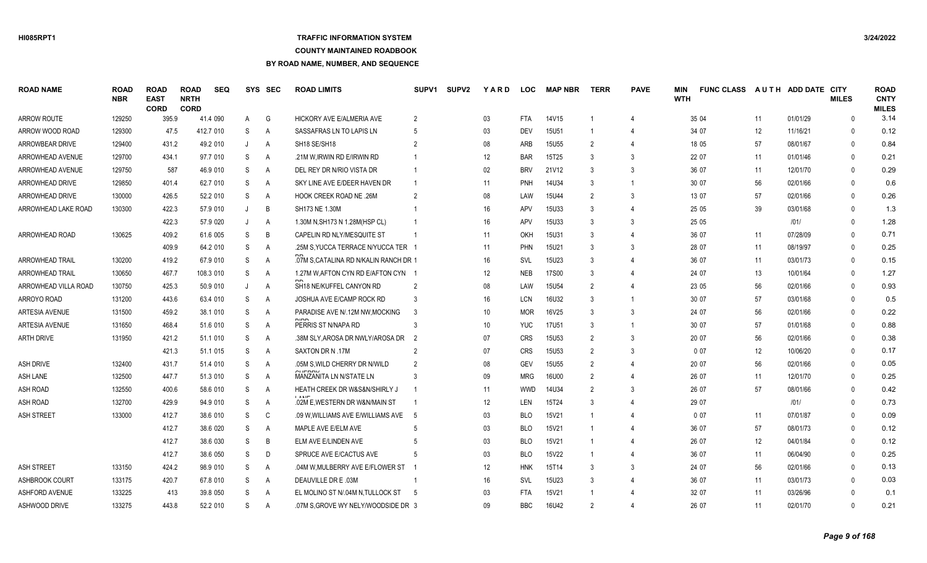# **TRAFFIC INFORMATION SYSTEM**

### **COUNTY MAINTAINED ROADBOOK**

| <b>ROAD NAME</b>       | <b>ROAD</b><br><b>NBR</b> | <b>ROAD</b><br><b>EAST</b><br><b>CORD</b> | <b>ROAD</b><br><b>NRTH</b><br><b>CORD</b> | <b>SEQ</b> |    | SYS SEC        | <b>ROAD LIMITS</b>                     | <b>SUPV1</b>   | <b>SUPV2</b> | <b>YARD</b> | <b>LOC</b> | <b>MAP NBR</b> | <b>TERR</b>    | <b>PAVE</b>              | <b>MIN</b><br><b>WTH</b> | <b>FUNC CLASS</b> |    | AUTH ADD DATE CITY | <b>MILES</b> | <b>ROAD</b><br><b>CNTY</b><br><b>MILES</b> |
|------------------------|---------------------------|-------------------------------------------|-------------------------------------------|------------|----|----------------|----------------------------------------|----------------|--------------|-------------|------------|----------------|----------------|--------------------------|--------------------------|-------------------|----|--------------------|--------------|--------------------------------------------|
| <b>ARROW ROUTE</b>     | 129250                    | 395.9                                     |                                           | 41.4 090   | A  | G              | HICKORY AVE E/ALMERIA AVE              | $\overline{2}$ |              | 03          | <b>FTA</b> | 14V15          |                |                          |                          | 35 04             | 11 | 01/01/29           | $\Omega$     | 3.14                                       |
| ARROW WOOD ROAD        | 129300                    | 47.5                                      |                                           | 412.7 010  | S  | $\overline{A}$ | SASSAFRAS LN TO LAPIS LN               | .5             |              | 03          | <b>DEV</b> | 15U51          |                | 4                        |                          | 34 07             | 12 | 11/16/21           | $\Omega$     | 0.12                                       |
| ARROWBEAR DRIVE        | 129400                    | 431.2                                     |                                           | 49.2 010   |    | A              | SH18 SE/SH18                           |                |              | 08          | ARB        | 15U55          | $\mathcal{P}$  |                          |                          | 18 05             | 57 | 08/01/67           | $\Omega$     | 0.84                                       |
| ARROWHEAD AVENUE       | 129700                    | 434.1                                     |                                           | 97.7 010   | S  | A              | .21M W, IRWIN RD E/IRWIN RD            |                |              | 12          | <b>BAR</b> | 15T25          |                | 3                        |                          | 22 07             | 11 | 01/01/46           | $\Omega$     | 0.21                                       |
| ARROWHEAD AVENUE       | 129750                    | 587                                       |                                           | 46.9 010   | S  | A              | DEL REY DR N/RIO VISTA DR              |                |              | 02          | <b>BRV</b> | 21V12          | 3              | $\mathbf{3}$             |                          | 36 07             | 11 | 12/01/70           | $\Omega$     | 0.29                                       |
| <b>ARROWHEAD DRIVE</b> | 129850                    | 401.4                                     |                                           | 62.7 010   | S  | A              | SKY LINE AVE E/DEER HAVEN DR           |                |              | 11          | <b>PNH</b> | 14U34          | 3              |                          |                          | 30 07             | 56 | 02/01/66           | $\mathbf{0}$ | 0.6                                        |
| <b>ARROWHEAD DRIVE</b> | 130000                    | 426.5                                     |                                           | 52.2 010   | S  | A              | HOOK CREEK ROAD NE .26M                | 2              |              | 08          | LAW        | 15U44          | 2              | 3                        |                          | 13 07             | 57 | 02/01/66           | $\Omega$     | 0.26                                       |
| ARROWHEAD LAKE ROAD    | 130300                    | 422.3                                     |                                           | 57.9 010   |    | B              | SH173 NE 1.30M                         |                |              | 16          | <b>APV</b> | 15U33          | 3              | 4                        |                          | 25 05             | 39 | 03/01/68           | $\Omega$     | 1.3                                        |
|                        |                           | 422.3                                     |                                           | 57.9 020   | J  | A              | 1.30M N, SH173 N 1.28M (HSP CL)        |                |              | 16          | <b>APV</b> | 15U33          | 3              | 3                        |                          | 25 05             |    | 1011               | $\Omega$     | 1.28                                       |
| ARROWHEAD ROAD         | 130625                    | 409.2                                     |                                           | 61.6 005   | S  | B              | CAPELIN RD NLY/MESQUITE ST             |                |              | 11          | OKH        | 15U31          |                | 4                        |                          | 36 07             | 11 | 07/28/09           | $\Omega$     | 0.71                                       |
|                        |                           | 409.9                                     |                                           | 64.2 010   | S  | A              | .25M S, YUCCA TERRACE N/YUCCA TER 1    |                |              | 11          | PHN        | 15U21          |                | 3                        |                          | 28 07             | 11 | 08/19/97           | $\Omega$     | 0.25                                       |
| <b>ARROWHEAD TRAIL</b> | 130200                    | 419.2                                     |                                           | 67.9 010   | S  | A              | .07M S, CATALINA RD N/KALIN RANCH DR 1 |                |              | 16          | SVL        | 15U23          |                |                          |                          | 36 07             | 11 | 03/01/73           | $\Omega$     | 0.15                                       |
| <b>ARROWHEAD TRAIL</b> | 130650                    | 467.7                                     |                                           | 108.3 010  | S  | $\overline{A}$ | 1.27M W, AFTON CYN RD E/AFTON CYN 1    |                |              | 12          | <b>NEB</b> | 17S00          |                |                          |                          | 24 07             | 13 | 10/01/64           | $\Omega$     | 1.27                                       |
| ARROWHEAD VILLA ROAD   | 130750                    | 425.3                                     |                                           | 50.9 010   |    | A              | SH18 NE/KUFFEL CANYON RD               | $\overline{2}$ |              | 08          | LAW        | 15U54          | $\overline{2}$ |                          |                          | 23 05             | 56 | 02/01/66           | $\Omega$     | 0.93                                       |
| ARROYO ROAD            | 131200                    | 443.6                                     |                                           | 63.4 010   | S  | $\overline{A}$ | JOSHUA AVE E/CAMP ROCK RD              | 3              |              | 16          | <b>LCN</b> | 16U32          | 3              | $\overline{1}$           |                          | 30 07             | 57 | 03/01/68           | $\Omega$     | 0.5                                        |
| ARTESIA AVENUE         | 131500                    | 459.2                                     |                                           | 38.1 010   | S  | A              | PARADISE AVE N/.12M NW, MOCKING        | -3             |              | 10          | <b>MOR</b> | 16V25          | 3              | 3                        |                          | 24 07             | 56 | 02/01/66           | $\Omega$     | 0.22                                       |
| ARTESIA AVENUE         | 131650                    | 468.4                                     |                                           | 51.6 010   | S  | A              | PERRIS ST N/NAPA RD                    | 3              |              | 10          | <b>YUC</b> | 17U51          | 3              | $\overline{1}$           |                          | 30 07             | 57 | 01/01/68           | $\Omega$     | 0.88                                       |
| <b>ARTH DRIVE</b>      | 131950                    | 421.2                                     |                                           | 51.1 010   | S  | A              | .38M SLY,AROSA DR NWLY/AROSA DR        | $\overline{2}$ |              | 07          | <b>CRS</b> | 15U53          |                | 3                        |                          | 20 07             | 56 | 02/01/66           | $\Omega$     | 0.38                                       |
|                        |                           | 421.3                                     |                                           | 51.1 015   | S  | A              | SAXTON DR N 17M                        | 2              |              | 07          | <b>CRS</b> | <b>15U53</b>   | $\mathcal{P}$  | 3                        |                          | 007               | 12 | 10/06/20           | $\Omega$     | 0.17                                       |
| <b>ASH DRIVE</b>       | 132400                    | 431.7                                     |                                           | 51.4 010   | S  | A              | .05M S, WILD CHERRY DR N/WILD          |                |              | 08          | <b>GEV</b> | 15U55          |                |                          |                          | 20 07             | 56 | 02/01/66           | $\Omega$     | 0.05                                       |
| <b>ASH LANE</b>        | 132500                    | 447.7                                     |                                           | 51.3 010   | S  | A              | MANZANITA LN N/STATE LN                |                |              | 09          | <b>MRG</b> | 16U00          | $\mathcal{P}$  |                          |                          | 26 07             | 11 | 12/01/70           | $\Omega$     | 0.25                                       |
| <b>ASH ROAD</b>        | 132550                    | 400.6                                     |                                           | 58.6 010   | S  | A              | HEATH CREEK DR W&S&N/SHIRLY J          |                |              | 11          | <b>WWD</b> | 14U34          | $\mathcal{P}$  | 3                        |                          | 26 07             | 57 | 08/01/66           | $\Omega$     | 0.42                                       |
| <b>ASH ROAD</b>        | 132700                    | 429.9                                     |                                           | 94.9 010   | S  | A              | .02M E, WESTERN DR W&N/MAIN ST         |                |              | 12          | LEN        | 15T24          | 3              |                          |                          | 29 07             |    | 1011               | $\Omega$     | 0.73                                       |
| ASH STREET             | 133000                    | 412.7                                     |                                           | 38.6 010   | S  | C              | .09 W, WILLIAMS AVE E/WILLIAMS AVE     | $^{5}$         |              | 03          | <b>BLO</b> | 15V21          |                |                          |                          | 007               | 11 | 07/01/87           | $\mathbf{0}$ | 0.09                                       |
|                        |                           | 412.7                                     |                                           | 38.6 020   | S  | A              | MAPLE AVE E/ELM AVE                    |                |              | 03          | <b>BLO</b> | 15V21          |                | $\Delta$                 |                          | 36 07             | 57 | 08/01/73           | $\Omega$     | 0.12                                       |
|                        |                           | 412.7                                     |                                           | 38.6 030   | S  | B              | ELM AVE E/LINDEN AVE                   |                |              | 03          | <b>BLO</b> | 15V21          |                | $\overline{\mathcal{L}}$ |                          | 26 07             | 12 | 04/01/84           | $\Omega$     | 0.12                                       |
|                        |                           | 412.7                                     |                                           | 38.6 050   | S  | D              | SPRUCE AVE E/CACTUS AVE                |                |              | 03          | <b>BLO</b> | 15V22          |                |                          |                          | 36 07             | 11 | 06/04/90           | $\Omega$     | 0.25                                       |
| <b>ASH STREET</b>      | 133150                    | 424.2                                     |                                           | 98.9 010   | S  | A              | .04M W.MULBERRY AVE E/FLOWER ST        |                |              | 12          | <b>HNK</b> | 15T14          | 3              | 3                        |                          | 24 07             | 56 | 02/01/66           | $\Omega$     | 0.13                                       |
| <b>ASHBROOK COURT</b>  | 133175                    | 420.7                                     |                                           | 67.8 010   | S  | A              | <b>DEAUVILLE DR E .03M</b>             |                |              | 16          | SVL        | 15U23          |                |                          |                          | 36 07             | 11 | 03/01/73           | $\Omega$     | 0.03                                       |
| <b>ASHFORD AVENUE</b>  | 133225                    | 413                                       |                                           | 39.8 050   | S  | A              | EL MOLINO ST N/.04M N, TULLOCK ST      | - 5            |              | 03          | <b>FTA</b> | 15V21          |                |                          |                          | 32 07             | 11 | 03/26/96           | $\Omega$     | 0.1                                        |
| ASHWOOD DRIVE          | 133275                    | 443.8                                     |                                           | 52.2 010   | S. | A              | .07M S, GROVE WY NELY/WOODSIDE DR 3    |                |              | 09          | <b>BBC</b> | 16U42          |                |                          |                          | 26 07             | 11 | 02/01/70           | $\Omega$     | 0.21                                       |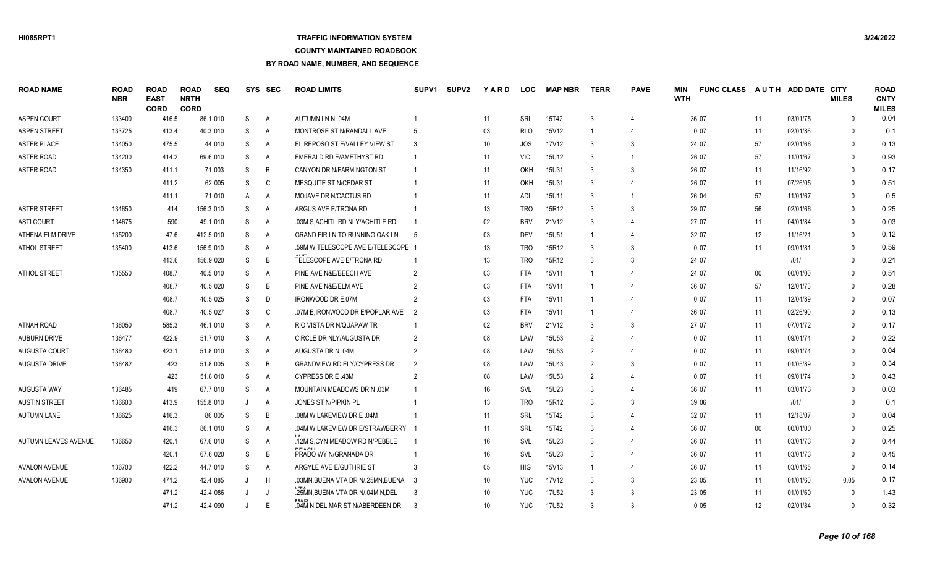# **TRAFFIC INFORMATION SYSTEM**

#### **COUNTY MAINTAINED ROADBOOK**

| <b>ROAD NAME</b>            | <b>ROAD</b><br><b>NBR</b> | <b>ROAD</b><br><b>EAST</b><br><b>CORD</b> | <b>ROAD</b><br><b>NRTH</b><br><b>CORD</b> | <b>SEQ</b> |   | SYS SEC        | <b>ROAD LIMITS</b>                  | SUPV1          | <b>SUPV2</b> | YARD | <b>LOC</b> | <b>MAP NBR</b> | <b>TERR</b>    | <b>PAVE</b>    | <b>MIN</b><br><b>WTH</b> | <b>FUNC CLASS</b> |        | AUTH ADD DATE CITY | <b>MILES</b> | <b>ROAD</b><br><b>CNTY</b><br><b>MILES</b> |
|-----------------------------|---------------------------|-------------------------------------------|-------------------------------------------|------------|---|----------------|-------------------------------------|----------------|--------------|------|------------|----------------|----------------|----------------|--------------------------|-------------------|--------|--------------------|--------------|--------------------------------------------|
| ASPEN COURT                 | 133400                    | 416.5                                     |                                           | 86.1 010   | S | A              | <b>AUTUMN LN N .04M</b>             |                |              | 11   | <b>SRL</b> | 15T42          | 3              |                |                          | 36 07             | 11     | 03/01/75           | $\Omega$     | 0.04                                       |
| <b>ASPEN STREET</b>         | 133725                    | 413.4                                     |                                           | 40.3 010   | S | A              | MONTROSE ST N/RANDALL AVE           | 5              |              | 03   | <b>RLO</b> | 15V12          | -1             |                |                          | 0 0 7             | 11     | 02/01/86           | $\Omega$     | 0.1                                        |
| <b>ASTER PLACE</b>          | 134050                    | 475.5                                     |                                           | 44 010     | S | A              | EL REPOSO ST E/VALLEY VIEW ST       | 3              |              | 10   | JOS        | <b>17V12</b>   | 3              | 3              |                          | 24 07             | 57     | 02/01/66           | $\Omega$     | 0.13                                       |
| <b>ASTER ROAD</b>           | 134200                    | 414.2                                     |                                           | 69.6 010   | S | A              | EMERALD RD E/AMETHYST RD            |                |              | 11   | <b>VIC</b> | 15U12          | 3              |                |                          | 26 07             | 57     | 11/01/67           | $\Omega$     | 0.93                                       |
| <b>ASTER ROAD</b>           | 134350                    | 411.1                                     |                                           | 71 003     | S | B              | CANYON DR N/FARMINGTON ST           | -1             |              | 11   | <b>OKH</b> | <b>15U31</b>   | 3              | 3              |                          | 26 07             | 11     | 11/16/92           | $\Omega$     | 0.17                                       |
|                             |                           | 411.2                                     |                                           | 62 005     | S | C              | MESQUITE ST N/CEDAR ST              |                |              | 11   | <b>OKH</b> | <b>15U31</b>   | 3              | 4              |                          | 26 07             | 11     | 07/26/05           | $\Omega$     | 0.51                                       |
|                             |                           | 411.1                                     |                                           | 71 010     | A | A              | MOJAVE DR N/CACTUS RD               |                |              | 11   | <b>ADL</b> | 15U11          | 3              |                |                          | 26 04             | 57     | 11/01/67           | $\Omega$     | 0.5                                        |
| <b>ASTER STREET</b>         | 134650                    | 414                                       |                                           | 156.3 010  | S | A              | ARGUS AVE E/TRONA RD                |                |              | 13   | TRO        | 15R12          | 3              | 3              |                          | 29 07             | 56     | 02/01/66           | $\Omega$     | 0.25                                       |
| <b>ASTI COURT</b>           | 134675                    | 590                                       |                                           | 49.1 010   | S | A              | .03M S, ACHITL RD NLY/ACHITLE RD    |                |              | 02   | <b>BRV</b> | 21V12          | 3              |                |                          | 27 07             | 11     | 04/01/84           | $\Omega$     | 0.03                                       |
| ATHENA ELM DRIVE            | 135200                    | 47.6                                      |                                           | 412.5 010  | S | A              | GRAND FIR LN TO RUNNING OAK LN      | -5             |              | 03   | <b>DEV</b> | 15U51          | -1             | $\overline{4}$ |                          | 32 07             | 12     | 11/16/21           | 0            | 0.12                                       |
| ATHOL STREET                | 135400                    | 413.6                                     |                                           | 156.9 010  | S | A              | .59M W, TELESCOPE AVE E/TELESCOPE 1 |                |              | 13   | <b>TRO</b> | 15R12          | 3              | 3              |                          | 007               | 11     | 09/01/81           | $\Omega$     | 0.59                                       |
|                             |                           | 413.6                                     |                                           | 156.9 020  | S | B              | TELESCOPE AVE E/TRONA RD            |                |              | 13   | <b>TRO</b> | 15R12          | 3              | 3              |                          | 24 07             |        | 1011               | $\Omega$     | 0.21                                       |
| <b>ATHOL STREET</b>         | 135550                    | 408.7                                     |                                           | 40.5 010   | S | A              | PINE AVE N&E/BEECH AVE              | $\overline{2}$ |              | 03   | <b>FTA</b> | 15V11          | $\overline{1}$ |                |                          | 24 07             | $00\,$ | 00/01/00           | $\Omega$     | 0.51                                       |
|                             |                           | 408.7                                     |                                           | 40.5 020   | S | B              | PINE AVE N&E/ELM AVE                | $\mathcal{P}$  |              | 03   | <b>FTA</b> | 15V11          |                | $\Lambda$      |                          | 36 07             | 57     | 12/01/73           | $\Omega$     | 0.28                                       |
|                             |                           | 408.7                                     |                                           | 40.5 025   | S | D              | <b>IRONWOOD DR E.07M</b>            | $\overline{2}$ |              | 03   | <b>FTA</b> | 15V11          | $\overline{1}$ |                |                          | 0 0 7             | 11     | 12/04/89           | $\Omega$     | 0.07                                       |
|                             |                           | 408.7                                     |                                           | 40.5 027   | S | C              | .07M E, IRONWOOD DR E/POPLAR AVE 2  |                |              | 03   | <b>FTA</b> | 15V11          | $\overline{1}$ | $\Delta$       |                          | 36 07             | 11     | 02/26/90           | $\Omega$     | 0.13                                       |
| <b>ATNAH ROAD</b>           | 136050                    | 585.3                                     |                                           | 46.1 010   | S | Α              | RIO VISTA DR N/QUAPAW TR            | -1             |              | 02   | <b>BRV</b> | 21V12          | 3              | 3              |                          | 27 07             | 11     | 07/01/72           | $\mathbf{0}$ | 0.17                                       |
| <b>AUBURN DRIVE</b>         | 136477                    | 422.9                                     |                                           | 51.7 010   | S | A              | CIRCLE DR NLY/AUGUSTA DR            | $\overline{2}$ |              | 08   | LAW        | 15U53          | $\overline{2}$ |                |                          | 007               | 11     | 09/01/74           | $\Omega$     | 0.22                                       |
| AUGUSTA COURT               | 136480                    | 423.1                                     |                                           | 51.8 010   | S | A              | AUGUSTA DR N .04M                   | $\overline{2}$ |              | 08   | LAW        | 15U53          | $\overline{2}$ |                |                          | 007               | 11     | 09/01/74           | $\mathbf{0}$ | 0.04                                       |
| <b>AUGUSTA DRIVE</b>        | 136482                    | 423                                       |                                           | 51.8 005   | S | B              | <b>GRANDVIEW RD ELY/CYPRESS DR</b>  | $\overline{2}$ |              | 08   | LAW        | 15U43          | $\overline{2}$ | 3              |                          | 007               | 11     | 01/05/89           | $\Omega$     | 0.34                                       |
|                             |                           | 423                                       |                                           | 51.8 010   | S | A              | CYPRESS DR E .43M                   | $\overline{2}$ |              | 08   | LAW        | 15U53          | $\overline{2}$ | $\overline{4}$ |                          | 007               | 11     | 09/01/74           | $\Omega$     | 0.43                                       |
| AUGUSTA WAY                 | 136485                    | 419                                       |                                           | 67.7 010   | S | $\overline{A}$ | MOUNTAIN MEADOWS DR N .03M          |                |              | 16   | SVL        | 15U23          | 3              |                |                          | 36 07             | 11     | 03/01/73           | $\Omega$     | 0.03                                       |
| <b>AUSTIN STREET</b>        | 136600                    | 413.9                                     |                                           | 155.8 010  | J | $\overline{A}$ | JONES ST N/PIPKIN PL                |                |              | 13   | <b>TRO</b> | 15R12          | 3              | 3              |                          | 39 06             |        | 1011               | $\Omega$     | 0.1                                        |
| <b>AUTUMN LANE</b>          | 136625                    | 416.3                                     |                                           | 86 005     | S | B              | .08M W,LAKEVIEW DR E .04M           |                |              | 11   | <b>SRL</b> | 15T42          | 3              | $\overline{4}$ |                          | 32 07             | 11     | 12/18/07           | $\Omega$     | 0.04                                       |
|                             |                           | 416.3                                     |                                           | 86.1 010   | S | A              | .04M W,LAKEVIEW DR E/STRAWBERRY 1   |                |              | 11   | <b>SRL</b> | 15T42          | 3              | $\Delta$       |                          | 36 07             | $00\,$ | 00/01/00           | $\Omega$     | 0.25                                       |
| <b>AUTUMN LEAVES AVENUE</b> | 136650                    | 420.1                                     |                                           | 67.6 010   | S | A              | .12M S.CYN MEADOW RD N/PEBBLE       |                |              | 16   | SVL        | <b>15U23</b>   | 3              |                |                          | 36 07             | 11     | 03/01/73           | $\Omega$     | 0.44                                       |
|                             |                           | 420.1                                     |                                           | 67.6 020   | S | B              | PRADO WY N/GRANADA DR               |                |              | 16   | <b>SVL</b> | <b>15U23</b>   | 3              |                |                          | 36 07             | 11     | 03/01/73           | $\Omega$     | 0.45                                       |
| <b>AVALON AVENUE</b>        | 136700                    | 422.2                                     |                                           | 44.7 010   | S | A              | ARGYLE AVE E/GUTHRIE ST             | 3              |              | 05   | HIG        | 15V13          | $\overline{1}$ | $\overline{4}$ |                          | 36 07             | 11     | 03/01/65           | $\mathbf{0}$ | 0.14                                       |
| <b>AVALON AVENUE</b>        | 136900                    | 471.2                                     |                                           | 42.4 085   | J | H              | .03MN.BUENA VTA DR N/.25MN.BUENA 3  |                |              | 10   | <b>YUC</b> | 17V12          | 3              | 3              |                          | 23 05             | 11     | 01/01/60           | 0.05         | 0.17                                       |
|                             |                           | 471.2                                     |                                           | 42.4 086   |   | J              | .25MN, BUENA VTA DR N/.04M N, DEL   | -3             |              | 10   | <b>YUC</b> | <b>17U52</b>   | 3              | 3              |                          | 23 05             | 11     | 01/01/60           | $\cup$       | 1.43                                       |
|                             |                           | 471.2                                     |                                           | 42.4 090   |   | E              | .04M N.DEL MAR ST N/ABERDEEN DR     | -3             |              | 10   | <b>YUC</b> | <b>17U52</b>   | 3              | 3              |                          | 005               | 12     | 02/01/84           | $\cup$       | 0.32                                       |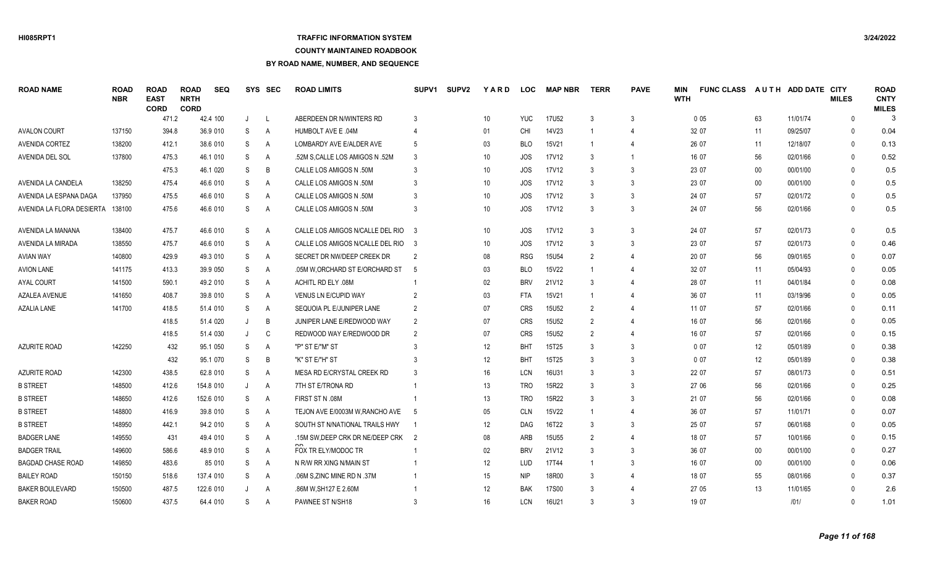## **TRAFFIC INFORMATION SYSTEM**

### **COUNTY MAINTAINED ROADBOOK**

| <b>ROAD NAME</b>          | <b>ROAD</b><br><b>NBR</b> | <b>ROAD</b><br><b>EAST</b><br><b>CORD</b> | <b>ROAD</b><br><b>NRTH</b><br><b>CORD</b> | <b>SEQ</b> |         | SYS SEC        | <b>ROAD LIMITS</b>                 | SUPV <sub>1</sub> | <b>SUPV2</b> | <b>YARD</b>     | <b>LOC</b> | <b>MAP NBR</b> | <b>TERR</b>    | <b>PAVE</b>    | MIN<br><b>WTH</b> | <b>FUNC CLASS</b> |        | AUTH ADD DATE CITY | <b>MILES</b> | <b>ROAD</b><br><b>CNTY</b><br><b>MILES</b> |
|---------------------------|---------------------------|-------------------------------------------|-------------------------------------------|------------|---------|----------------|------------------------------------|-------------------|--------------|-----------------|------------|----------------|----------------|----------------|-------------------|-------------------|--------|--------------------|--------------|--------------------------------------------|
|                           |                           | 471.2                                     |                                           | 42.4 100   | J.      | $\mathsf{L}$   | ABERDEEN DR N/WINTERS RD           | 3                 |              | 10 <sup>°</sup> | <b>YUC</b> | <b>17U52</b>   | 3              | $\mathbf{3}$   |                   | 0 0 5             | 63     | 11/01/74           | $\Omega$     |                                            |
| <b>AVALON COURT</b>       | 137150                    | 394.8                                     |                                           | 36.9 010   | S       | A              | <b>HUMBOLT AVE E .04M</b>          |                   |              | 01              | CHI        | 14V23          |                | 4              |                   | 32 07             | 11     | 09/25/07           | $\Omega$     | 0.04                                       |
| <b>AVENIDA CORTEZ</b>     | 138200                    | 412.1                                     |                                           | 38.6 010   | S       | A              | LOMBARDY AVE E/ALDER AVE           | -5                |              | 03              | <b>BLO</b> | 15V21          |                | $\overline{4}$ |                   | 26 07             | 11     | 12/18/07           | $\Omega$     | 0.13                                       |
| <b>AVENIDA DEL SOL</b>    | 137800                    | 475.3                                     |                                           | 46.1 010   | S       | A              | .52M S.CALLE LOS AMIGOS N .52M     | 3                 |              | 10 <sup>°</sup> | <b>JOS</b> | 17V12          | 3              | $\overline{1}$ |                   | 16 07             | 56     | 02/01/66           | $\Omega$     | 0.52                                       |
|                           |                           | 475.3                                     |                                           | 46.1 020   | S       | B              | CALLE LOS AMIGOS N .50M            | 3                 |              | 10              | JOS        | 17V12          | 3              | 3              |                   | 23 07             | $00\,$ | 00/01/00           | $\Omega$     | 0.5                                        |
| AVENIDA LA CANDELA        | 138250                    | 475.4                                     |                                           | 46.6 010   | S       | A              | CALLE LOS AMIGOS N .50M            | 3                 |              | 10              | JOS        | 17V12          | 3              | 3              |                   | 23 07             | $00\,$ | 00/01/00           | $\Omega$     | 0.5                                        |
| AVENIDA LA ESPANA DAGA    | 137950                    | 475.5                                     |                                           | 46.6 010   | S       | A              | CALLE LOS AMIGOS N .50M            |                   |              | 10 <sup>°</sup> | <b>JOS</b> | 17V12          |                | 3              |                   | 24 07             | 57     | 02/01/72           | $\Omega$     | 0.5                                        |
| AVENIDA LA FLORA DESIERTA | 138100                    | 475.6                                     |                                           | 46.6 010   | S       | A              | CALLE LOS AMIGOS N .50M            |                   |              | 10 <sup>°</sup> | <b>JOS</b> | 17V12          | 3              | 3              |                   | 24 07             | 56     | 02/01/66           | $\Omega$     | 0.5                                        |
| AVENIDA LA MANANA         | 138400                    | 475.7                                     |                                           | 46.6 010   | S       | $\overline{A}$ | CALLE LOS AMIGOS N/CALLE DEL RIO 3 |                   |              | 10 <sup>°</sup> | <b>JOS</b> | 17V12          | 3              | 3              |                   | 24 07             | 57     | 02/01/73           | $\Omega$     | 0.5                                        |
| AVENIDA LA MIRADA         | 138550                    | 475.7                                     |                                           | 46.6 010   | S       | A              | CALLE LOS AMIGOS N/CALLE DEL RIO   | -3                |              | 10              | JOS        | 17V12          | 3              | 3              |                   | 23 07             | 57     | 02/01/73           | $\Omega$     | 0.46                                       |
| <b>AVIAN WAY</b>          | 140800                    | 429.9                                     |                                           | 49.3 010   | S       | A              | SECRET DR NW/DEEP CREEK DR         | $\overline{2}$    |              | 08              | <b>RSG</b> | <b>15U54</b>   | $\overline{2}$ | $\overline{4}$ |                   | 20 07             | 56     | 09/01/65           | $\Omega$     | 0.07                                       |
| <b>AVION LANE</b>         | 141175                    | 413.3                                     |                                           | 39.9 050   | S       | A              | .05M W.ORCHARD ST E/ORCHARD ST     | -5                |              | 03              | <b>BLO</b> | 15V22          |                | $\overline{4}$ |                   | 32 07             | 11     | 05/04/93           | $\Omega$     | 0.05                                       |
| <b>AYAL COURT</b>         | 141500                    | 590.1                                     |                                           | 49.2 010   | S       | A              | ACHITL RD ELY .08M                 |                   |              | $02\,$          | <b>BRV</b> | 21V12          | 3              | $\overline{4}$ |                   | 28 07             | 11     | 04/01/84           | $\Omega$     | 0.08                                       |
| AZALEA AVENUE             | 141650                    | 408.7                                     |                                           | 39.8 010   | S       | A              | VENUS LN E/CUPID WAY               |                   |              | 03              | <b>FTA</b> | 15V21          |                | $\overline{4}$ |                   | 36 07             | 11     | 03/19/96           | $\mathbf{0}$ | 0.05                                       |
| <b>AZALIA LANE</b>        | 141700                    | 418.5                                     |                                           | 51.4 010   | S       | A              | SEQUOIA PL E/JUNIPER LANE          | 2                 |              | 07              | <b>CRS</b> | <b>15U52</b>   | $\mathcal{P}$  | $\overline{4}$ |                   | 11 07             | 57     | 02/01/66           | $\Omega$     | 0.11                                       |
|                           |                           | 418.5                                     |                                           | 51.4 020   |         | B              | JUNIPER LANE E/REDWOOD WAY         | $\overline{2}$    |              | 07              | <b>CRS</b> | <b>15U52</b>   | $\mathfrak{p}$ | 4              |                   | 16 07             | 56     | 02/01/66           | $\Omega$     | 0.05                                       |
|                           |                           | 418.5                                     |                                           | 51.4 030   |         | C              | REDWOOD WAY E/REDWOOD DR           |                   |              | 07              | <b>CRS</b> | 15U52          | $\mathfrak{p}$ | $\overline{4}$ |                   | 16 07             | 57     | 02/01/66           | $\mathbf{0}$ | 0.15                                       |
| <b>AZURITE ROAD</b>       | 142250                    | 432                                       |                                           | 95.1 050   | S       | A              | "P" ST E/"M" ST                    |                   |              | 12              | <b>BHT</b> | 15T25          | $\mathcal{R}$  | 3              |                   | 007               | 12     | 05/01/89           | $\Omega$     | 0.38                                       |
|                           |                           |                                           | 432                                       | 95.1 070   | S       | B              | "K" ST E/"H" ST                    |                   |              | 12              | <b>BHT</b> | 15T25          |                | 3              |                   | 007               | 12     | 05/01/89           | $\Omega$     | 0.38                                       |
| <b>AZURITE ROAD</b>       | 142300                    | 438.5                                     |                                           | 62.8 010   | S       | A              | MESA RD E/CRYSTAL CREEK RD         |                   |              | 16              | <b>LCN</b> | 16U31          | 3              | 3              |                   | 22 07             | 57     | 08/01/73           | $\mathbf{0}$ | 0.51                                       |
| <b>B STREET</b>           | 148500                    | 412.6                                     |                                           | 154.8 010  | $\cdot$ | $\overline{A}$ | 7TH ST E/TRONA RD                  |                   |              | 13              | <b>TRO</b> | 15R22          | $\mathcal{R}$  | 3              |                   | 27 06             | 56     | 02/01/66           | $\Omega$     | 0.25                                       |
| <b>B STREET</b>           | 148650                    | 412.6                                     |                                           | 152.6 010  | S       | $\mathsf{A}$   | FIRST ST N .08M                    |                   |              | 13              | <b>TRO</b> | 15R22          | 3              | 3              |                   | 21 07             | 56     | 02/01/66           | $\Omega$     | 0.08                                       |
| <b>B STREET</b>           | 148800                    | 416.9                                     |                                           | 39.8 010   | S       | A              | TEJON AVE E/0003M W, RANCHO AVE    | 5                 |              | 05              | <b>CLN</b> | <b>15V22</b>   |                | $\overline{4}$ |                   | 36 07             | 57     | 11/01/71           | $\Omega$     | 0.07                                       |
| <b>B STREET</b>           | 148950                    | 442.1                                     |                                           | 94.2 010   | S       | $\mathsf{A}$   | SOUTH ST N/NATIONAL TRAILS HWY     |                   |              | 12              | DAG        | 16T22          | $\mathcal{R}$  | 3              |                   | 25 07             | 57     | 06/01/68           | $\Omega$     | 0.05                                       |
| <b>BADGER LANE</b>        | 149550                    | 431                                       |                                           | 49.4 010   | S       | A              | .15M SW, DEEP CRK DR NE/DEEP CRK   | $\overline{2}$    |              | 08              | ARB        | 15U55          | $\mathcal{P}$  | $\overline{4}$ |                   | 18 07             | 57     | 10/01/66           | $\Omega$     | 0.15                                       |
| <b>BADGER TRAIL</b>       | 149600                    | 586.6                                     |                                           | 48.9 010   | S       | A              | FOX TR ELY/MODOC TR                |                   |              | 02              | <b>BRV</b> | 21V12          | 3              | 3              |                   | 36 07             | $00\,$ | 00/01/00           | $\Omega$     | 0.27                                       |
| <b>BAGDAD CHASE ROAD</b>  | 149850                    | 483.6                                     |                                           | 85 010     | S       | A              | N R/W RR XING N/MAIN ST            |                   |              | 12              | LUD        | 17T44          |                | 3              |                   | 16 07             | $00\,$ | 00/01/00           | $\Omega$     | 0.06                                       |
| <b>BAILEY ROAD</b>        | 150150                    | 518.6                                     |                                           | 137.4 010  | S       | A              | .06M S.ZINC MINE RD N .37M         |                   |              | 15              | <b>NIP</b> | 18R00          | 3              | 4              |                   | 18 07             | 55     | 08/01/66           | $\Omega$     | 0.37                                       |
| <b>BAKER BOULEVARD</b>    | 150500                    | 487.5                                     |                                           | 122.6 010  |         | A              | .86M W, SH127 E 2.60M              |                   |              | 12              | <b>BAK</b> | 17S00          |                |                |                   | 27 05             | 13     | 11/01/65           | $\Omega$     | 2.6                                        |
| <b>BAKER ROAD</b>         | 150600                    | 437.5                                     |                                           | 64.4 010   | S       | A              | PAWNEE ST N/SH18                   |                   |              | 16              | <b>LCN</b> | 16U21          | $\mathcal{R}$  | $\mathbf{3}$   |                   | 19 07             |        | 1011               | $\Omega$     | 1.01                                       |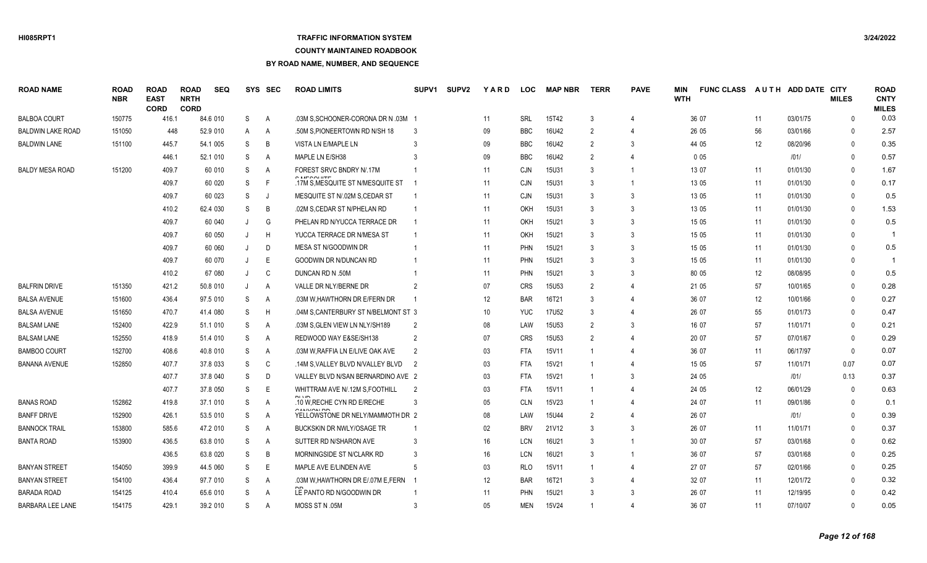### **TRAFFIC INFORMATION SYSTEM**

### **COUNTY MAINTAINED ROADBOOK**

| <b>ROAD NAME</b>         | <b>ROAD</b><br><b>NBR</b> | <b>ROAD</b><br><b>EAST</b><br><b>CORD</b> | <b>ROAD</b><br><b>NRTH</b><br><b>CORD</b> | <b>SEQ</b> | <b>SYS</b> | <b>SEC</b>   | <b>ROAD LIMITS</b>                     | SUPV <sub>1</sub> | <b>SUPV2</b> | YARD            | <b>LOC</b> | <b>MAP NBR</b> | <b>TERR</b>    | <b>PAVE</b>    | MIN<br><b>WTH</b> | <b>FUNC CLASS</b> |    | AUTH ADD DATE | <b>CITY</b><br><b>MILES</b> | <b>ROAD</b><br><b>CNTY</b><br><b>MILES</b> |
|--------------------------|---------------------------|-------------------------------------------|-------------------------------------------|------------|------------|--------------|----------------------------------------|-------------------|--------------|-----------------|------------|----------------|----------------|----------------|-------------------|-------------------|----|---------------|-----------------------------|--------------------------------------------|
| <b>BALBOA COURT</b>      | 150775                    | 416.1                                     |                                           | 84.6 010   | S          | Α            | 03M S.SCHOONER-CORONA DR N .03M 1      |                   |              | 11              | <b>SRL</b> | 15T42          | 3              |                |                   | 36 07             | 11 | 03/01/75      | $\mathbf{0}$                | 0.03                                       |
| <b>BALDWIN LAKE ROAD</b> | 151050                    |                                           | 448                                       | 52.9 010   | A          | Α            | .50M S, PIONEERTOWN RD N/SH 18         |                   |              | 09              | <b>BBC</b> | 16U42          | $\overline{2}$ |                |                   | 26 05             | 56 | 03/01/66      | $\Omega$                    | 2.57                                       |
| <b>BALDWIN LANE</b>      | 151100                    | 445.7                                     |                                           | 54.1 005   | S          | B            | VISTA LN E/MAPLE LN                    |                   |              | 09              | <b>BBC</b> | 16U42          | $\overline{2}$ | 3              |                   | 44 05             | 12 | 08/20/96      | $\mathbf{0}$                | 0.35                                       |
|                          |                           | 446.1                                     |                                           | 52.1 010   | S          | A            | MAPLE LN E/SH38                        |                   |              | 09              | <b>BBC</b> | 16U42          | $\overline{2}$ |                |                   | 005               |    | 1011          | $\mathbf{0}$                | 0.57                                       |
| <b>BALDY MESA ROAD</b>   | 151200                    | 409.7                                     |                                           | 60 010     | S          | A            | FOREST SRVC BNDRY N/.17M<br>0.15001075 |                   |              | 11              | <b>CJN</b> | <b>15U31</b>   | $\mathcal{R}$  | $\overline{1}$ |                   | 13 07             | 11 | 01/01/30      | $\Omega$                    | 1.67                                       |
|                          |                           | 409.7                                     |                                           | 60 020     | S          |              | .17M S, MESQUITE ST N/MESQUITE ST      |                   |              | 11              | <b>CJN</b> | 15U31          | 3              | $\overline{1}$ |                   | 13 05             | 11 | 01/01/30      | $\Omega$                    | 0.17                                       |
|                          |                           | 409.7                                     |                                           | 60 023     | S          | $\mathsf{J}$ | MESQUITE ST N/.02M S.CEDAR ST          |                   |              | 11              | <b>CJN</b> | 15U31          | $\mathcal{R}$  | 3              |                   | 13 05             | 11 | 01/01/30      | $\Omega$                    | 0.5                                        |
|                          |                           | 410.2                                     |                                           | 62.4 030   | S          | B            | .02M S.CEDAR ST N/PHELAN RD            |                   |              | 11              | OKH        | <b>15U31</b>   | 3              | 3              |                   | 13 05             | 11 | 01/01/30      | $\Omega$                    | 1.53                                       |
|                          |                           | 409.7                                     |                                           | 60 040     | J          | G            | PHELAN RD N/YUCCA TERRACE DR           |                   |              | 11              | OKH        | 15U21          | -3             | 3              |                   | 15 05             | 11 | 01/01/30      | $\Omega$                    | 0.5                                        |
|                          |                           | 409.7                                     |                                           | 60 050     |            | H            | YUCCA TERRACE DR N/MESA ST             |                   |              | 11              | <b>OKH</b> | 15U21          | 3              | 3              |                   | 15 05             | 11 | 01/01/30      | $\mathbf{0}$                | $\overline{1}$                             |
|                          |                           | 409.7                                     |                                           | 60 060     |            | D            | MESA ST N/GOODWIN DR                   |                   |              | 11              | <b>PHN</b> | 15U21          |                | 3              |                   | 15 05             | 11 | 01/01/30      | $\Omega$                    | 0.5                                        |
|                          |                           | 409.7                                     |                                           | 60 070     | J          | Ε            | GOODWIN DR N/DUNCAN RD                 |                   |              | 11              | <b>PHN</b> | 15U21          |                | 3              |                   | 15 05             | 11 | 01/01/30      | $\mathbf{0}$                | $\overline{1}$                             |
|                          |                           | 410.2                                     |                                           | 67 080     | $\cdot$    | C            | DUNCAN RD N .50M                       |                   |              | 11              | <b>PHN</b> | 15U21          | 3              |                |                   | 80 05             | 12 | 08/08/95      | $\Omega$                    | 0.5                                        |
| <b>BALFRIN DRIVE</b>     | 151350                    | 421.2                                     |                                           | 50.8 010   |            | Α            | VALLE DR NLY/BERNE DR                  | $\mathcal{P}$     |              | 07              | <b>CRS</b> | <b>15U53</b>   | $\mathfrak{p}$ |                |                   | 21 05             | 57 | 10/01/65      | $\Omega$                    | 0.28                                       |
| <b>BALSA AVENUE</b>      | 151600                    | 436.4                                     |                                           | 97.5 010   | S          | A            | .03M W, HAWTHORN DR E/FERN DR          |                   |              | 12              | <b>BAR</b> | 16T21          | $\mathcal{R}$  |                |                   | 36 07             | 12 | 10/01/66      | $\Omega$                    | 0.27                                       |
| <b>BALSA AVENUE</b>      | 151650                    | 470.7                                     |                                           | 41.4 080   | S          | H            | .04M S.CANTERBURY ST N/BELMONT ST 3    |                   |              | 10 <sup>°</sup> | <b>YUC</b> | 17U52          | 3              |                |                   | 26 07             | 55 | 01/01/73      | $\Omega$                    | 0.47                                       |
| <b>BALSAM LANE</b>       | 152400                    | 422.9                                     |                                           | 51.1 010   | S          | A            | .03M S.GLEN VIEW LN NLY/SH189          | 2                 |              | 08              | LAW        | 15U53          | $\mathfrak{p}$ | 3              |                   | 16 07             | 57 | 11/01/71      | $\mathbf{0}$                | 0.21                                       |
| <b>BALSAM LANE</b>       | 152550                    | 418.9                                     |                                           | 51.4 010   | S          | A            | REDWOOD WAY E&SE/SH138                 |                   |              | 07              | <b>CRS</b> | 15U53          | $\overline{2}$ |                |                   | 20 07             | 57 | 07/01/67      | $\mathbf{0}$                | 0.29                                       |
| <b>BAMBOO COURT</b>      | 152700                    | 408.6                                     |                                           | 40.8 010   | S          | Α            | .03M W, RAFFIA LN E/LIVE OAK AVE       | $\overline{2}$    |              | 03              | <b>FTA</b> | 15V11          |                | $\overline{4}$ |                   | 36 07             | 11 | 06/17/97      | $\mathbf{0}$                | 0.07                                       |
| <b>BANANA AVENUE</b>     | 152850                    | 407.7                                     |                                           | 37.8 033   | S          | C            | .14M S.VALLEY BLVD N/VALLEY BLVD       | 2                 |              | 03              | <b>FTA</b> | 15V21          |                |                |                   | 15 05             | 57 | 11/01/71      | 0.07                        | 0.07                                       |
|                          |                           | 407.7                                     |                                           | 37.8 040   | S          | D            | VALLEY BLVD N/SAN BERNARDINO AVE 2     |                   |              | 03              | <b>FTA</b> | 15V21          |                | 3              |                   | 24 05             |    | 1011          | 0.13                        | 0.37                                       |
|                          |                           | 407.7                                     |                                           | 37.8 050   | S          | E            | WHITTRAM AVE N/.12M S, FOOTHILL        | $\overline{2}$    |              | 03              | <b>FTA</b> | 15V11          |                |                |                   | 24 05             | 12 | 06/01/29      | $\Omega$                    | 0.63                                       |
| <b>BANAS ROAD</b>        | 152862                    | 419.8                                     |                                           | 37.1 010   | S          | A            | .10 W, RECHE CYN RD E/RECHE            | 3                 |              | 05              | <b>CLN</b> | 15V23          |                |                |                   | 24 07             | 11 | 09/01/86      | $\Omega$                    | 0.1                                        |
| <b>BANFF DRIVE</b>       | 152900                    | 426.1                                     |                                           | 53.5 010   | S          | A            | YELLOWSTONE DR NELY/MAMMOTH DR 2       |                   |              | 08              | LAW        | 15U44          | $\mathfrak{p}$ |                |                   | 26 07             |    | 1011          | $\Omega$                    | 0.39                                       |
| <b>BANNOCK TRAIL</b>     | 153800                    | 585.6                                     |                                           | 47.2 010   | S          | A            | BUCKSKIN DR NWLY/OSAGE TR              |                   |              | 02              | <b>BRV</b> | 21V12          | 3              | 3              |                   | 26 07             | 11 | 11/01/71      | $\Omega$                    | 0.37                                       |
| <b>BANTA ROAD</b>        | 153900                    | 436.5                                     |                                           | 63.8 010   | S          | Α            | SUTTER RD N/SHARON AVE                 |                   |              | 16              | LCN        | 16U21          | 3              | $\overline{1}$ |                   | 30 07             | 57 | 03/01/68      | $\mathbf{0}$                | 0.62                                       |
|                          |                           | 436.5                                     |                                           | 63.8 020   | S          | B            | MORNINGSIDE ST N/CLARK RD              |                   |              | 16              | <b>LCN</b> | 16U21          | 3              | -1             |                   | 36 07             | 57 | 03/01/68      | $\mathbf{0}$                | 0.25                                       |
| <b>BANYAN STREET</b>     | 154050                    | 399.9                                     |                                           | 44.5 060   | S          | E            | MAPLE AVE E/LINDEN AVE                 | .5                |              | 03              | <b>RLO</b> | 15V11          |                |                |                   | 27 07             | 57 | 02/01/66      | $\Omega$                    | 0.25                                       |
| <b>BANYAN STREET</b>     | 154100                    | 436.4                                     |                                           | 97.7 010   | S          | A            | .03M W.HAWTHORN DR E/.07M E.FERN       |                   |              | 12              | <b>BAR</b> | 16T21          | 3              |                |                   | 32 07             | 11 | 12/01/72      | $\mathbf{0}$                | 0.32                                       |
| <b>BARADA ROAD</b>       | 154125                    | 410.4                                     |                                           | 65.6 010   | S          | A            | LE PANTO RD N/GOODWIN DR               |                   |              | 11              | <b>PHN</b> | 15U21          | $\mathcal{R}$  | 3              |                   | 26 07             | 11 | 12/19/95      | $\Omega$                    | 0.42                                       |
| <b>BARBARA LEE LANE</b>  | 154175                    | 429.1                                     |                                           | 39.2 010   | S.         | A            | MOSS ST N .05M                         |                   |              | $05\,$          | <b>MEN</b> | 15V24          |                |                |                   | 36 07             | 11 | 07/10/07      | $\Omega$                    | 0.05                                       |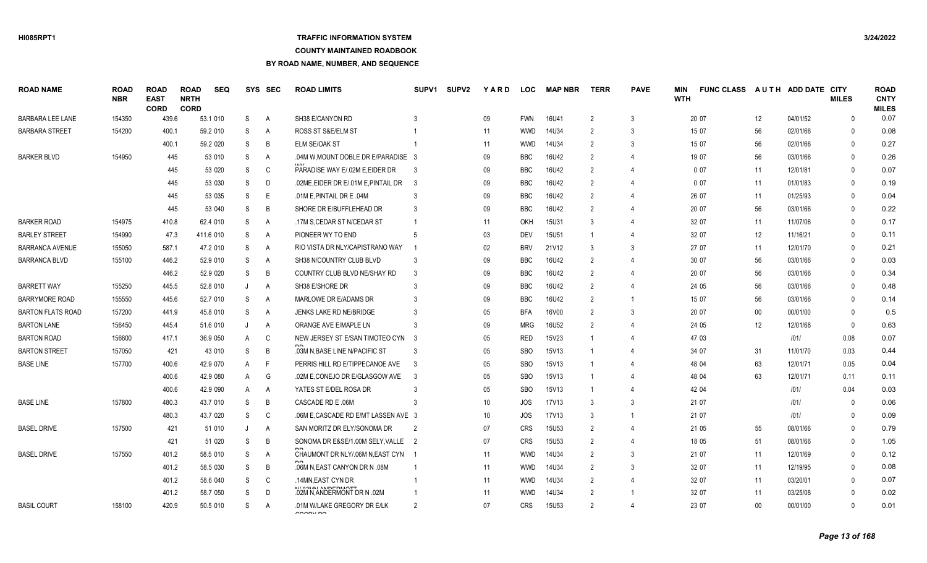# **TRAFFIC INFORMATION SYSTEM**

#### **COUNTY MAINTAINED ROADBOOK**

| <b>ROAD NAME</b>         | <b>ROAD</b><br><b>NBR</b> | <b>ROAD</b><br><b>EAST</b><br><b>CORD</b> | <b>ROAD</b><br><b>NRTH</b><br><b>CORD</b> | <b>SEQ</b> |   | SYS SEC        | <b>ROAD LIMITS</b>                                 | SUPV <sub>1</sub>       | <b>SUPV2</b> | <b>YARD</b> | <b>LOC</b> | <b>MAP NBR</b>    | <b>TERR</b>    | <b>PAVE</b>    | <b>MIN</b><br><b>WTH</b> | <b>FUNC CLASS</b> |        | AUTH ADD DATE CITY | <b>MILES</b> | <b>ROAD</b><br><b>CNTY</b><br><b>MILES</b> |
|--------------------------|---------------------------|-------------------------------------------|-------------------------------------------|------------|---|----------------|----------------------------------------------------|-------------------------|--------------|-------------|------------|-------------------|----------------|----------------|--------------------------|-------------------|--------|--------------------|--------------|--------------------------------------------|
| <b>BARBARA LEE LANE</b>  | 154350                    | 439.6                                     |                                           | 53.1 010   | S | $\overline{A}$ | SH38 E/CANYON RD                                   |                         |              | 09          | <b>FWN</b> | 16U41             | $\mathfrak{p}$ | $\mathbf{3}$   |                          | 20 07             | 12     | 04/01/52           | $\Omega$     | 0.07                                       |
| <b>BARBARA STREET</b>    | 154200                    | 400.1                                     |                                           | 59.2 010   | S | $\overline{A}$ | <b>ROSS ST S&amp;E/ELM ST</b>                      |                         |              | 11          | <b>WWD</b> | 14U34             | $\mathfrak{p}$ | 3              |                          | 15 07             | 56     | 02/01/66           | $\Omega$     | 0.08                                       |
|                          |                           | 400.1                                     |                                           | 59.2 020   | S | B              | <b>ELM SE/OAK ST</b>                               |                         |              | 11          | <b>WWD</b> | 14U34             | $\mathfrak{p}$ | 3              |                          | 15 07             | 56     | 02/01/66           | $\Omega$     | 0.27                                       |
| <b>BARKER BLVD</b>       | 154950                    | 445                                       |                                           | 53 010     | S | A              | .04M W, MOUNT DOBLE DR E/PARADISE 3                |                         |              | 09          | <b>BBC</b> | 16U42             | $\mathfrak{p}$ | $\overline{4}$ |                          | 19 07             | 56     | 03/01/66           | $\Omega$     | 0.26                                       |
|                          |                           | 445                                       |                                           | 53 020     | S | C              | PARADISE WAY E/.02M E.EIDER DR                     | -3                      |              | 09          | <b>BBC</b> | 16U42             | 2              | 4              |                          | 007               | 11     | 12/01/81           | $\Omega$     | 0.07                                       |
|                          |                           |                                           | 445                                       | 53 030     | S | D              | .02ME.EIDER DR E/.01M E.PINTAIL DR                 | $\overline{\mathbf{3}}$ |              | 09          | <b>BBC</b> | 16U42             | $\mathfrak{p}$ | $\overline{4}$ |                          | 007               | 11     | 01/01/83           | $\Omega$     | 0.19                                       |
|                          |                           |                                           | 445                                       | 53 035     | S | E              | .01M E.PINTAIL DR E .04M                           |                         |              | 09          | <b>BBC</b> | 16U42             | $\mathcal{P}$  | $\overline{4}$ |                          | 26 07             | 11     | 01/25/93           | $\Omega$     | 0.04                                       |
|                          |                           | 445                                       |                                           | 53 040     | S | B              | SHORE DR E/BUFFLEHEAD DR                           |                         |              | 09          | <b>BBC</b> | 16U42             | $\mathfrak{p}$ | 4              |                          | 20 07             | 56     | 03/01/66           | $\Omega$     | 0.22                                       |
| <b>BARKER ROAD</b>       | 154975                    | 410.8                                     |                                           | 62.4 010   | S | $\overline{A}$ | .17M S.CEDAR ST N/CEDAR ST                         |                         |              | 11          | OKH        | 15U31             |                | $\overline{4}$ |                          | 32 07             | 11     | 11/07/06           | $\Omega$     | 0.17                                       |
| <b>BARLEY STREET</b>     | 154990                    | 47.3                                      |                                           | 411.6 010  | S | $\overline{A}$ | PIONEER WY TO END                                  | -5                      |              | 03          | <b>DEV</b> | <b>15U51</b>      |                | $\overline{4}$ |                          | 32 07             | 12     | 11/16/21           | $\Omega$     | 0.11                                       |
| <b>BARRANCA AVENUE</b>   | 155050                    | 587.1                                     |                                           | 47.2 010   | S | $\overline{A}$ | RIO VISTA DR NLY/CAPISTRANO WAY                    |                         |              | 02          | <b>BRV</b> | 21V12             | 3              | 3              |                          | 27 07             | 11     | 12/01/70           | $\Omega$     | 0.21                                       |
| <b>BARRANCA BLVD</b>     | 155100                    | 446.2                                     |                                           | 52.9 010   | S | $\overline{A}$ | SH38 N/COUNTRY CLUB BLVD                           | -3                      |              | 09          | <b>BBC</b> | 16U42             | $\overline{2}$ | 4              |                          | 30 07             | 56     | 03/01/66           | $\Omega$     | 0.03                                       |
|                          |                           | 446.2                                     |                                           | 52.9 020   | S | B              | COUNTRY CLUB BLVD NE/SHAY RD                       |                         |              | 09          | <b>BBC</b> | 16U42             |                | 4              |                          | 20 07             | 56     | 03/01/66           | $\Omega$     | 0.34                                       |
| <b>BARRETT WAY</b>       | 155250                    | 445.5                                     |                                           | 52.8 010   | J | Α              | SH38 E/SHORE DR                                    |                         |              | 09          | <b>BBC</b> | 16U42             | 2              | $\overline{4}$ |                          | 24 05             | 56     | 03/01/66           | $\Omega$     | 0.48                                       |
| <b>BARRYMORE ROAD</b>    | 155550                    | 445.6                                     |                                           | 52.7 010   | S | A              | MARLOWE DR E/ADAMS DR                              |                         |              | 09          | <b>BBC</b> | 16U42             | $\mathfrak{p}$ | $\overline{1}$ |                          | 15 07             | 56     | 03/01/66           | $\Omega$     | 0.14                                       |
| <b>BARTON FLATS ROAD</b> | 157200                    | 441.9                                     |                                           | 45.8 010   | S | $\overline{A}$ | <b>JENKS LAKE RD NE/BRIDGE</b>                     |                         |              | 05          | <b>BFA</b> | 16V00             | 2              | 3              |                          | 20 07             | $00\,$ | 00/01/00           | $\Omega$     | 0.5                                        |
| <b>BARTON LANE</b>       | 156450                    | 445.4                                     |                                           | 51.6 010   |   | $\overline{A}$ | ORANGE AVE E/MAPLE LN                              |                         |              | 09          | <b>MRG</b> | 16U <sub>52</sub> |                | 4              |                          | 24 05             | 12     | 12/01/68           | $\Omega$     | 0.63                                       |
| <b>BARTON ROAD</b>       | 156600                    | 417.1                                     |                                           | 36.9 050   | A | C              | NEW JERSEY ST E/SAN TIMOTEO CYN 3                  |                         |              | 05          | <b>RED</b> | 15V23             |                | $\overline{4}$ |                          | 47 03             |        | 101/               | 0.08         | 0.07                                       |
| <b>BARTON STREET</b>     | 157050                    | 421                                       |                                           | 43 010     | S | B              | .03M N, BASE LINE N/PACIFIC ST                     |                         |              | 05          | <b>SBO</b> | 15V13             |                | $\overline{4}$ |                          | 34 07             | 31     | 11/01/70           | 0.03         | 0.44                                       |
| <b>BASE LINE</b>         | 157700                    | 400.6                                     |                                           | 42.9 070   | A | F              | PERRIS HILL RD E/TIPPECANOE AVE                    | $\mathbf{3}$            |              | 05          | <b>SBO</b> | 15V13             |                | $\overline{4}$ |                          | 48 04             | 63     | 12/01/71           | 0.05         | 0.04                                       |
|                          |                           | 400.6                                     |                                           | 42.9 080   | A | G              | .02M E, CONEJO DR E/GLASGOW AVE                    | -3                      |              | 05          | <b>SBO</b> | 15V13             |                | $\overline{4}$ |                          | 48 04             | 63     | 12/01/71           | 0.11         | 0.11                                       |
|                          |                           | 400.6                                     |                                           | 42.9 090   | A | A              | YATES ST E/DEL ROSA DR                             |                         |              | 05          | <b>SBO</b> | 15V13             |                | $\overline{4}$ |                          | 42 04             |        | 1011               | 0.04         | 0.03                                       |
| <b>BASE LINE</b>         | 157800                    | 480.3                                     |                                           | 43.7 010   | S | B              | CASCADE RD E .06M                                  |                         |              | 10          | JOS        | 17V13             | $\mathbf{3}$   | 3              |                          | 21 07             |        | 1011               | $\mathbf{0}$ | 0.06                                       |
|                          |                           | 480.3                                     |                                           | 43.7 020   | S | C              | .06M E.CASCADE RD E/MT LASSEN AVE 3                |                         |              | 10          | JOS        | 17V13             | $\mathcal{R}$  | -1             |                          | 21 07             |        | 1011               | $\Omega$     | 0.09                                       |
| <b>BASEL DRIVE</b>       | 157500                    | 421                                       |                                           | 51 010     | J | $\overline{A}$ | SAN MORITZ DR ELY/SONOMA DR                        | $\overline{2}$          |              | 07          | <b>CRS</b> | <b>15U53</b>      | $\mathfrak{p}$ | $\overline{4}$ |                          | 21 05             | 55     | 08/01/66           | $\Omega$     | 0.79                                       |
|                          |                           | 421                                       |                                           | 51 020     | S | B              | SONOMA DR E&SE/1.00M SELY, VALLE 2                 |                         |              | 07          | <b>CRS</b> | <b>15U53</b>      | $\mathcal{P}$  | $\overline{4}$ |                          | 18 05             | 51     | 08/01/66           | $\Omega$     | 1.05                                       |
| <b>BASEL DRIVE</b>       | 157550                    | 401.2                                     |                                           | 58.5 010   | S | A              | CHAUMONT DR NLY/.06M N, EAST CYN                   |                         |              | 11          | <b>WWD</b> | 14U34             | $\mathfrak{p}$ | 3              |                          | 21 07             | 11     | 12/01/69           | $\Omega$     | 0.12                                       |
|                          |                           | 401.2                                     |                                           | 58.5 030   | S | B              | .06M N.EAST CANYON DR N .08M                       |                         |              | 11          | <b>WWD</b> | 14U34             | $\mathcal{P}$  | 3              |                          | 32 07             | 11     | 12/19/95           | $\Omega$     | 0.08                                       |
|                          |                           | 401.2                                     |                                           | 58.6 040   | S | C              | .14MN.EAST CYN DR                                  |                         |              | 11          | <b>WWD</b> | 14U34             | $\mathcal{P}$  | $\overline{4}$ |                          | 32 07             | 11     | 03/20/01           | $\mathbf{0}$ | 0.07                                       |
|                          |                           | 401.2                                     |                                           | 58.7 050   | S | D              | 1100111111100011000<br>.02M N, ANDERMONT DR N .02M |                         |              | 11          | <b>WWD</b> | 14U34             | $\mathfrak{p}$ | -1             |                          | 32 07             | 11     | 03/25/08           | $\Omega$     | 0.02                                       |
| <b>BASIL COURT</b>       | 158100                    | 420.9                                     |                                           | 50.5 010   | S | A              | .01M W/LAKE GREGORY DR E/LK<br>CDODY DD            |                         |              | 07          | <b>CRS</b> | 15U53             | $\mathcal{P}$  | 4              |                          | 23 07             | $00\,$ | 00/01/00           | $\Omega$     | 0.01                                       |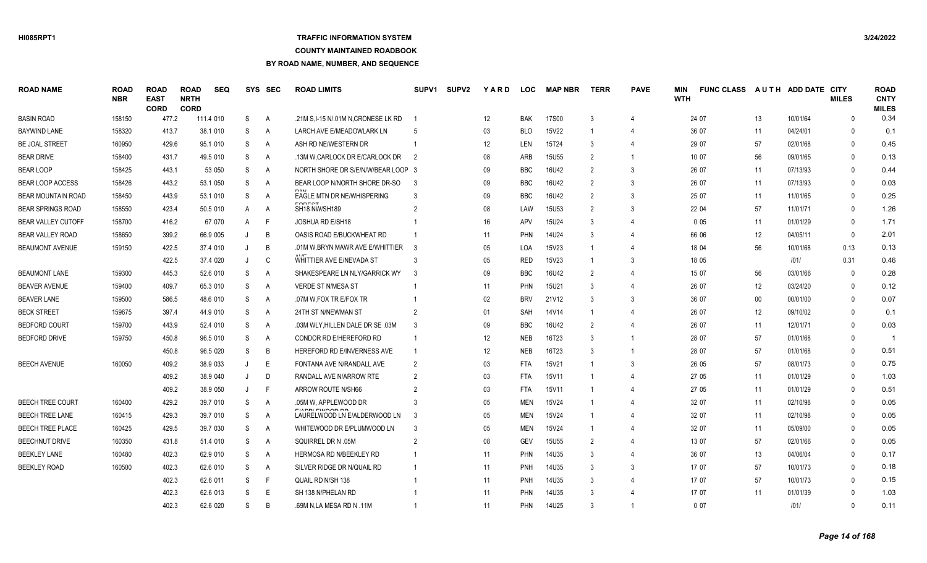### **TRAFFIC INFORMATION SYSTEM**

### **COUNTY MAINTAINED ROADBOOK**

| <b>ROAD NAME</b>          | <b>ROAD</b><br><b>NBR</b> | <b>ROAD</b><br><b>EAST</b><br><b>CORD</b> | <b>ROAD</b><br><b>NRTH</b><br><b>CORD</b> | <b>SEQ</b> | <b>SYS</b> | <b>SEC</b>     | <b>ROAD LIMITS</b>                                      | SUPV <sub>1</sub> | <b>SUPV2</b> | YARD              | <b>LOC</b> | <b>MAP NBR</b>    | <b>TERR</b>    | <b>PAVE</b>              | MIN<br><b>WTH</b> | <b>FUNC CLASS</b> |        | AUTH ADD DATE CITY | <b>MILES</b> | <b>ROAD</b><br><b>CNTY</b><br><b>MILES</b> |
|---------------------------|---------------------------|-------------------------------------------|-------------------------------------------|------------|------------|----------------|---------------------------------------------------------|-------------------|--------------|-------------------|------------|-------------------|----------------|--------------------------|-------------------|-------------------|--------|--------------------|--------------|--------------------------------------------|
| <b>BASIN ROAD</b>         | 158150                    | 477.2                                     |                                           | 111.4 010  | S          | $\mathsf{A}$   | .21M S.I-15 N/.01M N.CRONESE LK RD                      |                   |              | $12 \overline{ }$ | <b>BAK</b> | 17S00             | 3              |                          |                   | 24 07             | 13     | 10/01/64           | <sup>0</sup> | 0.34                                       |
| <b>BAYWIND LANE</b>       | 158320                    | 413.7                                     |                                           | 38.1 010   | S          | A              | LARCH AVE E/MEADOWLARK LN                               | -5                |              | 03                | <b>BLO</b> | 15V22             | -1             | $\overline{4}$           |                   | 36 07             | 11     | 04/24/01           | 0            | 0.1                                        |
| BE JOAL STREET            | 160950                    | 429.6                                     |                                           | 95.1 010   | S          | $\overline{A}$ | ASH RD NE/WESTERN DR                                    |                   |              | 12                | LEN        | 15T24             | 3              | $\overline{4}$           |                   | 29 07             | 57     | 02/01/68           | $\Omega$     | 0.45                                       |
| <b>BEAR DRIVE</b>         | 158400                    | 431.7                                     |                                           | 49.5 010   | S          | A              | .13M W.CARLOCK DR E/CARLOCK DR                          | - 2               |              | 08                | ARB        | <b>15U55</b>      | $\mathfrak{D}$ | $\mathbf{1}$             |                   | 10 07             | 56     | 09/01/65           | $\Omega$     | 0.13                                       |
| <b>BEAR LOOP</b>          | 158425                    | 443.1                                     |                                           | 53 050     | S          | A              | NORTH SHORE DR S/E/N/W/BEAR LOOP 3                      |                   |              | 09                | <b>BBC</b> | 16U42             | 2              | 3                        |                   | 26 07             | 11     | 07/13/93           | $\Omega$     | 0.44                                       |
| <b>BEAR LOOP ACCESS</b>   | 158426                    | 443.2                                     |                                           | 53.1 050   | S          | A              | BEAR LOOP N/NORTH SHORE DR-SO                           | -3                |              | 09                | <b>BBC</b> | 16U42             | $\mathfrak{D}$ | 3                        |                   | 26 07             | 11     | 07/13/93           | $\Omega$     | 0.03                                       |
| <b>BEAR MOUNTAIN ROAD</b> | 158450                    | 443.9                                     |                                           | 53.1 010   | S          | A              | <b>EAGLE MTN DR NE/WHISPERING</b>                       | 3                 |              | 09                | <b>BBC</b> | 16U42             | $\mathfrak{D}$ | 3                        |                   | 25 07             | 11     | 11/01/65           | $\Omega$     | 0.25                                       |
| <b>BEAR SPRINGS ROAD</b>  | 158550                    | 423.4                                     |                                           | 50.5 010   | A          | A              | SH18 NW/SH189                                           | 2                 |              | 08                | LAW        | 15U <sub>53</sub> | $\mathfrak{D}$ | 3                        |                   | 22 04             | 57     | 11/01/71           | $\Omega$     | 1.26                                       |
| <b>BEAR VALLEY CUTOFF</b> | 158700                    | 416.2                                     |                                           | 67 070     | A          | -F             | <b>JOSHUA RD E/SH18</b>                                 |                   |              | 16                | <b>APV</b> | 15U24             | 3              | $\boldsymbol{\Delta}$    |                   | 005               | 11     | 01/01/29           | $\Omega$     | 1.71                                       |
| BEAR VALLEY ROAD          | 158650                    | 399.2                                     |                                           | 66.9 005   |            | B              | OASIS ROAD E/BUCKWHEAT RD                               |                   |              | 11                | PHN        | 14U24             | 3              | $\boldsymbol{\Delta}$    |                   | 66 06             | 12     | 04/05/11           | $\Omega$     | 2.01                                       |
| <b>BEAUMONT AVENUE</b>    | 159150                    | 422.5                                     |                                           | 37.4 010   |            | B              | .01M W.BRYN MAWR AVE E/WHITTIER                         | - 3               |              | 05                | <b>LOA</b> | 15V23             |                | 4                        |                   | 18 04             | 56     | 10/01/68           | 0.13         | 0.13                                       |
|                           |                           | 422.5                                     |                                           | 37.4 020   |            | C              | WHITTIER AVE E/NEVADA ST                                | 3                 |              | 05                | RED        | 15V23             |                | 3                        |                   | 18 05             |        | 1011               | 0.31         | 0.46                                       |
| <b>BEAUMONT LANE</b>      | 159300                    | 445.3                                     |                                           | 52.6 010   | S          | A              | SHAKESPEARE LN NLY/GARRICK WY                           | 3                 |              | 09                | <b>BBC</b> | 16U42             | 2              | $\boldsymbol{\Delta}$    |                   | 15 07             | 56     | 03/01/66           | $\Omega$     | 0.28                                       |
| <b>BEAVER AVENUE</b>      | 159400                    | 409.7                                     |                                           | 65.3 010   | S          | A              | <b>VERDE ST N/MESA ST</b>                               |                   |              | 11                | PHN        | 15U21             | 3              |                          |                   | 26 07             | 12     | 03/24/20           | $\Omega$     | 0.12                                       |
| <b>BEAVER LANE</b>        | 159500                    | 586.5                                     |                                           | 48.6 010   | S          | A              | .07M W, FOX TR E/FOX TR                                 |                   |              | 02                | <b>BRV</b> | 21V12             | 3              | 3                        |                   | 36 07             | $00\,$ | 00/01/00           | $\Omega$     | 0.07                                       |
| <b>BECK STREET</b>        | 159675                    | 397.4                                     |                                           | 44.9 010   | S          | A              | 24TH ST N/NEWMAN ST                                     | $\overline{2}$    |              | 01                | SAH        | 14V14             |                | $\Delta$                 |                   | 26 07             | 12     | 09/10/02           | $\Omega$     | 0.1                                        |
| <b>BEDFORD COURT</b>      | 159700                    | 443.9                                     |                                           | 52.4 010   | S          | A              | .03M WLY, HILLEN DALE DR SE .03M                        | 3                 |              | 09                | <b>BBC</b> | 16U42             | 2              | $\boldsymbol{\Delta}$    |                   | 26 07             | 11     | 12/01/71           | $\Omega$     | 0.03                                       |
| <b>BEDFORD DRIVE</b>      | 159750                    | 450.8                                     |                                           | 96.5 010   | S          | A              | CONDOR RD E/HEREFORD RD                                 |                   |              | 12                | <b>NEB</b> | 16T23             | 3              | -1                       |                   | 28 07             | 57     | 01/01/68           | $\Omega$     |                                            |
|                           |                           | 450.8                                     |                                           | 96.5 020   | S          | B              | HEREFORD RD E/INVERNESS AVE                             |                   |              | 12                | <b>NEB</b> | 16T23             | 3              | $\mathbf{1}$             |                   | 28 07             | 57     | 01/01/68           | $\Omega$     | 0.51                                       |
| <b>BEECH AVENUE</b>       | 160050                    | 409.2                                     |                                           | 38.9 033   | $\cdot$    | E              | FONTANA AVE N/RANDALL AVE                               | 2                 |              | 03                | <b>FTA</b> | 15V21             | -1             | 3                        |                   | 26 05             | 57     | 08/01/73           | $\Omega$     | 0.75                                       |
|                           |                           | 409.2                                     |                                           | 38.9 040   |            | D              | RANDALL AVE N/ARROW RTE                                 | $\mathcal{P}$     |              | 03                | <b>FTA</b> | 15V11             |                | $\boldsymbol{\varDelta}$ |                   | 27 05             | 11     | 01/01/29           | $\Omega$     | 1.03                                       |
|                           |                           | 409.2                                     |                                           | 38.9 050   |            | E              | ARROW ROUTE N/SH66                                      |                   |              | 03                | <b>FTA</b> | 15V11             | -1             | 4                        |                   | 27 05             | 11     | 01/01/29           | $\Omega$     | 0.51                                       |
| <b>BEECH TREE COURT</b>   | 160400                    | 429.2                                     |                                           | 39.7 010   | S          | A              | .05M W, APPLEWOOD DR                                    |                   |              | 05                | <b>MEN</b> | 15V24             |                | $\boldsymbol{\Delta}$    |                   | 32 07             | 11     | 02/10/98           | $\Omega$     | 0.05                                       |
| <b>BEECH TREE LANE</b>    | 160415                    | 429.3                                     |                                           | 39.7 010   | S          | A              | <b>FIADDI FINAAD DR</b><br>LAURELWOOD LN E/ALDERWOOD LN | 3                 |              | 05                | <b>MEN</b> | 15V24             | $\overline{1}$ | $\boldsymbol{\Delta}$    |                   | 32 07             | 11     | 02/10/98           | $\Omega$     | 0.05                                       |
| <b>BEECH TREE PLACE</b>   | 160425                    | 429.5                                     |                                           | 39.7 030   | S          | A              | WHITEWOOD DR E/PLUMWOOD LN                              | 3                 |              | 05                | <b>MEN</b> | 15V24             |                | $\Delta$                 |                   | 32 07             | 11     | 05/09/00           | $\Omega$     | 0.05                                       |
| <b>BEECHNUT DRIVE</b>     | 160350                    | 431.8                                     |                                           | 51.4 010   | S          | A              | SQUIRREL DR N .05M                                      | 2                 |              | 08                | <b>GEV</b> | <b>15U55</b>      | 2              | $\boldsymbol{\Delta}$    |                   | 13 07             | 57     | 02/01/66           | $\Omega$     | 0.05                                       |
| <b>BEEKLEY LANE</b>       | 160480                    | 402.3                                     |                                           | 62.9 010   | S          | A              | HERMOSA RD N/BEEKLEY RD                                 |                   |              | 11                | <b>PHN</b> | 14U35             | 3              | $\Delta$                 |                   | 36 07             | 13     | 04/06/04           | $\Omega$     | 0.17                                       |
| <b>BEEKLEY ROAD</b>       | 160500                    | 402.3                                     |                                           | 62.6 010   | S          | A              | SILVER RIDGE DR N/QUAIL RD                              |                   |              | 11                | <b>PNH</b> | 14U35             | 3              | 3                        |                   | 17 07             | 57     | 10/01/73           | $\Omega$     | 0.18                                       |
|                           |                           | 402.3                                     |                                           | 62.6 011   | S          | F              | QUAIL RD N/SH 138                                       |                   |              | 11                | <b>PNH</b> | 14U35             | 3              | $\boldsymbol{\Delta}$    |                   | 17 07             | 57     | 10/01/73           | $\Omega$     | 0.15                                       |
|                           |                           | 402.3                                     |                                           | 62.6 013   | S          | Е              | SH 138 N/PHELAN RD                                      |                   |              | 11                | <b>PHN</b> | 14U35             | 3              |                          |                   | 17 07             | 11     | 01/01/39           | $\Omega$     | 1.03                                       |
|                           |                           | 402.3                                     |                                           | 62.6 020   | S.         | <sub>R</sub>   | .69M N.LA MESA RD N .11M                                |                   |              | 11                | <b>PHN</b> | 14U25             |                |                          |                   | 0.07              |        | 1011               | $\Omega$     | 0.11                                       |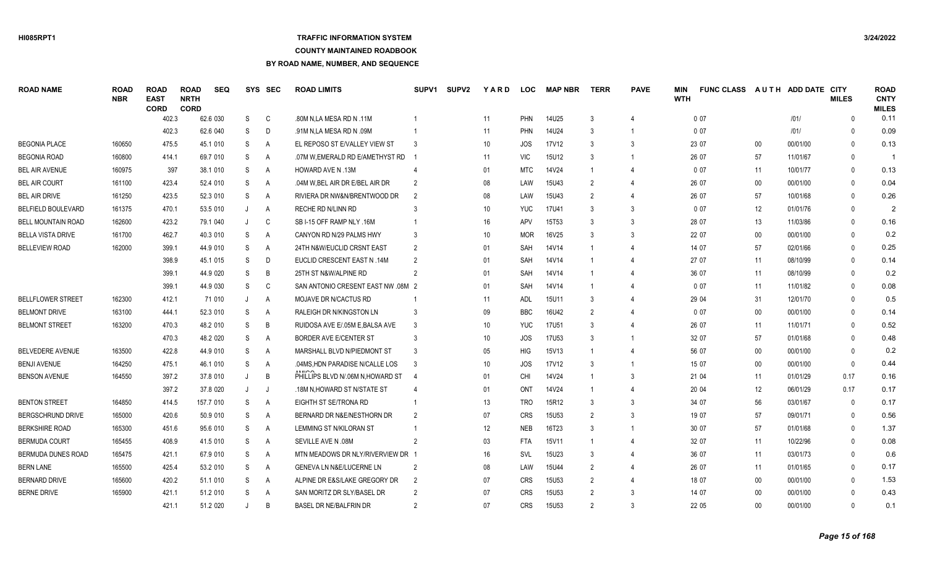### **TRAFFIC INFORMATION SYSTEM**

### **COUNTY MAINTAINED ROADBOOK**

| <b>ROAD NAME</b>          | <b>ROAD</b><br><b>NBR</b> | <b>ROAD</b><br><b>EAST</b><br><b>CORD</b> | <b>ROAD</b><br><b>NRTH</b><br><b>CORD</b> | <b>SEQ</b> |   | SYS SEC | <b>ROAD LIMITS</b>                 | SUPV <sub>1</sub>        | <b>SUPV2</b> | YARD            | <b>LOC</b> | <b>MAP NBR</b>    | <b>TERR</b>    | <b>PAVE</b>    | MIN<br><b>WTH</b> | <b>FUNC CLASS</b> |        | AUTH ADD DATE CITY | <b>MILES</b> | <b>ROAD</b><br><b>CNTY</b><br><b>MILES</b> |
|---------------------------|---------------------------|-------------------------------------------|-------------------------------------------|------------|---|---------|------------------------------------|--------------------------|--------------|-----------------|------------|-------------------|----------------|----------------|-------------------|-------------------|--------|--------------------|--------------|--------------------------------------------|
|                           |                           | 402.3                                     |                                           | 62.6 030   | S | C       | .80M N.LA MESA RD N .11M           |                          |              | 11              | PHN        | 14U25             | 3              | $\overline{4}$ |                   | 007               |        | 1011               | $\Omega$     | 0.11                                       |
|                           |                           | 402.3                                     |                                           | 62.6 040   | S | D       | .91M N,LA MESA RD N .09M           |                          |              | 11              | PHN        | 14U24             | 3              |                |                   | 007               |        | 1011               | $\Omega$     | 0.09                                       |
| <b>BEGONIA PLACE</b>      | 160650                    | 475.5                                     |                                           | 45.1 010   | S | A       | EL REPOSO ST E/VALLEY VIEW ST      | -3                       |              | 10 <sup>°</sup> | <b>JOS</b> | 17V12             | $\mathbf{3}$   | 3              |                   | 23 07             | 00     | 00/01/00           | $\Omega$     | 0.13                                       |
| <b>BEGONIA ROAD</b>       | 160800                    | 414.1                                     |                                           | 69.7 010   | S | A       | .07M W.EMERALD RD E/AMETHYST RD    |                          |              | 11              | <b>VIC</b> | <b>15U12</b>      | 3              | $\overline{1}$ |                   | 26 07             | 57     | 11/01/67           | $\Omega$     | -1                                         |
| <b>BEL AIR AVENUE</b>     | 160975                    |                                           | 397                                       | 38.1 010   | S | A       | HOWARD AVE N .13M                  |                          |              | 01              | <b>MTC</b> | 14V24             |                |                |                   | 007               | 11     | 10/01/77           | $\Omega$     | 0.13                                       |
| <b>BEL AIR COURT</b>      | 161100                    | 423.4                                     |                                           | 52.4 010   | S | A       | .04M W.BEL AIR DR E/BEL AIR DR     | $\overline{2}$           |              | 08              | LAW        | <b>15U43</b>      | $\mathfrak{p}$ |                |                   | 26 07             | 00     | 00/01/00           | $\Omega$     | 0.04                                       |
| <b>BEL AIR DRIVE</b>      | 161250                    | 423.5                                     |                                           | 52.3 010   | S | A       | RIVIERA DR NW&N/BRENTWOOD DR       | $\overline{\phantom{a}}$ |              | 08              | LAW        | 15U43             | $\mathfrak{p}$ |                |                   | 26 07             | 57     | 10/01/68           | $\Omega$     | 0.26                                       |
| <b>BELFIELD BOULEVARD</b> | 161375                    | 470.1                                     |                                           | 53.5 010   | J | Α       | <b>RECHE RD N/LINN RD</b>          |                          |              | 10              | <b>YUC</b> | 17U41             | 3              | 3              |                   | 007               | 12     | 01/01/76           | $\mathbf{0}$ |                                            |
| <b>BELL MOUNTAIN ROAD</b> | 162600                    | 423.2                                     |                                           | 79.1 040   | J | C       | SB I-15 OFF RAMP NLY .16M          |                          |              | 16              | APV        | 15T53             | 3              | 3              |                   | 28 07             | 13     | 11/03/86           | $\Omega$     | 0.16                                       |
| <b>BELLA VISTA DRIVE</b>  | 161700                    | 462.7                                     |                                           | 40.3 010   | S | Α       | CANYON RD N/29 PALMS HWY           | -3                       |              | 10 <sup>°</sup> | <b>MOR</b> | 16V25             | $\mathcal{R}$  | 3              |                   | 22 07             | $00\,$ | 00/01/00           | $\mathbf{0}$ | 0.2                                        |
| <b>BELLEVIEW ROAD</b>     | 162000                    | 399.1                                     |                                           | 44.9 010   | S | A       | 24TH N&W/EUCLID CRSNT EAST         | $\overline{2}$           |              | 01              | <b>SAH</b> | 14V14             |                | $\overline{4}$ |                   | 14 07             | 57     | 02/01/66           | $\Omega$     | 0.25                                       |
|                           |                           | 398.9                                     |                                           | 45.1 015   | S | D       | <b>EUCLID CRESCENT EAST N .14M</b> | $\mathfrak{p}$           |              | 01              | <b>SAH</b> | 14V14             |                | $\overline{4}$ |                   | 27 07             | 11     | 08/10/99           | $\mathbf{0}$ | 0.14                                       |
|                           |                           | 399.1                                     |                                           | 44.9 020   | S | B       | 25TH ST N&W/ALPINE RD              | $\overline{2}$           |              | 01              | <b>SAH</b> | 14V14             |                |                |                   | 36 07             | 11     | 08/10/99           | $\Omega$     | 0.2                                        |
|                           |                           | 399.1                                     |                                           | 44.9 030   | S | C       | SAN ANTONIO CRESENT EAST NW .08M 2 |                          |              | 01              | <b>SAH</b> | 14V14             |                |                |                   | 007               | 11     | 11/01/82           | $\Omega$     | 0.08                                       |
| <b>BELLFLOWER STREET</b>  | 162300                    | 412.1                                     |                                           | 71 010     | J | Α       | MOJAVE DR N/CACTUS RD              |                          |              | 11              | <b>ADL</b> | 15U11             | 3              |                |                   | 29 04             | 31     | 12/01/70           | $\Omega$     | 0.5                                        |
| <b>BELMONT DRIVE</b>      | 163100                    | 444.1                                     |                                           | 52.3 010   | S | A       | RALEIGH DR N/KINGSTON LN           |                          |              | 09              | <b>BBC</b> | 16U42             | $\overline{2}$ |                |                   | 007               | $00\,$ | 00/01/00           | $\Omega$     | 0.14                                       |
| <b>BELMONT STREET</b>     | 163200                    | 470.3                                     |                                           | 48.2 010   | S | B       | RUIDOSA AVE E/.05M E, BALSA AVE    |                          |              | 10              | <b>YUC</b> | 17U51             | 3              |                |                   | 26 07             | 11     | 11/01/71           | $\mathbf{0}$ | 0.52                                       |
|                           |                           | 470.3                                     |                                           | 48.2 020   | S | A       | <b>BORDER AVE E/CENTER ST</b>      |                          |              | 10 <sup>°</sup> | <b>JOS</b> | 17U53             | 3              |                |                   | 32 07             | 57     | 01/01/68           | $\Omega$     | 0.48                                       |
| BELVEDERE AVENUE          | 163500                    | 422.8                                     |                                           | 44.9 010   | S | Α       | MARSHALL BLVD N/PIEDMONT ST        |                          |              | 05              | <b>HIG</b> | 15V13             |                |                |                   | 56 07             | $00\,$ | 00/01/00           | $\mathbf{0}$ | 0.2                                        |
| <b>BENJI AVENUE</b>       | 164250                    | 475.1                                     |                                           | 46.1 010   | S | Α       | .04MS, HDN PARADISE N/CALLE LOS    | 3                        |              | 10 <sup>°</sup> | <b>JOS</b> | 17V12             | 3              | $\overline{1}$ |                   | 15 07             | $00\,$ | 00/01/00           | $\mathbf{0}$ | 0.44                                       |
| <b>BENSON AVENUE</b>      | 164550                    | 397.2                                     |                                           | 37.8 010   |   | B       | PHILLIPS BLVD N/.06M N, HOWARD ST  | $\overline{4}$           |              | 01              | <b>CHI</b> | 14V24             |                | 3              |                   | 21 04             | 11     | 01/01/29           | 0.17         | 0.16                                       |
|                           |                           | 397.2                                     |                                           | 37.8 020   | J | J       | .18M N, HOWARD ST N/STATE ST       |                          |              | 01              | <b>ONT</b> | 14V24             |                |                |                   | 20 04             | 12     | 06/01/29           | 0.17         | 0.17                                       |
| <b>BENTON STREET</b>      | 164850                    | 414.5                                     |                                           | 157.7 010  | S | A       | EIGHTH ST SE/TRONA RD              |                          |              | 13              | <b>TRO</b> | 15R12             | 3              | 3              |                   | 34 07             | 56     | 03/01/67           | $\mathbf{0}$ | 0.17                                       |
| <b>BERGSCHRUND DRIVE</b>  | 165000                    | 420.6                                     |                                           | 50.9 010   | S | A       | BERNARD DR N&E/NESTHORN DR         | $\mathcal{P}$            |              | 07              | <b>CRS</b> | 15U <sub>53</sub> | $\mathfrak{p}$ | 3              |                   | 19 07             | 57     | 09/01/71           | $\Omega$     | 0.56                                       |
| <b>BERKSHIRE ROAD</b>     | 165300                    | 451.6                                     |                                           | 95.6 010   | S | A       | LEMMING ST N/KILORAN ST            |                          |              | 12              | <b>NEB</b> | 16T23             | $\mathcal{R}$  |                |                   | 30 07             | 57     | 01/01/68           | $\Omega$     | 1.37                                       |
| <b>BERMUDA COURT</b>      | 165455                    | 408.9                                     |                                           | 41.5 010   | S | A       | SEVILLE AVE N .08M                 | $\mathcal{P}$            |              | 03              | <b>FTA</b> | 15V11             |                | $\overline{4}$ |                   | 32 07             | 11     | 10/22/96           | $\Omega$     | 0.08                                       |
| <b>BERMUDA DUNES ROAD</b> | 165475                    | 421.1                                     |                                           | 67.9 010   | S | A       | MTN MEADOWS DR NLY/RIVERVIEW DR    |                          |              | 16              | <b>SVL</b> | 15U23             | 3              |                |                   | 36 07             | 11     | 03/01/73           | $\Omega$     | 0.6                                        |
| <b>BERN LANE</b>          | 165500                    | 425.4                                     |                                           | 53.2 010   | S | A       | GENEVA LN N&E/LUCERNE LN           | $\overline{2}$           |              | 08              | LAW        | 15U44             | $\mathfrak{p}$ |                |                   | 26 07             | 11     | 01/01/65           | $\Omega$     | 0.17                                       |
| <b>BERNARD DRIVE</b>      | 165600                    | 420.2                                     |                                           | 51.1 010   | S | A       | ALPINE DR E&S/LAKE GREGORY DR      | 2                        |              | 07              | <b>CRS</b> | <b>15U53</b>      | $\mathcal{P}$  |                |                   | 18 07             | 00     | 00/01/00           | $\Omega$     | 1.53                                       |
| <b>BERNE DRIVE</b>        | 165900                    | 421.1                                     |                                           | 51.2 010   | S | A       | SAN MORITZ DR SLY/BASEL DR         | $\mathcal{P}$            |              | 07              | <b>CRS</b> | <b>15U53</b>      | $\mathcal{P}$  | $\mathcal{R}$  |                   | 14 07             | $00\,$ | 00/01/00           | $\Omega$     | 0.43                                       |
|                           |                           | 421.1                                     |                                           | 51.2 020   |   | B.      | <b>BASEL DR NE/BALFRIN DR</b>      |                          |              | 07              | <b>CRS</b> | <b>15U53</b>      | $\mathcal{P}$  |                |                   | 22 05             | $00\,$ | 00/01/00           | $\Omega$     | 0.1                                        |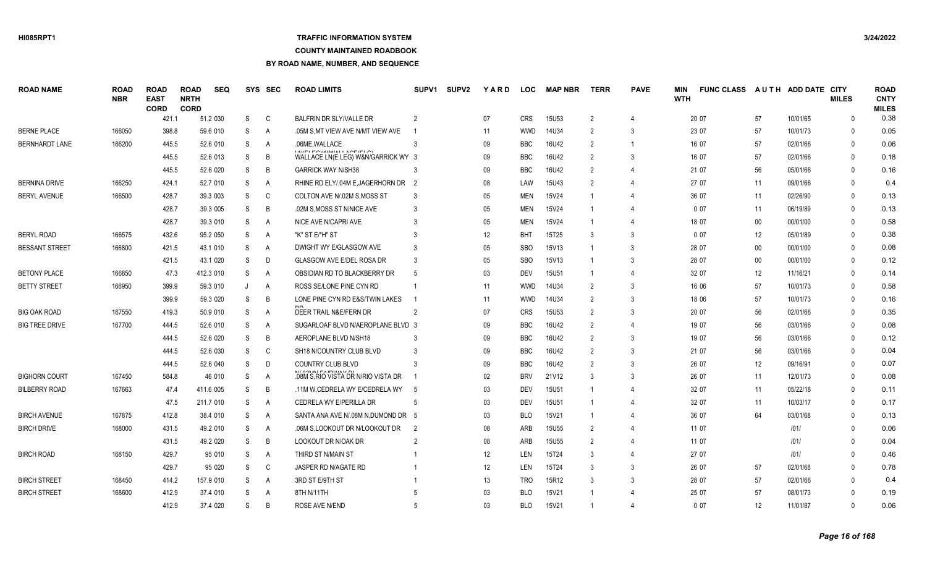### **TRAFFIC INFORMATION SYSTEM**

**COUNTY MAINTAINED ROADBOOK**

| <b>ROAD NAME</b>      | <b>ROAD</b><br><b>NBR</b> | <b>ROAD</b><br><b>EAST</b><br><b>CORD</b> | <b>ROAD</b><br><b>NRTH</b><br><b>CORD</b> | <b>SEQ</b> | <b>SYS</b>   | SEC            | <b>ROAD LIMITS</b>                                                  | SUPV <sub>1</sub> | <b>SUPV2</b> | YARD | <b>LOC</b> | <b>MAP NBR</b>    | <b>TERR</b>    | <b>PAVE</b>              | MIN<br><b>WTH</b> | <b>FUNC CLASS</b> |        | AUTH ADD DATE CITY | <b>MILES</b> | <b>ROAD</b><br><b>CNTY</b><br><b>MILES</b> |
|-----------------------|---------------------------|-------------------------------------------|-------------------------------------------|------------|--------------|----------------|---------------------------------------------------------------------|-------------------|--------------|------|------------|-------------------|----------------|--------------------------|-------------------|-------------------|--------|--------------------|--------------|--------------------------------------------|
|                       |                           | 421.1                                     |                                           | 51.2 030   | S            | C              | BALFRIN DR SLY/VALLE DR                                             | 2                 |              | 07   | <b>CRS</b> | 15U53             | 2              | $\overline{4}$           |                   | 20 07             | 57     | 10/01/65           | $\mathbf{0}$ | 0.38                                       |
| <b>BERNE PLACE</b>    | 166050                    | 398.8                                     |                                           | 59.6 010   | S            | A              | .05M S, MT VIEW AVE N/MT VIEW AVE                                   |                   |              | 11   | <b>WWD</b> | 14U34             | $\overline{2}$ | 3                        |                   | 23 07             | 57     | 10/01/73           | $\Omega$     | 0.05                                       |
| <b>BERNHARDT LANE</b> | 166200                    | 445.5                                     |                                           | 52.6 010   | S            | A              | .06ME, WALLACE                                                      |                   |              | 09   | <b>BBC</b> | 16U42             | $\overline{2}$ | $\overline{1}$           |                   | 16 07             | 57     | 02/01/66           | $\mathbf{0}$ | 0.06                                       |
|                       |                           | 445.5                                     |                                           | 52.6 013   | S            | B              | I MIELEOMMANALLAOE/ELOV<br>WALLACE LN(E LEG) W&N/GARRICK WY 3       |                   |              | 09   | <b>BBC</b> | 16U42             | $\mathcal{P}$  | 3                        |                   | 16 07             | 57     | 02/01/66           | $\mathbf{0}$ | 0.18                                       |
|                       |                           | 445.5                                     |                                           | 52.6 020   | S            | B              | <b>GARRICK WAY N/SH38</b>                                           |                   |              | 09   | <b>BBC</b> | 16U42             | $\mathcal{P}$  | $\overline{4}$           |                   | 21 07             | 56     | 05/01/66           | $\Omega$     | 0.16                                       |
| <b>BERNINA DRIVE</b>  | 166250                    | 424.1                                     |                                           | 52.7 010   | S            | A              | RHINE RD ELY/.04M E, JAGERHORN DR                                   | - 2               |              | 08   | LAW        | 15U43             |                |                          |                   | 27 07             | 11     | 09/01/66           | $\Omega$     | 0.4                                        |
| <b>BERYL AVENUE</b>   | 166500                    | 428.7                                     |                                           | 39.3 003   | S            | C              | COLTON AVE N/.02M S.MOSS ST                                         | 3                 |              | 05   | <b>MEN</b> | 15V24             |                |                          |                   | 36 07             | 11     | 02/26/90           | $\Omega$     | 0.13                                       |
|                       |                           | 428.7                                     |                                           | 39.3 005   | S            | B              | .02M S, MOSS ST N/NICE AVE                                          | 3                 |              | 05   | <b>MEN</b> | 15V24             |                |                          |                   | 007               | 11     | 06/19/89           | $\Omega$     | 0.13                                       |
|                       |                           | 428.7                                     |                                           | 39.3 010   | S            | A              | NICE AVE N/CAPRI AVE                                                |                   |              | 05   | <b>MEN</b> | 15V24             |                | $\overline{4}$           |                   | 18 07             | 00     | 00/01/00           | $\Omega$     | 0.58                                       |
| <b>BERYL ROAD</b>     | 166575                    | 432.6                                     |                                           | 95.2 050   | S            | $\overline{A}$ | "K" ST E/"H" ST                                                     |                   |              | 12   | <b>BHT</b> | 15T25             | 3              | 3                        |                   | 007               | 12     | 05/01/89           | $\Omega$     | 0.38                                       |
| <b>BESSANT STREET</b> | 166800                    | 421.5                                     |                                           | 43.1 010   | S            | $\overline{A}$ | DWIGHT WY E/GLASGOW AVE                                             |                   |              | 05   | <b>SBO</b> | 15V13             |                | 3                        |                   | 28 07             | $00\,$ | 00/01/00           | $\mathbf{0}$ | 0.08                                       |
|                       |                           | 421.5                                     |                                           | 43.1 020   | S            | D              | GLASGOW AVE E/DEL ROSA DR                                           | 3                 |              | 05   | <b>SBO</b> | 15V13             |                | 3                        |                   | 28 07             | $00\,$ | 00/01/00           | $\mathbf{0}$ | 0.12                                       |
| <b>BETONY PLACE</b>   | 166850                    | 47.3                                      |                                           | 412.3 010  | S            | A              | OBSIDIAN RD TO BLACKBERRY DR                                        |                   |              | 03   | <b>DEV</b> | 15U51             |                | $\overline{4}$           |                   | 32 07             | 12     | 11/16/21           | $\Omega$     | 0.14                                       |
| <b>BETTY STREET</b>   | 166950                    | 399.9                                     |                                           | 59.3 010   |              | A              | ROSS SE/LONE PINE CYN RD                                            |                   |              | 11   | <b>WWD</b> | 14U34             | $\mathfrak{p}$ | 3                        |                   | 16 06             | 57     | 10/01/73           | $\Omega$     | 0.58                                       |
|                       |                           | 399.9                                     |                                           | 59.3 020   | S            | B              | LONE PINE CYN RD E&S/TWIN LAKES                                     |                   |              | 11   | <b>WWD</b> | 14U34             | $\mathfrak{p}$ | 3                        |                   | 18 06             | 57     | 10/01/73           | $\Omega$     | 0.16                                       |
| <b>BIG OAK ROAD</b>   | 167550                    | 419.3                                     |                                           | 50.9 010   | S            | A              | DEER TRAIL N&E/FERN DR                                              |                   |              | 07   | <b>CRS</b> | 15U53             | $\overline{2}$ | 3                        |                   | 20 07             | 56     | 02/01/66           | $\Omega$     | 0.35                                       |
| <b>BIG TREE DRIVE</b> | 167700                    | 444.5                                     |                                           | 52.6 010   | S            | A              | SUGARLOAF BLVD N/AEROPLANE BLVD 3                                   |                   |              | 09   | <b>BBC</b> | 16U42             | 2              | $\overline{4}$           |                   | 19 07             | 56     | 03/01/66           | $\Omega$     | 0.08                                       |
|                       |                           | 444.5                                     |                                           | 52.6 020   | S            | B              | AEROPLANE BLVD N/SH18                                               |                   |              | 09   | <b>BBC</b> | 16U42             | $\mathcal{P}$  | 3                        |                   | 19 07             | 56     | 03/01/66           | $\Omega$     | 0.12                                       |
|                       |                           | 444.5                                     |                                           | 52.6 030   | S            | C              | SH18 N/COUNTRY CLUB BLVD                                            |                   |              | 09   | <b>BBC</b> | 16U42             | $\overline{2}$ | 3                        |                   | 21 07             | 56     | 03/01/66           | $\Omega$     | 0.04                                       |
|                       |                           | 444.5                                     |                                           | 52.6 040   | S            | D              | COUNTRY CLUB BLVD                                                   | 3                 |              | 09   | <b>BBC</b> | 16U42             | $\overline{2}$ | 3                        |                   | 26 07             | 12     | 09/16/91           | $\Omega$     | 0.07                                       |
| <b>BIGHORN COURT</b>  | 167450                    | 584.8                                     |                                           | 46 010     | S            | $\overline{A}$ | <b>AU OOMALE EA IMMAN DI</b><br>.08M S, RIO VISTA DR N/RIO VISTA DR |                   |              | 02   | <b>BRV</b> | 21V12             | $\mathcal{R}$  | 3                        |                   | 26 07             | 11     | 12/01/73           | $\Omega$     | 0.08                                       |
| <b>BILBERRY ROAD</b>  | 167663                    | 47.4                                      |                                           | 411.6 005  | S            | B              | .11M W.CEDRELA WY E/CEDRELA WY                                      |                   |              | 03   | <b>DEV</b> | <b>15U51</b>      |                |                          |                   | 32 07             | 11     | 05/22/18           | $\Omega$     | 0.11                                       |
|                       |                           | 47.5                                      |                                           | 211.7 010  | S            | A              | CEDRELA WY E/PERILLA DR                                             |                   |              | 03   | <b>DEV</b> | 15U <sub>51</sub> |                | $\boldsymbol{\varDelta}$ |                   | 32 07             | 11     | 10/03/17           | $\Omega$     | 0.17                                       |
| <b>BIRCH AVENUE</b>   | 167875                    | 412.8                                     |                                           | 38.4 010   | S            | A              | SANTA ANA AVE N/.08M N, DUMOND DR 5                                 |                   |              | 03   | <b>BLO</b> | 15V21             |                | $\overline{4}$           |                   | 36 07             | 64     | 03/01/68           | $\Omega$     | 0.13                                       |
| <b>BIRCH DRIVE</b>    | 168000                    | 431.5                                     |                                           | 49.2 010   | S            | A              | .06M S,LOOKOUT DR N/LOOKOUT DR                                      |                   |              | 08   | <b>ARB</b> | <b>15U55</b>      |                | $\overline{4}$           |                   | 11 07             |        | 1011               | $\Omega$     | 0.06                                       |
|                       |                           | 431.5                                     |                                           | 49.2 020   | S            | B              | LOOKOUT DR N/OAK DR                                                 |                   |              | 08   | <b>ARB</b> | <b>15U55</b>      | $\overline{2}$ | $\overline{4}$           |                   | 11 07             |        | 1011               | $\Omega$     | 0.04                                       |
| <b>BIRCH ROAD</b>     | 168150                    | 429.7                                     |                                           | 95 010     | S            | A              | THIRD ST N/MAIN ST                                                  |                   |              | 12   | LEN        | 15T24             | 3              | $\overline{4}$           |                   | 27 07             |        | 1011               | $\Omega$     | 0.46                                       |
|                       |                           | 429.7                                     |                                           | 95 020     | S            | $\mathsf{C}$   | JASPER RD N/AGATE RD                                                |                   |              | 12   | LEN        | 15T24             | $\mathcal{R}$  | 3                        |                   | 26 07             | 57     | 02/01/68           | $\Omega$     | 0.78                                       |
| <b>BIRCH STREET</b>   | 168450                    | 414.2                                     |                                           | 157.9 010  | S            | A              | 3RD ST E/9TH ST                                                     |                   |              | 13   | <b>TRO</b> | 15R12             | 3              | 3                        |                   | 28 07             | 57     | 02/01/66           | $\Omega$     | 0.4                                        |
| <b>BIRCH STREET</b>   | 168600                    | 412.9                                     |                                           | 37.4 010   | S            | A              | 8TH N/11TH                                                          |                   |              | 03   | <b>BLO</b> | 15V21             |                |                          |                   | 25 07             | 57     | 08/01/73           | $\Omega$     | 0.19                                       |
|                       |                           | 412.9                                     |                                           | 37.4 020   | <sub>S</sub> | <b>B</b>       | <b>ROSE AVE N/END</b>                                               |                   |              | 03   | <b>BLO</b> | 15V21             |                | Δ                        |                   | 0.07              | 12     | 11/01/87           | $\Omega$     | 0.06                                       |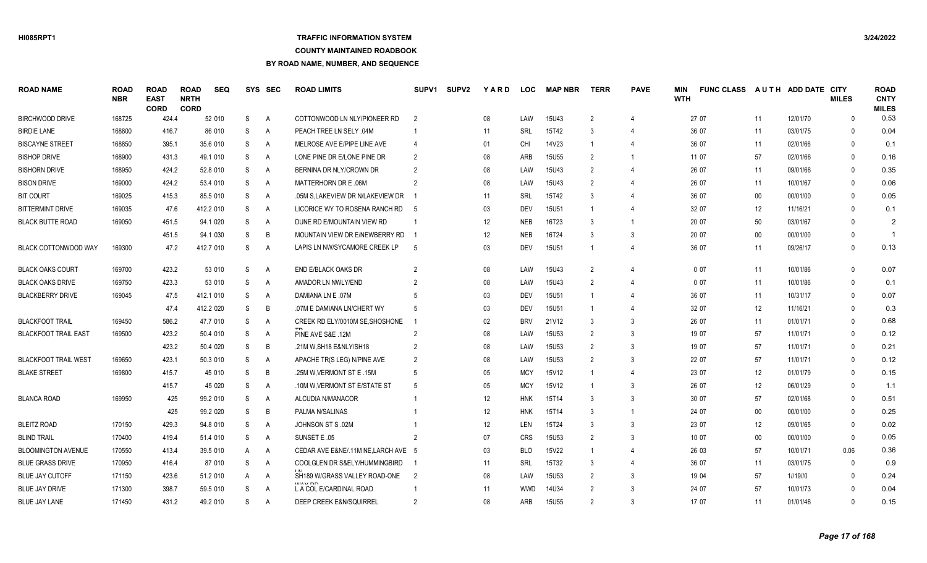# **TRAFFIC INFORMATION SYSTEM**

### **COUNTY MAINTAINED ROADBOOK**

| <b>ROAD NAME</b>            | <b>ROAD</b><br><b>NBR</b> | <b>ROAD</b><br><b>EAST</b><br><b>CORD</b> | <b>ROAD</b><br><b>NRTH</b><br><b>CORD</b> | <b>SEQ</b> |   | SYS SEC        | <b>ROAD LIMITS</b>                     | SUPV <sub>1</sub> | <b>SUPV2</b> | YARD | LOC        | <b>MAP NBR</b>    | <b>TERR</b>    | <b>PAVE</b>    | MIN<br><b>WTH</b> | <b>FUNC CLASS</b> |        | AUTH ADD DATE CITY | <b>MILES</b> | <b>ROAD</b><br><b>CNTY</b><br><b>MILES</b> |
|-----------------------------|---------------------------|-------------------------------------------|-------------------------------------------|------------|---|----------------|----------------------------------------|-------------------|--------------|------|------------|-------------------|----------------|----------------|-------------------|-------------------|--------|--------------------|--------------|--------------------------------------------|
| <b>BIRCHWOOD DRIVE</b>      | 168725                    | 424.4                                     |                                           | 52 010     | S | $\overline{A}$ | COTTONWOOD LN NLY/PIONEER RD           | $\mathcal{P}$     |              | 08   | LAW        | <b>15U43</b>      | 2              | Δ              |                   | 27 07             | 11     | 12/01/70           | $\Omega$     | 0.53                                       |
| <b>BIRDIE LANE</b>          | 168800                    | 416.7                                     |                                           | 86 010     | S | A              | PEACH TREE LN SELY .04M                |                   |              | 11   | SRL        | 15T42             | 3              | 4              |                   | 36 07             | 11     | 03/01/75           | $\Omega$     | 0.04                                       |
| <b>BISCAYNE STREET</b>      | 168850                    | 395.1                                     |                                           | 35.6 010   | S | $\overline{A}$ | MELROSE AVE E/PIPE LINE AVE            | $\overline{4}$    |              | 01   | <b>CHI</b> | 14V23             |                | $\overline{4}$ |                   | 36 07             | 11     | 02/01/66           | $\Omega$     | 0.1                                        |
| <b>BISHOP DRIVE</b>         | 168900                    | 431.3                                     |                                           | 49.1 010   | S | A              | LONE PINE DR E/LONE PINE DR            | $\overline{2}$    |              | 08   | ARB        | <b>15U55</b>      | $\mathfrak{D}$ | $\mathbf{1}$   |                   | 11 07             | 57     | 02/01/66           | $\Omega$     | 0.16                                       |
| <b>BISHORN DRIVE</b>        | 168950                    | 424.2                                     |                                           | 52.8 010   | S | A              | BERNINA DR NLY/CROWN DR                | $\overline{2}$    |              | 08   | LAW        | <b>15U43</b>      | 2              | 4              |                   | 26 07             | 11     | 09/01/66           | $\Omega$     | 0.35                                       |
| <b>BISON DRIVE</b>          | 169000                    | 424.2                                     |                                           | 53.4 010   | S | $\overline{A}$ | MATTERHORN DR E .06M                   | $\mathcal{P}$     |              | 08   | LAW        | 15U43             | $\mathfrak{D}$ | 4              |                   | 26 07             | 11     | 10/01/67           | $\mathbf{0}$ | 0.06                                       |
| <b>BIT COURT</b>            | 169025                    | 415.3                                     |                                           | 85.5 010   | S | $\overline{A}$ | .05M S.LAKEVIEW DR N/LAKEVIEW DR       |                   |              | 11   | SRL        | 15T42             | $\mathcal{R}$  |                |                   | 36 07             | $00\,$ | 00/01/00           | $\Omega$     | 0.05                                       |
| <b>BITTERMINT DRIVE</b>     | 169035                    | 47.6                                      |                                           | 412.2 010  | S | $\overline{A}$ | LICORICE WY TO ROSENA RANCH RD         | - 5               |              | 03   | <b>DEV</b> | <b>15U51</b>      |                | 4              |                   | 32 07             | 12     | 11/16/21           | $\Omega$     | 0.1                                        |
| <b>BLACK BUTTE ROAD</b>     | 169050                    | 451.5                                     |                                           | 94.1 020   | S | A              | DUNE RD E/MOUNTAIN VIEW RD             |                   |              | 12   | <b>NEB</b> | 16T23             | 3              | $\mathbf{1}$   |                   | 20 07             | 50     | 03/01/67           | $\Omega$     | $\boldsymbol{2}$                           |
|                             |                           | 451.5                                     |                                           | 94.1 030   | S | B              | MOUNTAIN VIEW DR E/NEWBERRY RD         |                   |              | 12   | <b>NEB</b> | 16T24             | 3              | 3              |                   | 20 07             | $00\,$ | 00/01/00           | $\Omega$     |                                            |
| BLACK COTTONWOOD WAY        | 169300                    | 47.2                                      |                                           | 412.7 010  | S | $\overline{A}$ | LAPIS LN NW/SYCAMORE CREEK LP          | -5                |              | 03   | <b>DEV</b> | <b>15U51</b>      |                | 4              |                   | 36 07             | 11     | 09/26/17           | $\Omega$     | 0.13                                       |
| <b>BLACK OAKS COURT</b>     | 169700                    | 423.2                                     |                                           | 53 010     | S | A              | <b>END E/BLACK OAKS DR</b>             | $\overline{2}$    |              | 08   | LAW        | <b>15U43</b>      | 2              | 4              |                   | 007               | 11     | 10/01/86           | $\Omega$     | 0.07                                       |
| <b>BLACK OAKS DRIVE</b>     | 169750                    | 423.3                                     |                                           | 53 010     | S | A              | AMADOR LN NWLY/END                     | $\mathcal{P}$     |              | 08   | LAW        | <b>15U43</b>      | 2              | 4              |                   | 007               | 11     | 10/01/86           | $\Omega$     | 0.1                                        |
| <b>BLACKBERRY DRIVE</b>     | 169045                    | 47.5                                      |                                           | 412.1 010  | S | A              | DAMIANA LN E .07M                      | 5                 |              | 03   | <b>DEV</b> | 15U51             | $\overline{1}$ | 4              |                   | 36 07             | 11     | 10/31/17           | $\mathbf{0}$ | 0.07                                       |
|                             |                           | 47.4                                      |                                           | 412.2 020  | S | B              | .07M E DAMIANA LN/CHERT WY             | .5                |              | 03   | DEV        | <b>15U51</b>      |                |                |                   | 32 07             | 12     | 11/16/21           | $\Omega$     | 0.3                                        |
| <b>BLACKFOOT TRAIL</b>      | 169450                    | 586.2                                     |                                           | 47.7 010   | S | $\overline{A}$ | CREEK RD ELY/0010M SE, SHOSHONE        |                   |              | 02   | <b>BRV</b> | 21V12             | 3              | 3              |                   | 26 07             | 11     | 01/01/71           | $\Omega$     | 0.68                                       |
| <b>BLACKFOOT TRAIL EAST</b> | 169500                    | 423.2                                     |                                           | 50.4 010   | S | A              | PINE AVE S&E .12M                      | $\overline{2}$    |              | 08   | LAW        | 15U53             | 2              | 3              |                   | 19 07             | 57     | 11/01/71           | $\mathbf{0}$ | 0.12                                       |
|                             |                           | 423.2                                     |                                           | 50.4 020   | S | B              | .21M W.SH18 E&NLY/SH18                 | $\overline{2}$    |              | 08   | LAW        | <b>15U53</b>      | $\mathfrak{D}$ | 3              |                   | 19 07             | 57     | 11/01/71           | $\Omega$     | 0.21                                       |
| <b>BLACKFOOT TRAIL WEST</b> | 169650                    | 423.1                                     |                                           | 50.3 010   | S | A              | APACHE TR(S LEG) N/PINE AVE            | 2                 |              | 08   | LAW        | <b>15U53</b>      | $\mathfrak{D}$ | 3              |                   | 22 07             | 57     | 11/01/71           | $\Omega$     | 0.12                                       |
| <b>BLAKE STREET</b>         | 169800                    | 415.7                                     |                                           | 45 010     | S | B              | .25M W.VERMONT ST E .15M               | 5                 |              | 05   | <b>MCY</b> | 15V12             | $\overline{1}$ | $\overline{4}$ |                   | 23 07             | 12     | 01/01/79           | $\mathbf{0}$ | 0.15                                       |
|                             |                           | 415.7                                     |                                           | 45 020     | S | $\overline{A}$ | .10M W.VERMONT ST E/STATE ST           | .5                |              | 05   | <b>MCY</b> | 15V12             |                | 3              |                   | 26 07             | 12     | 06/01/29           | $\Omega$     | 1.1                                        |
| <b>BLANCA ROAD</b>          | 169950                    | 425                                       |                                           | 99.2 010   | S | A              | <b>ALCUDIA N/MANACOR</b>               |                   |              | 12   | <b>HNK</b> | 15T14             | 3              | 3              |                   | 30 07             | 57     | 02/01/68           | $\Omega$     | 0.51                                       |
|                             |                           | 425                                       |                                           | 99.2 020   | S | B              | PALMA N/SALINAS                        |                   |              | 12   | <b>HNK</b> | 15T14             | 3              | $\mathbf{1}$   |                   | 24 07             | $00\,$ | 00/01/00           | $\Omega$     | 0.25                                       |
| <b>BLEITZ ROAD</b>          | 170150                    | 429.3                                     |                                           | 94.8 010   | S | $\overline{A}$ | JOHNSON ST S .02M                      |                   |              | 12   | LEN        | 15T24             | 3              | 3              |                   | 23 07             | 12     | 09/01/65           | $\Omega$     | 0.02                                       |
| <b>BLIND TRAIL</b>          | 170400                    | 419.4                                     |                                           | 51.4 010   | S | $\overline{A}$ | SUNSET E .05                           | 2                 |              | 07   | <b>CRS</b> | 15U53             | 2              | 3              |                   | 10 07             | $00\,$ | 00/01/00           | $\mathbf{0}$ | 0.05                                       |
| <b>BLOOMINGTON AVENUE</b>   | 170550                    | 413.4                                     |                                           | 39.5 010   | A | A              | CEDAR AVE E&NE/.11M NE, LARCH AVE 5    |                   |              | 03   | <b>BLO</b> | 15V22             |                | $\overline{4}$ |                   | 26 03             | 57     | 10/01/71           | 0.06         | 0.36                                       |
| <b>BLUE GRASS DRIVE</b>     | 170950                    | 416.4                                     |                                           | 87 010     | S | $\overline{A}$ | COOLGLEN DR S&ELY/HUMMINGBIRD          |                   |              | 11   | SRL        | 15T32             | 3              | 4              |                   | 36 07             | 11     | 03/01/75           | $\Omega$     | 0.9                                        |
| <b>BLUE JAY CUTOFF</b>      | 171150                    | 423.6                                     |                                           | 51.2 010   | A | A              | SH189 W/GRASS VALLEY ROAD-ONE<br>MANOM | $\overline{2}$    |              | 08   | LAW        | <b>15U53</b>      | $\mathfrak{D}$ | 3              |                   | 19 04             | 57     | 1//19//0           | $\Omega$     | 0.24                                       |
| <b>BLUE JAY DRIVE</b>       | 171300                    | 398.7                                     |                                           | 59.5 010   | S | $\overline{A}$ | L A COL E/CARDINAL ROAD                |                   |              | 11   | <b>WWD</b> | 14U34             | $\mathfrak{D}$ | 3              |                   | 24 07             | 57     | 10/01/73           | $\Omega$     | 0.04                                       |
| BLUE JAY LANE               | 171450                    | 431.2                                     |                                           | 49.2 010   | S | A              | <b>DEEP CREEK E&amp;N/SQUIRREL</b>     | $\mathcal{P}$     |              | 08   | ARB        | 15U <sub>55</sub> | $\mathfrak{D}$ | 3              |                   | 17 07             | 11     | 01/01/46           | $\Omega$     | 0.15                                       |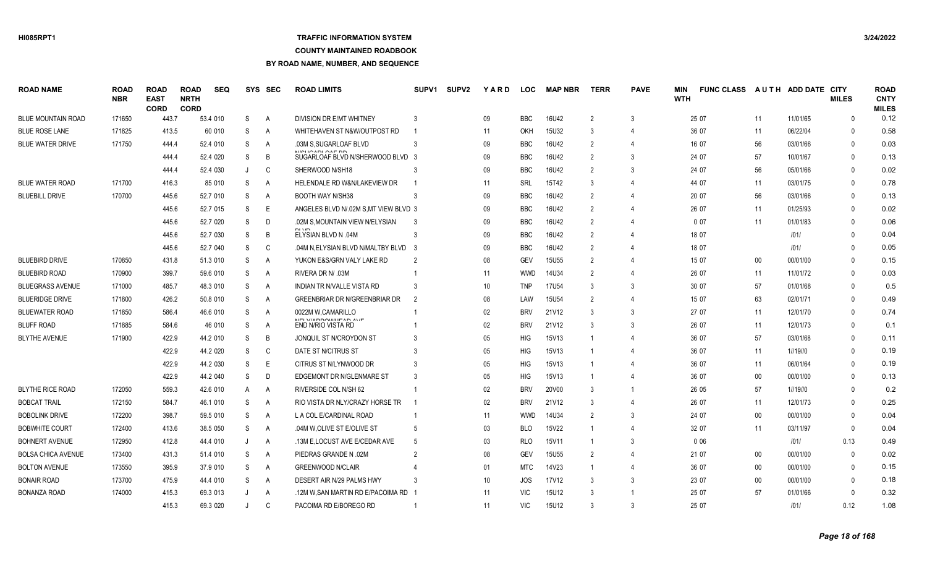# **TRAFFIC INFORMATION SYSTEM**

**COUNTY MAINTAINED ROADBOOK**

| <b>ROAD NAME</b>          | <b>ROAD</b><br><b>NBR</b> | <b>ROAD</b><br><b>EAST</b><br><b>CORD</b> | <b>ROAD</b><br><b>NRTH</b><br><b>CORD</b> | <b>SEQ</b> | <b>SYS</b>   | <b>SEC</b>     | <b>ROAD LIMITS</b>                                 | SUPV <sub>1</sub> | <b>SUPV2</b> | YARD   | <b>LOC</b> | <b>MAP NBR</b>    | <b>TERR</b>    | <b>PAVE</b>    | MIN<br><b>WTH</b> | <b>FUNC CLASS</b> | AUTH   | ADD DATE CITY | <b>MILES</b> | <b>ROAD</b><br><b>CNTY</b><br><b>MILES</b> |
|---------------------------|---------------------------|-------------------------------------------|-------------------------------------------|------------|--------------|----------------|----------------------------------------------------|-------------------|--------------|--------|------------|-------------------|----------------|----------------|-------------------|-------------------|--------|---------------|--------------|--------------------------------------------|
| <b>BLUE MOUNTAIN ROAD</b> | 171650                    | 443.7                                     |                                           | 53.4 010   | S            | $\overline{A}$ | DIVISION DR E/MT WHITNEY                           |                   |              | 09     | <b>BBC</b> | 16U42             | $\mathcal{P}$  | 3              |                   | 25 07             | 11     | 11/01/65      | $\mathbf{0}$ | 0.12                                       |
| <b>BLUE ROSE LANE</b>     | 171825                    | 413.5                                     |                                           | 60 010     | S            | Α              | WHITEHAVEN ST N&W/OUTPOST RD                       |                   |              | 11     | <b>OKH</b> | 15U32             | -3             | 4              |                   | 36 07             | 11     | 06/22/04      | $\Omega$     | 0.58                                       |
| <b>BLUE WATER DRIVE</b>   | 171750                    | 444.4                                     |                                           | 52.4 010   | S            | A              | .03M S, SUGARLOAF BLVD                             |                   |              | 09     | <b>BBC</b> | 16U42             | $\overline{2}$ | $\overline{4}$ |                   | 16 07             | 56     | 03/01/66      | $\mathbf{0}$ | 0.03                                       |
|                           |                           | 444.4                                     |                                           | 52.4 020   | S            | B              | MICHOADLOAD DD<br>SUGARLOAF BLVD N/SHERWOOD BLVD 3 |                   |              | 09     | <b>BBC</b> | 16U42             |                | 3              |                   | 24 07             | 57     | 10/01/67      | $\mathbf{0}$ | 0.13                                       |
|                           |                           | 444.4                                     |                                           | 52.4 030   | $\mathbf{J}$ | C              | SHERWOOD N/SH18                                    |                   |              | 09     | <b>BBC</b> | 16U42             | $\mathcal{P}$  | 3              |                   | 24 07             | 56     | 05/01/66      | $\Omega$     | 0.02                                       |
| <b>BLUE WATER ROAD</b>    | 171700                    | 416.3                                     |                                           | 85 010     | S            | A              | HELENDALE RD W&N/LAKEVIEW DR                       |                   |              | 11     | SRL        | 15T42             |                | $\overline{4}$ |                   | 44 07             | 11     | 03/01/75      | $\Omega$     | 0.78                                       |
| <b>BLUEBILL DRIVE</b>     | 170700                    | 445.6                                     |                                           | 52.7 010   | S            | A              | <b>BOOTH WAY N/SH38</b>                            |                   |              | 09     | <b>BBC</b> | 16U42             | $\mathfrak{p}$ | $\overline{4}$ |                   | 20 07             | 56     | 03/01/66      | $\Omega$     | 0.13                                       |
|                           |                           | 445.6                                     |                                           | 52.7 015   | S            | E.             | ANGELES BLVD N/.02M S.MT VIEW BLVD 3               |                   |              | 09     | <b>BBC</b> | 16U42             | 2              | $\overline{4}$ |                   | 26 07             | 11     | 01/25/93      | $\Omega$     | 0.02                                       |
|                           |                           | 445.6                                     |                                           | 52.7 020   | S            | D              | .02M S, MOUNTAIN VIEW N/ELYSIAN                    | -3                |              | 09     | <b>BBC</b> | 16U42             | $\overline{2}$ | $\overline{4}$ |                   | 007               | 11     | 01/01/83      | $\Omega$     | 0.06                                       |
|                           |                           | 445.6                                     |                                           | 52.7 030   | S            | B              | ELYSIAN BLVD N .04M                                |                   |              | 09     | <b>BBC</b> | 16U42             | $\mathfrak{p}$ | $\overline{4}$ |                   | 18 07             |        | 1011          | $\Omega$     | 0.04                                       |
|                           |                           | 445.6                                     |                                           | 52.7 040   | S            | C              | .04M N.ELYSIAN BLVD N/MALTBY BLVD 3                |                   |              | 09     | <b>BBC</b> | 16U42             | $\mathcal{P}$  | $\overline{4}$ |                   | 18 07             |        | 1011          | $\Omega$     | 0.05                                       |
| <b>BLUEBIRD DRIVE</b>     | 170850                    | 431.8                                     |                                           | 51.3 010   | S            | $\overline{A}$ | YUKON E&S/GRN VALY LAKE RD                         |                   |              | 08     | GEV        | <b>15U55</b>      | $\mathcal{P}$  | 4              |                   | 15 07             | $00\,$ | 00/01/00      | $\mathbf{0}$ | 0.15                                       |
| <b>BLUEBIRD ROAD</b>      | 170900                    | 399.7                                     |                                           | 59.6 010   | S            | Α              | RIVERA DR N/ .03M                                  |                   |              | 11     | <b>WWD</b> | 14U34             |                | $\overline{4}$ |                   | 26 07             | 11     | 11/01/72      | $\Omega$     | 0.03                                       |
| <b>BLUEGRASS AVENUE</b>   | 171000                    | 485.7                                     |                                           | 48.3 010   | S            | A              | <b>INDIAN TR N/VALLE VISTA RD</b>                  |                   |              | 10     | <b>TNP</b> | 17U <sub>54</sub> | $\mathcal{R}$  | 3              |                   | 30 07             | 57     | 01/01/68      | $\Omega$     | 0.5                                        |
| <b>BLUERIDGE DRIVE</b>    | 171800                    | 426.2                                     |                                           | 50.8 010   | S            | A              | <b>GREENBRIAR DR N/GREENBRIAR DR</b>               | 2                 |              | 08     | LAW        | 15U <sub>54</sub> | 2              |                |                   | 15 07             | 63     | 02/01/71      | $\Omega$     | 0.49                                       |
| <b>BLUEWATER ROAD</b>     | 171850                    | 586.4                                     |                                           | 46.6 010   | S            | A              | 0022M W.CAMARILLO                                  |                   |              | 02     | <b>BRV</b> | 21V12             | -3             | 3              |                   | 27 07             | 11     | 12/01/70      | $\Omega$     | 0.74                                       |
| <b>BLUFF ROAD</b>         | 171885                    | 584.6                                     |                                           | 46 010     | S            | A              | MELVIADOOMILEAD AVE<br>END N/RIO VISTA RD          |                   |              | $02\,$ | <b>BRV</b> | 21V12             | 3              | 3              |                   | 26 07             | 11     | 12/01/73      | $\Omega$     | 0.1                                        |
| <b>BLYTHE AVENUE</b>      | 171900                    | 422.9                                     |                                           | 44.2 010   | S            | B              | JONQUIL ST N/CROYDON ST                            |                   |              | 05     | HIG        | 15V13             |                | 4              |                   | 36 07             | 57     | 03/01/68      | $\Omega$     | 0.11                                       |
|                           |                           | 422.9                                     |                                           | 44.2 020   | S            | C              | DATE ST N/CITRUS ST                                |                   |              | 05     | HIG        | 15V13             |                | 4              |                   | 36 07             | 11     | 1//19//0      | $\mathbf{0}$ | 0.19                                       |
|                           |                           | 422.9                                     |                                           | 44.2 030   | S            | E              | CITRUS ST N/LYNWOOD DR                             |                   |              | 05     | <b>HIG</b> | 15V13             |                |                |                   | 36 07             | 11     | 06/01/64      | $\Omega$     | 0.19                                       |
|                           |                           | 422.9                                     |                                           | 44.2 040   | S            | D              | EDGEMONT DR N/GLENMARE ST                          |                   |              | 05     | HIG        | 15V13             |                |                |                   | 36 07             | $00\,$ | 00/01/00      | $\Omega$     | 0.13                                       |
| <b>BLYTHE RICE ROAD</b>   | 172050                    | 559.3                                     |                                           | 42.6 010   | A            | A              | RIVERSIDE COL N/SH 62                              |                   |              | 02     | <b>BRV</b> | 20V00             | 3              | -1             |                   | 26 05             | 57     | 1//19//0      | $\Omega$     | 0.2                                        |
| <b>BOBCAT TRAIL</b>       | 172150                    | 584.7                                     |                                           | 46.1 010   | S            | A              | RIO VISTA DR NLY/CRAZY HORSE TR                    |                   |              | 02     | <b>BRV</b> | 21V12             | 3              | $\overline{4}$ |                   | 26 07             | 11     | 12/01/73      | $\Omega$     | 0.25                                       |
| <b>BOBOLINK DRIVE</b>     | 172200                    | 398.7                                     |                                           | 59.5 010   | S            | A              | L A COL E/CARDINAL ROAD                            |                   |              | 11     | <b>WWD</b> | 14U34             | $\mathfrak{p}$ | 3              |                   | 24 07             | $00\,$ | 00/01/00      | $\Omega$     | 0.04                                       |
| <b>BOBWHITE COURT</b>     | 172400                    | 413.6                                     |                                           | 38.5 050   | S            | A              | .04M W, OLIVE ST E/OLIVE ST                        | -5                |              | 03     | <b>BLO</b> | 15V22             |                | $\overline{4}$ |                   | 32 07             | 11     | 03/11/97      | $\Omega$     | 0.04                                       |
| <b>BOHNERT AVENUE</b>     | 172950                    | 412.8                                     |                                           | 44.4 010   | J            | A              | .13M E,LOCUST AVE E/CEDAR AVE                      | -5                |              | 03     | <b>RLO</b> | 15V11             |                | 3              |                   | 006               |        | 1011          | 0.13         | 0.49                                       |
| <b>BOLSA CHICA AVENUE</b> | 173400                    | 431.3                                     |                                           | 51.4 010   | S            | A              | PIEDRAS GRANDE N .02M                              |                   |              | 08     | <b>GEV</b> | <b>15U55</b>      | $\mathfrak{p}$ | 4              |                   | 21 07             | $00\,$ | 00/01/00      | $\Omega$     | 0.02                                       |
| <b>BOLTON AVENUE</b>      | 173550                    | 395.9                                     |                                           | 37.9 010   | S            | $\overline{A}$ | <b>GREENWOOD N/CLAIR</b>                           |                   |              | 01     | <b>MTC</b> | 14V23             |                | $\overline{4}$ |                   | 36 07             | $00\,$ | 00/01/00      | $\Omega$     | 0.15                                       |
| <b>BONAIR ROAD</b>        | 173700                    | 475.9                                     |                                           | 44.4 010   | S            | A              | DESERT AIR N/29 PALMS HWY                          |                   |              | 10     | JOS        | 17V12             | 3              | 3              |                   | 23 07             | $00\,$ | 00/01/00      | $\mathbf{0}$ | 0.18                                       |
| <b>BONANZA ROAD</b>       | 174000                    | 415.3                                     |                                           | 69.3 013   |              | A              | .12M W, SAN MARTIN RD E/PACOIMA RD                 |                   |              | 11     | <b>VIC</b> | 15U12             |                |                |                   | 25 07             | 57     | 01/01/66      | $\Omega$     | 0.32                                       |
|                           |                           | 415.3                                     |                                           | 69.3 020   |              | $\mathsf{C}$   | PACOIMA RD E/BOREGO RD                             |                   |              | 11     | <b>VIC</b> | <b>15U12</b>      | 3              | $\mathcal{R}$  |                   | 25 07             |        | 1011          | 0.12         | 1.08                                       |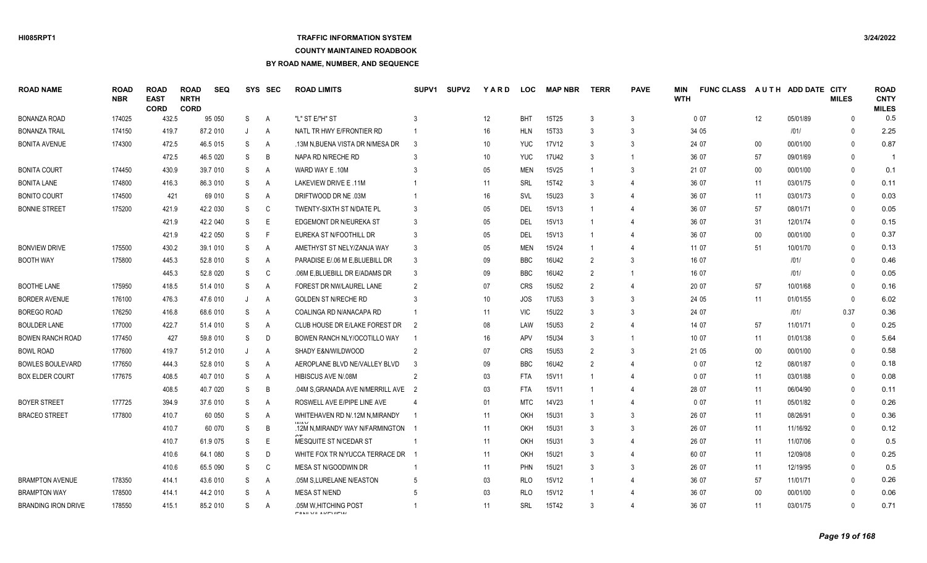### **TRAFFIC INFORMATION SYSTEM**

### **COUNTY MAINTAINED ROADBOOK**

| <b>ROAD NAME</b>           | <b>ROAD</b><br><b>NBR</b> | <b>ROAD</b><br><b>EAST</b><br><b>CORD</b> | <b>ROAD</b><br><b>NRTH</b><br><b>CORD</b> | <b>SEQ</b> |   | SYS SEC        | <b>ROAD LIMITS</b>                              | SUPV <sub>1</sub> | <b>SUPV2</b> | <b>YARD</b>     | <b>LOC</b> | <b>MAP NBR</b> | <b>TERR</b>    | <b>PAVE</b>    | <b>MIN</b><br><b>WTH</b> | <b>FUNC CLASS</b> |        | AUTH ADD DATE CITY | <b>MILES</b> | <b>ROAD</b><br><b>CNTY</b><br><b>MILES</b> |
|----------------------------|---------------------------|-------------------------------------------|-------------------------------------------|------------|---|----------------|-------------------------------------------------|-------------------|--------------|-----------------|------------|----------------|----------------|----------------|--------------------------|-------------------|--------|--------------------|--------------|--------------------------------------------|
| <b>BONANZA ROAD</b>        | 174025                    | 432.5                                     |                                           | 95 050     | S | A              | "L" ST E/"H" ST                                 |                   |              | 12              | <b>BHT</b> | 15T25          | 3              | 3              |                          | 007               | 12     | 05/01/89           | $\mathbf{0}$ | 0.5                                        |
| <b>BONANZA TRAIL</b>       | 174150                    | 419.7                                     |                                           | 87.2 010   | J | A              | NATL TR HWY E/FRONTIER RD                       |                   |              | 16              | <b>HLN</b> | 15T33          | 3              | 3              |                          | 34 05             |        | 1011               | $\Omega$     | 2.25                                       |
| <b>BONITA AVENUE</b>       | 174300                    | 472.5                                     |                                           | 46.5 015   | S | A              | .13M N.BUENA VISTA DR N/MESA DR                 | 3                 |              | 10 <sup>°</sup> | <b>YUC</b> | 17V12          | 3              | 3              |                          | 24 07             | $00\,$ | 00/01/00           | $\Omega$     | 0.87                                       |
|                            |                           | 472.5                                     |                                           | 46.5 020   | S | B              | NAPA RD N/RECHE RD                              |                   |              | 10              | <b>YUC</b> | 17U42          | 3              | $\overline{1}$ |                          | 36 07             | 57     | 09/01/69           | $\Omega$     | $\overline{1}$                             |
| <b>BONITA COURT</b>        | 174450                    | 430.9                                     |                                           | 39.7 010   | S | A              | WARD WAY E .10M                                 |                   |              | 05              | <b>MEN</b> | 15V25          |                | 3              |                          | 21 07             | $00\,$ | 00/01/00           | $\Omega$     | 0.1                                        |
| <b>BONITA LANE</b>         | 174800                    | 416.3                                     |                                           | 86.3 010   | S | A              | LAKEVIEW DRIVE E .11M                           |                   |              | 11              | SRL        | 15T42          | 3              | $\overline{4}$ |                          | 36 07             | 11     | 03/01/75           | $\Omega$     | 0.11                                       |
| <b>BONITO COURT</b>        | 174500                    | 421                                       |                                           | 69 010     | S | A              | DRIFTWOOD DR NE .03M                            |                   |              | 16              | SVL        | 15U23          | 3              | 4              |                          | 36 07             | 11     | 03/01/73           | $\Omega$     | 0.03                                       |
| <b>BONNIE STREET</b>       | 175200                    | 421.9                                     |                                           | 42.2 030   | S | C              | TWENTY-SIXTH ST N/DATE PL                       | 3                 |              | 05              | DEL        | 15V13          |                | $\overline{4}$ |                          | 36 07             | 57     | 08/01/71           | $\mathbf{0}$ | 0.05                                       |
|                            |                           | 421.9                                     |                                           | 42.2 040   | S | E              | EDGEMONT DR N/EUREKA ST                         |                   |              | $05\,$          | DEL        | 15V13          |                | $\overline{4}$ |                          | 36 07             | 31     | 12/01/74           | $\Omega$     | 0.15                                       |
|                            |                           | 421.9                                     |                                           | 42.2 050   | S | F              | EUREKA ST N/FOOTHILL DR                         | 3                 |              | 05              | DEL        | 15V13          |                | $\overline{4}$ |                          | 36 07             | $00\,$ | 00/01/00           | $\Omega$     | 0.37                                       |
| <b>BONVIEW DRIVE</b>       | 175500                    | 430.2                                     |                                           | 39.1 010   | S | A              | AMETHYST ST NELY/ZANJA WAY                      | 3                 |              | 05              | <b>MEN</b> | 15V24          |                | $\overline{4}$ |                          | 11 07             | 51     | 10/01/70           | $\mathbf{0}$ | 0.13                                       |
| <b>BOOTH WAY</b>           | 175800                    | 445.3                                     |                                           | 52.8 010   | S | A              | PARADISE E/.06 M E, BLUEBILL DR                 | 3                 |              | 09              | <b>BBC</b> | 16U42          | $\mathcal{P}$  | 3              |                          | 16 07             |        | 1011               | $\Omega$     | 0.46                                       |
|                            |                           | 445.3                                     |                                           | 52.8 020   | S | C              | .06M E, BLUEBILL DR E/ADAMS DR                  |                   |              | 09              | <b>BBC</b> | 16U42          | $\mathcal{P}$  | $\overline{1}$ |                          | 16 07             |        | 1011               | $\Omega$     | 0.05                                       |
| <b>BOOTHE LANE</b>         | 175950                    | 418.5                                     |                                           | 51.4 010   | S | A              | FOREST DR NW/LAUREL LANE                        | $\mathcal{P}$     |              | 07              | <b>CRS</b> | <b>15U52</b>   | $\mathcal{P}$  | 4              |                          | 20 07             | 57     | 10/01/68           | $\Omega$     | 0.16                                       |
| <b>BORDER AVENUE</b>       | 176100                    | 476.3                                     |                                           | 47.6 010   | J | A              | <b>GOLDEN ST N/RECHE RD</b>                     |                   |              | 10              | <b>JOS</b> | 17U53          | 3              | 3              |                          | 24 05             | 11     | 01/01/55           | $\Omega$     | 6.02                                       |
| <b>BOREGO ROAD</b>         | 176250                    | 416.8                                     |                                           | 68.6 010   | S | A              | COALINGA RD N/ANACAPA RD                        |                   |              | 11              | <b>VIC</b> | 15U22          | 3              | 3              |                          | 24 07             |        | 1011               | 0.37         | 0.36                                       |
| <b>BOULDER LANE</b>        | 177000                    | 422.7                                     |                                           | 51.4 010   | S | A              | CLUB HOUSE DR E/LAKE FOREST DR                  | $\overline{2}$    |              | 08              | LAW        | <b>15U53</b>   | $\mathfrak{p}$ | 4              |                          | 14 07             | 57     | 11/01/71           | $\mathbf{0}$ | 0.25                                       |
| <b>BOWEN RANCH ROAD</b>    | 177450                    | 427                                       |                                           | 59.8 010   | S | D              | BOWEN RANCH NLY/OCOTILLO WAY                    |                   |              | 16              | <b>APV</b> | 15U34          | 3              | $\overline{1}$ |                          | 10 07             | 11     | 01/01/38           | $\Omega$     | 5.64                                       |
| <b>BOWL ROAD</b>           | 177600                    | 419.7                                     |                                           | 51.2 010   | J | A              | SHADY E&N/WILDWOOD                              | $\overline{2}$    |              | 07              | <b>CRS</b> | 15U53          | $\mathcal{P}$  | 3              |                          | 21 05             | $00\,$ | 00/01/00           | $\Omega$     | 0.58                                       |
| <b>BOWLES BOULEVARD</b>    | 177650                    | 444.3                                     |                                           | 52.8 010   | S | A              | AEROPLANE BLVD NE/VALLEY BLVD                   | 3                 |              | 09              | <b>BBC</b> | 16U42          | $\mathcal{P}$  | $\overline{4}$ |                          | 007               | 12     | 08/01/87           | $\Omega$     | 0.18                                       |
| <b>BOX ELDER COURT</b>     | 177675                    | 408.5                                     |                                           | 40.7 010   | S | A              | HIBISCUS AVE N/.08M                             | 2                 |              | 03              | <b>FTA</b> | 15V11          |                | $\Delta$       |                          | 007               | 11     | 03/01/88           | $\Omega$     | 0.08                                       |
|                            |                           | 408.5                                     |                                           | 40.7 020   | S | B              | .04M S, GRANADA AVE N/MERRILL AVE 2             |                   |              | 03              | <b>FTA</b> | 15V11          |                | $\overline{4}$ |                          | 28 07             | 11     | 06/04/90           | $\Omega$     | 0.11                                       |
| <b>BOYER STREET</b>        | 177725                    | 394.9                                     |                                           | 37.6 010   | S | A              | ROSWELL AVE E/PIPE LINE AVE                     |                   |              | 01              | <b>MTC</b> | 14V23          |                | $\overline{4}$ |                          | 007               | 11     | 05/01/82           | $\Omega$     | 0.26                                       |
| <b>BRACEO STREET</b>       | 177800                    | 410.7                                     |                                           | 60 050     | S | A              | WHITEHAVEN RD N/.12M N.MIRANDY                  |                   |              | 11              | OKH        | <b>15U31</b>   | 3              | 3              |                          | 26 07             | 11     | 08/26/91           | $\Omega$     | 0.36                                       |
|                            |                           | 410.7                                     |                                           | 60 070     | S | B              | .12M N.MIRANDY WAY N/FARMINGTON                 |                   |              | 11              | OKH        | 15U31          | 3              | 3              |                          | 26 07             | 11     | 11/16/92           | $\Omega$     | 0.12                                       |
|                            |                           | 410.7                                     |                                           | 61.9 075   | S | Е              | <b>MESQUITE ST N/CEDAR ST</b>                   |                   |              | 11              | OKH        | <b>15U31</b>   | 3              | 4              |                          | 26 07             | 11     | 11/07/06           | $\Omega$     | 0.5                                        |
|                            |                           | 410.6                                     |                                           | 64.1 080   | S | D              | WHITE FOX TR N/YUCCA TERRACE DR                 |                   |              | 11              | OKH        | 15U21          | 3              | $\overline{4}$ |                          | 60 07             | 11     | 12/09/08           | $\Omega$     | 0.25                                       |
|                            |                           | 410.6                                     |                                           | 65.5 090   | S | C              | MESA ST N/GOODWIN DR                            |                   |              | 11              | <b>PHN</b> | 15U21          | $\mathcal{R}$  | 3              |                          | 26 07             | 11     | 12/19/95           | $\mathbf{0}$ | 0.5                                        |
| <b>BRAMPTON AVENUE</b>     | 178350                    | 414.1                                     |                                           | 43.6 010   | S | A              | .05M S.LURELANE N/EASTON                        | -5                |              | 03              | <b>RLO</b> | 15V12          |                | 4              |                          | 36 07             | 57     | 11/01/71           | $\Omega$     | 0.26                                       |
| <b>BRAMPTON WAY</b>        | 178500                    | 414.1                                     |                                           | 44.2 010   | S | $\overline{A}$ | <b>MESA ST N/END</b>                            |                   |              | 03              | <b>RLO</b> | 15V12          |                | 4              |                          | 36 07             | $00\,$ | 00/01/00           | $\Omega$     | 0.06                                       |
| <b>BRANDING IRON DRIVE</b> | 178550                    | 415.1                                     |                                           | 85.2 010   | S | A              | .05M W,HITCHING POST<br><b>COALL VALATATION</b> |                   |              | 11              | <b>SRL</b> | 15T42          | 3              |                |                          | 36 07             | 11     | 03/01/75           | $\Omega$     | 0.71                                       |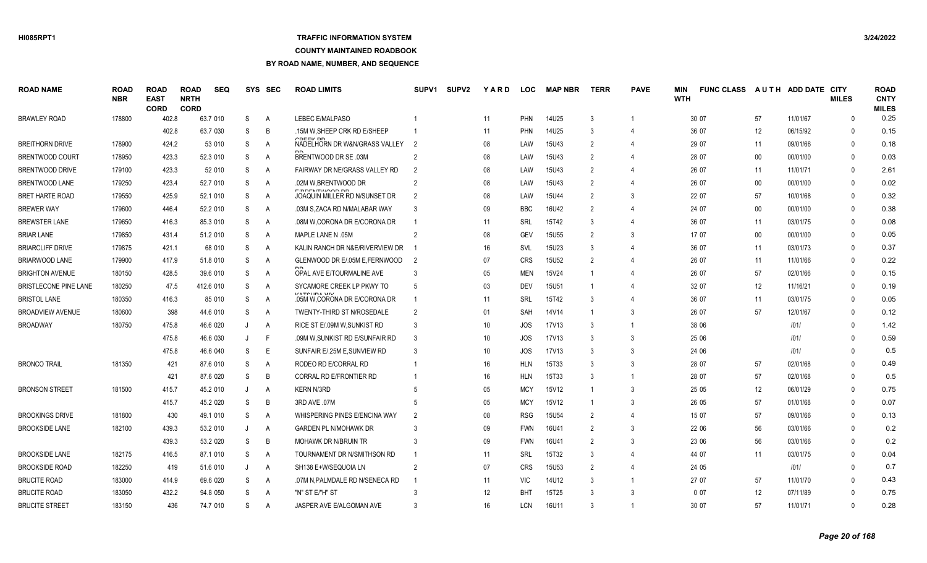# **TRAFFIC INFORMATION SYSTEM**

#### **COUNTY MAINTAINED ROADBOOK**

| <b>ROAD NAME</b>             | <b>ROAD</b><br><b>NBR</b> | <b>ROAD</b><br><b>EAST</b><br><b>CORD</b> | <b>ROAD</b><br><b>NRTH</b><br><b>CORD</b> | <b>SEQ</b> | <b>SYS</b> | <b>SEC</b>     | <b>ROAD LIMITS</b>                                     | <b>SUPV1</b>   | <b>SUPV2</b> | YARD              | <b>LOC</b> | <b>MAP NBR</b>    | <b>TERR</b>    | <b>PAVE</b>             | MIN<br><b>WTH</b> | <b>FUNC CLASS</b> |        | AUTH ADD DATE CITY | <b>MILES</b> | <b>ROAD</b><br><b>CNTY</b><br><b>MILES</b> |
|------------------------------|---------------------------|-------------------------------------------|-------------------------------------------|------------|------------|----------------|--------------------------------------------------------|----------------|--------------|-------------------|------------|-------------------|----------------|-------------------------|-------------------|-------------------|--------|--------------------|--------------|--------------------------------------------|
| <b>BRAWLEY ROAD</b>          | 178800                    | 402.8                                     |                                           | 63.7 010   | S          | A              | LEBEC E/MALPASO                                        |                |              | 11                | <b>PHN</b> | 14U25             | 3              |                         |                   | 30 07             | 57     | 11/01/67           | $\Omega$     | 0.25                                       |
|                              |                           | 402.8                                     |                                           | 63.7 030   | S          | B              | .15M W.SHEEP CRK RD E/SHEEP                            |                |              | 11                | <b>PHN</b> | 14U25             |                |                         |                   | 36 07             | 12     | 06/15/92           | $\Omega$     | 0.15                                       |
| <b>BREITHORN DRIVE</b>       | 178900                    | 424.2                                     |                                           | 53 010     | S          | A              | NADELHORN DR W&N/GRASS VALLEY                          | -2             |              | 08                | LAW        | 15U43             | $\mathcal{P}$  | $\overline{4}$          |                   | 29 07             | 11     | 09/01/66           | $\Omega$     | 0.18                                       |
| BRENTWOOD COURT              | 178950                    | 423.3                                     |                                           | 52.3 010   | S          | A              | BRENTWOOD DR SE .03M                                   |                |              | 08                | LAW        | 15U43             |                | 4                       |                   | 28 07             | $00\,$ | 00/01/00           | $\Omega$     | 0.03                                       |
| BRENTWOOD DRIVE              | 179100                    | 423.3                                     |                                           | 52 010     | S          | Α              | FAIRWAY DR NE/GRASS VALLEY RD                          | 2              |              | 08                | LAW        | 15U43             |                | $\overline{4}$          |                   | 26 07             | 11     | 11/01/71           | $\Omega$     | 2.61                                       |
| <b>BRENTWOOD LANE</b>        | 179250                    | 423.4                                     |                                           | 52.7 010   | S          | A              | .02M W, BRENTWOOD DR                                   |                |              | 08                | LAW        | 15U43             | 2              |                         |                   | 26 07             | $00\,$ | 00/01/00           | $\Omega$     | 0.02                                       |
| <b>BRET HARTE ROAD</b>       | 179550                    | 425.9                                     |                                           | 52.1 010   | S          | A              | <b>FIDDENTWOOD DD</b><br>JOAQUIN MILLER RD N/SUNSET DR | 2              |              | 08                | LAW        | <b>15U44</b>      | $\mathfrak{p}$ | 3                       |                   | 22 07             | 57     | 10/01/68           | $\Omega$     | 0.32                                       |
| <b>BREWER WAY</b>            | 179600                    | 446.4                                     |                                           | 52.2 010   | S          | A              | .03M S.ZACA RD N/MALABAR WAY                           |                |              | 09                | <b>BBC</b> | 16U42             | $\mathcal{P}$  | 4                       |                   | 24 07             | 00     | 00/01/00           | $\Omega$     | 0.38                                       |
| <b>BREWSTER LANE</b>         | 179650                    | 416.3                                     |                                           | 85.3 010   | S          | A              | .08M W.CORONA DR E/CORONA DR                           |                |              | 11                | SRL        | 15T42             | -3             | $\overline{4}$          |                   | 36 07             | 11     | 03/01/75           | $\Omega$     | 0.08                                       |
| <b>BRIAR LANE</b>            | 179850                    | 431.4                                     |                                           | 51.2 010   | S          | A              | MAPLE LANE N .05M                                      | -2             |              | 08                | GEV        | 15U <sub>55</sub> | 2              | 3                       |                   | 17 07             | $00\,$ | 00/01/00           | $\Omega$     | 0.05                                       |
| <b>BRIARCLIFF DRIVE</b>      | 179875                    | 421.1                                     |                                           | 68 010     | S          | A              | KALIN RANCH DR N&E/RIVERVIEW DR                        |                |              | 16                | SVL        | 15U23             |                | $\overline{4}$          |                   | 36 07             | 11     | 03/01/73           | $\Omega$     | 0.37                                       |
| <b>BRIARWOOD LANE</b>        | 179900                    | 417.9                                     |                                           | 51.8 010   | S          | A              | GLENWOOD DR E/.05M E.FERNWOOD                          | -2             |              | 07                | <b>CRS</b> | <b>15U52</b>      | $\mathcal{P}$  | 4                       |                   | 26 07             | 11     | 11/01/66           | $\Omega$     | 0.22                                       |
| <b>BRIGHTON AVENUE</b>       | 180150                    | 428.5                                     |                                           | 39.6 010   | S          | $\overline{A}$ | OPAL AVE E/TOURMALINE AVE                              |                |              | 05                | <b>MEN</b> | 15V24             |                |                         |                   | 26 07             | 57     | 02/01/66           | $\Omega$     | 0.15                                       |
| <b>BRISTLECONE PINE LANE</b> | 180250                    | 47.5                                      |                                           | 412.6 010  | S          | A              | SYCAMORE CREEK LP PKWY TO                              | -5             |              | 03                | <b>DEV</b> | 15U51             |                |                         |                   | 32 07             | 12     | 11/16/21           | $\Omega$     | 0.19                                       |
| <b>BRISTOL LANE</b>          | 180350                    | 416.3                                     |                                           | 85 010     | S          | A              | VATOIIDA IAN<br>.05M W,CORONA DR E/CORONA DR           |                |              | 11                | SRL        | 15T42             |                |                         |                   | 36 07             | 11     | 03/01/75           | $\Omega$     | 0.05                                       |
| <b>BROADVIEW AVENUE</b>      | 180600                    | 398                                       |                                           | 44.6 010   | S          | A              | <b>TWENTY-THIRD ST N/ROSEDALE</b>                      | $\overline{2}$ |              | 01                | SAH        | 14V14             |                | 3                       |                   | 26 07             | 57     | 12/01/67           | $\Omega$     | 0.12                                       |
| <b>BROADWAY</b>              | 180750                    | 475.8                                     |                                           | 46.6 020   | J          | A              | RICE ST E/.09M W, SUNKIST RD                           | -3             |              | 10                | JOS        | 17V13             | 3              | -1                      |                   | 38 06             |        | 1011               | $\Omega$     | 1.42                                       |
|                              |                           | 475.8                                     |                                           | 46.6 030   | J          | F              | .09M W.SUNKIST RD E/SUNFAIR RD                         | -3             |              | 10                | JOS        | 17V13             |                | 3                       |                   | 25 06             |        | 1011               | 0            | 0.59                                       |
|                              |                           | 475.8                                     |                                           | 46.6 040   | S          | E.             | SUNFAIR E/.25M E, SUNVIEW RD                           |                |              | 10                | JOS        | 17V13             |                | 3                       |                   | 24 06             |        | 1011               | $\Omega$     | 0.5                                        |
| <b>BRONCO TRAIL</b>          | 181350                    | 421                                       |                                           | 87.6 010   | S          | A              | RODEO RD E/CORRAL RD                                   |                |              | 16                | <b>HLN</b> | 15T33             | 3              | 3                       |                   | 28 07             | 57     | 02/01/68           | $\Omega$     | 0.49                                       |
|                              |                           | 421                                       |                                           | 87.6 020   | S          | B              | CORRAL RD E/FRONTIER RD                                |                |              | 16                | <b>HLN</b> | 15T33             |                |                         |                   | 28 07             | 57     | 02/01/68           | $\Omega$     | 0.5                                        |
| <b>BRONSON STREET</b>        | 181500                    | 415.7                                     |                                           | 45.2 010   | J          | A              | <b>KERN N/3RD</b>                                      |                |              | 05                | <b>MCY</b> | 15V12             |                | 3                       |                   | 25 05             | 12     | 06/01/29           | $\Omega$     | 0.75                                       |
|                              |                           | 415.7                                     |                                           | 45.2 020   | S          | B              | 3RD AVE .07M                                           |                |              | 05                | <b>MCY</b> | 15V12             |                | 3                       |                   | 26 05             | 57     | 01/01/68           | $\Omega$     | 0.07                                       |
| <b>BROOKINGS DRIVE</b>       | 181800                    | 430                                       |                                           | 49.1 010   | S          | A              | WHISPERING PINES E/ENCINA WAY                          |                |              | 08                | <b>RSG</b> | <b>15U54</b>      | $\mathcal{P}$  | $\overline{4}$          |                   | 15 07             | 57     | 09/01/66           | $\Omega$     | 0.13                                       |
| <b>BROOKSIDE LANE</b>        | 182100                    | 439.3                                     |                                           | 53.2 010   |            | A              | <b>GARDEN PL N/MOHAWK DR</b>                           |                |              | 09                | <b>FWN</b> | 16U41             | $\mathcal{P}$  | 3                       |                   | 22 06             | 56     | 03/01/66           | $\Omega$     | 0.2                                        |
|                              |                           | 439.3                                     |                                           | 53.2 020   | S          | B              | <b>MOHAWK DR N/BRUIN TR</b>                            |                |              | 09                | <b>FWN</b> | 16U41             | $\mathcal{P}$  | 3                       |                   | 23 06             | 56     | 03/01/66           | $\Omega$     | 0.2                                        |
| <b>BROOKSIDE LANE</b>        | 182175                    | 416.5                                     |                                           | 87.1 010   | S          | A              | TOURNAMENT DR N/SMITHSON RD                            |                |              | 11                | SRL        | 15T32             | 3              | $\overline{4}$          |                   | 44 07             | 11     | 03/01/75           | $\Omega$     | 0.04                                       |
| <b>BROOKSIDE ROAD</b>        | 182250                    | 419                                       |                                           | 51.6 010   |            | A              | SH138 E+W/SEQUOIA LN                                   | 2              |              | 07                | <b>CRS</b> | <b>15U53</b>      | $\mathcal{P}$  | 4                       |                   | 24 05             |        | 1011               | $\Omega$     | 0.7                                        |
| <b>BRUCITE ROAD</b>          | 183000                    | 414.9                                     |                                           | 69.6 020   | S          | A              | .07M N.PALMDALE RD N/SENECA RD                         |                |              | 11                | <b>VIC</b> | 14U12             |                | -1                      |                   | 27 07             | 57     | 11/01/70           | $\Omega$     | 0.43                                       |
| <b>BRUCITE ROAD</b>          | 183050                    | 432.2                                     |                                           | 94.8 050   | S          | A              | "N" ST E/"H" ST                                        |                |              | $12 \overline{ }$ | BHT        | 15T25             |                | 3                       |                   | 007               | 12     | 07/11/89           | $\mathsf{O}$ | 0.75                                       |
| <b>BRUCITE STREET</b>        | 183150                    | 436                                       |                                           | 74.7 010   | S.         | A              | JASPER AVE E/ALGOMAN AVE                               |                |              | 16                | <b>LCN</b> | 16U11             |                | $\overline{\mathbf{1}}$ |                   | 30 07             | 57     | 11/01/71           | $\Omega$     | 0.28                                       |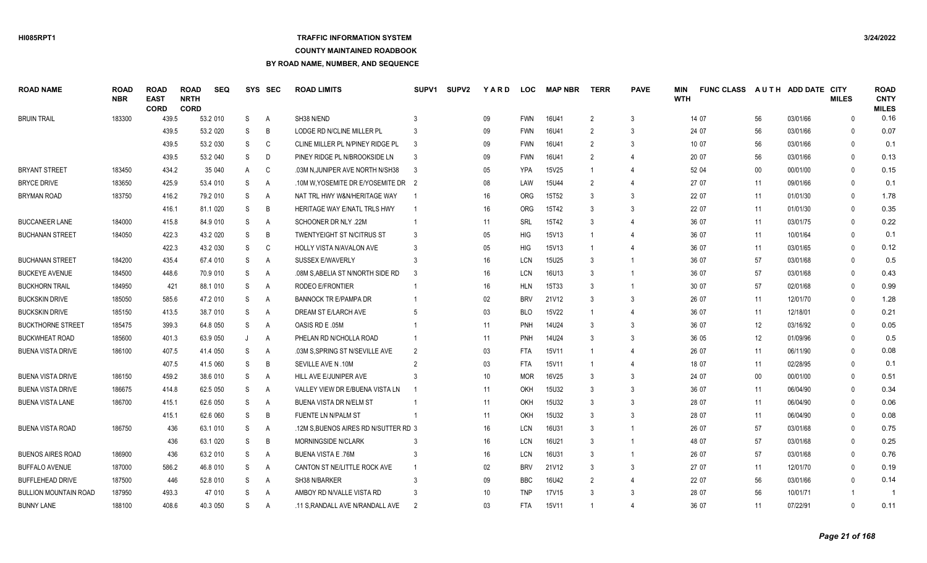### **TRAFFIC INFORMATION SYSTEM**

### **COUNTY MAINTAINED ROADBOOK**

| <b>ROAD NAME</b>             | <b>ROAD</b><br><b>NBR</b> | <b>ROAD</b><br><b>EAST</b><br><b>CORD</b> | <b>ROAD</b><br><b>NRTH</b><br><b>CORD</b> | <b>SEQ</b> |    | SYS SEC        | <b>ROAD LIMITS</b>                  | SUPV <sub>1</sub> | <b>SUPV2</b> | <b>YARD</b> | <b>LOC</b> | <b>MAP NBR</b> | <b>TERR</b>    | <b>PAVE</b>                 | <b>MIN</b><br><b>WTH</b> | <b>FUNC CLASS</b> |        | AUTH ADD DATE CITY | <b>MILES</b> | <b>ROAD</b><br><b>CNTY</b><br><b>MILES</b> |
|------------------------------|---------------------------|-------------------------------------------|-------------------------------------------|------------|----|----------------|-------------------------------------|-------------------|--------------|-------------|------------|----------------|----------------|-----------------------------|--------------------------|-------------------|--------|--------------------|--------------|--------------------------------------------|
| <b>BRUIN TRAIL</b>           | 183300                    | 439.5                                     |                                           | 53.2 010   | S  | $\mathsf{A}$   | SH38 N/END                          |                   |              | 09          | <b>FWN</b> | 16U41          | $\overline{2}$ | 3                           |                          | 14 07             | 56     | 03/01/66           | $\mathbf{0}$ | 0.16                                       |
|                              |                           | 439.5                                     |                                           | 53.2 020   | S  | B              | LODGE RD N/CLINE MILLER PL          |                   |              | 09          | <b>FWN</b> | 16U41          | $\mathcal{P}$  | 3                           |                          | 24 07             | 56     | 03/01/66           | $\Omega$     | 0.07                                       |
|                              |                           | 439.5                                     |                                           | 53.2 030   | S  | C              | CLINE MILLER PL N/PINEY RIDGE PL    | 3                 |              | 09          | <b>FWN</b> | 16U41          | $\mathcal{P}$  | 3                           |                          | 10 07             | 56     | 03/01/66           | $\Omega$     | 0.1                                        |
|                              |                           | 439.5                                     |                                           | 53.2 040   | S  | D              | PINEY RIDGE PL N/BROOKSIDE LN       |                   |              | 09          | <b>FWN</b> | 16U41          | $\mathcal{P}$  | 4                           |                          | 20 07             | 56     | 03/01/66           | $\Omega$     | 0.13                                       |
| <b>BRYANT STREET</b>         | 183450                    | 434.2                                     |                                           | 35 040     | A  | C              | .03M N, JUNIPER AVE NORTH N/SH38    | -3                |              | 05          | <b>YPA</b> | 15V25          |                | 4                           |                          | 52 04             | 00     | 00/01/00           | $\Omega$     | 0.15                                       |
| <b>BRYCE DRIVE</b>           | 183650                    | 425.9                                     |                                           | 53.4 010   | S  | A              | 10M W, YOSEMITE DR E/YOSEMITE DR 2  |                   |              | 08          | LAW        | <b>15U44</b>   | $\mathcal{P}$  | 4                           |                          | 27 07             | 11     | 09/01/66           | $\Omega$     | 0.1                                        |
| BRYMAN ROAD                  | 183750                    | 416.2                                     |                                           | 79.2 010   | S  | A              | NAT TRL HWY W&N/HERITAGE WAY        |                   |              | 16          | ORG        | 15T52          | 3              | 3                           |                          | 22 07             | 11     | 01/01/30           | $\Omega$     | 1.78                                       |
|                              |                           | 416.1                                     |                                           | 81.1 020   | S  | B              | HERITAGE WAY E/NATL TRLS HWY        |                   |              | 16          | <b>ORG</b> | 15T42          | 3              | 3                           |                          | 22 07             | 11     | 01/01/30           | $\Omega$     | 0.35                                       |
| <b>BUCCANEER LANE</b>        | 184000                    | 415.8                                     |                                           | 84.9 010   | S  | A              | SCHOONER DR NLY .22M                |                   |              | 11          | SRL        | 15T42          | 3              | 4                           |                          | 36 07             | 11     | 03/01/75           | $\Omega$     | 0.22                                       |
| <b>BUCHANAN STREET</b>       | 184050                    | 422.3                                     |                                           | 43.2 020   | S  | B              | <b>TWENTYEIGHT ST N/CITRUS ST</b>   | -3                |              | 05          | <b>HIG</b> | 15V13          |                | $\overline{4}$              |                          | 36 07             | 11     | 10/01/64           | $\mathbf{0}$ | 0.1                                        |
|                              |                           | 422.3                                     |                                           | 43.2 030   | S  | C              | HOLLY VISTA N/AVALON AVE            |                   |              | $05\,$      | HIG        | 15V13          |                | 4                           |                          | 36 07             | 11     | 03/01/65           | $\Omega$     | 0.12                                       |
| <b>BUCHANAN STREET</b>       | 184200                    | 435.4                                     |                                           | 67.4 010   | S  | A              | SUSSEX E/WAVERLY                    |                   |              | 16          | <b>LCN</b> | 15U25          | 3              | $\overline{1}$              |                          | 36 07             | 57     | 03/01/68           | $\mathbf{0}$ | 0.5                                        |
| <b>BUCKEYE AVENUE</b>        | 184500                    | 448.6                                     |                                           | 70.9 010   | S  | A              | .08M S, ABELIA ST N/NORTH SIDE RD   |                   |              | 16          | <b>LCN</b> | 16U13          | 3              | $\overline{1}$              |                          | 36 07             | 57     | 03/01/68           | $\Omega$     | 0.43                                       |
| <b>BUCKHORN TRAIL</b>        | 184950                    | 421                                       |                                           | 88.1 010   | S  | $\overline{A}$ | <b>RODEO E/FRONTIER</b>             |                   |              | 16          | <b>HLN</b> | 15T33          | 3              | $\overline{1}$              |                          | 30 07             | 57     | 02/01/68           | $\Omega$     | 0.99                                       |
| <b>BUCKSKIN DRIVE</b>        | 185050                    | 585.6                                     |                                           | 47.2 010   | S  | A              | <b>BANNOCK TR E/PAMPA DR</b>        |                   |              | 02          | <b>BRV</b> | 21V12          | 3              | 3                           |                          | 26 07             | 11     | 12/01/70           | $\Omega$     | 1.28                                       |
| <b>BUCKSKIN DRIVE</b>        | 185150                    | 413.5                                     |                                           | 38.7 010   | S  | $\overline{A}$ | DREAM ST E/LARCH AVE                |                   |              | 03          | <b>BLO</b> | 15V22          |                | $\overline{4}$              |                          | 36 07             | 11     | 12/18/01           | $\Omega$     | 0.21                                       |
| <b>BUCKTHORNE STREET</b>     | 185475                    | 399.3                                     |                                           | 64.8 050   | S  | $\overline{A}$ | OASIS RD E .05M                     |                   |              | 11          | <b>PNH</b> | 14U24          | 3              | 3                           |                          | 36 07             | 12     | 03/16/92           | $\mathbf{0}$ | 0.05                                       |
| <b>BUCKWHEAT ROAD</b>        | 185600                    | 401.3                                     |                                           | 63.9 050   |    | A              | PHELAN RD N/CHOLLA ROAD             |                   |              | 11          | <b>PNH</b> | 14U24          |                | 3                           |                          | 36 05             | 12     | 01/09/96           | $\Omega$     | 0.5                                        |
| <b>BUENA VISTA DRIVE</b>     | 186100                    | 407.5                                     |                                           | 41.4 050   | S  | A              | .03M S, SPRING ST N/SEVILLE AVE     | $\mathcal{P}$     |              | 03          | <b>FTA</b> | 15V11          |                | $\overline{4}$              |                          | 26 07             | 11     | 06/11/90           | $\mathbf{0}$ | 0.08                                       |
|                              |                           | 407.5                                     |                                           | 41.5 060   | S  | B              | SEVILLE AVE N.10M                   |                   |              | 03          | <b>FTA</b> | 15V11          |                | $\overline{4}$              |                          | 18 07             | 11     | 02/28/95           | $\mathbf{0}$ | 0.1                                        |
| <b>BUENA VISTA DRIVE</b>     | 186150                    | 459.2                                     |                                           | 38.6 010   | S  | A              | HILL AVE E/JUNIPER AVE              |                   |              | 10          | <b>MOR</b> | 16V25          | 3              | 3                           |                          | 24 07             | $00\,$ | 00/01/00           | $\mathbf{0}$ | 0.51                                       |
| <b>BUENA VISTA DRIVE</b>     | 186675                    | 414.8                                     |                                           | 62.5 050   | S  | A              | VALLEY VIEW DR E/BUENA VISTA LN     |                   |              | 11          | OKH        | 15U32          |                | 3                           |                          | 36 07             | 11     | 06/04/90           | $\Omega$     | 0.34                                       |
| <b>BUENA VISTA LANE</b>      | 186700                    | 415.1                                     |                                           | 62.6 050   | S  | A              | BUENA VISTA DR N/ELM ST             |                   |              | 11          | OKH        | 15U32          | 3              | 3                           |                          | 28 07             | 11     | 06/04/90           | $\mathbf{0}$ | 0.06                                       |
|                              |                           | 415.1                                     |                                           | 62.6 060   | S  | B              | FUENTE LN N/PALM ST                 |                   |              | 11          | OKH        | 15U32          | $\mathcal{R}$  | 3                           |                          | 28 07             | 11     | 06/04/90           | $\Omega$     | 0.08                                       |
| <b>BUENA VISTA ROAD</b>      | 186750                    | 436                                       |                                           | 63.1 010   | S  | $\overline{A}$ | 12M S.BUENOS AIRES RD N/SUTTER RD 3 |                   |              | 16          | LCN        | 16U31          | 3              | $\overline{1}$              |                          | 26 07             | 57     | 03/01/68           | $\Omega$     | 0.75                                       |
|                              |                           | 436                                       |                                           | 63.1 020   | S  | B              | <b>MORNINGSIDE N/CLARK</b>          |                   |              | 16          | <b>LCN</b> | 16U21          | 3              | $\overline{\mathbf{1}}$     |                          | 48 07             | 57     | 03/01/68           | $\Omega$     | 0.25                                       |
| <b>BUENOS AIRES ROAD</b>     | 186900                    | 436                                       |                                           | 63.2 010   | S  | A              | <b>BUENA VISTA E .76M</b>           |                   |              | 16          | <b>LCN</b> | 16U31          | 3              | $\overline{1}$              |                          | 26 07             | 57     | 03/01/68           | $\Omega$     | 0.76                                       |
| <b>BUFFALO AVENUE</b>        | 187000                    | 586.2                                     |                                           | 46.8 010   | S  | A              | CANTON ST NE/LITTLE ROCK AVE        |                   |              | $02\,$      | <b>BRV</b> | 21V12          | $\mathcal{R}$  | 3                           |                          | 27 07             | 11     | 12/01/70           | $\Omega$     | 0.19                                       |
| <b>BUFFLEHEAD DRIVE</b>      | 187500                    | 446                                       |                                           | 52.8 010   | S  | A              | SH38 N/BARKER                       |                   |              | 09          | <b>BBC</b> | 16U42          | $\mathcal{P}$  | 4                           |                          | 22 07             | 56     | 03/01/66           | $\Omega$     | 0.14                                       |
| <b>BULLION MOUNTAIN ROAD</b> | 187950                    | 493.3                                     |                                           | 47 010     | S  | A              | AMBOY RD N/VALLE VISTA RD           |                   |              | 10          | <b>TNP</b> | 17V15          |                | 3                           |                          | 28 07             | 56     | 10/01/71           |              |                                            |
| <b>BUNNY LANE</b>            | 188100                    | 408.6                                     |                                           | 40.3 050   | S. | A              | .11 S.RANDALL AVE N/RANDALL AVE     |                   |              | 03          | <b>FTA</b> | 15V11          |                | $\boldsymbol{\vartriangle}$ |                          | 36 07             | 11     | 07/22/91           | $\Omega$     | 0.11                                       |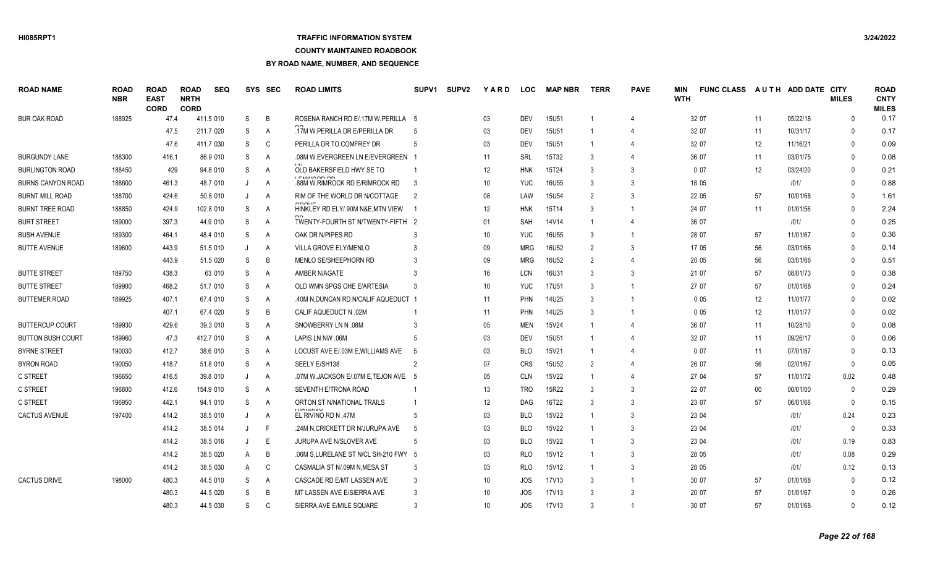# **TRAFFIC INFORMATION SYSTEM**

### **COUNTY MAINTAINED ROADBOOK**

| <b>ROAD NAME</b>         | <b>ROAD</b><br><b>NBR</b> | <b>ROAD</b><br><b>EAST</b><br><b>CORD</b> | <b>ROAD</b><br><b>NRTH</b><br><b>CORD</b> | <b>SEQ</b> | SYS     | <b>SEC</b> | <b>ROAD LIMITS</b>                               | <b>SUPV1</b>   | <b>SUPV2</b> | YARD | <b>LOC</b> | <b>MAP NBR</b> | TERR           | <b>PAVE</b>   | <b>MIN</b><br><b>WTH</b> | <b>FUNC CLASS</b> |        | AUTH ADD DATE CITY | <b>MILES</b> | <b>ROAD</b><br><b>CNTY</b><br><b>MILES</b> |
|--------------------------|---------------------------|-------------------------------------------|-------------------------------------------|------------|---------|------------|--------------------------------------------------|----------------|--------------|------|------------|----------------|----------------|---------------|--------------------------|-------------------|--------|--------------------|--------------|--------------------------------------------|
| <b>BUR OAK ROAD</b>      | 188925                    | 47.4                                      |                                           | 411.5 010  | S.      | B          | ROSENA RANCH RD E/17M W.PERILLA 5                |                |              | 03   | <b>DEV</b> | <b>15U51</b>   |                |               |                          | 32 07             | 11     | 05/22/18           | $\Omega$     | 0.17                                       |
|                          |                           | 47.5                                      |                                           | 211.7 020  | S       | A          | .17M W.PERILLA DR E/PERILLA DR                   |                |              | 03   | <b>DEV</b> | 15U51          |                |               |                          | 32 07             | 11     | 10/31/17           | $\Omega$     | 0.17                                       |
|                          |                           | 47.6                                      |                                           | 411.7 030  | S       | C          | PERILLA DR TO COMFREY DR                         | .5             |              | 03   | <b>DEV</b> | <b>15U51</b>   |                |               |                          | 32 07             | 12     | 11/16/21           | $\Omega$     | 0.09                                       |
| <b>BURGUNDY LANE</b>     | 188300                    | 416.1                                     |                                           | 86.9 010   | S       | A          | .08M W.EVERGREEN LN E/EVERGREEN                  |                |              | 11   | <b>SRL</b> | 15T32          | 3              |               |                          | 36 07             | 11     | 03/01/75           | $\Omega$     | 0.08                                       |
| <b>BURLINGTON ROAD</b>   | 188450                    | 429                                       |                                           | 94.8 010   | S       | A          | OLD BAKERSFIELD HWY SE TO                        |                |              | 12   | <b>HNK</b> | 15T24          | $\mathcal{R}$  | $\mathcal{R}$ |                          | 007               | 12     | 03/24/20           | $\Omega$     | 0.21                                       |
| <b>BURNS CANYON ROAD</b> | 188600                    | 461.3                                     |                                           | 48.7 010   | J       | A          | $I$ EMMOOD BE<br>.88M W, RIMROCK RD E/RIMROCK RD | -3             |              | 10   | <b>YUC</b> | 16U55          | $\mathcal{R}$  |               |                          | 18 05             |        | 1011               | $\Omega$     | 0.88                                       |
| <b>BURNT MILL ROAD</b>   | 188700                    | 424.6                                     |                                           | 50.8 010   |         | A          | RIM OF THE WORLD DR N/COTTAGE                    | $\overline{2}$ |              | 08   | LAW        | 15U54          | $\overline{2}$ |               |                          | 22 05             | 57     | 10/01/68           | $\Omega$     | 1.61                                       |
| <b>BURNT TREE ROAD</b>   | 188850                    | 424.9                                     |                                           | 102.8 010  | S       | A          | HINKLEY RD ELY/.90M N&E, MTN VIEW                |                |              | 12   | <b>HNK</b> | 15T14          | 3              |               |                          | 24 07             | 11     | 01/01/56           | $\Omega$     | 2.24                                       |
| <b>BURT STREET</b>       | 189000                    | 397.3                                     |                                           | 44.9 010   | S       | Α          | TWENTY-FOURTH ST N/TWENTY-FIFTH 2                |                |              | 01   | <b>SAH</b> | 14V14          |                |               |                          | 36 07             |        | 1011               |              | 0.25                                       |
| <b>BUSH AVENUE</b>       | 189300                    | 464.1                                     |                                           | 48.4 010   | S       | Α          | OAK DR N/PIPES RD                                |                |              | 10   | <b>YUC</b> | 16U55          | 3              |               |                          | 28 07             | 57     | 11/01/67           | $\Omega$     | 0.36                                       |
| <b>BUTTE AVENUE</b>      | 189600                    | 443.9                                     |                                           | 51.5 010   | J       | Α          | VILLA GROVE ELY/MENLO                            |                |              | 09   | <b>MRG</b> | 16U52          | $\overline{2}$ |               |                          | 17 05             | 56     | 03/01/66           | $\Omega$     | 0.14                                       |
|                          |                           | 443.9                                     |                                           | 51.5 020   | S       | B          | MENLO SE/SHEEPHORN RD                            | 3              |              | 09   | <b>MRG</b> | 16U52          | $\overline{2}$ |               |                          | 20 05             | 56     | 03/01/66           | $\Omega$     | 0.51                                       |
| <b>BUTTE STREET</b>      | 189750                    | 438.3                                     |                                           | 63 010     | S       | A          | AMBER N/AGATE                                    |                |              | 16   | LCN        | 16U31          | 3              | 3             |                          | 21 07             | 57     | 08/01/73           | $\Omega$     | 0.38                                       |
| <b>BUTTE STREET</b>      | 189900                    | 468.2                                     |                                           | 51.7 010   | S       | A          | OLD WMN SPGS OHE E/ARTESIA                       |                |              | 10   | <b>YUC</b> | <b>17U51</b>   | 3              |               |                          | 27 07             | 57     | 01/01/68           | $\Omega$     | 0.24                                       |
| <b>BUTTEMER ROAD</b>     | 189925                    | 407.1                                     |                                           | 67.4 010   | S       | Α          | .40M N,DUNCAN RD N/CALIF AQUEDUCT 1              |                |              | 11   | PHN        | 14U25          | 3              |               |                          | 0 0 5             | 12     | 11/01/77           | $\Omega$     | 0.02                                       |
|                          |                           | 407.1                                     |                                           | 67.4 020   | S       | B          | CALIF AQUEDUCT N .02M                            |                |              | 11   | PHN        | 14U25          | 3              |               |                          | 0 0 5             | 12     | 11/01/77           | $\Omega$     | 0.02                                       |
| <b>BUTTERCUP COURT</b>   | 189930                    | 429.6                                     |                                           | 39.3 010   | S       | A          | SNOWBERRY LN N .08M                              |                |              | 05   | <b>MEN</b> | 15V24          |                |               |                          | 36 07             | 11     | 10/28/10           | $\Omega$     | 0.08                                       |
| <b>BUTTON BUSH COURT</b> | 189960                    | 47.3                                      |                                           | 412.7 010  | S       | Α          | LAPIS LN NW .06M                                 |                |              | 03   | <b>DEV</b> | 15U51          |                |               |                          | 32 07             | 11     | 09/26/17           | $\Omega$     | 0.06                                       |
| <b>BYRNE STREET</b>      | 190030                    | 412.7                                     |                                           | 38.6 010   | S       | A          | LOCUST AVE E/.03M E.WILLIAMS AVE                 | -5             |              | 03   | <b>BLO</b> | 15V21          |                |               |                          | 007               | 11     | 07/01/87           | $\Omega$     | 0.13                                       |
| <b>BYRON ROAD</b>        | 190050                    | 418.7                                     |                                           | 51.8 010   | S       | A          | SEELY E/SH138                                    | $\overline{2}$ |              | 07   | <b>CRS</b> | <b>15U52</b>   | $\overline{2}$ |               |                          | 26 07             | 56     | 02/01/67           | $\Omega$     | 0.05                                       |
| <b>C STREET</b>          | 196650                    | 416.5                                     |                                           | 39.8 010   | $\cdot$ | A          | .07M W, JACKSON E/.07M E, TEJON AVE 5            |                |              | 05   | <b>CLN</b> | 15V22          |                |               |                          | 27 04             | 57     | 11/01/72           | 0.02         | 0.48                                       |
| <b>C STREET</b>          | 196800                    | 412.6                                     |                                           | 154.9 010  | S       | A          | SEVENTH E/TRONA ROAD                             |                |              | 13   | <b>TRO</b> | 15R22          | 3              |               |                          | 22 07             | $00\,$ | 00/01/00           | $\cup$       | 0.29                                       |
| C STREET                 | 196950                    | 442.1                                     |                                           | 94.1 010   | S       | A          | ORTON ST N/NATIONAL TRAILS                       |                |              | 12   | <b>DAG</b> | 16T22          | 3              | $\mathcal{R}$ |                          | 23 07             | 57     | 06/01/68           | $\Omega$     | 0.15                                       |
| <b>CACTUS AVENUE</b>     | 197400                    | 414.2                                     |                                           | 38.5 010   | J       | Α          | EL RIVINO RD N .47M                              |                |              | 03   | <b>BLO</b> | 15V22          |                | 3             |                          | 23 04             |        | 1011               | 0.24         | 0.23                                       |
|                          |                           | 414.2                                     |                                           | 38.5 014   | $\cdot$ | F          | .24M N.CRICKETT DR N/JURUPA AVE                  |                |              | 03   | <b>BLO</b> | 15V22          |                | 3             |                          | 23 04             |        | 1011               | $\Omega$     | 0.33                                       |
|                          |                           | 414.2                                     |                                           | 38.5 016   | J       | E          | JURUPA AVE N/SLOVER AVE                          | -5             |              | 03   | <b>BLO</b> | 15V22          |                | 3             |                          | 23 04             |        | 1011               | 0.19         | 0.83                                       |
|                          |                           | 414.2                                     |                                           | 38.5 020   | A       | B          | .06M S.LURELANE ST N/CL SH-210 FWY 5             |                |              | 03   | <b>RLO</b> | 15V12          |                | 3             |                          | 28 05             |        | 1011               | 0.08         | 0.29                                       |
|                          |                           | 414.2                                     |                                           | 38.5 030   | A       | C          | CASMALIA ST N/.09M N, MESA ST                    | 5              |              | 03   | <b>RLO</b> | 15V12          |                | 3             |                          | 28 05             |        | 101/               | 0.12         | 0.13                                       |
| <b>CACTUS DRIVE</b>      | 198000                    | 480.3                                     |                                           | 44.5 010   | S       | A          | CASCADE RD E/MT LASSEN AVE                       | 3              |              | 10   | <b>JOS</b> | 17V13          | 3              |               |                          | 30 07             | 57     | 01/01/68           | $\Omega$     | 0.12                                       |
|                          |                           | 480.3                                     |                                           | 44.5 020   | S       | B          | MT LASSEN AVE E/SIERRA AVE                       | 3              |              | 10   | JOS.       | 17V13          | 3              |               |                          | 20 07             | 57     | 01/01/67           | $\cap$       | 0.26                                       |
|                          |                           | 480.3                                     |                                           | 44.5 030   | S.      | C.         | SIERRA AVE E/MILE SQUARE                         | 3              |              | 10   | <b>JOS</b> | 17V13          | 3              |               |                          | 30 07             | 57     | 01/01/68           | $\cup$       | 0.12                                       |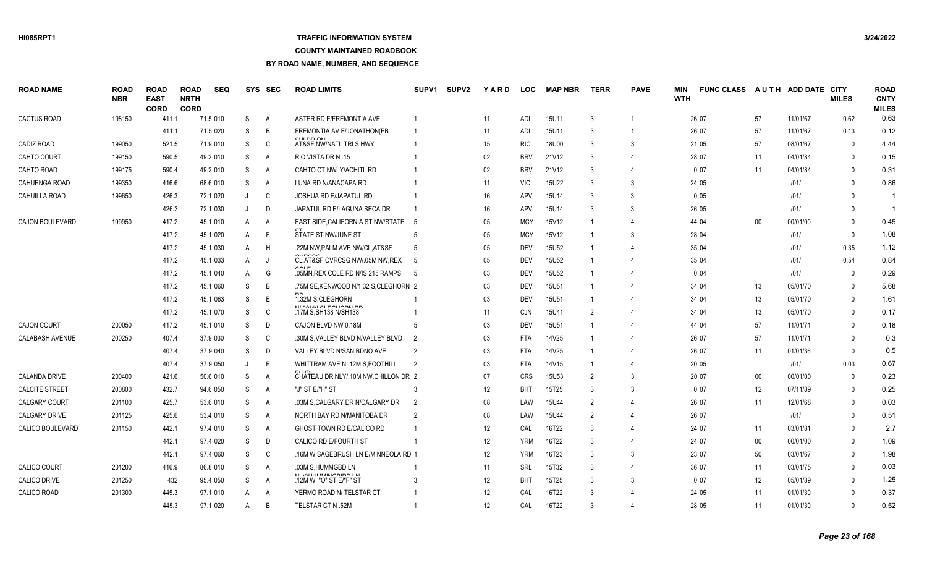# **TRAFFIC INFORMATION SYSTEM**

### **COUNTY MAINTAINED ROADBOOK**

| <b>ROAD NAME</b>       | <b>ROAD</b><br><b>NBR</b> | <b>ROAD</b><br><b>EAST</b><br><b>CORD</b> | <b>ROAD</b><br><b>NRTH</b><br><b>CORD</b> | <b>SEQ</b> | <b>SYS</b> | <b>SEC</b>     | <b>ROAD LIMITS</b>                                          | SUPV <sub>1</sub> | <b>SUPV2</b> | YARD            | <b>LOC</b> | <b>MAP NBR</b> | <b>TERR</b>    | <b>PAVE</b>    | MIN<br><b>WTH</b> | <b>FUNC CLASS</b> |        | AUTH ADD DATE CITY | <b>MILES</b> | <b>ROAD</b><br><b>CNTY</b><br><b>MILES</b> |
|------------------------|---------------------------|-------------------------------------------|-------------------------------------------|------------|------------|----------------|-------------------------------------------------------------|-------------------|--------------|-----------------|------------|----------------|----------------|----------------|-------------------|-------------------|--------|--------------------|--------------|--------------------------------------------|
| <b>CACTUS ROAD</b>     | 198150                    | 411.1                                     |                                           | 71.5 010   | S          | Α              | ASTER RD E/FREMONTIA AVE                                    |                   |              | 11              | <b>ADL</b> | 15U11          | 3              |                |                   | 26 07             | 57     | 11/01/67           | 0.62         | 0.63                                       |
|                        |                           | 411.1                                     |                                           | 71.5 020   | S          | B              | FREMONTIA AV E/JONATHON(EB                                  |                   |              | 11              | <b>ADL</b> | 15U11          | -3             |                |                   | 26 07             | 57     | 11/01/67           | 0.13         | 0.12                                       |
| <b>CADIZ ROAD</b>      | 199050                    | 521.5                                     |                                           | 71.9 010   | S          | C              | $QH$ <sub>DD</sub> $QH$<br>AT&SF NW/NATL TRLS HWY           |                   |              | 15              | <b>RIC</b> | 18U00          | -3             | 3              |                   | 21 05             | 57     | 08/01/67           | $\mathbf{0}$ | 4.44                                       |
| CAHTO COURT            | 199150                    | 590.5                                     |                                           | 49.2 010   | S          | A              | RIO VISTA DR N.15                                           |                   |              | 02              | <b>BRV</b> | 21V12          |                | 4              |                   | 28 07             | 11     | 04/01/84           | $\mathbf{0}$ | 0.15                                       |
| <b>CAHTO ROAD</b>      | 199175                    | 590.4                                     |                                           | 49.2 010   | S          | $\overline{A}$ | CAHTO CT NWLY/ACHITL RD                                     |                   |              | 02 <sub>2</sub> | <b>BRV</b> | 21V12          |                | $\overline{4}$ |                   | 007               | 11     | 04/01/84           | $\mathbf{0}$ | 0.31                                       |
| CAHUENGA ROAD          | 199350                    | 416.6                                     |                                           | 68.6 010   | S          | $\overline{A}$ | LUNA RD N/ANACAPA RD                                        |                   |              | 11              | <b>VIC</b> | 15U22          |                | 3              |                   | 24 05             |        | 1011               | $\Omega$     | 0.86                                       |
| <b>CAHUILLA ROAD</b>   | 199650                    | 426.3                                     |                                           | 72.1 020   |            | C              | <b>JOSHUA RD E/JAPATUL RD</b>                               |                   |              | 16              | <b>APV</b> | 15U14          | 3              | 3              |                   | 0 0 5             |        | 1011               | $\Omega$     |                                            |
|                        |                           | 426.3                                     |                                           | 72.1 030   | J          | D              | JAPATUL RD E/LAGUNA SECA DR                                 |                   |              | 16              | APV        | 15U14          |                | 3              |                   | 26 05             |        | 1011               | $\Omega$     |                                            |
| CAJON BOULEVARD        | 199950                    | 417.2                                     |                                           | 45.1 010   | A          | A              | EAST SIDE, CALIFORNIA ST NW/STATE 5                         |                   |              | 05              | <b>MCY</b> | 15V12          |                | $\overline{4}$ |                   | 44 04             | $00\,$ | 00/01/00           | $\Omega$     | 0.45                                       |
|                        |                           | 417.2                                     |                                           | 45.1 020   | A          | F              | STATE ST NW/JUNE ST                                         |                   |              | 05              | <b>MCY</b> | 15V12          |                | 3              |                   | 28 04             |        | 1011               | 0            | 1.08                                       |
|                        |                           | 417.2                                     |                                           | 45.1 030   | A          | H              | .22M NW, PALM AVE NW/CL, AT&SF                              |                   |              | 05              | DEV        | <b>15U52</b>   |                | $\overline{4}$ |                   | 35 04             |        | 1011               | 0.35         | 1.12                                       |
|                        |                           | 417.2                                     |                                           | 45.1 033   | A          | J              | $\bigcap$<br>CL, AT&SF OVRCSG NW/.05M NW, REX               | -5                |              | 05              | <b>DEV</b> | <b>15U52</b>   |                | 4              |                   | 35 04             |        | 1011               | 0.54         | 0.84                                       |
|                        |                           | 417.2                                     |                                           | 45.1 040   | A          | G              | 001F<br>.05MN REX COLE RD N/IS 215 RAMPS                    | -5                |              | 03              | DEV        | <b>15U52</b>   |                |                |                   | 004               |        | 1011               | $\Omega$     | 0.29                                       |
|                        |                           | 417.2                                     |                                           | 45.1 060   | S          | B              | .75M SE.KENWOOD N/1.32 S.CLEGHORN 2                         |                   |              | 03              | DEV        | 15U51          |                | $\overline{4}$ |                   | 34 04             | 13     | 05/01/70           | $\Omega$     | 5.68                                       |
|                        |                           | 417.2                                     |                                           | 45.1 063   | S          | E              | 1.32M S.CLEGHORN                                            |                   |              | 03              | DEV        | 15U51          |                |                |                   | 34 04             | 13     | 05/01/70           | $\Omega$     | 1.61                                       |
|                        |                           | 417.2                                     |                                           | 45.1 070   | S          | C              | <b>MILOOMAL OF FOLLODMEND</b><br>17M S, SH138 N/SH138       |                   |              | 11              | <b>CJN</b> | 15U41          | $\mathcal{P}$  | $\overline{4}$ |                   | 34 04             | 13     | 05/01/70           | $\Omega$     | 0.17                                       |
| CAJON COURT            | 200050                    | 417.2                                     |                                           | 45.1 010   | S          | D              | CAJON BLVD NW 0.18M                                         |                   |              | 03              | <b>DEV</b> | 15U51          |                | $\overline{4}$ |                   | 44 04             | 57     | 11/01/71           | $\Omega$     | 0.18                                       |
| <b>CALABASH AVENUE</b> | 200250                    | 407.4                                     |                                           | 37.9 030   | S          | C              | .30M S, VALLEY BLVD N/VALLEY BLVD                           | $\overline{2}$    |              | 03              | <b>FTA</b> | 14V25          |                | $\overline{4}$ |                   | 26 07             | 57     | 11/01/71           | $\Omega$     | 0.3                                        |
|                        |                           | 407.4                                     |                                           | 37.9 040   | S          | D              | VALLEY BLVD N/SAN BDNO AVE                                  | 2                 |              | 03              | <b>FTA</b> | 14V25          |                | 4              |                   | 26 07             | 11     | 01/01/36           | $\mathbf{0}$ | 0.5                                        |
|                        |                           | 407.4                                     |                                           | 37.9 050   | J          | F              | WHITTRAM AVE N .12M S.FOOTHILL                              | -2                |              | 03              | <b>FTA</b> | 14V15          |                | 4              |                   | 20 05             |        | 1011               | 0.03         | 0.67                                       |
| <b>CALANDA DRIVE</b>   | 200400                    | 421.6                                     |                                           | 50.6 010   | S          | A              | CHATEAU DR NLY/.10M NW, CHILLON DR 2                        |                   |              | 07              | <b>CRS</b> | 15U53          | 2              | 3              |                   | 20 07             | $00\,$ | 00/01/00           | $\mathbf{0}$ | 0.23                                       |
| <b>CALCITE STREET</b>  | 200800                    | 432.7                                     |                                           | 94.6 050   | S          | $\overline{A}$ | "J" ST E/"H" ST                                             |                   |              | 12              | <b>BHT</b> | 15T25          |                | 3              |                   | 007               | 12     | 07/11/89           | $\Omega$     | 0.25                                       |
| <b>CALGARY COURT</b>   | 201100                    | 425.7                                     |                                           | 53.6 010   | S          | A              | .03M S.CALGARY DR N/CALGARY DR                              | $\overline{2}$    |              | 08              | LAW        | 15U44          | $\overline{2}$ | $\overline{4}$ |                   | 26 07             | 11     | 12/01/68           | $\Omega$     | 0.03                                       |
| CALGARY DRIVE          | 201125                    | 425.6                                     |                                           | 53.4 010   | S          | A              | NORTH BAY RD N/MANITOBA DR                                  | $\overline{2}$    |              | 08              | LAW        | 15U44          | $\mathfrak{p}$ | $\overline{4}$ |                   | 26 07             |        | 1011               | $\Omega$     | 0.51                                       |
| CALICO BOULEVARD       | 201150                    | 442.1                                     |                                           | 97.4 010   | S          | $\overline{A}$ | GHOST TOWN RD E/CALICO RD                                   |                   |              | 12              | CAL        | 16T22          | $\mathbf{3}$   | $\overline{4}$ |                   | 24 07             | 11     | 03/01/81           | $\Omega$     | 2.7                                        |
|                        |                           | 442.1                                     |                                           | 97.4 020   | S          | D              | CALICO RD E/FOURTH ST                                       |                   |              | 12              | <b>YRM</b> | 16T22          | -3             | 4              |                   | 24 07             | $00\,$ | 00/01/00           | $\mathbf{0}$ | 1.09                                       |
|                        |                           | 442.1                                     |                                           | 97.4 060   | S          | C              | .16M W, SAGEBRUSH LN E/MINNEOLA RD 1                        |                   |              | 12              | <b>YRM</b> | 16T23          | 3              | 3              |                   | 23 07             | 50     | 03/01/67           | $\mathbf{0}$ | 1.98                                       |
| CALICO COURT           | 201200                    | 416.9                                     |                                           | 86.8 010   | S          | A              | .03M S.HUMMGBD LN                                           |                   |              | 11              | SRL        | 15T32          | $\mathcal{R}$  | $\overline{4}$ |                   | 36 07             | 11     | 03/01/75           | $\Omega$     | 0.03                                       |
| <b>CALICO DRIVE</b>    | 201250                    | 432                                       |                                           | 95.4 050   | S          | A              | <b>MILVARD MARIAN ON DISPLAY</b><br>.12M W. "O" ST E/"F" ST |                   |              | 12              | <b>BHT</b> | 15T25          |                | 3              |                   | 007               | 12     | 05/01/89           | $\Omega$     | 1.25                                       |
| CALICO ROAD            | 201300                    | 445.3                                     |                                           | 97.1 010   | A          | A              | YERMO ROAD N/ TELSTAR CT                                    |                   |              | 12              | CAL        | 16T22          |                |                |                   | 24 05             | 11     | 01/01/30           | $\Omega$     | 0.37                                       |
|                        |                           | 445.3                                     |                                           | 97.1 020   | A          | B              | <b>TELSTAR CT N .52M</b>                                    |                   |              | 12              | CAL        | 16T22          |                | $\overline{4}$ |                   | 28 05             | 11     | 01/01/30           | $\Omega$     | 0.52                                       |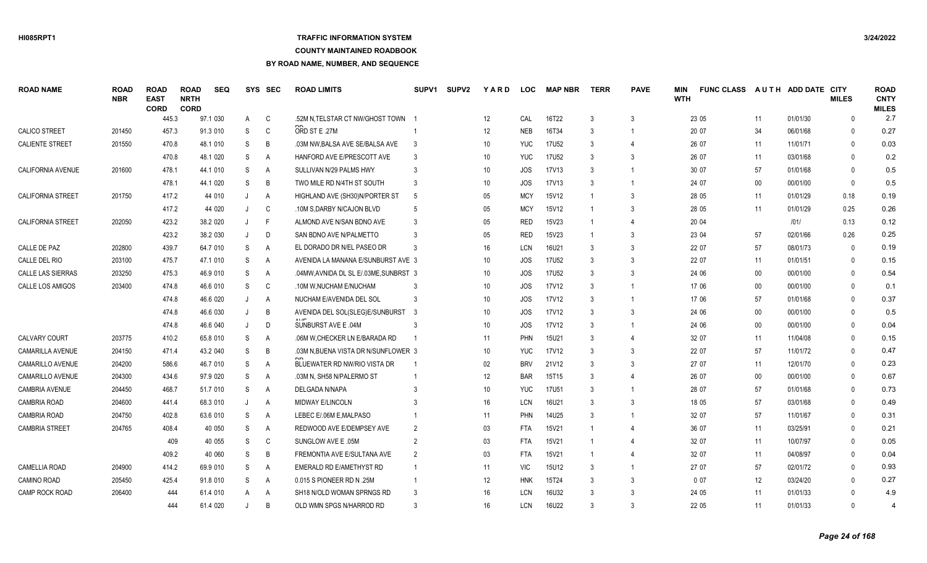### **TRAFFIC INFORMATION SYSTEM**

### **COUNTY MAINTAINED ROADBOOK**

| <b>ROAD NAME</b>         | <b>ROAD</b><br><b>NBR</b> | <b>ROAD</b><br><b>EAST</b><br><b>CORD</b> | <b>ROAD</b><br><b>NRTH</b><br><b>CORD</b> | <b>SEQ</b> |         | SYS SEC | <b>ROAD LIMITS</b>                     | SUPV <sub>1</sub> | <b>SUPV2</b> | YARD            | <b>LOC</b> | <b>MAP NBR</b> | <b>TERR</b>   | <b>PAVE</b>                 | MIN<br><b>WTH</b> | <b>FUNC CLASS</b> |        | AUTH ADD DATE CITY | <b>MILES</b> | <b>ROAD</b><br><b>CNTY</b><br><b>MILES</b> |
|--------------------------|---------------------------|-------------------------------------------|-------------------------------------------|------------|---------|---------|----------------------------------------|-------------------|--------------|-----------------|------------|----------------|---------------|-----------------------------|-------------------|-------------------|--------|--------------------|--------------|--------------------------------------------|
|                          |                           | 445.3                                     |                                           | 97.1 030   | A       | C       | .52M N.TELSTAR CT NW/GHOST TOWN        |                   |              | 12              | CAL        | 16T22          | 3             | $\mathbf{3}$                |                   | 23 05             | 11     | 01/01/30           | $\Omega$     | 2.7                                        |
| <b>CALICO STREET</b>     | 201450                    | 457.3                                     |                                           | 91.3 010   | S       | C       | ORD ST E .27M                          |                   |              | 12              | <b>NEB</b> | 16T34          | 3             |                             |                   | 20 07             | 34     | 06/01/68           | $\Omega$     | 0.27                                       |
| <b>CALIENTE STREET</b>   | 201550                    | 470.8                                     |                                           | 48.1 010   | S       | B       | .03M NW, BALSA AVE SE/BALSA AVE        | -3                |              | 10              | <b>YUC</b> | 17U52          | 3             | $\overline{4}$              |                   | 26 07             | 11     | 11/01/71           | $\Omega$     | 0.03                                       |
|                          |                           | 470.8                                     |                                           | 48.1 020   | S       | A       | HANFORD AVE E/PRESCOTT AVE             |                   |              | 10              | <b>YUC</b> | <b>17U52</b>   |               | 3                           |                   | 26 07             | 11     | 03/01/68           | $\Omega$     | 0.2                                        |
| <b>CALIFORNIA AVENUE</b> | 201600                    | 478.1                                     |                                           | 44.1 010   | S       | A       | SULLIVAN N/29 PALMS HWY                | -3                |              | 10              | JOS.       | 17V13          | 3             | $\overline{1}$              |                   | 30 07             | 57     | 01/01/68           | $\Omega$     | 0.5                                        |
|                          |                           | 478.1                                     |                                           | 44.1 020   | S       | B       | TWO MILE RD N/4TH ST SOUTH             | 3                 |              | 10              | JOS.       | 17V13          | $\mathbf{3}$  | $\overline{1}$              |                   | 24 07             | $00\,$ | 00/01/00           | $\mathbf{0}$ | 0.5                                        |
| <b>CALIFORNIA STREET</b> | 201750                    | 417.2                                     |                                           | 44 010     | $\cdot$ | Α       | HIGHLAND AVE (SH30)N/PORTER ST         | -5                |              | 05              | <b>MCY</b> | <b>15V12</b>   |               | 3                           |                   | 28 05             | 11     | 01/01/29           | 0.18         | 0.19                                       |
|                          |                           | 417.2                                     |                                           | 44 020     | J       | C       | .10M S, DARBY N/CAJON BLVD             |                   |              | 05              | <b>MCY</b> | 15V12          |               | 3                           |                   | 28 05             | 11     | 01/01/29           | 0.25         | 0.26                                       |
| <b>CALIFORNIA STREET</b> | 202050                    | 423.2                                     |                                           | 38.2 020   | J       | F       | ALMOND AVE N/SAN BDNO AVE              | -3                |              | 05              | <b>RED</b> | 15V23          |               | 4                           |                   | 20 04             |        | 1011               | 0.13         | 0.12                                       |
|                          |                           | 423.2                                     |                                           | 38.2 030   | J       | D       | SAN BDNO AVE N/PALMETTO                |                   |              | 05              | <b>RED</b> | 15V23          |               | 3                           |                   | 23 04             | 57     | 02/01/66           | 0.26         | 0.25                                       |
| CALLE DE PAZ             | 202800                    | 439.7                                     |                                           | 64.7 010   | S       | Α       | EL DORADO DR N/EL PASEO DR             |                   |              | 16              | <b>LCN</b> | 16U21          |               | 3                           |                   | 22 07             | 57     | 08/01/73           | $\mathbf{0}$ | 0.19                                       |
| CALLE DEL RIO            | 203100                    | 475.7                                     |                                           | 47.1 010   | S       | Α       | AVENIDA LA MANANA E/SUNBURST AVE 3     |                   |              | 10              | <b>JOS</b> | <b>17U52</b>   |               | 3                           |                   | 22 07             | 11     | 01/01/51           | $\mathbf{0}$ | 0.15                                       |
| <b>CALLE LAS SIERRAS</b> | 203250                    | 475.3                                     |                                           | 46.9 010   | S       | Α       | .04MW, AVNIDA DL SL E/.03ME, SUNBRST 3 |                   |              | 10 <sup>°</sup> | <b>JOS</b> | 17U52          | 3             | 3                           |                   | 24 06             | $00\,$ | 00/01/00           | $\Omega$     | 0.54                                       |
| <b>CALLE LOS AMIGOS</b>  | 203400                    | 474.8                                     |                                           | 46.6 010   | S       | C       | .10M W, NUCHAM E/NUCHAM                |                   |              | 10              | <b>JOS</b> | 17V12          | 3             |                             |                   | 17 06             | $00\,$ | 00/01/00           | $\Omega$     | 0.1                                        |
|                          |                           | 474.8                                     |                                           | 46.6 020   | J       | A       | NUCHAM E/AVENIDA DEL SOL               |                   |              | 10              | <b>JOS</b> | <b>17V12</b>   | 3             | $\overline{1}$              |                   | 17 06             | 57     | 01/01/68           | $\Omega$     | 0.37                                       |
|                          |                           | 474.8                                     |                                           | 46.6 030   | J       | B       | AVENIDA DEL SOL(SLEG)E/SUNBURST 3      |                   |              | 10 <sup>°</sup> | <b>JOS</b> | <b>17V12</b>   | 3             | 3                           |                   | 24 06             | $00\,$ | 00/01/00           | $\Omega$     | 0.5                                        |
|                          |                           | 474.8                                     |                                           | 46.6 040   | J       | D       | SUNBURST AVE E .04M                    |                   |              | 10              | JOS        | 17V12          | 3             | $\overline{1}$              |                   | 24 06             | $00\,$ | 00/01/00           | $\mathbf{0}$ | 0.04                                       |
| CALVARY COURT            | 203775                    | 410.2                                     |                                           | 65.8 010   | S       | A       | .06M W, CHECKER LN E/BARADA RD         |                   |              | 11              | PHN        | 15U21          | $\mathcal{R}$ | $\overline{4}$              |                   | 32 07             | 11     | 11/04/08           | $\Omega$     | 0.15                                       |
| <b>CAMARILLA AVENUE</b>  | 204150                    | 471.4                                     |                                           | 43.2 040   | S       | B       | .03M N, BUENA VISTA DR N/SUNFLOWER 3   |                   |              | 10              | <b>YUC</b> | 17V12          |               | 3                           |                   | 22 07             | 57     | 11/01/72           | $\mathbf{0}$ | 0.47                                       |
| <b>CAMARILLO AVENUE</b>  | 204200                    | 586.6                                     |                                           | 46.7 010   | S       | Α       | BLUEWATER RD NW/RIO VISTA DR           |                   |              | 02              | <b>BRV</b> | 21V12          | 3             | 3                           |                   | 27 07             | 11     | 12/01/70           | $\mathbf{0}$ | 0.23                                       |
| CAMARILLO AVENUE         | 204300                    | 434.6                                     |                                           | 97.9 020   | S       | A       | .03M N, SH58 N/PALERMO ST              |                   |              | 12              | <b>BAR</b> | 15T15          | 3             | 4                           |                   | 26 07             | $00\,$ | 00/01/00           | $\mathbf{0}$ | 0.67                                       |
| <b>CAMBRIA AVENUE</b>    | 204450                    | 468.7                                     |                                           | 51.7 010   | S       | Α       | <b>DELGADA N/NAPA</b>                  |                   |              | 10              | <b>YUC</b> | 17U51          |               | -1                          |                   | 28 07             | 57     | 01/01/68           | $\Omega$     | 0.73                                       |
| <b>CAMBRIA ROAD</b>      | 204600                    | 441.4                                     |                                           | 68.3 010   | J       | Α       | MIDWAY E/LINCOLN                       |                   |              | 16              | <b>LCN</b> | 16U21          | 3             | 3                           |                   | 18 05             | 57     | 03/01/68           | $\Omega$     | 0.49                                       |
| <b>CAMBRIA ROAD</b>      | 204750                    | 402.8                                     |                                           | 63.6 010   | S       | Α       | LEBEC E/.06M E, MALPASO                |                   |              | 11              | PHN        | 14U25          | $\mathbf{3}$  | $\overline{1}$              |                   | 32 07             | 57     | 11/01/67           | $\Omega$     | 0.31                                       |
| <b>CAMBRIA STREET</b>    | 204765                    | 408.4                                     |                                           | 40 050     | S       | A       | REDWOOD AVE E/DEMPSEY AVE              | $\mathcal{P}$     |              | 03              | <b>FTA</b> | 15V21          |               | $\boldsymbol{\vartriangle}$ |                   | 36 07             | 11     | 03/25/91           | $\Omega$     | 0.21                                       |
|                          |                           |                                           | 409                                       | 40 055     | S       | C       | SUNGLOW AVE E .05M                     | $\mathcal{P}$     |              | 03              | <b>FTA</b> | 15V21          |               | 4                           |                   | 32 07             | 11     | 10/07/97           | $\Omega$     | 0.05                                       |
|                          |                           | 409.2                                     |                                           | 40 060     | S       | B       | FREMONTIA AVE E/SULTANA AVE            | $\mathcal{P}$     |              | 03              | <b>FTA</b> | 15V21          |               | $\overline{4}$              |                   | 32 07             | 11     | 04/08/97           | $\Omega$     | 0.04                                       |
| <b>CAMELLIA ROAD</b>     | 204900                    | 414.2                                     |                                           | 69.9 010   | S       | A       | EMERALD RD E/AMETHYST RD               |                   |              | 11              | <b>VIC</b> | 15U12          | $\mathbf{3}$  | $\overline{1}$              |                   | 27 07             | 57     | 02/01/72           | $\Omega$     | 0.93                                       |
| <b>CAMINO ROAD</b>       | 205450                    | 425.4                                     |                                           | 91.8 010   | S       | A       | 0.015 S PIONEER RD N .25M              |                   |              | 12              | <b>HNK</b> | 15T24          |               | 3                           |                   | 007               | 12     | 03/24/20           | $\Omega$     | 0.27                                       |
| <b>CAMP ROCK ROAD</b>    | 206400                    | 444                                       |                                           | 61.4 010   | A       | A       | SH18 N/OLD WOMAN SPRNGS RD             |                   |              | 16              | <b>LCN</b> | 16U32          |               | 3                           |                   | 24 05             | 11     | 01/01/33           | $\Omega$     | 4.9                                        |
|                          |                           | 444                                       |                                           | 61.4 020   |         | B       | OLD WMN SPGS N/HARROD RD               |                   |              | 16              | <b>LCN</b> | 16U22          |               | $\mathcal{R}$               |                   | 22 05             | 11     | 01/01/33           | $\Omega$     | $\boldsymbol{\Delta}$                      |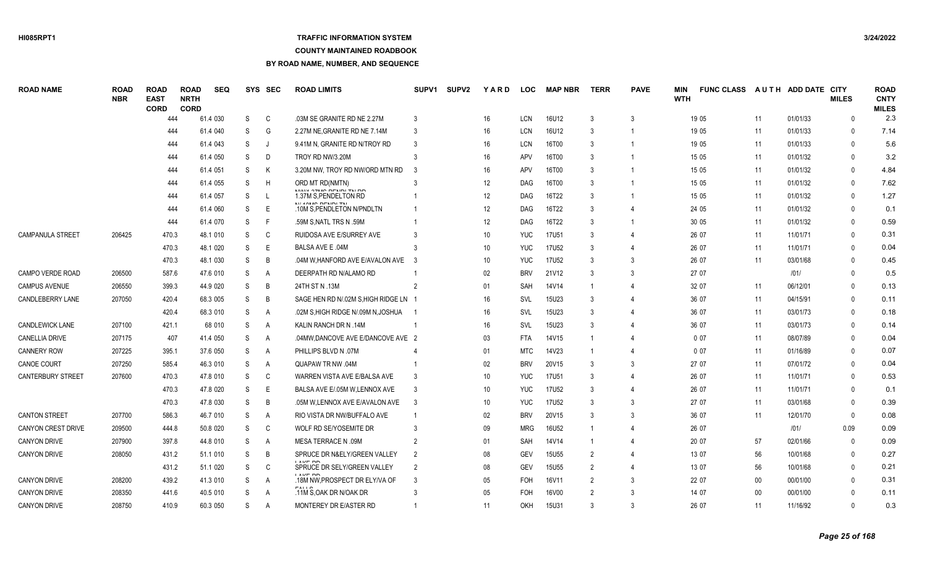### **COUNTY MAINTAINED ROADBOOK**

| <b>ROAD NAME</b>         | <b>ROAD</b><br><b>NBR</b> | <b>ROAD</b><br><b>EAST</b><br><b>CORD</b> | <b>ROAD</b><br><b>NRTH</b><br><b>CORD</b> | <b>SEQ</b> | SYS          | <b>SEC</b>   | <b>ROAD LIMITS</b>                                         | SUPV <sub>1</sub> | SUPV2 | YARD            | <b>LOC</b> | <b>MAP NBR</b>    | <b>TERR</b>    | <b>PAVE</b>    | MIN<br><b>WTH</b> | <b>FUNC CLASS</b> |        | AUTH ADD DATE CITY | <b>MILES</b> | <b>ROAD</b><br><b>CNTY</b><br><b>MILES</b> |
|--------------------------|---------------------------|-------------------------------------------|-------------------------------------------|------------|--------------|--------------|------------------------------------------------------------|-------------------|-------|-----------------|------------|-------------------|----------------|----------------|-------------------|-------------------|--------|--------------------|--------------|--------------------------------------------|
|                          |                           |                                           | 444                                       | 61.4 030   | S            | C            | .03M SE GRANITE RD NE 2.27M                                | 3                 |       | 16              | <b>LCN</b> | 16U12             | 3              | 3              |                   | 19 05             | 11     | 01/01/33           | $\Omega$     | 2.3                                        |
|                          |                           |                                           | 444                                       | 61.4 040   | S            | G            | 2.27M NE GRANITE RD NE 7.14M                               | 3                 |       | 16              | <b>LCN</b> | 16U12             | 3              |                |                   | 19 05             | 11     | 01/01/33           | $\Omega$     | 7.14                                       |
|                          |                           |                                           | 444                                       | 61.4 043   | S.           | -.l          | 9.41M N, GRANITE RD N/TROY RD                              |                   |       | 16              | <b>LCN</b> | 16T00             | 3              |                |                   | 19 05             | 11     | 01/01/33           | $\Omega$     | 5.6                                        |
|                          |                           |                                           | 444                                       | 61.4 050   | S.           | D            | TROY RD NW/3.20M                                           |                   |       | 16              | <b>APV</b> | 16T00             |                | -1             |                   | 15 05             | 11     | 01/01/32           | $\Omega$     | 3.2                                        |
|                          |                           |                                           | 444                                       | 61.4 051   | S            | K            | 3.20M NW. TROY RD NW/ORD MTN RD                            | -3                |       | 16              | <b>APV</b> | 16T00             | 3              | -1             |                   | 15 05             | 11     | 01/01/32           | $\Omega$     | 4.84                                       |
|                          |                           |                                           | 444                                       | 61.4 055   | S            | H            | ORD MT RD(NMTN)                                            |                   |       | 12              | <b>DAG</b> | 16T00             |                |                |                   | 15 05             | 11     | 01/01/32           | $\Omega$     | 7.62                                       |
|                          |                           |                                           | 444                                       | 61.4 057   | S            |              | <b>ABAILA OTALO DEAIDI TAL DD</b><br>1.37M S, PENDELTON RD |                   |       | 12              | <b>DAG</b> | 16T22             | $\mathbf{3}$   |                |                   | 15 05             | 11     | 01/01/32           | $\Omega$     | 1.27                                       |
|                          |                           |                                           | 444                                       | 61.4 060   | S            | E            | <b>MILAOMAO DEMINI THE</b><br>.10M S, PENDLETON N/PNDLTN   |                   |       | 12              | <b>DAG</b> | 16T22             | $\mathbf{3}$   |                |                   | 24 05             | 11     | 01/01/32           | $\Omega$     | 0.1                                        |
|                          |                           |                                           | 444                                       | 61.4 070   | S            | F            | .59M S, NATL TRS N .59M                                    |                   |       | 12              | <b>DAG</b> | 16T22             | 3              | $\overline{1}$ |                   | 30 05             | 11     | 01/01/32           | $\Omega$     | 0.59                                       |
| <b>CAMPANULA STREET</b>  | 206425                    | 470.3                                     |                                           | 48.1 010   | S            | C            | RUIDOSA AVE E/SURREY AVE                                   |                   |       | 10 <sup>°</sup> | <b>YUC</b> | <b>17U51</b>      | $\mathbf{3}$   | $\overline{4}$ |                   | 26 07             | 11     | 11/01/71           | $\Omega$     | 0.31                                       |
|                          |                           | 470.3                                     |                                           | 48.1 020   | S            | F            | BALSA AVE E .04M                                           |                   |       | 10              | <b>YUC</b> | 17U <sub>52</sub> |                | $\overline{4}$ |                   | 26 07             | 11     | 11/01/71           | $\Omega$     | 0.04                                       |
|                          |                           | 470.3                                     |                                           | 48.1 030   | S            | B            | .04M W.HANFORD AVE E/AVALON AVE                            | - 3               |       | 10 <sup>°</sup> | <b>YUC</b> | <b>17U52</b>      |                | 3              |                   | 26 07             | 11     | 03/01/68           | $\Omega$     | 0.45                                       |
| <b>CAMPO VERDE ROAD</b>  | 206500                    | 587.6                                     |                                           | 47.6 010   | S            | A            | DEERPATH RD N/ALAMO RD                                     |                   |       | 02              | <b>BRV</b> | 21V12             | $\mathcal{R}$  | 3              |                   | 27 07             |        | 1011               | $\Omega$     | 0.5                                        |
| <b>CAMPUS AVENUE</b>     | 206550                    | 399.3                                     |                                           | 44.9 020   | S            | B            | 24TH ST N .13M                                             |                   |       | 01              | <b>SAH</b> | 14V14             |                |                |                   | 32 07             | 11     | 06/12/01           | $\Omega$     | 0.13                                       |
| CANDLEBERRY LANE         | 207050                    | 420.4                                     |                                           | 68.3 005   | S            | B            | SAGE HEN RD N/.02M S, HIGH RIDGE LN 1                      |                   |       | 16              | <b>SVL</b> | 15U23             |                |                |                   | 36 07             | 11     | 04/15/91           | $\Omega$     | 0.11                                       |
|                          |                           | 420.4                                     |                                           | 68.3 010   | S            | A            | .02M S, HIGH RIDGE N/.09M N, JOSHUA                        |                   |       | 16              | <b>SVL</b> | 15U23             | 3              |                |                   | 36 07             | 11     | 03/01/73           | $\Omega$     | 0.18                                       |
| <b>CANDLEWICK LANE</b>   | 207100                    | 421.1                                     |                                           | 68 010     | S            | A            | KALIN RANCH DR N .14M                                      |                   |       | 16              | <b>SVL</b> | 15U23             | $\mathbf{3}$   | $\overline{4}$ |                   | 36 07             | 11     | 03/01/73           | $\Omega$     | 0.14                                       |
| <b>CANELLIA DRIVE</b>    | 207175                    |                                           | 407                                       | 41.4 050   | S            | A            | .04MW.DANCOVE AVE E/DANCOVE AVE 2                          |                   |       | 03              | <b>FTA</b> | 14V15             |                | $\overline{4}$ |                   | 0 0 7             | 11     | 08/07/89           | $\Omega$     | 0.04                                       |
| <b>CANNERY ROW</b>       | 207225                    | 395.1                                     |                                           | 37.6 050   | S            | A            | PHILLIPS BLVD N.07M                                        |                   |       | 01              | <b>MTC</b> | 14V23             |                | $\overline{4}$ |                   | 007               | 11     | 01/16/89           | $\Omega$     | 0.07                                       |
| <b>CANOE COURT</b>       | 207250                    | 585.4                                     |                                           | 46.3 010   | S            | A            | <b>QUAPAW TR NW .04M</b>                                   |                   |       | 02              | <b>BRV</b> | 20V15             | 3              | 3              |                   | 27 07             | 11     | 07/01/72           | $\Omega$     | 0.04                                       |
| <b>CANTERBURY STREET</b> | 207600                    | 470.3                                     |                                           | 47.8 010   | S.           | $\mathsf{C}$ | WARREN VISTA AVE E/BALSA AVE                               |                   |       | 10 <sup>°</sup> | <b>YUC</b> | <b>17U51</b>      | 3              |                |                   | 26 07             | 11     | 11/01/71           | $\Omega$     | 0.53                                       |
|                          |                           | 470.3                                     |                                           | 47.8 020   | S            | F            | BALSA AVE E/.05M W.LENNOX AVE                              | 3                 |       | 10              | <b>YUC</b> | <b>17U52</b>      |                |                |                   | 26 07             | 11     | 11/01/71           | $\Omega$     | 0.1                                        |
|                          |                           | 470.3                                     |                                           | 47.8 030   | S            | B            | .05M W,LENNOX AVE E/AVALON AVE                             | -3                |       | 10              | <b>YUC</b> | 17U52             | $\mathbf{3}$   | 3              |                   | 27 07             | 11     | 03/01/68           | $\Omega$     | 0.39                                       |
| <b>CANTON STREET</b>     | 207700                    | 586.3                                     |                                           | 46.7 010   | S            | A            | RIO VISTA DR NW/BUFFALO AVE                                |                   |       | 02              | <b>BRV</b> | 20V15             | $\mathbf{3}$   | 3              |                   | 36 07             | 11     | 12/01/70           | $\Omega$     | 0.08                                       |
| CANYON CREST DRIVE       | 209500                    | 444.8                                     |                                           | 50.8 020   | S            | $\mathsf{C}$ | WOLF RD SE/YOSEMITE DR                                     |                   |       | 09              | <b>MRG</b> | 16U52             |                | $\Delta$       |                   | 26 07             |        | 1011               | 0.09         | 0.09                                       |
| <b>CANYON DRIVE</b>      | 207900                    | 397.8                                     |                                           | 44.8 010   | S            | A            | MESA TERRACE N .09M                                        | 2                 |       | 01              | <b>SAH</b> | 14V14             |                | $\overline{4}$ |                   | 20 07             | 57     | 02/01/66           | $\Omega$     | 0.09                                       |
| <b>CANYON DRIVE</b>      | 208050                    | 431.2                                     |                                           | 51.1 010   | S            | B            | SPRUCE DR N&ELY/GREEN VALLEY                               | $\overline{2}$    |       | 08              | <b>GEV</b> | <b>15U55</b>      | $\overline{2}$ |                |                   | 13 07             | 56     | 10/01/68           | $\Omega$     | 0.27                                       |
|                          |                           | 431.2                                     |                                           | 51.1 020   | <sub>S</sub> | C            | LAIZE DD<br>SPRUCE DR SELY/GREEN VALLEY                    | $\mathcal{P}$     |       | 08              | <b>GEV</b> | 15U55             | $\mathcal{P}$  |                |                   | 13 07             | 56     | 10/01/68           | $\Omega$     | 0.21                                       |
| <b>CANYON DRIVE</b>      | 208200                    | 439.2                                     |                                           | 41.3 010   | S            | A            | $I$ ALC DD<br>.18M NW.PROSPECT DR ELY/VA OF                |                   |       | 05              | <b>FOH</b> | 16V11             | $\mathcal{P}$  | 3              |                   | 22 07             | 00     | 00/01/00           | $\Omega$     | 0.31                                       |
| <b>CANYON DRIVE</b>      | 208350                    | 441.6                                     |                                           | 40.5 010   | S            | A            | .11M S,OAK DR N/OAK DR                                     |                   |       | 05              | <b>FOH</b> | 16V00             | $\mathcal{P}$  | 3              |                   | 14 07             | $00\,$ | 00/01/00           | $\Omega$     | 0.11                                       |
| <b>CANYON DRIVE</b>      | 208750                    | 410.9                                     |                                           | 60.3 050   | S.           | A            | MONTEREY DR E/ASTER RD                                     |                   |       | 11              | OKH        | <b>15U31</b>      | $\mathcal{R}$  | $\mathcal{R}$  |                   | 26 07             | 11     | 11/16/92           | $\Omega$     | 0.3                                        |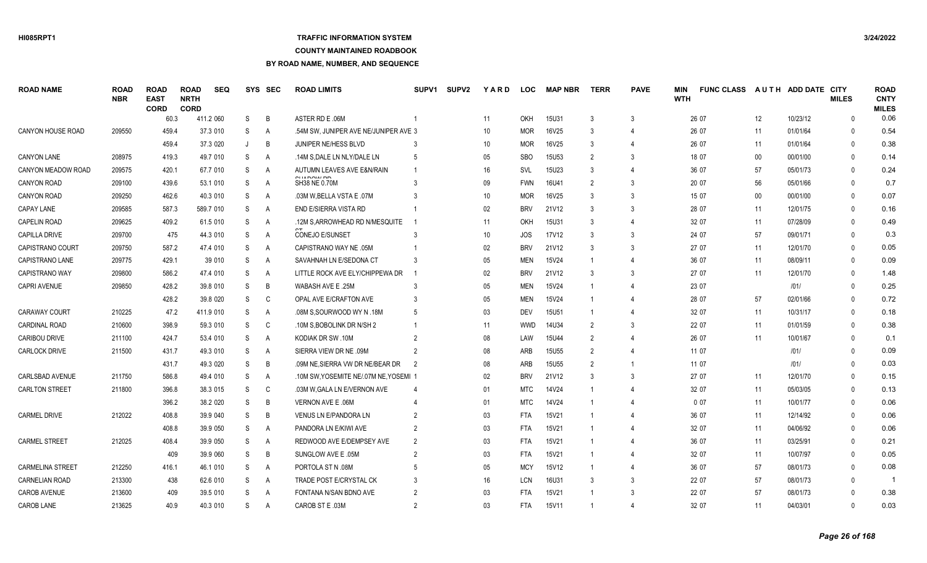### **TRAFFIC INFORMATION SYSTEM**

### **COUNTY MAINTAINED ROADBOOK**

| <b>ROAD NAME</b>        | <b>ROAD</b><br><b>NBR</b> | <b>ROAD</b><br><b>EAST</b><br><b>CORD</b> | <b>ROAD</b><br><b>NRTH</b><br><b>CORD</b> | <b>SEQ</b> |    | SYS SEC        | <b>ROAD LIMITS</b>                      | <b>SUPV1</b>  | <b>SUPV2</b> | YARD            | <b>LOC</b> | <b>MAP NBR</b> | <b>TERR</b>    | <b>PAVE</b>              | MIN<br><b>WTH</b> | <b>FUNC CLASS</b> |        | AUTH ADD DATE CITY | <b>MILES</b> | <b>ROAD</b><br><b>CNTY</b><br><b>MILES</b> |
|-------------------------|---------------------------|-------------------------------------------|-------------------------------------------|------------|----|----------------|-----------------------------------------|---------------|--------------|-----------------|------------|----------------|----------------|--------------------------|-------------------|-------------------|--------|--------------------|--------------|--------------------------------------------|
|                         |                           | 60.3                                      |                                           | 411.2 060  | S  | B              | ASTER RD E .06M                         |               |              | 11              | OKH        | 15U31          | 3              | 3                        |                   | 26 07             | 12     | 10/23/12           | $\Omega$     | 0.06                                       |
| CANYON HOUSE ROAD       | 209550                    | 459.4                                     |                                           | 37.3 010   | S  | A              | .54M SW, JUNIPER AVE NE/JUNIPER AVE 3   |               |              | 10              | <b>MOR</b> | 16V25          | 3              | $\overline{4}$           |                   | 26 07             | 11     | 01/01/64           | $\Omega$     | 0.54                                       |
|                         |                           | 459.4                                     |                                           | 37.3 020   |    | B              | JUNIPER NE/HESS BLVD                    |               |              | 10              | <b>MOR</b> | 16V25          | 3              | $\overline{4}$           |                   | 26 07             | 11     | 01/01/64           | $\Omega$     | 0.38                                       |
| <b>CANYON LANE</b>      | 208975                    | 419.3                                     |                                           | 49.7 010   | S  | A              | .14M S.DALE LN NLY/DALE LN              |               |              | 05              | <b>SBO</b> | <b>15U53</b>   | $\mathcal{P}$  | 3                        |                   | 18 07             | 00     | 00/01/00           | $\Omega$     | 0.14                                       |
| CANYON MEADOW ROAD      | 209575                    | 420.1                                     |                                           | 67.7 010   | S  | A              | AUTUMN LEAVES AVE E&N/RAIN<br>O(11000M) |               |              | 16              | <b>SVL</b> | 15U23          | $\mathbf{3}$   | $\overline{4}$           |                   | 36 07             | 57     | 05/01/73           | $\Omega$     | 0.24                                       |
| <b>CANYON ROAD</b>      | 209100                    | 439.6                                     |                                           | 53.1 010   | S  | A              | SH38 NE 0.70M                           |               |              | 09              | <b>FWN</b> | 16U41          | 2              | 3                        |                   | 20 07             | 56     | 05/01/66           | $\Omega$     | 0.7                                        |
| <b>CANYON ROAD</b>      | 209250                    | 462.6                                     |                                           | 40.3 010   | S  | $\overline{A}$ | .03M W, BELLA VSTA E .07M               |               |              | 10              | <b>MOR</b> | 16V25          | $\mathbf{3}$   | 3                        |                   | 15 07             | $00\,$ | 00/01/00           | $\Omega$     | 0.07                                       |
| CAPAY LANE              | 209585                    | 587.3                                     |                                           | 589.7 010  | S  | A              | END E/SIERRA VISTA RD                   |               |              | 02              | <b>BRV</b> | 21V12          | 3              | 3                        |                   | 28 07             | 11     | 12/01/75           | $\mathbf{0}$ | 0.16                                       |
| <b>CAPELIN ROAD</b>     | 209625                    | 409.2                                     |                                           | 61.5 010   | S  | A              | .12M S, ARROWHEAD RD N/MESQUITE         |               |              | 11              | OKH        | 15U31          | 3              | $\overline{4}$           |                   | 32 07             | 11     | 07/28/09           | $\Omega$     | 0.49                                       |
| <b>CAPILLA DRIVE</b>    | 209700                    | 475                                       |                                           | 44.3 010   | S  | A              | CONEJO E/SUNSET                         |               |              | 10              | <b>JOS</b> | <b>17V12</b>   | 3              | 3                        |                   | 24 07             | 57     | 09/01/71           | $\mathbf{0}$ | 0.3                                        |
| CAPISTRANO COURT        | 209750                    | 587.2                                     |                                           | 47.4 010   | S  | A              | CAPISTRANO WAY NE .05M                  |               |              | 02 <sub>2</sub> | <b>BRV</b> | 21V12          |                | 3                        |                   | 27 07             | 11     | 12/01/70           | $\Omega$     | 0.05                                       |
| CAPISTRANO LANE         | 209775                    | 429.1                                     |                                           | 39 010     | S  | Α              | SAVAHNAH LN E/SEDONA CT                 | 3             |              | 05              | <b>MEN</b> | 15V24          |                | $\overline{4}$           |                   | 36 07             | 11     | 08/09/11           | $\mathbf{0}$ | 0.09                                       |
| <b>CAPISTRANO WAY</b>   | 209800                    | 586.2                                     |                                           | 47.4 010   | S  | Α              | LITTLE ROCK AVE ELY/CHIPPEWA DR         |               |              | $02\,$          | <b>BRV</b> | 21V12          | 3              | 3                        |                   | 27 07             | 11     | 12/01/70           | $\Omega$     | 1.48                                       |
| <b>CAPRI AVENUE</b>     | 209850                    | 428.2                                     |                                           | 39.8 010   | S  | B              | WABASH AVE E .25M                       |               |              | 05              | <b>MEN</b> | 15V24          |                |                          |                   | 23 07             |        | 1011               | $\Omega$     | 0.25                                       |
|                         |                           | 428.2                                     |                                           | 39.8 020   | S  | C              | OPAL AVE E/CRAFTON AVE                  |               |              | 05              | <b>MEN</b> | 15V24          |                |                          |                   | 28 07             | 57     | 02/01/66           | $\Omega$     | 0.72                                       |
| <b>CARAWAY COURT</b>    | 210225                    | 47.2                                      |                                           | 411.9 010  | S  | $\overline{A}$ | .08M S.SOURWOOD WY N.18M                | -5            |              | 03              | <b>DEV</b> | <b>15U51</b>   |                | $\overline{4}$           |                   | 32 07             | 11     | 10/31/17           | $\Omega$     | 0.18                                       |
| <b>CARDINAL ROAD</b>    | 210600                    | 398.9                                     |                                           | 59.3 010   | S  | C              | .10M S, BOBOLINK DR N/SH 2              |               |              | 11              | <b>WWD</b> | 14U34          | 2              | 3                        |                   | 22 07             | 11     | 01/01/59           | $\mathbf{0}$ | 0.38                                       |
| <b>CARIBOU DRIVE</b>    | 211100                    | 424.7                                     |                                           | 53.4 010   | S  | $\overline{A}$ | KODIAK DR SW .10M                       |               |              | 08              | LAW        | 15U44          | $\overline{2}$ | $\overline{4}$           |                   | 26 07             | 11     | 10/01/67           | $\Omega$     | 0.1                                        |
| CARLOCK DRIVE           | 211500                    | 431.7                                     |                                           | 49.3 010   | S  | Α              | SIERRA VIEW DR NE .09M                  |               |              | 08              | ARB        | 15U55          | 2              | $\overline{4}$           |                   | 11 07             |        | 1011               | $\mathbf{0}$ | 0.09                                       |
|                         |                           | 431.7                                     |                                           | 49.3 020   | S  | B              | .09M NE, SIERRA VW DR NE/BEAR DR        | -2            |              | 08              | ARB        | <b>15U55</b>   | $\overline{2}$ | $\overline{1}$           |                   | 11 07             |        | 1011               | $\mathbf{0}$ | 0.03                                       |
| CARLSBAD AVENUE         | 211750                    | 586.8                                     |                                           | 49.4 010   | S  | Α              | 10M SW, YOSEMITE NE/.07M NE, YOSEMI 1   |               |              | $02\,$          | <b>BRV</b> | 21V12          | $\mathbf{3}$   | 3                        |                   | 27 07             | 11     | 12/01/70           | $\mathbf{0}$ | 0.15                                       |
| <b>CARLTON STREET</b>   | 211800                    | 396.8                                     |                                           | 38.3 015   | S  | C              | .03M W, GALA LN E/VERNON AVE            |               |              | 01              | <b>MTC</b> | 14V24          |                | $\overline{4}$           |                   | 32 07             | 11     | 05/03/05           | $\mathbf{0}$ | 0.13                                       |
|                         |                           | 396.2                                     |                                           | 38.2 020   | S  | B              | VERNON AVE E .06M                       |               |              | 01              | <b>MTC</b> | 14V24          |                | $\boldsymbol{\varDelta}$ |                   | 0 0 7             | 11     | 10/01/77           | $\mathbf{0}$ | 0.06                                       |
| <b>CARMEL DRIVE</b>     | 212022                    | 408.8                                     |                                           | 39.9 040   | S  | B              | VENUS LN E/PANDORA LN                   |               |              | 03              | <b>FTA</b> | 15V21          |                |                          |                   | 36 07             | 11     | 12/14/92           | $\Omega$     | 0.06                                       |
|                         |                           | 408.8                                     |                                           | 39.9 050   | S  | $\overline{A}$ | PANDORA LN E/KIWI AVE                   |               |              | 03              | <b>FTA</b> | 15V21          |                | $\overline{4}$           |                   | 32 07             | 11     | 04/06/92           | $\Omega$     | 0.06                                       |
| <b>CARMEL STREET</b>    | 212025                    | 408.4                                     |                                           | 39.9 050   | S  | A              | REDWOOD AVE E/DEMPSEY AVE               | $\mathcal{P}$ |              | 03              | <b>FTA</b> | 15V21          |                | $\overline{4}$           |                   | 36 07             | 11     | 03/25/91           | $\Omega$     | 0.21                                       |
|                         |                           | 409                                       |                                           | 39.9 060   | S  | B              | SUNGLOW AVE E .05M                      |               |              | 03              | <b>FTA</b> | 15V21          |                | $\overline{4}$           |                   | 32 07             | 11     | 10/07/97           | $\Omega$     | 0.05                                       |
| <b>CARMELINA STREET</b> | 212250                    | 416.1                                     |                                           | 46.1 010   | S  | A              | PORTOLA ST N .08M                       |               |              | $05\,$          | <b>MCY</b> | 15V12          |                |                          |                   | 36 07             | 57     | 08/01/73           | $\Omega$     | 0.08                                       |
| <b>CARNELIAN ROAD</b>   | 213300                    | 438                                       |                                           | 62.6 010   | S  | A              | <b>TRADE POST E/CRYSTAL CK</b>          |               |              | 16              | <b>LCN</b> | 16U31          |                | 3                        |                   | 22 07             | 57     | 08/01/73           | $\Omega$     |                                            |
| <b>CAROB AVENUE</b>     | 213600                    | 409                                       |                                           | 39.5 010   | S  | A              | FONTANA N/SAN BDNO AVE                  |               |              | 03              | <b>FTA</b> | 15V21          |                | 3                        |                   | 22 07             | 57     | 08/01/73           | $\Omega$     | 0.38                                       |
| <b>CAROB LANE</b>       | 213625                    | 40.9                                      |                                           | 40.3 010   | S. | A              | CAROB ST E .03M                         |               |              | 03              | <b>FTA</b> | 15V11          |                | $\overline{4}$           |                   | 32 07             | 11     | 04/03/01           | $\Omega$     | 0.03                                       |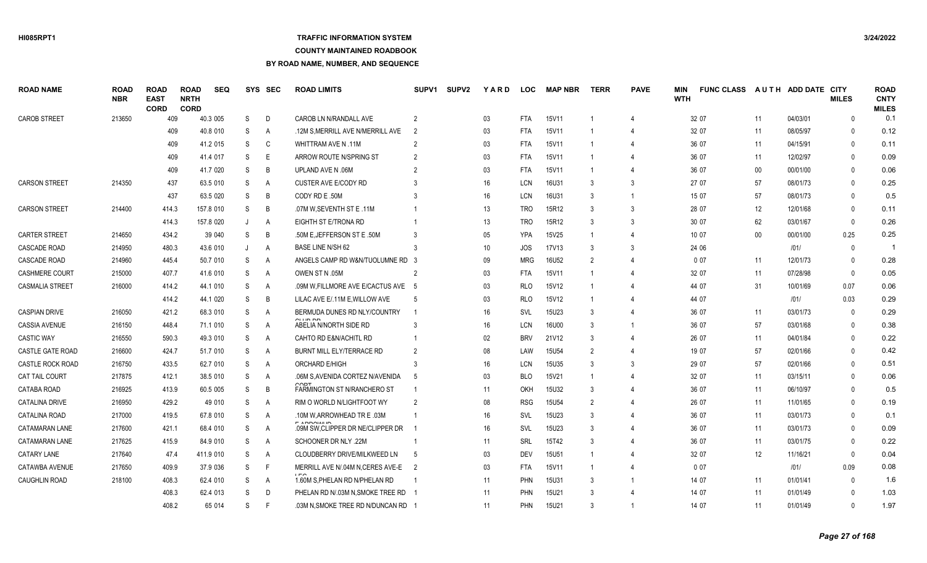# **TRAFFIC INFORMATION SYSTEM**

### **COUNTY MAINTAINED ROADBOOK**

| <b>ROAD NAME</b>        | <b>ROAD</b><br><b>NBR</b> | <b>ROAD</b><br><b>EAST</b><br><b>CORD</b> | <b>ROAD</b><br><b>NRTH</b><br><b>CORD</b> | <b>SEQ</b> | <b>SYS</b> | <b>SEC</b>     | <b>ROAD LIMITS</b>                                   | <b>SUPV1</b>   | <b>SUPV2</b> | YARD | <b>LOC</b> | <b>MAP NBR</b> | <b>TERR</b>    | <b>PAVE</b>    | MIN<br><b>WTH</b> | <b>FUNC CLASS</b> |        | AUTH ADD DATE CITY | <b>MILES</b> | <b>ROAD</b><br><b>CNTY</b><br><b>MILES</b> |
|-------------------------|---------------------------|-------------------------------------------|-------------------------------------------|------------|------------|----------------|------------------------------------------------------|----------------|--------------|------|------------|----------------|----------------|----------------|-------------------|-------------------|--------|--------------------|--------------|--------------------------------------------|
| <b>CAROB STREET</b>     | 213650                    | 409                                       |                                           | 40.3 005   | S          | D              | CAROB LN N/RANDALL AVE                               | 2              |              | 03   | <b>FTA</b> | 15V11          |                | 4              |                   | 32 07             | 11     | 04/03/01           | $\Omega$     | 0.1                                        |
|                         |                           | 409                                       |                                           | 40.8 010   | S          | A              | .12M S, MERRILL AVE N/MERRILL AVE                    | -2             |              | 03   | <b>FTA</b> | 15V11          |                | 4              |                   | 32 07             | 11     | 08/05/97           | $\Omega$     | 0.12                                       |
|                         |                           | 409                                       |                                           | 41.2 015   | S          | C              | WHITTRAM AVE N.11M                                   |                |              | 03   | <b>FTA</b> | 15V11          |                | 4              |                   | 36 07             | 11     | 04/15/91           | $\Omega$     | 0.11                                       |
|                         |                           | 409                                       |                                           | 41.4 017   | S          | E.             | ARROW ROUTE N/SPRING ST                              |                |              | 03   | <b>FTA</b> | 15V11          |                | 4              |                   | 36 07             | 11     | 12/02/97           | $\Omega$     | 0.09                                       |
|                         |                           | 409                                       |                                           | 41.7 020   | S          | B              | <b>UPLAND AVE N.06M</b>                              |                |              | 03   | <b>FTA</b> | 15V11          |                |                |                   | 36 07             | $00\,$ | 00/01/00           | $\Omega$     | 0.06                                       |
| <b>CARSON STREET</b>    | 214350                    | 437                                       |                                           | 63.5 010   | S          | $\overline{A}$ | CUSTER AVE E/CODY RD                                 |                |              | 16   | LCN        | 16U31          | -3             | 3              |                   | 27 07             | 57     | 08/01/73           | $\Omega$     | 0.25                                       |
|                         |                           | 437                                       |                                           | 63.5 020   | S          | B              | CODY RD E .50M                                       |                |              | 16   | LCN        | 16U31          | 3              |                |                   | 15 07             | 57     | 08/01/73           | $\Omega$     | 0.5                                        |
| <b>CARSON STREET</b>    | 214400                    | 414.3                                     |                                           | 157.8 010  | S          | B              | 07M W, SEVENTH ST E .11M                             |                |              | 13   | <b>TRO</b> | 15R12          | -3             | 3              |                   | 28 07             | 12     | 12/01/68           | $\Omega$     | 0.11                                       |
|                         |                           | 414.3                                     |                                           | 157.8 020  | J          | A              | EIGHTH ST E/TRONA RD                                 |                |              | 13   | <b>TRO</b> | 15R12          | 3              | 3              |                   | 30 07             | 62     | 03/01/67           | $\mathbf{0}$ | 0.26                                       |
| <b>CARTER STREET</b>    | 214650                    | 434.2                                     |                                           | 39 040     | S          | B              | .50M E, JEFFERSON ST E .50M                          |                |              | 05   | <b>YPA</b> | 15V25          |                | 4              |                   | 10 07             | $00\,$ | 00/01/00           | 0.25         | 0.25                                       |
| <b>CASCADE ROAD</b>     | 214950                    | 480.3                                     |                                           | 43.6 010   | J          | Α              | <b>BASE LINE N/SH 62</b>                             |                |              | 10   | JOS        | 17V13          |                | 3              |                   | 24 06             |        | 1011               | $\mathbf{0}$ |                                            |
| CASCADE ROAD            | 214960                    | 445.4                                     |                                           | 50.7 010   | S          | $\overline{A}$ | ANGELS CAMP RD W&N/TUOLUMNE RD 3                     |                |              | 09   | <b>MRG</b> | 16U52          | $\mathcal{P}$  |                |                   | 007               | 11     | 12/01/73           | $\Omega$     | 0.28                                       |
| <b>CASHMERE COURT</b>   | 215000                    | 407.7                                     |                                           | 41.6 010   | S          | A              | OWEN ST N .05M                                       |                |              | 03   | <b>FTA</b> | 15V11          |                |                |                   | 32 07             | 11     | 07/28/98           | $\Omega$     | 0.05                                       |
| <b>CASMALIA STREET</b>  | 216000                    | 414.2                                     |                                           | 44.1 010   | S          | A              | .09M W.FILLMORE AVE E/CACTUS AVE 5                   |                |              | 03   | <b>RLO</b> | 15V12          |                |                |                   | 44 07             | 31     | 10/01/69           | 0.07         | 0.06                                       |
|                         |                           | 414.2                                     |                                           | 44.1 020   | S          | B              | LILAC AVE E/.11M E, WILLOW AVE                       |                |              | 03   | <b>RLO</b> | 15V12          |                | 4              |                   | 44 07             |        | 1011               | 0.03         | 0.29                                       |
| <b>CASPIAN DRIVE</b>    | 216050                    | 421.2                                     |                                           | 68.3 010   | S          | A              | BERMUDA DUNES RD NLY/COUNTRY                         |                |              | 16   | SVL        | 15U23          | -3             | $\overline{4}$ |                   | 36 07             | 11     | 03/01/73           | $\Omega$     | 0.29                                       |
| <b>CASSIA AVENUE</b>    | 216150                    | 448.4                                     |                                           | 71.1 010   | S          | A              | ABELIA N/NORTH SIDE RD                               |                |              | 16   | <b>LCN</b> | 16U00          | $\mathbf{3}$   | -1             |                   | 36 07             | 57     | 03/01/68           | $\Omega$     | 0.38                                       |
| <b>CASTIC WAY</b>       | 216550                    | 590.3                                     |                                           | 49.3 010   | S          | A              | CAHTO RD E&N/ACHITL RD                               |                |              | 02   | <b>BRV</b> | 21V12          |                | 4              |                   | 26 07             | 11     | 04/01/84           | $\Omega$     | 0.22                                       |
| <b>CASTLE GATE ROAD</b> | 216600                    | 424.7                                     |                                           | 51.7 010   | S          | A              | <b>BURNT MILL ELY/TERRACE RD</b>                     | 2              |              | 08   | LAW        | <b>15U54</b>   | 2              | 4              |                   | 19 07             | 57     | 02/01/66           | $\Omega$     | 0.42                                       |
| CASTLE ROCK ROAD        | 216750                    | 433.5                                     |                                           | 62.7 010   | S          | A              | <b>ORCHARD E/HIGH</b>                                |                |              | 16   | <b>LCN</b> | 15U35          | 3              | 3              |                   | 29 07             | 57     | 02/01/66           | $\Omega$     | 0.51                                       |
| <b>CAT TAIL COURT</b>   | 217875                    | 412.1                                     |                                           | 38.5 010   | S          | A              | .06M S, AVENIDA CORTEZ N/AVENIDA                     | -5             |              | 03   | <b>BLO</b> | 15V21          |                |                |                   | 32 07             | 11     | 03/15/11           | $\Omega$     | 0.06                                       |
| CATABA ROAD             | 216925                    | 413.9                                     |                                           | 60.5 005   | S          | B              | FARMINGTON ST N/RANCHERO ST                          |                |              | 11   | OKH        | 15U32          | -3             | 4              |                   | 36 07             | 11     | 06/10/97           | $\Omega$     | 0.5                                        |
| CATALINA DRIVE          | 216950                    | 429.2                                     |                                           | 49 010     | S          | A              | RIM O WORLD N/LIGHTFOOT WY                           | $\overline{2}$ |              | 08   | <b>RSG</b> | 15U54          | $\overline{2}$ |                |                   | 26 07             | 11     | 11/01/65           | $\Omega$     | 0.19                                       |
| CATALINA ROAD           | 217000                    | 419.5                                     |                                           | 67.8 010   | S          | A              | .10M W, ARROWHEAD TR E .03M                          |                |              | 16   | SVL        | 15U23          | -3             | 4              |                   | 36 07             | 11     | 03/01/73           | $\mathbf{0}$ | 0.1                                        |
| CATAMARAN LANE          | 217600                    | 421.1                                     |                                           | 68.4 010   | S          | A              | <b>EADDOMUP</b><br>.09M SW, CLIPPER DR NE/CLIPPER DR |                |              | 16   | SVL        | 15U23          |                | 4              |                   | 36 07             | 11     | 03/01/73           | $\mathbf{0}$ | 0.09                                       |
| CATAMARAN LANE          | 217625                    | 415.9                                     |                                           | 84.9 010   | S          | Α              | SCHOONER DR NLY .22M                                 |                |              | 11   | SRL        | 15T42          | 3              | 4              |                   | 36 07             | 11     | 03/01/75           | $\mathbf{0}$ | 0.22                                       |
| <b>CATARY LANE</b>      | 217640                    | 47.4                                      |                                           | 411.9 010  | S          | $\overline{A}$ | CLOUDBERRY DRIVE/MILKWEED LN                         | -5             |              | 03   | <b>DEV</b> | <b>15U51</b>   |                |                |                   | 32 07             | 12     | 11/16/21           | $\mathbf{0}$ | 0.04                                       |
| CATAWBA AVENUE          | 217650                    | 409.9                                     |                                           | 37.9 036   | S          | F              | MERRILL AVE N/04M N, CERES AVE-E 2                   |                |              | 03   | <b>FTA</b> | 15V11          |                |                |                   | 007               |        | 1011               | 0.09         | 0.08                                       |
| <b>CAUGHLIN ROAD</b>    | 218100                    | 408.3                                     |                                           | 62.4 010   | S          | A              | 1.60M S, PHELAN RD N/PHELAN RD                       |                |              | 11   | <b>PHN</b> | <b>15U31</b>   | 3              | -1             |                   | 14 07             | 11     | 01/01/41           | $\Omega$     | 1.6                                        |
|                         |                           | 408.3                                     |                                           | 62.4 013   | S          | D              | PHELAN RD N/.03M N, SMOKE TREE RD                    |                |              | 11   | <b>PHN</b> | 15U21          |                |                |                   | 14 07             | 11     | 01/01/49           | $\cap$       | 1.03                                       |
|                         |                           | 408.2                                     |                                           | 65 014     | S.         | F.             | .03M N, SMOKE TREE RD N/DUNCAN RD                    |                |              | 11   | <b>PHN</b> | <b>15U21</b>   |                |                |                   | 14 07             | 11     | 01/01/49           | $\Omega$     | 1.97                                       |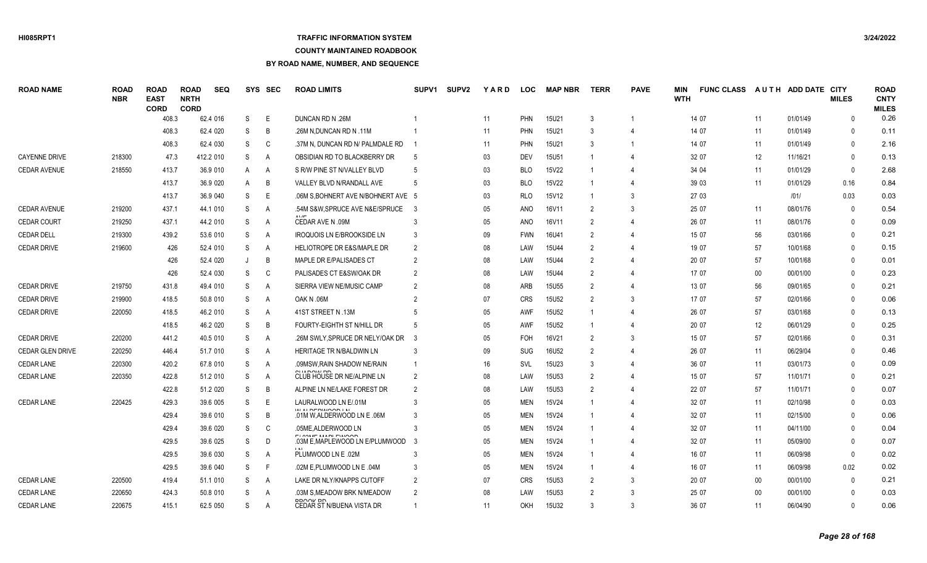### **TRAFFIC INFORMATION SYSTEM**

**COUNTY MAINTAINED ROADBOOK**

| <b>ROAD NAME</b>        | <b>ROAD</b><br><b>NBR</b> | <b>ROAD</b><br><b>EAST</b><br><b>CORD</b> | <b>ROAD</b><br><b>NRTH</b><br><b>CORD</b> | <b>SEQ</b> | SYS | SEC            | <b>ROAD LIMITS</b>                                     | <b>SUPV1</b>   | <b>SUPV2</b> | YARD   | <b>LOC</b> | <b>MAP NBR</b> | <b>TERR</b>    | <b>PAVE</b>    | <b>MIN</b><br><b>WTH</b> | <b>FUNC CLASS</b> |        | AUTH ADD DATE CITY | <b>MILES</b> | <b>ROAD</b><br><b>CNTY</b><br><b>MILES</b> |
|-------------------------|---------------------------|-------------------------------------------|-------------------------------------------|------------|-----|----------------|--------------------------------------------------------|----------------|--------------|--------|------------|----------------|----------------|----------------|--------------------------|-------------------|--------|--------------------|--------------|--------------------------------------------|
|                         |                           | 408.3                                     |                                           | 62.4 016   | S   | E              | <b>DUNCAN RD N.26M</b>                                 |                |              | 11     | <b>PHN</b> | 15U21          | 3              |                |                          | 14 07             | 11     | 01/01/49           | $\Omega$     | 0.26                                       |
|                         |                           | 408.3                                     |                                           | 62.4 020   | S   | B              | .26M N, DUNCAN RD N .11M                               |                |              | 11     | <b>PHN</b> | 15U21          | 3              | 4              |                          | 14 07             | 11     | 01/01/49           | $\Omega$     | 0.11                                       |
|                         |                           | 408.3                                     |                                           | 62.4 030   | S   | C              | .37M N, DUNCAN RD N/ PALMDALE RD                       |                |              | 11     | <b>PHN</b> | 15U21          | 3              | $\overline{1}$ |                          | 14 07             | 11     | 01/01/49           | 0            | 2.16                                       |
| <b>CAYENNE DRIVE</b>    | 218300                    | 47.3                                      |                                           | 412.2 010  | S   | A              | OBSIDIAN RD TO BLACKBERRY DR                           | -5             |              | 03     | <b>DEV</b> | <b>15U51</b>   |                | 4              |                          | 32 07             | 12     | 11/16/21           | $\Omega$     | 0.13                                       |
| <b>CEDAR AVENUE</b>     | 218550                    | 413.7                                     |                                           | 36.9 010   | A   | A              | S R/W PINE ST N/VALLEY BLVD                            | -5             |              | 03     | <b>BLO</b> | 15V22          |                | 4              |                          | 34 04             | 11     | 01/01/29           | $\Omega$     | 2.68                                       |
|                         |                           | 413.7                                     |                                           | 36.9 020   | A   | B              | VALLEY BLVD N/RANDALL AVE                              | -5             |              | 03     | <b>BLO</b> | 15V22          |                | $\overline{4}$ |                          | 39 03             | 11     | 01/01/29           | 0.16         | 0.84                                       |
|                         |                           | 413.7                                     |                                           | 36.9 040   | S   | E              | .06M S.BOHNERT AVE N/BOHNERT AVE 5                     |                |              | 03     | <b>RLO</b> | 15V12          |                | 3              |                          | 27 03             |        | 1011               | 0.03         | 0.03                                       |
| <b>CEDAR AVENUE</b>     | 219200                    | 437.1                                     |                                           | 44.1 010   | S   | A              | .54M S&W,SPRUCE AVE N&E/SPRUCE                         | - 3            |              | 05     | <b>ANO</b> | 16V11          | $\mathcal{P}$  | 3              |                          | 25 07             | 11     | 08/01/76           | $\Omega$     | 0.54                                       |
| <b>CEDAR COURT</b>      | 219250                    | 437.1                                     |                                           | 44.2 010   | S   | A              | CEDAR AVE N .09M                                       |                |              | 05     | <b>ANO</b> | 16V11          | $\overline{2}$ | $\overline{4}$ |                          | 26 07             | 11     | 08/01/76           | 0            | 0.09                                       |
| <b>CEDAR DELL</b>       | 219300                    | 439.2                                     |                                           | 53.6 010   | S   | A              | IROQUOIS LN E/BROOKSIDE LN                             | -3             |              | 09     | <b>FWN</b> | 16U41          | $\mathfrak{p}$ | $\overline{4}$ |                          | 15 07             | 56     | 03/01/66           | $\Omega$     | 0.21                                       |
| <b>CEDAR DRIVE</b>      | 219600                    | 426                                       |                                           | 52.4 010   | S   | A              | HELIOTROPE DR E&S/MAPLE DR                             | -2             |              | $08\,$ | LAW        | 15U44          | 2              | 4              |                          | 19 07             | 57     | 10/01/68           | $\Omega$     | 0.15                                       |
|                         |                           |                                           | 426                                       | 52.4 020   | J   | B              | MAPLE DR E/PALISADES CT                                | $\overline{2}$ |              | 08     | LAW        | 15U44          | $\mathfrak{p}$ | $\overline{4}$ |                          | 20 07             | 57     | 10/01/68           | $\mathbf{0}$ | 0.01                                       |
|                         |                           |                                           | 426                                       | 52.4 030   | S   | C              | PALISADES CT E&SW/OAK DR                               |                |              | 08     | LAW        | 15U44          | $\mathcal{P}$  | $\overline{4}$ |                          | 17 07             | $00\,$ | 00/01/00           | $\Omega$     | 0.23                                       |
| <b>CEDAR DRIVE</b>      | 219750                    | 431.8                                     |                                           | 49.4 010   | S   | $\overline{A}$ | SIERRA VIEW NE/MUSIC CAMP                              | $\mathcal{P}$  |              | 08     | ARB        | <b>15U55</b>   | $\mathfrak{p}$ | $\overline{4}$ |                          | 13 07             | 56     | 09/01/65           | $\Omega$     | 0.21                                       |
| <b>CEDAR DRIVE</b>      | 219900                    | 418.5                                     |                                           | 50.8 010   | S   | A              | OAK N .06M                                             |                |              | 07     | <b>CRS</b> | 15U52          | $\mathfrak{p}$ | 3              |                          | 17 07             | 57     | 02/01/66           | $\Omega$     | 0.06                                       |
| <b>CEDAR DRIVE</b>      | 220050                    | 418.5                                     |                                           | 46.2 010   | S   | A              | 41ST STREET N .13M                                     |                |              | 05     | <b>AWF</b> | 15U52          |                | $\overline{4}$ |                          | 26 07             | 57     | 03/01/68           | $\mathbf{0}$ | 0.13                                       |
|                         |                           | 418.5                                     |                                           | 46.2 020   | S   | B              | FOURTY-EIGHTH ST N/HILL DR                             |                |              | 05     | <b>AWF</b> | 15U52          |                | $\overline{4}$ |                          | 20 07             | 12     | 06/01/29           | $\mathbf{0}$ | 0.25                                       |
| <b>CEDAR DRIVE</b>      | 220200                    | 441.2                                     |                                           | 40.5 010   | S   | A              | .26M SWLY, SPRUCE DR NELY/OAK DR                       | - 3            |              | 05     | FOH        | 16V21          | $\overline{2}$ | 3              |                          | 15 07             | 57     | 02/01/66           | $\mathbf{0}$ | 0.31                                       |
| <b>CEDAR GLEN DRIVE</b> | 220250                    | 446.4                                     |                                           | 51.7 010   | S   | A              | HERITAGE TR N/BALDWIN LN                               |                |              | 09     | <b>SUG</b> | 16U52          | $\overline{2}$ | $\overline{4}$ |                          | 26 07             | 11     | 06/29/04           | $\mathbf{0}$ | 0.46                                       |
| <b>CEDAR LANE</b>       | 220300                    | 420.2                                     |                                           | 67.8 010   | S   | A              | .09MSW, RAIN SHADOW NE/RAIN                            |                |              | 16     | SVL        | 15U23          | 3              | $\overline{4}$ |                          | 36 07             | 11     | 03/01/73           | $\mathbf{0}$ | 0.09                                       |
| <b>CEDAR LANE</b>       | 220350                    | 422.8                                     |                                           | 51.2 010   | S   | A              | Q(1)<br>CLUB HOUSE DR NE/ALPINE LN                     | $\overline{2}$ |              | 08     | LAW        | 15U53          | $\overline{2}$ | $\overline{4}$ |                          | 15 07             | 57     | 11/01/71           | $\Omega$     | 0.21                                       |
|                         |                           | 422.8                                     |                                           | 51.2 020   | S   | B              | ALPINE LN NE/LAKE FOREST DR                            |                |              | 08     | LAW        | 15U53          |                |                |                          | 22 07             | 57     | 11/01/71           | $\mathbf{0}$ | 0.07                                       |
| <b>CEDAR LANE</b>       | 220425                    | 429.3                                     |                                           | 39.6 005   | S   | E              | LAURALWOOD LN E/.01M                                   |                |              | 05     | <b>MEN</b> | 15V24          |                | $\overline{4}$ |                          | 32 07             | 11     | 02/10/98           | $\mathbf{0}$ | 0.03                                       |
|                         |                           | 429.4                                     |                                           | 39.6 010   | S   | B              | W/ALDEDWOOD LN<br>.01M W, ALDERWOOD LN E .06M          |                |              | 05     | <b>MEN</b> | 15V24          |                | $\overline{4}$ |                          | 32 07             | 11     | 02/15/00           | $\Omega$     | 0.06                                       |
|                         |                           | 429.4                                     |                                           | 39.6 020   | S   | C              | .05ME, ALDERWOOD LN                                    |                |              | 05     | <b>MEN</b> | 15V24          |                | $\overline{4}$ |                          | 32 07             | 11     | 04/11/00           | $\Omega$     | 0.04                                       |
|                         |                           | 429.5                                     |                                           | 39.6 025   | S   | D              | FIASHE MADI FINAAD<br>.03M E.MAPLEWOOD LN E/PLUMWOOD 3 |                |              | 05     | <b>MEN</b> | 15V24          |                | $\overline{4}$ |                          | 32 07             | 11     | 05/09/00           | $\Omega$     | 0.07                                       |
|                         |                           | 429.5                                     |                                           | 39.6 030   | S   | $\overline{A}$ | PLUMWOOD LN E .02M                                     | -3             |              | 05     | <b>MEN</b> | 15V24          |                | $\overline{4}$ |                          | 16 07             | 11     | 06/09/98           | $\Omega$     | 0.02                                       |
|                         |                           | 429.5                                     |                                           | 39.6 040   | S   | F              | .04M E, PLUMWOOD LN E.04M                              |                |              | 05     | <b>MEN</b> | 15V24          |                | $\overline{4}$ |                          | 16 07             | 11     | 06/09/98           | 0.02         | 0.02                                       |
| <b>CEDAR LANE</b>       | 220500                    | 419.4                                     |                                           | 51.1 010   | S   | A              | LAKE DR NLY/KNAPPS CUTOFF                              | 2              |              | 07     | <b>CRS</b> | <b>15U53</b>   | 2              | 3              |                          | 20 07             | $00\,$ | 00/01/00           | $\Omega$     | 0.21                                       |
| <b>CEDAR LANE</b>       | 220650                    | 424.3                                     |                                           | 50.8 010   | S   | A              | .03M S.MEADOW BRK N/MEADOW                             | 2              |              | 08     | LAW        | 15U53          | $\mathcal{P}$  | 3              |                          | 25 07             | $00\,$ | 00/01/00           | $\Omega$     | 0.03                                       |
| <b>CEDAR LANE</b>       | 220675                    | 415.1                                     |                                           | 62.5 050   | S.  | $\overline{A}$ | DDOOK DD<br>CEDAR ST N/BUENA VISTA DR                  |                |              | 11     | <b>OKH</b> | 15U32          |                | 3              |                          | 36 07             | 11     | 06/04/90           | $\Omega$     | 0.06                                       |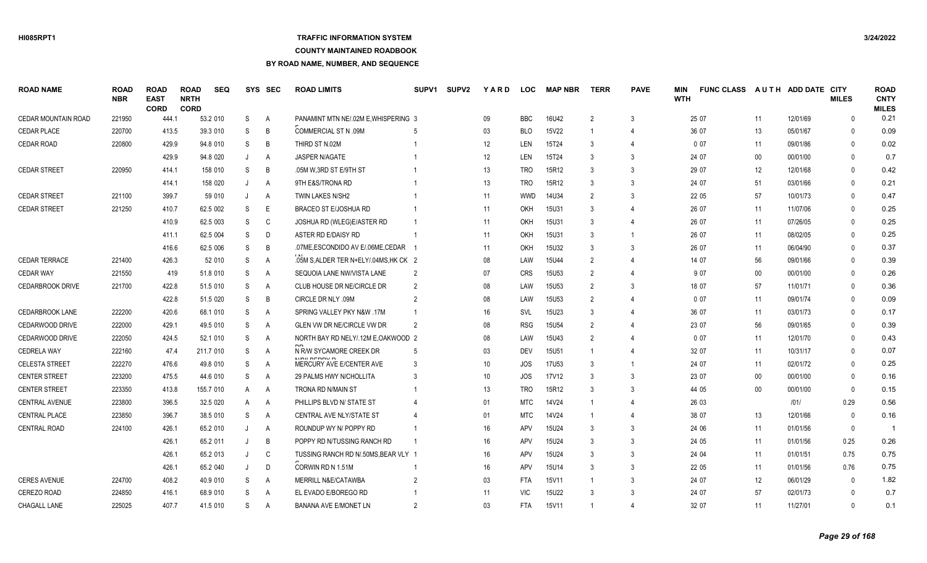# **TRAFFIC INFORMATION SYSTEM**

### **COUNTY MAINTAINED ROADBOOK**

| <b>ROAD NAME</b>           | <b>ROAD</b><br><b>NBR</b> | <b>ROAD</b><br><b>EAST</b><br><b>CORD</b> | <b>ROAD</b><br><b>NRTH</b><br><b>CORD</b> | <b>SEQ</b> |              | SYS SEC        | <b>ROAD LIMITS</b>                              | <b>SUPV1</b>   | <b>SUPV2</b> | <b>YARD</b> | <b>LOC</b> | <b>MAP NBR</b> | <b>TERR</b>    | <b>PAVE</b>                 | <b>MIN</b><br><b>WTH</b> | <b>FUNC CLASS</b> |                   | AUTH ADD DATE CITY | <b>MILES</b> | <b>ROAD</b><br><b>CNTY</b><br><b>MILES</b> |
|----------------------------|---------------------------|-------------------------------------------|-------------------------------------------|------------|--------------|----------------|-------------------------------------------------|----------------|--------------|-------------|------------|----------------|----------------|-----------------------------|--------------------------|-------------------|-------------------|--------------------|--------------|--------------------------------------------|
| <b>CEDAR MOUNTAIN ROAD</b> | 221950                    | 444.1                                     |                                           | 53.2 010   | S            | Α              | PANAMINT MTN NE/.02M E.WHISPERING 3             |                |              | 09          | <b>BBC</b> | 16U42          | 2              | 3                           |                          | 25 07             | 11                | 12/01/69           | $\Omega$     | 0.21                                       |
| <b>CEDAR PLACE</b>         | 220700                    | 413.5                                     |                                           | 39.3 010   | S            | B              | <b>COMMERCIAL ST N .09M</b>                     |                |              | 03          | <b>BLO</b> | 15V22          |                | 4                           |                          | 36 07             | 13                | 05/01/67           | $\Omega$     | 0.09                                       |
| <b>CEDAR ROAD</b>          | 220800                    | 429.9                                     |                                           | 94.8 010   | S            | B              | THIRD ST N.02M                                  |                |              | 12          | LEN        | 15T24          | 3              | 4                           |                          | 007               | 11                | 09/01/86           | $\Omega$     | 0.02                                       |
|                            |                           | 429.9                                     |                                           | 94.8 020   | J            | A              | <b>JASPER N/AGATE</b>                           |                |              | 12          | LEN        | 15T24          |                | 3                           |                          | 24 07             | 00                | 00/01/00           | $\Omega$     | 0.7                                        |
| <b>CEDAR STREET</b>        | 220950                    | 414.1                                     |                                           | 158 010    | S            | B              | .05M W.3RD ST E/9TH ST                          |                |              | 13          | <b>TRO</b> | 15R12          | 3              | 3                           |                          | 29 07             | $12 \overline{ }$ | 12/01/68           | $\Omega$     | 0.42                                       |
|                            |                           | 414.1                                     |                                           | 158 020    | J            | A              | 9TH E&S/TRONA RD                                |                |              | 13          | <b>TRO</b> | 15R12          | 3              | 3                           |                          | 24 07             | 51                | 03/01/66           | $\Omega$     | 0.21                                       |
| <b>CEDAR STREET</b>        | 221100                    | 399.7                                     |                                           | 59 010     |              | $\overline{A}$ | <b>TWIN LAKES N/SH2</b>                         |                |              | 11          | <b>WWD</b> | 14U34          | 2              | 3                           |                          | 22 05             | 57                | 10/01/73           | $\Omega$     | 0.47                                       |
| <b>CEDAR STREET</b>        | 221250                    | 410.7                                     |                                           | 62.5 002   | S            | Ε              | <b>BRACEO ST E/JOSHUA RD</b>                    |                |              | 11          | OKH        | 15U31          | 3              |                             |                          | 26 07             | 11                | 11/07/06           | $\Omega$     | 0.25                                       |
|                            |                           | 410.9                                     |                                           | 62.5 003   | S            | C              | JOSHUA RD (WLEG)E/ASTER RD                      |                |              | 11          | OKH        | 15U31          | -3             | 4                           |                          | 26 07             | 11                | 07/26/05           | $\Omega$     | 0.25                                       |
|                            |                           | 411.1                                     |                                           | 62.5 004   | S            | D              | ASTER RD E/DAISY RD                             |                |              | 11          | OKH        | 15U31          | -3             | -1                          |                          | 26 07             | 11                | 08/02/05           | $\Omega$     | 0.25                                       |
|                            |                           | 416.6                                     |                                           | 62.5 006   | S            | B              | .07ME, ESCONDIDO AV E/.06ME, CEDAR              |                |              | 11          | OKH        | 15U32          | -3             | 3                           |                          | 26 07             | 11                | 06/04/90           | $\Omega$     | 0.37                                       |
| <b>CEDAR TERRACE</b>       | 221400                    | 426.3                                     |                                           | 52 010     | S            | Α              | .05M S, ALDER TER N+ELY/.04MS, HK CK 2          |                |              | 08          | LAW        | <b>15U44</b>   | $\mathcal{P}$  | $\overline{4}$              |                          | 14 07             | 56                | 09/01/66           | $\mathbf{0}$ | 0.39                                       |
| <b>CEDAR WAY</b>           | 221550                    | 419                                       |                                           | 51.8 010   | S            | $\overline{A}$ | SEQUOIA LANE NW/VISTA LANE                      | $\overline{2}$ |              | 07          | <b>CRS</b> | <b>15U53</b>   | $\mathfrak{p}$ | $\overline{4}$              |                          | 9 0 7             | $00\,$            | 00/01/00           | $\Omega$     | 0.26                                       |
| <b>CEDARBROOK DRIVE</b>    | 221700                    | 422.8                                     |                                           | 51.5 010   | S            | $\overline{A}$ | CLUB HOUSE DR NE/CIRCLE DR                      | $\mathfrak{p}$ |              | 08          | LAW        | 15U53          | $\mathfrak{p}$ | 3                           |                          | 18 07             | 57                | 11/01/71           | $\Omega$     | 0.36                                       |
|                            |                           | 422.8                                     |                                           | 51.5 020   | S            | B              | CIRCLE DR NLY .09M                              |                |              | 08          | LAW        | 15U53          | $\mathfrak{p}$ |                             |                          | 007               | 11                | 09/01/74           | $\Omega$     | 0.09                                       |
| <b>CEDARBROOK LANE</b>     | 222200                    | 420.6                                     |                                           | 68.1 010   | S            | A              | SPRING VALLEY PKY N&W .17M                      |                |              | 16          | SVL        | 15U23          | 3              | $\overline{4}$              |                          | 36 07             | 11                | 03/01/73           | $\Omega$     | 0.17                                       |
| CEDARWOOD DRIVE            | 222000                    | 429.1                                     |                                           | 49.5 010   | S            | $\overline{A}$ | GLEN VW DR NE/CIRCLE VW DR                      | $\overline{2}$ |              | 08          | <b>RSG</b> | 15U54          | $\overline{2}$ | $\overline{4}$              |                          | 23 07             | 56                | 09/01/65           | $\mathbf{0}$ | 0.39                                       |
| CEDARWOOD DRIVE            | 222050                    | 424.5                                     |                                           | 52.1 010   | S            | $\overline{A}$ | NORTH BAY RD NELY/.12M E, OAKWOOD 2             |                |              | 08          | LAW        | 15U43          | $\overline{2}$ | $\overline{4}$              |                          | 007               | 11                | 12/01/70           | $\Omega$     | 0.43                                       |
| <b>CEDRELA WAY</b>         | 222160                    | 47.4                                      |                                           | 211.7 010  | S            | A              | N R/W SYCAMORE CREEK DR                         | -5             |              | 03          | <b>DEV</b> | <b>15U51</b>   |                | $\overline{4}$              |                          | 32 07             | 11                | 10/31/17           | $\mathbf{0}$ | 0.07                                       |
| <b>CELESTA STREET</b>      | 222270                    | 476.6                                     |                                           | 49.8 010   | S            | $\overline{A}$ | <b>NIGH BEBOV B</b><br>MERCURY AVE E/CENTER AVE |                |              | 10          | JOS        | 17U53          | 3              | $\overline{1}$              |                          | 24 07             | 11                | 02/01/72           | $\mathbf{0}$ | 0.25                                       |
| <b>CENTER STREET</b>       | 223200                    | 475.5                                     |                                           | 44.6 010   | S            | $\overline{A}$ | 29 PALMS HWY N/CHOLLITA                         |                |              | 10          | JOS        | 17V12          | 3              | 3                           |                          | 23 07             | $00\,$            | 00/01/00           | $\mathbf{0}$ | 0.16                                       |
| <b>CENTER STREET</b>       | 223350                    | 413.8                                     |                                           | 155.7 010  | A            | A              | <b>TRONA RD N/MAIN ST</b>                       |                |              | 13          | <b>TRO</b> | 15R12          |                | 3                           |                          | 44 05             | $00\,$            | 00/01/00           | $\mathbf{0}$ | 0.15                                       |
| <b>CENTRAL AVENUE</b>      | 223800                    | 396.5                                     |                                           | 32.5 020   | A            | A              | PHILLIPS BLVD N/ STATE ST                       |                |              | 01          | <b>MTC</b> | 14V24          |                | 4                           |                          | 26 03             |                   | 1011               | 0.29         | 0.56                                       |
| <b>CENTRAL PLACE</b>       | 223850                    | 396.7                                     |                                           | 38.5 010   | S            | A              | CENTRAL AVE NLY/STATE ST                        |                |              | 01          | <b>MTC</b> | 14V24          |                | $\overline{4}$              |                          | 38 07             | 13                | 12/01/66           | $\Omega$     | 0.16                                       |
| <b>CENTRAL ROAD</b>        | 224100                    | 426.1                                     |                                           | 65.2 010   | J            | A              | ROUNDUP WY N/ POPPY RD                          |                |              | 16          | APV        | 15U24          | 3              | 3                           |                          | 24 06             | 11                | 01/01/56           | $\mathbf 0$  |                                            |
|                            |                           | 426.1                                     |                                           | 65.2 011   | J            | B              | POPPY RD N/TUSSING RANCH RD                     |                |              | 16          | APV        | <b>15U24</b>   | 3              | 3                           |                          | 24 05             | 11                | 01/01/56           | 0.25         | 0.26                                       |
|                            |                           | 426.1                                     |                                           | 65.2 013   | J            | C              | TUSSING RANCH RD N/.50MS.BEAR VLY 1             |                |              | 16          | APV        | <b>15U24</b>   | $\mathbf{3}$   | 3                           |                          | 24 04             | 11                | 01/01/51           | 0.75         | 0.75                                       |
|                            |                           | 426.1                                     |                                           | 65.2 040   | $\mathbf{J}$ | D              | CORWIN RD N 1.51M                               |                |              | 16          | APV        | 15U14          | $\mathcal{R}$  | 3                           |                          | 22 05             | 11                | 01/01/56           | 0.76         | 0.75                                       |
| <b>CERES AVENUE</b>        | 224700                    | 408.2                                     |                                           | 40.9 010   | S            | A              | MERRILL N&E/CATAWBA                             |                |              | 03          | <b>FTA</b> | 15V11          |                | 3                           |                          | 24 07             | 12                | 06/01/29           | $\Omega$     | 1.82                                       |
| CEREZO ROAD                | 224850                    | 416.1                                     |                                           | 68.9 010   | S            | A              | EL EVADO E/BOREGO RD                            |                |              | 11          | <b>VIC</b> | 15U22          |                | 3                           |                          | 24 07             | 57                | 02/01/73           | $\Omega$     | 0.7                                        |
| <b>CHAGALL LANE</b>        | 225025                    | 407.7                                     |                                           | 41.5 010   | S.           | A              | <b>BANANA AVE E/MONET LN</b>                    |                |              | 03          | FTA        | 15V11          |                | $\boldsymbol{\vartriangle}$ |                          | 32 07             | 11                | 11/27/01           | $\Omega$     | 0.1                                        |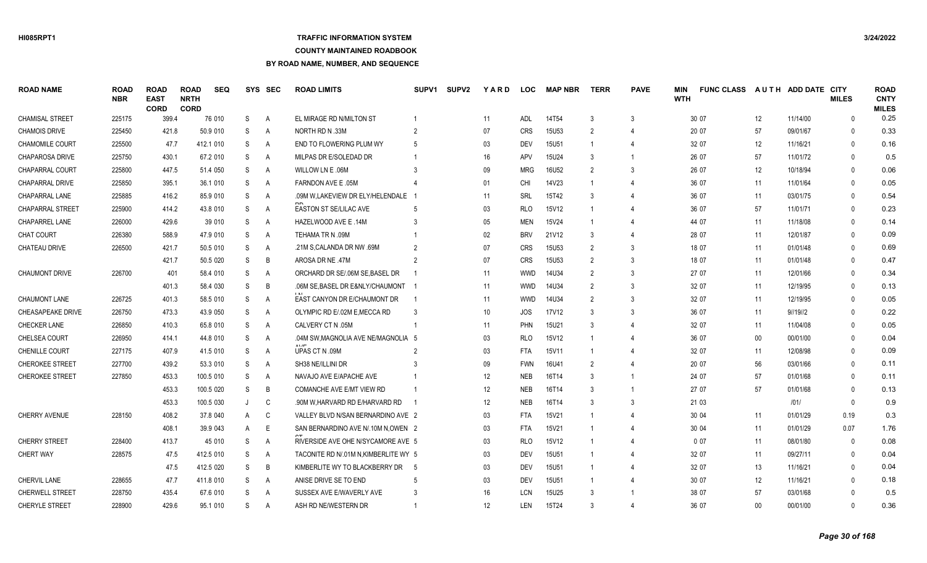### **TRAFFIC INFORMATION SYSTEM**

### **COUNTY MAINTAINED ROADBOOK**

| <b>ROAD NAME</b>        | <b>ROAD</b><br><b>NBR</b> | <b>ROAD</b><br><b>EAST</b><br><b>CORD</b> | <b>ROAD</b><br><b>NRTH</b><br><b>CORD</b> | <b>SEQ</b> |    | SYS SEC        | <b>ROAD LIMITS</b>                   | SUPV <sub>1</sub> | <b>SUPV2</b> | <b>YARD</b> | <b>LOC</b> | <b>MAP NBR</b>    | <b>TERR</b>   | <b>PAVE</b>                 | <b>MIN</b><br><b>WTH</b> | <b>FUNC CLASS</b> |        | AUTH ADD DATE CITY | <b>MILES</b> | <b>ROAD</b><br><b>CNTY</b><br><b>MILES</b> |
|-------------------------|---------------------------|-------------------------------------------|-------------------------------------------|------------|----|----------------|--------------------------------------|-------------------|--------------|-------------|------------|-------------------|---------------|-----------------------------|--------------------------|-------------------|--------|--------------------|--------------|--------------------------------------------|
| <b>CHAMISAL STREET</b>  | 225175                    | 399.4                                     |                                           | 76 010     | S  | $\mathsf{A}$   | EL MIRAGE RD N/MILTON ST             |                   |              | 11          | <b>ADL</b> | 14T54             | 3             | 3                           |                          | 30 07             | 12     | 11/14/00           | $\Omega$     | 0.25                                       |
| <b>CHAMOIS DRIVE</b>    | 225450                    | 421.8                                     |                                           | 50.9 010   | S  | A              | NORTH RD N .33M                      |                   |              | 07          | <b>CRS</b> | <b>15U53</b>      | $\mathcal{P}$ | 4                           |                          | 20 07             | 57     | 09/01/67           | $\Omega$     | 0.33                                       |
| <b>CHAMOMILE COURT</b>  | 225500                    | 47.7                                      |                                           | 412.1 010  | S  | A              | END TO FLOWERING PLUM WY             |                   |              | 03          | <b>DEV</b> | 15U51             |               | $\overline{4}$              |                          | 32 07             | 12     | 11/16/21           | $\Omega$     | 0.16                                       |
| <b>CHAPAROSA DRIVE</b>  | 225750                    | 430.1                                     |                                           | 67.2 010   | S  | A              | MILPAS DR E/SOLEDAD DR               |                   |              | 16          | APV        | 15U24             |               | $\overline{1}$              |                          | 26 07             | 57     | 11/01/72           | $\Omega$     | 0.5                                        |
| <b>CHAPARRAL COURT</b>  | 225800                    | 447.5                                     |                                           | 51.4 050   | S  | A              | WILLOW LN E .06M                     |                   |              | 09          | <b>MRG</b> | 16U52             | $\mathcal{P}$ | 3                           |                          | 26 07             | 12     | 10/18/94           | $\Omega$     | 0.06                                       |
| <b>CHAPARRAL DRIVE</b>  | 225850                    | 395.1                                     |                                           | 36.1 010   | S  | A              | <b>FARNDON AVE E .05M</b>            |                   |              | 01          | <b>CHI</b> | 14V23             |               | 4                           |                          | 36 07             | 11     | 11/01/64           | $\Omega$     | 0.05                                       |
| <b>CHAPARRAL LANE</b>   | 225885                    | 416.2                                     |                                           | 85.9 010   | S  | A              | .09M W,LAKEVIEW DR ELY/HELENDALE     |                   |              | 11          | SRL        | 15T42             | 3             |                             |                          | 36 07             | 11     | 03/01/75           | $\Omega$     | 0.54                                       |
| <b>CHAPARRAL STREET</b> | 225900                    | 414.2                                     |                                           | 43.8 010   | S  | A              | EASTON ST SE/LILAC AVE               |                   |              | 03          | <b>RLO</b> | 15V12             |               |                             |                          | 36 07             | 57     | 11/01/71           | $\Omega$     | 0.23                                       |
| <b>CHAPARREL LANE</b>   | 226000                    | 429.6                                     |                                           | 39 010     | S  | A              | HAZELWOOD AVE E.14M                  |                   |              | 05          | <b>MEN</b> | 15V24             |               | 4                           |                          | 44 07             | 11     | 11/18/08           | $\Omega$     | 0.14                                       |
| <b>CHAT COURT</b>       | 226380                    | 588.9                                     |                                           | 47.9 010   | S  | A              | TEHAMA TR N .09M                     |                   |              | 02          | <b>BRV</b> | 21V12             | 3             | $\overline{4}$              |                          | 28 07             | 11     | 12/01/87           | $\Omega$     | 0.09                                       |
| <b>CHATEAU DRIVE</b>    | 226500                    | 421.7                                     |                                           | 50.5 010   | S  | A              | .21M S.CALANDA DR NW .69M            |                   |              | 07          | <b>CRS</b> | 15U53             | $\mathcal{P}$ | 3                           |                          | 18 07             | 11     | 01/01/48           | $\Omega$     | 0.69                                       |
|                         |                           | 421.7                                     |                                           | 50.5 020   | S  | B              | AROSA DR NE 47M                      | 2                 |              | 07          | <b>CRS</b> | 15U <sub>53</sub> | $\mathcal{P}$ | 3                           |                          | 18 07             | 11     | 01/01/48           | $\Omega$     | 0.47                                       |
| <b>CHAUMONT DRIVE</b>   | 226700                    | 401                                       |                                           | 58.4 010   | S  | A              | ORCHARD DR SE/.06M SE.BASEL DR       |                   |              | 11          | <b>WWD</b> | 14U34             | $\mathcal{P}$ | 3                           |                          | 27 07             | 11     | 12/01/66           | $\Omega$     | 0.34                                       |
|                         |                           | 401.3                                     |                                           | 58.4 030   | S  | B              | .06M SE, BASEL DR E&NLY/CHAUMONT     |                   |              | 11          | <b>WWD</b> | 14U34             | $\mathcal{P}$ | 3                           |                          | 32 07             | 11     | 12/19/95           | $\Omega$     | 0.13                                       |
| <b>CHAUMONT LANE</b>    | 226725                    | 401.3                                     |                                           | 58.5 010   | S  | A              | EAST CANYON DR E/CHAUMONT DR         |                   |              | 11          | <b>WWD</b> | 14U34             | $\mathcal{P}$ | 3                           |                          | 32 07             | 11     | 12/19/95           | $\Omega$     | 0.05                                       |
| CHEASAPEAKE DRIVE       | 226750                    | 473.3                                     |                                           | 43.9 050   | S  | $\overline{A}$ | OLYMPIC RD E/.02M E, MECCA RD        |                   |              | 10          | <b>JOS</b> | 17V12             | 3             | 3                           |                          | 36 07             | 11     | 9/19/2             | $\Omega$     | 0.22                                       |
| <b>CHECKER LANE</b>     | 226850                    | 410.3                                     |                                           | 65.8 010   | S  | $\overline{A}$ | CALVERY CT N .05M                    |                   |              | 11          | PHN        | 15U21             | 3             | $\overline{4}$              |                          | 32 07             | 11     | 11/04/08           | $\mathbf{0}$ | 0.05                                       |
| CHELSEA COURT           | 226950                    | 414.1                                     |                                           | 44.8 010   | S  | A              | .04M SW, MAGNOLIA AVE NE/MAGNOLIA 5  |                   |              | 03          | <b>RLO</b> | 15V12             |               | $\overline{4}$              |                          | 36 07             | $00\,$ | 00/01/00           | $\Omega$     | 0.04                                       |
| CHENILLE COURT          | 227175                    | 407.9                                     |                                           | 41.5 010   | S  | A              | UPAS CT N .09M                       |                   |              | 03          | <b>FTA</b> | 15V11             |               | $\overline{4}$              |                          | 32 07             | 11     | 12/08/98           | $\mathbf{0}$ | 0.09                                       |
| <b>CHEROKEE STREET</b>  | 227700                    | 439.2                                     |                                           | 53.3 010   | S  | A              | SH38 NE/ILLINI DR                    |                   |              | 09          | <b>FWN</b> | 16U41             | $\mathcal{P}$ | $\overline{4}$              |                          | 20 07             | 56     | 03/01/66           | $\mathbf{0}$ | 0.11                                       |
| <b>CHEROKEE STREET</b>  | 227850                    | 453.3                                     |                                           | 100.5 010  | S  | A              | NAVAJO AVE E/APACHE AVE              |                   |              | 12          | <b>NEB</b> | 16T14             | 3             | $\overline{1}$              |                          | 24 07             | 57     | 01/01/68           | $\mathbf{0}$ | 0.11                                       |
|                         |                           | 453.3                                     |                                           | 100.5 020  | S  | B              | COMANCHE AVE E/MT VIEW RD            |                   |              | 12          | <b>NEB</b> | 16T14             |               | $\overline{1}$              |                          | 27 07             | 57     | 01/01/68           | $\Omega$     | 0.13                                       |
|                         |                           | 453.3                                     |                                           | 100.5 030  |    | C              | .90M W.HARVARD RD E/HARVARD RD       |                   |              | 12          | <b>NEB</b> | 16T14             | 3             | 3                           |                          | 21 03             |        | 1011               | $\Omega$     | 0.9                                        |
| <b>CHERRY AVENUE</b>    | 228150                    | 408.2                                     |                                           | 37.8 040   | A  | C              | VALLEY BLVD N/SAN BERNARDINO AVE 2   |                   |              | 03          | <b>FTA</b> | 15V21             |               | $\boldsymbol{\vartriangle}$ |                          | 30 04             | 11     | 01/01/29           | 0.19         | 0.3                                        |
|                         |                           | 408.1                                     |                                           | 39.9 043   | A  | E              | SAN BERNARDINO AVE N/.10M N, OWEN 2  |                   |              | 03          | <b>FTA</b> | 15V21             |               | $\boldsymbol{\vartriangle}$ |                          | 30 04             | 11     | 01/01/29           | 0.07         | 1.76                                       |
| <b>CHERRY STREET</b>    | 228400                    | 413.7                                     |                                           | 45 010     | S  | A              | RIVERSIDE AVE OHE N/SYCAMORE AVE 5   |                   |              | 03          | <b>RLO</b> | 15V12             |               | 4                           |                          | 007               | 11     | 08/01/80           | $\Omega$     | 0.08                                       |
| <b>CHERT WAY</b>        | 228575                    | 47.5                                      |                                           | 412.5 010  | S  | A              | TACONITE RD N/.01M N.KIMBERLITE WY 5 |                   |              | 03          | <b>DEV</b> | <b>15U51</b>      |               | 4                           |                          | 32 07             | 11     | 09/27/11           | $\Omega$     | 0.04                                       |
|                         |                           | 47.5                                      |                                           | 412.5 020  | S  | B              | KIMBERLITE WY TO BLACKBERRY DR       | - 5               |              | 03          | <b>DEV</b> | 15U51             |               | 4                           |                          | 32 07             | 13     | 11/16/21           | $\Omega$     | 0.04                                       |
| <b>CHERVIL LANE</b>     | 228655                    | 47.7                                      |                                           | 411.8 010  | S  | A              | ANISE DRIVE SE TO END                |                   |              | 03          | <b>DEV</b> | <b>15U51</b>      |               | 4                           |                          | 30 07             | 12     | 11/16/21           | $\Omega$     | 0.18                                       |
| <b>CHERWELL STREET</b>  | 228750                    | 435.4                                     |                                           | 67.6 010   | S  | A              | SUSSEX AVE E/WAVERLY AVE             |                   |              | 16          | <b>LCN</b> | 15U25             |               |                             |                          | 38 07             | 57     | 03/01/68           | $\Omega$     | 0.5                                        |
| <b>CHERYLE STREET</b>   | 228900                    | 429.6                                     |                                           | 95.1 010   | S. | A              | ASH RD NE/WESTERN DR                 |                   |              | 12          | LEN        | 15T24             |               | $\boldsymbol{\vartriangle}$ |                          | 36 07             | $00\,$ | 00/01/00           | $\Omega$     | 0.36                                       |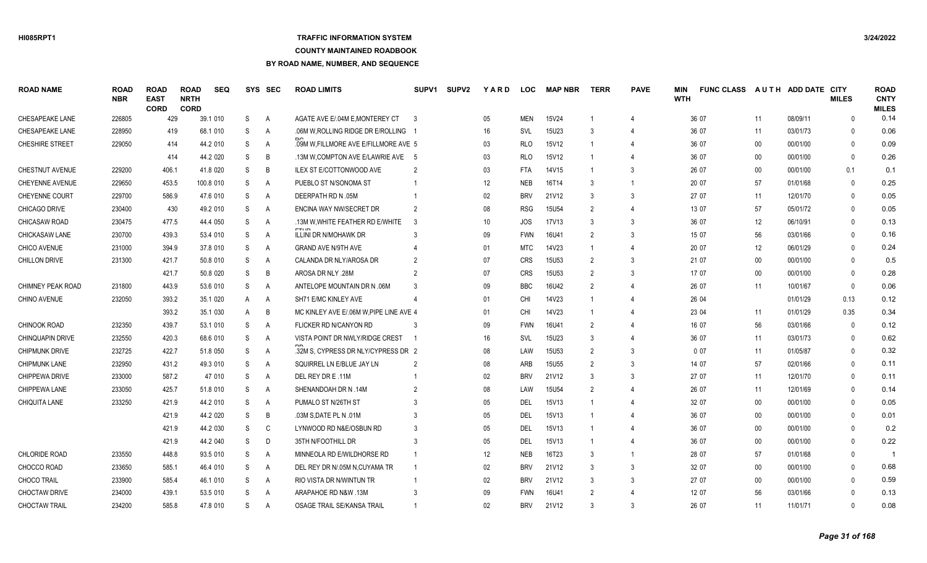# **TRAFFIC INFORMATION SYSTEM**

**COUNTY MAINTAINED ROADBOOK**

| <b>ROAD NAME</b>       | <b>ROAD</b><br><b>NBR</b> | <b>ROAD</b><br><b>EAST</b><br><b>CORD</b> | <b>ROAD</b><br><b>NRTH</b><br><b>CORD</b> | <b>SEQ</b> | <b>SYS</b> | <b>SEC</b>     | <b>ROAD LIMITS</b>                     | <b>SUPV1</b>   | <b>SUPV2</b> | <b>YARD</b>     | <b>LOC</b> | <b>MAP NBR</b>    | <b>TERR</b>    | <b>PAVE</b>           | <b>MIN</b><br><b>WTH</b> | <b>FUNC CLASS</b> |        | AUTH ADD DATE CITY | <b>MILES</b> | <b>ROAD</b><br><b>CNTY</b><br><b>MILES</b> |
|------------------------|---------------------------|-------------------------------------------|-------------------------------------------|------------|------------|----------------|----------------------------------------|----------------|--------------|-----------------|------------|-------------------|----------------|-----------------------|--------------------------|-------------------|--------|--------------------|--------------|--------------------------------------------|
| CHESAPEAKE LANE        | 226805                    |                                           | 429                                       | 39.1 010   | S          | A              | AGATE AVE E/.04M E, MONTEREY CT        | $\mathbf{3}$   |              | 05              | <b>MEN</b> | 15V24             |                |                       |                          | 36 07             | 11     | 08/09/11           | $\Omega$     | 0.14                                       |
| CHESAPEAKE LANE        | 228950                    |                                           | 419                                       | 68.1 010   | S          | Α              | .06M W, ROLLING RIDGE DR E/ROLLING     |                |              | 16              | SVL        | 15U23             | 3              | $\overline{4}$        |                          | 36 07             | 11     | 03/01/73           | $\mathbf{0}$ | 0.06                                       |
| CHESHIRE STREET        | 229050                    |                                           | 414                                       | 44.2 010   | S          | A              | .09M W, FILLMORE AVE E/FILLMORE AVE 5  |                |              | 03              | <b>RLO</b> | 15V12             |                | $\overline{4}$        |                          | 36 07             | $00\,$ | 00/01/00           | $\Omega$     | 0.09                                       |
|                        |                           |                                           | 414                                       | 44.2 020   | S          | B              | .13M W, COMPTON AVE E/LAWRIE AVE 5     |                |              | 03              | <b>RLO</b> | 15V12             |                | 4                     |                          | 36 07             | $00\,$ | 00/01/00           | $\mathbf{0}$ | 0.26                                       |
| CHESTNUT AVENUE        | 229200                    | 406.1                                     |                                           | 41.8 020   | S          | B              | ILEX ST E/COTTONWOOD AVE               | $\overline{2}$ |              | 03              | <b>FTA</b> | 14V15             |                | 3                     |                          | 26 07             | $00\,$ | 00/01/00           | 0.1          | 0.1                                        |
| <b>CHEYENNE AVENUE</b> | 229650                    | 453.5                                     |                                           | 100.8 010  | S          | Α              | PUEBLO ST N/SONOMA ST                  |                |              | 12              | <b>NEB</b> | 16T14             | 3              |                       |                          | 20 07             | 57     | 01/01/68           | $\Omega$     | 0.25                                       |
| CHEYENNE COURT         | 229700                    | 586.9                                     |                                           | 47.6 010   | S          | $\overline{A}$ | DEERPATH RD N .05M                     |                |              | 02 <sub>2</sub> | <b>BRV</b> | 21V12             | $\mathbf{3}$   | 3                     |                          | 27 07             | 11     | 12/01/70           | $\Omega$     | 0.05                                       |
| CHICAGO DRIVE          | 230400                    |                                           | 430                                       | 49.2 010   | S          | Α              | ENCINA WAY NW/SECRET DR                | $\mathcal{P}$  |              | 08              | <b>RSG</b> | <b>15U54</b>      | $\mathcal{P}$  | $\overline{4}$        |                          | 13 07             | 57     | 05/01/72           | $\Omega$     | 0.05                                       |
| <b>CHICASAW ROAD</b>   | 230475                    | 477.5                                     |                                           | 44.4 050   | S          | A              | .13M W.WHITE FEATHER RD E/WHITE        | -3             |              | 10              | JOS        | 17V13             | 3              | 3                     |                          | 36 07             | 12     | 06/10/91           | $\Omega$     | 0.13                                       |
| <b>CHICKASAW LANE</b>  | 230700                    | 439.3                                     |                                           | 53.4 010   | S          | Α              | <b>ILLINI DR N/MOHAWK DR</b>           |                |              | 09              | <b>FWN</b> | 16U41             | $\mathcal{P}$  | 3                     |                          | 15 07             | 56     | 03/01/66           | $\Omega$     | 0.16                                       |
| <b>CHICO AVENUE</b>    | 231000                    | 394.9                                     |                                           | 37.8 010   | S          | Α              | <b>GRAND AVE N/9TH AVE</b>             |                |              | 01              | <b>MTC</b> | 14V23             |                | 4                     |                          | 20 07             | 12     | 06/01/29           | $\Omega$     | 0.24                                       |
| <b>CHILLON DRIVE</b>   | 231300                    | 421.7                                     |                                           | 50.8 010   | S          | Α              | CALANDA DR NLY/AROSA DR                |                |              | 07              | <b>CRS</b> | 15U <sub>53</sub> | $\mathcal{P}$  | 3                     |                          | 21 07             | $00\,$ | 00/01/00           | $\Omega$     | 0.5                                        |
|                        |                           | 421.7                                     |                                           | 50.8 020   | S          | B              | AROSA DR NLY .28M                      |                |              | 07              | <b>CRS</b> | 15U <sub>53</sub> | $\mathcal{P}$  | 3                     |                          | 17 07             | $00\,$ | 00/01/00           | $\Omega$     | 0.28                                       |
| CHIMNEY PEAK ROAD      | 231800                    | 443.9                                     |                                           | 53.6 010   | S          | $\overline{A}$ | ANTELOPE MOUNTAIN DR N .06M            |                |              | 09              | <b>BBC</b> | 16U42             | $\mathfrak{p}$ |                       |                          | 26 07             | 11     | 10/01/67           | $\Omega$     | 0.06                                       |
| CHINO AVENUE           | 232050                    | 393.2                                     |                                           | 35.1 020   | A          | A              | SH71 E/MC KINLEY AVE                   |                |              | 01              | CHI        | 14V23             |                | $\overline{4}$        |                          | 26 04             |        | 01/01/29           | 0.13         | 0.12                                       |
|                        |                           | 393.2                                     |                                           | 35.1 030   | A          | B              | MC KINLEY AVE E/.06M W.PIPE LINE AVE 4 |                |              | 01              | CHI        | 14V23             |                | $\overline{4}$        |                          | 23 04             | 11     | 01/01/29           | 0.35         | 0.34                                       |
| <b>CHINOOK ROAD</b>    | 232350                    | 439.7                                     |                                           | 53.1 010   | S          | A              | FLICKER RD N/CANYON RD                 |                |              | 09              | <b>FWN</b> | 16U41             | $\mathcal{P}$  | 4                     |                          | 16 07             | 56     | 03/01/66           | $\Omega$     | 0.12                                       |
| CHINQUAPIN DRIVE       | 232550                    | 420.3                                     |                                           | 68.6 010   | S          | Α              | VISTA POINT DR NWLY/RIDGE CREST        |                |              | 16              | SVL        | 15U23             |                | $\boldsymbol{\Delta}$ |                          | 36 07             | 11     | 03/01/73           | $\Omega$     | 0.62                                       |
| <b>CHIPMUNK DRIVE</b>  | 232725                    | 422.7                                     |                                           | 51.8 050   | S          | Α              | .32M S, CYPRESS DR NLY/CYPRESS DR 2    |                |              | 08              | LAW        | <b>15U53</b>      | $\overline{2}$ | 3                     |                          | 007               | 11     | 01/05/87           | $\mathbf{0}$ | 0.32                                       |
| <b>CHIPMUNK LANE</b>   | 232950                    | 431.2                                     |                                           | 49.3 010   | S          | Α              | SQUIRREL LN E/BLUE JAY LN              |                |              | 08              | ARB        | <b>15U55</b>      | $\mathfrak{p}$ | 3                     |                          | 14 07             | 57     | 02/01/66           | $\Omega$     | 0.11                                       |
| <b>CHIPPEWA DRIVE</b>  | 233000                    | 587.2                                     |                                           | 47 010     | S          | $\overline{A}$ | DEL REY DR E .11M                      |                |              | 02              | <b>BRV</b> | 21V12             | 3              | 3                     |                          | 27 07             | 11     | 12/01/70           | $\Omega$     | 0.11                                       |
| CHIPPEWA LANE          | 233050                    | 425.7                                     |                                           | 51.8 010   | S          | Α              | SHENANDOAH DR N .14M                   |                |              | 08              | LAW        | 15U54             | $\mathfrak{p}$ |                       |                          | 26 07             | 11     | 12/01/69           | $\Omega$     | 0.14                                       |
| <b>CHIQUITA LANE</b>   | 233250                    | 421.9                                     |                                           | 44.2 010   | S          | $\overline{A}$ | PUMALO ST N/26TH ST                    |                |              | 05              | DEL        | 15V13             |                | $\overline{4}$        |                          | 32 07             | $00\,$ | 00/01/00           | $\Omega$     | 0.05                                       |
|                        |                           | 421.9                                     |                                           | 44.2 020   | S          | B              | .03M S, DATE PL N .01M                 |                |              | 05              | DEL        | 15V13             |                | $\overline{4}$        |                          | 36 07             | $00\,$ | 00/01/00           | $\Omega$     | 0.01                                       |
|                        |                           | 421.9                                     |                                           | 44.2 030   | S          | C              | LYNWOOD RD N&E/OSBUN RD                |                |              | 05              | <b>DEL</b> | 15V13             |                | $\overline{4}$        |                          | 36 07             | $00\,$ | 00/01/00           | $\Omega$     | 0.2                                        |
|                        |                           | 421.9                                     |                                           | 44.2 040   | S          | D              | 35TH N/FOOTHILL DR                     |                |              | 05              | DEL        | 15V13             |                | 4                     |                          | 36 07             | 00     | 00/01/00           | $\Omega$     | 0.22                                       |
| CHLORIDE ROAD          | 233550                    | 448.8                                     |                                           | 93.5 010   | S          | A              | MINNEOLA RD E/WILDHORSE RD             |                |              | 12              | <b>NEB</b> | 16T23             | 3              |                       |                          | 28 07             | 57     | 01/01/68           | $\Omega$     |                                            |
| CHOCCO ROAD            | 233650                    | 585.1                                     |                                           | 46.4 010   | S          | A              | DEL REY DR N/.05M N, CUYAMA TR         |                |              | $02\,$          | <b>BRV</b> | 21V12             | $\mathbf{3}$   | 3                     |                          | 32 07             | $00\,$ | 00/01/00           | $\Omega$     | 0.68                                       |
| <b>CHOCO TRAIL</b>     | 233900                    | 585.4                                     |                                           | 46.1 010   | S          | A              | RIO VISTA DR N/WINTUN TR               |                |              | 02              | <b>BRV</b> | 21V12             |                | 3                     |                          | 27 07             | $00\,$ | 00/01/00           | $\Omega$     | 0.59                                       |
| <b>CHOCTAW DRIVE</b>   | 234000                    | 439.1                                     |                                           | 53.5 010   | S          | A              | ARAPAHOE RD N&W .13M                   |                |              | 09              | <b>FWN</b> | 16U41             |                |                       |                          | 12 07             | 56     | 03/01/66           | $\Omega$     | 0.13                                       |
| <b>CHOCTAW TRAIL</b>   | 234200                    | 585.8                                     |                                           | 47.8 010   | S.         | A              | OSAGE TRAIL SE/KANSA TRAIL             |                |              | 02              | <b>BRV</b> | 21V12             |                | 3                     |                          | 26 07             | 11     | 11/01/71           | $\Omega$     | 0.08                                       |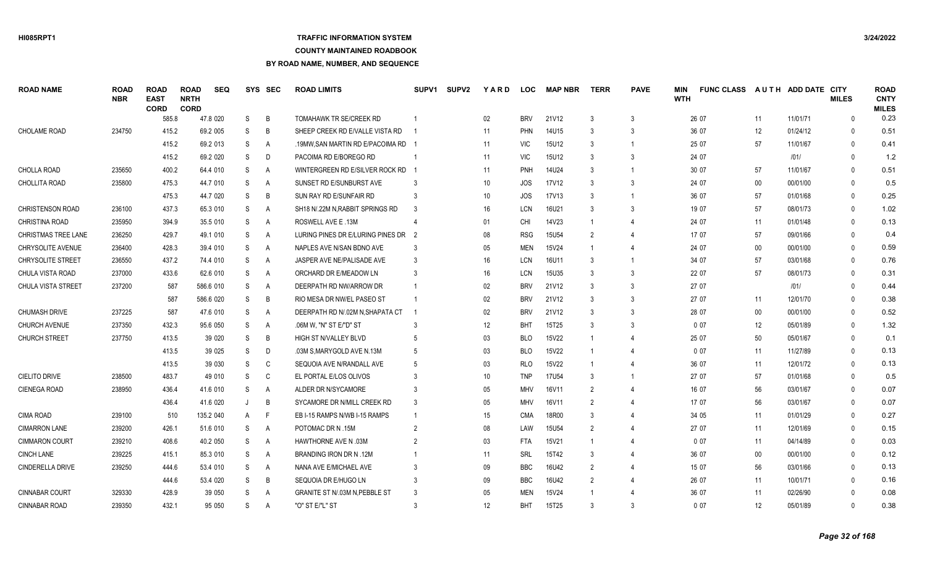## **TRAFFIC INFORMATION SYSTEM**

### **COUNTY MAINTAINED ROADBOOK**

| <b>ROAD NAME</b>         | <b>ROAD</b><br><b>NBR</b> | <b>ROAD</b><br><b>EAST</b><br><b>CORD</b> | <b>ROAD</b><br><b>NRTH</b><br><b>CORD</b> | <b>SEQ</b> | <b>SYS</b> | <b>SEC</b>     | <b>ROAD LIMITS</b>                  | SUPV <sub>1</sub> | <b>SUPV2</b> | YARD   | <b>LOC</b> | <b>MAP NBR</b> | <b>TERR</b>    | <b>PAVE</b>              | MIN<br><b>WTH</b> | <b>FUNC CLASS</b> |        | AUTH ADD DATE CITY | <b>MILES</b> | <b>ROAD</b><br><b>CNTY</b><br><b>MILES</b> |
|--------------------------|---------------------------|-------------------------------------------|-------------------------------------------|------------|------------|----------------|-------------------------------------|-------------------|--------------|--------|------------|----------------|----------------|--------------------------|-------------------|-------------------|--------|--------------------|--------------|--------------------------------------------|
|                          |                           | 585.8                                     |                                           | 47.8 020   | S          | B              | <b>TOMAHAWK TR SE/CREEK RD</b>      |                   |              | 02     | <b>BRV</b> | 21V12          | 3              | 3                        |                   | 26 07             | 11     | 11/01/71           | $\Omega$     | 0.23                                       |
| CHOLAME ROAD             | 234750                    | 415.2                                     |                                           | 69.2 005   | S          | B              | SHEEP CREEK RD E/VALLE VISTA RD     |                   |              | 11     | <b>PHN</b> | 14U15          |                | 3                        |                   | 36 07             | 12     | 01/24/12           | $\Omega$     | 0.51                                       |
|                          |                           | 415.2                                     |                                           | 69.2 013   | S          | A              | .19MW SAN MARTIN RD E/PACOIMA RD    |                   |              | 11     | <b>VIC</b> | 15U12          | 3              | $\overline{1}$           |                   | 25 07             | 57     | 11/01/67           | $\Omega$     | 0.41                                       |
|                          |                           | 415.2                                     |                                           | 69.2 020   | S          | D              | PACOIMA RD E/BOREGO RD              |                   |              | 11     | <b>VIC</b> | 15U12          |                | 3                        |                   | 24 07             |        | 1011               | $\Omega$     | 1.2                                        |
| CHOLLA ROAD              | 235650                    | 400.2                                     |                                           | 64.4 010   | S          | A              | WINTERGREEN RD E/SILVER ROCK RD     |                   |              | 11     | <b>PNH</b> | 14U24          | 3              | $\overline{1}$           |                   | 30 07             | 57     | 11/01/67           | $\Omega$     | 0.51                                       |
| <b>CHOLLITA ROAD</b>     | 235800                    | 475.3                                     |                                           | 44.7 010   | S          | A              | SUNSET RD E/SUNBURST AVE            | 3                 |              | 10     | <b>JOS</b> | 17V12          | 3              | 3                        |                   | 24 07             | $00\,$ | 00/01/00           | $\Omega$     | 0.5                                        |
|                          |                           | 475.3                                     |                                           | 44.7 020   | S          | B              | SUN RAY RD E/SUNFAIR RD             |                   |              | 10     | JOS        | <b>17V13</b>   | 3              |                          |                   | 36 07             | 57     | 01/01/68           | $\Omega$     | 0.25                                       |
| <b>CHRISTENSON ROAD</b>  | 236100                    | 437.3                                     |                                           | 65.3 010   | S          | A              | SH18 N/.22M N, RABBIT SPRINGS RD    |                   |              | 16     | <b>LCN</b> | 16U21          |                | 3                        |                   | 19 07             | 57     | 08/01/73           | $\Omega$     | 1.02                                       |
| <b>CHRISTINA ROAD</b>    | 235950                    | 394.9                                     |                                           | 35.5 010   | S          | A              | ROSWELL AVE E .13M                  |                   |              | 01     | <b>CHI</b> | 14V23          |                | 4                        |                   | 24 07             | 11     | 01/01/48           | $\Omega$     | 0.13                                       |
| CHRISTMAS TREE LANE      | 236250                    | 429.7                                     |                                           | 49.1 010   | S          | A              | LURING PINES DR E/LURING PINES DR 2 |                   |              | 08     | <b>RSG</b> | 15U54          | 2              | 4                        |                   | 17 07             | 57     | 09/01/66           | $\mathbf{0}$ | 0.4                                        |
| CHRYSOLITE AVENUE        | 236400                    | 428.3                                     |                                           | 39.4 010   | S          | A              | NAPLES AVE N/SAN BDNO AVE           |                   |              | 05     | <b>MEN</b> | 15V24          |                | 4                        |                   | 24 07             | 00     | 00/01/00           | $\Omega$     | 0.59                                       |
| <b>CHRYSOLITE STREET</b> | 236550                    | 437.2                                     |                                           | 74.4 010   | S          | A              | JASPER AVE NE/PALISADE AVE          | 3                 |              | 16     | <b>LCN</b> | 16U11          | 3              | $\overline{1}$           |                   | 34 07             | 57     | 03/01/68           | $\Omega$     | 0.76                                       |
| CHULA VISTA ROAD         | 237000                    | 433.6                                     |                                           | 62.6 010   | S          | A              | ORCHARD DR E/MEADOW LN              |                   |              | 16     | LCN        | 15U35          |                | 3                        |                   | 22 07             | 57     | 08/01/73           | $\mathbf{0}$ | 0.31                                       |
| CHULA VISTA STREET       | 237200                    | 587                                       |                                           | 586.6 010  | S          | $\overline{A}$ | DEERPATH RD NW/ARROW DR             |                   |              | 02     | <b>BRV</b> | 21V12          | 3              | 3                        |                   | 27 07             |        | 1011               | $\Omega$     | 0.44                                       |
|                          |                           | 587                                       |                                           | 586.6 020  | S          | B              | RIO MESA DR NW/EL PASEO ST          |                   |              | 02     | <b>BRV</b> | 21V12          |                | 3                        |                   | 27 07             | 11     | 12/01/70           | $\Omega$     | 0.38                                       |
| CHUMASH DRIVE            | 237225                    | 587                                       |                                           | 47.6 010   | S          | A              | DEERPATH RD N/.02M N, SHAPATA CT    |                   |              | $02\,$ | <b>BRV</b> | 21V12          | 3              | 3                        |                   | 28 07             | $00\,$ | 00/01/00           | $\Omega$     | 0.52                                       |
| CHURCH AVENUE            | 237350                    | 432.3                                     |                                           | 95.6 050   | S          | A              | .06M W, "N" ST E/"D" ST             |                   |              | 12     | <b>BHT</b> | 15T25          |                | 3                        |                   | 007               | 12     | 05/01/89           | $\mathbf{0}$ | 1.32                                       |
| <b>CHURCH STREET</b>     | 237750                    | 413.5                                     |                                           | 39 0 20    | S          | B              | HIGH ST N/VALLEY BLVD               |                   |              | 03     | <b>BLO</b> | <b>15V22</b>   |                | $\Delta$                 |                   | 25 07             | 50     | 05/01/67           | $\mathbf{0}$ | 0.1                                        |
|                          |                           | 413.5                                     |                                           | 39 025     | S          | D              | .03M S, MARY GOLD AVE N.13M         |                   |              | 03     | <b>BLO</b> | <b>15V22</b>   |                | $\overline{\mathcal{L}}$ |                   | 007               | 11     | 11/27/89           | $\mathbf{0}$ | 0.13                                       |
|                          |                           | 413.5                                     |                                           | 39 030     | S          | C              | SEQUOIA AVE N/RANDALL AVE           |                   |              | 03     | <b>RLO</b> | 15V22          |                |                          |                   | 36 07             | 11     | 12/01/72           | $\mathbf{0}$ | 0.13                                       |
| <b>CIELITO DRIVE</b>     | 238500                    | 483.7                                     |                                           | 49 010     | S          | C              | EL PORTAL E/LOS OLIVOS              |                   |              | 10     | <b>TNP</b> | <b>17U54</b>   | 3              |                          |                   | 27 07             | 57     | 01/01/68           | $\Omega$     | 0.5                                        |
| CIENEGA ROAD             | 238950                    | 436.4                                     |                                           | 41.6 010   | S          | A              | ALDER DR N/SYCAMORE                 |                   |              | $05\,$ | <b>MHV</b> | 16V11          | $\mathcal{P}$  |                          |                   | 16 07             | 56     | 03/01/67           | $\Omega$     | 0.07                                       |
|                          |                           | 436.4                                     |                                           | 41.6 020   | J          | B              | SYCAMORE DR N/MILL CREEK RD         | 3                 |              | 05     | <b>MHV</b> | 16V11          | $\overline{2}$ | $\overline{4}$           |                   | 17 07             | 56     | 03/01/67           | $\mathbf{0}$ | 0.07                                       |
| <b>CIMA ROAD</b>         | 239100                    | 510                                       |                                           | 135.2 040  | Α          | F              | EB I-15 RAMPS N/WB I-15 RAMPS       |                   |              | 15     | <b>CMA</b> | 18R00          | 3              | $\overline{4}$           |                   | 34 05             | 11     | 01/01/29           | $\mathbf{0}$ | 0.27                                       |
| <b>CIMARRON LANE</b>     | 239200                    | 426.1                                     |                                           | 51.6 010   | S          | $\mathsf{A}$   | POTOMAC DR N .15M                   | $\overline{2}$    |              | 08     | LAW        | <b>15U54</b>   | $\overline{2}$ | $\overline{4}$           |                   | 27 07             | 11     | 12/01/69           | $\mathbf{0}$ | 0.15                                       |
| <b>CIMMARON COURT</b>    | 239210                    | 408.6                                     |                                           | 40.2 050   | S          | A              | HAWTHORNE AVE N .03M                |                   |              | 03     | FTA        | 15V21          |                | 4                        |                   | 007               | 11     | 04/14/89           | $\Omega$     | 0.03                                       |
| <b>CINCH LANE</b>        | 239225                    | 415.1                                     |                                           | 85.3 010   | S          | $\overline{A}$ | BRANDING IRON DR N .12M             |                   |              | 11     | SRL        | 15T42          |                |                          |                   | 36 07             | $00\,$ | 00/01/00           | $\Omega$     | 0.12                                       |
| <b>CINDERELLA DRIVE</b>  | 239250                    | 444.6                                     |                                           | 53.4 010   | S          | A              | NANA AVE E/MICHAEL AVE              |                   |              | 09     | <b>BBC</b> | 16U42          | $\mathcal{P}$  |                          |                   | 15 07             | 56     | 03/01/66           | $\Omega$     | 0.13                                       |
|                          |                           | 444.6                                     |                                           | 53.4 020   | S          | B              | SEQUOIA DR E/HUGO LN                |                   |              | 09     | <b>BBC</b> | 16U42          |                |                          |                   | 26 07             | 11     | 10/01/71           | $\Omega$     | 0.16                                       |
| <b>CINNABAR COURT</b>    | 329330                    | 428.9                                     |                                           | 39 050     | S          | A              | GRANITE ST N/.03M N, PEBBLE ST      |                   |              | 05     | <b>MEN</b> | 15V24          |                |                          |                   | 36 07             | 11     | 02/26/90           | $\Omega$     | 0.08                                       |
| <b>CINNABAR ROAD</b>     | 239350                    | 432.1                                     |                                           | 95 050     | S.         | A              | "O" ST E/"L" ST                     |                   |              | 12     | <b>BHT</b> | 15T25          |                | 3                        |                   | 0.07              | 12     | 05/01/89           | $\Omega$     | 0.38                                       |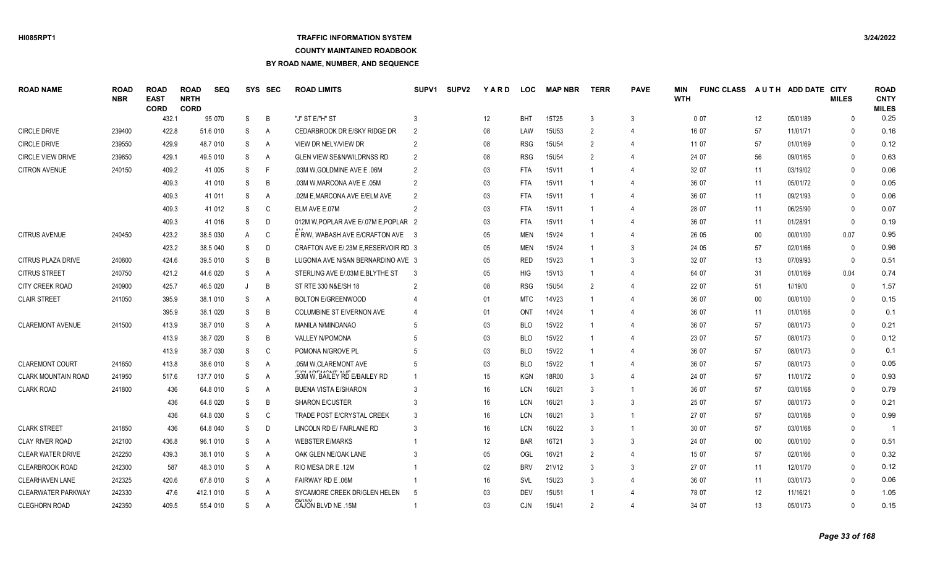### **TRAFFIC INFORMATION SYSTEM**

### **COUNTY MAINTAINED ROADBOOK**

| <b>ROAD NAME</b>           | <b>ROAD</b><br><b>NBR</b> | <b>ROAD</b><br><b>EAST</b><br><b>CORD</b> | <b>ROAD</b><br><b>NRTH</b><br><b>CORD</b> | <b>SEQ</b> |         | SYS SEC | <b>ROAD LIMITS</b>                    | SUPV <sub>1</sub> | <b>SUPV2</b> | YARD   | <b>LOC</b> | <b>MAP NBR</b>    | <b>TERR</b>   | <b>PAVE</b>                 | MIN<br><b>WTH</b> | <b>FUNC CLASS</b> |        | AUTH ADD DATE CITY | <b>MILES</b> | <b>ROAD</b><br><b>CNTY</b><br><b>MILES</b> |
|----------------------------|---------------------------|-------------------------------------------|-------------------------------------------|------------|---------|---------|---------------------------------------|-------------------|--------------|--------|------------|-------------------|---------------|-----------------------------|-------------------|-------------------|--------|--------------------|--------------|--------------------------------------------|
|                            |                           | 432.1                                     |                                           | 95 070     | S       | B       | "J" ST E/"H" ST                       |                   |              | 12     | <b>BHT</b> | 15T25             | 3             | $\mathbf{3}$                |                   | 007               | 12     | 05/01/89           | $\Omega$     | 0.25                                       |
| <b>CIRCLE DRIVE</b>        | 239400                    | 422.8                                     |                                           | 51.6 010   | S       | A       | CEDARBROOK DR E/SKY RIDGE DR          |                   |              | 08     | LAW        | 15U <sub>53</sub> |               | 4                           |                   | 16 07             | 57     | 11/01/71           | $\Omega$     | 0.16                                       |
| <b>CIRCLE DRIVE</b>        | 239550                    | 429.9                                     |                                           | 48.7 010   | S       | A       | VIEW DR NELY/VIEW DR                  | $\overline{2}$    |              | 08     | <b>RSG</b> | <b>15U54</b>      | 2             | $\overline{4}$              |                   | 11 07             | 57     | 01/01/69           | $\Omega$     | 0.12                                       |
| <b>CIRCLE VIEW DRIVE</b>   | 239850                    | 429.1                                     |                                           | 49.5 010   | S       | A       | <b>GLEN VIEW SE&amp;N/WILDRNSS RD</b> | $\overline{2}$    |              | 08     | <b>RSG</b> | <b>15U54</b>      |               | 4                           |                   | 24 07             | 56     | 09/01/65           | $\Omega$     | 0.63                                       |
| <b>CITRON AVENUE</b>       | 240150                    | 409.2                                     |                                           | 41 005     | S       | F.      | .03M W.GOLDMINE AVE E .06M            | $\overline{2}$    |              | 03     | <b>FTA</b> | 15V11             |               | 4                           |                   | 32 07             | 11     | 03/19/02           | $\Omega$     | 0.06                                       |
|                            |                           | 409.3                                     |                                           | 41 010     | S       | B       | .03M W.MARCONA AVE E .05M             | $\overline{2}$    |              | 03     | <b>FTA</b> | 15V11             |               | 4                           |                   | 36 07             | 11     | 05/01/72           | $\Omega$     | 0.05                                       |
|                            |                           | 409.3                                     |                                           | 41 011     | S       | A       | .02M E.MARCONA AVE E/ELM AVE          | $\mathcal{P}$     |              | 03     | FTA        | 15V11             |               |                             |                   | 36 07             | 11     | 09/21/93           | $\Omega$     | 0.06                                       |
|                            |                           | 409.3                                     |                                           | 41 012     | S       | C       | ELM AVE E.07M                         |                   |              | 03     | <b>FTA</b> | 15V11             |               |                             |                   | 28 07             | 11     | 06/25/90           | $\Omega$     | 0.07                                       |
|                            |                           | 409.3                                     |                                           | 41 016     | S       | D       | 012M W, POPLAR AVE E/.07M E, POPLAR 2 |                   |              | 03     | <b>FTA</b> | 15V11             |               | 4                           |                   | 36 07             | 11     | 01/28/91           | $\mathbf{0}$ | 0.19                                       |
| <b>CITRUS AVENUE</b>       | 240450                    | 423.2                                     |                                           | 38.5 030   | A       | C       | E R/W, WABASH AVE E/CRAFTON AVE 3     |                   |              | 05     | <b>MEN</b> | 15V24             |               | $\overline{4}$              |                   | 26 05             | $00\,$ | 00/01/00           | 0.07         | 0.95                                       |
|                            |                           | 423.2                                     |                                           | 38.5 040   | S       | D       | CRAFTON AVE E/.23M E, RESERVOIR RD 3  |                   |              | 05     | <b>MEN</b> | 15V24             |               | 3                           |                   | 24 05             | 57     | 02/01/66           | $\mathbf{0}$ | 0.98                                       |
| CITRUS PLAZA DRIVE         | 240800                    | 424.6                                     |                                           | 39.5 010   | S       | B       | LUGONIA AVE N/SAN BERNARDINO AVE 3    |                   |              | 05     | <b>RED</b> | 15V23             |               | 3                           |                   | 32 07             | 13     | 07/09/93           | $\mathbf{0}$ | 0.51                                       |
| <b>CITRUS STREET</b>       | 240750                    | 421.2                                     |                                           | 44.6 020   | S       | Α       | STERLING AVE E/.03M E, BLYTHE ST      |                   |              | 05     | <b>HIG</b> | 15V13             |               |                             |                   | 64 07             | 31     | 01/01/69           | 0.04         | 0.74                                       |
| CITY CREEK ROAD            | 240900                    | 425.7                                     |                                           | 46.5 020   | $\cdot$ | B       | ST RTE 330 N&E/SH 18                  |                   |              | 08     | <b>RSG</b> | <b>15U54</b>      | 2             |                             |                   | 22 07             | 51     | 1//19//0           | $\Omega$     | 1.57                                       |
| <b>CLAIR STREET</b>        | 241050                    | 395.9                                     |                                           | 38.1 010   | S       | A       | <b>BOLTON E/GREENWOOD</b>             |                   |              | 01     | <b>MTC</b> | 14V23             |               |                             |                   | 36 07             | $00\,$ | 00/01/00           | $\Omega$     | 0.15                                       |
|                            |                           | 395.9                                     |                                           | 38.1 020   | S       | B       | COLUMBINE ST E/VERNON AVE             |                   |              | 01     | <b>ONT</b> | 14V24             |               |                             |                   | 36 07             | 11     | 01/01/68           | $\Omega$     | 0.1                                        |
| <b>CLAREMONT AVENUE</b>    | 241500                    | 413.9                                     |                                           | 38.7 010   | S       | Α       | <b>MANILA N/MINDANAO</b>              |                   |              | 03     | <b>BLO</b> | 15V22             |               | 4                           |                   | 36 07             | 57     | 08/01/73           | $\mathbf{0}$ | 0.21                                       |
|                            |                           | 413.9                                     |                                           | 38.7 020   | S       | B       | <b>VALLEY N/POMONA</b>                |                   |              | 03     | <b>BLO</b> | <b>15V22</b>      |               | $\boldsymbol{\vartriangle}$ |                   | 23 07             | 57     | 08/01/73           | $\Omega$     | 0.12                                       |
|                            |                           | 413.9                                     |                                           | 38.7 030   | S       | C       | POMONA N/GROVE PL                     |                   |              | 03     | <b>BLO</b> | <b>15V22</b>      |               | 4                           |                   | 36 07             | 57     | 08/01/73           | $\mathbf{0}$ | 0.1                                        |
| <b>CLAREMONT COURT</b>     | 241650                    | 413.8                                     |                                           | 38.6 010   | S       | Α       | .05M W,CLAREMONT AVE                  |                   |              | 03     | <b>BLO</b> | 15V22             |               |                             |                   | 36 07             | 57     | 08/01/73           | $\mathbf{0}$ | 0.05                                       |
| <b>CLARK MOUNTAIN ROAD</b> | 241950                    | 517.6                                     |                                           | 137.7 010  | S       | A       | 93M W, BAILEY RD E/BAILEY RD          |                   |              | 15     | <b>KGN</b> | 18R00             | 3             | $\overline{4}$              |                   | 24 07             | 57     | 11/01/72           | $\mathbf{0}$ | 0.93                                       |
| <b>CLARK ROAD</b>          | 241800                    | 436                                       |                                           | 64.8 010   | S       | A       | <b>BUENA VISTA E/SHARON</b>           |                   |              | 16     | <b>LCN</b> | 16U21             |               | -1                          |                   | 36 07             | 57     | 03/01/68           | $\Omega$     | 0.79                                       |
|                            |                           |                                           | 436                                       | 64.8 020   | S       | B       | <b>SHARON E/CUSTER</b>                |                   |              | 16     | <b>LCN</b> | 16U21             | 3             | 3                           |                   | 25 07             | 57     | 08/01/73           | $\Omega$     | 0.21                                       |
|                            |                           |                                           | 436                                       | 64.8 030   | S       | C       | TRADE POST E/CRYSTAL CREEK            |                   |              | 16     | <b>LCN</b> | 16U21             | $\mathcal{R}$ | $\overline{1}$              |                   | 27 07             | 57     | 03/01/68           | $\Omega$     | 0.99                                       |
| <b>CLARK STREET</b>        | 241850                    | 436                                       |                                           | 64.8 040   | S       | D       | LINCOLN RD E/ FAIRLANE RD             |                   |              | 16     | <b>LCN</b> | 16U22             | $\mathbf{3}$  | $\overline{1}$              |                   | 30 07             | 57     | 03/01/68           | $\Omega$     |                                            |
| <b>CLAY RIVER ROAD</b>     | 242100                    | 436.8                                     |                                           | 96.1 010   | S       | A       | <b>WEBSTER E/MARKS</b>                |                   |              | 12     | <b>BAR</b> | 16T21             | $\mathbf{3}$  | 3                           |                   | 24 07             | $00\,$ | 00/01/00           | $\Omega$     | 0.51                                       |
| <b>CLEAR WATER DRIVE</b>   | 242250                    | 439.3                                     |                                           | 38.1 010   | S       | A       | OAK GLEN NE/OAK LANE                  |                   |              | $05\,$ | <b>OGL</b> | 16V21             | $\mathcal{P}$ | $\boldsymbol{\vartriangle}$ |                   | 15 07             | 57     | 02/01/66           | $\Omega$     | 0.32                                       |
| <b>CLEARBROOK ROAD</b>     | 242300                    | 587                                       |                                           | 48.3 010   | S       | A       | RIO MESA DR E .12M                    |                   |              | $02\,$ | <b>BRV</b> | 21V12             | $\mathbf{3}$  | 3                           |                   | 27 07             | 11     | 12/01/70           | $\Omega$     | 0.12                                       |
| <b>CLEARHAVEN LANE</b>     | 242325                    | 420.6                                     |                                           | 67.8 010   | S       | A       | FAIRWAY RD E .06M                     |                   |              | 16     | <b>SVL</b> | 15U23             |               | 4                           |                   | 36 07             | 11     | 03/01/73           | $\Omega$     | 0.06                                       |
| <b>CLEARWATER PARKWAY</b>  | 242330                    | 47.6                                      |                                           | 412.1 010  | S       | A       | SYCAMORE CREEK DR/GLEN HELEN          |                   |              | 03     | <b>DEV</b> | 15U51             |               |                             |                   | 78 07             | 12     | 11/16/21           | $\Omega$     | 1.05                                       |
| <b>CLEGHORN ROAD</b>       | 242350                    | 409.5                                     |                                           | 55.4 010   | S.      | A       | DIAMA<br>CAJON BLVD NE .15M           |                   |              | 03     | CJN.       | 15U41             | 2             | Δ                           |                   | 34 07             | 13     | 05/01/73           | $\Omega$     | 0.15                                       |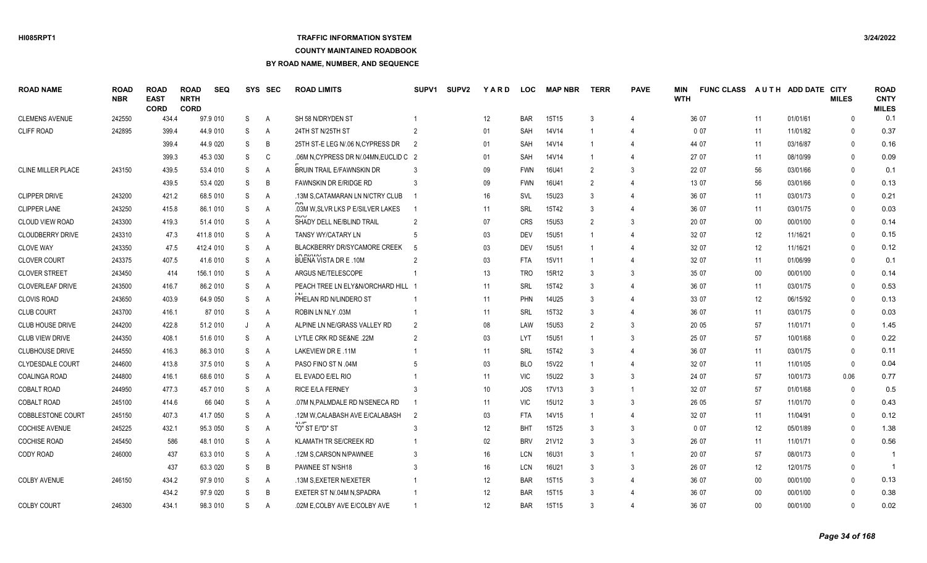# **TRAFFIC INFORMATION SYSTEM**

#### **COUNTY MAINTAINED ROADBOOK**

| <b>ROAD NAME</b>          | <b>ROAD</b><br><b>NBR</b> | <b>ROAD</b><br><b>EAST</b><br><b>CORD</b> | <b>ROAD</b><br><b>NRTH</b><br><b>CORD</b> | <b>SEQ</b> | <b>SYS</b> | SEC            | <b>ROAD LIMITS</b>                     | <b>SUPV1</b>   | <b>SUPV2</b> | <b>YARD</b>       | <b>LOC</b> | <b>MAP NBR</b> | <b>TERR</b>    | <b>PAVE</b>                 | <b>MIN</b><br><b>WTH</b> | <b>FUNC CLASS</b> |        | AUTH ADD DATE CITY | <b>MILES</b> | <b>ROAD</b><br><b>CNTY</b><br><b>MILES</b> |
|---------------------------|---------------------------|-------------------------------------------|-------------------------------------------|------------|------------|----------------|----------------------------------------|----------------|--------------|-------------------|------------|----------------|----------------|-----------------------------|--------------------------|-------------------|--------|--------------------|--------------|--------------------------------------------|
| <b>CLEMENS AVENUE</b>     | 242550                    | 434.4                                     |                                           | 97.9 010   | S          | $\mathsf{A}$   | SH 58 N/DRYDEN ST                      |                |              | 12                | <b>BAR</b> | 15T15          | 3              | $\Delta$                    |                          | 36 07             | 11     | 01/01/61           | $\Omega$     | 0.1                                        |
| <b>CLIFF ROAD</b>         | 242895                    | 399.4                                     |                                           | 44.9 010   | S          | A              | 24TH ST N/25TH ST                      |                |              | 01                | SAH        | 14V14          |                | $\overline{\mathcal{L}}$    |                          | 007               | 11     | 11/01/82           | $\Omega$     | 0.37                                       |
|                           |                           | 399.4                                     |                                           | 44.9 020   | S          | B              | 25TH ST-E LEG N/.06 N, CYPRESS DR      | 2              |              | 01                | <b>SAH</b> | 14V14          |                | $\boldsymbol{\vartriangle}$ |                          | 44 07             | 11     | 03/16/87           | $\Omega$     | 0.16                                       |
|                           |                           | 399.3                                     |                                           | 45.3 030   | S          | C              | .06M N, CYPRESS DR N/.04MN, EUCLID C 2 |                |              | 01                | SAH        | 14V14          |                | $\Delta$                    |                          | 27 07             | 11     | 08/10/99           | $\Omega$     | 0.09                                       |
| <b>CLINE MILLER PLACE</b> | 243150                    | 439.5                                     |                                           | 53.4 010   | S          | A              | BRUIN TRAIL E/FAWNSKIN DR              | 3              |              | 09                | <b>FWN</b> | 16U41          | $\mathfrak{p}$ | 3                           |                          | 22 07             | 56     | 03/01/66           | $\Omega$     | 0.1                                        |
|                           |                           | 439.5                                     |                                           | 53.4 020   | S          | B              | FAWNSKIN DR E/RIDGE RD                 | 3              |              | 09                | <b>FWN</b> | 16U41          | $\mathcal{P}$  |                             |                          | 13 07             | 56     | 03/01/66           | $\Omega$     | 0.13                                       |
| <b>CLIPPER DRIVE</b>      | 243200                    | 421.2                                     |                                           | 68.5 010   | S          | $\overline{A}$ | 13M S.CATAMARAN LN N/CTRY CLUB         |                |              | 16                | SVL        | 15U23          |                |                             |                          | 36 07             | 11     | 03/01/73           | $\Omega$     | 0.21                                       |
| <b>CLIPPER LANE</b>       | 243250                    | 415.8                                     |                                           | 86.1 010   | S          | A              | .03M W, SLVR LKS P E/SILVER LAKES      |                |              | 11                | SRL        | 15T42          |                | $\overline{4}$              |                          | 36 07             | 11     | 03/01/75           | $\mathbf{0}$ | 0.03                                       |
| CLOUD VIEW ROAD           | 243300                    | 419.3                                     |                                           | 51.4 010   | S          | A              | SHADY DELL NE/BLIND TRAIL              |                |              | 07                | <b>CRS</b> | 15U53          | 2              | 3                           |                          | 20 07             | $00\,$ | 00/01/00           | $\mathbf{0}$ | 0.14                                       |
| <b>CLOUDBERRY DRIVE</b>   | 243310                    |                                           | 47.3                                      | 411.8 010  | S          | A              | TANSY WY/CATARY LN                     |                |              | 03                | <b>DEV</b> | <b>15U51</b>   |                | $\overline{4}$              |                          | 32 07             | 12     | 11/16/21           | $\mathbf{0}$ | 0.15                                       |
| <b>CLOVE WAY</b>          | 243350                    |                                           | 47.5                                      | 412.4 010  | S          | $\overline{A}$ | <b>BLACKBERRY DR/SYCAMORE CREEK</b>    | -5             |              | 03                | <b>DEV</b> | <b>15U51</b>   |                | $\overline{4}$              |                          | 32 07             | 12     | 11/16/21           | $\Omega$     | 0.12                                       |
| <b>CLOVER COURT</b>       | 243375                    | 407.5                                     |                                           | 41.6 010   | S          | A              | <b>BUENA VISTA DR E .10M</b>           |                |              | 03                | <b>FTA</b> | 15V11          |                | $\overline{4}$              |                          | 32 07             | 11     | 01/06/99           | $\Omega$     | 0.1                                        |
| <b>CLOVER STREET</b>      | 243450                    |                                           | 414                                       | 156.1 010  | S          | A              | ARGUS NE/TELESCOPE                     |                |              | 13                | <b>TRO</b> | 15R12          | 3              | 3                           |                          | 35 07             | $00\,$ | 00/01/00           | $\Omega$     | 0.14                                       |
| CLOVERLEAF DRIVE          | 243500                    | 416.7                                     |                                           | 86.2 010   | S          | $\overline{A}$ | PEACH TREE LN ELY&N/ORCHARD HILL 1     |                |              | 11                | SRL        | 15T42          | 3              |                             |                          | 36 07             | 11     | 03/01/75           | $\Omega$     | 0.53                                       |
| <b>CLOVIS ROAD</b>        | 243650                    | 403.9                                     |                                           | 64.9 050   | S          | A              | PHELAN RD N/LINDERO ST                 |                |              | 11                | PHN        | 14U25          |                | 4                           |                          | 33 07             | 12     | 06/15/92           | $\Omega$     | 0.13                                       |
| <b>CLUB COURT</b>         | 243700                    | 416.1                                     |                                           | 87 010     | S          | $\overline{A}$ | ROBIN LN NLY .03M                      |                |              | 11                | SRL        | 15T32          | 3              | $\overline{4}$              |                          | 36 07             | 11     | 03/01/75           | $\Omega$     | 0.03                                       |
| <b>CLUB HOUSE DRIVE</b>   | 244200                    | 422.8                                     |                                           | 51.2 010   |            | A              | ALPINE LN NE/GRASS VALLEY RD           | $\mathcal{P}$  |              | 08                | LAW        | 15U53          | $\mathfrak{p}$ | 3                           |                          | 20 05             | 57     | 11/01/71           | $\mathbf{0}$ | 1.45                                       |
| CLUB VIEW DRIVE           | 244350                    | 408.1                                     |                                           | 51.6 010   | S          | A              | LYTLE CRK RD SE&NE .22M                |                |              | 03                | <b>LYT</b> | 15U51          |                | 3                           |                          | 25 07             | 57     | 10/01/68           | $\mathbf{0}$ | 0.22                                       |
| <b>CLUBHOUSE DRIVE</b>    | 244550                    | 416.3                                     |                                           | 86.3 010   | S          | A              | LAKEVIEW DR E.11M                      |                |              | 11                | SRL        | 15T42          | 3              | $\overline{4}$              |                          | 36 07             | 11     | 03/01/75           | $\Omega$     | 0.11                                       |
| <b>CLYDESDALE COURT</b>   | 244600                    | 413.8                                     |                                           | 37.5 010   | S          | A              | PASO FINO ST N .04M                    |                |              | 03                | <b>BLO</b> | 15V22          |                | 4                           |                          | 32 07             | 11     | 11/01/05           | $\Omega$     | 0.04                                       |
| COALINGA ROAD             | 244800                    | 416.1                                     |                                           | 68.6 010   | S          | A              | EL EVADO E/EL RIO                      |                |              | 11                | <b>VIC</b> | 15U22          | 3              | 3                           |                          | 24 07             | 57     | 10/01/73           | 0.06         | 0.77                                       |
| <b>COBALT ROAD</b>        | 244950                    | 477.3                                     |                                           | 45.7 010   | S          | A              | <b>RICE E/LA FERNEY</b>                |                |              | 10                | JOS        | 17V13          | 3              | $\overline{1}$              |                          | 32 07             | 57     | 01/01/68           | $\Omega$     | 0.5                                        |
| <b>COBALT ROAD</b>        | 245100                    | 414.6                                     |                                           | 66 040     | S          | A              | .07M N, PALMDALE RD N/SENECA RD        |                |              | 11                | <b>VIC</b> | 15U12          | 3              | 3                           |                          | 26 05             | 57     | 11/01/70           | $\Omega$     | 0.43                                       |
| COBBLESTONE COURT         | 245150                    | 407.3                                     |                                           | 41.7 050   | S          | A              | .12M W, CALABASH AVE E/CALABASH        | $\overline{2}$ |              | 03                | <b>FTA</b> | 14V15          |                | $\overline{4}$              |                          | 32 07             | 11     | 11/04/91           | $\Omega$     | 0.12                                       |
| <b>COCHISE AVENUE</b>     | 245225                    | 432.1                                     |                                           | 95.3 050   | S          | A              | "O" ST E/"D" ST                        |                |              | 12                | <b>BHT</b> | 15T25          |                | 3                           |                          | 007               | 12     | 05/01/89           | $\Omega$     | 1.38                                       |
| <b>COCHISE ROAD</b>       | 245450                    |                                           | 586                                       | 48.1 010   | S          | A              | <b>KLAMATH TR SE/CREEK RD</b>          |                |              | $02\,$            | <b>BRV</b> | 21V12          | 3              | 3                           |                          | 26 07             | 11     | 11/01/71           | $\Omega$     | 0.56                                       |
| CODY ROAD                 | 246000                    |                                           | 437                                       | 63.3 010   | S          | A              | .12M S.CARSON N/PAWNEE                 |                |              | 16                | <b>LCN</b> | 16U31          | 3              | $\overline{1}$              |                          | 20 07             | 57     | 08/01/73           | $\Omega$     |                                            |
|                           |                           |                                           | 437                                       | 63.3 020   | S          | B              | PAWNEE ST N/SH18                       |                |              | 16                | <b>LCN</b> | 16U21          | $\mathcal{R}$  | 3                           |                          | 26 07             | 12     | 12/01/75           | $\Omega$     |                                            |
| <b>COLBY AVENUE</b>       | 246150                    | 434.2                                     |                                           | 97.9 010   | S          | A              | .13M S.EXETER N/EXETER                 |                |              | $12 \overline{ }$ | <b>BAR</b> | 15T15          |                | 4                           |                          | 36 07             | 00     | 00/01/00           | $\Omega$     | 0.13                                       |
|                           |                           | 434.2                                     |                                           | 97.9 020   | S          | B              | EXETER ST N/.04M N.SPADRA              |                |              | 12 <sup>°</sup>   | <b>BAR</b> | 15T15          |                |                             |                          | 36 07             | 00     | 00/01/00           | $\Omega$     | 0.38                                       |
| <b>COLBY COURT</b>        | 246300                    | 434.1                                     |                                           | 98.3 010   | S.         | A              | .02M E.COLBY AVE E/COLBY AVE           |                |              | 12                | <b>BAR</b> | 15T15          |                | $\boldsymbol{\vartriangle}$ |                          | 36 07             | $00\,$ | 00/01/00           | $\Omega$     | 0.02                                       |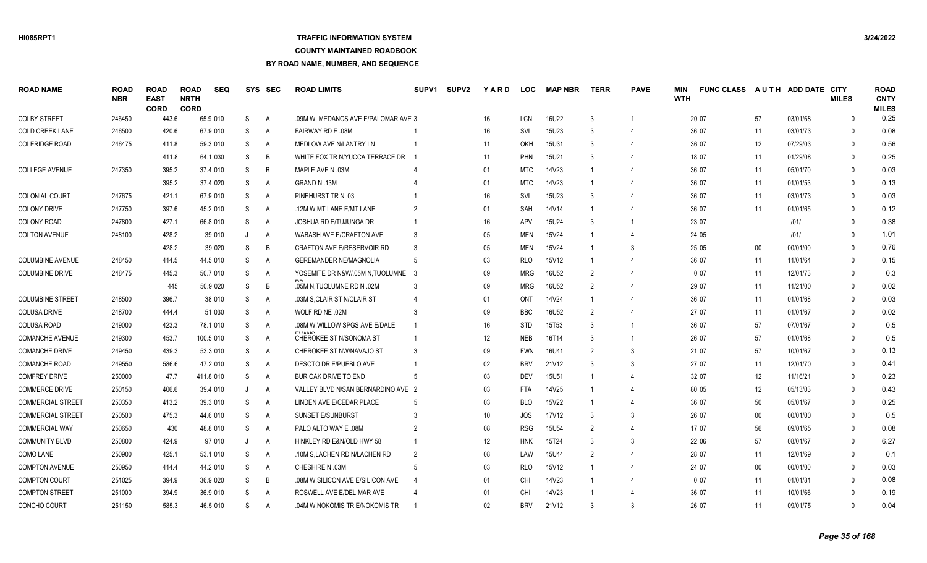# **TRAFFIC INFORMATION SYSTEM**

**COUNTY MAINTAINED ROADBOOK**

| <b>ROAD NAME</b>         | <b>ROAD</b><br><b>NBR</b> | <b>ROAD</b><br><b>EAST</b><br><b>CORD</b> | <b>ROAD</b><br><b>NRTH</b><br><b>CORD</b> | <b>SEQ</b> |    | SYS SEC      | <b>ROAD LIMITS</b>                  | SUPV <sub>1</sub> | <b>SUPV2</b> | <b>YARD</b>    | <b>LOC</b> | <b>MAP NBR</b> | <b>TERR</b>    | <b>PAVE</b>           | MIN<br><b>WTH</b> | <b>FUNC CLASS</b> |        | AUTH ADD DATE CITY | <b>MILES</b> | <b>ROAD</b><br><b>CNTY</b><br><b>MILES</b> |
|--------------------------|---------------------------|-------------------------------------------|-------------------------------------------|------------|----|--------------|-------------------------------------|-------------------|--------------|----------------|------------|----------------|----------------|-----------------------|-------------------|-------------------|--------|--------------------|--------------|--------------------------------------------|
| <b>COLBY STREET</b>      | 246450                    | 443.6                                     |                                           | 65.9 010   | S  | A            | .09M W. MEDANOS AVE E/PALOMAR AVE 3 |                   |              | 16             | <b>LCN</b> | 16U22          | 3              |                       |                   | 20 07             | 57     | 03/01/68           | $\Omega$     | 0.25                                       |
| <b>COLD CREEK LANE</b>   | 246500                    | 420.6                                     |                                           | 67.9 010   | S  | A            | FAIRWAY RD E .08M                   |                   |              | 16             | SVL        | 15U23          | 3              | 4                     |                   | 36 07             | 11     | 03/01/73           | $\Omega$     | 0.08                                       |
| <b>COLERIDGE ROAD</b>    | 246475                    | 411.8                                     |                                           | 59.3 010   | S  | A            | MEDLOW AVE N/LANTRY LN              |                   |              | 11             | OKH        | 15U31          | $\mathbf{3}$   | 4                     |                   | 36 07             | 12     | 07/29/03           | $\Omega$     | 0.56                                       |
|                          |                           | 411.8                                     |                                           | 64.1 030   | S  | B            | WHITE FOX TR N/YUCCA TERRACE DR     |                   |              | 11             | <b>PHN</b> | 15U21          |                | 4                     |                   | 18 07             | 11     | 01/29/08           | $\Omega$     | 0.25                                       |
| <b>COLLEGE AVENUE</b>    | 247350                    | 395.2                                     |                                           | 37.4 010   | S  | B            | MAPLE AVE N .03M                    |                   |              | 01             | <b>MTC</b> | 14V23          |                | 4                     |                   | 36 07             | 11     | 05/01/70           | $\Omega$     | 0.03                                       |
|                          |                           | 395.2                                     |                                           | 37.4 020   | S  | A            | <b>GRAND N.13M</b>                  |                   |              | 01             | <b>MTC</b> | 14V23          |                |                       |                   | 36 07             | 11     | 01/01/53           | $\Omega$     | 0.13                                       |
| <b>COLONIAL COURT</b>    | 247675                    | 421.1                                     |                                           | 67.9 010   | S  | A            | PINEHURST TR N .03                  |                   |              | 16             | <b>SVL</b> | 15U23          | 3              |                       |                   | 36 07             | 11     | 03/01/73           | $\Omega$     | 0.03                                       |
| <b>COLONY DRIVE</b>      | 247750                    | 397.6                                     |                                           | 45.2 010   | S  | A            | .12M W.MT LANE E/MT LANE            |                   |              | 01             | <b>SAH</b> | 14V14          |                | 4                     |                   | 36 07             | 11     | 01/01/65           | $\Omega$     | 0.12                                       |
| <b>COLONY ROAD</b>       | 247800                    | 427.1                                     |                                           | 66.8 010   | S  | A            | JOSHUA RD E/TUJUNGA DR              |                   |              | 16             | APV        | 15U24          | -3             | -1                    |                   | 23 07             |        | 1011               | $\Omega$     | 0.38                                       |
| COLTON AVENUE            | 248100                    | 428.2                                     |                                           | 39 010     | J  | A            | WABASH AVE E/CRAFTON AVE            | 3                 |              | 05             | <b>MEN</b> | 15V24          |                | 4                     |                   | 24 05             |        | 1011               | $\Omega$     | 1.01                                       |
|                          |                           | 428.2                                     |                                           | 39 0 20    | S  | B            | CRAFTON AVE E/RESERVOIR RD          |                   |              | 05             | <b>MEN</b> | 15V24          |                | 3                     |                   | 25 05             | $00\,$ | 00/01/00           | $\Omega$     | 0.76                                       |
| <b>COLUMBINE AVENUE</b>  | 248450                    | 414.5                                     |                                           | 44.5 010   | S  | A            | <b>GEREMANDER NE/MAGNOLIA</b>       | -5                |              | 03             | <b>RLO</b> | 15V12          |                | $\overline{4}$        |                   | 36 07             | 11     | 11/01/64           | $\mathbf{0}$ | 0.15                                       |
| <b>COLUMBINE DRIVE</b>   | 248475                    | 445.3                                     |                                           | 50.7 010   | S  | A            | YOSEMITE DR N&W/ 05M N, TUOLUMNE 3  |                   |              | 09             | <b>MRG</b> | 16U52          | $\overline{2}$ |                       |                   | 007               | 11     | 12/01/73           | $\Omega$     | 0.3                                        |
|                          |                           | 445                                       |                                           | 50.9 020   | S  | B            | .05M N.TUOLUMNE RD N .02M           |                   |              | 09             | <b>MRG</b> | 16U52          | 2              |                       |                   | 29 07             | 11     | 11/21/00           | $\Omega$     | 0.02                                       |
| <b>COLUMBINE STREET</b>  | 248500                    | 396.7                                     |                                           | 38 010     | S  | A            | .03M S.CLAIR ST N/CLAIR ST          |                   |              | 01             | <b>ONT</b> | 14V24          |                |                       |                   | 36 07             | 11     | 01/01/68           | $\mathbf{0}$ | 0.03                                       |
| COLUSA DRIVE             | 248700                    | 444.4                                     |                                           | 51 030     | S  | A            | WOLF RD NE .02M                     |                   |              | 09             | <b>BBC</b> | 16U52          | $\overline{2}$ |                       |                   | 27 07             | 11     | 01/01/67           | $\Omega$     | 0.02                                       |
| COLUSA ROAD              | 249000                    | 423.3                                     |                                           | 78.1 010   | S  | A            | .08M W, WILLOW SPGS AVE E/DALE      |                   |              | 16             | STD        | 15T53          | $\mathbf{3}$   | $\overline{1}$        |                   | 36 07             | 57     | 07/01/67           | $\mathbf{0}$ | 0.5                                        |
| <b>COMANCHE AVENUE</b>   | 249300                    | 453.7                                     |                                           | 100.5 010  | S  | A            | CHEROKEE ST N/SONOMA ST             |                   |              | 12             | <b>NEB</b> | 16T14          | 3              |                       |                   | 26 07             | 57     | 01/01/68           | $\Omega$     | 0.5                                        |
| <b>COMANCHE DRIVE</b>    | 249450                    | 439.3                                     |                                           | 53.3 010   | S  | $\mathsf{A}$ | CHEROKEE ST NW/NAVAJO ST            | -3                |              | 09             | <b>FWN</b> | 16U41          | $\mathfrak{p}$ | 3                     |                   | 21 07             | 57     | 10/01/67           | $\mathbf{0}$ | 0.13                                       |
| <b>COMANCHE ROAD</b>     | 249550                    | 586.6                                     |                                           | 47.2 010   | S  | A            | DESOTO DR E/PUEBLO AVE              |                   |              | 02             | <b>BRV</b> | 21V12          | 3              | 3                     |                   | 27 07             | 11     | 12/01/70           | $\mathbf{0}$ | 0.41                                       |
| <b>COMFREY DRIVE</b>     | 250000                    | 47.7                                      |                                           | 411.8 010  | S  | A            | BUR OAK DRIVE TO END                |                   |              | 03             | <b>DEV</b> | 15U51          |                |                       |                   | 32 07             | 12     | 11/16/21           | $\mathbf{0}$ | 0.23                                       |
| <b>COMMERCE DRIVE</b>    | 250150                    | 406.6                                     |                                           | 39.4 010   | J  | A            | VALLEY BLVD N/SAN BERNARDINO AVE 2  |                   |              | 03             | <b>FTA</b> | 14V25          |                | 4                     |                   | 80 05             | 12     | 05/13/03           | $\mathbf{0}$ | 0.43                                       |
| <b>COMMERCIAL STREET</b> | 250350                    | 413.2                                     |                                           | 39.3 010   | S  | A            | LINDEN AVE E/CEDAR PLACE            |                   |              | 03             | <b>BLO</b> | 15V22          |                | 4                     |                   | 36 07             | 50     | 05/01/67           | $\mathbf{0}$ | 0.25                                       |
| <b>COMMERCIAL STREET</b> | 250500                    | 475.3                                     |                                           | 44.6 010   | S  | Α            | <b>SUNSET E/SUNBURST</b>            |                   |              | 10             | JOS        | 17V12          | $\mathbf{3}$   | 3                     |                   | 26 07             | $00\,$ | 00/01/00           | $\Omega$     | 0.5                                        |
| <b>COMMERCIAL WAY</b>    | 250650                    | 430                                       |                                           | 48.8 010   | S  | A            | PALO ALTO WAY E .08M                |                   |              | 08             | <b>RSG</b> | <b>15U54</b>   | $\mathfrak{p}$ | $\overline{4}$        |                   | 17 07             | 56     | 09/01/65           | $\Omega$     | 0.08                                       |
| <b>COMMUNITY BLVD</b>    | 250800                    | 424.9                                     |                                           | 97 010     | J  | A            | HINKLEY RD E&N/OLD HWY 58           | -1                |              | 12             | <b>HNK</b> | 15T24          | $\mathcal{R}$  | 3                     |                   | 22 06             | 57     | 08/01/67           | $\Omega$     | 6.27                                       |
| COMO LANE                | 250900                    | 425.1                                     |                                           | 53.1 010   | S  | A            | .10M S.LACHEN RD N/LACHEN RD        | 2                 |              | 08             | LAW        | <b>15U44</b>   | $\mathfrak{p}$ | $\boldsymbol{\Delta}$ |                   | 28 07             | 11     | 12/01/69           | $\Omega$     | 0.1                                        |
| <b>COMPTON AVENUE</b>    | 250950                    | 414.4                                     |                                           | 44.2 010   | S  | $\mathsf{A}$ | CHESHIRE N.03M                      |                   |              | 03             | <b>RLO</b> | 15V12          |                | 4                     |                   | 24 07             | $00\,$ | 00/01/00           | $\Omega$     | 0.03                                       |
| <b>COMPTON COURT</b>     | 251025                    | 394.9                                     |                                           | 36.9 020   | S  | B            | .08M W.SILICON AVE E/SILICON AVE    |                   |              | 01             | <b>CHI</b> | 14V23          |                | 4                     |                   | 007               | 11     | 01/01/81           | $\Omega$     | 0.08                                       |
| <b>COMPTON STREET</b>    | 251000                    | 394.9                                     |                                           | 36.9 010   | S  | A            | ROSWELL AVE E/DEL MAR AVE           |                   |              | 0 <sub>1</sub> | <b>CHI</b> | 14V23          |                |                       |                   | 36 07             | 11     | 10/01/66           | $\Omega$     | 0.19                                       |
| CONCHO COURT             | 251150                    | 585.3                                     |                                           | 46.5 010   | S. | A            | .04M W.NOKOMIS TR E/NOKOMIS TR      |                   |              | 02             | <b>BRV</b> | 21V12          |                | 3                     |                   | 26 07             | 11     | 09/01/75           | $\Omega$     | 0.04                                       |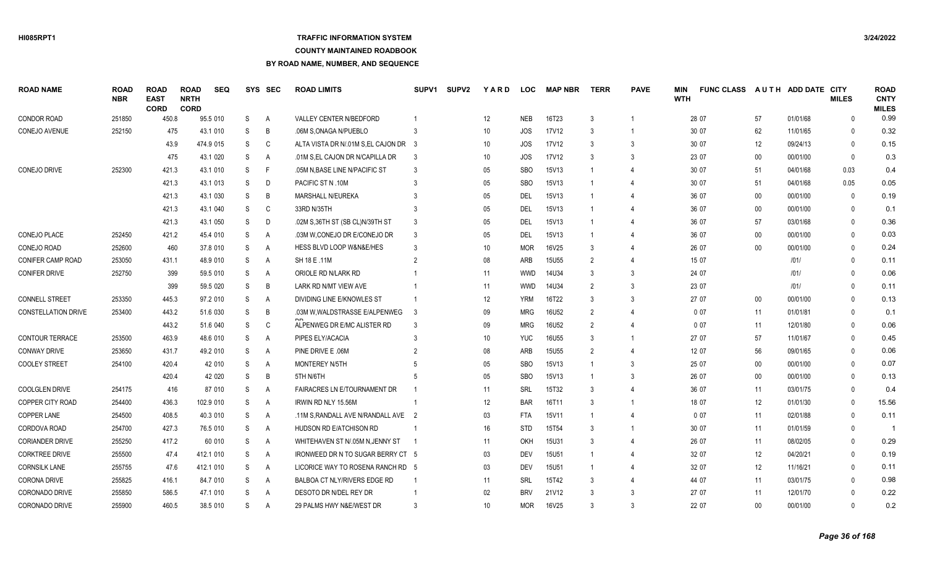# **TRAFFIC INFORMATION SYSTEM**

#### **COUNTY MAINTAINED ROADBOOK**

| <b>ROAD NAME</b>       | <b>ROAD</b><br><b>NBR</b> | <b>ROAD</b><br><b>EAST</b><br><b>CORD</b> | <b>ROAD</b><br><b>NRTH</b><br><b>CORD</b> | <b>SEQ</b> |    | SYS SEC        | <b>ROAD LIMITS</b>                   | SUPV <sub>1</sub>       | <b>SUPV2</b> | YARD            | <b>LOC</b> | <b>MAP NBR</b> | <b>TERR</b>    | <b>PAVE</b>    | MIN<br><b>WTH</b> | <b>FUNC CLASS</b> |        | AUTH ADD DATE CITY | <b>MILES</b> | <b>ROAD</b><br><b>CNTY</b><br><b>MILES</b> |
|------------------------|---------------------------|-------------------------------------------|-------------------------------------------|------------|----|----------------|--------------------------------------|-------------------------|--------------|-----------------|------------|----------------|----------------|----------------|-------------------|-------------------|--------|--------------------|--------------|--------------------------------------------|
| <b>CONDOR ROAD</b>     | 251850                    | 450.8                                     |                                           | 95.5 010   | S  | $\overline{A}$ | <b>VALLEY CENTER N/BEDFORD</b>       |                         |              | 12              | <b>NEB</b> | 16T23          | 3              |                |                   | 28 07             | 57     | 01/01/68           | $\Omega$     | 0.99                                       |
| CONEJO AVENUE          | 252150                    | 475                                       |                                           | 43.1 010   | S  | B              | .06M S.ONAGA N/PUEBLO                | 3                       |              | 10 <sup>°</sup> | <b>JOS</b> | 17V12          | 3              | -1             |                   | 30 07             | 62     | 11/01/65           | $\Omega$     | 0.32                                       |
|                        |                           | 43.9                                      |                                           | 474.9 015  | S  | C              | ALTA VISTA DR N/.01M S.EL CAJON DR 3 |                         |              | 10 <sup>°</sup> | JOS        | 17V12          | 3              | 3              |                   | 30 07             | 12     | 09/24/13           | $\Omega$     | 0.15                                       |
|                        |                           | 475                                       |                                           | 43.1 020   | S  | $\mathsf{A}$   | .01M S.EL CAJON DR N/CAPILLA DR      | -3                      |              | 10              | JOS        | 17V12          | 3              | 3              |                   | 23 07             | $00\,$ | 00/01/00           | $\Omega$     | 0.3                                        |
| CONEJO DRIVE           | 252300                    | 421.3                                     |                                           | 43.1 010   | S  | F              | .05M N.BASE LINE N/PACIFIC ST        | 3                       |              | 05              | <b>SBO</b> | 15V13          |                | $\overline{4}$ |                   | 30 07             | 51     | 04/01/68           | 0.03         | 0.4                                        |
|                        |                           | 421.3                                     |                                           | 43.1 013   | S  | D              | PACIFIC ST N .10M                    | 3                       |              | 05              | <b>SBO</b> | 15V13          | -1             | 4              |                   | 30 07             | 51     | 04/01/68           | 0.05         | 0.05                                       |
|                        |                           | 421.3                                     |                                           | 43.1 030   | S  | B              | <b>MARSHALL N/EUREKA</b>             |                         |              | 05              | DEL        | 15V13          |                |                |                   | 36 07             | $00\,$ | 00/01/00           | $\Omega$     | 0.19                                       |
|                        |                           | 421.3                                     |                                           | 43.1 040   | S  | C              | 33RD N/35TH                          |                         |              | 05              | DEL        | 15V13          | -1             |                |                   | 36 07             | 00     | 00/01/00           | $\Omega$     | 0.1                                        |
|                        |                           | 421.3                                     |                                           | 43.1 050   | S  | D              | .02M S, 36TH ST (SB CL)N/39TH ST     | -3                      |              | 05              | DEL        | 15V13          |                |                |                   | 36 07             | 57     | 03/01/68           | $\Omega$     | 0.36                                       |
| CONEJO PLACE           | 252450                    | 421.2                                     |                                           | 45.4 010   | S  | A              | .03M W,CONEJO DR E/CONEJO DR         | 3                       |              | 05              | DEL        | 15V13          | -1             |                |                   | 36 07             | $00\,$ | 00/01/00           | $\mathbf{0}$ | 0.03                                       |
| CONEJO ROAD            | 252600                    | 460                                       |                                           | 37.8 010   | S  | A              | HESS BLVD LOOP W&N&E/HES             | 3                       |              | 10              | <b>MOR</b> | 16V25          | 3              | 4              |                   | 26 07             | $00\,$ | 00/01/00           | $\Omega$     | 0.24                                       |
| CONIFER CAMP ROAD      | 253050                    | 431.1                                     |                                           | 48.9 010   | S  | $\overline{A}$ | SH 18 E .11M                         | $\mathcal{P}$           |              | 08              | ARB        | 15U55          | 2              | $\overline{4}$ |                   | 15 07             |        | 1011               | $\Omega$     | 0.11                                       |
| <b>CONIFER DRIVE</b>   | 252750                    | 399                                       |                                           | 59.5 010   | S  | $\overline{A}$ | ORIOLE RD N/LARK RD                  |                         |              | 11              | <b>WWD</b> | 14U34          | 3              | 3              |                   | 24 07             |        | 1011               | $\Omega$     | 0.06                                       |
|                        |                           | 399                                       |                                           | 59.5 020   | S  | B              | LARK RD N/MT VIEW AVE                |                         |              | 11              | <b>WWD</b> | 14U34          | $\mathfrak{D}$ | 3              |                   | 23 07             |        | 1011               | $\Omega$     | 0.11                                       |
| <b>CONNELL STREET</b>  | 253350                    | 445.3                                     |                                           | 97.2 010   | S  | A              | DIVIDING LINE E/KNOWLES ST           |                         |              | 12              | <b>YRM</b> | 16T22          | 3              | 3              |                   | 27 07             | $00\,$ | 00/01/00           | $\Omega$     | 0.13                                       |
| CONSTELLATION DRIVE    | 253400                    | 443.2                                     |                                           | 51.6 030   | S  | B              | .03M W.WALDSTRASSE E/ALPENWEG        | $\overline{\mathbf{3}}$ |              | 09              | <b>MRG</b> | 16U52          | $\overline{2}$ | 4              |                   | 007               | 11     | 01/01/81           | $\Omega$     | 0.1                                        |
|                        |                           | 443.2                                     |                                           | 51.6 040   | S  | C              | ALPENWEG DR E/MC ALISTER RD          | 3                       |              | 09              | <b>MRG</b> | 16U52          | 2              | 4              |                   | 007               | 11     | 12/01/80           | $\mathbf{0}$ | 0.06                                       |
| CONTOUR TERRACE        | 253500                    | 463.9                                     |                                           | 48.6 010   | S  | $\overline{A}$ | PIPES ELY/ACACIA                     | 3                       |              | 10 <sup>1</sup> | <b>YUC</b> | 16U55          | 3              |                |                   | 27 07             | 57     | 11/01/67           | $\mathbf{0}$ | 0.45                                       |
| <b>CONWAY DRIVE</b>    | 253650                    | 431.7                                     |                                           | 49.2 010   | S  | $\overline{A}$ | PINE DRIVE E .06M                    | $\mathcal{P}$           |              | 08              | ARB        | 15U55          | 2              | 4              |                   | 12 07             | 56     | 09/01/65           | $\mathbf{0}$ | 0.06                                       |
| <b>COOLEY STREET</b>   | 254100                    | 420.4                                     |                                           | 42 010     | S  | A              | <b>MONTEREY N/5TH</b>                | .5                      |              | 05              | <b>SBO</b> | 15V13          | $\overline{1}$ | 3              |                   | 25 07             | $00\,$ | 00/01/00           | $\mathbf{0}$ | 0.07                                       |
|                        |                           | 420.4                                     |                                           | 42 020     | S  | B              | 5TH N/6TH                            |                         |              | 05              | <b>SBO</b> | 15V13          |                | 3              |                   | 26 07             | $00\,$ | 00/01/00           | $\mathbf{0}$ | 0.13                                       |
| COOLGLEN DRIVE         | 254175                    | 416                                       |                                           | 87 010     | S  | A              | <b>FAIRACRES LN E/TOURNAMENT DR</b>  |                         |              | 11              | SRL        | 15T32          | 3              | 4              |                   | 36 07             | 11     | 03/01/75           | $\Omega$     | 0.4                                        |
| COPPER CITY ROAD       | 254400                    | 436.3                                     |                                           | 102.9 010  | S  | A              | IRWIN RD NLY 15.56M                  |                         |              | 12              | <b>BAR</b> | 16T11          | 3              | $\mathbf{1}$   |                   | 18 07             | 12     | 01/01/30           | $\Omega$     | 15.56                                      |
| <b>COPPER LANE</b>     | 254500                    | 408.5                                     |                                           | 40.3 010   | S  | A              | 11M S, RANDALL AVE N/RANDALL AVE 2   |                         |              | 03              | <b>FTA</b> | 15V11          | $\overline{1}$ | $\Delta$       |                   | 007               | 11     | 02/01/88           | $\Omega$     | 0.11                                       |
| CORDOVA ROAD           | 254700                    | 427.3                                     |                                           | 76.5 010   | S  | $\overline{A}$ | HUDSON RD E/ATCHISON RD              |                         |              | 16              | STD        | 15T54          | 3              |                |                   | 30 07             | 11     | 01/01/59           | $\Omega$     |                                            |
| <b>CORIANDER DRIVE</b> | 255250                    | 417.2                                     |                                           | 60 010     | S  | $\mathsf{A}$   | WHITEHAVEN ST N/.05M N.JENNY ST      |                         |              | 11              | OKH        | <b>15U31</b>   | 3              | 4              |                   | 26 07             | 11     | 08/02/05           | $\Omega$     | 0.29                                       |
| <b>CORKTREE DRIVE</b>  | 255500                    | 47.4                                      |                                           | 412.1 010  | S  | $\overline{A}$ | IRONWEED DR N TO SUGAR BERRY CT 5    |                         |              | 03              | <b>DEV</b> | <b>15U51</b>   |                | 4              |                   | 32 07             | 12     | 04/20/21           | $\Omega$     | 0.19                                       |
| <b>CORNSILK LANE</b>   | 255755                    | 47.6                                      |                                           | 412.1 010  | S  | A              | LICORICE WAY TO ROSENA RANCH RD 5    |                         |              | 03              | <b>DEV</b> | 15U51          | $\overline{1}$ | 4              |                   | 32 07             | 12     | 11/16/21           | $\Omega$     | 0.11                                       |
| <b>CORONA DRIVE</b>    | 255825                    | 416.1                                     |                                           | 84.7 010   | S  | $\overline{A}$ | <b>BALBOA CT NLY/RIVERS EDGE RD</b>  |                         |              | 11              | <b>SRL</b> | 15T42          | 3              | 4              |                   | 44 07             | 11     | 03/01/75           | $\Omega$     | 0.98                                       |
| CORONADO DRIVE         | 255850                    | 586.5                                     |                                           | 47.1 010   | S  | $\overline{A}$ | DESOTO DR N/DEL REY DR               |                         |              | 02              | <b>BRV</b> | 21V12          | 3              | 3              |                   | 27 07             | 11     | 12/01/70           | $\Omega$     | 0.22                                       |
| <b>CORONADO DRIVE</b>  | 255900                    | 460.5                                     |                                           | 38.5 010   | S. | A              | 29 PALMS HWY N&E/WEST DR             | $\mathcal{R}$           |              | 10 <sup>1</sup> | <b>MOR</b> | 16V25          |                | 3              |                   | 22 07             | $00\,$ | 00/01/00           | $\Omega$     | 0.2                                        |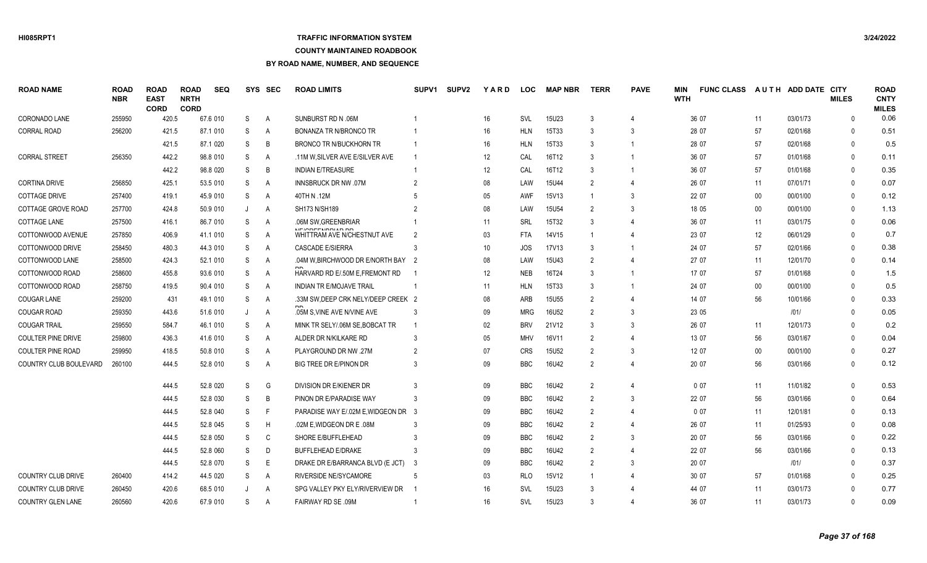### **TRAFFIC INFORMATION SYSTEM**

### **COUNTY MAINTAINED ROADBOOK**

| <b>ROAD NAME</b>          | <b>ROAD</b><br><b>NBR</b> | <b>ROAD</b><br><b>EAST</b><br><b>CORD</b> | <b>ROAD</b><br><b>NRTH</b><br><b>CORD</b> | <b>SEQ</b> |   | SYS SEC      | <b>ROAD LIMITS</b>                                       | SUPV <sub>1</sub> | <b>SUPV2</b> | <b>YARD</b> | <b>LOC</b> | <b>MAP NBR</b> | <b>TERR</b>    | <b>PAVE</b>           | MIN<br><b>WTH</b> | <b>FUNC CLASS</b> |        | AUTH ADD DATE CITY | <b>MILES</b> | <b>ROAD</b><br><b>CNTY</b><br><b>MILES</b> |
|---------------------------|---------------------------|-------------------------------------------|-------------------------------------------|------------|---|--------------|----------------------------------------------------------|-------------------|--------------|-------------|------------|----------------|----------------|-----------------------|-------------------|-------------------|--------|--------------------|--------------|--------------------------------------------|
| <b>CORONADO LANE</b>      | 255950                    | 420.5                                     |                                           | 67.6 010   | S | $\mathsf{A}$ | SUNBURST RD N .06M                                       |                   |              | 16          | <b>SVL</b> | 15U23          | 3              | $\boldsymbol{\Delta}$ |                   | 36 07             | 11     | 03/01/73           | $\Omega$     | 0.06                                       |
| <b>CORRAL ROAD</b>        | 256200                    | 421.5                                     |                                           | 87.1 010   | S | A            | BONANZA TR N/BRONCO TR                                   |                   |              | 16          | <b>HLN</b> | 15T33          | 3              | 3                     |                   | 28 07             | 57     | 02/01/68           | 0            | 0.51                                       |
|                           |                           | 421.5                                     |                                           | 87.1 020   | S | B            | <b>BRONCO TR N/BUCKHORN TR</b>                           |                   |              | 16          | <b>HLN</b> | 15T33          | 3              | $\mathbf{1}$          |                   | 28 07             | 57     | 02/01/68           | $\mathbf{0}$ | 0.5                                        |
| <b>CORRAL STREET</b>      | 256350                    | 442.2                                     |                                           | 98.8 010   | S | A            | .11M W, SILVER AVE E/SILVER AVE                          |                   |              | 12          | CAL        | 16T12          | 3              | $\mathbf{1}$          |                   | 36 07             | 57     | 01/01/68           | $\Omega$     | 0.11                                       |
|                           |                           | 442.2                                     |                                           | 98.8 020   | S | B            | <b>INDIAN E/TREASURE</b>                                 |                   |              | 12          | CAL        | 16T12          | 3              | -1                    |                   | 36 07             | 57     | 01/01/68           | $\Omega$     | 0.35                                       |
| <b>CORTINA DRIVE</b>      | 256850                    | 425.1                                     |                                           | 53.5 010   | S | A            | <b>INNSBRUCK DR NW .07M</b>                              |                   |              | 08          | LAW        | 15U44          | $\mathfrak{D}$ | $\boldsymbol{\Delta}$ |                   | 26 07             | 11     | 07/01/71           | $\Omega$     | 0.07                                       |
| <b>COTTAGE DRIVE</b>      | 257400                    | 419.1                                     |                                           | 45.9 010   | S | A            | 40TH N .12M                                              |                   |              | 05          | AWF        | 15V13          |                | 3                     |                   | 22 07             | $00\,$ | 00/01/00           | $\Omega$     | 0.12                                       |
| COTTAGE GROVE ROAD        | 257700                    | 424.8                                     |                                           | 50.9 010   | J | A            | SH173 N/SH189                                            |                   |              | 08          | LAW        | <b>15U54</b>   | 2              | 3                     |                   | 18 05             | $00\,$ | 00/01/00           | $\Omega$     | 1.13                                       |
| <b>COTTAGE LANE</b>       | 257500                    | 416.1                                     |                                           | 86.7 010   | S | A            | .06M SW, GREENBRIAR                                      |                   |              | 11          | SRL        | 15T32          | 3              | $\boldsymbol{\Delta}$ |                   | 36 07             | 11     | 03/01/75           | $\Omega$     | 0.06                                       |
| COTTONWOOD AVENUE         | 257850                    | 406.9                                     |                                           | 41.1 010   | S | A            | <b>NIEIODEFNIDDIAD DD</b><br>WHITTRAM AVE N/CHESTNUT AVE | 2                 |              | 03          | <b>FTA</b> | 14V15          |                | Δ                     |                   | 23 07             | 12     | 06/01/29           | $\Omega$     | 0.7                                        |
| COTTONWOOD DRIVE          | 258450                    | 480.3                                     |                                           | 44.3 010   | S | A            | CASCADE E/SIERRA                                         |                   |              | 10          | <b>JOS</b> | 17V13          | 3              |                       |                   | 24 07             | 57     | 02/01/66           | $\Omega$     | 0.38                                       |
| COTTONWOOD LANE           | 258500                    | 424.3                                     |                                           | 52.1 010   | S | A            | .04M W.BIRCHWOOD DR E/NORTH BAY 2                        |                   |              | 08          | LAW        | 15U43          | $\mathfrak{D}$ | $\boldsymbol{\Delta}$ |                   | 27 07             | 11     | 12/01/70           | $\Omega$     | 0.14                                       |
| COTTONWOOD ROAD           | 258600                    | 455.8                                     |                                           | 93.6 010   | S | A            | HARVARD RD E/.50M E.FREMONT RD                           |                   |              | 12          | <b>NEB</b> | 16T24          | 3              |                       |                   | 17 07             | 57     | 01/01/68           | $\Omega$     | 1.5                                        |
| COTTONWOOD ROAD           | 258750                    | 419.5                                     |                                           | 90.4 010   | S | A            | <b>INDIAN TR E/MOJAVE TRAIL</b>                          |                   |              | 11          | <b>HLN</b> | 15T33          | 3              | 1                     |                   | 24 07             | $00\,$ | 00/01/00           | $\Omega$     | 0.5                                        |
| <b>COUGAR LANE</b>        | 259200                    | 431                                       |                                           | 49.1 010   | S | A            | .33M SW.DEEP CRK NELY/DEEP CREEK 2                       |                   |              | 08          | ARB        | <b>15U55</b>   | $\overline{2}$ | $\boldsymbol{\Delta}$ |                   | 14 07             | 56     | 10/01/66           | $\Omega$     | 0.33                                       |
| <b>COUGAR ROAD</b>        | 259350                    | 443.6                                     |                                           | 51.6 010   | J | A            | .05M S.VINE AVE N/VINE AVE                               | -3                |              | 09          | <b>MRG</b> | 16U52          | $\mathfrak{D}$ | 3                     |                   | 23 05             |        | 1011               | 0            | 0.05                                       |
| <b>COUGAR TRAIL</b>       | 259550                    | 584.7                                     |                                           | 46.1 010   | S | $\mathsf{A}$ | MINK TR SELY/.06M SE, BOBCAT TR                          |                   |              | 02          | <b>BRV</b> | 21V12          | 3              | 3                     |                   | 26 07             | 11     | 12/01/73           | $\Omega$     | 0.2                                        |
| <b>COULTER PINE DRIVE</b> | 259800                    | 436.3                                     |                                           | 41.6 010   | S | A            | ALDER DR N/KILKARE RD                                    |                   |              | 05          | <b>MHV</b> | 16V11          | 2              | $\boldsymbol{\Delta}$ |                   | 13 07             | 56     | 03/01/67           | $\Omega$     | 0.04                                       |
| <b>COULTER PINE ROAD</b>  | 259950                    | 418.5                                     |                                           | 50.8 010   | S | A            | PLAYGROUND DR NW .27M                                    |                   |              | 07          | <b>CRS</b> | <b>15U52</b>   | 2              | 3                     |                   | 12 07             | 00     | 00/01/00           | $\Omega$     | 0.27                                       |
| COUNTRY CLUB BOULEVARD    | 260100                    | 444.5                                     |                                           | 52.8 010   | S | A            | BIG TREE DR E/PINON DR                                   | $\mathcal{R}$     |              | 09          | <b>BBC</b> | 16U42          | $\mathfrak{p}$ |                       |                   | 20 07             | 56     | 03/01/66           | $\Omega$     | 0.12                                       |
|                           |                           | 444.5                                     |                                           | 52.8 020   | S | G            | DIVISION DR E/KIENER DR                                  | 3                 |              | 09          | <b>BBC</b> | 16U42          | 2              | $\overline{4}$        |                   | 007               | 11     | 11/01/82           | $\mathbf{0}$ | 0.53                                       |
|                           |                           | 444.5                                     |                                           | 52.8 030   | S | B            | PINON DR E/PARADISE WAY                                  |                   |              | 09          | <b>BBC</b> | 16U42          | 2              | 3                     |                   | 22 07             | 56     | 03/01/66           | $\Omega$     | 0.64                                       |
|                           |                           | 444.5                                     |                                           | 52.8 040   | S | F            | PARADISE WAY E/.02M E, WIDGEON DR 3                      |                   |              | 09          | <b>BBC</b> | 16U42          | 2              | $\boldsymbol{\Delta}$ |                   | 007               | 11     | 12/01/81           | $\Omega$     | 0.13                                       |
|                           |                           | 444.5                                     |                                           | 52.8 045   | S | H            | .02M E, WIDGEON DR E .08M                                |                   |              | 09          | BBC        | 16U42          | 2              | $\overline{4}$        |                   | 26 07             | 11     | 01/25/93           | 0            | 0.08                                       |
|                           |                           | 444.5                                     |                                           | 52.8 050   | S | C            | SHORE E/BUFFLEHEAD                                       |                   |              | 09          | <b>BBC</b> | 16U42          | 2              | 3                     |                   | 20 07             | 56     | 03/01/66           | $\Omega$     | 0.22                                       |
|                           |                           | 444.5                                     |                                           | 52.8 060   | S | D            | <b>BUFFLEHEAD E/DRAKE</b>                                | -3                |              | 09          | <b>BBC</b> | 16U42          | 2              | $\boldsymbol{\Delta}$ |                   | 22 07             | 56     | 03/01/66           | $\Omega$     | 0.13                                       |
|                           |                           | 444.5                                     |                                           | 52.8 070   | S | E            | DRAKE DR E/BARRANCA BLVD (E JCT)                         | -3                |              | 09          | <b>BBC</b> | 16U42          | $\mathfrak{D}$ | 3                     |                   | 20 07             |        | 1011               | $\Omega$     | 0.37                                       |
| <b>COUNTRY CLUB DRIVE</b> | 260400                    | 414.2                                     |                                           | 44.5 020   | S | A            | RIVERSIDE NE/SYCAMORE                                    | -5                |              | 03          | <b>RLO</b> | 15V12          |                |                       |                   | 30 07             | 57     | 01/01/68           | $\Omega$     | 0.25                                       |
| COUNTRY CLUB DRIVE        | 260450                    | 420.6                                     |                                           | 68.5 010   |   | A            | SPG VALLEY PKY ELY/RIVERVIEW DR                          |                   |              | 16          | SVL        | 15U23          |                |                       |                   | 44 07             | 11     | 03/01/73           | $\Omega$     | 0.77                                       |
| <b>COUNTRY GLEN LANE</b>  | 260560                    | 420.6                                     |                                           | 67.9 010   | S | A            | FAIRWAY RD SE .09M                                       |                   |              | 16          | <b>SVL</b> | 15U23          |                | $\overline{4}$        |                   | 36 07             | 11     | 03/01/73           | $\Omega$     | 0.09                                       |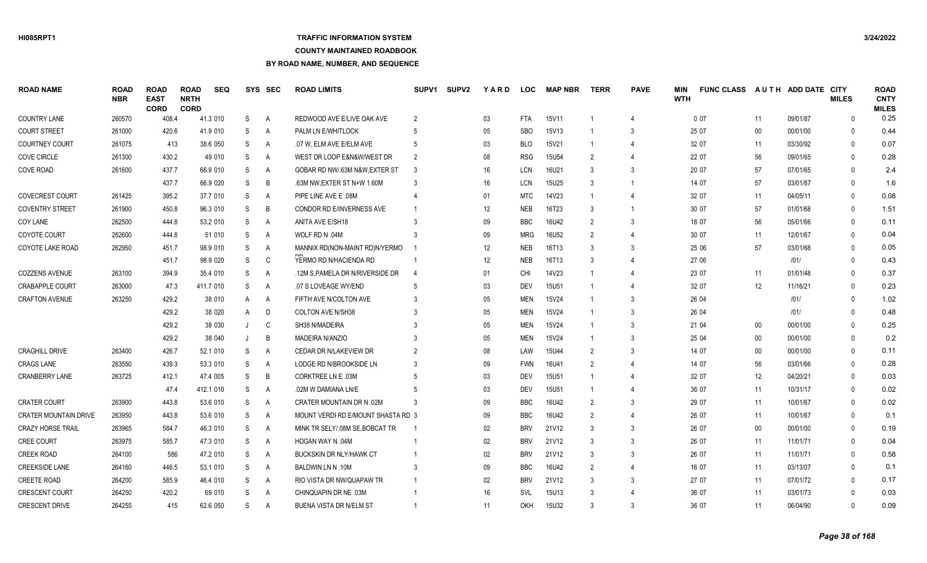## **TRAFFIC INFORMATION SYSTEM**

### **COUNTY MAINTAINED ROADBOOK**

| <b>ROAD NAME</b>             | <b>ROAD</b><br><b>NBR</b> | <b>ROAD</b><br><b>EAST</b><br><b>CORD</b> | <b>ROAD</b><br><b>NRTH</b><br><b>CORD</b> | <b>SEQ</b> | <b>SYS</b> | <b>SEC</b>     | <b>ROAD LIMITS</b>                 | SUPV1 | <b>SUPV2</b> | YARD   | <b>LOC</b> | <b>MAP NBR</b> | <b>TERR</b>    | <b>PAVE</b>    | MIN<br><b>WTH</b> | <b>FUNC CLASS</b> | <b>AUTH</b> | ADD DATE CITY | <b>MILES</b> | <b>ROAD</b><br><b>CNTY</b><br><b>MILES</b> |
|------------------------------|---------------------------|-------------------------------------------|-------------------------------------------|------------|------------|----------------|------------------------------------|-------|--------------|--------|------------|----------------|----------------|----------------|-------------------|-------------------|-------------|---------------|--------------|--------------------------------------------|
| <b>COUNTRY LANE</b>          | 260570                    | 408.4                                     |                                           | 41.3 010   | S          | A              | REDWOOD AVE E/LIVE OAK AVE         |       |              | 03     | <b>FTA</b> | 15V11          |                |                |                   | 007               | 11          | 09/01/87      | $\mathbf{0}$ | 0.25                                       |
| <b>COURT STREET</b>          | 261000                    | 420.6                                     |                                           | 41.9 010   | S          | A              | PALM LN E/WHITLOCK                 |       |              | 05     | <b>SBO</b> | 15V13          |                | 3              |                   | 25 07             | 00          | 00/01/00      | $\Omega$     | 0.44                                       |
| <b>COURTNEY COURT</b>        | 261075                    | 413                                       |                                           | 38.6 050   | S          | A              | .07 W, ELM AVE E/ELM AVE           |       |              | 03     | <b>BLO</b> | 15V21          |                | $\overline{4}$ |                   | 32 07             | 11          | 03/30/92      | $\mathbf{0}$ | 0.07                                       |
| <b>COVE CIRCLE</b>           | 261300                    | 430.2                                     |                                           | 49 010     | S          | A              | WEST DR LOOP E&N&W/WEST DR         |       |              | $08\,$ | <b>RSG</b> | 15U54          | $\mathcal{P}$  | 4              |                   | 22 07             | 56          | 09/01/65      | $\Omega$     | 0.28                                       |
| COVE ROAD                    | 261600                    | 437.7                                     |                                           | 66.9 010   | S          | A              | GOBAR RD NW/ 63M N&W, EXTER ST     | 3     |              | 16     | <b>LCN</b> | 16U21          |                | 3              |                   | 20 07             | 57          | 07/01/65      | $\Omega$     | 2.4                                        |
|                              |                           | 437.7                                     |                                           | 66.9 020   | S          | B              | .63M NW EXTER ST N+W 1.60M         |       |              | 16     | LCN        | 15U25          |                |                |                   | 14 07             | 57          | 03/01/87      | $\Omega$     | 1.6                                        |
| <b>COVECREST COURT</b>       | 261425                    | 395.2                                     |                                           | 37.7 010   | S          | $\overline{A}$ | PIPE LINE AVE E .08M               |       |              | 01     | <b>MTC</b> | 14V23          |                | $\overline{4}$ |                   | 32 07             | 11          | 04/05/11      | $\Omega$     | 0.08                                       |
| <b>COVENTRY STREET</b>       | 261900                    | 450.8                                     |                                           | 96.3 010   | S          | B              | CONDOR RD E/INVERNESS AVE          |       |              | 12     | <b>NEB</b> | 16T23          | 3              | $\overline{1}$ |                   | 30 07             | 57          | 01/01/68      | $\Omega$     | 1.51                                       |
| COY LANE                     | 262500                    | 444.8                                     |                                           | 53.2 010   | S          | $\overline{A}$ | ANITA AVE E/SH18                   |       |              | 09     | <b>BBC</b> | 16U42          | $\overline{2}$ | 3              |                   | 18 07             | 56          | 05/01/66      | $\Omega$     | 0.11                                       |
| COYOTE COURT                 | 262600                    | 444.8                                     |                                           | 51 010     | S          | A              | WOLF RD N .04M                     |       |              | 09     | <b>MRG</b> | 16U52          | $\mathcal{P}$  | $\overline{4}$ |                   | 30 07             | 11          | 12/01/67      | $\mathbf{0}$ | 0.04                                       |
| COYOTE LAKE ROAD             | 262950                    | 451.7                                     |                                           | 98.9 010   | S          | A              | MANNIX RD(NON-MAINT RD)N/YERMO     |       |              | 12     | <b>NEB</b> | 16T13          |                | 3              |                   | 25 06             | 57          | 03/01/68      | $\Omega$     | 0.05                                       |
|                              |                           | 451.7                                     |                                           | 98.9 020   | S          | C              | YERMO RD N/HACIENDA RD             |       |              | 12     | <b>NEB</b> | 16T13          |                | $\overline{4}$ |                   | 27 06             |             | 1011          | $\Omega$     | 0.43                                       |
| <b>COZZENS AVENUE</b>        | 263100                    | 394.9                                     |                                           | 35.4 010   | S          | A              | .12M S.PAMELA DR N/RIVERSIDE DR    |       |              | 01     | CHI        | 14V23          |                | $\overline{4}$ |                   | 23 07             | 11          | 01/01/48      | $\Omega$     | 0.37                                       |
| <b>CRABAPPLE COURT</b>       | 263000                    | 47.3                                      |                                           | 411.7 010  | S          | $\overline{A}$ | .07 S LOVEAGE WY/END               |       |              | 03     | <b>DEV</b> | 15U51          |                | 4              |                   | 32 07             | 12          | 11/16/21      | $\Omega$     | 0.23                                       |
| <b>CRAFTON AVENUE</b>        | 263250                    | 429.2                                     |                                           | 38 010     | A          | A              | FIFTH AVE N/COLTON AVE             |       |              | 05     | <b>MEN</b> | 15V24          |                | 3              |                   | 26 04             |             | 1011          | $\Omega$     | 1.02                                       |
|                              |                           | 429.2                                     |                                           | 38 0 20    | A          | D              | <b>COLTON AVE N/SH38</b>           |       |              | 05     | <b>MEN</b> | 15V24          |                | 3              |                   | 26 04             |             | 1011          | $\Omega$     | 0.48                                       |
|                              |                           | 429.2                                     |                                           | 38 030     | J          | C              | SH38 N/MADEIRA                     |       |              | 05     | <b>MEN</b> | 15V24          | -1             | 3              |                   | 21 04             | 00          | 00/01/00      | $\Omega$     | 0.25                                       |
|                              |                           | 429.2                                     |                                           | 38 040     |            | B              | MADEIRA N/ANZIO                    |       |              | 05     | <b>MEN</b> | 15V24          |                | 3              |                   | 25 04             | $00\,$      | 00/01/00      | $\Omega$     | 0.2                                        |
| <b>CRAGHILL DRIVE</b>        | 263400                    | 426.7                                     |                                           | 52.1 010   | S          | A              | CEDAR DR N/LAKEVIEW DR             |       |              | 08     | LAW        | 15U44          | $\mathcal{P}$  | 3              |                   | 14 07             | $00\,$      | 00/01/00      | $\Omega$     | 0.11                                       |
| <b>CRAGS LANE</b>            | 263550                    | 439.3                                     |                                           | 53.3 010   | S          | A              | LODGE RD N/BROOKSIDE LN            |       |              | 09     | <b>FWN</b> | 16U41          | $\mathcal{P}$  | 4              |                   | 14 07             | 56          | 03/01/66      | $\Omega$     | 0.28                                       |
| <b>CRANBERRY LANE</b>        | 263725                    | 412.1                                     |                                           | 47.4 005   | S          | B              | CORKTREE LN E .03M                 |       |              | 03     | <b>DEV</b> | 15U51          |                | 4              |                   | 32 07             | 12          | 04/20/21      | $\Omega$     | 0.03                                       |
|                              |                           | 47.4                                      |                                           | 412.1 010  | S          | $\overline{A}$ | .02M W DAMIANA LN/E                |       |              | 03     | <b>DEV</b> | 15U51          |                | $\overline{4}$ |                   | 36 07             | 11          | 10/31/17      | $\Omega$     | 0.02                                       |
| <b>CRATER COURT</b>          | 263900                    | 443.8                                     |                                           | 53.6 010   | S          | $\overline{A}$ | CRATER MOUNTAIN DR N .02M          |       |              | 09     | <b>BBC</b> | 16U42          | $\overline{2}$ | 3              |                   | 29 07             | 11          | 10/01/67      | $\Omega$     | 0.02                                       |
| <b>CRATER MOUNTAIN DRIVE</b> | 263950                    | 443.8                                     |                                           | 53.6 010   | S          | $\overline{A}$ | MOUNT VERDI RD E/MOUNT SHASTA RD 3 |       |              | 09     | <b>BBC</b> | 16U42          | $\mathcal{P}$  | $\overline{4}$ |                   | 26 07             | 11          | 10/01/67      | $\mathbf{0}$ | 0.1                                        |
| <b>CRAZY HORSE TRAIL</b>     | 263965                    | 584.7                                     |                                           | 46.3 010   | S          | $\overline{A}$ | MINK TR SELY/.08M SE, BOBCAT TR    |       |              | 02     | <b>BRV</b> | 21V12          | 3              | 3              |                   | 26 07             | $00\,$      | 00/01/00      | $\Omega$     | 0.19                                       |
| CREE COURT                   | 263975                    | 585.7                                     |                                           | 47.3 010   | S          | A              | HOGAN WAY N.04M                    |       |              | 02     | <b>BRV</b> | 21V12          | 3              | 3              |                   | 26 07             | 11          | 11/01/71      | $\mathbf{0}$ | 0.04                                       |
| <b>CREEK ROAD</b>            | 264100                    | 586                                       |                                           | 47.2 010   | S          | A              | BUCKSKIN DR NLY/HAWK CT            |       |              | 02     | <b>BRV</b> | 21V12          | 3              | 3              |                   | 26 07             | 11          | 11/01/71      | $\Omega$     | 0.58                                       |
| <b>CREEKSIDE LANE</b>        | 264160                    | 446.5                                     |                                           | 53.1 010   | S          | A              | <b>BALDWIN LN N .10M</b>           |       |              | 09     | <b>BBC</b> | 16U42          | $\mathcal{P}$  | $\overline{4}$ |                   | 16 07             | 11          | 03/13/07      | $\Omega$     | 0.1                                        |
| <b>CREETE ROAD</b>           | 264200                    | 585.9                                     |                                           | 46.4 010   | S          | A              | RIO VISTA DR NW/QUAPAW TR          |       |              | 02     | <b>BRV</b> | 21V12          |                | 3              |                   | 27 07             | 11          | 07/01/72      | $\Omega$     | 0.17                                       |
| <b>CRESCENT COURT</b>        | 264250                    | 420.2                                     |                                           | 69 010     | S          | A              | <b>CHINQUAPIN DR NE .03M</b>       |       |              | 16     | SVL        | 15U13          |                |                |                   | 36 07             | 11          | 03/01/73      | $\Omega$     | 0.03                                       |
| <b>CRESCENT DRIVE</b>        | 264255                    | 415                                       |                                           | 62.6 050   | S.         | A              | <b>BUENA VISTA DR N/ELM ST</b>     |       |              | 11     | <b>OKH</b> | 15U32          |                | 3              |                   | 36 07             | 11          | 06/04/90      | $\Omega$     | 0.09                                       |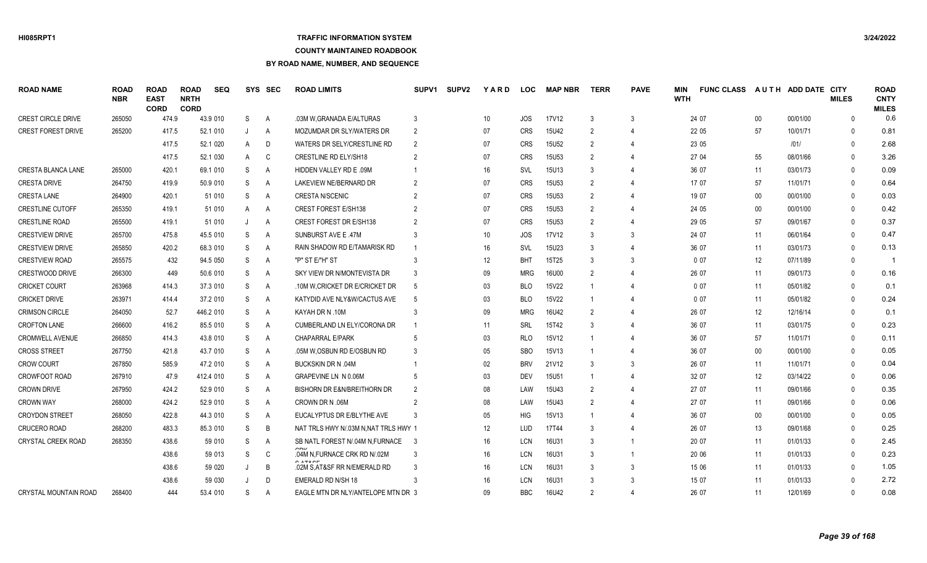## **TRAFFIC INFORMATION SYSTEM**

#### **COUNTY MAINTAINED ROADBOOK**

**BY ROAD NAME, NUMBER, AND SEQUENCE**

| <b>ROAD NAME</b>          | <b>ROAD</b><br><b>NBR</b> | <b>ROAD</b><br><b>EAST</b><br><b>CORD</b> | <b>ROAD</b><br><b>NRTH</b><br><b>CORD</b> | <b>SEQ</b> | SYS | <b>SEC</b>     | <b>ROAD LIMITS</b>                    | SUPV <sub>1</sub> | <b>SUPV2</b> | YARD | <b>LOC</b> | <b>MAP NBR</b>    | <b>TERR</b>    | <b>PAVE</b>    | MIN<br><b>WTH</b> | <b>FUNC CLASS</b> |        | AUTH ADD DATE CITY | <b>MILES</b> | <b>ROAD</b><br><b>CNTY</b><br><b>MILES</b> |
|---------------------------|---------------------------|-------------------------------------------|-------------------------------------------|------------|-----|----------------|---------------------------------------|-------------------|--------------|------|------------|-------------------|----------------|----------------|-------------------|-------------------|--------|--------------------|--------------|--------------------------------------------|
| <b>CREST CIRCLE DRIVE</b> | 265050                    | 474.9                                     | 43.9 010                                  |            | S   | $\overline{A}$ | .03M W.GRANADA E/ALTURAS              | 3                 |              | 10   | JOS        | 17V12             | 3              | 3              |                   | 24 07             | $00\,$ | 00/01/00           | $\Omega$     | 0.6                                        |
| <b>CREST FOREST DRIVE</b> | 265200                    | 417.5                                     |                                           | 52.1 010   |     | A              | MOZUMDAR DR SLY/WATERS DR             | $\mathcal{P}$     |              | 07   | <b>CRS</b> | 15U42             | $\mathcal{P}$  | 4              |                   | 22 05             | 57     | 10/01/71           | $\Omega$     | 0.81                                       |
|                           |                           | 417.5                                     | 52.1 020                                  |            | A   | D              | WATERS DR SELY/CRESTLINE RD           |                   |              | 07   | <b>CRS</b> | <b>15U52</b>      |                |                |                   | 23 05             |        | 1011               | $\Omega$     | 2.68                                       |
|                           |                           | 417.5                                     | 52.1 030                                  |            | A   | C              | CRESTLINE RD ELY/SH18                 |                   |              | 07   | <b>CRS</b> | 15U <sub>53</sub> |                |                |                   | 27 04             | 55     | 08/01/66           | $\Omega$     | 3.26                                       |
| <b>CRESTA BLANCA LANE</b> | 265000                    | 420.1                                     |                                           | 69.1 010   | S   | A              | HIDDEN VALLEY RD E .09M               |                   |              | 16   | SVL        | 15U13             | 3              |                |                   | 36 07             | 11     | 03/01/73           | $\Omega$     | 0.09                                       |
| <b>CRESTA DRIVE</b>       | 264750                    | 419.9                                     | 50.9 010                                  |            | S   | A              | LAKEVIEW NE/BERNARD DR                |                   |              | 07   | <b>CRS</b> | 15U <sub>53</sub> | $\mathcal{P}$  |                |                   | 17 07             | 57     | 11/01/71           | $\Omega$     | 0.64                                       |
| <b>CRESTA LANE</b>        | 264900                    | 420.1                                     |                                           | 51 010     | S   | A              | <b>CRESTA N/SCENIC</b>                |                   |              | 07   | <b>CRS</b> | 15U <sub>53</sub> | $\mathcal{P}$  |                |                   | 19 07             | $00\,$ | 00/01/00           | $\Omega$     | 0.03                                       |
| <b>CRESTLINE CUTOFF</b>   | 265350                    | 419.1                                     |                                           | 51 010     | A   | A              | <b>CREST FOREST E/SH138</b>           |                   |              | 07   | <b>CRS</b> | 15U <sub>53</sub> | $\mathcal{P}$  | 4              |                   | 24 05             | $00\,$ | 00/01/00           | $\Omega$     | 0.42                                       |
| <b>CRESTLINE ROAD</b>     | 265500                    | 419.1                                     |                                           | 51 010     | J   | A              | CREST FOREST DR E/SH138               |                   |              | 07   | <b>CRS</b> | 15U <sub>53</sub> | $\mathcal{P}$  | 4              |                   | 29 05             | 57     | 09/01/67           | $\mathbf{0}$ | 0.37                                       |
| <b>CRESTVIEW DRIVE</b>    | 265700                    | 475.8                                     |                                           | 45.5 010   | S   | A              | SUNBURST AVE E .47M                   |                   |              | 10   | JOS        | 17V12             |                | 3              |                   | 24 07             | 11     | 06/01/64           | $\mathbf{0}$ | 0.47                                       |
| <b>CRESTVIEW DRIVE</b>    | 265850                    | 420.2                                     | 68.3 010                                  |            | S   | $\overline{A}$ | RAIN SHADOW RD E/TAMARISK RD          |                   |              | 16   | <b>SVL</b> | 15U23             | 3              |                |                   | 36 07             | 11     | 03/01/73           | $\Omega$     | 0.13                                       |
| <b>CRESTVIEW ROAD</b>     | 265575                    | 432                                       | 94.5 050                                  |            | S   | A              | "P" ST E/"H" ST                       |                   |              | 12   | <b>BHT</b> | 15T25             |                | 3              |                   | 007               | 12     | 07/11/89           | $\mathbf{0}$ |                                            |
| <b>CRESTWOOD DRIVE</b>    | 266300                    | 449                                       | 50.6 010                                  |            | S   | A              | SKY VIEW DR N/MONTEVISTA DR           |                   |              | 09   | <b>MRG</b> | 16U00             |                |                |                   | 26 07             | 11     | 09/01/73           | $\Omega$     | 0.16                                       |
| <b>CRICKET COURT</b>      | 263968                    | 414.3                                     | 37.3 010                                  |            | S   | A              | .10M W, CRICKET DR E/CRICKET DR       | -5                |              | 03   | <b>BLO</b> | 15V22             |                |                |                   | 007               | 11     | 05/01/82           | $\Omega$     | 0.1                                        |
| <b>CRICKET DRIVE</b>      | 263971                    | 414.4                                     | 37.2 010                                  |            | S   | A              | KATYDID AVE NLY&W/CACTUS AVE          | -5                |              | 03   | <b>BLO</b> | 15V22             |                | $\overline{4}$ |                   | 0 0 7             | 11     | 05/01/82           | $\Omega$     | 0.24                                       |
| <b>CRIMSON CIRCLE</b>     | 264050                    | 52.7                                      | 446.2 010                                 |            | S   | A              | KAYAH DR N .10M                       |                   |              | 09   | <b>MRG</b> | 16U42             | $\mathcal{P}$  |                |                   | 26 07             | 12     | 12/16/14           | $\Omega$     | 0.1                                        |
| <b>CROFTON LANE</b>       | 266600                    | 416.2                                     | 85.5 010                                  |            | S   | A              | <b>CUMBERLAND LN ELY/CORONA DR</b>    |                   |              | 11   | SRL        | 15T42             |                |                |                   | 36 07             | 11     | 03/01/75           | $\Omega$     | 0.23                                       |
| <b>CROMWELL AVENUE</b>    | 266850                    | 414.3                                     | 43.8 010                                  |            | S   | A              | <b>CHAPARRAL E/PARK</b>               |                   |              | 03   | <b>RLO</b> | 15V12             |                |                |                   | 36 07             | 57     | 11/01/71           | $\Omega$     | 0.11                                       |
| <b>CROSS STREET</b>       | 267750                    | 421.8                                     | 43.7 010                                  |            | S   | A              | .05M W,OSBUN RD E/OSBUN RD            |                   |              | 05   | <b>SBO</b> | 15V13             |                |                |                   | 36 07             | 00     | 00/01/00           | $\Omega$     | 0.05                                       |
| <b>CROW COURT</b>         | 267850                    | 585.9                                     | 47.2 010                                  |            | S   | $\overline{A}$ | <b>BUCKSKIN DR N .04M</b>             |                   |              | 02   | <b>BRV</b> | 21V12             |                | 3              |                   | 26 07             | 11     | 11/01/71           | $\Omega$     | 0.04                                       |
| CROWFOOT ROAD             | 267910                    | 47.9                                      | 412.4 010                                 |            | S   | A              | GRAPEVINE LN N 0.06M                  |                   |              | 03   | <b>DEV</b> | 15U51             |                |                |                   | 32 07             | 12     | 03/14/22           | $\Omega$     | 0.06                                       |
| <b>CROWN DRIVE</b>        | 267950                    | 424.2                                     | 52.9 010                                  |            | S   | $\overline{A}$ | BISHORN DR E&N/BREITHORN DR           |                   |              | 08   | LAW        | 15U43             | $\overline{2}$ |                |                   | 27 07             | 11     | 09/01/66           | $\Omega$     | 0.35                                       |
| <b>CROWN WAY</b>          | 268000                    | 424.2                                     | 52.9 010                                  |            | S   | A              | CROWN DR N .06M                       |                   |              | 08   | LAW        | 15U43             | $\mathcal{P}$  |                |                   | 27 07             | 11     | 09/01/66           | $\Omega$     | 0.06                                       |
| <b>CROYDON STREET</b>     | 268050                    | 422.8                                     | 44.3 010                                  |            | S   | A              | EUCALYPTUS DR E/BLYTHE AVE            |                   |              | 05   | HIG        | 15V13             |                |                |                   | 36 07             | 00     | 00/01/00           | $\Omega$     | 0.05                                       |
| <b>CRUCERO ROAD</b>       | 268200                    | 483.3                                     |                                           | 85.3 010   | S   | B              | NAT TRLS HWY N/ 03M N, NAT TRLS HWY 1 |                   |              | 12   | LUD        | 17T44             | -3             | 4              |                   | 26 07             | 13     | 09/01/68           | $\Omega$     | 0.25                                       |
| <b>CRYSTAL CREEK ROAD</b> | 268350                    | 438.6                                     |                                           | 59 010     | S   | A              | SB NATL FOREST N/.04M N, FURNACE      | -3                |              | 16   | <b>LCN</b> | 16U31             |                |                |                   | 20 07             | 11     | 01/01/33           | $\mathbf{0}$ | 2.45                                       |
|                           |                           | 438.6                                     |                                           | 59 013     | S   | C              | .04M N, FURNACE CRK RD N/.02M         |                   |              | 16   | <b>LCN</b> | 16U31             |                |                |                   | 20 06             | 11     | 01/01/33           | $\Omega$     | 0.23                                       |
|                           |                           | 438.6                                     |                                           | 59 020     |     | B              | .02M S, AT&SF RR N/EMERALD RD         |                   |              | 16   | LCN        | 16U31             |                | 3              |                   | 15 06             | 11     | 01/01/33           | $\mathbf{0}$ | 1.05                                       |
|                           |                           | 438.6                                     |                                           | 59 030     |     | D              | EMERALD RD N/SH 18                    |                   |              | 16   | LCN        | 16U31             |                |                |                   | 15 07             | 11     | 01/01/33           | $\Omega$     | 2.72                                       |
| CRYSTAL MOUNTAIN ROAD     | 268400                    | 444                                       |                                           | 53.4 010   | S   | A              | EAGLE MTN DR NLY/ANTELOPE MTN DR 3    |                   |              | 09   | <b>BBC</b> | 16U42             | $\mathcal{P}$  |                |                   | 26 07             | 11     | 12/01/69           | $\Omega$     | 0.08                                       |

*Page 39 of 168*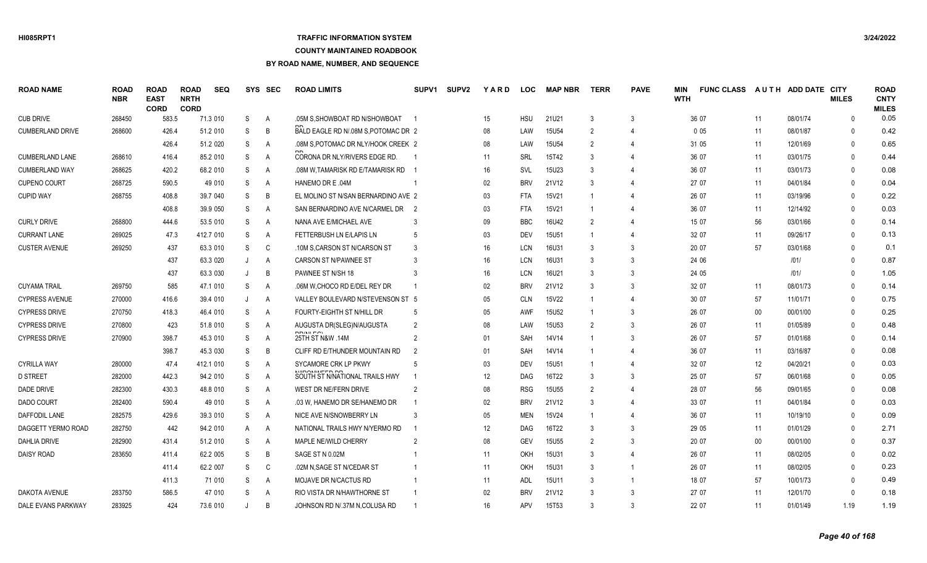# **TRAFFIC INFORMATION SYSTEM**

**COUNTY MAINTAINED ROADBOOK**

| ROAD NAME               | <b>ROAD</b><br><b>NBR</b> | <b>ROAD</b><br><b>EAST</b><br><b>CORD</b> | <b>ROAD</b><br><b>NRTH</b><br><b>CORD</b> | <b>SEQ</b> |   | SYS SEC        | <b>ROAD LIMITS</b>                                                      | SUPV <sub>1</sub> | <b>SUPV2</b> | <b>YARD</b> | LOC        | <b>MAP NBR</b> | <b>TERR</b>    | <b>PAVE</b>    | MIN<br><b>WTH</b> | <b>FUNC CLASS</b> |        | AUTH ADD DATE CITY | <b>MILES</b> | <b>ROAD</b><br><b>CNTY</b><br><b>MILES</b> |
|-------------------------|---------------------------|-------------------------------------------|-------------------------------------------|------------|---|----------------|-------------------------------------------------------------------------|-------------------|--------------|-------------|------------|----------------|----------------|----------------|-------------------|-------------------|--------|--------------------|--------------|--------------------------------------------|
| <b>CUB DRIVE</b>        | 268450                    | 583.5                                     |                                           | 71.3 010   | S | A              | .05M S.SHOWBOAT RD N/SHOWBOAT                                           |                   |              | 15          | <b>HSU</b> | 21U21          | 3              | 3              |                   | 36 07             | 11     | 08/01/74           | $\Omega$     | 0.05                                       |
| <b>CUMBERLAND DRIVE</b> | 268600                    | 426.4                                     |                                           | 51.2 010   | S | B              | BALD EAGLE RD N/.08M S.POTOMAC DR 2                                     |                   |              | 08          | LAW        | <b>15U54</b>   | 2              | 4              |                   | 005               | 11     | 08/01/87           | $\Omega$     | 0.42                                       |
|                         |                           | 426.4                                     |                                           | 51.2 020   | S | $\overline{A}$ | .08M S.POTOMAC DR NLY/HOOK CREEK 2                                      |                   |              | 08          | LAW        | <b>15U54</b>   | $\mathfrak{D}$ | 4              |                   | 31 05             | 11     | 12/01/69           | $\Omega$     | 0.65                                       |
| <b>CUMBERLAND LANE</b>  | 268610                    | 416.4                                     |                                           | 85.2 010   | S | $\mathsf{A}$   | CORONA DR NLY/RIVERS EDGE RD.                                           |                   |              | 11          | SRL        | 15T42          | 3              | 4              |                   | 36 07             | 11     | 03/01/75           | $\Omega$     | 0.44                                       |
| <b>CUMBERLAND WAY</b>   | 268625                    | 420.2                                     |                                           | 68.2 010   | S | A              | .08M W.TAMARISK RD E/TAMARISK RD                                        |                   |              | 16          | <b>SVL</b> | 15U23          | 3              | $\Delta$       |                   | 36 07             | 11     | 03/01/73           | $\Omega$     | 0.08                                       |
| <b>CUPENO COURT</b>     | 268725                    | 590.5                                     |                                           | 49 010     | S | A              | HANEMO DR E .04M                                                        |                   |              | 02          | <b>BRV</b> | 21V12          | 3              | 4              |                   | 27 07             | 11     | 04/01/84           | $\mathbf{0}$ | 0.04                                       |
| <b>CUPID WAY</b>        | 268755                    | 408.8                                     |                                           | 39.7 040   | S | B              | EL MOLINO ST N/SAN BERNARDINO AVE 2                                     |                   |              | 03          | <b>FTA</b> | 15V21          |                |                |                   | 26 07             | 11     | 03/19/96           | $\Omega$     | 0.22                                       |
|                         |                           | 408.8                                     |                                           | 39.9 050   | S | $\overline{A}$ | SAN BERNARDINO AVE N/CARMEL DR 2                                        |                   |              | 03          | <b>FTA</b> | 15V21          | -1             | 4              |                   | 36 07             | 11     | 12/14/92           | $\mathbf{0}$ | 0.03                                       |
| <b>CURLY DRIVE</b>      | 268800                    | 444.6                                     |                                           | 53.5 010   | S | $\overline{A}$ | NANA AVE E/MICHAEL AVE                                                  | 3                 |              | 09          | <b>BBC</b> | 16U42          | $\overline{2}$ | 4              |                   | 15 07             | 56     | 03/01/66           | $\mathbf{0}$ | 0.14                                       |
| <b>CURRANT LANE</b>     | 269025                    | 47.3                                      |                                           | 412.7 010  | S | A              | FETTERBUSH LN E/LAPIS LN                                                | -5                |              | 03          | DEV        | <b>15U51</b>   |                | $\overline{4}$ |                   | 32 07             | 11     | 09/26/17           | $\mathbf{0}$ | 0.13                                       |
| <b>CUSTER AVENUE</b>    | 269250                    | 437                                       |                                           | 63.3 010   | S | C              | .10M S.CARSON ST N/CARSON ST                                            | 3                 |              | 16          | LCN        | 16U31          | 3              | 3              |                   | 20 07             | 57     | 03/01/68           | $\Omega$     | 0.1                                        |
|                         |                           | 437                                       |                                           | 63.3 020   | J | A              | <b>CARSON ST N/PAWNEE ST</b>                                            | 3                 |              | 16          | <b>LCN</b> | 16U31          | 3              | 3              |                   | 24 06             |        | 1011               | $\Omega$     | 0.87                                       |
|                         |                           | 437                                       |                                           | 63.3 030   | J | B              | PAWNEE ST N/SH 18                                                       | 3                 |              | 16          | <b>LCN</b> | 16U21          | 3              | 3              |                   | 24 05             |        | 1011               | $\Omega$     | 1.05                                       |
| <b>CUYAMA TRAIL</b>     | 269750                    | 585                                       |                                           | 47.1 010   | S | $\overline{A}$ | .06M W, CHOCO RD E/DEL REY DR                                           |                   |              | 02          | <b>BRV</b> | 21V12          | 3              | 3              |                   | 32 07             | 11     | 08/01/73           | $\Omega$     | 0.14                                       |
| <b>CYPRESS AVENUE</b>   | 270000                    | 416.6                                     |                                           | 39.4 010   |   | $\overline{A}$ | VALLEY BOULEVARD N/STEVENSON ST 5                                       |                   |              | 05          | <b>CLN</b> | 15V22          | -1             | 4              |                   | 30 07             | 57     | 11/01/71           | $\Omega$     | 0.75                                       |
| <b>CYPRESS DRIVE</b>    | 270750                    | 418.3                                     |                                           | 46.4 010   | S | $\overline{A}$ | FOURTY-EIGHTH ST N/HILL DR                                              | 5                 |              | 05          | <b>AWF</b> | 15U52          |                | 3              |                   | 26 07             | $00\,$ | 00/01/00           | $\Omega$     | 0.25                                       |
| <b>CYPRESS DRIVE</b>    | 270800                    | 423                                       |                                           | 51.8 010   | S | A              | AUGUSTA DR(SLEG)N/AUGUSTA                                               | $\overline{2}$    |              | 08          | LAW        | 15U53          | 2              | 3              |                   | 26 07             | 11     | 01/05/89           | $\Omega$     | 0.48                                       |
| <b>CYPRESS DRIVE</b>    | 270900                    | 398.7                                     |                                           | 45.3 010   | S | $\overline{A}$ | DOAL FO<br>25TH ST N&W .14M                                             | 2                 |              | 01          | SAH        | 14V14          |                | 3              |                   | 26 07             | 57     | 01/01/68           | $\Omega$     | 0.14                                       |
|                         |                           | 398.7                                     |                                           | 45.3 030   | S | B              | CLIFF RD E/THUNDER MOUNTAIN RD                                          | 2                 |              | 01          | SAH        | 14V14          | -1             | $\overline{4}$ |                   | 36 07             | 11     | 03/16/87           | $\Omega$     | 0.08                                       |
| <b>CYRILLA WAY</b>      | 280000                    | 47.4                                      |                                           | 412.1 010  | S | A              | SYCAMORE CRK LP PKWY                                                    | .5                |              | 03          | DEV        | <b>15U51</b>   | -1             | 4              |                   | 32 07             | 12     | 04/20/21           | $\Omega$     | 0.03                                       |
| <b>D STREET</b>         | 282000                    | 442.3                                     |                                           | 94.2 010   | S | $\overline{A}$ | $\left(1000, 0000, 0000, 0000\right)$<br>SOUTH ST N/NATIONAL TRAILS HWY |                   |              | 12          | DAG        | 16T22          | 3              | 3              |                   | 25 07             | 57     | 06/01/68           | $\Omega$     | 0.05                                       |
| <b>DADE DRIVE</b>       | 282300                    | 430.3                                     |                                           | 48.8 010   | S | A              | WEST DR NE/FERN DRIVE                                                   | $\overline{2}$    |              | 08          | <b>RSG</b> | <b>15U55</b>   | 2              | 4              |                   | 28 07             | 56     | 09/01/65           | $\Omega$     | 0.08                                       |
| DADO COURT              | 282400                    | 590.4                                     |                                           | 49 010     | S | $\overline{A}$ | .03 W, HANEMO DR SE/HANEMO DR                                           |                   |              | 02          | <b>BRV</b> | 21V12          | 3              | 4              |                   | 33 07             | 11     | 04/01/84           | $\Omega$     | 0.03                                       |
| DAFFODIL LANE           | 282575                    | 429.6                                     |                                           | 39.3 010   | S | A              | NICE AVE N/SNOWBERRY LN                                                 | -3                |              | 05          | <b>MEN</b> | 15V24          | -1             | $\overline{4}$ |                   | 36 07             | 11     | 10/19/10           | $\Omega$     | 0.09                                       |
| DAGGETT YERMO ROAD      | 282750                    | 442                                       |                                           | 94.2 010   | A | A              | NATIONAL TRAILS HWY N/YERMO RD                                          |                   |              | 12          | DAG        | 16T22          | 3              | 3              |                   | 29 05             | 11     | 01/01/29           | $\Omega$     | 2.71                                       |
| DAHLIA DRIVE            | 282900                    | 431.4                                     |                                           | 51.2 010   | S | A              | <b>MAPLE NE/WILD CHERRY</b>                                             | 2                 |              | 08          | <b>GEV</b> | <b>15U55</b>   | $\mathfrak{D}$ | 3              |                   | 20 07             | $00\,$ | 00/01/00           | $\Omega$     | 0.37                                       |
| <b>DAISY ROAD</b>       | 283650                    | 411.4                                     |                                           | 62.2 005   | S | B              | SAGE ST N 0.02M                                                         |                   |              | 11          | <b>OKH</b> | <b>15U31</b>   | 3              | 4              |                   | 26 07             | 11     | 08/02/05           | $\Omega$     | 0.02                                       |
|                         |                           | 411.4                                     |                                           | 62.2 007   | S | C              | .02M N.SAGE ST N/CEDAR ST                                               |                   |              | 11          | OKH        | 15U31          | 3              | $\mathbf{1}$   |                   | 26 07             | 11     | 08/02/05           | $\Omega$     | 0.23                                       |
|                         |                           | 411.3                                     |                                           | 71 010     | S | A              | <b>MOJAVE DR N/CACTUS RD</b>                                            |                   |              | 11          | <b>ADL</b> | 15U11          | 3              | -1             |                   | 18 07             | 57     | 10/01/73           | $\Omega$     | 0.49                                       |
| <b>DAKOTA AVENUE</b>    | 283750                    | 586.5                                     |                                           | 47 010     | S | $\overline{A}$ | RIO VISTA DR N/HAWTHORNE ST                                             |                   |              | 02          | <b>BRV</b> | 21V12          |                | 3              |                   | 27 07             | 11     | 12/01/70           | $\Omega$     | 0.18                                       |
| DALE EVANS PARKWAY      | 283925                    | 424                                       |                                           | 73.6 010   |   | B              | JOHNSON RD N/.37M N.COLUSA RD                                           |                   |              | 16          | <b>APV</b> | 15T53          | $\mathcal{R}$  | 3              |                   | 22 07             | 11     | 01/01/49           | 1.19         | 1.19                                       |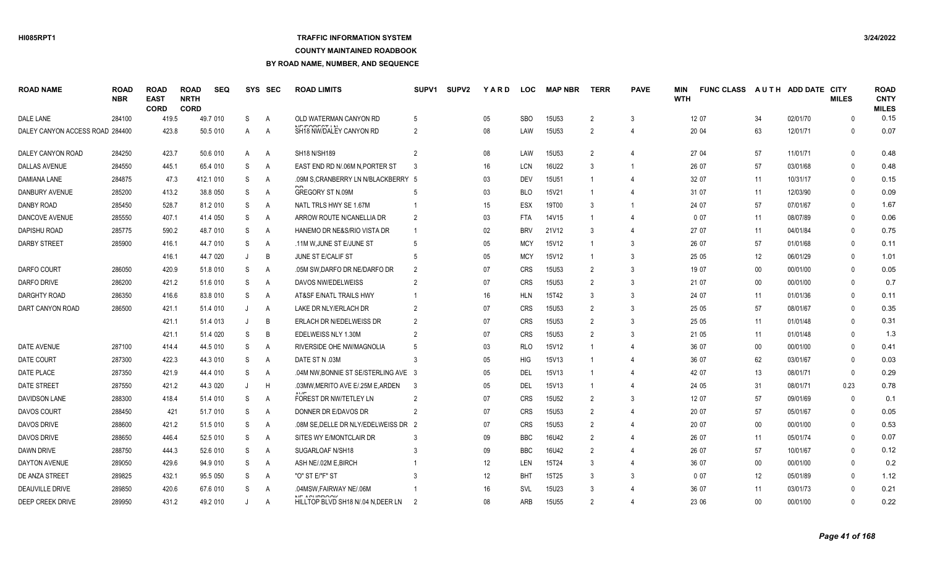# **TRAFFIC INFORMATION SYSTEM**

#### **COUNTY MAINTAINED ROADBOOK**

| <b>ROAD NAME</b>                | <b>ROAD</b><br><b>NBR</b> | <b>ROAD</b><br><b>EAST</b><br><b>CORD</b> | <b>ROAD</b><br><b>NRTH</b><br><b>CORD</b> | <b>SEQ</b> |   | SYS SEC        | <b>ROAD LIMITS</b>                                      | SUPV <sub>1</sub> | <b>SUPV2</b> | <b>YARD</b> | <b>LOC</b> | <b>MAP NBR</b>    | <b>TERR</b>    | <b>PAVE</b>    | <b>MIN</b><br><b>WTH</b> | <b>FUNC CLASS</b> |        | AUTH ADD DATE CITY | <b>MILES</b> | <b>ROAD</b><br><b>CNTY</b><br><b>MILES</b> |
|---------------------------------|---------------------------|-------------------------------------------|-------------------------------------------|------------|---|----------------|---------------------------------------------------------|-------------------|--------------|-------------|------------|-------------------|----------------|----------------|--------------------------|-------------------|--------|--------------------|--------------|--------------------------------------------|
| DALE LANE                       | 284100                    | 419.5                                     |                                           | 49.7 010   | S | A              | OLD WATERMAN CANYON RD                                  | .5                |              | 05          | <b>SBO</b> | <b>15U53</b>      | 2              | 3              |                          | 12 07             | 34     | 02/01/70           | $\Omega$     | 0.15                                       |
| DALEY CANYON ACCESS ROAD 284400 |                           | 423.8                                     |                                           | 50.5 010   | A | A              | <b>NITIFORFOTIAL</b><br>SH18 NW/DALEY CANYON RD         | $\overline{2}$    |              | 08          | LAW        | 15U <sub>53</sub> | $\overline{2}$ | $\overline{4}$ |                          | 20 04             | 63     | 12/01/71           | $\Omega$     | 0.07                                       |
| DALEY CANYON ROAD               | 284250                    | 423.7                                     |                                           | 50.6 010   | A | A              | <b>SH18 N/SH189</b>                                     | $\mathfrak{p}$    |              | 08          | LAW        | 15U <sub>53</sub> | $\overline{2}$ | $\overline{4}$ |                          | 27 04             | 57     | 11/01/71           | $\Omega$     | 0.48                                       |
| <b>DALLAS AVENUE</b>            | 284550                    | 445.1                                     |                                           | 65.4 010   | S | A              | EAST END RD N/.06M N, PORTER ST                         | 3                 |              | 16          | LCN        | 16U22             | 3              | $\overline{1}$ |                          | 26 07             | 57     | 03/01/68           | $\mathbf{0}$ | 0.48                                       |
| <b>DAMIANA LANE</b>             | 284875                    | 47.3                                      |                                           | 412.1 010  | S | A              | .09M S.CRANBERRY LN N/BLACKBERRY 5                      |                   |              | 03          | <b>DEV</b> | <b>15U51</b>      |                | $\overline{4}$ |                          | 32 07             | 11     | 10/31/17           | $\Omega$     | 0.15                                       |
| DANBURY AVENUE                  | 285200                    | 413.2                                     |                                           | 38.8 050   | S | A              | GREGORY ST N.09M                                        |                   |              | 03          | <b>BLO</b> | 15V21             |                | $\Delta$       |                          | 31 07             | 11     | 12/03/90           | $\Omega$     | 0.09                                       |
| <b>DANBY ROAD</b>               | 285450                    | 528.7                                     |                                           | 81.2 010   | S | $\overline{A}$ | NATL TRLS HWY SE 1.67M                                  |                   |              | 15          | <b>ESX</b> | 19T00             | 3              |                |                          | 24 07             | 57     | 07/01/67           | $\mathbf{0}$ | 1.67                                       |
| DANCOVE AVENUE                  | 285550                    | 407.1                                     |                                           | 41.4 050   | S | A              | ARROW ROUTE N/CANELLIA DR                               | $\overline{2}$    |              | 03          | <b>FTA</b> | 14V15             |                |                |                          | 0 0 7             | 11     | 08/07/89           | $\Omega$     | 0.06                                       |
| <b>DAPISHU ROAD</b>             | 285775                    | 590.2                                     |                                           | 48.7 010   | S | A              | HANEMO DR NE&S/RIO VISTA DR                             |                   |              | 02          | <b>BRV</b> | 21V12             | 3              | 4              |                          | 27 07             | 11     | 04/01/84           | $\Omega$     | 0.75                                       |
| <b>DARBY STREET</b>             | 285900                    | 416.1                                     |                                           | 44.7 010   | S | $\overline{A}$ | .11M W, JUNE ST E/JUNE ST                               |                   |              | 05          | <b>MCY</b> | 15V12             |                | 3              |                          | 26 07             | 57     | 01/01/68           | $\Omega$     | 0.11                                       |
|                                 |                           | 416.1                                     |                                           | 44.7 020   |   | B              | JUNE ST E/CALIF ST                                      | -5                |              | 05          | <b>MCY</b> | 15V12             |                | 3              |                          | 25 05             | 12     | 06/01/29           | $\Omega$     | 1.01                                       |
| <b>DARFO COURT</b>              | 286050                    | 420.9                                     |                                           | 51.8 010   | S | A              | .05M SW, DARFO DR NE/DARFO DR                           |                   |              | 07          | <b>CRS</b> | 15U53             | $\mathcal{P}$  | 3              |                          | 19 07             | $00\,$ | 00/01/00           | $\Omega$     | 0.05                                       |
| DARFO DRIVE                     | 286200                    | 421.2                                     |                                           | 51.6 010   | S | A              | <b>DAVOS NW/EDELWEISS</b>                               | $\mathcal{P}$     |              | 07          | <b>CRS</b> | <b>15U53</b>      | $\mathcal{P}$  | $\mathbf{3}$   |                          | 21 07             | $00\,$ | 00/01/00           | $\Omega$     | 0.7                                        |
| DARGHTY ROAD                    | 286350                    | 416.6                                     |                                           | 83.8 010   | S | A              | AT&SF E/NATL TRAILS HWY                                 |                   |              | 16          | <b>HLN</b> | 15T42             | $\mathcal{R}$  | 3              |                          | 24 07             | 11     | 01/01/36           | $\Omega$     | 0.11                                       |
| DART CANYON ROAD                | 286500                    | 421.1                                     |                                           | 51.4 010   |   | $\overline{A}$ | LAKE DR NLY/ERLACH DR                                   |                   |              | 07          | <b>CRS</b> | 15U53             | $\mathcal{P}$  | 3              |                          | 25 05             | 57     | 08/01/67           | $\Omega$     | 0.35                                       |
|                                 |                           | 421.1                                     |                                           | 51.4 013   |   | B              | <b>ERLACH DR N/EDELWEISS DR</b>                         | $\mathcal{P}$     |              | 07          | <b>CRS</b> | <b>15U53</b>      | $\mathcal{P}$  | 3              |                          | 25 05             | 11     | 01/01/48           | $\Omega$     | 0.31                                       |
|                                 |                           | 421.1                                     |                                           | 51.4 020   | S | B              | EDELWEISS NLY 1.30M                                     |                   |              | 07          | <b>CRS</b> | 15U53             | $\mathcal{P}$  | 3              |                          | 21 05             | 11     | 01/01/48           | $\Omega$     | 1.3                                        |
| DATE AVENUE                     | 287100                    | 414.4                                     |                                           | 44.5 010   | S | $\overline{A}$ | RIVERSIDE OHE NW/MAGNOLIA                               |                   |              | 03          | <b>RLO</b> | 15V12             |                | $\overline{4}$ |                          | 36 07             | $00\,$ | 00/01/00           | $\Omega$     | 0.41                                       |
| <b>DATE COURT</b>               | 287300                    | 422.3                                     |                                           | 44.3 010   | S | A              | DATE ST N .03M                                          |                   |              | 05          | <b>HIG</b> | 15V13             |                | 4              |                          | 36 07             | 62     | 03/01/67           | $\Omega$     | 0.03                                       |
| DATE PLACE                      | 287350                    | 421.9                                     |                                           | 44.4 010   | S | A              | .04M NW, BONNIE ST SE/STERLING AVE 3                    |                   |              | 05          | DEL        | 15V13             |                | 4              |                          | 42 07             | 13     | 08/01/71           | $\mathbf{0}$ | 0.29                                       |
| <b>DATE STREET</b>              | 287550                    | 421.2                                     |                                           | 44.3 020   |   | H              | .03MW, MERITO AVE E/.25M E, ARDEN                       | -3                |              | 05          | DEL        | 15V13             |                | 4              |                          | 24 05             | 31     | 08/01/71           | 0.23         | 0.78                                       |
| <b>DAVIDSON LANE</b>            | 288300                    | 418.4                                     |                                           | 51.4 010   | S | A              | FOREST DR NW/TETLEY LN                                  | 2                 |              | 07          | <b>CRS</b> | 15U <sub>52</sub> | $\mathcal{P}$  | 3              |                          | 12 07             | 57     | 09/01/69           | $\Omega$     | 0.1                                        |
| <b>DAVOS COURT</b>              | 288450                    | 421                                       |                                           | 51.7 010   | S | A              | DONNER DR E/DAVOS DR                                    | 2                 |              | 07          | <b>CRS</b> | 15U <sub>53</sub> | $\overline{2}$ | $\overline{4}$ |                          | 20 07             | 57     | 05/01/67           | $\Omega$     | 0.05                                       |
| DAVOS DRIVE                     | 288600                    | 421.2                                     |                                           | 51.5 010   | S | $\overline{A}$ | .08M SE, DELLE DR NLY/EDELWEISS DR 2                    |                   |              | 07          | <b>CRS</b> | 15U53             | $\overline{2}$ | $\overline{4}$ |                          | 20 07             | $00\,$ | 00/01/00           | $\mathbf{0}$ | 0.53                                       |
| DAVOS DRIVE                     | 288650                    | 446.4                                     |                                           | 52.5 010   | S | A              | SITES WY E/MONTCLAIR DR                                 |                   |              | 09          | <b>BBC</b> | 16U42             | $\mathcal{P}$  | 4              |                          | 26 07             | 11     | 05/01/74           | $\Omega$     | 0.07                                       |
| DAWN DRIVE                      | 288750                    | 444.3                                     |                                           | 52.6 010   | S | A              | SUGARLOAF N/SH18                                        |                   |              | 09          | <b>BBC</b> | 16U42             | $\mathcal{P}$  | 4              |                          | 26 07             | 57     | 10/01/67           | $\Omega$     | 0.12                                       |
| DAYTON AVENUE                   | 289050                    | 429.6                                     |                                           | 94.9 010   | S | $\overline{A}$ | ASH NE/.02M E, BIRCH                                    |                   |              | 12          | LEN        | 15T24             | $\mathcal{R}$  | $\Delta$       |                          | 36 07             | $00\,$ | 00/01/00           | $\Omega$     | 0.2                                        |
| DE ANZA STREET                  | 289825                    | 432.1                                     |                                           | 95.5 050   | S | A              | "O" ST E/"F" ST                                         |                   |              | 12          | <b>BHT</b> | 15T25             | 3              | 3              |                          | 007               | 12     | 05/01/89           | $\Omega$     | 1.12                                       |
| DEAUVILLE DRIVE                 | 289850                    | 420.6                                     |                                           | 67.6 010   | S | A              | .04MSW, FAIRWAY NE/.06M                                 |                   |              | 16          | SVL        | 15U23             |                |                |                          | 36 07             | 11     | 03/01/73           | $\Omega$     | 0.21                                       |
| <b>DEEP CREEK DRIVE</b>         | 289950                    | 431.2                                     |                                           | 49.2 010   |   | A              | <b>NE AOURDOOK</b><br>HILLTOP BLVD SH18 N/.04 N.DEER LN |                   |              | 08          | ARB        | <b>15U55</b>      | 2              | $\overline{4}$ |                          | 23 06             | $00\,$ | 00/01/00           | $\Omega$     | 0.22                                       |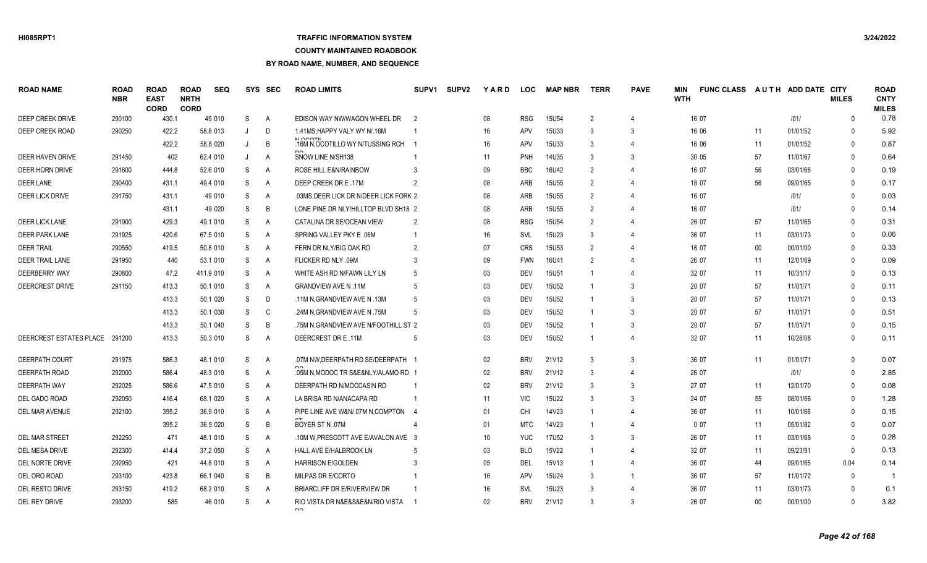## **TRAFFIC INFORMATION SYSTEM**

#### **COUNTY MAINTAINED ROADBOOK**

| <b>ROAD NAME</b>        | <b>ROAD</b><br><b>NBR</b> | <b>ROAD</b><br><b>EAST</b><br><b>CORD</b> | <b>ROAD</b><br><b>NRTH</b><br><b>CORD</b> | <b>SEQ</b> |   | SYS SEC        | <b>ROAD LIMITS</b>                                  | SUPV <sub>1</sub> | <b>SUPV2</b> | <b>YARD</b> | <b>LOC</b> | <b>MAP NBR</b>    | <b>TERR</b>    | <b>PAVE</b>    | <b>MIN</b><br><b>WTH</b> | <b>FUNC CLASS</b> |        | AUTH ADD DATE CITY | <b>MILES</b> | <b>ROAD</b><br><b>CNTY</b><br><b>MILES</b> |
|-------------------------|---------------------------|-------------------------------------------|-------------------------------------------|------------|---|----------------|-----------------------------------------------------|-------------------|--------------|-------------|------------|-------------------|----------------|----------------|--------------------------|-------------------|--------|--------------------|--------------|--------------------------------------------|
| DEEP CREEK DRIVE        | 290100                    | 430.1                                     |                                           | 49 010     | S | $\mathsf{A}$   | EDISON WAY NW/WAGON WHEEL DR                        | $\overline{2}$    |              | 08          | <b>RSG</b> | <b>15U54</b>      | $\overline{2}$ | $\overline{4}$ |                          | 16 07             |        | 1011               | $\Omega$     | 0.78                                       |
| <b>DEEP CREEK ROAD</b>  | 290250                    | 422.2                                     |                                           | 58.8 013   |   | D              | 1.41MS.HAPPY VALY WY N/.16M                         |                   |              | 16          | APV        | <b>15U33</b>      | 3              | $\mathbf{3}$   |                          | 16 06             | 11     | 01/01/52           | $\Omega$     | 5.92                                       |
|                         |                           | 422.2                                     |                                           | 58.8 020   |   | B              | .16M N.OCOTILLO WY N/TUSSING RCH                    |                   |              | 16          | <b>APV</b> | 15U33             | 3              | $\overline{4}$ |                          | 16 06             | 11     | 01/01/52           | $\Omega$     | 0.87                                       |
| DEER HAVEN DRIVE        | 291450                    | 402                                       |                                           | 62.4 010   | J | A              | SNOW LINE N/SH138                                   |                   |              | 11          | <b>PNH</b> | 14U35             |                | 3              |                          | 30 05             | 57     | 11/01/67           | $\mathbf{0}$ | 0.64                                       |
| DEER HORN DRIVE         | 291600                    | 444.8                                     |                                           | 52.6 010   | S | A              | ROSE HILL E&N/RAINBOW                               |                   |              | 09          | <b>BBC</b> | 16U42             | $\mathcal{P}$  | $\overline{4}$ |                          | 16 07             | 56     | 03/01/66           | $\mathbf{0}$ | 0.19                                       |
| <b>DEER LANE</b>        | 290400                    | 431.1                                     |                                           | 49.4 010   | S | A              | DEEP CREEK DR E .17M                                |                   |              | 08          | ARB        | <b>15U55</b>      | $\mathcal{P}$  | $\overline{4}$ |                          | 18 07             | 56     | 09/01/65           | $\Omega$     | 0.17                                       |
| <b>DEER LICK DRIVE</b>  | 291750                    | 431.1                                     |                                           | 49 010     | S | $\overline{A}$ | .03MS, DEER LICK DR N/DEER LICK FORK 2              |                   |              | 08          | ARB        | 15U55             | $\mathcal{P}$  |                |                          | 16 07             |        | 1011               | $\Omega$     | 0.03                                       |
|                         |                           | 431.1                                     |                                           | 49 020     | S | B              | LONE PINE DR NLY/HILLTOP BLVD SH18 2                |                   |              | 08          | ARB        | <b>15U55</b>      | $\mathcal{P}$  |                |                          | 16 07             |        | 1011               | $\Omega$     | 0.14                                       |
| <b>DEER LICK LANE</b>   | 291900                    | 429.3                                     |                                           | 49.1 010   | S | $\overline{A}$ | CATALINA DR SE/OCEAN VIEW                           | $\overline{2}$    |              | 08          | <b>RSG</b> | 15U54             | $\overline{2}$ |                |                          | 26 07             | 57     | 11/01/65           | $\Omega$     | 0.31                                       |
| <b>DEER PARK LANE</b>   | 291925                    | 420.6                                     |                                           | 67.5 010   | S | A              | SPRING VALLEY PKY E .06M                            | -1                |              | 16          | SVL        | 15U23             | 3              | 4              |                          | 36 07             | 11     | 03/01/73           | $\Omega$     | 0.06                                       |
| <b>DEER TRAIL</b>       | 290550                    | 419.5                                     |                                           | 50.8 010   | S | A              | FERN DR NLY/BIG OAK RD                              | $\overline{2}$    |              | 07          | <b>CRS</b> | 15U <sub>53</sub> | $\mathcal{P}$  | 4              |                          | 16 07             | $00\,$ | 00/01/00           | $\Omega$     | 0.33                                       |
| <b>DEER TRAIL LANE</b>  | 291950                    | 440                                       |                                           | 53.1 010   | S | A              | FLICKER RD NLY .09M                                 |                   |              | 09          | <b>FWN</b> | 16U41             | $\mathcal{P}$  | 4              |                          | 26 07             | 11     | 12/01/69           | $\Omega$     | 0.09                                       |
| DEERBERRY WAY           | 290800                    | 47.2                                      |                                           | 411.9 010  | S | A              | WHITE ASH RD N/FAWN LILY LN                         | -5                |              | 03          | <b>DEV</b> | <b>15U51</b>      |                | $\overline{4}$ |                          | 32 07             | 11     | 10/31/17           | $\Omega$     | 0.13                                       |
| DEERCREST DRIVE         | 291150                    | 413.3                                     |                                           | 50.1 010   | S | A              | <b>GRANDVIEW AVE N.11M</b>                          |                   |              | 03          | <b>DEV</b> | <b>15U52</b>      |                | 3              |                          | 20 07             | 57     | 11/01/71           | $\Omega$     | 0.11                                       |
|                         |                           | 413.3                                     |                                           | 50.1 020   | S | D              | .13M N.GRANDVIEW AVE N.13M                          |                   |              | 03          | <b>DEV</b> | <b>15U52</b>      |                | 3              |                          | 20 07             | 57     | 11/01/71           | $\Omega$     | 0.13                                       |
|                         |                           | 413.3                                     |                                           | 50.1 030   | S | C              | .24M N.GRANDVIEW AVE N.75M                          |                   |              | 03          | <b>DEV</b> | <b>15U52</b>      |                | 3              |                          | 20 07             | 57     | 11/01/71           | $\Omega$     | 0.51                                       |
|                         |                           | 413.3                                     |                                           | 50.1 040   | S | B              | .75M N.GRANDVIEW AVE N/FOOTHILL ST 2                |                   |              | 03          | <b>DEV</b> | <b>15U52</b>      |                | 3              |                          | 20 07             | 57     | 11/01/71           | $\Omega$     | 0.15                                       |
| DEERCREST ESTATES PLACE | 291200                    | 413.3                                     |                                           | 50.3 010   | S | $\overline{A}$ | DEERCREST DR E .11M                                 |                   |              | 03          | <b>DEV</b> | 15U52             |                | $\overline{4}$ |                          | 32 07             | 11     | 10/28/08           | $\Omega$     | 0.11                                       |
| <b>DEERPATH COURT</b>   | 291975                    | 586.3                                     |                                           | 48.1 010   | S | $\overline{A}$ | .07M NW, DEERPATH RD SE/DEERPATH 1                  |                   |              | 02          | <b>BRV</b> | 21V12             | 3              | 3              |                          | 36 07             | 11     | 01/01/71           | $\Omega$     | 0.07                                       |
| <b>DEERPATH ROAD</b>    | 292000                    | 586.4                                     |                                           | 48.3 010   | S | A              | .05M N.MODOC TR S&E&NLY/ALAMO RD 1                  |                   |              | 02          | <b>BRV</b> | 21V12             |                | $\overline{4}$ |                          | 26 07             |        | 1011               | $\Omega$     | 2.85                                       |
| <b>DEERPATH WAY</b>     | 292025                    | 586.6                                     |                                           | 47.5 010   | S | A              | DEERPATH RD N/MOCCASIN RD                           |                   |              | $02\,$      | <b>BRV</b> | 21V12             | 3              | 3              |                          | 27 07             | 11     | 12/01/70           | $\Omega$     | 0.08                                       |
| DEL GADO ROAD           | 292050                    | 416.4                                     |                                           | 68.1 020   | S | A              | LA BRISA RD N/ANACAPA RD                            |                   |              | 11          | <b>VIC</b> | 15U22             | $\mathcal{R}$  | 3              |                          | 24 07             | 55     | 08/01/66           | $\Omega$     | 1.28                                       |
| DEL MAR AVENUE          | 292100                    | 395.2                                     |                                           | 36.9 010   | S | A              | PIPE LINE AVE W&N/.07M N, COMPTON 4                 |                   |              | 01          | <b>CHI</b> | 14V23             |                | $\overline{4}$ |                          | 36 07             | 11     | 10/01/66           | $\Omega$     | 0.15                                       |
|                         |                           | 395.2                                     |                                           | 36.9 020   | S | B              | BOYER ST N .07M                                     |                   |              | 01          | <b>MTC</b> | 14V23             |                |                |                          | 007               | 11     | 05/01/82           | $\Omega$     | 0.07                                       |
| <b>DEL MAR STREET</b>   | 292250                    | 471                                       |                                           | 48.1 010   | S | $\overline{A}$ | 10M W, PRESCOTT AVE E/AVALON AVE 3                  |                   |              | 10          | <b>YUC</b> | <b>17U52</b>      | 3              | 3              |                          | 26 07             | 11     | 03/01/68           | $\mathbf{0}$ | 0.28                                       |
| DEL MESA DRIVE          | 292300                    | 414.4                                     |                                           | 37.2 050   | S | $\overline{A}$ | HALL AVE E/HALBROOK LN                              |                   |              | 03          | <b>BLO</b> | 15V22             |                | $\overline{4}$ |                          | 32 07             | 11     | 09/23/91           | $\mathbf{0}$ | 0.13                                       |
| DEL NORTE DRIVE         | 292950                    | 421                                       |                                           | 44.8 010   | S | $\overline{A}$ | <b>HARRISON E/GOLDEN</b>                            |                   |              | 05          | DEL        | 15V13             |                | $\overline{4}$ |                          | 36 07             | 44     | 09/01/65           | 0.04         | 0.14                                       |
| DEL ORO ROAD            | 293100                    | 423.8                                     |                                           | 66.1 040   | S | B              | MILPAS DR E/CORTO                                   |                   |              | 16          | APV        | 15U24             | 3              | $\overline{1}$ |                          | 36 07             | 57     | 11/01/72           | $\mathbf{0}$ | $\overline{1}$                             |
| DEL RESTO DRIVE         | 293150                    | 419.2                                     |                                           | 68.2 010   | S | A              | <b>BRIARCLIFF DR E/RIVERVIEW DR</b>                 |                   |              | 16          | SVL        | 15U23             | 3              | $\overline{4}$ |                          | 36 07             | 11     | 03/01/73           | $\Omega$     | 0.1                                        |
| DEL REY DRIVE           | 293200                    | 585                                       |                                           | 46 010     | S | A              | RIO VISTA DR N&E&S&E&N/RIO VISTA 1<br><sub>DD</sub> |                   |              | 02          | <b>BRV</b> | 21V12             | 3              | 3              |                          | 26 07             | $00\,$ | 00/01/00           | $\Omega$     | 3.82                                       |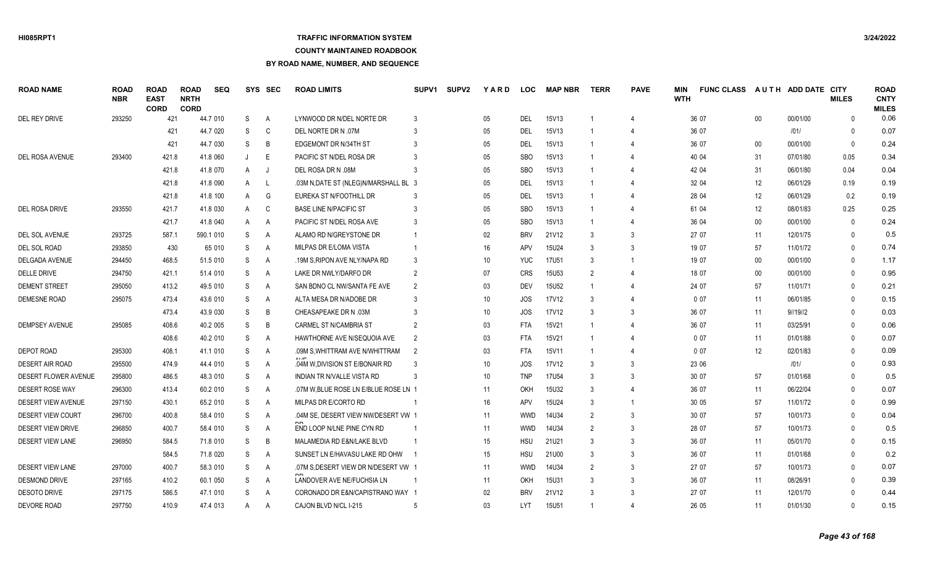## **TRAFFIC INFORMATION SYSTEM**

#### **COUNTY MAINTAINED ROADBOOK**

| <b>ROAD NAME</b>         | <b>ROAD</b><br><b>NBR</b> | <b>ROAD</b><br><b>EAST</b><br><b>CORD</b> | <b>ROAD</b><br><b>NRTH</b><br><b>CORD</b> | <b>SEQ</b> |   | SYS SEC | <b>ROAD LIMITS</b>                    | SUPV <sub>1</sub> | <b>SUPV2</b> | YARD            | <b>LOC</b> | <b>MAP NBR</b> | <b>TERR</b>   | <b>PAVE</b>    | MIN<br><b>WTH</b> | <b>FUNC CLASS</b> |                   | AUTH ADD DATE CITY | <b>MILES</b> | <b>ROAD</b><br><b>CNTY</b><br><b>MILES</b> |
|--------------------------|---------------------------|-------------------------------------------|-------------------------------------------|------------|---|---------|---------------------------------------|-------------------|--------------|-----------------|------------|----------------|---------------|----------------|-------------------|-------------------|-------------------|--------------------|--------------|--------------------------------------------|
| DEL REY DRIVE            | 293250                    | 421                                       |                                           | 44.7 010   | S | Α       | LYNWOOD DR N/DEL NORTE DR             |                   |              | $05\,$          | <b>DEL</b> | 15V13          |               | $\overline{4}$ |                   | 36 07             | $00\,$            | 00/01/00           | $\Omega$     | 0.06                                       |
|                          |                           | 421                                       |                                           | 44.7 020   | S | C       | DEL NORTE DR N .07M                   |                   |              | 05              | <b>DEL</b> | 15V13          |               | 4              |                   | 36 07             |                   | 1011               | $\Omega$     | 0.07                                       |
|                          |                           | 421                                       |                                           | 44.7 030   | S | B       | EDGEMONT DR N/34TH ST                 |                   |              | 05              | DEL        | 15V13          |               | $\overline{4}$ |                   | 36 07             | 00                | 00/01/00           | $\mathbf{0}$ | 0.24                                       |
| <b>DEL ROSA AVENUE</b>   | 293400                    | 421.8                                     |                                           | 41.8 060   | J | E       | PACIFIC ST N/DEL ROSA DR              |                   |              | 05              | <b>SBO</b> | 15V13          |               | 4              |                   | 40 04             | 31                | 07/01/80           | 0.05         | 0.34                                       |
|                          |                           | 421.8                                     |                                           | 41.8 070   | A | J       | DEL ROSA DR N .08M                    |                   |              | $05\,$          | <b>SBO</b> | 15V13          |               | 4              |                   | 42 04             | 31                | 06/01/80           | 0.04         | 0.04                                       |
|                          |                           | 421.8                                     |                                           | 41.8 090   | A | L.      | .03M N, DATE ST (NLEG)N/MARSHALL BL 3 |                   |              | 05              | <b>DEL</b> | 15V13          |               |                |                   | 32 04             | $12 \overline{ }$ | 06/01/29           | 0.19         | 0.19                                       |
|                          |                           | 421.8                                     |                                           | 41.8 100   | A | G       | EUREKA ST N/FOOTHILL DR               |                   |              | 05              | <b>DEL</b> | 15V13          |               |                |                   | 28 04             | 12                | 06/01/29           | 0.2          | 0.19                                       |
| DEL ROSA DRIVE           | 293550                    | 421.7                                     |                                           | 41.8 030   | A | C       | <b>BASE LINE N/PACIFIC ST</b>         |                   |              | 05              | <b>SBO</b> | 15V13          |               |                |                   | 61 04             | 12                | 08/01/83           | 0.25         | 0.25                                       |
|                          |                           | 421.7                                     |                                           | 41.8 040   | A | A       | PACIFIC ST N/DEL ROSA AVE             |                   |              | 05              | <b>SBO</b> | 15V13          |               |                |                   | 36 04             | 00                | 00/01/00           | $\mathbf{0}$ | 0.24                                       |
| DEL SOL AVENUE           | 293725                    | 587.1                                     |                                           | 590.1 010  | S | Α       | ALAMO RD N/GREYSTONE DR               |                   |              | 02 <sub>2</sub> | <b>BRV</b> | 21V12          | 3             | 3              |                   | 27 07             | 11                | 12/01/75           | $\mathbf{0}$ | 0.5                                        |
| DEL SOL ROAD             | 293850                    | 430                                       |                                           | 65 010     | S | Α       | MILPAS DR E/LOMA VISTA                |                   |              | 16              | APV        | 15U24          |               | 3              |                   | 19 07             | 57                | 11/01/72           | $\Omega$     | 0.74                                       |
| DELGADA AVENUE           | 294450                    | 468.5                                     |                                           | 51.5 010   | S | Α       | .19M S, RIPON AVE NLY/NAPA RD         |                   |              | 10              | <b>YUC</b> | 17U51          | 3             | $\overline{1}$ |                   | 19 07             | $00\,$            | 00/01/00           | $\mathbf{0}$ | 1.17                                       |
| <b>DELLE DRIVE</b>       | 294750                    | 421.1                                     |                                           | 51.4 010   | S | Α       | LAKE DR NWLY/DARFO DR                 |                   |              | 07              | <b>CRS</b> | 15U53          |               |                |                   | 18 07             | $00\,$            | 00/01/00           | $\Omega$     | 0.95                                       |
| <b>DEMENT STREET</b>     | 295050                    | 413.2                                     |                                           | 49.5 010   | S | A       | SAN BDNO CL NW/SANTA FE AVE           | 2                 |              | 03              | <b>DEV</b> | 15U52          |               |                |                   | 24 07             | 57                | 11/01/71           | $\Omega$     | 0.21                                       |
| <b>DEMESNE ROAD</b>      | 295075                    | 473.4                                     |                                           | 43.6 010   | S | Α       | ALTA MESA DR N/ADOBE DR               |                   |              | 10              | <b>JOS</b> | <b>17V12</b>   |               |                |                   | 007               | 11                | 06/01/85           | $\Omega$     | 0.15                                       |
|                          |                           | 473.4                                     |                                           | 43.9 030   | S | B       | CHEASAPEAKE DR N .03M                 |                   |              | 10              | <b>JOS</b> | <b>17V12</b>   | 3             | 3              |                   | 36 07             | 11                | 9/19/2             | $\Omega$     | 0.03                                       |
| <b>DEMPSEY AVENUE</b>    | 295085                    | 408.6                                     |                                           | 40.2 005   | S | B       | CARMEL ST N/CAMBRIA ST                | $\overline{2}$    |              | 03              | <b>FTA</b> | 15V21          |               | $\overline{4}$ |                   | 36 07             | 11                | 03/25/91           | $\mathbf{0}$ | 0.06                                       |
|                          |                           | 408.6                                     |                                           | 40.2 010   | S | A       | HAWTHORNE AVE N/SEQUOIA AVE           | $\overline{2}$    |              | 03              | <b>FTA</b> | 15V21          |               | $\overline{4}$ |                   | 007               | 11                | 01/01/88           | $\Omega$     | 0.07                                       |
| <b>DEPOT ROAD</b>        | 295300                    | 408.1                                     |                                           | 41.1 010   | S | Α       | .09M S, WHITTRAM AVE N/WHITTRAM       | $\overline{2}$    |              | 03              | <b>FTA</b> | 15V11          |               | 4              |                   | 007               | 12                | 02/01/83           | $\mathbf{0}$ | 0.09                                       |
| <b>DESERT AIR ROAD</b>   | 295500                    | 474.9                                     |                                           | 44.4 010   | S | Α       | .04M W, DIVISION ST E/BONAIR RD       |                   |              | 10              | JOS        | 17V12          | 3             | 3              |                   | 23 06             |                   | 1011               | $\mathbf{0}$ | 0.93                                       |
| DESERT FLOWER AVENUE     | 295800                    | 486.5                                     |                                           | 48.3 010   | S | A       | INDIAN TR N/VALLE VISTA RD            |                   |              | 10              | <b>TNP</b> | 17U54          | 3             | 3              |                   | 30 07             | 57                | 01/01/68           | $\mathbf{0}$ | 0.5                                        |
| <b>DESERT ROSE WAY</b>   | 296300                    | 413.4                                     |                                           | 60.2 010   | S | Α       | .07M W, BLUE ROSE LN E/BLUE ROSE LN 1 |                   |              | 11              | OKH        | 15U32          |               | $\overline{4}$ |                   | 36 07             | 11                | 06/22/04           | $\Omega$     | 0.07                                       |
| DESERT VIEW AVENUE       | 297150                    | 430.1                                     |                                           | 65.2 010   | S | Α       | MILPAS DR E/CORTO RD                  |                   |              | 16              | APV        | 15U24          | 3             | $\overline{1}$ |                   | 30 05             | 57                | 11/01/72           | $\Omega$     | 0.99                                       |
| DESERT VIEW COURT        | 296700                    | 400.8                                     |                                           | 58.4 010   | S | Α       | .04M SE, DESERT VIEW NW/DESERT VW 1   |                   |              | 11              | <b>WWD</b> | 14U34          | 2             | 3              |                   | 30 07             | 57                | 10/01/73           | $\Omega$     | 0.04                                       |
| <b>DESERT VIEW DRIVE</b> | 296850                    | 400.7                                     |                                           | 58.4 010   | S | A       | END LOOP N/LNE PINE CYN RD            |                   |              | 11              | <b>WWD</b> | 14U34          | $\mathcal{P}$ | 3              |                   | 28 07             | 57                | 10/01/73           | $\Omega$     | 0.5                                        |
| <b>DESERT VIEW LANE</b>  | 296950                    | 584.5                                     |                                           | 71.8 010   | S | B       | MALAMEDIA RD E&N/LAKE BLVD            |                   |              | 15              | <b>HSU</b> | 21U21          |               | 3              |                   | 36 07             | 11                | 05/01/70           | $\Omega$     | 0.15                                       |
|                          |                           | 584.5                                     |                                           | 71.8 020   | S | A       | SUNSET LN E/HAVASU LAKE RD OHW        |                   |              | 15              | <b>HSU</b> | 21U00          | 3             | 3              |                   | 36 07             | 11                | 01/01/68           | $\Omega$     | 0.2                                        |
| <b>DESERT VIEW LANE</b>  | 297000                    | 400.7                                     |                                           | 58.3 010   | S | A       | .07M S.DESERT VIEW DR N/DESERT VW 1   |                   |              | 11              | <b>WWD</b> | 14U34          | $\mathcal{P}$ | 3              |                   | 27 07             | 57                | 10/01/73           | $\Omega$     | 0.07                                       |
| <b>DESMOND DRIVE</b>     | 297165                    | 410.2                                     |                                           | 60.1 050   | S | A       | LANDOVER AVE NE/FUCHSIA LN            |                   |              | 11              | OKH        | <b>15U31</b>   |               | 3              |                   | 36 07             | 11                | 08/26/91           | $\Omega$     | 0.39                                       |
| <b>DESOTO DRIVE</b>      | 297175                    | 586.5                                     |                                           | 47.1 010   | S | A       | CORONADO DR E&N/CAPISTRANO WAY        |                   |              | $02\,$          | <b>BRV</b> | 21V12          |               | 3              |                   | 27 07             | 11                | 12/01/70           | $\Omega$     | 0.44                                       |
| <b>DEVORE ROAD</b>       | 297750                    | 410.9                                     |                                           | 47.4 013   | A | A       | CAJON BLVD N/CL I-215                 |                   |              | 03              | <b>LYT</b> | 15U51          |               | Δ              |                   | 26 05             | 11                | 01/01/30           | $\Omega$     | 0.15                                       |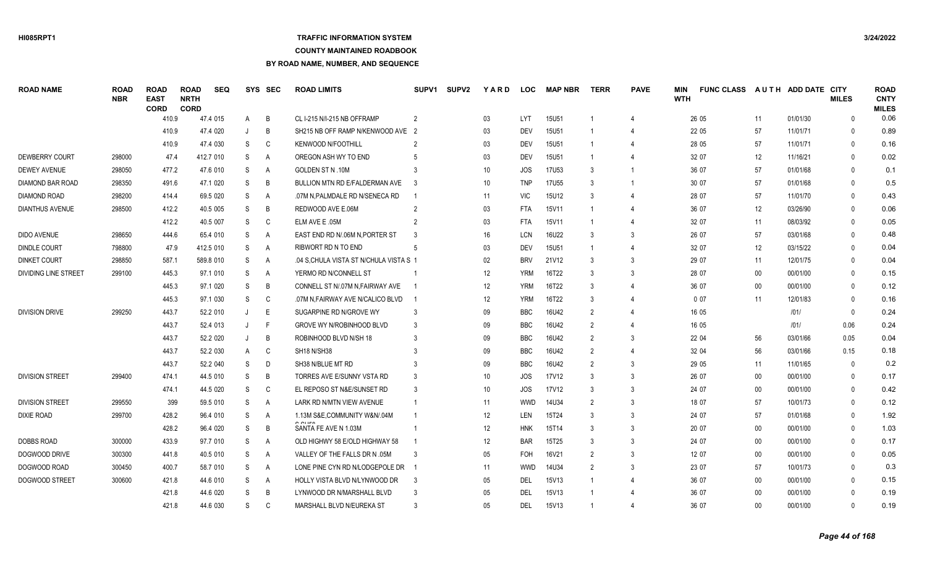### **TRAFFIC INFORMATION SYSTEM**

### **COUNTY MAINTAINED ROADBOOK**

| <b>ROAD NAME</b>       | <b>ROAD</b><br><b>NBR</b> | <b>ROAD</b><br><b>EAST</b><br><b>CORD</b> | <b>ROAD</b><br><b>NRTH</b><br><b>CORD</b> | <b>SEQ</b> | SYS          | SEC            | <b>ROAD LIMITS</b>                      | SUPV <sub>1</sub> | <b>SUPV2</b> | YARD | <b>LOC</b> | <b>MAP NBR</b> | TERR           | <b>PAVE</b>    | MIN<br><b>WTH</b> | <b>FUNC CLASS</b> |        | AUTH ADD DATE CITY | <b>MILES</b> | <b>ROAD</b><br><b>CNTY</b><br><b>MILES</b> |
|------------------------|---------------------------|-------------------------------------------|-------------------------------------------|------------|--------------|----------------|-----------------------------------------|-------------------|--------------|------|------------|----------------|----------------|----------------|-------------------|-------------------|--------|--------------------|--------------|--------------------------------------------|
|                        |                           | 410.9                                     |                                           | 47.4 015   | A            | B              | CL I-215 N/I-215 NB OFFRAMP             | 2                 |              | 03   | <b>LYT</b> | <b>15U51</b>   |                |                |                   | 26 05             | 11     | 01/01/30           | $\Omega$     | 0.06                                       |
|                        |                           | 410.9                                     |                                           | 47.4 020   |              | B              | SH215 NB OFF RAMP N/KENWOOD AVE         | $\overline{2}$    |              | 03   | <b>DEV</b> | 15U51          |                |                |                   | 22 05             | 57     | 11/01/71           | $\Omega$     | 0.89                                       |
|                        |                           | 410.9                                     |                                           | 47.4 030   | <sub>S</sub> | $\mathsf{C}$   | <b>KENWOOD N/FOOTHILL</b>               |                   |              | 03   | DEV        | <b>15U51</b>   |                |                |                   | 28 05             | 57     | 11/01/71           | $\Omega$     | 0.16                                       |
| <b>DEWBERRY COURT</b>  | 298000                    | 47.4                                      |                                           | 412.7 010  | S            | A              | OREGON ASH WY TO END                    |                   |              | 03   | <b>DEV</b> | 15U51          |                |                |                   | 32 07             | 12     | 11/16/21           | $\Omega$     | 0.02                                       |
| <b>DEWEY AVENUE</b>    | 298050                    | 477.2                                     |                                           | 47.6 010   | S            | A              | GOLDEN ST N .10M                        |                   |              | 10   | <b>JOS</b> | 17U53          | 3              | $\overline{1}$ |                   | 36 07             | 57     | 01/01/68           | $\Omega$     | 0.1                                        |
| DIAMOND BAR ROAD       | 298350                    | 491.6                                     |                                           | 47.1 020   | S            | B              | BULLION MTN RD E/FALDERMAN AVE          |                   |              | 10   | <b>TNP</b> | 17U55          | -3             |                |                   | 30 07             | 57     | 01/01/68           | $\mathbf{0}$ | 0.5                                        |
| <b>DIAMOND ROAD</b>    | 298200                    | 414.4                                     |                                           | 69.5 020   | S            | A              | .07M N, PALMDALE RD N/SENECA RD         |                   |              | 11   | <b>VIC</b> | 15U12          |                |                |                   | 28 07             | 57     | 11/01/70           | $\Omega$     | 0.43                                       |
| <b>DIANTHUS AVENUE</b> | 298500                    | 412.2                                     |                                           | 40.5 005   | S            | B              | REDWOOD AVE E.06M                       |                   |              | 03   | <b>FTA</b> | 15V11          |                | $\overline{4}$ |                   | 36 07             | 12     | 03/26/90           | $\mathbf{0}$ | 0.06                                       |
|                        |                           | 412.2                                     |                                           | 40.5 007   | S            | C              | ELM AVE E .05M                          |                   |              | 03   | <b>FTA</b> | 15V11          |                |                |                   | 32 07             | 11     | 08/03/92           | $\mathbf{0}$ | 0.05                                       |
| <b>DIDO AVENUE</b>     | 298650                    | 444.6                                     |                                           | 65.4 010   | S            | $\overline{A}$ | EAST END RD N/.06M N, PORTER ST         |                   |              | 16   | LCN        | 16U22          | 3              | 3              |                   | 26 07             | 57     | 03/01/68           | $\mathbf{0}$ | 0.48                                       |
| <b>DINDLE COURT</b>    | 798800                    | 47.9                                      |                                           | 412.5 010  | S            | A              | RIBWORT RD N TO END                     |                   |              | 03   | <b>DEV</b> | 15U51          |                | $\overline{4}$ |                   | 32 07             | 12     | 03/15/22           | $\Omega$     | 0.04                                       |
| <b>DINKET COURT</b>    | 298850                    | 587.1                                     |                                           | 589.8 010  | S            | A              | .04 S, CHULA VISTA ST N/CHULA VISTA S 1 |                   |              | 02   | <b>BRV</b> | 21V12          | 3              | 3              |                   | 29 07             | 11     | 12/01/75           | $\Omega$     | 0.04                                       |
| DIVIDING LINE STREET   | 299100                    | 445.3                                     |                                           | 97.1 010   | S            | A              | YERMO RD N/CONNELL ST                   |                   |              | 12   | <b>YRM</b> | 16T22          | 3              | 3              |                   | 28 07             | $00\,$ | 00/01/00           | $\mathbf{0}$ | 0.15                                       |
|                        |                           | 445.3                                     |                                           | 97.1 020   | S            | B              | CONNELL ST N/.07M N.FAIRWAY AVE         |                   |              | 12   | <b>YRM</b> | 16T22          | 3              |                |                   | 36 07             | $00\,$ | 00/01/00           | $\Omega$     | 0.12                                       |
|                        |                           | 445.3                                     |                                           | 97.1 030   | S            | C              | .07M N, FAIRWAY AVE N/CALICO BLVD       |                   |              | 12   | <b>YRM</b> | 16T22          | -3             |                |                   | 007               | 11     | 12/01/83           | $\Omega$     | 0.16                                       |
| <b>DIVISION DRIVE</b>  | 299250                    | 443.7                                     |                                           | 52.2 010   | J            | E              | SUGARPINE RD N/GROVE WY                 |                   |              | 09   | <b>BBC</b> | 16U42          | $\overline{2}$ |                |                   | 16 05             |        | 1011               | $\mathbf{0}$ | 0.24                                       |
|                        |                           | 443.7                                     |                                           | 52.4 013   |              | F              | GROVE WY N/ROBINHOOD BLVD               | 3                 |              | 09   | <b>BBC</b> | 16U42          | $\overline{2}$ | $\overline{4}$ |                   | 16 05             |        | 1011               | 0.06         | 0.24                                       |
|                        |                           | 443.7                                     |                                           | 52.2 020   |              | B              | ROBINHOOD BLVD N/SH 18                  |                   |              | 09   | <b>BBC</b> | 16U42          |                | 3              |                   | 22 04             | 56     | 03/01/66           | 0.05         | 0.04                                       |
|                        |                           | 443.7                                     |                                           | 52.2 030   | A            | C              | SH18 N/SH38                             |                   |              | 09   | <b>BBC</b> | 16U42          | $\overline{2}$ | 4              |                   | 32 04             | 56     | 03/01/66           | 0.15         | 0.18                                       |
|                        |                           | 443.7                                     |                                           | 52.2 040   | S            | D              | SH38 N/BLUE MT RD                       |                   |              | 09   | <b>BBC</b> | 16U42          | $\overline{2}$ | 3              |                   | 29 05             | 11     | 11/01/65           | $\mathbf{0}$ | 0.2                                        |
| <b>DIVISION STREET</b> | 299400                    | 474.1                                     |                                           | 44.5 010   | S            | B              | TORRES AVE E/SUNNY VSTA RD              |                   |              | 10   | <b>JOS</b> | 17V12          | $\mathcal{R}$  | 3              |                   | 26 07             | $00\,$ | 00/01/00           | $\Omega$     | 0.17                                       |
|                        |                           | 474.1                                     |                                           | 44.5 020   | S            | C              | EL REPOSO ST N&E/SUNSET RD              |                   |              | 10   | <b>JOS</b> | 17V12          |                | 3              |                   | 24 07             | $00\,$ | 00/01/00           | $\Omega$     | 0.42                                       |
| <b>DIVISION STREET</b> | 299550                    |                                           | 399                                       | 59.5 010   | S            | A              | LARK RD N/MTN VIEW AVENUE               |                   |              | 11   | <b>WWD</b> | 14U34          | $\overline{2}$ | 3              |                   | 18 07             | 57     | 10/01/73           | $\Omega$     | 0.12                                       |
| <b>DIXIE ROAD</b>      | 299700                    | 428.2                                     |                                           | 96.4 010   | S            | A              | 1.13M S&E,COMMUNITY W&N/.04M            |                   |              | 12   | <b>LEN</b> | 15T24          | 3              | 3              |                   | 24 07             | 57     | 01/01/68           | $\Omega$     | 1.92                                       |
|                        |                           | 428.2                                     |                                           | 96.4 020   | S            | B              | SANTA FE AVE N 1.03M                    |                   |              | 12   | <b>HNK</b> | 15T14          | $\mathbf{3}$   | 3              |                   | 20 07             | $00\,$ | 00/01/00           | $\Omega$     | 1.03                                       |
| DOBBS ROAD             | 300000                    | 433.9                                     |                                           | 97.7 010   | S            | A              | OLD HIGHWY 58 E/OLD HIGHWAY 58          |                   |              | 12   | <b>BAR</b> | 15T25          | 3              | 3              |                   | 24 07             | 00     | 00/01/00           | $\Omega$     | 0.17                                       |
| DOGWOOD DRIVE          | 300300                    | 441.8                                     |                                           | 40.5 010   | S            | A              | VALLEY OF THE FALLS DR N .05M           | -3                |              | 05   | <b>FOH</b> | 16V21          | 2              | 3              |                   | 12 07             | 00     | 00/01/00           | $\Omega$     | 0.05                                       |
| DOGWOOD ROAD           | 300450                    | 400.7                                     |                                           | 58.7 010   | S            | A              | LONE PINE CYN RD N/LODGEPOLE DR 1       |                   |              | 11   | <b>WWD</b> | 14U34          | 2              | 3              |                   | 23 07             | 57     | 10/01/73           | $\Omega$     | 0.3                                        |
| DOGWOOD STREET         | 300600                    | 421.8                                     |                                           | 44.6 010   | S            | A              | HOLLY VISTA BLVD N/LYNWOOD DR           | -3                |              | 05   | <b>DEL</b> | 15V13          |                |                |                   | 36 07             | 00     | 00/01/00           | $\Omega$     | 0.15                                       |
|                        |                           | 421.8                                     |                                           | 44.6 020   | -S           | B              | LYNWOOD DR N/MARSHALL BLVD              |                   |              | 05   | DEL        | 15V13          |                |                |                   | 36 07             | 00     | 00/01/00           | $\mathsf{O}$ | 0.19                                       |
|                        |                           | 421.8                                     |                                           | 44.6 030   | S.           | C.             | MARSHALL BLVD N/EUREKA ST               |                   |              | 05   | <b>DEL</b> | 15V13          |                |                |                   | 36 07             | 00     | 00/01/00           | $\Omega$     | 0.19                                       |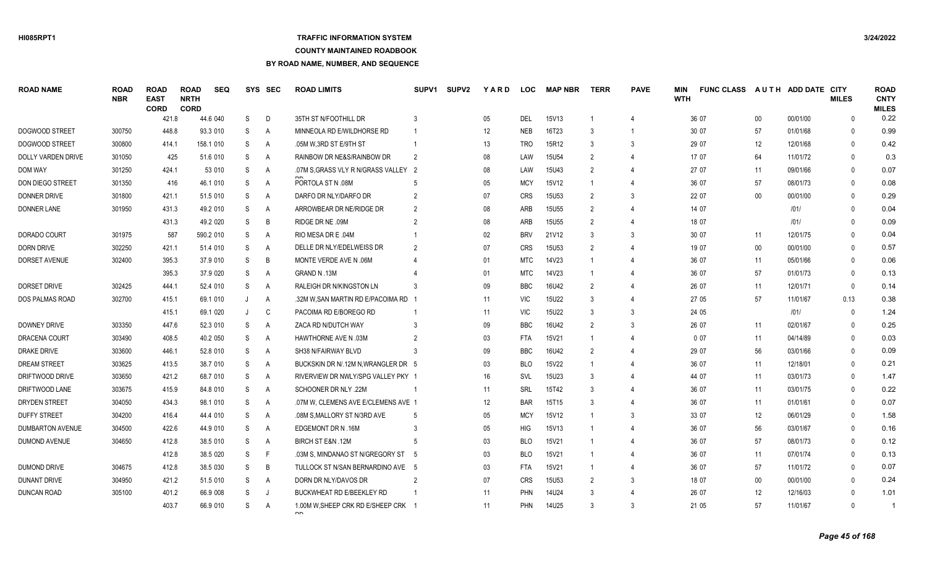### **TRAFFIC INFORMATION SYSTEM**

### **COUNTY MAINTAINED ROADBOOK**

| <b>ROAD NAME</b>        | <b>ROAD</b><br><b>NBR</b> | <b>ROAD</b><br><b>EAST</b><br><b>CORD</b> | <b>ROAD</b><br><b>NRTH</b><br><b>CORD</b> | <b>SEQ</b> |           | SYS SEC | <b>ROAD LIMITS</b>                                | SUPV <sub>1</sub> | <b>SUPV2</b> | <b>YARD</b>     | <b>LOC</b> | <b>MAP NBR</b>    | <b>TERR</b>    | <b>PAVE</b>                 | MIN<br><b>WTH</b> | <b>FUNC CLASS</b> |                   | AUTH ADD DATE CITY | <b>MILES</b> | <b>ROAD</b><br><b>CNTY</b><br><b>MILES</b> |
|-------------------------|---------------------------|-------------------------------------------|-------------------------------------------|------------|-----------|---------|---------------------------------------------------|-------------------|--------------|-----------------|------------|-------------------|----------------|-----------------------------|-------------------|-------------------|-------------------|--------------------|--------------|--------------------------------------------|
|                         |                           | 421.8                                     |                                           | 44.6 040   | S         | D       | 35TH ST N/FOOTHILL DR                             |                   |              | 05              | <b>DEL</b> | 15V13             |                | $\boldsymbol{\vartriangle}$ |                   | 36 07             | $00\,$            | 00/01/00           | $\Omega$     | 0.22                                       |
| <b>DOGWOOD STREET</b>   | 300750                    | 448.8                                     |                                           | 93.3 010   | S         | Α       | MINNEOLA RD E/WILDHORSE RD                        |                   |              | 12              | <b>NEB</b> | 16T23             | 3              | $\overline{1}$              |                   | 30 07             | 57                | 01/01/68           | $\Omega$     | 0.99                                       |
| <b>DOGWOOD STREET</b>   | 300800                    | 414.1                                     |                                           | 158.1 010  | S         | A       | .05M W.3RD ST E/9TH ST                            |                   |              | 13              | <b>TRO</b> | 15R12             | 3              | 3                           |                   | 29 07             | 12                | 12/01/68           | $\Omega$     | 0.42                                       |
| DOLLY VARDEN DRIVE      | 301050                    |                                           | 425                                       | 51.6 010   | S         | A       | RAINBOW DR NE&S/RAINBOW DR                        | $\mathcal{P}$     |              | 08              | LAW        | 15U54             | 2              | 4                           |                   | 17 07             | 64                | 11/01/72           | $\Omega$     | 0.3                                        |
| DOM WAY                 | 301250                    | 424.1                                     |                                           | 53 010     | S         | A       | .07M S.GRASS VLY R N/GRASS VALLEY 2               |                   |              | 08              | LAW        | 15U43             | $\mathcal{P}$  | 4                           |                   | 27 07             | 11                | 09/01/66           | $\Omega$     | 0.07                                       |
| DON DIEGO STREET        | 301350                    |                                           | 416                                       | 46.1 010   | S         | A       | PORTOLA ST N .08M                                 |                   |              | 05              | <b>MCY</b> | 15V12             |                | $\boldsymbol{\Delta}$       |                   | 36 07             | 57                | 08/01/73           | $\Omega$     | 0.08                                       |
| <b>DONNER DRIVE</b>     | 301800                    | 421.1                                     |                                           | 51.5 010   | S         | A       | DARFO DR NLY/DARFO DR                             |                   |              | 07              | <b>CRS</b> | <b>15U53</b>      | 2              | 3                           |                   | 22 07             | $00\,$            | 00/01/00           | $\Omega$     | 0.29                                       |
| <b>DONNER LANE</b>      | 301950                    | 431.3                                     |                                           | 49.2 010   | S         | A       | ARROWBEAR DR NE/RIDGE DR                          |                   |              | 08              | ARB        | <b>15U55</b>      | 2              |                             |                   | 14 07             |                   | 1011               | $\Omega$     | 0.04                                       |
|                         |                           | 431.3                                     |                                           | 49.2 020   | S         | B       | RIDGE DR NE .09M                                  |                   |              | 08              | ARB        | <b>15U55</b>      | $\mathcal{P}$  |                             |                   | 18 07             |                   | 1011               | $\Omega$     | 0.09                                       |
| DORADO COURT            | 301975                    | 587                                       |                                           | 590.2 010  | S         | A       | RIO MESA DR E .04M                                |                   |              | 02 <sub>2</sub> | <b>BRV</b> | 21V12             | 3              | 3                           |                   | 30 07             | 11                | 12/01/75           | $\Omega$     | 0.04                                       |
| <b>DORN DRIVE</b>       | 302250                    | 421.1                                     |                                           | 51.4 010   | S         | A       | DELLE DR NLY/EDELWEISS DR                         |                   |              | 07              | <b>CRS</b> | 15U <sub>53</sub> | $\mathcal{P}$  | 4                           |                   | 19 07             | $00\,$            | 00/01/00           | $\Omega$     | 0.57                                       |
| DORSET AVENUE           | 302400                    | 395.3                                     |                                           | 37.9 010   | S         | B       | MONTE VERDE AVE N .06M                            |                   |              | 01              | <b>MTC</b> | 14V23             |                | 4                           |                   | 36 07             | 11                | 05/01/66           | $\Omega$     | 0.06                                       |
|                         |                           | 395.3                                     |                                           | 37.9 020   | S         | A       | <b>GRAND N.13M</b>                                |                   |              | 01              | <b>MTC</b> | 14V23             |                | 4                           |                   | 36 07             | 57                | 01/01/73           | $\Omega$     | 0.13                                       |
| DORSET DRIVE            | 302425                    | 444.1                                     |                                           | 52.4 010   | S         | A       | RALEIGH DR N/KINGSTON LN                          |                   |              | 09              | <b>BBC</b> | 16U42             | $\overline{2}$ | $\Delta$                    |                   | 26 07             | 11                | 12/01/71           | 0            | 0.14                                       |
| DOS PALMAS ROAD         | 302700                    | 415.1                                     |                                           | 69.1 010   | J         | Α       | .32M W.SAN MARTIN RD E/PACOIMA RD                 |                   |              | 11              | <b>VIC</b> | 15U22             | 3              | 4                           |                   | 27 05             | 57                | 11/01/67           | 0.13         | 0.38                                       |
|                         |                           | 415.1                                     |                                           | 69.1 020   | $\Lambda$ | C       | PACOIMA RD E/BOREGO RD                            |                   |              | 11              | <b>VIC</b> | 15U22             | $\mathbf{3}$   | 3                           |                   | 24 05             |                   | 1011               | $\mathbf 0$  | 1.24                                       |
| <b>DOWNEY DRIVE</b>     | 303350                    | 447.6                                     |                                           | 52.3 010   | S         | A       | ZACA RD N/DUTCH WAY                               |                   |              | 09              | <b>BBC</b> | 16U42             |                | 3                           |                   | 26 07             | 11                | 02/01/67           | $\Omega$     | 0.25                                       |
| DRACENA COURT           | 303490                    | 408.5                                     |                                           | 40.2 050   | S         | A       | HAWTHORNE AVE N .03M                              |                   |              | 03              | <b>FTA</b> | 15V21             |                | 4                           |                   | 007               | 11                | 04/14/89           | $\Omega$     | 0.03                                       |
| DRAKE DRIVE             | 303600                    | 446.1                                     |                                           | 52.8 010   | S         | A       | SH38 N/FAIRWAY BLVD                               |                   |              | 09              | <b>BBC</b> | 16U42             | $\overline{2}$ |                             |                   | 29 07             | 56                | 03/01/66           | $\Omega$     | 0.09                                       |
| <b>DREAM STREET</b>     | 303625                    | 413.5                                     |                                           | 38.7 010   | S         | A       | BUCKSKIN DR N/.12M N.WRANGLER DR 5                |                   |              | 03              | <b>BLO</b> | <b>15V22</b>      |                | 4                           |                   | 36 07             | 11                | 12/18/01           | $\Omega$     | 0.21                                       |
| DRIFTWOOD DRIVE         | 303650                    | 421.2                                     |                                           | 68.7 010   | S         | A       | RIVERVIEW DR NWLY/SPG VALLEY PKY 1                |                   |              | 16              | SVL        | 15U23             |                | 4                           |                   | 44 07             | 11                | 03/01/73           | $\Omega$     | 1.47                                       |
| DRIFTWOOD LANE          | 303675                    | 415.9                                     |                                           | 84.8 010   | S         | A       | SCHOONER DR NLY .22M                              |                   |              | 11              | SRL        | 15T42             |                |                             |                   | 36 07             | 11                | 03/01/75           | $\Omega$     | 0.22                                       |
| DRYDEN STREET           | 304050                    | 434.3                                     |                                           | 98.1 010   | S         | A       | .07M W, CLEMENS AVE E/CLEMENS AVE 1               |                   |              | 12              | <b>BAR</b> | 15T15             | 3              |                             |                   | 36 07             | 11                | 01/01/61           | $\Omega$     | 0.07                                       |
| <b>DUFFY STREET</b>     | 304200                    | 416.4                                     |                                           | 44.4 010   | S         | A       | .08M S.MALLORY ST N/3RD AVE                       |                   |              | $05\,$          | <b>MCY</b> | 15V12             |                | 3                           |                   | 33 07             | $12 \overline{ }$ | 06/01/29           | $\Omega$     | 1.58                                       |
| <b>DUMBARTON AVENUE</b> | 304500                    | 422.6                                     |                                           | 44.9 010   | S         | A       | EDGEMONT DR N .16M                                |                   |              | 05              | <b>HIG</b> | 15V13             |                |                             |                   | 36 07             | 56                | 03/01/67           | $\Omega$     | 0.16                                       |
| DUMOND AVENUE           | 304650                    | 412.8                                     |                                           | 38.5 010   | S         | A       | <b>BIRCH ST E&amp;N .12M</b>                      |                   |              | 03              | <b>BLO</b> | 15V21             |                | 4                           |                   | 36 07             | 57                | 08/01/73           | $\Omega$     | 0.12                                       |
|                         |                           | 412.8                                     |                                           | 38.5 020   | S         | F.      | .03M S, MINDANAO ST N/GREGORY ST 5                |                   |              | 03              | <b>BLO</b> | 15V21             |                | $\overline{4}$              |                   | 36 07             | 11                | 07/01/74           | $\Omega$     | 0.13                                       |
| DUMOND DRIVE            | 304675                    | 412.8                                     |                                           | 38.5 030   | S         | B       | TULLOCK ST N/SAN BERNARDINO AVE 5                 |                   |              | 03              | <b>FTA</b> | 15V21             |                | 4                           |                   | 36 07             | 57                | 11/01/72           | $\Omega$     | 0.07                                       |
| <b>DUNANT DRIVE</b>     | 304950                    | 421.2                                     |                                           | 51.5 010   | S         | A       | DORN DR NLY/DAVOS DR                              |                   |              | 07              | <b>CRS</b> | 15U <sub>53</sub> | $\overline{2}$ | 3                           |                   | 18 07             | $00\,$            | 00/01/00           | $\Omega$     | 0.24                                       |
| <b>DUNCAN ROAD</b>      | 305100                    | 401.2                                     |                                           | 66.9 008   | S         | J       | BUCKWHEAT RD E/BEEKLEY RD                         |                   |              | 11              | PHN        | 14U24             |                |                             |                   | 26 07             | 12                | 12/16/03           | $\Omega$     | 1.01                                       |
|                         |                           | 403.7                                     |                                           | 66.9 010   | S         | A       | 1.00M W, SHEEP CRK RD E/SHEEP CRK<br>$\mathbf{E}$ |                   |              | 11              | <b>PHN</b> | 14U25             |                | 3                           |                   | 21 05             | 57                | 11/01/67           | $\Omega$     | -1                                         |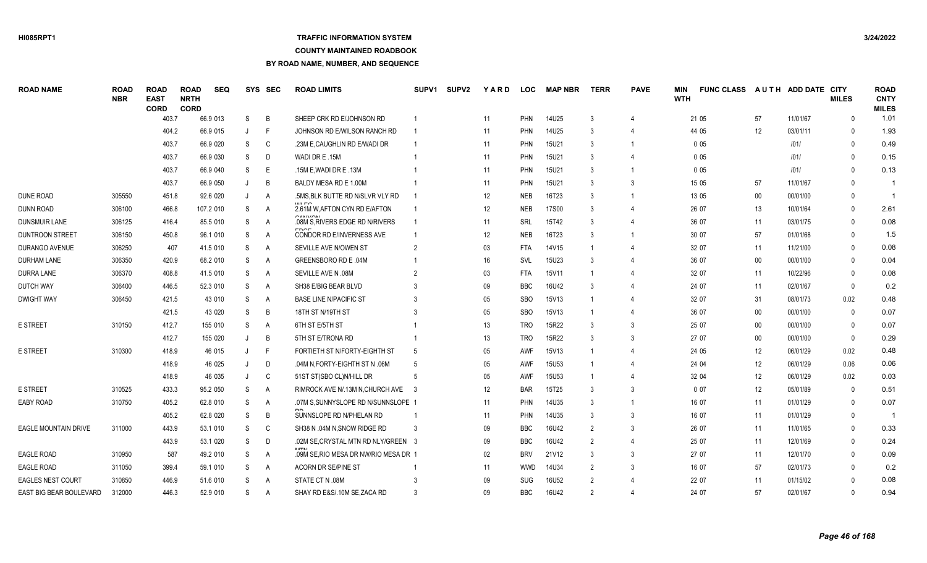### **TRAFFIC INFORMATION SYSTEM**

### **COUNTY MAINTAINED ROADBOOK**

| <b>ROAD NAME</b>            | <b>ROAD</b><br><b>NBR</b> | <b>ROAD</b><br><b>EAST</b><br><b>CORD</b> | <b>ROAD</b><br><b>NRTH</b><br><b>CORD</b> | <b>SEQ</b> | SYS          | <b>SEC</b> | <b>ROAD LIMITS</b>                            | SUPV1          | <b>SUPV2</b> | <b>YARD</b> | LOC        | <b>MAP NBR</b>    | <b>TERR</b>   | <b>PAVE</b>           | MIN<br><b>WTH</b> | <b>FUNC CLASS</b> |        | AUTH ADD DATE CITY | <b>MILES</b> | <b>ROAD</b><br><b>CNTY</b><br><b>MILES</b> |
|-----------------------------|---------------------------|-------------------------------------------|-------------------------------------------|------------|--------------|------------|-----------------------------------------------|----------------|--------------|-------------|------------|-------------------|---------------|-----------------------|-------------------|-------------------|--------|--------------------|--------------|--------------------------------------------|
|                             |                           | 403.7                                     |                                           | 66.9 013   | S            | B          | SHEEP CRK RD E/JOHNSON RD                     |                |              | 11          | PHN        | 14U25             | 3             |                       |                   | 21 05             | 57     | 11/01/67           | $\Omega$     | 1.01                                       |
|                             |                           | 404.2                                     |                                           | 66.9 015   | J            | F          | JOHNSON RD E/WILSON RANCH RD                  |                |              | 11          | PHN        | 14U25             | 3             | $\overline{4}$        |                   | 44 05             | 12     | 03/01/11           | $\Omega$     | 1.93                                       |
|                             |                           | 403.7                                     |                                           | 66.9 020   | S            | C          | .23M E, CAUGHLIN RD E/WADI DR                 |                |              | 11          | <b>PHN</b> | 15U21             |               | -1                    |                   | 005               |        | 1011               | $\Omega$     | 0.49                                       |
|                             |                           | 403.7                                     |                                           | 66.9 030   | S            | D          | WADI DR E .15M                                |                |              | 11          | <b>PHN</b> | 15U21             | 3             |                       |                   | 005               |        | 1011               | $\Omega$     | 0.15                                       |
|                             |                           | 403.7                                     |                                           | 66.9 040   | S            | E          | .13M E, WADI DR E .13M                        |                |              | 11          | <b>PHN</b> | 15U21             | 3             |                       |                   | 005               |        | 1011               | $\Omega$     | 0.13                                       |
|                             |                           | 403.7                                     |                                           | 66.9 050   | J            | B          | BALDY MESA RD E 1.00M                         |                |              | 11          | <b>PHN</b> | 15U21             |               | 3                     |                   | 15 05             | 57     | 11/01/67           | $\Omega$     |                                            |
| <b>DUNE ROAD</b>            | 305550                    | 451.8                                     |                                           | 92.6 020   | J            | A          | .5MS, BLK BUTTE RD N/SLVR VLY RD              |                |              | 12          | NEB        | 16T23             | -3            |                       |                   | 13 05             | $00\,$ | 00/01/00           | $\mathbf{0}$ |                                            |
| <b>DUNN ROAD</b>            | 306100                    | 466.8                                     |                                           | 107.2 010  | S            | A          | 2.61M W, AFTON CYN RD E/AFTON                 |                |              | 12          | <b>NEB</b> | 17S00             | 3             | $\overline{4}$        |                   | 26 07             | 13     | 10/01/64           | $\mathbf{0}$ | 2.61                                       |
| <b>DUNSMUIR LANE</b>        | 306125                    | 416.4                                     |                                           | 85.5 010   | S            | A          | $0$ ANIVON<br>.08M S, RIVERS EDGE RD N/RIVERS |                |              | 11          | SRL        | 15T42             |               | 4                     |                   | 36 07             | 11     | 03/01/75           | $\Omega$     | 0.08                                       |
| <b>DUNTROON STREET</b>      | 306150                    | 450.8                                     |                                           | 96.1 010   | S            | A          | CONDOR RD E/INVERNESS AVE                     |                |              | 12          | <b>NEB</b> | 16T23             |               |                       |                   | 30 07             | 57     | 01/01/68           | $\Omega$     | 1.5                                        |
| <b>DURANGO AVENUE</b>       | 306250                    |                                           | 407                                       | 41.5 010   | S            | A          | SEVILLE AVE N/OWEN ST                         | $\mathfrak{p}$ |              | 03          | <b>FTA</b> | 14V15             |               |                       |                   | 32 07             | 11     | 11/21/00           | $\Omega$     | 0.08                                       |
| <b>DURHAM LANE</b>          | 306350                    | 420.9                                     |                                           | 68.2 010   | S            | A          | GREENSBORO RD E .04M                          |                |              | 16          | <b>SVL</b> | 15U23             |               |                       |                   | 36 07             | $00\,$ | 00/01/00           | $\Omega$     | 0.04                                       |
| <b>DURRA LANE</b>           | 306370                    | 408.8                                     |                                           | 41.5 010   | S            | A          | SEVILLE AVE N .08M                            |                |              | 03          | <b>FTA</b> | 15V11             |               | $\boldsymbol{\Delta}$ |                   | 32 07             | 11     | 10/22/96           | $\Omega$     | 0.08                                       |
| <b>DUTCH WAY</b>            | 306400                    | 446.5                                     |                                           | 52.3 010   | S            | Α          | SH38 E/BIG BEAR BLVD                          |                |              | 09          | <b>BBC</b> | 16U42             | $\mathbf{3}$  | 4                     |                   | 24 07             | 11     | 02/01/67           | $\mathbf{0}$ | 0.2                                        |
| <b>DWIGHT WAY</b>           | 306450                    | 421.5                                     |                                           | 43 010     | S            | Α          | <b>BASE LINE N/PACIFIC ST</b>                 |                |              | 05          | <b>SBO</b> | 15V13             |               | 4                     |                   | 32 07             | 31     | 08/01/73           | 0.02         | 0.48                                       |
|                             |                           | 421.5                                     |                                           | 43 020     | S            | B          | 18TH ST N/19TH ST                             |                |              | 05          | <b>SBO</b> | 15V13             |               |                       |                   | 36 07             | 00     | 00/01/00           | $\mathbf{0}$ | 0.07                                       |
| E STREET                    | 310150                    | 412.7                                     |                                           | 155 010    | S            | Α          | 6TH ST E/5TH ST                               |                |              | 13          | <b>TRO</b> | 15R22             |               | 3                     |                   | 25 07             | $00\,$ | 00/01/00           | $\Omega$     | 0.07                                       |
|                             |                           | 412.7                                     |                                           | 155 020    | J            | B          | 5TH ST E/TRONA RD                             |                |              | 13          | <b>TRO</b> | 15R22             |               | 3                     |                   | 27 07             | $00\,$ | 00/01/00           | $\mathbf{0}$ | 0.29                                       |
| E STREET                    | 310300                    | 418.9                                     |                                           | 46 015     | J            | F          | FORTIETH ST N/FORTY-EIGHTH ST                 |                |              | 05          | <b>AWF</b> | 15V13             |               |                       |                   | 24 05             | 12     | 06/01/29           | 0.02         | 0.48                                       |
|                             |                           | 418.9                                     |                                           | 46 025     |              | D          | 04M N FORTY-EIGHTH ST N .06M                  |                |              | 05          | <b>AWF</b> | 15U <sub>53</sub> |               | $\Delta$              |                   | 24 04             | 12     | 06/01/29           | 0.06         | 0.06                                       |
|                             |                           | 418.9                                     |                                           | 46 035     | $\mathsf{J}$ | C          | 51ST ST(SBO CL)N/HILL DR                      |                |              | 05          | <b>AWF</b> | <b>15U53</b>      |               |                       |                   | 32 04             | 12     | 06/01/29           | 0.02         | 0.03                                       |
| <b>E STREET</b>             | 310525                    | 433.3                                     |                                           | 95.2 050   | S            | A          | RIMROCK AVE N/.13M N, CHURCH AVE              |                |              | 12          | <b>BAR</b> | 15T25             | 3             | 3                     |                   | 007               | 12     | 05/01/89           | $\mathbf{0}$ | 0.51                                       |
| EABY ROAD                   | 310750                    | 405.2                                     |                                           | 62.8 010   | S            | Α          | .07M S, SUNNYSLOPE RD N/SUNNSLOPE             |                |              | 11          | PHN        | 14U35             | $\mathbf{3}$  |                       |                   | 16 07             | 11     | 01/01/29           | $\Omega$     | 0.07                                       |
|                             |                           | 405.2                                     |                                           | 62.8 020   | S            | B          | SUNNSLOPE RD N/PHELAN RD                      |                |              | 11          | <b>PHN</b> | 14U35             |               | 3                     |                   | 16 07             | 11     | 01/01/29           | $\Omega$     |                                            |
| <b>EAGLE MOUNTAIN DRIVE</b> | 311000                    | 443.9                                     |                                           | 53.1 010   | S            | C          | SH38 N .04M N, SNOW RIDGE RD                  |                |              | 09          | <b>BBC</b> | 16U42             | $\mathcal{P}$ | 3                     |                   | 26 07             | 11     | 11/01/65           | $\Omega$     | 0.33                                       |
|                             |                           | 443.9                                     |                                           | 53.1 020   | S            | D          | .02M SE, CRYSTAL MTN RD NLY/GREEN 3           |                |              | 09          | <b>BBC</b> | 16U42             |               | $\overline{4}$        |                   | 25 07             | 11     | 12/01/69           | $\mathbf{0}$ | 0.24                                       |
| <b>EAGLE ROAD</b>           | 310950                    |                                           | 587                                       | 49.2 010   | S            | Α          | .09M SE, RIO MESA DR NW/RIO MESA DR 1         |                |              | 02          | <b>BRV</b> | 21V12             |               | 3                     |                   | 27 07             | 11     | 12/01/70           | $\Omega$     | 0.09                                       |
| <b>EAGLE ROAD</b>           | 311050                    | 399.4                                     |                                           | 59.1 010   | S            | Α          | <b>ACORN DR SE/PINE ST</b>                    |                |              | 11          | <b>WWD</b> | 14U34             | 2             | 3                     |                   | 16 07             | 57     | 02/01/73           | $\mathbf{0}$ | 0.2                                        |
| <b>EAGLES NEST COURT</b>    | 310850                    | 446.9                                     |                                           | 51.6 010   | S            | A          | STATE CT N .08M                               |                |              | 09          | <b>SUG</b> | 16U52             |               |                       |                   | 22 07             | 11     | 01/15/02           | $\Omega$     | 0.08                                       |
| EAST BIG BEAR BOULEVARD     | 312000                    | 446.3                                     |                                           | 52.9 010   | S            | A          | SHAY RD E&S/.10M SE, ZACA RD                  |                |              | 09          | <b>BBC</b> | 16U42             | 2             | 4                     |                   | 24 07             | 57     | 02/01/67           | $\Omega$     | 0.94                                       |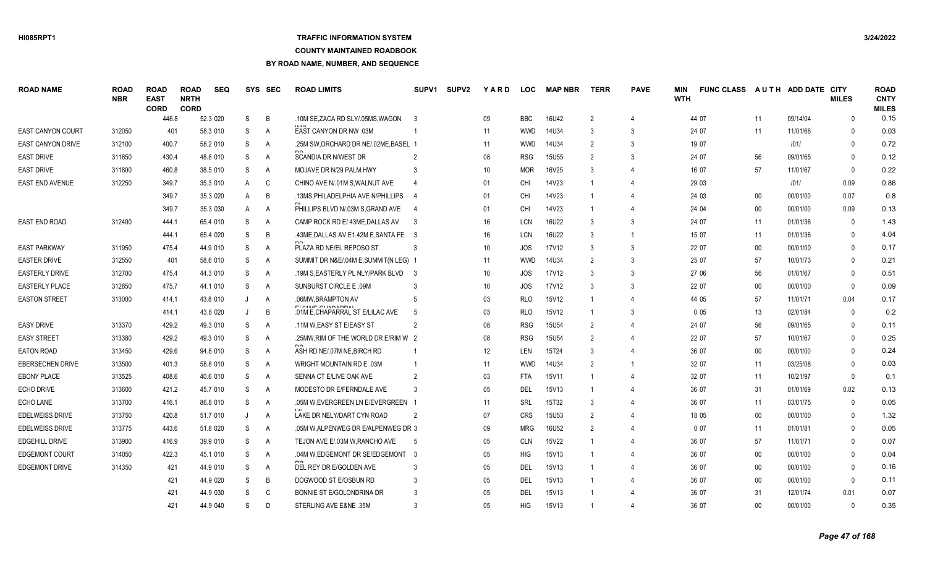### **TRAFFIC INFORMATION SYSTEM**

### **COUNTY MAINTAINED ROADBOOK**

| <b>ROAD NAME</b>         | <b>ROAD</b><br><b>NBR</b> | <b>ROAD</b><br><b>EAST</b><br><b>CORD</b> | <b>ROAD</b><br><b>NRTH</b><br><b>CORD</b> | <b>SEQ</b> | SYS | <b>SEC</b>     | <b>ROAD LIMITS</b>                                         | SUPV <sub>1</sub> | SUPV2 | YARD            | <b>LOC</b> | <b>MAP NBR</b> | <b>TERR</b>    | <b>PAVE</b>    | MIN<br><b>WTH</b> | <b>FUNC CLASS</b> |        | AUTH ADD DATE CITY | <b>MILES</b> | <b>ROAD</b><br><b>CNTY</b><br><b>MILES</b> |
|--------------------------|---------------------------|-------------------------------------------|-------------------------------------------|------------|-----|----------------|------------------------------------------------------------|-------------------|-------|-----------------|------------|----------------|----------------|----------------|-------------------|-------------------|--------|--------------------|--------------|--------------------------------------------|
|                          |                           | 446.8                                     |                                           | 52.3 020   | S   | B              | .10M SE.ZACA RD SLY/.05MS.WAGON                            | -3                |       | 09              | <b>BBC</b> | 16U42          | 2              |                |                   | 44 07             | 11     | 09/14/04           | $\Omega$     | 0.15                                       |
| <b>EAST CANYON COURT</b> | 312050                    | 401                                       |                                           | 58.3 010   | S   | A              | <b>MAIL</b><br><b>EAST CANYON DR NW .03M</b>               |                   |       | 11              | <b>WWD</b> | 14U34          | 3              | 3              |                   | 24 07             | 11     | 11/01/66           | $\Omega$     | 0.03                                       |
| <b>EAST CANYON DRIVE</b> | 312100                    | 400.7                                     |                                           | 58.2 010   | S   | A              | .25M SW, ORCHARD DR NE/.02ME, BASEL 1                      |                   |       | 11              | <b>WWD</b> | 14U34          | $\mathcal{P}$  | 3              |                   | 19 07             |        | 1011               | $\Omega$     | 0.72                                       |
| <b>EAST DRIVE</b>        | 311650                    | 430.4                                     |                                           | 48.8 010   | S   | A              | <b>SCANDIA DR N/WEST DR</b>                                |                   |       | 08              | <b>RSG</b> | <b>15U55</b>   | $\mathcal{P}$  | 3              |                   | 24 07             | 56     | 09/01/65           | $\Omega$     | 0.12                                       |
| <b>EAST DRIVE</b>        | 311800                    | 460.8                                     |                                           | 38.5 010   | S   | $\overline{A}$ | MOJAVE DR N/29 PALM HWY                                    |                   |       | 10              | <b>MOR</b> | 16V25          | 3              |                |                   | 16 07             | 57     | 11/01/67           | $\mathbf{0}$ | 0.22                                       |
| EAST END AVENUE          | 312250                    | 349.7                                     |                                           | 35.3 010   | A   | C              | CHINO AVE N/.01M S, WALNUT AVE                             |                   |       | 01              | <b>CHI</b> | 14V23          |                |                |                   | 29 03             |        | 1011               | 0.09         | 0.86                                       |
|                          |                           | 349.7                                     |                                           | 35.3 020   | A   | B              | 13MS, PHILADELPHIA AVE N/PHILLIPS                          |                   |       | 01              | CHI        | 14V23          |                |                |                   | 24 03             | $00\,$ | 00/01/00           | 0.07         | 0.8                                        |
|                          |                           | 349.7                                     |                                           | 35.3 030   | A   | A              | PHILLIPS BLVD N/.03M S, GRAND AVE                          |                   |       | 01              | CHI        | 14V23          |                |                |                   | 24 04             | $00\,$ | 00/01/00           | 0.09         | 0.13                                       |
| <b>EAST END ROAD</b>     | 312400                    | 444.1                                     |                                           | 65.4 010   | S   | A              | CAMP ROCK RD E/.43ME, DALLAS AV                            |                   |       | 16              | <b>LCN</b> | 16U22          | -3             | 3              |                   | 24 07             | 11     | 01/01/36           | $\mathbf{0}$ | 1.43                                       |
|                          |                           | 444.1                                     |                                           | 65.4 020   | S.  | B.             | .43ME, DALLAS AV E1.42M E, SANTA FE 3                      |                   |       | 16              | <b>LCN</b> | 16U22          | 3              |                |                   | 15 07             | 11     | 01/01/36           | $\mathbf{0}$ | 4.04                                       |
| <b>EAST PARKWAY</b>      | 311950                    | 475.4                                     |                                           | 44.9 010   | S   | A              | PLAZA RD NE/EL REPOSO ST                                   |                   |       | 10              | <b>JOS</b> | 17V12          |                | 3              |                   | 22 07             | $00\,$ | 00/01/00           | $\Omega$     | 0.17                                       |
| <b>EASTER DRIVE</b>      | 312550                    | 401                                       |                                           | 58.6 010   | S   | $\overline{A}$ | SUMMIT DR N&E/.04M E, SUMMIT(N LEG) 1                      |                   |       | 11              | <b>WWD</b> | 14U34          | $\mathcal{P}$  | 3              |                   | 25 07             | 57     | 10/01/73           | $\Omega$     | 0.21                                       |
| <b>EASTERLY DRIVE</b>    | 312700                    | 475.4                                     |                                           | 44.3 010   | S   | $\overline{A}$ | 19M S.EASTERLY PL NLY/PARK BLVD 3                          |                   |       | 10 <sup>°</sup> | <b>JOS</b> | 17V12          | $\mathbf{3}$   | 3              |                   | 27 06             | 56     | 01/01/67           | $\Omega$     | 0.51                                       |
| <b>EASTERLY PLACE</b>    | 312850                    | 475.7                                     |                                           | 44.1 010   | S   | $\overline{A}$ | SUNBURST CIRCLE E .09M                                     |                   |       | 10 <sup>°</sup> | <b>JOS</b> | 17V12          | $\mathbf{R}$   | 3              |                   | 22 07             | $00\,$ | 00/01/00           | $\Omega$     | 0.09                                       |
| <b>EASTON STREET</b>     | 313000                    | 414.1                                     |                                           | 43.8 010   |     | A              | .06MW.BRAMPTON AV                                          |                   |       | 03              | <b>RLO</b> | 15V12          |                |                |                   | 44 05             | 57     | 11/01/71           | 0.04         | 0.17                                       |
|                          |                           | 414.1                                     |                                           | 43.8 020   |     | B              | <b>FINANE OUADADDAL</b><br>.01M E.CHAPARRAL ST E/LILAC AVE |                   |       | 03              | <b>RLO</b> | 15V12          |                | 3              |                   | 005               | 13     | 02/01/84           | $\Omega$     | 0.2                                        |
| <b>EASY DRIVE</b>        | 313370                    | 429.2                                     |                                           | 49.3 010   | S   | A              | .11M W, EASY ST E/EASY ST                                  | -2                |       | 08              | <b>RSG</b> | <b>15U54</b>   | $\overline{2}$ |                |                   | 24 07             | 56     | 09/01/65           | $\Omega$     | 0.11                                       |
| <b>EASY STREET</b>       | 313380                    | 429.2                                     |                                           | 49.3 010   | S   | A              | .25MW.RIM OF THE WORLD DR E/RIM W 2                        |                   |       | 08              | <b>RSG</b> | <b>15U54</b>   | $\mathcal{P}$  | $\overline{4}$ |                   | 22 07             | 57     | 10/01/67           | $\Omega$     | 0.25                                       |
| EATON ROAD               | 313450                    | 429.6                                     |                                           | 94.8 010   | S   | A              | ASH RD NE/.07M NE.BIRCH RD                                 |                   |       | 12              | <b>LEN</b> | 15T24          | $\mathcal{R}$  | 4              |                   | 36 07             | 00     | 00/01/00           | $\Omega$     | 0.24                                       |
| <b>EBERSECHEN DRIVE</b>  | 313500                    | 401.3                                     |                                           | 58.8 010   | S   | A              | WRIGHT MOUNTAIN RD E .03M                                  |                   |       | 11              | <b>WWD</b> | 14U34          | 2              |                |                   | 32 07             | 11     | 03/25/08           | $\Omega$     | 0.03                                       |
| <b>EBONY PLACE</b>       | 313525                    | 408.6                                     |                                           | 40.6 010   | S   | A              | SENNA CT E/LIVE OAK AVE                                    | $\overline{2}$    |       | 03              | <b>FTA</b> | 15V11          |                |                |                   | 32 07             | 11     | 10/21/97           | $\Omega$     | 0.1                                        |
| <b>ECHO DRIVE</b>        | 313600                    | 421.2                                     |                                           | 45.7 010   | S   | A              | MODESTO DR E/FERNDALE AVE                                  |                   |       | 05              | DEL        | 15V13          |                |                |                   | 36 07             | 31     | 01/01/69           | 0.02         | 0.13                                       |
| ECHO LANE                | 313700                    | 416.1                                     |                                           | 86.8 010   | S   | $\overline{A}$ | .05M W.EVERGREEN LN E/EVERGREEN                            |                   |       | 11              | SRL        | 15T32          | 3              |                |                   | 36 07             | 11     | 03/01/75           | $\mathbf{0}$ | 0.05                                       |
| <b>EDELWEISS DRIVE</b>   | 313750                    | 420.8                                     |                                           | 51.7 010   | J   | A              | LAKE DR NELY/DART CYN ROAD                                 | 2                 |       | 07              | <b>CRS</b> | 15U53          | 2              |                |                   | 18 05             | $00\,$ | 00/01/00           | $\mathbf{0}$ | 1.32                                       |
| <b>EDELWEISS DRIVE</b>   | 313775                    | 443.6                                     |                                           | 51.8 020   | S   | A              | .05M W, ALPENWEG DR E/ALPENWEG DR 3                        |                   |       | 09              | <b>MRG</b> | 16U52          | $\overline{2}$ |                |                   | 007               | 11     | 01/01/81           | $\mathbf{0}$ | 0.05                                       |
| <b>EDGEHILL DRIVE</b>    | 313900                    | 416.9                                     |                                           | 39.9 010   | S   | A              | TEJON AVE E/.03M W, RANCHO AVE                             | -5                |       | 05              | <b>CLN</b> | 15V22          |                |                |                   | 36 07             | 57     | 11/01/71           | $\mathbf{0}$ | 0.07                                       |
| <b>EDGEMONT COURT</b>    | 314050                    | 422.3                                     |                                           | 45.1 010   | S   | $\overline{A}$ | .04M W, EDGEMONT DR SE/EDGEMONT 3                          |                   |       | 05              | <b>HIG</b> | 15V13          |                |                |                   | 36 07             | $00\,$ | 00/01/00           | $\Omega$     | 0.04                                       |
| <b>EDGEMONT DRIVE</b>    | 314350                    | 421                                       |                                           | 44.9 010   | S   | $\overline{A}$ | DEL REY DR E/GOLDEN AVE                                    |                   |       | 05              | DEL        | 15V13          |                |                |                   | 36 07             | $00\,$ | 00/01/00           | $\Omega$     | 0.16                                       |
|                          |                           | 421                                       |                                           | 44.9 020   | S   | B              | DOGWOOD ST E/OSBUN RD                                      | 3                 |       | 05              | <b>DEL</b> | 15V13          |                |                |                   | 36 07             | $00\,$ | 00/01/00           | $\Omega$     | 0.11                                       |
|                          |                           | 421                                       |                                           | 44.9 030   | S.  | C              | BONNIE ST E/GOLONDRINA DR                                  |                   |       | 05              | DEL        | 15V13          |                |                |                   | 36 07             | 31     | 12/01/74           | 0.01         | 0.07                                       |
|                          |                           | 421                                       |                                           | 44.9 040   | S.  | D.             | STERLING AVE E&NE .35M                                     |                   |       | $05\,$          | <b>HIG</b> | 15V13          |                |                |                   | 36 07             | $00\,$ | 00/01/00           | $\Omega$     | 0.35                                       |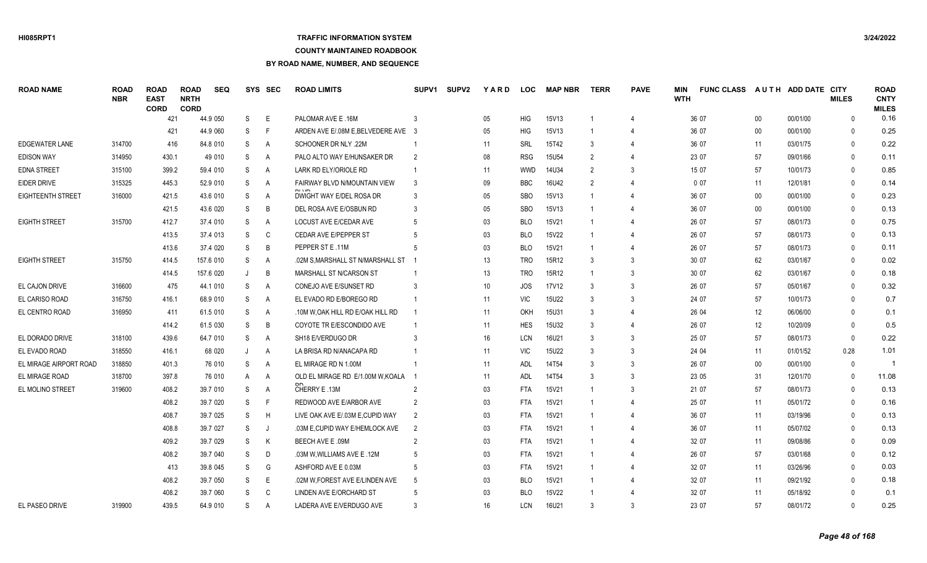### **TRAFFIC INFORMATION SYSTEM**

### **COUNTY MAINTAINED ROADBOOK**

| <b>ROAD NAME</b>       | <b>ROAD</b><br><b>NBR</b> | <b>ROAD</b><br><b>EAST</b><br><b>CORD</b> | <b>ROAD</b><br><b>NRTH</b><br><b>CORD</b> | <b>SEQ</b> |    | SYS SEC        | <b>ROAD LIMITS</b>                  | <b>SUPV1</b>  | <b>SUPV2</b> | <b>YARD</b> | LOC        | <b>MAP NBR</b> | <b>TERR</b>   | <b>PAVE</b>    | MIN<br><b>WTH</b> | <b>FUNC CLASS</b> |        | AUTH ADD DATE CITY | <b>MILES</b> | <b>ROAD</b><br><b>CNTY</b><br><b>MILES</b> |
|------------------------|---------------------------|-------------------------------------------|-------------------------------------------|------------|----|----------------|-------------------------------------|---------------|--------------|-------------|------------|----------------|---------------|----------------|-------------------|-------------------|--------|--------------------|--------------|--------------------------------------------|
|                        |                           | 421                                       |                                           | 44.9 050   | S  | E              | PALOMAR AVE E.16M                   |               |              | 05          | HIG        | 15V13          |               | $\overline{4}$ |                   | 36 07             | $00\,$ | 00/01/00           | $\Omega$     | 0.16                                       |
|                        |                           | 421                                       |                                           | 44.9 060   | S  | F              | ARDEN AVE E/.08M E, BELVEDERE AVE 3 |               |              | 05          | <b>HIG</b> | 15V13          |               |                |                   | 36 07             | $00\,$ | 00/01/00           | $\Omega$     | 0.25                                       |
| <b>EDGEWATER LANE</b>  | 314700                    | 416                                       |                                           | 84.8 010   | S  | $\overline{A}$ | SCHOONER DR NLY .22M                |               |              | 11          | <b>SRL</b> | 15T42          | 3             | 4              |                   | 36 07             | 11     | 03/01/75           | $\Omega$     | 0.22                                       |
| EDISON WAY             | 314950                    | 430.1                                     |                                           | 49 010     | S  | A              | PALO ALTO WAY E/HUNSAKER DR         | $\mathcal{P}$ |              | 08          | <b>RSG</b> | <b>15U54</b>   | 2             | $\overline{4}$ |                   | 23 07             | 57     | 09/01/66           | $\Omega$     | 0.11                                       |
| <b>EDNA STREET</b>     | 315100                    | 399.2                                     |                                           | 59.4 010   | S  | Α              | LARK RD ELY/ORIOLE RD               |               |              | 11          | <b>WWD</b> | 14U34          | $\mathcal{P}$ | 3              |                   | 15 07             | 57     | 10/01/73           | $\Omega$     | 0.85                                       |
| EIDER DRIVE            | 315325                    | 445.3                                     |                                           | 52.9 010   | S  | A              | FAIRWAY BLVD N/MOUNTAIN VIEW        | -3            |              | 09          | <b>BBC</b> | 16U42          | 2             |                |                   | 007               | 11     | 12/01/81           | $\mathbf{0}$ | 0.14                                       |
| EIGHTEENTH STREET      | 316000                    | 421.5                                     |                                           | 43.6 010   | S  | $\overline{A}$ | DWIGHT WAY E/DEL ROSA DR            |               |              | 05          | <b>SBO</b> | 15V13          |               |                |                   | 36 07             | $00\,$ | 00/01/00           | $\mathbf{0}$ | 0.23                                       |
|                        |                           | 421.5                                     |                                           | 43.6 020   | S  | B              | DEL ROSA AVE E/OSBUN RD             |               |              | 05          | <b>SBO</b> | 15V13          |               | $\overline{4}$ |                   | 36 07             | $00\,$ | 00/01/00           | $\mathbf{0}$ | 0.13                                       |
| <b>EIGHTH STREET</b>   | 315700                    | 412.7                                     |                                           | 37.4 010   | S  | A              | LOCUST AVE E/CEDAR AVE              |               |              | 03          | <b>BLO</b> | 15V21          |               |                |                   | 26 07             | 57     | 08/01/73           | $\mathbf{0}$ | 0.75                                       |
|                        |                           | 413.5                                     |                                           | 37.4 013   | S  | C              | CEDAR AVE E/PEPPER ST               |               |              | 03          | <b>BLO</b> | 15V22          |               | $\overline{4}$ |                   | 26 07             | 57     | 08/01/73           | $\mathbf{0}$ | 0.13                                       |
|                        |                           | 413.6                                     |                                           | 37.4 020   | S  | B              | PEPPER ST E .11M                    |               |              | 03          | <b>BLO</b> | 15V21          |               | $\overline{4}$ |                   | 26 07             | 57     | 08/01/73           | $\mathbf{0}$ | 0.11                                       |
| <b>EIGHTH STREET</b>   | 315750                    | 414.5                                     |                                           | 157.6 010  | S  | Α              | .02M S, MARSHALL ST N/MARSHALL ST   |               |              | 13          | <b>TRO</b> | 15R12          | 3             | 3              |                   | 30 07             | 62     | 03/01/67           | $\mathbf{0}$ | 0.02                                       |
|                        |                           | 414.5                                     |                                           | 157.6 020  |    | B              | MARSHALL ST N/CARSON ST             |               |              | 13          | <b>TRO</b> | 15R12          |               | 3              |                   | 30 07             | 62     | 03/01/67           | $\mathbf{0}$ | 0.18                                       |
| EL CAJON DRIVE         | 316600                    | 475                                       |                                           | 44.1 010   | S  | $\overline{A}$ | CONEJO AVE E/SUNSET RD              |               |              | 10          | JOS        | 17V12          | 3             | 3              |                   | 26 07             | 57     | 05/01/67           | $\Omega$     | 0.32                                       |
| EL CARISO ROAD         | 316750                    | 416.1                                     |                                           | 68.9 010   | S  | Α              | EL EVADO RD E/BOREGO RD             |               |              | 11          | <b>VIC</b> | 15U22          | 3             | 3              |                   | 24 07             | 57     | 10/01/73           | $\Omega$     | 0.7                                        |
| EL CENTRO ROAD         | 316950                    | 411                                       |                                           | 61.5 010   | S  | Α              | .10M W, OAK HILL RD E/OAK HILL RD   |               |              | 11          | OKH        | 15U31          | 3             |                |                   | 26 04             | 12     | 06/06/00           | $\Omega$     | 0.1                                        |
|                        |                           | 414.2                                     |                                           | 61.5 030   | S  | B              | COYOTE TR E/ESCONDIDO AVE           |               |              | 11          | <b>HES</b> | 15U32          | 3             | $\overline{4}$ |                   | 26 07             | 12     | 10/20/09           | $\mathbf{0}$ | 0.5                                        |
| EL DORADO DRIVE        | 318100                    | 439.6                                     |                                           | 64.7 010   | S  | A              | SH18 E/VERDUGO DR                   |               |              | 16          | <b>LCN</b> | 16U21          |               | 3              |                   | 25 07             | 57     | 08/01/73           | $\mathbf{0}$ | 0.22                                       |
| EL EVADO ROAD          | 318550                    | 416.1                                     |                                           | 68 020     | J  | A              | LA BRISA RD N/ANACAPA RD            |               |              | 11          | <b>VIC</b> | <b>15U22</b>   |               | 3              |                   | 24 04             | 11     | 01/01/52           | 0.28         | 1.01                                       |
| EL MIRAGE AIRPORT ROAD | 318850                    | 401.3                                     |                                           | 76 010     | S  | A              | EL MIRAGE RD N 1.00M                |               |              | 11          | <b>ADL</b> | 14T54          |               | 3              |                   | 26 07             | 00     | 00/01/00           | $\mathbf{0}$ | -1                                         |
| EL MIRAGE ROAD         | 318700                    | 397.8                                     |                                           | 76 010     | A  | A              | OLD EL MIRAGE RD E/1.00M W,KOALA    |               |              | 11          | <b>ADL</b> | 14T54          | $\mathbf{3}$  | 3              |                   | 23 05             | 31     | 12/01/70           | $\Omega$     | 11.08                                      |
| EL MOLINO STREET       | 319600                    | 408.2                                     |                                           | 39.7 010   | S  | A              | CHERRY E.13M                        |               |              | 03          | <b>FTA</b> | 15V21          |               | 3              |                   | 21 07             | 57     | 08/01/73           | $\Omega$     | 0.13                                       |
|                        |                           | 408.2                                     |                                           | 39.7 020   | S  | F              | REDWOOD AVE E/ARBOR AVE             |               |              | 03          | <b>FTA</b> | 15V21          |               |                |                   | 25 07             | 11     | 05/01/72           | $\Omega$     | 0.16                                       |
|                        |                           | 408.7                                     |                                           | 39.7 025   | S  | H              | LIVE OAK AVE E/.03M E, CUPID WAY    | $\mathcal{P}$ |              | 03          | <b>FTA</b> | 15V21          |               |                |                   | 36 07             | 11     | 03/19/96           | $\mathbf{0}$ | 0.13                                       |
|                        |                           | 408.8                                     |                                           | 39.7 027   | S  | IJ             | .03M E, CUPID WAY E/HEMLOCK AVE     | $\mathcal{P}$ |              | 03          | <b>FTA</b> | 15V21          |               |                |                   | 36 07             | 11     | 05/07/02           | $\Omega$     | 0.13                                       |
|                        |                           | 409.2                                     |                                           | 39.7 029   | S  | K              | BEECH AVE E .09M                    | $\mathcal{P}$ |              | 03          | <b>FTA</b> | 15V21          |               | 4              |                   | 32 07             | 11     | 09/08/86           | $\Omega$     | 0.09                                       |
|                        |                           | 408.2                                     |                                           | 39.7 040   | S  | D              | 03M W.WILLIAMS AVE E .12M           |               |              | 03          | <b>FTA</b> | 15V21          |               |                |                   | 26 07             | 57     | 03/01/68           | $\Omega$     | 0.12                                       |
|                        |                           | 413                                       |                                           | 39.8 045   | S  | G              | ASHFORD AVE E 0.03M                 |               |              | 03          | <b>FTA</b> | 15V21          |               |                |                   | 32 07             | 11     | 03/26/96           | $\Omega$     | 0.03                                       |
|                        |                           | 408.2                                     |                                           | 39.7 050   | S  | E              | .02M W.FOREST AVE E/LINDEN AVE      | -5            |              | 03          | <b>BLO</b> | 15V21          |               |                |                   | 32 07             | 11     | 09/21/92           | $\Omega$     | 0.18                                       |
|                        |                           | 408.2                                     |                                           | 39.7 060   | S  | C              | LINDEN AVE E/ORCHARD ST             |               |              | 03          | <b>BLO</b> | 15V22          |               |                |                   | 32 07             | 11     | 05/18/92           | $\Omega$     | 0.1                                        |
| EL PASEO DRIVE         | 319900                    | 439.5                                     |                                           | 64.9 010   | S. | A              | LADERA AVE E/VERDUGO AVE            |               |              | 16          | <b>LCN</b> | 16U21          |               | $\mathcal{R}$  |                   | 23 07             | 57     | 08/01/72           | $\Omega$     | 0.25                                       |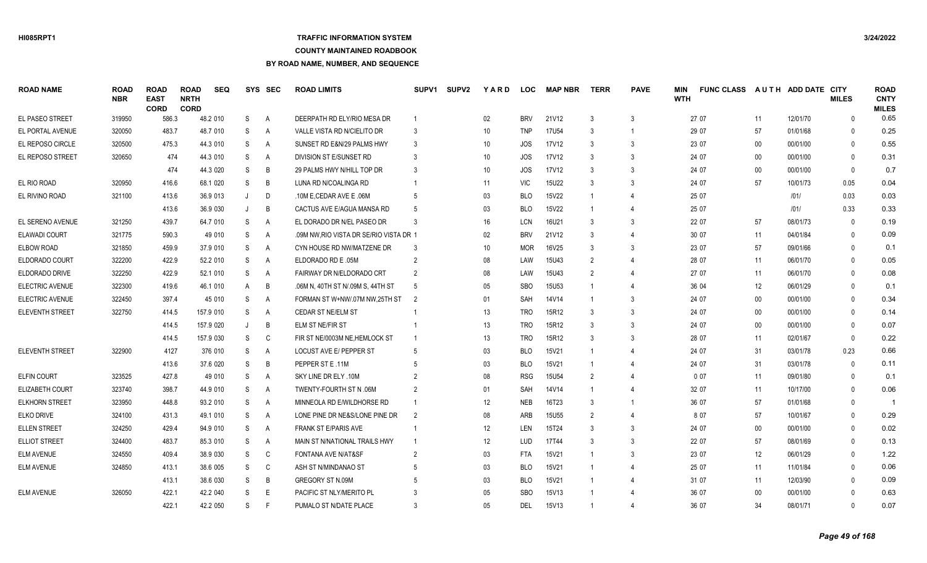## **TRAFFIC INFORMATION SYSTEM**

### **COUNTY MAINTAINED ROADBOOK**

| <b>ROAD NAME</b>       | <b>ROAD</b><br><b>NBR</b> | <b>ROAD</b><br><b>EAST</b><br><b>CORD</b> | <b>ROAD</b><br><b>NRTH</b><br><b>CORD</b> | <b>SEQ</b> | SYS     | <b>SEC</b>     | <b>ROAD LIMITS</b>                      | SUPV1         | <b>SUPV2</b> | YARD            | <b>LOC</b> | <b>MAP NBR</b> | <b>TERR</b>   | <b>PAVE</b>                 | MIN<br><b>WTH</b> | <b>FUNC CLASS</b> |        | AUTH ADD DATE CITY | <b>MILES</b> | <b>ROAD</b><br><b>CNTY</b><br><b>MILES</b> |
|------------------------|---------------------------|-------------------------------------------|-------------------------------------------|------------|---------|----------------|-----------------------------------------|---------------|--------------|-----------------|------------|----------------|---------------|-----------------------------|-------------------|-------------------|--------|--------------------|--------------|--------------------------------------------|
| EL PASEO STREET        | 319950                    | 586.3                                     |                                           | 48.2 010   | S       | A              | DEERPATH RD ELY/RIO MESA DR             |               |              | 02              | <b>BRV</b> | 21V12          | 3             | 3                           |                   | 27 07             | 11     | 12/01/70           | $\mathbf{0}$ | 0.65                                       |
| EL PORTAL AVENUE       | 320050                    | 483.7                                     |                                           | 48.7 010   | S       | Α              | VALLE VISTA RD N/CIELITO DR             | -3            |              | 10 <sup>°</sup> | <b>TNP</b> | 17U54          | -3            | -1                          |                   | 29 07             | 57     | 01/01/68           | $\Omega$     | 0.25                                       |
| EL REPOSO CIRCLE       | 320500                    | 475.3                                     |                                           | 44.3 010   | S       | Α              | SUNSET RD E&N/29 PALMS HWY              | -3            |              | 10              | <b>JOS</b> | 17V12          | 3             | 3                           |                   | 23 07             | $00\,$ | 00/01/00           | $\mathbf{0}$ | 0.55                                       |
| EL REPOSO STREET       | 320650                    | 474                                       |                                           | 44.3 010   | S       | Α              | DIVISION ST E/SUNSET RD                 |               |              | 10              | JOS        | <b>17V12</b>   |               | 3                           |                   | 24 07             | $00\,$ | 00/01/00           | $\Omega$     | 0.31                                       |
|                        |                           | 474                                       |                                           | 44.3 020   | S       | B              | 29 PALMS HWY N/HILL TOP DR              |               |              | 10              | <b>JOS</b> | <b>17V12</b>   | 3             | 3                           |                   | 24 07             | $00\,$ | 00/01/00           | $\mathbf{0}$ | 0.7                                        |
| EL RIO ROAD            | 320950                    | 416.6                                     |                                           | 68.1 020   | S       | B              | LUNA RD N/COALINGA RD                   |               |              | 11              | <b>VIC</b> | 15U22          |               | 3                           |                   | 24 07             | 57     | 10/01/73           | 0.05         | 0.04                                       |
| EL RIVINO ROAD         | 321100                    | 413.6                                     |                                           | 36.9 013   | $\cdot$ | D              | .10M E,CEDAR AVE E .06M                 |               |              | 03              | <b>BLO</b> | 15V22          |               | 4                           |                   | 25 07             |        | 1011               | 0.03         | 0.03                                       |
|                        |                           | 413.6                                     |                                           | 36.9 030   | J       | B              | CACTUS AVE E/AGUA MANSA RD              |               |              | 03              | <b>BLO</b> | <b>15V22</b>   |               | 4                           |                   | 25 07             |        | 1011               | 0.33         | 0.33                                       |
| EL SERENO AVENUE       | 321250                    | 439.7                                     |                                           | 64.7 010   | S       | A              | EL DORADO DR N/EL PASEO DR              | 3             |              | 16              | <b>LCN</b> | 16U21          | 3             | 3                           |                   | 22 07             | 57     | 08/01/73           | $\mathbf{0}$ | 0.19                                       |
| <b>ELAWADI COURT</b>   | 321775                    | 590.3                                     |                                           | 49 010     | S       | Α              | .09M NW, RIO VISTA DR SE/RIO VISTA DR 1 |               |              | $02\,$          | <b>BRV</b> | 21V12          | $\mathcal{R}$ | $\boldsymbol{\vartriangle}$ |                   | 30 07             | 11     | 04/01/84           | $\mathbf{0}$ | 0.09                                       |
| ELBOW ROAD             | 321850                    | 459.9                                     |                                           | 37.9 010   | S       | Α              | CYN HOUSE RD NW/MATZENE DR              |               |              | 10              | <b>MOR</b> | 16V25          | $\mathbf{3}$  | 3                           |                   | 23 07             | 57     | 09/01/66           | $\Omega$     | 0.1                                        |
| ELDORADO COURT         | 322200                    | 422.9                                     |                                           | 52.2 010   | S       | Α              | ELDORADO RD E .05M                      | 2             |              | 08              | LAW        | <b>15U43</b>   | $\mathcal{P}$ | 4                           |                   | 28 07             | 11     | 06/01/70           | $\Omega$     | 0.05                                       |
| <b>ELDORADO DRIVE</b>  | 322250                    | 422.9                                     |                                           | 52.1 010   | S       | A              | FAIRWAY DR N/ELDORADO CRT               |               |              | 08              | LAW        | 15U43          |               |                             |                   | 27 07             | 11     | 06/01/70           | $\Omega$     | 0.08                                       |
| <b>ELECTRIC AVENUE</b> | 322300                    | 419.6                                     |                                           | 46.1 010   | A       | B              | 06M N, 40TH ST N/.09M S, 44TH ST        |               |              | 05              | <b>SBO</b> | 15U53          |               | 4                           |                   | 36 04             | 12     | 06/01/29           | $\Omega$     | 0.1                                        |
| <b>ELECTRIC AVENUE</b> | 322450                    | 397.4                                     |                                           | 45 010     | S       | A              | FORMAN ST W+NW/.07M NW,25TH ST          | 2             |              | 01              | SAH        | 14V14          |               | 3                           |                   | 24 07             | $00\,$ | 00/01/00           | $\Omega$     | 0.34                                       |
| <b>ELEVENTH STREET</b> | 322750                    | 414.5                                     |                                           | 157.9 010  | S       | Α              | <b>CEDAR ST NE/ELM ST</b>               |               |              | 13              | <b>TRO</b> | 15R12          | 3             | 3                           |                   | 24 07             | $00\,$ | 00/01/00           | $\Omega$     | 0.14                                       |
|                        |                           | 414.5                                     |                                           | 157.9 020  | J       | B              | ELM ST NE/FIR ST                        |               |              | 13              | <b>TRO</b> | 15R12          | 3             | 3                           |                   | 24 07             | $00\,$ | 00/01/00           | $\Omega$     | 0.07                                       |
|                        |                           | 414.5                                     |                                           | 157.9 030  | S       | C              | FIR ST NE/0003M NE.HEMLOCK ST           |               |              | 13              | <b>TRO</b> | 15R12          | $\mathbf{3}$  | 3                           |                   | 28 07             | 11     | 02/01/67           | $\Omega$     | 0.22                                       |
| <b>ELEVENTH STREET</b> | 322900                    | 4127                                      |                                           | 376 010    | S       | Α              | LOCUST AVE E/ PEPPER ST                 |               |              | 03              | <b>BLO</b> | 15V21          |               | 4                           |                   | 24 07             | 31     | 03/01/78           | 0.23         | 0.66                                       |
|                        |                           | 413.6                                     |                                           | 37.6 020   | S       | B              | PEPPER ST E .11M                        |               |              | 03              | <b>BLO</b> | <b>15V21</b>   |               | 4                           |                   | 24 07             | 31     | 03/01/78           | $\mathbf{0}$ | 0.11                                       |
| <b>ELFIN COURT</b>     | 323525                    | 427.8                                     |                                           | 49 010     | S       | A              | SKY LINE DR ELY .10M                    |               |              | 08              | <b>RSG</b> | <b>15U54</b>   | 2             |                             |                   | 007               | 11     | 09/01/80           | $\mathbf{0}$ | 0.1                                        |
| ELIZABETH COURT        | 323740                    | 398.7                                     |                                           | 44.9 010   | S       | Α              | TWENTY-FOURTH ST N .06M                 |               |              | 01              | SAH        | 14V14          |               | 4                           |                   | 32 07             | 11     | 10/17/00           | $\Omega$     | 0.06                                       |
| <b>ELKHORN STREET</b>  | 323950                    | 448.8                                     |                                           | 93.2 010   | S       | A              | MINNEOLA RD E/WILDHORSE RD              |               |              | 12              | <b>NEB</b> | 16T23          | 3             | $\overline{1}$              |                   | 36 07             | 57     | 01/01/68           | $\Omega$     |                                            |
| <b>ELKO DRIVE</b>      | 324100                    | 431.3                                     |                                           | 49.1 010   | S       | Α              | LONE PINE DR NE&S/LONE PINE DR          | $\mathcal{P}$ |              | 08              | ARB        | <b>15U55</b>   | 2             | $\overline{4}$              |                   | 8 0 7             | 57     | 10/01/67           | $\Omega$     | 0.29                                       |
| <b>ELLEN STREET</b>    | 324250                    | 429.4                                     |                                           | 94.9 010   | S       | $\overline{A}$ | FRANK ST E/PARIS AVE                    |               |              | 12              | LEN        | 15T24          | 3             | 3                           |                   | 24 07             | $00\,$ | 00/01/00           | $\Omega$     | 0.02                                       |
| <b>ELLIOT STREET</b>   | 324400                    | 483.7                                     |                                           | 85.3 010   | S       | Α              | MAIN ST N/NATIONAL TRAILS HWY           |               |              | 12              | LUD        | 17T44          | 3             | 3                           |                   | 22 07             | 57     | 08/01/69           | $\mathbf{0}$ | 0.13                                       |
| <b>ELM AVENUE</b>      | 324550                    | 409.4                                     |                                           | 38.9 030   | S       | C              | FONTANA AVE N/AT&SF                     | $\mathcal{P}$ |              | 03              | <b>FTA</b> | 15V21          |               | 3                           |                   | 23 07             | 12     | 06/01/29           | $\mathbf{0}$ | 1.22                                       |
| <b>ELM AVENUE</b>      | 324850                    | 413.1                                     |                                           | 38.6 005   | S       | C              | ASH ST N/MINDANAO ST                    |               |              | 03              | <b>BLO</b> | 15V21          |               | 4                           |                   | 25 07             | 11     | 11/01/84           | $\Omega$     | 0.06                                       |
|                        |                           | 413.1                                     |                                           | 38.6 030   | S       | B              | <b>GREGORY ST N.09M</b>                 |               |              | 03              | <b>BLO</b> | 15V21          |               | 4                           |                   | 31 07             | 11     | 12/03/90           | $\Omega$     | 0.09                                       |
| <b>ELM AVENUE</b>      | 326050                    | 422.1                                     |                                           | 42.2 040   | S       | Е              | PACIFIC ST NLY/MERITO PL                |               |              | $05\,$          | <b>SBO</b> | 15V13          |               |                             |                   | 36 07             | $00\,$ | 00/01/00           | $\Omega$     | 0.63                                       |
|                        |                           | 422.1                                     |                                           | 42.2 050   | S.      | F              | PUMALO ST N/DATE PLACE                  |               |              | $05\,$          | <b>DEL</b> | 15V13          |               | Δ                           |                   | 36 07             | 34     | 08/01/71           | $\Omega$     | 0.07                                       |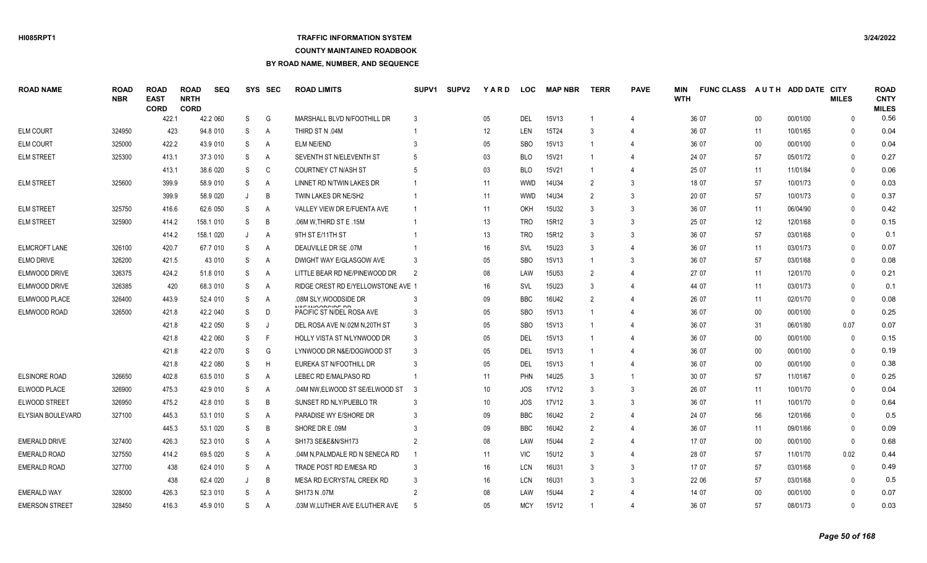### **TRAFFIC INFORMATION SYSTEM**

### **COUNTY MAINTAINED ROADBOOK**

| <b>ROAD NAME</b>      | <b>ROAD</b><br><b>NBR</b> | <b>ROAD</b><br><b>EAST</b><br><b>CORD</b> | <b>ROAD</b><br><b>NRTH</b><br><b>CORD</b> | <b>SEQ</b> | <b>SYS</b>   | <b>SEC</b>     | <b>ROAD LIMITS</b>                             | SUPV <sub>1</sub> | <b>SUPV2</b> | YARD   | <b>LOC</b> | <b>MAP NBR</b> | <b>TERR</b>   | <b>PAVE</b>    | MIN<br><b>WTH</b> | <b>FUNC CLASS</b> | AUTH   | ADD DATE CITY | <b>MILES</b> | <b>ROAD</b><br><b>CNTY</b><br><b>MILES</b> |
|-----------------------|---------------------------|-------------------------------------------|-------------------------------------------|------------|--------------|----------------|------------------------------------------------|-------------------|--------------|--------|------------|----------------|---------------|----------------|-------------------|-------------------|--------|---------------|--------------|--------------------------------------------|
|                       |                           | 422.1                                     |                                           | 42.2 060   | S            | G              | MARSHALL BLVD N/FOOTHILL DR                    |                   |              | 05     | DEL        | 15V13          |               | $\overline{4}$ |                   | 36 07             | 00     | 00/01/00      | $\Omega$     | 0.56                                       |
| <b>ELM COURT</b>      | 324950                    | 423                                       |                                           | 94.8 010   | S            | A              | THIRD ST N .04M                                |                   |              | 12     | LEN        | 15T24          | -3            | $\Delta$       |                   | 36 07             | 11     | 10/01/65      | $\Omega$     | 0.04                                       |
| <b>ELM COURT</b>      | 325000                    | 422.2                                     |                                           | 43.9 010   | S            | A              | <b>ELM NE/END</b>                              |                   |              | 05     | <b>SBO</b> | 15V13          |               | 4              |                   | 36 07             | 00     | 00/01/00      | $\Omega$     | 0.04                                       |
| <b>ELM STREET</b>     | 325300                    | 413.1                                     |                                           | 37.3 010   | S            | A              | SEVENTH ST N/ELEVENTH ST                       |                   |              | 03     | <b>BLO</b> | 15V21          |               | 4              |                   | 24 07             | 57     | 05/01/72      | $\Omega$     | 0.27                                       |
|                       |                           | 413.1                                     |                                           | 38.6 020   | S            | C              | <b>COURTNEY CT N/ASH ST</b>                    |                   |              | 03     | <b>BLO</b> | 15V21          |               | 4              |                   | 25 07             | 11     | 11/01/84      | $\mathbf{0}$ | 0.06                                       |
| <b>ELM STREET</b>     | 325600                    | 399.9                                     |                                           | 58.9 010   | S            | A              | LINNET RD N/TWIN LAKES DR                      |                   |              | 11     | <b>WWD</b> | 14U34          | $\mathcal{P}$ | 3              |                   | 18 07             | 57     | 10/01/73      | $\Omega$     | 0.03                                       |
|                       |                           | 399.9                                     |                                           | 58.9 020   | $\mathbf{J}$ | B              | TWIN LAKES DR NE/SH2                           |                   |              | 11     | <b>WWD</b> | 14U34          | $\mathcal{P}$ | 3              |                   | 20 07             | 57     | 10/01/73      | $\Omega$     | 0.37                                       |
| <b>ELM STREET</b>     | 325750                    | 416.6                                     |                                           | 62.6 050   | S            | A              | VALLEY VIEW DR E/FUENTA AVE                    |                   |              | 11     | OKH        | 15U32          |               | 3              |                   | 36 07             | 11     | 06/04/90      | $\Omega$     | 0.42                                       |
| <b>ELM STREET</b>     | 325900                    | 414.2                                     |                                           | 158.1 010  | S            | B              | .06M W.THIRD ST E .15M                         |                   |              | 13     | <b>TRO</b> | 15R12          | 3             | 3              |                   | 25 07             | 12     | 12/01/68      | $\Omega$     | 0.15                                       |
|                       |                           | 414.2                                     |                                           | 158.1 020  | J            | A              | 9TH ST E/11TH ST                               |                   |              | 13     | <b>TRO</b> | 15R12          | 3             | 3              |                   | 36 07             | 57     | 03/01/68      | $\mathbf{0}$ | 0.1                                        |
| ELMCROFT LANE         | 326100                    | 420.7                                     |                                           | 67.7 010   | S            | $\overline{A}$ | DEAUVILLE DR SE .07M                           |                   |              | 16     | SVL        | 15U23          | 3             | 4              |                   | 36 07             | 11     | 03/01/73      | $\Omega$     | 0.07                                       |
| <b>ELMO DRIVE</b>     | 326200                    | 421.5                                     |                                           | 43 010     | S            | Α              | DWIGHT WAY E/GLASGOW AVE                       |                   |              | 05     | <b>SBO</b> | 15V13          |               | 3              |                   | 36 07             | 57     | 03/01/68      | $\mathbf{0}$ | 0.08                                       |
| ELMWOOD DRIVE         | 326375                    | 424.2                                     |                                           | 51.8 010   | S            | $\overline{A}$ | LITTLE BEAR RD NE/PINEWOOD DR                  | 2                 |              | 08     | LAW        | 15U53          |               | $\overline{4}$ |                   | 27 07             | 11     | 12/01/70      | $\Omega$     | 0.21                                       |
| ELMWOOD DRIVE         | 326385                    | 420                                       |                                           | 68.3 010   | S            | $\overline{A}$ | RIDGE CREST RD E/YELLOWSTONE AVE 1             |                   |              | 16     | SVL        | 15U23          | 3             | 4              |                   | 44 07             | 11     | 03/01/73      | $\mathbf{0}$ | 0.1                                        |
| ELMWOOD PLACE         | 326400                    | 443.9                                     |                                           | 52.4 010   | S            | $\overline{A}$ | .08M SLY.WOODSIDE DR<br><b>NOTAHOODOIDE DE</b> |                   |              | 09     | <b>BBC</b> | 16U42          |               |                |                   | 26 07             | 11     | 02/01/70      | $\Omega$     | 0.08                                       |
| ELMWOOD ROAD          | 326500                    | 421.8                                     |                                           | 42.2 040   | S            | D              | PACIFIC ST N/DEL ROSA AVE                      |                   |              | 05     | <b>SBO</b> | 15V13          |               | 4              |                   | 36 07             | $00\,$ | 00/01/00      | $\mathbf 0$  | 0.25                                       |
|                       |                           | 421.8                                     |                                           | 42.2 050   | S            | J              | DEL ROSA AVE N/.02M N,20TH ST                  |                   |              | 05     | <b>SBO</b> | 15V13          |               | 4              |                   | 36 07             | 31     | 06/01/80      | 0.07         | 0.07                                       |
|                       |                           | 421.8                                     |                                           | 42.2 060   | S            | F              | HOLLY VISTA ST N/LYNWOOD DR                    |                   |              | 05     | DEL        | 15V13          |               | $\overline{4}$ |                   | 36 07             | $00\,$ | 00/01/00      | $\mathbf{0}$ | 0.15                                       |
|                       |                           | 421.8                                     |                                           | 42.2 070   | S            | G              | LYNWOOD DR N&E/DOGWOOD ST                      |                   |              | 05     | DEL        | 15V13          |               | 4              |                   | 36 07             | $00\,$ | 00/01/00      | $\mathbf{0}$ | 0.19                                       |
|                       |                           | 421.8                                     |                                           | 42.2 080   | S            | H              | EUREKA ST N/FOOTHILL DR                        |                   |              | 05     | DEL        | 15V13          |               | 4              |                   | 36 07             | $00\,$ | 00/01/00      | $\mathbf{0}$ | 0.38                                       |
| <b>ELSINORE ROAD</b>  | 326650                    | 402.8                                     |                                           | 63.5 010   | S            | $\overline{A}$ | LEBEC RD E/MALPASO RD                          |                   |              | 11     | <b>PHN</b> | 14U25          | -3            | -1             |                   | 30 07             | 57     | 11/01/67      | $\mathbf{0}$ | 0.25                                       |
| ELWOOD PLACE          | 326900                    | 475.3                                     |                                           | 42.9 010   | S            | A              | .04M NW, ELWOOD ST SE/ELWOOD ST                | -3                |              | 10     | JOS        | 17V12          |               | 3              |                   | 26 07             | 11     | 10/01/70      | $\mathbf{0}$ | 0.04                                       |
| <b>ELWOOD STREET</b>  | 326950                    | 475.2                                     |                                           | 42.8 010   | S            | B              | SUNSET RD NLY/PUEBLO TR                        |                   |              | 10     | JOS        | 17V12          | $\mathcal{R}$ | 3              |                   | 36 07             | 11     | 10/01/70      | $\mathbf{0}$ | 0.64                                       |
| ELYSIAN BOULEVARD     | 327100                    | 445.3                                     |                                           | 53.1 010   | S            | A              | PARADISE WY E/SHORE DR                         |                   |              | 09     | <b>BBC</b> | 16U42          | $\mathcal{P}$ | $\overline{4}$ |                   | 24 07             | 56     | 12/01/66      | $\Omega$     | 0.5                                        |
|                       |                           | 445.3                                     |                                           | 53.1 020   | S            | B              | SHORE DR E .09M                                |                   |              | 09     | <b>BBC</b> | 16U42          | 2             | $\overline{4}$ |                   | 36 07             | 11     | 09/01/66      | $\Omega$     | 0.09                                       |
| <b>EMERALD DRIVE</b>  | 327400                    | 426.3                                     |                                           | 52.3 010   | S            | $\overline{A}$ | SH173 SE&E&N/SH173                             |                   |              | 08     | LAW        | 15U44          |               | $\overline{4}$ |                   | 17 07             | $00\,$ | 00/01/00      | $\mathbf{0}$ | 0.68                                       |
| <b>EMERALD ROAD</b>   | 327550                    | 414.2                                     |                                           | 69.5 020   | S            | A              | .04M N.PALMDALE RD N SENECA RD                 |                   |              | 11     | <b>VIC</b> | 15U12          | 3             |                |                   | 28 07             | 57     | 11/01/70      | 0.02         | 0.44                                       |
| <b>EMERALD ROAD</b>   | 327700                    | 438                                       |                                           | 62.4 010   | S            | $\overline{A}$ | TRADE POST RD E/MESA RD                        | -3                |              | 16     | LCN        | 16U31          | 3             | 3              |                   | 17 07             | 57     | 03/01/68      | $\Omega$     | 0.49                                       |
|                       |                           | 438                                       |                                           | 62.4 020   |              | B              | MESA RD E/CRYSTAL CREEK RD                     |                   |              | 16     | <b>LCN</b> | 16U31          |               | 3              |                   | 22 06             | 57     | 03/01/68      | $\Omega$     | 0.5                                        |
| <b>EMERALD WAY</b>    | 328000                    | 426.3                                     |                                           | 52.3 010   | S            | A              | SH173 N .07M                                   |                   |              | 08     | LAW        | <b>15U44</b>   | 2             |                |                   | 14 07             | $00\,$ | 00/01/00      | $\mathsf{O}$ | 0.07                                       |
| <b>EMERSON STREET</b> | 328450                    | 416.3                                     |                                           | 45.9 010   | S.           | A              | .03M W.LUTHER AVE E/LUTHER AVE                 |                   |              | $05\,$ | <b>MCY</b> | 15V12          |               | $\overline{4}$ |                   | 36 07             | 57     | 08/01/73      | $\Omega$     | 0.03                                       |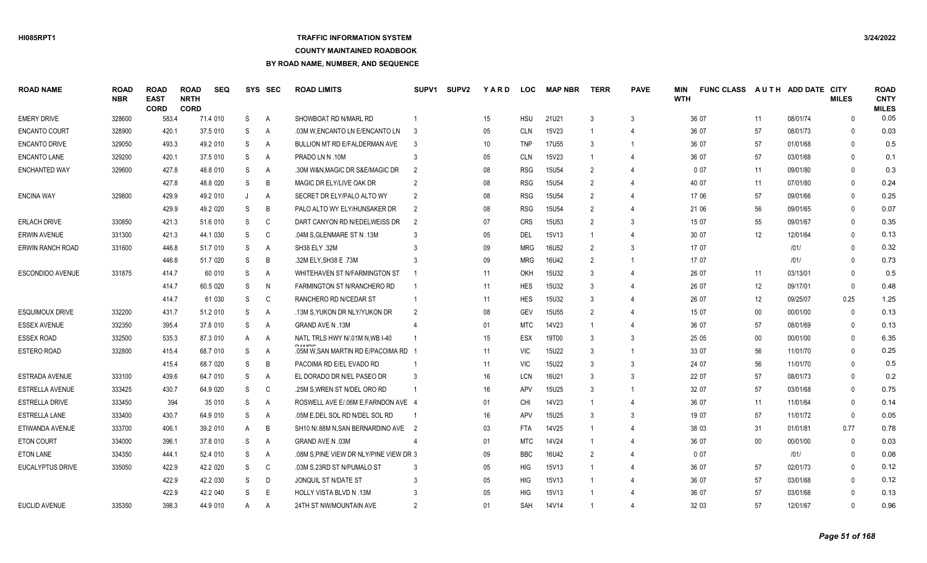### **TRAFFIC INFORMATION SYSTEM**

### **COUNTY MAINTAINED ROADBOOK**

| <b>ROAD NAME</b>        | <b>ROAD</b><br><b>NBR</b> | <b>ROAD</b><br><b>EAST</b><br><b>CORD</b> | <b>ROAD</b><br><b>NRTH</b><br><b>CORD</b> | <b>SEQ</b> |   | SYS SEC      | <b>ROAD LIMITS</b>                     | SUPV <sub>1</sub> | <b>SUPV2</b> | <b>YARD</b>     | <b>LOC</b> | <b>MAP NBR</b> | <b>TERR</b>             | <b>PAVE</b>             | <b>MIN</b><br><b>WTH</b> | <b>FUNC CLASS</b> |        | AUTH ADD DATE CITY | <b>MILES</b> | <b>ROAD</b><br><b>CNTY</b><br><b>MILES</b> |
|-------------------------|---------------------------|-------------------------------------------|-------------------------------------------|------------|---|--------------|----------------------------------------|-------------------|--------------|-----------------|------------|----------------|-------------------------|-------------------------|--------------------------|-------------------|--------|--------------------|--------------|--------------------------------------------|
| <b>EMERY DRIVE</b>      | 328600                    | 583.4                                     |                                           | 71.4 010   | S | A            | SHOWBOAT RD N/MARL RD                  |                   |              | 15              | <b>HSU</b> | 21U21          | 3                       | 3                       |                          | 36 07             | 11     | 08/01/74           | $\mathbf{0}$ | 0.05                                       |
| <b>ENCANTO COURT</b>    | 328900                    | 420.1                                     |                                           | 37.5 010   | S | A            | .03M W, ENCANTO LN E/ENCANTO LN        | -3                |              | 05              | <b>CLN</b> | 15V23          |                         | $\overline{4}$          |                          | 36 07             | 57     | 08/01/73           | $\Omega$     | 0.03                                       |
| <b>ENCANTO DRIVE</b>    | 329050                    | 493.3                                     |                                           | 49.2 010   | S | A            | BULLION MT RD E/FALDERMAN AVE          | -3                |              | 10 <sup>°</sup> | <b>TNP</b> | 17U55          | 3                       | $\overline{\mathbf{1}}$ |                          | 36 07             | 57     | 01/01/68           | $\Omega$     | 0.5                                        |
| <b>ENCANTO LANE</b>     | 329200                    | 420.1                                     |                                           | 37.5 010   | S | $\mathsf{A}$ | PRADO LN N .10M                        | 3                 |              | 05              | <b>CLN</b> | 15V23          |                         | $\overline{4}$          |                          | 36 07             | 57     | 03/01/68           | $\Omega$     | 0.1                                        |
| ENCHANTED WAY           | 329600                    | 427.8                                     |                                           | 48.8 010   | S | A            | .30M W&N, MAGIC DR S&E/MAGIC DR        | 2                 |              | 08              | <b>RSG</b> | <b>15U54</b>   | $\mathcal{P}$           | 4                       |                          | 007               | 11     | 09/01/80           | $\Omega$     | 0.3                                        |
|                         |                           | 427.8                                     |                                           | 48.8 020   | S | B            | MAGIC DR ELY/LIVE OAK DR               | $\mathfrak{D}$    |              | 08              | <b>RSG</b> | <b>15U54</b>   | $\mathcal{P}$           | 4                       |                          | 40 07             | 11     | 07/01/80           | $\Omega$     | 0.24                                       |
| <b>ENCINA WAY</b>       | 329800                    | 429.9                                     |                                           | 49.2 010   | J | Α            | SECRET DR ELY/PALO ALTO WY             | $\overline{2}$    |              | 08              | <b>RSG</b> | <b>15U54</b>   | $\mathcal{P}$           |                         |                          | 17 06             | 57     | 09/01/66           | $\Omega$     | 0.25                                       |
|                         |                           | 429.9                                     |                                           | 49.2 020   | S | B            | PALO ALTO WY ELY/HUNSAKER DR           | $\overline{2}$    |              | 08              | <b>RSG</b> | <b>15U54</b>   | $\mathcal{P}$           | 4                       |                          | 21 06             | 56     | 09/01/65           | $\Omega$     | 0.07                                       |
| <b>ERLACH DRIVE</b>     | 330850                    | 421.3                                     |                                           | 51.6 010   | S | C            | DART CANYON RD N/EDELWEISS DR          | $\overline{2}$    |              | 07              | <b>CRS</b> | 15U53          | $\overline{2}$          | 3                       |                          | 15 07             | 55     | 09/01/67           | $\Omega$     | 0.35                                       |
| <b>ERWIN AVENUE</b>     | 331300                    | 421.3                                     |                                           | 44.1 030   | S | C            | .04M S, GLENMARE ST N .13M             | 3                 |              | 05              | DEL        | 15V13          | -1                      | $\overline{4}$          |                          | 30 07             | 12     | 12/01/64           | $\mathbf{0}$ | 0.13                                       |
| ERWIN RANCH ROAD        | 331600                    | 446.8                                     |                                           | 51.7 010   | S | A            | SH38 ELY .32M                          |                   |              | 09              | <b>MRG</b> | 16U52          | $\mathcal{P}$           | 3                       |                          | 17 07             |        | 1011               | $\Omega$     | 0.32                                       |
|                         |                           | 446.8                                     |                                           | 51.7 020   | S | B            | 32M ELY, SH38 E .73M                   |                   |              | 09              | <b>MRG</b> | 16U42          | $\mathcal{P}$           | $\overline{1}$          |                          | 17 07             |        | 1011               | $\Omega$     | 0.73                                       |
| <b>ESCONDIDO AVENUE</b> | 331875                    | 414.7                                     |                                           | 60 010     | S | A            | WHITEHAVEN ST N/FARMINGTON ST          |                   |              | 11              | OKH        | 15U32          | 3                       | $\overline{4}$          |                          | 26 07             | 11     | 03/13/01           | $\Omega$     | 0.5                                        |
|                         |                           | 414.7                                     |                                           | 60.5 020   | S | $\mathsf{N}$ | FARMINGTON ST N/RANCHERO RD            |                   |              | 11              | <b>HES</b> | 15U32          | 3                       | 4                       |                          | 26 07             | 12     | 09/17/01           | $\mathbf 0$  | 0.48                                       |
|                         |                           | 414.7                                     |                                           | 61 030     | S | C            | RANCHERO RD N/CEDAR ST                 |                   |              | 11              | <b>HES</b> | 15U32          | 3                       | 4                       |                          | 26 07             | 12     | 09/25/07           | 0.25         | 1.25                                       |
| <b>ESQUIMOUX DRIVE</b>  | 332200                    | 431.7                                     |                                           | 51.2 010   | S | A            | 13M S, YUKON DR NLY/YUKON DR           | $\overline{2}$    |              | 08              | <b>GEV</b> | 15U55          | $\overline{2}$          | $\Delta$                |                          | 15 07             | $00\,$ | 00/01/00           | $\mathbf{0}$ | 0.13                                       |
| <b>ESSEX AVENUE</b>     | 332350                    | 395.4                                     |                                           | 37.8 010   | S | Α            | <b>GRAND AVE N.13M</b>                 |                   |              | 01              | <b>MTC</b> | 14V23          | $\overline{\mathbf{1}}$ | $\overline{4}$          |                          | 36 07             | 57     | 08/01/69           | $\mathbf{0}$ | 0.13                                       |
| <b>ESSEX ROAD</b>       | 332500                    | 535.3                                     |                                           | 87.3 010   | A | Α            | NATL TRLS HWY N/.01M N, WB I-40        |                   |              | 15              | ESX        | 19T00          | 3                       | 3                       |                          | 25 05             | $00\,$ | 00/01/00           | $\Omega$     | 6.35                                       |
| ESTERO ROAD             | 332800                    | 415.4                                     |                                           | 68.7 010   | S | A            | .05M W, SAN MARTIN RD E/PACOIMA RD 1   |                   |              | 11              | <b>VIC</b> | 15U22          | 3                       | $\overline{1}$          |                          | 33 07             | 56     | 11/01/70           | $\mathbf{0}$ | 0.25                                       |
|                         |                           | 415.4                                     |                                           | 68.7 020   | S | B            | PACOIMA RD E/EL EVADO RD               |                   |              | 11              | <b>VIC</b> | 15U22          | 3                       | 3                       |                          | 24 07             | 56     | 11/01/70           | $\Omega$     | 0.5                                        |
| ESTRADA AVENUE          | 333100                    | 439.6                                     |                                           | 64.7 010   | S | Α            | EL DORADO DR N/EL PASEO DR             | 3                 |              | 16              | LCN        | 16U21          | 3                       | 3                       |                          | 22 07             | 57     | 08/01/73           | $\mathbf{0}$ | 0.2                                        |
| ESTRELLA AVENUE         | 333425                    | 430.7                                     |                                           | 64.9 020   | S | C            | .25M S.WREN ST N/DEL ORO RD            |                   |              | 16              | <b>APV</b> | 15U25          | 3                       | $\overline{1}$          |                          | 32 07             | 57     | 03/01/68           | $\Omega$     | 0.75                                       |
| ESTRELLA DRIVE          | 333450                    | 394                                       |                                           | 35 010     | S | A            | ROSWELL AVE E/.06M E, FARNDON AVE 4    |                   |              | 01              | <b>CHI</b> | 14V23          |                         | $\overline{4}$          |                          | 36 07             | 11     | 11/01/64           | $\mathbf{0}$ | 0.14                                       |
| <b>ESTRELLA LANE</b>    | 333400                    | 430.7                                     |                                           | 64.9 010   | S | Α            | .05M E, DEL SOL RD N/DEL SOL RD        |                   |              | 16              | <b>APV</b> | 15U25          | 3                       | 3                       |                          | 19 07             | 57     | 11/01/72           | $\Omega$     | 0.05                                       |
| ETIWANDA AVENUE         | 333700                    | 406.1                                     |                                           | 39.2 010   | A | B            | SH10 N/.88M N, SAN BERNARDINO AVE 2    |                   |              | 03              | <b>FTA</b> | 14V25          |                         | $\Delta$                |                          | 38 03             | 31     | 01/01/81           | 0.77         | 0.78                                       |
| <b>ETON COURT</b>       | 334000                    | 396.1                                     |                                           | 37.8 010   | S | $\mathsf{A}$ | GRAND AVE N .03M                       |                   |              | 01              | <b>MTC</b> | 14V24          | -1                      | 4                       |                          | 36 07             | $00\,$ | 00/01/00           | $\Omega$     | 0.03                                       |
| <b>ETON LANE</b>        | 334350                    | 444.1                                     |                                           | 52.4 010   | S | A            | .08M S.PINE VIEW DR NLY/PINE VIEW DR 3 |                   |              | 09              | <b>BBC</b> | 16U42          | $\mathfrak{p}$          | $\Delta$                |                          | 007               |        | 1011               | $\Omega$     | 0.08                                       |
| EUCALYPTUS DRIVE        | 335050                    | 422.9                                     |                                           | 42.2 020   | S | C            | .03M S,23RD ST N/PUMALO ST             | 3                 |              | 05              | <b>HIG</b> | 15V13          |                         | $\overline{4}$          |                          | 36 07             | 57     | 02/01/73           | $\Omega$     | 0.12                                       |
|                         |                           | 422.9                                     |                                           | 42.2 030   | S | D            | JONQUIL ST N/DATE ST                   |                   |              | 05              | <b>HIG</b> | 15V13          |                         | $\overline{4}$          |                          | 36 07             | 57     | 03/01/68           | $\Omega$     | 0.12                                       |
|                         |                           | 422.9                                     |                                           | 42.2 040   | S | E            | <b>HOLLY VISTA BLVD N.13M</b>          |                   |              | 05              | <b>HIG</b> | 15V13          |                         |                         |                          | 36 07             | 57     | 03/01/68           | $\Omega$     | 0.13                                       |
| <b>EUCLID AVENUE</b>    | 335350                    | 398.3                                     |                                           | 44.9 010   | A | A            | 24TH ST NW/MOUNTAIN AVE                | $\mathcal{P}$     |              | 01              | <b>SAH</b> | 14V14          |                         | $\overline{4}$          |                          | 32 03             | 57     | 12/01/67           | $\Omega$     | 0.96                                       |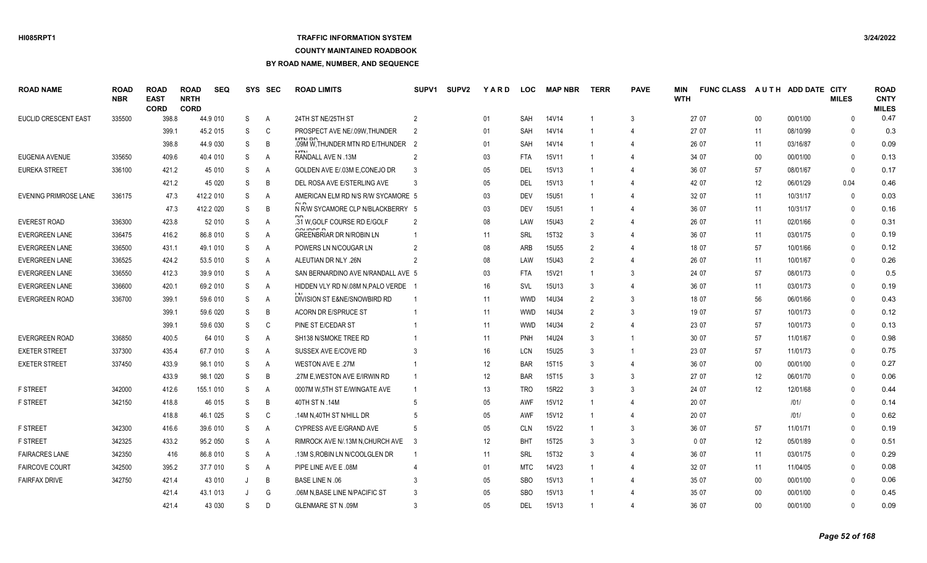## **TRAFFIC INFORMATION SYSTEM**

**COUNTY MAINTAINED ROADBOOK**

| <b>ROAD NAME</b>             | ROAD<br><b>NBR</b> | <b>ROAD</b><br><b>EAST</b><br><b>CORD</b> | <b>ROAD</b><br><b>NRTH</b><br><b>CORD</b> | <b>SEQ</b> |   | SYS SEC        | <b>ROAD LIMITS</b>                          | SUPV <sub>1</sub> | <b>SUPV2</b> | <b>YARD</b>       | <b>LOC</b> | <b>MAP NBR</b> | <b>TERR</b>    | <b>PAVE</b>              | <b>MIN</b><br><b>WTH</b> | <b>FUNC CLASS</b> |        | AUTH ADD DATE CITY | <b>MILES</b> | <b>ROAD</b><br><b>CNTY</b><br><b>MILES</b> |
|------------------------------|--------------------|-------------------------------------------|-------------------------------------------|------------|---|----------------|---------------------------------------------|-------------------|--------------|-------------------|------------|----------------|----------------|--------------------------|--------------------------|-------------------|--------|--------------------|--------------|--------------------------------------------|
| EUCLID CRESCENT EAST         | 335500             | 398.8                                     |                                           | 44.9 010   | S | A              | 24TH ST NE/25TH ST                          | 2                 |              | 01                | <b>SAH</b> | 14V14          |                | 3                        |                          | 27 07             | $00\,$ | 00/01/00           | $\Omega$     | 0.47                                       |
|                              |                    | 399.1                                     |                                           | 45.2 015   | S | C              | PROSPECT AVE NE/.09W, THUNDER               | $\mathcal{P}$     |              | 01                | <b>SAH</b> | 14V14          |                | $\Delta$                 |                          | 27 07             | 11     | 08/10/99           | $\Omega$     | 0.3                                        |
|                              |                    | 398.8                                     |                                           | 44.9 030   | S | B              | .09M W, THUNDER MTN RD E/THUNDER 2          |                   |              | 01                | <b>SAH</b> | 14V14          |                | $\Delta$                 |                          | 26 07             | 11     | 03/16/87           | $\Omega$     | 0.09                                       |
| EUGENIA AVENUE               | 335650             | 409.6                                     |                                           | 40.4 010   | S | Α              | RANDALL AVE N.13M                           |                   |              | 03                | <b>FTA</b> | 15V11          |                | $\Delta$                 |                          | 34 07             | 00     | 00/01/00           | $\Omega$     | 0.13                                       |
| <b>EUREKA STREET</b>         | 336100             | 421.2                                     |                                           | 45 010     | S | A              | GOLDEN AVE E/.03M E, CONEJO DR              | -3                |              | 05                | DEL        | 15V13          |                |                          |                          | 36 07             | 57     | 08/01/67           | $\Omega$     | 0.17                                       |
|                              |                    | 421.2                                     |                                           | 45 020     | S | B              | DEL ROSA AVE E/STERLING AVE                 | 3                 |              | 05                | DEL        | 15V13          |                |                          |                          | 42 07             | 12     | 06/01/29           | 0.04         | 0.46                                       |
| <b>EVENING PRIMROSE LANE</b> | 336175             | 47.3                                      |                                           | 412.2 010  | S | A              | AMERICAN ELM RD N/S R/W SYCAMORE 5          |                   |              | 03                | <b>DEV</b> | 15U51          |                |                          |                          | 32 07             | 11     | 10/31/17           | $\Omega$     | 0.03                                       |
|                              |                    | 47.3                                      |                                           | 412.2 020  | S | B              | N R/W SYCAMORE CLP N/BLACKBERRY 5           |                   |              | 03                | <b>DEV</b> | 15U51          | -1             | 4                        |                          | 36 07             | 11     | 10/31/17           | $\mathbf{0}$ | 0.16                                       |
| <b>EVEREST ROAD</b>          | 336300             | 423.8                                     |                                           | 52 010     | S | A              | .31 W, GOLF COURSE RD E/GOLF                | $\overline{2}$    |              | 08                | LAW        | 15U43          | $\overline{2}$ | 4                        |                          | 26 07             | 11     | 02/01/66           | $\mathbf{0}$ | 0.31                                       |
| <b>EVERGREEN LANE</b>        | 336475             | 416.2                                     |                                           | 86.8 010   | S | Α              | 00100000<br><b>GREENBRIAR DR N/ROBIN LN</b> |                   |              | 11                | SRL        | 15T32          | 3              | 4                        |                          | 36 07             | 11     | 03/01/75           | $\mathbf{0}$ | 0.19                                       |
| <b>EVERGREEN LANE</b>        | 336500             | 431.1                                     |                                           | 49.1 010   | S | A              | POWERS LN N/COUGAR LN                       |                   |              | 08                | ARB        | <b>15U55</b>   | $\overline{2}$ | $\Delta$                 |                          | 18 07             | 57     | 10/01/66           | $\mathbf{0}$ | 0.12                                       |
| <b>EVERGREEN LANE</b>        | 336525             | 424.2                                     |                                           | 53.5 010   | S | A              | ALEUTIAN DR NLY .26N                        | 2                 |              | 08                | LAW        | 15U43          | $\mathfrak{p}$ | $\Delta$                 |                          | 26 07             | 11     | 10/01/67           | $\Omega$     | 0.26                                       |
| <b>EVERGREEN LANE</b>        | 336550             | 412.3                                     |                                           | 39.9 010   | S | A              | SAN BERNARDINO AVE N/RANDALL AVE 5          |                   |              | 03                | <b>FTA</b> | 15V21          | -1             | 3                        |                          | 24 07             | 57     | 08/01/73           | $\Omega$     | 0.5                                        |
| <b>EVERGREEN LANE</b>        | 336600             | 420.1                                     |                                           | 69.2 010   | S | A              | HIDDEN VLY RD N/.08M N.PALO VERDE 1         |                   |              | 16                | <b>SVL</b> | 15U13          | 3              |                          |                          | 36 07             | 11     | 03/01/73           | $\Omega$     | 0.19                                       |
| <b>EVERGREEN ROAD</b>        | 336700             | 399.1                                     |                                           | 59.6 010   | S | A              | DIVISION ST E&NE/SNOWBIRD RD                |                   |              | 11                | <b>WWD</b> | 14U34          | $\mathcal{P}$  | 3                        |                          | 18 07             | 56     | 06/01/66           | $\Omega$     | 0.43                                       |
|                              |                    | 399.1                                     |                                           | 59.6 020   | S | B              | <b>ACORN DR E/SPRUCE ST</b>                 |                   |              | 11                | <b>WWD</b> | 14U34          | $\mathcal{P}$  | 3                        |                          | 19 07             | 57     | 10/01/73           | $\Omega$     | 0.12                                       |
|                              |                    | 399.1                                     |                                           | 59.6 030   | S | C              | PINE ST E/CEDAR ST                          |                   |              | 11                | <b>WWD</b> | 14U34          | $\mathcal{P}$  | 4                        |                          | 23 07             | 57     | 10/01/73           | $\Omega$     | 0.13                                       |
| <b>EVERGREEN ROAD</b>        | 336850             | 400.5                                     |                                           | 64 010     | S | A              | SH138 N/SMOKE TREE RD                       |                   |              | 11                | <b>PNH</b> | 14U24          |                | $\overline{1}$           |                          | 30 07             | 57     | 11/01/67           | $\Omega$     | 0.98                                       |
| <b>EXETER STREET</b>         | 337300             | 435.4                                     |                                           | 67.7 010   | S | $\overline{A}$ | SUSSEX AVE E/COVE RD                        | 3                 |              | 16                | <b>LCN</b> | 15U25          | 3              | $\overline{1}$           |                          | 23 07             | 57     | 11/01/73           | $\Omega$     | 0.75                                       |
| EXETER STREET                | 337450             | 433.9                                     |                                           | 98.1 010   | S | A              | WESTON AVE E .27M                           |                   |              | $12 \overline{ }$ | <b>BAR</b> | 15T15          | 3              | $\overline{\mathcal{L}}$ |                          | 36 07             | $00\,$ | 00/01/00           | $\Omega$     | 0.27                                       |
|                              |                    | 433.9                                     |                                           | 98.1 020   | S | B              | .27M E, WESTON AVE E/IRWIN RD               |                   |              | 12                | <b>BAR</b> | 15T15          | 3              | 3                        |                          | 27 07             | 12     | 06/01/70           | $\Omega$     | 0.06                                       |
| <b>F STREET</b>              | 342000             | 412.6                                     |                                           | 155.1 010  | S | A              | 0007M W.5TH ST E/WINGATE AVE                |                   |              | 13                | <b>TRO</b> | 15R22          | 3              | 3                        |                          | 24 07             | 12     | 12/01/68           | $\Omega$     | 0.44                                       |
| <b>F STREET</b>              | 342150             | 418.8                                     |                                           | 46 015     | S | B              | 40TH ST N .14M                              |                   |              | 05                | <b>AWF</b> | 15V12          |                |                          |                          | 20 07             |        | 1011               | $\Omega$     | 0.14                                       |
|                              |                    | 418.8                                     |                                           | 46.1 025   | S | $\mathsf{C}$   | .14M N.40TH ST N/HILL DR                    |                   |              | 05                | <b>AWF</b> | 15V12          | $\overline{1}$ | $\Delta$                 |                          | 20 07             |        | 1011               | $\Omega$     | 0.62                                       |
| <b>F STREET</b>              | 342300             | 416.6                                     |                                           | 39.6 010   | S | $\overline{A}$ | CYPRESS AVE E/GRAND AVE                     | .5                |              | 05                | <b>CLN</b> | 15V22          |                | 3                        |                          | 36 07             | 57     | 11/01/71           | $\mathbf{0}$ | 0.19                                       |
| <b>F STREET</b>              | 342325             | 433.2                                     |                                           | 95.2 050   | S | A              | RIMROCK AVE N/.13M N.CHURCH AVE 3           |                   |              | 12                | <b>BHT</b> | 15T25          | 3              | 3                        |                          | 007               | 12     | 05/01/89           | $\mathbf{0}$ | 0.51                                       |
| <b>FAIRACRES LANE</b>        | 342350             | 416                                       |                                           | 86.8 010   | S | Α              | .13M S, ROBIN LN N/COOLGLEN DR              |                   |              | 11                | SRL        | 15T32          | 3              | 4                        |                          | 36 07             | 11     | 03/01/75           | $\Omega$     | 0.29                                       |
| <b>FAIRCOVE COURT</b>        | 342500             | 395.2                                     |                                           | 37.7 010   | S | Α              | PIPE LINE AVE E .08M                        |                   |              | 01                | <b>MTC</b> | 14V23          |                |                          |                          | 32 07             | 11     | 11/04/05           | $\Omega$     | 0.08                                       |
| <b>FAIRFAX DRIVE</b>         | 342750             | 421.4                                     |                                           | 43 010     | J | B              | <b>BASE LINE N.06</b>                       | 3                 |              | 05                | <b>SBO</b> | 15V13          |                |                          |                          | 35 07             | 00     | 00/01/00           | $\Omega$     | 0.06                                       |
|                              |                    | 421.4                                     |                                           | 43.1 013   |   | G              | .06M N.BASE LINE N/PACIFIC ST               |                   |              | 05                | <b>SBO</b> | 15V13          |                |                          |                          | 35 07             | $00\,$ | 00/01/00           | $\cap$       | 0.45                                       |
|                              |                    | 421.4                                     |                                           | 43 030     | S | D.             | <b>GLENMARE ST N .09M</b>                   |                   |              | 05                | DEL        | 15V13          |                | $\overline{4}$           |                          | 36 07             | $00\,$ | 00/01/00           | $\Omega$     | 0.09                                       |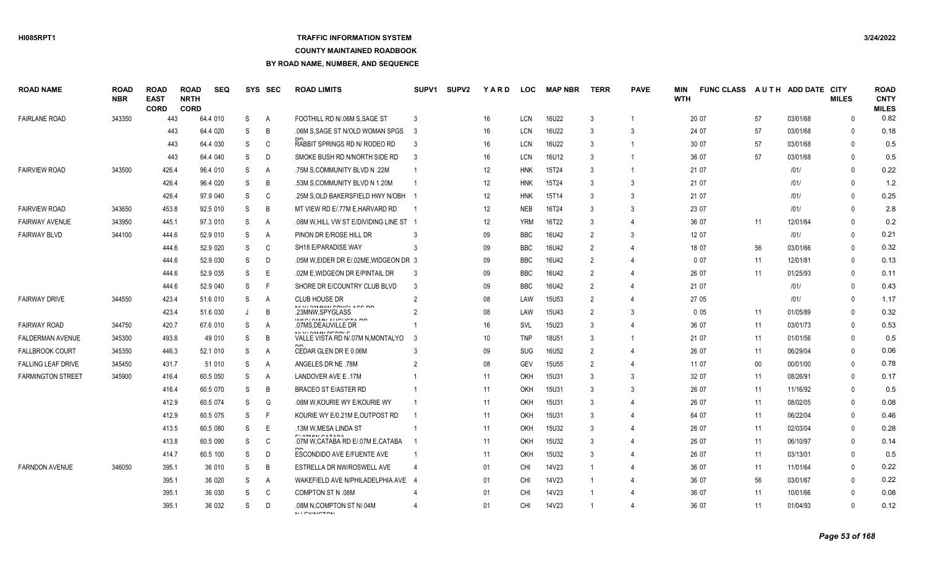### **TRAFFIC INFORMATION SYSTEM**

### **COUNTY MAINTAINED ROADBOOK**

| <b>ROAD NAME</b>          | <b>ROAD</b><br><b>NBR</b> | <b>ROAD</b><br><b>EAST</b><br><b>CORD</b> | <b>ROAD</b><br><b>NRTH</b><br><b>CORD</b> | <b>SEQ</b> | <b>SYS</b>   | SEC            | <b>ROAD LIMITS</b>                                           | SUPV <sub>1</sub> | <b>SUPV2</b> | YARD | <b>LOC</b> | <b>MAP NBR</b> | <b>TERR</b>    | <b>PAVE</b>    | MIN<br><b>WTH</b> | <b>FUNC CLASS</b> |        | AUTH ADD DATE CITY | <b>MILES</b> | <b>ROAD</b><br><b>CNTY</b><br><b>MILES</b> |
|---------------------------|---------------------------|-------------------------------------------|-------------------------------------------|------------|--------------|----------------|--------------------------------------------------------------|-------------------|--------------|------|------------|----------------|----------------|----------------|-------------------|-------------------|--------|--------------------|--------------|--------------------------------------------|
| <b>FAIRLANE ROAD</b>      | 343350                    |                                           | 443                                       | 64.4 010   | S            | $\overline{A}$ | FOOTHILL RD N/.06M S, SAGE ST                                | 3                 |              | 16   | LCN        | 16U22          | 3              |                |                   | 20 07             | 57     | 03/01/68           | $\mathbf{0}$ | 0.82                                       |
|                           |                           |                                           | 443                                       | 64.4 020   | <sub>S</sub> | B              | 06M S, SAGE ST N/OLD WOMAN SPGS                              | - 3               |              | 16   | <b>LCN</b> | 16U22          | 3              | 3              |                   | 24 07             | 57     | 03/01/68           | $\Omega$     | 0.18                                       |
|                           |                           |                                           | 443                                       | 64.4 030   | <sub>S</sub> | C              | RABBIT SPRINGS RD N/ RODEO RD                                | 3                 |              | 16   | LCN        | 16U22          | 3              | $\overline{1}$ |                   | 30 07             | 57     | 03/01/68           | $\mathbf{0}$ | 0.5                                        |
|                           |                           |                                           | 443                                       | 64.4 040   | -S           | D              | SMOKE BUSH RD N/NORTH SIDE RD                                | $\mathcal{R}$     |              | 16   | <b>LCN</b> | 16U12          | $\mathcal{R}$  |                |                   | 36 07             | 57     | 03/01/68           | $\Omega$     | 0.5                                        |
| <b>FAIRVIEW ROAD</b>      | 343500                    | 426.4                                     |                                           | 96.4 010   | S            | A              | .75M S.COMMUNITY BLVD N .22M                                 |                   |              | 12   | <b>HNK</b> | 15T24          |                | $\overline{1}$ |                   | 21 07             |        | 1011               | $\Omega$     | 0.22                                       |
|                           |                           | 426.4                                     |                                           | 96.4 020   | <sub>S</sub> | B              | .53M S.COMMUNITY BLVD N 1.20M                                |                   |              | 12   | <b>HNK</b> | 15T24          | 3              | 3              |                   | 21 07             |        | 1011               | $\Omega$     | 1.2                                        |
|                           |                           | 426.4                                     |                                           | 97.9 040   | <sub>S</sub> | C              | .25M S, OLD BAKERSFIELD HWY N/OBH                            |                   |              | 12   | <b>HNK</b> | 15T14          | 3              | 3              |                   | 21 07             |        | 1011               | $\Omega$     | 0.25                                       |
| <b>FAIRVIEW ROAD</b>      | 343650                    | 453.8                                     |                                           | 92.5 010   | <sub>S</sub> | $\overline{B}$ | MT VIEW RD E/.77M E, HARVARD RD                              |                   |              | 12   | <b>NEB</b> | 16T24          | $\mathcal{R}$  | 3              |                   | 23 07             |        | 1011               | $\Omega$     | 2.8                                        |
| <b>FAIRWAY AVENUE</b>     | 343950                    | 445.1                                     |                                           | 97.3 010   | <sub>S</sub> | A              | .08M W.HILL VW ST E/DIVIDING LINE ST                         |                   |              | 12   | <b>YRM</b> | 16T22          |                |                |                   | 36 07             | 11     | 12/01/64           | $\Omega$     | 0.2                                        |
| <b>FAIRWAY BLVD</b>       | 344100                    | 444.6                                     |                                           | 52.9 010   | <sub>S</sub> | A              | PINON DR E/ROSE HILL DR                                      | 3                 |              | 09   | <b>BBC</b> | 16U42          | $\mathfrak{D}$ | 3              |                   | 12 07             |        | 1011               | $\Omega$     | 0.21                                       |
|                           |                           | 444.6                                     |                                           | 52.9 020   | S            | C              | SH18 E/PARADISE WAY                                          | 3                 |              | 09   | <b>BBC</b> | 16U42          | $\overline{2}$ | $\overline{4}$ |                   | 18 07             | 56     | 03/01/66           | $\mathbf{0}$ | 0.32                                       |
|                           |                           | 444.6                                     |                                           | 52.9 030   | <sub>S</sub> | D              | .05M W, EIDER DR E/.02ME, WIDGEON DR 3                       |                   |              | 09   | <b>BBC</b> | 16U42          | $\mathcal{P}$  |                |                   | 007               | 11     | 12/01/81           | $\Omega$     | 0.13                                       |
|                           |                           | 444.6                                     |                                           | 52.9 035   | S            | E              | .02M E, WIDGEON DR E/PINTAIL DR                              | -3                |              | 09   | <b>BBC</b> | 16U42          | $\overline{2}$ | $\overline{4}$ |                   | 26 07             | 11     | 01/25/93           | $\Omega$     | 0.11                                       |
|                           |                           | 444.6                                     |                                           | 52.9 040   | <sub>S</sub> | F              | SHORE DR E/COUNTRY CLUB BLVD                                 | 3                 |              | 09   | <b>BBC</b> | 16U42          | 2              | 4              |                   | 21 07             |        | 1011               | $\Omega$     | 0.43                                       |
| <b>FAIRWAY DRIVE</b>      | 344550                    | 423.4                                     |                                           | 51.6 010   | S            | A              | CLUB HOUSE DR                                                | $\overline{2}$    |              | 08   | LAW        | <b>15U53</b>   | 2              | $\overline{4}$ |                   | 27 05             |        | 1011               | $\mathbf{0}$ | 1.17                                       |
|                           |                           | 423.4                                     |                                           | 51.6 030   |              | B.             | AIL VI AN IABAI ADVAL A OO DD<br>.23MNW, SPYGLASS            |                   |              | 08   | LAW        | 15U43          | $\mathcal{P}$  | 3              |                   | 005               | 11     | 01/05/89           | $\Omega$     | 0.32                                       |
| <b>FAIRWAY ROAD</b>       | 344750                    | 420.7                                     |                                           | 67.6 010   | S            | A              | MIGOLOMMI ALIOLIOTA DD<br>.07MS,DEAUVILLE DR                 |                   |              | 16   | SVL        | 15U23          | 3              |                |                   | 36 07             | 11     | 03/01/73           | $\Omega$     | 0.53                                       |
| <b>FALDERMAN AVENUE</b>   | 345300                    | 493.8                                     |                                           | 49 010     | <sub>S</sub> | B              | <b>MILV/LOOMAL DEDDLE</b><br>VALLE VISTA RD N/07M N.MONTALYO |                   |              | 10   | <b>TNP</b> | 18U51          | 3              |                |                   | 21 07             | 11     | 01/01/56           | $\Omega$     | 0.5                                        |
| <b>FALLBROOK COURT</b>    | 345350                    | 446.3                                     |                                           | 52.1 010   | <sub>S</sub> | A              | CEDAR GLEN DR E 0.06M                                        |                   |              | 09   | <b>SUG</b> | 16U52          | $\overline{2}$ |                |                   | 26 07             | 11     | 06/29/04           | $\Omega$     | 0.06                                       |
| <b>FALLING LEAF DRIVE</b> | 345450                    | 431.7                                     |                                           | 51 010     | <sub>S</sub> | A              | ANGELES DR NE .78M                                           |                   |              | 08   | <b>GEV</b> | 15U55          | $\mathcal{P}$  |                |                   | 11 07             | $00\,$ | 00/01/00           | $\Omega$     | 0.78                                       |
| <b>FARMINGTON STREET</b>  | 345900                    | 416.4                                     |                                           | 60.5 050   | S            | A              | LANDOVER AVE E .17M                                          |                   |              | 11   | OKH        | 15U31          | 3              | 3              |                   | 32 07             | 11     | 08/26/91           | $\Omega$     | 0.17                                       |
|                           |                           | 416.4                                     |                                           | 60.5 070   | <sub>S</sub> | B              | <b>BRACEO ST E/ASTER RD</b>                                  |                   |              | 11   | OKH        | 15U31          | 3              | 3              |                   | 26 07             | 11     | 11/16/92           | $\Omega$     | 0.5                                        |
|                           |                           | 412.9                                     |                                           | 60.5 074   | <sub>S</sub> | G              | .08M W,KOURIE WY E/KOURIE WY                                 |                   |              | 11   | OKH        | 15U31          | 3              |                |                   | 26 07             | 11     | 08/02/05           | $\Omega$     | 0.08                                       |
|                           |                           | 412.9                                     |                                           | 60.5 075   | <sub>S</sub> | F              | KOURIE WY E/0.21M E, OUTPOST RD                              |                   |              | 11   | <b>OKH</b> | <b>15U31</b>   | $\mathcal{R}$  |                |                   | 64 07             | 11     | 06/22/04           | $\Omega$     | 0.46                                       |
|                           |                           | 413.5                                     |                                           | 60.5 080   | <sub>S</sub> | E              | .13M W,MESA LINDA ST                                         |                   |              | 11   | OKH        | 15U32          | 3              |                |                   | 26 07             | 11     | 02/03/04           | $\Omega$     | 0.28                                       |
|                           |                           | 413.8                                     |                                           | 60.5 090   | <sub>S</sub> | C              | T/2714110171700<br>.07M W,CATABA RD E/.07M E,CATABA          |                   |              | 11   | OKH        | 15U32          | $\mathcal{R}$  |                |                   | 26 07             | 11     | 06/10/97           | $\Omega$     | 0.14                                       |
|                           |                           | 414.7                                     |                                           | 60.5 100   | <sub>S</sub> | D              | ESCONDIDO AVE E/FUENTE AVE                                   |                   |              | 11   | OKH        | 15U32          | 3              |                |                   | 26 07             | 11     | 03/13/01           | $\mathbf{0}$ | 0.5                                        |
| <b>FARNDON AVENUE</b>     | 346050                    | 395.1                                     |                                           | 36 010     | <sub>S</sub> | $\overline{B}$ | ESTRELLA DR NW/ROSWELL AVE                                   |                   |              | 01   | <b>CHI</b> | 14V23          |                |                |                   | 36 07             | 11     | 11/01/64           | $\Omega$     | 0.22                                       |
|                           |                           | 395.1                                     |                                           | 36 020     | S            | A              | WAKEFIELD AVE N/PHILADELPHIA AVE                             |                   |              | 01   | <b>CHI</b> | 14V23          |                |                |                   | 36 07             | 56     | 03/01/67           | $\mathbf{0}$ | 0.22                                       |
|                           |                           | 395.1                                     |                                           | 36 030     | <sub>S</sub> | C              | COMPTON ST N .08M                                            |                   |              | 01   | <b>CHI</b> | 14V23          |                |                |                   | 36 07             | 11     | 10/01/66           | $\Omega$     | 0.08                                       |
|                           |                           | 395.1                                     |                                           | 36 032     | <sub>S</sub> | D              | .08M N, COMPTON ST N/.04M<br><b>ALL EVIMOTOM</b>             |                   |              | 01   | <b>CHI</b> | 14V23          |                |                |                   | 36 07             | 11     | 01/04/93           | $\Omega$     | 0.12                                       |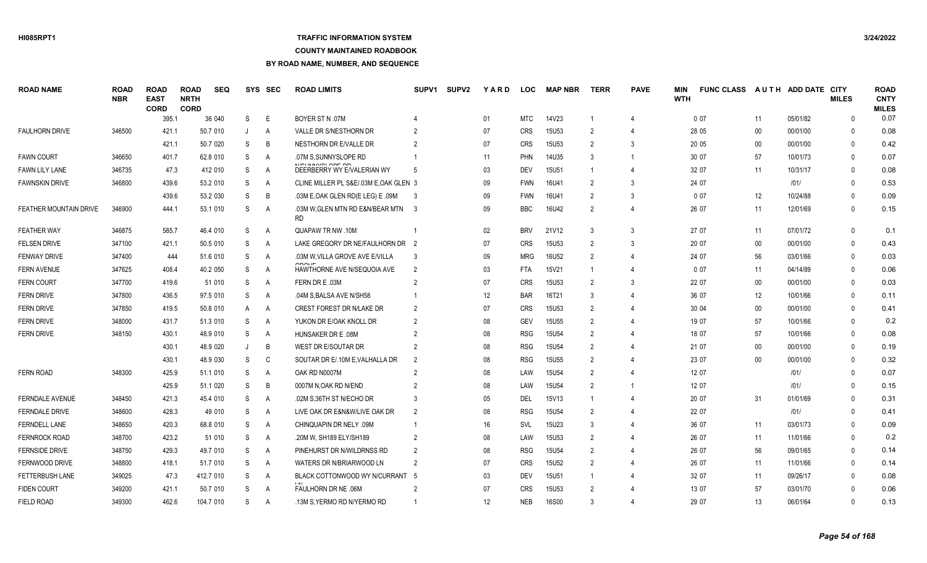### **TRAFFIC INFORMATION SYSTEM**

### **COUNTY MAINTAINED ROADBOOK**

| <b>ROAD NAME</b>              | <b>ROAD</b><br><b>NBR</b> | <b>ROAD</b><br><b>EAST</b><br><b>CORD</b> | <b>ROAD</b><br><b>NRTH</b><br><b>CORD</b> | <b>SEQ</b> | <b>SYS</b> | <b>SEC</b>     | <b>ROAD LIMITS</b>                                   | SUPV <sub>1</sub> | <b>SUPV2</b> | YARD            | <b>LOC</b> | <b>MAP NBR</b> | <b>TERR</b>    | <b>PAVE</b>    | MIN<br><b>WTH</b> | <b>FUNC CLASS</b> |        | AUTH ADD DATE CITY | <b>MILES</b> | <b>ROAD</b><br><b>CNTY</b><br><b>MILES</b> |
|-------------------------------|---------------------------|-------------------------------------------|-------------------------------------------|------------|------------|----------------|------------------------------------------------------|-------------------|--------------|-----------------|------------|----------------|----------------|----------------|-------------------|-------------------|--------|--------------------|--------------|--------------------------------------------|
|                               |                           | 395.1                                     |                                           | 36 040     | S          | E              | BOYER ST N .07M                                      |                   |              | 01              | <b>MTC</b> | 14V23          |                | $\overline{4}$ |                   | 007               | 11     | 05/01/82           | $\Omega$     | 0.07                                       |
| <b>FAULHORN DRIVE</b>         | 346500                    | 421.1                                     |                                           | 50.7 010   | J          | A              | VALLE DR S/NESTHORN DR                               |                   |              | 07              | <b>CRS</b> | 15U53          | $\overline{2}$ | 4              |                   | 28 05             | $00\,$ | 00/01/00           | $\Omega$     | 0.08                                       |
|                               |                           | 421.1                                     |                                           | 50.7 020   | S          | B              | NESTHORN DR E/VALLE DR                               |                   |              | 07              | <b>CRS</b> | 15U53          | $\mathcal{P}$  | 3              |                   | 20 05             | $00\,$ | 00/01/00           | $\Omega$     | 0.42                                       |
| <b>FAWN COURT</b>             | 346650                    | 401.7                                     |                                           | 62.8 010   | S          | A              | .07M S.SUNNYSLOPE RD                                 |                   |              | 11              | PHN        | 14U35          |                | $\overline{1}$ |                   | 30 07             | 57     | 10/01/73           | $\mathbf{0}$ | 0.07                                       |
| <b>FAWN LILY LANE</b>         | 346735                    | 47.3                                      |                                           | 412 010    | S          | A              | <b>HALBRAIN ARE BE</b><br>DEERBERRY WY E/VALERIAN WY | -5                |              | 03              | <b>DEV</b> | <b>15U51</b>   |                | 4              |                   | 32 07             | 11     | 10/31/17           | $\Omega$     | 0.08                                       |
| <b>FAWNSKIN DRIVE</b>         | 346800                    | 439.6                                     |                                           | 53.2 010   | S          | A              | CLINE MILLER PL S&E/.03M E, OAK GLEN 3               |                   |              | 09              | <b>FWN</b> | 16U41          | $\mathcal{P}$  | 3              |                   | 24 07             |        | 1011               | $\Omega$     | 0.53                                       |
|                               |                           | 439.6                                     |                                           | 53.2 030   | S          | B              | .03M E, OAK GLEN RD(E LEG) E .09M                    |                   |              | 09              | <b>FWN</b> | 16U41          | $\mathcal{P}$  | 3              |                   | 007               | 12     | 10/24/88           | $\Omega$     | 0.09                                       |
| <b>FEATHER MOUNTAIN DRIVE</b> | 346900                    | 444.1                                     |                                           | 53.1 010   | S          | $\overline{A}$ | .03M W.GLEN MTN RD E&N/BEAR MTN 3<br><b>RD</b>       |                   |              | 09              | <b>BBC</b> | 16U42          | $\mathcal{P}$  | $\overline{4}$ |                   | 26 07             | 11     | 12/01/69           | $\Omega$     | 0.15                                       |
| <b>FEATHER WAY</b>            | 346875                    | 585.7                                     |                                           | 46.4 010   | S          | $\overline{A}$ | QUAPAW TR NW .10M                                    |                   |              | 02              | <b>BRV</b> | 21V12          | 3              | 3              |                   | 27 07             | 11     | 07/01/72           | $\mathbf{0}$ | 0.1                                        |
| <b>FELSEN DRIVE</b>           | 347100                    | 421.1                                     |                                           | 50.5 010   | S          | $\overline{A}$ | LAKE GREGORY DR NE/FAULHORN DR 2                     |                   |              | 07              | <b>CRS</b> | 15U53          | $\mathcal{P}$  | 3              |                   | 20 07             | $00\,$ | 00/01/00           | $\Omega$     | 0.43                                       |
| <b>FENWAY DRIVE</b>           | 347400                    | 444                                       |                                           | 51.6 010   | S          | A              | .03M W, VILLA GROVE AVE E/VILLA                      |                   |              | 09              | <b>MRG</b> | 16U52          | $\mathcal{P}$  | 4              |                   | 24 07             | 56     | 03/01/66           | $\Omega$     | 0.03                                       |
| <b>FERN AVENUE</b>            | 347625                    | 408.4                                     |                                           | 40.2 050   | S          | A              | HAWTHORNE AVE N/SEQUOIA AVE                          | $\overline{2}$    |              | 03              | <b>FTA</b> | 15V21          |                | $\overline{4}$ |                   | 007               | 11     | 04/14/89           | $\mathbf{0}$ | 0.06                                       |
| <b>FERN COURT</b>             | 347700                    | 419.6                                     |                                           | 51 010     | S          | A              | FERN DR E .03M                                       |                   |              | 07              | <b>CRS</b> | <b>15U53</b>   | $\mathcal{P}$  | 3              |                   | 22 07             | $00\,$ | 00/01/00           | $\Omega$     | 0.03                                       |
| <b>FERN DRIVE</b>             | 347800                    | 436.5                                     |                                           | 97.5 010   | S          | A              | .04M S, BALSA AVE N/SH58                             |                   |              | 12              | <b>BAR</b> | 16T21          | 3              | $\Delta$       |                   | 36 07             | 12     | 10/01/66           | $\Omega$     | 0.11                                       |
| <b>FERN DRIVE</b>             | 347850                    | 419.5                                     |                                           | 50.8 010   | A          | A              | <b>CREST FOREST DR N/LAKE DR</b>                     |                   |              | 07              | <b>CRS</b> | <b>15U53</b>   | $\mathcal{P}$  | 4              |                   | 30 04             | $00\,$ | 00/01/00           | $\Omega$     | 0.41                                       |
| <b>FERN DRIVE</b>             | 348000                    | 431.7                                     |                                           | 51.3 010   | S          | $\overline{A}$ | YUKON DR E/OAK KNOLL DR                              | 2                 |              | 08              | <b>GEV</b> | <b>15U55</b>   | $\mathcal{P}$  | $\overline{4}$ |                   | 19 07             | 57     | 10/01/66           | $\Omega$     | 0.2                                        |
| <b>FERN DRIVE</b>             | 348150                    | 430.1                                     |                                           | 48.9 010   | S          | A              | HUNSAKER DR E .08M                                   |                   |              | 08              | <b>RSG</b> | 15U54          | $\mathcal{P}$  | 4              |                   | 18 07             | 57     | 10/01/66           | $\Omega$     | 0.08                                       |
|                               |                           | 430.1                                     |                                           | 48.9 020   |            | B              | WEST DR E/SOUTAR DR                                  |                   |              | 08              | <b>RSG</b> | 15U54          | $\mathcal{P}$  | 4              |                   | 21 07             | $00\,$ | 00/01/00           | $\Omega$     | 0.19                                       |
|                               |                           | 430.1                                     |                                           | 48.9 030   | S          | C              | SOUTAR DR E/.10M E, VALHALLA DR                      | $\mathcal{P}$     |              | 08              | <b>RSG</b> | <b>15U55</b>   | $\mathcal{P}$  | 4              |                   | 23 07             | $00\,$ | 00/01/00           | $\mathbf{0}$ | 0.32                                       |
| <b>FERN ROAD</b>              | 348300                    | 425.9                                     |                                           | 51.1 010   | S          | A              | OAK RD N0007M                                        |                   |              | 08              | LAW        | <b>15U54</b>   | $\mathcal{P}$  | $\Delta$       |                   | 12 07             |        | 1011               | $\Omega$     | 0.07                                       |
|                               |                           | 425.9                                     |                                           | 51.1 020   | S          | B              | 0007M N, OAK RD N/END                                |                   |              | 08              | LAW        | <b>15U54</b>   | $\mathcal{P}$  | -1             |                   | 12 07             |        | 1011               | $\Omega$     | 0.15                                       |
| <b>FERNDALE AVENUE</b>        | 348450                    | 421.3                                     |                                           | 45.4 010   | S          | $\overline{A}$ | .02M S.36TH ST N/ECHO DR                             |                   |              | 05              | DEL        | 15V13          |                | $\overline{4}$ |                   | 20 07             | 31     | 01/01/69           | $\Omega$     | 0.31                                       |
| <b>FERNDALE DRIVE</b>         | 348600                    | 428.3                                     |                                           | 49 010     | S          | $\overline{A}$ | LIVE OAK DR E&N&W/LIVE OAK DR                        | $\mathcal{P}$     |              | 08              | <b>RSG</b> | 15U54          | $\overline{2}$ | $\overline{4}$ |                   | 22 07             |        | 1011               | $\Omega$     | 0.41                                       |
| <b>FERNDELL LANE</b>          | 348650                    | 420.3                                     |                                           | 68.8 010   | S          | A              | CHINQUAPIN DR NELY .09M                              |                   |              | 16              | <b>SVL</b> | 15U23          | 3              | 4              |                   | 36 07             | 11     | 03/01/73           | $\Omega$     | 0.09                                       |
| <b>FERNROCK ROAD</b>          | 348700                    | 423.2                                     |                                           | 51 010     | S          | A              | .20M W, SH189 ELY/SH189                              |                   |              | 08              | LAW        | 15U53          |                | 4              |                   | 26 07             | 11     | 11/01/66           | $\Omega$     | 0.2                                        |
| <b>FERNSIDE DRIVE</b>         | 348750                    | 429.3                                     |                                           | 49.7 010   | S          | A              | PINEHURST DR N/WILDRNSS RD                           | 2                 |              | 08              | <b>RSG</b> | <b>15U54</b>   | $\overline{2}$ |                |                   | 26 07             | 56     | 09/01/65           | $\Omega$     | 0.14                                       |
| FERNWOOD DRIVE                | 348800                    | 418.1                                     |                                           | 51.7 010   | S          | A              | WATERS DR N/BRIARWOOD LN                             | 2                 |              | 07              | <b>CRS</b> | <b>15U52</b>   | $\mathcal{P}$  |                |                   | 26 07             | 11     | 11/01/66           | $\Omega$     | 0.14                                       |
| <b>FETTERBUSH LANE</b>        | 349025                    | 47.3                                      |                                           | 412.7 010  | S          | A              | BLACK COTTONWOOD WY N/CURRANT 5                      |                   |              | 03              | <b>DEV</b> | <b>15U51</b>   |                | 4              |                   | 32 07             | 11     | 09/26/17           | $\Omega$     | 0.08                                       |
| <b>FIDEN COURT</b>            | 349200                    | 421.1                                     |                                           | 50.7 010   | S          | A              | FAULHORN DR NE .06M                                  |                   |              | 07              | <b>CRS</b> | 15U53          | $\mathcal{P}$  |                |                   | 13 07             | 57     | 03/01/70           | $\Omega$     | 0.06                                       |
| FIELD ROAD                    | 349300                    | 462.6                                     |                                           | 104.7 010  | S          | A              | 13M S.YERMO RD N/YERMO RD                            |                   |              | 12 <sup>°</sup> | <b>NEB</b> | <b>16S00</b>   | $\mathcal{R}$  | $\overline{4}$ |                   | 29 07             | 13     | 06/01/64           | $\Omega$     | 0.13                                       |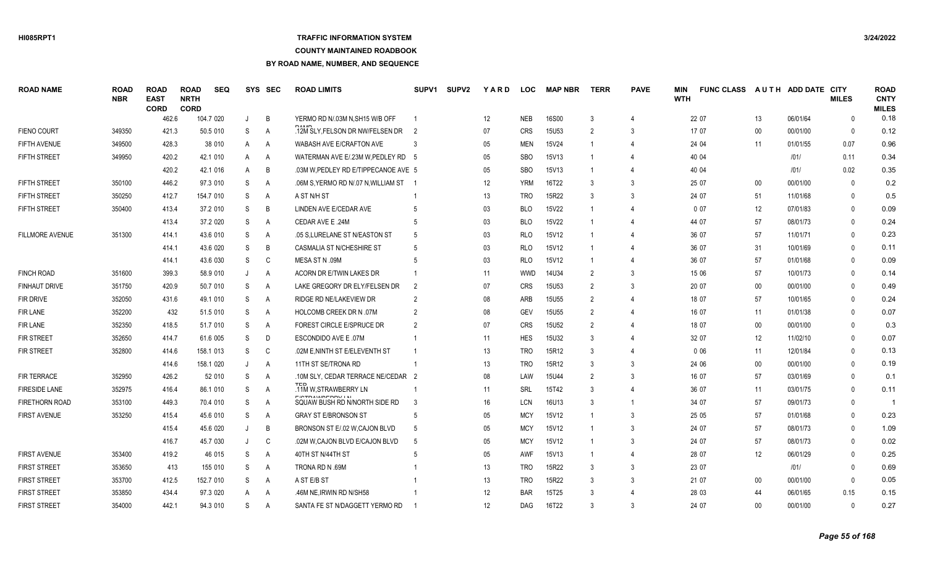### **TRAFFIC INFORMATION SYSTEM**

### **COUNTY MAINTAINED ROADBOOK**

| <b>ROAD NAME</b>       | <b>ROAD</b><br><b>NBR</b> | <b>ROAD</b><br><b>EAST</b><br><b>CORD</b> | <b>ROAD</b><br><b>NRTH</b><br><b>CORD</b> | <b>SEQ</b> |         | SYS SEC | <b>ROAD LIMITS</b>                                     | SUPV <sub>1</sub> | <b>SUPV2</b> | YARD   | <b>LOC</b> | <b>MAP NBR</b>    | <b>TERR</b>    | <b>PAVE</b>                 | MIN<br><b>WTH</b> | <b>FUNC CLASS</b> |        | AUTH ADD DATE CITY | <b>MILES</b> | <b>ROAD</b><br><b>CNTY</b><br><b>MILES</b> |
|------------------------|---------------------------|-------------------------------------------|-------------------------------------------|------------|---------|---------|--------------------------------------------------------|-------------------|--------------|--------|------------|-------------------|----------------|-----------------------------|-------------------|-------------------|--------|--------------------|--------------|--------------------------------------------|
|                        |                           | 462.6                                     |                                           | 104.7 020  | J       | B       | YERMO RD N/ 03M N.SH15 W/B OFF                         |                   |              | 12     | <b>NEB</b> | <b>16S00</b>      | 3              | $\overline{4}$              |                   | 22 07             | 13     | 06/01/64           | $\Omega$     | 0.18                                       |
| FIENO COURT            | 349350                    | 421.3                                     |                                           | 50.5 010   | S       | Α       | DAMD<br>.12M SLY.FELSON DR NW/FELSEN DR                | $\overline{2}$    |              | 07     | <b>CRS</b> | 15U <sub>53</sub> | $\overline{2}$ | 3                           |                   | 17 07             | $00\,$ | 00/01/00           | $\mathbf{0}$ | 0.12                                       |
| FIFTH AVENUE           | 349500                    | 428.3                                     |                                           | 38 010     | A       | A       | WABASH AVE E/CRAFTON AVE                               |                   |              | 05     | <b>MEN</b> | 15V24             |                | $\overline{4}$              |                   | 24 04             | 11     | 01/01/55           | 0.07         | 0.96                                       |
| FIFTH STREET           | 349950                    | 420.2                                     |                                           | 42.1 010   | A       | A       | WATERMAN AVE E/.23M W.PEDLEY RD 5                      |                   |              | 05     | <b>SBO</b> | 15V13             |                | 4                           |                   | 40 04             |        | 1011               | 0.11         | 0.34                                       |
|                        |                           | 420.2                                     |                                           | 42.1 016   | A       | B       | .03M W.PEDLEY RD E/TIPPECANOE AVE 5                    |                   |              | $05\,$ | <b>SBO</b> | 15V13             |                | 4                           |                   | 40 04             |        | 1011               | 0.02         | 0.35                                       |
| <b>FIFTH STREET</b>    | 350100                    | 446.2                                     |                                           | 97.3 010   | S       | A       | .06M S, YERMO RD N/.07 N, WILLIAM ST                   |                   |              | 12     | <b>YRM</b> | 16T22             | $\mathbf{3}$   | 3                           |                   | 25 07             | 00     | 00/01/00           | $\Omega$     | 0.2                                        |
| <b>FIFTH STREET</b>    | 350250                    | 412.7                                     |                                           | 154.7 010  | S       | A       | A ST N/H ST                                            |                   |              | 13     | <b>TRO</b> | 15R22             | $\mathbf{3}$   | 3                           |                   | 24 07             | 51     | 11/01/68           | $\Omega$     | 0.5                                        |
| FIFTH STREET           | 350400                    | 413.4                                     |                                           | 37.2 010   | S       | B       | LINDEN AVE E/CEDAR AVE                                 |                   |              | 03     | <b>BLO</b> | <b>15V22</b>      |                |                             |                   | 007               | 12     | 07/01/83           | $\Omega$     | 0.09                                       |
|                        |                           | 413.4                                     |                                           | 37.2 020   | S       | A       | CEDAR AVE E .24M                                       |                   |              | 03     | <b>BLO</b> | 15V22             |                |                             |                   | 44 07             | 57     | 08/01/73           | $\Omega$     | 0.24                                       |
| <b>FILLMORE AVENUE</b> | 351300                    | 414.1                                     |                                           | 43.6 010   | S       | A       | .05 S.LURELANE ST N/EASTON ST                          |                   |              | 03     | <b>RLO</b> | 15V12             |                | 4                           |                   | 36 07             | 57     | 11/01/71           | $\Omega$     | 0.23                                       |
|                        |                           | 414.1                                     |                                           | 43.6 020   | S       | B       | CASMALIA ST N/CHESHIRE ST                              |                   |              | 03     | <b>RLO</b> | 15V12             |                | $\boldsymbol{\vartriangle}$ |                   | 36 07             | 31     | 10/01/69           | $\Omega$     | 0.11                                       |
|                        |                           | 414.1                                     |                                           | 43.6 030   | S       | C       | MESA ST N .09M                                         |                   |              | 03     | <b>RLO</b> | 15V12             |                | $\overline{4}$              |                   | 36 07             | 57     | 01/01/68           | $\Omega$     | 0.09                                       |
| <b>FINCH ROAD</b>      | 351600                    | 399.3                                     |                                           | 58.9 010   | J       | A       | ACORN DR E/TWIN LAKES DR                               |                   |              | 11     | <b>WWD</b> | 14U34             | 2              | 3                           |                   | 15 06             | 57     | 10/01/73           | $\Omega$     | 0.14                                       |
| <b>FINHAUT DRIVE</b>   | 351750                    | 420.9                                     |                                           | 50.7 010   | S       | A       | LAKE GREGORY DR ELY/FELSEN DR                          | $\mathcal{P}$     |              | 07     | <b>CRS</b> | <b>15U53</b>      | 2              | 3                           |                   | 20 07             | $00\,$ | 00/01/00           | $\Omega$     | 0.49                                       |
| <b>FIR DRIVE</b>       | 352050                    | 431.6                                     |                                           | 49.1 010   | S       | Α       | RIDGE RD NE/LAKEVIEW DR                                | $\mathcal{P}$     |              | 08     | ARB        | <b>15U55</b>      | 2              | 4                           |                   | 18 07             | 57     | 10/01/65           | $\Omega$     | 0.24                                       |
| <b>FIR LANE</b>        | 352200                    | 432                                       |                                           | 51.5 010   | S       | A       | HOLCOMB CREEK DR N .07M                                | $\mathcal{P}$     |              | 08     | GEV        | <b>15U55</b>      | 2              | 4                           |                   | 16 07             | 11     | 01/01/38           | $\Omega$     | 0.07                                       |
| <b>FIR LANE</b>        | 352350                    | 418.5                                     |                                           | 51.7 010   | S       | A       | FOREST CIRCLE E/SPRUCE DR                              |                   |              | 07     | <b>CRS</b> | 15U <sub>52</sub> | $\mathcal{P}$  | 4                           |                   | 18 07             | $00\,$ | 00/01/00           | $\Omega$     | 0.3                                        |
| FIR STREET             | 352650                    | 414.7                                     |                                           | 61.6 005   | S       | D       | ESCONDIDO AVE E .07M                                   |                   |              | 11     | <b>HES</b> | 15U32             |                | $\Delta$                    |                   | 32 07             | 12     | 11/02/10           | $\Omega$     | 0.07                                       |
| FIR STREET             | 352800                    | 414.6                                     |                                           | 158.1 013  | S       | C       | .02M E, NINTH ST E/ELEVENTH ST                         |                   |              | 13     | <b>TRO</b> | 15R12             | $\mathbf{3}$   | 4                           |                   | 006               | 11     | 12/01/84           | $\Omega$     | 0.13                                       |
|                        |                           | 414.6                                     |                                           | 158.1 020  | J       | A       | 11TH ST SE/TRONA RD                                    |                   |              | 13     | <b>TRO</b> | 15R12             | 3              | 3                           |                   | 24 06             | $00\,$ | 00/01/00           | $\Omega$     | 0.19                                       |
| <b>FIR TERRACE</b>     | 352950                    | 426.2                                     |                                           | 52 010     | S       | A       | .10M SLY. CEDAR TERRACE NE/CEDAR 2                     |                   |              | 08     | LAW        | <b>15U44</b>      | 2              | 3                           |                   | 16 07             | 57     | 03/01/69           | $\Omega$     | 0.1                                        |
| <b>FIRESIDE LANE</b>   | 352975                    | 416.4                                     |                                           | 86.1 010   | S       | A       | <b>TEE</b><br>.11M W.STRAWBERRY LN                     |                   |              | 11     | SRL        | 15T42             |                | 4                           |                   | 36 07             | 11     | 03/01/75           | $\Omega$     | 0.11                                       |
| <b>FIRETHORN ROAD</b>  | 353100                    | 449.3                                     |                                           | 70.4 010   | S       | A       | <b>EICTRAMPEDDVIA</b><br>SQUAW BUSH RD N/NORTH SIDE RD | $\mathbf{3}$      |              | 16     | <b>LCN</b> | 16U13             | $\mathbf{3}$   | $\overline{1}$              |                   | 34 07             | 57     | 09/01/73           | $\Omega$     |                                            |
| <b>FIRST AVENUE</b>    | 353250                    | 415.4                                     |                                           | 45.6 010   | S       | A       | <b>GRAY ST E/BRONSON ST</b>                            |                   |              | 05     | <b>MCY</b> | 15V12             |                | 3                           |                   | 25 05             | 57     | 01/01/68           | $\Omega$     | 0.23                                       |
|                        |                           | 415.4                                     |                                           | 45.6 020   | $\cdot$ | B       | BRONSON ST E/.02 W, CAJON BLVD                         |                   |              | 05     | <b>MCY</b> | 15V12             |                | 3                           |                   | 24 07             | 57     | 08/01/73           | $\Omega$     | 1.09                                       |
|                        |                           | 416.7                                     |                                           | 45.7 030   | J       | C       | .02M W,CAJON BLVD E/CAJON BLVD                         |                   |              | 05     | <b>MCY</b> | 15V12             |                | 3                           |                   | 24 07             | 57     | 08/01/73           | $\Omega$     | 0.02                                       |
| <b>FIRST AVENUE</b>    | 353400                    | 419.2                                     |                                           | 46 015     | S       | A       | 40TH ST N/44TH ST                                      |                   |              | 05     | <b>AWF</b> | 15V13             |                |                             |                   | 28 07             | 12     | 06/01/29           | $\Omega$     | 0.25                                       |
| <b>FIRST STREET</b>    | 353650                    | 413                                       |                                           | 155 010    | S       | A       | TRONA RD N .69M                                        |                   |              | 13     | <b>TRO</b> | 15R22             | $\mathbf{3}$   | 3                           |                   | 23 07             |        | 1011               | $\Omega$     | 0.69                                       |
| <b>FIRST STREET</b>    | 353700                    | 412.5                                     |                                           | 152.7 010  | S       | A       | A ST E/B ST                                            |                   |              | 13     | <b>TRO</b> | 15R22             | 3              | 3                           |                   | 21 07             | $00\,$ | 00/01/00           | $\Omega$     | 0.05                                       |
| <b>FIRST STREET</b>    | 353850                    | 434.4                                     |                                           | 97.3 020   | A       | A       | .46M NE.IRWIN RD N/SH58                                |                   |              | 12     | <b>BAR</b> | 15T25             |                |                             |                   | 28 03             | 44     | 06/01/65           | 0.15         | 0.15                                       |
| <b>FIRST STREET</b>    | 354000                    | 442.1                                     |                                           | 94.3 010   | S.      | A       | SANTA FE ST N/DAGGETT YERMO RD                         |                   |              | 12     | <b>DAG</b> | 16T22             |                | $\mathcal{R}$               |                   | 24 07             | $00\,$ | 00/01/00           | $\Omega$     | 0.27                                       |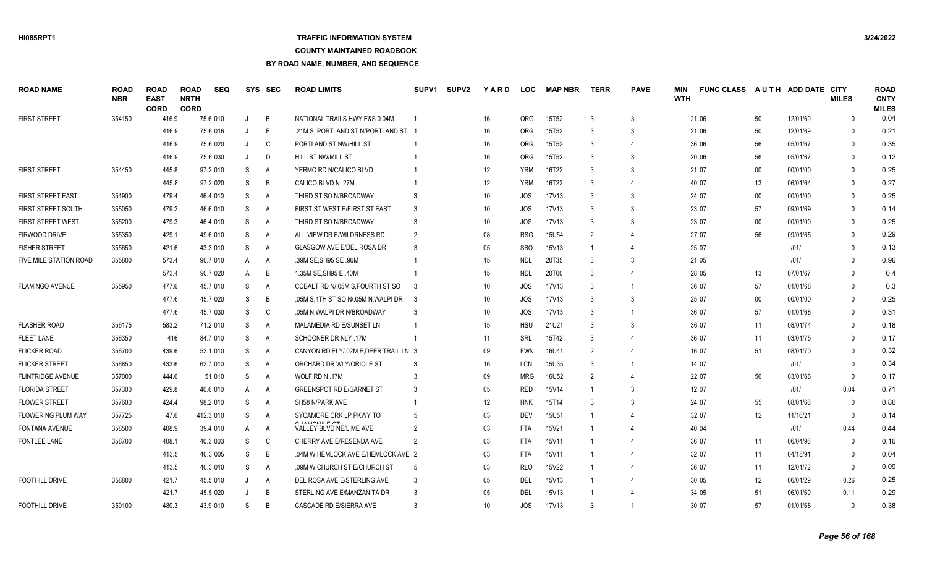## **TRAFFIC INFORMATION SYSTEM**

#### **COUNTY MAINTAINED ROADBOOK**

| <b>ROAD NAME</b>          | <b>ROAD</b><br><b>NBR</b> | <b>ROAD</b><br><b>EAST</b><br><b>CORD</b> | <b>ROAD</b><br><b>NRTH</b><br><b>CORD</b> | <b>SEQ</b> | <b>SYS</b> | <b>SEC</b>     | <b>ROAD LIMITS</b>                    | SUPV <sub>1</sub> | <b>SUPV2</b> | YARD            | <b>LOC</b> | <b>MAP NBR</b> | <b>TERR</b>   | <b>PAVE</b>              | <b>MIN</b><br><b>WTH</b> | <b>FUNC CLASS</b> |        | AUTH ADD DATE CITY | <b>MILES</b> | <b>ROAD</b><br><b>CNTY</b><br><b>MILES</b> |
|---------------------------|---------------------------|-------------------------------------------|-------------------------------------------|------------|------------|----------------|---------------------------------------|-------------------|--------------|-----------------|------------|----------------|---------------|--------------------------|--------------------------|-------------------|--------|--------------------|--------------|--------------------------------------------|
| <b>FIRST STREET</b>       | 354150                    | 416.9                                     |                                           | 75.6 010   |            | B              | NATIONAL TRAILS HWY E&S 0.04M         |                   |              | 16              | <b>ORG</b> | 15T52          | 3             | $\mathbf{3}$             |                          | 21 06             | 50     | 12/01/69           | $\Omega$     | 0.04                                       |
|                           |                           | 416.9                                     |                                           | 75.6 016   |            | Е              | 21M S. PORTLAND ST N/PORTLAND ST 1    |                   |              | 16              | <b>ORG</b> | 15T52          | 3             | 3                        |                          | 21 06             | 50     | 12/01/69           | $\Omega$     | 0.21                                       |
|                           |                           | 416.9                                     |                                           | 75.6 020   |            | C              | PORTLAND ST NW/HILL ST                |                   |              | 16              | <b>ORG</b> | 15T52          | 3             | 4                        |                          | 36 06             | 56     | 05/01/67           | $\Omega$     | 0.35                                       |
|                           |                           | 416.9                                     |                                           | 75.6 030   |            | D              | <b>HILL ST NW/MILL ST</b>             |                   |              | 16              | <b>ORG</b> | 15T52          |               | 3                        |                          | 20 06             | 56     | 05/01/67           | $\Omega$     | 0.12                                       |
| <b>FIRST STREET</b>       | 354450                    | 445.8                                     |                                           | 97.2 010   | S          | A              | YERMO RD N/CALICO BLVD                |                   |              | 12              | <b>YRM</b> | 16T22          | 3             | 3                        |                          | 21 07             | 00     | 00/01/00           | $\Omega$     | 0.25                                       |
|                           |                           | 445.8                                     |                                           | 97.2 020   | S          | B              | CALICO BLVD N .27M                    |                   |              | 12              | <b>YRM</b> | 16T22          | 3             | 4                        |                          | 40 07             | 13     | 06/01/64           | $\Omega$     | 0.27                                       |
| <b>FIRST STREET EAST</b>  | 354900                    | 479.4                                     |                                           | 46.4 010   | S          | A              | THIRD ST SO N/BROADWAY                | 3                 |              | 10 <sup>°</sup> | JOS        | <b>17V13</b>   | 3             | 3                        |                          | 24 07             | $00\,$ | 00/01/00           | $\Omega$     | 0.25                                       |
| <b>FIRST STREET SOUTH</b> | 355050                    | 479.2                                     |                                           | 46.6 010   | S          | A              | FIRST ST WEST E/FIRST ST EAST         | 3                 |              | 10 <sup>°</sup> | JOS        | <b>17V13</b>   | 3             | 3                        |                          | 23 07             | 57     | 09/01/69           | $\Omega$     | 0.14                                       |
| FIRST STREET WEST         | 355200                    | 479.3                                     |                                           | 46.4 010   | S          | A              | THIRD ST SO N/BROADWAY                | 3                 |              | 10              | <b>JOS</b> | <b>17V13</b>   | 3             | 3                        |                          | 23 07             | $00\,$ | 00/01/00           | $\Omega$     | 0.25                                       |
| FIRWOOD DRIVE             | 355350                    | 429.1                                     |                                           | 49.6 010   | S          | A              | ALL VIEW DR E/WILDRNESS RD            | $\mathcal{P}$     |              | 08              | <b>RSG</b> | 15U54          | $\mathcal{P}$ | 4                        |                          | 27 07             | 56     | 09/01/65           | $\Omega$     | 0.29                                       |
| <b>FISHER STREET</b>      | 355650                    | 421.6                                     |                                           | 43.3 010   | S          | A              | <b>GLASGOW AVE E/DEL ROSA DR</b>      |                   |              | 05              | <b>SBO</b> | 15V13          |               | 4                        |                          | 25 07             |        | 1011               | $\Omega$     | 0.13                                       |
| FIVE MILE STATION ROAD    | 355800                    | 573.4                                     |                                           | 90.7 010   | A          | A              | .39M SE.SH95 SE .96M                  |                   |              | 15              | <b>NDL</b> | 20T35          | 3             | 3                        |                          | 21 05             |        | 1011               | $\Omega$     | 0.96                                       |
|                           |                           | 573.4                                     |                                           | 90.7 020   | A          | B              | 1.35M SE.SH95 E .40M                  |                   |              | 15              | <b>NDL</b> | 20T00          | 3             |                          |                          | 28 05             | 13     | 07/01/67           | $\Omega$     | 0.4                                        |
| <b>FLAMINGO AVENUE</b>    | 355950                    | 477.6                                     |                                           | 45.7 010   | S          | A              | COBALT RD N/.05M S, FOURTH ST SO      | -3                |              | 10 <sup>°</sup> | <b>JOS</b> | <b>17V13</b>   | 3             | -1                       |                          | 36 07             | 57     | 01/01/68           | $\Omega$     | 0.3                                        |
|                           |                           | 477.6                                     |                                           | 45.7 020   | S          | B              | .05M S,4TH ST SO N/.05M N, WALPI DR   | -3                |              | 10              | JOS        | <b>17V13</b>   | 3             | 3                        |                          | 25 07             | $00\,$ | 00/01/00           | $\Omega$     | 0.25                                       |
|                           |                           | 477.6                                     |                                           | 45.7 030   | S          | C              | .05M N, WALPI DR N/BROADWAY           | 3                 |              | 10              | <b>JOS</b> | <b>17V13</b>   | 3             | $\overline{1}$           |                          | 36 07             | 57     | 01/01/68           | $\Omega$     | 0.31                                       |
| <b>FLASHER ROAD</b>       | 356175                    | 583.2                                     |                                           | 71.2 010   | S          | A              | MALAMEDIA RD E/SUNSET LN              |                   |              | 15              | <b>HSU</b> | 21U21          | 3             | 3                        |                          | 36 07             | 11     | 08/01/74           | $\mathbf{0}$ | 0.18                                       |
| <b>FLEET LANE</b>         | 356350                    | 416                                       |                                           | 84.7 010   | S          | A              | SCHOONER DR NLY .17M                  |                   |              | 11              | <b>SRL</b> | 15T42          | 3             | 4                        |                          | 36 07             | 11     | 03/01/75           | $\Omega$     | 0.17                                       |
| <b>FLICKER ROAD</b>       | 356700                    | 439.6                                     |                                           | 53.1 010   | S          | A              | CANYON RD ELY/.02M E, DEER TRAIL LN 3 |                   |              | 09              | <b>FWN</b> | 16U41          | $\mathcal{P}$ | 4                        |                          | 16 07             | 51     | 08/01/70           | $\Omega$     | 0.32                                       |
| <b>FLICKER STREET</b>     | 356850                    | 433.6                                     |                                           | 62.7 010   | S          | A              | ORCHARD DR WLY/ORIOLE ST              | 3                 |              | 16              | <b>LCN</b> | 15U35          | 3             | -1                       |                          | 14 07             |        | 1011               | $\Omega$     | 0.34                                       |
| <b>FLINTRIDGE AVENUE</b>  | 357000                    | 444.6                                     |                                           | 51 010     | S          | $\overline{A}$ | WOLF RD N .17M                        |                   |              | 09              | <b>MRG</b> | 16U52          | $\mathcal{P}$ | 4                        |                          | 22 07             | 56     | 03/01/66           | $\Omega$     | 0.17                                       |
| <b>FLORIDA STREET</b>     | 357300                    | 429.8                                     |                                           | 40.6 010   | A          | A              | <b>GREENSPOT RD E/GARNET ST</b>       |                   |              | 05              | <b>RED</b> | 15V14          |               | 3                        |                          | 12 07             |        | 1011               | 0.04         | 0.71                                       |
| <b>FLOWER STREET</b>      | 357600                    | 424.4                                     |                                           | 98.2 010   | S          | A              | SH58 N/PARK AVE                       |                   |              | 12              | <b>HNK</b> | 15T14          | 3             | 3                        |                          | 24 07             | 55     | 08/01/66           | $\Omega$     | 0.86                                       |
| <b>FLOWERING PLUM WAY</b> | 357725                    | 47.6                                      |                                           | 412.3 010  | S          | A              | SYCAMORE CRK LP PKWY TO               | -5                |              | 03              | <b>DEV</b> | <b>15U51</b>   |               | 4                        |                          | 32 07             | 12     | 11/16/21           | $\mathbf{0}$ | 0.14                                       |
| <b>FONTANA AVENUE</b>     | 358500                    | 408.9                                     |                                           | 39.4 010   | A          | A              | VALLEY BLVD NE/LIME AVE               | $\overline{2}$    |              | 03              | <b>FTA</b> | 15V21          |               | $\Delta$                 |                          | 40 04             |        | 1011               | 0.44         | 0.44                                       |
| <b>FONTLEE LANE</b>       | 358700                    | 408.1                                     |                                           | 40.3 003   | S          | C              | CHERRY AVE E/RESENDA AVE              | $\mathcal{P}$     |              | 03              | <b>FTA</b> | 15V11          |               | $\overline{\mathcal{L}}$ |                          | 36 07             | 11     | 06/04/96           | $\Omega$     | 0.16                                       |
|                           |                           | 413.5                                     |                                           | 40.3 005   | S          | B              | .04M W.HEMLOCK AVE E/HEMLOCK AVE 2    |                   |              | 03              | <b>FTA</b> | 15V11          |               | 4                        |                          | 32 07             | 11     | 04/15/91           | $\Omega$     | 0.04                                       |
|                           |                           | 413.5                                     |                                           | 40.3 010   | S          | A              | .09M W, CHURCH ST E/CHURCH ST         |                   |              | 03              | <b>RLO</b> | 15V22          |               | 4                        |                          | 36 07             | 11     | 12/01/72           | $\mathbf{0}$ | 0.09                                       |
| <b>FOOTHILL DRIVE</b>     | 358800                    | 421.7                                     |                                           | 45.5 010   |            | A              | DEL ROSA AVE E/STERLING AVE           | 3                 |              | 05              | DEL        | 15V13          |               | 4                        |                          | 30 05             | 12     | 06/01/29           | 0.26         | 0.25                                       |
|                           |                           | 421.7                                     |                                           | 45.5 020   |            | B              | STERLING AVE E/MANZANITA DR           |                   |              | 05              | DEL        | 15V13          |               |                          |                          | 34 05             | 51     | 06/01/69           | 0.11         | 0.29                                       |
| <b>FOOTHILL DRIVE</b>     | 359100                    | 480.3                                     |                                           | 43.9 010   | S.         | B.             | CASCADE RD E/SIERRA AVE               |                   |              | 10              | JOS        | 17V13          |               | -1                       |                          | 30 07             | 57     | 01/01/68           | $\Omega$     | 0.38                                       |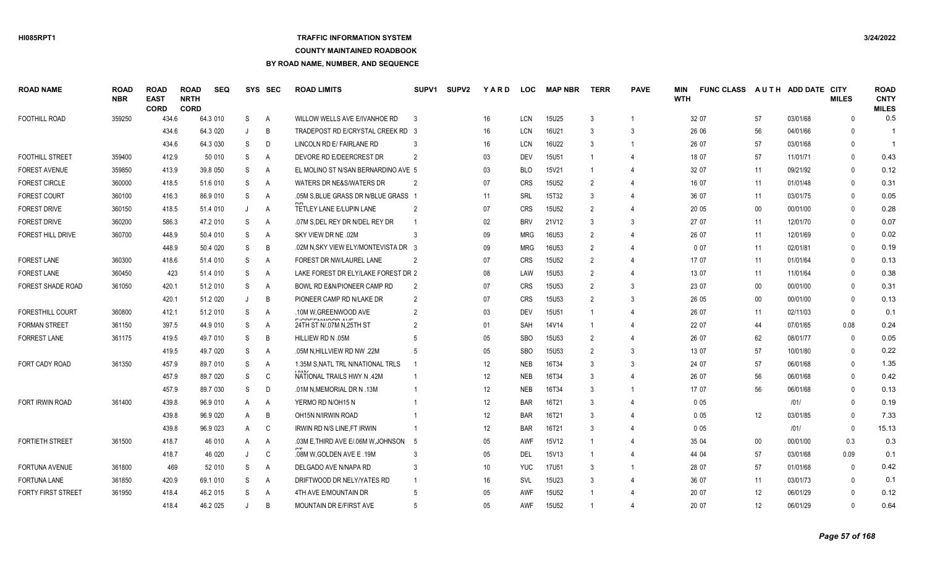### **TRAFFIC INFORMATION SYSTEM**

### **COUNTY MAINTAINED ROADBOOK**

| <b>ROAD NAME</b>          | <b>ROAD</b><br><b>NBR</b> | <b>ROAD</b><br><b>EAST</b><br><b>CORD</b> | <b>ROAD</b><br><b>NRTH</b><br><b>CORD</b> | <b>SEQ</b> |   | SYS SEC        | <b>ROAD LIMITS</b>                             | SUPV <sub>1</sub> | <b>SUPV2</b> | <b>YARD</b>     | <b>LOC</b> | <b>MAP NBR</b>    | <b>TERR</b>    | <b>PAVE</b>              | <b>MIN</b><br><b>WTH</b> | <b>FUNC CLASS</b> |        | AUTH ADD DATE CITY | <b>MILES</b> | <b>ROAD</b><br><b>CNTY</b><br><b>MILES</b> |
|---------------------------|---------------------------|-------------------------------------------|-------------------------------------------|------------|---|----------------|------------------------------------------------|-------------------|--------------|-----------------|------------|-------------------|----------------|--------------------------|--------------------------|-------------------|--------|--------------------|--------------|--------------------------------------------|
| <b>FOOTHILL ROAD</b>      | 359250                    | 434.6                                     |                                           | 64.3 010   | S | A              | WILLOW WELLS AVE E/IVANHOE RD                  | -3                |              | 16              | <b>LCN</b> | 15U25             | 3              | -1                       |                          | 32 07             | 57     | 03/01/68           | $\Omega$     | 0.5                                        |
|                           |                           | 434.6                                     |                                           | 64.3 020   |   | B              | TRADEPOST RD E/CRYSTAL CREEK RD 3              |                   |              | 16              | <b>LCN</b> | 16U21             | 3              | 3                        |                          | 26 06             | 56     | 04/01/66           | $\Omega$     |                                            |
|                           |                           | 434.6                                     |                                           | 64.3 030   | S | D              | LINCOLN RD E/ FAIRLANE RD                      |                   |              | 16              | <b>LCN</b> | 16U22             | 3              | -1                       |                          | 26 07             | 57     | 03/01/68           | $\Omega$     |                                            |
| <b>FOOTHILL STREET</b>    | 359400                    | 412.9                                     |                                           | 50 010     | S | A              | DEVORE RD E/DEERCREST DR                       | 2                 |              | 03              | <b>DEV</b> | <b>15U51</b>      |                | 4                        |                          | 18 07             | 57     | 11/01/71           | $\Omega$     | 0.43                                       |
| <b>FOREST AVENUE</b>      | 359850                    | 413.9                                     |                                           | 39.8 050   | S | A              | EL MOLINO ST N/SAN BERNARDINO AVE 5            |                   |              | 03              | <b>BLO</b> | 15V21             |                | 4                        |                          | 32 07             | 11     | 09/21/92           | $\Omega$     | 0.12                                       |
| <b>FOREST CIRCLE</b>      | 360000                    | 418.5                                     |                                           | 51.6 010   | S | A              | WATERS DR NE&S/WATERS DR                       | $\overline{2}$    |              | 07              | <b>CRS</b> | <b>15U52</b>      | $\mathcal{P}$  |                          |                          | 16 07             | 11     | 01/01/48           | $\Omega$     | 0.31                                       |
| <b>FOREST COURT</b>       | 360100                    | 416.3                                     |                                           | 86.9 010   | S | A              | .05M S, BLUE GRASS DR N/BLUE GRASS 1           |                   |              | 11              | SRL        | 15T32             | 3              |                          |                          | 36 07             | 11     | 03/01/75           | $\Omega$     | 0.05                                       |
| <b>FOREST DRIVE</b>       | 360150                    | 418.5                                     |                                           | 51.4 010   | J | A              | TETLEY LANE E/LUPIN LANE                       | $\overline{2}$    |              | 07              | <b>CRS</b> | 15U52             | $\mathcal{P}$  |                          |                          | 20 05             | $00\,$ | 00/01/00           | $\Omega$     | 0.28                                       |
| <b>FOREST DRIVE</b>       | 360200                    | 586.3                                     |                                           | 47.2 010   | S | A              | .07M S.DEL REY DR N/DEL REY DR                 |                   |              | 02              | <b>BRV</b> | 21V12             | 3              | 3                        |                          | 27 07             | 11     | 12/01/70           | $\Omega$     | 0.07                                       |
| FOREST HILL DRIVE         | 360700                    | 448.9                                     |                                           | 50.4 010   | S | A              | SKY VIEW DR NE .02M                            |                   |              | 09              | <b>MRG</b> | 16U53             | $\overline{2}$ | $\overline{4}$           |                          | 26 07             | 11     | 12/01/69           | $\Omega$     | 0.02                                       |
|                           |                           | 448.9                                     |                                           | 50.4 020   | S | B              | .02M N, SKY VIEW ELY/MONTEVISTA DR 3           |                   |              | 09              | <b>MRG</b> | 16U53             | 2              | 4                        |                          | 007               | 11     | 02/01/81           | $\mathbf{0}$ | 0.19                                       |
| <b>FOREST LANE</b>        | 360300                    | 418.6                                     |                                           | 51.4 010   | S | A              | FOREST DR NW/LAUREL LANE                       | $\overline{2}$    |              | 07              | <b>CRS</b> | <b>15U52</b>      | $\mathcal{P}$  | $\overline{4}$           |                          | 17 07             | 11     | 01/01/64           | $\mathbf{0}$ | 0.13                                       |
| <b>FOREST LANE</b>        | 360450                    | 423                                       |                                           | 51.4 010   | S | A              | LAKE FOREST DR ELY/LAKE FOREST DR 2            |                   |              | 08              | LAW        | <b>15U53</b>      | $\mathcal{P}$  | $\overline{4}$           |                          | 13 07             | 11     | 11/01/64           | $\Omega$     | 0.38                                       |
| FOREST SHADE ROAD         | 361050                    | 420.1                                     |                                           | 51.2 010   | S | $\overline{A}$ | BOWL RD E&N/PIONEER CAMP RD                    |                   |              | 07              | <b>CRS</b> | 15U <sub>53</sub> | $\mathcal{P}$  | 3                        |                          | 23 07             | $00\,$ | 00/01/00           | $\Omega$     | 0.31                                       |
|                           |                           | 420.1                                     |                                           | 51.2 020   |   | B              | PIONEER CAMP RD N/LAKE DR                      | $\overline{2}$    |              | 07              | <b>CRS</b> | 15U <sub>53</sub> | $\mathcal{P}$  | 3                        |                          | 26 05             | $00\,$ | 00/01/00           | $\Omega$     | 0.13                                       |
| <b>FORESTHILL COURT</b>   | 360800                    | 412.1                                     |                                           | 51.2 010   | S | A              | .10M W, GREENWOOD AVE                          |                   |              | 03              | <b>DEV</b> | <b>15U51</b>      |                | $\overline{4}$           |                          | 26 07             | 11     | 02/11/03           | $\mathbf{0}$ | 0.1                                        |
| <b>FORMAN STREET</b>      | 361150                    | 397.5                                     |                                           | 44.9 010   | S | A              | FIOREFAILLIOOR AVE<br>24TH ST N/07M N, 25TH ST |                   |              | 01              | SAH        | 14V14             |                | $\overline{4}$           |                          | 22 07             | 44     | 07/01/65           | 0.08         | 0.24                                       |
| <b>FORREST LANE</b>       | 361175                    | 419.5                                     |                                           | 49.7 010   | S | B              | HILLIEW RD N .05M                              |                   |              | $05\,$          | <b>SBO</b> | 15U53             | $\overline{2}$ | $\overline{4}$           |                          | 26 07             | 62     | 08/01/77           | $\mathbf{0}$ | 0.05                                       |
|                           |                           | 419.5                                     |                                           | 49.7 020   | S | A              | .05M N, HILLVIEW RD NW .22M                    |                   |              | 05              | <b>SBO</b> | 15U53             | $\overline{2}$ | 3                        |                          | 13 07             | 57     | 10/01/80           | $\mathbf{0}$ | 0.22                                       |
| FORT CADY ROAD            | 361350                    | 457.9                                     |                                           | 89.7 010   | S | A              | 1.35M S, NATL TRL N/NATIONAL TRLS              |                   |              | 12              | <b>NEB</b> | 16T34             | 3              | 3                        |                          | 24 07             | 57     | 06/01/68           | $\mathbf{0}$ | 1.35                                       |
|                           |                           | 457.9                                     |                                           | 89.7 020   | S | C              | NATIONAL TRAILS HWY N .42M                     |                   |              | 12              | <b>NEB</b> | 16T34             | 3              | 4                        |                          | 26 07             | 56     | 06/01/68           | $\mathbf{0}$ | 0.42                                       |
|                           |                           | 457.9                                     |                                           | 89.7 030   | S | D              | .01M N, MEMORIAL DR N .13M                     |                   |              | 12              | <b>NEB</b> | 16T34             | 3              | $\overline{1}$           |                          | 17 07             | 56     | 06/01/68           | $\Omega$     | 0.13                                       |
| FORT IRWIN ROAD           | 361400                    | 439.8                                     |                                           | 96.9 010   | Α | A              | YERMO RD N/OH15 N                              |                   |              | 12              | <b>BAR</b> | 16T21             | 3              | $\overline{\mathcal{L}}$ |                          | 0 0 5             |        | 1011               | $\Omega$     | 0.19                                       |
|                           |                           | 439.8                                     |                                           | 96.9 020   | A | B              | OH15N N/IRWIN ROAD                             |                   |              | 12              | <b>BAR</b> | 16T21             | 3              | $\Delta$                 |                          | 005               | 12     | 03/01/85           | $\Omega$     | 7.33                                       |
|                           |                           | 439.8                                     |                                           | 96.9 023   | A | C              | IRWIN RD N/S LINE, FT IRWIN                    |                   |              | 12              | <b>BAR</b> | 16T21             | 3              |                          |                          | 0 0 5             |        | 1011               | $\Omega$     | 15.13                                      |
| <b>FORTIETH STREET</b>    | 361500                    | 418.7                                     |                                           | 46 010     | A | A              | .03M E, THIRD AVE E/.06M W, JOHNSON 5          |                   |              | 05              | <b>AWF</b> | 15V12             |                | $\overline{\mathcal{L}}$ |                          | 35 04             | $00\,$ | 00/01/00           | 0.3          | 0.3                                        |
|                           |                           | 418.7                                     |                                           | 46 020     |   | C              | .08M W.GOLDEN AVE E.19M                        |                   |              | 05              | DEL        | 15V13             |                | 4                        |                          | 44 04             | 57     | 03/01/68           | 0.09         | 0.1                                        |
| FORTUNA AVENUE            | 361800                    | 469                                       |                                           | 52 010     | S | A              | DELGADO AVE N/NAPA RD                          | 3                 |              | 10 <sup>°</sup> | <b>YUC</b> | <b>17U51</b>      | $\mathcal{R}$  | -1                       |                          | 28 07             | 57     | 01/01/68           | $\Omega$     | 0.42                                       |
| <b>FORTUNA LANE</b>       | 361850                    | 420.9                                     |                                           | 69.1 010   | S | A              | DRIFTWOOD DR NELY/YATES RD                     |                   |              | 16              | <b>SVL</b> | 15U23             |                | 4                        |                          | 36 07             | 11     | 03/01/73           | $\Omega$     | 0.1                                        |
| <b>FORTY FIRST STREET</b> | 361950                    | 418.4                                     |                                           | 46.2 015   | S | A              | 4TH AVE E/MOUNTAIN DR                          |                   |              | 05              | <b>AWF</b> | <b>15U52</b>      |                |                          |                          | 20 07             | 12     | 06/01/29           | $\Omega$     | 0.12                                       |
|                           |                           | 418.4                                     |                                           | 46.2 025   |   | B              | <b>MOUNTAIN DR E/FIRST AVE</b>                 |                   |              | 05              | <b>AWF</b> | <b>15U52</b>      |                | $\overline{4}$           |                          | 20 07             | 12     | 06/01/29           | $\Omega$     | 0.64                                       |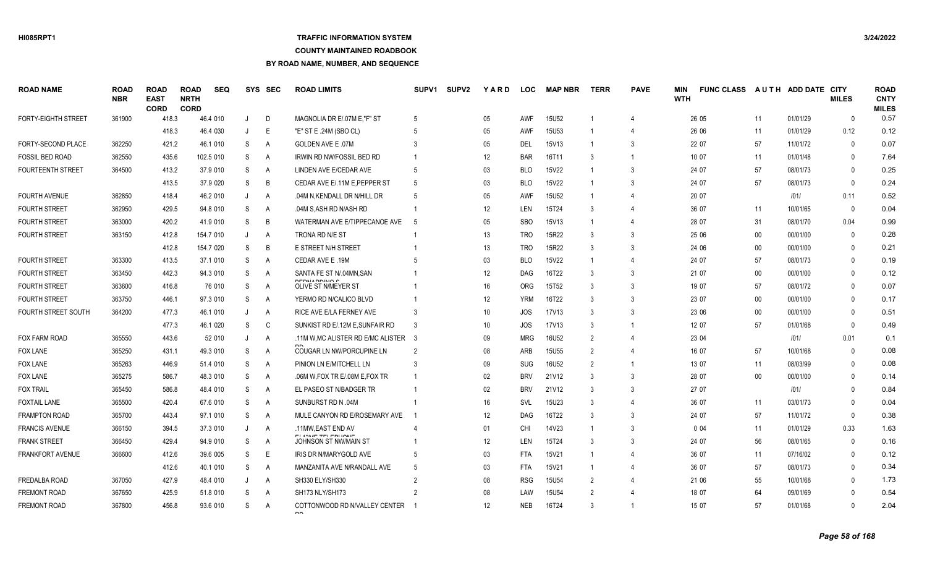## **TRAFFIC INFORMATION SYSTEM**

### **COUNTY MAINTAINED ROADBOOK**

| <b>ROAD NAME</b>           | <b>ROAD</b><br><b>NBR</b> | <b>ROAD</b><br><b>EAST</b><br><b>CORD</b> | <b>ROAD</b><br><b>NRTH</b><br><b>CORD</b> | <b>SEQ</b> | SYS | <b>SEC</b> | <b>ROAD LIMITS</b>                            | SUPV <sub>1</sub> | <b>SUPV2</b> | <b>YARD</b> | <b>LOC</b> | <b>MAP NBR</b>    | <b>TERR</b>    | <b>PAVE</b>           | MIN<br><b>WTH</b> | <b>FUNC CLASS</b> |        | AUTH ADD DATE CITY | <b>MILES</b> | <b>ROAD</b><br><b>CNTY</b><br><b>MILES</b> |
|----------------------------|---------------------------|-------------------------------------------|-------------------------------------------|------------|-----|------------|-----------------------------------------------|-------------------|--------------|-------------|------------|-------------------|----------------|-----------------------|-------------------|-------------------|--------|--------------------|--------------|--------------------------------------------|
| <b>FORTY-EIGHTH STREET</b> | 361900                    | 418.3                                     |                                           | 46.4 010   | J   | D          | MAGNOLIA DR E/.07M E,"F" ST                   |                   |              | 05          | <b>AWF</b> | <b>15U52</b>      |                | $\overline{4}$        |                   | 26 05             | 11     | 01/01/29           | $\mathbf{0}$ | 0.57                                       |
|                            |                           | 418.3                                     |                                           | 46.4 030   | J   | E          | "E" ST E .24M (SBO CL)                        |                   |              | 05          | <b>AWF</b> | 15U <sub>53</sub> |                | 4                     |                   | 26 06             | 11     | 01/01/29           | 0.12         | 0.12                                       |
| FORTY-SECOND PLACE         | 362250                    | 421.2                                     |                                           | 46.1 010   | S   | Α          | <b>GOLDEN AVE E .07M</b>                      |                   |              | 05          | DEL        | 15V13             |                | $\mathbf{3}$          |                   | 22 07             | 57     | 11/01/72           | $\mathbf{0}$ | 0.07                                       |
| <b>FOSSIL BED ROAD</b>     | 362550                    | 435.6                                     |                                           | 102.5 010  | S   | A          | <b>IRWIN RD NW/FOSSIL BED RD</b>              |                   |              | 12          | <b>BAR</b> | 16T11             |                | -1                    |                   | 10 07             | 11     | 01/01/48           | $\Omega$     | 7.64                                       |
| <b>FOURTEENTH STREET</b>   | 364500                    | 413.2                                     |                                           | 37.9 010   | S   | Α          | LINDEN AVE E/CEDAR AVE                        |                   |              | 03          | <b>BLO</b> | <b>15V22</b>      |                | $\mathbf{3}$          |                   | 24 07             | 57     | 08/01/73           | $\Omega$     | 0.25                                       |
|                            |                           | 413.5                                     |                                           | 37.9 020   | S   | B          | CEDAR AVE E/.11M E.PEPPER ST                  |                   |              | 03          | <b>BLO</b> | <b>15V22</b>      |                | 3                     |                   | 24 07             | 57     | 08/01/73           | $\Omega$     | 0.24                                       |
| <b>FOURTH AVENUE</b>       | 362850                    | 418.4                                     |                                           | 46.2 010   | J   | Α          | .04M N, KENDALL DR N/HILL DR                  |                   |              | 05          | <b>AWF</b> | 15U52             |                |                       |                   | 20 07             |        | 1011               | 0.11         | 0.52                                       |
| <b>FOURTH STREET</b>       | 362950                    | 429.5                                     |                                           | 94.8 010   | S   | A          | .04M S.ASH RD N/ASH RD                        |                   |              | 12          | <b>LEN</b> | 15T24             |                |                       |                   | 36 07             | 11     | 10/01/65           | $\Omega$     | 0.04                                       |
| <b>FOURTH STREET</b>       | 363000                    | 420.2                                     |                                           | 41.9 010   | S   | B          | WATERMAN AVE E/TIPPECANOE AVE                 |                   |              | 05          | <b>SBO</b> | 15V13             |                | $\overline{4}$        |                   | 28 07             | 31     | 08/01/70           | 0.04         | 0.99                                       |
| <b>FOURTH STREET</b>       | 363150                    | 412.8                                     |                                           | 154.7 010  | J   | Α          | TRONA RD N/E ST                               |                   |              | 13          | <b>TRO</b> | 15R22             | 3              | 3                     |                   | 25 06             | $00\,$ | 00/01/00           | $\Omega$     | 0.28                                       |
|                            |                           | 412.8                                     |                                           | 154.7 020  | S   | B          | E STREET N/H STREET                           |                   |              | 13          | <b>TRO</b> | 15R22             | $\mathcal{R}$  | 3                     |                   | 24 06             | $00\,$ | 00/01/00           | $\Omega$     | 0.21                                       |
| <b>FOURTH STREET</b>       | 363300                    | 413.5                                     |                                           | 37.1 010   | S   | A          | CEDAR AVE E .19M                              |                   |              | 03          | <b>BLO</b> | <b>15V22</b>      |                | 4                     |                   | 24 07             | 57     | 08/01/73           | $\Omega$     | 0.19                                       |
| <b>FOURTH STREET</b>       | 363450                    | 442.3                                     |                                           | 94.3 010   | S   | A          | SANTA FE ST N/.04MN, SAN<br><b>DEBUARDING</b> |                   |              | 12          | <b>DAG</b> | 16T22             |                | 3                     |                   | 21 07             | $00\,$ | 00/01/00           | $\Omega$     | 0.12                                       |
| <b>FOURTH STREET</b>       | 363600                    | 416.8                                     |                                           | 76 010     | S   | Α          | OLIVE ST N/MEYER ST                           |                   |              | 16          | ORG        | 15T52             | 3              | 3                     |                   | 19 07             | 57     | 08/01/72           | $\Omega$     | 0.07                                       |
| <b>FOURTH STREET</b>       | 363750                    | 446.1                                     |                                           | 97.3 010   | S   | A          | YERMO RD N/CALICO BLVD                        |                   |              | 12          | <b>YRM</b> | 16T22             | $\mathcal{R}$  | 3                     |                   | 23 07             | $00\,$ | 00/01/00           | $\Omega$     | 0.17                                       |
| FOURTH STREET SOUTH        | 364200                    | 477.3                                     |                                           | 46.1 010   | J   | Α          | RICE AVE E/LA FERNEY AVE                      |                   |              | 10          | JOS        | 17V13             | 3              | 3                     |                   | 23 06             | $00\,$ | 00/01/00           | $\Omega$     | 0.51                                       |
|                            |                           | 477.3                                     |                                           | 46.1 020   | S   | C          | SUNKIST RD E/.12M E, SUNFAIR RD               |                   |              | 10          | JOS.       | <b>17V13</b>      | 3              | -1                    |                   | 12 07             | 57     | 01/01/68           | $\Omega$     | 0.49                                       |
| FOX FARM ROAD              | 365550                    | 443.6                                     |                                           | 52 010     | J   | Α          | .11M W, MC ALISTER RD E/MC ALISTER 3          |                   |              | 09          | <b>MRG</b> | 16U52             | $\overline{2}$ | 4                     |                   | 23 04             |        | 1011               | 0.01         | 0.1                                        |
| <b>FOX LANE</b>            | 365250                    | 431.1                                     |                                           | 49.3 010   | S   | A          | COUGAR LN NW/PORCUPINE LN                     |                   |              | 08          | ARB        | 15U55             | $\mathcal{P}$  | 4                     |                   | 16 07             | 57     | 10/01/68           | $\Omega$     | 0.08                                       |
| <b>FOX LANE</b>            | 365263                    | 446.9                                     |                                           | 51.4 010   | S   | A          | PINION LN E/MITCHELL LN                       |                   |              | 09          | <b>SUG</b> | 16U52             | $\mathcal{P}$  |                       |                   | 13 07             | 11     | 08/03/99           | $\Omega$     | 0.08                                       |
| <b>FOX LANE</b>            | 365275                    | 586.7                                     |                                           | 48.3 010   | S   | Α          | .06M W.FOX TR E/.08M E.FOX TR                 |                   |              | $02\,$      | <b>BRV</b> | 21V12             |                | 3                     |                   | 28 07             | $00\,$ | 00/01/00           | $\Omega$     | 0.14                                       |
| <b>FOX TRAIL</b>           | 365450                    | 586.8                                     |                                           | 48.4 010   | S   | Α          | EL PASEO ST N/BADGER TR                       |                   |              | $02\,$      | <b>BRV</b> | 21V12             | 3              | 3                     |                   | 27 07             |        | 1011               | $\Omega$     | 0.84                                       |
| <b>FOXTAIL LANE</b>        | 365500                    | 420.4                                     |                                           | 67.6 010   | S   | A          | SUNBURST RD N .04M                            |                   |              | 16          | <b>SVL</b> | 15U23             | 3              | 4                     |                   | 36 07             | 11     | 03/01/73           | $\Omega$     | 0.04                                       |
| <b>FRAMPTON ROAD</b>       | 365700                    | 443.4                                     |                                           | 97.1 010   | S   | A          | MULE CANYON RD E/ROSEMARY AVE                 |                   |              | 12          | <b>DAG</b> | 16T22             | $\mathbf{3}$   | 3                     |                   | 24 07             | 57     | 11/01/72           | $\mathbf{0}$ | 0.38                                       |
| <b>FRANCIS AVENUE</b>      | 366150                    | 394.5                                     |                                           | 37.3 010   | J   | Α          | .11MW.EAST END AV<br><b>FIXAME TELEDUALE</b>  |                   |              | 01          | CHI        | 14V23             |                | 3                     |                   | 004               | 11     | 01/01/29           | 0.33         | 1.63                                       |
| <b>FRANK STREET</b>        | 366450                    | 429.4                                     |                                           | 94.9 010   | S   | A          | <b>JOHNSON ST NW/MAIN ST</b>                  |                   |              | 12          | <b>LEN</b> | 15T24             | 3              | 3                     |                   | 24 07             | 56     | 08/01/65           | $\mathbf{0}$ | 0.16                                       |
| <b>FRANKFORT AVENUE</b>    | 366600                    | 412.6                                     |                                           | 39.6 005   | S   | E          | IRIS DR N/MARYGOLD AVE                        |                   |              | 03          | <b>FTA</b> | 15V21             |                | $\boldsymbol{\Delta}$ |                   | 36 07             | 11     | 07/16/02           | $\Omega$     | 0.12                                       |
|                            |                           | 412.6                                     |                                           | 40.1 010   | S   | A          | MANZANITA AVE N/RANDALL AVE                   |                   |              | 03          | <b>FTA</b> | 15V21             |                | 4                     |                   | 36 07             | 57     | 08/01/73           | $\Omega$     | 0.34                                       |
| FREDALBA ROAD              | 367050                    | 427.9                                     |                                           | 48.4 010   | J   | A          | SH330 ELY/SH330                               |                   |              | 08          | <b>RSG</b> | <b>15U54</b>      | $\mathcal{P}$  | 4                     |                   | 21 06             | 55     | 10/01/68           | $\Omega$     | 1.73                                       |
| FREMONT ROAD               | 367650                    | 425.9                                     |                                           | 51.8 010   | S   | Α          | <b>SH173 NLY/SH173</b>                        |                   |              | 08          | LAW        | <b>15U54</b>      | $\mathcal{P}$  | 4                     |                   | 18 07             | 64     | 09/01/69           | $\Omega$     | 0.54                                       |
| <b>FREMONT ROAD</b>        | 367800                    | 456.8                                     |                                           | 93.6 010   | S   | A          | COTTONWOOD RD N/VALLEY CENTER<br>$\mathbf{E}$ |                   |              | 12          | <b>NEB</b> | 16T24             | $\mathbf{3}$   |                       |                   | 15 07             | 57     | 01/01/68           | $\cap$       | 2.04                                       |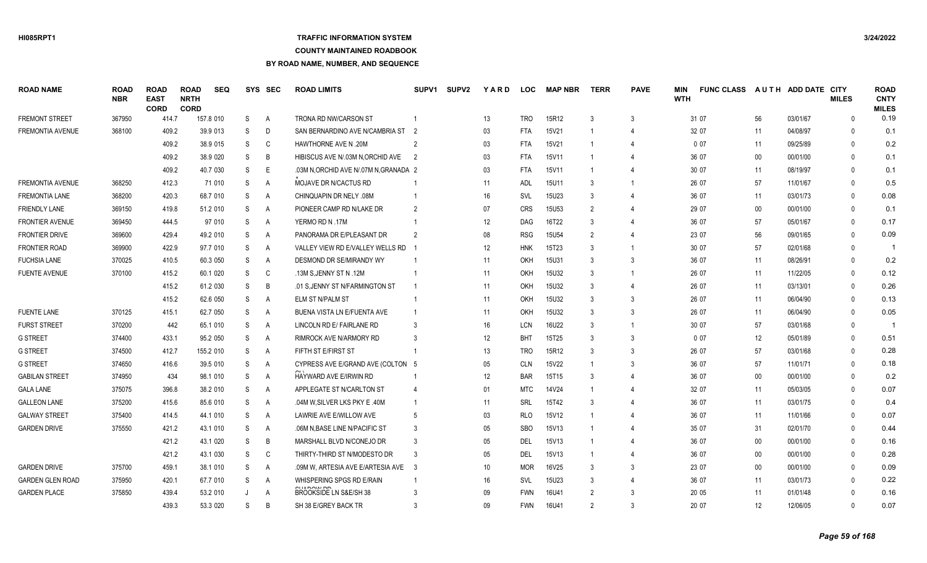# **TRAFFIC INFORMATION SYSTEM**

#### **COUNTY MAINTAINED ROADBOOK**

| <b>ROAD NAME</b>        | <b>ROAD</b><br><b>NBR</b> | <b>ROAD</b><br><b>EAST</b><br><b>CORD</b> | <b>ROAD</b><br><b>NRTH</b><br><b>CORD</b> | <b>SEQ</b> |    | SYS SEC        | <b>ROAD LIMITS</b>                     | SUPV <sub>1</sub> | <b>SUPV2</b> | <b>YARD</b>     | <b>LOC</b> | <b>MAP NBR</b> | <b>TERR</b>    | <b>PAVE</b>    | <b>MIN</b><br><b>WTH</b> | <b>FUNC CLASS</b> |        | AUTH ADD DATE CITY | <b>MILES</b> | <b>ROAD</b><br><b>CNTY</b><br><b>MILES</b> |
|-------------------------|---------------------------|-------------------------------------------|-------------------------------------------|------------|----|----------------|----------------------------------------|-------------------|--------------|-----------------|------------|----------------|----------------|----------------|--------------------------|-------------------|--------|--------------------|--------------|--------------------------------------------|
| <b>FREMONT STREET</b>   | 367950                    | 414.7                                     |                                           | 157.8 010  | S  | $\mathsf{A}$   | <b>TRONA RD NW/CARSON ST</b>           |                   |              | 13              | <b>TRO</b> | 15R12          | 3              | 3              |                          | 31 07             | 56     | 03/01/67           | $\Omega$     | 0.19                                       |
| <b>FREMONTIA AVENUE</b> | 368100                    | 409.2                                     |                                           | 39.9 013   | S  | D              | SAN BERNARDINO AVE N/CAMBRIA ST 2      |                   |              | 03              | <b>FTA</b> | 15V21          |                | 4              |                          | 32 07             | 11     | 04/08/97           | $\Omega$     | 0.1                                        |
|                         |                           | 409.2                                     |                                           | 38.9 015   | S  | C              | HAWTHORNE AVE N .20M                   | 2                 |              | 03              | <b>FTA</b> | 15V21          |                | $\overline{4}$ |                          | 007               | 11     | 09/25/89           | $\Omega$     | 0.2                                        |
|                         |                           | 409.2                                     |                                           | 38.9 020   | S  | B              | HIBISCUS AVE N/.03M N, ORCHID AVE      | $\overline{2}$    |              | 03              | <b>FTA</b> | 15V11          |                | $\overline{4}$ |                          | 36 07             | $00\,$ | 00/01/00           | $\Omega$     | 0.1                                        |
|                         |                           | 409.2                                     |                                           | 40.7 030   | S  | E              | .03M N, ORCHID AVE N/.07M N, GRANADA 2 |                   |              | 03              | <b>FTA</b> | 15V11          |                | $\overline{4}$ |                          | 30 07             | 11     | 08/19/97           | $\Omega$     | 0.1                                        |
| <b>FREMONTIA AVENUE</b> | 368250                    | 412.3                                     |                                           | 71 010     | S  | A              | MOJAVE DR N/CACTUS RD                  |                   |              | 11              | <b>ADL</b> | 15U11          | 3              | $\overline{1}$ |                          | 26 07             | 57     | 11/01/67           | $\mathbf{0}$ | 0.5                                        |
| <b>FREMONTIA LANE</b>   | 368200                    | 420.3                                     |                                           | 68.7 010   | S  | $\overline{A}$ | <b>CHINQUAPIN DR NELY .08M</b>         |                   |              | 16              | SVL        | 15U23          | 3              |                |                          | 36 07             | 11     | 03/01/73           | $\Omega$     | 0.08                                       |
| <b>FRIENDLY LANE</b>    | 369150                    | 419.8                                     |                                           | 51.2 010   | S  | A              | PIONEER CAMP RD N/LAKE DR              | $\overline{2}$    |              | 07              | <b>CRS</b> | <b>15U53</b>   | $\mathfrak{p}$ |                |                          | 29 07             | $00\,$ | 00/01/00           | $\Omega$     | 0.1                                        |
| <b>FRONTIER AVENUE</b>  | 369450                    | 444.5                                     |                                           | 97 010     | S  | A              | YERMO RD N .17M                        |                   |              | 12              | <b>DAG</b> | 16T22          | 3              | $\overline{4}$ |                          | 36 07             | 57     | 05/01/67           | $\Omega$     | 0.17                                       |
| <b>FRONTIER DRIVE</b>   | 369600                    | 429.4                                     |                                           | 49.2 010   | S  | A              | PANORAMA DR E/PLEASANT DR              | $\mathcal{P}$     |              | 08              | <b>RSG</b> | <b>15U54</b>   | $\mathfrak{p}$ | $\overline{4}$ |                          | 23 07             | 56     | 09/01/65           | $\Omega$     | 0.09                                       |
| <b>FRONTIER ROAD</b>    | 369900                    | 422.9                                     |                                           | 97.7 010   | S  | A              | VALLEY VIEW RD E/VALLEY WELLS RD       |                   |              | 12              | <b>HNK</b> | 15T23          |                | $\overline{1}$ |                          | 30 07             | 57     | 02/01/68           | $\Omega$     | $\overline{1}$                             |
| <b>FUCHSIA LANE</b>     | 370025                    | 410.5                                     |                                           | 60.3 050   | S  | A              | DESMOND DR SE/MIRANDY WY               |                   |              | 11              | OKH        | <b>15U31</b>   | 3              | 3              |                          | 36 07             | 11     | 08/26/91           | $\Omega$     | 0.2                                        |
| <b>FUENTE AVENUE</b>    | 370100                    | 415.2                                     |                                           | 60.1 020   | S  | C              | .13M S.JENNY ST N .12M                 | - 1               |              | 11              | OKH        | 15U32          | 3              | $\overline{1}$ |                          | 26 07             | 11     | 11/22/05           | $\Omega$     | 0.12                                       |
|                         |                           | 415.2                                     |                                           | 61.2 030   | S  | B              | .01 S, JENNY ST N/FARMINGTON ST        |                   |              | 11              | OKH        | 15U32          | 3              | 4              |                          | 26 07             | 11     | 03/13/01           | $\Omega$     | 0.26                                       |
|                         |                           | 415.2                                     |                                           | 62.6 050   | S  | A              | <b>ELM ST N/PALM ST</b>                |                   |              | 11              | OKH        | 15U32          | 3              | 3              |                          | 26 07             | 11     | 06/04/90           | $\Omega$     | 0.13                                       |
| <b>FUENTE LANE</b>      | 370125                    | 415.1                                     |                                           | 62.7 050   | S  | $\overline{A}$ | BUENA VISTA LN E/FUENTA AVE            |                   |              | 11              | OKH        | 15U32          | 3              | 3              |                          | 26 07             | 11     | 06/04/90           | $\Omega$     | 0.05                                       |
| <b>FURST STREET</b>     | 370200                    | 442                                       |                                           | 65.1 010   | S  | A              | LINCOLN RD E/ FAIRLANE RD              |                   |              | 16              | LCN        | 16U22          | 3              | $\overline{1}$ |                          | 30 07             | 57     | 03/01/68           | $\mathbf{0}$ |                                            |
| <b>G STREET</b>         | 374400                    | 433.1                                     |                                           | 95.2 050   | S  | A              | RIMROCK AVE N/ARMORY RD                |                   |              | 12              | <b>BHT</b> | 15T25          |                | 3              |                          | 007               | 12     | 05/01/89           | $\Omega$     | 0.51                                       |
| <b>G STREET</b>         | 374500                    | 412.7                                     |                                           | 155.2 010  | S  | $\mathsf{A}$   | FIFTH ST E/FIRST ST                    |                   |              | 13              | <b>TRO</b> | 15R12          | 3              | 3              |                          | 26 07             | 57     | 03/01/68           | $\Omega$     | 0.28                                       |
| <b>G STREET</b>         | 374650                    | 416.6                                     |                                           | 39.5 010   | S  | A              | CYPRESS AVE E/GRAND AVE (COLTON 5      |                   |              | 05              | <b>CLN</b> | 15V22          |                | 3              |                          | 36 07             | 57     | 11/01/71           | $\Omega$     | 0.18                                       |
| <b>GABILAN STREET</b>   | 374950                    | 434                                       |                                           | 98.1 010   | S  | $\overline{A}$ | HAYWARD AVE E/IRWIN RD                 |                   |              | 12              | <b>BAR</b> | 15T15          | $\mathcal{R}$  | $\overline{4}$ |                          | 36 07             | $00\,$ | 00/01/00           | $\Omega$     | 0.2                                        |
| <b>GALA LANE</b>        | 375075                    | 396.8                                     |                                           | 38.2 010   | S  | A              | APPLEGATE ST N/CARLTON ST              |                   |              | 01              | <b>MTC</b> | 14V24          |                | 4              |                          | 32 07             | 11     | 05/03/05           | $\Omega$     | 0.07                                       |
| <b>GALLEON LANE</b>     | 375200                    | 415.6                                     |                                           | 85.6 010   | S  | A              | .04M W, SILVER LKS PKY E .40M          |                   |              | 11              | SRL        | 15T42          | 3              | $\overline{4}$ |                          | 36 07             | 11     | 03/01/75           | $\Omega$     | 0.4                                        |
| <b>GALWAY STREET</b>    | 375400                    | 414.5                                     |                                           | 44.1 010   | S  | A              | LAWRIE AVE E/WILLOW AVE                | -5                |              | 03              | <b>RLO</b> | 15V12          |                | $\overline{4}$ |                          | 36 07             | 11     | 11/01/66           | $\Omega$     | 0.07                                       |
| <b>GARDEN DRIVE</b>     | 375550                    | 421.2                                     |                                           | 43.1 010   | S  | A              | .06M N, BASE LINE N/PACIFIC ST         | 3                 |              | $05\,$          | <b>SBO</b> | 15V13          |                | $\overline{4}$ |                          | 35 07             | 31     | 02/01/70           | $\Omega$     | 0.44                                       |
|                         |                           | 421.2                                     |                                           | 43.1 020   | S  | B              | MARSHALL BLVD N/CONEJO DR              | 3                 |              | 05              | DEL        | 15V13          |                | $\overline{4}$ |                          | 36 07             | $00\,$ | 00/01/00           | $\mathbf{0}$ | 0.16                                       |
|                         |                           | 421.2                                     |                                           | 43.1 030   | S  | C              | THIRTY-THIRD ST N/MODESTO DR           |                   |              | 05              | DEL        | 15V13          |                | $\overline{4}$ |                          | 36 07             | $00\,$ | 00/01/00           | $\Omega$     | 0.28                                       |
| <b>GARDEN DRIVE</b>     | 375700                    | 459.1                                     |                                           | 38.1 010   | S  | A              | .09M W, ARTESIA AVE E/ARTESIA AVE 3    |                   |              | 10 <sup>°</sup> | <b>MOR</b> | 16V25          | 3              | 3              |                          | 23 07             | $00\,$ | 00/01/00           | $\Omega$     | 0.09                                       |
| <b>GARDEN GLEN ROAD</b> | 375950                    | 420.1                                     |                                           | 67.7 010   | S  | A              | WHISPERING SPGS RD E/RAIN              |                   |              | 16              | SVL        | 15U23          | 3              | $\overline{4}$ |                          | 36 07             | 11     | 03/01/73           | $\mathbf{0}$ | 0.22                                       |
| <b>GARDEN PLACE</b>     | 375850                    | 439.4                                     |                                           | 53.2 010   |    | A              | BROOKSIDE LN S&E/SH 38                 |                   |              | 09              | <b>FWN</b> | 16U41          | $\mathcal{P}$  | 3              |                          | 20 05             | 11     | 01/01/48           | $\Omega$     | 0.16                                       |
|                         |                           | 439.3                                     |                                           | 53.3 020   | S. | B.             | SH 38 E/GREY BACK TR                   |                   |              | 09              | <b>FWN</b> | 16U41          | $\mathcal{P}$  | $\mathcal{R}$  |                          | 20 07             | 12     | 12/06/05           | $\Omega$     | 0.07                                       |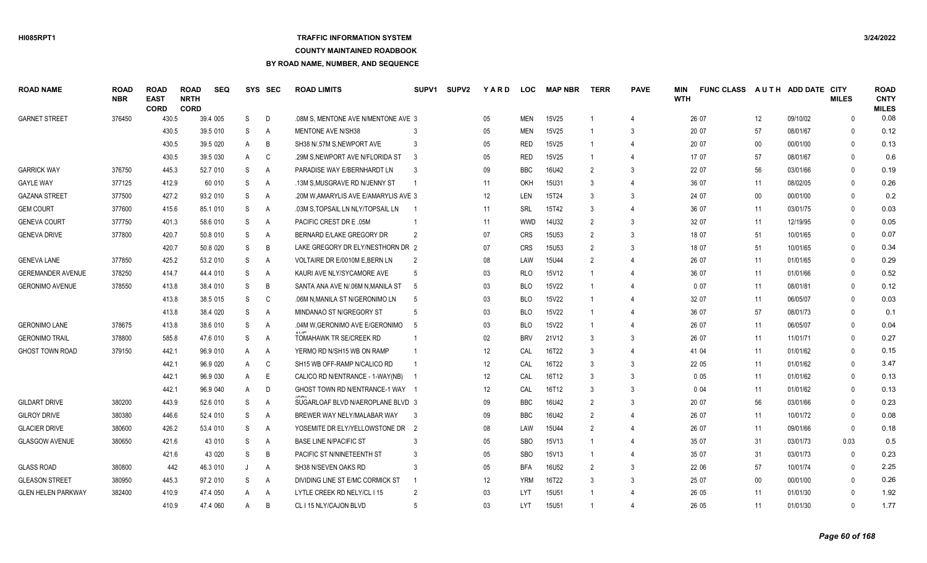### **TRAFFIC INFORMATION SYSTEM**

### **COUNTY MAINTAINED ROADBOOK**

| <b>ROAD NAME</b>          | <b>ROAD</b><br><b>NBR</b> | <b>ROAD</b><br><b>EAST</b><br><b>CORD</b> | <b>ROAD</b><br><b>NRTH</b><br><b>CORD</b> | <b>SEQ</b> | <b>SYS</b> | <b>SEC</b> | <b>ROAD LIMITS</b>                    | SUPV <sub>1</sub> | <b>SUPV2</b> | YARD | <b>LOC</b> | <b>MAP NBR</b>    | <b>TERR</b>    | <b>PAVE</b>              | MIN<br><b>WTH</b> | <b>FUNC CLASS</b> |        | AUTH ADD DATE CITY | <b>MILES</b> | <b>ROAD</b><br><b>CNTY</b><br><b>MILES</b> |
|---------------------------|---------------------------|-------------------------------------------|-------------------------------------------|------------|------------|------------|---------------------------------------|-------------------|--------------|------|------------|-------------------|----------------|--------------------------|-------------------|-------------------|--------|--------------------|--------------|--------------------------------------------|
| <b>GARNET STREET</b>      | 376450                    | 430.5                                     |                                           | 39.4 005   | S          | D          | .08M S, MENTONE AVE N/MENTONE AVE 3   |                   |              | 05   | <b>MEN</b> | 15V25             |                | 4                        |                   | 26 07             | 12     | 09/10/02           | $\mathbf{0}$ | 0.08                                       |
|                           |                           | 430.5                                     |                                           | 39.5 010   | S          | A          | <b>MENTONE AVE N/SH38</b>             |                   |              | 05   | <b>MEN</b> | 15V25             |                | 3                        |                   | 20 07             | 57     | 08/01/67           | $\Omega$     | 0.12                                       |
|                           |                           | 430.5                                     |                                           | 39.5 020   | A          | B          | SH38 N/.57M S.NEWPORT AVE             |                   |              | 05   | <b>RED</b> | 15V25             |                | 4                        |                   | 20 07             | $00\,$ | 00/01/00           | $\Omega$     | 0.13                                       |
|                           |                           | 430.5                                     |                                           | 39.5 030   | A          | C          | .29M S.NEWPORT AVE N/FLORIDA ST       | -3                |              | 05   | <b>RED</b> | 15V25             |                | 4                        |                   | 17 07             | 57     | 08/01/67           | $\Omega$     | 0.6                                        |
| <b>GARRICK WAY</b>        | 376750                    | 445.3                                     |                                           | 52.7 010   | S          | A          | PARADISE WAY E/BERNHARDT LN           | -3                |              | 09   | <b>BBC</b> | 16U42             | $\overline{2}$ | 3                        |                   | 22 07             | 56     | 03/01/66           | $\mathbf{0}$ | 0.19                                       |
| <b>GAYLE WAY</b>          | 377125                    | 412.9                                     |                                           | 60 010     | S          | A          | .13M S, MUSGRAVE RD N/JENNY ST        |                   |              | 11   | OKH        | 15U31             |                |                          |                   | 36 07             | 11     | 08/02/05           | $\Omega$     | 0.26                                       |
| <b>GAZANA STREET</b>      | 377500                    | 427.2                                     |                                           | 93.2 010   | S          | A          | .20M W, AMARYLIS AVE E/AMARYLIS AVE 3 |                   |              | 12   | <b>LEN</b> | 15T24             | 3              | 3                        |                   | 24 07             | $00\,$ | 00/01/00           | $\Omega$     | 0.2                                        |
| <b>GEM COURT</b>          | 377600                    | 415.6                                     |                                           | 85.1 010   | S          | A          | .03M S, TOPSAIL LN NLY/TOPSAIL LN     |                   |              | 11   | SRL        | 15T42             | 3              | $\overline{4}$           |                   | 36 07             | 11     | 03/01/75           | $\mathbf{0}$ | 0.03                                       |
| <b>GENEVA COURT</b>       | 377750                    | 401.3                                     |                                           | 58.6 010   | S          | A          | PACIFIC CREST DR E .05M               |                   |              | 11   | <b>WWD</b> | 14U32             | $\mathcal{P}$  | 3                        |                   | 32 07             | 11     | 12/19/95           | $\mathbf{0}$ | 0.05                                       |
| <b>GENEVA DRIVE</b>       | 377800                    | 420.7                                     |                                           | 50.8 010   | S          | A          | BERNARD E/LAKE GREGORY DR             | $\mathcal{P}$     |              | 07   | <b>CRS</b> | 15U <sub>53</sub> | $\mathcal{P}$  | 3                        |                   | 18 07             | 51     | 10/01/65           | $\mathbf{0}$ | 0.07                                       |
|                           |                           | 420.7                                     |                                           | 50.8 020   | S          | B          | LAKE GREGORY DR ELY/NESTHORN DR 2     |                   |              | 07   | <b>CRS</b> | 15U <sub>53</sub> | $\mathcal{P}$  | 3                        |                   | 18 07             | 51     | 10/01/65           | $\mathbf{0}$ | 0.34                                       |
| <b>GENEVA LANE</b>        | 377850                    | 425.2                                     |                                           | 53.2 010   | S          | A          | VOLTAIRE DR E/0010M E.BERN LN         | $\overline{2}$    |              | 08   | LAW        | <b>15U44</b>      | $\mathcal{P}$  | $\overline{4}$           |                   | 26 07             | 11     | 01/01/65           | $\Omega$     | 0.29                                       |
| <b>GEREMANDER AVENUE</b>  | 378250                    | 414.7                                     |                                           | 44.4 010   | S          | A          | KAURI AVE NLY/SYCAMORE AVE            | -5                |              | 03   | <b>RLO</b> | 15V12             |                |                          |                   | 36 07             | 11     | 01/01/66           | $\Omega$     | 0.52                                       |
| <b>GERONIMO AVENUE</b>    | 378550                    | 413.8                                     |                                           | 38.4 010   | S          | B          | SANTA ANA AVE N/ 06M N, MANILA ST     | -5                |              | 03   | <b>BLO</b> | 15V22             |                |                          |                   | 007               | 11     | 08/01/81           | $\Omega$     | 0.12                                       |
|                           |                           | 413.8                                     |                                           | 38.5 015   | S          | C          | .06M N, MANILA ST N/GERONIMO LN       | -5                |              | 03   | <b>BLO</b> | 15V22             |                |                          |                   | 32 07             | 11     | 06/05/07           | $\Omega$     | 0.03                                       |
|                           |                           | 413.8                                     |                                           | 38.4 020   | S          | A          | MINDANAO ST N/GREGORY ST              | -5                |              | 03   | <b>BLO</b> | 15V22             |                | $\overline{\mathcal{L}}$ |                   | 36 07             | 57     | 08/01/73           | $\Omega$     | 0.1                                        |
| <b>GERONIMO LANE</b>      | 378675                    | 413.8                                     |                                           | 38.6 010   | S          | A          | .04M W, GERONIMO AVE E/GERONIMO       | - 5               |              | 03   | <b>BLO</b> | 15V22             |                | 4                        |                   | 26 07             | 11     | 06/05/07           | $\Omega$     | 0.04                                       |
| <b>GERONIMO TRAIL</b>     | 378800                    | 585.8                                     |                                           | 47.6 010   | S          | A          | <b>TOMAHAWK TR SE/CREEK RD</b>        |                   |              | 02   | <b>BRV</b> | 21V12             |                | 3                        |                   | 26 07             | 11     | 11/01/71           | $\Omega$     | 0.27                                       |
| <b>GHOST TOWN ROAD</b>    | 379150                    | 442.1                                     |                                           | 96.9 010   | A          | A          | YERMO RD N/SH15 WB ON RAMP            |                   |              | 12   | CAL        | 16T22             | 3              | 4                        |                   | 41 04             | 11     | 01/01/62           | $\Omega$     | 0.15                                       |
|                           |                           | 442.1                                     |                                           | 96.9 020   | A          | C          | SH15 WB OFF-RAMP N/CALICO RD          |                   |              | 12   | CAL        | 16T22             | 3              | 3                        |                   | 22 05             | 11     | 01/01/62           | $\Omega$     | 3.47                                       |
|                           |                           | 442.1                                     |                                           | 96.9 030   | A          | Ε          | CALICO RD N/ENTRANCE - 1-WAY(NB)      |                   |              | 12   | CAL        | 16T12             | 3              | 3                        |                   | 005               | 11     | 01/01/62           | $\Omega$     | 0.13                                       |
|                           |                           | 442.1                                     |                                           | 96.9 040   | A          | D          | GHOST TOWN RD N/ENTRANCE-1 WAY 1      |                   |              | 12   | CAL        | 16T12             | 3              | 3                        |                   | 004               | 11     | 01/01/62           | $\Omega$     | 0.13                                       |
| <b>GILDART DRIVE</b>      | 380200                    | 443.9                                     |                                           | 52.6 010   | S          | A          | SUGARLOAF BLVD N/AEROPLANE BLVD 3     |                   |              | 09   | <b>BBC</b> | 16U42             | $\overline{2}$ | 3                        |                   | 20 07             | 56     | 03/01/66           | $\mathbf{0}$ | 0.23                                       |
| <b>GILROY DRIVE</b>       | 380380                    | 446.6                                     |                                           | 52.4 010   | S          | A          | BREWER WAY NELY/MALABAR WAY           | -3                |              | 09   | <b>BBC</b> | 16U42             | $\mathfrak{p}$ | $\overline{4}$           |                   | 26 07             | 11     | 10/01/72           | $\mathbf{0}$ | 0.08                                       |
| <b>GLACIER DRIVE</b>      | 380600                    | 426.2                                     |                                           | 53.4 010   | S          | A          | YOSEMITE DR ELY/YELLOWSTONE DR 2      |                   |              | 08   | LAW        | 15U44             |                | $\overline{4}$           |                   | 26 07             | 11     | 09/01/66           | $\mathbf{0}$ | 0.18                                       |
| <b>GLASGOW AVENUE</b>     | 380650                    | 421.6                                     |                                           | 43 010     | S          | A          | <b>BASE LINE N/PACIFIC ST</b>         | 3                 |              | 05   | <b>SBO</b> | 15V13             |                | 4                        |                   | 35 07             | 31     | 03/01/73           | 0.03         | 0.5                                        |
|                           |                           | 421.6                                     |                                           | 43 020     | S          | B          | PACIFIC ST N/NINETEENTH ST            |                   |              | 05   | <b>SBO</b> | 15V13             |                | $\overline{4}$           |                   | 35 07             | 31     | 03/01/73           | $\mathbf{0}$ | 0.23                                       |
| <b>GLASS ROAD</b>         | 380800                    |                                           | 442                                       | 46.3 010   | $\cdot$    | A          | SH38 N/SEVEN OAKS RD                  | 3                 |              | 05   | <b>BFA</b> | 16U52             | $\mathfrak{p}$ | 3                        |                   | 22 06             | 57     | 10/01/74           | $\mathbf{0}$ | 2.25                                       |
| <b>GLEASON STREET</b>     | 380950                    | 445.3                                     |                                           | 97.2 010   | S          | A          | DIVIDING LINE ST E/MC CORMICK ST      |                   |              | 12   | <b>YRM</b> | 16T22             | 3              | 3                        |                   | 25 07             | $00\,$ | 00/01/00           | $\Omega$     | 0.26                                       |
| <b>GLEN HELEN PARKWAY</b> | 382400                    | 410.9                                     |                                           | 47.4 050   | A          | A          | LYTLE CREEK RD NELY/CL I 15           | $\overline{2}$    |              | 03   | <b>LYT</b> | 15U51             |                |                          |                   | 26 05             | 11     | 01/01/30           | $\Omega$     | 1.92                                       |
|                           |                           | 410.9                                     |                                           | 47.4 060   | A          | B.         | CL I 15 NLY/CAJON BLVD                |                   |              | 03   | LYT        | <b>15U51</b>      |                | 4                        |                   | 26 05             | 11     | 01/01/30           | $\Omega$     | 1.77                                       |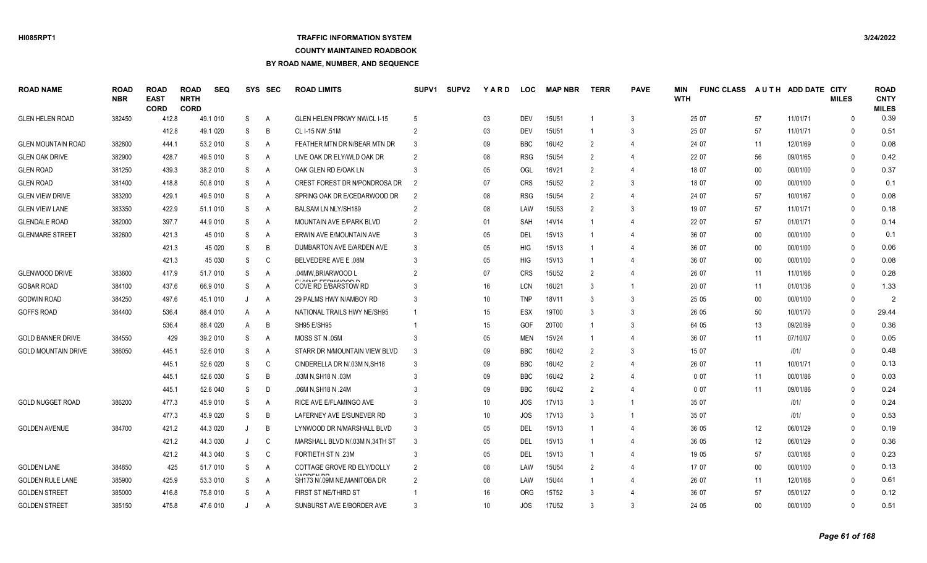## **TRAFFIC INFORMATION SYSTEM**

#### **COUNTY MAINTAINED ROADBOOK**

| <b>ROAD NAME</b>           | <b>ROAD</b><br><b>NBR</b> | <b>ROAD</b><br><b>EAST</b><br><b>CORD</b> | <b>ROAD</b><br><b>NRTH</b><br><b>CORD</b> | <b>SEQ</b> |   | SYS SEC        | <b>ROAD LIMITS</b>                               | SUPV <sub>1</sub> | <b>SUPV2</b> | YARD            | <b>LOC</b> | <b>MAP NBR</b>    | <b>TERR</b>    | <b>PAVE</b>    | <b>MIN</b><br><b>WTH</b> | <b>FUNC CLASS</b> |        | AUTH ADD DATE CITY | <b>MILES</b> | <b>ROAD</b><br><b>CNTY</b><br><b>MILES</b> |
|----------------------------|---------------------------|-------------------------------------------|-------------------------------------------|------------|---|----------------|--------------------------------------------------|-------------------|--------------|-----------------|------------|-------------------|----------------|----------------|--------------------------|-------------------|--------|--------------------|--------------|--------------------------------------------|
| <b>GLEN HELEN ROAD</b>     | 382450                    | 412.8                                     |                                           | 49.1 010   | S | $\overline{A}$ | <b>GLEN HELEN PRKWY NW/CL I-15</b>               | -5                |              | 03              | <b>DEV</b> | <b>15U51</b>      |                | 3              |                          | 25 07             | 57     | 11/01/71           | $\Omega$     | 0.39                                       |
|                            |                           | 412.8                                     |                                           | 49.1 020   | S | B              | CL I-15 NW .51M                                  | 2                 |              | 03              | <b>DEV</b> | 15U51             |                | 3              |                          | 25 07             | 57     | 11/01/71           | $\Omega$     | 0.51                                       |
| <b>GLEN MOUNTAIN ROAD</b>  | 382800                    | 444.1                                     |                                           | 53.2 010   | S | A              | FEATHER MTN DR N/BEAR MTN DR                     | -3                |              | 09              | <b>BBC</b> | 16U42             | $\overline{2}$ | 4              |                          | 24 07             | 11     | 12/01/69           | $\Omega$     | 0.08                                       |
| <b>GLEN OAK DRIVE</b>      | 382900                    | 428.7                                     |                                           | 49.5 010   | S | A              | LIVE OAK DR ELY/WLD OAK DR                       |                   |              | 08              | <b>RSG</b> | <b>15U54</b>      | 2              | 4              |                          | 22 07             | 56     | 09/01/65           | $\Omega$     | 0.42                                       |
| <b>GLEN ROAD</b>           | 381250                    | 439.3                                     |                                           | 38.2 010   | S | A              | OAK GLEN RD E/OAK LN                             |                   |              | 05              | <b>OGL</b> | 16V21             | $\mathcal{P}$  | 4              |                          | 18 07             | 00     | 00/01/00           | $\Omega$     | 0.37                                       |
| <b>GLEN ROAD</b>           | 381400                    | 418.8                                     |                                           | 50.8 010   | S | A              | CREST FOREST DR N/PONDROSA DR                    | -2                |              | 07              | <b>CRS</b> | <b>15U52</b>      | $\mathcal{P}$  | 3              |                          | 18 07             | $00\,$ | 00/01/00           | $\Omega$     | 0.1                                        |
| <b>GLEN VIEW DRIVE</b>     | 383200                    | 429.1                                     |                                           | 49.5 010   | S | A              | SPRING OAK DR E/CEDARWOOD DR                     | $\mathcal{P}$     |              | 08              | <b>RSG</b> | 15U <sub>54</sub> | 2              |                |                          | 24 07             | 57     | 10/01/67           | $\Omega$     | 0.08                                       |
| <b>GLEN VIEW LANE</b>      | 383350                    | 422.9                                     |                                           | 51.1 010   | S | A              | BALSAM LN NLY/SH189                              |                   |              | 08              | LAW        | <b>15U53</b>      |                | 3              |                          | 19 07             | 57     | 11/01/71           | $\Omega$     | 0.18                                       |
| <b>GLENDALE ROAD</b>       | 382000                    | 397.7                                     |                                           | 44.9 010   | S | A              | MOUNTAIN AVE E/PARK BLVD                         | $\overline{2}$    |              | 01              | SAH        | 14V14             |                | $\overline{4}$ |                          | 22 07             | 57     | 01/01/71           | $\Omega$     | 0.14                                       |
| <b>GLENMARE STREET</b>     | 382600                    | 421.3                                     |                                           | 45 010     | S | A              | ERWIN AVE E/MOUNTAIN AVE                         | -3                |              | 05              | DEL        | 15V13             |                | 4              |                          | 36 07             | 00     | 00/01/00           | $\Omega$     | 0.1                                        |
|                            |                           | 421.3                                     |                                           | 45 020     | S | B              | DUMBARTON AVE E/ARDEN AVE                        | -3                |              | 05              | HIG        | 15V13             |                | $\overline{4}$ |                          | 36 07             | $00\,$ | 00/01/00           | $\Omega$     | 0.06                                       |
|                            |                           | 421.3                                     |                                           | 45 030     | S | C              | BELVEDERE AVE E .08M                             |                   |              | 05              | HIG        | 15V13             |                | 4              |                          | 36 07             | 00     | 00/01/00           | $\Omega$     | 0.08                                       |
| <b>GLENWOOD DRIVE</b>      | 383600                    | 417.9                                     |                                           | 51.7 010   | S | A              | .04MW BRIARWOOD L                                |                   |              | 07              | <b>CRS</b> | <b>15U52</b>      | $\mathcal{P}$  | 4              |                          | 26 07             | 11     | 11/01/66           | $\Omega$     | 0.28                                       |
| <b>GOBAR ROAD</b>          | 384100                    | 437.6                                     |                                           | 66.9 010   | S | A              | ELOCUE EEDIUMOOD E<br>COVE RD E/BARSTOW RD       |                   |              | 16              | <b>LCN</b> | 16U21             | $\mathbf{3}$   | -1             |                          | 20 07             | 11     | 01/01/36           | $\Omega$     | 1.33                                       |
| <b>GODWIN ROAD</b>         | 384250                    | 497.6                                     |                                           | 45.1 010   | J | A              | 29 PALMS HWY N/AMBOY RD                          |                   |              | 10              | <b>TNP</b> | 18V11             | 3              | 3              |                          | 25 05             | $00\,$ | 00/01/00           | $\Omega$     |                                            |
| <b>GOFFS ROAD</b>          | 384400                    | 536.4                                     |                                           | 88.4 010   | A | A              | NATIONAL TRAILS HWY NE/SH95                      |                   |              | 15              | <b>ESX</b> | 19T00             | 3              | 3              |                          | 26 05             | 50     | 10/01/70           | $\Omega$     | 29.44                                      |
|                            |                           | 536.4                                     |                                           | 88.4 020   | A | B              | SH95 E/SH95                                      |                   |              | 15              | <b>GOF</b> | 20T00             |                | 3              |                          | 64 05             | 13     | 09/20/89           | $\Omega$     | 0.36                                       |
| <b>GOLD BANNER DRIVE</b>   | 384550                    | 429                                       |                                           | 39.2 010   | S | A              | MOSS ST N .05M                                   |                   |              | 05              | <b>MEN</b> | 15V24             |                | $\overline{4}$ |                          | 36 07             | 11     | 07/10/07           | $\Omega$     | 0.05                                       |
| <b>GOLD MOUNTAIN DRIVE</b> | 386050                    | 445.1                                     |                                           | 52.6 010   | S | A              | STARR DR N/MOUNTAIN VIEW BLVD                    |                   |              | 09              | <b>BBC</b> | 16U42             | $\mathcal{P}$  | 3              |                          | 15 07             |        | 1011               | $\Omega$     | 0.48                                       |
|                            |                           | 445.1                                     |                                           | 52.6 020   | S | C              | CINDERELLA DR N/03M N SH18                       |                   |              | 09              | <b>BBC</b> | 16U42             | $\mathcal{P}$  | 4              |                          | 26 07             | 11     | 10/01/71           | $\Omega$     | 0.13                                       |
|                            |                           | 445.1                                     |                                           | 52.6 030   | S | B              | .03M N.SH18 N .03M                               |                   |              | 09              | <b>BBC</b> | 16U42             | $\mathcal{P}$  | 4              |                          | 007               | 11     | 00/01/86           | $\Omega$     | 0.03                                       |
|                            |                           | 445.1                                     |                                           | 52.6 040   | S | D              | .06M N.SH18 N .24M                               |                   |              | 09              | <b>BBC</b> | 16U42             | $\mathcal{P}$  | $\overline{4}$ |                          | 007               | 11     | 09/01/86           | $\Omega$     | 0.24                                       |
| <b>GOLD NUGGET ROAD</b>    | 386200                    | 477.3                                     |                                           | 45.9 010   | S | A              | RICE AVE E/FLAMINGO AVE                          |                   |              | 10              | JOS        | 17V13             | 3              | -1             |                          | 35 07             |        | 1011               | $\Omega$     | 0.24                                       |
|                            |                           | 477.3                                     |                                           | 45.9 020   | S | B              | LAFERNEY AVE E/SUNEVER RD                        |                   |              | 10              | JOS        | 17V13             |                | -1             |                          | 35 07             |        | 1011               | $\Omega$     | 0.53                                       |
| <b>GOLDEN AVENUE</b>       | 384700                    | 421.2                                     |                                           | 44.3 020   |   | B              | LYNWOOD DR N/MARSHALL BLVD                       |                   |              | 05              | DEL        | 15V13             |                | $\overline{4}$ |                          | 36 05             | 12     | 06/01/29           | $\Omega$     | 0.19                                       |
|                            |                           | 421.2                                     |                                           | 44.3 030   | J | C              | MARSHALL BLVD N/.03M N,34TH ST                   |                   |              | 05              | DEL        | 15V13             |                | $\overline{4}$ |                          | 36 05             | 12     | 06/01/29           | $\Omega$     | 0.36                                       |
|                            |                           | 421.2                                     |                                           | 44.3 040   | S | C              | FORTIETH ST N .23M                               |                   |              | 05              | DEL        | 15V13             |                |                |                          | 19 05             | 57     | 03/01/68           | $\Omega$     | 0.23                                       |
| <b>GOLDEN LANE</b>         | 384850                    | 425                                       |                                           | 51.7 010   | S | A              | COTTAGE GROVE RD ELY/DOLLY                       | 2                 |              | 08              | LAW        | 15U <sub>54</sub> | $\mathcal{P}$  |                |                          | 17 07             | $00\,$ | 00/01/00           | $\Omega$     | 0.13                                       |
| <b>GOLDEN RULE LANE</b>    | 385900                    | 425.9                                     |                                           | 53.3 010   | S | A              | <b>WADDEN DD</b><br>SH173 N/.09M NE, MANITOBA DR |                   |              | 08              | LAW        | 15U44             |                | $\overline{4}$ |                          | 26 07             | 11     | 12/01/68           | $\Omega$     | 0.61                                       |
| <b>GOLDEN STREET</b>       | 385000                    | 416.8                                     |                                           | 75.8 010   | S | A              | FIRST ST NE/THIRD ST                             |                   |              | 16              | <b>ORG</b> | 15T52             |                |                |                          | 36 07             | 57     | 05/01/27           | $\mathsf{O}$ | 0.12                                       |
| <b>GOLDEN STREET</b>       | 385150                    | 475.8                                     |                                           | 47.6 010   |   | A              | SUNBURST AVE E/BORDER AVE                        |                   |              | 10 <sup>°</sup> | JOS        | 17U <sub>52</sub> |                | $\mathcal{R}$  |                          | 24 05             | $00\,$ | 00/01/00           | $\Omega$     | 0.51                                       |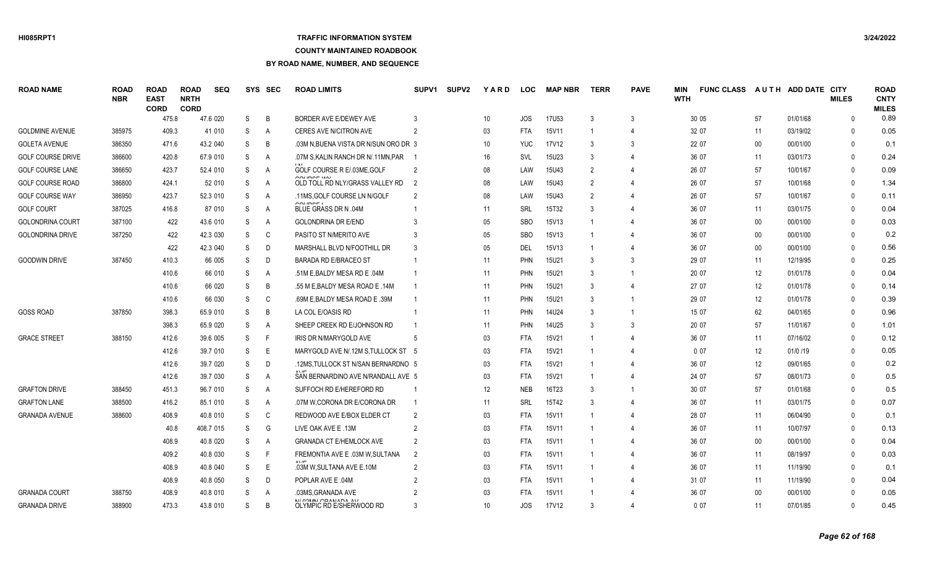### **TRAFFIC INFORMATION SYSTEM**

### **COUNTY MAINTAINED ROADBOOK**

| <b>ROAD NAME</b>         | <b>ROAD</b><br><b>NBR</b> | <b>ROAD</b><br><b>EAST</b><br><b>CORD</b> | <b>ROAD</b><br><b>NRTH</b><br><b>CORD</b> | <b>SEQ</b> | <b>SYS</b> | <b>SEC</b>     | <b>ROAD LIMITS</b>                                 | SUPV1          | <b>SUPV2</b> | YARD            | <b>LOC</b> | <b>MAP NBR</b> | <b>TERR</b>    | <b>PAVE</b>    | MIN<br><b>WTH</b> | <b>FUNC CLASS</b> |        | AUTH ADD DATE CITY | <b>MILES</b> | <b>ROAD</b><br><b>CNTY</b><br><b>MILES</b> |
|--------------------------|---------------------------|-------------------------------------------|-------------------------------------------|------------|------------|----------------|----------------------------------------------------|----------------|--------------|-----------------|------------|----------------|----------------|----------------|-------------------|-------------------|--------|--------------------|--------------|--------------------------------------------|
|                          |                           | 475.8                                     |                                           | 47.6 020   | S          | B              | BORDER AVE E/DEWEY AVE                             |                |              | 10              | JOS        | 17U53          | -3             | 3              |                   | 30 05             | 57     | 01/01/68           | $\mathbf{0}$ | 0.89                                       |
| <b>GOLDMINE AVENUE</b>   | 385975                    | 409.3                                     |                                           | 41 010     | S          | $\overline{A}$ | CERES AVE N/CITRON AVE                             | $\mathcal{P}$  |              | 03              | <b>FTA</b> | 15V11          |                | $\overline{4}$ |                   | 32 07             | 11     | 03/19/02           | $\Omega$     | 0.05                                       |
| <b>GOLETA AVENUE</b>     | 386350                    | 471.6                                     |                                           | 43.2 040   | S          | B              | .03M N, BUENA VISTA DR N/SUN ORO DR 3              |                |              | 10              | <b>YUC</b> | 17V12          | -3             | 3              |                   | 22 07             | $00\,$ | 00/01/00           | $\mathbf{0}$ | 0.1                                        |
| <b>GOLF COURSE DRIVE</b> | 386600                    | 420.8                                     |                                           | 67.9 010   | S          | $\overline{A}$ | .07M S, KALIN RANCH DR N/.11MN, PAR                |                |              | 16              | SVL        | 15U23          |                | $\overline{4}$ |                   | 36 07             | 11     | 03/01/73           | $\Omega$     | 0.24                                       |
| <b>GOLF COURSE LANE</b>  | 386650                    | 423.7                                     |                                           | 52.4 010   | S          | A              | GOLF COURSE R E/.03ME.GOLF                         | $\mathcal{P}$  |              | 08              | LAW        | <b>15U43</b>   | $\mathcal{P}$  | 4              |                   | 26 07             | 57     | 10/01/67           | $\Omega$     | 0.09                                       |
| <b>GOLF COURSE ROAD</b>  | 386800                    | 424.1                                     |                                           | 52 010     | S          | $\overline{A}$ | 001000100<br>OLD TOLL RD NLY/GRASS VALLEY RD       | -2             |              | 08              | LAW        | 15U43          |                | $\overline{4}$ |                   | 26 07             | 57     | 10/01/68           | $\Omega$     | 1.34                                       |
| <b>GOLF COURSE WAY</b>   | 386950                    | 423.7                                     |                                           | 52.3 010   | S          | $\overline{A}$ | .11MS.GOLF COURSE LN N/GOLF                        | $\mathcal{P}$  |              | 08              | LAW        | <b>15U43</b>   | $\mathfrak{p}$ | $\overline{4}$ |                   | 26 07             | 57     | 10/01/67           | $\Omega$     | 0.11                                       |
| <b>GOLF COURT</b>        | 387025                    | 416.8                                     |                                           | 87 010     | S          | A              | 001000<br><b>BLUE GRASS DR N .04M</b>              |                |              | 11              | <b>SRL</b> | 15T32          |                | $\overline{4}$ |                   | 36 07             | 11     | 03/01/75           | $\Omega$     | 0.04                                       |
| <b>GOLONDRINA COURT</b>  | 387100                    | 422                                       |                                           | 43.6 010   | S          | A              | <b>GOLONDRINA DR E/END</b>                         |                |              | 05              | <b>SBO</b> | 15V13          |                | $\overline{4}$ |                   | 36 07             | 00     | 00/01/00           | $\Omega$     | 0.03                                       |
| <b>GOLONDRINA DRIVE</b>  | 387250                    | 422                                       |                                           | 42.3 030   | S          | C              | PASITO ST N/MERITO AVE                             |                |              | 05              | <b>SBO</b> | 15V13          |                | $\overline{4}$ |                   | 36 07             | $00\,$ | 00/01/00           | $\mathbf{0}$ | 0.2                                        |
|                          |                           | 422                                       |                                           | 42.3 040   | S          | D              | MARSHALL BLVD N/FOOTHILL DR                        |                |              | 05              | DEL        | 15V13          |                | $\overline{4}$ |                   | 36 07             | $00\,$ | 00/01/00           | $\Omega$     | 0.56                                       |
| <b>GOODWIN DRIVE</b>     | 387450                    | 410.3                                     |                                           | 66 005     | S          | D              | <b>BARADA RD E/BRACEO ST</b>                       |                |              | 11              | <b>PHN</b> | 15U21          | 3              | 3              |                   | 29 07             | 11     | 12/19/95           | $\mathbf{0}$ | 0.25                                       |
|                          |                           | 410.6                                     |                                           | 66 010     | S          | A              | .51M E, BALDY MESA RD E .04M                       |                |              | 11              | <b>PHN</b> | 15U21          |                | -1             |                   | 20 07             | 12     | 01/01/78           | $\Omega$     | 0.04                                       |
|                          |                           | 410.6                                     |                                           | 66 020     | S          | B              | .55 M E.BALDY MESA ROAD E .14M                     |                |              | 11              | <b>PHN</b> | 15U21          | $\mathcal{R}$  | $\overline{4}$ |                   | 27 07             | 12     | 01/01/78           | $\Omega$     | 0.14                                       |
|                          |                           | 410.6                                     |                                           | 66 030     | S          | C              | .69M E, BALDY MESA ROAD E .39M                     |                |              | 11              | <b>PHN</b> | 15U21          |                | -1             |                   | 29 07             | 12     | 01/01/78           | $\Omega$     | 0.39                                       |
| <b>GOSS ROAD</b>         | 387850                    | 398.3                                     |                                           | 65.9 010   | S          | B              | LA COL E/OASIS RD                                  |                |              | 11              | <b>PHN</b> | 14U24          | -3             | $\overline{1}$ |                   | 15 07             | 62     | 04/01/65           | $\Omega$     | 0.96                                       |
|                          |                           | 398.3                                     |                                           | 65.9 020   | S          | A              | SHEEP CREEK RD E/JOHNSON RD                        |                |              | 11              | <b>PHN</b> | 14U25          | $\mathcal{R}$  | 3              |                   | 20 07             | 57     | 11/01/67           | $\Omega$     | 1.01                                       |
| <b>GRACE STREET</b>      | 388150                    | 412.6                                     |                                           | 39.6 005   | S          | F              | IRIS DR N/MARYGOLD AVE                             | -5             |              | 03              | <b>FTA</b> | 15V21          |                | 4              |                   | 36 07             | 11     | 07/16/02           | $\Omega$     | 0.12                                       |
|                          |                           | 412.6                                     |                                           | 39.7 010   | S          | E              | MARYGOLD AVE N/.12M S, TULLOCK ST 5                |                |              | 03              | <b>FTA</b> | 15V21          |                | 4              |                   | 0 0 7             | 12     | 01/0 /19           | $\Omega$     | 0.05                                       |
|                          |                           | 412.6                                     |                                           | 39.7 020   | S          | D              | .12MS, TULLOCK ST N/SAN BERNARDNO 5                |                |              | 03              | <b>FTA</b> | 15V21          |                |                |                   | 36 07             | 12     | 09/01/65           | $\Omega$     | 0.2                                        |
|                          |                           | 412.6                                     |                                           | 39.7 030   | S          | A              | SAN BERNARDINO AVE N/RANDALL AVE 5                 |                |              | 03              | <b>FTA</b> | 15V21          |                |                |                   | 24 07             | 57     | 08/01/73           | $\Omega$     | 0.5                                        |
| <b>GRAFTON DRIVE</b>     | 388450                    | 451.3                                     |                                           | 96.7 010   | S          | A              | SUFFOCH RD E/HEREFORD RD                           |                |              | 12              | <b>NEB</b> | 16T23          | 3              | -1             |                   | 30 07             | 57     | 01/01/68           | $\Omega$     | 0.5                                        |
| <b>GRAFTON LANE</b>      | 388500                    | 416.2                                     |                                           | 85.1 010   | S          | A              | .07M W,CORONA DR E/CORONA DR                       |                |              | 11              | SRL        | 15T42          | 3              | $\overline{4}$ |                   | 36 07             | 11     | 03/01/75           | $\Omega$     | 0.07                                       |
| <b>GRANADA AVENUE</b>    | 388600                    | 408.9                                     |                                           | 40.8 010   | S          | C              | REDWOOD AVE E/BOX ELDER CT                         | $\mathcal{P}$  |              | 03              | <b>FTA</b> | 15V11          |                | $\overline{4}$ |                   | 28 07             | 11     | 06/04/90           | $\Omega$     | 0.1                                        |
|                          |                           | 40.8                                      |                                           | 408.7 015  | S          | G              | LIVE OAK AVE E.13M                                 |                |              | 03              | <b>FTA</b> | 15V11          |                | $\overline{4}$ |                   | 36 07             | 11     | 10/07/97           | $\Omega$     | 0.13                                       |
|                          |                           | 408.9                                     |                                           | 40.8 020   | S          | A              | <b>GRANADA CT E/HEMLOCK AVE</b>                    | 2              |              | 03              | <b>FTA</b> | 15V11          |                | 4              |                   | 36 07             | 00     | 00/01/00           | $\Omega$     | 0.04                                       |
|                          |                           | 409.2                                     |                                           | 40.8 030   | S          | F              | FREMONTIA AVE E .03M W, SULTANA                    | 2              |              | 03              | <b>FTA</b> | 15V11          |                | 4              |                   | 36 07             | 11     | 08/19/97           | $\Omega$     | 0.03                                       |
|                          |                           | 408.9                                     |                                           | 40.8 040   | S          | E              | .03M W, SULTANA AVE E.10M                          | $\mathfrak{p}$ |              | 03              | <b>FTA</b> | 15V11          |                | 4              |                   | 36 07             | 11     | 11/19/90           | $\Omega$     | 0.1                                        |
|                          |                           | 408.9                                     |                                           | 40.8 050   | S          | D              | POPLAR AVE E .04M                                  |                |              | 03              | <b>FTA</b> | 15V11          |                | 4              |                   | 31 07             | 11     | 11/19/90           | $\Omega$     | 0.04                                       |
| <b>GRANADA COURT</b>     | 388750                    | 408.9                                     |                                           | 40.8 010   | S          | A              | .03MS.GRANADA AVE                                  |                |              | 03              | <b>FTA</b> | 15V11          |                |                |                   | 36 07             | $00\,$ | 00/01/00           | $\cap$       | 0.05                                       |
| <b>GRANADA DRIVE</b>     | 388900                    | 473.3                                     |                                           | 43.8 010   | S.         | <sub>R</sub>   | AU AOMANI AMANIAMA AVA<br>OLYMPIC RD E/SHERWOOD RD |                |              | 10 <sup>°</sup> | JOS        | 17V12          | 3              | Δ              |                   | 0.07              | 11     | 07/01/85           | $\Omega$     | 0.45                                       |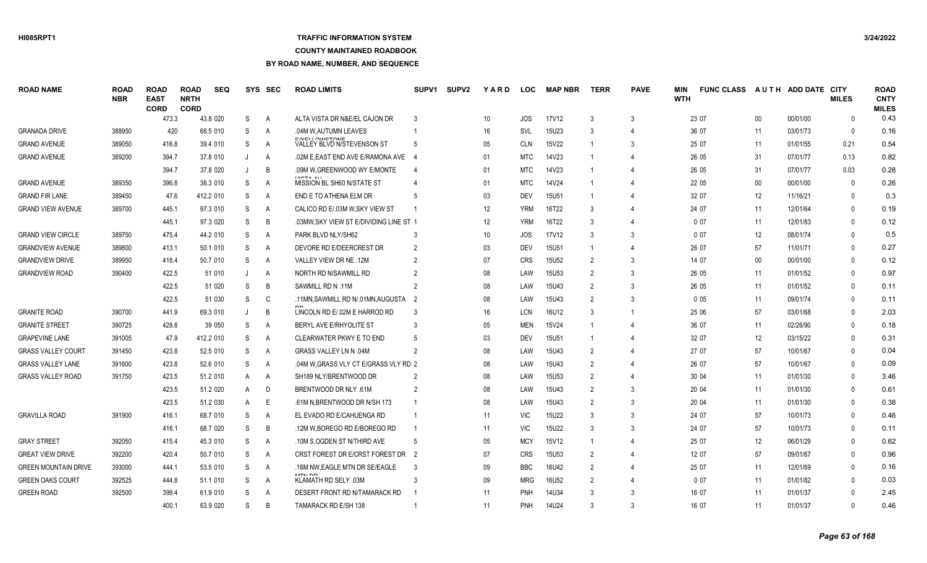## **TRAFFIC INFORMATION SYSTEM**

**COUNTY MAINTAINED ROADBOOK**

| <b>ROAD NAME</b>            | <b>ROAD</b><br><b>NBR</b> | <b>ROAD</b><br><b>EAST</b><br><b>CORD</b> | <b>ROAD</b><br><b>NRTH</b><br><b>CORD</b> | <b>SEQ</b> | <b>SYS</b> | <b>SEC</b>     | <b>ROAD LIMITS</b>                                 | SUPV <sub>1</sub> | <b>SUPV2</b> | <b>YARD</b> | <b>LOC</b> | <b>MAP NBR</b>    | <b>TERR</b>    | <b>PAVE</b>    | MIN<br><b>WTH</b> | <b>FUNC CLASS</b> |        | AUTH ADD DATE | CITY<br><b>MILES</b> | <b>ROAD</b><br><b>CNTY</b><br><b>MILES</b> |
|-----------------------------|---------------------------|-------------------------------------------|-------------------------------------------|------------|------------|----------------|----------------------------------------------------|-------------------|--------------|-------------|------------|-------------------|----------------|----------------|-------------------|-------------------|--------|---------------|----------------------|--------------------------------------------|
|                             |                           | 473.3                                     |                                           | 43.8 020   | S          | A              | ALTA VISTA DR N&E/EL CAJON DR                      |                   |              | 10          | <b>JOS</b> | <b>17V12</b>      | 3              | 3              |                   | 23 07             | $00\,$ | 00/01/00      | $\Omega$             | 0.43                                       |
| <b>GRANADA DRIVE</b>        | 388950                    | 420                                       |                                           | 68.5 010   | S          | A              | .04M W, AUTUMN LEAVES                              |                   |              | 16          | SVL        | 15U23             | 3              | 4              |                   | 36 07             | 11     | 03/01/73      | $\mathbf{0}$         | 0.16                                       |
| <b>GRAND AVENUE</b>         | 389050                    | 416.8                                     |                                           | 39.4 010   | S          | A              | <b>ENELL OMCTOME</b><br>VALLEY BLVD N/STEVENSON ST | -5                |              | 05          | <b>CLN</b> | 15V22             |                | 3              |                   | 25 07             | 11     | 01/01/55      | 0.21                 | 0.54                                       |
| <b>GRAND AVENUE</b>         | 389200                    | 394.7                                     |                                           | 37.8 010   |            | A              | .02M E,EAST END AVE E/RAMONA AVE                   |                   |              | 01          | <b>MTC</b> | 14V23             |                | $\Lambda$      |                   | 26 05             | 31     | 07/01/77      | 0.13                 | 0.82                                       |
|                             |                           | 394.7                                     |                                           | 37.8 020   |            | B              | .09M W.GREENWOOD WY E/MONTE<br>$110T + 11$         | $\overline{4}$    |              | 01          | <b>MTC</b> | 14V23             |                | $\overline{4}$ |                   | 26 05             | 31     | 07/01/77      | 0.03                 | 0.28                                       |
| <b>GRAND AVENUE</b>         | 389350                    | 396.8                                     |                                           | 38.3 010   | S          | A              | MISSION BL SH60 N/STATE ST                         |                   |              | 01          | <b>MTC</b> | 14V24             | -1             | Δ              |                   | 22 05             | 00     | 00/01/00      | $\Omega$             | 0.26                                       |
| <b>GRAND FIR LANE</b>       | 389450                    | 47.6                                      |                                           | 412.2 010  | S          | A              | END E TO ATHENA ELM DR                             | -5                |              | 03          | <b>DEV</b> | <b>15U51</b>      |                | Δ              |                   | 32 07             | 12     | 11/16/21      | $\Omega$             | 0.3                                        |
| <b>GRAND VIEW AVENUE</b>    | 389700                    | 445.1                                     |                                           | 97.3 010   | S          | A              | CALICO RD E/.03M W, SKY VIEW ST                    |                   |              | 12          | <b>YRM</b> | 16T22             | 3              |                |                   | 24 07             | 11     | 12/01/64      | $\Omega$             | 0.19                                       |
|                             |                           | 445.1                                     |                                           | 97.3 020   | S          | B              | .03MW, SKY VIEW ST E/DIVIDING LINE ST 1            |                   |              | 12          | <b>YRM</b> | 16T22             | 3              |                |                   | 0 0 7             | 11     | 12/01/83      | $\Omega$             | 0.12                                       |
| <b>GRAND VIEW CIRCLE</b>    | 389750                    | 475.4                                     |                                           | 44.2 010   | S          | $\overline{A}$ | PARK BLVD NLY/SH62                                 |                   |              | 10          | JOS        | <b>17V12</b>      | 3              | 3              |                   | 007               | 12     | 08/01/74      | $\Omega$             | 0.5                                        |
| <b>GRANDVIEW AVENUE</b>     | 389800                    | 413.1                                     |                                           | 50.1 010   | S          | $\overline{A}$ | DEVORE RD E/DEERCREST DR                           | $\overline{2}$    |              | 03          | <b>DEV</b> | 15U51             |                | $\overline{4}$ |                   | 26 07             | 57     | 11/01/71      | $\Omega$             | 0.27                                       |
| <b>GRANDVIEW DRIVE</b>      | 389950                    | 418.4                                     |                                           | 50.7 010   | S          | Α              | VALLEY VIEW DR NE .12M                             | $\mathcal{P}$     |              | 07          | <b>CRS</b> | 15U <sub>52</sub> | 2              | 3              |                   | 14 07             | $00\,$ | 00/01/00      | $\mathbf{0}$         | 0.12                                       |
| <b>GRANDVIEW ROAD</b>       | 390400                    | 422.5                                     |                                           | 51 010     | J          | A              | NORTH RD N/SAWMILL RD                              |                   |              | 08          | LAW        | <b>15U53</b>      | $\mathfrak{p}$ | 3              |                   | 26 05             | 11     | 01/01/52      | $\Omega$             | 0.97                                       |
|                             |                           | 422.5                                     |                                           | 51 020     | S.         | B              | SAWMILL RD N .11M                                  | 2                 |              | 08          | LAW        | <b>15U43</b>      | $\mathfrak{p}$ | 3              |                   | 26 05             | 11     | 01/01/52      | $\Omega$             | 0.11                                       |
|                             |                           | 422.5                                     |                                           | 51 030     | S          | C              | .11MN, SAWMILL RD N/ 01MN, AUGUSTA 2               |                   |              | 08          | LAW        | 15U43             | $\mathfrak{p}$ | 3              |                   | 005               | 11     | 09/01/74      | $\Omega$             | 0.11                                       |
| <b>GRANITE ROAD</b>         | 390700                    | 441.9                                     |                                           | 69.3 010   |            | B              | LINCOLN RD E/.02M E HARROD RD                      | 3                 |              | 16          | <b>LCN</b> | 16U12             | 3              |                |                   | 25 06             | 57     | 03/01/68      | $\Omega$             | 2.03                                       |
| <b>GRANITE STREET</b>       | 390725                    | 428.8                                     |                                           | 39 050     | S          | A              | BERYL AVE E/RHYOLITE ST                            | -3                |              | 05          | <b>MEN</b> | 15V24             | -1             | 4              |                   | 36 07             | 11     | 02/26/90      | $\Omega$             | 0.18                                       |
| <b>GRAPEVINE LANE</b>       | 391005                    | 47.9                                      |                                           | 412.2 010  | S          | A              | CLEARWATER PKWY E TO END                           |                   |              | 03          | DEV        | 15U51             |                |                |                   | 32 07             | 12     | 03/15/22      | $\Omega$             | 0.31                                       |
| <b>GRASS VALLEY COURT</b>   | 391450                    | 423.8                                     |                                           | 52.5 010   | S          | $\overline{A}$ | <b>GRASS VALLEY LN N .04M</b>                      | 2                 |              | 08          | LAW        | <b>15U43</b>      | $\overline{2}$ | 4              |                   | 27 07             | 57     | 10/01/67      | $\Omega$             | 0.04                                       |
| <b>GRASS VALLEY LANE</b>    | 391600                    | 423.8                                     |                                           | 52.6 010   | S          | $\overline{A}$ | .04M W, GRASS VLY CT E/GRASS VLY RD 2              |                   |              | 08          | LAW        | 15U43             | $\overline{2}$ | 4              |                   | 26 07             | 57     | 10/01/67      | $\Omega$             | 0.09                                       |
| <b>GRASS VALLEY ROAD</b>    | 391750                    | 423.5                                     |                                           | 51.2 010   | A          | A              | SH189 NLY/BRENTWOOD DR                             | $\overline{2}$    |              | 08          | LAW        | <b>15U53</b>      | $\overline{2}$ | Δ              |                   | 30 04             | 11     | 01/01/30      | $\Omega$             | 3.46                                       |
|                             |                           | 423.5                                     |                                           | 51.2 020   | A          | D              | BRENTWOOD DR NLY .61M                              | 2                 |              | 08          | LAW        | 15U43             | $\overline{2}$ | 3              |                   | 20 04             | 11     | 01/01/30      | $\Omega$             | 0.61                                       |
|                             |                           | 423.5                                     |                                           | 51.2 030   | A          | E              | .61M N, BRENTWOOD DR N/SH 173                      |                   |              | 08          | LAW        | 15U43             | $\overline{2}$ | 3              |                   | 20 04             | 11     | 01/01/30      | $\Omega$             | 0.38                                       |
| <b>GRAVILLA ROAD</b>        | 391900                    | 416.1                                     |                                           | 68.7 010   | S          | A              | EL EVADO RD E/CAHUENGA RD                          | -1                |              | 11          | <b>VIC</b> | 15U22             | 3              | 3              |                   | 24 07             | 57     | 10/01/73      | $\Omega$             | 0.46                                       |
|                             |                           | 416.1                                     |                                           | 68.7 020   | S          | B              | .12M W,BOREGO RD E/BOREGO RD                       |                   |              | 11          | <b>VIC</b> | 15U22             | 3              | 3              |                   | 24 07             | 57     | 10/01/73      | $\Omega$             | 0.11                                       |
| <b>GRAY STREET</b>          | 392050                    | 415.4                                     |                                           | 45.3 010   | S          | A              | .10M S, OGDEN ST N/THIRD AVE                       | -5                |              | 05          | <b>MCY</b> | 15V12             |                | $\overline{4}$ |                   | 25 07             | 12     | 06/01/29      | $\Omega$             | 0.62                                       |
| <b>GREAT VIEW DRIVE</b>     | 392200                    | 420.4                                     |                                           | 50.7 010   | S          | A              | CRST FOREST DR E/CRST FOREST DR 2                  |                   |              | 07          | <b>CRS</b> | <b>15U53</b>      | $\overline{2}$ | 4              |                   | 12 07             | 57     | 09/01/67      | $\Omega$             | 0.96                                       |
| <b>GREEN MOUNTAIN DRIVE</b> | 393000                    | 444.1                                     |                                           | 53.5 010   | S          | $\overline{A}$ | .16M NW EAGLE MTN DR SE/EAGLE                      | 3                 |              | 09          | <b>BBC</b> | 16U42             | $\overline{2}$ | $\overline{4}$ |                   | 25 07             | 11     | 12/01/69      | $\Omega$             | 0.16                                       |
| <b>GREEN OAKS COURT</b>     | 392525                    | 444.8                                     |                                           | 51.1 010   | S          | A              | <b>MTNLOD</b><br>KLAMATH RD SELY .03M              | 3                 |              | 09          | <b>MRG</b> | 16U52             | $\overline{2}$ | 4              |                   | 0 0 7             | 11     | 01/01/82      | $\mathbf{0}$         | 0.03                                       |
| <b>GREEN ROAD</b>           | 392500                    | 399.4                                     |                                           | 61.9 010   | S          | $\overline{A}$ | DESERT FRONT RD N/TAMARACK RD                      |                   |              |             | <b>PNH</b> | 14U34             | 3              | 3              |                   | 16 07             | 11     | 01/01/37      |                      | 2.45                                       |
|                             |                           | 400.1                                     |                                           | 63.9 020   | S.         | R              | TAMARACK RD E/SH 138                               |                   |              | 11          | <b>PNH</b> | 14U24             | $\mathcal{R}$  | $\mathcal{R}$  |                   | 16 07             | 11     | 01/01/37      | $\Omega$             | 0.46                                       |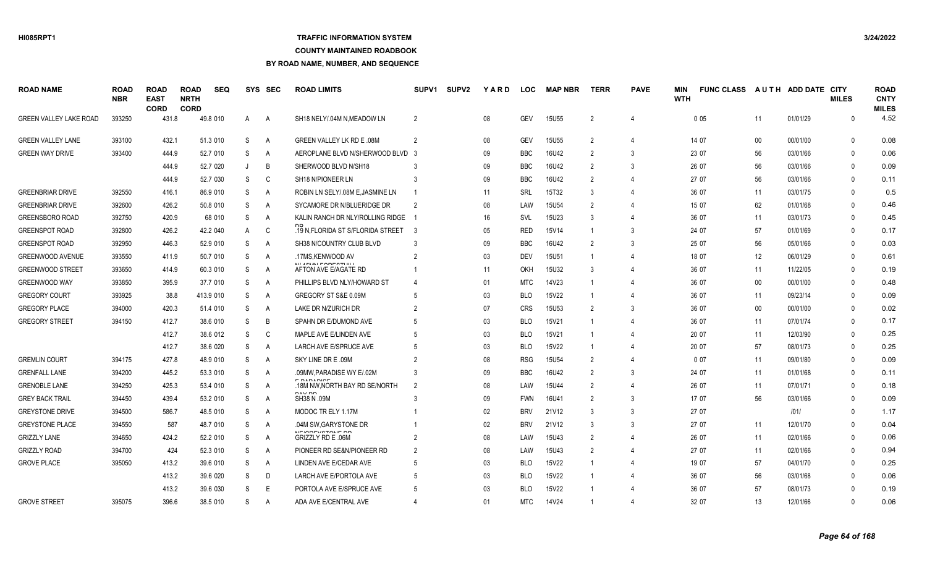# **TRAFFIC INFORMATION SYSTEM**

**COUNTY MAINTAINED ROADBOOK**

| <b>ROAD NAME</b>              | <b>ROAD</b><br><b>NBR</b> | <b>ROAD</b><br><b>EAST</b><br><b>CORD</b> | <b>ROAD</b><br><b>NRTH</b><br><b>CORD</b> | <b>SEQ</b> | <b>SYS</b>   | SEC            | <b>ROAD LIMITS</b>                               | <b>SUPV1</b>   | <b>SUPV2</b> | YARD | <b>LOC</b> | <b>MAP NBR</b> | <b>TERR</b>    | <b>PAVE</b>    | <b>MIN</b><br><b>WTH</b> | <b>FUNC CLASS</b> |        | AUTH ADD DATE CITY | <b>MILES</b> | <b>ROAD</b><br><b>CNTY</b><br><b>MILES</b> |
|-------------------------------|---------------------------|-------------------------------------------|-------------------------------------------|------------|--------------|----------------|--------------------------------------------------|----------------|--------------|------|------------|----------------|----------------|----------------|--------------------------|-------------------|--------|--------------------|--------------|--------------------------------------------|
| <b>GREEN VALLEY LAKE ROAD</b> | 393250                    | 431.8                                     |                                           | 49.8 010   | A            | A              | SH18 NELY/ 04M N, MEADOW LN                      | $\overline{2}$ |              | 08   | <b>GEV</b> | <b>15U55</b>   | $\overline{2}$ |                |                          | 0 0 5             | 11     | 01/01/29           | $\Omega$     | 4.52                                       |
| <b>GREEN VALLEY LANE</b>      | 393100                    | 432.1                                     |                                           | 51.3 010   | S.           | $\overline{A}$ | GREEN VALLEY LK RD E .08M                        | $\overline{2}$ |              | 08   | <b>GEV</b> | <b>15U55</b>   | $\overline{2}$ |                |                          | 14 07             | $00\,$ | 00/01/00           | $\Omega$     | 0.08                                       |
| <b>GREEN WAY DRIVE</b>        | 393400                    | 444.9                                     |                                           | 52.7 010   | <sub>S</sub> | A              | AEROPLANE BLVD N/SHERWOOD BLVD 3                 |                |              | 09   | <b>BBC</b> | 16U42          | $\overline{2}$ | 3              |                          | 23 07             | 56     | 03/01/66           | $\Omega$     | 0.06                                       |
|                               |                           | 444.9                                     |                                           | 52.7 020   |              | B              | SHERWOOD BLVD N/SH18                             |                |              | 09   | <b>BBC</b> | 16U42          | $\mathcal{P}$  | 3              |                          | 26 07             | 56     | 03/01/66           | $\Omega$     | 0.09                                       |
|                               |                           | 444.9                                     |                                           | 52.7 030   | S            | C              | SH18 N/PIONEER LN                                |                |              | 09   | <b>BBC</b> | 16U42          |                |                |                          | 27 07             | 56     | 03/01/66           | $\Omega$     | 0.11                                       |
| <b>GREENBRIAR DRIVE</b>       | 392550                    | 416.1                                     |                                           | 86.9 010   | S            | A              | ROBIN LN SELY/.08M E, JASMINE LN                 |                |              | 11   | <b>SRL</b> | 15T32          | 3              |                |                          | 36 07             | 11     | 03/01/75           | $\Omega$     | 0.5                                        |
| <b>GREENBRIAR DRIVE</b>       | 392600                    | 426.2                                     |                                           | 50.8 010   | <sub>S</sub> | A              | SYCAMORE DR N/BLUERIDGE DR                       | $\mathcal{P}$  |              | 08   | LAW        | <b>15U54</b>   | $\overline{2}$ |                |                          | 15 07             | 62     | 01/01/68           | $\Omega$     | 0.46                                       |
| <b>GREENSBORO ROAD</b>        | 392750                    | 420.9                                     |                                           | 68 010     | -S           | A              | KALIN RANCH DR NLY/ROLLING RIDGE                 |                |              | 16   | <b>SVL</b> | 15U23          |                |                |                          | 36 07             | 11     | 03/01/73           | $\Omega$     | 0.45                                       |
| <b>GREENSPOT ROAD</b>         | 392800                    | 426.2                                     |                                           | 42.2 040   | A            | C              | .19 N.FLORIDA ST S/FLORIDA STREET                | 3              |              | 05   | <b>RED</b> | 15V14          |                | 3              |                          | 24 07             | 57     | 01/01/69           | $\Omega$     | 0.17                                       |
| <b>GREENSPOT ROAD</b>         | 392950                    | 446.3                                     |                                           | 52.9 010   | <sub>S</sub> | A              | SH38 N/COUNTRY CLUB BLVD                         |                |              | 09   | <b>BBC</b> | 16U42          | $\overline{2}$ | 3              |                          | 25 07             | 56     | 05/01/66           | $\Omega$     | 0.03                                       |
| <b>GREENWOOD AVENUE</b>       | 393550                    | 411.9                                     |                                           | 50.7 010   | <sub>S</sub> | A              | .17MS, KENWOOD AV                                |                |              | 03   | <b>DEV</b> | <b>15U51</b>   |                |                |                          | 18 07             | 12     | 06/01/29           | $\Omega$     | 0.61                                       |
| <b>GREENWOOD STREET</b>       | 393650                    | 414.9                                     |                                           | 60.3 010   | <sub>S</sub> | A              | <b>MILAPMALPAREATURE</b><br>AFTON AVE E/AGATE RD |                |              | 11   | OKH        | 15U32          | $\mathcal{R}$  |                |                          | 36 07             | 11     | 11/22/05           | $\Omega$     | 0.19                                       |
| <b>GREENWOOD WAY</b>          | 393850                    | 395.9                                     |                                           | 37.7 010   | <sub>S</sub> | A              | PHILLIPS BLVD NLY/HOWARD ST                      |                |              | 01   | <b>MTC</b> | 14V23          |                |                |                          | 36 07             | 00     | 00/01/00           | $\Omega$     | 0.48                                       |
| <b>GREGORY COURT</b>          | 393925                    | 38.8                                      |                                           | 413.9 010  | S.           | A              | GREGORY ST S&E 0.09M                             | 5              |              | 03   | <b>BLO</b> | <b>15V22</b>   |                |                |                          | 36 07             | 11     | 09/23/14           | $\Omega$     | 0.09                                       |
| <b>GREGORY PLACE</b>          | 394000                    | 420.3                                     |                                           | 51.4 010   | -S           | A              | LAKE DR N/ZURICH DR                              | 2              |              | 07   | <b>CRS</b> | <b>15U53</b>   | $\mathcal{P}$  | 3              |                          | 36 07             | $00\,$ | 00/01/00           | $\Omega$     | 0.02                                       |
| <b>GREGORY STREET</b>         | 394150                    | 412.7                                     |                                           | 38.6 010   | <sub>S</sub> | B              | SPAHN DR E/DUMOND AVE                            | 5              |              | 03   | <b>BLO</b> | 15V21          |                | $\overline{4}$ |                          | 36 07             | 11     | 07/01/74           | $\Omega$     | 0.17                                       |
|                               |                           | 412.7                                     |                                           | 38.6 012   | S            | C              | MAPLE AVE E/LINDEN AVE                           | 5              |              | 03   | <b>BLO</b> | 15V21          |                | $\overline{4}$ |                          | 20 07             | 11     | 12/03/90           | $\mathbf{0}$ | 0.25                                       |
|                               |                           | 412.7                                     |                                           | 38.6 020   | <sub>S</sub> | A              | LARCH AVE E/SPRUCE AVE                           | 5              |              | 03   | <b>BLO</b> | <b>15V22</b>   |                |                |                          | 20 07             | 57     | 08/01/73           | $\Omega$     | 0.25                                       |
| <b>GREMLIN COURT</b>          | 394175                    | 427.8                                     |                                           | 48.9 010   | <sub>S</sub> | A              | SKY LINE DR E .09M                               | $\mathfrak{p}$ |              | 08   | <b>RSG</b> | <b>15U54</b>   | $\overline{2}$ |                |                          | 007               | 11     | 09/01/80           | $\Omega$     | 0.09                                       |
| <b>GRENFALL LANE</b>          | 394200                    | 445.2                                     |                                           | 53.3 010   | <sub>S</sub> | A              | .09MW.PARADISE WY E/02M                          |                |              | 09   | <b>BBC</b> | 16U42          |                | 3              |                          | 24 07             | 11     | 01/01/68           | $\Omega$     | 0.11                                       |
| <b>GRENOBLE LANE</b>          | 394250                    | 425.3                                     |                                           | 53.4 010   | <sub>S</sub> | A              | .18M NW,NORTH BAY RD SE/NORTH                    | $\overline{2}$ |              | 08   | LAW        | 15U44          | $\overline{2}$ |                |                          | 26 07             | 11     | 07/01/71           | $\Omega$     | 0.18                                       |
| <b>GREY BACK TRAIL</b>        | 394450                    | 439.4                                     |                                           | 53.2 010   | <sub>S</sub> | A              | <b>DAV DD</b><br>SH38 N .09M                     |                |              | 09   | <b>FWN</b> | 16U41          |                | 3              |                          | 17 07             | 56     | 03/01/66           | $\Omega$     | 0.09                                       |
| <b>GREYSTONE DRIVE</b>        | 394500                    | 586.7                                     |                                           | 48.5 010   | S.           | A              | MODOC TR ELY 1.17M                               |                |              | 02   | <b>BRV</b> | 21V12          | $\mathcal{R}$  | 3              |                          | 27 07             |        | 1011               | $\Omega$     | 1.17                                       |
| <b>GREYSTONE PLACE</b>        | 394550                    | 587                                       |                                           | 48.7 010   | <sub>S</sub> | A              | .04M SW, GARYSTONE DR                            |                |              | 02   | <b>BRV</b> | 21V12          | 3              | 3              |                          | 27 07             | 11     | 12/01/70           | $\Omega$     | 0.04                                       |
| <b>GRIZZLY LANE</b>           | 394650                    | 424.2                                     |                                           | 52.2 010   | <sub>S</sub> | A              | NIE IODEVOTONIE DE<br>GRIZZLY RD E .06M          | $\overline{2}$ |              | 08   | LAW        | 15U43          | $\mathcal{P}$  |                |                          | 26 07             | 11     | 02/01/66           | $\Omega$     | 0.06                                       |
| <b>GRIZZLY ROAD</b>           | 394700                    | 424                                       |                                           | 52.3 010   | <sub>S</sub> | A              | PIONEER RD SE&N/PIONEER RD                       | $\overline{2}$ |              | 08   | LAW        | 15U43          | $\overline{2}$ |                |                          | 27 07             | 11     | 02/01/66           | $\Omega$     | 0.94                                       |
| <b>GROVE PLACE</b>            | 395050                    | 413.2                                     |                                           | 39.6 010   | <sub>S</sub> | A              | LINDEN AVE E/CEDAR AVE                           |                |              | 03   | <b>BLO</b> | 15V22          |                |                |                          | 19 07             | 57     | 04/01/70           | $\Omega$     | 0.25                                       |
|                               |                           | 413.2                                     |                                           | 39.6 020   | <sub>S</sub> | D              | LARCH AVE E/PORTOLA AVE                          | 5              |              | 03   | <b>BLO</b> | 15V22          |                |                |                          | 36 07             | 56     | 03/01/68           | $\mathbf{0}$ | 0.06                                       |
|                               |                           | 413.2                                     |                                           | 39.6 030   | -S           | F              | PORTOLA AVE E/SPRUCE AVE                         | 5              |              | 03   | <b>BLO</b> | 15V22          |                |                |                          | 36 07             | 57     | 08/01/73           | $\Omega$     | 0.19                                       |
| <b>GROVE STREET</b>           | 395075                    | 396.6                                     |                                           | 38.5 010   | S.           | A              | ADA AVE E/CENTRAL AVE                            |                |              | 01   | <b>MTC</b> | 14V24          |                |                |                          | 32 07             | 13     | 12/01/66           | $\Omega$     | 0.06                                       |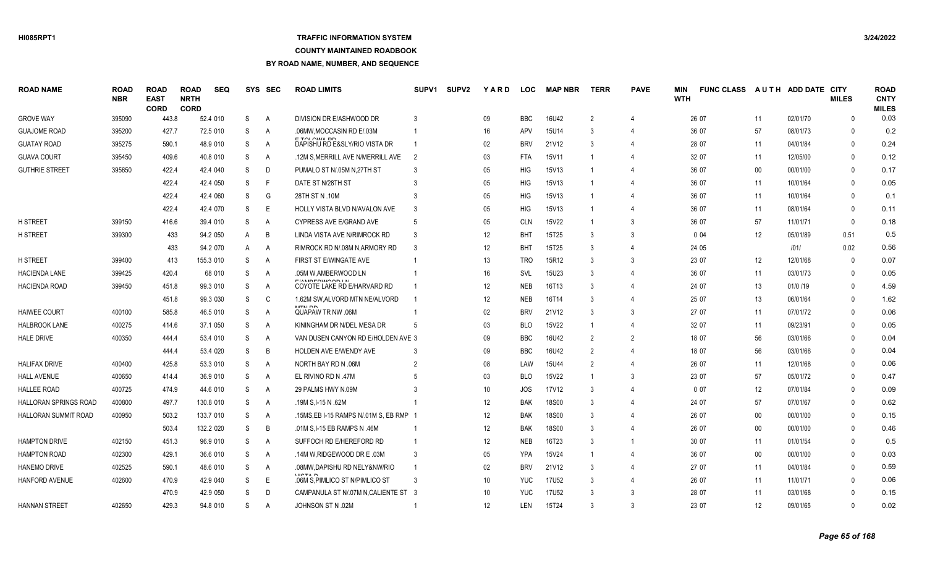# **TRAFFIC INFORMATION SYSTEM**

#### **COUNTY MAINTAINED ROADBOOK**

| <b>ROAD NAME</b>      | <b>ROAD</b><br><b>NBR</b> | <b>ROAD</b><br><b>EAST</b><br><b>CORD</b> | <b>ROAD</b><br><b>NRTH</b><br><b>CORD</b> | <b>SEQ</b> |   | SYS SEC      | <b>ROAD LIMITS</b>                                     | SUPV <sub>1</sub> | <b>SUPV2</b> | <b>YARD</b>     | <b>LOC</b> | <b>MAP NBR</b> | <b>TERR</b>    | <b>PAVE</b>           | MIN<br><b>WTH</b> | <b>FUNC CLASS</b> |        | AUTH ADD DATE CITY | <b>MILES</b> | <b>ROAD</b><br><b>CNTY</b><br><b>MILES</b> |
|-----------------------|---------------------------|-------------------------------------------|-------------------------------------------|------------|---|--------------|--------------------------------------------------------|-------------------|--------------|-----------------|------------|----------------|----------------|-----------------------|-------------------|-------------------|--------|--------------------|--------------|--------------------------------------------|
| <b>GROVE WAY</b>      | 395090                    | 443.8                                     |                                           | 52.4 010   | S | $\mathsf{A}$ | DIVISION DR E/ASHWOOD DR                               | 3                 |              | 09              | <b>BBC</b> | 16U42          | 2              |                       |                   | 26 07             | 11     | 02/01/70           | $\Omega$     | 0.03                                       |
| <b>GUAJOME ROAD</b>   | 395200                    | 427.7                                     |                                           | 72.5 010   | S | A            | .06MW, MOCCASIN RD E/.03M                              |                   |              | 16              | APV        | 15U14          | 3              | $\boldsymbol{\Delta}$ |                   | 36 07             | 57     | 08/01/73           | 0            | 0.2                                        |
| <b>GUATAY ROAD</b>    | 395275                    | 590.1                                     |                                           | 48.9 010   | S | A            | DAPISHU RD E&SLY/RIO VISTA DR                          |                   |              | 02              | <b>BRV</b> | 21V12          | 3              | $\overline{4}$        |                   | 28 07             | 11     | 04/01/84           | $\Omega$     | 0.24                                       |
| <b>GUAVA COURT</b>    | 395450                    | 409.6                                     |                                           | 40.8 010   | S | $\mathsf{A}$ | .12M S, MERRILL AVE N/MERRILL AVE                      | -2                |              | 03              | <b>FTA</b> | 15V11          | -1             | $\overline{4}$        |                   | 32 07             | 11     | 12/05/00           | $\mathbf{0}$ | 0.12                                       |
| <b>GUTHRIE STREET</b> | 395650                    | 422.4                                     |                                           | 42.4 040   | S | D            | PUMALO ST N/.05M N,27TH ST                             | 3                 |              | 05              | <b>HIG</b> | 15V13          |                | 4                     |                   | 36 07             | $00\,$ | 00/01/00           | $\Omega$     | 0.17                                       |
|                       |                           | 422.4                                     |                                           | 42.4 050   | S | F            | DATE ST N/28TH ST                                      |                   |              | 05              | <b>HIG</b> | 15V13          | -1             | 4                     |                   | 36 07             | 11     | 10/01/64           | $\Omega$     | 0.05                                       |
|                       |                           | 422.4                                     |                                           | 42.4 060   | S | G            | 28TH ST N .10M                                         |                   |              | 05              | <b>HIG</b> | 15V13          |                |                       |                   | 36 07             | 11     | 10/01/64           | $\Omega$     | 0.1                                        |
|                       |                           | 422.4                                     |                                           | 42.4 070   | S | E            | HOLLY VISTA BLVD N/AVALON AVE                          | 3                 |              | 05              | <b>HIG</b> | 15V13          | -1             | $\boldsymbol{\Delta}$ |                   | 36 07             | 11     | 08/01/64           | $\Omega$     | 0.11                                       |
| <b>H STREET</b>       | 399150                    | 416.6                                     |                                           | 39.4 010   | S | A            | CYPRESS AVE E/GRAND AVE                                | -5                |              | 05              | <b>CLN</b> | 15V22          |                | 3                     |                   | 36 07             | 57     | 11/01/71           | $\Omega$     | 0.18                                       |
| <b>H STREET</b>       | 399300                    | 433                                       |                                           | 94.2 050   | A | B            | LINDA VISTA AVE N/RIMROCK RD                           | 3                 |              | 12              | <b>BHT</b> | 15T25          | 3              | 3                     |                   | 004               | 12     | 05/01/89           | 0.51         | 0.5                                        |
|                       |                           | 433                                       |                                           | 94.2 070   | A | A            | RIMROCK RD N/.08M N.ARMORY RD                          |                   |              | 12              | <b>BHT</b> | 15T25          | 3              | $\overline{4}$        |                   | 24 05             |        | 1011               | 0.02         | 0.56                                       |
| <b>H STREET</b>       | 399400                    | 413                                       |                                           | 155.3 010  | S | A            | FIRST ST E/WINGATE AVE                                 |                   |              | 13              | <b>TRO</b> | 15R12          | 3              | 3                     |                   | 23 07             | 12     | 12/01/68           | $\Omega$     | 0.07                                       |
| <b>HACIENDA LANE</b>  | 399425                    | 420.4                                     |                                           | 68 010     | S | A            | .05M W,AMBERWOOD LN                                    |                   |              | 16              | <b>SVL</b> | 15U23          | -3             | 4                     |                   | 36 07             | 11     | 03/01/73           | $\Omega$     | 0.05                                       |
| HACIENDA ROAD         | 399450                    | 451.8                                     |                                           | 99.3 010   | S | A            | <b>FILLIDEDIMAAD IL</b><br>COYOTE LAKE RD E/HARVARD RD |                   |              | 12              | <b>NEB</b> | 16T13          | 3              | $\boldsymbol{\Delta}$ |                   | 24 07             | 13     | 01/0 /19           | $\Omega$     | 4.59                                       |
|                       |                           | 451.8                                     |                                           | 99.3 030   | S | C            | 1.62M SW, ALVORD MTN NE/ALVORD                         |                   |              | 12              | <b>NEB</b> | 16T14          | 3              | $\boldsymbol{\Delta}$ |                   | 25 07             | 13     | 06/01/64           | $\Omega$     | 1.62                                       |
| <b>HAIWEE COURT</b>   | 400100                    | 585.8                                     |                                           | 46.5 010   | S | A            | <b>MTNLDE</b><br>QUAPAW TR NW .06M                     |                   |              | 02              | <b>BRV</b> | 21V12          | 3              | 3                     |                   | 27 07             | 11     | 07/01/72           | 0            | 0.06                                       |
| <b>HALBROOK LANE</b>  | 400275                    | 414.6                                     |                                           | 37.1 050   | S | A            | KININGHAM DR N/DEL MESA DR                             | -5                |              | 03              | <b>BLO</b> | 15V22          | -1             | $\overline{4}$        |                   | 32 07             | 11     | 09/23/91           | 0            | 0.05                                       |
| <b>HALE DRIVE</b>     | 400350                    | 4444                                      |                                           | 53.4 010   | S | A            | VAN DUSEN CANYON RD E/HOLDEN AVE 3                     |                   |              | 09              | BBC        | 16U42          | 2              | $\overline{2}$        |                   | 18 07             | 56     | 03/01/66           | $\Omega$     | 0.04                                       |
|                       |                           | 444.4                                     |                                           | 53.4 020   | S | B            | HOLDEN AVE E/WENDY AVE                                 | 3                 |              | 09              | <b>BBC</b> | 16U42          | $\mathfrak{D}$ | $\overline{4}$        |                   | 18 07             | 56     | 03/01/66           | $\Omega$     | 0.04                                       |
| <b>HALIFAX DRIVE</b>  | 400400                    | 425.8                                     |                                           | 53.3 010   | S | A            | NORTH BAY RD N .06M                                    |                   |              | 08              | LAW        | 15U44          | $\mathfrak{D}$ | $\boldsymbol{\Delta}$ |                   | 26 07             | 11     | 12/01/68           | $\Omega$     | 0.06                                       |
| <b>HALL AVENUE</b>    | 400650                    | 414.4                                     |                                           | 36.9 010   | S | A            | EL RIVINO RD N 47M                                     |                   |              | 03              | <b>BLO</b> | 15V22          |                | 3                     |                   | 23 07             | 57     | 05/01/72           | $\Omega$     | 0.47                                       |
| <b>HALLEE ROAD</b>    | 400725                    | 474.9                                     |                                           | 44.6 010   | S | A            | 29 PALMS HWY N.09M                                     |                   |              | 10 <sup>°</sup> | <b>JOS</b> | 17V12          | 3              | $\boldsymbol{\Delta}$ |                   | 007               | 12     | 07/01/84           | $\Omega$     | 0.09                                       |
| HALLORAN SPRINGS ROAD | 400800                    | 497.7                                     |                                           | 130.8 010  | S | A            | .19M S.I-15 N .62M                                     |                   |              | 12              | <b>BAK</b> | <b>18S00</b>   | 3              | Δ                     |                   | 24 07             | 57     | 07/01/67           | $\Omega$     | 0.62                                       |
| HALLORAN SUMMIT ROAD  | 400950                    | 503.2                                     |                                           | 133.7 010  | S | A            | .15MS,EB I-15 RAMPS N/.01M S, EB RMP                   |                   |              | 12              | <b>BAK</b> | <b>18S00</b>   | 3              | 4                     |                   | 26 07             | 00     | 00/01/00           | 0            | 0.15                                       |
|                       |                           | 503.4                                     |                                           | 132.2 020  | S | B            | 01M S.I-15 EB RAMPS N 46M                              |                   |              | 12              | BAK        | 18S00          | 3              | 4                     |                   | 26 07             | $00\,$ | 00/01/00           | $\Omega$     | 0.46                                       |
| <b>HAMPTON DRIVE</b>  | 402150                    | 451.3                                     |                                           | 96.9 010   | S | A            | SUFFOCH RD E/HEREFORD RD                               | -1                |              | 12              | <b>NEB</b> | 16T23          | 3              | $\mathbf{1}$          |                   | 30 07             | 11     | 01/01/54           | $\Omega$     | 0.5                                        |
| <b>HAMPTON ROAD</b>   | 402300                    | 429.1                                     |                                           | 36.6 010   | S | A            | .14M W, RIDGEWOOD DR E .03M                            | 3                 |              | 05              | YPA        | 15V24          | -1             | $\overline{4}$        |                   | 36 07             | $00\,$ | 00/01/00           | $\Omega$     | 0.03                                       |
| <b>HANEMO DRIVE</b>   | 402525                    | 590.1                                     |                                           | 48.6 010   | S | A            | .08MW,DAPISHU RD NELY&NW/RIO                           |                   |              | 02              | <b>BRV</b> | 21V12          | 3              | 4                     |                   | 27 07             | 11     | 04/01/84           | $\Omega$     | 0.59                                       |
| HANFORD AVENUE        | 402600                    | 470.9                                     |                                           | 42.9 040   | S | Ε            | 1/10TA<br>.06M S, PIMLICO ST N/PIMLICO ST              | 3                 |              | 10              | <b>YUC</b> | <b>17U52</b>   | 3              | 4                     |                   | 26 07             | 11     | 11/01/71           | $\mathbf{0}$ | 0.06                                       |
|                       |                           | 470.9                                     |                                           | 42.9 050   | S | D            | CAMPANULA ST N/.07M N, CALIENTE ST 3                   |                   |              | 10              | <b>YUC</b> | 17U52          | 3              | 3                     |                   | 28 07             | 11     | 03/01/68           | $\Omega$     | 0.15                                       |
| <b>HANNAN STREET</b>  | 402650                    | 429.3                                     |                                           | 94.8 010   | S | A            | <b>JOHNSON ST N .02M</b>                               |                   |              | 12              | LEN        | 15T24          | 3              | 3                     |                   | 23 07             | 12     | 09/01/65           | $\Omega$     | 0.02                                       |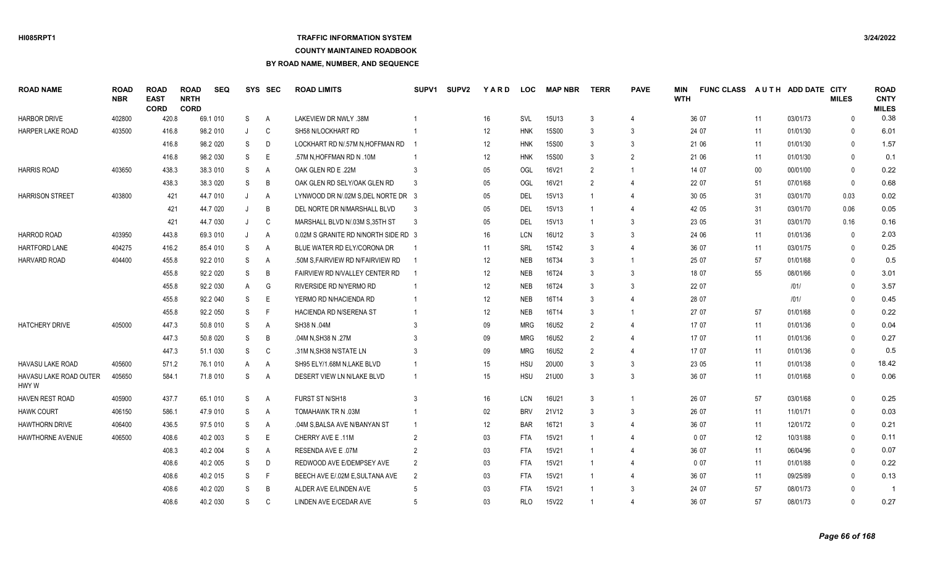# **TRAFFIC INFORMATION SYSTEM**

#### **COUNTY MAINTAINED ROADBOOK**

| <b>ROAD NAME</b>                       | <b>ROAD</b><br><b>NBR</b> | <b>ROAD</b><br><b>EAST</b><br><b>CORD</b> | <b>ROAD</b><br><b>NRTH</b><br><b>CORD</b> | <b>SEQ</b> |         | SYS SEC      | <b>ROAD LIMITS</b>                   | SUPV <sub>1</sub> | <b>SUPV2</b> | YARD | <b>LOC</b> | <b>MAP NBR</b> | <b>TERR</b>    | <b>PAVE</b>    | MIN<br><b>WTH</b> | <b>FUNC CLASS</b> |        | AUTH ADD DATE CITY | <b>MILES</b> | <b>ROAD</b><br><b>CNTY</b><br><b>MILES</b> |
|----------------------------------------|---------------------------|-------------------------------------------|-------------------------------------------|------------|---------|--------------|--------------------------------------|-------------------|--------------|------|------------|----------------|----------------|----------------|-------------------|-------------------|--------|--------------------|--------------|--------------------------------------------|
| <b>HARBOR DRIVE</b>                    | 402800                    | 420.8                                     |                                           | 69.1 010   | S       | A            | LAKEVIEW DR NWLY .38M                |                   |              | 16   | <b>SVL</b> | 15U13          | 3              | $\overline{4}$ |                   | 36 07             | 11     | 03/01/73           | $\Omega$     | 0.38                                       |
| <b>HARPER LAKE ROAD</b>                | 403500                    | 416.8                                     |                                           | 98.2 010   | J       | C            | SH58 N/LOCKHART RD                   |                   |              | 12   | <b>HNK</b> | <b>15S00</b>   | -3             | 3              |                   | 24 07             | 11     | 01/01/30           | $\Omega$     | 6.01                                       |
|                                        |                           | 416.8                                     |                                           | 98.2 020   | S       | D            | LOCKHART RD N/.57M N.HOFFMAN RD      |                   |              | 12   | <b>HNK</b> | <b>15S00</b>   | 3              | 3              |                   | 21 06             | 11     | 01/01/30           | $\Omega$     | 1.57                                       |
|                                        |                           | 416.8                                     |                                           | 98.2 030   | S       | E            | .57M N, HOFFMAN RD N .10M            |                   |              | 12   | <b>HNK</b> | <b>15S00</b>   | 3              | $\overline{2}$ |                   | 21 06             | 11     | 01/01/30           | $\Omega$     | 0.1                                        |
| <b>HARRIS ROAD</b>                     | 403650                    | 438.3                                     |                                           | 38.3 010   | S       | $\mathsf{A}$ | OAK GLEN RD E .22M                   | 3                 |              | 05   | OGL        | 16V21          | $\overline{2}$ | $\overline{1}$ |                   | 14 07             | $00\,$ | 00/01/00           | $\mathbf{0}$ | 0.22                                       |
|                                        |                           | 438.3                                     |                                           | 38.3 020   | S       | B            | OAK GLEN RD SELY/OAK GLEN RD         | $\mathcal{R}$     |              | 05   | OGL        | 16V21          | $\mathcal{P}$  | 4              |                   | 22 07             | 51     | 07/01/68           | $\mathbf{0}$ | 0.68                                       |
| <b>HARRISON STREET</b>                 | 403800                    | 421                                       |                                           | 44.7 010   |         | A            | LYNWOOD DR N/.02M S.DEL NORTE DR 3   |                   |              | 05   | DEL        | 15V13          |                | 4              |                   | 30 05             | 31     | 03/01/70           | 0.03         | 0.02                                       |
|                                        |                           | 421                                       |                                           | 44.7 020   | $\cdot$ | B            | DEL NORTE DR N/MARSHALL BLVD         | -3                |              | 05   | DEL        | 15V13          |                | $\overline{4}$ |                   | 42 05             | 31     | 03/01/70           | 0.06         | 0.05                                       |
|                                        |                           | 421                                       |                                           | 44.7 030   |         | C            | MARSHALL BLVD N/.03M S,35TH ST       | -3                |              | 05   | DEL        | 15V13          | -1             | 3              |                   | 23 05             | 31     | 03/01/70           | 0.16         | 0.16                                       |
| HARROD ROAD                            | 403950                    | 443.8                                     |                                           | 69.3 010   |         | $\mathsf{A}$ | 0.02M S GRANITE RD N/NORTH SIDE RD 3 |                   |              | 16   | LCN        | 16U12          | 3              | 3              |                   | 24 06             | 11     | 01/01/36           | $\mathbf{0}$ | 2.03                                       |
| <b>HARTFORD LANE</b>                   | 404275                    | 416.2                                     |                                           | 85.4 010   | S       | A            | BLUE WATER RD ELY/CORONA DR          | - 1               |              | 11   | SRL        | 15T42          | 3              | $\overline{4}$ |                   | 36 07             | 11     | 03/01/75           | $\Omega$     | 0.25                                       |
| HARVARD ROAD                           | 404400                    | 455.8                                     |                                           | 92.2 010   | S       | A            | .50M S, FAIRVIEW RD N/FAIRVIEW RD    | - 1               |              | 12   | <b>NEB</b> | 16T34          | 3              | -1             |                   | 25 07             | 57     | 01/01/68           | $\Omega$     | 0.5                                        |
|                                        |                           | 455.8                                     |                                           | 92.2 020   | S       | B            | FAIRVIEW RD N/VALLEY CENTER RD       | - 1               |              | 12   | <b>NEB</b> | 16T24          | 3              | 3              |                   | 18 07             | 55     | 08/01/66           | $\Omega$     | 3.01                                       |
|                                        |                           | 455.8                                     |                                           | 92.2 030   | A       | G            | RIVERSIDE RD N/YERMO RD              | -1                |              | 12   | <b>NEB</b> | 16T24          | 3              | 3              |                   | 22 07             |        | 1011               | $\Omega$     | 3.57                                       |
|                                        |                           | 455.8                                     |                                           | 92.2 040   | S       | E            | YERMO RD N/HACIENDA RD               |                   |              | 12   | <b>NEB</b> | 16T14          | 3              | $\Delta$       |                   | 28 07             |        | 1011               | $\mathbf{0}$ | 0.45                                       |
|                                        |                           | 455.8                                     |                                           | 92.2 050   | S       | F            | HACIENDA RD N/SERENA ST              |                   |              | 12   | <b>NEB</b> | 16T14          | 3              | $\overline{1}$ |                   | 27 07             | 57     | 01/01/68           | $\Omega$     | 0.22                                       |
| <b>HATCHERY DRIVE</b>                  | 405000                    | 447.3                                     |                                           | 50.8 010   | S       | A            | SH38 N .04M                          |                   |              | 09   | <b>MRG</b> | 16U52          | 2              | $\overline{4}$ |                   | 17 07             | 11     | 01/01/36           | $\Omega$     | 0.04                                       |
|                                        |                           | 447.3                                     |                                           | 50.8 020   | S       | B            | .04M N.SH38 N .27M                   |                   |              | 09   | <b>MRG</b> | 16U52          | $\overline{2}$ | 4              |                   | 17 07             | 11     | 01/01/36           | $\Omega$     | 0.27                                       |
|                                        |                           | 447.3                                     |                                           | 51.1 030   | S       | C            | .31M N.SH38 N/STATE LN               |                   |              | 09   | <b>MRG</b> | 16U52          | $\mathcal{P}$  | $\overline{4}$ |                   | 17 07             | 11     | 01/01/36           | $\Omega$     | 0.5                                        |
| HAVASU LAKE ROAD                       | 405600                    | 571.2                                     |                                           | 76.1 010   | A       | Α            | SH95 ELY/1.68M N,LAKE BLVD           |                   |              | 15   | <b>HSU</b> | 20U00          |                | 3              |                   | 23 05             | 11     | 01/01/38           | $\Omega$     | 18.42                                      |
| <b>HAVASU LAKE ROAD OUTER</b><br>HWY W | 405650                    | 584.1                                     |                                           | 71.8 010   | S       | A            | DESERT VIEW LN N/LAKE BLVD           | -1                |              | 15   | <b>HSU</b> | 21U00          | 3              | 3              |                   | 36 07             | 11     | 01/01/68           | $\Omega$     | 0.06                                       |
| HAVEN REST ROAD                        | 405900                    | 437.7                                     |                                           | 65.1 010   | S       | A            | <b>FURST ST N/SH18</b>               | 3                 |              | 16   | LCN        | 16U21          | 3              | $\overline{1}$ |                   | 26 07             | 57     | 03/01/68           | $\Omega$     | 0.25                                       |
| <b>HAWK COURT</b>                      | 406150                    | 586.1                                     |                                           | 47.9 010   | S       | Α            | TOMAHAWK TR N .03M                   |                   |              | 02   | <b>BRV</b> | 21V12          | 3              | 3              |                   | 26 07             | 11     | 11/01/71           | $\mathbf{0}$ | 0.03                                       |
| <b>HAWTHORN DRIVE</b>                  | 406400                    | 436.5                                     |                                           | 97.5 010   | S       | A            | .04M S, BALSA AVE N/BANYAN ST        |                   |              | 12   | <b>BAR</b> | 16T21          | 3              | $\Delta$       |                   | 36 07             | 11     | 12/01/72           | $\mathbf{0}$ | 0.21                                       |
| HAWTHORNE AVENUE                       | 406500                    | 408.6                                     |                                           | 40.2 003   | S       | E            | CHERRY AVE E.11M                     |                   |              | 03   | <b>FTA</b> | 15V21          |                |                |                   | 007               | 12     | 10/31/88           | $\Omega$     | 0.11                                       |
|                                        |                           | 408.3                                     |                                           | 40.2 004   | S       | A            | RESENDA AVE E .07M                   |                   |              | 03   | <b>FTA</b> | 15V21          |                |                |                   | 36 07             | 11     | 06/04/96           | $\Omega$     | 0.07                                       |
|                                        |                           | 408.6                                     |                                           | 40.2 005   | S       | D            | REDWOOD AVE E/DEMPSEY AVE            | 2                 |              | 03   | <b>FTA</b> | 15V21          | $\overline{1}$ |                |                   | 007               | 11     | 01/01/88           | $\mathbf{0}$ | 0.22                                       |
|                                        |                           | 408.6                                     |                                           | 40.2 015   | S       | F            | BEECH AVE E/.02M E, SULTANA AVE      | $\mathcal{P}$     |              | 03   | FTA        | 15V21          |                |                |                   | 36 07             | 11     | 09/25/89           | $\Omega$     | 0.13                                       |
|                                        |                           | 408.6                                     |                                           | 40.2 020   | S       | B            | ALDER AVE E/LINDEN AVE               |                   |              | 03   | <b>FTA</b> | 15V21          |                | 3              |                   | 24 07             | 57     | 08/01/73           | $\Omega$     |                                            |
|                                        |                           | 408.6                                     |                                           | 40.2 030   | S.      | C            | LINDEN AVE E/CEDAR AVE               |                   |              | 03   | <b>RLO</b> | 15V22          |                | $\overline{4}$ |                   | 36 07             | 57     | 08/01/73           | $\Omega$     | 0.27                                       |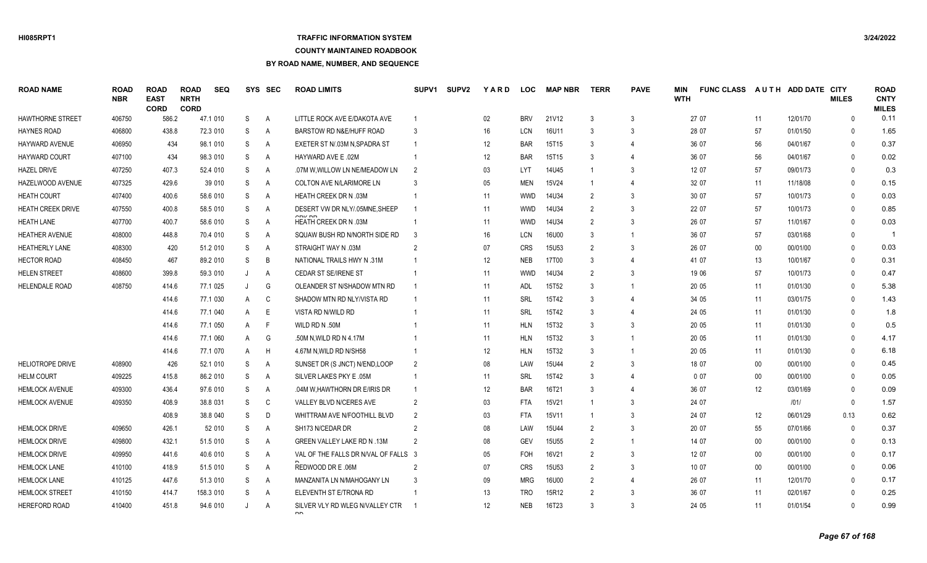## **TRAFFIC INFORMATION SYSTEM**

### **COUNTY MAINTAINED ROADBOOK**

| <b>ROAD NAME</b>         | <b>ROAD</b><br><b>NBR</b> | <b>ROAD</b><br><b>EAST</b><br><b>CORD</b> | <b>ROAD</b><br><b>NRTH</b><br><b>CORD</b> | <b>SEQ</b> |         | SYS SEC        | <b>ROAD LIMITS</b>                     | SUPV <sub>1</sub> | <b>SUPV2</b> | <b>YARD</b>       | <b>LOC</b> | <b>MAP NBR</b> | <b>TERR</b>    | <b>PAVE</b>                 | <b>MIN</b><br><b>WTH</b> | <b>FUNC CLASS</b> |                   | AUTH ADD DATE CITY | <b>MILES</b> | <b>ROAD</b><br><b>CNTY</b><br><b>MILES</b> |
|--------------------------|---------------------------|-------------------------------------------|-------------------------------------------|------------|---------|----------------|----------------------------------------|-------------------|--------------|-------------------|------------|----------------|----------------|-----------------------------|--------------------------|-------------------|-------------------|--------------------|--------------|--------------------------------------------|
| <b>HAWTHORNE STREET</b>  | 406750                    | 586.2                                     |                                           | 47.1 010   | S       | $\mathsf{A}$   | LITTLE ROCK AVE E/DAKOTA AVE           |                   |              | 02                | <b>BRV</b> | 21V12          | 3              | $\mathbf{3}$                |                          | 27 07             | 11                | 12/01/70           | $\Omega$     | 0.11                                       |
| <b>HAYNES ROAD</b>       | 406800                    | 438.8                                     |                                           | 72.3 010   | S       | $\overline{A}$ | BARSTOW RD N&E/HUFF ROAD               | 3                 |              | 16                | <b>LCN</b> | 16U11          | 3              | 3                           |                          | 28 07             | 57                | 01/01/50           | $\Omega$     | 1.65                                       |
| <b>HAYWARD AVENUE</b>    | 406950                    | 434                                       |                                           | 98.1 010   | S       | $\overline{A}$ | EXETER ST N/.03M N, SPADRA ST          |                   |              | $12 \overline{ }$ | <b>BAR</b> | 15T15          | 3              | $\boldsymbol{\vartriangle}$ |                          | 36 07             | 56                | 04/01/67           | $\Omega$     | 0.37                                       |
| <b>HAYWARD COURT</b>     | 407100                    | 434                                       |                                           | 98.3 010   | S       | $\overline{A}$ | HAYWARD AVE E .02M                     |                   |              | 12                | <b>BAR</b> | 15T15          | 3              | $\overline{4}$              |                          | 36 07             | 56                | 04/01/67           | $\Omega$     | 0.02                                       |
| <b>HAZEL DRIVE</b>       | 407250                    | 407.3                                     |                                           | 52.4 010   | S       | A              | .07M W.WILLOW LN NE/MEADOW LN          | $\mathcal{P}$     |              | 03                | <b>LYT</b> | 14U45          |                | 3                           |                          | 12 07             | 57                | 09/01/73           | $\Omega$     | 0.3                                        |
| HAZELWOOD AVENUE         | 407325                    | 429.6                                     |                                           | 39 010     | S       | A              | <b>COLTON AVE N/LARIMORE LN</b>        | 3                 |              | 05                | <b>MEN</b> | 15V24          |                | $\overline{4}$              |                          | 32 07             | 11                | 11/18/08           | $\Omega$     | 0.15                                       |
| <b>HEATH COURT</b>       | 407400                    | 400.6                                     |                                           | 58.6 010   | S       | A              | <b>HEATH CREEK DR N .03M</b>           |                   |              | 11                | <b>WWD</b> | 14U34          | $\mathcal{P}$  | 3                           |                          | 30 07             | 57                | 10/01/73           | $\Omega$     | 0.03                                       |
| <b>HEATH CREEK DRIVE</b> | 407550                    | 400.8                                     |                                           | 58.5 010   | S       | $\overline{A}$ | DESERT VW DR NLY/.05MNE.SHEEP          |                   |              | 11                | <b>WWD</b> | 14U34          | $\mathcal{P}$  | 3                           |                          | 22 07             | 57                | 10/01/73           | $\Omega$     | 0.85                                       |
| <b>HEATH LANE</b>        | 407700                    | 400.7                                     |                                           | 58.6 010   | S       | A              | HEATH CREEK DR N .03M                  |                   |              | 11                | <b>WWD</b> | 14U34          | $\mathcal{P}$  | 3                           |                          | 26 07             | 57                | 11/01/67           | $\Omega$     | 0.03                                       |
| <b>HEATHER AVENUE</b>    | 408000                    | 448.8                                     |                                           | 70.4 010   | S       | A              | SQUAW BUSH RD N/NORTH SIDE RD          | -3                |              | 16                | <b>LCN</b> | 16U00          | 3              | $\overline{1}$              |                          | 36 07             | 57                | 03/01/68           | $\Omega$     |                                            |
| <b>HEATHERLY LANE</b>    | 408300                    | 420                                       |                                           | 51.2 010   | S       | A              | STRAIGHT WAY N .03M                    | 2                 |              | 07                | <b>CRS</b> | <b>15U53</b>   | $\mathcal{P}$  | 3                           |                          | 26 07             | $00\,$            | 00/01/00           | $\Omega$     | 0.03                                       |
| <b>HECTOR ROAD</b>       | 408450                    | 467                                       |                                           | 89.2 010   | S       | B              | NATIONAL TRAILS HWY N.31M              |                   |              | 12                | <b>NEB</b> | 17T00          | 3              | $\overline{4}$              |                          | 41 07             | 13                | 10/01/67           | $\mathbf{0}$ | 0.31                                       |
| <b>HELEN STREET</b>      | 408600                    | 399.8                                     |                                           | 59.3 010   | J       | A              | <b>CEDAR ST SE/IRENE ST</b>            |                   |              | 11                | <b>WWD</b> | 14U34          | $\mathcal{P}$  | 3                           |                          | 19 06             | 57                | 10/01/73           | $\Omega$     | 0.47                                       |
| HELENDALE ROAD           | 408750                    | 414.6                                     |                                           | 77.1 025   | $\cdot$ | G              | OLEANDER ST N/SHADOW MTN RD            |                   |              | 11                | <b>ADL</b> | 15T52          | 3              | $\overline{1}$              |                          | 20 05             | 11                | 01/01/30           | $\mathbf{0}$ | 5.38                                       |
|                          |                           | 414.6                                     |                                           | 77.1 030   | A       | C              | SHADOW MTN RD NLY/VISTA RD             |                   |              | 11                | SRL        | 15T42          | 3              | 4                           |                          | 34 05             | 11                | 03/01/75           | $\Omega$     | 1.43                                       |
|                          |                           | 414.6                                     |                                           | 77.1 040   | A       | E              | VISTA RD N/WILD RD                     |                   |              | 11                | SRL        | 15T42          | $\mathcal{R}$  |                             |                          | 24 05             | 11                | 01/01/30           | $\Omega$     | 1.8                                        |
|                          |                           | 414.6                                     |                                           | 77.1 050   | A       | F              | WILD RD N .50M                         |                   |              | 11                | <b>HLN</b> | 15T32          | 3              | 3                           |                          | 20 05             | 11                | 01/01/30           | $\Omega$     | 0.5                                        |
|                          |                           | 414.6                                     |                                           | 77.1 060   | A       | G              | .50M N, WILD RD N 4.17M                |                   |              | 11                | <b>HLN</b> | 15T32          | 3              | $\overline{1}$              |                          | 20 05             | 11                | 01/01/30           | $\Omega$     | 4.17                                       |
|                          |                           | 414.6                                     |                                           | 77.1 070   | A       | H              | 4.67M N, WILD RD N/SH58                |                   |              | 12                | <b>HLN</b> | 15T32          | 3              | $\overline{1}$              |                          | 20 05             | 11                | 01/01/30           | $\Omega$     | 6.18                                       |
| <b>HELIOTROPE DRIVE</b>  | 408900                    | 426                                       |                                           | 52.1 010   | S       | $\overline{A}$ | SUNSET DR (S JNCT) N/END, LOOP         | $\mathcal{P}$     |              | 08                | LAW        | <b>15U44</b>   | $\mathcal{P}$  | 3                           |                          | 18 07             | $00\,$            | 00/01/00           | $\Omega$     | 0.45                                       |
| <b>HELM COURT</b>        | 409225                    | 415.8                                     |                                           | 86.2 010   | S       | A              | SILVER LAKES PKY E .05M                |                   |              | 11                | SRL        | 15T42          |                | $\overline{4}$              |                          | 007               | $00\,$            | 00/01/00           | $\Omega$     | 0.05                                       |
| <b>HEMLOCK AVENUE</b>    | 409300                    | 436.4                                     |                                           | 97.6 010   | S       | A              | .04M W.HAWTHORN DR E/IRIS DR           |                   |              | 12                | <b>BAR</b> | 16T21          | 3              | $\boldsymbol{\vartriangle}$ |                          | 36 07             | $12 \overline{ }$ | 03/01/69           | $\Omega$     | 0.09                                       |
| <b>HEMLOCK AVENUE</b>    | 409350                    | 408.9                                     |                                           | 38.8 031   | S       | C              | VALLEY BLVD N/CERES AVE                |                   |              | 03                | <b>FTA</b> | 15V21          |                | 3                           |                          | 24 07             |                   | 1011               | $\mathbf{0}$ | 1.57                                       |
|                          |                           | 408.9                                     |                                           | 38.8 040   | S       | D              | WHITTRAM AVE N/FOOTHILL BLVD           | $\mathcal{P}$     |              | 03                | <b>FTA</b> | 15V11          |                | 3                           |                          | 24 07             | 12                | 06/01/29           | 0.13         | 0.62                                       |
| <b>HEMLOCK DRIVE</b>     | 409650                    | 426.1                                     |                                           | 52 010     | S       | $\overline{A}$ | SH173 N/CEDAR DR                       |                   |              | 08                | LAW        | <b>15U44</b>   | $\mathfrak{p}$ | 3                           |                          | 20 07             | 55                | 07/01/66           | $\Omega$     | 0.37                                       |
| <b>HEMLOCK DRIVE</b>     | 409800                    | 432.1                                     |                                           | 51.5 010   | S       | A              | <b>GREEN VALLEY LAKE RD N .13M</b>     | $\mathcal{P}$     |              | 08                | <b>GEV</b> | <b>15U55</b>   | $\mathcal{P}$  | $\overline{1}$              |                          | 14 07             | $00\,$            | 00/01/00           | $\Omega$     | 0.13                                       |
| <b>HEMLOCK DRIVE</b>     | 409950                    | 441.6                                     |                                           | 40.6 010   | S       | $\overline{A}$ | VAL OF THE FALLS DR N/VAL OF FALLS 3   |                   |              | 05                | <b>FOH</b> | 16V21          | $\mathfrak{p}$ | 3                           |                          | 12 07             | $00\,$            | 00/01/00           | $\Omega$     | 0.17                                       |
| <b>HEMLOCK LANE</b>      | 410100                    | 418.9                                     |                                           | 51.5 010   | S       | A              | REDWOOD DR E .06M                      |                   |              | 07                | <b>CRS</b> | 15U53          | $\mathcal{P}$  | 3                           |                          | 10 07             | $00\,$            | 00/01/00           | $\Omega$     | 0.06                                       |
| <b>HEMLOCK LANE</b>      | 410125                    | 447.6                                     |                                           | 51.3 010   | S       | A              | MANZANITA LN N/MAHOGANY LN             |                   |              | 09                | <b>MRG</b> | 16U00          | $\mathcal{P}$  | $\overline{4}$              |                          | 26 07             | 11                | 12/01/70           | $\mathbf{0}$ | 0.17                                       |
| <b>HEMLOCK STREET</b>    | 410150                    | 414.7                                     |                                           | 158.3 010  | S       | A              | ELEVENTH ST E/TRONA RD                 |                   |              | 13                | <b>TRO</b> | 15R12          | $\mathfrak{p}$ | 3                           |                          | 36 07             | 11                | 02/01/67           | $\Omega$     | 0.25                                       |
| <b>HEREFORD ROAD</b>     | 410400                    | 451.8                                     |                                           | 94.6 010   |         | A              | SILVER VLY RD WLEG N/VALLEY CTR<br>nn. |                   |              | $12 \overline{ }$ | <b>NEB</b> | 16T23          | 3              | 3                           |                          | 24 05             | 11                | 01/01/54           | $\cap$       | 0.99                                       |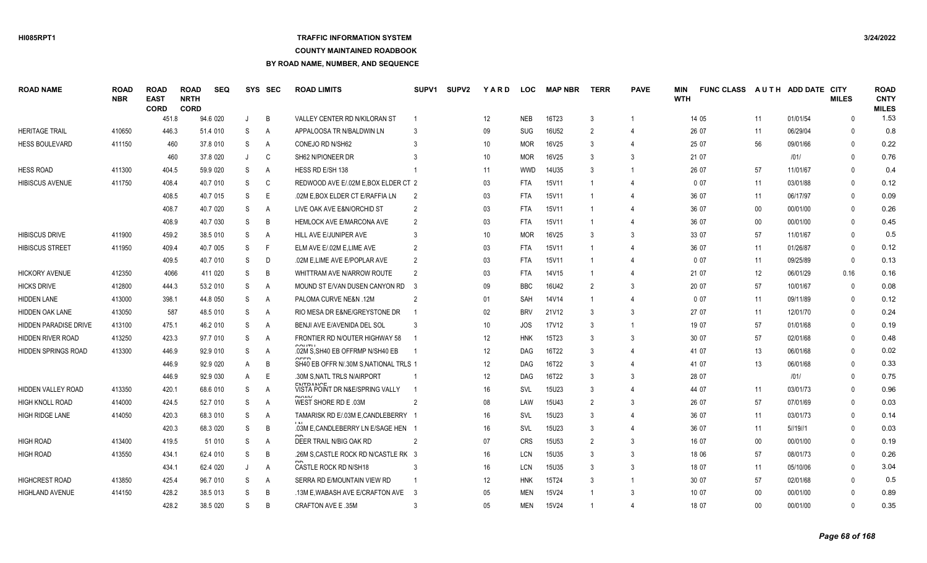## **TRAFFIC INFORMATION SYSTEM**

#### **COUNTY MAINTAINED ROADBOOK**

| <b>ROAD NAME</b>           | <b>ROAD</b><br><b>NBR</b> | <b>ROAD</b><br><b>EAST</b><br><b>CORD</b> | <b>ROAD</b><br><b>NRTH</b><br><b>CORD</b> | <b>SEQ</b> |              | SYS SEC | <b>ROAD LIMITS</b>                    | SUPV <sub>1</sub> | <b>SUPV2</b> | YARD   | <b>LOC</b> | <b>MAP NBR</b> | <b>TERR</b>    | <b>PAVE</b>    | MIN<br><b>WTH</b> | <b>FUNC CLASS</b> |        | AUTH ADD DATE CITY | <b>MILES</b> | <b>ROAD</b><br><b>CNTY</b><br><b>MILES</b> |
|----------------------------|---------------------------|-------------------------------------------|-------------------------------------------|------------|--------------|---------|---------------------------------------|-------------------|--------------|--------|------------|----------------|----------------|----------------|-------------------|-------------------|--------|--------------------|--------------|--------------------------------------------|
|                            |                           | 451.8                                     |                                           | 94.6 020   | J            | B       | VALLEY CENTER RD N/KILORAN ST         |                   |              | 12     | <b>NEB</b> | 16T23          | -3             |                |                   | 14 05             | 11     | 01/01/54           | $\Omega$     | 1.53                                       |
| <b>HERITAGE TRAIL</b>      | 410650                    | 446.3                                     |                                           | 51.4 010   | S            | A       | APPALOOSA TR N/BALDWIN LN             |                   |              | 09     | <b>SUG</b> | 16U52          |                | 4              |                   | 26 07             | 11     | 06/29/04           | $\Omega$     | 0.8                                        |
| <b>HESS BOULEVARD</b>      | 411150                    | 460                                       |                                           | 37.8 010   | S            | A       | CONEJO RD N/SH62                      |                   |              | 10     | <b>MOR</b> | 16V25          | 3              | $\overline{4}$ |                   | 25 07             | 56     | 09/01/66           | $\mathbf{0}$ | 0.22                                       |
|                            |                           | 460                                       |                                           | 37.8 020   | J            | C       | SH62 N/PIONEER DR                     |                   |              | 10     | <b>MOR</b> | 16V25          |                | 3              |                   | 21 07             |        | 1011               | $\Omega$     | 0.76                                       |
| <b>HESS ROAD</b>           | 411300                    | 404.5                                     |                                           | 59.9 020   | S            | A       | HESS RD E/SH 138                      |                   |              | 11     | <b>WWD</b> | 14U35          | 3              | $\overline{1}$ |                   | 26 07             | 57     | 11/01/67           | $\Omega$     | 0.4                                        |
| <b>HIBISCUS AVENUE</b>     | 411750                    | 408.4                                     |                                           | 40.7 010   | S            | C       | REDWOOD AVE E/.02M E, BOX ELDER CT 2  |                   |              | 03     | <b>FTA</b> | 15V11          |                | 4              |                   | 007               | 11     | 03/01/88           | $\Omega$     | 0.12                                       |
|                            |                           | 408.5                                     |                                           | 40.7 015   | S            | E       | .02M E, BOX ELDER CT E/RAFFIA LN      | $\mathcal{P}$     |              | 03     | <b>FTA</b> | 15V11          |                |                |                   | 36 07             | 11     | 06/17/97           | $\Omega$     | 0.09                                       |
|                            |                           | 408.7                                     |                                           | 40.7 020   | S            | A       | LIVE OAK AVE E&N/ORCHID ST            | $\overline{2}$    |              | 03     | <b>FTA</b> | 15V11          |                | 4              |                   | 36 07             | $00\,$ | 00/01/00           | $\Omega$     | 0.26                                       |
|                            |                           | 408.9                                     |                                           | 40.7 030   | S            | B       | HEMLOCK AVE E/MARCONA AVE             |                   |              | 03     | <b>FTA</b> | 15V11          |                | 4              |                   | 36 07             | 00     | 00/01/00           | $\Omega$     | 0.45                                       |
| <b>HIBISCUS DRIVE</b>      | 411900                    | 459.2                                     |                                           | 38.5 010   | S            | A       | HILL AVE E/JUNIPER AVE                |                   |              | 10     | <b>MOR</b> | 16V25          |                | 3              |                   | 33 07             | 57     | 11/01/67           | $\Omega$     | 0.5                                        |
| <b>HIBISCUS STREET</b>     | 411950                    | 409.4                                     |                                           | 40.7 005   | S            | F       | ELM AVE E/.02M E.LIME AVE             |                   |              | 03     | <b>FTA</b> | 15V11          |                | 4              |                   | 36 07             | 11     | 01/26/87           | $\Omega$     | 0.12                                       |
|                            |                           | 409.5                                     |                                           | 40.7 010   | S            | D       | .02M E.LIME AVE E/POPLAR AVE          | $\overline{2}$    |              | 03     | <b>FTA</b> | 15V11          |                | 4              |                   | 007               | 11     | 09/25/89           | $\mathbf{0}$ | 0.13                                       |
| <b>HICKORY AVENUE</b>      | 412350                    | 4066                                      |                                           | 411 020    | S            | B       | WHITTRAM AVE N/ARROW ROUTE            |                   |              | 03     | <b>FTA</b> | 14V15          |                |                |                   | 21 07             | 12     | 06/01/29           | 0.16         | 0.16                                       |
| <b>HICKS DRIVE</b>         | 412800                    | 444.3                                     |                                           | 53.2 010   | S            | A       | MOUND ST E/VAN DUSEN CANYON RD 3      |                   |              | 09     | <b>BBC</b> | 16U42          | 2              | 3              |                   | 20 07             | 57     | 10/01/67           | $\Omega$     | 0.08                                       |
| <b>HIDDEN LANE</b>         | 413000                    | 398.1                                     |                                           | 44.8 050   | S            | A       | PALOMA CURVE NE&N .12M                | $\overline{2}$    |              | 01     | SAH        | 14V14          |                | $\overline{4}$ |                   | 0 0 7             | 11     | 09/11/89           | $\Omega$     | 0.12                                       |
| HIDDEN OAK LANE            | 413050                    | 587                                       |                                           | 48.5 010   | S            | A       | RIO MESA DR E&NE/GREYSTONE DR         |                   |              | $02\,$ | <b>BRV</b> | 21V12          | 3              | 3              |                   | 27 07             | 11     | 12/01/70           | $\Omega$     | 0.24                                       |
| HIDDEN PARADISE DRIVE      | 413100                    | 475.1                                     |                                           | 46.2 010   | S            | A       | BENJI AVE E/AVENIDA DEL SOL           | -3                |              | 10     | JOS        | 17V12          | 3              | $\overline{1}$ |                   | 19 07             | 57     | 01/01/68           | $\mathbf{0}$ | 0.19                                       |
| HIDDEN RIVER ROAD          | 413250                    | 423.3                                     |                                           | 97.7 010   | S            | A       | FRONTIER RD N/OUTER HIGHWAY 58        |                   |              | 12     | <b>HNK</b> | 15T23          |                | 3              |                   | 30 07             | 57     | 02/01/68           | $\Omega$     | 0.48                                       |
| <b>HIDDEN SPRINGS ROAD</b> | 413300                    | 446.9                                     |                                           | 92.9 010   | S            | A       | .02M S.SH40 EB OFFRMP N/SH40 EB       |                   |              | 12     | <b>DAG</b> | 16T22          |                | 4              |                   | 41 07             | 13     | 06/01/68           | $\Omega$     | 0.02                                       |
|                            |                           | 446.9                                     |                                           | 92.9 020   | A            | B       | SH40 EB OFFR N/.30M S.NATIONAL TRLS 1 |                   |              | 12     | DAG        | 16T22          |                | 4              |                   | 41 07             | 13     | 06/01/68           | $\Omega$     | 0.33                                       |
|                            |                           | 446.9                                     |                                           | 92.9 030   | A            | E       | .30M S.NATL TRLS N/AIRPORT            |                   |              | 12     | <b>DAG</b> | 16T22          | $\mathbf{3}$   | 3              |                   | 28 07             |        | 1011               | $\Omega$     | 0.75                                       |
| <b>HIDDEN VALLEY ROAD</b>  | 413350                    | 420.1                                     |                                           | 68.6 010   | S            | A       | VISTA POINT DR N&E/SPRING VALLY       |                   |              | 16     | <b>SVL</b> | 15U23          |                |                |                   | 44 07             | 11     | 03/01/73           | $\Omega$     | 0.96                                       |
| HIGH KNOLL ROAD            | 414000                    | 424.5                                     |                                           | 52.7 010   | S            | A       | WEST SHORE RD E .03M                  | 2                 |              | 08     | LAW        | 15U43          | $\overline{2}$ | 3              |                   | 26 07             | 57     | 07/01/69           | $\Omega$     | 0.03                                       |
| HIGH RIDGE LANE            | 414050                    | 420.3                                     |                                           | 68.3 010   | S            | A       | TAMARISK RD E/.03M E, CANDLEBERRY     |                   |              | 16     | <b>SVL</b> | 15U23          | $\mathbf{3}$   | $\overline{4}$ |                   | 36 07             | 11     | 03/01/73           | $\Omega$     | 0.14                                       |
|                            |                           | 420.3                                     |                                           | 68.3 020   | S            | B       | .03M E, CANDLEBERRY LN E/SAGE HEN     |                   |              | 16     | <b>SVL</b> | 15U23          |                | 4              |                   | 36 07             | 11     | 5/19/11            | $\Omega$     | 0.03                                       |
| <b>HIGH ROAD</b>           | 413400                    | 419.5                                     |                                           | 51 010     | S            | Α       | DEER TRAIL N/BIG OAK RD               | $\mathcal{P}$     |              | 07     | <b>CRS</b> | <b>15U53</b>   | $\mathcal{P}$  | 3              |                   | 16 07             | $00\,$ | 00/01/00           | $\mathbf{0}$ | 0.19                                       |
| <b>HIGH ROAD</b>           | 413550                    | 434.1                                     |                                           | 62.4 010   | S            | B       | .26M S, CASTLE ROCK RD N/CASTLE RK 3  |                   |              | 16     | <b>LCN</b> | 15U35          | 3              | 3              |                   | 18 06             | 57     | 08/01/73           | $\Omega$     | 0.26                                       |
|                            |                           | 434.1                                     |                                           | 62.4 020   | J            | A       | CASTLE ROCK RD N/SH18                 |                   |              | 16     | <b>LCN</b> | 15U35          | $\mathbf{3}$   | 3              |                   | 18 07             | 11     | 05/10/06           | $\Omega$     | 3.04                                       |
| <b>HIGHCREST ROAD</b>      | 413850                    | 425.4                                     |                                           | 96.7 010   | S            | A       | SERRA RD E/MOUNTAIN VIEW RD           |                   |              | 12     | <b>HNK</b> | 15T24          |                | $\overline{1}$ |                   | 30 07             | 57     | 02/01/68           | $\Omega$     | 0.5                                        |
| <b>HIGHLAND AVENUE</b>     | 414150                    | 428.2                                     |                                           | 38.5 013   | S            | B       | 13M E, WABASH AVE E/CRAFTON AVE       | - 3               |              | 05     | <b>MEN</b> | 15V24          |                | 3              |                   | 10 07             | $00\,$ | 00/01/00           | $\cap$       | 0.89                                       |
|                            |                           | 428.2                                     |                                           | 38.5 020   | <sub>S</sub> | R.      | CRAFTON AVE E .35M                    |                   |              | $05\,$ | <b>MEN</b> | 15V24          |                |                |                   | 18 07             | $00\,$ | 00/01/00           | $\Omega$     | 0.35                                       |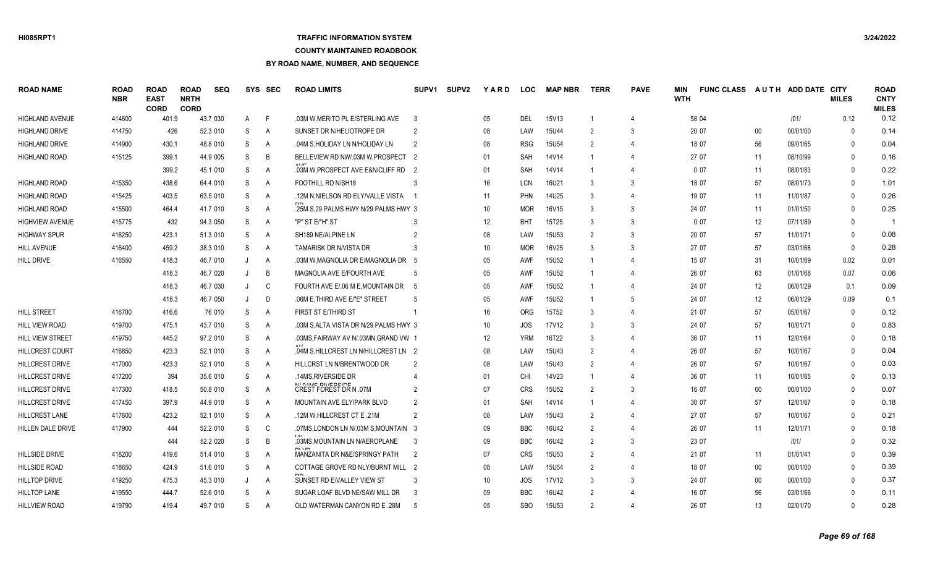# **TRAFFIC INFORMATION SYSTEM**

#### **COUNTY MAINTAINED ROADBOOK**

| <b>ROAD NAME</b>        | <b>ROAD</b><br><b>NBR</b> | <b>ROAD</b><br><b>EAST</b><br><b>CORD</b> | <b>ROAD</b><br><b>NRTH</b><br><b>CORD</b> | <b>SEQ</b> |         | SYS SEC | <b>ROAD LIMITS</b>                                        | SUPV <sub>1</sub> | <b>SUPV2</b> | YARD   | <b>LOC</b> | <b>MAP NBR</b>    | <b>TERR</b>   | <b>PAVE</b>    | MIN<br><b>WTH</b> | <b>FUNC CLASS</b> |        | AUTH ADD DATE CITY | <b>MILES</b> | <b>ROAD</b><br><b>CNTY</b><br><b>MILES</b> |
|-------------------------|---------------------------|-------------------------------------------|-------------------------------------------|------------|---------|---------|-----------------------------------------------------------|-------------------|--------------|--------|------------|-------------------|---------------|----------------|-------------------|-------------------|--------|--------------------|--------------|--------------------------------------------|
| <b>HIGHLAND AVENUE</b>  | 414600                    | 401.9                                     |                                           | 43.7 030   | A       | F       | .03M W, MERITO PL E/STERLING AVE                          | -3                |              | 05     | <b>DEL</b> | 15V13             |               | $\overline{4}$ |                   | 58 04             |        | 1011               | 0.12         | 0.12                                       |
| <b>HIGHLAND DRIVE</b>   | 414750                    | 426                                       |                                           | 52.3 010   | S       | A       | SUNSET DR N/HELIOTROPE DR                                 |                   |              | 08     | LAW        | 15U44             |               | 3              |                   | 20 07             | $00\,$ | 00/01/00           | $\mathbf{0}$ | 0.14                                       |
| <b>HIGHLAND DRIVE</b>   | 414900                    | 430.1                                     |                                           | 48.8 010   | S       | Α       | .04M S, HOLIDAY LN N/HOLIDAY LN                           | $\mathcal{P}$     |              | 08     | <b>RSG</b> | <b>15U54</b>      | 2             | $\overline{4}$ |                   | 18 07             | 56     | 09/01/65           | $\mathbf{0}$ | 0.04                                       |
| <b>HIGHLAND ROAD</b>    | 415125                    | 399.1                                     |                                           | 44.9 005   | S       | B       | BELLEVIEW RD NW/.03M W, PROSPECT 2                        |                   |              | 01     | SAH        | 14V14             |               | $\overline{4}$ |                   | 27 07             | 11     | 08/10/99           | $\Omega$     | 0.16                                       |
|                         |                           | 399.2                                     |                                           | 45.1 010   | S       | A       | .03M W, PROSPECT AVE E&N/CLIFF RD 2                       |                   |              | 01     | SAH        | 14V14             |               | $\overline{4}$ |                   | 007               | 11     | 08/01/83           | $\Omega$     | 0.22                                       |
| <b>HIGHLAND ROAD</b>    | 415350                    | 438.6                                     |                                           | 64.4 010   | S       | Α       | FOOTHILL RD N/SH18                                        |                   |              | 16     | <b>LCN</b> | 16U21             | 3             | 3              |                   | 18 07             | 57     | 08/01/73           | $\mathbf{0}$ | 1.01                                       |
| <b>HIGHLAND ROAD</b>    | 415425                    | 403.5                                     |                                           | 63.5 010   | S       | A       | 12M N, NIELSON RD ELY/VALLE VISTA                         |                   |              | 11     | PHN        | 14U25             | $\mathbf{3}$  |                |                   | 19 07             | 11     | 11/01/87           | $\Omega$     | 0.26                                       |
| <b>HIGHLAND ROAD</b>    | 415500                    | 464.4                                     |                                           | 41.7 010   | S       | A       | .25M S,29 PALMS HWY N/29 PALMS HWY 3                      |                   |              | 10     | <b>MOR</b> | 16V15             |               | 3              |                   | 24 07             | 11     | 01/01/50           | $\Omega$     | 0.25                                       |
| <b>HIGHVIEW AVENUE</b>  | 415775                    | 432                                       |                                           | 94.3 050   | S       | A       | "P" ST E/"H" ST                                           |                   |              | 12     | <b>BHT</b> | 15T25             | 3             | 3              |                   | 007               | 12     | 07/11/89           | $\Omega$     |                                            |
| <b>HIGHWAY SPUR</b>     | 416250                    | 423.1                                     |                                           | 51.3 010   | S       | A       | SH189 NE/ALPINE LN                                        |                   |              | 08     | LAW        | 15U <sub>53</sub> | $\mathcal{P}$ | 3              |                   | 20 07             | 57     | 11/01/71           | $\Omega$     | 0.08                                       |
| <b>HILL AVENUE</b>      | 416400                    | 459.2                                     |                                           | 38.3 010   | S       | Α       | TAMARISK DR N/VISTA DR                                    |                   |              | 10     | <b>MOR</b> | 16V25             |               | 3              |                   | 27 07             | 57     | 03/01/68           | $\mathbf{0}$ | 0.28                                       |
| <b>HILL DRIVE</b>       | 416550                    | 418.3                                     |                                           | 46.7 010   | J       | Α       | .03M W.MAGNOLIA DR E/MAGNOLIA DR 5                        |                   |              | $05\,$ | <b>AWF</b> | <b>15U52</b>      |               |                |                   | 15 07             | 31     | 10/01/69           | 0.02         | 0.01                                       |
|                         |                           | 418.3                                     |                                           | 46.7 020   | J       | B       | MAGNOLIA AVE E/FOURTH AVE                                 |                   |              | 05     | <b>AWF</b> | <b>15U52</b>      |               |                |                   | 26 07             | 63     | 01/01/68           | 0.07         | 0.06                                       |
|                         |                           | 418.3                                     |                                           | 46.7 030   | $\cdot$ | C       | FOURTH AVE E/.06 M E, MOUNTAIN DR 5                       |                   |              | 05     | <b>AWF</b> | 15U52             |               |                |                   | 24 07             | 12     | 06/01/29           | 0.1          | 0.09                                       |
|                         |                           | 418.3                                     |                                           | 46.7 050   | J       | D       | .06M E, THIRD AVE E/"E" STREET                            |                   |              | 05     | <b>AWF</b> | 15U52             |               | 5              |                   | 24 07             | 12     | 06/01/29           | 0.09         | 0.1                                        |
| <b>HILL STREET</b>      | 416700                    | 416.6                                     |                                           | 76 010     | S       | Α       | FIRST ST E/THIRD ST                                       |                   |              | 16     | <b>ORG</b> | 15T52             | 3             |                |                   | 21 07             | 57     | 05/01/67           | $\mathbf{0}$ | 0.12                                       |
| HILL VIEW ROAD          | 419700                    | 475.1                                     |                                           | 43.7 010   | S       | Α       | .03M S, ALTA VISTA DR N/29 PALMS HWY 3                    |                   |              | 10     | JOS        | 17V12             | 3             | 3              |                   | 24 07             | 57     | 10/01/71           | $\mathbf{0}$ | 0.83                                       |
| <b>HILL VIEW STREET</b> | 419750                    | 445.2                                     |                                           | 97.2 010   | S       | Α       | .03MS, FAIRWAY AV N/.03MN, GRAND VW 1                     |                   |              | 12     | <b>YRM</b> | 16T22             |               | 4              |                   | 36 07             | 11     | 12/01/64           | $\Omega$     | 0.18                                       |
| HILLCREST COURT         | 416850                    | 423.3                                     |                                           | 52.1 010   | S       | A       | .04M S.HILLCREST LN N/HILLCREST LN 2                      |                   |              | 08     | LAW        | <b>15U43</b>      | $\mathcal{P}$ | 4              |                   | 26 07             | 57     | 10/01/67           | $\Omega$     | 0.04                                       |
| <b>HILLCREST DRIVE</b>  | 417000                    | 423.3                                     |                                           | 52.1 010   | S       | A       | HILLCRST LN N/BRENTWOOD DR                                |                   |              | 08     | LAW        | 15U43             | $\mathcal{P}$ |                |                   | 26 07             | 57     | 10/01/67           | $\Omega$     | 0.03                                       |
| <b>HILLCREST DRIVE</b>  | 417200                    | 394                                       |                                           | 35.6 010   | S       | A       | .14MS.RIVERSIDE DR                                        |                   |              | 01     | CHI        | 14V23             |               |                |                   | 36 07             | 11     | 10/01/65           | $\Omega$     | 0.13                                       |
| HILLCREST DRIVE         | 417300                    | 418.5                                     |                                           | 50.8 010   | S       | A       | <b>MILOIMA DIMEDOINE</b><br><b>CREST FOREST DR N .07M</b> |                   |              | 07     | <b>CRS</b> | 15U <sub>52</sub> | 2             | 3              |                   | 16 07             | $00\,$ | 00/01/00           | $\Omega$     | 0.07                                       |
| HILLCREST DRIVE         | 417450                    | 397.9                                     |                                           | 44.9 010   | S       | A       | MOUNTAIN AVE ELY/PARK BLVD                                |                   |              | 01     | SAH        | 14V14             |               | 4              |                   | 30 07             | 57     | 12/01/67           | $\Omega$     | 0.18                                       |
| <b>HILLCREST LANE</b>   | 417600                    | 423.2                                     |                                           | 52.1 010   | S       | A       | .12M W.HILLCREST CT E .21M                                | $\mathcal{P}$     |              | 08     | LAW        | 15U43             | 2             | $\overline{4}$ |                   | 27 07             | 57     | 10/01/67           | $\Omega$     | 0.21                                       |
| HILLEN DALE DRIVE       | 417900                    | 444                                       |                                           | 52.2 010   | S       | C       | .07MS, LONDON LN N/.03M S, MOUNTAIN 3                     |                   |              | 09     | <b>BBC</b> | 16U42             |               | $\overline{4}$ |                   | 26 07             | 11     | 12/01/71           | $\mathbf{0}$ | 0.18                                       |
|                         |                           | 444                                       |                                           | 52.2 020   | S       | B       | .03MS, MOUNTAIN LN N/AEROPLANE                            | -3                |              | 09     | <b>BBC</b> | 16U42             | 2             | 3              |                   | 23 07             |        | 1011               | $\Omega$     | 0.32                                       |
| <b>HILLSIDE DRIVE</b>   | 418200                    | 419.6                                     |                                           | 51.4 010   | S       | Α       | MANZANITA DR N&E/SPRINGY PATH                             | $\overline{2}$    |              | 07     | <b>CRS</b> | 15U <sub>53</sub> | 2             | $\overline{4}$ |                   | 21 07             | 11     | 01/01/41           | $\Omega$     | 0.39                                       |
| <b>HILLSIDE ROAD</b>    | 418650                    | 424.9                                     |                                           | 51.6 010   | S       | A       | COTTAGE GROVE RD NLY/BURNT MILL 2                         |                   |              | 08     | LAW        | <b>15U54</b>      | 2             |                |                   | 18 07             | $00\,$ | 00/01/00           | $\Omega$     | 0.39                                       |
| <b>HILLTOP DRIVE</b>    | 419250                    | 475.3                                     |                                           | 45.3 010   | J       | A       | SUNSET RD E/VALLEY VIEW ST                                | -3                |              | 10     | JOS        | 17V12             | 3             | 3              |                   | 24 07             | $00\,$ | 00/01/00           | $\Omega$     | 0.37                                       |
| HILLTOP LANE            | 419550                    | 444.7                                     |                                           | 52.6 010   | S       | A       | SUGAR LOAF BLVD NE/SAW MILL DR                            | -3                |              | 09     | <b>BBC</b> | 16U42             |               |                |                   | 16 07             | 56     | 03/01/66           | $\Omega$     | 0.11                                       |
| <b>HILLVIEW ROAD</b>    | 419790                    | 419.4                                     |                                           | 49.7 010   | S.      | A       | OLD WATERMAN CANYON RD E .28M                             |                   |              | $05\,$ | <b>SBO</b> | <b>15U53</b>      | $\mathcal{P}$ | Δ              |                   | 26 07             | 13     | 02/01/70           | $\Omega$     | 0.28                                       |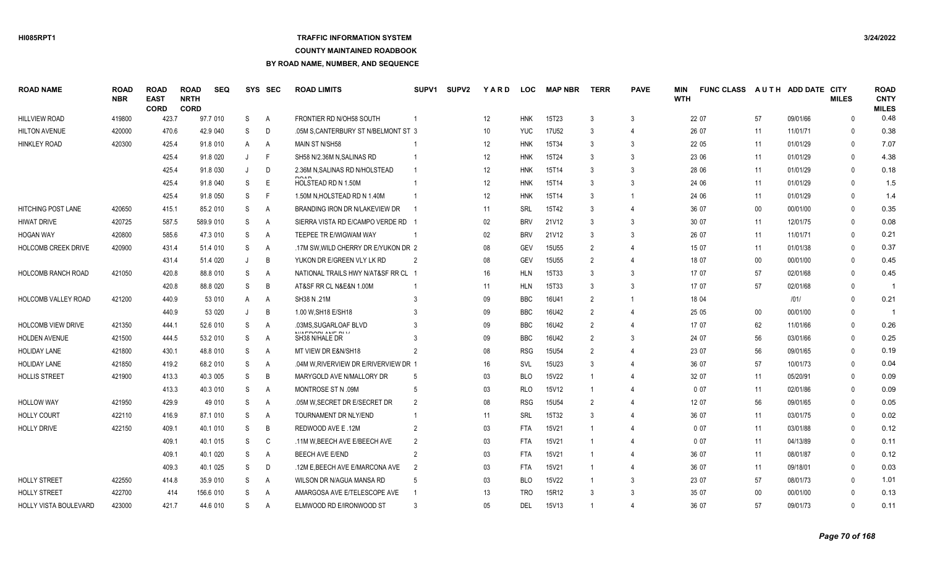# **TRAFFIC INFORMATION SYSTEM**

**COUNTY MAINTAINED ROADBOOK**

| <b>ROAD NAME</b>             | <b>ROAD</b><br><b>NBR</b> | <b>ROAD</b><br><b>EAST</b><br><b>CORD</b> | <b>ROAD</b><br><b>NRTH</b><br><b>CORD</b> | <b>SEQ</b> |    | SYS SEC        | <b>ROAD LIMITS</b>                         | SUPV <sub>1</sub> | <b>SUPV2</b> | <b>YARD</b> | <b>LOC</b> | <b>MAP NBR</b> | <b>TERR</b>    | <b>PAVE</b>    | <b>MIN</b><br><b>WTH</b> | <b>FUNC CLASS</b> |        | AUTH ADD DATE CITY | <b>MILES</b> | <b>ROAD</b><br><b>CNTY</b><br><b>MILES</b> |
|------------------------------|---------------------------|-------------------------------------------|-------------------------------------------|------------|----|----------------|--------------------------------------------|-------------------|--------------|-------------|------------|----------------|----------------|----------------|--------------------------|-------------------|--------|--------------------|--------------|--------------------------------------------|
| <b>HILLVIEW ROAD</b>         | 419800                    | 423.7                                     |                                           | 97.7 010   | S  | A              | FRONTIER RD N/OH58 SOUTH                   |                   |              | 12          | <b>HNK</b> | 15T23          | 3              | 3              |                          | 22 07             | 57     | 09/01/66           | $\Omega$     | 0.48                                       |
| <b>HILTON AVENUE</b>         | 420000                    | 470.6                                     |                                           | 42.9 040   | S  | D              | .05M S.CANTERBURY ST N/BELMONT ST 3        |                   |              | 10          | <b>YUC</b> | <b>17U52</b>   | 3              | $\overline{4}$ |                          | 26 07             | 11     | 11/01/71           | $\Omega$     | 0.38                                       |
| HINKLEY ROAD                 | 420300                    | 425.4                                     |                                           | 91.8 010   | A  | A              | MAIN ST N/SH58                             |                   |              | 12          | <b>HNK</b> | 15T34          | 3              | 3              |                          | 22 05             | 11     | 01/01/29           | $\Omega$     | 7.07                                       |
|                              |                           | 425.4                                     |                                           | 91.8 020   |    | F              | SH58 N/2 36M N.SALINAS RD                  |                   |              | 12          | <b>HNK</b> | 15T24          |                | 3              |                          | 23 06             | 11     | 01/01/29           | $\Omega$     | 4.38                                       |
|                              |                           | 425.4                                     |                                           | 91.8 030   |    | D              | 2.36M N.SALINAS RD N/HOLSTEAD              |                   |              | 12          | <b>HNK</b> | 15T14          | 3              | 3              |                          | 28 06             | 11     | 01/01/29           | $\Omega$     | 0.18                                       |
|                              |                           | 425.4                                     |                                           | 91.8 040   | S  | Ε              | $D^{\wedge}$<br><b>HOLSTEAD RD N 1.50M</b> |                   |              | 12          | <b>HNK</b> | 15T14          | 3              | 3              |                          | 24 06             | 11     | 01/01/29           | $\Omega$     | 1.5                                        |
|                              |                           | 425.4                                     |                                           | 91.8 050   | S  | F              | 1.50M N, HOLSTEAD RD N 1.40M               |                   |              | 12          | <b>HNK</b> | 15T14          | 3              | -1             |                          | 24 06             | 11     | 01/01/29           | $\Omega$     | 1.4                                        |
| <b>HITCHING POST LANE</b>    | 420650                    | 415.1                                     |                                           | 85.2 010   | S  | A              | BRANDING IRON DR N/LAKEVIEW DR             |                   |              | 11          | SRL        | 15T42          | 3              | 4              |                          | 36 07             | 00     | 00/01/00           | $\Omega$     | 0.35                                       |
| <b>HIWAT DRIVE</b>           | 420725                    | 587.5                                     |                                           | 589.9 010  | S  | A              | SIERRA VISTA RD E/CAMPO VERDE RD           |                   |              | 02          | <b>BRV</b> | 21V12          | 3              | 3              |                          | 30 07             | 11     | 12/01/75           | $\Omega$     | 0.08                                       |
| <b>HOGAN WAY</b>             | 420800                    | 585.6                                     |                                           | 47.3 010   | S  | A              | TEEPEE TR E/WIGWAM WAY                     |                   |              | 02          | <b>BRV</b> | 21V12          | 3              | 3              |                          | 26 07             | 11     | 11/01/71           | $\Omega$     | 0.21                                       |
| <b>HOLCOMB CREEK DRIVE</b>   | 420900                    | 431.4                                     |                                           | 51.4 010   | S  | A              | .17M SW, WILD CHERRY DR E/YUKON DR 2       |                   |              | 08          | <b>GEV</b> | 15U55          | $\mathfrak{p}$ | $\overline{4}$ |                          | 15 07             | 11     | 01/01/38           | $\Omega$     | 0.37                                       |
|                              |                           | 431.4                                     |                                           | 51.4 020   |    | B              | YUKON DR E/GREEN VLY LK RD                 | $\overline{2}$    |              | 08          | <b>GEV</b> | <b>15U55</b>   | $\mathcal{P}$  | $\overline{4}$ |                          | 18 07             | $00\,$ | 00/01/00           | $\mathbf{0}$ | 0.45                                       |
| <b>HOLCOMB RANCH ROAD</b>    | 421050                    | 420.8                                     |                                           | 88.8 010   | S  | $\overline{A}$ | NATIONAL TRAILS HWY N/AT&SF RR CL          |                   |              | 16          | <b>HLN</b> | 15T33          | 3              | 3              |                          | 17 07             | 57     | 02/01/68           | $\Omega$     | 0.45                                       |
|                              |                           | 420.8                                     |                                           | 88.8 020   | S  | B              | AT&SF RR CL N&E&N 1.00M                    |                   |              | 11          | <b>HLN</b> | 15T33          | 3              | 3              |                          | 17 07             | 57     | 02/01/68           | $\Omega$     |                                            |
| HOLCOMB VALLEY ROAD          | 421200                    | 440.9                                     |                                           | 53 010     | Α  | $\overline{A}$ | SH38 N .21M                                |                   |              | 09          | <b>BBC</b> | 16U41          | $\mathfrak{p}$ | $\overline{1}$ |                          | 18 04             |        | 1011               | $\Omega$     | 0.21                                       |
|                              |                           | 440.9                                     |                                           | 53 020     |    | B              | 1.00 W, SH18 E/SH18                        |                   |              | 09          | <b>BBC</b> | 16U42          | $\overline{2}$ | $\overline{4}$ |                          | 25 05             | $00\,$ | 00/01/00           | $\Omega$     |                                            |
| <b>HOLCOMB VIEW DRIVE</b>    | 421350                    | 444.1                                     |                                           | 52.6 010   | S  | $\overline{A}$ | .03MS, SUGARLOAF BLVD                      |                   |              | 09          | <b>BBC</b> | 16U42          | $\mathfrak{p}$ | $\overline{4}$ |                          | 17 07             | 62     | 11/01/66           | $\Omega$     | 0.26                                       |
| <b>HOLDEN AVENUE</b>         | 421500                    | 444.5                                     |                                           | 53.2 010   | S  | A              | <b>MARDON AMP BLV</b><br>SH38 N/HALE DR    |                   |              | 09          | <b>BBC</b> | 16U42          | $\mathfrak{p}$ | 3              |                          | 24 07             | 56     | 03/01/66           | $\Omega$     | 0.25                                       |
| <b>HOLIDAY LANE</b>          | 421800                    | 430.1                                     |                                           | 48.8 010   | S  | A              | MT VIEW DR E&N/SH18                        | $\mathcal{P}$     |              | 08          | <b>RSG</b> | 15U54          | $\overline{2}$ | $\overline{4}$ |                          | 23 07             | 56     | 09/01/65           | $\mathbf{0}$ | 0.19                                       |
| <b>HOLIDAY LANE</b>          | 421850                    | 419.2                                     |                                           | 68.2 010   | S  | A              | .04M W, RIVERVIEW DR E/RIVERVIEW DR 1      |                   |              | 16          | SVL        | 15U23          | 3              | $\overline{4}$ |                          | 36 07             | 57     | 10/01/73           | $\mathbf{0}$ | 0.04                                       |
| <b>HOLLIS STREET</b>         | 421900                    | 413.3                                     |                                           | 40.3 005   | S  | B              | MARYGOLD AVE N/MALLORY DR                  |                   |              | 03          | <b>BLO</b> | 15V22          |                | $\overline{4}$ |                          | 32 07             | 11     | 05/20/91           | $\mathbf{0}$ | 0.09                                       |
|                              |                           | 413.3                                     |                                           | 40.3 010   | S  | $\overline{A}$ | MONTROSE ST N .09M                         |                   |              | 03          | <b>RLO</b> | 15V12          |                | $\overline{4}$ |                          | 007               | 11     | 02/01/86           | $\Omega$     | 0.09                                       |
| HOLLOW WAY                   | 421950                    | 429.9                                     |                                           | 49 010     | S  | A              | .05M W, SECRET DR E/SECRET DR              | 2                 |              | 08          | <b>RSG</b> | <b>15U54</b>   | $\overline{2}$ | 4              |                          | 12 07             | 56     | 09/01/65           | $\mathbf{0}$ | 0.05                                       |
| <b>HOLLY COURT</b>           | 422110                    | 416.9                                     |                                           | 87.1 010   | S  | A              | TOURNAMENT DR NLY/END                      |                   |              | 11          | SRL        | 15T32          | 3              | $\overline{4}$ |                          | 36 07             | 11     | 03/01/75           | $\Omega$     | 0.02                                       |
| <b>HOLLY DRIVE</b>           | 422150                    | 409.1                                     |                                           | 40.1 010   | S  | B              | REDWOOD AVE E .12M                         |                   |              | 03          | <b>FTA</b> | 15V21          |                | $\Delta$       |                          | 007               | 11     | 03/01/88           | $\Omega$     | 0.12                                       |
|                              |                           | 409.1                                     |                                           | 40.1 015   | S  | C              | .11M W.BEECH AVE E/BEECH AVE               |                   |              | 03          | <b>FTA</b> | 15V21          |                | $\Delta$       |                          | 007               | 11     | 04/13/89           | $\Omega$     | 0.11                                       |
|                              |                           | 409.1                                     |                                           | 40.1 020   | S  | A              | <b>BEECH AVE E/END</b>                     | $\mathcal{P}$     |              | 03          | <b>FTA</b> | 15V21          |                | $\overline{4}$ |                          | 36 07             | 11     | 08/01/87           | $\Omega$     | 0.12                                       |
|                              |                           | 409.3                                     |                                           | 40.1 025   | S  | D              | .12M E, BEECH AVE E/MARCONA AVE            | $\mathcal{P}$     |              | 03          | <b>FTA</b> | 15V21          |                | $\overline{4}$ |                          | 36 07             | 11     | 09/18/01           | $\Omega$     | 0.03                                       |
| <b>HOLLY STREET</b>          | 422550                    | 414.8                                     |                                           | 35.9 010   | S  | A              | WILSON DR N/AGUA MANSA RD                  | -5                |              | 03          | <b>BLO</b> | <b>15V22</b>   |                | 3              |                          | 23 07             | 57     | 08/01/73           | $\Omega$     | 1.01                                       |
| <b>HOLLY STREET</b>          | 422700                    | 414                                       |                                           | 156.6 010  | S  | A              | AMARGOSA AVE E/TELESCOPE AVE               |                   |              | 13          | <b>TRO</b> | 15R12          | 3              | 3              |                          | 35 07             | $00\,$ | 00/01/00           | $\Omega$     | 0.13                                       |
| <b>HOLLY VISTA BOULEVARD</b> | 423000                    | 421.7                                     |                                           | 44.6 010   | S. | A              | ELMWOOD RD E/IRONWOOD ST                   |                   |              | $05\,$      | DEL        | 15V13          |                | $\overline{4}$ |                          | 36 07             | 57     | 09/01/73           | $\Omega$     | 0.11                                       |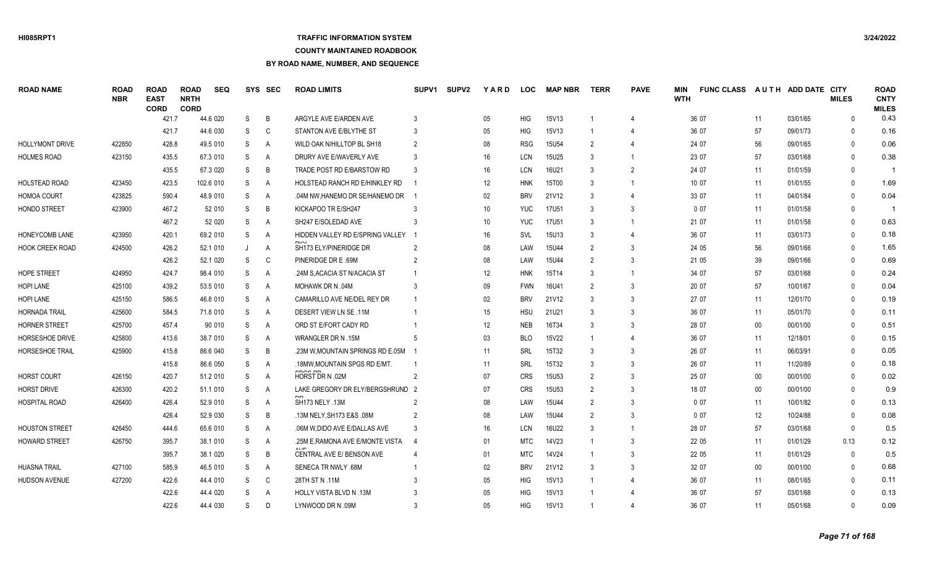### **TRAFFIC INFORMATION SYSTEM**

### **COUNTY MAINTAINED ROADBOOK**

| <b>ROAD NAME</b>       | <b>ROAD</b><br><b>NBR</b> | <b>ROAD</b><br><b>EAST</b><br><b>CORD</b> | <b>ROAD</b><br><b>NRTH</b><br><b>CORD</b> | <b>SEQ</b> |              | SYS SEC        | <b>ROAD LIMITS</b>                | SUPV <sub>1</sub> | <b>SUPV2</b> | YARD   | <b>LOC</b> | <b>MAP NBR</b>    | <b>TERR</b>    | <b>PAVE</b>    | MIN<br><b>WTH</b> | <b>FUNC CLASS</b> |        | AUTH ADD DATE CITY | <b>MILES</b> | <b>ROAD</b><br><b>CNTY</b><br><b>MILES</b> |
|------------------------|---------------------------|-------------------------------------------|-------------------------------------------|------------|--------------|----------------|-----------------------------------|-------------------|--------------|--------|------------|-------------------|----------------|----------------|-------------------|-------------------|--------|--------------------|--------------|--------------------------------------------|
|                        |                           | 421.7                                     |                                           | 44.6 020   | S            | B              | ARGYLE AVE E/ARDEN AVE            | 3                 |              | 05     | <b>HIG</b> | 15V13             |                | $\overline{4}$ |                   | 36 07             | 11     | 03/01/65           | $\Omega$     | 0.43                                       |
|                        |                           | 421.7                                     |                                           | 44.6 030   | S            | C              | STANTON AVE E/BLYTHE ST           | 3                 |              | 05     | <b>HIG</b> | 15V13             |                |                |                   | 36 07             | 57     | 09/01/73           | $\Omega$     | 0.16                                       |
| <b>HOLLYMONT DRIVE</b> | 422850                    | 428.8                                     |                                           | 49.5 010   | S            | A              | WILD OAK N/HILLTOP BL SH18        | $\overline{2}$    |              | 08     | <b>RSG</b> | <b>15U54</b>      | 2              | $\overline{4}$ |                   | 24 07             | 56     | 09/01/65           | $\Omega$     | 0.06                                       |
| <b>HOLMES ROAD</b>     | 423150                    | 435.5                                     |                                           | 67.3 010   | S            | A              | DRURY AVE E/WAVERLY AVE           | 3                 |              | 16     | <b>LCN</b> | <b>15U25</b>      | 3              | $\overline{1}$ |                   | 23 07             | 57     | 03/01/68           | $\Omega$     | 0.38                                       |
|                        |                           | 435.5                                     |                                           | 67.3 020   | S            | B              | TRADE POST RD E/BARSTOW RD        | 3                 |              | 16     | <b>LCN</b> | 16U21             | 3              | $\overline{2}$ |                   | 24 07             | 11     | 01/01/59           | $\Omega$     | -1                                         |
| <b>HOLSTEAD ROAD</b>   | 423450                    | 423.5                                     |                                           | 102.6 010  | S            | A              | HOLSTEAD RANCH RD E/HINKLEY RD    |                   |              | 12     | <b>HNK</b> | 15T00             | 3              | $\overline{1}$ |                   | 10 07             | 11     | 01/01/55           | $\Omega$     | 1.69                                       |
| <b>HOMOA COURT</b>     | 423825                    | 590.4                                     |                                           | 48.9 010   | S            | $\overline{A}$ | .04M NW HANEMO DR SE/HANEMO DR    |                   |              | 02     | <b>BRV</b> | 21V12             | $\mathbf{3}$   |                |                   | 33 07             | 11     | 04/01/84           | $\Omega$     | 0.04                                       |
| <b>HONDO STREET</b>    | 423900                    | 467.2                                     |                                           | 52 010     | S            | B              | KICKAPOO TR E/SH247               |                   |              | 10     | <b>YUC</b> | 17U51             | 3              | 3              |                   | 007               | 11     | 01/01/58           | $\Omega$     |                                            |
|                        |                           | 467.2                                     |                                           | 52 020     | S            | A              | SH247 E/SOLEDAD AVE               |                   |              | 10     | <b>YUC</b> | 17U51             | 3              | $\overline{1}$ |                   | 21 07             | 11     | 01/01/58           | $\Omega$     | 0.63                                       |
| <b>HONEYCOMB LANE</b>  | 423950                    | 420.1                                     |                                           | 69.2 010   | S            | $\overline{A}$ | HIDDEN VALLEY RD E/SPRING VALLEY  |                   |              | 16     | SVL        | 15U13             | 3              | $\overline{4}$ |                   | 36 07             | 11     | 03/01/73           | $\mathbf{0}$ | 0.18                                       |
| <b>HOOK CREEK ROAD</b> | 424500                    | 426.2                                     |                                           | 52.1 010   |              | A              | SH173 ELY/PINERIDGE DR            |                   |              | 08     | LAW        | 15U44             |                | 3              |                   | 24 05             | 56     | 09/01/66           | $\Omega$     | 1.65                                       |
|                        |                           | 426.2                                     |                                           | 52.1 020   | S            | C              | PINERIDGE DR E .69M               |                   |              | 08     | LAW        | 15U44             | $\overline{2}$ | 3              |                   | 21 05             | 39     | 09/01/66           | $\mathbf{0}$ | 0.69                                       |
| <b>HOPE STREET</b>     | 424950                    | 424.7                                     |                                           | 98.4 010   | S            | A              | .24M S, ACACIA ST N/ACACIA ST     |                   |              | 12     | <b>HNK</b> | 15T14             | 3              | $\overline{1}$ |                   | 34 07             | 57     | 03/01/68           | $\Omega$     | 0.24                                       |
| <b>HOPI LANE</b>       | 425100                    | 439.2                                     |                                           | 53.5 010   | S            | $\overline{A}$ | MOHAWK DR N .04M                  |                   |              | 09     | <b>FWN</b> | 16U41             | 2              | 3              |                   | 20 07             | 57     | 10/01/67           | $\Omega$     | 0.04                                       |
| <b>HOPI LANE</b>       | 425150                    | 586.5                                     |                                           | 46.8 010   | S            | $\overline{A}$ | CAMARILLO AVE NE/DEL REY DR       |                   |              | 02     | <b>BRV</b> | 21V12             | 3              | 3              |                   | 27 07             | 11     | 12/01/70           | $\Omega$     | 0.19                                       |
| <b>HORNADA TRAIL</b>   | 425600                    | 584.5                                     |                                           | 71.8 010   | S            | $\overline{A}$ | DESERT VIEW LN SE .11M            |                   |              | 15     | <b>HSU</b> | 21U21             | 3              | 3              |                   | 36 07             | 11     | 05/01/70           | $\Omega$     | 0.11                                       |
| <b>HORNER STREET</b>   | 425700                    | 457.4                                     |                                           | 90 010     | S            | $\overline{A}$ | ORD ST E/FORT CADY RD             |                   |              | 12     | <b>NEB</b> | 16T34             | 3              | 3              |                   | 28 07             | $00\,$ | 00/01/00           | $\mathbf{0}$ | 0.51                                       |
| HORSESHOE DRIVE        | 425800                    | 413.6                                     |                                           | 38.7 010   | S            | A              | WRANGLER DR N .15M                |                   |              | 03     | <b>BLO</b> | 15V22             |                | $\overline{4}$ |                   | 36 07             | 11     | 12/18/01           | $\Omega$     | 0.15                                       |
| HORSESHOE TRAIL        | 425900                    | 415.8                                     |                                           | 86.6 040   | S            | B              | .23M W, MOUNTAIN SPRINGS RD E.05M |                   |              | 11     | SRL        | 15T32             |                | 3              |                   | 26 07             | 11     | 06/03/91           | $\mathbf{0}$ | 0.05                                       |
|                        |                           | 415.8                                     |                                           | 86.6 050   | S            | $\overline{A}$ | .18MW, MOUNTAIN SPGS RD E/MT.     |                   |              | 11     | SRL        | 15T32             | -3             | 3              |                   | 26 07             | 11     | 11/20/89           | $\mathbf{0}$ | 0.18                                       |
| <b>HORST COURT</b>     | 426150                    | 420.7                                     |                                           | 51.2 010   | S            | $\overline{A}$ | 000000<br>HORST DR N .02M         | $\overline{2}$    |              | 07     | <b>CRS</b> | 15U53             | $\overline{2}$ | 3              |                   | 25 07             | $00\,$ | 00/01/00           | $\Omega$     | 0.02                                       |
| <b>HORST DRIVE</b>     | 426300                    | 420.2                                     |                                           | 51.1 010   | S            | $\overline{A}$ | LAKE GREGORY DR ELY/BERGSHRUND 2  |                   |              | 07     | <b>CRS</b> | 15U <sub>53</sub> | $\overline{2}$ | 3              |                   | 18 07             | $00\,$ | 00/01/00           | $\Omega$     | 0.9                                        |
| <b>HOSPITAL ROAD</b>   | 426400                    | 426.4                                     |                                           | 52.9 010   | S            | $\overline{A}$ | SH173 NELY .13M                   | $\overline{2}$    |              | 08     | LAW        | 15U44             | $\overline{2}$ | 3              |                   | 007               | 11     | 10/01/82           | $\Omega$     | 0.13                                       |
|                        |                           | 426.4                                     |                                           | 52.9 030   | S            | B.             | .13M NELY, SH173 E&S .08M         | $\overline{2}$    |              | 08     | LAW        | 15U44             | $\overline{2}$ | 3              |                   | 007               | 12     | 10/24/88           | $\Omega$     | 0.08                                       |
| <b>HOUSTON STREET</b>  | 426450                    | 444.6                                     |                                           | 65.6 010   | S            | $\overline{A}$ | .06M W,DIDO AVE E/DALLAS AVE      | -3                |              | 16     | LCN        | 16U22             | $\mathbf{3}$   | $\overline{1}$ |                   | 28 07             | 57     | 03/01/68           | $\Omega$     | 0.5                                        |
| <b>HOWARD STREET</b>   | 426750                    | 395.7                                     |                                           | 38.1 010   | S            | A              | .25M E, RAMONA AVE E/MONTE VISTA  |                   |              | 01     | <b>MTC</b> | 14V23             |                | 3              |                   | 22 05             | 11     | 01/01/29           | 0.13         | 0.12                                       |
|                        |                           | 395.7                                     |                                           | 38.1 020   | S            | B              | CENTRAL AVE E/ BENSON AVE         |                   |              | 01     | <b>MTC</b> | 14V24             |                | 3              |                   | 22 05             | 11     | 01/01/29           | $\Omega$     | 0.5                                        |
| <b>HUASNA TRAIL</b>    | 427100                    | 585.9                                     |                                           | 46.5 010   | S            | $\overline{A}$ | SENECA TR NWLY .68M               |                   |              | 02     | <b>BRV</b> | 21V12             | $\mathbf{3}$   | 3              |                   | 32 07             | $00\,$ | 00/01/00           | $\Omega$     | 0.68                                       |
| <b>HUDSON AVENUE</b>   | 427200                    | 422.6                                     |                                           | 44.4 010   | S            | $\mathsf{C}$   | 28TH ST N .11M                    |                   |              | 05     | <b>HIG</b> | 15V13             |                |                |                   | 36 07             | 11     | 08/01/65           | $\Omega$     | 0.11                                       |
|                        |                           | 422.6                                     |                                           | 44.4 020   | <sub>S</sub> | A              | <b>HOLLY VISTA BLVD N.13M</b>     |                   |              | 05     | <b>HIG</b> | 15V13             |                |                |                   | 36 07             | 57     | 03/01/68           | $\Omega$     | 0.13                                       |
|                        |                           | 422.6                                     |                                           | 44.4 030   | <sub>S</sub> | D.             | LYNWOOD DR N .09M                 | 3                 |              | $05\,$ | <b>HIG</b> | 15V13             |                | Δ              |                   | 36 07             | 11     | 05/01/68           | $\Omega$     | 0.09                                       |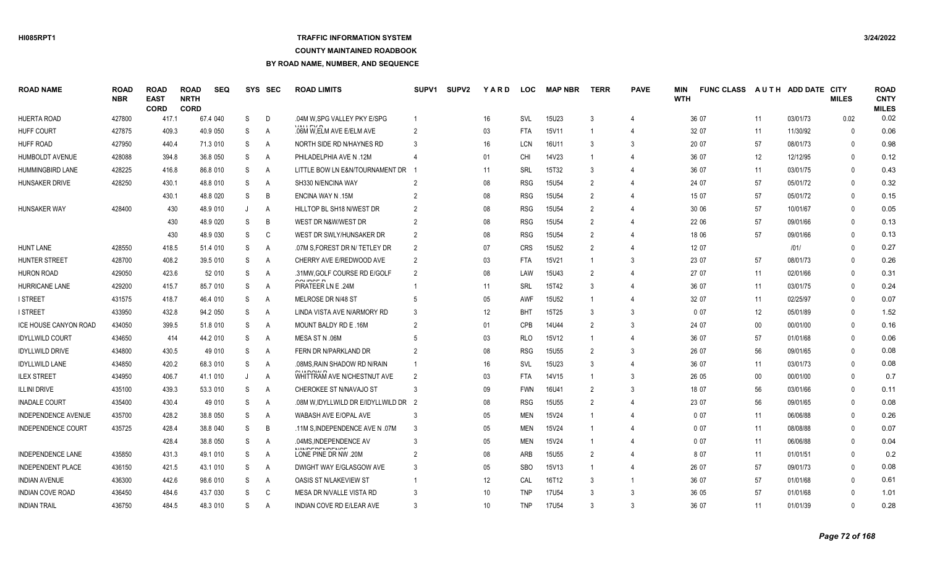# **TRAFFIC INFORMATION SYSTEM**

### **COUNTY MAINTAINED ROADBOOK**

| <b>ROAD NAME</b>           | <b>ROAD</b><br><b>NBR</b> | <b>ROAD</b><br><b>EAST</b><br><b>CORD</b> | <b>ROAD</b><br><b>NRTH</b><br><b>CORD</b> | <b>SEQ</b> |    | SYS SEC        | <b>ROAD LIMITS</b>                                       | SUPV <sub>1</sub> | <b>SUPV2</b> | <b>YARD</b>     | <b>LOC</b> | <b>MAP NBR</b>    | <b>TERR</b>    | <b>PAVE</b>              | <b>MIN</b><br><b>WTH</b> | <b>FUNC CLASS</b> |                   | AUTH ADD DATE CITY | <b>MILES</b> | <b>ROAD</b><br><b>CNTY</b><br><b>MILES</b> |
|----------------------------|---------------------------|-------------------------------------------|-------------------------------------------|------------|----|----------------|----------------------------------------------------------|-------------------|--------------|-----------------|------------|-------------------|----------------|--------------------------|--------------------------|-------------------|-------------------|--------------------|--------------|--------------------------------------------|
| <b>HUERTA ROAD</b>         | 427800                    | 417.1                                     |                                           | 67.4 040   | S  | D              | .04M W.SPG VALLEY PKY E/SPG                              |                   |              | 16              | <b>SVL</b> | 15U23             | 3              |                          |                          | 36 07             | 11                | 03/01/73           | 0.02         | 0.02                                       |
| <b>HUFF COURT</b>          | 427875                    | 409.3                                     |                                           | 40.9 050   | S  | A              | (111F)<br>.06M W, ELM AVE E/ELM AVE                      | $\overline{2}$    |              | 03              | <b>FTA</b> | 15V11             |                | $\overline{\mathcal{L}}$ |                          | 32 07             | 11                | 11/30/92           | $\Omega$     | 0.06                                       |
| <b>HUFF ROAD</b>           | 427950                    | 440.4                                     |                                           | 71.3 010   | S  | A              | NORTH SIDE RD N/HAYNES RD                                | 3                 |              | 16              | LCN        | 16U11             | 3              | 3                        |                          | 20 07             | 57                | 08/01/73           | $\Omega$     | 0.98                                       |
| <b>HUMBOLDT AVENUE</b>     | 428088                    | 394.8                                     |                                           | 36.8 050   | S  | A              | PHILADELPHIA AVE N.12M                                   |                   |              | 01              | <b>CHI</b> | 14V23             |                | 4                        |                          | 36 07             | $12 \overline{ }$ | 12/12/95           | $\Omega$     | 0.12                                       |
| <b>HUMMINGBIRD LANE</b>    | 428225                    | 416.8                                     |                                           | 86.8 010   | S  | $\mathsf{A}$   | LITTLE BOW LN E&N/TOURNAMENT DR 1                        |                   |              | 11              | SRL        | 15T32             | 3              | 4                        |                          | 36 07             | 11                | 03/01/75           | $\Omega$     | 0.43                                       |
| <b>HUNSAKER DRIVE</b>      | 428250                    | 430.1                                     |                                           | 48.8 010   | S  | Α              | SH330 N/ENCINA WAY                                       |                   |              | 08              | <b>RSG</b> | <b>15U54</b>      | $\mathcal{P}$  |                          |                          | 24 07             | 57                | 05/01/72           | $\Omega$     | 0.32                                       |
|                            |                           | 430.1                                     |                                           | 48.8 020   | S  | B              | <b>ENCINA WAY N.15M</b>                                  |                   |              | 08              | <b>RSG</b> | <b>15U54</b>      | $\mathcal{P}$  |                          |                          | 15 07             | 57                | 05/01/72           | $\Omega$     | 0.15                                       |
| <b>HUNSAKER WAY</b>        | 428400                    | 430                                       |                                           | 48.9 010   | J  | Α              | HILLTOP BL SH18 N/WEST DR                                | $\overline{2}$    |              | 08              | <b>RSG</b> | <b>15U54</b>      | $\mathcal{P}$  |                          |                          | 30 06             | 57                | 10/01/67           | $\Omega$     | 0.05                                       |
|                            |                           | 430                                       |                                           | 48.9 020   | S  | B              | WEST DR N&W/WEST DR                                      | $\overline{2}$    |              | 08              | <b>RSG</b> | 15U54             | $\overline{2}$ |                          |                          | 22 06             | 57                | 09/01/66           | $\Omega$     | 0.13                                       |
|                            |                           | 430                                       |                                           | 48.9 030   | S  | $\mathsf{C}$   | WEST DR SWLY/HUNSAKER DR                                 | 2                 |              | 08              | <b>RSG</b> | 15U54             | $\overline{2}$ | 4                        |                          | 18 06             | 57                | 09/01/66           | $\Omega$     | 0.13                                       |
| <b>HUNT LANE</b>           | 428550                    | 418.5                                     |                                           | 51.4 010   | S  | A              | .07M S, FOREST DR N/ TETLEY DR                           | 2                 |              | 07              | <b>CRS</b> | 15U52             | $\mathcal{P}$  | 4                        |                          | 12 07             |                   | 1011               | $\Omega$     | 0.27                                       |
| <b>HUNTER STREET</b>       | 428700                    | 408.2                                     |                                           | 39.5 010   | S  | A              | CHERRY AVE E/REDWOOD AVE                                 | $\overline{2}$    |              | 03              | <b>FTA</b> | 15V21             |                | 3                        |                          | 23 07             | 57                | 08/01/73           | $\mathbf{0}$ | 0.26                                       |
| <b>HURON ROAD</b>          | 429050                    | 423.6                                     |                                           | 52 010     | S  | A              | .31MW.GOLF COURSE RD E/GOLF                              | $\mathcal{P}$     |              | 08              | LAW        | 15U43             | $\mathcal{P}$  | 4                        |                          | 27 07             | 11                | 02/01/66           | $\Omega$     | 0.31                                       |
| HURRICANE LANE             | 429200                    | 415.7                                     |                                           | 85.7 010   | S  | A              | $\sim$ $\sim$ $\sim$ $\sim$ $\sim$<br>PIRATEER LN E .24M |                   |              | 11              | SRL        | 15T42             | 3              | 4                        |                          | 36 07             | 11                | 03/01/75           | $\Omega$     | 0.24                                       |
| <b>I STREET</b>            | 431575                    | 418.7                                     |                                           | 46.4 010   | S  | $\overline{A}$ | MELROSE DR N/48 ST                                       | .5                |              | 05              | <b>AWF</b> | 15U <sub>52</sub> |                | 4                        |                          | 32 07             | 11                | 02/25/97           | $\Omega$     | 0.07                                       |
| <b>I STREET</b>            | 433950                    | 432.8                                     |                                           | 94.2 050   | S  | A              | LINDA VISTA AVE N/ARMORY RD                              | 3                 |              | 12              | <b>BHT</b> | 15T25             | 3              | 3                        |                          | 007               | 12                | 05/01/89           | $\Omega$     | 1.52                                       |
| ICE HOUSE CANYON ROAD      | 434050                    | 399.5                                     |                                           | 51.8 010   | S  | A              | MOUNT BALDY RD E .16M                                    | $\overline{2}$    |              | 01              | CPB        | 14U44             | $\overline{2}$ | 3                        |                          | 24 07             | $00\,$            | 00/01/00           | $\mathbf{0}$ | 0.16                                       |
| <b>IDYLLWILD COURT</b>     | 434650                    | 414                                       |                                           | 44.2 010   | S  | A              | MESA ST N .06M                                           |                   |              | 03              | <b>RLO</b> | 15V12             |                | $\overline{4}$           |                          | 36 07             | 57                | 01/01/68           | $\Omega$     | 0.06                                       |
| <b>IDYLLWILD DRIVE</b>     | 434800                    | 430.5                                     |                                           | 49 010     | S  | A              | FERN DR N/PARKLAND DR                                    | 2                 |              | 08              | <b>RSG</b> | 15U55             | $\overline{2}$ | 3                        |                          | 26 07             | 56                | 09/01/65           | $\mathbf{0}$ | 0.08                                       |
| <b>IDYLLWILD LANE</b>      | 434850                    | 420.2                                     |                                           | 68.3 010   | S  | A              | .08MS, RAIN SHADOW RD N/RAIN                             |                   |              | 16              | SVL        | 15U23             | 3              | $\overline{4}$           |                          | 36 07             | 11                | 03/01/73           | $\Omega$     | 0.08                                       |
| <b>ILEX STREET</b>         | 434950                    | 406.7                                     |                                           | 41.1 010   |    | A              | QHAPQMRF<br>WHITTRAM AVE N/CHESTNUT AVE                  | $\mathfrak{p}$    |              | 03              | <b>FTA</b> | 14V15             |                | 3                        |                          | 26 05             | $00\,$            | 00/01/00           | $\mathbf{0}$ | 0.7                                        |
| <b>ILLINI DRIVE</b>        | 435100                    | 439.3                                     |                                           | 53.3 010   | S  | A              | CHEROKEE ST N/NAVAJO ST                                  | 3                 |              | 09              | <b>FWN</b> | 16U41             | $\mathcal{P}$  | 3                        |                          | 18 07             | 56                | 03/01/66           | $\Omega$     | 0.11                                       |
| <b>INADALE COURT</b>       | 435400                    | 430.4                                     |                                           | 49 010     | S  | A              | .08M W, IDYLLWILD DR E/IDYLLWILD DR 2                    |                   |              | 08              | <b>RSG</b> | <b>15U55</b>      | $\overline{2}$ | 4                        |                          | 23 07             | 56                | 09/01/65           | $\mathbf{0}$ | 0.08                                       |
| <b>INDEPENDENCE AVENUE</b> | 435700                    | 428.2                                     |                                           | 38.8 050   | S  | A              | WABASH AVE E/OPAL AVE                                    | 3                 |              | 05              | <b>MEN</b> | 15V24             |                | $\Delta$                 |                          | 007               | 11                | 06/06/88           | $\Omega$     | 0.26                                       |
| <b>INDEPENDENCE COURT</b>  | 435725                    | 428.4                                     |                                           | 38.8 040   | S  | B              | .11M S, INDEPENDENCE AVE N.07M                           | 3                 |              | 05              | <b>MEN</b> | 15V24             |                | $\Delta$                 |                          | 007               | 11                | 08/08/88           | $\Omega$     | 0.07                                       |
|                            |                           | 428.4                                     |                                           | 38.8 050   | S  | A              | .04MS.INDEPENDENCE AV                                    |                   |              | 05              | <b>MEN</b> | 15V24             | -1             | $\Delta$                 |                          | 007               | 11                | 06/06/88           | $\Omega$     | 0.04                                       |
| <b>INDEPENDENCE LANE</b>   | 435850                    | 431.3                                     |                                           | 49.1 010   | S  | A              | <b>MAINFREMAEMAE</b><br>LONE PINE DR NW .20M             | 2                 |              | 08              | ARB        | <b>15U55</b>      | $\mathcal{P}$  | $\Delta$                 |                          | 8 0 7             | 11                | 01/01/51           | $\Omega$     | 0.2                                        |
| <b>INDEPENDENT PLACE</b>   | 436150                    | 421.5                                     |                                           | 43.1 010   | S  | A              | DWIGHT WAY E/GLASGOW AVE                                 | 3                 |              | 05              | <b>SBO</b> | 15V13             |                | $\Delta$                 |                          | 26 07             | 57                | 09/01/73           | $\Omega$     | 0.08                                       |
| <b>INDIAN AVENUE</b>       | 436300                    | 442.6                                     |                                           | 98.6 010   | S  | A              | OASIS ST N/LAKEVIEW ST                                   |                   |              | 12              | CAL        | 16T12             | 3              | $\overline{1}$           |                          | 36 07             | 57                | 01/01/68           | $\Omega$     | 0.61                                       |
| <b>INDIAN COVE ROAD</b>    | 436450                    | 484.6                                     |                                           | 43.7 030   | S  | C              | MESA DR N/VALLE VISTA RD                                 |                   |              | 10 <sup>1</sup> | <b>TNP</b> | <b>17U54</b>      |                | 3                        |                          | 36 05             | 57                | 01/01/68           | $\Omega$     | 1.01                                       |
| <b>INDIAN TRAIL</b>        | 436750                    | 484.5                                     |                                           | 48.3 010   | S. | A              | INDIAN COVE RD E/LEAR AVE                                |                   |              | 10              | <b>TNP</b> | <b>17U54</b>      |                | 3                        |                          | 36 07             | 11                | 01/01/39           | $\Omega$     | 0.28                                       |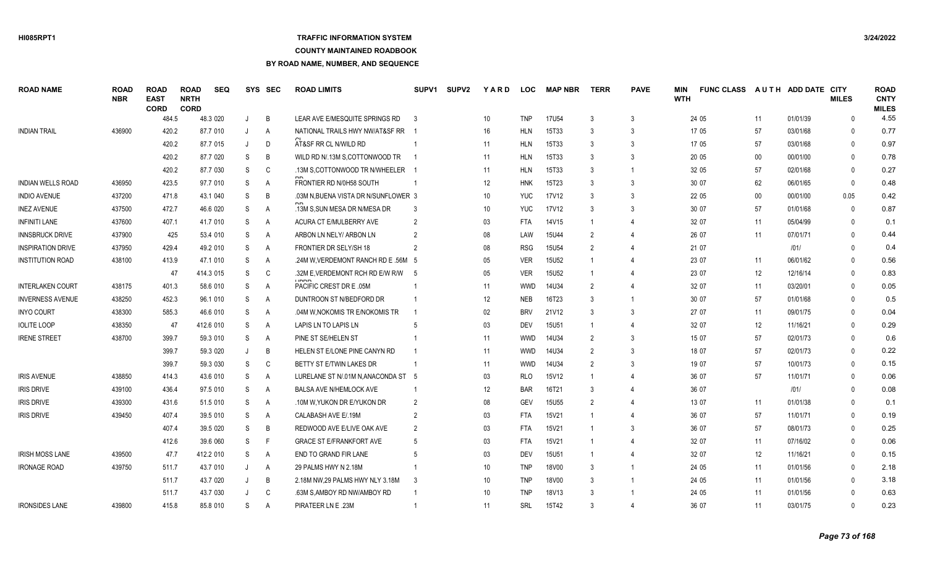# **TRAFFIC INFORMATION SYSTEM**

### **COUNTY MAINTAINED ROADBOOK**

| <b>ROAD NAME</b>         | <b>ROAD</b><br><b>NBR</b> | <b>ROAD</b><br><b>EAST</b><br><b>CORD</b> | <b>ROAD</b><br><b>NRTH</b><br><b>CORD</b> | <b>SEQ</b> |         | SYS SEC        | <b>ROAD LIMITS</b>                  | <b>SUPV1</b>   | <b>SUPV2</b> | YARD   | <b>LOC</b> | <b>MAP NBR</b>    | <b>TERR</b>   | <b>PAVE</b>    | MIN<br><b>WTH</b> | <b>FUNC CLASS</b> |                   | AUTH ADD DATE CITY | <b>MILES</b> | <b>ROAD</b><br><b>CNTY</b><br><b>MILES</b> |
|--------------------------|---------------------------|-------------------------------------------|-------------------------------------------|------------|---------|----------------|-------------------------------------|----------------|--------------|--------|------------|-------------------|---------------|----------------|-------------------|-------------------|-------------------|--------------------|--------------|--------------------------------------------|
|                          |                           | 484.5                                     |                                           | 48.3 020   |         | B              | LEAR AVE E/MESQUITE SPRINGS RD      | -3             |              | 10     | <b>TNP</b> | 17U54             | 3             | $\mathbf{3}$   |                   | 24 05             | 11                | 01/01/39           | $\mathbf{0}$ | 4.55                                       |
| <b>INDIAN TRAIL</b>      | 436900                    | 420.2                                     |                                           | 87.7 010   | IJ      | A              | NATIONAL TRAILS HWY NW/AT&SF RR     |                |              | 16     | <b>HLN</b> | 15T33             |               | 3              |                   | 17 05             | 57                | 03/01/68           | $\Omega$     | 0.77                                       |
|                          |                           | 420.2                                     |                                           | 87.7 015   |         | D              | AT&SF RR CL N/WILD RD               |                |              | 11     | <b>HLN</b> | 15T33             | 3             | 3              |                   | 17 05             | 57                | 03/01/68           | $\mathbf{0}$ | 0.97                                       |
|                          |                           | 420.2                                     |                                           | 87.7 020   | S       | B              | WILD RD N/.13M S.COTTONWOOD TR      |                |              | 11     | <b>HLN</b> | 15T33             |               | 3              |                   | 20 05             | $00\,$            | 00/01/00           | $\mathbf{0}$ | 0.78                                       |
|                          |                           | 420.2                                     |                                           | 87.7 030   | S       | C              | .13M S.COTTONWOOD TR N/WHEELER 1    |                |              | 11     | <b>HLN</b> | 15T33             | 3             | $\overline{1}$ |                   | 32 05             | 57                | 02/01/68           | $\mathbf{0}$ | 0.27                                       |
| <b>INDIAN WELLS ROAD</b> | 436950                    | 423.5                                     |                                           | 97.7 010   | S       | Α              | FRONTIER RD N/0H58 SOUTH            |                |              | 12     | <b>HNK</b> | 15T23             | 3             | 3              |                   | 30 07             | 62                | 06/01/65           | $\mathbf{0}$ | 0.48                                       |
| <b>INDIO AVENUE</b>      | 437200                    | 471.8                                     |                                           | 43.1 040   | S       | B              | .03M N.BUENA VISTA DR N/SUNFLOWER 3 |                |              | 10     | <b>YUC</b> | 17V12             | $\mathcal{R}$ | 3              |                   | 22 05             | $00\,$            | 00/01/00           | 0.05         | 0.42                                       |
| <b>INEZ AVENUE</b>       | 437500                    | 472.7                                     |                                           | 46.6 020   | S       | A              | .13M S.SUN MESA DR N/MESA DR        | 3              |              | 10     | <b>YUC</b> | 17V12             | $\mathbf{3}$  | 3              |                   | 30 07             | 57                | 01/01/68           | $\Omega$     | 0.87                                       |
| <b>INFINITI LANE</b>     | 437600                    | 407.1                                     |                                           | 41.7 010   | S       | A              | ACURA CT E/MULBERRY AVE             | $\mathcal{P}$  |              | 03     | <b>FTA</b> | 14V15             |               | $\overline{4}$ |                   | 32 07             | 11                | 05/04/99           | $\Omega$     | 0.1                                        |
| <b>INNSBRUCK DRIVE</b>   | 437900                    | 425                                       |                                           | 53.4 010   | S       | A              | ARBON LN NELY/ ARBON LN             | $\mathcal{P}$  |              | 08     | LAW        | 15U44             | 2             | $\overline{4}$ |                   | 26 07             | 11                | 07/01/71           | $\Omega$     | 0.44                                       |
| <b>INSPIRATION DRIVE</b> | 437950                    | 429.4                                     |                                           | 49.2 010   | S       | A              | FRONTIER DR SELY/SH 18              |                |              | 08     | <b>RSG</b> | <b>15U54</b>      |               | $\overline{4}$ |                   | 21 07             |                   | 1011               | $\Omega$     | 0.4                                        |
| INSTITUTION ROAD         | 438100                    | 413.9                                     |                                           | 47.1 010   | S       | A              | .24M W.VERDEMONT RANCH RD E .56M 5  |                |              | $05\,$ | <b>VER</b> | 15U52             |               | 4              |                   | 23 07             | 11                | 06/01/62           | $\Omega$     | 0.56                                       |
|                          |                           |                                           | 47                                        | 414.3 015  | S       | C              | 32M E.VERDEMONT RCH RD E/W R/W 5    |                |              | 05     | <b>VER</b> | <b>15U52</b>      |               |                |                   | 23 07             | $12 \overline{ }$ | 12/16/14           | $\Omega$     | 0.83                                       |
| <b>INTERLAKEN COURT</b>  | 438175                    | 401.3                                     |                                           | 58.6 010   | S       | $\overline{A}$ | PACIFIC CREST DR E .05M             |                |              | 11     | <b>WWD</b> | 14U34             | $\mathcal{P}$ |                |                   | 32 07             | 11                | 03/20/01           | $\Omega$     | 0.05                                       |
| <b>INVERNESS AVENUE</b>  | 438250                    | 452.3                                     |                                           | 96.1 010   | S       | Α              | DUNTROON ST N/BEDFORD DR            |                |              | 12     | <b>NEB</b> | 16T23             | 3             | $\overline{1}$ |                   | 30 07             | 57                | 01/01/68           | $\mathbf{0}$ | 0.5                                        |
| <b>INYO COURT</b>        | 438300                    | 585.3                                     |                                           | 46.6 010   | S       | $\overline{A}$ | .04M W, NOKOMIS TR E/NOKOMIS TR     |                |              | 02     | <b>BRV</b> | 21V12             | 3             | 3              |                   | 27 07             | 11                | 09/01/75           | $\mathbf{0}$ | 0.04                                       |
| <b>IOLITE LOOP</b>       | 438350                    |                                           | 47                                        | 412.6 010  | S       | A              | LAPIS LN TO LAPIS LN                |                |              | 03     | <b>DEV</b> | 15U51             |               | $\overline{4}$ |                   | 32 07             | 12                | 11/16/21           | $\mathbf{0}$ | 0.29                                       |
| <b>IRENE STREET</b>      | 438700                    | 399.7                                     |                                           | 59.3 010   | S       | Α              | PINE ST SE/HELEN ST                 |                |              | 11     | <b>WWD</b> | 14U34             |               | 3              |                   | 15 07             | 57                | 02/01/73           | $\Omega$     | 0.6                                        |
|                          |                           | 399.7                                     |                                           | 59.3 020   | $\cdot$ | B              | HELEN ST E/LONE PINE CANYN RD       |                |              | 11     | <b>WWD</b> | 14U34             | 2             | 3              |                   | 18 07             | 57                | 02/01/73           | $\Omega$     | 0.22                                       |
|                          |                           | 399.7                                     |                                           | 59.3 030   | S       | C              | BETTY ST E/TWIN LAKES DR            |                |              | 11     | <b>WWD</b> | 14U34             | 2             | 3              |                   | 19 07             | 57                | 10/01/73           | $\Omega$     | 0.15                                       |
| <b>IRIS AVENUE</b>       | 438850                    | 414.3                                     |                                           | 43.6 010   | S       | A              | LURELANE ST N/.01M N.ANACONDA ST 5  |                |              | 03     | <b>RLO</b> | 15V12             |               |                |                   | 36 07             | 57                | 11/01/71           | $\Omega$     | 0.06                                       |
| <b>IRIS DRIVE</b>        | 439100                    | 436.4                                     |                                           | 97.5 010   | S       | Α              | <b>BALSA AVE N/HEMLOCK AVE</b>      |                |              | 12     | <b>BAR</b> | 16T21             | $\mathbf{3}$  | 4              |                   | 36 07             |                   | 1011               | $\Omega$     | 0.08                                       |
| <b>IRIS DRIVE</b>        | 439300                    | 431.6                                     |                                           | 51.5 010   | S       | A              | .10M W, YUKON DR E/YUKON DR         | $\overline{2}$ |              | 08     | <b>GEV</b> | 15U <sub>55</sub> | $\mathcal{P}$ |                |                   | 13 07             | 11                | 01/01/38           | $\Omega$     | 0.1                                        |
| <b>IRIS DRIVE</b>        | 439450                    | 407.4                                     |                                           | 39.5 010   | S       | A              | CALABASH AVE E/.19M                 | 2              |              | 03     | <b>FTA</b> | 15V21             |               | $\overline{4}$ |                   | 36 07             | 57                | 11/01/71           | $\mathbf{0}$ | 0.19                                       |
|                          |                           | 407.4                                     |                                           | 39.5 020   | S       | B              | REDWOOD AVE E/LIVE OAK AVE          | -2             |              | 03     | <b>FTA</b> | 15V21             |               | 3              |                   | 36 07             | 57                | 08/01/73           | $\Omega$     | 0.25                                       |
|                          |                           | 412.6                                     |                                           | 39.6 060   | S       | F              | <b>GRACE ST E/FRANKFORT AVE</b>     | -5             |              | 03     | <b>FTA</b> | 15V21             |               | $\overline{4}$ |                   | 32 07             | 11                | 07/16/02           | $\mathbf{0}$ | 0.06                                       |
| <b>IRISH MOSS LANE</b>   | 439500                    | 47.7                                      |                                           | 412.2 010  | S       | $\overline{A}$ | END TO GRAND FIR LANE               |                |              | 03     | <b>DEV</b> | <b>15U51</b>      |               | $\overline{4}$ |                   | 32 07             | 12                | 11/16/21           | $\mathbf{0}$ | 0.15                                       |
| <b>IRONAGE ROAD</b>      | 439750                    | 511.7                                     |                                           | 43.7 010   |         | $\overline{A}$ | 29 PALMS HWY N 2.18M                |                |              | 10     | <b>TNP</b> | 18V00             | 3             |                |                   | 24 05             | 11                | 01/01/56           | $\Omega$     | 2.18                                       |
|                          |                           | 511.7                                     |                                           | 43.7 020   |         | B              | 2.18M NW,29 PALMS HWY NLY 3.18M     | -3             |              | 10     | <b>TNP</b> | 18V00             | 3             | $\overline{1}$ |                   | 24 05             | 11                | 01/01/56           | $\mathbf{0}$ | 3.18                                       |
|                          |                           | 511.7                                     |                                           | 43.7 030   |         | C              | .63M S, AMBOY RD NW/AMBOY RD        |                |              | 10     | <b>TNP</b> | 18V13             |               |                |                   | 24 05             | 11                | 01/01/56           | $\Omega$     | 0.63                                       |
| <b>IRONSIDES LANE</b>    | 439800                    | 415.8                                     |                                           | 85.8 010   | S       | A              | PIRATEER LN E .23M                  |                |              | 11     | SRL        | 15T42             |               | 4              |                   | 36 07             | 11                | 03/01/75           | $\Omega$     | 0.23                                       |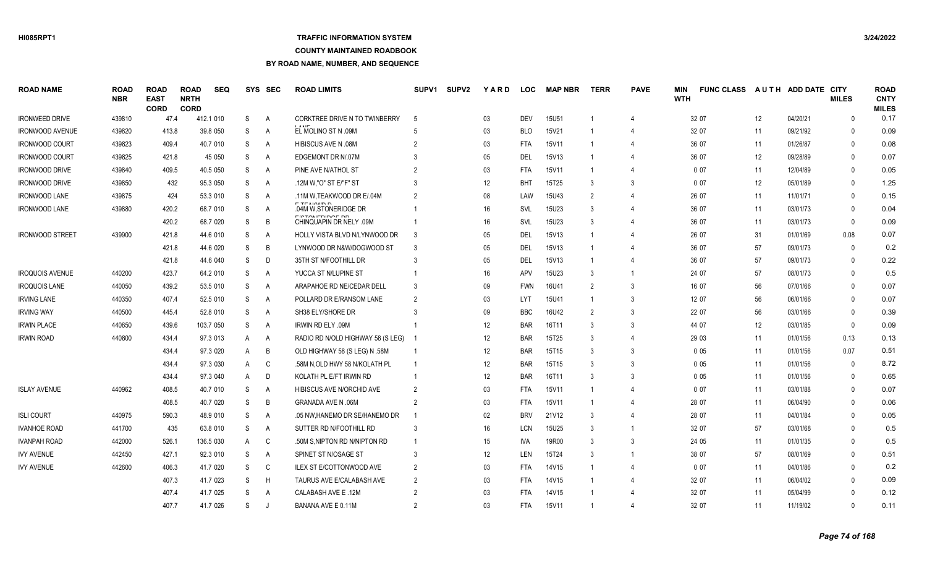## **TRAFFIC INFORMATION SYSTEM**

### **COUNTY MAINTAINED ROADBOOK**

| <b>ROAD NAME</b>       | <b>ROAD</b><br><b>NBR</b> | <b>ROAD</b><br><b>EAST</b><br><b>CORD</b> | <b>ROAD</b><br><b>NRTH</b><br><b>CORD</b> | <b>SEQ</b> |    | SYS SEC | <b>ROAD LIMITS</b>                                       | SUPV <sub>1</sub> | <b>SUPV2</b> | YARD   | <b>LOC</b> | <b>MAP NBR</b> | <b>TERR</b>  | <b>PAVE</b>                 | MIN<br><b>WTH</b> | <b>FUNC CLASS</b> |    | AUTH ADD DATE CITY | <b>MILES</b> | <b>ROAD</b><br><b>CNTY</b><br><b>MILES</b> |
|------------------------|---------------------------|-------------------------------------------|-------------------------------------------|------------|----|---------|----------------------------------------------------------|-------------------|--------------|--------|------------|----------------|--------------|-----------------------------|-------------------|-------------------|----|--------------------|--------------|--------------------------------------------|
| <b>IRONWEED DRIVE</b>  | 439810                    | 47.4                                      |                                           | 412.1 010  | S  | Α       | CORKTREE DRIVE N TO TWINBERRY                            | -5                |              | 03     | <b>DEV</b> | <b>15U51</b>   |              | $\overline{4}$              |                   | 32 07             | 12 | 04/20/21           | $\Omega$     | 0.17                                       |
| <b>IRONWOOD AVENUE</b> | 439820                    | 413.8                                     |                                           | 39.8 050   | S  | A       | EL MOLINO ST N .09M                                      |                   |              | 03     | <b>BLO</b> | 15V21          |              | 4                           |                   | 32 07             | 11 | 09/21/92           | $\Omega$     | 0.09                                       |
| <b>IRONWOOD COURT</b>  | 439823                    | 409.4                                     |                                           | 40.7 010   | S  | A       | HIBISCUS AVE N.08M                                       |                   |              | 03     | <b>FTA</b> | 15V11          |              | $\overline{4}$              |                   | 36 07             | 11 | 01/26/87           | $\Omega$     | 0.08                                       |
| <b>IRONWOOD COURT</b>  | 439825                    | 421.8                                     |                                           | 45 050     | S  | A       | EDGEMONT DR N/.07M                                       |                   |              | 05     | <b>DEL</b> | 15V13          |              | $\boldsymbol{\Delta}$       |                   | 36 07             | 12 | 09/28/89           | $\Omega$     | 0.07                                       |
| <b>IRONWOOD DRIVE</b>  | 439840                    | 409.5                                     |                                           | 40.5 050   | S  | A       | PINE AVE N/ATHOL ST                                      |                   |              | 03     | <b>FTA</b> | 15V11          |              | 4                           |                   | 007               | 11 | 12/04/89           | $\Omega$     | 0.05                                       |
| <b>IRONWOOD DRIVE</b>  | 439850                    | 432                                       |                                           | 95.3 050   | S  | A       | .12M W."O" ST E/"F" ST                                   |                   |              | 12     | <b>BHT</b> | 15T25          | 3            | 3                           |                   | 007               | 12 | 05/01/89           | $\Omega$     | 1.25                                       |
| <b>IRONWOOD LANE</b>   | 439875                    | 424                                       |                                           | 53.3 010   | S  | A       | .11M W.TEAKWOOD DR E/.04M                                |                   |              | 08     | LAW        | 15U43          | 2            |                             |                   | 26 07             | 11 | 11/01/71           | $\Omega$     | 0.15                                       |
| <b>IRONWOOD LANE</b>   | 439880                    | 420.2                                     |                                           | 68.7 010   | S  | A       | <b>F TEAUMO D</b><br>.04M W, STONERIDGE DR               |                   |              | 16     | <b>SVL</b> | 15U23          |              |                             |                   | 36 07             | 11 | 03/01/73           | $\Omega$     | 0.04                                       |
|                        |                           | 420.2                                     |                                           | 68.7 020   | S  | B       | <b>EIOTOMEDIDOE DE</b><br><b>CHINQUAPIN DR NELY .09M</b> |                   |              | 16     | <b>SVL</b> | 15U23          | 3            |                             |                   | 36 07             | 11 | 03/01/73           | $\Omega$     | 0.09                                       |
| <b>IRONWOOD STREET</b> | 439900                    | 421.8                                     |                                           | 44.6 010   | S  | A       | HOLLY VISTA BLVD N/LYNWOOD DR                            |                   |              | 05     | DEL        | 15V13          |              | $\boldsymbol{\vartriangle}$ |                   | 26 07             | 31 | 01/01/69           | 0.08         | 0.07                                       |
|                        |                           | 421.8                                     |                                           | 44.6 020   | S  | B       | LYNWOOD DR N&W/DOGWOOD ST                                |                   |              | 05     | DEL        | 15V13          |              | $\boldsymbol{\Delta}$       |                   | 36 07             | 57 | 09/01/73           | $\Omega$     | 0.2                                        |
|                        |                           | 421.8                                     |                                           | 44.6 040   | S  | D       | 35TH ST N/FOOTHILL DR                                    |                   |              | $05\,$ | <b>DEL</b> | 15V13          |              | $\overline{4}$              |                   | 36 07             | 57 | 09/01/73           | $\Omega$     | 0.22                                       |
| <b>IROQUOIS AVENUE</b> | 440200                    | 423.7                                     |                                           | 64.2 010   | S  | A       | YUCCA ST N/LUPINE ST                                     |                   |              | 16     | <b>APV</b> | 15U23          | 3            | $\overline{1}$              |                   | 24 07             | 57 | 08/01/73           | $\Omega$     | 0.5                                        |
| <b>IROQUOIS LANE</b>   | 440050                    | 439.2                                     |                                           | 53.5 010   | S  | A       | ARAPAHOE RD NE/CEDAR DELL                                |                   |              | 09     | <b>FWN</b> | 16U41          | 2            | 3                           |                   | 16 07             | 56 | 07/01/66           | $\Omega$     | 0.07                                       |
| <b>IRVING LANE</b>     | 440350                    | 407.4                                     |                                           | 52.5 010   | S  | Α       | POLLARD DR E/RANSOM LANE                                 | $\mathcal{P}$     |              | 03     | <b>LYT</b> | 15U41          |              | 3                           |                   | 12 07             | 56 | 06/01/66           | $\Omega$     | 0.07                                       |
| <b>IRVING WAY</b>      | 440500                    | 445.4                                     |                                           | 52.8 010   | S  | Α       | SH38 ELY/SHORE DR                                        |                   |              | 09     | <b>BBC</b> | 16U42          | 2            | 3                           |                   | 22 07             | 56 | 03/01/66           | $\Omega$     | 0.39                                       |
| <b>IRWIN PLACE</b>     | 440650                    | 439.6                                     |                                           | 103.7 050  | S  | Α       | IRWIN RD ELY .09M                                        |                   |              | 12     | <b>BAR</b> | 16T11          | 3            | 3                           |                   | 44 07             | 12 | 03/01/85           | $\mathbf{0}$ | 0.09                                       |
| <b>IRWIN ROAD</b>      | 440800                    | 434.4                                     |                                           | 97.3 013   | A  | Α       | RADIO RD N/OLD HIGHWAY 58 (S LEG)                        |                   |              | 12     | <b>BAR</b> | 15T25          |              | $\boldsymbol{\Delta}$       |                   | 29 03             | 11 | 01/01/56           | 0.13         | 0.13                                       |
|                        |                           | 434.4                                     |                                           | 97.3 020   | A  | B       | OLD HIGHWAY 58 (S LEG) N .58M                            |                   |              | 12     | <b>BAR</b> | 15T15          | $\mathbf{3}$ | 3                           |                   | 005               | 11 | 01/01/56           | 0.07         | 0.51                                       |
|                        |                           | 434.4                                     |                                           | 97.3 030   | A  | C       | .58M N.OLD HWY 58 N/KOLATH PL                            |                   |              | 12     | <b>BAR</b> | 15T15          | 3            | 3                           |                   | 005               | 11 | 01/01/56           | $\Omega$     | 8.72                                       |
|                        |                           | 434.4                                     |                                           | 97.3 040   | A  | D       | KOLATH PL E/FT IRWIN RD                                  |                   |              | 12     | <b>BAR</b> | 16T11          | $\mathbf{3}$ | 3                           |                   | 005               | 11 | 01/01/56           | $\Omega$     | 0.65                                       |
| <b>ISLAY AVENUE</b>    | 440962                    | 408.5                                     |                                           | 40.7 010   | S  | A       | <b>HIBISCUS AVE N/ORCHID AVE</b>                         |                   |              | 03     | <b>FTA</b> | 15V11          |              | 4                           |                   | 007               | 11 | 03/01/88           | $\Omega$     | 0.07                                       |
|                        |                           | 408.5                                     |                                           | 40.7 020   | S  | B       | GRANADA AVE N .06M                                       | $\overline{2}$    |              | 03     | <b>FTA</b> | 15V11          |              | 4                           |                   | 28 07             | 11 | 06/04/90           | $\Omega$     | 0.06                                       |
| <b>ISLI COURT</b>      | 440975                    | 590.3                                     |                                           | 48.9 010   | S  | A       | .05 NW, HANEMO DR SE/HANEMO DR                           |                   |              | $02\,$ | <b>BRV</b> | 21V12          | 3            | $\boldsymbol{\Delta}$       |                   | 28 07             | 11 | 04/01/84           | $\Omega$     | 0.05                                       |
| <b>IVANHOE ROAD</b>    | 441700                    | 435                                       |                                           | 63.8 010   | S  | A       | SUTTER RD N/FOOTHILL RD                                  |                   |              | 16     | <b>LCN</b> | 15U25          | $\mathbf{3}$ | $\overline{1}$              |                   | 32 07             | 57 | 03/01/68           | $\Omega$     | 0.5                                        |
| <b>IVANPAH ROAD</b>    | 442000                    | 526.1                                     |                                           | 136.5 030  | A  | C       | .50M S, NIPTON RD N/NIPTON RD                            |                   |              | 15     | IVA.       | 19R00          |              | 3                           |                   | 24 05             | 11 | 01/01/35           | $\Omega$     | 0.5                                        |
| <b>IVY AVENUE</b>      | 442450                    | 427.1                                     |                                           | 92.3 010   | S  | Α       | SPINET ST N/OSAGE ST                                     |                   |              | 12     | <b>LEN</b> | 15T24          | 3            | $\overline{1}$              |                   | 38 07             | 57 | 08/01/69           | $\Omega$     | 0.51                                       |
| <b>IVY AVENUE</b>      | 442600                    | 406.3                                     |                                           | 41.7 020   | S  | C       | ILEX ST E/COTTONWOOD AVE                                 | $\overline{2}$    |              | 03     | <b>FTA</b> | 14V15          |              | 4                           |                   | 007               | 11 | 04/01/86           | $\Omega$     | 0.2                                        |
|                        |                           | 407.3                                     |                                           | 41.7 023   | S  | H       | TAURUS AVE E/CALABASH AVE                                |                   |              | 03     | <b>FTA</b> | 14V15          |              | 4                           |                   | 32 07             | 11 | 06/04/02           | $\Omega$     | 0.09                                       |
|                        |                           | 407.4                                     |                                           | 41.7 025   | S  | A       | CALABASH AVE E.12M                                       |                   |              | 03     | <b>FTA</b> | 14V15          |              |                             |                   | 32 07             | 11 | 05/04/99           | $\Omega$     | 0.12                                       |
|                        |                           | 407.7                                     |                                           | 41.7 026   | S. | $\cdot$ | BANANA AVE E 0.11M                                       |                   |              | 03     | <b>FTA</b> | 15V11          |              | $\boldsymbol{\Delta}$       |                   | 32 07             | 11 | 11/19/02           | $\Omega$     | 0.11                                       |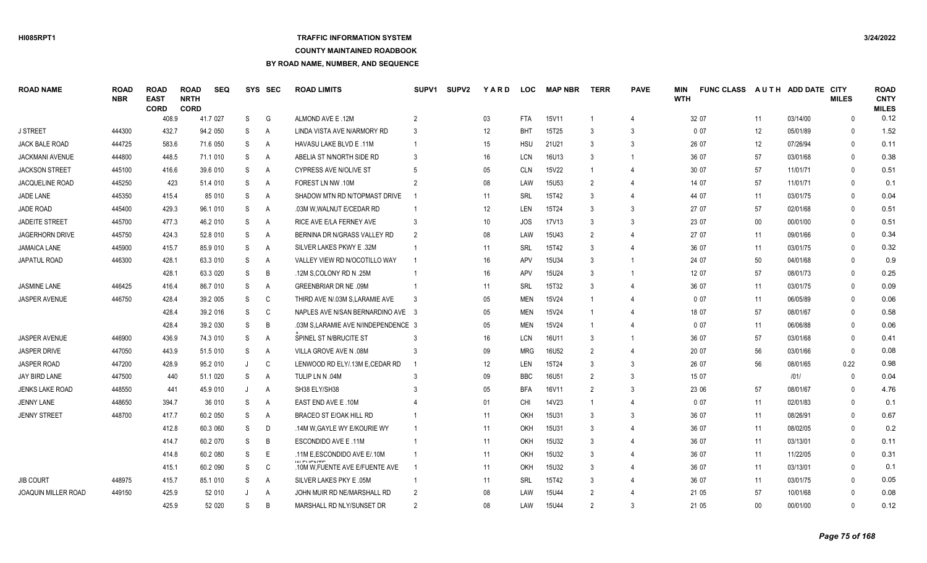## **TRAFFIC INFORMATION SYSTEM**

### **COUNTY MAINTAINED ROADBOOK**

| <b>ROAD NAME</b>       | <b>ROAD</b><br><b>NBR</b> | <b>ROAD</b><br><b>EAST</b><br><b>CORD</b> | <b>ROAD</b><br><b>NRTH</b><br><b>CORD</b> | <b>SEQ</b> | SYS          | SEC            | <b>ROAD LIMITS</b>                   | SUPV <sub>1</sub> | <b>SUPV2</b> | YARD | LOC        | <b>MAP NBR</b> | TERR           | <b>PAVE</b>    | MIN<br><b>WTH</b> | <b>FUNC CLASS</b> |        | AUTH ADD DATE CITY | <b>MILES</b> | <b>ROAD</b><br><b>CNTY</b><br><b>MILES</b> |
|------------------------|---------------------------|-------------------------------------------|-------------------------------------------|------------|--------------|----------------|--------------------------------------|-------------------|--------------|------|------------|----------------|----------------|----------------|-------------------|-------------------|--------|--------------------|--------------|--------------------------------------------|
|                        |                           | 408.9                                     |                                           | 41.7 027   | S            | G              | ALMOND AVE E .12M                    | 2                 |              | 03   | <b>FTA</b> | 15V11          |                | $\overline{4}$ |                   | 32 07             | 11     | 03/14/00           | $\Omega$     | 0.12                                       |
| <b>J STREET</b>        | 444300                    | 432.7                                     |                                           | 94.2 050   | S            | A              | LINDA VISTA AVE N/ARMORY RD          |                   |              | 12   | <b>BHT</b> | 15T25          | 3              | 3              |                   | 007               | 12     | 05/01/89           | $\Omega$     | 1.52                                       |
| <b>JACK BALE ROAD</b>  | 444725                    | 583.6                                     |                                           | 71.6 050   | S            | A              | HAVASU LAKE BLVD E .11M              |                   |              | 15   | <b>HSU</b> | 21U21          | $\mathbf{3}$   | 3              |                   | 26 07             | 12     | 07/26/94           | $\Omega$     | 0.11                                       |
| <b>JACKMANI AVENUE</b> | 444800                    | 448.5                                     |                                           | 71.1 010   | S            | A              | ABELIA ST N/NORTH SIDE RD            |                   |              | 16   | <b>LCN</b> | 16U13          |                | $\overline{1}$ |                   | 36 07             | 57     | 03/01/68           | $\Omega$     | 0.38                                       |
| <b>JACKSON STREET</b>  | 445100                    | 416.6                                     |                                           | 39.6 010   | S            | A              | <b>CYPRESS AVE N/OLIVE ST</b>        |                   |              | 05   | <b>CLN</b> | 15V22          |                | $\overline{4}$ |                   | 30 07             | 57     | 11/01/71           | $\Omega$     | 0.51                                       |
| <b>JACQUELINE ROAD</b> | 445250                    | 423                                       |                                           | 51.4 010   | S            | A              | FOREST LN NW .10M                    | 2                 |              | 08   | LAW        | 15U53          | 2              |                |                   | 14 07             | 57     | 11/01/71           | $\Omega$     | 0.1                                        |
| JADE LANE              | 445350                    | 415.4                                     |                                           | 85 010     | S            | A              | SHADOW MTN RD N/TOPMAST DRIVE        |                   |              | 11   | SRL        | 15T42          |                |                |                   | 44 07             | 11     | 03/01/75           | $\Omega$     | 0.04                                       |
| <b>JADE ROAD</b>       | 445400                    | 429.3                                     |                                           | 96.1 010   | S            | A              | .03M W, WALNUT E/CEDAR RD            |                   |              | 12   | <b>LEN</b> | 15T24          | 3              | 3              |                   | 27 07             | 57     | 02/01/68           | $\Omega$     | 0.51                                       |
| <b>JADEITE STREET</b>  | 445700                    | 477.3                                     |                                           | 46.2 010   | S            | A              | RICE AVE E/LA FERNEY AVE             |                   |              | 10   | <b>JOS</b> | 17V13          | 3              | 3              |                   | 23 07             | $00\,$ | 00/01/00           | $\Omega$     | 0.51                                       |
| <b>JAGERHORN DRIVE</b> | 445750                    | 424.3                                     |                                           | 52.8 010   | S            | A              | BERNINA DR N/GRASS VALLEY RD         | 2                 |              | 08   | LAW        | 15U43          | $\mathcal{P}$  |                |                   | 27 07             | 11     | 09/01/66           | $\Omega$     | 0.34                                       |
| <b>JAMAICA LANE</b>    | 445900                    | 415.7                                     |                                           | 85.9 010   | S            | A              | SILVER LAKES PKWY E .32M             |                   |              | 11   | SRL        | 15T42          |                | 4              |                   | 36 07             | 11     | 03/01/75           | $\Omega$     | 0.32                                       |
| JAPATUL ROAD           | 446300                    | 428.1                                     |                                           | 63.3 010   | S            | A              | VALLEY VIEW RD N/OCOTILLO WAY        |                   |              | 16   | APV        | 15U34          | 3              | $\overline{1}$ |                   | 24 07             | 50     | 04/01/68           | $\Omega$     | 0.9                                        |
|                        |                           | 428.1                                     |                                           | 63.3 020   | S            | B              | 12M S.COLONY RD N .25M               |                   |              | 16   | <b>APV</b> | 15U24          | 3              |                |                   | 12 07             | 57     | 08/01/73           | $\Omega$     | 0.25                                       |
| <b>JASMINE LANE</b>    | 446425                    | 416.4                                     |                                           | 86.7 010   | S            | $\overline{A}$ | <b>GREENBRIAR DR NE .09M</b>         |                   |              | 11   | <b>SRL</b> | 15T32          |                |                |                   | 36 07             | 11     | 03/01/75           | $\Omega$     | 0.09                                       |
| JASPER AVENUE          | 446750                    | 428.4                                     |                                           | 39.2 005   | S            | C              | THIRD AVE N/.03M S,LARAMIE AVE       |                   |              | 05   | <b>MEN</b> | 15V24          |                |                |                   | 007               | 11     | 06/05/89           | $\Omega$     | 0.06                                       |
|                        |                           | 428.4                                     |                                           | 39.2 016   | S            | C              | NAPLES AVE N/SAN BERNARDINO AVE 3    |                   |              | 05   | <b>MEN</b> | 15V24          |                |                |                   | 18 07             | 57     | 08/01/67           | $\Omega$     | 0.58                                       |
|                        |                           | 428.4                                     |                                           | 39.2 030   | S            | B              | .03M S, LARAMIE AVE N/INDEPENDENCE 3 |                   |              | 05   | <b>MEN</b> | 15V24          |                |                |                   | 007               | 11     | 06/06/88           | $\mathbf{0}$ | 0.06                                       |
| <b>JASPER AVENUE</b>   | 446900                    | 436.9                                     |                                           | 74.3 010   | S            | A              | SPINEL ST N/BRUCITE ST               |                   |              | 16   | LCN        | 16U11          | 3              | $\overline{1}$ |                   | 36 07             | 57     | 03/01/68           | $\Omega$     | 0.41                                       |
| <b>JASPER DRIVE</b>    | 447050                    | 443.9                                     |                                           | 51.5 010   | S            | A              | VILLA GROVE AVE N .08M               |                   |              | 09   | <b>MRG</b> | 16U52          | $\overline{2}$ | $\overline{4}$ |                   | 20 07             | 56     | 03/01/66           | $\mathbf{0}$ | 0.08                                       |
| <b>JASPER ROAD</b>     | 447200                    | 428.9                                     |                                           | 95.2 010   | J            | C              | LENWOOD RD ELY/.13M E, CEDAR RD      |                   |              | 12   | LEN        | 15T24          | 3              | 3              |                   | 26 07             | 56     | 08/01/65           | 0.22         | 0.98                                       |
| JAY BIRD LANE          | 447500                    | 440                                       |                                           | 51.1 020   | S            | $\overline{A}$ | TULIP LN N .04M                      |                   |              | 09   | <b>BBC</b> | 16U51          | $\mathfrak{p}$ | 3              |                   | 15 07             |        | 1011               | $\Omega$     | 0.04                                       |
| JENKS LAKE ROAD        | 448550                    | 441                                       |                                           | 45.9 010   | J            | A              | SH38 ELY/SH38                        |                   |              | 05   | <b>BFA</b> | 16V11          | $\mathcal{P}$  | 3              |                   | 23 06             | 57     | 08/01/67           | $\Omega$     | 4.76                                       |
| <b>JENNY LANE</b>      | 448650                    | 394.7                                     |                                           | 36 010     | S            | A              | EAST END AVE E .10M                  |                   |              | 01   | <b>CHI</b> | 14V23          |                | $\overline{4}$ |                   | 007               | 11     | 02/01/83           | $\Omega$     | 0.1                                        |
| <b>JENNY STREET</b>    | 448700                    | 417.7                                     |                                           | 60.2 050   | S            | $\overline{A}$ | BRACEO ST E/OAK HILL RD              |                   |              | 11   | OKH        | 15U31          | 3              | 3              |                   | 36 07             | 11     | 08/26/91           | $\mathbf{0}$ | 0.67                                       |
|                        |                           | 412.8                                     |                                           | 60.3 060   | S            | D              | .14M W, GAYLE WY E/KOURIE WY         |                   |              | 11   | OKH        | <b>15U31</b>   |                | $\overline{4}$ |                   | 36 07             | 11     | 08/02/05           | $\mathbf{0}$ | 0.2                                        |
|                        |                           | 414.7                                     |                                           | 60.2 070   | S.           | B              | ESCONDIDO AVE E .11M                 |                   |              | 11   | <b>OKH</b> | 15U32          | 3              |                |                   | 36 07             | 11     | 03/13/01           | $\Omega$     | 0.11                                       |
|                        |                           | 414.8                                     |                                           | 60.2 080   | S            | F              | .11M E,ESCONDIDO AVE E/.10M          |                   |              | 11   | OKH        | 15U32          | $\mathcal{R}$  |                |                   | 36 07             | 11     | 11/22/05           | $\Omega$     | 0.31                                       |
|                        |                           | 415.1                                     |                                           | 60.2 090   | <sub>S</sub> | $\mathsf{C}$   | .10M W.FUENTE AVE E/FUENTE AVE       |                   |              | 11   | OKH        | 15U32          | $\mathcal{R}$  |                |                   | 36 07             | 11     | 03/13/01           | $\Omega$     | 0.1                                        |
| <b>JIB COURT</b>       | 448975                    | 415.7                                     |                                           | 85.1 010   | S            | A              | SILVER LAKES PKY E .05M              |                   |              | 11   | <b>SRL</b> | 15T42          | $\mathcal{R}$  |                |                   | 36 07             | 11     | 03/01/75           | $\Omega$     | 0.05                                       |
| JOAQUIN MILLER ROAD    | 449150                    | 425.9                                     |                                           | 52 010     |              | A              | JOHN MUIR RD NE/MARSHALL RD          |                   |              | 08   | LAW        | 15U44          |                |                |                   | 21 05             | 57     | 10/01/68           | $\Omega$     | 0.08                                       |
|                        |                           | 425.9                                     |                                           | 52 020     | <sub>S</sub> | <b>B</b>       | MARSHALL RD NLY/SUNSET DR            |                   |              | 08   | LAW        | <b>15U44</b>   | $\mathfrak{D}$ | $\mathcal{R}$  |                   | 21 05             | $00\,$ | 00/01/00           | $\Omega$     | 0.12                                       |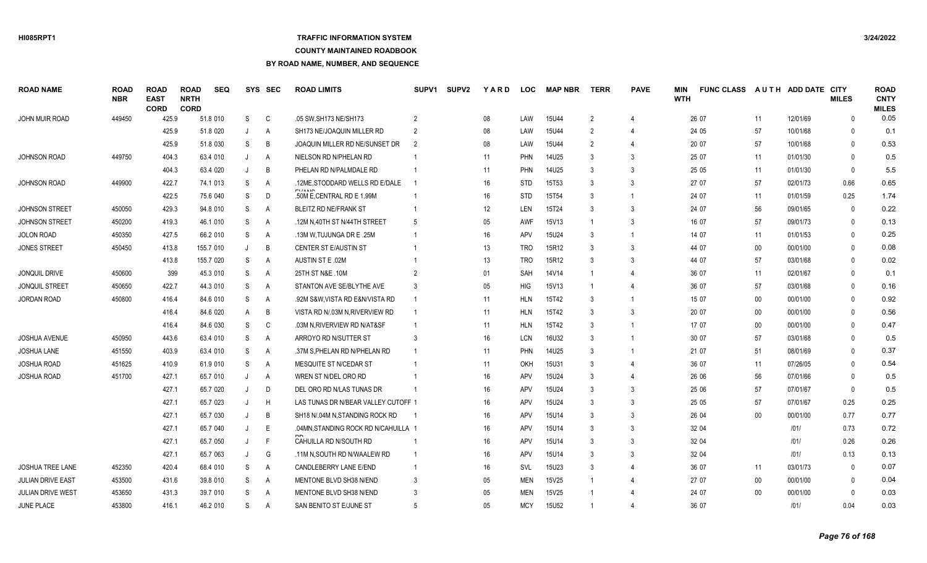## **TRAFFIC INFORMATION SYSTEM**

### **COUNTY MAINTAINED ROADBOOK**

| <b>ROAD NAME</b>         | <b>ROAD</b><br><b>NBR</b> | <b>ROAD</b><br><b>EAST</b><br><b>CORD</b> | <b>ROAD</b><br><b>NRTH</b><br><b>CORD</b> | <b>SEQ</b> |         | SYS SEC        | <b>ROAD LIMITS</b>                   | SUPV <sub>1</sub> | <b>SUPV2</b> | <b>YARD</b> | <b>LOC</b> | <b>MAP NBR</b> | <b>TERR</b>    | <b>PAVE</b>             | <b>MIN</b><br><b>WTH</b> | <b>FUNC CLASS</b> |        | AUTH ADD DATE CITY | <b>MILES</b> | <b>ROAD</b><br><b>CNTY</b><br><b>MILES</b> |
|--------------------------|---------------------------|-------------------------------------------|-------------------------------------------|------------|---------|----------------|--------------------------------------|-------------------|--------------|-------------|------------|----------------|----------------|-------------------------|--------------------------|-------------------|--------|--------------------|--------------|--------------------------------------------|
| JOHN MUIR ROAD           | 449450                    | 425.9                                     |                                           | 51.8 010   | S       | C              | .05 SW.SH173 NE/SH173                | $\overline{2}$    |              | 08          | LAW        | <b>15U44</b>   | 2              | $\overline{4}$          |                          | 26 07             | 11     | 12/01/69           | $\Omega$     | 0.05                                       |
|                          |                           | 425.9                                     |                                           | 51.8 020   | J       | A              | SH173 NE/JOAQUIN MILLER RD           | 2                 |              | 08          | LAW        | 15U44          | $\overline{2}$ | 4                       |                          | 24 05             | 57     | 10/01/68           | $\Omega$     | 0.1                                        |
|                          |                           | 425.9                                     |                                           | 51.8 030   | S       | B              | JOAQUIN MILLER RD NE/SUNSET DR       | 2                 |              | 08          | LAW        | 15U44          | $\mathcal{P}$  | $\overline{4}$          |                          | 20 07             | 57     | 10/01/68           | $\Omega$     | 0.53                                       |
| <b>JOHNSON ROAD</b>      | 449750                    | 404.3                                     |                                           | 63.4 010   | J       | A              | NIELSON RD N/PHELAN RD               |                   |              | 11          | <b>PHN</b> | 14U25          |                | 3                       |                          | 25 07             | 11     | 01/01/30           | $\Omega$     | 0.5                                        |
|                          |                           | 404.3                                     |                                           | 63.4 020   |         | B              | PHELAN RD N/PALMDALE RD              |                   |              | 11          | <b>PHN</b> | 14U25          | 3              | 3                       |                          | 25 05             | 11     | 01/01/30           | $\mathbf{0}$ | 5.5                                        |
| JOHNSON ROAD             | 449900                    | 422.7                                     |                                           | 74.1 013   | S       | A              | .12ME, STODDARD WELLS RD E/DALE      |                   |              | 16          | STD        | 15T53          | 3              | 3                       |                          | 27 07             | 57     | 02/01/73           | 0.66         | 0.65                                       |
|                          |                           | 422.5                                     |                                           | 75.6 040   | S       | D              | .50M E, CENTRAL RD E 1.99M           |                   |              | 16          | STD        | 15T54          | 3              | $\mathbf 1$             |                          | 24 07             | 11     | 01/01/59           | 0.25         | 1.74                                       |
| <b>JOHNSON STREET</b>    | 450050                    | 429.3                                     |                                           | 94.8 010   | S       | A              | <b>BLEITZ RD NE/FRANK ST</b>         |                   |              | 12          | LEN        | 15T24          | 3              | 3                       |                          | 24 07             | 56     | 09/01/65           | $\mathbf{0}$ | 0.22                                       |
| <b>JOHNSON STREET</b>    | 450200                    | 419.3                                     |                                           | 46.1 010   | S       | A              | .12M N, 40TH ST N/44TH STREET        | -5                |              | 05          | <b>AWF</b> | 15V13          |                | 3                       |                          | 16 07             | 57     | 09/01/73           | $\mathbf{0}$ | 0.13                                       |
| JOLON ROAD               | 450350                    | 427.5                                     |                                           | 66.2 010   | S       | A              | .13M W, TUJUNGA DR E .25M            |                   |              | 16          | APV        | 15U24          | 3              | $\overline{1}$          |                          | 14 07             | 11     | 01/01/53           | $\mathbf{0}$ | 0.25                                       |
| <b>JONES STREET</b>      | 450450                    | 413.8                                     |                                           | 155.7 010  |         | B              | CENTER ST E/AUSTIN ST                |                   |              | 13          | <b>TRO</b> | 15R12          |                | 3                       |                          | 44 07             | $00\,$ | 00/01/00           | $\mathbf{0}$ | 0.08                                       |
|                          |                           | 413.8                                     |                                           | 155.7 020  | S       | A              | AUSTIN ST E .02M                     |                   |              | 13          | <b>TRO</b> | 15R12          | 3              | 3                       |                          | 44 07             | 57     | 03/01/68           | $\mathbf{0}$ | 0.02                                       |
| JONQUIL DRIVE            | 450600                    | 399                                       |                                           | 45.3 010   | S       | A              | 25TH ST N&E .10M                     |                   |              | 01          | SAH        | 14V14          |                | $\overline{4}$          |                          | 36 07             | 11     | 02/01/67           | $\Omega$     | 0.1                                        |
| <b>JONQUIL STREET</b>    | 450650                    | 422.7                                     |                                           | 44.3 010   | S       | $\overline{A}$ | STANTON AVE SE/BLYTHE AVE            |                   |              | 05          | HIG        | 15V13          |                | 4                       |                          | 36 07             | 57     | 03/01/68           | $\Omega$     | 0.16                                       |
| JORDAN ROAD              | 450800                    | 416.4                                     |                                           | 84.6 010   | S       | A              | .92M S&W, VISTA RD E&N/VISTA RD      |                   |              | 11          | <b>HLN</b> | 15T42          | 3              | $\overline{1}$          |                          | 15 07             | $00\,$ | 00/01/00           | $\Omega$     | 0.92                                       |
|                          |                           | 416.4                                     |                                           | 84.6 020   | A       | B              | VISTA RD N/.03M N, RIVERVIEW RD      |                   |              | 11          | <b>HLN</b> | 15T42          | 3              | 3                       |                          | 20 07             | $00\,$ | 00/01/00           | $\Omega$     | 0.56                                       |
|                          |                           | 416.4                                     |                                           | 84.6 030   | S       | C              | .03M N.RIVERVIEW RD N/AT&SF          |                   |              | 11          | <b>HLN</b> | 15T42          | 3              | $\overline{\mathbf{1}}$ |                          | 17 07             | $00\,$ | 00/01/00           | $\mathbf{0}$ | 0.47                                       |
| JOSHUA AVENUE            | 450950                    | 443.6                                     |                                           | 63.4 010   | S       | $\overline{A}$ | ARROYO RD N/SUTTER ST                | 3                 |              | 16          | LCN        | 16U32          | 3              | $\overline{1}$          |                          | 30 07             | 57     | 03/01/68           | $\Omega$     | 0.5                                        |
| JOSHUA LANE              | 451550                    | 403.9                                     |                                           | 63.4 010   | S       | A              | .37M S, PHELAN RD N/PHELAN RD        |                   |              | 11          | PHN        | 14U25          | 3              | $\overline{1}$          |                          | 21 07             | 51     | 08/01/69           | $\mathbf{0}$ | 0.37                                       |
| <b>JOSHUA ROAD</b>       | 451625                    | 410.9                                     |                                           | 61.9 010   | S       | A              | MESQUITE ST N/CEDAR ST               |                   |              | 11          | OKH        | <b>15U31</b>   | 3              | $\overline{4}$          |                          | 36 07             | 11     | 07/26/05           | $\mathbf{0}$ | 0.54                                       |
| <b>JOSHUA ROAD</b>       | 451700                    | 427.1                                     |                                           | 65.7 010   |         | A              | WREN ST N/DEL ORO RD                 |                   |              | 16          | APV        | 15U24          | 3              | $\overline{4}$          |                          | 26 06             | 56     | 07/01/66           | $\mathbf{0}$ | 0.5                                        |
|                          |                           | 427.1                                     |                                           | 65.7 020   |         | D              | DEL ORO RD N/LAS TUNAS DR            |                   |              | 16          | <b>APV</b> | 15U24          |                | 3                       |                          | 25 06             | 57     | 07/01/67           | $\mathbf{0}$ | 0.5                                        |
|                          |                           | 427.1                                     |                                           | 65.7 023   |         | H              | LAS TUNAS DR N/BEAR VALLEY CUTOFF 1  |                   |              | 16          | <b>APV</b> | 15U24          | 3              | 3                       |                          | 25 05             | 57     | 07/01/67           | 0.25         | 0.25                                       |
|                          |                           | 427.1                                     |                                           | 65.7 030   |         | B              | SH18 N/.04M N, STANDING ROCK RD      |                   |              | 16          | <b>APV</b> | 15U14          | 3              | 3                       |                          | 26 04             | $00\,$ | 00/01/00           | 0.77         | 0.77                                       |
|                          |                           | 427.1                                     |                                           | 65.7 040   |         | Ε              | .04MN, STANDING ROCK RD N/CAHUILLA 1 |                   |              | 16          | APV        | 15U14          | 3              | 3                       |                          | 32 04             |        | 1011               | 0.73         | 0.72                                       |
|                          |                           | 427.1                                     |                                           | 65.7 050   |         | F              | CAHUILLA RD N/SOUTH RD               |                   |              | 16          | APV        | 15U14          | 3              | 3                       |                          | 32 04             |        | 1011               | 0.26         | 0.26                                       |
|                          |                           | 427.1                                     |                                           | 65.7 063   | $\cdot$ | G              | .11M N.SOUTH RD N/WAALEW RD          |                   |              | 16          | APV        | 15U14          | 3              | 3                       |                          | 32 04             |        | 1011               | 0.13         | 0.13                                       |
| <b>JOSHUA TREE LANE</b>  | 452350                    | 420.4                                     |                                           | 68.4 010   | S       | A              | CANDLEBERRY LANE E/END               |                   |              | 16          | <b>SVL</b> | 15U23          | 3              | 4                       |                          | 36 07             | 11     | 03/01/73           | $\Omega$     | 0.07                                       |
| <b>JULIAN DRIVE EAST</b> | 453500                    | 431.6                                     |                                           | 39.8 010   | S       | A              | MENTONE BLVD SH38 N/END              | 3                 |              | 05          | <b>MEN</b> | 15V25          |                | 4                       |                          | 27 07             | 00     | 00/01/00           | $\Omega$     | 0.04                                       |
| <b>JULIAN DRIVE WEST</b> | 453650                    | 431.3                                     |                                           | 39.7 010   | S       | A              | MENTONE BLVD SH38 N/END              |                   |              | 05          | <b>MEN</b> | 15V25          |                |                         |                          | 24 07             | $00\,$ | 00/01/00           | $\Omega$     | 0.03                                       |
| <b>JUNE PLACE</b>        | 453800                    | 416.1                                     |                                           | 46.2 010   | S.      | A              | SAN BENITO ST E/JUNE ST              |                   |              | $05\,$      | <b>MCY</b> | <b>15U52</b>   |                | $\overline{4}$          |                          | 36 07             |        | 1011               | 0.04         | 0.03                                       |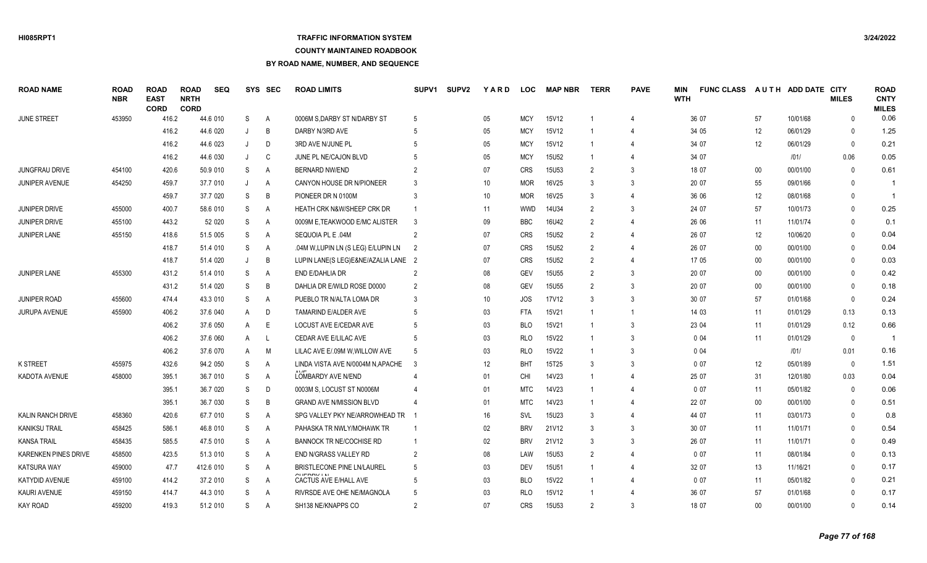# **TRAFFIC INFORMATION SYSTEM**

#### **COUNTY MAINTAINED ROADBOOK**

| <b>ROAD NAME</b>            | <b>ROAD</b><br><b>NBR</b> | <b>ROAD</b><br><b>EAST</b><br><b>CORD</b> | <b>ROAD</b><br><b>NRTH</b><br><b>CORD</b> | <b>SEQ</b> |         | SYS SEC        | <b>ROAD LIMITS</b>                         | SUPV <sub>1</sub> | <b>SUPV2</b> | <b>YARD</b>     | <b>LOC</b> | <b>MAP NBR</b>    | <b>TERR</b>    | <b>PAVE</b>    | <b>MIN</b><br><b>WTH</b> | <b>FUNC CLASS</b> |        | AUTH ADD DATE CITY | <b>MILES</b> | <b>ROAD</b><br><b>CNTY</b><br><b>MILES</b> |
|-----------------------------|---------------------------|-------------------------------------------|-------------------------------------------|------------|---------|----------------|--------------------------------------------|-------------------|--------------|-----------------|------------|-------------------|----------------|----------------|--------------------------|-------------------|--------|--------------------|--------------|--------------------------------------------|
| <b>JUNE STREET</b>          | 453950                    | 416.2                                     |                                           | 44.6 010   | S       | A              | 0006M S.DARBY ST N/DARBY ST                | -5                |              | 05              | <b>MCY</b> | 15V12             |                | $\overline{4}$ |                          | 36 07             | 57     | 10/01/68           | $\Omega$     | 0.06                                       |
|                             |                           | 416.2                                     |                                           | 44.6 020   |         | B              | DARBY N/3RD AVE                            |                   |              | 05              | <b>MCY</b> | 15V12             |                | 4              |                          | 34 05             | 12     | 06/01/29           | $\Omega$     | 1.25                                       |
|                             |                           | 416.2                                     |                                           | 44.6 023   |         | D              | 3RD AVE N/JUNE PL                          |                   |              | 05              | <b>MCY</b> | 15V12             |                | $\overline{4}$ |                          | 34 07             | 12     | 06/01/29           | $\mathbf{0}$ | 0.21                                       |
|                             |                           | 416.2                                     |                                           | 44.6 030   | $\cdot$ | C              | JUNE PL NE/CAJON BLVD                      |                   |              | 05              | <b>MCY</b> | <b>15U52</b>      |                | $\overline{4}$ |                          | 34 07             |        | 1011               | 0.06         | 0.05                                       |
| <b>JUNGFRAU DRIVE</b>       | 454100                    | 420.6                                     |                                           | 50.9 010   | S       | A              | <b>BERNARD NW/END</b>                      | $\mathcal{P}$     |              | 07              | <b>CRS</b> | 15U <sub>53</sub> | $\mathcal{P}$  | 3              |                          | 18 07             | $00\,$ | 00/01/00           | $\Omega$     | 0.61                                       |
| JUNIPER AVENUE              | 454250                    | 459.7                                     |                                           | 37.7 010   | J       | A              | CANYON HOUSE DR N/PIONEER                  |                   |              | 10 <sup>°</sup> | <b>MOR</b> | 16V25             | 3              | 3              |                          | 20 07             | 55     | 09/01/66           | $\Omega$     | -1                                         |
|                             |                           | 459.7                                     |                                           | 37.7 020   | S       | B              | PIONEER DR N 0100M                         |                   |              | 10 <sup>°</sup> | <b>MOR</b> | 16V25             | 3              | $\overline{4}$ |                          | 36 06             | 12     | 08/01/68           | $\Omega$     |                                            |
| <b>JUNIPER DRIVE</b>        | 455000                    | 400.7                                     |                                           | 58.6 010   | S       | A              | HEATH CRK N&W/SHEEP CRK DR                 |                   |              | 11              | <b>WWD</b> | 14U34             | $\mathcal{P}$  | 3              |                          | 24 07             | 57     | 10/01/73           | $\Omega$     | 0.25                                       |
| <b>JUNIPER DRIVE</b>        | 455100                    | 443.2                                     |                                           | 52 020     | S       | A              | 0009M E, TEAKWOOD E/MC ALISTER             | 3                 |              | 09              | <b>BBC</b> | 16U42             | $\overline{2}$ | $\overline{4}$ |                          | 26 06             | 11     | 11/01/74           | $\Omega$     | 0.1                                        |
| <b>JUNIPER LANE</b>         | 455150                    | 418.6                                     |                                           | 51.5 005   | S       | A              | SEQUOIA PL E .04M                          | $\overline{2}$    |              | 07              | <b>CRS</b> | 15U52             | $\mathcal{P}$  | $\overline{4}$ |                          | 26 07             | 12     | 10/06/20           | $\Omega$     | 0.04                                       |
|                             |                           | 418.7                                     |                                           | 51.4 010   | S       | A              | .04M W, LUPIN LN (S LEG) E/LUPIN LN        |                   |              | 07              | <b>CRS</b> | 15U52             | $\mathcal{P}$  | $\overline{4}$ |                          | 26 07             | $00\,$ | 00/01/00           | $\Omega$     | 0.04                                       |
|                             |                           | 418.7                                     |                                           | 51.4 020   |         | B              | LUPIN LANE(S LEG)E&NE/AZALIA LANE 2        |                   |              | 07              | <b>CRS</b> | 15U52             | $\mathcal{P}$  | $\overline{4}$ |                          | 17 05             | $00\,$ | 00/01/00           | $\mathbf{0}$ | 0.03                                       |
| <b>JUNIPER LANE</b>         | 455300                    | 431.2                                     |                                           | 51.4 010   | S       | A              | <b>END E/DAHLIA DR</b>                     |                   |              | 08              | <b>GEV</b> | <b>15U55</b>      | $\mathcal{P}$  | 3              |                          | 20 07             | $00\,$ | 00/01/00           | $\Omega$     | 0.42                                       |
|                             |                           | 431.2                                     |                                           | 51.4 020   | S       | B              | DAHLIA DR E/WILD ROSE D0000                | 2                 |              | 08              | <b>GEV</b> | <b>15U55</b>      | $\mathcal{P}$  | 3              |                          | 20 07             | $00\,$ | 00/01/00           | $\Omega$     | 0.18                                       |
| JUNIPER ROAD                | 455600                    | 474.4                                     |                                           | 43.3 010   | S       | $\overline{A}$ | PUEBLO TR N/ALTA LOMA DR                   | 3                 |              | 10              | JOS        | 17V12             | 3              | 3              |                          | 30 07             | 57     | 01/01/68           | $\mathbf{0}$ | 0.24                                       |
| JURUPA AVENUE               | 455900                    | 406.2                                     |                                           | 37.6 040   | A       | D              | TAMARIND E/ALDER AVE                       | -5                |              | 03              | <b>FTA</b> | 15V21             |                | $\overline{1}$ |                          | 14 03             | 11     | 01/01/29           | 0.13         | 0.13                                       |
|                             |                           | 406.2                                     |                                           | 37.6 050   | A       | E              | LOCUST AVE E/CEDAR AVE                     |                   |              | 03              | <b>BLO</b> | 15V21             | $\overline{1}$ | 3              |                          | 23 04             | 11     | 01/01/29           | 0.12         | 0.66                                       |
|                             |                           | 406.2                                     |                                           | 37.6 060   | A       | -L             | CEDAR AVE E/LILAC AVE                      |                   |              | 03              | <b>RLO</b> | <b>15V22</b>      |                | 3              |                          | 004               | 11     | 01/01/29           | $\mathbf 0$  | $\mathbf 1$                                |
|                             |                           | 406.2                                     |                                           | 37.6 070   | A       | M              | LILAC AVE E/.09M W, WILLOW AVE             | -5                |              | 03              | <b>RLO</b> | <b>15V22</b>      |                | 3              |                          | 004               |        | 1011               | 0.01         | 0.16                                       |
| <b>K STREET</b>             | 455975                    | 432.6                                     |                                           | 94.2 050   | S       | A              | LINDA VISTA AVE N/0004M N, APACHE          | -3                |              | 12              | <b>BHT</b> | 15T25             | 3              | 3              |                          | 007               | 12     | 05/01/89           | $\mathbf{0}$ | 1.51                                       |
| KADOTA AVENUE               | 458000                    | 395.1                                     |                                           | 36.7 010   | S       | A              | LOMBARDY AVE N/END                         |                   |              | 01              | <b>CHI</b> | 14V23             |                | $\overline{4}$ |                          | 25 07             | 31     | 12/01/80           | 0.03         | 0.04                                       |
|                             |                           | 395.1                                     |                                           | 36.7 020   | S       | D              | 0003M S, LOCUST ST N0006M                  |                   |              | 01              | <b>MTC</b> | 14V23             |                | $\overline{4}$ |                          | 007               | 11     | 05/01/82           | $\mathbf{0}$ | 0.06                                       |
|                             |                           | 395.1                                     |                                           | 36.7 030   | S       | B              | <b>GRAND AVE N/MISSION BLVD</b>            |                   |              | 01              | <b>MTC</b> | 14V23             |                | $\overline{4}$ |                          | 22 07             | $00\,$ | 00/01/00           | $\mathbf{0}$ | 0.51                                       |
| KALIN RANCH DRIVE           | 458360                    | 420.6                                     |                                           | 67.7 010   | S       | $\overline{A}$ | SPG VALLEY PKY NE/ARROWHEAD TR             |                   |              | 16              | SVL        | 15U23             | 3              | $\overline{4}$ |                          | 44 07             | 11     | 03/01/73           | $\Omega$     | 0.8                                        |
| <b>KANIKSU TRAIL</b>        | 458425                    | 586.1                                     |                                           | 46.8 010   | S       | $\overline{A}$ | PAHASKA TR NWLY/MOHAWK TR                  |                   |              | 02              | <b>BRV</b> | 21V12             | $\mathcal{R}$  | $\mathbf{3}$   |                          | 30 07             | 11     | 11/01/71           | $\Omega$     | 0.54                                       |
| <b>KANSA TRAIL</b>          | 458435                    | 585.5                                     |                                           | 47.5 010   | S       | A              | <b>BANNOCK TR NE/COCHISE RD</b>            | -1                |              | 02              | <b>BRV</b> | 21V12             | 3              | 3              |                          | 26 07             | 11     | 11/01/71           | $\Omega$     | 0.49                                       |
| <b>KARENKEN PINES DRIVE</b> | 458500                    | 423.5                                     |                                           | 51.3 010   | S       | A              | END N/GRASS VALLEY RD                      | 2                 |              | 08              | LAW        | <b>15U53</b>      | $\mathcal{P}$  | $\overline{4}$ |                          | 007               | 11     | 08/01/84           | $\Omega$     | 0.13                                       |
| <b>KATSURA WAY</b>          | 459000                    | 47.7                                      |                                           | 412.6 010  | S       | A              | <b>BRISTLECONE PINE LN/LAUREL</b>          | -5                |              | 03              | <b>DEV</b> | 15U51             |                | $\overline{4}$ |                          | 32 07             | 13     | 11/16/21           | $\Omega$     | 0.17                                       |
| KATYDID AVENUE              | 459100                    | 414.2                                     |                                           | 37.2 010   | S       | A              | <b>OUTDOM LAI</b><br>CACTUS AVE E/HALL AVE |                   |              | 03              | <b>BLO</b> | <b>15V22</b>      |                | $\overline{4}$ |                          | 007               | 11     | 05/01/82           | $\Omega$     | 0.21                                       |
| KAURI AVENUE                | 459150                    | 414.7                                     |                                           | 44.3 010   | S       | A              | RIVRSDE AVE OHE NE/MAGNOLA                 |                   |              | 03              | <b>RLO</b> | 15V12             |                |                |                          | 36 07             | 57     | 01/01/68           | $\Omega$     | 0.17                                       |
| <b>KAY ROAD</b>             | 459200                    | 419.3                                     |                                           | 51.2 010   | S.      | A              | SH138 NE/KNAPPS CO                         |                   |              | 07              | <b>CRS</b> | <b>15U53</b>      | $\mathcal{P}$  | $\mathcal{R}$  |                          | 18 07             | $00\,$ | 00/01/00           | $\Omega$     | 0.14                                       |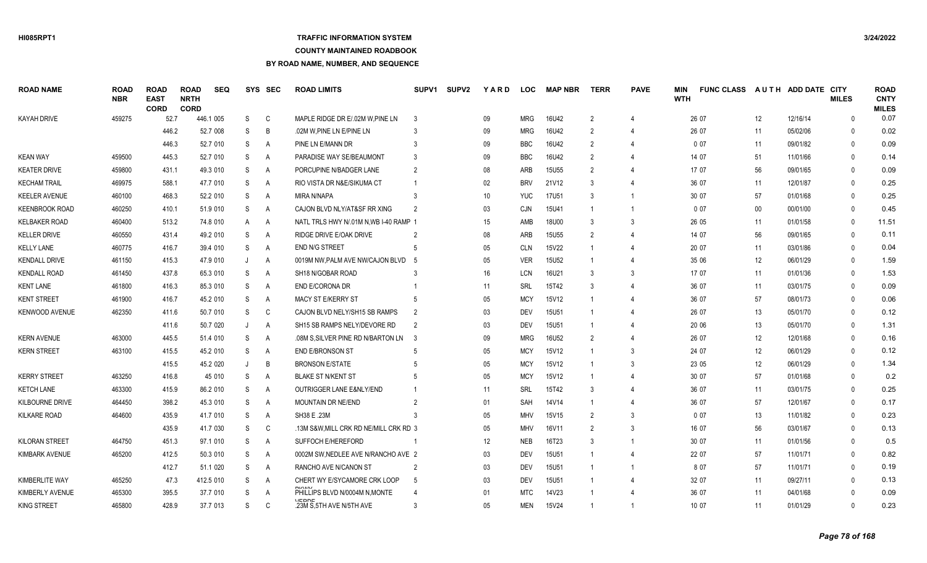## **TRAFFIC INFORMATION SYSTEM**

#### **COUNTY MAINTAINED ROADBOOK**

| <b>ROAD NAME</b>      | ROAD<br><b>NBR</b> | <b>ROAD</b><br><b>EAST</b><br><b>CORD</b> | <b>ROAD</b><br><b>NRTH</b><br><b>CORD</b> | <b>SEQ</b> |         | SYS SEC        | <b>ROAD LIMITS</b>                     | SUPV <sub>1</sub> | <b>SUPV2</b> | <b>YARD</b>     | <b>LOC</b> | <b>MAP NBR</b>    | <b>TERR</b>   | <b>PAVE</b>             | <b>MIN</b><br><b>WTH</b> | <b>FUNC CLASS</b> |        | AUTH ADD DATE CITY | <b>MILES</b> | <b>ROAD</b><br><b>CNTY</b><br><b>MILES</b> |
|-----------------------|--------------------|-------------------------------------------|-------------------------------------------|------------|---------|----------------|----------------------------------------|-------------------|--------------|-----------------|------------|-------------------|---------------|-------------------------|--------------------------|-------------------|--------|--------------------|--------------|--------------------------------------------|
| KAYAH DRIVE           | 459275             | 52.7                                      |                                           | 446.1 005  | S       | C              | MAPLE RIDGE DR E/.02M W.PINE LN        | 3                 |              | 09              | <b>MRG</b> | 16U42             | $\mathcal{P}$ | 4                       |                          | 26 07             | 12     | 12/16/14           | $\Omega$     | 0.07                                       |
|                       |                    | 446.2                                     |                                           | 52.7 008   | S       | B              | .02M W.PINE LN E/PINE LN               |                   |              | 09              | <b>MRG</b> | 16U42             | $\mathcal{P}$ | 4                       |                          | 26 07             | 11     | 05/02/06           | $\Omega$     | 0.02                                       |
|                       |                    | 446.3                                     |                                           | 52.7 010   | S       | A              | PINE LN E/MANN DR                      |                   |              | 09              | <b>BBC</b> | 16U42             | $\mathcal{P}$ | $\overline{4}$          |                          | 007               | 11     | 09/01/82           | $\Omega$     | 0.09                                       |
| <b>KEAN WAY</b>       | 459500             | 445.3                                     |                                           | 52.7 010   | S       | Α              | PARADISE WAY SE/BEAUMONT               | 3                 |              | 09              | <b>BBC</b> | 16U42             | $\mathcal{P}$ | 4                       |                          | 14 07             | 51     | 11/01/66           | $\Omega$     | 0.14                                       |
| <b>KEATER DRIVE</b>   | 459800             | 431.1                                     |                                           | 49.3 010   | S       | Α              | PORCUPINE N/BADGER LANE                | $\overline{2}$    |              | 08              | ARB        | <b>15U55</b>      | $\mathcal{P}$ | 4                       |                          | 17 07             | 56     | 09/01/65           | $\Omega$     | 0.09                                       |
| <b>KECHAM TRAIL</b>   | 469975             | 588.1                                     |                                           | 47.7 010   | S       | Α              | RIO VISTA DR N&E/SIKUMA CT             |                   |              | 02              | <b>BRV</b> | 21V12             | 3             |                         |                          | 36 07             | 11     | 12/01/87           | $\Omega$     | 0.25                                       |
| <b>KEELER AVENUE</b>  | 460100             | 468.3                                     |                                           | 52.2 010   | S       | A              | <b>MIRA N/NAPA</b>                     | 3                 |              | 10 <sup>°</sup> | <b>YUC</b> | <b>17U51</b>      | 3             |                         |                          | 30 07             | 57     | 01/01/68           | $\Omega$     | 0.25                                       |
| <b>KEENBROOK ROAD</b> | 460250             | 410.1                                     |                                           | 51.9 010   | S       | Α              | CAJON BLVD NLY/AT&SF RR XING           | $\mathcal{P}$     |              | 03              | <b>CJN</b> | 15U41             |               | $\overline{1}$          |                          | 007               | $00\,$ | 00/01/00           | $\Omega$     | 0.45                                       |
| <b>KELBAKER ROAD</b>  | 460400             | 513.2                                     |                                           | 74.8 010   | A       | A              | NATL TRLS HWY N/.01M N, WB I-40 RAMP 1 |                   |              | 15              | AMB        | 18U00             | 3             | 3                       |                          | 26 05             | 11     | 01/01/58           | $\Omega$     | 11.51                                      |
| <b>KELLER DRIVE</b>   | 460550             | 431.4                                     |                                           | 49.2 010   | S       | A              | RIDGE DRIVE E/OAK DRIVE                |                   |              | 08              | ARB        | 15U55             | $\mathcal{P}$ | $\overline{4}$          |                          | 14 07             | 56     | 09/01/65           | $\Omega$     | 0.11                                       |
| <b>KELLY LANE</b>     | 460775             | 416.7                                     |                                           | 39.4 010   | S       | A              | <b>END N/G STREET</b>                  | .5                |              | 05              | <b>CLN</b> | 15V22             |               | $\overline{4}$          |                          | 20 07             | 11     | 03/01/86           | $\Omega$     | 0.04                                       |
| KENDALL DRIVE         | 461150             | 415.3                                     |                                           | 47.9 010   | J       | A              | 0019M NW.PALM AVE NW/CAJON BLVD 5      |                   |              | 05              | <b>VER</b> | 15U <sub>52</sub> |               | $\overline{4}$          |                          | 35 06             | 12     | 06/01/29           | $\Omega$     | 1.59                                       |
| <b>KENDALL ROAD</b>   | 461450             | 437.8                                     |                                           | 65.3 010   | S       | A              | SH18 N/GOBAR ROAD                      |                   |              | 16              | LCN        | 16U21             | 3             | 3                       |                          | 17 07             | 11     | 01/01/36           | $\Omega$     | 1.53                                       |
| <b>KENT LANE</b>      | 461800             | 416.3                                     |                                           | 85.3 010   | S       | Α              | END E/CORONA DR                        |                   |              | 11              | SRL        | 15T42             | 3             |                         |                          | 36 07             | 11     | 03/01/75           | $\Omega$     | 0.09                                       |
| <b>KENT STREET</b>    | 461900             | 416.7                                     |                                           | 45.2 010   | S       | Α              | <b>MACY ST E/KERRY ST</b>              |                   |              | 05              | <b>MCY</b> | 15V12             |               |                         |                          | 36 07             | 57     | 08/01/73           | $\Omega$     | 0.06                                       |
| KENWOOD AVENUE        | 462350             | 411.6                                     |                                           | 50.7 010   | S       | C              | CAJON BLVD NELY/SH15 SB RAMPS          | $\mathfrak{p}$    |              | 03              | <b>DEV</b> | <b>15U51</b>      |               | $\Delta$                |                          | 26 07             | 13     | 05/01/70           | $\Omega$     | 0.12                                       |
|                       |                    | 411.6                                     |                                           | 50.7 020   | J       | A              | SH15 SB RAMPS NELY/DEVORE RD           | 2                 |              | 03              | <b>DEV</b> | <b>15U51</b>      | -1            | $\overline{4}$          |                          | 20 06             | 13     | 05/01/70           | $\Omega$     | 1.31                                       |
| <b>KERN AVENUE</b>    | 463000             | 445.5                                     |                                           | 51.4 010   | S       | A              | .08M S.SILVER PINE RD N/BARTON LN 3    |                   |              | 09              | <b>MRG</b> | 16U52             | $\mathcal{P}$ | $\overline{4}$          |                          | 26 07             | 12     | 12/01/68           | $\Omega$     | 0.16                                       |
| <b>KERN STREET</b>    | 463100             | 415.5                                     |                                           | 45.2 010   | S       | $\overline{A}$ | <b>END E/BRONSON ST</b>                |                   |              | 05              | <b>MCY</b> | 15V12             |               | 3                       |                          | 24 07             | 12     | 06/01/29           | $\Omega$     | 0.12                                       |
|                       |                    | 415.5                                     |                                           | 45.2 020   | $\cdot$ | B              | <b>BRONSON E/STATE</b>                 |                   |              | 05              | <b>MCY</b> | 15V12             | -1            | 3                       |                          | 23 05             | 12     | 06/01/29           | $\Omega$     | 1.34                                       |
| <b>KERRY STREET</b>   | 463250             | 416.8                                     |                                           | 45 010     | S       | A              | <b>BLAKE ST N/KENT ST</b>              |                   |              | 05              | <b>MCY</b> | 15V12             |               | $\overline{4}$          |                          | 30 07             | 57     | 01/01/68           | $\Omega$     | 0.2                                        |
| <b>KETCH LANE</b>     | 463300             | 415.9                                     |                                           | 86.2 010   | S       | Α              | <b>OUTRIGGER LANE E&amp;NLY/END</b>    |                   |              | 11              | SRL        | 15T42             | 3             |                         |                          | 36 07             | 11     | 03/01/75           | $\Omega$     | 0.25                                       |
| KILBOURNE DRIVE       | 464450             | 398.2                                     |                                           | 45.3 010   | S       | A              | <b>MOUNTAIN DR NE/END</b>              |                   |              | 01              | <b>SAH</b> | 14V14             |               | $\Delta$                |                          | 36 07             | 57     | 12/01/67           | $\Omega$     | 0.17                                       |
| KILKARE ROAD          | 464600             | 435.9                                     |                                           | 41.7 010   | S       | A              | SH38 E .23M                            |                   |              | 05              | <b>MHV</b> | 15V15             | $\mathcal{P}$ | 3                       |                          | 007               | 13     | 11/01/82           | $\Omega$     | 0.23                                       |
|                       |                    | 435.9                                     |                                           | 41.7 030   | S       | C              | .13M S&W.MILL CRK RD NE/MILL CRK RD 3  |                   |              | 05              | <b>MHV</b> | 16V11             | $\mathcal{P}$ | 3                       |                          | 16 07             | 56     | 03/01/67           | $\Omega$     | 0.13                                       |
| KILORAN STREET        | 464750             | 451.3                                     |                                           | 97.1 010   | S       | A              | SUFFOCH E/HEREFORD                     |                   |              | 12              | <b>NEB</b> | 16T23             | 3             | $\overline{\mathbf{1}}$ |                          | 30 07             | 11     | 01/01/56           | $\Omega$     | 0.5                                        |
| <b>KIMBARK AVENUE</b> | 465200             | 412.5                                     |                                           | 50.3 010   | S       | $\mathsf{A}$   | 0002M SW.NEDLEE AVE N/RANCHO AVE 2     |                   |              | 03              | <b>DEV</b> | <b>15U51</b>      |               | $\overline{4}$          |                          | 22 07             | 57     | 11/01/71           | $\Omega$     | 0.82                                       |
|                       |                    | 412.7                                     |                                           | 51.1 020   | S       | $\mathsf{A}$   | RANCHO AVE N/CANON ST                  | $\mathfrak{D}$    |              | 03              | <b>DEV</b> | 15U51             |               | $\overline{\mathbf{1}}$ |                          | 8 0 7             | 57     | 11/01/71           | $\Omega$     | 0.19                                       |
| <b>KIMBERLITE WAY</b> | 465250             | 47.3                                      |                                           | 412.5 010  | S       | A              | CHERT WY E/SYCAMORE CRK LOOP           | -5                |              | 03              | DEV        | <b>15U51</b>      |               | 4                       |                          | 32 07             | 11     | 09/27/11           | $\Omega$     | 0.13                                       |
| KIMBERLY AVENUE       | 465300             | 395.5                                     |                                           | 37.7 010   | S       | A              | PHILLIPS BLVD N/0004M N.MONTE          |                   |              | 01              | <b>MTC</b> | 14V23             |               |                         |                          | 36 07             | 11     | 04/01/68           | $\Omega$     | 0.09                                       |
| <b>KING STREET</b>    | 465800             | 428.9                                     |                                           | 37.7 013   | S.      | C              | 1.0000<br>.23M S.5TH AVE N/5TH AVE     |                   |              | $05\,$          | <b>MEN</b> | 15V24             |               | -1                      |                          | 10 07             | 11     | 01/01/29           | $\Omega$     | 0.23                                       |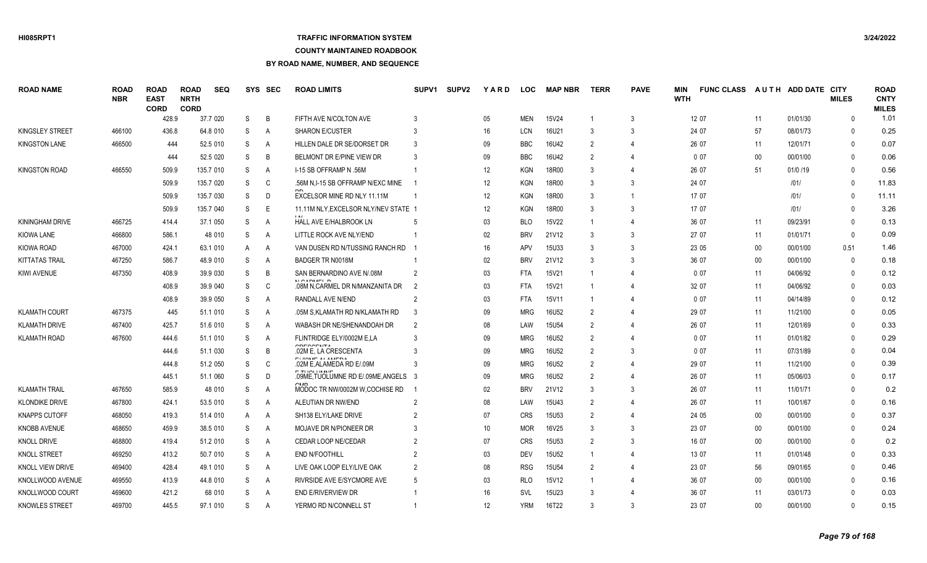## **TRAFFIC INFORMATION SYSTEM**

### **COUNTY MAINTAINED ROADBOOK**

| <b>ROAD NAME</b>        | <b>ROAD</b><br><b>NBR</b> | <b>ROAD</b><br><b>EAST</b><br><b>CORD</b> | <b>ROAD</b><br><b>NRTH</b><br><b>CORD</b> | <b>SEQ</b> | SYS | <b>SEC</b>     | <b>ROAD LIMITS</b>                                              | SUPV <sub>1</sub> | <b>SUPV2</b> | YARD | <b>LOC</b> | <b>MAP NBR</b> | TERR           | <b>PAVE</b>    | MIN<br><b>WTH</b> | <b>FUNC CLASS</b> |        | AUTH ADD DATE CITY | <b>MILES</b> | <b>ROAD</b><br><b>CNTY</b><br><b>MILES</b> |
|-------------------------|---------------------------|-------------------------------------------|-------------------------------------------|------------|-----|----------------|-----------------------------------------------------------------|-------------------|--------------|------|------------|----------------|----------------|----------------|-------------------|-------------------|--------|--------------------|--------------|--------------------------------------------|
|                         |                           | 428.9                                     |                                           | 37.7 020   | S   | B              | FIFTH AVE N/COLTON AVE                                          | 3                 |              | 05   | <b>MEN</b> | 15V24          |                | 3              |                   | 12 07             | 11     | 01/01/30           | $\mathbf{0}$ | 1.01                                       |
| KINGSLEY STREET         | 466100                    | 436.8                                     |                                           | 64.8 010   | S   | A              | <b>SHARON E/CUSTER</b>                                          |                   |              | 16   | <b>LCN</b> | 16U21          | -3             | 3              |                   | 24 07             | 57     | 08/01/73           | $\Omega$     | 0.25                                       |
| <b>KINGSTON LANE</b>    | 466500                    | 444                                       |                                           | 52.5 010   | S   | A              | HILLEN DALE DR SE/DORSET DR                                     |                   |              | 09   | <b>BBC</b> | 16U42          | $\overline{2}$ |                |                   | 26 07             | 11     | 12/01/71           | $\Omega$     | 0.07                                       |
|                         |                           | 444                                       |                                           | 52.5 020   | S   | B              | BELMONT DR E/PINE VIEW DR                                       |                   |              | 09   | <b>BBC</b> | 16U42          |                | $\overline{4}$ |                   | 007               | $00\,$ | 00/01/00           | $\Omega$     | 0.06                                       |
| <b>KINGSTON ROAD</b>    | 466550                    | 509.9                                     |                                           | 135.7 010  | S   | A              | I-15 SB OFFRAMP N .56M                                          |                   |              | 12   | <b>KGN</b> | 18R00          | 3              | 4              |                   | 26 07             | 51     | 01/0 /19           | $\Omega$     | 0.56                                       |
|                         |                           | 509.9                                     |                                           | 135.7 020  | S   | C              | 56M N.I-15 SB OFFRAMP N/EXC MINE                                |                   |              | 12   | <b>KGN</b> | 18R00          | 3              | 3              |                   | 24 07             |        | 1011               | $\Omega$     | 11.83                                      |
|                         |                           | 509.9                                     |                                           | 135.7 030  | S.  | D              | EXCELSOR MINE RD NLY 11.11M                                     |                   |              | 12   | <b>KGN</b> | 18R00          | $\mathbf{3}$   |                |                   | 17 07             |        | 1011               | $\Omega$     | 11.11                                      |
|                         |                           | 509.9                                     |                                           | 135.7 040  | S   |                | 11.11M NLY, EXCELSOR NLY/NEV STATE                              |                   |              | 12   | <b>KGN</b> | 18R00          |                | 3              |                   | 17 07             |        | 1011               | $\Omega$     | 3.26                                       |
| KININGHAM DRIVE         | 466725                    | 414.4                                     |                                           | 37.1 050   | S   | A              | HALL AVE E/HALBROOK LN                                          |                   |              | 03   | <b>BLO</b> | 15V22          |                |                |                   | 36 07             | 11     | 09/23/91           | $\Omega$     | 0.13                                       |
| <b>KIOWA LANE</b>       | 466800                    | 586.1                                     |                                           | 48 010     | S   | A              | LITTLE ROCK AVE NLY/END                                         |                   |              | 02   | <b>BRV</b> | 21V12          |                | 3              |                   | 27 07             | 11     | 01/01/71           | $\mathbf{0}$ | 0.09                                       |
| KIOWA ROAD              | 467000                    | 424.1                                     |                                           | 63.1 010   | A   | A              | VAN DUSEN RD N/TUSSING RANCH RD                                 |                   |              | 16   | APV        | 15U33          |                | 3              |                   | 23 05             | $00\,$ | 00/01/00           | 0.51         | 1.46                                       |
| <b>KITTATAS TRAIL</b>   | 467250                    | 586.7                                     |                                           | 48.9 010   | S   | $\overline{A}$ | BADGER TR N0018M                                                |                   |              | 02   | <b>BRV</b> | 21V12          | 3              | 3              |                   | 36 07             | $00\,$ | 00/01/00           | $\mathbf{0}$ | 0.18                                       |
| <b>KIWI AVENUE</b>      | 467350                    | 408.9                                     |                                           | 39.9 030   | S   | B              | SAN BERNARDINO AVE N/.08M                                       |                   |              | 03   | <b>FTA</b> | 15V21          |                |                |                   | 007               | 11     | 04/06/92           | $\Omega$     | 0.12                                       |
|                         |                           | 408.9                                     |                                           | 39.9 040   | S   | $\mathsf{C}$   | .08M N.CARMEL DR N/MANZANITA DR                                 | $\overline{2}$    |              | 03   | <b>FTA</b> | 15V21          |                |                |                   | 32 07             | 11     | 04/06/92           | $\Omega$     | 0.03                                       |
|                         |                           | 408.9                                     |                                           | 39.9 050   | S   | A              | RANDALL AVE N/END                                               |                   |              | 03   | <b>FTA</b> | 15V11          |                |                |                   | 007               | 11     | 04/14/89           | $\Omega$     | 0.12                                       |
| <b>KLAMATH COURT</b>    | 467375                    | 445                                       |                                           | 51.1 010   | S   | $\overline{A}$ | .05M S, KLAMATH RD N/KLAMATH RD                                 | -3                |              | 09   | <b>MRG</b> | 16U52          | $\overline{2}$ |                |                   | 29 07             | 11     | 11/21/00           | $\Omega$     | 0.05                                       |
| <b>KLAMATH DRIVE</b>    | 467400                    | 425.7                                     |                                           | 51.6 010   | S   | $\overline{A}$ | WABASH DR NE/SHENANDOAH DR                                      | $\overline{2}$    |              | 08   | LAW        | 15U54          | $\overline{2}$ | $\overline{4}$ |                   | 26 07             | 11     | 12/01/69           | $\mathbf{0}$ | 0.33                                       |
| <b>KLAMATH ROAD</b>     | 467600                    | 444.6                                     |                                           | 51.1 010   | S   | $\overline{A}$ | FLINTRIDGE ELY/0002M E.LA                                       |                   |              | 09   | <b>MRG</b> | 16U52          | $\overline{2}$ |                |                   | 007               | 11     | 01/01/82           | $\Omega$     | 0.29                                       |
|                         |                           | 444.6                                     |                                           | 51.1 030   | S   | B              | <b>ODEOOFNITA</b><br>.02M E, LA CRESCENTA                       |                   |              | 09   | <b>MRG</b> | 16U52          | $\overline{2}$ | 3              |                   | 007               | 11     | 07/31/89           | $\mathbf{0}$ | 0.04                                       |
|                         |                           | 444.8                                     |                                           | 51.2 050   | S   | C              | ELOOME ALAMEDA<br>.02M E,ALAMEDA RD E/.09M                      |                   |              | 09   | <b>MRG</b> | 16U52          | $\overline{2}$ |                |                   | 29 07             | 11     | 11/21/00           | $\mathbf{0}$ | 0.39                                       |
|                         |                           | 445.1                                     |                                           | 51.1 060   | S   | D              | $F$ $T$ $(0,1)$ $(0,0)$<br>.09ME, TUOLUMNE RD E/.09ME, ANGELS 3 |                   |              | 09   | <b>MRG</b> | 16U52          | $\overline{2}$ |                |                   | 26 07             | 11     | 05/06/03           | $\Omega$     | 0.17                                       |
| <b>KLAMATH TRAIL</b>    | 467650                    | 585.9                                     |                                           | 48 010     | S   | A              | $\sim$<br>MODOC TR NW/0002M W,COCHISE RD                        |                   |              | 02   | <b>BRV</b> | 21V12          |                | 3              |                   | 26 07             | 11     | 11/01/71           | $\Omega$     | 0.2                                        |
| <b>KLONDIKE DRIVE</b>   | 467800                    | 424.1                                     |                                           | 53.5 010   | S   | A              | ALEUTIAN DR NW/END                                              |                   |              | 08   | LAW        | 15U43          | $\overline{2}$ | $\Delta$       |                   | 26 07             | 11     | 10/01/67           | $\Omega$     | 0.16                                       |
| <b>KNAPPS CUTOFF</b>    | 468050                    | 419.3                                     |                                           | 51.4 010   | A   | A              | SH138 ELY/LAKE DRIVE                                            | $\mathfrak{p}$    |              | 07   | <b>CRS</b> | <b>15U53</b>   | $\mathcal{P}$  | $\overline{4}$ |                   | 24 05             | $00\,$ | 00/01/00           | $\Omega$     | 0.37                                       |
| <b>KNOBB AVENUE</b>     | 468650                    | 459.9                                     |                                           | 38.5 010   | S   | A              | MOJAVE DR N/PIONEER DR                                          |                   |              | 10   | <b>MOR</b> | 16V25          | $\mathbf{3}$   | 3              |                   | 23 07             | $00\,$ | 00/01/00           | $\Omega$     | 0.24                                       |
| <b>KNOLL DRIVE</b>      | 468800                    | 419.4                                     |                                           | 51.2 010   | S   | A              | CEDAR LOOP NE/CEDAR                                             | 2                 |              | 07   | <b>CRS</b> | <b>15U53</b>   | $\mathcal{P}$  | 3              |                   | 16 07             | $00\,$ | 00/01/00           | $\Omega$     | 0.2                                        |
| <b>KNOLL STREET</b>     | 469250                    | 413.2                                     |                                           | 50.7 010   | S   | A              | <b>END N/FOOTHILL</b>                                           |                   |              | 03   | <b>DEV</b> | <b>15U52</b>   |                |                |                   | 13 07             | 11     | 01/01/48           | $\Omega$     | 0.33                                       |
| <b>KNOLL VIEW DRIVE</b> | 469400                    | 428.4                                     |                                           | 49.1 010   | S   | A              | LIVE OAK LOOP ELY/LIVE OAK                                      | 2                 |              | 08   | <b>RSG</b> | <b>15U54</b>   | $\mathcal{P}$  |                |                   | 23 07             | 56     | 09/01/65           | $\Omega$     | 0.46                                       |
| KNOLLWOOD AVENUE        | 469550                    | 413.9                                     |                                           | 44.8 010   | S   | A              | RIVRSIDE AVE E/SYCMORE AVE                                      |                   |              | 03   | <b>RLO</b> | 15V12          |                |                |                   | 36 07             | 00     | 00/01/00           | $\Omega$     | 0.16                                       |
| KNOLLWOOD COURT         | 469600                    | 421.2                                     |                                           | 68 010     | -S  | A              | <b>END E/RIVERVIEW DR</b>                                       |                   |              | 16   | <b>SVL</b> | 15U23          |                |                |                   | 36 07             | 11     | 03/01/73           | $\Omega$     | 0.03                                       |
| <b>KNOWLES STREET</b>   | 469700                    | 445.5                                     |                                           | 97.1 010   | S.  | A              | YERMO RD N/CONNELL ST                                           |                   |              | 12   | <b>YRM</b> | 16T22          | $\mathcal{R}$  | $\mathcal{R}$  |                   | 23 07             | $00\,$ | 00/01/00           | $\Omega$     | 0.15                                       |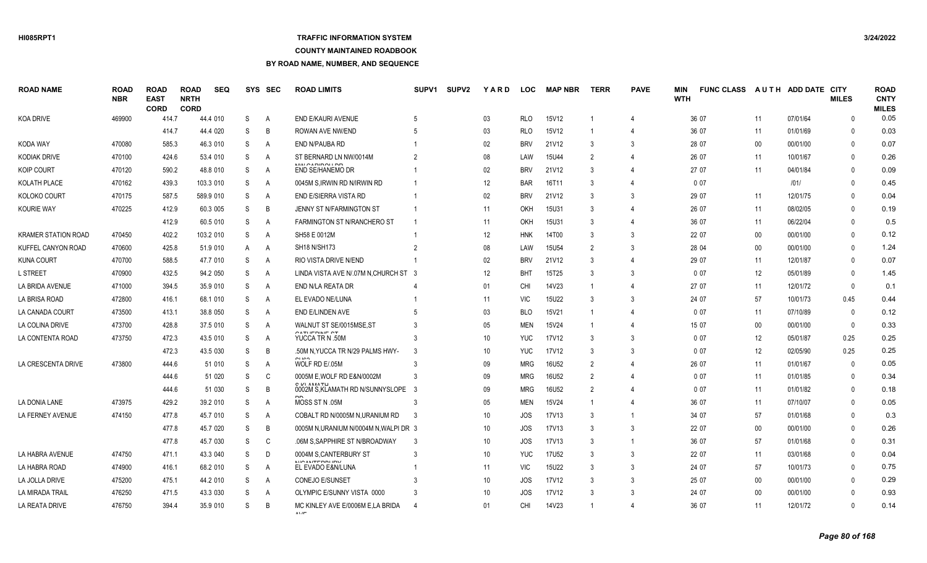## **TRAFFIC INFORMATION SYSTEM**

### **COUNTY MAINTAINED ROADBOOK**

| <b>ROAD NAME</b>           | <b>ROAD</b><br><b>NBR</b> | <b>ROAD</b><br><b>EAST</b><br><b>CORD</b> | <b>ROAD</b><br><b>NRTH</b><br><b>CORD</b> | <b>SEQ</b> | <b>SYS</b> | <b>SEC</b>   | <b>ROAD LIMITS</b>                                             | SUPV <sub>1</sub> | <b>SUPV2</b> | <b>YARD</b>     | LOC        | <b>MAP NBR</b> | <b>TERR</b>    | <b>PAVE</b>                 | <b>MIN</b><br><b>WTH</b> | <b>FUNC CLASS</b> |        | AUTH ADD DATE CITY | <b>MILES</b> | <b>ROAD</b><br><b>CNTY</b><br><b>MILES</b> |
|----------------------------|---------------------------|-------------------------------------------|-------------------------------------------|------------|------------|--------------|----------------------------------------------------------------|-------------------|--------------|-----------------|------------|----------------|----------------|-----------------------------|--------------------------|-------------------|--------|--------------------|--------------|--------------------------------------------|
| KOA DRIVE                  | 469900                    | 414.7                                     |                                           | 44.4 010   | S          | A            | END E/KAURI AVENUE                                             |                   |              | 03              | <b>RLO</b> | 15V12          |                | $\overline{4}$              |                          | 36 07             | 11     | 07/01/64           | $\mathbf{0}$ | 0.05                                       |
|                            |                           | 414.7                                     |                                           | 44.4 020   | S          | B            | ROWAN AVE NW/END                                               |                   |              | 03              | <b>RLO</b> | 15V12          |                | 4                           |                          | 36 07             | 11     | 01/01/69           | $\Omega$     | 0.03                                       |
| KODA WAY                   | 470080                    | 585.3                                     |                                           | 46.3 010   | S          | A            | END N/PAUBA RD                                                 |                   |              | 02              | <b>BRV</b> | 21V12          | 3              | 3                           |                          | 28 07             | $00\,$ | 00/01/00           | $\mathbf{0}$ | 0.07                                       |
| KODIAK DRIVE               | 470100                    | 424.6                                     |                                           | 53.4 010   | S          | A            | ST BERNARD LN NW/0014M                                         | 2                 |              | 08              | LAW        | <b>15U44</b>   | 2              | 4                           |                          | 26 07             | 11     | 10/01/67           | $\Omega$     | 0.26                                       |
| KOIP COURT                 | 470120                    | 590.2                                     |                                           | 48.8 010   | S          | A            | LILL OLDINOLL BE<br><b>END SE/HANEMO DR</b>                    |                   |              | 02              | <b>BRV</b> | 21V12          | -3             | $\overline{4}$              |                          | 27 07             | 11     | 04/01/84           | $\mathbf{0}$ | 0.09                                       |
| KOLATH PLACE               | 470162                    | 439.3                                     |                                           | 103.3 010  | S          | A            | 0045M S.IRWIN RD N/IRWIN RD                                    |                   |              | 12              | <b>BAR</b> | 16T11          | 3              | $\boldsymbol{\vartriangle}$ |                          | 007               |        | 1011               | $\Omega$     | 0.45                                       |
| KOLOKO COURT               | 470175                    | 587.5                                     |                                           | 589.9 010  | S          | A            | END E/SIERRA VISTA RD                                          |                   |              | 02              | <b>BRV</b> | 21V12          | 3              | 3                           |                          | 29 07             | 11     | 12/01/75           | $\mathbf{0}$ | 0.04                                       |
| <b>KOURIE WAY</b>          | 470225                    | 412.9                                     |                                           | 60.3 005   | S          | B            | <b>JENNY ST N/FARMINGTON ST</b>                                |                   |              | 11              | OKH        | <b>15U31</b>   | 3              | 4                           |                          | 26 07             | 11     | 08/02/05           | $\Omega$     | 0.19                                       |
|                            |                           | 412.9                                     |                                           | 60.5 010   | S          | A            | <b>FARMINGTON ST N/RANCHERO ST</b>                             |                   |              | 11              | OKH        | <b>15U31</b>   |                | $\overline{4}$              |                          | 36 07             | 11     | 06/22/04           | $\Omega$     | 0.5                                        |
| <b>KRAMER STATION ROAD</b> | 470450                    | 402.2                                     |                                           | 103.2 010  | S          | A            | SH58 E 0012M                                                   |                   |              | 12              | <b>HNK</b> | 14T00          | 3              | 3                           |                          | 22 07             | $00\,$ | 00/01/00           | $\Omega$     | 0.12                                       |
| KUFFEL CANYON ROAD         | 470600                    | 425.8                                     |                                           | 51.9 010   | A          | A            | <b>SH18 N/SH173</b>                                            |                   |              | 08              | LAW        | 15U54          | $\overline{2}$ | 3                           |                          | 28 04             | $00\,$ | 00/01/00           | $\Omega$     | 1.24                                       |
| <b>KUNA COURT</b>          | 470700                    | 588.5                                     |                                           | 47.7 010   | S          | A            | RIO VISTA DRIVE N/END                                          |                   |              | 02              | <b>BRV</b> | 21V12          | $\mathcal{R}$  | $\overline{4}$              |                          | 29 07             | 11     | 12/01/87           | $\Omega$     | 0.07                                       |
| <b>L STREET</b>            | 470900                    | 432.5                                     |                                           | 94.2 050   | S          | $\mathsf{A}$ | LINDA VISTA AVE N/ 07M N.CHURCH ST 3                           |                   |              | 12              | <b>BHT</b> | 15T25          | 3              | 3                           |                          | 007               | 12     | 05/01/89           | $\Omega$     | 1.45                                       |
| LA BRIDA AVENUE            | 471000                    | 394.5                                     |                                           | 35.9 010   | S          | A            | END N/LA REATA DR                                              |                   |              | 01              | <b>CHI</b> | 14V23          |                | 4                           |                          | 27 07             | 11     | 12/01/72           | $\mathbf{0}$ | 0.1                                        |
| LA BRISA ROAD              | 472800                    | 416.1                                     |                                           | 68.1 010   | S          | A            | EL EVADO NE/LUNA                                               |                   |              | 11              | <b>VIC</b> | 15U22          | 3              | 3                           |                          | 24 07             | 57     | 10/01/73           | 0.45         | 0.44                                       |
| LA CANADA COURT            | 473500                    | 413.1                                     |                                           | 38.8 050   | S          | A            | END E/LINDEN AVE                                               |                   |              | 03              | <b>BLO</b> | 15V21          |                |                             |                          | 007               | 11     | 07/10/89           | $\Omega$     | 0.12                                       |
| LA COLINA DRIVE            | 473700                    | 428.8                                     |                                           | 37.5 010   | S          | A            | WALNUT ST SE/0015MSE.ST                                        |                   |              | 05              | <b>MEN</b> | 15V24          |                | 4                           |                          | 15 07             | 00     | 00/01/00           | $\mathbf{0}$ | 0.33                                       |
| LA CONTENTA ROAD           | 473750                    | 472.3                                     |                                           | 43.5 010   | S          | A            | OATHEBINE OT<br>YUCCA TR N .50M                                |                   |              | 10              | <b>YUC</b> | 17V12          | 3              | 3                           |                          | 007               | 12     | 05/01/87           | 0.25         | 0.25                                       |
|                            |                           | 472.3                                     |                                           | 43.5 030   | S          | B            | .50M N, YUCCA TR N/29 PALMS HWY-                               |                   |              | 10              | <b>YUC</b> | 17V12          | 3              | 3                           |                          | 007               | 12     | 02/05/90           | 0.25         | 0.25                                       |
| LA CRESCENTA DRIVE         | 473800                    | 444.6                                     |                                           | 51 010     | S          | A            | WOLF RD E/.05M                                                 |                   |              | 09              | <b>MRG</b> | 16U52          | $\mathfrak{p}$ | 4                           |                          | 26 07             | 11     | 01/01/67           | $\Omega$     | 0.05                                       |
|                            |                           | 444.6                                     |                                           | 51 020     | S          | C            | 0005M E.WOLF RD E&N/0002M                                      |                   |              | 09              | <b>MRG</b> | 16U52          |                | 4                           |                          | 007               | 11     | 01/01/85           | $\Omega$     | 0.34                                       |
|                            |                           | 444.6                                     |                                           | 51 030     | S          | B            | $C1$ $A1$ $A2$ $A3$ $T1$<br>0002M S, KLAMATH RD N/SUNNYSLOPE 3 |                   |              | 09              | <b>MRG</b> | 16U52          | $\overline{2}$ | $\overline{4}$              |                          | 007               | 11     | 01/01/82           | $\Omega$     | 0.18                                       |
| LA DONIA LANE              | 473975                    | 429.2                                     |                                           | 39.2 010   | S          | A            | MOSS ST N .05M                                                 |                   |              | 05              | <b>MEN</b> | 15V24          |                |                             |                          | 36 07             | 11     | 07/10/07           | $\Omega$     | 0.05                                       |
| <b>LA FERNEY AVENUE</b>    | 474150                    | 477.8                                     |                                           | 45.7 010   | S          | A            | COBALT RD N/0005M N, URANIUM RD                                | -3                |              | 10 <sup>°</sup> | JOS        | 17V13          | 3              | $\overline{1}$              |                          | 34 07             | 57     | 01/01/68           | $\Omega$     | 0.3                                        |
|                            |                           | 477.8                                     |                                           | 45.7 020   | S          | B            | 0005M N.URANIUM N/0004M N.WALPI DR 3                           |                   |              | 10              | JOS        | 17V13          |                | 3                           |                          | 22 07             | $00\,$ | 00/01/00           | $\Omega$     | 0.26                                       |
|                            |                           | 477.8                                     |                                           | 45.7 030   | S          | C            | .06M S, SAPPHIRE ST N/BROADWAY                                 | 3                 |              | 10 <sup>°</sup> | JOS        | 17V13          | 3              | $\overline{1}$              |                          | 36 07             | 57     | 01/01/68           | $\Omega$     | 0.31                                       |
| LA HABRA AVENUE            | 474750                    | 471.1                                     |                                           | 43.3 040   | S          | D            | 0004M S, CANTERBURY ST                                         |                   |              | 10              | <b>YUC</b> | <b>17U52</b>   | 3              | 3                           |                          | 22 07             | 11     | 03/01/68           | $\Omega$     | 0.04                                       |
| LA HABRA ROAD              | 474900                    | 416.1                                     |                                           | 68.2 010   | S          | A            | <b>NIO ANTERNIUM</b><br>EL EVADO E&N/LUNA                      |                   |              | 11              | <b>VIC</b> | 15U22          |                | 3                           |                          | 24 07             | 57     | 10/01/73           | $\Omega$     | 0.75                                       |
| LA JOLLA DRIVE             | 475200                    | 475.1                                     |                                           | 44.2 010   | S          | A            | CONEJO E/SUNSET                                                |                   |              | 10              | JOS        | 17V12          |                | 3                           |                          | 25 07             | $00\,$ | 00/01/00           | $\Omega$     | 0.29                                       |
| LA MIRADA TRAIL            | 476250                    | 471.5                                     |                                           | 43.3 030   | S          | A            | OLYMPIC E/SUNNY VISTA 0000                                     |                   |              | 10              | <b>JOS</b> | 17V12          | 3              | 3                           |                          | 24 07             | $00\,$ | 00/01/00           | $\Omega$     | 0.93                                       |
| LA REATA DRIVE             | 476750                    | 394.4                                     |                                           | 35.9 010   | S          | B            | MC KINLEY AVE E/0006M E,LA BRIDA<br>$\lambda$ $\lambda$        |                   |              | 01              | <b>CHI</b> | 14V23          |                | $\overline{4}$              |                          | 36 07             | 11     | 12/01/72           | $\mathsf{O}$ | 0.14                                       |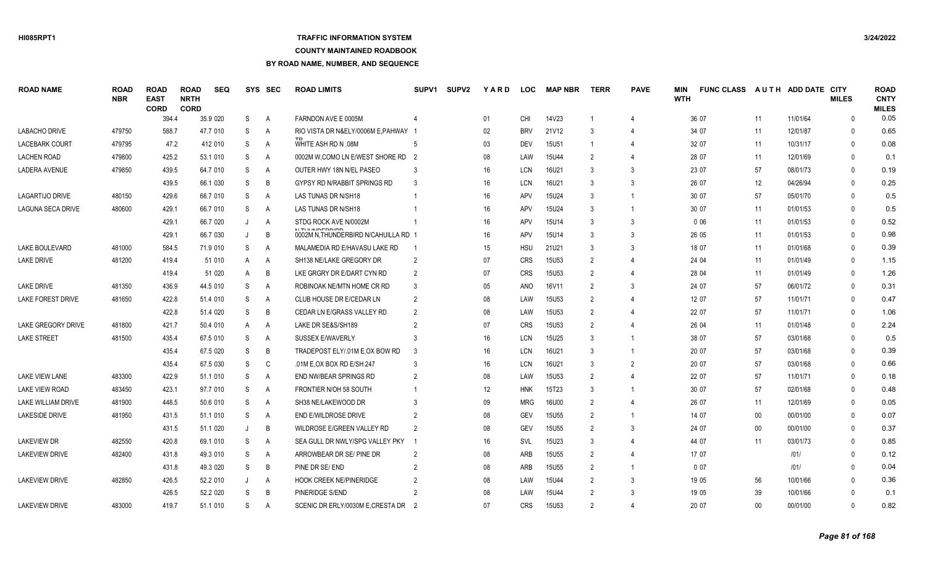## **TRAFFIC INFORMATION SYSTEM**

### **COUNTY MAINTAINED ROADBOOK**

| <b>ROAD NAME</b>          | <b>ROAD</b><br><b>NBR</b> | <b>ROAD</b><br><b>EAST</b><br><b>CORD</b> | <b>ROAD</b><br><b>NRTH</b><br><b>CORD</b> | <b>SEQ</b> |         | SYS SEC        | <b>ROAD LIMITS</b>                 | SUPV <sub>1</sub> | <b>SUPV2</b> | YARD   | <b>LOC</b> | <b>MAP NBR</b>    | <b>TERR</b>    | <b>PAVE</b>                 | MIN<br><b>WTH</b> | <b>FUNC CLASS</b> |                   | AUTH ADD DATE CITY | <b>MILES</b> | <b>ROAD</b><br><b>CNTY</b><br><b>MILES</b> |
|---------------------------|---------------------------|-------------------------------------------|-------------------------------------------|------------|---------|----------------|------------------------------------|-------------------|--------------|--------|------------|-------------------|----------------|-----------------------------|-------------------|-------------------|-------------------|--------------------|--------------|--------------------------------------------|
|                           |                           | 394.4                                     |                                           | 35.9 020   | S       | A              | FARNDON AVE E 0005M                |                   |              | 01     | <b>CHI</b> | 14V23             |                | $\overline{4}$              |                   | 36 07             | 11                | 11/01/64           | $\mathbf{0}$ | 0.05                                       |
| LABACHO DRIVE             | 479750                    | 588.7                                     |                                           | 47.7 010   | S       | A              | RIO VISTA DR N&ELY/0006M E.PAHWAY  |                   |              | $02\,$ | <b>BRV</b> | 21V12             |                |                             |                   | 34 07             | 11                | 12/01/87           | $\Omega$     | 0.65                                       |
| <b>LACEBARK COURT</b>     | 479795                    | 47.2                                      |                                           | 412 010    | S       | A              | WHITE ASH RD N .08M                |                   |              | 03     | <b>DEV</b> | <b>15U51</b>      |                | $\overline{4}$              |                   | 32 07             | 11                | 10/31/17           | $\Omega$     | 0.08                                       |
| <b>LACHEN ROAD</b>        | 479800                    | 425.2                                     |                                           | 53.1 010   | S       | A              | 0002M W.COMO LN E/WEST SHORE RD 2  |                   |              | 08     | LAW        | <b>15U44</b>      |                | $\boldsymbol{\vartriangle}$ |                   | 28 07             | 11                | 12/01/69           | $\Omega$     | 0.1                                        |
| <b>LADERA AVENUE</b>      | 479850                    | 439.5                                     |                                           | 64.7 010   | S       | A              | OUTER HWY 18N N/EL PASEO           |                   |              | 16     | <b>LCN</b> | 16U21             | $\mathbf{3}$   | 3                           |                   | 23 07             | 57                | 08/01/73           | $\Omega$     | 0.19                                       |
|                           |                           | 439.5                                     |                                           | 66.1 030   | S       | B              | GYPSY RD N/RABBIT SPRINGS RD       |                   |              | 16     | <b>LCN</b> | 16U21             | $\mathbf{3}$   | 3                           |                   | 26 07             | $12 \overline{ }$ | 04/26/94           | $\Omega$     | 0.25                                       |
| <b>LAGARTIJO DRIVE</b>    | 480150                    | 429.6                                     |                                           | 66.7 010   | S       | A              | LAS TUNAS DR N/SH18                |                   |              | 16     | APV        | 15U24             | $\mathbf{3}$   |                             |                   | 30 07             | 57                | 05/01/70           | $\Omega$     | 0.5                                        |
| <b>LAGUNA SECA DRIVE</b>  | 480600                    | 429.1                                     |                                           | 66.7 010   | S       | Α              | LAS TUNAS DR N/SH18                |                   |              | 16     | APV        | 15U24             |                | $\overline{1}$              |                   | 30 07             | 11                | 01/01/53           | $\Omega$     | 0.5                                        |
|                           |                           | 429.1                                     |                                           | 66.7 020   | J       | A              | STDG ROCK AVE N/0002M              |                   |              | 16     | APV        | 15U14             | 3              | 3                           |                   | 0 0 6             | 11                | 01/01/53           | $\Omega$     | 0.52                                       |
|                           |                           | 429.1                                     |                                           | 66.7 030   | J       | B              | 0002M N, THUNDERBIRD N/CAHUILLA RD |                   |              | 16     | APV        | 15U14             | $\mathbf{3}$   | 3                           |                   | 26 05             | 11                | 01/01/53           | $\Omega$     | 0.98                                       |
| <b>LAKE BOULEVARD</b>     | 481000                    | 584.5                                     |                                           | 71.9 010   | S       | A              | MALAMEDIA RD E/HAVASU LAKE RD      |                   |              | 15     | <b>HSU</b> | 21U21             |                | 3                           |                   | 18 07             | 11                | 01/01/68           | $\Omega$     | 0.39                                       |
| <b>LAKE DRIVE</b>         | 481200                    | 419.4                                     |                                           | 51 010     | A       | Α              | SH138 NE/LAKE GREGORY DR           | $\overline{2}$    |              | 07     | <b>CRS</b> | <b>15U53</b>      | $\mathcal{P}$  | $\overline{4}$              |                   | 24 04             | 11                | 01/01/49           | $\Omega$     | 1.15                                       |
|                           |                           | 419.4                                     |                                           | 51 020     | A       | B              | LKE GRGRY DR E/DART CYN RD         | $\overline{2}$    |              | 07     | <b>CRS</b> | <b>15U53</b>      | $\mathcal{P}$  | $\boldsymbol{\vartriangle}$ |                   | 28 04             | 11                | 01/01/49           | $\Omega$     | 1.26                                       |
| <b>LAKE DRIVE</b>         | 481350                    | 436.9                                     |                                           | 44.5 010   | S       | A              | ROBINOAK NE/MTN HOME CR RD         | $\mathbf{3}$      |              | 05     | <b>ANO</b> | 16V11             | 2              | 3                           |                   | 24 07             | 57                | 06/01/72           | $\Omega$     | 0.31                                       |
| <b>LAKE FOREST DRIVE</b>  | 481650                    | 422.8                                     |                                           | 51.4 010   | S       | Α              | CLUB HOUSE DR E/CEDAR LN           | $\mathcal{P}$     |              | 08     | LAW        | <b>15U53</b>      | $\mathcal{P}$  | 4                           |                   | 12 07             | 57                | 11/01/71           | $\Omega$     | 0.47                                       |
|                           |                           | 422.8                                     |                                           | 51.4 020   | S       | B              | CEDAR LN E/GRASS VALLEY RD         | $\mathcal{P}$     |              | 08     | LAW        | 15U <sub>53</sub> | 2              | 4                           |                   | 22 07             | 57                | 11/01/71           | $\Omega$     | 1.06                                       |
| <b>LAKE GREGORY DRIVE</b> | 481800                    | 421.7                                     |                                           | 50.4 010   | A       | Α              | LAKE DR SE&S/SH189                 |                   |              | 07     | <b>CRS</b> | 15U53             | $\mathcal{P}$  | 4                           |                   | 26 04             | 11                | 01/01/48           | $\Omega$     | 2.24                                       |
| <b>LAKE STREET</b>        | 481500                    | 435.4                                     |                                           | 67.5 010   | S       | $\overline{A}$ | <b>SUSSEX E/WAVERLY</b>            |                   |              | 16     | <b>LCN</b> | 15U25             | $\mathbf{3}$   |                             |                   | 38 07             | 57                | 03/01/68           | $\Omega$     | 0.5                                        |
|                           |                           | 435.4                                     |                                           | 67.5 020   | S       | B              | TRADEPOST ELY/.01M E.OX BOW RD     | $\mathbf{3}$      |              | 16     | <b>LCN</b> | 16U21             | 3              | $\overline{1}$              |                   | 20 07             | 57                | 03/01/68           | $\Omega$     | 0.39                                       |
|                           |                           | 435.4                                     |                                           | 67.5 030   | S       | C              | .01M E, OX BOX RD E/SH 247         |                   |              | 16     | <b>LCN</b> | 16U21             |                | $\overline{2}$              |                   | 20 07             | 57                | 03/01/68           | $\Omega$     | 0.66                                       |
| <b>LAKE VIEW LANE</b>     | 483300                    | 422.9                                     |                                           | 51.1 010   | S       | A              | END NW/BEAR SPRINGS RD             | 2                 |              | 08     | LAW        | <b>15U53</b>      | 2              |                             |                   | 22 07             | 57                | 11/01/71           | $\Omega$     | 0.18                                       |
| <b>LAKE VIEW ROAD</b>     | 483450                    | 423.1                                     |                                           | 97.7 010   | S       | A              | FRONTIER N/OH 58 SOUTH             |                   |              | 12     | <b>HNK</b> | 15T23             | $\mathbf{3}$   | -1                          |                   | 30 07             | 57                | 02/01/68           | $\Omega$     | 0.48                                       |
| <b>LAKE WILLIAM DRIVE</b> | 481900                    | 448.5                                     |                                           | 50.6 010   | S       | A              | SH38 NE/LAKEWOOD DR                |                   |              | 09     | <b>MRG</b> | 16U00             | 2              | $\overline{4}$              |                   | 26 07             | 11                | 12/01/69           | $\Omega$     | 0.05                                       |
| <b>LAKESIDE DRIVE</b>     | 481950                    | 431.5                                     |                                           | 51.1 010   | S       | A              | <b>END E/WILDROSE DRIVE</b>        |                   |              | 08     | GEV        | 15U <sub>55</sub> | $\mathcal{P}$  | -1                          |                   | 14 07             | $00\,$            | 00/01/00           | $\Omega$     | 0.07                                       |
|                           |                           | 431.5                                     |                                           | 51.1 020   | $\cdot$ | B              | WILDROSE E/GREEN VALLEY RD         | $\mathcal{P}$     |              | 08     | GEV        | 15U <sub>55</sub> | $\mathcal{P}$  | 3                           |                   | 24 07             | $00\,$            | 00/01/00           | $\Omega$     | 0.37                                       |
| <b>LAKEVIEW DR</b>        | 482550                    | 420.8                                     |                                           | 69.1 010   | S       | Α              | SEA GULL DR NWLY/SPG VALLEY PKY    |                   |              | 16     | <b>SVL</b> | 15U23             |                | 4                           |                   | 44 07             | 11                | 03/01/73           | $\Omega$     | 0.85                                       |
| <b>LAKEVIEW DRIVE</b>     | 482400                    | 431.8                                     |                                           | 49.3 010   | S       | Α              | ARROWBEAR DR SE/ PINE DR           | $\mathcal{P}$     |              | 08     | ARB        | 15U55             | $\overline{2}$ |                             |                   | 17 07             |                   | 1011               | $\Omega$     | 0.12                                       |
|                           |                           | 431.8                                     |                                           | 49.3 020   | S       | B              | PINE DR SE/END                     |                   |              | 08     | ARB        | 15U55             | 2              | -1                          |                   | 007               |                   | 1011               | $\Omega$     | 0.04                                       |
| <b>LAKEVIEW DRIVE</b>     | 482850                    | 426.5                                     |                                           | 52.2 010   |         | A              | <b>HOOK CREEK NE/PINERIDGE</b>     |                   |              | 08     | LAW        | 15U44             |                | 3                           |                   | 19 05             | 56                | 10/01/66           | $\Omega$     | 0.36                                       |
|                           |                           | 426.5                                     |                                           | 52.2 020   | S       | B              | PINERIDGE S/END                    |                   |              | 08     | LAW        | <b>15U44</b>      | $\mathcal{P}$  | 3                           |                   | 19 05             | 39                | 10/01/66           | $\mathsf{O}$ | 0.1                                        |
| <b>LAKEVIEW DRIVE</b>     | 483000                    | 419.7                                     |                                           | 51.1 010   | S.      | A              | SCENIC DR ERLY/0030M E.CRESTA DR 2 |                   |              | 07     | <b>CRS</b> | <b>15U53</b>      |                | $\boldsymbol{\vartriangle}$ |                   | 20 07             | $00\,$            | 00/01/00           | $\Omega$     | 0.82                                       |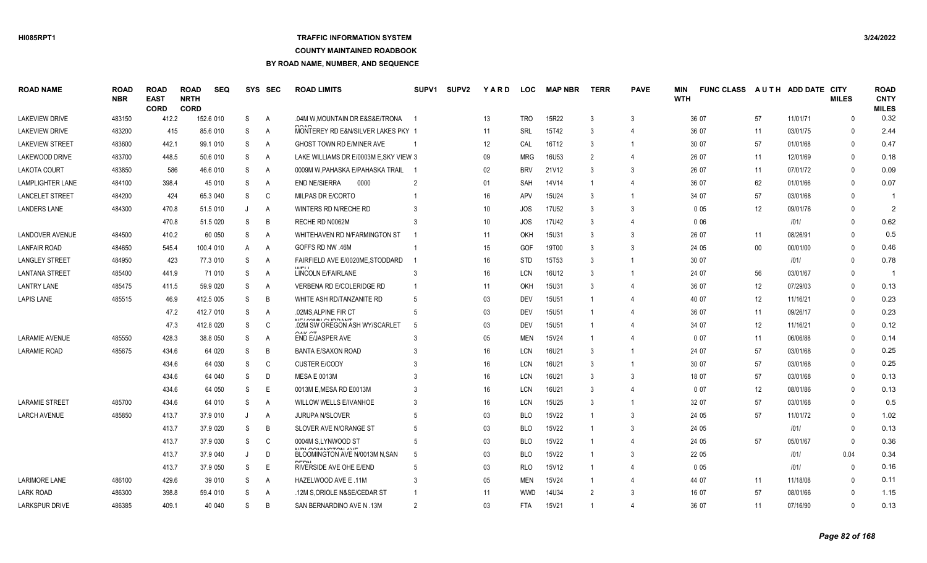# **TRAFFIC INFORMATION SYSTEM**

**COUNTY MAINTAINED ROADBOOK**

| <b>ROAD NAME</b>        | <b>ROAD</b><br><b>NBR</b> | <b>ROAD</b><br><b>EAST</b><br><b>CORD</b> | <b>ROAD</b><br><b>NRTH</b><br><b>CORD</b> | <b>SEQ</b> | SYS | SEC | <b>ROAD LIMITS</b>                                            | <b>SUPV1</b> | <b>SUPV2</b> | YARD            | LOC        | <b>MAP NBR</b> | <b>TERR</b>  | <b>PAVE</b>    | MIN<br><b>WTH</b> | <b>FUNC CLASS</b> |        | AUTH ADD DATE CITY | <b>MILES</b> | <b>ROAD</b><br><b>CNTY</b><br><b>MILES</b> |
|-------------------------|---------------------------|-------------------------------------------|-------------------------------------------|------------|-----|-----|---------------------------------------------------------------|--------------|--------------|-----------------|------------|----------------|--------------|----------------|-------------------|-------------------|--------|--------------------|--------------|--------------------------------------------|
| <b>LAKEVIEW DRIVE</b>   | 483150                    | 412.2                                     |                                           | 152.6 010  | S.  | A   | .04M W.MOUNTAIN DR E&S&E/TRONA                                |              |              | 13              | <b>TRO</b> | 15R22          | 3            | 3              |                   | 36 07             | 57     | 11/01/71           | $\Omega$     | 0.32                                       |
| <b>LAKEVIEW DRIVE</b>   | 483200                    | 415                                       |                                           | 85.6 010   | S   | A   | $D^{\wedge}$<br>MONTEREY RD E&N/SILVER LAKES PKY              |              |              | 11              | SRL        | 15T42          |              | 4              |                   | 36 07             | 11     | 03/01/75           | $\Omega$     | 2.44                                       |
| <b>LAKEVIEW STREET</b>  | 483600                    | 442.1                                     |                                           | 99.1 010   | S   | A   | GHOST TOWN RD E/MINER AVE                                     |              |              | 12              | CAL        | 16T12          | $\mathbf{3}$ | -1             |                   | 30 07             | 57     | 01/01/68           | $\Omega$     | 0.47                                       |
| LAKEWOOD DRIVE          | 483700                    | 448.5                                     |                                           | 50.6 010   | S   | A   | LAKE WILLIAMS DR E/0003M E, SKY VIEW 3                        |              |              | 09              | <b>MRG</b> | 16U53          | 2            | 4              |                   | 26 07             | 11     | 12/01/69           | $\Omega$     | 0.18                                       |
| <b>LAKOTA COURT</b>     | 483850                    | 586                                       |                                           | 46.6 010   | S   | Α   | 0009M W, PAHASKA E/PAHASKA TRAIL                              |              |              | 02              | <b>BRV</b> | 21V12          | $\mathbf{3}$ | 3              |                   | 26 07             | 11     | 07/01/72           | $\Omega$     | 0.09                                       |
| <b>LAMPLIGHTER LANE</b> | 484100                    | 398.4                                     |                                           | 45 010     | S   | Α   | <b>END NE/SIERRA</b><br>0000                                  |              |              | 01              | SAH        | 14V14          |              | 4              |                   | 36 07             | 62     | 01/01/66           | $\mathsf{O}$ | 0.07                                       |
| <b>LANCELET STREET</b>  | 484200                    | 424                                       |                                           | 65.3 040   | S   | C   | MILPAS DR E/CORTO                                             |              |              | 16              | APV        | 15U24          | -3           |                |                   | 34 07             | 57     | 03/01/68           | $\Omega$     |                                            |
| <b>LANDERS LANE</b>     | 484300                    | 470.8                                     |                                           | 51.5 010   | J   | Α   | WINTERS RD N/RECHE RD                                         |              |              | 10              | JOS        | 17U52          |              | 3              |                   | 005               | 12     | 09/01/76           | $\mathbf{0}$ | $\overline{2}$                             |
|                         |                           | 470.8                                     |                                           | 51.5 020   | S   | B   | RECHE RD N0062M                                               |              |              | 10 <sup>°</sup> | JOS        | 17U42          |              | $\overline{4}$ |                   | 006               |        | 1011               | $\Omega$     | 0.62                                       |
| <b>LANDOVER AVENUE</b>  | 484500                    | 410.2                                     |                                           | 60 050     | S   | A   | WHITEHAVEN RD N/FARMINGTON ST                                 |              |              | 11              | <b>OKH</b> | 15U31          |              | 3              |                   | 26 07             | 11     | 08/26/91           | $\mathbf{0}$ | 0.5                                        |
| <b>LANFAIR ROAD</b>     | 484650                    | 545.4                                     |                                           | 100.4 010  | A   | Α   | <b>GOFFS RD NW .46M</b>                                       |              |              | 15              | GOF        | 19T00          |              | 3              |                   | 24 05             | $00\,$ | 00/01/00           | $\Omega$     | 0.46                                       |
| <b>LANGLEY STREET</b>   | 484950                    | 423                                       |                                           | 77.3 010   | S   | Α   | FAIRFIELD AVE E/0020ME, STODDARD                              |              |              | 16              | <b>STD</b> | 15T53          | 3            | $\overline{1}$ |                   | 30 07             |        | 1011               | $\Omega$     | 0.78                                       |
| <b>LANTANA STREET</b>   | 485400                    | 441.9                                     |                                           | 71 010     | S   | A   | <b>LINCOLN E/FAIRLANE</b>                                     |              |              | 16              | LCN        | 16U12          |              |                |                   | 24 07             | 56     | 03/01/67           | $\mathbf{0}$ | -1                                         |
| <b>LANTRY LANE</b>      | 485475                    | 411.5                                     |                                           | 59.9 020   | S   | A   | VERBENA RD E/COLERIDGE RD                                     |              |              | 11              | OKH        | 15U31          | $\mathbf{3}$ |                |                   | 36 07             | 12     | 07/29/03           | $\Omega$     | 0.13                                       |
| <b>LAPIS LANE</b>       | 485515                    | 46.9                                      |                                           | 412.5 005  | S   | B   | WHITE ASH RD/TANZANITE RD                                     |              |              | 03              | <b>DEV</b> | <b>15U51</b>   |              |                |                   | 40 07             | 12     | 11/16/21           | $\Omega$     | 0.23                                       |
|                         |                           | 47.2                                      |                                           | 412.7 010  | S   | A   | .02MS, ALPINE FIR CT                                          |              |              | 03              | <b>DEV</b> | <b>15U51</b>   |              |                |                   | 36 07             | 11     | 09/26/17           | $\Omega$     | 0.23                                       |
|                         |                           | 47.3                                      |                                           | 412.8 020  | S   | C   | MELOOM IN OURDANT<br>.02M SW OREGON ASH WY/SCARLET            |              |              | 03              | <b>DEV</b> | 15U51          |              |                |                   | 34 07             | 12     | 11/16/21           | $\mathbf{0}$ | 0.12                                       |
| <b>LARAMIE AVENUE</b>   | 485550                    | 428.3                                     |                                           | 38.8 050   | S   | A   | 0.11007<br>END E/JASPER AVE                                   |              |              | 05              | MEN        | 15V24          |              |                |                   | 007               | 11     | 06/06/88           | $\Omega$     | 0.14                                       |
| <b>LARAMIE ROAD</b>     | 485675                    | 434.6                                     |                                           | 64 020     | S   | B   | <b>BANTA E/SAXON ROAD</b>                                     |              |              | 16              | LCN        | 16U21          |              |                |                   | 24 07             | 57     | 03/01/68           | $\Omega$     | 0.25                                       |
|                         |                           | 434.6                                     |                                           | 64 030     | S   | C   | <b>CUSTER E/CODY</b>                                          |              |              | 16              | LCN        | 16U21          |              |                |                   | 30 07             | 57     | 03/01/68           | $\Omega$     | 0.25                                       |
|                         |                           | 434.6                                     |                                           | 64 040     | S   | D   | MESA E 0013M                                                  |              |              | 16              | <b>LCN</b> | 16U21          |              | 3              |                   | 18 07             | 57     | 03/01/68           | $\Omega$     | 0.13                                       |
|                         |                           | 434.6                                     |                                           | 64 050     | S   | Е   | 0013M E.MESA RD E0013M                                        |              |              | 16              | LCN        | 16U21          |              |                |                   | 007               | 12     | 08/01/86           | $\Omega$     | 0.13                                       |
| <b>LARAMIE STREET</b>   | 485700                    | 434.6                                     |                                           | 64 010     | S   | A   | WILLOW WELLS E/IVANHOE                                        |              |              | 16              | <b>LCN</b> | 15U25          | 3            | -1             |                   | 32 07             | 57     | 03/01/68           | $\Omega$     | 0.5                                        |
| <b>LARCH AVENUE</b>     | 485850                    | 413.7                                     |                                           | 37.9 010   | J   | A   | <b>JURUPA N/SLOVER</b>                                        |              |              | 03              | <b>BLO</b> | 15V22          |              | 3              |                   | 24 05             | 57     | 11/01/72           | $\Omega$     | 1.02                                       |
|                         |                           | 413.7                                     |                                           | 37.9 020   | S   | B   | SLOVER AVE N/ORANGE ST                                        |              |              | 03              | <b>BLO</b> | 15V22          |              | 3              |                   | 24 05             |        | 1011               | $\Omega$     | 0.13                                       |
|                         |                           | 413.7                                     |                                           | 37.9 030   | S   | C   | 0004M S.LYNWOOD ST                                            |              |              | 03              | <b>BLO</b> | 15V22          |              | 4              |                   | 24 05             | 57     | 05/01/67           | $\mathbf{0}$ | 0.36                                       |
|                         |                           | 413.7                                     |                                           | 37.9 040   | J   | D   | <b>NIMI COMBIDTONI AVIT</b><br>BLOOMINGTON AVE N/0013M N, SAN | .5           |              | 03              | <b>BLO</b> | 15V22          |              | 3              |                   | 22 05             |        | 1011               | 0.04         | 0.34                                       |
|                         |                           | 413.7                                     |                                           | 37.9 050   | S   | Е   | RIVERSIDE AVE OHE E/END                                       |              |              | 03              | <b>RLO</b> | 15V12          |              | 4              |                   | 0 0 5             |        | 1011               | $\Omega$     | 0.16                                       |
| <b>LARIMORE LANE</b>    | 486100                    | 429.6                                     |                                           | 39 010     | S   | A   | HAZELWOOD AVE E.11M                                           |              |              | 05              | <b>MEN</b> | 15V24          |              | 4              |                   | 44 07             | 11     | 11/18/08           | $\Omega$     | 0.11                                       |
| <b>LARK ROAD</b>        | 486300                    | 398.8                                     |                                           | 59.4 010   | S   | A   | .12M S.ORIOLE N&SE/CEDAR ST                                   |              |              | 11              | <b>WWD</b> | 14U34          |              | 3              |                   | 16 07             | 57     | 08/01/66           | $\mathsf{O}$ | 1.15                                       |
| <b>LARKSPUR DRIVE</b>   | 486385                    | 409.1                                     |                                           | 40 040     | S.  | B.  | SAN BERNARDINO AVE N .13M                                     |              |              | 03              | <b>FTA</b> | 15V21          |              | 4              |                   | 36 07             | 11     | 07/16/90           | $\Omega$     | 0.13                                       |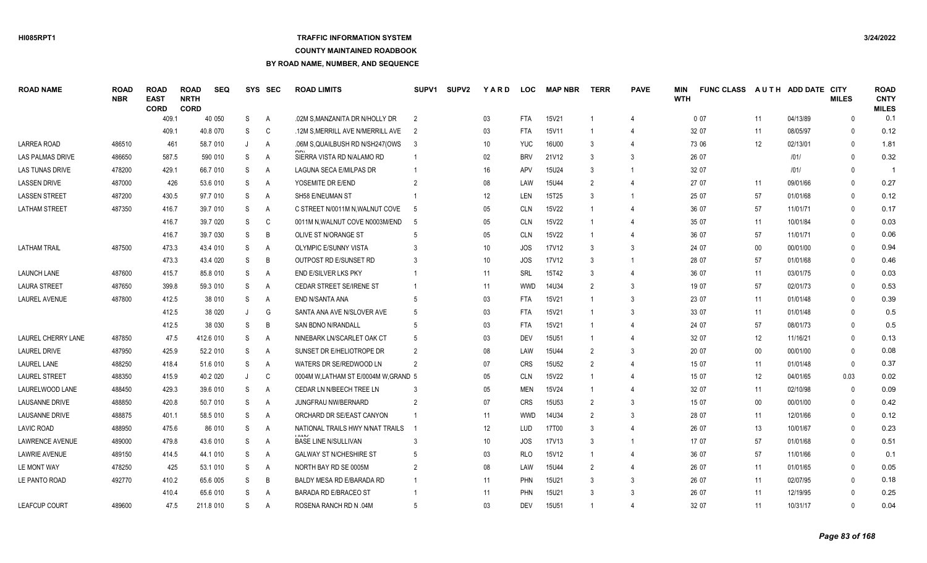## **TRAFFIC INFORMATION SYSTEM**

### **COUNTY MAINTAINED ROADBOOK**

| <b>ROAD NAME</b>          | <b>ROAD</b><br><b>NBR</b> | <b>ROAD</b><br><b>EAST</b><br><b>CORD</b> | <b>ROAD</b><br><b>NRTH</b><br><b>CORD</b> | <b>SEQ</b> |         | SYS SEC | <b>ROAD LIMITS</b>                    | SUPV <sub>1</sub> | <b>SUPV2</b> | YARD | <b>LOC</b> | <b>MAP NBR</b>    | <b>TERR</b>    | <b>PAVE</b>    | MIN<br><b>WTH</b> | <b>FUNC CLASS</b> |        | AUTH ADD DATE CITY | <b>MILES</b> | <b>ROAD</b><br><b>CNTY</b><br><b>MILES</b> |
|---------------------------|---------------------------|-------------------------------------------|-------------------------------------------|------------|---------|---------|---------------------------------------|-------------------|--------------|------|------------|-------------------|----------------|----------------|-------------------|-------------------|--------|--------------------|--------------|--------------------------------------------|
|                           |                           | 409.1                                     |                                           | 40 050     | S       | A       | .02M S.MANZANITA DR N/HOLLY DR        | $\overline{2}$    |              | 03   | <b>FTA</b> | 15V21             |                | $\overline{4}$ |                   | 007               | 11     | 04/13/89           | $\mathbf{0}$ | 0.1                                        |
|                           |                           | 409.1                                     |                                           | 40.8 070   | S       | C       | .12M S, MERRILL AVE N/MERRILL AVE     |                   |              | 03   | <b>FTA</b> | 15V11             |                |                |                   | 32 07             | 11     | 08/05/97           | $\Omega$     | 0.12                                       |
| <b>LARREA ROAD</b>        | 486510                    | 461                                       |                                           | 58.7 010   | J       | A       | .06M S, QUAILBUSH RD N/SH247(OWS      | -3                |              | 10   | <b>YUC</b> | 16U00             | 3              |                |                   | 73 06             | 12     | 02/13/01           | $\Omega$     | 1.81                                       |
| LAS PALMAS DRIVE          | 486650                    | 587.5                                     |                                           | 590 010    | S       | Α       | SIERRA VISTA RD N/ALAMO RD            |                   |              | 02   | <b>BRV</b> | 21V12             | 3              | 3              |                   | 26 07             |        | 1011               | $\Omega$     | 0.32                                       |
| LAS TUNAS DRIVE           | 478200                    | 429.1                                     |                                           | 66.7 010   | S       | A       | LAGUNA SECA E/MILPAS DR               |                   |              | 16   | <b>APV</b> | <b>15U24</b>      | 3              | $\overline{1}$ |                   | 32 07             |        | 1011               | $\Omega$     | -1                                         |
| <b>LASSEN DRIVE</b>       | 487000                    | 426                                       |                                           | 53.6 010   | S       | Α       | YOSEMITE DR E/END                     |                   |              | 08   | LAW        | 15U44             | $\mathcal{P}$  |                |                   | 27 07             | 11     | 09/01/66           | $\Omega$     | 0.27                                       |
| <b>LASSEN STREET</b>      | 487200                    | 430.5                                     |                                           | 97.7 010   | S       | A       | SH58 E/NEUMAN ST                      |                   |              | 12   | <b>LEN</b> | 15T25             | $\mathcal{R}$  |                |                   | 25 07             | 57     | 01/01/68           | $\Omega$     | 0.12                                       |
| <b>LATHAM STREET</b>      | 487350                    | 416.7                                     |                                           | 39.7 010   | S       | A       | C STREET N/0011M N, WALNUT COVE       |                   |              | 05   | <b>CLN</b> | 15V22             |                |                |                   | 36 07             | 57     | 11/01/71           | $\mathbf{0}$ | 0.17                                       |
|                           |                           | 416.7                                     |                                           | 39.7 020   | S       | C       | 0011M N, WALNUT COVE N0003M/END       |                   |              | 05   | <b>CLN</b> | 15V22             |                |                |                   | 35 07             | 11     | 10/01/84           | $\Omega$     | 0.03                                       |
|                           |                           | 416.7                                     |                                           | 39.7 030   | S       | B       | OLIVE ST N/ORANGE ST                  |                   |              | 05   | <b>CLN</b> | 15V22             |                |                |                   | 36 07             | 57     | 11/01/71           | $\mathbf{0}$ | 0.06                                       |
| <b>LATHAM TRAIL</b>       | 487500                    | 473.3                                     |                                           | 43.4 010   | S       | Α       | OLYMPIC E/SUNNY VISTA                 |                   |              | 10   | <b>JOS</b> | <b>17V12</b>      | 3              | 3              |                   | 24 07             | $00\,$ | 00/01/00           | $\Omega$     | 0.94                                       |
|                           |                           | 473.3                                     |                                           | 43.4 020   | S       | B       | OUTPOST RD E/SUNSET RD                |                   |              | 10   | <b>JOS</b> | 17V12             | 3              | $\overline{1}$ |                   | 28 07             | 57     | 01/01/68           | $\mathbf{0}$ | 0.46                                       |
| <b>LAUNCH LANE</b>        | 487600                    | 415.7                                     |                                           | 85.8 010   | S       | A       | <b>END E/SILVER LKS PKY</b>           |                   |              | 11   | <b>SRL</b> | 15T42             | 3              |                |                   | 36 07             | 11     | 03/01/75           | $\mathbf{0}$ | 0.03                                       |
| <b>LAURA STREET</b>       | 487650                    | 399.8                                     |                                           | 59.3 010   | S       | A       | CEDAR STREET SE/IRENE ST              |                   |              | 11   | <b>WWD</b> | 14U34             | $\mathfrak{p}$ | 3              |                   | 19 07             | 57     | 02/01/73           | $\Omega$     | 0.53                                       |
| LAUREL AVENUE             | 487800                    | 412.5                                     |                                           | 38 010     | S       | Α       | <b>END N/SANTA ANA</b>                |                   |              | 03   | <b>FTA</b> | 15V21             |                | 3              |                   | 23 07             | 11     | 01/01/48           | $\Omega$     | 0.39                                       |
|                           |                           | 412.5                                     |                                           | 38 020     | J       | G       | SANTA ANA AVE N/SLOVER AVE            |                   |              | 03   | <b>FTA</b> | 15V21             |                | 3              |                   | 33 07             | 11     | 01/01/48           | $\Omega$     | 0.5                                        |
|                           |                           | 412.5                                     |                                           | 38 030     | S       | B       | SAN BDNO N/RANDALL                    |                   |              | 03   | <b>FTA</b> | 15V21             |                | $\overline{4}$ |                   | 24 07             | 57     | 08/01/73           | $\mathbf{0}$ | 0.5                                        |
| <b>LAUREL CHERRY LANE</b> | 487850                    | 47.5                                      |                                           | 412.6 010  | S       | Α       | NINEBARK LN/SCARLET OAK CT            |                   |              | 03   | DEV        | 15U51             |                |                |                   | 32 07             | 12     | 11/16/21           | $\mathbf{0}$ | 0.13                                       |
| <b>LAUREL DRIVE</b>       | 487950                    | 425.9                                     |                                           | 52.2 010   | S       | Α       | SUNSET DR E/HELIOTROPE DR             | $\overline{2}$    |              | 08   | LAW        | <b>15U44</b>      | $\overline{2}$ | 3              |                   | 20 07             | $00\,$ | 00/01/00           | $\mathbf{0}$ | 0.08                                       |
| LAUREL LANE               | 488250                    | 418.4                                     |                                           | 51.6 010   | S       | Α       | WATERS DR SE/REDWOOD LN               | $\overline{2}$    |              | 07   | <b>CRS</b> | 15U <sub>52</sub> | 2              |                |                   | 15 07             | 11     | 01/01/48           | $\mathbf{0}$ | 0.37                                       |
| <b>LAUREL STREET</b>      | 488350                    | 415.9                                     |                                           | 40.2 020   | $\cdot$ | C       | 0004M W, LATHAM ST E/0004M W, GRAND 5 |                   |              | 05   | <b>CLN</b> | 15V22             |                |                |                   | 15 07             | 12     | 04/01/65           | 0.03         | 0.02                                       |
| LAURELWOOD LANE           | 488450                    | 429.3                                     |                                           | 39.6 010   | S       | Α       | CEDAR LN N/BEECH TREE LN              |                   |              | 05   | <b>MEN</b> | 15V24             |                |                |                   | 32 07             | 11     | 02/10/98           | $\mathbf{0}$ | 0.09                                       |
| <b>LAUSANNE DRIVE</b>     | 488850                    | 420.8                                     |                                           | 50.7 010   | S       | A       | JUNGFRAU NW/BERNARD                   |                   |              | 07   | <b>CRS</b> | <b>15U53</b>      | 2              | 3              |                   | 15 07             | $00\,$ | 00/01/00           | $\mathbf{0}$ | 0.42                                       |
| LAUSANNE DRIVE            | 488875                    | 401.1                                     |                                           | 58.5 010   | S       | Α       | ORCHARD DR SE/EAST CANYON             |                   |              | 11   | <b>WWD</b> | 14U34             | $\mathfrak{p}$ | 3              |                   | 28 07             | 11     | 12/01/66           | $\Omega$     | 0.12                                       |
| <b>LAVIC ROAD</b>         | 488950                    | 475.6                                     |                                           | 86 010     | S       | A       | NATIONAL TRAILS HWY N/NAT TRAILS      |                   |              | 12   | LUD        | 17T00             | $\mathcal{R}$  | $\overline{4}$ |                   | 26 07             | 13     | 10/01/67           | $\Omega$     | 0.23                                       |
| <b>LAWRENCE AVENUE</b>    | 489000                    | 479.8                                     |                                           | 43.6 010   | S       | A       | <b>BASE LINE N/SULLIVAN</b>           |                   |              | 10   | <b>JOS</b> | 17V13             | $\mathcal{R}$  | $\overline{1}$ |                   | 17 07             | 57     | 01/01/68           | $\Omega$     | 0.51                                       |
| <b>LAWRIE AVENUE</b>      | 489150                    | 414.5                                     |                                           | 44.1 010   | S       | A       | <b>GALWAY ST N/CHESHIRE ST</b>        |                   |              | 03   | <b>RLO</b> | 15V12             |                |                |                   | 36 07             | 57     | 11/01/66           | $\Omega$     | 0.1                                        |
| LE MONT WAY               | 478250                    | 425                                       |                                           | 53.1 010   | S       | A       | NORTH BAY RD SE 0005M                 | $\mathcal{P}$     |              | 08   | LAW        | 15U44             | $\mathfrak{p}$ |                |                   | 26 07             | 11     | 01/01/65           | $\Omega$     | 0.05                                       |
| LE PANTO ROAD             | 492770                    | 410.2                                     |                                           | 65.6 005   | S       | B       | BALDY MESA RD E/BARADA RD             |                   |              | 11   | <b>PHN</b> | 15U21             | $\mathcal{R}$  | 3              |                   | 26 07             | 11     | 02/07/95           | $\Omega$     | 0.18                                       |
|                           |                           | 410.4                                     |                                           | 65.6 010   | S       | A       | <b>BARADA RD E/BRACEO ST</b>          |                   |              | 11   | <b>PHN</b> | 15U21             |                | $\mathcal{R}$  |                   | 26 07             | 11     | 12/19/95           | $\Omega$     | 0.25                                       |
| <b>LEAFCUP COURT</b>      | 489600                    | 47.5                                      |                                           | 211.8 010  | S.      | A       | ROSENA RANCH RD N .04M                |                   |              | 03   | <b>DEV</b> | 15U51             |                |                |                   | 32 07             | 11     | 10/31/17           | $\Omega$     | 0.04                                       |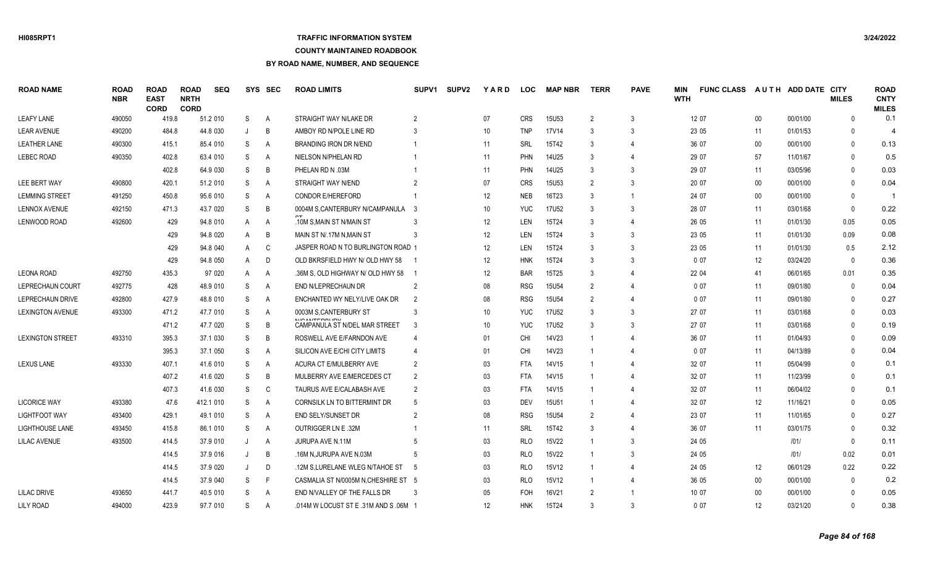# **TRAFFIC INFORMATION SYSTEM**

### **COUNTY MAINTAINED ROADBOOK**

| ROAD NAME               | <b>ROAD</b><br><b>NBR</b> | <b>ROAD</b><br><b>EAST</b><br><b>CORD</b> | <b>ROAD</b><br><b>NRTH</b><br><b>CORD</b> | <b>SEQ</b> |   | SYS SEC        | <b>ROAD LIMITS</b>                                    | SUPV <sub>1</sub> | <b>SUPV2</b> | <b>YARD</b>       | <b>LOC</b> | <b>MAP NBR</b> | <b>TERR</b>    | <b>PAVE</b>    | MIN<br><b>WTH</b> | <b>FUNC CLASS</b> | <b>AUTH</b> | ADD DATE CITY | <b>MILES</b> | <b>ROAD</b><br><b>CNTY</b><br><b>MILES</b> |
|-------------------------|---------------------------|-------------------------------------------|-------------------------------------------|------------|---|----------------|-------------------------------------------------------|-------------------|--------------|-------------------|------------|----------------|----------------|----------------|-------------------|-------------------|-------------|---------------|--------------|--------------------------------------------|
| <b>LEAFY LANE</b>       | 490050                    | 419.8                                     |                                           | 51.2 010   | S | A              | STRAIGHT WAY N/LAKE DR                                | 2                 |              | 07                | <b>CRS</b> | <b>15U53</b>   | 2              | 3              |                   | 12 07             | $00\,$      | 00/01/00      | $\Omega$     | 0.1                                        |
| <b>LEAR AVENUE</b>      | 490200                    | 484.8                                     |                                           | 44.8 030   |   | B              | AMBOY RD N/POLE LINE RD                               | 3                 |              | 10 <sup>°</sup>   | <b>TNP</b> | 17V14          | 3              | 3              |                   | 23 05             | 11          | 01/01/53      | $\Omega$     |                                            |
| LEATHER LANE            | 490300                    | 415.1                                     |                                           | 85.4 010   | S | $\overline{A}$ | BRANDING IRON DR N/END                                |                   |              | 11                | SRL        | 15T42          | 3              | 4              |                   | 36 07             | $00\,$      | 00/01/00      | $\Omega$     | 0.13                                       |
| LEBEC ROAD              | 490350                    | 402.8                                     |                                           | 63.4 010   | S | $\overline{A}$ | NIELSON N/PHELAN RD                                   |                   |              | 11                | <b>PHN</b> | 14U25          | 3              | 4              |                   | 29 07             | 57          | 11/01/67      | $\Omega$     | 0.5                                        |
|                         |                           | 402.8                                     |                                           | 64.9 030   | S | B              | PHELAN RD N .03M                                      |                   |              | 11                | <b>PHN</b> | 14U25          | 3              | 3              |                   | 29 07             | 11          | 03/05/96      | $\Omega$     | 0.03                                       |
| LEE BERT WAY            | 490800                    | 420.1                                     |                                           | 51.2 010   | S | $\overline{A}$ | STRAIGHT WAY N/END                                    |                   |              | 07                | <b>CRS</b> | <b>15U53</b>   | $\mathfrak{D}$ | 3              |                   | 20 07             | $00\,$      | 00/01/00      | $\Omega$     | 0.04                                       |
| LEMMING STREET          | 491250                    | 450.8                                     |                                           | 95.6 010   | S | $\overline{A}$ | <b>CONDOR E/HEREFORD</b>                              |                   |              | 12                | <b>NEB</b> | 16T23          | 3              | $\overline{1}$ |                   | 24 07             | $00\,$      | 00/01/00      | $\Omega$     |                                            |
| <b>LENNOX AVENUE</b>    | 492150                    | 471.3                                     |                                           | 43.7 020   | S | B              | 0004M S.CANTERBURY N/CAMPANULA                        | - 3               |              | 10                | <b>YUC</b> | <b>17U52</b>   | 3              | 3              |                   | 28 07             | 11          | 03/01/68      | $\Omega$     | 0.22                                       |
| LENWOOD ROAD            | 492600                    | 429                                       |                                           | 94.8 010   | A | A              | .10M S.MAIN ST N/MAIN ST                              | 3                 |              | 12                | LEN        | 15T24          | 3              | $\Delta$       |                   | 26 05             | 11          | 01/01/30      | 0.05         | 0.05                                       |
|                         |                           | 429                                       |                                           | 94.8 020   | A | B              | MAIN ST N/.17M N, MAIN ST                             | -3                |              | 12                | LEN        | 15T24          | 3              | 3              |                   | 23 05             | 11          | 01/01/30      | 0.09         | 0.08                                       |
|                         |                           | 429                                       |                                           | 94.8 040   | A | C              | JASPER ROAD N TO BURLINGTON ROAD 1                    |                   |              | 12                | LEN        | 15T24          | 3              | 3              |                   | 23 05             | 11          | 01/01/30      | 0.5          | 2.12                                       |
|                         |                           | 429                                       |                                           | 94.8 050   | A | D              | OLD BKRSFIELD HWY N/ OLD HWY 58                       |                   |              | 12                | <b>HNK</b> | 15T24          | 3              | 3              |                   | 007               | 12          | 03/24/20      | $\mathbf{0}$ | 0.36                                       |
| LEONA ROAD              | 492750                    | 435.3                                     |                                           | 97 020     | A | A              | .36M S. OLD HIGHWAY N/ OLD HWY 58                     |                   |              | $12 \overline{ }$ | <b>BAR</b> | 15T25          | 3              | $\Delta$       |                   | 22 04             | 41          | 06/01/65      | 0.01         | 0.35                                       |
| LEPRECHAUN COURT        | 492775                    | 428                                       |                                           | 48.9 010   | S | $\overline{A}$ | END N/LEPRECHAUN DR                                   | $\overline{2}$    |              | 08                | <b>RSG</b> | <b>15U54</b>   | $\mathfrak{D}$ | 4              |                   | 007               | 11          | 09/01/80      | $\Omega$     | 0.04                                       |
| LEPRECHAUN DRIVE        | 492800                    | 427.9                                     |                                           | 48.8 010   | S | A              | ENCHANTED WY NELY/LIVE OAK DR                         | $\overline{2}$    |              | 08                | <b>RSG</b> | <b>15U54</b>   | $\overline{2}$ | 4              |                   | 007               | 11          | 09/01/80      | $\Omega$     | 0.27                                       |
| <b>LEXINGTON AVENUE</b> | 493300                    | 471.2                                     |                                           | 47.7 010   | S | A              | 0003M S, CANTERBURY ST                                | 3                 |              | 10 <sup>°</sup>   | <b>YUC</b> | <b>17U52</b>   | 3              | 3              |                   | 27 07             | 11          | 03/01/68      | $\Omega$     | 0.03                                       |
|                         |                           | 471.2                                     |                                           | 47.7 020   | S | B              | <b>NIA ANTERRURY</b><br>CAMPANULA ST N/DEL MAR STREET | -3                |              | 10 <sup>°</sup>   | <b>YUC</b> | <b>17U52</b>   | 3              | 3              |                   | 27 07             | 11          | 03/01/68      | $\mathbf{0}$ | 0.19                                       |
| LEXINGTON STREET        | 493310                    | 395.3                                     |                                           | 37.1 030   | S | B              | ROSWELL AVE E/FARNDON AVE                             |                   |              | 01                | <b>CHI</b> | 14V23          |                | $\Delta$       |                   | 36 07             | 11          | 01/04/93      | $\Omega$     | 0.09                                       |
|                         |                           | 395.3                                     |                                           | 37.1 050   | S | $\overline{A}$ | SILICON AVE E/CHI CITY LIMITS                         |                   |              | 01                | <b>CHI</b> | 14V23          |                | 4              |                   | 007               | 11          | 04/13/89      | $\Omega$     | 0.04                                       |
| <b>LEXUS LANE</b>       | 493330                    | 407.1                                     |                                           | 41.6 010   | S | A              | <b>ACURA CT E/MULBERRY AVE</b>                        | $\overline{2}$    |              | 03                | FTA        | 14V15          | -1             | $\Delta$       |                   | 32 07             | 11          | 05/04/99      | $\Omega$     | 0.1                                        |
|                         |                           | 407.2                                     |                                           | 41.6 020   | S | B              | MULBERRY AVE E/MERCEDES CT                            | $\overline{2}$    |              | 03                | <b>FTA</b> | 14V15          |                | 4              |                   | 32 07             | 11          | 11/23/99      | $\Omega$     | 0.1                                        |
|                         |                           | 407.3                                     |                                           | 41.6 030   | S | C              | TAURUS AVE E/CALABASH AVE                             | $\overline{2}$    |              | 03                | <b>FTA</b> | 14V15          |                |                |                   | 32 07             | 11          | 06/04/02      | $\Omega$     | 0.1                                        |
| <b>LICORICE WAY</b>     | 493380                    | 47.6                                      |                                           | 412.1 010  | S | $\overline{A}$ | CORNSILK LN TO BITTERMINT DR                          | 5                 |              | 03                | <b>DEV</b> | <b>15U51</b>   | -1             | 4              |                   | 32 07             | 12          | 11/16/21      | $\Omega$     | 0.05                                       |
| <b>LIGHTFOOT WAY</b>    | 493400                    | 429.1                                     |                                           | 49.1 010   | S | A              | END SELY/SUNSET DR                                    | $\mathcal{P}$     |              | 08                | <b>RSG</b> | <b>15U54</b>   | 2              | 4              |                   | 23 07             | 11          | 11/01/65      | $\Omega$     | 0.27                                       |
| <b>LIGHTHOUSE LANE</b>  | 493450                    | 415.8                                     |                                           | 86.1 010   | S | $\overline{A}$ | <b>OUTRIGGER LN E .32M</b>                            |                   |              | 11                | SRL        | 15T42          | 3              | 4              |                   | 36 07             | 11          | 03/01/75      | $\Omega$     | 0.32                                       |
| <b>LILAC AVENUE</b>     | 493500                    | 414.5                                     |                                           | 37.9 010   |   | A              | <b>JURUPA AVE N.11M</b>                               |                   |              | 03                | <b>RLO</b> | 15V22          |                | 3              |                   | 24 05             |             | 1011          | $\mathbf{0}$ | 0.11                                       |
|                         |                           | 414.5                                     |                                           | 37.9 016   |   | B              | .16M N.JURUPA AVE N.03M                               | .5                |              | 03                | <b>RLO</b> | 15V22          |                | 3              |                   | 24 05             |             | 1011          | 0.02         | 0.01                                       |
|                         |                           | 414.5                                     |                                           | 37.9 020   |   | D              | .12M S, LURELANE WLEG N/TAHOE ST                      | $\sqrt{2}$        |              | 03                | <b>RLO</b> | 15V12          | -1             | 4              |                   | 24 05             | 12          | 06/01/29      | 0.22         | 0.22                                       |
|                         |                           | 414.5                                     |                                           | 37.9 040   | S | -F             | CASMALIA ST N/0005M N, CHESHIRE ST 5                  |                   |              | 03                | <b>RLO</b> | 15V12          |                | 4              |                   | 36 05             | $00\,$      | 00/01/00      | $\Omega$     | 0.2                                        |
| <b>LILAC DRIVE</b>      | 493650                    | 441.7                                     |                                           | 40.5 010   | S | A              | END N/VALLEY OF THE FALLS DR                          | -3                |              | 05                | <b>FOH</b> | 16V21          | $\mathfrak{D}$ |                |                   | 10 07             | $00\,$      | 00/01/00      | $\Omega$     | 0.05                                       |
| <b>LILY ROAD</b>        | 494000                    | 423.9                                     |                                           | 97.7 010   | S | A              | .014M W LOCUST ST E .31M AND S .06M                   |                   |              | 12                | <b>HNK</b> | 15T24          |                | 3              |                   | 007               | 12          | 03/21/20      | $\Omega$     | 0.38                                       |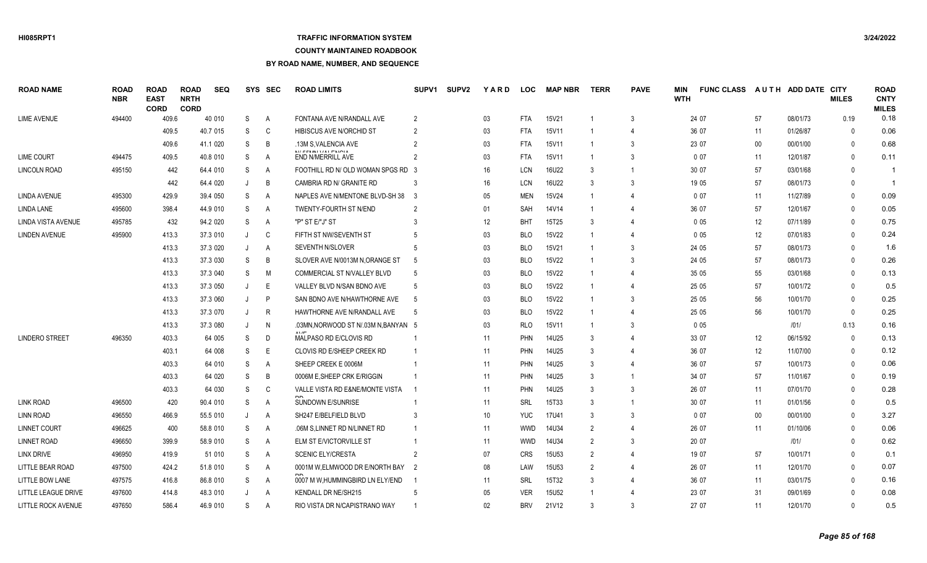# **TRAFFIC INFORMATION SYSTEM**

#### **COUNTY MAINTAINED ROADBOOK**

| <b>ROAD NAME</b>          | <b>ROAD</b><br><b>NBR</b> | <b>ROAD</b><br><b>EAST</b><br><b>CORD</b> | <b>ROAD</b><br><b>NRTH</b><br><b>CORD</b> | <b>SEQ</b> | <b>SYS</b> | <b>SEC</b> | <b>ROAD LIMITS</b>                             | SUPV1          | <b>SUPV2</b> | <b>YARD</b> | <b>LOC</b> | <b>MAP NBR</b>    | <b>TERR</b>    | <b>PAVE</b>           | MIN<br><b>WTH</b> | <b>FUNC CLASS</b> |        | AUTH ADD DATE CITY | <b>MILES</b> | <b>ROAD</b><br><b>CNTY</b><br><b>MILES</b> |
|---------------------------|---------------------------|-------------------------------------------|-------------------------------------------|------------|------------|------------|------------------------------------------------|----------------|--------------|-------------|------------|-------------------|----------------|-----------------------|-------------------|-------------------|--------|--------------------|--------------|--------------------------------------------|
| <b>LIME AVENUE</b>        | 494400                    | 409.6                                     |                                           | 40 010     | S          | A          | FONTANA AVE N/RANDALL AVE                      | 2              |              | 03          | FTA        | 15V21             |                | 3                     |                   | 24 07             | 57     | 08/01/73           | 0.19         | 0.18                                       |
|                           |                           | 409.5                                     |                                           | 40.7 015   | S          | C          | <b>HIBISCUS AVE N/ORCHID ST</b>                |                |              | 03          | <b>FTA</b> | 15V11             | -1             | 4                     |                   | 36 07             | 11     | 01/26/87           | $\Omega$     | 0.06                                       |
|                           |                           | 409.6                                     |                                           | 41.1 020   | S          | B          | .13M S.VALENCIA AVE                            |                |              | 03          | FTA        | 15V11             |                | 3                     |                   | 23 07             | 00     | 00/01/00           | 0            | 0.68                                       |
| <b>LIME COURT</b>         | 494475                    | 409.5                                     |                                           | 40.8 010   | S          | A          | <b>KILEFAALIVALEKIOLA</b><br>END N/MERRILL AVE |                |              | 03          | <b>FTA</b> | 15V11             | -1             | 3                     |                   | 007               | 11     | 12/01/87           | $\Omega$     | 0.11                                       |
| LINCOLN ROAD              | 495150                    | 442                                       |                                           | 64.4 010   | S          | A          | FOOTHILL RD N/ OLD WOMAN SPGS RD 3             |                |              | 16          | <b>LCN</b> | 16U22             | 3              |                       |                   | 30 07             | 57     | 03/01/68           | $\Omega$     |                                            |
|                           |                           | 442                                       |                                           | 64.4 020   |            | B          | CAMBRIA RD N/ GRANITE RD                       |                |              | 16          | LCN        | 16U22             | 3              | 3                     |                   | 19 05             | 57     | 08/01/73           | $\Omega$     |                                            |
| <b>LINDA AVENUE</b>       | 495300                    | 429.9                                     |                                           | 39.4 050   | S          | A          | NAPLES AVE N/MENTONE BLVD-SH 38                | - 3            |              | 05          | <b>MEN</b> | 15V24             |                |                       |                   | 007               | 11     | 11/27/89           | $\Omega$     | 0.09                                       |
| <b>LINDA LANE</b>         | 495600                    | 398.4                                     |                                           | 44.9 010   | S          | A          | TWENTY-FOURTH ST N/END                         | $\overline{2}$ |              | 01          | SAH        | 14V14             | -1             | 4                     |                   | 36 07             | 57     | 12/01/67           | $\mathbf{0}$ | 0.05                                       |
| <b>LINDA VISTA AVENUE</b> | 495785                    | 432                                       |                                           | 94.2 020   | S          | A          | "P" ST E/"J" ST                                |                |              | 12          | <b>BHT</b> | 15T25             | 3              | $\boldsymbol{\Delta}$ |                   | 005               | 12     | 07/11/89           | 0            | 0.75                                       |
| <b>LINDEN AVENUE</b>      | 495900                    | 413.3                                     |                                           | 37.3 010   |            | C          | FIFTH ST NW/SEVENTH ST                         |                |              | 03          | <b>BLO</b> | 15V22             |                | $\overline{4}$        |                   | 005               | 12     | 07/01/83           | $\Omega$     | 0.24                                       |
|                           |                           | 413.3                                     |                                           | 37.3 020   | J          | A          | SEVENTH N/SLOVER                               |                |              | 03          | <b>BLO</b> | 15V21             | -1             | 3                     |                   | 24 05             | 57     | 08/01/73           | 0            | 1.6                                        |
|                           |                           | 413.3                                     |                                           | 37.3 030   | S          | B          | SLOVER AVE N/0013M N.ORANGE ST                 | -5             |              | 03          | BLO        | 15V22             |                | 3                     |                   | 24 05             | 57     | 08/01/73           | $\Omega$     | 0.26                                       |
|                           |                           | 413.3                                     |                                           | 37.3 040   | S          | M          | COMMERCIAL ST N/VALLEY BLVD                    |                |              | 03          | <b>BLO</b> | <b>15V22</b>      | -1             |                       |                   | 35 05             | 55     | 03/01/68           | $\Omega$     | 0.13                                       |
|                           |                           | 413.3                                     |                                           | 37.3 050   |            | E          | VALLEY BLVD N/SAN BDNO AVE                     | -5             |              | 03          | <b>BLO</b> | 15V22             |                |                       |                   | 25 05             | 57     | 10/01/72           | $\Omega$     | 0.5                                        |
|                           |                           | 413.3                                     |                                           | 37.3 060   |            | P          | SAN BDNO AVE N/HAWTHORNE AVE                   | -5             |              | 03          | <b>BLO</b> | 15V22             |                | 3                     |                   | 25 05             | 56     | 10/01/70           | $\Omega$     | 0.25                                       |
|                           |                           | 413.3                                     |                                           | 37.3 070   |            | R          | HAWTHORNE AVE N/RANDALL AVE                    | -5             |              | 03          | <b>BLO</b> | <b>15V22</b>      | -1             | $\overline{4}$        |                   | 25 05             | 56     | 10/01/70           | $\mathbf{0}$ | 0.25                                       |
|                           |                           | 413.3                                     |                                           | 37.3 080   |            | N          | .03MN, NORWOOD ST N/.03M N, BANYAN 5           |                |              | 03          | <b>RLO</b> | 15V11             |                | 3                     |                   | 0 0 5             |        | 1011               | 0.13         | 0.16                                       |
| <b>LINDERO STREET</b>     | 496350                    | 403.3                                     |                                           | 64 005     | S          | D          | $\lambda$ $\lambda$<br>MALPASO RD E/CLOVIS RD  |                |              | 11          | <b>PHN</b> | 14U25             | 3              | $\boldsymbol{\Delta}$ |                   | 33 07             | 12     | 06/15/92           | $\Omega$     | 0.13                                       |
|                           |                           | 403.1                                     |                                           | 64 008     | S          | Ε          | <b>CLOVIS RD E/SHEEP CREEK RD</b>              |                |              | 11          | <b>PHN</b> | 14U25             | 3              | 4                     |                   | 36 07             | 12     | 11/07/00           | $\Omega$     | 0.12                                       |
|                           |                           | 403.3                                     |                                           | 64 010     | S          | A          | SHEEP CREEK E 0006M                            |                |              | 11          | <b>PHN</b> | 14U25             | 3              | $\boldsymbol{\Delta}$ |                   | 36 07             | 57     | 10/01/73           | $\Omega$     | 0.06                                       |
|                           |                           | 403.3                                     |                                           | 64 020     | S          | B          | 0006M E, SHEEP CRK E/RIGGIN                    |                |              | 11          | <b>PHN</b> | 14U25             | 3              |                       |                   | 34 07             | 57     | 11/01/67           | $\Omega$     | 0.19                                       |
|                           |                           | 403.3                                     |                                           | 64 030     | S          | C          | VALLE VISTA RD E&NE/MONTE VISTA                |                |              | 11          | <b>PHN</b> | 14U25             | -3             | 3                     |                   | 26 07             | 11     | 07/01/70           | $\Omega$     | 0.28                                       |
| <b>LINK ROAD</b>          | 496500                    | 420                                       |                                           | 90.4 010   | S          | A          | SUNDOWN E/SUNRISE                              |                |              | 11          | SRL        | 15T33             | 3              |                       |                   | 30 07             | 11     | 01/01/56           | $\Omega$     | 0.5                                        |
| LINN ROAD                 | 496550                    | 466.9                                     |                                           | 55.5 010   | J          | A          | SH247 E/BELFIELD BLVD                          | -3             |              | 10          | <b>YUC</b> | 17U41             | 3              | 3                     |                   | 007               | $00\,$ | 00/01/00           | $\Omega$     | 3.27                                       |
| <b>LINNET COURT</b>       | 496625                    | 400                                       |                                           | 58.8 010   | S          | A          | .06M S, LINNET RD N/LINNET RD                  |                |              | 11          | <b>WWD</b> | 14U34             | $\overline{2}$ | 4                     |                   | 26 07             | 11     | 01/10/06           | 0            | 0.06                                       |
| <b>LINNET ROAD</b>        | 496650                    | 399.9                                     |                                           | 58.9 010   | S          | A          | ELM ST E/VICTORVILLE ST                        |                |              | 11          | <b>WWD</b> | 14U34             | 2              | 3                     |                   | 20 07             |        | 1011               | $\Omega$     | 0.62                                       |
| LINX DRIVE                | 496950                    | 419.9                                     |                                           | 51 010     | S          | A          | <b>SCENIC ELY/CRESTA</b>                       |                |              | 07          | <b>CRS</b> | 15U <sub>53</sub> | 2              | 4                     |                   | 19 07             | 57     | 10/01/71           | $\Omega$     | 0.1                                        |
| LITTLE BEAR ROAD          | 497500                    | 424.2                                     |                                           | 51.8 010   | S          | A          | 0001M W, ELMWOOD DR E/NORTH BAY 2              |                |              | 08          | LAW        | 15U <sub>53</sub> | 2              |                       |                   | 26 07             | 11     | 12/01/70           | $\mathbf{0}$ | 0.07                                       |
| LITTLE BOW LANE           | 497575                    | 416.8                                     |                                           | 86.8 010   | S          | A          | 0007 M W.HUMMINGBIRD LN ELY/END                |                |              | 11          | SRL        | 15T32             | 3              | $\boldsymbol{\Delta}$ |                   | 36 07             | 11     | 03/01/75           | $\Omega$     | 0.16                                       |
| LITTLE LEAGUE DRIVE       | 497600                    | 414.8                                     |                                           | 48.3 010   |            | A          | KENDALL DR NE/SH215                            | -5             |              | 05          | <b>VER</b> | <b>15U52</b>      |                |                       |                   | 23 07             | 31     | 09/01/69           |              | 0.08                                       |
| LITTLE ROCK AVENUE        | 497650                    | 586.4                                     |                                           | 46.9 010   | S          | A          | RIO VISTA DR N/CAPISTRANO WAY                  |                |              | 02          | <b>BRV</b> | 21V12             | 3              | 3                     |                   | 27 07             | 11     | 12/01/70           | $\Omega$     | 0.5                                        |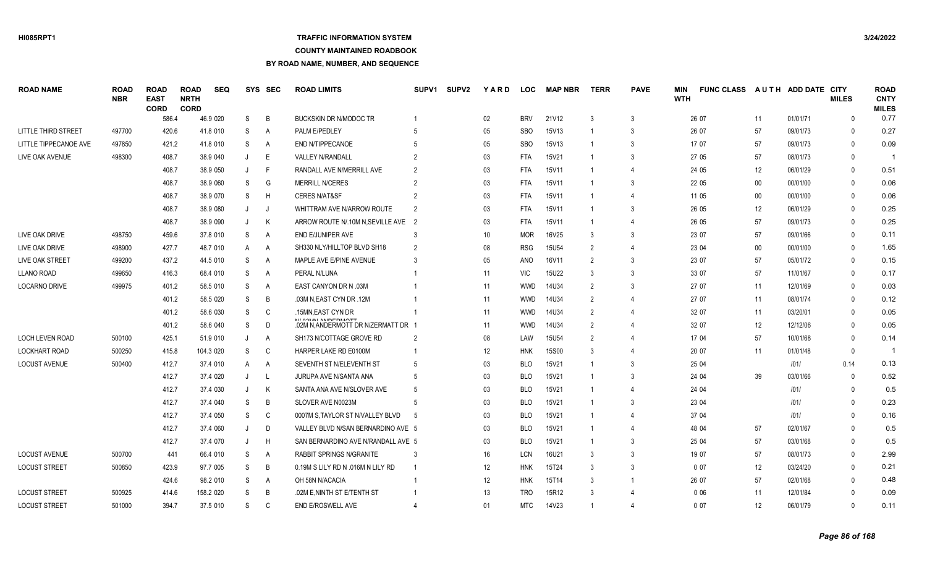# **TRAFFIC INFORMATION SYSTEM**

### **COUNTY MAINTAINED ROADBOOK**

| <b>ROAD NAME</b>           | <b>ROAD</b><br><b>NBR</b> | <b>ROAD</b><br><b>EAST</b><br><b>CORD</b> | <b>ROAD</b><br><b>NRTH</b><br><b>CORD</b> | <b>SEQ</b> |              | SYS SEC        | <b>ROAD LIMITS</b>                                                | SUPV <sub>1</sub> | <b>SUPV2</b> | YARD | <b>LOC</b> | <b>MAP NBR</b>    | <b>TERR</b>    | <b>PAVE</b>    | MIN<br><b>WTH</b> | <b>FUNC CLASS</b> |        | AUTH ADD DATE CITY | <b>MILES</b> | <b>ROAD</b><br><b>CNTY</b><br><b>MILES</b> |
|----------------------------|---------------------------|-------------------------------------------|-------------------------------------------|------------|--------------|----------------|-------------------------------------------------------------------|-------------------|--------------|------|------------|-------------------|----------------|----------------|-------------------|-------------------|--------|--------------------|--------------|--------------------------------------------|
|                            |                           | 586.4                                     |                                           | 46.9 020   | S            | B              | <b>BUCKSKIN DR N/MODOC TR</b>                                     |                   |              | 02   | <b>BRV</b> | 21V12             | 3              | 3              |                   | 26 07             | 11     | 01/01/71           | $\Omega$     | 0.77                                       |
| <b>LITTLE THIRD STREET</b> | 497700                    | 420.6                                     |                                           | 41.8 010   | -S           | A              | PALM E/PEDLEY                                                     |                   |              | 05   | <b>SBO</b> | 15V13             |                | 3              |                   | 26 07             | 57     | 09/01/73           |              | 0.27                                       |
| LITTLE TIPPECANOE AVE      | 497850                    | 421.2                                     |                                           | 41.8 010   | -S           | A              | END N/TIPPECANOE                                                  |                   |              | 05   | <b>SBO</b> | 15V13             |                | 3              |                   | 17 07             | 57     | 09/01/73           | $\Omega$     | 0.09                                       |
| LIVE OAK AVENUE            | 498300                    | 408.7                                     |                                           | 38.9 040   |              | E              | <b>VALLEY N/RANDALL</b>                                           |                   |              | 03   | <b>FTA</b> | 15V21             |                | 3              |                   | 27 05             | 57     | 08/01/73           | $\Omega$     |                                            |
|                            |                           | 408.7                                     |                                           | 38.9 050   | $\cdot$      | F              | RANDALL AVE N/MERRILL AVE                                         | $\overline{2}$    |              | 03   | <b>FTA</b> | 15V11             |                | $\overline{4}$ |                   | 24 05             | 12     | 06/01/29           | $\Omega$     | 0.51                                       |
|                            |                           | 408.7                                     |                                           | 38.9 060   | S            | G              | <b>MERRILL N/CERES</b>                                            |                   |              | 03   | <b>FTA</b> | 15V11             |                | 3              |                   | 22 05             | $00\,$ | 00/01/00           | $\Omega$     | 0.06                                       |
|                            |                           | 408.7                                     |                                           | 38.9 070   | -S           | H              | <b>CERES N/AT&amp;SF</b>                                          |                   |              | 03   | <b>FTA</b> | 15V11             |                | $\Delta$       |                   | 11 05             | 00     | 00/01/00           | $\Omega$     | 0.06                                       |
|                            |                           | 408.7                                     |                                           | 38.9 080   |              | J              | WHITTRAM AVE N/ARROW ROUTE                                        | $\mathfrak{p}$    |              | 03   | FTA        | 15V11             |                | 3              |                   | 26 05             | 12     | 06/01/29           | $\Omega$     | 0.25                                       |
|                            |                           | 408.7                                     |                                           | 38.9 090   | $\cdot$ .    | К              | ARROW ROUTE N/.10M N, SEVILLE AVE 2                               |                   |              | 03   | <b>FTA</b> | 15V11             |                | $\Delta$       |                   | 26 05             | 57     | 09/01/73           | $\Omega$     | 0.25                                       |
| LIVE OAK DRIVE             | 498750                    | 459.6                                     |                                           | 37.8 010   | <sub>S</sub> | A              | END E/JUNIPER AVE                                                 |                   |              | 10   | <b>MOR</b> | 16V25             | 3              | 3              |                   | 23 07             | 57     | 09/01/66           | $\Omega$     | 0.11                                       |
| LIVE OAK DRIVE             | 498900                    | 427.7                                     |                                           | 48.7 010   | A            | A              | SH330 NLY/HILLTOP BLVD SH18                                       |                   |              | 08   | <b>RSG</b> | 15U54             | $\mathcal{P}$  | $\overline{4}$ |                   | 23 04             | $00\,$ | 00/01/00           | $\Omega$     | 1.65                                       |
| LIVE OAK STREET            | 499200                    | 437.2                                     |                                           | 44.5 010   | <sub>S</sub> | A              | MAPLE AVE E/PINE AVENUE                                           |                   |              | 05   | <b>ANO</b> | 16V11             | $\mathcal{P}$  | 3              |                   | 23 07             | 57     | 05/01/72           | $\Omega$     | 0.15                                       |
| <b>LLANO ROAD</b>          | 499650                    | 416.3                                     |                                           | 68.4 010   | <sub>S</sub> | $\mathsf{A}$   | PERAL N/LUNA                                                      |                   |              | 11   | <b>VIC</b> | <b>15U22</b>      | 3              | 3              |                   | 33 07             | 57     | 11/01/67           | $\Omega$     | 0.17                                       |
| <b>LOCARNO DRIVE</b>       | 499975                    | 401.2                                     |                                           | 58.5 010   | <sub>S</sub> | $\overline{A}$ | EAST CANYON DR N .03M                                             |                   |              | 11   | <b>WWD</b> | 14U34             | $\mathcal{P}$  | 3              |                   | 27 07             | 11     | 12/01/69           | $\Omega$     | 0.03                                       |
|                            |                           | 401.2                                     |                                           | 58.5 020   | -S           | B              | .03M N, EAST CYN DR .12M                                          |                   |              | 11   | <b>WWD</b> | 14U34             | $\mathcal{P}$  |                |                   | 27 07             | 11     | 08/01/74           | $\Omega$     | 0.12                                       |
|                            |                           | 401.2                                     |                                           | 58.6 030   | -S           | C              | .15MN, EAST CYN DR                                                |                   |              | 11   | <b>WWD</b> | 14U34             | $\overline{2}$ | $\Delta$       |                   | 32 07             | 11     | 03/20/01           | $\Omega$     | 0.05                                       |
|                            |                           | 401.2                                     |                                           | 58.6 040   | S            | D              | <b>MILOOLINE ANIDEDIAOTT</b><br>.02M N, ANDERMOTT DR N/ZERMATT DR |                   |              | 11   | <b>WWD</b> | 14U34             | $\overline{2}$ | 4              |                   | 32 07             | 12     | 12/12/06           | $\Omega$     | 0.05                                       |
| LOCH LEVEN ROAD            | 500100                    | 425.1                                     |                                           | 51.9 010   |              | A              | SH173 N/COTTAGE GROVE RD                                          |                   |              | 08   | LAW        | 15U <sub>54</sub> | $\overline{2}$ | $\Delta$       |                   | 17 04             | 57     | 10/01/68           |              | 0.14                                       |
| LOCKHART ROAD              | 500250                    | 415.8                                     |                                           | 104.3 020  | <sub>S</sub> | C              | HARPER LAKE RD E0100M                                             |                   |              | 12   | <b>HNK</b> | <b>15S00</b>      | 3              | $\overline{4}$ |                   | 20 07             | 11     | 01/01/48           | $\mathbf 0$  |                                            |
| <b>LOCUST AVENUE</b>       | 500400                    | 412.7                                     |                                           | 37.4 010   | A            | A              | SEVENTH ST N/ELEVENTH ST                                          |                   |              | 03   | <b>BLO</b> | 15V21             |                | 3              |                   | 25 04             |        | 1011               | 0.14         | 0.13                                       |
|                            |                           | 412.7                                     |                                           | 37.4 020   |              | -L             | JURUPA AVE N/SANTA ANA                                            | 5                 |              | 03   | <b>BLO</b> | 15V21             |                | 3              |                   | 24 04             | 39     | 03/01/66           | $\Omega$     | 0.52                                       |
|                            |                           | 412.7                                     |                                           | 37.4 030   |              | K              | SANTA ANA AVE N/SLOVER AVE                                        |                   |              | 03   | <b>BLO</b> | 15V21             |                | $\Delta$       |                   | 24 04             |        | 1011               | $\Omega$     | 0.5                                        |
|                            |                           | 412.7                                     |                                           | 37.4 040   | -S           | B              | SLOVER AVE N0023M                                                 | 5                 |              | 03   | <b>BLO</b> | 15V21             |                | 3              |                   | 23 04             |        | 1011               | $\Omega$     | 0.23                                       |
|                            |                           | 412.7                                     |                                           | 37.4 050   | S            | C              | 0007M S, TAYLOR ST N/VALLEY BLVD                                  | .5                |              | 03   | <b>BLO</b> | 15V21             |                | $\Delta$       |                   | 37 04             |        | 1011               | $\Omega$     | 0.16                                       |
|                            |                           | 412.7                                     |                                           | 37.4 060   |              | D              | VALLEY BLVD N/SAN BERNARDINO AVE 5                                |                   |              | 03   | <b>BLO</b> | 15V21             |                | $\Delta$       |                   | 48 04             | 57     | 02/01/67           | $\Omega$     | 0.5                                        |
|                            |                           | 412.7                                     |                                           | 37.4 070   |              | H              | SAN BERNARDINO AVE N/RANDALL AVE 5                                |                   |              | 03   | <b>BLO</b> | 15V21             |                | 3              |                   | 25 04             | 57     | 03/01/68           | $\Omega$     | 0.5                                        |
| <b>LOCUST AVENUE</b>       | 500700                    | 441                                       |                                           | 66.4 010   | -S           | A              | <b>RABBIT SPRINGS N/GRANITE</b>                                   | -3                |              | 16   | <b>LCN</b> | 16U21             | 3              | 3              |                   | 19 07             | 57     | 08/01/73           | $\Omega$     | 2.99                                       |
| <b>LOCUST STREET</b>       | 500850                    | 423.9                                     |                                           | 97.7 005   | <sub>S</sub> | B              | 0.19M S LILY RD N .016M N LILY RD                                 |                   |              | 12   | <b>HNK</b> | 15T24             | $\mathcal{R}$  | 3              |                   | 007               | 12     | 03/24/20           | $\Omega$     | 0.21                                       |
|                            |                           | 424.6                                     |                                           | 98.2 010   | -S           | A              | OH 58N N/ACACIA                                                   |                   |              | 12   | <b>HNK</b> | 15T14             |                | $\overline{1}$ |                   | 26 07             | 57     | 02/01/68           | $\Omega$     | 0.48                                       |
| <b>LOCUST STREET</b>       | 500925                    | 414.6                                     |                                           | 158.2 020  | -S           | B              | .02M E.NINTH ST E/TENTH ST                                        |                   |              | 13   | <b>TRO</b> | 15R12             |                |                |                   | 006               | 11     | 12/01/84           |              | 0.09                                       |
| <b>LOCUST STREET</b>       | 501000                    | 394.7                                     |                                           | 37.5 010   | <sub>S</sub> | C              | <b>END E/ROSWELL AVE</b>                                          |                   |              | 01   | <b>MTC</b> | 14V23             |                | $\overline{4}$ |                   | 0.07              | 12     | 06/01/79           | $\Omega$     | 0.11                                       |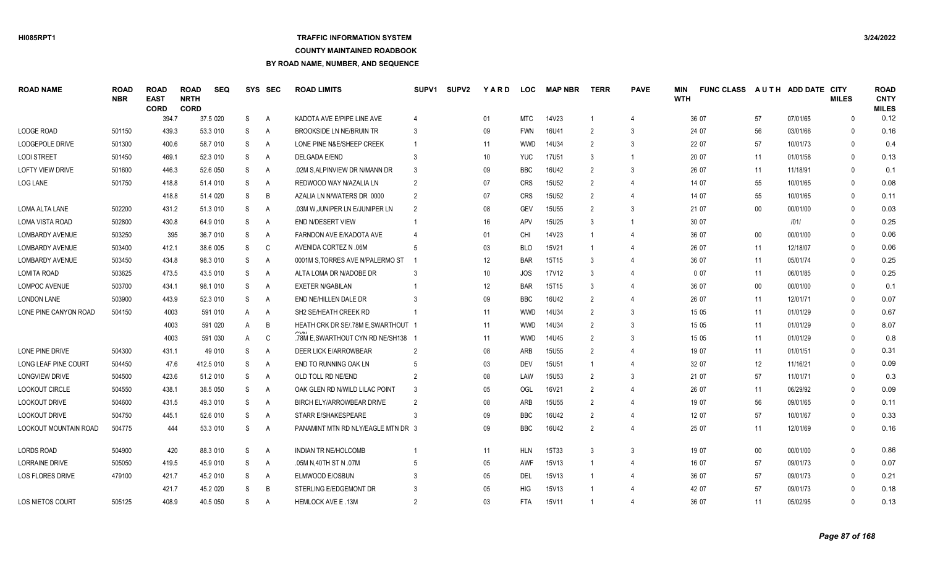## **TRAFFIC INFORMATION SYSTEM**

### **COUNTY MAINTAINED ROADBOOK**

| <b>ROAD NAME</b>            | <b>ROAD</b><br><b>NBR</b> | <b>ROAD</b><br><b>EAST</b><br><b>CORD</b> | <b>ROAD</b><br><b>NRTH</b><br><b>CORD</b> | <b>SEQ</b> |   | SYS SEC | <b>ROAD LIMITS</b>                 | SUPV <sub>1</sub> | <b>SUPV2</b> | YARD | <b>LOC</b> | <b>MAP NBR</b> | <b>TERR</b>    | <b>PAVE</b>                 | MIN<br><b>WTH</b> | <b>FUNC CLASS</b> |        | AUTH ADD DATE CITY | <b>MILES</b> | <b>ROAD</b><br><b>CNTY</b><br><b>MILES</b> |
|-----------------------------|---------------------------|-------------------------------------------|-------------------------------------------|------------|---|---------|------------------------------------|-------------------|--------------|------|------------|----------------|----------------|-----------------------------|-------------------|-------------------|--------|--------------------|--------------|--------------------------------------------|
|                             |                           | 394.7                                     |                                           | 37.5 020   | S | A       | KADOTA AVE E/PIPE LINE AVE         |                   |              | 01   | <b>MTC</b> | 14V23          |                | $\boldsymbol{\Delta}$       |                   | 36 07             | 57     | 07/01/65           | $\Omega$     | 0.12                                       |
| LODGE ROAD                  | 501150                    | 439.3                                     |                                           | 53.3 010   | S | A       | <b>BROOKSIDE LN NE/BRUIN TR</b>    |                   |              | 09   | <b>FWN</b> | 16U41          | $\mathcal{P}$  | 3                           |                   | 24 07             | 56     | 03/01/66           | $\Omega$     | 0.16                                       |
| LODGEPOLE DRIVE             | 501300                    | 400.6                                     |                                           | 58.7 010   | S | A       | LONE PINE N&E/SHEEP CREEK          |                   |              | 11   | <b>WWD</b> | 14U34          | 2              | 3                           |                   | 22 07             | 57     | 10/01/73           | $\Omega$     | 0.4                                        |
| <b>LODI STREET</b>          | 501450                    | 469.1                                     |                                           | 52.3 010   | S | Α       | <b>DELGADA E/END</b>               |                   |              | 10   | <b>YUC</b> | 17U51          | 3              | $\mathbf{1}$                |                   | 20 07             | 11     | 01/01/58           | $\Omega$     | 0.13                                       |
| <b>LOFTY VIEW DRIVE</b>     | 501600                    | 446.3                                     |                                           | 52.6 050   | S | A       | .02M S.ALPINVIEW DR N/MANN DR      |                   |              | 09   | <b>BBC</b> | 16U42          | 2              | 3                           |                   | 26 07             | 11     | 11/18/91           | $\Omega$     | 0.1                                        |
| LOG LANE                    | 501750                    | 418.8                                     |                                           | 51.4 010   | S | A       | REDWOOD WAY N/AZALIA LN            | $\mathcal{P}$     |              | 07   | <b>CRS</b> | <b>15U52</b>   | 2              |                             |                   | 14 07             | 55     | 10/01/65           | $\Omega$     | 0.08                                       |
|                             |                           | 418.8                                     |                                           | 51.4 020   | S | B       | AZALIA LN N/WATERS DR 0000         |                   |              | 07   | <b>CRS</b> | <b>15U52</b>   |                |                             |                   | 14 07             | 55     | 10/01/65           | $\Omega$     | 0.11                                       |
| <b>LOMA ALTA LANE</b>       | 502200                    | 431.2                                     |                                           | 51.3 010   | S | A       | .03M W.JUNIPER LN E/JUNIPER LN     | $\overline{2}$    |              | 08   | <b>GEV</b> | <b>15U55</b>   | $\overline{2}$ | 3                           |                   | 21 07             | $00\,$ | 00/01/00           | $\mathbf{0}$ | 0.03                                       |
| <b>LOMA VISTA ROAD</b>      | 502800                    | 430.8                                     |                                           | 64.9 010   | S | A       | <b>END N/DESERT VIEW</b>           |                   |              | 16   | APV        | 15U25          |                | -1                          |                   | 30 07             |        | 1011               | $\Omega$     | 0.25                                       |
| <b>LOMBARDY AVENUE</b>      | 503250                    | 395                                       |                                           | 36.7 010   | S | Α       | FARNDON AVE E/KADOTA AVE           |                   |              | 01   | CHI        | 14V23          |                | 4                           |                   | 36 07             | $00\,$ | 00/01/00           | $\Omega$     | 0.06                                       |
| <b>LOMBARDY AVENUE</b>      | 503400                    | 412.1                                     |                                           | 38.6 005   | S | C       | AVENIDA CORTEZ N .06M              |                   |              | 03   | <b>BLO</b> | 15V21          |                | 4                           |                   | 26 07             | 11     | 12/18/07           | $\Omega$     | 0.06                                       |
| LOMBARDY AVENUE             | 503450                    | 434.8                                     |                                           | 98.3 010   | S | Α       | 0001M S.TORRES AVE N/PALERMO ST    |                   |              | 12   | <b>BAR</b> | 15T15          | -3             |                             |                   | 36 07             | 11     | 05/01/74           | $\mathbf{0}$ | 0.25                                       |
| <b>LOMITA ROAD</b>          | 503625                    | 473.5                                     |                                           | 43.5 010   | S | A       | ALTA LOMA DR N/ADOBE DR            |                   |              | 10   | <b>JOS</b> | 17V12          | $\mathbf{3}$   |                             |                   | 007               | 11     | 06/01/85           | $\Omega$     | 0.25                                       |
| <b>LOMPOC AVENUE</b>        | 503700                    | 434.1                                     |                                           | 98.1 010   | S | Α       | <b>EXETER N/GABILAN</b>            |                   |              | 12   | <b>BAR</b> | 15T15          |                |                             |                   | 36 07             | 00     | 00/01/00           | $\Omega$     | 0.1                                        |
| <b>LONDON LANE</b>          | 503900                    | 443.9                                     |                                           | 52.3 010   | S | Α       | END NE/HILLEN DALE DR              |                   |              | 09   | <b>BBC</b> | 16U42          | $\mathcal{P}$  | 4                           |                   | 26 07             | 11     | 12/01/71           | $\Omega$     | 0.07                                       |
| LONE PINE CANYON ROAD       | 504150                    | 4003                                      |                                           | 591 010    | A | Α       | SH2 SE/HEATH CREEK RD              |                   |              | 11   | <b>WWD</b> | 14U34          | $\mathcal{P}$  | 3                           |                   | 15 05             | 11     | 01/01/29           | $\mathbf{0}$ | 0.67                                       |
|                             |                           | 4003                                      |                                           | 591 020    | A | B       | HEATH CRK DR SE/.78M E, SWARTHOUT  |                   |              | 11   | <b>WWD</b> | 14U34          | $\mathcal{P}$  | 3                           |                   | 15 05             | 11     | 01/01/29           | $\Omega$     | 8.07                                       |
|                             |                           | 4003                                      |                                           | 591 030    | A | C       | .78M E, SWARTHOUT CYN RD NE/SH138  |                   |              | 11   | <b>WWD</b> | 14U45          | $\mathcal{P}$  | 3                           |                   | 15 05             | 11     | 01/01/29           | $\Omega$     | 0.8                                        |
| LONE PINE DRIVE             | 504300                    | 431.1                                     |                                           | 49 010     | S | Α       | DEER LICK E/ARROWBEAR              |                   |              | 08   | ARB        | <b>15U55</b>   | $\overline{2}$ |                             |                   | 19 07             | 11     | 01/01/51           | $\mathbf{0}$ | 0.31                                       |
| <b>LONG LEAF PINE COURT</b> | 504450                    | 47.6                                      |                                           | 412.5 010  | S | A       | END TO RUNNING OAK LN              |                   |              | 03   | <b>DEV</b> | <b>15U51</b>   |                | $\Delta$                    |                   | 32 07             | 12     | 11/16/21           | $\Omega$     | 0.09                                       |
| <b>LONGVIEW DRIVE</b>       | 504500                    | 423.6                                     |                                           | 51.2 010   | S | Α       | OLD TOLL RD NE/END                 |                   |              | 08   | LAW        | <b>15U53</b>   | $\mathcal{P}$  | 3                           |                   | 21 07             | 57     | 11/01/71           | $\Omega$     | 0.3                                        |
| <b>LOOKOUT CIRCLE</b>       | 504550                    | 438.1                                     |                                           | 38.5 050   | S | Α       | OAK GLEN RD N/WILD LILAC POINT     |                   |              | 05   | <b>OGL</b> | 16V21          | $\overline{2}$ | $\boldsymbol{\vartriangle}$ |                   | 26 07             | 11     | 06/29/92           | $\Omega$     | 0.09                                       |
| LOOKOUT DRIVE               | 504600                    | 431.5                                     |                                           | 49.3 010   | S | Α       | BIRCH ELY/ARROWBEAR DRIVE          | 2                 |              | 08   | ARB        | 15U55          | $\overline{2}$ | $\overline{4}$              |                   | 19 07             | 56     | 09/01/65           | $\mathbf{0}$ | 0.11                                       |
| LOOKOUT DRIVE               | 504750                    | 445.1                                     |                                           | 52.6 010   | S | Α       | STARR E/SHAKESPEARE                |                   |              | 09   | <b>BBC</b> | 16U42          |                | $\boldsymbol{\vartriangle}$ |                   | 12 07             | 57     | 10/01/67           | $\Omega$     | 0.33                                       |
| LOOKOUT MOUNTAIN ROAD       | 504775                    |                                           | 444                                       | 53.3 010   | S | A       | PANAMINT MTN RD NLY/EAGLE MTN DR 3 |                   |              | 09   | <b>BBC</b> | 16U42          | 2              | $\boldsymbol{\vartriangle}$ |                   | 25 07             | 11     | 12/01/69           | $\Omega$     | 0.16                                       |
| <b>LORDS ROAD</b>           | 504900                    | 420                                       |                                           | 88.3 010   | S | A       | <b>INDIAN TR NE/HOLCOMB</b>        |                   |              | 11   | <b>HLN</b> | 15T33          |                | 3                           |                   | 19 07             | $00\,$ | 00/01/00           | $\Omega$     | 0.86                                       |
| <b>LORRAINE DRIVE</b>       | 505050                    | 419.5                                     |                                           | 45.9 010   | S | Α       | 05M N.40TH ST N .07M               |                   |              | 05   | <b>AWF</b> | 15V13          |                |                             |                   | 16 07             | 57     | 09/01/73           | $\Omega$     | 0.07                                       |
| <b>LOS FLORES DRIVE</b>     | 479100                    | 421.7                                     |                                           | 45.2 010   | S | Α       | ELMWOOD E/OSBUN                    |                   |              | 05   | DEL        | 15V13          |                |                             |                   | 36 07             | 57     | 09/01/73           | $\mathbf{0}$ | 0.21                                       |
|                             |                           | 421.7                                     |                                           | 45.2 020   | S | B       | STERLING E/EDGEMONT DR             |                   |              | 05   | <b>HIG</b> | 15V13          |                |                             |                   | 42 07             | 57     | 09/01/73           | $\Omega$     | 0.18                                       |
| LOS NIETOS COURT            | 505125                    | 408.9                                     |                                           | 40.5 050   | S | A       | HEMLOCK AVE E.13M                  | $\mathcal{P}$     |              | 03   | <b>FTA</b> | 15V11          |                | 4                           |                   | 36 07             | 11     | 05/02/95           | $\Omega$     | 0.13                                       |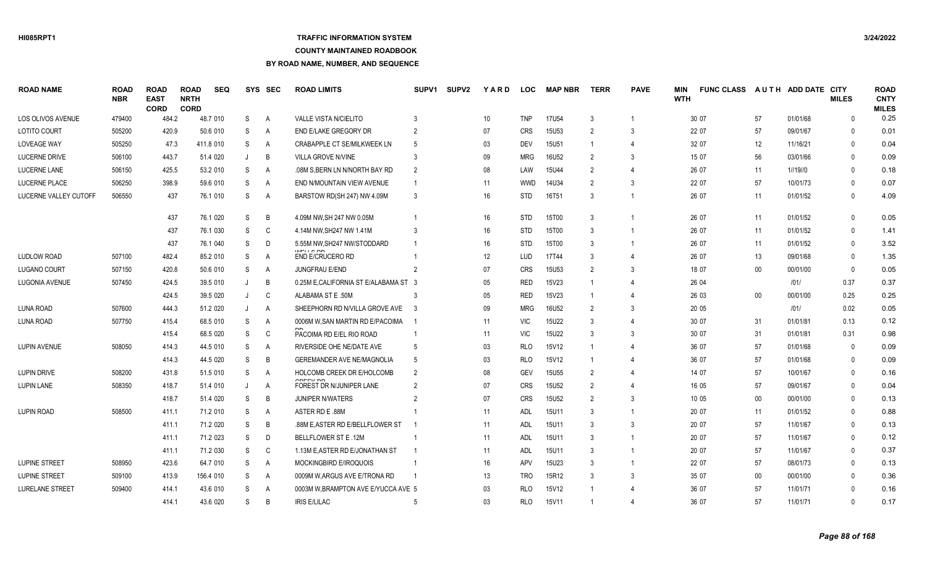# **TRAFFIC INFORMATION SYSTEM**

#### **COUNTY MAINTAINED ROADBOOK**

**BY ROAD NAME, NUMBER, AND SEQUENCE**

| <b>ROAD NAME</b>       | <b>ROAD</b><br><b>NBR</b> | <b>ROAD</b><br><b>EAST</b><br><b>CORD</b> | <b>ROAD</b><br><b>NRTH</b><br><b>CORD</b> | <b>SEQ</b> |    | SYS SEC        | <b>ROAD LIMITS</b>                   | SUPV <sub>1</sub> | <b>SUPV2</b> | <b>YARD</b>     | <b>LOC</b> | <b>MAP NBR</b>    | <b>TERR</b>    | <b>PAVE</b>    | MIN<br><b>WTH</b> | <b>FUNC CLASS</b> |        | AUTH ADD DATE CITY | <b>MILES</b> | <b>ROAD</b><br><b>CNTY</b><br><b>MILES</b> |
|------------------------|---------------------------|-------------------------------------------|-------------------------------------------|------------|----|----------------|--------------------------------------|-------------------|--------------|-----------------|------------|-------------------|----------------|----------------|-------------------|-------------------|--------|--------------------|--------------|--------------------------------------------|
| LOS OLIVOS AVENUE      | 479400                    | 484.2                                     |                                           | 48.7 010   | S  | A              | <b>VALLE VISTA N/CIELITO</b>         |                   |              | 10 <sup>°</sup> | <b>TNP</b> | <b>17U54</b>      | 3              |                |                   | 30 07             | 57     | 01/01/68           | $\Omega$     | 0.25                                       |
| <b>LOTITO COURT</b>    | 505200                    | 420.9                                     |                                           | 50.6 010   | S  | A              | END E/LAKE GREGORY DR                | 2                 |              | 07              | <b>CRS</b> | 15U53             | $\mathcal{P}$  | 3              |                   | 22 07             | 57     | 09/01/67           | $\Omega$     | 0.01                                       |
| <b>LOVEAGE WAY</b>     | 505250                    | 47.3                                      |                                           | 411.8 010  | S  | $\overline{A}$ | <b>CRABAPPLE CT SE/MILKWEEK LN</b>   |                   |              | 03              | <b>DEV</b> | <b>15U51</b>      |                | $\overline{4}$ |                   | 32 07             | 12     | 11/16/21           | $\Omega$     | 0.04                                       |
| <b>LUCERNE DRIVE</b>   | 506100                    | 443.7                                     |                                           | 51.4 020   |    | B              | <b>VILLA GROVE N/VINE</b>            |                   |              | 09              | <b>MRG</b> | 16U52             | $\overline{2}$ | 3              |                   | 15 07             | 56     | 03/01/66           | $\Omega$     | 0.09                                       |
| LUCERNE LANE           | 506150                    | 425.5                                     |                                           | 53.2 010   | S  | A              | .08M S, BERN LN N/NORTH BAY RD       | $\overline{2}$    |              | 08              | LAW        | 15U44             | $\overline{2}$ | $\overline{4}$ |                   | 26 07             | 11     | 1//19//0           | $\mathbf{0}$ | 0.18                                       |
| <b>LUCERNE PLACE</b>   | 506250                    | 398.9                                     |                                           | 59.6 010   | S  | A              | END N/MOUNTAIN VIEW AVENUE           |                   |              | 11              | <b>WWD</b> | 14U34             | $\mathcal{P}$  | 3              |                   | 22 07             | 57     | 10/01/73           | $\Omega$     | 0.07                                       |
| LUCERNE VALLEY CUTOFF  | 506550                    | 437                                       |                                           | 76.1 010   | S  | A              | BARSTOW RD(SH 247) NW 4.09M          |                   |              | 16              | <b>STD</b> | 16T51             | 3              | -1             |                   | 26 07             | 11     | 01/01/52           | $\Omega$     | 4.09                                       |
|                        |                           | 437                                       |                                           | 76.1 020   | S  | B              | 4.09M NW, SH 247 NW 0.05M            |                   |              | 16              | STD        | 15T00             | 3              |                |                   | 26 07             | 11     | 01/01/52           | $\Omega$     | 0.05                                       |
|                        |                           | 437                                       |                                           | 76.1 030   | S  | C              | 4.14M NW, SH247 NW 1.41M             |                   |              | 16              | <b>STD</b> | 15T00             | 3              | -1             |                   | 26 07             | 11     | 01/01/52           | $\mathbf{0}$ | 1.41                                       |
|                        |                           | 437                                       |                                           | 76.1 040   | S  | D              | 5.55M NW, SH247 NW/STODDARD          |                   |              | 16              | STD        | 15T00             | 3              | -1             |                   | 26 07             | 11     | 01/01/52           | $\Omega$     | 3.52                                       |
| <b>LUDLOW ROAD</b>     | 507100                    | 482.4                                     |                                           | 85.2 010   | S  | A              | END E/CRUCERO RD                     |                   |              | 12              | LUD        | 17T44             | 3              | 4              |                   | 26 07             | 13     | 09/01/68           | $\Omega$     | 1.35                                       |
| <b>LUGANO COURT</b>    | 507150                    | 420.8                                     |                                           | 50.6 010   | S  | A              | <b>JUNGFRAU E/END</b>                |                   |              | 07              | <b>CRS</b> | 15U <sub>53</sub> | $\mathcal{P}$  | 3              |                   | 18 07             | $00\,$ | 00/01/00           | $\Omega$     | 0.05                                       |
| LUGONIA AVENUE         | 507450                    | 424.5                                     |                                           | 39.5 010   | J  | B              | 0.25M E.CALIFORNIA ST E/ALABAMA ST 3 |                   |              | 05              | <b>RED</b> | 15V23             |                | $\overline{4}$ |                   | 26 04             |        | 1011               | 0.37         | 0.37                                       |
|                        |                           | 424.5                                     |                                           | 39.5 020   |    | C              | ALABAMA ST E .50M                    |                   |              | 05              | RED        | 15V23             |                | $\overline{4}$ |                   | 26 03             | $00\,$ | 00/01/00           | 0.25         | 0.25                                       |
| <b>LUNA ROAD</b>       | 507600                    | 444.3                                     |                                           | 51.2 020   |    | $\overline{A}$ | SHEEPHORN RD N/VILLA GROVE AVE 3     |                   |              | 09              | <b>MRG</b> | 16U <sub>52</sub> | $\mathcal{P}$  | 3              |                   | 20 05             |        | 1011               | 0.02         | 0.05                                       |
| <b>LUNA ROAD</b>       | 507750                    | 415.4                                     |                                           | 68.5 010   | S  | A              | 0006M W.SAN MARTIN RD E/PACOIMA      |                   |              | 11              | <b>VIC</b> | 15U22             | 3              | 4              |                   | 30 07             | 31     | 01/01/81           | 0.13         | 0.12                                       |
|                        |                           | 415.4                                     |                                           | 68.5 020   | S  | $\mathsf{C}$   | PACOIMA RD E/EL RIO ROAD             |                   |              | 11              | <b>VIC</b> | 15U22             | 3              | 3              |                   | 30 07             | 31     | 01/01/81           | 0.31         | 0.98                                       |
| <b>LUPIN AVENUE</b>    | 508050                    | 414.3                                     |                                           | 44.5 010   | S  | A              | RIVERSIDE OHE NE/DATE AVE            | -5                |              | 03              | <b>RLO</b> | 15V12             |                | 4              |                   | 36 07             | 57     | 01/01/68           | $\mathbf{0}$ | 0.09                                       |
|                        |                           | 414.3                                     |                                           | 44.5 020   | S  | B              | GEREMANDER AVE NE/MAGNOLIA           |                   |              | 03              | <b>RLO</b> | 15V12             |                | $\overline{4}$ |                   | 36 07             | 57     | 01/01/68           | $\mathbf{0}$ | 0.09                                       |
| <b>LUPIN DRIVE</b>     | 508200                    | 431.8                                     |                                           | 51.5 010   | S  | $\overline{A}$ | <b>HOLCOMB CREEK DR E/HOLCOMB</b>    | 2                 |              | 08              | <b>GEV</b> | <b>15U55</b>      | $\mathfrak{p}$ | $\overline{4}$ |                   | 14 07             | 57     | 10/01/67           | $\Omega$     | 0.16                                       |
| <b>LUPIN LANE</b>      | 508350                    | 418.7                                     |                                           | 51.4 010   |    | A              | FOREST DR N/JUNIPER LANE             | $\mathcal{P}$     |              | 07              | <b>CRS</b> | <b>15U52</b>      | $\mathcal{P}$  | $\overline{4}$ |                   | 16 05             | 57     | 09/01/67           | $\Omega$     | 0.04                                       |
|                        |                           | 418.7                                     |                                           | 51.4 020   | S  | B              | <b>JUNIPER N/WATERS</b>              |                   |              | 07              | <b>CRS</b> | 15U52             | $\mathfrak{p}$ | 3              |                   | 10 05             | $00\,$ | 00/01/00           | $\Omega$     | 0.13                                       |
| <b>LUPIN ROAD</b>      | 508500                    | 411.1                                     |                                           | 71.2 010   | S  | A              | ASTER RD E .88M                      |                   |              | 11              | <b>ADL</b> | 15U11             | 3              | $\overline{1}$ |                   | 20 07             | 11     | 01/01/52           | $\Omega$     | 0.88                                       |
|                        |                           | 411.1                                     |                                           | 71.2 020   | S  | B              | .88M E, ASTER RD E/BELLFLOWER ST     |                   |              | 11              | <b>ADL</b> | 15U11             | 3              | 3              |                   | 20 07             | 57     | 11/01/67           | $\Omega$     | 0.13                                       |
|                        |                           | 411.1                                     |                                           | 71.2 023   | S  | D              | BELLFLOWER ST E .12M                 |                   |              | 11              | <b>ADL</b> | 15U11             |                | -1             |                   | 20 07             | 57     | 11/01/67           | $\Omega$     | 0.12                                       |
|                        |                           | 411.1                                     |                                           | 71.2 030   | S  | C              | 1.13M E, ASTER RD E/JONATHAN ST      |                   |              | 11              | <b>ADL</b> | 15U11             | 3              | -1             |                   | 20 07             | 57     | 11/01/67           | $\Omega$     | 0.37                                       |
| <b>LUPINE STREET</b>   | 508950                    | 423.6                                     |                                           | 64.7 010   | S  | A              | MOCKINGBIRD E/IROQUOIS               |                   |              | 16              | APV        | 15U23             | 3              | $\overline{1}$ |                   | 22 07             | 57     | 08/01/73           | $\mathbf{0}$ | 0.13                                       |
| <b>LUPINE STREET</b>   | 509100                    | 413.9                                     |                                           | 156.4 010  | S  | A              | 0009M W, ARGUS AVE E/TRONA RD        |                   |              | 13              | <b>TRO</b> | 15R12             | 3              | 3              |                   | 35 07             | $00\,$ | 00/01/00           | $\Omega$     | 0.36                                       |
| <b>LURELANE STREET</b> | 509400                    | 414.1                                     |                                           | 43.6 010   | S  | A              | 0003M W.BRAMPTON AVE E/YUCCA AVE 5   |                   |              | 03              | <b>RLO</b> | 15V12             |                |                |                   | 36 07             | 57     | 11/01/71           | $\Omega$     | 0.16                                       |
|                        |                           | 414.1                                     |                                           | 43.6 020   | S. | B <sub>1</sub> | <b>IRIS E/LILAC</b>                  |                   |              | 03              | <b>RLO</b> | 15V11             |                | $\overline{4}$ |                   | 36 07             | 57     | 11/01/71           | $\Omega$     | 0.17                                       |

*Page 88 of 168*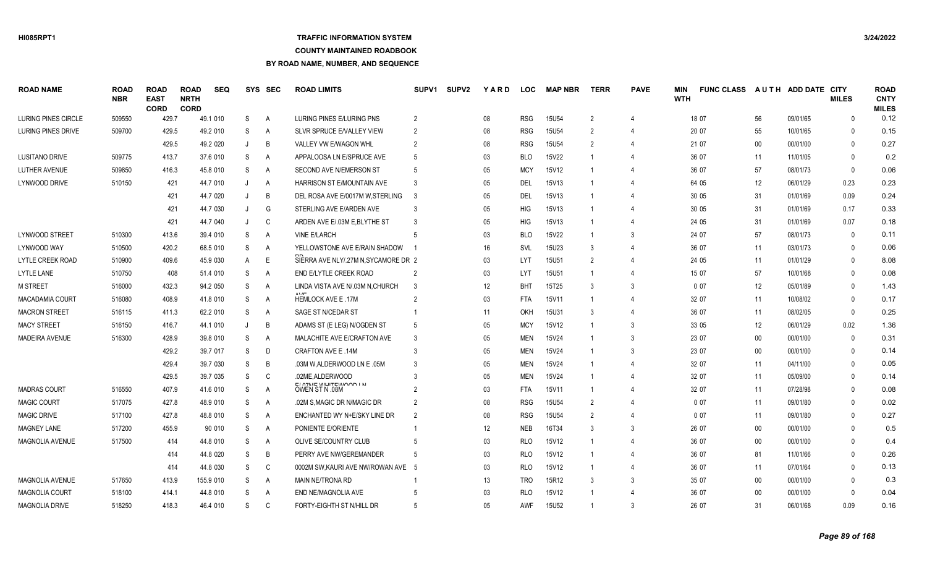# **TRAFFIC INFORMATION SYSTEM**

#### **COUNTY MAINTAINED ROADBOOK**

| <b>ROAD NAME</b>           | <b>ROAD</b><br><b>NBR</b> | <b>ROAD</b><br><b>EAST</b><br><b>CORD</b> | <b>ROAD</b><br><b>NRTH</b><br><b>CORD</b> | <b>SEQ</b> |    | SYS SEC        | <b>ROAD LIMITS</b>                            | SUPV <sub>1</sub> | <b>SUPV2</b> | <b>YARD</b> | <b>LOC</b> | <b>MAP NBR</b> | <b>TERR</b>    | <b>PAVE</b>              | <b>MIN</b><br><b>WTH</b> | <b>FUNC CLASS</b> |        | AUTH ADD DATE CITY | <b>MILES</b> | <b>ROAD</b><br><b>CNTY</b><br><b>MILES</b> |
|----------------------------|---------------------------|-------------------------------------------|-------------------------------------------|------------|----|----------------|-----------------------------------------------|-------------------|--------------|-------------|------------|----------------|----------------|--------------------------|--------------------------|-------------------|--------|--------------------|--------------|--------------------------------------------|
| <b>LURING PINES CIRCLE</b> | 509550                    | 429.7                                     |                                           | 49.1 010   | S  | A              | LURING PINES E/LURING PNS                     | 2                 |              | 08          | <b>RSG</b> | 15U54          | $\overline{2}$ | $\overline{4}$           |                          | 18 07             | 56     | 09/01/65           | $\Omega$     | 0.12                                       |
| LURING PINES DRIVE         | 509700                    | 429.5                                     |                                           | 49.2 010   | S  | A              | SLVR SPRUCE E/VALLEY VIEW                     | 2                 |              | 08          | <b>RSG</b> | 15U54          | 2              | 4                        |                          | 20 07             | 55     | 10/01/65           | $\Omega$     | 0.15                                       |
|                            |                           | 429.5                                     |                                           | 49.2 020   | J  | B              | VALLEY VW E/WAGON WHL                         | $\mathcal{P}$     |              | 08          | <b>RSG</b> | 15U54          | $\mathcal{P}$  | 4                        |                          | 21 07             | $00\,$ | 00/01/00           | $\Omega$     | 0.27                                       |
| <b>LUSITANO DRIVE</b>      | 509775                    | 413.7                                     |                                           | 37.6 010   | S  | A              | APPALOOSA LN E/SPRUCE AVE                     |                   |              | 03          | <b>BLO</b> | 15V22          |                | $\overline{\mathcal{L}}$ |                          | 36 07             | 11     | 11/01/05           | $\Omega$     | 0.2                                        |
| <b>LUTHER AVENUE</b>       | 509850                    | 416.3                                     |                                           | 45.8 010   | S  | A              | SECOND AVE N/EMERSON ST                       | -5                |              | 05          | <b>MCY</b> | 15V12          |                | 4                        |                          | 36 07             | 57     | 08/01/73           | $\mathbf{0}$ | 0.06                                       |
| LYNWOOD DRIVE              | 510150                    | 421                                       |                                           | 44.7 010   | J  | A              | HARRISON ST E/MOUNTAIN AVE                    | -3                |              | 05          | DEL        | 15V13          |                |                          |                          | 64 05             | 12     | 06/01/29           | 0.23         | 0.23                                       |
|                            |                           |                                           | 421                                       | 44.7 020   |    | B              | DEL ROSA AVE E/0017M W.STERLING               | -3                |              | 05          | DEL        | 15V13          |                |                          |                          | 30 05             | 31     | 01/01/69           | 0.09         | 0.24                                       |
|                            |                           | 421                                       |                                           | 44.7 030   |    | G              | STERLING AVE E/ARDEN AVE                      |                   |              | 05          | HIG        | 15V13          |                |                          |                          | 30 05             | 31     | 01/01/69           | 0.17         | 0.33                                       |
|                            |                           | 421                                       |                                           | 44.7 040   | J  | C              | ARDEN AVE E/.03M E.BLYTHE ST                  |                   |              | 05          | HIG        | 15V13          |                | 4                        |                          | 24 05             | 31     | 01/01/69           | 0.07         | 0.18                                       |
| <b>LYNWOOD STREET</b>      | 510300                    | 413.6                                     |                                           | 39.4 010   | S  | A              | <b>VINE E/LARCH</b>                           |                   |              | 03          | <b>BLO</b> | 15V22          |                | 3                        |                          | 24 07             | 57     | 08/01/73           | $\mathbf{0}$ | 0.11                                       |
| LYNWOOD WAY                | 510500                    | 420.2                                     |                                           | 68.5 010   | S  | A              | YELLOWSTONE AVE E/RAIN SHADOW                 |                   |              | 16          | SVL        | 15U23          |                | 4                        |                          | 36 07             | 11     | 03/01/73           | 0            | 0.06                                       |
| <b>LYTLE CREEK ROAD</b>    | 510900                    | 409.6                                     |                                           | 45.9 030   | A  | E.             | SIERRA AVE NLY/.27M N, SYCAMORE DR 2          |                   |              | 03          | <b>LYT</b> | <b>15U51</b>   | $\overline{2}$ | $\overline{4}$           |                          | 24 05             | 11     | 01/01/29           | $\mathbf{0}$ | 8.08                                       |
| <b>LYTLE LANE</b>          | 510750                    | 408                                       |                                           | 51.4 010   | S  | A              | END E/LYTLE CREEK ROAD                        |                   |              | 03          | <b>LYT</b> | 15U51          |                | $\overline{4}$           |                          | 15 07             | 57     | 10/01/68           | $\Omega$     | 0.08                                       |
| <b>M STREET</b>            | 516000                    | 432.3                                     |                                           | 94.2 050   | S  | A              | LINDA VISTA AVE N/.03M N.CHURCH               | 3                 |              | 12          | <b>BHT</b> | 15T25          | 3              | 3                        |                          | 007               | 12     | 05/01/89           | $\Omega$     | 1.43                                       |
| <b>MACADAMIA COURT</b>     | 516080                    | 408.9                                     |                                           | 41.8 010   | S  | A              | HEMLOCK AVE E.17M                             |                   |              | 03          | <b>FTA</b> | 15V11          |                | $\Delta$                 |                          | 32 07             | 11     | 10/08/02           | $\Omega$     | 0.17                                       |
| <b>MACRON STREET</b>       | 516115                    | 411.3                                     |                                           | 62.2 010   | S  | A              | SAGE ST N/CEDAR ST                            |                   |              | 11          | OKH        | <b>15U31</b>   | 3              | $\overline{4}$           |                          | 36 07             | 11     | 08/02/05           | $\mathbf{0}$ | 0.25                                       |
| <b>MACY STREET</b>         | 516150                    | 416.7                                     |                                           | 44.1 010   | J  | B              | ADAMS ST (E LEG) N/OGDEN ST                   | -5                |              | 05          | <b>MCY</b> | 15V12          |                | 3                        |                          | 33 05             | 12     | 06/01/29           | 0.02         | 1.36                                       |
| <b>MADEIRA AVENUE</b>      | 516300                    | 428.9                                     |                                           | 39.8 010   | S  | $\overline{A}$ | MALACHITE AVE E/CRAFTON AVE                   |                   |              | 05          | <b>MEN</b> | 15V24          |                | 3                        |                          | 23 07             | $00\,$ | 00/01/00           | $\mathbf{0}$ | 0.31                                       |
|                            |                           | 429.2                                     |                                           | 39.7 017   | S  | D              | CRAFTON AVE E .14M                            |                   |              | 05          | <b>MEN</b> | 15V24          |                | 3                        |                          | 23 07             | $00\,$ | 00/01/00           | 0            | 0.14                                       |
|                            |                           | 429.4                                     |                                           | 39.7 030   | S  | B              | .03M W,ALDERWOOD LN E .05M                    |                   |              | 05          | <b>MEN</b> | 15V24          |                | $\overline{4}$           |                          | 32 07             | 11     | 04/11/00           | $\mathbf{0}$ | 0.05                                       |
|                            |                           | 429.5                                     |                                           | 39.7 035   | S  | C              | .02ME, ALDERWOOD                              |                   |              | 05          | <b>MEN</b> | 15V24          |                | 4                        |                          | 32 07             | 11     | 05/09/00           | $\Omega$     | 0.14                                       |
| <b>MADRAS COURT</b>        | 516550                    | 407.9                                     |                                           | 41.6 010   | S  | A              | <b>ELOBAR MUREMIOOD LAL</b><br>OWEN ST N .08M |                   |              | 03          | <b>FTA</b> | 15V11          |                |                          |                          | 32 07             | 11     | 07/28/98           | $\mathbf{0}$ | 0.08                                       |
| <b>MAGIC COURT</b>         | 517075                    | 427.8                                     |                                           | 48.9 010   | S  | A              | .02M S, MAGIC DR N/MAGIC DR                   |                   |              | 08          | <b>RSG</b> | <b>15U54</b>   | $\overline{2}$ |                          |                          | 007               | 11     | 09/01/80           | $\mathbf{0}$ | 0.02                                       |
| <b>MAGIC DRIVE</b>         | 517100                    | 427.8                                     |                                           | 48.8 010   | S  | A              | ENCHANTED WY N+E/SKY LINE DR                  | 2                 |              | 08          | <b>RSG</b> | <b>15U54</b>   | $\mathcal{P}$  | $\overline{4}$           |                          | 007               | 11     | 09/01/80           | $\Omega$     | 0.27                                       |
| <b>MAGNEY LANE</b>         | 517200                    | 455.9                                     |                                           | 90 010     | S  | A              | PONIENTE E/ORIENTE                            |                   |              | 12          | <b>NEB</b> | 16T34          | $\mathcal{R}$  | 3                        |                          | 26 07             | $00\,$ | 00/01/00           | $\Omega$     | 0.5                                        |
| MAGNOLIA AVENUE            | 517500                    | 414                                       |                                           | 44.8 010   | S  | A              | OLIVE SE/COUNTRY CLUB                         |                   |              | 03          | <b>RLO</b> | 15V12          |                | $\overline{4}$           |                          | 36 07             | $00\,$ | 00/01/00           | $\Omega$     | 0.4                                        |
|                            |                           |                                           | 414                                       | 44.8 020   | S  | B              | PERRY AVE NW/GEREMANDER                       | -5                |              | 03          | <b>RLO</b> | 15V12          |                | $\overline{4}$           |                          | 36 07             | 81     | 11/01/66           | $\Omega$     | 0.26                                       |
|                            |                           | 414                                       |                                           | 44.8 030   | S  | C              | 0002M SW, KAURI AVE NW/ROWAN AVE 5            |                   |              | 03          | <b>RLO</b> | 15V12          |                | 4                        |                          | 36 07             | 11     | 07/01/64           | $\Omega$     | 0.13                                       |
| <b>MAGNOLIA AVENUE</b>     | 517650                    | 413.9                                     |                                           | 155.9 010  | S  | A              | <b>MAIN NE/TRONA RD</b>                       |                   |              | 13          | <b>TRO</b> | 15R12          |                | 3                        |                          | 35 07             | $00\,$ | 00/01/00           | $\Omega$     | 0.3                                        |
| <b>MAGNOLIA COURT</b>      | 518100                    | 414.1                                     |                                           | 44.8 010   | S  | A              | END NE/MAGNOLIA AVE                           |                   |              | 03          | <b>RLO</b> | 15V12          |                |                          |                          | 36 07             | $00\,$ | 00/01/00           | $\Omega$     | 0.04                                       |
| <b>MAGNOLIA DRIVE</b>      | 518250                    | 418.3                                     |                                           | 46.4 010   | S. | $\mathsf{C}$   | FORTY-EIGHTH ST N/HILL DR                     |                   |              | $05\,$      | AWF        | <b>15U52</b>   |                | 3                        |                          | 26 07             | 31     | 06/01/68           | 0.09         | 0.16                                       |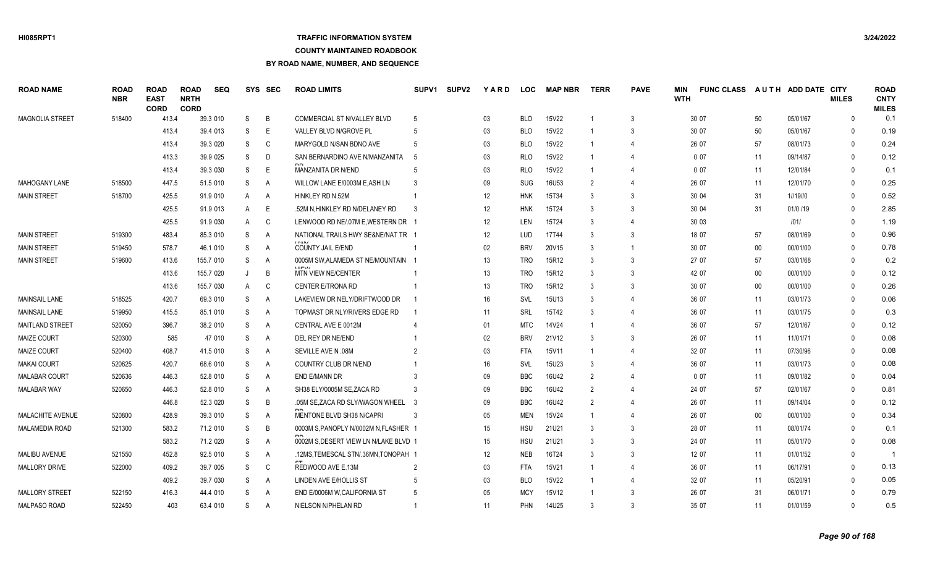# **TRAFFIC INFORMATION SYSTEM**

#### **COUNTY MAINTAINED ROADBOOK**

| <b>ROAD NAME</b>       | ROAD<br><b>NBR</b> | <b>ROAD</b><br><b>EAST</b><br><b>CORD</b> | <b>ROAD</b><br><b>NRTH</b><br><b>CORD</b> | <b>SEQ</b> |              | SYS SEC      | <b>ROAD LIMITS</b>                       | SUPV <sub>1</sub> | <b>SUPV2</b> | <b>YARD</b> | <b>LOC</b> | <b>MAP NBR</b> | <b>TERR</b>    | <b>PAVE</b>    | MIN<br><b>WTH</b> | <b>FUNC CLASS</b> | <b>AUTH</b> | ADD DATE CITY | <b>MILES</b> | <b>ROAD</b><br><b>CNTY</b><br><b>MILES</b> |
|------------------------|--------------------|-------------------------------------------|-------------------------------------------|------------|--------------|--------------|------------------------------------------|-------------------|--------------|-------------|------------|----------------|----------------|----------------|-------------------|-------------------|-------------|---------------|--------------|--------------------------------------------|
| <b>MAGNOLIA STREET</b> | 518400             | 413.4                                     |                                           | 39.3 010   | S            | B            | COMMERCIAL ST N/VALLEY BLVD              | -5                |              | 03          | <b>BLO</b> | 15V22          |                | 3              |                   | 30 07             | 50          | 05/01/67      | $\mathbf{0}$ | 0.1                                        |
|                        |                    | 413.4                                     |                                           | 39.4 013   | S            | E            | VALLEY BLVD N/GROVE PL                   |                   |              | 03          | <b>BLO</b> | 15V22          |                | 3              |                   | 30 07             | 50          | 05/01/67      | $\Omega$     | 0.19                                       |
|                        |                    | 413.4                                     |                                           | 39.3 020   | S            | $\mathsf{C}$ | MARYGOLD N/SAN BDNO AVE                  |                   |              | 03          | <b>BLO</b> | 15V22          | -1             | $\overline{4}$ |                   | 26 07             | 57          | 08/01/73      | $\mathbf{0}$ | 0.24                                       |
|                        |                    | 413.3                                     |                                           | 39.9 025   | S            | D            | SAN BERNARDINO AVE N/MANZANITA           |                   |              | 03          | <b>RLO</b> | <b>15V22</b>   |                | $\overline{4}$ |                   | 007               | 11          | 09/14/87      | $\mathbf{0}$ | 0.12                                       |
|                        |                    | 413.4                                     |                                           | 39.3 030   | S            | E            | MANZANITA DR N/END                       | .5                |              | 03          | <b>RLO</b> | 15V22          |                | $\overline{4}$ |                   | 007               | 11          | 12/01/84      | $\Omega$     | 0.1                                        |
| <b>MAHOGANY LANE</b>   | 518500             | 447.5                                     |                                           | 51.5 010   | S            | A            | WILLOW LANE E/0003M E.ASH LN             |                   |              | 09          | <b>SUG</b> | 16U53          | $\mathcal{P}$  | $\overline{4}$ |                   | 26 07             | 11          | 12/01/70      | $\Omega$     | 0.25                                       |
| <b>MAIN STREET</b>     | 518700             | 425.5                                     |                                           | 91.9 010   | A            | A            | HINKLEY RD N.52M                         |                   |              | 12          | <b>HNK</b> | 15T34          | 3              | 3              |                   | 30 04             | 31          | 1//19//0      | $\Omega$     | 0.52                                       |
|                        |                    | 425.5                                     |                                           | 91.9 013   | A            | E            | .52M N, HINKLEY RD N/DELANEY RD          |                   |              | 12          | <b>HNK</b> | 15T24          |                | 3              |                   | 30 04             | 31          | 01/0 /19      | $\Omega$     | 2.85                                       |
|                        |                    | 425.5                                     |                                           | 91.9 030   | A            | C            | LENWOOD RD NE/.07M E, WESTERN DR 1       |                   |              | 12          | <b>LEN</b> | 15T24          | 3              | $\Delta$       |                   | 30 03             |             | 1011          | $\Omega$     | 1.19                                       |
| <b>MAIN STREET</b>     | 519300             | 483.4                                     |                                           | 85.3 010   | S            | A            | NATIONAL TRAILS HWY SE&NE/NAT TR 1       |                   |              | 12          | LUD        | 17T44          | 3              | 3              |                   | 18 07             | 57          | 08/01/69      | $\Omega$     | 0.96                                       |
| <b>MAIN STREET</b>     | 519450             | 578.7                                     |                                           | 46.1 010   | S            | Α            | <b>IBANZ</b><br><b>COUNTY JAIL E/END</b> |                   |              | 02          | <b>BRV</b> | 20V15          |                | $\overline{1}$ |                   | 30 07             | $00\,$      | 00/01/00      | $\Omega$     | 0.78                                       |
| <b>MAIN STREET</b>     | 519600             | 413.6                                     |                                           | 155.7 010  | S            | A            | 0005M SW, ALAMEDA ST NE/MOUNTAIN 1       |                   |              | 13          | <b>TRO</b> | 15R12          | 3              | 3              |                   | 27 07             | 57          | 03/01/68      | $\mathbf{0}$ | 0.2                                        |
|                        |                    | 413.6                                     |                                           | 155.7 020  | $\mathbf{J}$ | B            | 1.0714<br>MTN VIEW NE/CENTER             |                   |              | 13          | <b>TRO</b> | 15R12          | $\mathcal{R}$  | 3              |                   | 42 07             | $00\,$      | 00/01/00      | $\Omega$     | 0.12                                       |
|                        |                    | 413.6                                     |                                           | 155.7 030  | A            | C            | <b>CENTER E/TRONA RD</b>                 |                   |              | 13          | <b>TRO</b> | 15R12          | $\mathcal{R}$  | 3              |                   | 30 07             | $00\,$      | 00/01/00      | $\Omega$     | 0.26                                       |
| <b>MAINSAIL LANE</b>   | 518525             | 420.7                                     |                                           | 69.3 010   | S            | Α            | LAKEVIEW DR NELY/DRIFTWOOD DR            |                   |              | 16          | <b>SVL</b> | 15U13          | 3              | 4              |                   | 36 07             | 11          | 03/01/73      | $\Omega$     | 0.06                                       |
| <b>MAINSAIL LANE</b>   | 519950             | 415.5                                     |                                           | 85.1 010   | S            | A            | TOPMAST DR NLY/RIVERS EDGE RD            |                   |              | 11          | SRL        | 15T42          | 3              | $\Delta$       |                   | 36 07             | 11          | 03/01/75      | $\Omega$     | 0.3                                        |
| <b>MAITLAND STREET</b> | 520050             | 396.7                                     |                                           | 38.2 010   | S            | Α            | CENTRAL AVE E 0012M                      |                   |              | 01          | <b>MTC</b> | 14V24          | -1             | $\overline{4}$ |                   | 36 07             | 57          | 12/01/67      | $\Omega$     | 0.12                                       |
| <b>MAIZE COURT</b>     | 520300             | 585                                       |                                           | 47 010     | S            | Α            | DEL REY DR NE/END                        |                   |              | 02          | <b>BRV</b> | 21V12          | 3              | 3              |                   | 26 07             | 11          | 11/01/71      | $\mathbf{0}$ | 0.08                                       |
| <b>MAIZE COURT</b>     | 520400             | 408.7                                     |                                           | 41.5 010   | S            | Α            | SEVILLE AVE N .08M                       | $\mathcal{P}$     |              | 03          | <b>FTA</b> | 15V11          |                | $\overline{4}$ |                   | 32 07             | 11          | 07/30/96      | $\mathbf{0}$ | 0.08                                       |
| <b>MAKAI COURT</b>     | 520625             | 420.7                                     |                                           | 68.6 010   | S            | Α            | COUNTRY CLUB DR N/END                    |                   |              | 16          | SVL        | 15U23          | 3              | 4              |                   | 36 07             | 11          | 03/01/73      | $\Omega$     | 0.08                                       |
| <b>MALABAR COURT</b>   | 520636             | 446.3                                     |                                           | 52.8 010   | S            | Α            | <b>END E/MANN DR</b>                     | 3                 |              | 09          | <b>BBC</b> | 16U42          | $\mathcal{P}$  |                |                   | 007               | 11          | 09/01/82      | $\Omega$     | 0.04                                       |
| <b>MALABAR WAY</b>     | 520650             | 446.3                                     |                                           | 52.8 010   | S            | A            | SH38 ELY/0005M SE.ZACA RD                | $\mathcal{R}$     |              | 09          | <b>BBC</b> | 16U42          | $\mathcal{P}$  | 4              |                   | 24 07             | 57          | 02/01/67      | $\Omega$     | 0.81                                       |
|                        |                    | 446.8                                     |                                           | 52.3 020   | S            | B            | .05M SE.ZACA RD SLY/WAGON WHEEL 3        |                   |              | 09          | <b>BBC</b> | 16U42          | $\overline{2}$ | $\Delta$       |                   | 26 07             | 11          | 09/14/04      | $\Omega$     | 0.12                                       |
| MALACHITE AVENUE       | 520800             | 428.9                                     |                                           | 39.3 010   | S            | Α            | MENTONE BLVD SH38 N/CAPRI                | 3                 |              | 05          | <b>MEN</b> | 15V24          | -1             | $\overline{4}$ |                   | 26 07             | $00\,$      | 00/01/00      | $\Omega$     | 0.34                                       |
| MALAMEDIA ROAD         | 521300             | 583.2                                     |                                           | 71.2 010   | S            | B            | 0003M S, PANOPLY N/0002M N, FLASHER 1    |                   |              | 15          | <b>HSU</b> | 21U21          |                | 3              |                   | 28 07             | 11          | 08/01/74      | $\Omega$     | 0.1                                        |
|                        |                    | 583.2                                     |                                           | 71.2 020   | S            | A            | 0002M S, DESERT VIEW LN N/LAKE BLVD 1    |                   |              | 15          | <b>HSU</b> | 21U21          | 3              | 3              |                   | 24 07             | 11          | 05/01/70      | $\Omega$     | 0.08                                       |
| <b>MALIBU AVENUE</b>   | 521550             | 452.8                                     |                                           | 92.5 010   | S            | Α            | 12MS, TEMESCAL STN/.36MN, TONOPAH 1      |                   |              | 12          | <b>NEB</b> | 16T24          | 3              | 3              |                   | 12 07             | 11          | 01/01/52      | $\Omega$     |                                            |
| <b>MALLORY DRIVE</b>   | 522000             | 409.2                                     |                                           | 39.7 005   | S            | C            | REDWOOD AVE E.13M                        | $\overline{2}$    |              | 03          | <b>FTA</b> | 15V21          |                | $\Delta$       |                   | 36 07             | 11          | 06/17/91      | $\Omega$     | 0.13                                       |
|                        |                    | 409.2                                     |                                           | 39.7 030   | S            | A            | LINDEN AVE E/HOLLIS ST                   | -5                |              | 03          | <b>BLO</b> | 15V22          |                | 4              |                   | 32 07             | 11          | 05/20/91      | $\Omega$     | 0.05                                       |
| <b>MALLORY STREET</b>  | 522150             | 416.3                                     |                                           | 44.4 010   | S            | Α            | END E/0006M W, CALIFORNIA ST             | -5                |              | 05          | <b>MCY</b> | 15V12          |                | 3              |                   | 26 07             | 31          | 06/01/71      | $\Omega$     | 0.79                                       |
| <b>MALPASO ROAD</b>    | 522450             | 403                                       |                                           | 63.4 010   | S            | A            | NIELSON N/PHELAN RD                      |                   |              | 11          | PHN        | 14U25          | $\mathcal{R}$  | 3              |                   | 35 07             | 11          | 01/01/59      | $\Omega$     | 0.5                                        |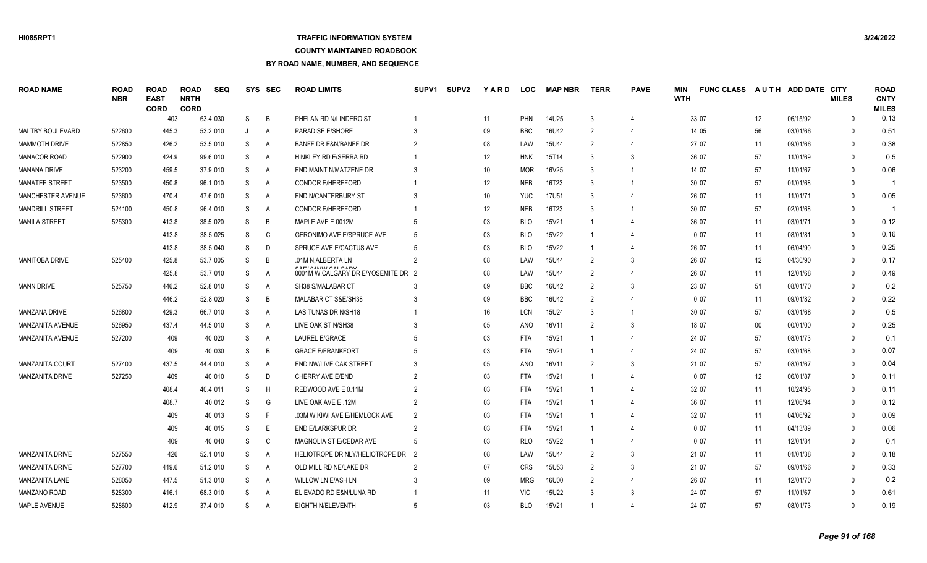## **TRAFFIC INFORMATION SYSTEM**

### **COUNTY MAINTAINED ROADBOOK**

| <b>ROAD NAME</b>        | <b>ROAD</b><br><b>NBR</b> | <b>ROAD</b><br><b>EAST</b><br><b>CORD</b> | <b>ROAD</b><br><b>NRTH</b><br><b>CORD</b> | <b>SEQ</b> |    | SYS SEC        | <b>ROAD LIMITS</b>                                  | <b>SUPV1</b> | <b>SUPV2</b> | YARD | <b>LOC</b> | <b>MAP NBR</b> | <b>TERR</b>    | <b>PAVE</b>                 | <b>MIN</b><br><b>WTH</b> | <b>FUNC CLASS</b> |        | AUTH ADD DATE CITY | <b>MILES</b> | <b>ROAD</b><br><b>CNTY</b><br><b>MILES</b> |
|-------------------------|---------------------------|-------------------------------------------|-------------------------------------------|------------|----|----------------|-----------------------------------------------------|--------------|--------------|------|------------|----------------|----------------|-----------------------------|--------------------------|-------------------|--------|--------------------|--------------|--------------------------------------------|
|                         |                           |                                           | 403                                       | 63.4 030   | S  | B              | PHELAN RD N/LINDERO ST                              |              |              | 11   | <b>PHN</b> | 14U25          | -3             | 4                           |                          | 33 07             | 12     | 06/15/92           | $\mathbf{0}$ | 0.13                                       |
| <b>MALTBY BOULEVARD</b> | 522600                    | 445.3                                     |                                           | 53.2 010   | J  | A              | PARADISE E/SHORE                                    |              |              | 09   | <b>BBC</b> | 16U42          | $\overline{2}$ | 4                           |                          | 14 05             | 56     | 03/01/66           | $\Omega$     | 0.51                                       |
| <b>MAMMOTH DRIVE</b>    | 522850                    | 426.2                                     |                                           | 53.5 010   | S  | A              | <b>BANFF DR E&amp;N/BANFF DR</b>                    | 2            |              | 08   | LAW        | 15U44          | 2              | 4                           |                          | 27 07             | 11     | 09/01/66           | $\Omega$     | 0.38                                       |
| <b>MANACOR ROAD</b>     | 522900                    | 424.9                                     |                                           | 99.6 010   | S  | A              | HINKLEY RD E/SERRA RD                               |              |              | 12   | <b>HNK</b> | 15T14          |                | 3                           |                          | 36 07             | 57     | 11/01/69           | $\Omega$     | 0.5                                        |
| <b>MANANA DRIVE</b>     | 523200                    | 459.5                                     |                                           | 37.9 010   | S  | A              | END, MAINT N/MATZENE DR                             |              |              | 10   | <b>MOR</b> | 16V25          | 3              | -1                          |                          | 14 07             | 57     | 11/01/67           | $\Omega$     | 0.06                                       |
| <b>MANATEE STREET</b>   | 523500                    | 450.8                                     |                                           | 96.1 010   | S  | A              | <b>CONDOR E/HEREFORD</b>                            |              |              | 12   | <b>NEB</b> | 16T23          | 3              | -1                          |                          | 30 07             | 57     | 01/01/68           | $\Omega$     | -1                                         |
| MANCHESTER AVENUE       | 523600                    | 470.4                                     |                                           | 47.6 010   | S  | A              | END N/CANTERBURY ST                                 |              |              | 10   | <b>YUC</b> | <b>17U51</b>   | 3              |                             |                          | 26 07             | 11     | 11/01/71           | $\Omega$     | 0.05                                       |
| <b>MANDRILL STREET</b>  | 524100                    | 450.8                                     |                                           | 96.4 010   | S  | A              | <b>CONDOR E/HEREFORD</b>                            |              |              | 12   | <b>NEB</b> | 16T23          | 3              | $\overline{1}$              |                          | 30 07             | 57     | 02/01/68           | $\Omega$     |                                            |
| <b>MANILA STREET</b>    | 525300                    | 413.8                                     |                                           | 38.5 020   | S  | B              | MAPLE AVE E 0012M                                   |              |              | 03   | <b>BLO</b> | 15V21          |                | 4                           |                          | 36 07             | 11     | 03/01/71           | $\Omega$     | 0.12                                       |
|                         |                           | 413.8                                     |                                           | 38.5 025   | S  | C              | GERONIMO AVE E/SPRUCE AVE                           |              |              | 03   | <b>BLO</b> | 15V22          |                | 4                           |                          | 0 0 7             | 11     | 08/01/81           | $\mathbf{0}$ | 0.16                                       |
|                         |                           | 413.8                                     |                                           | 38.5 040   | S  | D              | SPRUCE AVE E/CACTUS AVE                             |              |              | 03   | <b>BLO</b> | 15V22          |                | 4                           |                          | 26 07             | 11     | 06/04/90           | $\Omega$     | 0.25                                       |
| <b>MANITOBA DRIVE</b>   | 525400                    | 425.8                                     |                                           | 53.7 005   | S  | B              | .01M N, ALBERTA LN                                  | 2            |              | 08   | LAW        | 15U44          | $\overline{2}$ | 3                           |                          | 26 07             | 12     | 04/30/90           | $\mathbf{0}$ | 0.17                                       |
|                         |                           | 425.8                                     |                                           | 53.7 010   | S  | A              | OPLOMMOMOMOM<br>0001M W, CALGARY DR E/YOSEMITE DR 2 |              |              | 08   | LAW        | 15U44          | $\mathfrak{p}$ | $\overline{4}$              |                          | 26 07             | 11     | 12/01/68           | $\Omega$     | 0.49                                       |
| <b>MANN DRIVE</b>       | 525750                    | 446.2                                     |                                           | 52.8 010   | S  | $\overline{A}$ | SH38 S/MALABAR CT                                   |              |              | 09   | <b>BBC</b> | 16U42          | $\mathfrak{p}$ | 3                           |                          | 23 07             | 51     | 08/01/70           | $\Omega$     | 0.2                                        |
|                         |                           | 446.2                                     |                                           | 52.8 020   | S  | B              | MALABAR CT S&E/SH38                                 |              |              | 09   | <b>BBC</b> | 16U42          | $\mathfrak{p}$ | 4                           |                          | 007               | 11     | 09/01/82           | $\Omega$     | 0.22                                       |
| MANZANA DRIVE           | 526800                    | 429.3                                     |                                           | 66.7 010   | S  | $\overline{A}$ | LAS TUNAS DR N/SH18                                 |              |              | 16   | LCN        | <b>15U24</b>   | 3              | $\overline{1}$              |                          | 30 07             | 57     | 03/01/68           | $\Omega$     | 0.5                                        |
| MANZANITA AVENUE        | 526950                    | 437.4                                     |                                           | 44.5 010   | S  | $\overline{A}$ | LIVE OAK ST N/SH38                                  |              |              | 05   | <b>ANO</b> | 16V11          | $\mathfrak{p}$ | 3                           |                          | 18 07             | $00\,$ | 00/01/00           | $\Omega$     | 0.25                                       |
| MANZANITA AVENUE        | 527200                    |                                           | 409                                       | 40 020     | S  | $\overline{A}$ | <b>LAUREL E/GRACE</b>                               |              |              | 03   | <b>FTA</b> | 15V21          |                | $\overline{4}$              |                          | 24 07             | 57     | 08/01/73           | $\Omega$     | 0.1                                        |
|                         |                           |                                           | 409                                       | 40 030     | S  | B              | <b>GRACE E/FRANKFORT</b>                            |              |              | 03   | <b>FTA</b> | 15V21          |                | 4                           |                          | 24 07             | 57     | 03/01/68           | $\mathbf{0}$ | 0.07                                       |
| <b>MANZANITA COURT</b>  | 527400                    | 437.5                                     |                                           | 44.4 010   | S  | A              | END NW/LIVE OAK STREET                              |              |              | 05   | <b>ANO</b> | 16V11          | $\overline{2}$ | 3                           |                          | 21 07             | 57     | 08/01/67           | $\mathbf{0}$ | 0.04                                       |
| <b>MANZANITA DRIVE</b>  | 527250                    |                                           | 409                                       | 40 010     | S  | D              | CHERRY AVE E/END                                    |              |              | 03   | <b>FTA</b> | 15V21          |                | 4                           |                          | 007               | 12     | 06/01/87           | $\mathbf{0}$ | 0.11                                       |
|                         |                           | 408.4                                     |                                           | 40.4 011   | S  | H              | REDWOOD AVE E 0.11M                                 |              |              | 03   | <b>FTA</b> | 15V21          |                |                             |                          | 32 07             | 11     | 10/24/95           | $\Omega$     | 0.11                                       |
|                         |                           | 408.7                                     |                                           | 40 012     | S  | G              | LIVE OAK AVE E.12M                                  |              |              | 03   | <b>FTA</b> | 15V21          |                | $\overline{\mathcal{L}}$    |                          | 36 07             | 11     | 12/06/94           | $\mathbf{0}$ | 0.12                                       |
|                         |                           |                                           | 409                                       | 40 013     | S  | F              | .03M W, KIWI AVE E/HEMLOCK AVE                      |              |              | 03   | <b>FTA</b> | 15V21          |                | $\overline{4}$              |                          | 32 07             | 11     | 04/06/92           | $\Omega$     | 0.09                                       |
|                         |                           |                                           | 409                                       | 40 015     | S  | E              | <b>END E/LARKSPUR DR</b>                            |              |              | 03   | <b>FTA</b> | 15V21          |                | $\overline{4}$              |                          | 007               | 11     | 04/13/89           | $\Omega$     | 0.06                                       |
|                         |                           |                                           | 409                                       | 40 040     | S  | C              | MAGNOLIA ST E/CEDAR AVE                             |              |              | 03   | <b>RLO</b> | 15V22          |                | 4                           |                          | 007               | 11     | 12/01/84           | $\Omega$     | 0.1                                        |
| <b>MANZANITA DRIVE</b>  | 527550                    |                                           | 426                                       | 52.1 010   | S  | A              | HELIOTROPE DR NLY/HELIOTROPE DR 2                   |              |              | 08   | LAW        | <b>15U44</b>   | $\mathfrak{p}$ | 3                           |                          | 21 07             | 11     | 01/01/38           | $\Omega$     | 0.18                                       |
| <b>MANZANITA DRIVE</b>  | 527700                    | 419.6                                     |                                           | 51.2 010   | S  | A              | OLD MILL RD NE/LAKE DR                              |              |              | 07   | <b>CRS</b> | <b>15U53</b>   | $\mathcal{P}$  | 3                           |                          | 21 07             | 57     | 09/01/66           | $\Omega$     | 0.33                                       |
| <b>MANZANITA LANE</b>   | 528050                    | 447.5                                     |                                           | 51.3 010   | S  | A              | WILLOW LN E/ASH LN                                  |              |              | 09   | <b>MRG</b> | 16U00          | $\mathcal{P}$  | 4                           |                          | 26 07             | 11     | 12/01/70           | $\Omega$     | 0.2                                        |
| <b>MANZANO ROAD</b>     | 528300                    | 416.1                                     |                                           | 68.3 010   | S  | A              | EL EVADO RD E&N/LUNA RD                             |              |              | 11   | <b>VIC</b> | 15U22          |                | 3                           |                          | 24 07             | 57     | 11/01/67           | $\Omega$     | 0.61                                       |
| <b>MAPLE AVENUE</b>     | 528600                    | 412.9                                     |                                           | 37.4 010   | S. | A              | EIGHTH N/ELEVENTH                                   |              |              | 03   | <b>BLO</b> | 15V21          |                | $\boldsymbol{\vartriangle}$ |                          | 24 07             | 57     | 08/01/73           | $\Omega$     | 0.19                                       |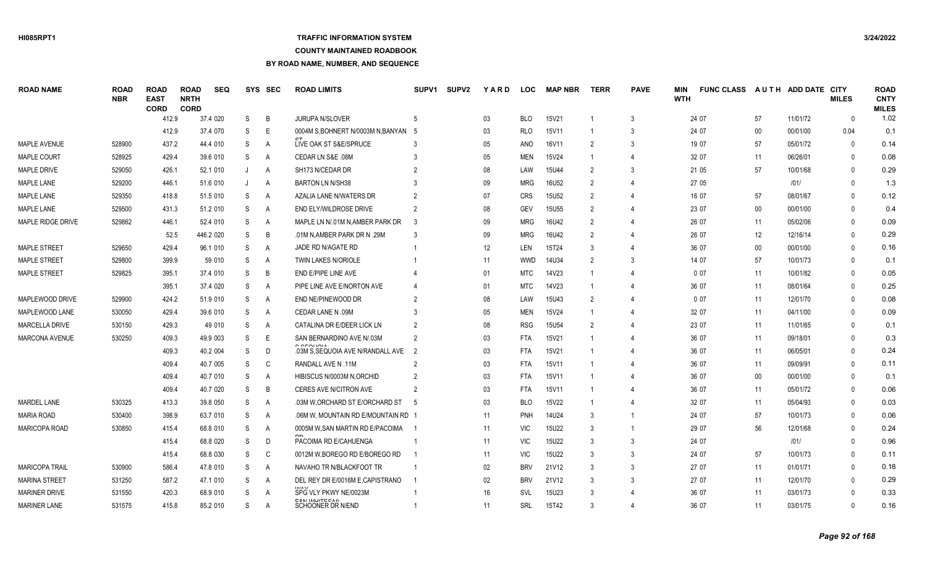### **TRAFFIC INFORMATION SYSTEM**

### **COUNTY MAINTAINED ROADBOOK**

| <b>ROAD NAME</b>      | <b>ROAD</b><br><b>NBR</b> | <b>ROAD</b><br><b>EAST</b><br><b>CORD</b> | <b>ROAD</b><br><b>NRTH</b><br><b>CORD</b> | <b>SEQ</b> | SYS | <b>SEC</b> | <b>ROAD LIMITS</b>                           | SUPV <sub>1</sub> | <b>SUPV2</b> | YARD            | <b>LOC</b> | <b>MAP NBR</b>    | <b>TERR</b>   | <b>PAVE</b>           | MIN<br><b>WTH</b> | <b>FUNC CLASS</b> |        | AUTH ADD DATE CITY | <b>MILES</b> | <b>ROAD</b><br><b>CNTY</b><br><b>MILES</b> |
|-----------------------|---------------------------|-------------------------------------------|-------------------------------------------|------------|-----|------------|----------------------------------------------|-------------------|--------------|-----------------|------------|-------------------|---------------|-----------------------|-------------------|-------------------|--------|--------------------|--------------|--------------------------------------------|
|                       |                           | 412.9                                     |                                           | 37.4 020   | S   | B          | <b>JURUPA N/SLOVER</b>                       |                   |              | 03              | <b>BLO</b> | 15V21             |               | 3                     |                   | 24 07             | 57     | 11/01/72           | $\mathbf{0}$ | 1.02                                       |
|                       |                           | 412.9                                     |                                           | 37.4 070   | S   | F          | 0004M S.BOHNERT N/0003M N.BANYAN 5           |                   |              | 03              | <b>RLO</b> | 15V11             |               | 3                     |                   | 24 07             | 00     | 00/01/00           | 0.04         | 0.1                                        |
| <b>MAPLE AVENUE</b>   | 528900                    | 437.2                                     |                                           | 44.4 010   | S   | A          | LIVE OAK ST S&E/SPRUCE                       |                   |              | 05              | <b>ANO</b> | 16V11             | 2             | 3                     |                   | 19 07             | 57     | 05/01/72           | $\Omega$     | 0.14                                       |
| MAPLE COURT           | 528925                    | 429.4                                     |                                           | 39.6 010   | S   | Α          | CEDAR LN S&E .08M                            |                   |              | 05              | <b>MEN</b> | 15V24             |               | 4                     |                   | 32 07             | 11     | 06/26/01           | $\Omega$     | 0.08                                       |
| <b>MAPLE DRIVE</b>    | 529050                    | 426.1                                     |                                           | 52.1 010   | J   | Α          | SH173 N/CEDAR DR                             |                   |              | 08              | LAW        | 15U44             | 2             | 3                     |                   | 21 05             | 57     | 10/01/68           | $\Omega$     | 0.29                                       |
| MAPLE LANE            | 529200                    | 446.1                                     |                                           | 51.6 010   | J   | Α          | <b>BARTON LN N/SH38</b>                      |                   |              | 09              | <b>MRG</b> | 16U52             | $\mathcal{P}$ |                       |                   | 27 05             |        | 1011               | $\Omega$     | 1.3                                        |
| MAPLE LANE            | 529350                    | 418.8                                     |                                           | 51.5 010   | S   | A          | AZALIA LANE N/WATERS DR                      |                   |              | 07              | <b>CRS</b> | <b>15U52</b>      | 2             |                       |                   | 16 07             | 57     | 08/01/67           | $\Omega$     | 0.12                                       |
| MAPLE LANE            | 529500                    | 431.3                                     |                                           | 51.2 010   | S   | Α          | END ELY/WILDROSE DRIVE                       | $\mathcal{P}$     |              | 08              | <b>GEV</b> | <b>15U55</b>      | 2             |                       |                   | 23 07             | $00\,$ | 00/01/00           | $\Omega$     | 0.4                                        |
| MAPLE RIDGE DRIVE     | 529862                    | 446.1                                     |                                           | 52.4 010   | S   | A          | MAPLE LN N/.01M N, AMBER PARK DR             | 3                 |              | 09              | <b>MRG</b> | 16U42             | $\mathcal{P}$ | $\boldsymbol{\Delta}$ |                   | 26 07             | 11     | 05/02/06           | $\Omega$     | 0.09                                       |
|                       |                           | 52.5                                      |                                           | 446.2 020  | S   | B          | .01M N, AMBER PARK DR N .29M                 |                   |              | 09              | <b>MRG</b> | 16U42             | $\mathcal{P}$ | $\overline{4}$        |                   | 26 07             | 12     | 12/16/14           | $\Omega$     | 0.29                                       |
| <b>MAPLE STREET</b>   | 529650                    | 429.4                                     |                                           | 96.1 010   | S   | A          | JADE RD N/AGATE RD                           |                   |              | 12              | <b>LEN</b> | 15T24             |               | 4                     |                   | 36 07             | 00     | 00/01/00           | $\Omega$     | 0.16                                       |
| <b>MAPLE STREET</b>   | 529800                    | 399.9                                     |                                           | 59 010     | S   | A          | <b>TWIN LAKES N/ORIOLE</b>                   |                   |              | 11              | <b>WWD</b> | 14U34             | $\mathcal{P}$ | 3                     |                   | 14 07             | 57     | 10/01/73           | $\Omega$     | 0.1                                        |
| <b>MAPLE STREET</b>   | 529825                    | 395.1                                     |                                           | 37.4 010   | S   | B          | END E/PIPE LINE AVE                          |                   |              | 01              | <b>MTC</b> | 14V23             |               |                       |                   | 007               | 11     | 10/01/82           | $\Omega$     | 0.05                                       |
|                       |                           | 395.1                                     |                                           | 37.4 020   | S   | A          | PIPE LINE AVE E/NORTON AVE                   |                   |              | 01              | <b>MTC</b> | 14V23             |               |                       |                   | 36 07             | 11     | 08/01/64           | $\Omega$     | 0.25                                       |
| MAPLEWOOD DRIVE       | 529900                    | 424.2                                     |                                           | 51.9 010   | S   | A          | END NE/PINEWOOD DR                           |                   |              | 08              | LAW        | 15U43             | $\mathcal{P}$ |                       |                   | 007               | 11     | 12/01/70           | $\Omega$     | 0.08                                       |
| MAPLEWOOD LANE        | 530050                    | 429.4                                     |                                           | 39.6 010   | S   | A          | <b>CEDAR LANE N .09M</b>                     |                   |              | 05              | <b>MEN</b> | 15V24             |               |                       |                   | 32 07             | 11     | 04/11/00           | $\Omega$     | 0.09                                       |
| <b>MARCELLA DRIVE</b> | 530150                    | 429.3                                     |                                           | 49 010     | S   | A          | CATALINA DR E/DEER LICK LN                   | $\mathcal{P}$     |              | 08              | <b>RSG</b> | 15U <sub>54</sub> | 2             |                       |                   | 23 07             | 11     | 11/01/65           | $\Omega$     | 0.1                                        |
| <b>MARCONA AVENUE</b> | 530250                    | 409.3                                     |                                           | 49.9 003   | S   | E          | SAN BERNARDINO AVE N/.03M                    | $\mathcal{P}$     |              | 03              | <b>FTA</b> | <b>15V21</b>      |               | 4                     |                   | 36 07             | 11     | 09/18/01           | $\Omega$     | 0.3                                        |
|                       |                           | 409.3                                     |                                           | 40.2 004   | S   | D          | C CEOUQU<br>.03M S.SEQUOIA AVE N/RANDALL AVE | $\overline{2}$    |              | 03              | <b>FTA</b> | <b>15V21</b>      |               | 4                     |                   | 36 07             | 11     | 06/05/01           | $\Omega$     | 0.24                                       |
|                       |                           | 409.4                                     |                                           | 40.7 005   | S   | C          | RANDALL AVE N.11M                            |                   |              | 03              | <b>FTA</b> | 15V11             |               |                       |                   | 36 07             | 11     | 09/09/91           | $\Omega$     | 0.11                                       |
|                       |                           | 409.4                                     |                                           | 40.7 010   | S   | A          | HIBISCUS N/0003M N.ORCHID                    | $\mathcal{P}$     |              | 03              | <b>FTA</b> | 15V11             |               |                       |                   | 36 07             | $00\,$ | 00/01/00           | $\Omega$     | 0.1                                        |
|                       |                           | 409.4                                     |                                           | 40.7 020   | S   | B          | <b>CERES AVE N/CITRON AVE</b>                |                   |              | 03              | <b>FTA</b> | 15V11             |               |                       |                   | 36 07             | 11     | 05/01/72           | $\Omega$     | 0.06                                       |
| <b>MARDEL LANE</b>    | 530325                    | 413.3                                     |                                           | 39.8 050   | S   | A          | .03M W.ORCHARD ST E/ORCHARD ST               | - 5               |              | 03              | <b>BLO</b> | 15V22             |               | 4                     |                   | 32 07             | 11     | 05/04/93           | $\Omega$     | 0.03                                       |
| <b>MARIA ROAD</b>     | 530400                    | 398.9                                     |                                           | 63.7 010   | S   | A          | .06M W, MOUNTAIN RD E/MOUNTAIN RD 1          |                   |              | 11              | PNH        | 14U24             | 3             | $\overline{1}$        |                   | 24 07             | 57     | 10/01/73           | $\Omega$     | 0.06                                       |
| <b>MARICOPA ROAD</b>  | 530850                    | 415.4                                     |                                           | 68.8 010   | S   | A          | 0005M W.SAN MARTIN RD E/PACOIMA              |                   |              | 11              | <b>VIC</b> | 15U22             | $\mathbf{3}$  | $\overline{1}$        |                   | 29 07             | 56     | 12/01/68           | $\Omega$     | 0.24                                       |
|                       |                           | 415.4                                     |                                           | 68.8 020   | S   | D          | PACOIMA RD E/CAHUENGA                        |                   |              | 11              | <b>VIC</b> | <b>15U22</b>      | $\mathbf{3}$  | 3                     |                   | 24 07             |        | 1011               | $\Omega$     | 0.96                                       |
|                       |                           | 415.4                                     |                                           | 68.8 030   | S   | C          | 0012M W.BOREGO RD E/BOREGO RD                |                   |              | 11              | <b>VIC</b> | <b>15U22</b>      | 3             | 3                     |                   | 24 07             | 57     | 10/01/73           | $\Omega$     | 0.11                                       |
| <b>MARICOPA TRAIL</b> | 530900                    | 586.4                                     |                                           | 47.8 010   | S   | A          | NAVAHO TR N/BLACKFOOT TR                     |                   |              | $02\,$          | <b>BRV</b> | 21V12             | $\mathbf{3}$  | 3                     |                   | 27 07             | 11     | 01/01/71           | $\Omega$     | 0.18                                       |
| <b>MARINA STREET</b>  | 531250                    | 587.2                                     |                                           | 47.1 010   | S   | A          | DEL REY DR E/0016M E.CAPISTRANO              |                   |              | 02 <sub>2</sub> | <b>BRV</b> | 21V12             |               | 3                     |                   | 27 07             | 11     | 12/01/70           | $\Omega$     | 0.29                                       |
| <b>MARINER DRIVE</b>  | 531550                    | 420.3                                     |                                           | 68.9 010   | S   | A          | SPG VLY PKWY NE/0023M                        |                   |              | 16              | SVL        | 15U23             |               |                       |                   | 36 07             | 11     | 03/01/73           | $\Omega$     | 0.33                                       |
| <b>MARINER LANE</b>   | 531575                    | 415.8                                     |                                           | 85.2 010   | S.  | A          | $F$ ONLIANDET CAU<br>SCHOONER DR N/END       |                   |              | 11              | SRL        | 15T42             |               | Δ                     |                   | 36 07             | 11     | 03/01/75           | $\Omega$     | 0.16                                       |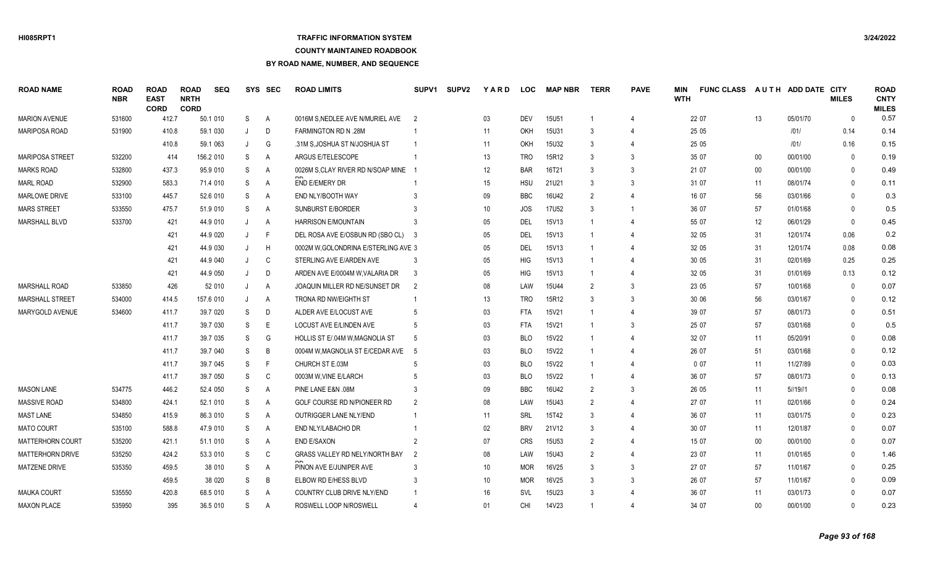# **TRAFFIC INFORMATION SYSTEM**

#### **COUNTY MAINTAINED ROADBOOK**

| <b>ROAD NAME</b>        | <b>ROAD</b><br><b>NBR</b> | <b>ROAD</b><br><b>EAST</b><br><b>CORD</b> | <b>ROAD</b><br><b>NRTH</b><br><b>CORD</b> | <b>SEQ</b> |         | SYS SEC      | <b>ROAD LIMITS</b>                   | SUPV1          | <b>SUPV2</b> | YARD            | <b>LOC</b> | <b>MAP NBR</b>    | <b>TERR</b>    | <b>PAVE</b>                 | MIN<br><b>WTH</b> | <b>FUNC CLASS</b> | <b>AUTH</b> | ADD DATE CITY | <b>MILES</b> | <b>ROAD</b><br><b>CNTY</b><br><b>MILES</b> |
|-------------------------|---------------------------|-------------------------------------------|-------------------------------------------|------------|---------|--------------|--------------------------------------|----------------|--------------|-----------------|------------|-------------------|----------------|-----------------------------|-------------------|-------------------|-------------|---------------|--------------|--------------------------------------------|
| <b>MARION AVENUE</b>    | 531600                    | 412.7                                     |                                           | 50.1 010   | S       | A            | 0016M S.NEDLEE AVE N/MURIEL AVE      | - 2            |              | 03              | <b>DEV</b> | <b>15U51</b>      |                | 4                           |                   | 22 07             | 13          | 05/01/70      | $\mathbf{0}$ | 0.57                                       |
| MARIPOSA ROAD           | 531900                    | 410.8                                     |                                           | 59.1 030   | J       | D            | FARMINGTON RD N .28M                 |                |              | 11              | OKH        | 15U31             | 3              |                             |                   | 25 05             |             | 1011          | 0.14         | 0.14                                       |
|                         |                           | 410.8                                     |                                           | 59.1 063   |         | G            | .31M S, JOSHUA ST N/JOSHUA ST        |                |              | 11              | OKH        | 15U32             | 3              | $\overline{4}$              |                   | 25 05             |             | 1011          | 0.16         | 0.15                                       |
| <b>MARIPOSA STREET</b>  | 532200                    | 414                                       |                                           | 156.2 010  | S       | Α            | ARGUS E/TELESCOPE                    |                |              | 13              | <b>TRO</b> | 15R12             | 3              | 3                           |                   | 35 07             | $00\,$      | 00/01/00      | $\mathbf{0}$ | 0.19                                       |
| <b>MARKS ROAD</b>       | 532800                    | 437.3                                     |                                           | 95.9 010   | S       | A            | 0026M S, CLAY RIVER RD N/SOAP MINE 1 |                |              | 12              | <b>BAR</b> | 16T21             | 3              | 3                           |                   | 21 07             | $00\,$      | 00/01/00      | $\mathbf{0}$ | 0.49                                       |
| <b>MARL ROAD</b>        | 532900                    | 583.3                                     |                                           | 71.4 010   | S       | Α            | <b>END E/EMERY DR</b>                |                |              | 15              | <b>HSU</b> | 21U21             |                | 3                           |                   | 31 07             | 11          | 08/01/74      | $\Omega$     | 0.11                                       |
| <b>MARLOWE DRIVE</b>    | 533100                    | 445.7                                     |                                           | 52.6 010   | S       | Α            | END NLY/BOOTH WAY                    | 3              |              | 09              | <b>BBC</b> | 16U42             | $\mathcal{P}$  | 4                           |                   | 16 07             | 56          | 03/01/66      | $\Omega$     | 0.3                                        |
| <b>MARS STREET</b>      | 533550                    | 475.7                                     |                                           | 51.9 010   | S       | A            | <b>SUNBURST E/BORDER</b>             |                |              | 10              | JOS        | <b>17U52</b>      | 3              | $\overline{1}$              |                   | 36 07             | 57          | 01/01/68      | $\Omega$     | 0.5                                        |
| <b>MARSHALL BLVD</b>    | 533700                    | 421                                       |                                           | 44.9 010   | J       | Α            | HARRISON E/MOUNTAIN                  | 3              |              | 05              | DEL        | 15V13             |                | 4                           |                   | 55 07             | 12          | 06/01/29      | $\mathbf{0}$ | 0.45                                       |
|                         |                           | 421                                       |                                           | 44.9 020   | J       | F            | DEL ROSA AVE E/OSBUN RD (SBO CL)     | - 3            |              | 05              | DEL        | 15V13             | -1             | $\overline{4}$              |                   | 32 05             | 31          | 12/01/74      | 0.06         | 0.2                                        |
|                         |                           | 421                                       |                                           | 44.9 030   |         | H            | 0002M W.GOLONDRINA E/STERLING AVE 3  |                |              | 05              | DEL        | 15V13             |                | $\Delta$                    |                   | 32 05             | 31          | 12/01/74      | 0.08         | 0.08                                       |
|                         |                           | 421                                       |                                           | 44.9 040   | J       | C            | STERLING AVE E/ARDEN AVE             | 3              |              | 05              | HIG        | 15V13             |                | 4                           |                   | 30 05             | 31          | 02/01/69      | 0.25         | 0.25                                       |
|                         |                           | 421                                       |                                           | 44.9 050   | $\cdot$ | D            | ARDEN AVE E/0004M W.VALARIA DR       | 3              |              | 05              | <b>HIG</b> | 15V13             |                | $\overline{4}$              |                   | 32 05             | 31          | 01/01/69      | 0.13         | 0.12                                       |
| <b>MARSHALL ROAD</b>    | 533850                    | 426                                       |                                           | 52 010     |         | A            | JOAQUIN MILLER RD NE/SUNSET DR       | 2              |              | 08              | LAW        | <b>15U44</b>      | $\mathcal{P}$  | 3                           |                   | 23 05             | 57          | 10/01/68      | $\Omega$     | 0.07                                       |
| <b>MARSHALL STREET</b>  | 534000                    | 414.5                                     |                                           | 157.6 010  |         | Α            | <b>TRONA RD NW/EIGHTH ST</b>         |                |              | 13              | <b>TRO</b> | 15R12             |                | 3                           |                   | 30 06             | 56          | 03/01/67      | $\Omega$     | 0.12                                       |
| MARYGOLD AVENUE         | 534600                    | 411.7                                     |                                           | 39.7 020   | S       | D            | ALDER AVE E/LOCUST AVE               | .5             |              | 03              | <b>FTA</b> | 15V21             |                | $\boldsymbol{\vartriangle}$ |                   | 39 07             | 57          | 08/01/73      | $\Omega$     | 0.51                                       |
|                         |                           | 411.7                                     |                                           | 39.7 030   | S       | E            | LOCUST AVE E/LINDEN AVE              |                |              | 03              | <b>FTA</b> | 15V21             | -1             | 3                           |                   | 25 07             | 57          | 03/01/68      | $\Omega$     | 0.5                                        |
|                         |                           | 411.7                                     |                                           | 39.7 035   | S       | G            | HOLLIS ST E/.04M W, MAGNOLIA ST      | .5             |              | 03              | <b>BLO</b> | 15V22             |                | $\Delta$                    |                   | 32 07             | 11          | 05/20/91      | $\Omega$     | 0.08                                       |
|                         |                           | 411.7                                     |                                           | 39.7 040   | S       | B            | 0004M W.MAGNOLIA ST E/CEDAR AVE      | $\overline{5}$ |              | 03              | <b>BLO</b> | <b>15V22</b>      | -1             | $\Delta$                    |                   | 26 07             | 51          | 03/01/68      | $\mathbf{0}$ | 0.12                                       |
|                         |                           | 411.7                                     |                                           | 39.7 045   | S       | -F           | CHURCH ST E.03M                      |                |              | 03              | <b>BLO</b> | <b>15V22</b>      |                | $\Delta$                    |                   | 007               | 11          | 11/27/89      | $\Omega$     | 0.03                                       |
|                         |                           | 411.7                                     |                                           | 39.7 050   | S       | C            | 0003M W, VINE E/LARCH                |                |              | 03              | <b>BLO</b> | 15V22             |                | $\Delta$                    |                   | 36 07             | 57          | 08/01/73      | $\Omega$     | 0.13                                       |
| <b>MASON LANE</b>       | 534775                    | 446.2                                     |                                           | 52.4 050   | S       | Α            | PINE LANE E&N .08M                   |                |              | 09              | <b>BBC</b> | 16U42             | $\mathcal{P}$  | 3                           |                   | 26 05             | 11          | 5/19/11       | $\Omega$     | 0.08                                       |
| <b>MASSIVE ROAD</b>     | 534800                    | 424.1                                     |                                           | 52.1 010   | S       | Α            | GOLF COURSE RD N/PIONEER RD          | $\overline{2}$ |              | 08              | LAW        | 15U43             | $\overline{2}$ | $\overline{4}$              |                   | 27 07             | 11          | 02/01/66      | $\Omega$     | 0.24                                       |
| <b>MAST LANE</b>        | 534850                    | 415.9                                     |                                           | 86.3 010   | S       | Α            | OUTRIGGER LANE NLY/END               |                |              | 11              | SRL        | 15T42             | 3              | $\overline{4}$              |                   | 36 07             | 11          | 03/01/75      | $\Omega$     | 0.23                                       |
| <b>MATO COURT</b>       | 535100                    | 588.8                                     |                                           | 47.9 010   | S       | A            | END NLY/LABACHO DR                   |                |              | 02              | <b>BRV</b> | 21V12             | 3              | $\overline{4}$              |                   | 30 07             | 11          | 12/01/87      | $\mathbf{0}$ | 0.07                                       |
| <b>MATTERHORN COURT</b> | 535200                    | 421.1                                     |                                           | 51.1 010   | S       | $\mathsf{A}$ | <b>END E/SAXON</b>                   | $\overline{2}$ |              | 07              | <b>CRS</b> | 15U <sub>53</sub> | $\overline{2}$ | $\overline{4}$              |                   | 15 07             | $00\,$      | 00/01/00      | $\mathbf{0}$ | 0.07                                       |
| MATTERHORN DRIVE        | 535250                    | 424.2                                     |                                           | 53.3 010   | S       | C            | GRASS VALLEY RD NELY/NORTH BAY       | $\overline{2}$ |              | 08              | LAW        | 15U43             | $\overline{2}$ | $\overline{4}$              |                   | 23 07             | 11          | 01/01/65      | $\mathbf{0}$ | 1.46                                       |
| MATZENE DRIVE           | 535350                    | 459.5                                     |                                           | 38 010     | S       | Α            | PINON AVE E/JUNIPER AVE              | $\mathcal{R}$  |              | 10              | <b>MOR</b> | 16V25             | $\mathcal{R}$  | 3                           |                   | 27 07             | 57          | 11/01/67      | $\Omega$     | 0.25                                       |
|                         |                           | 459.5                                     |                                           | 38 020     | S       | B            | ELBOW RD E/HESS BLVD                 |                |              | 10 <sup>°</sup> | <b>MOR</b> | 16V25             | $\mathcal{R}$  | 3                           |                   | 26 07             | 57          | 11/01/67      | $\Omega$     | 0.09                                       |
| <b>MAUKA COURT</b>      | 535550                    | 420.8                                     |                                           | 68.5 010   | S       | A            | COUNTRY CLUB DRIVE NLY/END           |                |              | 16              | <b>SVL</b> | 15U23             |                |                             |                   | 36 07             | 11          | 03/01/73      | $\Omega$     | 0.07                                       |
| <b>MAXON PLACE</b>      | 535950                    | 395                                       |                                           | 36.5 010   | S.      | A            | ROSWELL LOOP N/ROSWELL               |                |              | 01              | CHI        | 14V23             |                | $\overline{4}$              |                   | 34 07             | $00\,$      | 00/01/00      | $\Omega$     | 0.23                                       |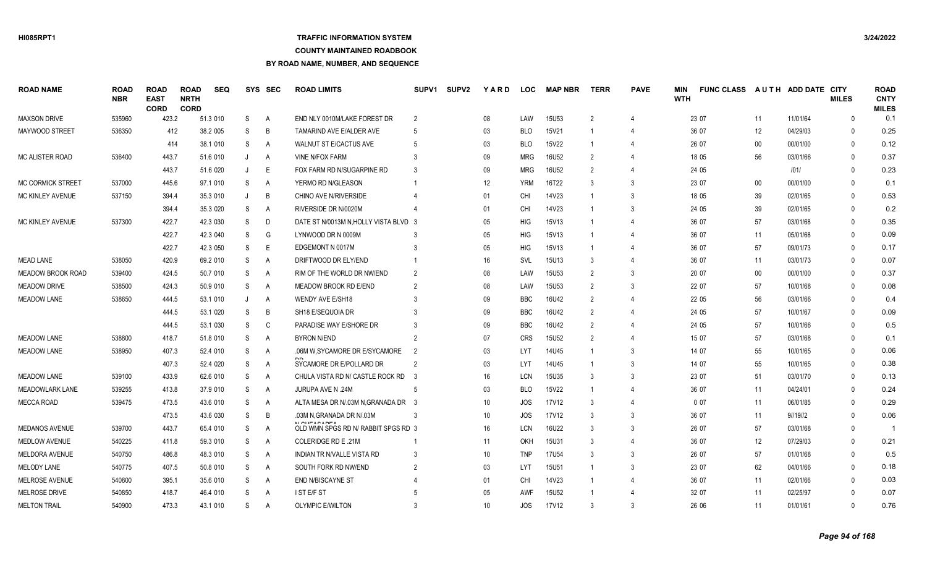# **TRAFFIC INFORMATION SYSTEM**

#### **COUNTY MAINTAINED ROADBOOK**

| ROAD NAME                | <b>ROAD</b><br><b>NBR</b> | <b>ROAD</b><br><b>EAST</b><br><b>CORD</b> | <b>ROAD</b><br><b>NRTH</b><br><b>CORD</b> | <b>SEQ</b> |              | SYS SEC        | <b>ROAD LIMITS</b>                                      | SUPV <sub>1</sub> | <b>SUPV2</b> | <b>YARD</b>     | <b>LOC</b> | <b>MAP NBR</b> | <b>TERR</b>    | <b>PAVE</b>                 | MIN<br><b>WTH</b> | <b>FUNC CLASS</b> | <b>AUTH</b> | ADD DATE CITY | <b>MILES</b> | <b>ROAD</b><br><b>CNTY</b><br><b>MILES</b> |
|--------------------------|---------------------------|-------------------------------------------|-------------------------------------------|------------|--------------|----------------|---------------------------------------------------------|-------------------|--------------|-----------------|------------|----------------|----------------|-----------------------------|-------------------|-------------------|-------------|---------------|--------------|--------------------------------------------|
| <b>MAXSON DRIVE</b>      | 535960                    | 423.2                                     |                                           | 51.3 010   | S            | A              | END NLY 0010M/LAKE FOREST DR                            | $\overline{2}$    |              | 08              | LAW        | 15U53          | 2              |                             |                   | 23 07             | 11          | 11/01/64      | $\mathbf{0}$ | 0.1                                        |
| MAYWOOD STREET           | 536350                    | 412                                       |                                           | 38.2 005   | S            | B              | TAMARIND AVE E/ALDER AVE                                | 5                 |              | 03              | <b>BLO</b> | 15V21          |                |                             |                   | 36 07             | 12          | 04/29/03      | $\Omega$     | 0.25                                       |
|                          |                           | 414                                       |                                           | 38.1 010   | S            | A              | WALNUT ST E/CACTUS AVE                                  | 5                 |              | 03              | <b>BLO</b> | 15V22          | -1             | $\overline{4}$              |                   | 26 07             | $00\,$      | 00/01/00      | $\mathbf{0}$ | 0.12                                       |
| <b>MC ALISTER ROAD</b>   | 536400                    | 443.7                                     |                                           | 51.6 010   |              | A              | <b>VINE N/FOX FARM</b>                                  | 3                 |              | 09              | <b>MRG</b> | 16U52          | $\overline{2}$ | 4                           |                   | 18 05             | 56          | 03/01/66      | $\mathbf{0}$ | 0.37                                       |
|                          |                           | 443.7                                     |                                           | 51.6 020   | $\mathbf{J}$ | E              | FOX FARM RD N/SUGARPINE RD                              | 3                 |              | 09              | <b>MRG</b> | 16U52          | $\mathfrak{D}$ | $\boldsymbol{\vartriangle}$ |                   | 24 05             |             | 1011          | $\Omega$     | 0.23                                       |
| <b>MC CORMICK STREET</b> | 537000                    | 445.6                                     |                                           | 97.1 010   | S            | $\overline{A}$ | YERMO RD N/GLEASON                                      |                   |              | 12              | <b>YRM</b> | 16T22          | $\mathcal{R}$  | 3                           |                   | 23 07             | $00\,$      | 00/01/00      | $\Omega$     | 0.1                                        |
| <b>MC KINLEY AVENUE</b>  | 537150                    | 394.4                                     |                                           | 35.3 010   |              | B              | CHINO AVE N/RIVERSIDE                                   |                   |              | 01              | CHI        | 14V23          |                | 3                           |                   | 18 05             | 39          | 02/01/65      | $\Omega$     | 0.53                                       |
|                          |                           | 394.4                                     |                                           | 35.3 020   | S            | A              | RIVERSIDE DR N/0020M                                    |                   |              | 01              | <b>CHI</b> | 14V23          |                | 3                           |                   | 24 05             | 39          | 02/01/65      | $\Omega$     | 0.2                                        |
| <b>MC KINLEY AVENUE</b>  | 537300                    | 422.7                                     |                                           | 42.3 030   | S            | D              | DATE ST N/0013M N, HOLLY VISTA BLVD 3                   |                   |              | 05              | <b>HIG</b> | 15V13          |                | 4                           |                   | 36 07             | 57          | 03/01/68      | $\Omega$     | 0.35                                       |
|                          |                           | 422.7                                     |                                           | 42.3 040   | S            | G              | LYNWOOD DR N 0009M                                      | 3                 |              | 05              | <b>HIG</b> | 15V13          | -1             | 4                           |                   | 36 07             | 11          | 05/01/68      | $\mathbf{0}$ | 0.09                                       |
|                          |                           | 422.7                                     |                                           | 42.3 050   | S            | E              | EDGEMONT N 0017M                                        |                   |              | 05              | <b>HIG</b> | 15V13          |                | 4                           |                   | 36 07             | 57          | 09/01/73      | $\Omega$     | 0.17                                       |
| MEAD LANE                | 538050                    | 420.9                                     |                                           | 69.2 010   | S            | $\overline{A}$ | DRIFTWOOD DR ELY/END                                    |                   |              | 16              | SVL        | 15U13          | 3              | $\overline{4}$              |                   | 36 07             | 11          | 03/01/73      | $\mathbf{0}$ | 0.07                                       |
| MEADOW BROOK ROAD        | 539400                    | 424.5                                     |                                           | 50.7 010   | S            | A              | RIM OF THE WORLD DR NW/END                              | $\overline{2}$    |              | 08              | LAW        | <b>15U53</b>   | $\mathfrak{D}$ | 3                           |                   | 20 07             | $00\,$      | 00/01/00      | $\Omega$     | 0.37                                       |
| <b>MEADOW DRIVE</b>      | 538500                    | 424.3                                     |                                           | 50.9 010   | S            | $\overline{A}$ | MEADOW BROOK RD E/END                                   | $\mathcal{P}$     |              | 08              | LAW        | <b>15U53</b>   | $\mathfrak{D}$ | 3                           |                   | 22 07             | 57          | 10/01/68      | $\Omega$     | 0.08                                       |
| <b>MEADOW LANE</b>       | 538650                    | 444.5                                     |                                           | 53.1 010   | J.           | A              | WENDY AVE E/SH18                                        | 3                 |              | 09              | <b>BBC</b> | 16U42          | $\mathfrak{D}$ | 4                           |                   | 22 05             | 56          | 03/01/66      | $\Omega$     | 0.4                                        |
|                          |                           | 444.5                                     |                                           | 53.1 020   | S            | B              | SH18 E/SEQUOIA DR                                       | 3                 |              | 09              | <b>BBC</b> | 16U42          | 2              | 4                           |                   | 24 05             | 57          | 10/01/67      | $\Omega$     | 0.09                                       |
|                          |                           | 444.5                                     |                                           | 53.1 030   | S            | C              | PARADISE WAY E/SHORE DR                                 | 3                 |              | 09              | <b>BBC</b> | 16U42          | 2              | 4                           |                   | 24 05             | 57          | 10/01/66      | $\Omega$     | 0.5                                        |
| <b>MEADOW LANE</b>       | 538800                    | 418.7                                     |                                           | 51.8 010   | S            | A              | <b>BYRON N/END</b>                                      | 2                 |              | 07              | <b>CRS</b> | 15U52          | 2              | 4                           |                   | 15 07             | 57          | 03/01/68      | $\Omega$     | 0.1                                        |
| <b>MEADOW LANE</b>       | 538950                    | 407.3                                     |                                           | 52.4 010   | S            | $\overline{A}$ | .06M W, SYCAMORE DR E/SYCAMORE                          | 2                 |              | 03              | <b>LYT</b> | 14U45          |                | 3                           |                   | 14 07             | 55          | 10/01/65      | $\mathbf{0}$ | 0.06                                       |
|                          |                           | 407.3                                     |                                           | 52.4 020   | S            | $\overline{A}$ | SYCAMORE DR E/POLLARD DR                                | $\overline{2}$    |              | 03              | <b>LYT</b> | 14U45          | $\overline{1}$ | 3                           |                   | 14 07             | 55          | 10/01/65      | $\Omega$     | 0.38                                       |
| <b>MEADOW LANE</b>       | 539100                    | 433.9                                     |                                           | 62.6 010   | S            | A              | CHULA VISTA RD N/ CASTLE ROCK RD 3                      |                   |              | 16              | LCN        | 15U35          | 3              | 3                           |                   | 23 07             | 51          | 03/01/70      | $\Omega$     | 0.13                                       |
| <b>MEADOWLARK LANE</b>   | 539255                    | 413.8                                     |                                           | 37.9 010   | S            | $\mathsf{A}$   | JURUPA AVE N .24M                                       | 5                 |              | 03              | BLO        | 15V22          | -1             | 4                           |                   | 36 07             | 11          | 04/24/01      | $\Omega$     | 0.24                                       |
| <b>MECCA ROAD</b>        | 539475                    | 473.5                                     |                                           | 43.6 010   | S            | $\overline{A}$ | ALTA MESA DR N/.03M N, GRANADA DR 3                     |                   |              | 10 <sup>°</sup> | <b>JOS</b> | 17V12          | 3              | 4                           |                   | 007               | 11          | 06/01/85      | $\Omega$     | 0.29                                       |
|                          |                           | 473.5                                     |                                           | 43.6 030   | S            | B              | .03M N.GRANADA DR N/.03M                                | -3                |              | 10 <sup>°</sup> | JOS        | <b>17V12</b>   | 3              | 3                           |                   | 36 07             | 11          | 9/19/2        | $\Omega$     | 0.06                                       |
| <b>MEDANOS AVENUE</b>    | 539700                    | 443.7                                     |                                           | 65.4 010   | S            | A              | <b>NOUTAOADE</b><br>OLD WMN SPGS RD N/ RABBIT SPGS RD 3 |                   |              | 16              | <b>LCN</b> | 16U22          | 3              | 3                           |                   | 26 07             | 57          | 03/01/68      | $\Omega$     |                                            |
| <b>MEDLOW AVENUE</b>     | 540225                    | 411.8                                     |                                           | 59.3 010   | S            | A              | COLERIDGE RD E .21M                                     |                   |              | 11              | OKH        | <b>15U31</b>   | 3              | $\overline{4}$              |                   | 36 07             | 12          | 07/29/03      | $\Omega$     | 0.21                                       |
| MELDORA AVENUE           | 540750                    | 486.8                                     |                                           | 48.3 010   | S            | A              | INDIAN TR N/VALLE VISTA RD                              | 3                 |              | 10              | <b>TNP</b> | <b>17U54</b>   | 3              | 3                           |                   | 26 07             | 57          | 01/01/68      | $\Omega$     | 0.5                                        |
| <b>MELODY LANE</b>       | 540775                    | 407.5                                     |                                           | 50.8 010   | S            | A              | SOUTH FORK RD NW/END                                    | $\overline{2}$    |              | 03              | <b>LYT</b> | <b>15U51</b>   |                | 3                           |                   | 23 07             | 62          | 04/01/66      | $\Omega$     | 0.18                                       |
| <b>MELROSE AVENUE</b>    | 540800                    | 395.1                                     |                                           | 35.6 010   | S            | $\mathsf{A}$   | END N/BISCAYNE ST                                       |                   |              | 01              | <b>CHI</b> | 14V23          | -1             | 4                           |                   | 36 07             | 11          | 02/01/66      | $\Omega$     | 0.03                                       |
| MELROSE DRIVE            | 540850                    | 418.7                                     |                                           | 46.4 010   | S            | A              | I ST E/F ST                                             |                   |              | 05              | <b>AWF</b> | <b>15U52</b>   |                |                             |                   | 32 07             | 11          | 02/25/97      | $\cap$       | 0.07                                       |
| <b>MELTON TRAIL</b>      | 540900                    | 473.3                                     |                                           | 43.1 010   | S.           | A              | <b>OLYMPIC E/WILTON</b>                                 | $\mathbf{R}$      |              | 10 <sup>1</sup> | JOS        | 17V12          | $\mathcal{R}$  | 3                           |                   | 26 06             | 11          | 01/01/61      | $\Omega$     | 0.76                                       |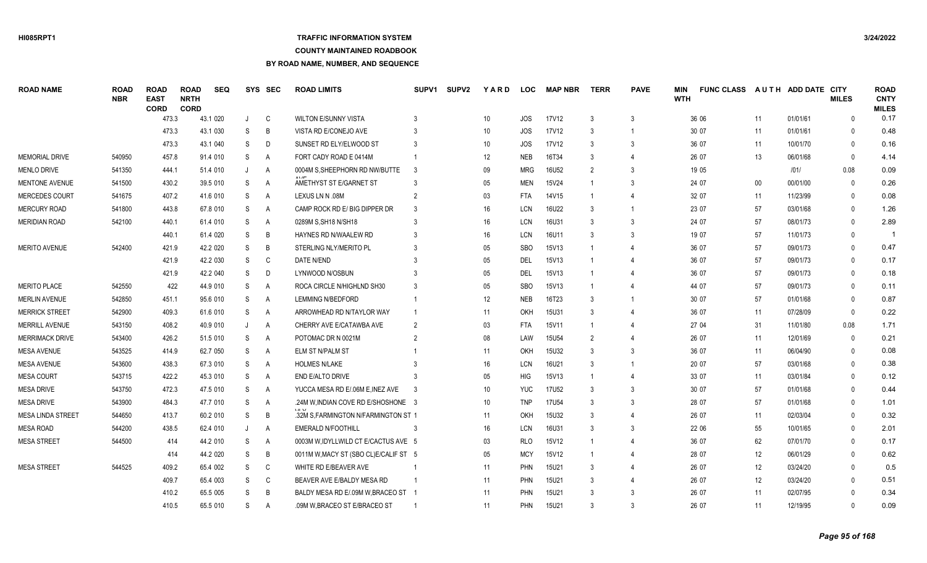## **TRAFFIC INFORMATION SYSTEM**

#### **COUNTY MAINTAINED ROADBOOK**

| <b>ROAD NAME</b>         | <b>ROAD</b><br><b>NBR</b> | <b>ROAD</b><br><b>EAST</b><br><b>CORD</b> | <b>ROAD</b><br><b>NRTH</b><br><b>CORD</b> | <b>SEQ</b> |              | SYS SEC        | <b>ROAD LIMITS</b>                     | SUPV <sub>1</sub> | <b>SUPV2</b> | YARD            | LOC        | <b>MAP NBR</b> | TERR          | <b>PAVE</b>    | MIN<br><b>WTH</b> | <b>FUNC CLASS</b> |                   | AUTH ADD DATE CITY | <b>MILES</b> | <b>ROAD</b><br><b>CNTY</b><br><b>MILES</b> |
|--------------------------|---------------------------|-------------------------------------------|-------------------------------------------|------------|--------------|----------------|----------------------------------------|-------------------|--------------|-----------------|------------|----------------|---------------|----------------|-------------------|-------------------|-------------------|--------------------|--------------|--------------------------------------------|
|                          |                           | 473.3                                     |                                           | 43.1 020   | $\cdot$      | C              | <b>WILTON E/SUNNY VISTA</b>            | 3                 |              | 10              | <b>JOS</b> | 17V12          | 3             | 3              |                   | 36 06             | 11                | 01/01/61           | $\Omega$     | 0.17                                       |
|                          |                           | 473.3                                     |                                           | 43.1 030   | S            | B              | VISTA RD E/CONEJO AVE                  |                   |              | 10              | <b>JOS</b> | 17V12          | 3             | $\overline{1}$ |                   | 30 07             | 11                | 01/01/61           | $\Omega$     | 0.48                                       |
|                          |                           | 473.3                                     |                                           | 43.1 040   | <sub>S</sub> | D              | SUNSET RD ELY/ELWOOD ST                | 3                 |              | 10 <sup>°</sup> | <b>JOS</b> | 17V12          | $\mathcal{R}$ | 3              |                   | 36 07             | 11                | 10/01/70           | $\Omega$     | 0.16                                       |
| <b>MEMORIAL DRIVE</b>    | 540950                    | 457.8                                     |                                           | 91.4 010   | S            | A              | FORT CADY ROAD E 0414M                 |                   |              | 12              | <b>NEB</b> | 16T34          |               | $\overline{4}$ |                   | 26 07             | 13                | 06/01/68           | $\Omega$     | 4.14                                       |
| <b>MENLO DRIVE</b>       | 541350                    | 444.1                                     |                                           | 51.4 010   | J            | A              | 0004M S.SHEEPHORN RD NW/BUTTE          | $\mathbf{3}$      |              | 09              | <b>MRG</b> | 16U52          | 2             | 3              |                   | 19 05             |                   | 1011               | 0.08         | 0.09                                       |
| MENTONE AVENUE           | 541500                    | 430.2                                     |                                           | 39.5 010   | S            | A              | AMETHYST ST E/GARNET ST                |                   |              | 05              | <b>MEN</b> | 15V24          |               | 3              |                   | 24 07             | $00\,$            | 00/01/00           | $\mathbf{0}$ | 0.26                                       |
| <b>MERCEDES COURT</b>    | 541675                    | 407.2                                     |                                           | 41.6 010   | S            | A              | LEXUS LN N .08M                        |                   |              | 03              | <b>FTA</b> | 14V15          |               |                |                   | 32 07             | 11                | 11/23/99           | $\mathbf{0}$ | 0.08                                       |
| MERCURY ROAD             | 541800                    | 443.8                                     |                                           | 67.8 010   | S            | A              | CAMP ROCK RD E/ BIG DIPPER DR          | 3                 |              | 16              | <b>LCN</b> | 16U22          | -3            | $\overline{1}$ |                   | 23 07             | 57                | 03/01/68           | $\mathbf{0}$ | 1.26                                       |
| <b>MERIDIAN ROAD</b>     | 542100                    | 440.1                                     |                                           | 61.4 010   | S            | $\overline{A}$ | 0289M S, SH18 N/SH18                   |                   |              | 16              | <b>LCN</b> | 16U31          | -3            | 3              |                   | 24 07             | 57                | 08/01/73           | $\mathbf{0}$ | 2.89                                       |
|                          |                           | 440.1                                     |                                           | 61.4 020   | S            | B              | HAYNES RD N/WAALEW RD                  |                   |              | 16              | <b>LCN</b> | 16U11          | 3             | 3              |                   | 19 07             | 57                | 11/01/73           | $\mathbf{0}$ |                                            |
| <b>MERITO AVENUE</b>     | 542400                    | 421.9                                     |                                           | 42.2 020   | S            | B              | STERLING NLY/MERITO PL                 |                   |              | 05              | <b>SBO</b> | 15V13          |               |                |                   | 36 07             | 57                | 09/01/73           | $\Omega$     | 0.47                                       |
|                          |                           | 421.9                                     |                                           | 42.2 030   | S            | C              | DATE N/END                             |                   |              | 05              | <b>DEL</b> | 15V13          |               |                |                   | 36 07             | 57                | 09/01/73           | $\mathbf{0}$ | 0.17                                       |
|                          |                           | 421.9                                     |                                           | 42.2 040   | S            | D              | LYNWOOD N/OSBUN                        |                   |              | 05              | DEL        | 15V13          |               |                |                   | 36 07             | 57                | 09/01/73           | $\mathbf{0}$ | 0.18                                       |
| <b>MERITO PLACE</b>      | 542550                    | 422                                       |                                           | 44.9 010   | S            | $\overline{A}$ | ROCA CIRCLE N/HIGHLND SH30             |                   |              | 05              | <b>SBO</b> | 15V13          |               |                |                   | 44 07             | 57                | 09/01/73           | $\Omega$     | 0.11                                       |
| <b>MERLIN AVENUE</b>     | 542850                    | 451.1                                     |                                           | 95.6 010   | S            | $\overline{A}$ | LEMMING N/BEDFORD                      |                   |              | 12              | <b>NEB</b> | 16T23          | -3            |                |                   | 30 07             | 57                | 01/01/68           | $\Omega$     | 0.87                                       |
| <b>MERRICK STREET</b>    | 542900                    | 409.3                                     |                                           | 61.6 010   | S            | A              | ARROWHEAD RD N/TAYLOR WAY              |                   |              | 11              | OKH        | 15U31          | 3             |                |                   | 36 07             | 11                | 07/28/09           | $\mathbf{0}$ | 0.22                                       |
| MERRILL AVENUE           | 543150                    | 408.2                                     |                                           | 40.9 010   | J            | A              | CHERRY AVE E/CATAWBA AVE               | $\overline{2}$    |              | 03              | <b>FTA</b> | 15V11          |               | $\overline{4}$ |                   | 27 04             | 31                | 11/01/80           | 0.08         | 1.71                                       |
| <b>MERRIMACK DRIVE</b>   | 543400                    | 426.2                                     |                                           | 51.5 010   | S            | A              | POTOMAC DR N 0021M                     |                   |              | 08              | LAW        | <b>15U54</b>   |               |                |                   | 26 07             | 11                | 12/01/69           | $\mathbf{0}$ | 0.21                                       |
| <b>MESA AVENUE</b>       | 543525                    | 414.9                                     |                                           | 62.7 050   | S            | A              | ELM ST N/PALM ST                       |                   |              | 11              | OKH        | 15U32          | 3             | 3              |                   | 36 07             | 11                | 06/04/90           | $\mathbf{0}$ | 0.08                                       |
| MESA AVENUE              | 543600                    | 438.3                                     |                                           | 67.3 010   | S            | A              | <b>HOLMES N/LAKE</b>                   |                   |              | 16              | <b>LCN</b> | 16U21          | 3             |                |                   | 20 07             | 57                | 03/01/68           | $\Omega$     | 0.38                                       |
| <b>MESA COURT</b>        | 543715                    | 422.2                                     |                                           | 45.3 010   | S            | A              | END E/ALTO DRIVE                       |                   |              | 05              | <b>HIG</b> | 15V13          |               |                |                   | 33 07             | 11                | 03/01/84           | $\Omega$     | 0.12                                       |
| <b>MESA DRIVE</b>        | 543750                    | 472.3                                     |                                           | 47.5 010   | S            | A              | YUCCA MESA RD E/.06M E, INEZ AVE       |                   |              | 10              | <b>YUC</b> | 17U52          |               | 3              |                   | 30 07             | 57                | 01/01/68           | $\Omega$     | 0.44                                       |
| <b>MESA DRIVE</b>        | 543900                    | 484.3                                     |                                           | 47.7 010   | S            | A              | .24M W, INDIAN COVE RD E/SHOSHONE 3    |                   |              | 10 <sup>°</sup> | <b>TNP</b> | 17U54          | 3             | 3              |                   | 28 07             | 57                | 01/01/68           | $\Omega$     | 1.01                                       |
| <b>MESA LINDA STREET</b> | 544650                    | 413.7                                     |                                           | 60.2 010   | S            | B              | .32M S, FARMINGTON N/FARMINGTON ST 1   |                   |              | 11              | OKH        | 15U32          | 3             | $\overline{4}$ |                   | 26 07             | 11                | 02/03/04           | $\Omega$     | 0.32                                       |
| <b>MESA ROAD</b>         | 544200                    | 438.5                                     |                                           | 62.4 010   | J            | A              | <b>EMERALD N/FOOTHILL</b>              |                   |              | 16              | <b>LCN</b> | 16U31          | $\mathbf{3}$  | 3              |                   | 22 06             | 55                | 10/01/65           | $\Omega$     | 2.01                                       |
| <b>MESA STREET</b>       | 544500                    | 414                                       |                                           | 44.2 010   | S            | A              | 0003M W.IDYLLWILD CT E/CACTUS AVE 5    |                   |              | 03              | <b>RLO</b> | 15V12          |               |                |                   | 36 07             | 62                | 07/01/70           | $\Omega$     | 0.17                                       |
|                          |                           |                                           | 414                                       | 44.2 020   | S            | B              | 0011M W, MACY ST (SBO CL) E/CALIF ST 5 |                   |              | 05              | <b>MCY</b> | 15V12          |               |                |                   | 28 07             | $12 \overline{ }$ | 06/01/29           | $\Omega$     | 0.62                                       |
| <b>MESA STREET</b>       | 544525                    | 409.2                                     |                                           | 65.4 002   | S            | C              | WHITE RD E/BEAVER AVE                  |                   |              | 11              | <b>PHN</b> | 15U21          | 3             |                |                   | 26 07             | 12                | 03/24/20           | $\Omega$     | 0.5                                        |
|                          |                           | 409.7                                     |                                           | 65.4 003   | S            | C              | BEAVER AVE E/BALDY MESA RD             |                   |              | 11              | <b>PHN</b> | 15U21          |               |                |                   | 26 07             | 12                | 03/24/20           | $\Omega$     | 0.51                                       |
|                          |                           | 410.2                                     |                                           | 65.5 005   | -S           | B              | BALDY MESA RD E/.09M W.BRACEO ST 1     |                   |              | 11              | <b>PHN</b> | 15U21          |               | 3              |                   | 26 07             | 11                | 02/07/95           | $\Omega$     | 0.34                                       |
|                          |                           | 410.5                                     |                                           | 65.5 010   | <sub>S</sub> | A              | .09M W.BRACEO ST E/BRACEO ST           |                   |              | 11              | <b>PHN</b> | 15U21          | $\mathcal{R}$ | $\mathcal{R}$  |                   | 26 07             | 11                | 12/19/95           | $\Omega$     | 0.09                                       |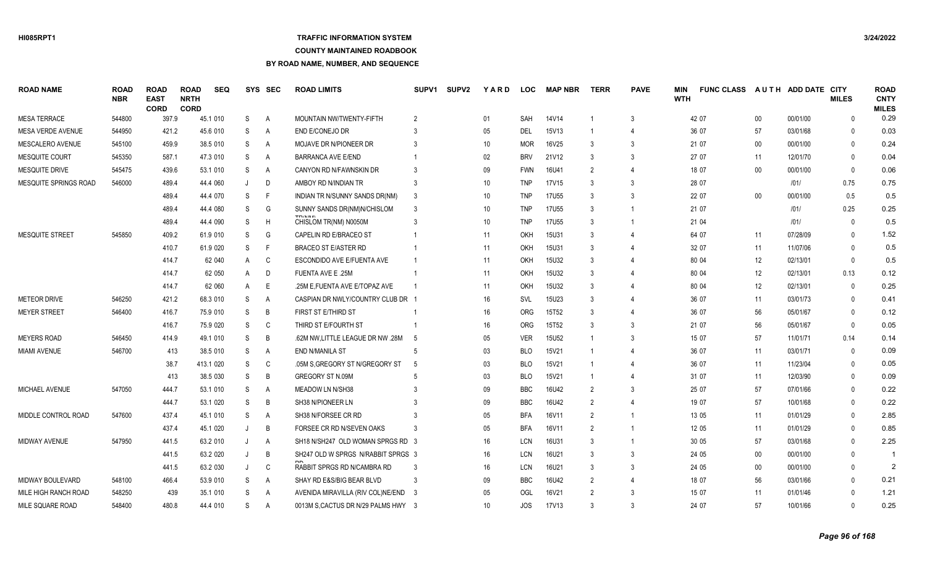# **TRAFFIC INFORMATION SYSTEM**

#### **COUNTY MAINTAINED ROADBOOK**

| <b>ROAD NAME</b>         | <b>ROAD</b><br><b>NBR</b> | <b>ROAD</b><br><b>EAST</b><br><b>CORD</b> | <b>ROAD</b><br><b>NRTH</b><br><b>CORD</b> | <b>SEQ</b> |   | SYS SEC      | <b>ROAD LIMITS</b>                  | SUPV <sub>1</sub> | <b>SUPV2</b> | YARD            | <b>LOC</b> | <b>MAP NBR</b> | <b>TERR</b>    | <b>PAVE</b>           | MIN<br><b>WTH</b> | <b>FUNC CLASS</b> | <b>AUTH</b> | ADD DATE CITY | <b>MILES</b> | <b>ROAD</b><br><b>CNTY</b><br><b>MILES</b> |
|--------------------------|---------------------------|-------------------------------------------|-------------------------------------------|------------|---|--------------|-------------------------------------|-------------------|--------------|-----------------|------------|----------------|----------------|-----------------------|-------------------|-------------------|-------------|---------------|--------------|--------------------------------------------|
| <b>MESA TERRACE</b>      | 544800                    | 397.9                                     |                                           | 45.1 010   | S | $\mathsf{A}$ | MOUNTAIN NW/TWENTY-FIFTH            | 2                 |              | 01              | <b>SAH</b> | 14V14          |                | 3                     |                   | 42 07             | $00\,$      | 00/01/00      | $\Omega$     | 0.29                                       |
| <b>MESA VERDE AVENUE</b> | 544950                    | 421.2                                     |                                           | 45.6 010   | S | A            | END E/CONEJO DR                     |                   |              | 05              | DEL        | 15V13          | -1             | 4                     |                   | 36 07             | 57          | 03/01/68      | 0            | 0.03                                       |
| MESCALERO AVENUE         | 545100                    | 459.9                                     |                                           | 38.5 010   | S | A            | MOJAVE DR N/PIONEER DR              | 3                 |              | 10              | <b>MOR</b> | 16V25          | 3              | 3                     |                   | 21 07             | 00          | 00/01/00      | $\Omega$     | 0.24                                       |
| <b>MESQUITE COURT</b>    | 545350                    | 587.1                                     |                                           | 47.3 010   | S | A            | <b>BARRANCA AVE E/END</b>           |                   |              | 02              | <b>BRV</b> | 21V12          | 3              | 3                     |                   | 27 07             | 11          | 12/01/70      | $\Omega$     | 0.04                                       |
| <b>MESQUITE DRIVE</b>    | 545475                    | 439.6                                     |                                           | 53.1 010   | S | A            | CANYON RD N/FAWNSKIN DR             | 3                 |              | 09              | <b>FWN</b> | 16U41          | $\overline{2}$ | $\overline{4}$        |                   | 18 07             | $00\,$      | 00/01/00      | $\mathbf{0}$ | 0.06                                       |
| MESQUITE SPRINGS ROAD    | 546000                    | 489.4                                     |                                           | 44.4 060   | J | D            | AMBOY RD N/INDIAN TR                | -3                |              | 10              | <b>TNP</b> | 17V15          | 3              | 3                     |                   | 28 07             |             | 1011          | 0.75         | 0.75                                       |
|                          |                           | 489.4                                     |                                           | 44.4 070   | S | F            | INDIAN TR N/SUNNY SANDS DR(NM)      | -3                |              | 10 <sup>°</sup> | <b>TNP</b> | 17U55          | 3              | 3                     |                   | 22 07             | $00\,$      | 00/01/00      | 0.5          | 0.5                                        |
|                          |                           | 489.4                                     |                                           | 44.4 080   | S | G            | SUNNY SANDS DR(NM)N/CHISLOM         |                   |              | 10 <sup>°</sup> | <b>TNP</b> | <b>17U55</b>   | 3              |                       |                   | 21 07             |             | 1011          | 0.25         | 0.25                                       |
|                          |                           | 489.4                                     |                                           | 44.4 090   | S | H            | CHISLOM TR(NM) N0050M               |                   |              | 10              | <b>TNP</b> | 17U55          | 3              |                       |                   | 21 04             |             | 1011          | $\mathbf{0}$ | 0.5                                        |
| MESQUITE STREET          | 545850                    | 409.2                                     |                                           | 61.9 010   | S | G            | CAPELIN RD E/BRACEO ST              |                   |              | 11              | OKH        | 15U31          | -3             | 4                     |                   | 64 07             | 11          | 07/28/09      | 0            | 1.52                                       |
|                          |                           | 410.7                                     |                                           | 61.9 020   | S | F            | <b>BRACEO ST E/ASTER RD</b>         |                   |              | 11              | OKH        | 15U31          | 3              | 4                     |                   | 32 07             | 11          | 11/07/06      | $\Omega$     | 0.5                                        |
|                          |                           | 414.7                                     |                                           | 62 040     | Α | C            | ESCONDIDO AVE E/FUENTA AVE          |                   |              | 11              | OKH        | 15U32          | 3              | 4                     |                   | 80 04             | 12          | 02/13/01      | $\mathbf{0}$ | 0.5                                        |
|                          |                           | 414.7                                     |                                           | 62 050     | A | D            | FUENTA AVE E .25M                   |                   |              | 11              | OKH        | 15U32          | 3              | $\boldsymbol{\Delta}$ |                   | 80 04             | 12          | 02/13/01      | 0.13         | 0.12                                       |
|                          |                           | 414.7                                     |                                           | 62 060     | A | E            | .25M E,FUENTA AVE E/TOPAZ AVE       |                   |              | 11              | OKH        | 15U32          | 3              |                       |                   | 80 04             | 12          | 02/13/01      | $\Omega$     | 0.25                                       |
| <b>METEOR DRIVE</b>      | 546250                    | 421.2                                     |                                           | 68.3 010   | S | A            | CASPIAN DR NWLY/COUNTRY CLUB DR 1   |                   |              | 16              | <b>SVL</b> | 15U23          | 3              |                       |                   | 36 07             | 11          | 03/01/73      | $\mathbf{0}$ | 0.41                                       |
| <b>MEYER STREET</b>      | 546400                    | 416.7                                     |                                           | 75.9 010   | S | B            | FIRST ST E/THIRD ST                 |                   |              | 16              | ORG        | 15T52          | 3              | $\boldsymbol{\Delta}$ |                   | 36 07             | 56          | 05/01/67      | 0            | 0.12                                       |
|                          |                           | 416.7                                     |                                           | 75.9 020   | S | C            | THIRD ST E/FOURTH ST                |                   |              | 16              | ORG        | 15T52          | 3              | 3                     |                   | 21 07             | 56          | 05/01/67      | $\mathbf{0}$ | 0.05                                       |
| <b>MEYERS ROAD</b>       | 546450                    | 414.9                                     |                                           | 49.1 010   | S | B            | .62M NW,LITTLE LEAGUE DR NW .28M    | - 5               |              | 05              | <b>VER</b> | 15U52          |                | 3                     |                   | 15 07             | 57          | 11/01/71      | 0.14         | 0.14                                       |
| <b>MIAMI AVENUE</b>      | 546700                    | 413                                       |                                           | 38.5 010   | S | $\mathsf{A}$ | END N/MANILA ST                     | -5                |              | 03              | <b>BLO</b> | 15V21          | -1             | $\overline{4}$        |                   | 36 07             | 11          | 03/01/71      | $\mathbf{0}$ | 0.09                                       |
|                          |                           | 38.7                                      |                                           | 413.1 020  | S | C            | .05M S.GREGORY ST N/GREGORY ST      | -5                |              | 03              | <b>BLO</b> | 15V21          | -1             | $\overline{4}$        |                   | 36 07             | 11          | 11/23/04      | $\mathbf{0}$ | 0.05                                       |
|                          |                           | 413                                       |                                           | 38.5 030   | S | B            | GREGORY ST N.09M                    |                   |              | 03              | <b>BLO</b> | 15V21          | $\overline{1}$ | $\overline{4}$        |                   | 31 07             | 11          | 12/03/90      | 0            | 0.09                                       |
| MICHAEL AVENUE           | 547050                    | 444.7                                     |                                           | 53.1 010   | S | A            | MEADOW LN N/SH38                    |                   |              | 09              | <b>BBC</b> | 16U42          | 2              | 3                     |                   | 25 07             | 57          | 07/01/66      | $\mathbf{0}$ | 0.22                                       |
|                          |                           | 444.7                                     |                                           | 53.1 020   | S | B            | SH38 N/PIONEER LN                   |                   |              | 09              | <b>BBC</b> | 16U42          | $\overline{2}$ | 4                     |                   | 19 07             | 57          | 10/01/68      | 0            | 0.22                                       |
| MIDDLE CONTROL ROAD      | 547600                    | 437.4                                     |                                           | 45.1 010   | S | A            | SH38 N/FORSEE CR RD                 |                   |              | 05              | <b>BFA</b> | 16V11          | $\mathfrak{D}$ | 1                     |                   | 13 05             | 11          | 01/01/29      | $\Omega$     | 2.85                                       |
|                          |                           | 437.4                                     |                                           | 45.1 020   |   | B            | FORSEE CR RD N/SEVEN OAKS           | 3                 |              | 05              | <b>BFA</b> | 16V11          | $\overline{2}$ |                       |                   | 12 05             | 11          | 01/01/29      | $\Omega$     | 0.85                                       |
| MIDWAY AVENUE            | 547950                    | 441.5                                     |                                           | 63.2 010   | J | $\mathsf{A}$ | SH18 N/SH247 OLD WOMAN SPRGS RD 3   |                   |              | 16              | <b>LCN</b> | 16U31          | 3              | 1                     |                   | 30 05             | 57          | 03/01/68      | $\Omega$     | 2.25                                       |
|                          |                           | 441.5                                     |                                           | 63.2 020   |   | B            | SH247 OLD W SPRGS N/RABBIT SPRGS 3  |                   |              | 16              | <b>LCN</b> | 16U21          | 3              | 3                     |                   | 24 05             | $00\,$      | 00/01/00      | $\Omega$     |                                            |
|                          |                           | 441.5                                     |                                           | 63.2 030   |   | C            | RABBIT SPRGS RD N/CAMBRA RD         |                   |              | 16              | LCN        | 16U21          | 3              | 3                     |                   | 24 05             | $00\,$      | 00/01/00      | $\Omega$     | $\overline{2}$                             |
| <b>MIDWAY BOULEVARD</b>  | 548100                    | 466.4                                     |                                           | 53.9 010   | S | A            | SHAY RD E&S/BIG BEAR BLVD           | 3                 |              | 09              | <b>BBC</b> | 16U42          | 2              | 4                     |                   | 18 07             | 56          | 03/01/66      | $\Omega$     | 0.21                                       |
| MILE HIGH RANCH ROAD     | 548250                    | 439                                       |                                           | 35.1 010   | S | A            | AVENIDA MIRAVILLA (RIV COL)NE/END 3 |                   |              | 05              | OGL        | 16V21          | $\mathfrak{D}$ | 3                     |                   | 15 07             | 11          | 01/01/46      | <sup>n</sup> | 1.21                                       |
| MILE SQUARE ROAD         | 548400                    | 480.8                                     |                                           | 44.4 010   | S | A            | 0013M S, CACTUS DR N/29 PALMS HWY 3 |                   |              | 10 <sup>°</sup> | JOS        | 17V13          |                | 3                     |                   | 24 07             | 57          | 10/01/66      | $\Omega$     | 0.25                                       |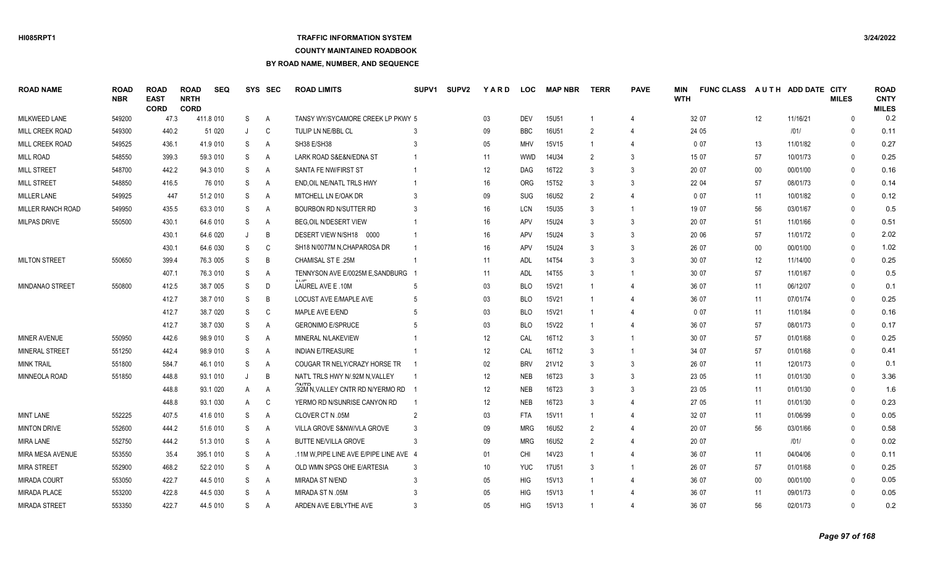# **TRAFFIC INFORMATION SYSTEM**

### **COUNTY MAINTAINED ROADBOOK**

| <b>ROAD NAME</b>      | <b>ROAD</b><br><b>NBR</b> | <b>ROAD</b><br><b>EAST</b><br><b>CORD</b> | <b>ROAD</b><br><b>NRTH</b><br><b>CORD</b> | <b>SEQ</b> |    | SYS SEC        | <b>ROAD LIMITS</b>                                                | SUPV <sub>1</sub> | <b>SUPV2</b> | <b>YARD</b>     | <b>LOC</b> | <b>MAP NBR</b> | <b>TERR</b>             | <b>PAVE</b>             | <b>MIN</b><br><b>WTH</b> | <b>FUNC CLASS</b> |        | AUTH ADD DATE CITY | <b>MILES</b> | <b>ROAD</b><br><b>CNTY</b><br><b>MILES</b> |
|-----------------------|---------------------------|-------------------------------------------|-------------------------------------------|------------|----|----------------|-------------------------------------------------------------------|-------------------|--------------|-----------------|------------|----------------|-------------------------|-------------------------|--------------------------|-------------------|--------|--------------------|--------------|--------------------------------------------|
| <b>MILKWEED LANE</b>  | 549200                    | 47.3                                      |                                           | 411.8 010  | S  | A              | TANSY WY/SYCAMORE CREEK LP PKWY 5                                 |                   |              | 03              | <b>DEV</b> | <b>15U51</b>   |                         | $\overline{4}$          |                          | 32 07             | 12     | 11/16/21           | $\mathbf{0}$ | 0.2                                        |
| MILL CREEK ROAD       | 549300                    | 440.2                                     |                                           | 51 020     | J  | C              | TULIP LN NE/BBL CL                                                |                   |              | 09              | <b>BBC</b> | 16U51          | $\overline{2}$          | $\overline{4}$          |                          | 24 05             |        | 1011               | $\Omega$     | 0.11                                       |
| MILL CREEK ROAD       | 549525                    | 436.1                                     |                                           | 41.9 010   | S  | $\overline{A}$ | SH38 E/SH38                                                       | 3                 |              | 05              | <b>MHV</b> | 15V15          |                         | $\overline{4}$          |                          | 007               | 13     | 11/01/82           | $\Omega$     | 0.27                                       |
| <b>MILL ROAD</b>      | 548550                    | 399.3                                     |                                           | 59.3 010   | S  | A              | <b>LARK ROAD S&amp;E&amp;N/EDNA ST</b>                            |                   |              | 11              | <b>WWD</b> | 14U34          | $\mathcal{P}$           | 3                       |                          | 15 07             | 57     | 10/01/73           | $\Omega$     | 0.25                                       |
| MILL STREET           | 548700                    | 442.2                                     |                                           | 94.3 010   | S  | $\mathsf{A}$   | SANTA FE NW/FIRST ST                                              |                   |              | 12              | DAG        | 16T22          | 3                       | 3                       |                          | 20 07             | 00     | 00/01/00           | $\Omega$     | 0.16                                       |
| <b>MILL STREET</b>    | 548850                    | 416.5                                     |                                           | 76 010     | S  | $\mathsf{A}$   | END, OIL NE/NATL TRLS HWY                                         |                   |              | 16              | <b>ORG</b> | 15T52          | 3                       | 3                       |                          | 22 04             | 57     | 08/01/73           | $\Omega$     | 0.14                                       |
| <b>MILLER LANE</b>    | 549925                    | 447                                       |                                           | 51.2 010   | S  | A              | MITCHELL LN E/OAK DR                                              | 3                 |              | 09              | <b>SUG</b> | 16U52          | $\mathcal{P}$           |                         |                          | 007               | 11     | 10/01/82           | $\Omega$     | 0.12                                       |
| MILLER RANCH ROAD     | 549950                    | 435.5                                     |                                           | 63.3 010   | S  | A              | <b>BOURBON RD N/SUTTER RD</b>                                     |                   |              | 16              | <b>LCN</b> | 15U35          | 3                       | $\overline{1}$          |                          | 19 07             | 56     | 03/01/67           | $\Omega$     | 0.5                                        |
| <b>MILPAS DRIVE</b>   | 550500                    | 430.1                                     |                                           | 64.6 010   | S  | A              | BEG, OIL N/DESERT VIEW                                            |                   |              | 16              | <b>APV</b> | 15U24          | 3                       | 3                       |                          | 20 07             | 51     | 11/01/66           | $\Omega$     | 0.51                                       |
|                       |                           | 430.1                                     |                                           | 64.6 020   | J  | B              | DESERT VIEW N/SH18 0000                                           | -1                |              | 16              | APV        | 15U24          | 3                       | 3                       |                          | 20 06             | 57     | 11/01/72           | $\mathbf{0}$ | 2.02                                       |
|                       |                           | 430.1                                     |                                           | 64.6 030   | S  | C              | SH18 N/0077M N.CHAPAROSA DR                                       |                   |              | 16              | APV        | 15U24          |                         | 3                       |                          | 26 07             | $00\,$ | 00/01/00           | $\Omega$     | 1.02                                       |
| <b>MILTON STREET</b>  | 550650                    | 399.4                                     |                                           | 76.3 005   | S  | B              | CHAMISAL ST E .25M                                                |                   |              | 11              | ADL        | 14T54          | 3                       | 3                       |                          | 30 07             | 12     | 11/14/00           | $\mathbf{0}$ | 0.25                                       |
|                       |                           | 407.1                                     |                                           | 76.3 010   | S  | $\overline{A}$ | TENNYSON AVE E/0025M E, SANDBURG                                  |                   |              | 11              | <b>ADL</b> | 14T55          | 3                       | $\overline{1}$          |                          | 30 07             | 57     | 11/01/67           | $\Omega$     | 0.5                                        |
| MINDANAO STREET       | 550800                    | 412.5                                     |                                           | 38.7 005   | S  | D              | LAUREL AVE E .10M                                                 |                   |              | 03              | <b>BLO</b> | 15V21          |                         | 4                       |                          | 36 07             | 11     | 06/12/07           | $\Omega$     | 0.1                                        |
|                       |                           | 412.7                                     |                                           | 38.7 010   | S  | B              | LOCUST AVE E/MAPLE AVE                                            |                   |              | 03              | <b>BLO</b> | 15V21          |                         |                         |                          | 36 07             | 11     | 07/01/74           | $\Omega$     | 0.25                                       |
|                       |                           | 412.7                                     |                                           | 38.7 020   | S  | C              | MAPLE AVE E/END                                                   |                   |              | 03              | <b>BLO</b> | 15V21          |                         |                         |                          | 007               | 11     | 11/01/84           | $\Omega$     | 0.16                                       |
|                       |                           | 412.7                                     |                                           | 38.7 030   | S  | A              | <b>GERONIMO E/SPRUCE</b>                                          |                   |              | 03              | <b>BLO</b> | 15V22          | $\overline{\mathbf{1}}$ | $\overline{4}$          |                          | 36 07             | 57     | 08/01/73           | $\mathbf{0}$ | 0.17                                       |
| <b>MINER AVENUE</b>   | 550950                    | 442.6                                     |                                           | 98.9 010   | S  | A              | MINERAL N/LAKEVIEW                                                |                   |              | 12              | CAL        | 16T12          | 3                       | $\overline{1}$          |                          | 30 07             | 57     | 01/01/68           | $\mathbf{0}$ | 0.25                                       |
| <b>MINERAL STREET</b> | 551250                    | 442.4                                     |                                           | 98.9 010   | S  | $\overline{A}$ | <b>INDIAN E/TREASURE</b>                                          |                   |              | 12              | CAL        | 16T12          | 3                       | $\overline{\mathbf{1}}$ |                          | 34 07             | 57     | 01/01/68           | $\Omega$     | 0.41                                       |
| mink trail            | 551800                    | 584.7                                     |                                           | 46.1 010   | S  | A              | COUGAR TR NELY/CRAZY HORSE TR                                     |                   |              | 02              | <b>BRV</b> | 21V12          | 3                       | 3                       |                          | 26 07             | 11     | 12/01/73           | $\mathbf{0}$ | 0.1                                        |
| MINNEOLA ROAD         | 551850                    | 448.8                                     |                                           | 93.1 010   |    | B              | NAT'L TRLS HWY N/.92M N.VALLEY                                    |                   |              | 12              | <b>NEB</b> | 16T23          | 3                       | 3                       |                          | 23 05             | 11     | 01/01/30           | $\Omega$     | 3.36                                       |
|                       |                           | 448.8                                     |                                           | 93.1 020   | A  | A              | $\bigcap_{n \in \mathbb{N}}$<br>.92M N, VALLEY CNTR RD N/YERMO RD |                   |              | 12              | <b>NEB</b> | 16T23          | 3                       | 3                       |                          | 23 05             | 11     | 01/01/30           | $\mathbf{0}$ | 1.6                                        |
|                       |                           | 448.8                                     |                                           | 93.1 030   | A  | C              | YERMO RD N/SUNRISE CANYON RD                                      |                   |              | 12              | <b>NEB</b> | 16T23          | 3                       | $\overline{4}$          |                          | 27 05             | 11     | 01/01/30           | $\mathbf{0}$ | 0.23                                       |
| MINT LANE             | 552225                    | 407.5                                     |                                           | 41.6 010   | S  | A              | CLOVER CT N .05M                                                  | $\overline{2}$    |              | 03              | <b>FTA</b> | 15V11          |                         | $\overline{4}$          |                          | 32 07             | 11     | 01/06/99           | $\Omega$     | 0.05                                       |
| <b>MINTON DRIVE</b>   | 552600                    | 444.2                                     |                                           | 51.6 010   | S  | A              | VILLA GROVE S&NW/VLA GROVE                                        | 3                 |              | 09              | <b>MRG</b> | 16U52          | $\mathcal{P}$           | $\overline{4}$          |                          | 20 07             | 56     | 03/01/66           | $\Omega$     | 0.58                                       |
| <b>MIRA LANE</b>      | 552750                    | 444.2                                     |                                           | 51.3 010   | S  | $\mathsf{A}$   | <b>BUTTE NE/VILLA GROVE</b>                                       | 3                 |              | 09              | <b>MRG</b> | 16U52          | $\mathcal{P}$           | $\overline{4}$          |                          | 20 07             |        | 1011               | $\Omega$     | 0.02                                       |
| MIRA MESA AVENUE      | 553550                    | 35.4                                      |                                           | 395.1 010  | S  | $\overline{A}$ | .11M W.PIPE LINE AVE E/PIPE LINE AVE 4                            |                   |              | 01              | <b>CHI</b> | 14V23          |                         | $\overline{4}$          |                          | 36 07             | 11     | 04/04/06           | $\Omega$     | 0.11                                       |
| MIRA STREET           | 552900                    | 468.2                                     |                                           | 52.2 010   | S  | $\overline{A}$ | OLD WMN SPGS OHE E/ARTESIA                                        | 3                 |              | 10 <sup>°</sup> | <b>YUC</b> | 17U51          | 3                       | $\overline{1}$          |                          | 26 07             | 57     | 01/01/68           | $\Omega$     | 0.25                                       |
| <b>MIRADA COURT</b>   | 553050                    | 422.7                                     |                                           | 44.5 010   | S  | $\overline{A}$ | <b>MIRADA ST N/END</b>                                            | 3                 |              | 05              | <b>HIG</b> | 15V13          |                         | 4                       |                          | 36 07             | 00     | 00/01/00           | $\Omega$     | 0.05                                       |
| <b>MIRADA PLACE</b>   | 553200                    | 422.8                                     |                                           | 44.5 030   | S  | $\overline{A}$ | MIRADA ST N .05M                                                  |                   |              | 05              | <b>HIG</b> | 15V13          |                         |                         |                          | 36 07             | 11     | 09/01/73           | $\Omega$     | 0.05                                       |
| <b>MIRADA STREET</b>  | 553350                    | 422.7                                     |                                           | 44.5 010   | S. | A              | ARDEN AVE E/BLYTHE AVE                                            |                   |              | $05\,$          | HIG        | 15V13          |                         | $\boldsymbol{\Delta}$   |                          | 36 07             | 56     | 02/01/73           | $\Omega$     | 0.2                                        |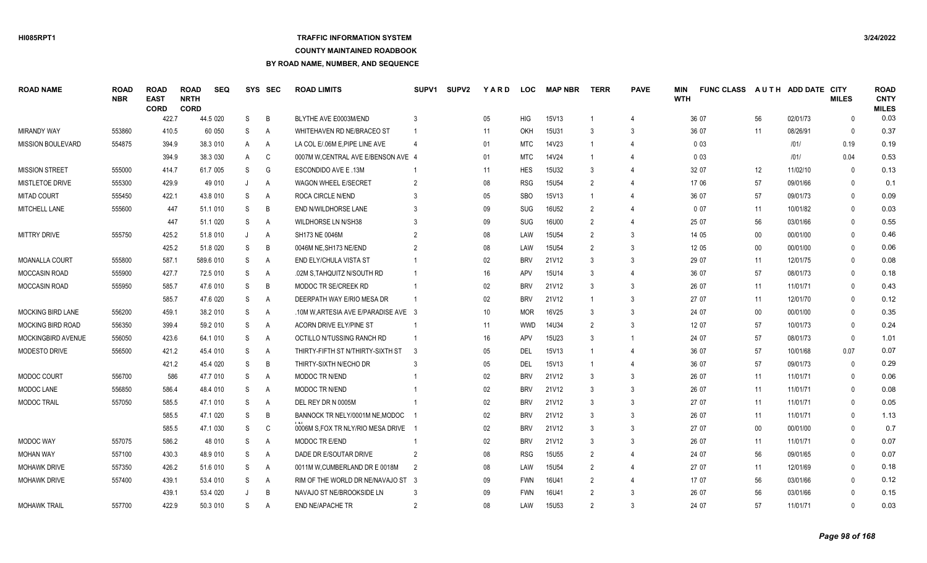# **TRAFFIC INFORMATION SYSTEM**

### **COUNTY MAINTAINED ROADBOOK**

| <b>ROAD NAME</b>         | <b>ROAD</b><br><b>NBR</b> | <b>ROAD</b><br><b>EAST</b><br><b>CORD</b> | <b>ROAD</b><br><b>NRTH</b><br><b>CORD</b> | <b>SEQ</b> |    | SYS SEC        | <b>ROAD LIMITS</b>                   | <b>SUPV1</b>  | <b>SUPV2</b> | YARD            | <b>LOC</b> | <b>MAP NBR</b>    | <b>TERR</b>    | <b>PAVE</b>    | MIN<br><b>WTH</b> | <b>FUNC CLASS</b> |                   | AUTH ADD DATE CITY | <b>MILES</b> | <b>ROAD</b><br><b>CNTY</b><br><b>MILES</b> |
|--------------------------|---------------------------|-------------------------------------------|-------------------------------------------|------------|----|----------------|--------------------------------------|---------------|--------------|-----------------|------------|-------------------|----------------|----------------|-------------------|-------------------|-------------------|--------------------|--------------|--------------------------------------------|
|                          |                           | 422.7                                     |                                           | 44.5 020   | S  | B              | BLYTHE AVE E0003M/END                |               |              | 05              | HIG        | 15V13             |                | $\overline{4}$ |                   | 36 07             | 56                | 02/01/73           | $\Omega$     | 0.03                                       |
| <b>MIRANDY WAY</b>       | 553860                    | 410.5                                     |                                           | 60 050     | S  | A              | WHITEHAVEN RD NE/BRACEO ST           |               |              | 11              | OKH        | 15U31             | 3              | 3              |                   | 36 07             | 11                | 08/26/91           | $\mathbf{0}$ | 0.37                                       |
| <b>MISSION BOULEVARD</b> | 554875                    | 394.9                                     |                                           | 38.3 010   | A  | A              | LA COL E/.06M E, PIPE LINE AVE       |               |              | 01              | <b>MTC</b> | 14V23             |                | 4              |                   | 003               |                   | 1011               | 0.19         | 0.19                                       |
|                          |                           | 394.9                                     |                                           | 38.3 030   | A  | C              | 0007M W.CENTRAL AVE E/BENSON AVE 4   |               |              | 01              | <b>MTC</b> | 14V24             |                | 4              |                   | 003               |                   | 1011               | 0.04         | 0.53                                       |
| <b>MISSION STREET</b>    | 555000                    | 414.7                                     |                                           | 61.7 005   | S  | G              | ESCONDIDO AVE E .13M                 |               |              | 11              | <b>HES</b> | 15U32             | 3              | 4              |                   | 32 07             | $12 \overline{ }$ | 11/02/10           | $\mathbf{0}$ | 0.13                                       |
| <b>MISTLETOE DRIVE</b>   | 555300                    | 429.9                                     |                                           | 49 010     | J  | A              | <b>WAGON WHEEL E/SECRET</b>          |               |              | 08              | <b>RSG</b> | <b>15U54</b>      | 2              |                |                   | 17 06             | 57                | 09/01/66           | $\Omega$     | 0.1                                        |
| <b>MITAD COURT</b>       | 555450                    | 422.1                                     |                                           | 43.8 010   | S  | $\overline{A}$ | ROCA CIRCLE N/END                    |               |              | 05              | <b>SBO</b> | 15V13             |                |                |                   | 36 07             | 57                | 09/01/73           | $\Omega$     | 0.09                                       |
| MITCHELL LANE            | 555600                    | 447                                       |                                           | 51.1 010   | S  | B              | END N/WILDHORSE LANE                 |               |              | 09              | <b>SUG</b> | 16U52             | $\mathcal{P}$  |                |                   | 007               | 11                | 10/01/82           | $\Omega$     | 0.03                                       |
|                          |                           | 447                                       |                                           | 51.1 020   | S  | A              | WILDHORSE LN N/SH38                  |               |              | 09              | <b>SUG</b> | 16U00             | $\overline{2}$ | 4              |                   | 25 07             | 56                | 03/01/66           | $\Omega$     | 0.55                                       |
| <b>MITTRY DRIVE</b>      | 555750                    | 425.2                                     |                                           | 51.8 010   | J  | A              | SH173 NE 0046M                       |               |              | 08              | LAW        | 15U <sub>54</sub> | 2              | 3              |                   | 14 05             | $00\,$            | 00/01/00           | $\Omega$     | 0.46                                       |
|                          |                           | 425.2                                     |                                           | 51.8 020   | S  | B              | 0046M NE, SH173 NE/END               |               |              | 08              | LAW        | 15U <sub>54</sub> | 2              | 3              |                   | 12 05             | $00\,$            | 00/01/00           | $\mathbf{0}$ | 0.06                                       |
| <b>MOANALLA COURT</b>    | 555800                    | 587.1                                     |                                           | 589.6 010  | S  | Α              | END ELY/CHULA VISTA ST               |               |              | 02 <sub>2</sub> | <b>BRV</b> | 21V12             | 3              | 3              |                   | 29 07             | 11                | 12/01/75           | $\mathbf{0}$ | 0.08                                       |
| <b>MOCCASIN ROAD</b>     | 555900                    | 427.7                                     |                                           | 72.5 010   | S  | Α              | .02M S, TAHQUITZ N/SOUTH RD          |               |              | 16              | APV        | 15U14             | 3              | $\overline{4}$ |                   | 36 07             | 57                | 08/01/73           | $\Omega$     | 0.18                                       |
| MOCCASIN ROAD            | 555950                    | 585.7                                     |                                           | 47.6 010   | S  | B              | MODOC TR SE/CREEK RD                 |               |              | 02              | <b>BRV</b> | 21V12             | $\mathcal{R}$  | 3              |                   | 26 07             | 11                | 11/01/71           | $\Omega$     | 0.43                                       |
|                          |                           | 585.7                                     |                                           | 47.6 020   | S  | A              | DEERPATH WAY E/RIO MESA DR           |               |              | 02              | <b>BRV</b> | 21V12             |                | 3              |                   | 27 07             | 11                | 12/01/70           | $\Omega$     | 0.12                                       |
| MOCKING BIRD LANE        | 556200                    | 459.1                                     |                                           | 38.2 010   | S  | $\overline{A}$ | .10M W, ARTESIA AVE E/PARADISE AVE 3 |               |              | 10 <sup>°</sup> | <b>MOR</b> | 16V25             | 3              | 3              |                   | 24 07             | $00\,$            | 00/01/00           | $\Omega$     | 0.35                                       |
| MOCKING BIRD ROAD        | 556350                    | 399.4                                     |                                           | 59.2 010   | S  | Α              | ACORN DRIVE ELY/PINE ST              |               |              | 11              | <b>WWD</b> | 14U34             | $\mathfrak{p}$ | 3              |                   | 12 07             | 57                | 10/01/73           | $\mathbf{0}$ | 0.24                                       |
| MOCKINGBIRD AVENUE       | 556050                    | 423.6                                     |                                           | 64.1 010   | S  | $\overline{A}$ | OCTILLO N/TUSSING RANCH RD           |               |              | 16              | APV        | 15U23             | $\mathbf{3}$   | $\overline{1}$ |                   | 24 07             | 57                | 08/01/73           | $\mathbf{0}$ | 1.01                                       |
| MODESTO DRIVE            | 556500                    | 421.2                                     |                                           | 45.4 010   | S  | Α              | THIRTY-FIFTH ST N/THIRTY-SIXTH ST    | -3            |              | 05              | <b>DEL</b> | 15V13             |                | $\overline{4}$ |                   | 36 07             | 57                | 10/01/68           | 0.07         | 0.07                                       |
|                          |                           | 421.2                                     |                                           | 45.4 020   | S  | B              | THIRTY-SIXTH N/ECHO DR               |               |              | 05              | DEL        | 15V13             |                | $\overline{4}$ |                   | 36 07             | 57                | 09/01/73           | $\mathbf{0}$ | 0.29                                       |
| <b>MODOC COURT</b>       | 556700                    | 586                                       |                                           | 47.7 010   | S  | $\overline{A}$ | MODOC TR N/END                       |               |              | 02              | <b>BRV</b> | 21V12             | 3              | 3              |                   | 26 07             | 11                | 11/01/71           | $\mathbf{0}$ | 0.06                                       |
| MODOC LANE               | 556850                    | 586.4                                     |                                           | 48.4 010   | S  | Α              | <b>MODOC TR N/END</b>                |               |              | $02\,$          | <b>BRV</b> | 21V12             | 3              | 3              |                   | 26 07             | 11                | 11/01/71           | $\Omega$     | 0.08                                       |
| MODOC TRAIL              | 557050                    | 585.5                                     |                                           | 47.1 010   | S  | Α              | DEL REY DR N 0005M                   |               |              | 02              | <b>BRV</b> | 21V12             | 3              | 3              |                   | 27 07             | 11                | 11/01/71           | $\mathbf{0}$ | 0.05                                       |
|                          |                           | 585.5                                     |                                           | 47.1 020   | S  | B              | BANNOCK TR NELY/0001M NE, MODOC      |               |              | 02              | <b>BRV</b> | 21V12             | $\mathbf{3}$   | 3              |                   | 26 07             | 11                | 11/01/71           | $\Omega$     | 1.13                                       |
|                          |                           | 585.5                                     |                                           | 47.1 030   | S  | C              | 0006M S, FOX TR NLY/RIO MESA DRIVE   |               |              | 02              | <b>BRV</b> | 21V12             | $\mathcal{R}$  | 3              |                   | 27 07             | $00\,$            | 00/01/00           | $\Omega$     | 0.7                                        |
| MODOC WAY                | 557075                    | 586.2                                     |                                           | 48 010     | S  | A              | <b>MODOC TR E/END</b>                |               |              | 02              | <b>BRV</b> | 21V12             | 3              | 3              |                   | 26 07             | 11                | 11/01/71           | $\Omega$     | 0.07                                       |
| <b>MOHAN WAY</b>         | 557100                    | 430.3                                     |                                           | 48.9 010   | S  | A              | DADE DR E/SOUTAR DRIVE               | 2             |              | 08              | <b>RSG</b> | <b>15U55</b>      | $\mathfrak{p}$ | $\overline{4}$ |                   | 24 07             | 56                | 09/01/65           | $\Omega$     | 0.07                                       |
| <b>MOHAWK DRIVE</b>      | 557350                    | 426.2                                     |                                           | 51.6 010   | S  | A              | 0011M W, CUMBERLAND DR E 0018M       | $\mathcal{P}$ |              | 08              | LAW        | 15U <sub>54</sub> | 2              | 4              |                   | 27 07             | 11                | 12/01/69           | $\Omega$     | 0.18                                       |
| <b>MOHAWK DRIVE</b>      | 557400                    | 439.1                                     |                                           | 53.4 010   | S  | A              | RIM OF THE WORLD DR NE/NAVAJO ST 3   |               |              | 09              | <b>FWN</b> | 16U41             | $\mathcal{P}$  | 4              |                   | 17 07             | 56                | 03/01/66           | $\Omega$     | 0.12                                       |
|                          |                           | 439.1                                     |                                           | 53.4 020   |    | B              | NAVAJO ST NE/BROOKSIDE LN            |               |              | 09              | <b>FWN</b> | 16U41             |                | 3              |                   | 26 07             | 56                | 03/01/66           | $\Omega$     | 0.15                                       |
| <b>MOHAWK TRAIL</b>      | 557700                    | 422.9                                     |                                           | 50.3 010   | S. | A              | <b>END NE/APACHE TR</b>              |               |              | 08              | LAW        | <b>15U53</b>      | 2              | 3              |                   | 24 07             | 57                | 11/01/71           | $\Omega$     | 0.03                                       |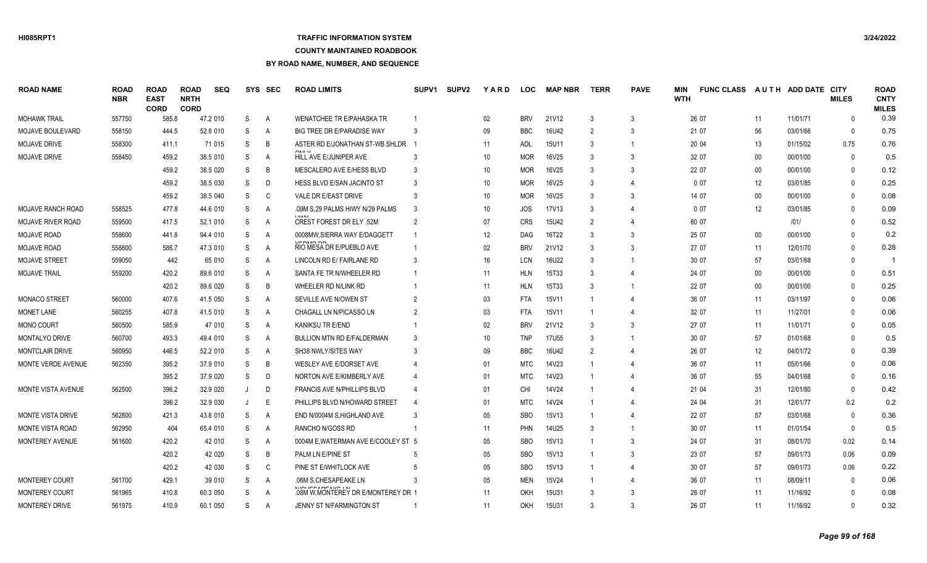# **TRAFFIC INFORMATION SYSTEM**

#### **COUNTY MAINTAINED ROADBOOK**

| <b>ROAD NAME</b>       | <b>ROAD</b><br><b>NBR</b> | <b>ROAD</b><br><b>EAST</b><br><b>CORD</b> | <b>ROAD</b><br><b>NRTH</b><br><b>CORD</b> | <b>SEQ</b> | SYS | <b>SEC</b> | <b>ROAD LIMITS</b>                      | SUPV <sub>1</sub> | <b>SUPV2</b> | YARD            | <b>LOC</b> | <b>MAP NBR</b> | <b>TERR</b>    | <b>PAVE</b>    | MIN<br><b>WTH</b> | <b>FUNC CLASS</b> |        | AUTH ADD DATE CITY | <b>MILES</b> | <b>ROAD</b><br><b>CNTY</b><br><b>MILES</b> |
|------------------------|---------------------------|-------------------------------------------|-------------------------------------------|------------|-----|------------|-----------------------------------------|-------------------|--------------|-----------------|------------|----------------|----------------|----------------|-------------------|-------------------|--------|--------------------|--------------|--------------------------------------------|
| <b>MOHAWK TRAIL</b>    | 557750                    | 585.8                                     |                                           | 47.2 010   | S   | Α          | WENATCHEE TR E/PAHASKA TR               |                   |              | 02              | <b>BRV</b> | 21V12          | 3              | $\mathbf{3}$   |                   | 26 07             | 11     | 11/01/71           | $\mathbf{0}$ | 0.39                                       |
| MOJAVE BOULEVARD       | 558150                    | 444.5                                     |                                           | 52.8 010   | S   | A          | <b>BIG TREE DR E/PARADISE WAY</b>       | -3                |              | 09              | <b>BBC</b> | 16U42          |                | 3              |                   | 21 07             | 56     | 03/01/66           | $\mathbf{0}$ | 0.75                                       |
| <b>MOJAVE DRIVE</b>    | 558300                    | 411.1                                     |                                           | 71 015     | S   | B          | ASTER RD E/JONATHAN ST-WB SHLDR         |                   |              | 11              | <b>ADL</b> | 15U11          | 3              | $\overline{1}$ |                   | 20 04             | 13     | 01/15/02           | 0.75         | 0.76                                       |
| <b>MOJAVE DRIVE</b>    | 558450                    | 459.2                                     |                                           | 38.5 010   | S   | A          | $\sim$ $\sim$<br>HILL AVE E/JUNIPER AVE |                   |              | 10              | <b>MOR</b> | 16V25          |                | 3              |                   | 32 07             | 00     | 00/01/00           | $\Omega$     | 0.5                                        |
|                        |                           | 459.2                                     |                                           | 38.5 020   | S   | B          | MESCALERO AVE E/HESS BLVD               |                   |              | 10              | <b>MOR</b> | 16V25          | 3              | 3              |                   | 22 07             | $00\,$ | 00/01/00           | $\Omega$     | 0.12                                       |
|                        |                           | 459.2                                     |                                           | 38.5 030   | S   | D          | HESS BLVD E/SAN JACINTO ST              |                   |              | 10              | <b>MOR</b> | 16V25          | 3              | $\overline{4}$ |                   | 007               | 12     | 03/01/85           | $\Omega$     | 0.25                                       |
|                        |                           | 459.2                                     |                                           | 38.5 040   | S   | C          | VALE DR E/EAST DRIVE                    |                   |              | 10 <sup>°</sup> | <b>MOR</b> | 16V25          | 3              | 3              |                   | 14 07             | $00\,$ | 00/01/00           | $\Omega$     | 0.08                                       |
| MOJAVE RANCH ROAD      | 558525                    | 477.8                                     |                                           | 44.6 010   | S   | A          | .09M S.29 PALMS HIWY N/29 PALMS         |                   |              | 10              | JOS        | 17V13          | 3              |                |                   | 007               | 12     | 03/01/85           | $\Omega$     | 0.09                                       |
| MOJAVE RIVER ROAD      | 559500                    | 417.5                                     |                                           | 52.1 010   | S   | A          | CREST FOREST DR ELY .52M                | $\mathcal{P}$     |              | 07              | <b>CRS</b> | 15U42          | $\overline{2}$ |                |                   | 60 07             |        | 1011               | $\Omega$     | 0.52                                       |
| MOJAVE ROAD            | 558600                    | 441.8                                     |                                           | 94.4 010   | S   | A          | 0008MW, SIERRA WAY E/DAGGETT            |                   |              | 12              | <b>DAG</b> | 16T22          | 3              | 3              |                   | 25 07             | $00\,$ | 00/01/00           | $\mathbf{0}$ | 0.2                                        |
| <b>MOJAVE ROAD</b>     | 558800                    | 586.7                                     |                                           | 47.3 010   | S   | A          | $V$ EDMO DD<br>RIO MESA DR E/PUEBLO AVE |                   |              | 02              | <b>BRV</b> | 21V12          |                | 3              |                   | 27 07             | 11     | 12/01/70           | $\Omega$     | 0.28                                       |
| <b>MOJAVE STREET</b>   | 559050                    | 442                                       |                                           | 65 010     | S   | A          | LINCOLN RD E/ FAIRLANE RD               |                   |              | 16              | <b>LCN</b> | 16U22          | 3              | $\overline{1}$ |                   | 30 07             | 57     | 03/01/68           | $\Omega$     | $\overline{1}$                             |
| <b>MOJAVE TRAIL</b>    | 559200                    | 420.2                                     |                                           | 89.6 010   | S   | A          | SANTA FE TR N/WHEELER RD                |                   |              | 11              | <b>HLN</b> | 15T33          | $\mathbf{3}$   | 4              |                   | 24 07             | 00     | 00/01/00           | $\Omega$     | 0.51                                       |
|                        |                           | 420.2                                     |                                           | 89.6 020   | S   | B          | WHEELER RD N/LINK RD                    |                   |              | 11              | <b>HLN</b> | 15T33          | $\mathbf{3}$   |                |                   | 22 07             | $00\,$ | 00/01/00           | $\Omega$     | 0.25                                       |
| <b>MONACO STREET</b>   | 560000                    | 407.6                                     |                                           | 41.5 050   | S   | A          | SEVILLE AVE N/OWEN ST                   | 2                 |              | 03              | <b>FTA</b> | 15V11          |                | 4              |                   | 36 07             | 11     | 03/11/97           | $\Omega$     | 0.06                                       |
| <b>MONET LANE</b>      | 560255                    | 407.8                                     |                                           | 41.5 010   | S   | A          | CHAGALL LN N/PICASSO LN                 |                   |              | 03              | <b>FTA</b> | 15V11          |                | 4              |                   | 32 07             | 11     | 11/27/01           | $\Omega$     | 0.06                                       |
| <b>MONO COURT</b>      | 560500                    | 585.9                                     |                                           | 47 010     | S   | A          | KANIKSU TR E/END                        |                   |              | $02\,$          | <b>BRV</b> | 21V12          | 3              | 3              |                   | 27 07             | 11     | 11/01/71           | $\Omega$     | 0.05                                       |
| MONTALYO DRIVE         | 560700                    | 493.3                                     |                                           | 49.4 010   | S   | A          | <b>BULLION MTN RD E/FALDERMAN</b>       |                   |              | 10 <sup>°</sup> | <b>TNP</b> | 17U55          |                |                |                   | 30 07             | 57     | 01/01/68           | $\Omega$     | 0.5                                        |
| <b>MONTCLAIR DRIVE</b> | 560950                    | 446.5                                     |                                           | 52.2 010   | S   | Α          | SH38 NWLY/SITES WAY                     |                   |              | 09              | <b>BBC</b> | 16U42          |                | 4              |                   | 26 07             | 12     | 04/01/72           | $\Omega$     | 0.39                                       |
| MONTE VERDE AVENUE     | 562350                    | 395.2                                     |                                           | 37.9 010   | S   | B          | WESLEY AVE E/DORSET AVE                 |                   |              | 01              | <b>MTC</b> | 14V23          |                |                |                   | 36 07             | 11     | 05/01/66           | $\Omega$     | 0.06                                       |
|                        |                           | 395.2                                     |                                           | 37.9 020   | S   | D          | NORTON AVE E/KIMBERLY AVE               |                   |              | 01              | <b>MTC</b> | 14V23          |                |                |                   | 36 07             | 55     | 04/01/68           | $\Omega$     | 0.16                                       |
| MONTE VISTA AVENUE     | 562500                    | 396.2                                     |                                           | 32.9 020   | J   | D          | FRANCIS AVE N/PHILLIPS BLVD             |                   |              | 01              | CHI        | 14V24          |                |                |                   | 21 04             | 31     | 12/01/80           | $\Omega$     | 0.42                                       |
|                        |                           | 396.2                                     |                                           | 32.9 030   | J   | E          | PHILLIPS BLVD N/HOWARD STREET           |                   |              | 01              | <b>MTC</b> | 14V24          |                |                |                   | 24 04             | 31     | 12/01/77           | 0.2          | 0.2                                        |
| MONTE VISTA DRIVE      | 562800                    | 421.3                                     |                                           | 43.8 010   | S   | Α          | END N/0004M S, HIGHLAND AVE             |                   |              | 05              | <b>SBO</b> | 15V13          |                | 4              |                   | 22 07             | 57     | 03/01/68           | $\mathbf{0}$ | 0.36                                       |
| MONTE VISTA ROAD       | 562950                    | 404                                       |                                           | 65.4 010   | S   | Α          | RANCHO N/GOSS RD                        |                   |              | 11              | PHN        | 14U25          |                |                |                   | 30 07             | 11     | 01/01/54           | $\mathbf{0}$ | 0.5                                        |
| MONTEREY AVENUE        | 561600                    | 420.2                                     |                                           | 42 010     | S   | Α          | 0004M E, WATERMAN AVE E/COOLEY ST 5     |                   |              | 05              | <b>SBO</b> | 15V13          |                | 3              |                   | 24 07             | 31     | 08/01/70           | 0.02         | 0.14                                       |
|                        |                           | 420.2                                     |                                           | 42 020     | S   | B          | PALM LN E/PINE ST                       |                   |              | 05              | <b>SBO</b> | 15V13          |                | 3              |                   | 23 07             | 57     | 09/01/73           | 0.06         | 0.09                                       |
|                        |                           | 420.2                                     |                                           | 42 030     | S   | C          | PINE ST E/WHITLOCK AVE                  |                   |              | 05              | <b>SBO</b> | 15V13          |                | 4              |                   | 30 07             | 57     | 09/01/73           | 0.06         | 0.22                                       |
| <b>MONTEREY COURT</b>  | 561700                    | 429.1                                     |                                           | 39 010     | S   | Α          | .06M S, CHESAPEAKE LN                   |                   |              | 05              | <b>MEN</b> | 15V24          |                | 4              |                   | 36 07             | 11     | 08/09/11           | $\Omega$     | 0.06                                       |
| <b>MONTEREY COURT</b>  | 561965                    | 410.8                                     |                                           | 60.3 050   | S   | A          | .08M W.MONTEREY DR E/MONTEREY DR 1      |                   |              | 11              | OKH        | <b>15U31</b>   |                | 3              |                   | 26 07             | 11     | 11/16/92           | $\Omega$     | 0.08                                       |
| <b>MONTEREY DRIVE</b>  | 561975                    | 410.9                                     |                                           | 60.1 050   | S.  | A          | JENNY ST N/FARMINGTON ST                |                   |              | 11              | OKH        | <b>15U31</b>   |                | $\mathcal{R}$  |                   | 26 07             | 11     | 11/16/92           | $\Omega$     | 0.32                                       |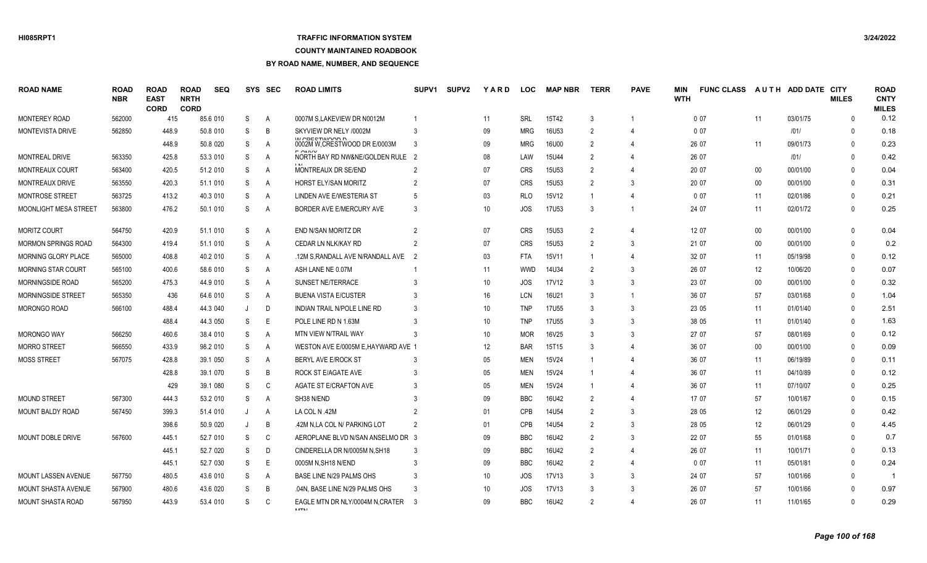# **TRAFFIC INFORMATION SYSTEM**

#### **COUNTY MAINTAINED ROADBOOK**

| <b>ROAD NAME</b>           | <b>ROAD</b><br><b>NBR</b> | <b>ROAD</b><br><b>EAST</b><br><b>CORD</b> | <b>ROAD</b><br><b>NRTH</b><br><b>CORD</b> | <b>SEQ</b> |   | SYS SEC        | <b>ROAD LIMITS</b>                                    | SUPV <sub>1</sub> | <b>SUPV2</b> | <b>YARD</b>     | <b>LOC</b> | <b>MAP NBR</b>    | <b>TERR</b>    | <b>PAVE</b>              | <b>MIN</b><br><b>WTH</b> | <b>FUNC CLASS</b> |        | AUTH ADD DATE CITY | <b>MILES</b> | <b>ROAD</b><br><b>CNTY</b><br><b>MILES</b> |
|----------------------------|---------------------------|-------------------------------------------|-------------------------------------------|------------|---|----------------|-------------------------------------------------------|-------------------|--------------|-----------------|------------|-------------------|----------------|--------------------------|--------------------------|-------------------|--------|--------------------|--------------|--------------------------------------------|
| <b>MONTEREY ROAD</b>       | 562000                    | 415                                       |                                           | 85.6 010   | S | A              | 0007M S.LAKEVIEW DR N0012M                            |                   |              | 11              | SRL        | 15T42             | 3              |                          |                          | 007               | 11     | 03/01/75           | $\Omega$     | 0.12                                       |
| <b>MONTEVISTA DRIVE</b>    | 562850                    | 448.9                                     |                                           | 50.8 010   | S | B              | SKYVIEW DR NELY /0002M                                | 3                 |              | 09              | <b>MRG</b> | 16U53             | $\overline{2}$ |                          |                          | 007               |        | 1011               | $\Omega$     | 0.18                                       |
|                            |                           | 448.9                                     |                                           | 50.8 020   | S | A              | W COFSTWOOD B<br>0002M W.CRESTWOOD DR E/0003M         | -3                |              | 09              | <b>MRG</b> | 16U00             | $\mathcal{P}$  | 4                        |                          | 26 07             | 11     | 09/01/73           | $\Omega$     | 0.23                                       |
| <b>MONTREAL DRIVE</b>      | 563350                    | 425.8                                     |                                           | 53.3 010   | S | Α              | <b>F ONNA</b><br>NORTH BAY RD NW&NE/GOLDEN RULE 2     |                   |              | 08              | LAW        | 15U44             | 2              | $\overline{\mathcal{L}}$ |                          | 26 07             |        | 1011               | $\mathbf{0}$ | 0.42                                       |
| MONTREAUX COURT            | 563400                    | 420.5                                     |                                           | 51.2 010   | S | Α              | MONTREAUX DR SE/END                                   | $\mathcal{P}$     |              | 07              | <b>CRS</b> | 15U <sub>53</sub> | $\mathcal{P}$  | $\overline{4}$           |                          | 20 07             | 00     | 00/01/00           | $\mathbf{0}$ | 0.04                                       |
| <b>MONTREAUX DRIVE</b>     | 563550                    | 420.3                                     |                                           | 51.1 010   | S | Α              | HORST ELY/SAN MORITZ                                  |                   |              | 07              | <b>CRS</b> | 15U <sub>53</sub> | $\mathcal{P}$  | 3                        |                          | 20 07             | 00     | 00/01/00           | $\Omega$     | 0.31                                       |
| <b>MONTROSE STREET</b>     | 563725                    | 413.2                                     |                                           | 40.3 010   | S | Α              | LINDEN AVE E/WESTERIA ST                              | -5                |              | 03              | <b>RLO</b> | 15V12             |                |                          |                          | 007               | 11     | 02/01/86           | $\Omega$     | 0.21                                       |
| MOONLIGHT MESA STREET      | 563800                    | 476.2                                     |                                           | 50.1 010   | S | $\overline{A}$ | BORDER AVE E/MERCURY AVE                              |                   |              | 10              | JOS        | 17U53             | 3              |                          |                          | 24 07             | 11     | 02/01/72           | $\Omega$     | 0.25                                       |
| <b>MORITZ COURT</b>        | 564750                    | 420.9                                     |                                           | 51.1 010   | S | $\overline{A}$ | END N/SAN MORITZ DR                                   | $\overline{2}$    |              | 07              | <b>CRS</b> | 15U <sub>53</sub> | $\overline{2}$ | 4                        |                          | 12 07             | $00\,$ | 00/01/00           | $\Omega$     | 0.04                                       |
| <b>MORMON SPRINGS ROAD</b> | 564300                    | 419.4                                     |                                           | 51.1 010   | S | Α              | CEDAR LN NLK/KAY RD                                   | 2                 |              | 07              | <b>CRS</b> | <b>15U53</b>      | $\overline{2}$ | 3                        |                          | 21 07             | $00\,$ | 00/01/00           | $\mathbf{0}$ | 0.2                                        |
| MORNING GLORY PLACE        | 565000                    | 408.8                                     |                                           | 40.2 010   | S | A              | .12M S, RANDALL AVE N/RANDALL AVE 2                   |                   |              | 03              | <b>FTA</b> | 15V11             |                | $\Delta$                 |                          | 32 07             | 11     | 05/19/98           | $\mathbf{0}$ | 0.12                                       |
| <b>MORNING STAR COURT</b>  | 565100                    | 400.6                                     |                                           | 58.6 010   | S | Α              | ASH LANE NE 0.07M                                     |                   |              | 11              | <b>WWD</b> | 14U34             | $\mathcal{P}$  | 3                        |                          | 26 07             | 12     | 10/06/20           | $\mathbf{0}$ | 0.07                                       |
| MORNINGSIDE ROAD           | 565200                    | 475.3                                     |                                           | 44.9 010   | S | A              | <b>SUNSET NE/TERRACE</b>                              |                   |              | 10              | JOS        | 17V12             | 3              | 3                        |                          | 23 07             | $00\,$ | 00/01/00           | $\Omega$     | 0.32                                       |
| <b>MORNINGSIDE STREET</b>  | 565350                    | 436                                       |                                           | 64.6 010   | S | Α              | <b>BUENA VISTA E/CUSTER</b>                           |                   |              | 16              | LCN        | 16U21             | -3             | $\overline{1}$           |                          | 36 07             | 57     | 03/01/68           | $\Omega$     | 1.04                                       |
| MORONGO ROAD               | 566100                    | 488.4                                     |                                           | 44.3 040   | J | D              | <b>INDIAN TRAIL N/POLE LINE RD</b>                    | 3                 |              | 10              | <b>TNP</b> | 17U55             | 3              | 3                        |                          | 23 05             | 11     | 01/01/40           | $\Omega$     | 2.51                                       |
|                            |                           | 488.4                                     |                                           | 44.3 050   | S | E              | POLE LINE RD N 1.63M                                  |                   |              | 10 <sup>°</sup> | <b>TNP</b> | 17U55             | 3              | 3                        |                          | 38 05             | 11     | 01/01/40           | $\Omega$     | 1.63                                       |
| <b>MORONGO WAY</b>         | 566250                    | 460.6                                     |                                           | 38.4 010   | S | A              | MTN VIEW N/TRAIL WAY                                  | 3                 |              | 10 <sup>°</sup> | <b>MOR</b> | 16V25             | -3             | 3                        |                          | 27 07             | 57     | 08/01/69           | $\Omega$     | 0.12                                       |
| <b>MORRO STREET</b>        | 566550                    | 433.9                                     |                                           | 98.2 010   | S | A              | WESTON AVE E/0005M E, HAYWARD AVE 1                   |                   |              | 12              | <b>BAR</b> | 15T15             | 3              |                          |                          | 36 07             | $00\,$ | 00/01/00           | $\Omega$     | 0.09                                       |
| MOSS STREET                | 567075                    | 428.8                                     |                                           | 39.1 050   | S | Α              | BERYL AVE E/ROCK ST                                   |                   |              | 05              | <b>MEN</b> | 15V24             |                | 4                        |                          | 36 07             | 11     | 06/19/89           | $\Omega$     | 0.11                                       |
|                            |                           | 428.8                                     |                                           | 39.1 070   | S | B              | ROCK ST E/AGATE AVE                                   |                   |              | 05              | <b>MEN</b> | 15V24             |                | 4                        |                          | 36 07             | 11     | 04/10/89           | $\Omega$     | 0.12                                       |
|                            |                           | 429                                       |                                           | 39.1 080   | S | C              | AGATE ST E/CRAFTON AVE                                |                   |              | 05              | <b>MEN</b> | 15V24             |                | 4                        |                          | 36 07             | 11     | 07/10/07           | $\Omega$     | 0.25                                       |
| <b>MOUND STREET</b>        | 567300                    | 444.3                                     |                                           | 53.2 010   | S | A              | SH38 N/END                                            |                   |              | 09              | <b>BBC</b> | 16U42             | $\mathcal{P}$  | $\Delta$                 |                          | 17 07             | 57     | 10/01/67           | $\Omega$     | 0.15                                       |
| MOUNT BALDY ROAD           | 567450                    | 399.3                                     |                                           | 51.4 010   |   | Α              | LA COL N .42M                                         |                   |              | 01              | CPB        | 14U54             | $\mathcal{P}$  | 3                        |                          | 28 05             | 12     | 06/01/29           | $\Omega$     | 0.42                                       |
|                            |                           | 398.6                                     |                                           | 50.9 020   |   | B              | 42M N.LA COL N/ PARKING LOT                           |                   |              | 01              | <b>CPB</b> | 14U54             |                | 3                        |                          | 28 05             | 12     | 06/01/29           | $\Omega$     | 4.45                                       |
| MOUNT DOBLE DRIVE          | 567600                    | 445.1                                     |                                           | 52.7 010   | S | C              | AEROPLANE BLVD N/SAN ANSELMO DR 3                     |                   |              | 09              | <b>BBC</b> | 16U42             | $\overline{2}$ | 3                        |                          | 22 07             | 55     | 01/01/68           | $\Omega$     | 0.7                                        |
|                            |                           | 445.1                                     |                                           | 52.7 020   | S | D              | CINDERELLA DR N/0005M N, SH18                         | -3                |              | 09              | <b>BBC</b> | 16U42             | $\overline{2}$ | 4                        |                          | 26 07             | 11     | 10/01/71           | $\mathbf{0}$ | 0.13                                       |
|                            |                           | 445.1                                     |                                           | 52.7 030   | S | E              | 0005M N, SH18 N/END                                   |                   |              | 09              | <b>BBC</b> | 16U42             | $\overline{2}$ |                          |                          | 007               | 11     | 05/01/81           | $\Omega$     | 0.24                                       |
| MOUNT LASSEN AVENUE        | 567750                    | 480.5                                     |                                           | 43.6 010   | S | A              | BASE LINE N/29 PALMS OHS                              |                   |              | 10              | <b>JOS</b> | 17V13             | 3              | 3                        |                          | 24 07             | 57     | 10/01/66           | $\mathbf{0}$ | -1                                         |
| <b>MOUNT SHASTA AVENUE</b> | 567900                    | 480.6                                     |                                           | 43.6 020   | S | B              | .04N, BASE LINE N/29 PALMS OHS                        | 3                 |              | 10              | JOS        | 17V13             | 3              | 3                        |                          | 26 07             | 57     | 10/01/66           | $\Omega$     | 0.97                                       |
| MOUNT SHASTA ROAD          | 567950                    | 443.9                                     |                                           | 53.4 010   | S | C              | EAGLE MTN DR NLY/0004M N, CRATER 3<br><b>A ATTAIL</b> |                   |              | 09              | <b>BBC</b> | 16U42             | $\mathcal{P}$  |                          |                          | 26 07             | 11     | 11/01/65           | $\Omega$     | 0.29                                       |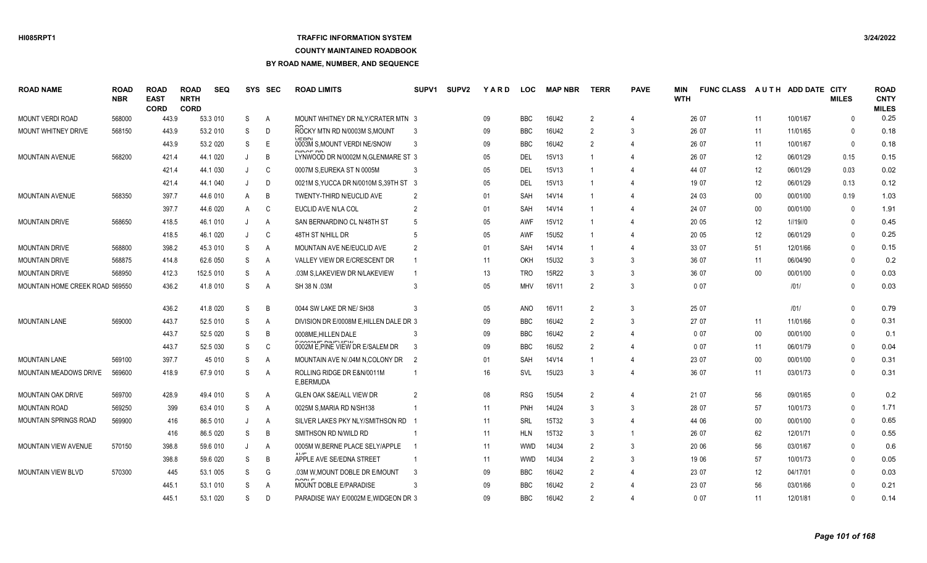# **TRAFFIC INFORMATION SYSTEM**

**COUNTY MAINTAINED ROADBOOK**

| <b>ROAD NAME</b>                | <b>ROAD</b><br><b>NBR</b> | <b>ROAD</b><br><b>EAST</b><br><b>CORD</b> | <b>ROAD</b><br><b>NRTH</b><br><b>CORD</b> | <b>SEQ</b> |         | SYS SEC | <b>ROAD LIMITS</b>                                  | SUPV <sub>1</sub> | <b>SUPV2</b> | <b>YARD</b> | <b>LOC</b> | <b>MAP NBR</b> | <b>TERR</b>    | <b>PAVE</b>    | MIN<br><b>WTH</b> | <b>FUNC CLASS</b> |        | AUTH ADD DATE CITY | <b>MILES</b> | <b>ROAD</b><br><b>CNTY</b><br><b>MILES</b> |
|---------------------------------|---------------------------|-------------------------------------------|-------------------------------------------|------------|---------|---------|-----------------------------------------------------|-------------------|--------------|-------------|------------|----------------|----------------|----------------|-------------------|-------------------|--------|--------------------|--------------|--------------------------------------------|
| <b>MOUNT VERDI ROAD</b>         | 568000                    | 443.9                                     |                                           | 53.3 010   | S       | A       | MOUNT WHITNEY DR NLY/CRATER MTN 3                   |                   |              | 09          | <b>BBC</b> | 16U42          | 2              | $\overline{4}$ |                   | 26 07             | 11     | 10/01/67           | $\Omega$     | 0.25                                       |
| MOUNT WHITNEY DRIVE             | 568150                    | 443.9                                     |                                           | 53.2 010   | S       | D       | ROCKY MTN RD N/0003M S, MOUNT                       |                   |              | 09          | <b>BBC</b> | 16U42          | $\overline{2}$ | 3              |                   | 26 07             | 11     | 11/01/65           | $\mathbf{0}$ | 0.18                                       |
|                                 |                           | 443.9                                     |                                           | 53.2 020   | S       | E       | 0003M S, MOUNT VERDI NE/SNOW                        | -3                |              | 09          | <b>BBC</b> | 16U42          | $\overline{2}$ | 4              |                   | 26 07             | 11     | 10/01/67           | 0            | 0.18                                       |
| MOUNTAIN AVENUE                 | 568200                    | 421.4                                     |                                           | 44.1 020   | J       | B       | DIDOE DE<br>LYNWOOD DR N/0002M N.GLENMARE ST 3      |                   |              | 05          | DEL        | 15V13          |                | 4              |                   | 26 07             | 12     | 06/01/29           | 0.15         | 0.15                                       |
|                                 |                           | 421.4                                     |                                           | 44.1 030   | $\cdot$ | C       | 0007M S.EUREKA ST N 0005M                           |                   |              | 05          | DEL        | 15V13          |                | $\Delta$       |                   | 44 07             | 12     | 06/01/29           | 0.03         | 0.02                                       |
|                                 |                           | 421.4                                     |                                           | 44.1 040   |         | D       | 0021M S, YUCCA DR N/0010M S, 39TH ST 3              |                   |              | 05          | DEL        | 15V13          |                |                |                   | 19 07             | 12     | 06/01/29           | 0.13         | 0.12                                       |
| <b>MOUNTAIN AVENUE</b>          | 568350                    | 397.7                                     |                                           | 44.6 010   | A       | B       | TWENTY-THIRD N/EUCLID AVE                           | $\overline{2}$    |              | 01          | <b>SAH</b> | 14V14          |                | $\Delta$       |                   | 24 03             | $00\,$ | 00/01/00           | 0.19         | 1.03                                       |
|                                 |                           | 397.7                                     |                                           | 44.6 020   | A       | C       | EUCLID AVE N/LA COL                                 |                   |              | 01          | <b>SAH</b> | 14V14          |                | $\Delta$       |                   | 24 07             | $00\,$ | 00/01/00           | $\mathbf{0}$ | 1.91                                       |
| <b>MOUNTAIN DRIVE</b>           | 568650                    | 418.5                                     |                                           | 46.1 010   |         | Α       | SAN BERNARDINO CL N/48TH ST                         | .5                |              | 05          | <b>AWF</b> | 15V12          |                | $\Delta$       |                   | 20 05             | 12     | 1//19//0           | $\Omega$     | 0.45                                       |
|                                 |                           | 418.5                                     |                                           | 46.1 020   | J       | C       | 48TH ST N/HILL DR                                   | -5                |              | 05          | <b>AWF</b> | <b>15U52</b>   | -1             | $\overline{4}$ |                   | 20 05             | 12     | 06/01/29           | $\mathbf{0}$ | 0.25                                       |
| <b>MOUNTAIN DRIVE</b>           | 568800                    | 398.2                                     |                                           | 45.3 010   | S       | A       | MOUNTAIN AVE NE/EUCLID AVE                          | 2                 |              | 01          | <b>SAH</b> | 14V14          |                | $\overline{4}$ |                   | 33 07             | 51     | 12/01/66           | $\Omega$     | 0.15                                       |
| <b>MOUNTAIN DRIVE</b>           | 568875                    | 414.8                                     |                                           | 62.6 050   | S       | A       | <b>VALLEY VIEW DR E/CRESCENT DR</b>                 |                   |              | 11          | OKH        | 15U32          | 3              | 3              |                   | 36 07             | 11     | 06/04/90           | $\Omega$     | 0.2                                        |
| <b>MOUNTAIN DRIVE</b>           | 568950                    | 412.3                                     |                                           | 152.5 010  | S       | A       | .03M S,LAKEVIEW DR N/LAKEVIEW                       |                   |              | 13          | <b>TRO</b> | 15R22          | 3              | 3              |                   | 36 07             | $00\,$ | 00/01/00           | $\Omega$     | 0.03                                       |
| MOUNTAIN HOME CREEK ROAD 569550 |                           | 436.2                                     |                                           | 41.8 010   | S       | A       | SH 38 N .03M                                        |                   |              | 05          | <b>MHV</b> | 16V11          | $\overline{2}$ | 3              |                   | 0 0 7             |        | 1011               | $\mathbf{0}$ | 0.03                                       |
|                                 |                           | 436.2                                     |                                           | 41.8 020   | S       | B       | 0044 SW LAKE DR NE/ SH38                            | $\mathcal{R}$     |              | 05          | <b>ANO</b> | 16V11          | $\mathfrak{p}$ | 3              |                   | 25 07             |        | 1011               | $\Omega$     | 0.79                                       |
| <b>MOUNTAIN LANE</b>            | 569000                    | 443.7                                     |                                           | 52.5 010   | S       | A       | DIVISION DR E/0008M E, HILLEN DALE DR 3             |                   |              | 09          | <b>BBC</b> | 16U42          | 2              | 3              |                   | 27 07             | 11     | 11/01/66           | $\mathbf{0}$ | 0.31                                       |
|                                 |                           | 443.7                                     |                                           | 52.5 020   | S       | B       | 0008ME.HILLEN DALE                                  |                   |              | 09          | <b>BBC</b> | 16U42          | $\overline{2}$ | 4              |                   | 007               | $00\,$ | 00/01/00           | $\Omega$     | 0.1                                        |
|                                 |                           | 443.7                                     |                                           | 52.5 030   | S       | C       | 0002M E.PINE VIEW DR E/SALEM DR                     | -3                |              | 09          | <b>BBC</b> | 16U52          | $\overline{2}$ |                |                   | 007               | 11     | 06/01/79           | $\Omega$     | 0.04                                       |
| <b>MOUNTAIN LANE</b>            | 569100                    | 397.7                                     |                                           | 45 010     | S       | A       | MOUNTAIN AVE N/04M N.COLONY DR                      | $\overline{2}$    |              | 01          | SAH        | 14V14          |                | $\Delta$       |                   | 23 07             | $00\,$ | 00/01/00           | $\Omega$     | 0.31                                       |
| <b>MOUNTAIN MEADOWS DRIVE</b>   | 569600                    | 418.9                                     |                                           | 67.9 010   | S       | A       | ROLLING RIDGE DR E&N/0011M<br>E, BERMUDA            | -1                |              | 16          | <b>SVL</b> | 15U23          | 3              | 4              |                   | 36 07             | 11     | 03/01/73           | $\Omega$     | 0.31                                       |
| <b>MOUNTAIN OAK DRIVE</b>       | 569700                    | 428.9                                     |                                           | 49.4 010   | S       | A       | <b>GLEN OAK S&amp;E/ALL VIEW DR</b>                 | $\mathcal{P}$     |              | 08          | <b>RSG</b> | <b>15U54</b>   | $\mathcal{P}$  | $\Delta$       |                   | 21 07             | 56     | 09/01/65           | $\Omega$     | 0.2                                        |
| MOUNTAIN ROAD                   | 569250                    | 399                                       |                                           | 63.4 010   | S       | A       | 0025M S, MARIA RD N/SH138                           |                   |              | 11          | PNH        | 14U24          | 3              | 3              |                   | 28 07             | 57     | 10/01/73           | $\Omega$     | 1.71                                       |
| <b>MOUNTAIN SPRINGS ROAD</b>    | 569900                    | 416                                       |                                           | 86.5 010   | J       | A       | SILVER LAKES PKY NLY/SMITHSON RD                    |                   |              | 11          | SRL        | 15T32          | 3              | 4              |                   | 44 06             | 00     | 00/01/00           | $\mathbf{0}$ | 0.65                                       |
|                                 |                           | 416                                       |                                           | 86.5 020   | S       | B       | SMITHSON RD N/WILD RD                               |                   |              | 11          | <b>HLN</b> | 15T32          |                | -1             |                   | 26 07             | 62     | 12/01/71           | $\Omega$     | 0.55                                       |
| <b>MOUNTAIN VIEW AVENUE</b>     | 570150                    | 398.8                                     |                                           | 59.6 010   | J       | A       | 0005M W.BERNE PLACE SELY/APPLE                      |                   |              | 11          | <b>WWD</b> | 14U34          | $\mathcal{P}$  | 3              |                   | 20 06             | 56     | 03/01/67           | $\Omega$     | 0.6                                        |
|                                 |                           | 398.8                                     |                                           | 59.6 020   | S       | B       | APPLE AVE SE/EDNA STREET                            | -1                |              | 11          | <b>WWD</b> | 14U34          | $\overline{2}$ | 3              |                   | 19 06             | 57     | 10/01/73           | $\mathbf{0}$ | 0.05                                       |
| <b>MOUNTAIN VIEW BLVD</b>       | 570300                    | 445                                       |                                           | 53.1 005   | S       | G       | .03M W, MOUNT DOBLE DR E/MOUNT                      | -3                |              | 09          | <b>BBC</b> | 16U42          | $\overline{2}$ | 4              |                   | 23 07             | 12     | 04/17/01           | $\Omega$     | 0.03                                       |
|                                 |                           | 445.1                                     |                                           | 53.1 010   | S       | A       | DODLE <sup>T</sup><br><b>MOUNT DOBLE E/PARADISE</b> |                   |              | 09          | <b>BBC</b> | 16U42          | $\mathcal{P}$  |                |                   | 23 07             | 56     | 03/01/66           | $\Omega$     | 0.21                                       |
|                                 |                           | 445.1                                     |                                           | 53.1 020   | S.      | D       | PARADISE WAY E/0002M E.WIDGEON DR 3                 |                   |              | 09          | <b>BBC</b> | 16U42          |                | $\overline{4}$ |                   | 0.07              | 11     | 12/01/81           | $\Omega$     | 0.14                                       |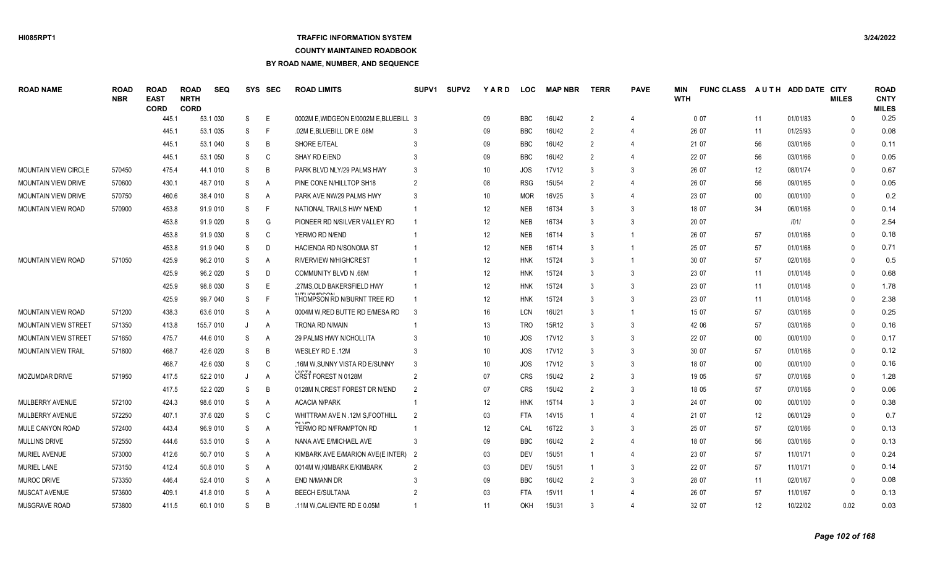### **TRAFFIC INFORMATION SYSTEM**

### **COUNTY MAINTAINED ROADBOOK**

| <b>ROAD NAME</b>            | <b>ROAD</b><br><b>NBR</b> | <b>ROAD</b><br><b>EAST</b><br><b>CORD</b> | <b>ROAD</b><br><b>NRTH</b><br><b>CORD</b> | <b>SEQ</b> |              | SYS SEC        | <b>ROAD LIMITS</b>                               | SUPV <sub>1</sub> | <b>SUPV2</b> | <b>YARD</b>     | <b>LOC</b> | <b>MAP NBR</b> | <b>TERR</b>    | <b>PAVE</b>    | MIN<br><b>WTH</b> | <b>FUNC CLASS</b> |        | AUTH ADD DATE CITY | <b>MILES</b> | <b>ROAD</b><br><b>CNTY</b><br><b>MILES</b> |
|-----------------------------|---------------------------|-------------------------------------------|-------------------------------------------|------------|--------------|----------------|--------------------------------------------------|-------------------|--------------|-----------------|------------|----------------|----------------|----------------|-------------------|-------------------|--------|--------------------|--------------|--------------------------------------------|
|                             |                           | 445.1                                     |                                           | 53.1 030   | S            | E              | 0002M E.WIDGEON E/0002M E.BLUEBILL 3             |                   |              | 09              | <b>BBC</b> | 16U42          | 2              |                |                   | 007               | 11     | 01/01/83           | $\Omega$     | 0.25                                       |
|                             |                           | 445.1                                     |                                           | 53.1 035   | <sub>S</sub> | F              | .02M E, BLUEBILL DR E .08M                       |                   |              | 09              | <b>BBC</b> | 16U42          | $\overline{2}$ |                |                   | 26 07             | 11     | 01/25/93           | $\Omega$     | 0.08                                       |
|                             |                           | 445.1                                     |                                           | 53.1 040   | <sub>S</sub> | B              | SHORE E/TEAL                                     | 3                 |              | 09              | <b>BBC</b> | 16U42          | 2              | $\overline{4}$ |                   | 21 07             | 56     | 03/01/66           | $\Omega$     | 0.11                                       |
|                             |                           | 445.1                                     |                                           | 53.1 050   | <sub>S</sub> | C              | SHAY RD E/END                                    |                   |              | 09              | <b>BBC</b> | 16U42          | $\mathcal{P}$  | $\overline{4}$ |                   | 22 07             | 56     | 03/01/66           | $\Omega$     | 0.05                                       |
| <b>MOUNTAIN VIEW CIRCLE</b> | 570450                    | 475.4                                     |                                           | 44.1 010   | <sub>S</sub> | B              | PARK BLVD NLY/29 PALMS HWY                       | 3                 |              | 10              | <b>JOS</b> | 17V12          | 3              | 3              |                   | 26 07             | 12     | 08/01/74           | $\Omega$     | 0.67                                       |
| <b>MOUNTAIN VIEW DRIVE</b>  | 570600                    | 430.1                                     |                                           | 48.7 010   | <sub>S</sub> | A              | PINE CONE N/HILLTOP SH18                         | $\overline{2}$    |              | 08              | <b>RSG</b> | 15U54          | $\overline{2}$ |                |                   | 26 07             | 56     | 09/01/65           | $\Omega$     | 0.05                                       |
| <b>MOUNTAIN VIEW DRIVE</b>  | 570750                    | 460.6                                     |                                           | 38.4 010   | <sub>S</sub> | A              | PARK AVE NW/29 PALMS HWY                         | 3                 |              | 10 <sup>°</sup> | <b>MOR</b> | 16V25          | 3              |                |                   | 23 07             | $00\,$ | 00/01/00           | $\Omega$     | 0.2                                        |
| MOUNTAIN VIEW ROAD          | 570900                    | 453.8                                     |                                           | 91.9 010   | <sub>S</sub> | F              | NATIONAL TRAILS HWY N/END                        |                   |              | 12              | <b>NEB</b> | 16T34          |                | 3              |                   | 18 07             | 34     | 06/01/68           | $\Omega$     | 0.14                                       |
|                             |                           | 453.8                                     |                                           | 91.9 020   | S            | G              | PIONEER RD N/SILVER VALLEY RD                    |                   |              | 12              | <b>NEB</b> | 16T34          | 3              | 3              |                   | 20 07             |        | 1011               | $\Omega$     | 2.54                                       |
|                             |                           | 453.8                                     |                                           | 91.9 030   | S            | C              | YERMO RD N/END                                   |                   |              | 12              | <b>NEB</b> | 16T14          | -3             | $\overline{1}$ |                   | 26 07             | 57     | 01/01/68           | $\mathbf{0}$ | 0.18                                       |
|                             |                           | 453.8                                     |                                           | 91.9 040   | -S           | D              | HACIENDA RD N/SONOMA ST                          |                   |              | 12              | <b>NEB</b> | 16T14          | $\mathcal{R}$  | $\overline{1}$ |                   | 25 07             | 57     | 01/01/68           | $\Omega$     | 0.71                                       |
| <b>MOUNTAIN VIEW ROAD</b>   | 571050                    | 425.9                                     |                                           | 96.2 010   | <sub>S</sub> | A              | <b>RIVERVIEW N/HIGHCREST</b>                     |                   |              | 12              | <b>HNK</b> | 15T24          | $\mathcal{R}$  | $\overline{1}$ |                   | 30 07             | 57     | 02/01/68           | $\Omega$     | 0.5                                        |
|                             |                           | 425.9                                     |                                           | 96.2 020   | -S           | D              | <b>COMMUNITY BLVD N .68M</b>                     |                   |              | 12              | <b>HNK</b> | 15T24          | 3              | 3              |                   | 23 07             | 11     | 01/01/48           | $\Omega$     | 0.68                                       |
|                             |                           | 425.9                                     |                                           | 98.8 030   | <sub>S</sub> | E              | .27MS, OLD BAKERSFIELD HWY                       |                   |              | 12              | <b>HNK</b> | 15T24          | $\mathcal{R}$  | 3              |                   | 23 07             | 11     | 01/01/48           | $\Omega$     | 1.78                                       |
|                             |                           | 425.9                                     |                                           | 99.7 040   | <sub>S</sub> | F              | <b>NITHAMMOON</b><br>THOMPSON RD N/BURNT TREE RD |                   |              | 12              | <b>HNK</b> | 15T24          | $\mathcal{R}$  | 3              |                   | 23 07             | 11     | 01/01/48           | $\Omega$     | 2.38                                       |
| <b>MOUNTAIN VIEW ROAD</b>   | 571200                    | 438.3                                     |                                           | 63.6 010   | <sub>S</sub> | A              | 0004M W.RED BUTTE RD E/MESA RD                   | -3                |              | 16              | <b>LCN</b> | 16U21          | -3             | $\overline{1}$ |                   | 15 07             | 57     | 03/01/68           | $\Omega$     | 0.25                                       |
| <b>MOUNTAIN VIEW STREET</b> | 571350                    | 413.8                                     |                                           | 155.7 010  | J            | A              | <b>TRONA RD N/MAIN</b>                           |                   |              | 13              | <b>TRO</b> | 15R12          | $\mathbf{3}$   | 3              |                   | 42 06             | 57     | 03/01/68           | $\Omega$     | 0.16                                       |
| <b>MOUNTAIN VIEW STREET</b> | 571650                    | 475.7                                     |                                           | 44.6 010   | <sub>S</sub> | A              | 29 PALMS HWY N/CHOLLITA                          |                   |              | 10              | <b>JOS</b> | 17V12          |                | 3              |                   | 22 07             | $00\,$ | 00/01/00           | $\Omega$     | 0.17                                       |
| <b>MOUNTAIN VIEW TRAIL</b>  | 571800                    | 468.7                                     |                                           | 42.6 020   | -S           | B              | WESLEY RD E.12M                                  | 3                 |              | 10              | <b>JOS</b> | 17V12          | 3              | 3              |                   | 30 07             | 57     | 01/01/68           | $\Omega$     | 0.12                                       |
|                             |                           | 468.7                                     |                                           | 42.6 030   | <sub>S</sub> | C              | .16M W.SUNNY VISTA RD E/SUNNY                    | 3                 |              | 10              | <b>JOS</b> | 17V12          | 3              | 3              |                   | 18 07             | $00\,$ | 00/01/00           | $\Omega$     | 0.16                                       |
| <b>MOZUMDAR DRIVE</b>       | 571950                    | 417.5                                     |                                           | 52.2 010   |              | A              | 110T<br>CRST FOREST N 0128M                      | $\overline{2}$    |              | 07              | <b>CRS</b> | 15U42          | $\mathfrak{D}$ | 3              |                   | 19 05             | 57     | 07/01/68           | $\Omega$     | 1.28                                       |
|                             |                           | 417.5                                     |                                           | 52.2 020   | <sub>S</sub> | B              | 0128M N.CREST FOREST DR N/END                    | $\overline{2}$    |              | 07              | <b>CRS</b> | 15U42          | $\mathfrak{D}$ | 3              |                   | 18 05             | 57     | 07/01/68           | $\Omega$     | 0.06                                       |
| MULBERRY AVENUE             | 572100                    | 424.3                                     |                                           | 98.6 010   | <sub>S</sub> | A              | <b>ACACIA N/PARK</b>                             |                   |              | 12              | <b>HNK</b> | 15T14          | 3              | 3              |                   | 24 07             | $00\,$ | 00/01/00           | $\Omega$     | 0.38                                       |
| MULBERRY AVENUE             | 572250                    | 407.1                                     |                                           | 37.6 020   | S            | C              | WHITTRAM AVE N .12M S, FOOTHILL                  | $\overline{2}$    |              | 03              | <b>FTA</b> | 14V15          |                | $\overline{4}$ |                   | 21 07             | 12     | 06/01/29           | $\mathbf{0}$ | 0.7                                        |
| MULE CANYON ROAD            | 572400                    | 443.4                                     |                                           | 96.9 010   | <sub>S</sub> | A              | YERMO RD N/FRAMPTON RD                           |                   |              | 12              | CAL        | 16T22          | 3              | 3              |                   | 25 07             | 57     | 02/01/66           | $\Omega$     | 0.13                                       |
| <b>MULLINS DRIVE</b>        | 572550                    | 444.6                                     |                                           | 53.5 010   | S            | $\overline{A}$ | NANA AVE E/MICHAEL AVE                           | 3                 |              | 09              | <b>BBC</b> | 16U42          | $\overline{2}$ |                |                   | 18 07             | 56     | 03/01/66           | $\mathbf{0}$ | 0.13                                       |
| <b>MURIEL AVENUE</b>        | 573000                    | 412.6                                     |                                           | 50.7 010   | <sub>S</sub> | A              | KIMBARK AVE E/MARION AVE(E INTER)                |                   |              | 03              | <b>DEV</b> | <b>15U51</b>   |                |                |                   | 23 07             | 57     | 11/01/71           | $\mathbf{0}$ | 0.24                                       |
| <b>MURIEL LANE</b>          | 573150                    | 412.4                                     |                                           | 50.8 010   | <sub>S</sub> | A              | 0014M W.KIMBARK E/KIMBARK                        | $\overline{2}$    |              | 03              | DEV        | <b>15U51</b>   |                | 3              |                   | 22 07             | 57     | 11/01/71           | $\mathbf{0}$ | 0.14                                       |
| MUROC DRIVE                 | 573350                    | 446.4                                     |                                           | 52.4 010   | <sub>S</sub> | Α              | END N/MANN DR                                    |                   |              | 09              | <b>BBC</b> | 16U42          | $\overline{2}$ | 3              |                   | 28 07             | 11     | 02/01/67           | $\Omega$     | 0.08                                       |
| <b>MUSCAT AVENUE</b>        | 573600                    | 409.1                                     |                                           | 41.8 010   | S.           | A              | <b>BEECH E/SULTANA</b>                           |                   |              | 03              | <b>FTA</b> | 15V11          |                |                |                   | 26 07             | 57     | 11/01/67           | $\Omega$     | 0.13                                       |
| <b>MUSGRAVE ROAD</b>        | 573800                    | 411.5                                     |                                           | 60.1 010   | <sub>S</sub> | <b>B</b>       | .11M W.CALIENTE RD E 0.05M                       |                   |              | 11              | <b>OKH</b> | 15U31          | $\mathcal{R}$  |                |                   | 32 07             | 12     | 10/22/02           | 0.02         | 0.03                                       |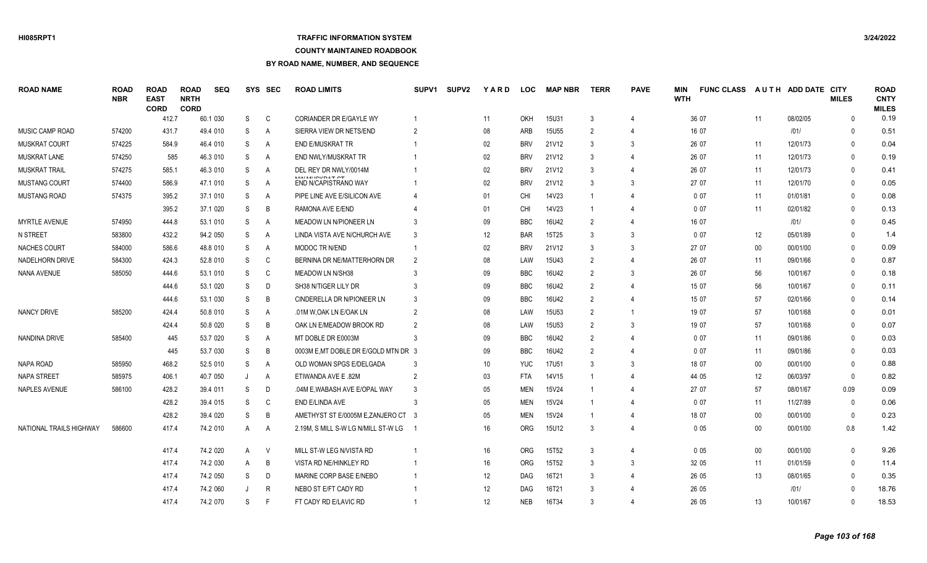## **TRAFFIC INFORMATION SYSTEM**

### **COUNTY MAINTAINED ROADBOOK**

| <b>ROAD NAME</b>        | <b>ROAD</b><br><b>NBR</b> | <b>ROAD</b><br><b>EAST</b><br><b>CORD</b> | <b>ROAD</b><br><b>NRTH</b><br><b>CORD</b> | <b>SEQ</b> |              | SYS SEC        | <b>ROAD LIMITS</b>                      | <b>SUPV1</b>   | <b>SUPV2</b> | YARD | <b>LOC</b> | <b>MAP NBR</b> | <b>TERR</b>    | <b>PAVE</b>   | MIN<br><b>WTH</b> | <b>FUNC CLASS</b> |        | AUTH ADD DATE CITY | <b>MILES</b> | <b>ROAD</b><br><b>CNTY</b><br><b>MILES</b> |
|-------------------------|---------------------------|-------------------------------------------|-------------------------------------------|------------|--------------|----------------|-----------------------------------------|----------------|--------------|------|------------|----------------|----------------|---------------|-------------------|-------------------|--------|--------------------|--------------|--------------------------------------------|
|                         |                           | 412.7                                     |                                           | 60.1 030   | S            | C              | CORIANDER DR E/GAYLE WY                 |                |              | 11   | <b>OKH</b> | <b>15U31</b>   | 3              |               |                   | 36 07             | 11     | 08/02/05           | $\mathbf{0}$ | 0.19                                       |
| <b>MUSIC CAMP ROAD</b>  | 574200                    | 431.7                                     |                                           | 49.4 010   | S            | A              | SIERRA VIEW DR NETS/END                 | 2              |              | 08   | ARB        | <b>15U55</b>   | 2              |               |                   | 16 07             |        | 1011               | $\Omega$     | 0.51                                       |
| <b>MUSKRAT COURT</b>    | 574225                    | 584.9                                     |                                           | 46.4 010   | S            | $\overline{A}$ | <b>END E/MUSKRAT TR</b>                 |                |              | 02   | <b>BRV</b> | 21V12          | $\mathcal{R}$  | 3             |                   | 26 07             | 11     | 12/01/73           | $\Omega$     | 0.04                                       |
| <b>MUSKRAT LANE</b>     | 574250                    | 585                                       |                                           | 46.3 010   | S            | A              | END NWLY/MUSKRAT TR                     |                |              | 02   | <b>BRV</b> | 21V12          | 3              |               |                   | 26 07             | 11     | 12/01/73           | $\Omega$     | 0.19                                       |
| MUSKRAT TRAIL           | 574275                    | 585.1                                     |                                           | 46.3 010   | S            | A              | DEL REY DR NWLY/0014M                   |                |              | 02   | <b>BRV</b> | 21V12          | 3              |               |                   | 26 07             | 11     | 12/01/73           | $\mathbf{0}$ | 0.41                                       |
| <b>MUSTANG COURT</b>    | 574400                    | 586.9                                     |                                           | 47.1 010   | S            | $\overline{A}$ | MIALMUQIZDAT OT<br>END N/CAPISTRANO WAY |                |              | 02   | <b>BRV</b> | 21V12          | $\mathcal{R}$  | $\mathcal{R}$ |                   | 27 07             | 11     | 12/01/70           | $\Omega$     | 0.05                                       |
| <b>MUSTANG ROAD</b>     | 574375                    | 395.2                                     |                                           | 37.1 010   | S            | A              | PIPE LINE AVE E/SILICON AVE             |                |              | 01   | <b>CHI</b> | 14V23          |                |               |                   | 0 0 7             | 11     | 01/01/81           | $\Omega$     | 0.08                                       |
|                         |                           | 395.2                                     |                                           | 37.1 020   | S            | B              | RAMONA AVE E/END                        |                |              | 01   | <b>CHI</b> | 14V23          |                |               |                   | 007               | 11     | 02/01/82           | $\Omega$     | 0.13                                       |
| MYRTLE AVENUE           | 574950                    | 444.8                                     |                                           | 53.1 010   | S            | A              | MEADOW LN N/PIONEER LN                  | 3              |              | 09   | <b>BBC</b> | 16U42          | $\overline{2}$ |               |                   | 16 07             |        | 1011               | $\mathbf{0}$ | 0.45                                       |
| <b>N STREET</b>         | 583800                    | 432.2                                     |                                           | 94.2 050   | <sub>S</sub> | $\overline{A}$ | LINDA VISTA AVE N/CHURCH AVE            | 3              |              | 12   | <b>BAR</b> | 15T25          | $\mathcal{R}$  | 3             |                   | 007               | 12     | 05/01/89           | $\Omega$     | 1.4                                        |
| NACHES COURT            | 584000                    | 586.6                                     |                                           | 48.8 010   | S            | A              | <b>MODOC TR N/END</b>                   |                |              | 02   | <b>BRV</b> | 21V12          | 3              | 3             |                   | 27 07             | $00\,$ | 00/01/00           | $\Omega$     | 0.09                                       |
| NADELHORN DRIVE         | 584300                    | 424.3                                     |                                           | 52.8 010   | S            | C              | BERNINA DR NE/MATTERHORN DR             | $\overline{2}$ |              | 08   | LAW        | 15U43          | $\overline{2}$ |               |                   | 26 07             | 11     | 09/01/66           | $\Omega$     | 0.87                                       |
| NANA AVENUE             | 585050                    | 444.6                                     |                                           | 53.1 010   | S            | C              | MEADOW LN N/SH38                        | 3              |              | 09   | <b>BBC</b> | 16U42          | $\overline{2}$ | 3             |                   | 26 07             | 56     | 10/01/67           | $\Omega$     | 0.18                                       |
|                         |                           | 444.6                                     |                                           | 53.1 020   | S            | D              | SH38 N/TIGER LILY DR                    | 3              |              | 09   | <b>BBC</b> | 16U42          | $\overline{2}$ |               |                   | 15 07             | 56     | 10/01/67           | $\mathbf{0}$ | 0.11                                       |
|                         |                           | 444.6                                     |                                           | 53.1 030   | S            | B              | CINDERELLA DR N/PIONEER LN              | 3              |              | 09   | <b>BBC</b> | 16U42          | $\overline{2}$ |               |                   | 15 07             | 57     | 02/01/66           | $\Omega$     | 0.14                                       |
| <b>NANCY DRIVE</b>      | 585200                    | 424.4                                     |                                           | 50.8 010   | S            | A              | .01M W,OAK LN E/OAK LN                  | $\overline{2}$ |              | 08   | LAW        | <b>15U53</b>   | $\overline{2}$ |               |                   | 19 07             | 57     | 10/01/68           | $\Omega$     | 0.01                                       |
|                         |                           | 424.4                                     |                                           | 50.8 020   | <sub>S</sub> | B              | OAK LN E/MEADOW BROOK RD                |                |              | 08   | LAW        | 15U53          | $\overline{2}$ | -3            |                   | 19 07             | 57     | 10/01/68           | $\Omega$     | 0.07                                       |
| NANDINA DRIVE           | 585400                    | 445                                       |                                           | 53.7 020   | S            | A              | MT DOBLE DR E0003M                      | 3              |              | 09   | <b>BBC</b> | 16U42          | $\overline{2}$ |               |                   | 007               | 11     | 09/01/86           | $\mathbf{0}$ | 0.03                                       |
|                         |                           | 445                                       |                                           | 53.7 030   | S            | B              | 0003M E.MT DOBLE DR E/GOLD MTN DR 3     |                |              | 09   | <b>BBC</b> | 16U42          | $\overline{2}$ |               |                   | 007               | 11     | 09/01/86           | $\Omega$     | 0.03                                       |
| NAPA ROAD               | 585950                    | 468.2                                     |                                           | 52.5 010   | S            | $\overline{A}$ | OLD WOMAN SPGS E/DELGADA                | 3              |              | 10   | <b>YUC</b> | <b>17U51</b>   | 3              | 3             |                   | 18 07             | $00\,$ | 00/01/00           | $\Omega$     | 0.88                                       |
| <b>NAPA STREET</b>      | 585975                    | 406.1                                     |                                           | 40.7 050   |              | A              | ETIWANDA AVE E .82M                     | $\overline{2}$ |              | 03   | <b>FTA</b> | 14V15          |                |               |                   | 44 05             | 12     | 06/03/97           | $\mathbf{0}$ | 0.82                                       |
| <b>NAPLES AVENUE</b>    | 586100                    | 428.2                                     |                                           | 39.4 011   | S            | D              | .04M E, WABASH AVE E/OPAL WAY           | $\mathcal{R}$  |              | 05   | <b>MEN</b> | <b>15V24</b>   |                |               |                   | 27 07             | 57     | 08/01/67           | 0.09         | 0.09                                       |
|                         |                           | 428.2                                     |                                           | 39.4 015   | S            | C              | END E/LINDA AVE                         | 3              |              | 05   | <b>MEN</b> | 15V24          |                |               |                   | 007               | 11     | 11/27/89           | $\Omega$     | 0.06                                       |
|                         |                           | 428.2                                     |                                           | 39.4 020   | S            | B              | AMETHYST ST E/0005M E, ZANJERO CT 3     |                |              | 05   | <b>MEN</b> | <b>15V24</b>   |                |               |                   | 18 07             | $00\,$ | 00/01/00           | $\Omega$     | 0.23                                       |
| NATIONAL TRAILS HIGHWAY | 586600                    | 417.4                                     |                                           | 74.2 010   | A            | A              | 2.19M, S MILL S-W LG N/MILL ST-W LG     |                |              | 16   | ORG        | 15U12          | 3              |               |                   | 005               | $00\,$ | 00/01/00           | 0.8          | 1.42                                       |
|                         |                           | 417.4                                     |                                           | 74.2 020   | A            | $\vee$         | MILL ST-W LEG N/VISTA RD                |                |              | 16   | ORG        | 15T52          | 3              |               |                   | 005               | $00\,$ | 00/01/00           | $\Omega$     | 9.26                                       |
|                         |                           | 417.4                                     |                                           | 74.2 030   | A            | B              | VISTA RD NE/HINKLEY RD                  |                |              | 16   | ORG        | 15T52          | -3             | 3             |                   | 32 05             | 11     | 01/01/59           | $\Omega$     | 11.4                                       |
|                         |                           | 417.4                                     |                                           | 74.2 050   | S            | D              | MARINE CORP BASE E/NEBO                 |                |              | 12   | DAG        | 16T21          | 3              |               |                   | 26 05             | 13     | 08/01/65           | $\Omega$     | 0.35                                       |
|                         |                           | 417.4                                     |                                           | 74.2 060   |              | R              | NEBO ST E/FT CADY RD                    |                |              | 12   | <b>DAG</b> | 16T21          | 3              |               |                   | 26 05             |        | 1011               | $\Omega$     | 18.76                                      |
|                         |                           | 417.4                                     |                                           | 74.2 070   | S            | F              | FT CADY RD E/LAVIC RD                   |                |              | 12   | <b>NEB</b> | 16T34          | 3              |               |                   | 26 05             | 13     | 10/01/67           | $\Omega$     | 18.53                                      |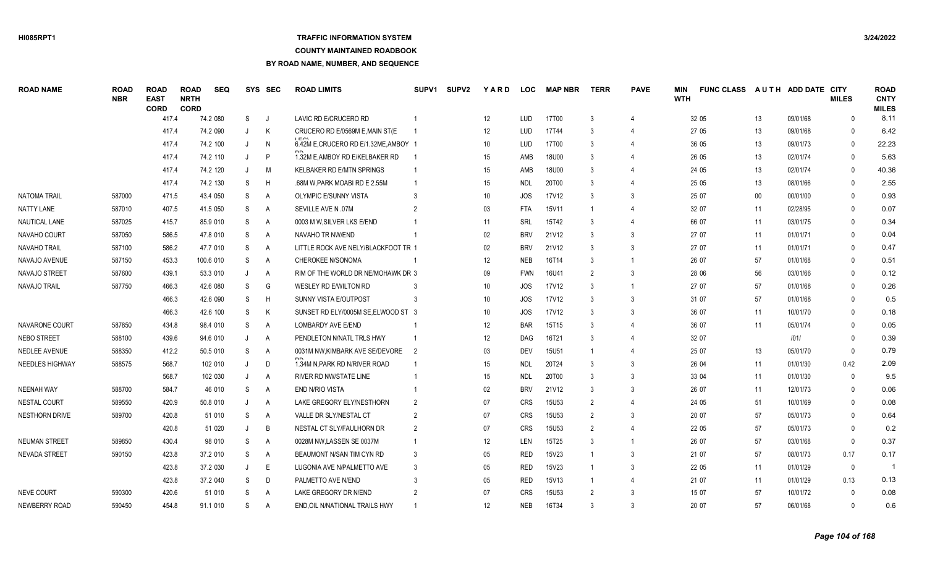## **TRAFFIC INFORMATION SYSTEM**

#### **COUNTY MAINTAINED ROADBOOK**

| <b>ROAD NAME</b>       | <b>ROAD</b><br><b>NBR</b> | <b>ROAD</b><br><b>EAST</b><br><b>CORD</b> | <b>ROAD</b><br><b>NRTH</b><br><b>CORD</b> | <b>SEQ</b> |              | SYS SEC        | <b>ROAD LIMITS</b>                    | SUPV <sub>1</sub> | <b>SUPV2</b> | YARD            | <b>LOC</b> | <b>MAP NBR</b> | <b>TERR</b>    | <b>PAVE</b>    | MIN<br><b>WTH</b> | <b>FUNC CLASS</b> |        | AUTH ADD DATE CITY | <b>MILES</b> | <b>ROAD</b><br><b>CNTY</b><br><b>MILES</b> |
|------------------------|---------------------------|-------------------------------------------|-------------------------------------------|------------|--------------|----------------|---------------------------------------|-------------------|--------------|-----------------|------------|----------------|----------------|----------------|-------------------|-------------------|--------|--------------------|--------------|--------------------------------------------|
|                        |                           | 417.4                                     |                                           | 74.2 080   | S            | J.             | LAVIC RD E/CRUCERO RD                 |                   |              | 12              | LUD        | 17T00          | -3             | $\overline{4}$ |                   | 32 05             | 13     | 09/01/68           | $\mathbf{0}$ | 8.11                                       |
|                        |                           | 417.4                                     |                                           | 74.2 090   | $\cdot$      | K              | CRUCERO RD E/0569M E, MAIN ST(E)      |                   |              | 12              | LUD        | 17T44          | -3             |                |                   | 27 05             | 13     | 09/01/68           | $\Omega$     | 6.42                                       |
|                        |                           | 417.4                                     |                                           | 74.2 100   | $\cdot$      | N              | 6.42M E, CRUCERO RD E/1.32ME, AMBOY 1 |                   |              | 10              | <b>LUD</b> | 17T00          | 3              |                |                   | 36 05             | 13     | 09/01/73           | $\Omega$     | 22.23                                      |
|                        |                           | 417.4                                     |                                           | 74.2 110   |              | P              | 1.32M E.AMBOY RD E/KELBAKER RD        |                   |              | 15              | AMB        | 18U00          |                | $\overline{4}$ |                   | 26 05             | 13     | 02/01/74           | $\Omega$     | 5.63                                       |
|                        |                           | 417.4                                     |                                           | 74.2 120   | J            | M              | <b>KELBAKER RD E/MTN SPRINGS</b>      |                   |              | 15              | AMB        | 18U00          | 3              |                |                   | 24 05             | 13     | 02/01/74           | $\Omega$     | 40.36                                      |
|                        |                           | 417.4                                     |                                           | 74.2 130   | S            | H              | .68M W, PARK MOABI RD E 2.55M         |                   |              | 15              | <b>NDL</b> | 20T00          | 3              |                |                   | 25 05             | 13     | 08/01/66           | $\Omega$     | 2.55                                       |
| <b>NATOMA TRAIL</b>    | 587000                    | 471.5                                     |                                           | 43.4 050   | S            | $\overline{A}$ | OLYMPIC E/SUNNY VISTA                 |                   |              | 10              | <b>JOS</b> | <b>17V12</b>   | 3              | 3              |                   | 25 07             | $00\,$ | 00/01/00           | $\Omega$     | 0.93                                       |
| NATTY LANE             | 587010                    | 407.5                                     |                                           | 41.5 050   | S            | $\overline{A}$ | SEVILLE AVE N .07M                    |                   |              | 03              | <b>FTA</b> | 15V11          |                |                |                   | 32 07             | 11     | 02/28/95           | $\Omega$     | 0.07                                       |
| NAUTICAL LANE          | 587025                    | 415.7                                     |                                           | 85.9 010   | S            | $\overline{A}$ | 0003 M W, SILVER LKS E/END            |                   |              | 11              | SRL        | 15T42          | 3              |                |                   | 66 07             | 11     | 03/01/75           | $\mathbf{0}$ | 0.34                                       |
| NAVAHO COURT           | 587050                    | 586.5                                     |                                           | 47.8 010   | S            | A              | NAVAHO TR NW/END                      |                   |              | 02              | <b>BRV</b> | 21V12          | 3              | 3              |                   | 27 07             | 11     | 01/01/71           | $\mathbf{0}$ | 0.04                                       |
| <b>NAVAHO TRAIL</b>    | 587100                    | 586.2                                     |                                           | 47.7 010   | S            | A              | LITTLE ROCK AVE NELY/BLACKFOOT TR 1   |                   |              | 02              | <b>BRV</b> | 21V12          |                | 3              |                   | 27 07             | 11     | 01/01/71           | $\Omega$     | 0.47                                       |
| NAVAJO AVENUE          | 587150                    | 453.3                                     |                                           | 100.6 010  | S            | $\overline{A}$ | <b>CHEROKEE N/SONOMA</b>              |                   |              | 12              | <b>NEB</b> | 16T14          | $\mathbf{3}$   | $\overline{1}$ |                   | 26 07             | 57     | 01/01/68           | $\Omega$     | 0.51                                       |
| NAVAJO STREET          | 587600                    | 439.1                                     |                                           | 53.3 010   | J            | A              | RIM OF THE WORLD DR NE/MOHAWK DR 3    |                   |              | 09              | <b>FWN</b> | 16U41          | $\mathfrak{p}$ | 3              |                   | 28 06             | 56     | 03/01/66           | $\Omega$     | 0.12                                       |
| <b>NAVAJO TRAIL</b>    | 587750                    | 466.3                                     |                                           | 42.6 080   | S.           | G              | WESLEY RD E/WILTON RD                 |                   |              | 10 <sup>°</sup> | <b>JOS</b> | 17V12          | $\mathbf{3}$   | $\overline{1}$ |                   | 27 07             | 57     | 01/01/68           | $\Omega$     | 0.26                                       |
|                        |                           | 466.3                                     |                                           | 42.6 090   | S            | H              | SUNNY VISTA E/OUTPOST                 |                   |              | 10              | <b>JOS</b> | 17V12          | $\mathbf{3}$   | 3              |                   | 31 07             | 57     | 01/01/68           | $\Omega$     | 0.5                                        |
|                        |                           | 466.3                                     |                                           | 42.6 100   | S            | K              | SUNSET RD ELY/0005M SE, ELWOOD ST 3   |                   |              | 10 <sup>°</sup> | <b>JOS</b> | 17V12          | 3              | 3              |                   | 36 07             | 11     | 10/01/70           | $\Omega$     | 0.18                                       |
| NAVARONE COURT         | 587850                    | 434.8                                     |                                           | 98.4 010   | S            | $\overline{A}$ | LOMBARDY AVE E/END                    |                   |              | 12              | <b>BAR</b> | 15T15          | 3              | $\overline{4}$ |                   | 36 07             | 11     | 05/01/74           | $\mathbf{0}$ | 0.05                                       |
| NEBO STREET            | 588100                    | 439.6                                     |                                           | 94.6 010   |              | A              | PENDLETON N/NATL TRLS HWY             |                   |              | 12              | <b>DAG</b> | 16T21          |                | $\overline{4}$ |                   | 32 07             |        | 1011               | $\Omega$     | 0.39                                       |
| NEDLEE AVENUE          | 588350                    | 412.2                                     |                                           | 50.5 010   | S            | A              | 0031M NW, KIMBARK AVE SE/DEVORE       | -2                |              | 03              | <b>DEV</b> | 15U51          |                | $\overline{4}$ |                   | 25 07             | 13     | 05/01/70           | $\mathbf{0}$ | 0.79                                       |
| <b>NEEDLES HIGHWAY</b> | 588575                    | 568.7                                     |                                           | 102 010    | J            | D              | 1.34M N.PARK RD N/RIVER ROAD          |                   |              | 15              | <b>NDL</b> | 20T24          | 3              | 3              |                   | 26 04             | 11     | 01/01/30           | 0.42         | 2.09                                       |
|                        |                           | 568.7                                     |                                           | 102 030    | $\cdot$      | A              | <b>RIVER RD NW/STATE LINE</b>         |                   |              | 15              | <b>NDL</b> | 20T00          | $\mathcal{R}$  | 3              |                   | 33 04             | 11     | 01/01/30           | $\Omega$     | 9.5                                        |
| <b>NEENAH WAY</b>      | 588700                    | 584.7                                     |                                           | 46 010     | S            | A              | <b>END N/RIO VISTA</b>                |                   |              | 02              | <b>BRV</b> | 21V12          | 3              | 3              |                   | 26 07             | 11     | 12/01/73           | $\Omega$     | 0.06                                       |
| <b>NESTAL COURT</b>    | 589550                    | 420.9                                     |                                           | 50.8 010   | J            | A              | LAKE GREGORY ELY/NESTHORN             | $\overline{2}$    |              | 07              | <b>CRS</b> | 15U53          | $\overline{2}$ |                |                   | 24 05             | 51     | 10/01/69           | $\Omega$     | 0.08                                       |
| <b>NESTHORN DRIVE</b>  | 589700                    | 420.8                                     |                                           | 51 010     | S            | A              | VALLE DR SLY/NESTAL CT                | $\overline{2}$    |              | 07              | <b>CRS</b> | 15U53          | $\overline{2}$ | 3              |                   | 20 07             | 57     | 05/01/73           | $\mathbf{0}$ | 0.64                                       |
|                        |                           | 420.8                                     |                                           | 51 020     |              | B              | NESTAL CT SLY/FAULHORN DR             | $\overline{2}$    |              | 07              | <b>CRS</b> | 15U53          | $\overline{2}$ |                |                   | 22 05             | 57     | 05/01/73           | $\Omega$     | 0.2                                        |
| <b>NEUMAN STREET</b>   | 589850                    | 430.4                                     |                                           | 98 010     | S            | A              | 0028M NW,LASSEN SE 0037M              |                   |              | 12              | LEN        | 15T25          |                | $\overline{1}$ |                   | 26 07             | 57     | 03/01/68           | $\mathbf{0}$ | 0.37                                       |
| NEVADA STREET          | 590150                    | 423.8                                     |                                           | 37.2 010   | S            | $\overline{A}$ | BEAUMONT N/SAN TIM CYN RD             | 3                 |              | 05              | <b>RED</b> | 15V23          |                | 3              |                   | 21 07             | 57     | 08/01/73           | 0.17         | 0.17                                       |
|                        |                           | 423.8                                     |                                           | 37.2 030   |              | E              | LUGONIA AVE N/PALMETTO AVE            | 3                 |              | 05              | RED        | 15V23          |                | 3              |                   | 22 05             | 11     | 01/01/29           | 0            |                                            |
|                        |                           | 423.8                                     |                                           | 37.2 040   | S            | D              | PALMETTO AVE N/END                    |                   |              | 05              | <b>RED</b> | 15V13          |                | $\overline{4}$ |                   | 21 07             | 11     | 01/01/29           | 0.13         | 0.13                                       |
| <b>NEVE COURT</b>      | 590300                    | 420.6                                     |                                           | 51 010     | S.           | A              | LAKE GREGORY DR N/END                 |                   |              | 07              | <b>CRS</b> | <b>15U53</b>   | 2              | 3              |                   | 15 07             | 57     | 10/01/72           | $\Omega$     | 0.08                                       |
| NEWBERRY ROAD          | 590450                    | 454.8                                     |                                           | 91.1 010   | <sub>S</sub> | A              | END, OIL N/NATIONAL TRAILS HWY        |                   |              | 12              | <b>NEB</b> | 16T34          | $\mathcal{R}$  | $\mathcal{R}$  |                   | 20 07             | 57     | 06/01/68           | $\Omega$     | 0.6                                        |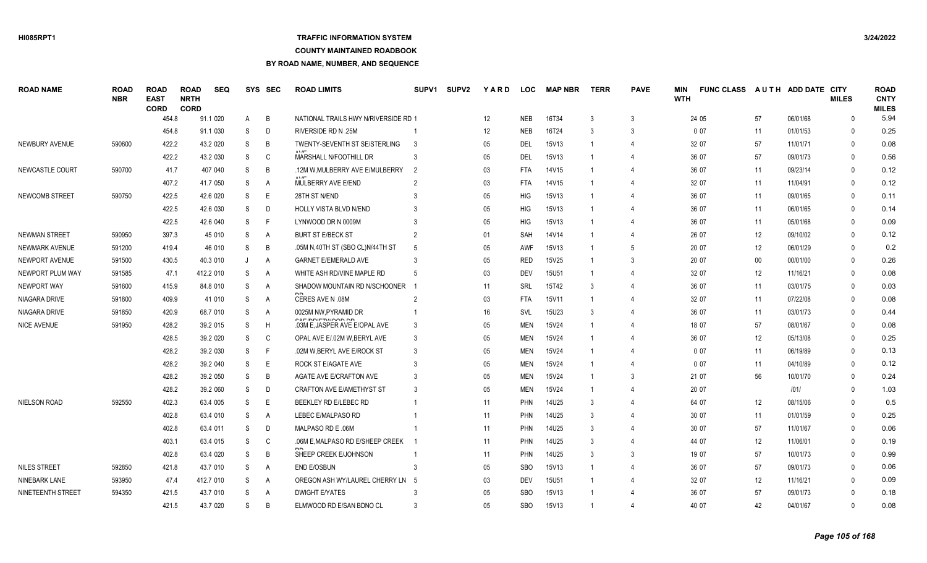# **TRAFFIC INFORMATION SYSTEM**

**COUNTY MAINTAINED ROADBOOK**

| <b>ROAD NAME</b>     | <b>ROAD</b><br><b>NBR</b> | <b>ROAD</b><br><b>EAST</b><br><b>CORD</b> | <b>ROAD</b><br><b>NRTH</b><br><b>CORD</b> | <b>SEQ</b> | <b>SYS</b>   | SEC      | <b>ROAD LIMITS</b>                                        | <b>SUPV1</b>   | SUPV <sub>2</sub> | YARD | <b>LOC</b> | <b>MAP NBR</b> | <b>TERR</b> | <b>PAVE</b> | MIN<br><b>WTH</b> | <b>FUNC CLASS</b> |        | AUTH ADD DATE | <b>CITY</b><br><b>MILES</b> | <b>ROAD</b><br><b>CNTY</b><br><b>MILES</b> |
|----------------------|---------------------------|-------------------------------------------|-------------------------------------------|------------|--------------|----------|-----------------------------------------------------------|----------------|-------------------|------|------------|----------------|-------------|-------------|-------------------|-------------------|--------|---------------|-----------------------------|--------------------------------------------|
|                      |                           | 454.8                                     |                                           | 91.1 020   | A            | B        | NATIONAL TRAILS HWY N/RIVERSIDE RD 1                      |                |                   | 12   | <b>NEB</b> | 16T34          | 3           | 3           |                   | 24 05             | 57     | 06/01/68      | $\mathbf{0}$                | 5.94                                       |
|                      |                           | 454.8                                     |                                           | 91.1 030   | -S           | D        | RIVERSIDE RD N .25M                                       |                |                   | 12   | <b>NEB</b> | 16T24          | 3           |             |                   | 007               | 11     | 01/01/53      | $\Omega$                    | 0.25                                       |
| NEWBURY AVENUE       | 590600                    | 422.2                                     |                                           | 43.2 020   | -S           | B        | TWENTY-SEVENTH ST SE/STERLING                             | -3             |                   | 05   | DEL        | 15V13          |             |             |                   | 32 07             | 57     | 11/01/71      | $\mathbf{0}$                | 0.08                                       |
|                      |                           | 422.2                                     |                                           | 43.2 030   | <sub>S</sub> | C        | MARSHALL N/FOOTHILL DR                                    | 3              |                   | 05   | DEL        | 15V13          |             |             |                   | 36 07             | 57     | 09/01/73      | $\Omega$                    | 0.56                                       |
| NEWCASTLE COURT      | 590700                    | 41.7                                      |                                           | 407 040    | -S           | B        | .12M W, MULBERRY AVE E/MULBERRY                           | $\overline{2}$ |                   | 03   | <b>FTA</b> | 14V15          |             |             |                   | 36 07             | 11     | 09/23/14      | $\mathbf{0}$                | 0.12                                       |
|                      |                           | 407.2                                     |                                           | 41.7 050   | <sub>S</sub> | A        | MULBERRY AVE E/END                                        |                |                   | 03   | <b>FTA</b> | 14V15          |             |             |                   | 32 07             | 11     | 11/04/91      | $\mathbf{0}$                | 0.12                                       |
| NEWCOMB STREET       | 590750                    | 422.5                                     |                                           | 42.6 020   | <sub>S</sub> | E        | 28TH ST N/END                                             | 3              |                   | 05   | HIG        | 15V13          |             |             |                   | 36 07             | 11     | 09/01/65      | $\Omega$                    | 0.11                                       |
|                      |                           | 422.5                                     |                                           | 42.6 030   | <sub>S</sub> | D        | <b>HOLLY VISTA BLVD N/END</b>                             | 3              |                   | 05   | HIG        | 15V13          |             |             |                   | 36 07             | 11     | 06/01/65      | $\mathbf{0}$                | 0.14                                       |
|                      |                           | 422.5                                     |                                           | 42.6 040   | S            | F        | LYNWOOD DR N 0009M                                        | 3              |                   | 05   | HIG        | 15V13          |             |             |                   | 36 07             | 11     | 05/01/68      | $\Omega$                    | 0.09                                       |
| <b>NEWMAN STREET</b> | 590950                    | 397.3                                     |                                           | 45 010     | S            | A        | <b>BURT ST E/BECK ST</b>                                  | 2              |                   | 01   | <b>SAH</b> | 14V14          |             |             |                   | 26 07             | 12     | 09/10/02      | $\mathbf{0}$                | 0.12                                       |
| NEWMARK AVENUE       | 591200                    | 419.4                                     |                                           | 46 010     | <sub>S</sub> | B        | .05M N,40TH ST (SBO CL)N/44TH ST                          | 5              |                   | 05   | <b>AWF</b> | 15V13          |             | -5          |                   | 20 07             | 12     | 06/01/29      | $\Omega$                    | 0.2                                        |
| NEWPORT AVENUE       | 591500                    | 430.5                                     |                                           | 40.3 010   |              | A        | <b>GARNET E/EMERALD AVE</b>                               | 3              |                   | 05   | <b>RED</b> | 15V25          |             |             |                   | 20 07             | $00\,$ | 00/01/00      | $\Omega$                    | 0.26                                       |
| NEWPORT PLUM WAY     | 591585                    | 47.1                                      |                                           | 412.2 010  | -S           | A        | WHITE ASH RD/VINE MAPLE RD                                | 5              |                   | 03   | <b>DEV</b> | <b>15U51</b>   |             |             |                   | 32 07             | 12     | 11/16/21      | $\Omega$                    | 0.08                                       |
| <b>NEWPORT WAY</b>   | 591600                    | 415.9                                     |                                           | 84.8 010   | -S           | A        | SHADOW MOUNTAIN RD N/SCHOONER                             |                |                   | 11   | <b>SRL</b> | 15T42          | 3           |             |                   | 36 07             | 11     | 03/01/75      | $\Omega$                    | 0.03                                       |
| NIAGARA DRIVE        | 591800                    | 409.9                                     |                                           | 41 010     | -S           | A        | CERES AVE N .08M                                          |                |                   | 03   | <b>FTA</b> | 15V11          |             |             |                   | 32 07             | 11     | 07/22/08      | $\Omega$                    | 0.08                                       |
| NIAGARA DRIVE        | 591850                    | 420.9                                     |                                           | 68.7 010   | -S           | A        | 0025M NW, PYRAMID DR                                      |                |                   | 16   | <b>SVL</b> | 15U23          | 3           |             |                   | 36 07             | 11     | 03/01/73      | $\Omega$                    | 0.44                                       |
| <b>NICE AVENUE</b>   | 591950                    | 428.2                                     |                                           | 39.2 015   | -S           | H        | <b>COLIDDICTIVIOOD DD</b><br>.03M E.JASPER AVE E/OPAL AVE | 3              |                   | 05   | <b>MEN</b> | 15V24          |             |             |                   | 18 07             | 57     | 08/01/67      | $\mathbf{0}$                | 0.08                                       |
|                      |                           | 428.5                                     |                                           | 39.2 020   | <sub>S</sub> | C        | OPAL AVE E/.02M W.BERYL AVE                               | -3             |                   | 05   | <b>MEN</b> | 15V24          |             |             |                   | 36 07             | 12     | 05/13/08      | $\Omega$                    | 0.25                                       |
|                      |                           | 428.2                                     |                                           | 39.2 030   | -S           | F        | .02M W, BERYL AVE E/ROCK ST                               | 3              |                   | 05   | <b>MEN</b> | 15V24          |             |             |                   | 007               | 11     | 06/19/89      | $\mathbf{0}$                | 0.13                                       |
|                      |                           | 428.2                                     |                                           | 39.2 040   | -S           | E        | ROCK ST E/AGATE AVE                                       | 3              |                   | 05   | <b>MEN</b> | 15V24          |             |             |                   | 0 0 7             | 11     | 04/10/89      | $\Omega$                    | 0.12                                       |
|                      |                           | 428.2                                     |                                           | 39.2 050   | -S           | B        | AGATE AVE E/CRAFTON AVE                                   | 3              |                   | 05   | <b>MEN</b> | <b>15V24</b>   |             |             |                   | 21 07             | 56     | 10/01/70      | $\Omega$                    | 0.24                                       |
|                      |                           | 428.2                                     |                                           | 39.2 060   | -S           | D        | <b>CRAFTON AVE E/AMETHYST ST</b>                          | 3              |                   | 05   | <b>MEN</b> | 15V24          |             |             |                   | 20 07             |        | 1011          | $\Omega$                    | 1.03                                       |
| <b>NIELSON ROAD</b>  | 592550                    | 402.3                                     |                                           | 63.4 005   | <sub>S</sub> | E        | BEEKLEY RD E/LEBEC RD                                     |                |                   | 11   | PHN        | 14U25          | 3           |             |                   | 64 07             | 12     | 08/15/06      | $\Omega$                    | 0.5                                        |
|                      |                           | 402.8                                     |                                           | 63.4 010   | <sub>S</sub> | A        | LEBEC E/MALPASO RD                                        |                |                   | 11   | <b>PHN</b> | 14U25          | 3           |             |                   | 30 07             | 11     | 01/01/59      | $\mathbf{0}$                | 0.25                                       |
|                      |                           | 402.8                                     |                                           | 63.4 011   | <sub>S</sub> | D        | MALPASO RD E .06M                                         |                |                   | 11   | <b>PHN</b> | 14U25          | 3           |             |                   | 30 07             | 57     | 11/01/67      | $\mathbf{0}$                | 0.06                                       |
|                      |                           | 403.1                                     |                                           | 63.4 015   | S            | C        | .06M E, MALPASO RD E/SHEEP CREEK                          |                |                   | 11   | <b>PHN</b> | 14U25          | 3           |             |                   | 44 07             | 12     | 11/06/01      | $\mathbf{0}$                | 0.19                                       |
|                      |                           | 402.8                                     |                                           | 63.4 020   | S            | B        | SHEEP CREEK E/JOHNSON                                     |                |                   | 11   | <b>PHN</b> | 14U25          | 3           | 3           |                   | 19 07             | 57     | 10/01/73      | $\mathbf{0}$                | 0.99                                       |
| <b>NILES STREET</b>  | 592850                    | 421.8                                     |                                           | 43.7 010   | S            | A        | <b>END E/OSBUN</b>                                        | 3              |                   | 05   | <b>SBO</b> | 15V13          |             |             |                   | 36 07             | 57     | 09/01/73      | $\Omega$                    | 0.06                                       |
| NINEBARK LANE        | 593950                    | 47.4                                      |                                           | 412.7 010  | -S           | A        | OREGON ASH WY/LAUREL CHERRY LN                            | - 5            |                   | 03   | <b>DEV</b> | <b>15U51</b>   |             |             |                   | 32 07             | 12     | 11/16/21      | $\Omega$                    | 0.09                                       |
| NINETEENTH STREET    | 594350                    | 421.5                                     |                                           | 43.7 010   | -S           | A        | <b>DWIGHT E/YATES</b>                                     |                |                   | 05   | <b>SBO</b> | 15V13          |             |             |                   | 36 07             | 57     | 09/01/73      | $\Omega$                    | 0.18                                       |
|                      |                           | 421.5                                     |                                           | 43.7 020   | S.           | <b>B</b> | ELMWOOD RD E/SAN BDNO CL                                  |                |                   | 05   | <b>SBO</b> | 15V13          |             |             |                   | 40 07             | 42     | 04/01/67      | $\Omega$                    | 0.08                                       |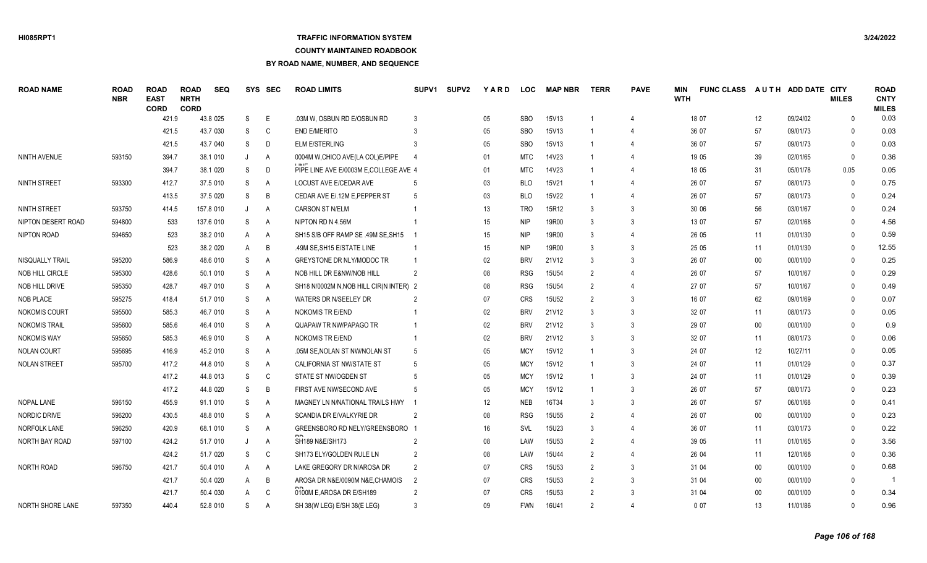## **TRAFFIC INFORMATION SYSTEM**

### **COUNTY MAINTAINED ROADBOOK**

| <b>ROAD NAME</b>        | <b>ROAD</b><br><b>NBR</b> | <b>ROAD</b><br><b>EAST</b><br><b>CORD</b> | <b>ROAD</b><br><b>NRTH</b><br><b>CORD</b> | <b>SEQ</b> | SYS          | <b>SEC</b>     | <b>ROAD LIMITS</b>                      | SUPV <sub>1</sub> | SUPV2 | YARD | <b>LOC</b> | <b>MAP NBR</b>    | <b>TERR</b>    | <b>PAVE</b>    | MIN<br><b>WTH</b> | <b>FUNC CLASS</b> |        | AUTH ADD DATE CITY | <b>MILES</b> | <b>ROAD</b><br><b>CNTY</b><br><b>MILES</b> |
|-------------------------|---------------------------|-------------------------------------------|-------------------------------------------|------------|--------------|----------------|-----------------------------------------|-------------------|-------|------|------------|-------------------|----------------|----------------|-------------------|-------------------|--------|--------------------|--------------|--------------------------------------------|
|                         |                           | 421.9                                     |                                           | 43.8 025   | S            | E              | .03M W. OSBUN RD E/OSBUN RD             |                   |       | 05   | <b>SBO</b> | 15V13             |                | $\overline{4}$ |                   | 18 07             | 12     | 09/24/02           | $\Omega$     | 0.03                                       |
|                         |                           | 421.5                                     |                                           | 43.7 030   | S            | C              | <b>END E/MERITO</b>                     |                   |       | 05   | <b>SBO</b> | 15V13             |                |                |                   | 36 07             | 57     | 09/01/73           | $\Omega$     | 0.03                                       |
|                         |                           | 421.5                                     |                                           | 43.7 040   | <sub>S</sub> | $\overline{D}$ | <b>ELM E/STERLING</b>                   |                   |       | 05   | <b>SBO</b> | 15V13             |                |                |                   | 36 07             | 57     | 09/01/73           | $\Omega$     | 0.03                                       |
| <b>NINTH AVENUE</b>     | 593150                    | 394.7                                     |                                           | 38.1 010   | J            | A              | 0004M W, CHICO AVE(LA COL) E/PIPE       |                   |       | 01   | <b>MTC</b> | 14V23             |                |                |                   | 19 05             | 39     | 02/01/65           | $\Omega$     | 0.36                                       |
|                         |                           | 394.7                                     |                                           | 38.1 020   | S            | D              | PIPE LINE AVE E/0003M E, COLLEGE AVE 4  |                   |       | 01   | <b>MTC</b> | 14V23             |                |                |                   | 18 05             | 31     | 05/01/78           | 0.05         | 0.05                                       |
| <b>NINTH STREET</b>     | 593300                    | 412.7                                     |                                           | 37.5 010   | S            | $\overline{A}$ | LOCUST AVE E/CEDAR AVE                  |                   |       | 03   | <b>BLO</b> | 15V21             |                |                |                   | 26 07             | 57     | 08/01/73           | $\Omega$     | 0.75                                       |
|                         |                           | 413.5                                     |                                           | 37.5 020   | S            | B              | CEDAR AVE E/.12M E.PEPPER ST            |                   |       | 03   | <b>BLO</b> | <b>15V22</b>      |                |                |                   | 26 07             | 57     | 08/01/73           | $\Omega$     | 0.24                                       |
| NINTH STREET            | 593750                    | 414.5                                     |                                           | 157.8 010  | J            | A              | <b>CARSON ST N/ELM</b>                  |                   |       | 13   | <b>TRO</b> | 15R12             | $\mathbf{3}$   | 3              |                   | 30 06             | 56     | 03/01/67           | $\Omega$     | 0.24                                       |
| NIPTON DESERT ROAD      | 594800                    |                                           | 533                                       | 137.6 010  | S            | A              | NIPTON RD N 4.56M                       |                   |       | 15   | <b>NIP</b> | 19R00             | 3              | 3              |                   | 13 07             | 57     | 02/01/68           | $\Omega$     | 4.56                                       |
| <b>NIPTON ROAD</b>      | 594650                    |                                           | 523                                       | 38.2 010   | A            | A              | SH15 S/B OFF RAMP SE .49M SE, SH15      |                   |       | 15   | <b>NIP</b> | 19R00             | 3              | $\overline{4}$ |                   | 26 05             | 11     | 01/01/30           | $\Omega$     | 0.59                                       |
|                         |                           |                                           | 523                                       | 38.2 020   | A            | B              | .49M SE.SH15 E/STATE LINE               |                   |       | 15   | <b>NIP</b> | 19R00             |                | 3              |                   | 25 05             | 11     | 01/01/30           | $\Omega$     | 12.55                                      |
| NISQUALLY TRAIL         | 595200                    | 586.9                                     |                                           | 48.6 010   | S            | A              | GREYSTONE DR NLY/MODOC TR               |                   |       | 02   | <b>BRV</b> | 21V12             | 3              | 3              |                   | 26 07             | $00\,$ | 00/01/00           | $\Omega$     | 0.25                                       |
| <b>NOB HILL CIRCLE</b>  | 595300                    | 428.6                                     |                                           | 50.1 010   | S            | $\overline{A}$ | NOB HILL DR E&NW/NOB HILL               | $\overline{2}$    |       | 08   | <b>RSG</b> | <b>15U54</b>      | $\overline{2}$ |                |                   | 26 07             | 57     | 10/01/67           | $\Omega$     | 0.29                                       |
| NOB HILL DRIVE          | 595350                    | 428.7                                     |                                           | 49.7 010   | S            | $\overline{A}$ | SH18 N/0002M N, NOB HILL CIR(N INTER) 2 |                   |       | 08   | <b>RSG</b> | <b>15U54</b>      | $\mathfrak{p}$ |                |                   | 27 07             | 57     | 10/01/67           | $\Omega$     | 0.49                                       |
| <b>NOB PLACE</b>        | 595275                    | 418.4                                     |                                           | 51.7 010   | S            | A              | WATERS DR N/SEELEY DR                   |                   |       | 07   | <b>CRS</b> | 15U <sub>52</sub> | $\mathcal{P}$  | 3              |                   | 16 07             | 62     | 09/01/69           | $\Omega$     | 0.07                                       |
| NOKOMIS COURT           | 595500                    | 585.3                                     |                                           | 46.7 010   | S            | A              | <b>NOKOMIS TR E/END</b>                 |                   |       | 02   | <b>BRV</b> | 21V12             | 3              | 3              |                   | 32 07             | 11     | 08/01/73           | $\Omega$     | 0.05                                       |
| <b>NOKOMIS TRAIL</b>    | 595600                    | 585.6                                     |                                           | 46.4 010   | S            | A              | <b>QUAPAW TR NW/PAPAGO TR</b>           |                   |       | 02   | <b>BRV</b> | 21V12             | $\mathbf{3}$   | 3              |                   | 29 07             | $00\,$ | 00/01/00           | $\Omega$     | 0.9                                        |
| <b>NOKOMIS WAY</b>      | 595650                    | 585.3                                     |                                           | 46.9 010   | S            | A              | <b>NOKOMIS TR E/END</b>                 |                   |       | 02   | <b>BRV</b> | 21V12             |                | 3              |                   | 32 07             | 11     | 08/01/73           | $\Omega$     | 0.06                                       |
| <b>NOLAN COURT</b>      | 595695                    | 416.9                                     |                                           | 45.2 010   | S            | $\overline{A}$ | .05M SE.NOLAN ST NW/NOLAN ST            |                   |       | 05   | <b>MCY</b> | 15V12             |                | 3              |                   | 24 07             | 12     | 10/27/11           | $\Omega$     | 0.05                                       |
| <b>NOLAN STREET</b>     | 595700                    | 417.2                                     |                                           | 44.8 010   | S            | A              | CALIFORNIA ST NW/STATE ST               |                   |       | 05   | <b>MCY</b> | 15V12             |                | 3              |                   | 24 07             | 11     | 01/01/29           | $\Omega$     | 0.37                                       |
|                         |                           | 417.2                                     |                                           | 44.8 013   | <sub>S</sub> | $\mathsf{C}$   | STATE ST NW/OGDEN ST                    |                   |       | 05   | <b>MCY</b> | 15V12             |                | 3              |                   | 24 07             | 11     | 01/01/29           | $\Omega$     | 0.39                                       |
|                         |                           | 417.2                                     |                                           | 44.8 020   | <sub>S</sub> | B              | FIRST AVE NW/SECOND AVE                 |                   |       | 05   | <b>MCY</b> | 15V12             |                | 3              |                   | 26 07             | 57     | 08/01/73           | $\Omega$     | 0.23                                       |
| <b>NOPAL LANE</b>       | 596150                    | 455.9                                     |                                           | 91.1 010   | S            | A              | MAGNEY LN N/NATIONAL TRAILS HWY         |                   |       | 12   | <b>NEB</b> | 16T34             | 3              | 3              |                   | 26 07             | 57     | 06/01/68           | $\Omega$     | 0.41                                       |
| <b>NORDIC DRIVE</b>     | 596200                    | 430.5                                     |                                           | 48.8 010   | S            | A              | SCANDIA DR E/VALKYRIE DR                | $\overline{2}$    |       | 08   | <b>RSG</b> | <b>15U55</b>      | 2              | $\overline{4}$ |                   | 26 07             | $00\,$ | 00/01/00           | $\Omega$     | 0.23                                       |
| NORFOLK LANE            | 596250                    | 420.9                                     |                                           | 68.1 010   | S            | $\overline{A}$ | GREENSBORO RD NELY/GREENSBORO           |                   |       | 16   | SVL        | 15U23             | $\mathbf{3}$   | $\overline{4}$ |                   | 36 07             | 11     | 03/01/73           | $\Omega$     | 0.22                                       |
| NORTH BAY ROAD          | 597100                    | 424.2                                     |                                           | 51.7 010   | J            | A              | SH189 N&E/SH173                         | 2                 |       | 08   | LAW        | <b>15U53</b>      | 2              | 4              |                   | 39 05             | 11     | 01/01/65           | $\Omega$     | 3.56                                       |
|                         |                           | 424.2                                     |                                           | 51.7 020   | S            | C              | SH173 ELY/GOLDEN RULE LN                |                   |       | 08   | LAW        | <b>15U44</b>      | $\mathcal{P}$  |                |                   | 26 04             | 11     | 12/01/68           | $\Omega$     | 0.36                                       |
| NORTH ROAD              | 596750                    | 421.7                                     |                                           | 50.4 010   | A            | A              | LAKE GREGORY DR N/AROSA DR              | 2                 |       | 07   | <b>CRS</b> | 15U <sub>53</sub> | 2              | 3              |                   | 31 04             | $00\,$ | 00/01/00           | $\Omega$     | 0.68                                       |
|                         |                           | 421.7                                     |                                           | 50.4 020   | A            | B              | AROSA DR N&E/0090M N&E.CHAMOIS          | $\overline{2}$    |       | 07   | <b>CRS</b> | 15U <sub>53</sub> | $\mathcal{P}$  | 3              |                   | 31 04             | $00\,$ | 00/01/00           | $\Omega$     |                                            |
|                         |                           | 421.7                                     |                                           | 50.4 030   | A            | C              | 0100M E.AROSA DR E/SH189                | 2                 |       | 07   | <b>CRS</b> | <b>15U53</b>      | $\mathcal{P}$  | 3              |                   | 31 04             | $00\,$ | 00/01/00           | $\Omega$     | 0.34                                       |
| <b>NORTH SHORE LANE</b> | 597350                    | 440.4                                     |                                           | 52.8 010   | <sub>S</sub> | A              | SH 38(W LEG) E/SH 38(E LEG)             |                   |       | 09   | <b>FWN</b> | 16U41             | $\mathcal{P}$  | Δ              |                   | 0.07              | 13     | 11/01/86           | $\Omega$     | 0.96                                       |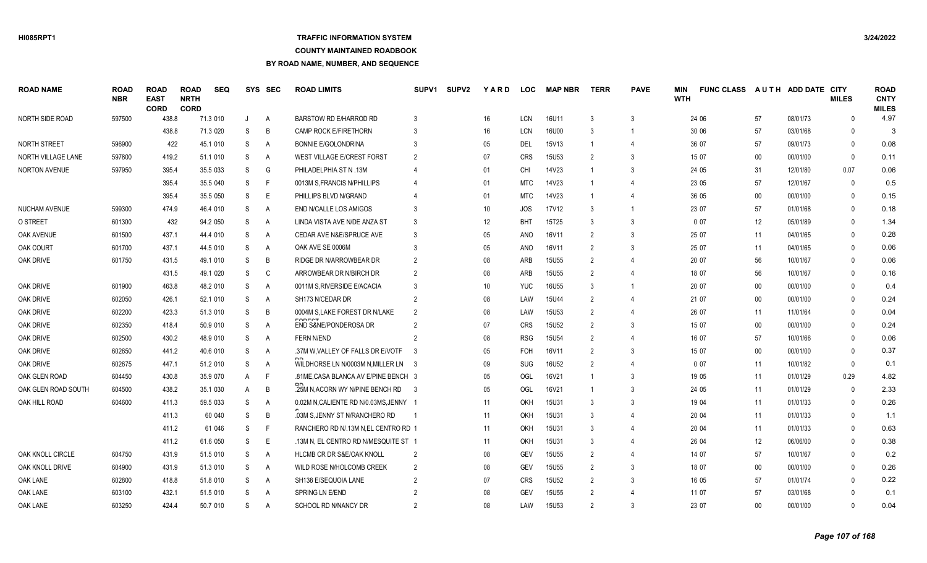# **TRAFFIC INFORMATION SYSTEM**

### **COUNTY MAINTAINED ROADBOOK**

| <b>ROAD NAME</b>     | <b>ROAD</b><br><b>NBR</b> | <b>ROAD</b><br><b>EAST</b><br><b>CORD</b> | <b>ROAD</b><br><b>NRTH</b><br><b>CORD</b> | <b>SEQ</b> | SYS | <b>SEC</b>     | <b>ROAD LIMITS</b>                     | SUPV <sub>1</sub> | <b>SUPV2</b> | YARD | <b>LOC</b> | <b>MAP NBR</b>    | <b>TERR</b>    | <b>PAVE</b>    | MIN<br><b>WTH</b> | <b>FUNC CLASS</b> | <b>AUTH</b> | <b>ADD DATE</b> | CITY<br><b>MILES</b> | <b>ROAD</b><br><b>CNTY</b><br><b>MILES</b> |
|----------------------|---------------------------|-------------------------------------------|-------------------------------------------|------------|-----|----------------|----------------------------------------|-------------------|--------------|------|------------|-------------------|----------------|----------------|-------------------|-------------------|-------------|-----------------|----------------------|--------------------------------------------|
| NORTH SIDE ROAD      | 597500                    | 438.8                                     |                                           | 71.3 010   | J   | $\mathsf{A}$   | <b>BARSTOW RD E/HARROD RD</b>          |                   |              | 16   | <b>LCN</b> | 16U11             | 3              | 3              |                   | 24 06             | 57          | 08/01/73        | $\Omega$             | 4.97                                       |
|                      |                           | 438.8                                     |                                           | 71.3 020   | S   | B              | CAMP ROCK E/FIRETHORN                  |                   |              | 16   | <b>LCN</b> | 16U00             | 3              | $\overline{1}$ |                   | 30 06             | 57          | 03/01/68        | $\Omega$             |                                            |
| NORTH STREET         | 596900                    | 422                                       |                                           | 45.1 010   | S   | A              | <b>BONNIE E/GOLONDRINA</b>             |                   |              | 05   | DEL        | 15V13             |                | $\overline{4}$ |                   | 36 07             | 57          | 09/01/73        | $\Omega$             | 0.08                                       |
| NORTH VILLAGE LANE   | 597800                    | 419.2                                     |                                           | 51.1 010   | S   | A              | WEST VILLAGE E/CREST FORST             |                   |              | 07   | <b>CRS</b> | 15U53             | 2              | 3              |                   | 15 07             | $00\,$      | 00/01/00        | $\mathbf{0}$         | 0.11                                       |
| <b>NORTON AVENUE</b> | 597950                    | 395.4                                     |                                           | 35.5 033   | S   | G              | PHILADELPHIA ST N .13M                 |                   |              | 01   | CHI        | 14V23             |                | 3              |                   | 24 05             | 31          | 12/01/80        | 0.07                 | 0.06                                       |
|                      |                           | 395.4                                     |                                           | 35.5 040   | S   | F              | 0013M S, FRANCIS N/PHILLIPS            |                   |              | 01   | <b>MTC</b> | 14V23             |                |                |                   | 23 05             | 57          | 12/01/67        | $\mathbf{0}$         | 0.5                                        |
|                      |                           | 395.4                                     |                                           | 35.5 050   | S   | E              | PHILLIPS BLVD N/GRAND                  |                   |              | 01   | <b>MTC</b> | 14V23             |                | $\overline{4}$ |                   | 36 05             | $00\,$      | 00/01/00        | $\Omega$             | 0.15                                       |
| NUCHAM AVENUE        | 599300                    | 474.9                                     |                                           | 46.4 010   | S   | A              | END N/CALLE LOS AMIGOS                 |                   |              | 10   | JOS        | 17V12             | 3              | $\overline{1}$ |                   | 23 07             | 57          | 01/01/68        | $\Omega$             | 0.18                                       |
| O STREET             | 601300                    | 432                                       |                                           | 94.2 050   | S   | A              | LINDA VISTA AVE N/DE ANZA ST           | -3                |              | 12   | <b>BHT</b> | 15T25             | 3              | 3              |                   | 007               | 12          | 05/01/89        | $\Omega$             | 1.34                                       |
| OAK AVENUE           | 601500                    | 437.1                                     |                                           | 44.4 010   | S   | A              | CEDAR AVE N&E/SPRUCE AVE               | -3                |              | 05   | <b>ANO</b> | 16V11             | $\mathcal{P}$  | 3              |                   | 25 07             | 11          | 04/01/65        | $\mathbf{0}$         | 0.28                                       |
| OAK COURT            | 601700                    | 437.1                                     |                                           | 44.5 010   | S   | A              | OAK AVE SE 0006M                       |                   |              | 05   | <b>ANO</b> | 16V11             | $\mathcal{P}$  | 3              |                   | 25 07             | 11          | 04/01/65        | $\Omega$             | 0.06                                       |
| OAK DRIVE            | 601750                    | 431.5                                     |                                           | 49.1 010   | S   | B              | RIDGE DR N/ARROWBEAR DR                | $\mathcal{P}$     |              | 08   | ARB        | <b>15U55</b>      | $\mathcal{P}$  | $\overline{4}$ |                   | 20 07             | 56          | 10/01/67        | $\Omega$             | 0.06                                       |
|                      |                           | 431.5                                     |                                           | 49.1 020   | S   | C              | ARROWBEAR DR N/BIRCH DR                |                   |              | 08   | ARB        | <b>15U55</b>      |                | $\overline{4}$ |                   | 18 07             | 56          | 10/01/67        | $\Omega$             | 0.16                                       |
| OAK DRIVE            | 601900                    | 463.8                                     |                                           | 48.2 010   | S   | $\overline{A}$ | 0011M S.RIVERSIDE E/ACACIA             |                   |              | 10   | <b>YUC</b> | 16U55             | 3              |                |                   | 20 07             | $00\,$      | 00/01/00        | $\Omega$             | 0.4                                        |
| OAK DRIVE            | 602050                    | 426.1                                     |                                           | 52.1 010   | S   | A              | SH173 N/CEDAR DR                       |                   |              | 08   | LAW        | <b>15U44</b>      |                |                |                   | 21 07             | $00\,$      | 00/01/00        | $\Omega$             | 0.24                                       |
| OAK DRIVE            | 602200                    | 423.3                                     |                                           | 51.3 010   | S   | B              | 0004M S.LAKE FOREST DR N/LAKE          |                   |              | 08   | LAW        | <b>15U53</b>      | $\mathfrak{p}$ | $\overline{4}$ |                   | 26 07             | 11          | 11/01/64        | $\Omega$             | 0.04                                       |
| OAK DRIVE            | 602350                    | 418.4                                     |                                           | 50.9 010   | S   | A              | <b>END S&amp;NE/PONDEROSA DR</b>       |                   |              | 07   | <b>CRS</b> | 15U <sub>52</sub> | $\mathcal{P}$  | 3              |                   | 15 07             | $00\,$      | 00/01/00        | $\Omega$             | 0.24                                       |
| OAK DRIVE            | 602500                    | 430.2                                     |                                           | 48.9 010   | S   | $\mathsf{A}$   | <b>FERN N/END</b>                      | 2                 |              | 08   | <b>RSG</b> | 15U54             | $\mathfrak{p}$ | $\overline{4}$ |                   | 16 07             | 57          | 10/01/66        | $\Omega$             | 0.06                                       |
| OAK DRIVE            | 602650                    | 441.2                                     |                                           | 40.6 010   | S   | A              | .37M W, VALLEY OF FALLS DR E/VOTF      | - 3               |              | 05   | <b>FOH</b> | 16V11             | $\mathcal{P}$  | 3              |                   | 15 07             | $00\,$      | 00/01/00        | $\overline{0}$       | 0.37                                       |
| OAK DRIVE            | 602675                    | 447.1                                     |                                           | 51.2 010   | S   | $\mathsf{A}$   | WILDHORSE LN N/0003M N.MILLER LN 3     |                   |              | 09   | <b>SUG</b> | 16U52             | $\mathcal{P}$  | $\overline{4}$ |                   | 007               | 11          | 10/01/82        | $\Omega$             | 0.1                                        |
| OAK GLEN ROAD        | 604450                    | 430.8                                     |                                           | 35.9 070   | A   | F              | .81ME, CASA BLANCA AV E/PINE BENCH 3   |                   |              | 05   | <b>OGL</b> | 16V21             |                | 3              |                   | 19 05             | 11          | 01/01/29        | 0.29                 | 4.82                                       |
| OAK GLEN ROAD SOUTH  | 604500                    | 438.2                                     |                                           | 35.1 030   | A   | B              | .25M N.ACORN WY N/PINE BENCH RD        | - 3               |              | 05   | <b>OGL</b> | 16V21             |                | 3              |                   | 24 05             | 11          | 01/01/29        | $\Omega$             | 2.33                                       |
| OAK HILL ROAD        | 604600                    | 411.3                                     |                                           | 59.5 033   | S   | $\overline{A}$ | 0.02M N, CALIENTE RD N/0.03MS, JENNY 1 |                   |              | 11   | OKH        | <b>15U31</b>      | 3              | 3              |                   | 19 04             | 11          | 01/01/33        | $\Omega$             | 0.26                                       |
|                      |                           | 411.3                                     |                                           | 60 040     | S   | B              | .03M S, JENNY ST N/RANCHERO RD         |                   |              | 11   | OKH        | <b>15U31</b>      | 3              | $\overline{4}$ |                   | 20 04             | 11          | 01/01/33        | $\Omega$             | 1.1                                        |
|                      |                           | 411.2                                     |                                           | 61 046     | S   | F              | RANCHERO RD N/.13M N,EL CENTRO RD 1    |                   |              | 11   | OKH        | 15U31             | 3              | $\overline{4}$ |                   | 20 04             | 11          | 01/01/33        | $\Omega$             | 0.63                                       |
|                      |                           | 411.2                                     |                                           | 61.6 050   | S   | E              | .13M N, EL CENTRO RD N/MESQUITE ST 1   |                   |              | 11   | OKH        | <b>15U31</b>      | 3              | $\overline{4}$ |                   | 26 04             | 12          | 06/06/00        | $\mathbf{0}$         | 0.38                                       |
| OAK KNOLL CIRCLE     | 604750                    | 431.9                                     |                                           | 51.5 010   | S   | A              | HLCMB CR DR S&E/OAK KNOLL              | $\overline{2}$    |              | 08   | <b>GEV</b> | <b>15U55</b>      | $\overline{2}$ | $\overline{4}$ |                   | 14 07             | 57          | 10/01/67        | $\Omega$             | 0.2                                        |
| OAK KNOLL DRIVE      | 604900                    | 431.9                                     |                                           | 51.3 010   | S   | A              | WILD ROSE N/HOLCOMB CREEK              | $\mathcal{P}$     |              | 08   | <b>GEV</b> | 15U55             | $\mathcal{P}$  | 3              |                   | 18 07             | $00\,$      | 00/01/00        | $\Omega$             | 0.26                                       |
| OAK LANE             | 602800                    | 418.8                                     |                                           | 51.8 010   | S   | A              | SH138 E/SEQUOIA LANE                   |                   |              | 07   | <b>CRS</b> | <b>15U52</b>      | $\mathcal{P}$  | 3              |                   | 16 05             | 57          | 01/01/74        | $\Omega$             | 0.22                                       |
| <b>OAK LANE</b>      | 603100                    | 432.1                                     |                                           | 51.5 010   | S   | A              | SPRING LN E/END                        |                   |              | 08   | <b>GEV</b> | <b>15U55</b>      |                |                |                   | 11 07             | 57          | 03/01/68        | $\Omega$             | 0.1                                        |
| <b>OAK LANE</b>      | 603250                    | 424.4                                     |                                           | 50.7 010   | S.  | A              | SCHOOL RD N/NANCY DR                   |                   |              | 08   | LAW        | <b>15U53</b>      |                | 3              |                   | 23 07             | $00\,$      | 00/01/00        | $\Omega$             | 0.04                                       |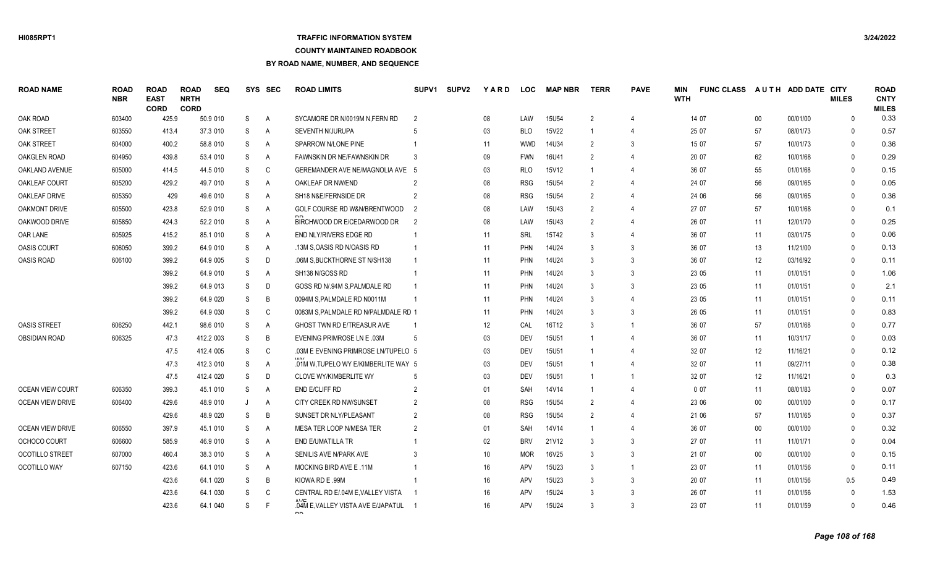# **TRAFFIC INFORMATION SYSTEM**

#### **COUNTY MAINTAINED ROADBOOK**

| <b>ROAD NAME</b>        | <b>ROAD</b><br><b>NBR</b> | <b>ROAD</b><br><b>EAST</b><br><b>CORD</b> | <b>ROAD</b><br><b>NRTH</b><br><b>CORD</b> | <b>SEQ</b> |   | SYS SEC        | <b>ROAD LIMITS</b>                          | SUPV <sub>1</sub> | <b>SUPV2</b> | YARD | <b>LOC</b> | <b>MAP NBR</b> | <b>TERR</b>             | <b>PAVE</b>             | <b>MIN</b><br><b>WTH</b> | <b>FUNC CLASS</b> |        | AUTH ADD DATE CITY | <b>MILES</b> | <b>ROAD</b><br><b>CNTY</b><br><b>MILES</b> |
|-------------------------|---------------------------|-------------------------------------------|-------------------------------------------|------------|---|----------------|---------------------------------------------|-------------------|--------------|------|------------|----------------|-------------------------|-------------------------|--------------------------|-------------------|--------|--------------------|--------------|--------------------------------------------|
| OAK ROAD                | 603400                    | 425.9                                     |                                           | 50.9 010   | S | A              | SYCAMORE DR N/0019M N.FERN RD               | $\mathcal{P}$     |              | 08   | LAW        | <b>15U54</b>   | $\mathcal{P}$           | $\Delta$                |                          | 14 07             | $00\,$ | 00/01/00           | $\Omega$     | 0.33                                       |
| <b>OAK STREET</b>       | 603550                    | 413.4                                     |                                           | 37.3 010   | S | $\overline{A}$ | SEVENTH N/JURUPA                            | .5                |              | 03   | <b>BLO</b> | 15V22          |                         | $\Delta$                |                          | 25 07             | 57     | 08/01/73           | $\Omega$     | 0.57                                       |
| OAK STREET              | 604000                    | 400.2                                     |                                           | 58.8 010   | S | A              | SPARROW N/LONE PINE                         |                   |              | 11   | <b>WWD</b> | 14U34          | $\mathcal{P}$           | 3                       |                          | 15 07             | 57     | 10/01/73           | $\Omega$     | 0.36                                       |
| <b>OAKGLEN ROAD</b>     | 604950                    | 439.8                                     |                                           | 53.4 010   | S | Α              | FAWNSKIN DR NE/FAWNSKIN DR                  | 3                 |              | 09   | <b>FWN</b> | 16U41          | $\overline{2}$          | $\overline{4}$          |                          | 20 07             | 62     | 10/01/68           | $\Omega$     | 0.29                                       |
| <b>OAKLAND AVENUE</b>   | 605000                    | 414.5                                     |                                           | 44.5 010   | S | C              | GEREMANDER AVE NE/MAGNOLIA AVE 5            |                   |              | 03   | <b>RLO</b> | 15V12          |                         | $\overline{4}$          |                          | 36 07             | 55     | 01/01/68           | $\Omega$     | 0.15                                       |
| <b>OAKLEAF COURT</b>    | 605200                    | 429.2                                     |                                           | 49.7 010   | S | A              | OAKLEAF DR NW/END                           | $\overline{2}$    |              | 08   | <b>RSG</b> | <b>15U54</b>   | $\overline{2}$          | $\overline{4}$          |                          | 24 07             | 56     | 09/01/65           | $\Omega$     | 0.05                                       |
| OAKLEAF DRIVE           | 605350                    | 429                                       |                                           | 49.6 010   | S | Α              | SH18 N&E/FERNSIDE DR                        | 2                 |              | 08   | <b>RSG</b> | <b>15U54</b>   | $\mathcal{P}$           | $\Delta$                |                          | 24 06             | 56     | 09/01/65           | $\Omega$     | 0.36                                       |
| <b>OAKMONT DRIVE</b>    | 605500                    | 423.8                                     |                                           | 52.9 010   | S | A              | GOLF COURSE RD W&N/BRENTWOOD                | $\overline{2}$    |              | 08   | LAW        | 15U43          | $\mathcal{P}$           | $\overline{4}$          |                          | 27 07             | 57     | 10/01/68           | $\Omega$     | 0.1                                        |
| OAKWOOD DRIVE           | 605850                    | 424.3                                     |                                           | 52.2 010   | S | A              | BIRCHWOOD DR E/CEDARWOOD DR                 | $\overline{2}$    |              | 08   | LAW        | 15U43          | $\mathcal{P}$           | $\Delta$                |                          | 26 07             | 11     | 12/01/70           | $\Omega$     | 0.25                                       |
| OAR LANE                | 605925                    | 415.2                                     |                                           | 85.1 010   | S | Α              | END NLY/RIVERS EDGE RD                      |                   |              | 11   | SRL        | 15T42          | 3                       | $\overline{4}$          |                          | 36 07             | 11     | 03/01/75           | $\Omega$     | 0.06                                       |
| <b>OASIS COURT</b>      | 606050                    | 399.2                                     |                                           | 64.9 010   | S | Α              | .13M S,OASIS RD N/OASIS RD                  | -1                |              | 11   | <b>PHN</b> | 14U24          | 3                       | 3                       |                          | 36 07             | 13     | 11/21/00           | $\Omega$     | 0.13                                       |
| <b>OASIS ROAD</b>       | 606100                    | 399.2                                     |                                           | 64.9 005   | S | D              | .06M S, BUCKTHORNE ST N/SH138               |                   |              | 11   | PHN        | 14U24          | 3                       | 3                       |                          | 36 07             | 12     | 03/16/92           | $\mathbf{0}$ | 0.11                                       |
|                         |                           | 399.2                                     |                                           | 64.9 010   | S | $\mathsf{A}$   | SH138 N/GOSS RD                             |                   |              | 11   | <b>PHN</b> | 14U24          | 3                       | 3                       |                          | 23 05             | 11     | 01/01/51           | $\Omega$     | 1.06                                       |
|                         |                           | 399.2                                     |                                           | 64.9 013   | S | D              | GOSS RD N/.94M S, PALMDALE RD               |                   |              | 11   | <b>PHN</b> | 14U24          | 3                       | 3                       |                          | 23 05             | 11     | 01/01/51           | $\Omega$     | 2.1                                        |
|                         |                           | 399.2                                     |                                           | 64.9 020   | S | B              | 0094M S, PALMDALE RD N0011M                 | -1                |              | 11   | PHN        | 14U24          | 3                       | $\overline{4}$          |                          | 23 05             | 11     | 01/01/51           | $\Omega$     | 0.11                                       |
|                         |                           | 399.2                                     |                                           | 64.9 030   | S | C              | 0083M S, PALMDALE RD N/PALMDALE RD 1        |                   |              | 11   | PHN        | 14U24          | $\mathcal{R}$           | 3                       |                          | 26 05             | 11     | 01/01/51           | $\mathbf{0}$ | 0.83                                       |
| <b>OASIS STREET</b>     | 606250                    | 442.1                                     |                                           | 98.6 010   | S | Α              | GHOST TWN RD E/TREASUR AVE                  |                   |              | 12   | CAL        | 16T12          | 3                       | $\overline{1}$          |                          | 36 07             | 57     | 01/01/68           | $\Omega$     | 0.77                                       |
| <b>OBSIDIAN ROAD</b>    | 606325                    | 47.3                                      |                                           | 412.2 003  | S | B              | EVENING PRIMROSE LN E .03M                  | .5                |              | 03   | <b>DEV</b> | <b>15U51</b>   |                         | $\overline{4}$          |                          | 36 07             | 11     | 10/31/17           | $\Omega$     | 0.03                                       |
|                         |                           | 47.5                                      |                                           | 412.4 005  | S | C              | .03M E EVENING PRIMROSE LN/TUPELO 5         |                   |              | 03   | <b>DEV</b> | <b>15U51</b>   | $\overline{\mathbf{1}}$ | $\overline{4}$          |                          | 32 07             | 12     | 11/16/21           | $\mathbf{0}$ | 0.12                                       |
|                         |                           | 47.3                                      |                                           | 412.3 010  | S | A              | .01M W.TUPELO WY E/KIMBERLITE WAY 5         |                   |              | 03   | <b>DEV</b> | <b>15U51</b>   |                         | $\overline{4}$          |                          | 32 07             | 11     | 09/27/11           | $\Omega$     | 0.38                                       |
|                         |                           | 47.5                                      |                                           | 412.4 020  | S | D              | CLOVE WY/KIMBERLITE WY                      |                   |              | 03   | DEV        | <b>15U51</b>   |                         | $\overline{1}$          |                          | 32 07             | 12     | 11/16/21           | $\Omega$     | 0.3                                        |
| <b>OCEAN VIEW COURT</b> | 606350                    | 399.3                                     |                                           | 45.1 010   | S | A              | END E/CLIFF RD                              | $\overline{2}$    |              | 01   | <b>SAH</b> | 14V14          |                         | $\Delta$                |                          | 007               | 11     | 08/01/83           | $\Omega$     | 0.07                                       |
| <b>OCEAN VIEW DRIVE</b> | 606400                    | 429.6                                     |                                           | 48.9 010   | J | Α              | CITY CREEK RD NW/SUNSET                     |                   |              | 08   | <b>RSG</b> | <b>15U54</b>   | $\overline{2}$          | 4                       |                          | 23 06             | $00\,$ | 00/01/00           | $\mathbf{0}$ | 0.17                                       |
|                         |                           | 429.6                                     |                                           | 48.9 020   | S | B              | SUNSET DR NLY/PLEASANT                      | $\mathfrak{D}$    |              | 08   | <b>RSG</b> | <b>15U54</b>   | $\mathcal{P}$           | 4                       |                          | 21 06             | 57     | 11/01/65           | $\Omega$     | 0.37                                       |
| <b>OCEAN VIEW DRIVE</b> | 606550                    | 397.9                                     |                                           | 45.1 010   | S | Α              | MESA TER LOOP N/MESA TER                    | $\overline{2}$    |              | 01   | SAH        | 14V14          |                         | $\Delta$                |                          | 36 07             | $00\,$ | 00/01/00           | $\Omega$     | 0.32                                       |
| OCHOCO COURT            | 606600                    | 585.9                                     |                                           | 46.9 010   | S | A              | <b>END E/UMATILLA TR</b>                    |                   |              | 02   | <b>BRV</b> | 21V12          | 3                       | 3                       |                          | 27 07             | 11     | 11/01/71           | $\Omega$     | 0.04                                       |
| <b>OCOTILLO STREET</b>  | 607000                    | 460.4                                     |                                           | 38.3 010   | S | Α              | SENILIS AVE N/PARK AVE                      |                   |              | 10   | <b>MOR</b> | 16V25          | 3                       | 3                       |                          | 21 07             | $00\,$ | 00/01/00           | $\mathbf{0}$ | 0.15                                       |
| OCOTILLO WAY            | 607150                    | 423.6                                     |                                           | 64.1 010   | S | A              | MOCKING BIRD AVE E.11M                      |                   |              | 16   | APV        | 15U23          | 3                       | $\overline{\mathbf{1}}$ |                          | 23 07             | 11     | 01/01/56           | 0            | 0.11                                       |
|                         |                           | 423.6                                     |                                           | 64.1 020   | S | B              | KIOWA RD E .99M                             |                   |              | 16   | <b>APV</b> | 15U23          | 3                       | 3                       |                          | 20 07             | 11     | 01/01/56           | 0.5          | 0.49                                       |
|                         |                           | 423.6                                     |                                           | 64.1 030   | S | C              | CENTRAL RD E/.04M E.VALLEY VISTA            |                   |              | 16   | APV        | 15U24          | 3                       | 3                       |                          | 26 07             | 11     | 01/01/56           | $\Omega$     | 1.53                                       |
|                         |                           | 423.6                                     |                                           | 64.1 040   | S | F              | .04M E, VALLEY VISTA AVE E/JAPATUL 1<br>nn. |                   |              | 16   | APV        | 15U24          | 3                       | 3                       |                          | 23 07             | 11     | 01/01/59           | $\Omega$     | 0.46                                       |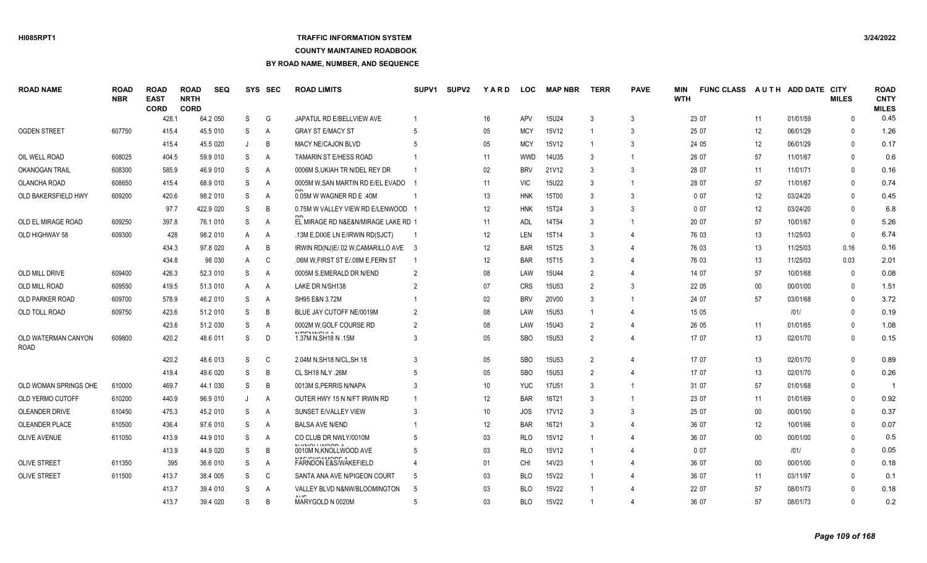### **TRAFFIC INFORMATION SYSTEM**

#### **COUNTY MAINTAINED ROADBOOK**

| <b>ROAD NAME</b>                   | <b>ROAD</b><br><b>NBR</b> | <b>ROAD</b><br><b>EAST</b><br><b>CORD</b> | <b>ROAD</b><br><b>NRTH</b><br><b>CORD</b> | <b>SEQ</b> |   | SYS SEC | <b>ROAD LIMITS</b>                               | SUPV <sub>1</sub> | <b>SUPV2</b> | <b>YARD</b>     | <b>LOC</b> | <b>MAP NBR</b>    | <b>TERR</b>    | <b>PAVE</b>    | <b>MIN</b><br><b>WTH</b> | <b>FUNC CLASS</b> |        | AUTH ADD DATE CITY | <b>MILES</b> | <b>ROAD</b><br><b>CNTY</b><br><b>MILES</b> |
|------------------------------------|---------------------------|-------------------------------------------|-------------------------------------------|------------|---|---------|--------------------------------------------------|-------------------|--------------|-----------------|------------|-------------------|----------------|----------------|--------------------------|-------------------|--------|--------------------|--------------|--------------------------------------------|
|                                    |                           | 428.1                                     |                                           | 64.2 050   | S | G       | JAPATUL RD E/BELLVIEW AVE                        |                   |              | 16              | APV        | 15U24             | 3              | 3              |                          | 23 07             | 11     | 01/01/59           | $\mathbf{0}$ | 0.45                                       |
| <b>OGDEN STREET</b>                | 607750                    | 415.4                                     |                                           | 45.5 010   | S | Α       | <b>GRAY ST E/MACY ST</b>                         | .5                |              | 05              | <b>MCY</b> | 15V12             | -1             | 3              |                          | 25 07             | 12     | 06/01/29           | $\Omega$     | 1.26                                       |
|                                    |                           | 415.4                                     |                                           | 45.5 020   | J | B       | <b>MACY NE/CAJON BLVD</b>                        |                   |              | 05              | <b>MCY</b> | 15V12             |                | 3              |                          | 24 05             | 12     | 06/01/29           | $\Omega$     | 0.17                                       |
| OIL WELL ROAD                      | 608025                    | 404.5                                     |                                           | 59.9 010   | S | A       | TAMARIN ST E/HESS ROAD                           |                   |              | 11              | <b>WWD</b> | 14U35             | 3              | $\overline{1}$ |                          | 26 07             | 57     | 11/01/67           | $\mathbf{0}$ | 0.6                                        |
| <b>OKANOGAN TRAIL</b>              | 608300                    | 585.9                                     |                                           | 46.9 010   | S | Α       | 0006M S, UKIAH TR N/DEL REY DR                   |                   |              | 02              | <b>BRV</b> | 21V12             | 3              | 3              |                          | 28 07             | 11     | 11/01/71           | $\Omega$     | 0.16                                       |
| <b>OLANCHA ROAD</b>                | 608650                    | 415.4                                     |                                           | 68.9 010   | S | A       | 0005M W.SAN MARTIN RD E/EL EVADO                 |                   |              | 11              | <b>VIC</b> | 15U22             | 3              | $\overline{1}$ |                          | 28 07             | 57     | 11/01/67           | $\Omega$     | 0.74                                       |
| OLD BAKERSFIELD HWY                | 609200                    | 420.6                                     |                                           | 98.2 010   | S | Α       | 0.05M W WAGNER RD E .40M                         |                   |              | 13              | <b>HNK</b> | 15T00             | 3              | 3              |                          | 007               | 12     | 03/24/20           | $\Omega$     | 0.45                                       |
|                                    |                           | 97.7                                      |                                           | 422.9 020  | S | B       | 0.75M W VALLEY VIEW RD E/LENWOOD                 |                   |              | 12              | <b>HNK</b> | 15T24             | 3              | 3              |                          | 007               | 12     | 03/24/20           | $\Omega$     | 6.8                                        |
| OLD EL MIRAGE ROAD                 | 609250                    | 397.8                                     |                                           | 76.1 010   | S | A       | EL MIRAGE RD N&E&N/MIRAGE LAKE RD 1              |                   |              | 11              | <b>ADL</b> | 14T54             | 3              | $\overline{1}$ |                          | 20 07             | 57     | 10/01/67           | $\Omega$     | 5.26                                       |
| OLD HIGHWAY 58                     | 609300                    | 428                                       |                                           | 98.2 010   | A | A       | .13M E, DIXIE LN E/IRWIN RD(SJCT)                |                   |              | 12              | LEN        | 15T14             | 3              | $\Delta$       |                          | 76 03             | 13     | 11/25/03           | $\Omega$     | 6.74                                       |
|                                    |                           | 434.3                                     |                                           | 97.8 020   | A | B       | IRWIN RD(NJ)E/.02 W, CAMARILLO AVE 3             |                   |              | 12              | <b>BAR</b> | 15T25             | 3              | $\overline{4}$ |                          | 76 03             | 13     | 11/25/03           | 0.16         | 0.16                                       |
|                                    |                           | 434.8                                     |                                           | 98 030     | A | C       | .06M W, FIRST ST E/.08M E, FERN ST               |                   |              | 12              | <b>BAR</b> | 15T15             | 3              | $\Delta$       |                          | 76 03             | 13     | 11/25/03           | 0.03         | 2.01                                       |
| <b>OLD MILL DRIVE</b>              | 609400                    | 426.3                                     |                                           | 52.3 010   | S | A       | 0005M S.EMERALD DR N/END                         | $\overline{2}$    |              | 08              | LAW        | <b>15U44</b>      | $\mathcal{P}$  | $\Delta$       |                          | 14 07             | 57     | 10/01/68           | $\Omega$     | 0.08                                       |
| <b>OLD MILL ROAD</b>               | 609550                    | 419.5                                     |                                           | 51.3 010   | A | Α       | LAKE DR N/SH138                                  | $\overline{2}$    |              | 07              | <b>CRS</b> | <b>15U53</b>      | $\mathcal{P}$  | 3              |                          | 22 05             | $00\,$ | 00/01/00           | $\Omega$     | 1.51                                       |
| <b>OLD PARKER ROAD</b>             | 609700                    | 578.9                                     |                                           | 46.2 010   | S | Α       | SH95 E&N 3.72M                                   |                   |              | 02              | <b>BRV</b> | 20V00             | 3              | $\overline{1}$ |                          | 24 07             | 57     | 03/01/68           | $\Omega$     | 3.72                                       |
| OLD TOLL ROAD                      | 609750                    | 423.6                                     |                                           | 51.2 010   | S | B       | BLUE JAY CUTOFF NE/0019M                         | $\overline{2}$    |              | $08\,$          | LAW        | 15U <sub>53</sub> |                | $\overline{4}$ |                          | 15 05             |        | 1011               | $\mathbf{0}$ | 0.19                                       |
|                                    |                           | 423.6                                     |                                           | 51.2 030   | S | A       | 0002M W.GOLF COURSE RD                           |                   |              | 08              | LAW        | <b>15U43</b>      | 2              | $\overline{4}$ |                          | 26 05             | 11     | 01/01/65           | $\Omega$     | 1.08                                       |
| OLD WATERMAN CANYON<br><b>ROAD</b> | 609800                    | 420.2                                     |                                           | 48.6 011   | S | D       | <b>NUDENHAIOUL</b><br>1.37M N, SH18 N .15M       |                   |              | 05              | <b>SBO</b> | <b>15U53</b>      | $\overline{2}$ | $\Delta$       |                          | 17 07             | 13     | 02/01/70           | $\Omega$     | 0.15                                       |
|                                    |                           | 420.2                                     |                                           | 48.6 013   | S | C       | 2.04M N, SH18 N/CL, SH 18                        | $\mathcal{R}$     |              | 05              | <b>SBO</b> | 15U <sub>53</sub> | $\mathcal{P}$  | $\overline{4}$ |                          | 17 07             | 13     | 02/01/70           | $\Omega$     | 0.89                                       |
|                                    |                           | 419.4                                     |                                           | 49.6 020   | S | B       | CL SH18 NLY .26M                                 |                   |              | 05              | <b>SBO</b> | <b>15U53</b>      | $\mathcal{P}$  | $\overline{4}$ |                          | 17 07             | 13     | 02/01/70           | $\Omega$     | 0.26                                       |
| OLD WOMAN SPRINGS OHE              | 610000                    | 469.7                                     |                                           | 44.1 030   | S | B       | 0013M S.PERRIS N/NAPA                            | 3                 |              | 10 <sup>1</sup> | <b>YUC</b> | 17U51             | 3              | $\overline{1}$ |                          | 31 07             | 57     | 01/01/68           | $\mathbf{0}$ |                                            |
| OLD YERMO CUTOFF                   | 610200                    | 440.9                                     |                                           | 96.9 010   | J | A       | OUTER HWY 15 N N/FT IRWIN RD                     |                   |              | 12              | <b>BAR</b> | 16T21             | 3              | $\overline{1}$ |                          | 23 07             | 11     | 01/01/69           | $\Omega$     | 0.92                                       |
| OLEANDER DRIVE                     | 610450                    | 475.3                                     |                                           | 45.2 010   | S | A       | SUNSET E/VALLEY VIEW                             | 3                 |              | 10 <sup>°</sup> | JOS        | 17V12             | 3              | 3              |                          | 25 07             | $00\,$ | 00/01/00           | $\Omega$     | 0.37                                       |
| <b>OLEANDER PLACE</b>              | 610500                    | 436.4                                     |                                           | 97.6 010   | S | Α       | <b>BALSA AVE N/END</b>                           |                   |              | 12              | <b>BAR</b> | 16T21             | 3              | $\overline{4}$ |                          | 36 07             | 12     | 10/01/66           | $\Omega$     | 0.07                                       |
| OLIVE AVENUE                       | 611050                    | 413.9                                     |                                           | 44.9 010   | S | Α       | CO CLUB DR NWLY/0010M                            | .5                |              | 03              | <b>RLO</b> | 15V12             |                | $\overline{4}$ |                          | 36 07             | $00\,$ | 00/01/00           | $\mathbf{0}$ | 0.5                                        |
|                                    |                           | 413.9                                     |                                           | 44.9 020   | S | B       | <b>NUZNIALI MIAARA</b><br>0010M N, KNOLLWOOD AVE | .5                |              | 03              | <b>RLO</b> | 15V12             |                | $\Delta$       |                          | 007               |        | 1011               | $\Omega$     | 0.05                                       |
| <b>OLIVE STREET</b>                | 611350                    | 395                                       |                                           | 36.6 010   | S | A       | MOFIOVO AMORE A<br>FARNDON E&S/WAKEFIELD         |                   |              | 01              | <b>CHI</b> | 14V23             |                |                |                          | 36 07             | $00\,$ | 00/01/00           | $\Omega$     | 0.18                                       |
| <b>OLIVE STREET</b>                | 611500                    | 413.7                                     |                                           | 38.4 005   | S | C       | SANTA ANA AVE N/PIGEON COURT                     | -5                |              | 03              | <b>BLO</b> | 15V22             |                | $\Delta$       |                          | 36 07             | 11     | 03/11/97           | $\Omega$     | 0.1                                        |
|                                    |                           | 413.7                                     |                                           | 39.4 010   | S | A       | VALLEY BLVD N&NW/BLOOMINGTON                     | -5                |              | 03              | <b>BLO</b> | 15V22             |                |                |                          | 22 07             | 57     | 08/01/73           | $\Omega$     | 0.18                                       |
|                                    |                           | 413.7                                     |                                           | 39.4 020   | S | B       | $\lambda$ $\lambda$<br>MARYGOLD N 0020M          |                   |              | 03              | <b>BLO</b> | 15V22             |                | $\Delta$       |                          | 36 07             | 57     | 08/01/73           | $\Omega$     | 0.2                                        |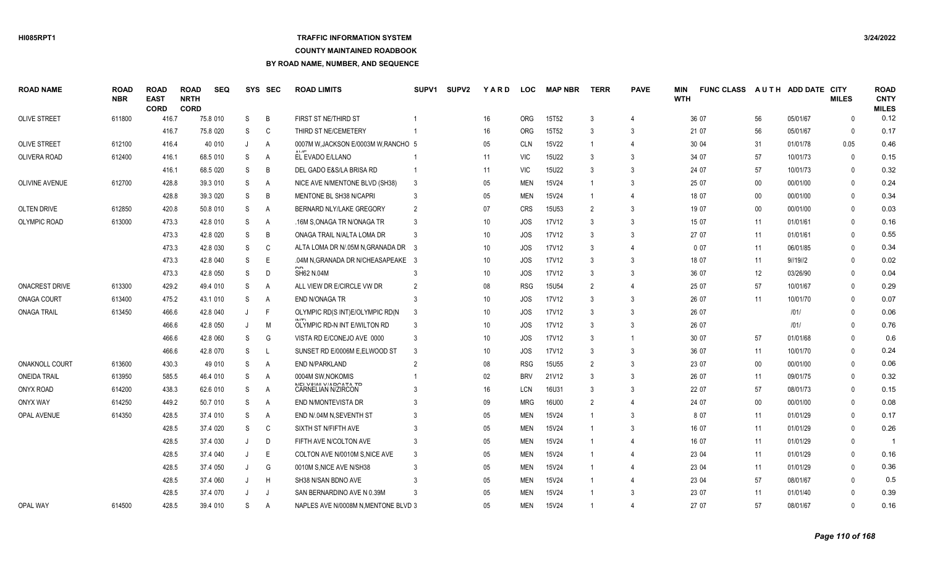### **TRAFFIC INFORMATION SYSTEM**

#### **COUNTY MAINTAINED ROADBOOK**

| <b>ROAD NAME</b>      | <b>ROAD</b><br><b>NBR</b> | <b>ROAD</b><br><b>EAST</b><br><b>CORD</b> | <b>ROAD</b><br><b>NRTH</b><br><b>CORD</b> | <b>SEQ</b> | <b>SYS</b> | <b>SEC</b>     | <b>ROAD LIMITS</b>                          | SUPV <sub>1</sub> | <b>SUPV2</b> | YARD | <b>LOC</b> | <b>MAP NBR</b>    | <b>TERR</b>   | <b>PAVE</b>    | MIN<br><b>WTH</b> | <b>FUNC CLASS</b> |        | AUTH ADD DATE CITY | <b>MILES</b> | <b>ROAD</b><br><b>CNTY</b><br><b>MILES</b> |
|-----------------------|---------------------------|-------------------------------------------|-------------------------------------------|------------|------------|----------------|---------------------------------------------|-------------------|--------------|------|------------|-------------------|---------------|----------------|-------------------|-------------------|--------|--------------------|--------------|--------------------------------------------|
| <b>OLIVE STREET</b>   | 611800                    | 416.7                                     |                                           | 75.8 010   | S          | B              | FIRST ST NE/THIRD ST                        |                   |              | 16   | <b>ORG</b> | 15T52             | 3             | 4              |                   | 36 07             | 56     | 05/01/67           | $\Omega$     | 0.12                                       |
|                       |                           | 416.7                                     |                                           | 75.8 020   | S          | C              | THIRD ST NE/CEMETERY                        |                   |              | 16   | <b>ORG</b> | 15T52             |               | 3              |                   | 21 07             | 56     | 05/01/67           | $\mathbf{0}$ | 0.17                                       |
| <b>OLIVE STREET</b>   | 612100                    | 416.4                                     |                                           | 40 010     |            | A              | 0007M W.JACKSON E/0003M W.RANCHO 5          |                   |              | 05   | <b>CLN</b> | 15V22             |               | 4              |                   | 30 04             | 31     | 01/01/78           | 0.05         | 0.46                                       |
| <b>OLIVERA ROAD</b>   | 612400                    | 416.1                                     |                                           | 68.5 010   | S          | A              | EL EVADO E/LLANO                            |                   |              | 11   | <b>VIC</b> | 15U22             |               | 3              |                   | 34 07             | 57     | 10/01/73           | $\Omega$     | 0.15                                       |
|                       |                           | 416.1                                     |                                           | 68.5 020   | S          | B              | DEL GADO E&S/LA BRISA RD                    |                   |              | 11   | <b>VIC</b> | 15U22             | 3             | 3              |                   | 24 07             | 57     | 10/01/73           | $\Omega$     | 0.32                                       |
| <b>OLIVINE AVENUE</b> | 612700                    | 428.8                                     |                                           | 39.3 010   | S          | A              | NICE AVE N/MENTONE BLVD (SH38)              | 3                 |              | 05   | <b>MEN</b> | 15V24             |               | 3              |                   | 25 07             | 00     | 00/01/00           | $\Omega$     | 0.24                                       |
|                       |                           | 428.8                                     |                                           | 39.3 020   | S          | B              | <b>MENTONE BL SH38 N/CAPRI</b>              | 3                 |              | 05   | <b>MEN</b> | 15V24             |               | $\overline{4}$ |                   | 18 07             | 00     | 00/01/00           | $\Omega$     | 0.34                                       |
| OLTEN DRIVE           | 612850                    | 420.8                                     |                                           | 50.8 010   | S          | A              | BERNARD NLY/LAKE GREGORY                    | $\overline{2}$    |              | 07   | <b>CRS</b> | 15U <sub>53</sub> | $\mathcal{P}$ | 3              |                   | 19 07             | $00\,$ | 00/01/00           | $\Omega$     | 0.03                                       |
| <b>OLYMPIC ROAD</b>   | 613000                    | 473.3                                     |                                           | 42.8 010   | S          | A              | .16M S, ONAGA TR N/ONAGA TR                 | 3                 |              | 10   | JOS        | 17V12             | 3             | 3              |                   | 15 07             | 11     | 01/01/61           | $\Omega$     | 0.16                                       |
|                       |                           | 473.3                                     |                                           | 42.8 020   | S          | B              | ONAGA TRAIL N/ALTA LOMA DR                  | 3                 |              | 10   | <b>JOS</b> | 17V12             | 3             | 3              |                   | 27 07             | 11     | 01/01/61           | $\Omega$     | 0.55                                       |
|                       |                           | 473.3                                     |                                           | 42.8 030   | S          | C              | ALTA LOMA DR N/05M N.GRANADA DR 3           |                   |              | 10   | JOS        | 17V12             |               | 4              |                   | 007               | 11     | 06/01/85           | $\Omega$     | 0.34                                       |
|                       |                           | 473.3                                     |                                           | 42.8 040   | S          | Е              | .04M N.GRANADA DR N/CHEASAPEAKE 3           |                   |              | 10   | JOS        | 17V12             |               | 3              |                   | 18 07             | 11     | 9/19/2             | $\Omega$     | 0.02                                       |
|                       |                           | 473.3                                     |                                           | 42.8 050   | S          | D              | SH62 N.04M                                  |                   |              | 10   | JOS        | 17V12             | 3             | 3              |                   | 36 07             | 12     | 03/26/90           | $\Omega$     | 0.04                                       |
| ONACREST DRIVE        | 613300                    | 429.2                                     |                                           | 49.4 010   | S          | A              | ALL VIEW DR E/CIRCLE VW DR                  |                   |              | 08   | <b>RSG</b> | 15U54             | $\mathcal{P}$ |                |                   | 25 07             | 57     | 10/01/67           | $\Omega$     | 0.29                                       |
| <b>ONAGA COURT</b>    | 613400                    | 475.2                                     |                                           | 43.1 010   | S          | $\overline{A}$ | <b>END N/ONAGA TR</b>                       |                   |              | 10   | JOS        | 17V12             |               | 3              |                   | 26 07             | 11     | 10/01/70           | $\Omega$     | 0.07                                       |
| <b>ONAGA TRAIL</b>    | 613450                    | 466.6                                     |                                           | 42.8 040   |            | F              | OLYMPIC RD(S INT)E/OLYMPIC RD(N             | 3                 |              | 10   | <b>JOS</b> | 17V12             | 3             | 3              |                   | 26 07             |        | 1011               | $\Omega$     | 0.06                                       |
|                       |                           | 466.6                                     |                                           | 42.8 050   |            | M              | OLYMPIC RD-N INT E/WILTON RD                | 3                 |              | 10   | <b>JOS</b> | 17V12             | 3             | 3              |                   | 26 07             |        | 1011               | $\Omega$     | 0.76                                       |
|                       |                           | 466.6                                     |                                           | 42.8 060   | S          | G              | VISTA RD E/CONEJO AVE 0000                  | -3                |              | 10   | <b>JOS</b> | 17V12             |               | $\overline{1}$ |                   | 30 07             | 57     | 01/01/68           | $\Omega$     | 0.6                                        |
|                       |                           | 466.6                                     |                                           | 42.8 070   | S          | -L             | SUNSET RD E/0006M E, ELWOOD ST              | 3                 |              | 10   | JOS        | 17V12             | 3             | 3              |                   | 36 07             | 11     | 10/01/70           | $\Omega$     | 0.24                                       |
| <b>ONAKNOLL COURT</b> | 613600                    | 430.3                                     |                                           | 49 010     | S          | A              | <b>END N/PARKLAND</b>                       |                   |              | 08   | <b>RSG</b> | <b>15U55</b>      | $\mathcal{P}$ | 3              |                   | 23 07             | $00\,$ | 00/01/00           | $\Omega$     | 0.06                                       |
| <b>ONEIDA TRAIL</b>   | 613950                    | 585.5                                     |                                           | 46.4 010   | S          | A              | 0004M SW.NOKOMIS                            |                   |              | 02   | <b>BRV</b> | 21V12             | $\mathcal{R}$ | 3              |                   | 26 07             | 11     | 09/01/75           | $\Omega$     | 0.32                                       |
| <b>ONYX ROAD</b>      | 614200                    | 438.3                                     |                                           | 62.6 010   | S          | A              | NIEI VAIM VIADOATA TO<br>CARNELIAN N/ZIRCON |                   |              | 16   | <b>LCN</b> | 16U31             |               | 3              |                   | 22 07             | 57     | 08/01/73           | $\Omega$     | 0.15                                       |
| <b>ONYX WAY</b>       | 614250                    | 449.2                                     |                                           | 50.7 010   | S          | A              | END N/MONTEVISTA DR                         |                   |              | 09   | <b>MRG</b> | 16U00             | $\mathcal{P}$ | 4              |                   | 24 07             | $00\,$ | 00/01/00           | $\Omega$     | 0.08                                       |
| <b>OPAL AVENUE</b>    | 614350                    | 428.5                                     |                                           | 37.4 010   | S          | A              | END N/.04M N.SEVENTH ST                     |                   |              | 05   | <b>MEN</b> | 15V24             |               | 3              |                   | 8 0 7             | 11     | 01/01/29           | $\Omega$     | 0.17                                       |
|                       |                           | 428.5                                     |                                           | 37.4 020   | S          | C              | SIXTH ST N/FIFTH AVE                        |                   |              | 05   | <b>MEN</b> | 15V24             |               | 3              |                   | 16 07             | 11     | 01/01/29           | $\Omega$     | 0.26                                       |
|                       |                           | 428.5                                     |                                           | 37.4 030   |            | D              | FIFTH AVE N/COLTON AVE                      |                   |              | 05   | <b>MEN</b> | 15V24             |               | 4              |                   | 16 07             | 11     | 01/01/29           | $\mathbf{0}$ |                                            |
|                       |                           | 428.5                                     |                                           | 37.4 040   |            | E.             | COLTON AVE N/0010M S, NICE AVE              |                   |              | 05   | <b>MEN</b> | 15V24             |               | 4              |                   | 23 04             | 11     | 01/01/29           | $\Omega$     | 0.16                                       |
|                       |                           | 428.5                                     |                                           | 37.4 050   |            | G              | 0010M S, NICE AVE N/SH38                    |                   |              | 05   | <b>MEN</b> | 15V24             |               | 4              |                   | 23 04             | 11     | 01/01/29           | $\Omega$     | 0.36                                       |
|                       |                           | 428.5                                     |                                           | 37.4 060   |            | H              | SH38 N/SAN BDNO AVE                         |                   |              | 05   | <b>MEN</b> | 15V24             |               | 4              |                   | 23 04             | 57     | 08/01/67           | $\Omega$     | 0.5                                        |
|                       |                           | 428.5                                     |                                           | 37.4 070   |            | J.             | SAN BERNARDINO AVE N 0.39M                  |                   |              | 05   | <b>MEN</b> | 15V24             |               | 3              |                   | 23 07             | 11     | 01/01/40           | $\mathsf{O}$ | 0.39                                       |
| <b>OPAL WAY</b>       | 614500                    | 428.5                                     |                                           | 39.4 010   | S.         | A              | NAPLES AVE N/0008M N.MENTONE BLVD 3         |                   |              | 05   | <b>MEN</b> | 15V24             |               | $\overline{4}$ |                   | 27 07             | 57     | 08/01/67           | $\Omega$     | 0.16                                       |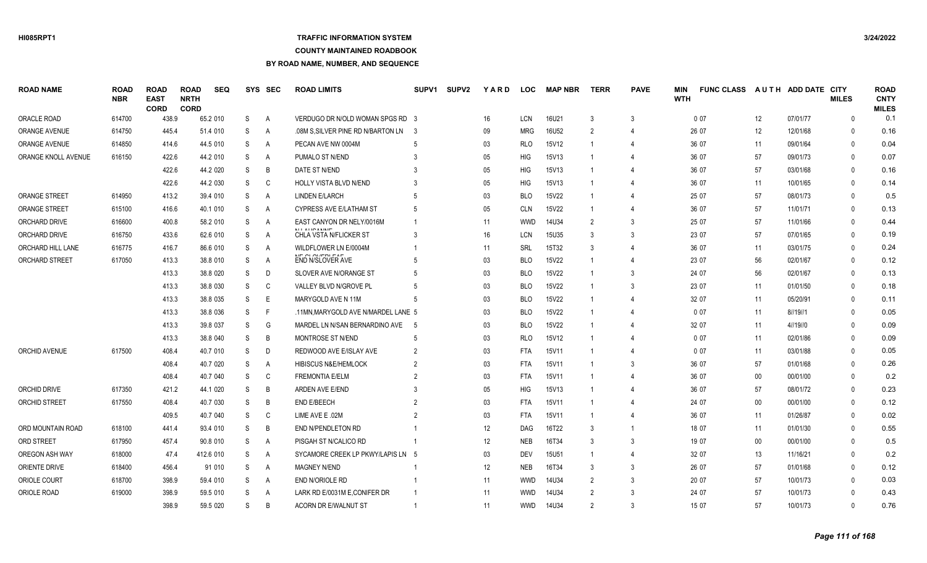### **TRAFFIC INFORMATION SYSTEM**

#### **COUNTY MAINTAINED ROADBOOK**

| <b>ROAD NAME</b>      | <b>ROAD</b><br><b>NBR</b> | <b>ROAD</b><br><b>EAST</b><br><b>CORD</b> | <b>ROAD</b><br><b>NRTH</b><br><b>CORD</b> | <b>SEQ</b> |    | SYS SEC | <b>ROAD LIMITS</b>                   | SUPV <sub>1</sub> | <b>SUPV2</b> | YARD | <b>LOC</b> | <b>MAP NBR</b> | <b>TERR</b>    | <b>PAVE</b>           | MIN<br><b>WTH</b> | <b>FUNC CLASS</b> |        | AUTH ADD DATE CITY | <b>MILES</b> | <b>ROAD</b><br><b>CNTY</b><br><b>MILES</b> |
|-----------------------|---------------------------|-------------------------------------------|-------------------------------------------|------------|----|---------|--------------------------------------|-------------------|--------------|------|------------|----------------|----------------|-----------------------|-------------------|-------------------|--------|--------------------|--------------|--------------------------------------------|
| ORACLE ROAD           | 614700                    | 438.9                                     |                                           | 65.2 010   | S  | Α       | VERDUGO DR N/OLD WOMAN SPGS RD 3     |                   |              | 16   | <b>LCN</b> | 16U21          | 3              | $\mathbf{3}$          |                   | 007               | 12     | 07/01/77           | $\Omega$     | 0.1                                        |
| ORANGE AVENUE         | 614750                    | 445.4                                     |                                           | 51.4 010   | S  | A       | .08M S, SILVER PINE RD N/BARTON LN 3 |                   |              | 09   | <b>MRG</b> | 16U52          |                | 4                     |                   | 26 07             | 12     | 12/01/68           | $\Omega$     | 0.16                                       |
| ORANGE AVENUE         | 614850                    | 414.6                                     |                                           | 44.5 010   | S  | A       | PECAN AVE NW 0004M                   |                   |              | 03   | <b>RLO</b> | 15V12          |                | $\overline{4}$        |                   | 36 07             | 11     | 09/01/64           | $\Omega$     | 0.04                                       |
| ORANGE KNOLL AVENUE   | 616150                    | 422.6                                     |                                           | 44.2 010   | S  | Α       | PUMALO ST N/END                      |                   |              | 05   | <b>HIG</b> | 15V13          |                | 4                     |                   | 36 07             | 57     | 09/01/73           | $\Omega$     | 0.07                                       |
|                       |                           | 422.6                                     |                                           | 44.2 020   | S  | B       | DATE ST N/END                        |                   |              | 05   | <b>HIG</b> | 15V13          |                | 4                     |                   | 36 07             | 57     | 03/01/68           | $\Omega$     | 0.16                                       |
|                       |                           | 422.6                                     |                                           | 44.2 030   | S  | C       | <b>HOLLY VISTA BLVD N/END</b>        |                   |              | 05   | <b>HIG</b> | 15V13          |                |                       |                   | 36 07             | 11     | 10/01/65           | $\Omega$     | 0.14                                       |
| <b>ORANGE STREET</b>  | 614950                    | 413.2                                     |                                           | 39.4 010   | S  | Α       | LINDEN E/LARCH                       |                   |              | 03   | <b>BLO</b> | 15V22          |                |                       |                   | 25 07             | 57     | 08/01/73           | $\Omega$     | 0.5                                        |
| <b>ORANGE STREET</b>  | 615100                    | 416.6                                     |                                           | 40.1 010   | S  | A       | <b>CYPRESS AVE E/LATHAM ST</b>       |                   |              | 05   | <b>CLN</b> | 15V22          |                | 4                     |                   | 36 07             | 57     | 11/01/71           | $\Omega$     | 0.13                                       |
| ORCHARD DRIVE         | 616600                    | 400.8                                     |                                           | 58.2 010   | S  | A       | EAST CANYON DR NELY/0016M            |                   |              | 11   | <b>WWD</b> | 14U34          | $\overline{2}$ | 3                     |                   | 25 07             | 57     | 11/01/66           | $\Omega$     | 0.44                                       |
| ORCHARD DRIVE         | 616750                    | 433.6                                     |                                           | 62.6 010   | S  | A       | CHLA VSTA N/FLICKER ST               |                   |              | 16   | LCN        | 15U35          | 3              | 3                     |                   | 23 07             | 57     | 07/01/65           | $\mathbf{0}$ | 0.19                                       |
| ORCHARD HILL LANE     | 616775                    | 416.7                                     |                                           | 86.6 010   | S  | A       | WILDFLOWER LN E/0004M                |                   |              | 11   | SRL        | 15T32          |                | 4                     |                   | 36 07             | 11     | 03/01/75           | $\Omega$     | 0.24                                       |
| <b>ORCHARD STREET</b> | 617050                    | 413.3                                     |                                           | 38.8 010   | S  | A       | END N/SLOVER AVE                     |                   |              | 03   | <b>BLO</b> | <b>15V22</b>   |                | $\overline{4}$        |                   | 23 07             | 56     | 02/01/67           | $\mathbf{0}$ | 0.12                                       |
|                       |                           | 413.3                                     |                                           | 38.8 020   | S  | D       | SLOVER AVE N/ORANGE ST               |                   |              | 03   | <b>BLO</b> | 15V22          |                | 3                     |                   | 24 07             | 56     | 02/01/67           | $\Omega$     | 0.13                                       |
|                       |                           | 413.3                                     |                                           | 38.8 030   | S  | C       | VALLEY BLVD N/GROVE PL               |                   |              | 03   | <b>BLO</b> | 15V22          |                | 3                     |                   | 23 07             | 11     | 01/01/50           | $\Omega$     | 0.18                                       |
|                       |                           | 413.3                                     |                                           | 38.8 035   | S  | E       | MARYGOLD AVE N 11M                   |                   |              | 03   | <b>BLO</b> | <b>15V22</b>   |                | $\overline{4}$        |                   | 32 07             | 11     | 05/20/91           | $\Omega$     | 0.11                                       |
|                       |                           | 413.3                                     |                                           | 38.8 036   | S  | F       | .11MN, MARY GOLD AVE N/MARDEL LANE 5 |                   |              | 03   | <b>BLO</b> | <b>15V22</b>   |                | $\overline{4}$        |                   | 007               | 11     | 8//19//1           | $\Omega$     | 0.05                                       |
|                       |                           | 413.3                                     |                                           | 39.8 037   | S  | G       | MARDEL LN N/SAN BERNARDINO AVE       | -5                |              | 03   | <b>BLO</b> | 15V22          |                | $\overline{4}$        |                   | 32 07             | 11     | 4//19//0           | $\mathbf{0}$ | 0.09                                       |
|                       |                           | 413.3                                     |                                           | 38.8 040   | S  | B       | MONTROSE ST N/END                    |                   |              | 03   | <b>RLO</b> | <b>15V12</b>   |                | $\boldsymbol{\Delta}$ |                   | 007               | 11     | 02/01/86           | $\Omega$     | 0.09                                       |
| ORCHID AVENUE         | 617500                    | 408.4                                     |                                           | 40.7 010   | S  | D       | REDWOOD AVE E/ISLAY AVE              |                   |              | 03   | <b>FTA</b> | 15V11          |                | 4                     |                   | 007               | 11     | 03/01/88           | $\mathbf{0}$ | 0.05                                       |
|                       |                           | 408.4                                     |                                           | 40.7 020   | S  | A       | <b>HIBISCUS N&amp;E/HEMLOCK</b>      |                   |              | 03   | <b>FTA</b> | 15V11          |                | 3                     |                   | 36 07             | 57     | 01/01/68           | $\mathbf{0}$ | 0.26                                       |
|                       |                           | 408.4                                     |                                           | 40.7 040   | S  | C       | FREMONTIA E/ELM                      |                   |              | 03   | <b>FTA</b> | 15V11          |                | 4                     |                   | 36 07             | $00\,$ | 00/01/00           | $\mathbf{0}$ | 0.2                                        |
| ORCHID DRIVE          | 617350                    | 421.2                                     |                                           | 44.1 020   | S  | B       | ARDEN AVE E/END                      |                   |              | 05   | <b>HIG</b> | 15V13          |                |                       |                   | 36 07             | 57     | 08/01/72           | $\Omega$     | 0.23                                       |
| <b>ORCHID STREET</b>  | 617550                    | 408.4                                     |                                           | 40.7 030   | S  | B       | END E/BEECH                          |                   |              | 03   | <b>FTA</b> | 15V11          |                | 4                     |                   | 24 07             | $00\,$ | 00/01/00           | $\mathbf{0}$ | 0.12                                       |
|                       |                           | 409.5                                     |                                           | 40.7 040   | S  | C       | LIME AVE E .02M                      |                   |              | 03   | <b>FTA</b> | 15V11          |                | $\boldsymbol{\Delta}$ |                   | 36 07             | 11     | 01/26/87           | $\Omega$     | 0.02                                       |
| ORD MOUNTAIN ROAD     | 618100                    | 441.4                                     |                                           | 93.4 010   | S  | B       | END N/PENDLETON RD                   |                   |              | 12   | DAG        | 16T22          | $\mathbf{3}$   | $\overline{1}$        |                   | 18 07             | 11     | 01/01/30           | $\Omega$     | 0.55                                       |
| ORD STREET            | 617950                    | 457.4                                     |                                           | 90.8 010   | S  | A       | PISGAH ST N/CALICO RD                |                   |              | 12   | <b>NEB</b> | 16T34          |                | 3                     |                   | 19 07             | $00\,$ | 00/01/00           | $\Omega$     | 0.5                                        |
| OREGON ASH WAY        | 618000                    | 47.4                                      |                                           | 412.6 010  | S  | A       | SYCAMORE CREEK LP PKWY/LAPIS LN 5    |                   |              | 03   | <b>DEV</b> | <b>15U51</b>   |                | $\boldsymbol{\Delta}$ |                   | 32 07             | 13     | 11/16/21           | $\Omega$     | 0.2                                        |
| <b>ORIENTE DRIVE</b>  | 618400                    | 456.4                                     |                                           | 91 010     | S  | A       | <b>MAGNEY N/END</b>                  |                   |              | 12   | <b>NEB</b> | 16T34          | $\mathbf{3}$   | 3                     |                   | 26 07             | 57     | 01/01/68           | $\Omega$     | 0.12                                       |
| ORIOLE COURT          | 618700                    | 398.9                                     |                                           | 59.4 010   | S  | A       | END N/ORIOLE RD                      |                   |              | 11   | <b>WWD</b> | 14U34          |                | 3                     |                   | 20 07             | 57     | 10/01/73           | $\Omega$     | 0.03                                       |
| ORIOLE ROAD           | 619000                    | 398.9                                     |                                           | 59.5 010   | S  | A       | LARK RD E/0031M E.CONIFER DR         |                   |              | 11   | <b>WWD</b> | 14U34          |                | 3                     |                   | 24 07             | 57     | 10/01/73           | $\Omega$     | 0.43                                       |
|                       |                           | 398.9                                     |                                           | 59.5 020   | S. | B.      | ACORN DR E/WALNUT ST                 |                   |              | 11   | <b>WWD</b> | 14U34          | $\mathcal{P}$  | $\mathcal{R}$         |                   | 15 07             | 57     | 10/01/73           | $\Omega$     | 0.76                                       |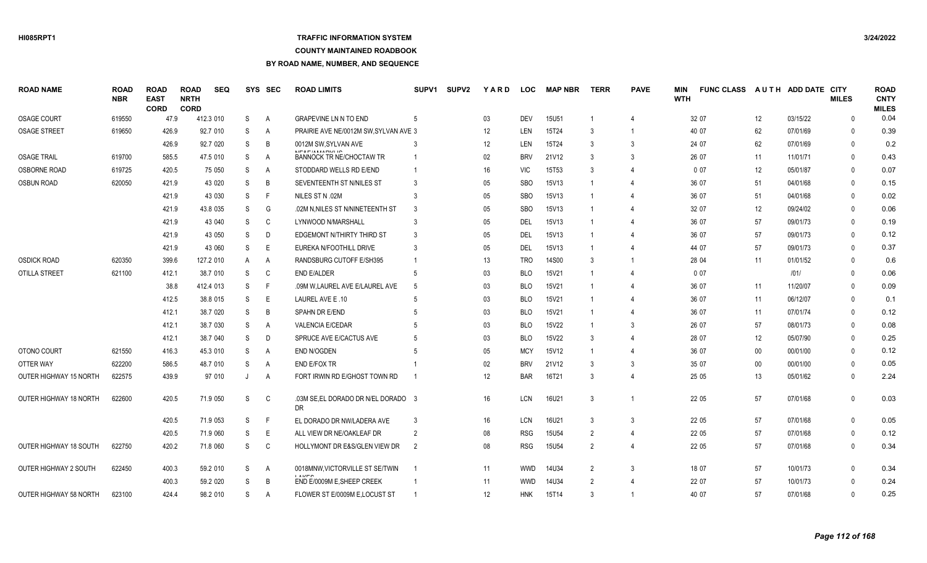## **TRAFFIC INFORMATION SYSTEM**

#### **COUNTY MAINTAINED ROADBOOK**

| <b>ROAD NAME</b>              | <b>ROAD</b><br><b>NBR</b> | <b>ROAD</b><br><b>EAST</b><br><b>CORD</b> | <b>ROAD</b><br><b>NRTH</b><br><b>CORD</b> | <b>SEQ</b> |   | SYS SEC      | <b>ROAD LIMITS</b>                               | SUPV1 | <b>SUPV2</b> | YARD              | <b>LOC</b> | <b>MAP NBR</b> | <b>TERR</b>    | <b>PAVE</b>              | MIN<br><b>WTH</b> | <b>FUNC CLASS</b> |        | AUTH ADD DATE CITY | <b>MILES</b> | <b>ROAD</b><br><b>CNTY</b><br><b>MILES</b> |
|-------------------------------|---------------------------|-------------------------------------------|-------------------------------------------|------------|---|--------------|--------------------------------------------------|-------|--------------|-------------------|------------|----------------|----------------|--------------------------|-------------------|-------------------|--------|--------------------|--------------|--------------------------------------------|
| <b>OSAGE COURT</b>            | 619550                    | 47.9                                      |                                           | 412.3 010  | S | $\mathsf{A}$ | <b>GRAPEVINE LN N TO END</b>                     | -5    |              | 03                | <b>DEV</b> | <b>15U51</b>   |                | $\boldsymbol{\Delta}$    |                   | 32 07             | 12     | 03/15/22           | $\Omega$     | 0.04                                       |
| <b>OSAGE STREET</b>           | 619650                    | 426.9                                     |                                           | 92.7 010   | S | A            | PRAIRIE AVE NE/0012M SW, SYLVAN AVE 3            |       |              | 12                | LEN        | 15T24          | -3             | -1                       |                   | 40 07             | 62     | 07/01/69           | 0            | 0.39                                       |
|                               |                           | 426.9                                     |                                           | 92.7 020   | S | B            | 0012M SW.SYLVAN AVE                              |       |              | 12                | LEN        | 15T24          | 3              | 3                        |                   | 24 07             | 62     | 07/01/69           | $\Omega$     | 0.2                                        |
| <b>OSAGE TRAIL</b>            | 619700                    | 585.5                                     |                                           | 47.5 010   | S | A            | NICOCIAMADVILO<br>BANNOCK TR NE/CHOCTAW TR       |       |              | 02                | <b>BRV</b> | 21V12          | 3              | 3                        |                   | 26 07             | 11     | 11/01/71           | $\Omega$     | 0.43                                       |
| <b>OSBORNE ROAD</b>           | 619725                    | 420.5                                     |                                           | 75 050     | S | $\mathsf{A}$ | STODDARD WELLS RD E/END                          |       |              | 16                | <b>VIC</b> | 15T53          | 3              |                          |                   | 007               | 12     | 05/01/87           | $\Omega$     | 0.07                                       |
| <b>OSBUN ROAD</b>             | 620050                    | 421.9                                     |                                           | 43 020     | S | B            | SEVENTEENTH ST N/NILES ST                        | 3     |              | 05                | <b>SBO</b> | 15V13          |                | 4                        |                   | 36 07             | 51     | 04/01/68           | $\Omega$     | 0.15                                       |
|                               |                           | 421.9                                     |                                           | 43 030     | S | F            | NILES ST N .02M                                  | 3     |              | 05                | <b>SBO</b> | 15V13          |                |                          |                   | 36 07             | 51     | 04/01/68           | $\Omega$     | 0.02                                       |
|                               |                           | 421.9                                     |                                           | 43.8 035   | S | G            | .02M N.NILES ST N/NINETEENTH ST                  | -3    |              | 05                | <b>SBO</b> | 15V13          |                | 4                        |                   | 32 07             | 12     | 09/24/02           | $\Omega$     | 0.06                                       |
|                               |                           | 421.9                                     |                                           | 43 040     | S | C            | LYNWOOD N/MARSHALL                               |       |              | 05                | DEL        | 15V13          | -1             |                          |                   | 36 07             | 57     | 09/01/73           | $\mathbf{0}$ | 0.19                                       |
|                               |                           | 421.9                                     |                                           | 43 050     | S | D            | EDGEMONT N/THIRTY THIRD ST                       | -3    |              | 05                | DEL        | 15V13          |                |                          |                   | 36 07             | 57     | 09/01/73           | 0            | 0.12                                       |
|                               |                           | 421.9                                     |                                           | 43 060     | S | Ε            | EUREKA N/FOOTHILL DRIVE                          | 3     |              | 05                | DEL        | 15V13          |                | 4                        |                   | 44 07             | 57     | 09/01/73           | 0            | 0.37                                       |
| <b>OSDICK ROAD</b>            | 620350                    | 399.6                                     |                                           | 127.2 010  | A | A            | RANDSBURG CUTOFF E/SH395                         |       |              | 13                | <b>TRO</b> | 14S00          | -3             | -1                       |                   | 28 04             | 11     | 01/01/52           | $\mathbf{0}$ | 0.6                                        |
| OTILLA STREET                 | 621100                    | 412.1                                     |                                           | 38.7 010   | S | C            | <b>END E/ALDER</b>                               | -5    |              | 03                | BLO        | 15V21          | -1             | 4                        |                   | 0 0 7             |        | 1011               | 0            | 0.06                                       |
|                               |                           | 38.8                                      |                                           | 412.4 013  | S | F            | .09M W, LAUREL AVE E/LAUREL AVE                  |       |              | 03                | <b>BLO</b> | 15V21          |                | 4                        |                   | 36 07             | 11     | 11/20/07           | $\Omega$     | 0.09                                       |
|                               |                           | 412.5                                     |                                           | 38.8 015   | S | E            | LAUREL AVE E.10                                  |       |              | 03                | <b>BLO</b> | 15V21          |                | Δ                        |                   | 36 07             | 11     | 06/12/07           | $\Omega$     | 0.1                                        |
|                               |                           | 412.1                                     |                                           | 38.7 020   | S | B            | SPAHN DR E/END                                   |       |              | 03                | <b>BLO</b> | 15V21          |                | $\boldsymbol{\varDelta}$ |                   | 36 07             | 11     | 07/01/74           | $\Omega$     | 0.12                                       |
|                               |                           | 412.1                                     |                                           | 38.7 030   | S | A            | <b>VALENCIA E/CEDAR</b>                          |       |              | 03                | <b>BLO</b> | 15V22          |                | 3                        |                   | 26 07             | 57     | 08/01/73           | $\Omega$     | 0.08                                       |
|                               |                           | 412.1                                     |                                           | 38.7 040   | S | D            | SPRUCE AVE E/CACTUS AVE                          |       |              | 03                | <b>BLO</b> | 15V22          | 3              | 4                        |                   | 28 07             | 12     | 05/07/90           | $\Omega$     | 0.25                                       |
| OTONO COURT                   | 621550                    | 416.3                                     |                                           | 45.3 010   | S | A            | <b>END N/OGDEN</b>                               |       |              | 05                | <b>MCY</b> | 15V12          | -1             | $\overline{4}$           |                   | 36 07             | 00     | 00/01/00           | $\Omega$     | 0.12                                       |
| OTTER WAY                     | 622200                    | 586.5                                     |                                           | 48.7 010   | S | A            | <b>END E/FOX TR</b>                              |       |              | 02                | <b>BRV</b> | 21V12          | 3              | 3                        |                   | 35 07             | $00\,$ | 00/01/00           | $\Omega$     | 0.05                                       |
| <b>OUTER HIGHWAY 15 NORTH</b> | 622575                    | 439.9                                     |                                           | 97 010     |   | A            | FORT IRWIN RD E/GHOST TOWN RD                    |       |              | 12                | <b>BAR</b> | 16T21          | -3             | 4                        |                   | 25 05             | 13     | 05/01/62           | <sup>0</sup> | 2.24                                       |
| <b>OUTER HIGHWAY 18 NORTH</b> | 622600                    | 420.5                                     |                                           | 71.9 050   | S | C            | .03M SE, EL DORADO DR N/EL DORADO 3<br><b>DR</b> |       |              | 16                | LCN        | 16U21          | 3              |                          |                   | 22 05             | 57     | 07/01/68           | $\Omega$     | 0.03                                       |
|                               |                           | 420.5                                     |                                           | 71.9 053   | S | F            | EL DORADO DR NW/LADERA AVE                       | -3    |              | 16                | LCN        | 16U21          | -3             | 3                        |                   | 22 05             | 57     | 07/01/68           | $\Omega$     | 0.05                                       |
|                               |                           | 420.5                                     |                                           | 71.9 060   | S | Е            | ALL VIEW DR NE/OAKLEAF DR                        |       |              | 08                | <b>RSG</b> | <b>15U54</b>   | 2              | $\overline{4}$           |                   | 22 05             | 57     | 07/01/68           | 0            | 0.12                                       |
| OUTER HIGHWAY 18 SOUTH        | 622750                    | 420.2                                     |                                           | 71.8 060   | S | C            | HOLLYMONT DR E&S/GLEN VIEW DR                    | 2     |              | 08                | <b>RSG</b> | 15U54          | $\overline{2}$ | 4                        |                   | 22 05             | 57     | 07/01/68           | $\Omega$     | 0.34                                       |
| <b>OUTER HIGHWAY 2 SOUTH</b>  | 622450                    | 400.3                                     |                                           | 59.2 010   | S | Α            | 0018MNW, VICTORVILLE ST SE/TWIN                  | - 1   |              | 11                | <b>WWD</b> | 14U34          | 2              | 3                        |                   | 18 07             | 57     | 10/01/73           | $\Omega$     | 0.34                                       |
|                               |                           | 400.3                                     |                                           | 59.2 020   | S | B            | I A I Z E Q<br>END E/0009M E, SHEEP CREEK        |       |              | 11                | <b>WWD</b> | 14U34          | 2              |                          |                   | 22 07             | 57     | 10/01/73           | 0            | 0.24                                       |
| OUTER HIGHWAY 58 NORTH        | 623100                    | 424.4                                     |                                           | 98.2 010   | S | A            | FLOWER ST E/0009M E, LOCUST ST                   |       |              | $12 \overline{ }$ | <b>HNK</b> | 15T14          |                | -1                       |                   | 40 07             | 57     | 07/01/68           | $\Omega$     | 0.25                                       |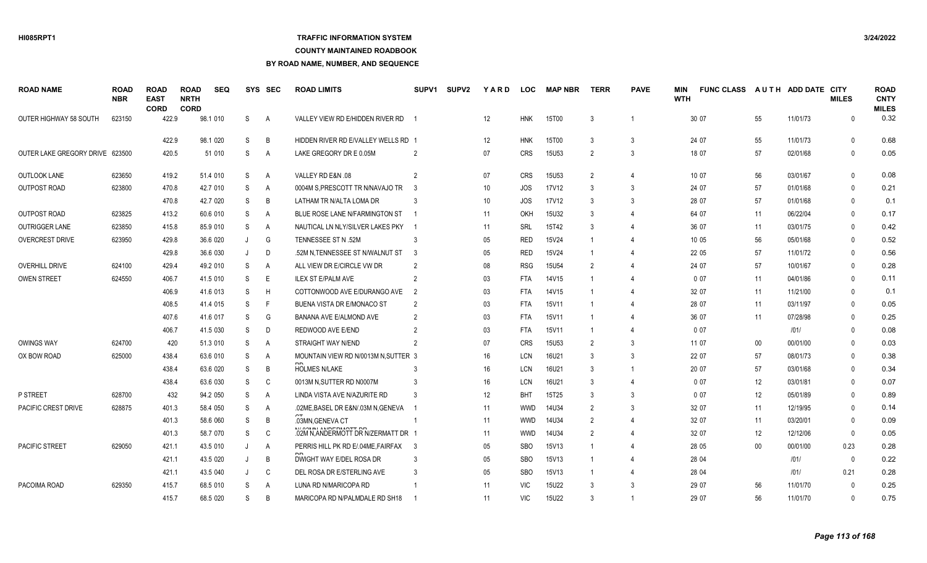## **TRAFFIC INFORMATION SYSTEM**

#### **COUNTY MAINTAINED ROADBOOK**

**BY ROAD NAME, NUMBER, AND SEQUENCE**

| <b>ROAD NAME</b>                | <b>ROAD</b><br><b>NBR</b> | <b>ROAD</b><br><b>EAST</b><br><b>CORD</b> | <b>ROAD</b><br><b>NRTH</b><br><b>CORD</b> | <b>SEQ</b> | SYS | <b>SEC</b> | <b>ROAD LIMITS</b>                                  | SUPV <sub>1</sub> | <b>SUPV2</b> | YARD            | <b>LOC</b> | <b>MAP NBR</b>    | <b>TERR</b>   | <b>PAVE</b>           | MIN<br><b>WTH</b> | <b>FUNC CLASS</b> |        | AUTH ADD DATE CITY | <b>MILES</b> | <b>ROAD</b><br><b>CNTY</b><br><b>MILES</b> |
|---------------------------------|---------------------------|-------------------------------------------|-------------------------------------------|------------|-----|------------|-----------------------------------------------------|-------------------|--------------|-----------------|------------|-------------------|---------------|-----------------------|-------------------|-------------------|--------|--------------------|--------------|--------------------------------------------|
| OUTER HIGHWAY 58 SOUTH          | 623150                    | 422.9                                     |                                           | 98.1 010   | S   | A          | VALLEY VIEW RD E/HIDDEN RIVER RD                    |                   |              | 12              | <b>HNK</b> | 15T00             | 3             |                       |                   | 30 07             | 55     | 11/01/73           | $\Omega$     | 0.32                                       |
|                                 |                           | 422.9                                     |                                           | 98.1 020   | S   | B          | HIDDEN RIVER RD E/VALLEY WELLS RD 1                 |                   |              | 12              | <b>HNK</b> | 15T00             | 3             | 3                     |                   | 24 07             | 55     | 11/01/73           | $\Omega$     | 0.68                                       |
| OUTER LAKE GREGORY DRIVE 623500 |                           | 420.5                                     |                                           | 51 010     | S   | A          | LAKE GREGORY DR E 0.05M                             |                   |              | 07              | <b>CRS</b> | 15U <sub>53</sub> | $\mathcal{P}$ | 3                     |                   | 18 07             | 57     | 02/01/68           | $\Omega$     | 0.05                                       |
| <b>OUTLOOK LANE</b>             | 623650                    | 419.2                                     |                                           | 51.4 010   | S   | Α          | VALLEY RD E&N .08                                   |                   |              | 07              | <b>CRS</b> | 15U <sub>53</sub> | $\mathcal{P}$ | $\overline{4}$        |                   | 10 07             | 56     | 03/01/67           | $\Omega$     | 0.08                                       |
| <b>OUTPOST ROAD</b>             | 623800                    | 470.8                                     |                                           | 42.7 010   | S   | A          | 0004M S, PRESCOTT TR N/NAVAJO TR                    | -3                |              | 10 <sup>°</sup> | <b>JOS</b> | 17V12             |               | 3                     |                   | 24 07             | 57     | 01/01/68           | $\Omega$     | 0.21                                       |
|                                 |                           | 470.8                                     |                                           | 42.7 020   | S   | B          | LATHAM TR N/ALTA LOMA DR                            |                   |              | 10              | <b>JOS</b> | 17V12             |               | 3                     |                   | 28 07             | 57     | 01/01/68           | $\Omega$     | 0.1                                        |
| <b>OUTPOST ROAD</b>             | 623825                    | 413.2                                     |                                           | 60.6 010   | S   | Α          | BLUE ROSE LANE N/FARMINGTON ST                      |                   |              | 11              | <b>OKH</b> | 15U32             |               |                       |                   | 64 07             | 11     | 06/22/04           | $\mathbf{0}$ | 0.17                                       |
| <b>OUTRIGGER LANE</b>           | 623850                    | 415.8                                     |                                           | 85.9 010   | S   | Α          | NAUTICAL LN NLY/SILVER LAKES PKY                    |                   |              | 11              | <b>SRL</b> | 15T42             | $\mathbf{3}$  |                       |                   | 36 07             | 11     | 03/01/75           | $\Omega$     | 0.42                                       |
| <b>OVERCREST DRIVE</b>          | 623950                    | 429.8                                     |                                           | 36.6 020   | J   | G          | TENNESSEE ST N .52M                                 |                   |              | 05              | <b>RED</b> | 15V24             |               |                       |                   | 10 05             | 56     | 05/01/68           | $\Omega$     | 0.52                                       |
|                                 |                           | 429.8                                     |                                           | 36.6 030   | J   | D          | .52M N.TENNESSEE ST N/WALNUT ST                     | -3                |              | 05              | <b>RED</b> | 15V24             |               |                       |                   | 22 05             | 57     | 11/01/72           | $\mathbf{0}$ | 0.56                                       |
| <b>OVERHILL DRIVE</b>           | 624100                    | 429.4                                     |                                           | 49.2 010   | S   | Α          | ALL VIEW DR E/CIRCLE VW DR                          |                   |              | 08              | <b>RSG</b> | <b>15U54</b>      | $\mathcal{P}$ |                       |                   | 24 07             | 57     | 10/01/67           | $\Omega$     | 0.28                                       |
| <b>OWEN STREET</b>              | 624550                    | 406.7                                     |                                           | 41.5 010   | S   | E          | <b>ILEX ST E/PALM AVE</b>                           | 2                 |              | 03              | <b>FTA</b> | 14V15             |               | 4                     |                   | 007               | 11     | 04/01/86           | $\Omega$     | 0.11                                       |
|                                 |                           | 406.9                                     |                                           | 41.6 013   | S   | H          | COTTONWOOD AVE E/DURANGO AVE                        | 2                 |              | 03              | <b>FTA</b> | 14V15             |               |                       |                   | 32 07             | 11     | 11/21/00           | $\Omega$     | 0.1                                        |
|                                 |                           | 408.5                                     |                                           | 41.4 015   | S   | F          | <b>BUENA VISTA DR E/MONACO ST</b>                   | $\overline{2}$    |              | 03              | <b>FTA</b> | 15V11             |               |                       |                   | 28 07             | 11     | 03/11/97           | $\Omega$     | 0.05                                       |
|                                 |                           | 407.6                                     |                                           | 41.6 017   | S   | G          | BANANA AVE E/ALMOND AVE                             |                   |              | 03              | <b>FTA</b> | 15V11             |               |                       |                   | 36 07             | 11     | 07/28/98           | $\Omega$     | 0.25                                       |
|                                 |                           | 406.7                                     |                                           | 41.5 030   | S   | D          | REDWOOD AVE E/END                                   |                   |              | 03              | <b>FTA</b> | 15V11             |               | $\boldsymbol{\Delta}$ |                   | 007               |        | 1011               | $\Omega$     | 0.08                                       |
| <b>OWINGS WAY</b>               | 624700                    |                                           | 420                                       | 51.3 010   | S   | Α          | STRAIGHT WAY N/END                                  |                   |              | 07              | <b>CRS</b> | 15U <sub>53</sub> | -2            | 3                     |                   | 11 07             | $00\,$ | 00/01/00           | $\mathbf{0}$ | 0.03                                       |
| OX BOW ROAD                     | 625000                    | 438.4                                     |                                           | 63.6 010   | S   | A          | MOUNTAIN VIEW RD N/0013M N, SUTTER 3                |                   |              | 16              | <b>LCN</b> | 16U21             |               | 3                     |                   | 22 07             | 57     | 08/01/73           | $\Omega$     | 0.38                                       |
|                                 |                           | 438.4                                     |                                           | 63.6 020   | S   | B          | <b>HOLMES N/LAKE</b>                                |                   |              | 16              | <b>LCN</b> | 16U21             | 3             | $\overline{1}$        |                   | 20 07             | 57     | 03/01/68           | $\Omega$     | 0.34                                       |
|                                 |                           | 438.4                                     |                                           | 63.6 030   | S   | C          | 0013M N, SUTTER RD N0007M                           |                   |              | 16              | LCN        | 16U21             | 3             | 4                     |                   | 007               | 12     | 03/01/81           | $\mathbf{0}$ | 0.07                                       |
| P STREET                        | 628700                    |                                           | 432                                       | 94.2 050   | S   | A          | LINDA VISTA AVE N/AZURITE RD                        |                   |              | 12              | <b>BHT</b> | 15T25             |               | 3                     |                   | 007               | 12     | 05/01/89           | $\Omega$     | 0.89                                       |
| <b>PACIFIC CREST DRIVE</b>      | 628875                    | 401.3                                     |                                           | 58.4 050   | S   | A          | .02ME, BASEL DR E&N/.03M N, GENEVA                  |                   |              | 11              | <b>WWD</b> | 14U34             | $\mathcal{P}$ | 3                     |                   | 32 07             | 11     | 12/19/95           | $\Omega$     | 0.14                                       |
|                                 |                           | 401.3                                     |                                           | 58.6 060   | S   | B          | .03MN, GENEVA CT<br><b>MILOOLINE ANIDEDIACTE DD</b> |                   |              | 11              | <b>WWD</b> | 14U34             | $\mathcal{P}$ | $\overline{4}$        |                   | 32 07             | 11     | 03/20/01           | $\mathbf{0}$ | 0.09                                       |
|                                 |                           | 401.3                                     |                                           | 58.7 070   | S   | C          | .02M N, ANDERMOTT DR N/ZERMATT DR                   |                   |              | 11              | <b>WWD</b> | 14U34             |               | 4                     |                   | 32 07             | 12     | 12/12/06           | $\mathbf{0}$ | 0.05                                       |
| <b>PACIFIC STREET</b>           | 629050                    | 421.1                                     |                                           | 43.5 010   | J   | A          | PERRIS HILL PK RD E/.04ME.FAIRFAX 3                 |                   |              | $05\,$          | <b>SBO</b> | <b>15V13</b>      |               | 4                     |                   | 28 05             | $00\,$ | 00/01/00           | 0.23         | 0.28                                       |
|                                 |                           | 421.1                                     |                                           | 43.5 020   | J   | B          | DWIGHT WAY E/DEL ROSA DR                            |                   |              | 05              | <b>SBO</b> | 15V13             |               |                       |                   | 28 04             |        | 1011               | $\mathbf{0}$ | 0.22                                       |
|                                 |                           | 421.1                                     |                                           | 43.5 040   | J   | C          | DEL ROSA DR E/STERLING AVE                          | -3                |              | 05              | <b>SBO</b> | 15V13             |               | 4                     |                   | 28 04             |        | 1011               | 0.21         | 0.28                                       |
| PACOIMA ROAD                    | 629350                    | 415.7                                     |                                           | 68.5 010   | S   | A          | LUNA RD N/MARICOPA RD                               |                   |              | 11              | <b>VIC</b> | 15U22             |               | 3                     |                   | 29 07             | 56     | 11/01/70           | $\Omega$     | 0.25                                       |
|                                 |                           | 415.7                                     |                                           | 68.5 020   | S.  | <b>B</b>   | MARICOPA RD N/PALMDALE RD SH18                      |                   |              | 11              | <b>VIC</b> | 15U22             |               |                       |                   | 29 07             | 56     | 11/01/70           | $\Omega$     | 0.75                                       |

3/24/2022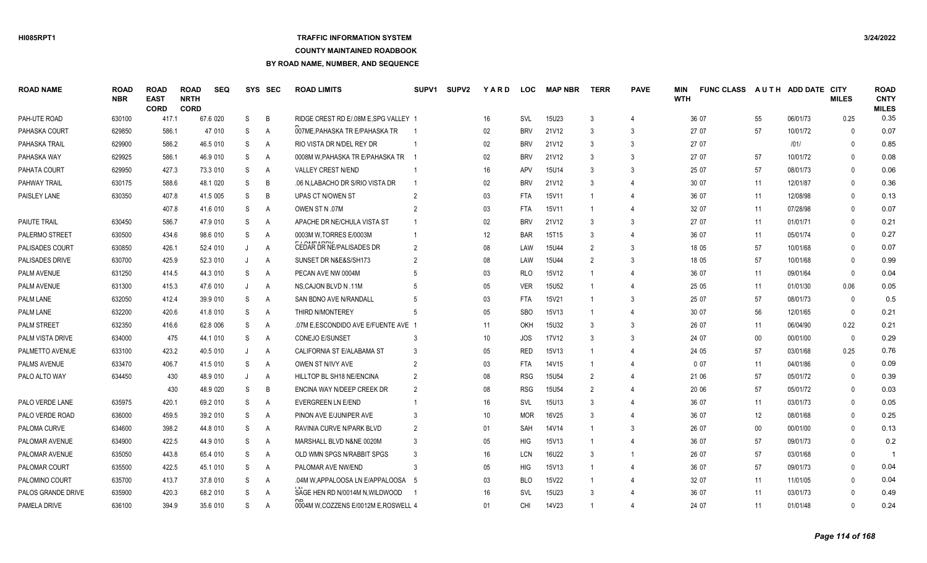## **TRAFFIC INFORMATION SYSTEM**

#### **COUNTY MAINTAINED ROADBOOK**

| <b>ROAD NAME</b>     | <b>ROAD</b><br><b>NBR</b> | <b>ROAD</b><br><b>EAST</b><br><b>CORD</b> | <b>ROAD</b><br><b>NRTH</b><br><b>CORD</b> | <b>SEQ</b> |    | SYS SEC        | <b>ROAD LIMITS</b>                           | SUPV <sub>1</sub> | <b>SUPV2</b> | YARD   | <b>LOC</b> | <b>MAP NBR</b> | <b>TERR</b>   | <b>PAVE</b>                 | MIN<br><b>WTH</b> | <b>FUNC CLASS</b> |        | AUTH ADD DATE CITY | <b>MILES</b> | <b>ROAD</b><br><b>CNTY</b><br><b>MILES</b> |
|----------------------|---------------------------|-------------------------------------------|-------------------------------------------|------------|----|----------------|----------------------------------------------|-------------------|--------------|--------|------------|----------------|---------------|-----------------------------|-------------------|-------------------|--------|--------------------|--------------|--------------------------------------------|
| PAH-UTE ROAD         | 630100                    | 417.1                                     |                                           | 67.6 020   | S  | B              | RIDGE CREST RD E/.08M E.SPG VALLEY 1         |                   |              | 16     | SVL        | 15U23          | 3             | $\overline{4}$              |                   | 36 07             | 55     | 06/01/73           | 0.25         | 0.35                                       |
| PAHASKA COURT        | 629850                    | 586.1                                     |                                           | 47 010     | S  | A              | 007ME, PAHASKA TR E/PAHASKA TR               |                   |              | $02\,$ | <b>BRV</b> | 21V12          | 3             | 3                           |                   | 27 07             | 57     | 10/01/72           | $\Omega$     | 0.07                                       |
| PAHASKA TRAIL        | 629900                    | 586.2                                     |                                           | 46.5 010   | S  | A              | RIO VISTA DR N/DEL REY DR                    |                   |              | 02     | <b>BRV</b> | 21V12          | 3             | 3                           |                   | 27 07             |        | 1011               | $\Omega$     | 0.85                                       |
| PAHASKA WAY          | 629925                    | 586.1                                     |                                           | 46.9 010   | S  | A              | 0008M W.PAHASKA TR E/PAHASKA TR              |                   |              | $02\,$ | <b>BRV</b> | 21V12          |               | 3                           |                   | 27 07             | 57     | 10/01/72           | $\Omega$     | 0.08                                       |
| PAHATA COURT         | 629950                    | 427.3                                     |                                           | 73.3 010   | S  | A              | <b>VALLEY CREST N/END</b>                    |                   |              | 16     | <b>APV</b> | 15U14          | $\mathbf{3}$  | 3                           |                   | 25 07             | 57     | 08/01/73           | $\Omega$     | 0.06                                       |
| PAHWAY TRAIL         | 630175                    | 588.6                                     |                                           | 48.1 020   | S  | B              | .06 N, LABACHO DR S/RIO VISTA DR             |                   |              | $02\,$ | <b>BRV</b> | 21V12          | $\mathbf{3}$  |                             |                   | 30 07             | 11     | 12/01/87           | $\mathbf{0}$ | 0.36                                       |
| PAISLEY LANE         | 630350                    | 407.8                                     |                                           | 41.5 005   | S  | B              | UPAS CT N/OWEN ST                            |                   |              | 03     | <b>FTA</b> | 15V11          |               | 4                           |                   | 36 07             | 11     | 12/08/98           | $\Omega$     | 0.13                                       |
|                      |                           | 407.8                                     |                                           | 41.6 010   | S  | A              | OWEN ST N .07M                               |                   |              | 03     | <b>FTA</b> | 15V11          |               | $\overline{4}$              |                   | 32 07             | 11     | 07/28/98           | $\Omega$     | 0.07                                       |
| PAIUTE TRAIL         | 630450                    | 586.7                                     |                                           | 47.9 010   | S  | A              | APACHE DR NE/CHULA VISTA ST                  |                   |              | $02\,$ | <b>BRV</b> | 21V12          | -3            | 3                           |                   | 27 07             | 11     | 01/01/71           | $\Omega$     | 0.21                                       |
| PALERMO STREET       | 630500                    | 434.6                                     |                                           | 98.6 010   | S  | A              | 0003M W, TORRES E/0003M                      |                   |              | 12     | <b>BAR</b> | 15T15          | 3             | $\overline{4}$              |                   | 36 07             | 11     | 05/01/74           | $\mathbf{0}$ | 0.27                                       |
| PALISADES COURT      | 630850                    | 426.1                                     |                                           | 52.4 010   |    | A              | <b>ELOMBADOM</b><br>CEDAR DR NE/PALISADES DR | 2                 |              | 08     | LAW        | 15U44          |               | 3                           |                   | 18 05             | 57     | 10/01/68           | $\Omega$     | 0.07                                       |
| PALISADES DRIVE      | 630700                    | 425.9                                     |                                           | 52.3 010   | J  | Α              | SUNSET DR N&E&S/SH173                        |                   |              | 08     | LAW        | 15U44          | 2             | 3                           |                   | 18 05             | 57     | 10/01/68           | $\mathbf{0}$ | 0.99                                       |
| PALM AVENUE          | 631250                    | 414.5                                     |                                           | 44.3 010   | S  | $\overline{A}$ | PECAN AVE NW 0004M                           |                   |              | 03     | <b>RLO</b> | 15V12          |               | $\overline{4}$              |                   | 36 07             | 11     | 09/01/64           | $\mathbf{0}$ | 0.04                                       |
| <b>PALM AVENUE</b>   | 631300                    | 415.3                                     |                                           | 47.6 010   |    | $\overline{A}$ | NS, CAJON BLVD N .11M                        |                   |              | 05     | <b>VER</b> | 15U52          |               |                             |                   | 25 05             | 11     | 01/01/30           | 0.06         | 0.05                                       |
| PALM LANE            | 632050                    | 412.4                                     |                                           | 39.9 010   | S  | Α              | SAN BDNO AVE N/RANDALL                       |                   |              | 03     | <b>FTA</b> | 15V21          |               | 3                           |                   | 25 07             | 57     | 08/01/73           | $\mathbf{0}$ | 0.5                                        |
| PALM LANE            | 632200                    | 420.6                                     |                                           | 41.8 010   | S  | $\overline{A}$ | THIRD N/MONTEREY                             |                   |              | 05     | <b>SBO</b> | 15V13          |               | $\overline{4}$              |                   | 30 07             | 56     | 12/01/65           | $\mathbf{0}$ | 0.21                                       |
| PALM STREET          | 632350                    | 416.6                                     |                                           | 62.8 006   | S  | A              | .07M E,ESCONDIDO AVE E/FUENTE AVE 1          |                   |              | 11     | OKH        | 15U32          | 3             | 3                           |                   | 26 07             | 11     | 06/04/90           | 0.22         | 0.21                                       |
| PALM VISTA DRIVE     | 634000                    | 475                                       |                                           | 44.1 010   | S  | $\overline{A}$ | CONEJO E/SUNSET                              |                   |              | 10     | JOS        | 17V12          | 3             | 3                           |                   | 24 07             | $00\,$ | 00/01/00           | $\mathbf{0}$ | 0.29                                       |
| PALMETTO AVENUE      | 633100                    | 423.2                                     |                                           | 40.5 010   | J  | A              | CALIFORNIA ST E/ALABAMA ST                   |                   |              | 05     | <b>RED</b> | 15V13          |               | $\overline{4}$              |                   | 24 05             | 57     | 03/01/68           | 0.25         | 0.76                                       |
| PALMS AVENUE         | 633470                    | 406.7                                     |                                           | 41.5 010   | S  | Α              | OWEN ST N/IVY AVE                            |                   |              | 03     | <b>FTA</b> | 14V15          |               | $\overline{4}$              |                   | 0 0 7             | 11     | 04/01/86           | $\mathbf{0}$ | 0.09                                       |
| PALO ALTO WAY        | 634450                    | 430                                       |                                           | 48.9 010   |    | $\overline{A}$ | HILLTOP BL SH18 NE/ENCINA                    | $\mathcal{P}$     |              | 08     | <b>RSG</b> | 15U54          | 2             |                             |                   | 21 06             | 57     | 05/01/72           | $\mathbf{0}$ | 0.39                                       |
|                      |                           | 430                                       |                                           | 48.9 020   | S  | B              | ENCINA WAY N/DEEP CREEK DR                   |                   |              | 08     | <b>RSG</b> | <b>15U54</b>   | $\mathcal{P}$ |                             |                   | 20 06             | 57     | 05/01/72           | $\mathbf{0}$ | 0.03                                       |
| PALO VERDE LANE      | 635975                    | 420.1                                     |                                           | 69.2 010   | S  | A              | <b>EVERGREEN LN E/END</b>                    |                   |              | 16     | SVL        | 15U13          | -3            | $\boldsymbol{\varDelta}$    |                   | 36 07             | 11     | 03/01/73           | $\mathbf{0}$ | 0.05                                       |
| PALO VERDE ROAD      | 636000                    | 459.5                                     |                                           | 39.2 010   | S  | $\overline{A}$ | PINON AVE E/JUNIPER AVE                      |                   |              | 10     | <b>MOR</b> | 16V25          | $\mathcal{R}$ | $\boldsymbol{\vartriangle}$ |                   | 36 07             | 12     | 08/01/68           | $\Omega$     | 0.25                                       |
| PALOMA CURVE         | 634600                    | 398.2                                     |                                           | 44.8 010   | S  | $\overline{A}$ | RAVINIA CURVE N/PARK BLVD                    | $\mathcal{P}$     |              | 01     | <b>SAH</b> | 14V14          |               | 3                           |                   | 26 07             | $00\,$ | 00/01/00           | $\Omega$     | 0.13                                       |
| PALOMAR AVENUE       | 634900                    | 422.5                                     |                                           | 44.9 010   | S  | A              | MARSHALL BLVD N&NE 0020M                     |                   |              | 05     | <b>HIG</b> | 15V13          |               | $\overline{4}$              |                   | 36 07             | 57     | 09/01/73           | $\Omega$     | 0.2                                        |
| PALOMAR AVENUE       | 635050                    | 443.8                                     |                                           | 65.4 010   | S  | A              | OLD WMN SPGS N/RABBIT SPGS                   |                   |              | 16     | <b>LCN</b> | 16U22          | 3             |                             |                   | 26 07             | 57     | 03/01/68           | $\Omega$     | -1                                         |
| <b>PALOMAR COURT</b> | 635500                    | 422.5                                     |                                           | 45.1 010   | S  | A              | PALOMAR AVE NW/END                           |                   |              | 05     | <b>HIG</b> | 15V13          |               |                             |                   | 36 07             | 57     | 09/01/73           | $\Omega$     | 0.04                                       |
| PALOMINO COURT       | 635700                    | 413.7                                     |                                           | 37.8 010   | S  | A              | .04M W.APPALOOSA LN E/APPALOOSA 5            |                   |              | 03     | <b>BLO</b> | 15V22          |               | $\overline{4}$              |                   | 32 07             | 11     | 11/01/05           | $\Omega$     | 0.04                                       |
| PALOS GRANDE DRIVE   | 635900                    | 420.3                                     |                                           | 68.2 010   | S  | A              | SAGE HEN RD N/0014M N.WILDWOOD               |                   |              | 16     | SVL        | 15U23          |               |                             |                   | 36 07             | 11     | 03/01/73           | $\Omega$     | 0.49                                       |
| PAMELA DRIVE         | 636100                    | 394.9                                     |                                           | 35.6 010   | S. | A              | 0004M W.COZZENS E/0012M E.ROSWELL 4          |                   |              | 01     | CHI        | 14V23          |               | Δ                           |                   | 24 07             | 11     | 01/01/48           | $\Omega$     | 0.24                                       |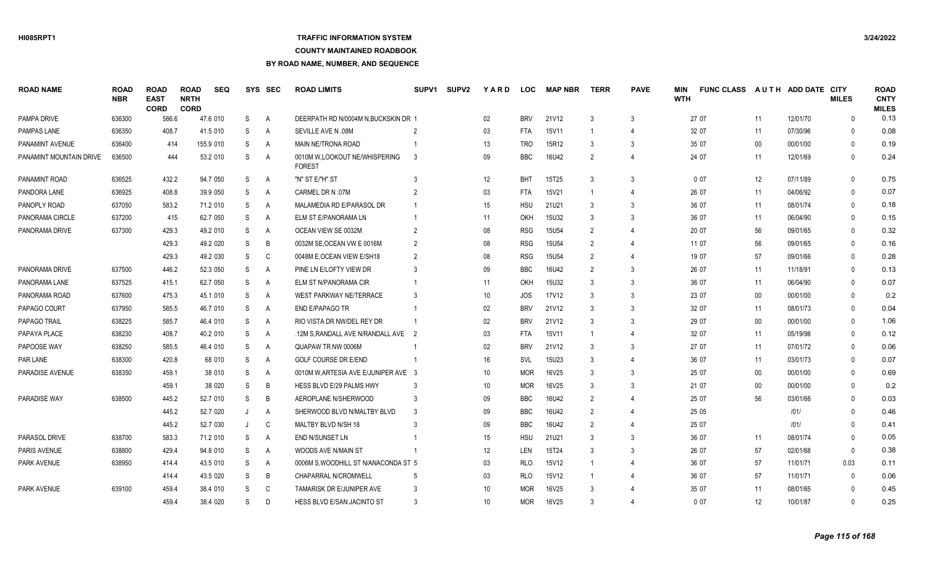## **TRAFFIC INFORMATION SYSTEM**

**COUNTY MAINTAINED ROADBOOK**

| <b>ROAD NAME</b>        | <b>ROAD</b><br><b>NBR</b> | <b>ROAD</b><br><b>EAST</b><br><b>CORD</b> | <b>ROAD</b><br><b>NRTH</b><br><b>CORD</b> | <b>SEQ</b> |   | SYS SEC        | <b>ROAD LIMITS</b>                             | <b>SUPV1</b>  | <b>SUPV2</b> | YARD            | <b>LOC</b> | <b>MAP NBR</b>    | <b>TERR</b>    | <b>PAVE</b>                 | MIN<br><b>WTH</b> | <b>FUNC CLASS</b> |        | AUTH ADD DATE CITY | <b>MILES</b> | <b>ROAD</b><br><b>CNTY</b><br><b>MILES</b> |
|-------------------------|---------------------------|-------------------------------------------|-------------------------------------------|------------|---|----------------|------------------------------------------------|---------------|--------------|-----------------|------------|-------------------|----------------|-----------------------------|-------------------|-------------------|--------|--------------------|--------------|--------------------------------------------|
| PAMPA DRIVE             | 636300                    | 586.6                                     |                                           | 47.6 010   | S | $\overline{A}$ | DEERPATH RD N/0004M N.BUCKSKIN DR 1            |               |              | 02 <sub>2</sub> | <b>BRV</b> | 21V12             | $\mathcal{R}$  | 3                           |                   | 27 07             | 11     | 12/01/70           | $\Omega$     | 0.13                                       |
| <b>PAMPAS LANE</b>      | 636350                    | 408.7                                     |                                           | 41.5 010   | S | A              | SEVILLE AVE N .08M                             |               |              | 03              | <b>FTA</b> | 15V11             |                | $\overline{4}$              |                   | 32 07             | 11     | 07/30/96           | $\Omega$     | 0.08                                       |
| PANAMINT AVENUE         | 636400                    | 414                                       |                                           | 155.9 010  | S | Α              | MAIN NE/TRONA ROAD                             |               |              | 13              | <b>TRO</b> | 15R12             | 3              | 3                           |                   | 35 07             | $00\,$ | 00/01/00           | $\Omega$     | 0.19                                       |
| PANAMINT MOUNTAIN DRIVE | 636500                    | 444                                       |                                           | 53.2 010   | S | A              | 0010M W.LOOKOUT NE/WHISPERING<br><b>FOREST</b> | -3            |              | 09              | <b>BBC</b> | 16U42             | $\overline{2}$ | $\overline{4}$              |                   | 24 07             | 11     | 12/01/69           | $\Omega$     | 0.24                                       |
| PANAMINT ROAD           | 636525                    | 432.2                                     |                                           | 94.7 050   | S | A              | "N" ST E/"H" ST                                |               |              | 12              | <b>BHT</b> | 15T25             | $\mathbf{3}$   | 3                           |                   | 007               | 12     | 07/11/89           | $\Omega$     | 0.75                                       |
| PANDORA LANE            | 636925                    | 408.8                                     |                                           | 39.9 050   | S | A              | CARMEL DR N .07M                               |               |              | 03              | <b>FTA</b> | 15V21             |                | $\overline{4}$              |                   | 26 07             | 11     | 04/06/92           | $\Omega$     | 0.07                                       |
| PANOPLY ROAD            | 637050                    | 583.2                                     |                                           | 71.2 010   | S | A              | MALAMEDIA RD E/PARASOL DR                      |               |              | 15              | <b>HSU</b> | 21U21             | 3              | 3                           |                   | 36 07             | 11     | 08/01/74           | $\Omega$     | 0.18                                       |
| PANORAMA CIRCLE         | 637200                    | 415                                       |                                           | 62.7 050   | S | A              | ELM ST E/PANORAMA LN                           |               |              | 11              | OKH        | 15U32             | 3              | 3                           |                   | 36 07             | 11     | 06/04/90           | $\Omega$     | 0.15                                       |
| PANORAMA DRIVE          | 637300                    | 429.3                                     |                                           | 49.2 010   | S | Α              | OCEAN VIEW SE 0032M                            | $\mathcal{P}$ |              | 08              | <b>RSG</b> | <b>15U54</b>      | $\overline{2}$ | $\overline{4}$              |                   | 20 07             | 56     | 09/01/65           | $\mathbf{0}$ | 0.32                                       |
|                         |                           | 429.3                                     |                                           | 49.2 020   | S | B              | 0032M SE OCEAN VW E 0016M                      |               |              | 08              | <b>RSG</b> | <b>15U54</b>      | $\mathfrak{p}$ | $\overline{4}$              |                   | 11 07             | 56     | 09/01/65           | $\Omega$     | 0.16                                       |
|                         |                           | 429.3                                     |                                           | 49.2 030   | S | C              | 0048M E.OCEAN VIEW E/SH18                      | $\mathcal{P}$ |              | 08              | <b>RSG</b> | 15U <sub>54</sub> | $\mathcal{P}$  | $\overline{4}$              |                   | 19 07             | 57     | 09/01/66           | $\Omega$     | 0.28                                       |
| PANORAMA DRIVE          | 637500                    | 446.2                                     |                                           | 52.3 050   | S | A              | PINE LN E/LOFTY VIEW DR                        |               |              | 09              | <b>BBC</b> | 16U42             |                | 3                           |                   | 26 07             | 11     | 11/18/91           | $\mathbf{0}$ | 0.13                                       |
| PANORAMA LANE           | 637525                    | 415.1                                     |                                           | 62.7 050   | S | A              | ELM ST N/PANORAMA CIR                          |               |              | 11              | OKH        | 15U32             |                | 3                           |                   | 36 07             | 11     | 06/04/90           | $\Omega$     | 0.07                                       |
| PANORAMA ROAD           | 637600                    | 475.3                                     |                                           | 45.1 010   | S | $\overline{A}$ | WEST PARKWAY NE/TERRACE                        |               |              | 10              | <b>JOS</b> | 17V12             | $\mathcal{R}$  | 3                           |                   | 23 07             | $00\,$ | 00/01/00           | $\Omega$     | 0.2                                        |
| PAPAGO COURT            | 637950                    | 585.5                                     |                                           | 46.7 010   | S | A              | <b>END E/PAPAGO TR</b>                         |               |              | 02              | <b>BRV</b> | 21V12             |                | 3                           |                   | 32 07             | 11     | 08/01/73           | $\Omega$     | 0.04                                       |
| PAPAGO TRAIL            | 638225                    | 585.7                                     |                                           | 46.4 010   | S | Α              | RIO VISTA DR NW/DEL REY DR                     |               |              | 02              | <b>BRV</b> | 21V12             | $\mathbf{3}$   | 3                           |                   | 29 07             | $00\,$ | 00/01/00           | $\Omega$     | 1.06                                       |
| PAPAYA PLACE            | 638230                    | 408.7                                     |                                           | 40.2 010   | S | $\overline{A}$ | .12M S, RANDALL AVE N/RANDALL AVE 2            |               |              | 03              | <b>FTA</b> | 15V11             |                | $\overline{4}$              |                   | 32 07             | 11     | 05/19/98           | $\Omega$     | 0.12                                       |
| PAPOOSE WAY             | 638250                    | 585.5                                     |                                           | 46.4 010   | S | $\overline{A}$ | QUAPAW TR NW 0006M                             |               |              | $02\,$          | <b>BRV</b> | 21V12             | 3              | 3                           |                   | 27 07             | 11     | 07/01/72           | $\Omega$     | 0.06                                       |
| PAR LANE                | 638300                    | 420.8                                     |                                           | 68 010     | S | Α              | <b>GOLF COURSE DR E/END</b>                    |               |              | 16              | SVL        | 15U23             | 3              | $\overline{4}$              |                   | 36 07             | 11     | 03/01/73           | $\mathbf{0}$ | 0.07                                       |
| PARADISE AVENUE         | 638350                    | 459.1                                     |                                           | 38 010     | S | A              | 0010M W.ARTESIA AVE E/JUNIPER AVE 3            |               |              | 10              | <b>MOR</b> | 16V25             | $\mathcal{R}$  | 3                           |                   | 25 07             | 00     | 00/01/00           | $\Omega$     | 0.69                                       |
|                         |                           | 459.1                                     |                                           | 38 020     | S | B              | HESS BLVD E/29 PALMS HWY                       |               |              | 10              | <b>MOR</b> | 16V25             | $\mathcal{R}$  | 3                           |                   | 21 07             | 00     | 00/01/00           | $\Omega$     | 0.2                                        |
| PARADISE WAY            | 638500                    | 445.2                                     |                                           | 52.7 010   | S | B              | AEROPLANE N/SHERWOOD                           |               |              | 09              | <b>BBC</b> | 16U42             | $\mathfrak{p}$ | $\overline{4}$              |                   | 25 07             | 56     | 03/01/66           | $\Omega$     | 0.03                                       |
|                         |                           | 445.2                                     |                                           | 52.7 020   | J | A              | SHERWOOD BLVD N/MALTBY BLVD                    |               |              | 09              | <b>BBC</b> | 16U42             | $\overline{2}$ | $\boldsymbol{\vartriangle}$ |                   | 25 05             |        | 1011               | $\Omega$     | 0.46                                       |
|                         |                           | 445.2                                     |                                           | 52.7 030   |   | C              | MALTBY BLVD N/SH 18                            |               |              | 09              | <b>BBC</b> | 16U42             | $\mathcal{P}$  | $\overline{4}$              |                   | 25 07             |        | 1011               | $\Omega$     | 0.41                                       |
| PARASOL DRIVE           | 638700                    | 583.3                                     |                                           | 71.2 010   | S | A              | END N/SUNSET LN                                |               |              | 15              | <b>HSU</b> | 21U21             |                | 3                           |                   | 36 07             | 11     | 08/01/74           | $\mathbf{0}$ | 0.05                                       |
| PARIS AVENUE            | 638800                    | 429.4                                     |                                           | 94.8 010   | S | Α              | WOODS AVE N/MAIN ST                            |               |              | 12              | LEN        | 15T24             |                | 3                           |                   | 26 07             | 57     | 02/01/68           | $\mathbf{0}$ | 0.38                                       |
| <b>PARK AVENUE</b>      | 638950                    | 414.4                                     |                                           | 43.5 010   | S | Α              | 0006M S, WOODHILL ST N/ANACONDA ST 5           |               |              | 03              | <b>RLO</b> | 15V12             |                | $\overline{4}$              |                   | 36 07             | 57     | 11/01/71           | 0.03         | 0.11                                       |
|                         |                           | 414.4                                     |                                           | 43.5 020   | S | B              | CHAPARRAL N/CROMWELL                           | -5            |              | 03              | <b>RLO</b> | 15V12             |                | $\overline{4}$              |                   | 36 07             | 57     | 11/01/71           | $\Omega$     | 0.06                                       |
| <b>PARK AVENUE</b>      | 639100                    | 459.4                                     |                                           | 38.4 010   | S | C              | TAMARISK DR E/JUNIPER AVE                      |               |              | 10              | <b>MOR</b> | 16V25             |                |                             |                   | 35 07             | 11     | 08/01/65           | $\Omega$     | 0.45                                       |
|                         |                           | 459.4                                     |                                           | 38.4 020   | S | D              | HESS BLVD E/SAN JACINTO ST                     |               |              | 10 <sup>1</sup> | <b>MOR</b> | 16V25             | 3              | $\Delta$                    |                   | 007               | 12     | 10/01/87           | $\Omega$     | 0.25                                       |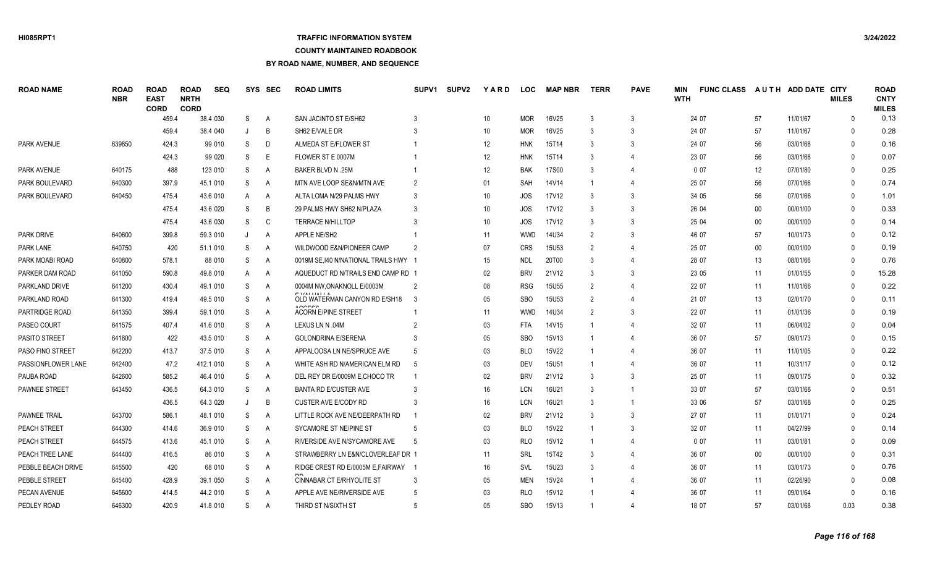### **TRAFFIC INFORMATION SYSTEM**

#### **COUNTY MAINTAINED ROADBOOK**

| <b>ROAD NAME</b>     | <b>ROAD</b><br><b>NBR</b> | <b>ROAD</b><br><b>EAST</b><br><b>CORD</b> | <b>ROAD</b><br><b>NRTH</b><br><b>CORD</b> | <b>SEQ</b> | SYS | SEC            | <b>ROAD LIMITS</b>                    | SUPV <sub>1</sub> | <b>SUPV2</b> | YARD            | LOC        | <b>MAP NBR</b> | TERR           | <b>PAVE</b>              | MIN<br><b>WTH</b> | <b>FUNC CLASS</b> |        | AUTH ADD DATE CITY | <b>MILES</b> | <b>ROAD</b><br><b>CNTY</b><br><b>MILES</b> |
|----------------------|---------------------------|-------------------------------------------|-------------------------------------------|------------|-----|----------------|---------------------------------------|-------------------|--------------|-----------------|------------|----------------|----------------|--------------------------|-------------------|-------------------|--------|--------------------|--------------|--------------------------------------------|
|                      |                           | 459.4                                     |                                           | 38.4 030   | S   | $\overline{A}$ | SAN JACINTO ST E/SH62                 |                   |              | 10              | <b>MOR</b> | 16V25          | 3              | 3                        |                   | 24 07             | 57     | 11/01/67           | $\Omega$     | 0.13                                       |
|                      |                           | 459.4                                     |                                           | 38.4 040   |     | B              | SH62 E/VALE DR                        |                   |              | 10              | <b>MOR</b> | 16V25          | 3              | 3                        |                   | 24 07             | 57     | 11/01/67           | $\Omega$     | 0.28                                       |
| <b>PARK AVENUE</b>   | 639850                    | 424.3                                     |                                           | 99 010     | S   | D              | ALMEDA ST E/FLOWER ST                 |                   |              | 12              | <b>HNK</b> | 15T14          | $\mathbf{3}$   | 3                        |                   | 24 07             | 56     | 03/01/68           | $\Omega$     | 0.16                                       |
|                      |                           | 424.3                                     |                                           | 99 020     | S   | E              | FLOWER ST E 0007M                     |                   |              | 12              | <b>HNK</b> | 15T14          |                | $\overline{4}$           |                   | 23 07             | 56     | 03/01/68           | $\Omega$     | 0.07                                       |
| PARK AVENUE          | 640175                    | 488                                       |                                           | 123 010    | S   | A              | <b>BAKER BLVD N .25M</b>              |                   |              | 12              | <b>BAK</b> | <b>17S00</b>   | $\mathbf{3}$   | $\boldsymbol{\varDelta}$ |                   | 0 0 7             | 12     | 07/01/80           | $\Omega$     | 0.25                                       |
| PARK BOULEVARD       | 640300                    | 397.9                                     |                                           | 45.1 010   | S   | A              | MTN AVE LOOP SE&N/MTN AVE             | $\overline{2}$    |              | 01              | SAH        | 14V14          |                |                          |                   | 25 07             | 56     | 07/01/66           | $\Omega$     | 0.74                                       |
| PARK BOULEVARD       | 640450                    | 475.4                                     |                                           | 43.6 010   | A   | A              | ALTA LOMA N/29 PALMS HWY              |                   |              | 10 <sup>°</sup> | <b>JOS</b> | 17V12          | 3              | 3                        |                   | 34 05             | 56     | 07/01/66           | $\Omega$     | 1.01                                       |
|                      |                           | 475.4                                     |                                           | 43.6 020   | S   | B              | 29 PALMS HWY SH62 N/PLAZA             |                   |              | 10              | <b>JOS</b> | 17V12          | -3             | 3                        |                   | 26 04             | $00\,$ | 00/01/00           | $\Omega$     | 0.33                                       |
|                      |                           | 475.4                                     |                                           | 43.6 030   | S   | C              | <b>TERRACE N/HILLTOP</b>              |                   |              | 10              | <b>JOS</b> | 17V12          | -3             | 3                        |                   | 25 04             | $00\,$ | 00/01/00           | $\mathbf{0}$ | 0.14                                       |
| <b>PARK DRIVE</b>    | 640600                    | 399.8                                     |                                           | 59.3 010   | J   | A              | APPLE NE/SH2                          |                   |              | 11              | <b>WWD</b> | 14U34          | $\overline{2}$ | 3                        |                   | 46 07             | 57     | 10/01/73           | $\mathbf{0}$ | 0.12                                       |
| PARK LANE            | 640750                    | 420                                       |                                           | 51.1 010   | S   | A              | WILDWOOD E&N/PIONEER CAMP             |                   |              | 07              | <b>CRS</b> | 15U53          |                | $\overline{4}$           |                   | 25 07             | $00\,$ | 00/01/00           | $\Omega$     | 0.19                                       |
| PARK MOABI ROAD      | 640800                    | 578.1                                     |                                           | 88 010     | S   | A              | 0019M SE, 140 N/NATIONAL TRAILS HWY 1 |                   |              | 15              | <b>NDL</b> | 20T00          | 3              |                          |                   | 28 07             | 13     | 08/01/66           | $\Omega$     | 0.76                                       |
| PARKER DAM ROAD      | 641050                    | 590.8                                     |                                           | 49.8 010   | A   | A              | AQUEDUCT RD N/TRAILS END CAMP RD 1    |                   |              | 02              | <b>BRV</b> | 21V12          | 3              | 3                        |                   | 23 05             | 11     | 01/01/55           | $\Omega$     | 15.28                                      |
| PARKLAND DRIVE       | 641200                    | 430.4                                     |                                           | 49.1 010   | S   | $\overline{A}$ | 0004M NW, ONAKNOLL E/0003M            | $\overline{2}$    |              | 08              | <b>RSG</b> | 15U55          | 2              |                          |                   | 22 07             | 11     | 11/01/66           | $\Omega$     | 0.22                                       |
| PARKLAND ROAD        | 641300                    | 419.4                                     |                                           | 49.5 010   | S   | $\overline{A}$ | OLD WATERMAN CANYON RD E/SH18         | -3                |              | 05              | <b>SBO</b> | 15U53          | 2              |                          |                   | 21 07             | 13     | 02/01/70           | $\Omega$     | 0.11                                       |
| PARTRIDGE ROAD       | 641350                    | 399.4                                     |                                           | 59.1 010   | S   | $\overline{A}$ | <b>ACORN E/PINE STREET</b>            |                   |              | 11              | <b>WWD</b> | 14U34          | 2              | 3                        |                   | 22 07             | 11     | 01/01/36           | $\Omega$     | 0.19                                       |
| PASEO COURT          | 641575                    | 407.4                                     |                                           | 41.6 010   | S   | A              | LEXUS LN N .04M                       |                   |              | 03              | <b>FTA</b> | 14V15          |                | $\overline{4}$           |                   | 32 07             | 11     | 06/04/02           | $\mathbf{0}$ | 0.04                                       |
| PASITO STREET        | 641800                    | 422                                       |                                           | 43.5 010   | S   | A              | <b>GOLONDRINA E/SERENA</b>            |                   |              | 05              | <b>SBO</b> | 15V13          |                | $\overline{4}$           |                   | 36 07             | 57     | 09/01/73           | $\Omega$     | 0.15                                       |
| PASO FINO STREET     | 642200                    | 413.7                                     |                                           | 37.5 010   | S   | A              | APPALOOSA LN NE/SPRUCE AVE            |                   |              | 03              | <b>BLO</b> | 15V22          |                | 4                        |                   | 36 07             | 11     | 11/01/05           | $\Omega$     | 0.22                                       |
| PASSIONFLOWER LANE   | 642400                    | 47.2                                      |                                           | 412.1 010  | S   | A              | WHITE ASH RD N/AMERICAN ELM RD        |                   |              | 03              | <b>DEV</b> | <b>15U51</b>   |                |                          |                   | 36 07             | 11     | 10/31/17           | $\Omega$     | 0.12                                       |
| PAUBA ROAD           | 642600                    | 585.2                                     |                                           | 46.4 010   | S   | A              | DEL REY DR E/0009M E, CHOCO TR        |                   |              | 02              | <b>BRV</b> | 21V12          | $\mathbf{3}$   | 3                        |                   | 25 07             | 11     | 09/01/75           | $\Omega$     | 0.32                                       |
| <b>PAWNEE STREET</b> | 643450                    | 436.5                                     |                                           | 64.3 010   | S   | A              | <b>BANTA RD E/CUSTER AVE</b>          |                   |              | 16              | <b>LCN</b> | 16U21          |                | $\overline{1}$           |                   | 33 07             | 57     | 03/01/68           | $\Omega$     | 0.51                                       |
|                      |                           | 436.5                                     |                                           | 64.3 020   |     | B              | <b>CUSTER AVE E/CODY RD</b>           |                   |              | 16              | <b>LCN</b> | 16U21          | 3              | $\overline{1}$           |                   | 33 06             | 57     | 03/01/68           | $\Omega$     | 0.25                                       |
| <b>PAWNEE TRAIL</b>  | 643700                    | 586.1                                     |                                           | 48.1 010   | S   | A              | LITTLE ROCK AVE NE/DEERPATH RD        |                   |              | 02              | <b>BRV</b> | 21V12          | 3              | 3                        |                   | 27 07             | 11     | 01/01/71           | $\Omega$     | 0.24                                       |
| PEACH STREET         | 644300                    | 414.6                                     |                                           | 36.9 010   | S   | A              | SYCAMORE ST NE/PINE ST                |                   |              | 03              | <b>BLO</b> | 15V22          |                | 3                        |                   | 32 07             | 11     | 04/27/99           | $\Omega$     | 0.14                                       |
| PEACH STREET         | 644575                    | 413.6                                     |                                           | 45.1 010   | S   | A              | RIVERSIDE AVE N/SYCAMORE AVE          |                   |              | 03              | <b>RLO</b> | 15V12          |                | $\overline{4}$           |                   | 007               | 11     | 03/01/81           | $\Omega$     | 0.09                                       |
| PEACH TREE LANE      | 644400                    | 416.5                                     |                                           | 86 010     | S   | A              | STRAWBERRY LN E&N/CLOVERLEAF DR 1     |                   |              | 11              | SRL        | 15T42          | 3              |                          |                   | 36 07             | $00\,$ | 00/01/00           | $\Omega$     | 0.31                                       |
| PEBBLE BEACH DRIVE   | 645500                    | 420                                       |                                           | 68 010     | S   | A              | RIDGE CREST RD E/0005M E, FAIRWAY 1   |                   |              | 16              | SVL        | 15U23          | 3              |                          |                   | 36 07             | 11     | 03/01/73           | $\Omega$     | 0.76                                       |
| PEBBLE STREET        | 645400                    | 428.9                                     |                                           | 39.1 050   | S   | A              | <b>CINNABAR CT E/RHYOLITE ST</b>      | 3                 |              | 05              | <b>MEN</b> | 15V24          |                |                          |                   | 36 07             | 11     | 02/26/90           | $\Omega$     | 0.08                                       |
| <b>PECAN AVENUE</b>  | 645600                    | 414.5                                     |                                           | 44.2 010   | S   | A              | APPLE AVE NE/RIVERSIDE AVE            |                   |              | 03              | <b>RLO</b> | 15V12          |                |                          |                   | 36 07             | 11     | 09/01/64           | $\Omega$     | 0.16                                       |
| PEDLEY ROAD          | 646300                    | 420.9                                     |                                           | 41.8 010   | S.  | A              | THIRD ST N/SIXTH ST                   |                   |              | 05              | <b>SBO</b> | 15V13          |                | Δ                        |                   | 18 07             | 57     | 03/01/68           | 0.03         | 0.38                                       |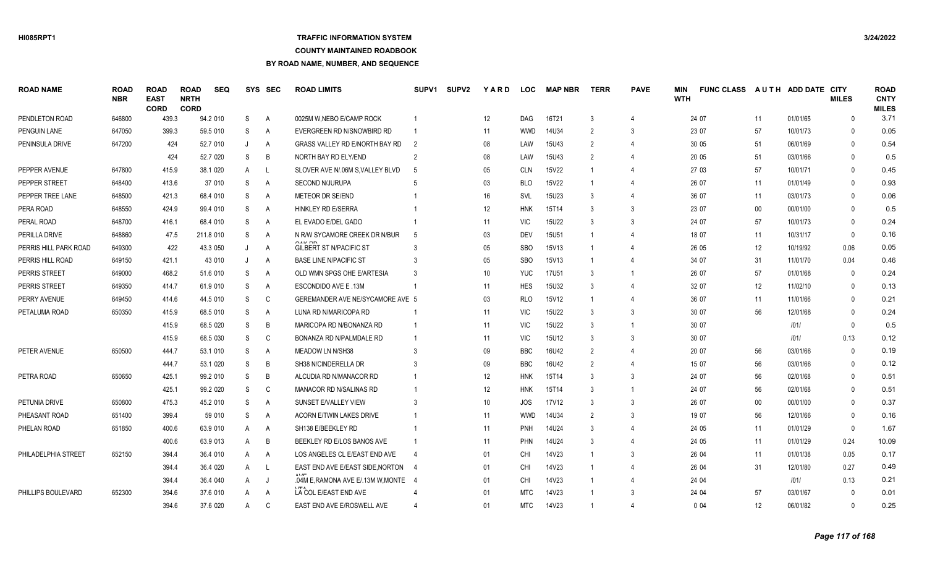## **TRAFFIC INFORMATION SYSTEM**

**COUNTY MAINTAINED ROADBOOK**

| <b>ROAD NAME</b>      | ROAD<br><b>NBR</b> | <b>ROAD</b><br><b>EAST</b><br><b>CORD</b> | <b>ROAD</b><br><b>NRTH</b><br><b>CORD</b> | <b>SEQ</b> |   | SYS SEC        | <b>ROAD LIMITS</b>                            | SUPV <sub>1</sub> | <b>SUPV2</b> | YARD            | <b>LOC</b> | <b>MAP NBR</b> | <b>TERR</b>    | <b>PAVE</b>    | MIN<br><b>WTH</b> | <b>FUNC CLASS</b> |        | AUTH ADD DATE | <b>CITY</b><br><b>MILES</b> | <b>ROAD</b><br><b>CNTY</b><br><b>MILES</b> |
|-----------------------|--------------------|-------------------------------------------|-------------------------------------------|------------|---|----------------|-----------------------------------------------|-------------------|--------------|-----------------|------------|----------------|----------------|----------------|-------------------|-------------------|--------|---------------|-----------------------------|--------------------------------------------|
| PENDLETON ROAD        | 646800             | 439.3                                     |                                           | 94.2 010   | S | A              | 0025M W.NEBO E/CAMP ROCK                      |                   |              | 12              | DAG        | 16T21          | 3              | $\overline{4}$ |                   | 24 07             | 11     | 01/01/65      | $\mathbf{0}$                | 3.71                                       |
| PENGUIN LANE          | 647050             | 399.3                                     |                                           | 59.5 010   | S | A              | EVERGREEN RD N/SNOWBIRD RD                    |                   |              | 11              | <b>WWD</b> | 14U34          | $\overline{2}$ | 3              |                   | 23 07             | 57     | 10/01/73      | $\Omega$                    | 0.05                                       |
| PENINSULA DRIVE       | 647200             | 424                                       |                                           | 52.7 010   | J | Α              | GRASS VALLEY RD E/NORTH BAY RD                | $\overline{2}$    |              | 08              | LAW        | 15U43          | $\overline{2}$ | 4              |                   | 30 05             | 51     | 06/01/69      | $\mathbf{0}$                | 0.54                                       |
|                       |                    | 424                                       |                                           | 52.7 020   | S | B              | NORTH BAY RD ELY/END                          | 2                 |              | 08              | LAW        | 15U43          |                | 4              |                   | 20 05             | 51     | 03/01/66      | $\Omega$                    | 0.5                                        |
| PEPPER AVENUE         | 647800             | 415.9                                     |                                           | 38.1 020   | A | - L            | SLOVER AVE N/.06M S.VALLEY BLVD               | -5                |              | 05              | <b>CLN</b> | 15V22          |                | 4              |                   | 27 03             | 57     | 10/01/71      | $\mathbf{0}$                | 0.45                                       |
| PEPPER STREET         | 648400             | 413.6                                     |                                           | 37 010     | S | $\overline{A}$ | <b>SECOND N/JURUPA</b>                        |                   |              | 03              | <b>BLO</b> | 15V22          |                | $\overline{4}$ |                   | 26 07             | 11     | 01/01/49      | $\mathbf{0}$                | 0.93                                       |
| PEPPER TREE LANE      | 648500             | 421.3                                     |                                           | 68.4 010   | S | Α              | <b>METEOR DR SE/END</b>                       |                   |              | 16              | SVL        | 15U23          | 3              |                |                   | 36 07             | 11     | 03/01/73      | $\Omega$                    | 0.06                                       |
| PERA ROAD             | 648550             | 424.9                                     |                                           | 99.4 010   | S | Α              | <b>HINKLEY RD E/SERRA</b>                     |                   |              | 12              | <b>HNK</b> | 15T14          |                | 3              |                   | 23 07             | $00\,$ | 00/01/00      | $\mathbf{0}$                | 0.5                                        |
| PERAL ROAD            | 648700             | 416.1                                     |                                           | 68.4 010   | S | A              | EL EVADO E/DEL GADO                           |                   |              | 11              | <b>VIC</b> | 15U22          | 3              | 3              |                   | 24 07             | 57     | 10/01/73      | $\Omega$                    | 0.24                                       |
| PERILLA DRIVE         | 648860             | 47.5                                      |                                           | 211.8 010  | S | A              | N R/W SYCAMORE CREEK DR N/BUR                 | -5                |              | 03              | <b>DEV</b> | 15U51          |                | $\overline{4}$ |                   | 18 07             | 11     | 10/31/17      | 0                           | 0.16                                       |
| PERRIS HILL PARK ROAD | 649300             | 422                                       |                                           | 43.3 050   |   | Α              | <b>GILBERT ST N/PACIFIC ST</b>                |                   |              | 05              | <b>SBO</b> | <b>15V13</b>   |                | $\overline{4}$ |                   | 26 05             | 12     | 10/19/92      | 0.06                        | 0.05                                       |
| PERRIS HILL ROAD      | 649150             | 421.1                                     |                                           | 43 010     | J | A              | <b>BASE LINE N/PACIFIC ST</b>                 |                   |              | 05              | <b>SBO</b> | 15V13          |                | 4              |                   | 34 07             | 31     | 11/01/70      | 0.04                        | 0.46                                       |
| PERRIS STREET         | 649000             | 468.2                                     |                                           | 51.6 010   | S | A              | OLD WMN SPGS OHE E/ARTESIA                    |                   |              | 10 <sup>°</sup> | <b>YUC</b> | <b>17U51</b>   | 3              |                |                   | 26 07             | 57     | 01/01/68      | $\Omega$                    | 0.24                                       |
| PERRIS STREET         | 649350             | 414.7                                     |                                           | 61.9 010   | S | A              | ESCONDIDO AVE E .13M                          |                   |              | 11              | <b>HES</b> | 15U32          | $\mathcal{R}$  |                |                   | 32 07             | 12     | 11/02/10      | $\Omega$                    | 0.13                                       |
| PERRY AVENUE          | 649450             | 414.6                                     |                                           | 44.5 010   | S | C              | GEREMANDER AVE NE/SYCAMORE AVE 5              |                   |              | 03              | <b>RLO</b> | 15V12          |                | $\overline{4}$ |                   | 36 07             | 11     | 11/01/66      | $\Omega$                    | 0.21                                       |
| PETALUMA ROAD         | 650350             | 415.9                                     |                                           | 68.5 010   | S | A              | LUNA RD N/MARICOPA RD                         |                   |              | 11              | <b>VIC</b> | 15U22          | 3              | 3              |                   | 30 07             | 56     | 12/01/68      | $\Omega$                    | 0.24                                       |
|                       |                    | 415.9                                     |                                           | 68.5 020   | S | B              | MARICOPA RD N/BONANZA RD                      |                   |              | 11              | <b>VIC</b> | 15U22          | 3              | $\overline{1}$ |                   | 30 07             |        | 1011          | $\mathbf{0}$                | 0.5                                        |
|                       |                    | 415.9                                     |                                           | 68.5 030   | S | C              | BONANZA RD N/PALMDALE RD                      |                   |              | 11              | <b>VIC</b> | 15U12          | -3             | 3              |                   | 30 07             |        | 1011          | 0.13                        | 0.12                                       |
| PETER AVENUE          | 650500             | 444.7                                     |                                           | 53.1 010   | S | A              | <b>MEADOW LN N/SH38</b>                       |                   |              | 09              | <b>BBC</b> | 16U42          | $\mathcal{P}$  | 4              |                   | 20 07             | 56     | 03/01/66      | $\mathbf{0}$                | 0.19                                       |
|                       |                    | 444.7                                     |                                           | 53.1 020   | S | B              | SH38 N/CINDERELLA DR                          |                   |              | 09              | <b>BBC</b> | 16U42          | $\mathcal{P}$  | 4              |                   | 15 07             | 56     | 03/01/66      | $\Omega$                    | 0.12                                       |
| PETRA ROAD            | 650650             | 425.1                                     |                                           | 99.2 010   | S | B              | ALCUDIA RD N/MANACOR RD                       |                   |              | 12              | <b>HNK</b> | 15T14          | $\mathbf{3}$   | 3              |                   | 24 07             | 56     | 02/01/68      | $\Omega$                    | 0.51                                       |
|                       |                    | 425.1                                     |                                           | 99.2 020   | S | C              | <b>MANACOR RD N/SALINAS RD</b>                |                   |              | 12              | <b>HNK</b> | 15T14          | 3              | $\overline{1}$ |                   | 24 07             | 56     | 02/01/68      | $\Omega$                    | 0.51                                       |
| PETUNIA DRIVE         | 650800             | 475.3                                     |                                           | 45.2 010   | S | A              | SUNSET E/VALLEY VIEW                          |                   |              | 10              | JOS        | 17V12          | 3              | 3              |                   | 26 07             | $00\,$ | 00/01/00      | $\mathbf{0}$                | 0.37                                       |
| PHEASANT ROAD         | 651400             | 399.4                                     |                                           | 59 010     | S | A              | <b>ACORN E/TWIN LAKES DRIVE</b>               |                   |              | 11              | <b>WWD</b> | 14U34          | $\mathfrak{p}$ | 3              |                   | 19 07             | 56     | 12/01/66      | $\mathbf{0}$                | 0.16                                       |
| PHELAN ROAD           | 651850             | 400.6                                     |                                           | 63.9 010   | A | Α              | SH138 E/BEEKLEY RD                            |                   |              | 11              | PNH        | 14U24          | 3              | 4              |                   | 24 05             | 11     | 01/01/29      | $\mathbf{0}$                | 1.67                                       |
|                       |                    | 400.6                                     |                                           | 63.9 013   | A | B              | BEEKLEY RD E/LOS BANOS AVE                    |                   |              | 11              | PHN        | 14U24          | 3              | 4              |                   | 24 05             | 11     | 01/01/29      | 0.24                        | 10.09                                      |
| PHILADELPHIA STREET   | 652150             | 394.4                                     |                                           | 36.4 010   | A | A              | LOS ANGELES CL E/EAST END AVE                 |                   |              | 01              | CHI        | 14V23          |                | 3              |                   | 26 04             | 11     | 01/01/38      | 0.05                        | 0.17                                       |
|                       |                    | 394.4                                     |                                           | 36.4 020   | A | - L            | EAST END AVE E/EAST SIDE, NORTON 4            |                   |              | 01              | <b>CHI</b> | 14V23          |                | 4              |                   | 26 04             | 31     | 12/01/80      | 0.27                        | 0.49                                       |
|                       |                    | 394.4                                     |                                           | 36.4 040   | A | J              | A 1 / F<br>.04M E.RAMONA AVE E/.13M W.MONTE 4 |                   |              | 01              | CHI        | 14V23          |                | 4              |                   | 24 04             |        | 1011          | 0.13                        | 0.21                                       |
| PHILLIPS BOULEVARD    | 652300             | 394.6                                     |                                           | 37.6 010   | A | A              | LA COL E/EAST END AVE                         |                   |              | 01              | <b>MTC</b> | 14V23          |                | 3              |                   | 24 04             | 57     | 03/01/67      | $\Omega$                    | 0.01                                       |
|                       |                    | 394.6                                     |                                           | 37.6 020   | A | C              | EAST END AVE E/ROSWELL AVE                    |                   |              | 01              | <b>MTC</b> | 14V23          |                | Δ              |                   | 0.04              | 12     | 06/01/82      | $\Omega$                    | 0.25                                       |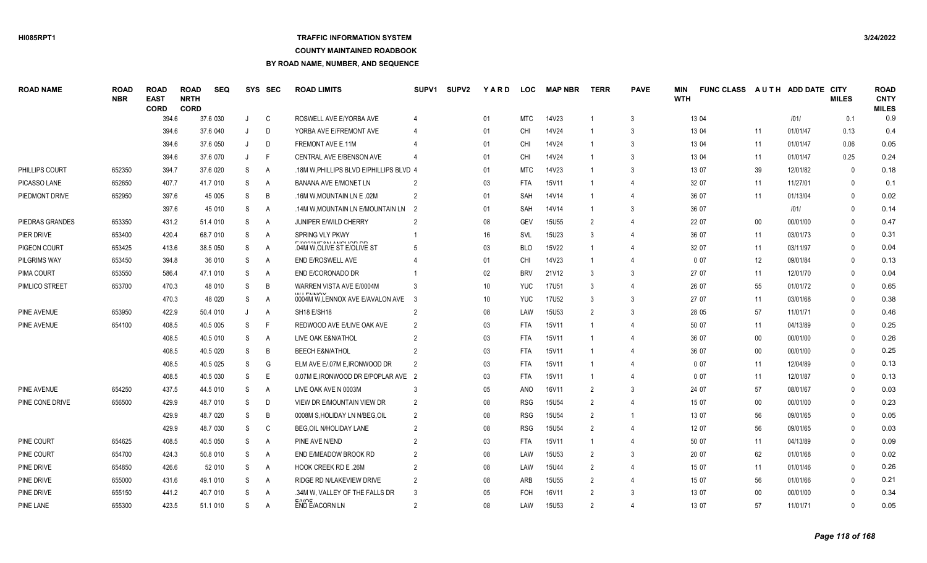### **TRAFFIC INFORMATION SYSTEM**

#### **COUNTY MAINTAINED ROADBOOK**

| <b>ROAD NAME</b> | <b>ROAD</b><br><b>NBR</b> | <b>ROAD</b><br><b>EAST</b><br><b>CORD</b> | <b>ROAD</b><br><b>NRTH</b><br><b>CORD</b> | <b>SEQ</b> |              | SYS SEC        | <b>ROAD LIMITS</b>                                            | SUPV <sub>1</sub> | <b>SUPV2</b> | YARD            | <b>LOC</b> | <b>MAP NBR</b>    | <b>TERR</b>    | <b>PAVE</b>              | MIN<br><b>WTH</b> | <b>FUNC CLASS</b> |        | AUTH ADD DATE CITY | <b>MILES</b> | <b>ROAD</b><br><b>CNTY</b><br><b>MILES</b> |
|------------------|---------------------------|-------------------------------------------|-------------------------------------------|------------|--------------|----------------|---------------------------------------------------------------|-------------------|--------------|-----------------|------------|-------------------|----------------|--------------------------|-------------------|-------------------|--------|--------------------|--------------|--------------------------------------------|
|                  |                           | 394.6                                     |                                           | 37.6 030   | J            | C              | ROSWELL AVE E/YORBA AVE                                       | 4                 |              | 01              | <b>MTC</b> | 14V23             |                | 3                        |                   | 13 04             |        | 1011               | 0.1          | 0.9                                        |
|                  |                           | 394.6                                     |                                           | 37.6 040   |              | D              | YORBA AVE E/FREMONT AVE                                       |                   |              | 01              | <b>CHI</b> | 14V24             |                | 3                        |                   | 13 04             | 11     | 01/01/47           | 0.13         | 0.4                                        |
|                  |                           | 394.6                                     |                                           | 37.6 050   |              | D              | FREMONT AVE E.11M                                             |                   |              | 01              | <b>CHI</b> | 14V24             |                | 3                        |                   | 13 04             | 11     | 01/01/47           | 0.06         | 0.05                                       |
|                  |                           | 394.6                                     |                                           | 37.6 070   |              | F              | CENTRAL AVE E/BENSON AVE                                      |                   |              | 01              | <b>CHI</b> | 14V24             |                | 3                        |                   | 13 04             | 11     | 01/01/47           | 0.25         | 0.24                                       |
| PHILLIPS COURT   | 652350                    | 394.7                                     |                                           | 37.6 020   | S            | A              | 18M W.PHILLIPS BLVD E/PHILLIPS BLVD 4.                        |                   |              | 01              | <b>MTC</b> | 14V23             |                | 3                        |                   | 13 07             | 39     | 12/01/82           | $\Omega$     | 0.18                                       |
| PICASSO LANE     | 652650                    | 407.7                                     |                                           | 41.7 010   | <sub>S</sub> | A              | <b>BANANA AVE E/MONET LN</b>                                  | 2                 |              | 03              | <b>FTA</b> | 15V11             |                | 4                        |                   | 32 07             | 11     | 11/27/01           | $\Omega$     | 0.1                                        |
| PIEDMONT DRIVE   | 652950                    | 397.6                                     |                                           | 45 005     | S.           | B.             | .16M W.MOUNTAIN LN E .02M                                     | $\overline{2}$    |              | 01              | <b>SAH</b> | 14V14             |                |                          |                   | 36 07             | 11     | 01/13/04           | $\Omega$     | 0.02                                       |
|                  |                           | 397.6                                     |                                           | 45 010     | <sub>S</sub> | A              | 14M W, MOUNTAIN LN E/MOUNTAIN LN                              | $\overline{2}$    |              | 01              | <b>SAH</b> | 14V14             |                | 3                        |                   | 36 07             |        | 1011               | $\Omega$     | 0.14                                       |
| PIEDRAS GRANDES  | 653350                    | 431.2                                     |                                           | 51.4 010   | <sub>S</sub> | A              | JUNIPER E/WILD CHERRY                                         | $\overline{2}$    |              | 08              | <b>GEV</b> | 15U55             | $\overline{2}$ |                          |                   | 22 07             | $00\,$ | 00/01/00           | $\Omega$     | 0.47                                       |
| PIER DRIVE       | 653400                    | 420.4                                     |                                           | 68.7 010   | <sub>S</sub> | A              | SPRING VLY PKWY                                               |                   |              | 16              | SVL        | 15U23             | 3              | $\overline{4}$           |                   | 36 07             | 11     | 03/01/73           | $\mathbf{0}$ | 0.31                                       |
| PIGEON COURT     | 653425                    | 413.6                                     |                                           | 38.5 050   | <sub>S</sub> | A              | <b>EIMMALIE ON ANIALIAR RR</b><br>.04M W, OLIVE ST E/OLIVE ST |                   |              | 03              | <b>BLO</b> | 15V22             |                | $\overline{4}$           |                   | 32 07             | 11     | 03/11/97           | $\Omega$     | 0.04                                       |
| PILGRIMS WAY     | 653450                    | 394.8                                     |                                           | 36 010     | <sub>S</sub> | $\overline{A}$ | END E/ROSWELL AVE                                             |                   |              | 01              | <b>CHI</b> | 14V23             |                | $\overline{4}$           |                   | 007               | 12     | 09/01/84           | $\mathbf{0}$ | 0.13                                       |
| PIMA COURT       | 653550                    | 586.4                                     |                                           | 47.1 010   | <sub>S</sub> | $\overline{A}$ | END E/CORONADO DR                                             |                   |              | 02              | <b>BRV</b> | 21V12             | 3              | 3                        |                   | 27 07             | 11     | 12/01/70           | $\Omega$     | 0.04                                       |
| PIMLICO STREET   | 653700                    | 470.3                                     |                                           | 48 010     | <sub>S</sub> | B              | WARREN VISTA AVE E/0004M                                      | 3                 |              | 10 <sup>°</sup> | <b>YUC</b> | <b>17U51</b>      | 3              |                          |                   | 26 07             | 55     | 01/01/72           | $\Omega$     | 0.65                                       |
|                  |                           | 470.3                                     |                                           | 48 020     | S            | A              | <b>MULTNIMOV</b><br>0004M W,LENNOX AVE E/AVALON AVE           | -3                |              | 10 <sup>°</sup> | <b>YUC</b> | <b>17U52</b>      | 3              | 3                        |                   | 27 07             | 11     | 03/01/68           | $\Omega$     | 0.38                                       |
| PINE AVENUE      | 653950                    | 422.9                                     |                                           | 50.4 010   | J            | A              | SH18 E/SH18                                                   | $\overline{2}$    |              | 08              | LAW        | <b>15U53</b>      | 2              | 3                        |                   | 28 05             | 57     | 11/01/71           | $\Omega$     | 0.46                                       |
| PINE AVENUE      | 654100                    | 408.5                                     |                                           | 40.5 005   | S            | F              | REDWOOD AVE E/LIVE OAK AVE                                    | $\overline{2}$    |              | 03              | <b>FTA</b> | 15V11             |                | $\overline{4}$           |                   | 50 07             | 11     | 04/13/89           | $\mathbf{0}$ | 0.25                                       |
|                  |                           | 408.5                                     |                                           | 40.5 010   | S            | $\overline{A}$ | LIVE OAK E&N/ATHOL                                            | $\overline{2}$    |              | 03              | <b>FTA</b> | 15V11             |                | $\overline{4}$           |                   | 36 07             | $00\,$ | 00/01/00           | $\Omega$     | 0.26                                       |
|                  |                           | 408.5                                     |                                           | 40.5 020   | S            | B              | <b>BEECH E&amp;N/ATHOL</b>                                    | $\overline{2}$    |              | 03              | <b>FTA</b> | 15V11             |                | $\overline{4}$           |                   | 36 07             | $00\,$ | 00/01/00           | $\mathbf{0}$ | 0.25                                       |
|                  |                           | 408.5                                     |                                           | 40.5 025   | <sub>S</sub> | G              | ELM AVE E/.07M E.IRONWOOD DR                                  | $\overline{2}$    |              | 03              | <b>FTA</b> | 15V11             |                |                          |                   | 0 0 7             | 11     | 12/04/89           | $\mathbf{0}$ | 0.13                                       |
|                  |                           | 408.5                                     |                                           | 40.5 030   | <sub>S</sub> | E              | 0.07M E, IRONWOOD DR E/POPLAR AVE 2                           |                   |              | 03              | <b>FTA</b> | 15V11             |                |                          |                   | 007               | 11     | 12/01/87           | $\mathbf{0}$ | 0.13                                       |
| PINE AVENUE      | 654250                    | 437.5                                     |                                           | 44.5 010   | <sub>S</sub> | A              | LIVE OAK AVE N 0003M                                          |                   |              | 05              | <b>ANO</b> | 16V11             | $\overline{2}$ | 3                        |                   | 24 07             | 57     | 08/01/67           | $\Omega$     | 0.03                                       |
| PINE CONE DRIVE  | 656500                    | 429.9                                     |                                           | 48.7 010   | <sub>S</sub> | D              | VIEW DR E/MOUNTAIN VIEW DR                                    | $\overline{2}$    |              | 08              | <b>RSG</b> | <b>15U54</b>      | 2              |                          |                   | 15 07             | $00\,$ | 00/01/00           | $\Omega$     | 0.23                                       |
|                  |                           | 429.9                                     |                                           | 48.7 020   | S            | B.             | 0008M S, HOLIDAY LN N/BEG, OIL                                | $\overline{2}$    |              | 08              | <b>RSG</b> | <b>15U54</b>      | $\mathfrak{D}$ | $\overline{1}$           |                   | 13 07             | 56     | 09/01/65           | $\Omega$     | 0.05                                       |
|                  |                           | 429.9                                     |                                           | 48.7 030   | <sub>S</sub> | C              | BEG, OIL N/HOLIDAY LANE                                       | $\overline{2}$    |              | 08              | <b>RSG</b> | <b>15U54</b>      | $\mathfrak{D}$ | $\boldsymbol{\varDelta}$ |                   | 12 07             | 56     | 09/01/65           | $\Omega$     | 0.03                                       |
| PINE COURT       | 654625                    | 408.5                                     |                                           | 40.5 050   | <sub>S</sub> | A              | PINE AVE N/END                                                | 2                 |              | 03              | <b>FTA</b> | 15V11             |                | $\overline{4}$           |                   | 50 07             | 11     | 04/13/89           | $\Omega$     | 0.09                                       |
| PINE COURT       | 654700                    | 424.3                                     |                                           | 50.8 010   | <sub>S</sub> | A              | END E/MEADOW BROOK RD                                         | $\overline{2}$    |              | 08              | LAW        | 15U <sub>53</sub> | 2              | 3                        |                   | 20 07             | 62     | 01/01/68           | $\Omega$     | 0.02                                       |
| PINE DRIVE       | 654850                    | 426.6                                     |                                           | 52 010     | <sub>S</sub> | A              | <b>HOOK CREEK RD E .26M</b>                                   | $\overline{2}$    |              | 08              | LAW        | 15U44             | 2              |                          |                   | 15 07             | 11     | 01/01/46           | $\Omega$     | 0.26                                       |
| PINE DRIVE       | 655000                    | 431.6                                     |                                           | 49.1 010   | S.           | A              | RIDGE RD N/LAKEVIEW DRIVE                                     | 2                 |              | 08              | <b>ARB</b> | <b>15U55</b>      | $\mathcal{P}$  | $\overline{4}$           |                   | 15 07             | 56     | 01/01/66           | $\Omega$     | 0.21                                       |
| PINE DRIVE       | 655150                    | 441.2                                     |                                           | 40.7 010   | S.           | A              | .34M W. VALLEY OF THE FALLS DR                                | 3                 |              | 05              | <b>FOH</b> | 16V11             | $\mathcal{P}$  | 3                        |                   | 13 07             | $00\,$ | 00/01/00           | $\Omega$     | 0.34                                       |
| PINE LANE        | 655300                    | 423.5                                     |                                           | 51.1 010   | S.           | A              | $F^{\mu}$<br><b>END E/ACORN LN</b>                            |                   |              | 08              | LAW        | 15U <sub>53</sub> | $\mathfrak{D}$ | Δ                        |                   | 13 07             | 57     | 11/01/71           | $\Omega$     | 0.05                                       |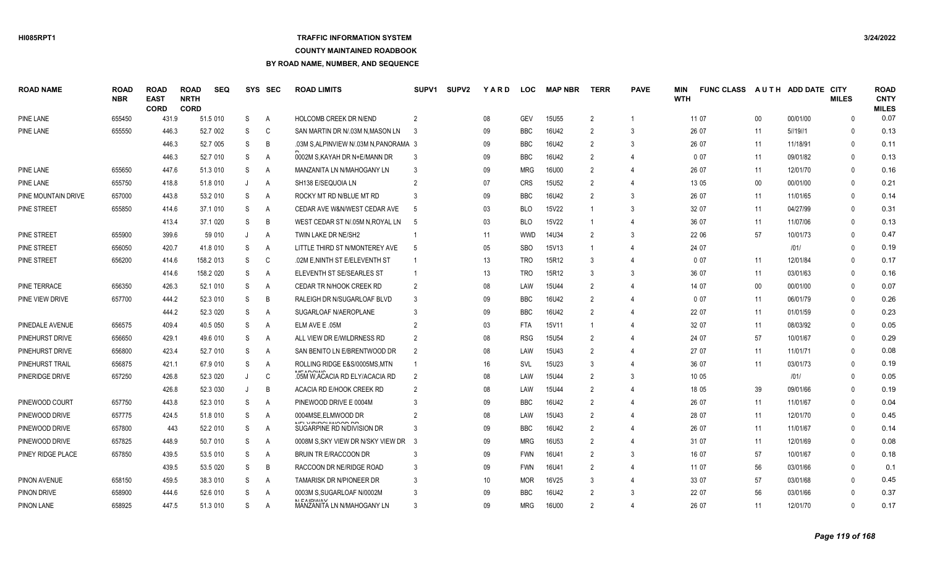## **TRAFFIC INFORMATION SYSTEM**

#### **COUNTY MAINTAINED ROADBOOK**

| <b>ROAD NAME</b>    | <b>ROAD</b><br><b>NBR</b> | <b>ROAD</b><br><b>EAST</b><br><b>CORD</b> | <b>ROAD</b><br><b>NRTH</b><br><b>CORD</b> | <b>SEQ</b> |         | SYS SEC        | <b>ROAD LIMITS</b>                                        | SUPV <sub>1</sub> | SUPV <sub>2</sub> | YARD | <b>LOC</b> | <b>MAP NBR</b>    | <b>TERR</b>    | <b>PAVE</b>                 | MIN<br><b>WTH</b> | <b>FUNC CLASS</b> |        | AUTH ADD DATE CITY | <b>MILES</b> | <b>ROAD</b><br><b>CNTY</b><br><b>MILES</b> |
|---------------------|---------------------------|-------------------------------------------|-------------------------------------------|------------|---------|----------------|-----------------------------------------------------------|-------------------|-------------------|------|------------|-------------------|----------------|-----------------------------|-------------------|-------------------|--------|--------------------|--------------|--------------------------------------------|
| PINE LANE           | 655450                    | 431.9                                     |                                           | 51.5 010   | S.      | A              | <b>HOLCOMB CREEK DR N/END</b>                             | $\overline{2}$    |                   | 08   | <b>GEV</b> | <b>15U55</b>      | 2              |                             |                   | 11 07             | $00\,$ | 00/01/00           | $\Omega$     | 0.07                                       |
| <b>PINE LANE</b>    | 655550                    | 446.3                                     |                                           | 52.7 002   | S       | C              | SAN MARTIN DR N/.03M N, MASON LN                          | -3                |                   | 09   | <b>BBC</b> | 16U42             | $\overline{2}$ | 3                           |                   | 26 07             | 11     | 5/19/11            | $\Omega$     | 0.13                                       |
|                     |                           | 446.3                                     |                                           | 52.7 005   | S       | B              | .03M S, ALPINVIEW N/.03M N, PANORAMA 3                    |                   |                   | 09   | <b>BBC</b> | 16U42             | 2              | 3                           |                   | 26 07             | 11     | 11/18/91           | $\Omega$     | 0.11                                       |
|                     |                           | 446.3                                     |                                           | 52.7 010   | S       | A              | 0002M S.KAYAH DR N+E/MANN DR                              | 3                 |                   | 09   | <b>BBC</b> | 16U42             | $\mathcal{P}$  | $\overline{4}$              |                   | 0 0 7             | 11     | 09/01/82           | $\Omega$     | 0.13                                       |
| PINE LANE           | 655650                    | 447.6                                     |                                           | 51.3 010   | S.      | A              | MANZANITA LN N/MAHOGANY LN                                | 3                 |                   | 09   | <b>MRG</b> | 16U00             | $\overline{2}$ | $\overline{4}$              |                   | 26 07             | 11     | 12/01/70           | $\Omega$     | 0.16                                       |
| <b>PINE LANE</b>    | 655750                    | 418.8                                     |                                           | 51.8 010   | $\cdot$ | A              | SH138 E/SEQUOIA LN                                        | $\overline{2}$    |                   | 07   | <b>CRS</b> | <b>15U52</b>      | $\overline{2}$ | $\overline{4}$              |                   | 13 05             | $00\,$ | 00/01/00           | $\Omega$     | 0.21                                       |
| PINE MOUNTAIN DRIVE | 657000                    | 443.8                                     |                                           | 53.2 010   | S       | A              | ROCKY MT RD N/BLUE MT RD                                  | 3                 |                   | 09   | <b>BBC</b> | 16U42             | $\overline{2}$ | 3                           |                   | 26 07             | 11     | 11/01/65           | $\Omega$     | 0.14                                       |
| PINE STREET         | 655850                    | 414.6                                     |                                           | 37.1 010   | S       | A              | CEDAR AVE W&N/WEST CEDAR AVE                              | -5                |                   | 03   | <b>BLO</b> | 15V22             |                | 3                           |                   | 32 07             | 11     | 04/27/99           | $\Omega$     | 0.31                                       |
|                     |                           | 413.4                                     |                                           | 37.1 020   | S       | B              | WEST CEDAR ST N/.05M N, ROYAL LN                          | - 5               |                   | 03   | <b>BLO</b> | 15V22             |                | $\overline{4}$              |                   | 36 07             | 11     | 11/07/06           | $\Omega$     | 0.13                                       |
| PINE STREET         | 655900                    | 399.6                                     |                                           | 59 010     |         | A              | TWIN LAKE DR NE/SH2                                       |                   |                   | 11   | <b>WWD</b> | 14U34             | $\overline{2}$ | 3                           |                   | 22 06             | 57     | 10/01/73           | $\mathbf{0}$ | 0.47                                       |
| PINE STREET         | 656050                    | 420.7                                     |                                           | 41.8 010   | S       | A              | LITTLE THIRD ST N/MONTEREY AVE                            | -5                |                   | 05   | <b>SBO</b> | 15V13             |                | Δ                           |                   | 24 07             |        | 1011               | $\Omega$     | 0.19                                       |
| PINE STREET         | 656200                    | 414.6                                     |                                           | 158.2 013  | S       | C              | .02M E, NINTH ST E/ELEVENTH ST                            |                   |                   | 13   | <b>TRO</b> | 15R12             | 3              | $\overline{4}$              |                   | 007               | 11     | 12/01/84           | $\mathbf{0}$ | 0.17                                       |
|                     |                           | 414.6                                     |                                           | 158.2 020  | S       | A              | ELEVENTH ST SE/SEARLES ST                                 | -1                |                   | 13   | <b>TRO</b> | 15R12             | 3              | 3                           |                   | 36 07             | 11     | 03/01/63           | $\Omega$     | 0.16                                       |
| PINE TERRACE        | 656350                    | 426.3                                     |                                           | 52.1 010   | S       | A              | CEDAR TR N/HOOK CREEK RD                                  | $\overline{2}$    |                   | 08   | LAW        | <b>15U44</b>      | $\overline{2}$ | $\overline{4}$              |                   | 14 07             | $00\,$ | 00/01/00           | $\Omega$     | 0.07                                       |
| PINE VIEW DRIVE     | 657700                    | 444.2                                     |                                           | 52.3 010   | S       | B              | RALEIGH DR N/SUGARLOAF BLVD                               | 3                 |                   | 09   | <b>BBC</b> | 16U42             | $\overline{2}$ | $\boldsymbol{\Delta}$       |                   | 007               | 11     | 06/01/79           | $\Omega$     | 0.26                                       |
|                     |                           | 444.2                                     |                                           | 52.3 020   | S       | $\overline{A}$ | SUGARLOAF N/AEROPLANE                                     | 3                 |                   | 09   | <b>BBC</b> | 16U42             | $\overline{2}$ | $\overline{4}$              |                   | 22 07             | 11     | 01/01/59           | $\Omega$     | 0.23                                       |
| PINEDALE AVENUE     | 656575                    | 409.4                                     |                                           | 40.5 050   | S       | A              | ELM AVE E .05M                                            | $\overline{2}$    |                   | 03   | <b>FTA</b> | 15V11             | -1             | $\boldsymbol{\Delta}$       |                   | 32 07             | 11     | 08/03/92           | $\mathbf{0}$ | 0.05                                       |
| PINEHURST DRIVE     | 656650                    | 429.1                                     |                                           | 49.6 010   | S       | A              | ALL VIEW DR E/WILDRNESS RD                                | $\overline{2}$    |                   | 08   | <b>RSG</b> | <b>15U54</b>      | $\overline{2}$ | $\Delta$                    |                   | 24 07             | 57     | 10/01/67           | $\Omega$     | 0.29                                       |
| PINEHURST DRIVE     | 656800                    | 423.4                                     |                                           | 52.7 010   | S       | A              | SAN BENITO LN E/BRENTWOOD DR                              | $\overline{2}$    |                   | 08   | LAW        | 15U43             | $\overline{2}$ | 4                           |                   | 27 07             | 11     | 11/01/71           | $\mathbf{0}$ | 0.08                                       |
| PINEHURST TRAIL     | 656875                    | 421.1                                     |                                           | 67.9 010   | S       | A              | ROLLING RIDGE E&S/0005MS, MTN                             |                   |                   | 16   | SVL        | 15U23             | 3              | $\overline{4}$              |                   | 36 07             | 11     | 03/01/73           | $\mathbf{0}$ | 0.19                                       |
| PINERIDGE DRIVE     | 657250                    | 426.8                                     |                                           | 52.3 020   | $\cdot$ | C              | MTADOMC<br>.05M W, ACACIA RD ELY/ACACIA RD                | $\overline{2}$    |                   | 08   | LAW        | 15U44             | $\overline{2}$ | 3                           |                   | 10 05             |        | 1011               | $\Omega$     | 0.05                                       |
|                     |                           | 426.8                                     |                                           | 52.3 030   |         | B              | ACACIA RD E/HOOK CREEK RD                                 | $\overline{2}$    |                   | 08   | LAW        | <b>15U44</b>      | $\overline{2}$ | 4                           |                   | 18 05             | 39     | 09/01/66           | $\Omega$     | 0.19                                       |
| PINEWOOD COURT      | 657750                    | 443.8                                     |                                           | 52.3 010   | S       | A              | PINEWOOD DRIVE E 0004M                                    | 3                 |                   | 09   | <b>BBC</b> | 16U42             | $\overline{2}$ | $\overline{4}$              |                   | 26 07             | 11     | 11/01/67           | $\Omega$     | 0.04                                       |
| PINEWOOD DRIVE      | 657775                    | 424.5                                     |                                           | 51.8 010   | S       | A              | 0004MSE, ELMWOOD DR                                       | $\overline{2}$    |                   | 08   | LAW        | 15U43             | $\overline{2}$ | $\overline{4}$              |                   | 28 07             | 11     | 12/01/70           | $\Omega$     | 0.45                                       |
| PINEWOOD DRIVE      | 657800                    | 443                                       |                                           | 52.2 010   | S       | A              | <b>NEI VIRIRAI BUARD RE</b><br>SUGARPINE RD N/DIVISION DR | 3                 |                   | 09   | <b>BBC</b> | 16U42             | $\overline{2}$ | $\Delta$                    |                   | 26 07             | 11     | 11/01/67           | $\Omega$     | 0.14                                       |
| PINEWOOD DRIVE      | 657825                    | 448.9                                     |                                           | 50.7 010   | S       | $\mathsf{A}$   | 0008M S, SKY VIEW DR N/SKY VIEW DR                        | - 3               |                   | 09   | <b>MRG</b> | 16U <sub>53</sub> | $\overline{2}$ | $\boldsymbol{\Delta}$       |                   | 31 07             | 11     | 12/01/69           | $\Omega$     | 0.08                                       |
| PINEY RIDGE PLACE   | 657850                    | 439.5                                     |                                           | 53.5 010   | S       | A              | <b>BRUIN TR E/RACCOON DR</b>                              | 3                 |                   | 09   | <b>FWN</b> | 16U41             | $\overline{2}$ | 3                           |                   | 16 07             | 57     | 10/01/67           | $\Omega$     | 0.18                                       |
|                     |                           | 439.5                                     |                                           | 53.5 020   | S       | B              | RACCOON DR NE/RIDGE ROAD                                  | 3                 |                   | 09   | <b>FWN</b> | 16U41             | 2              | $\overline{4}$              |                   | 11 07             | 56     | 03/01/66           | $\Omega$     | 0.1                                        |
| PINON AVENUE        | 658150                    | 459.5                                     |                                           | 38.3 010   | S       | A              | TAMARISK DR N/PIONEER DR                                  | 3                 |                   | 10   | <b>MOR</b> | 16V25             | 3              | $\overline{4}$              |                   | 33 07             | 57     | 03/01/68           | $\Omega$     | 0.45                                       |
| PINON DRIVE         | 658900                    | 444.6                                     |                                           | 52.6 010   | S       | A              | 0003M S.SUGARLOAF N/0002M                                 | 3                 |                   | 09   | <b>BBC</b> | 16U42             | $\mathcal{P}$  | 3                           |                   | 22 07             | 56     | 03/01/66           | $\Omega$     | 0.37                                       |
| <b>PINON LANE</b>   | 658925                    | 447.5                                     |                                           | 51.3 010   | S.      | $\overline{A}$ | ALCAIDIAIAM<br>MANZANITA LN N/MAHOGANY LN                 |                   |                   | 09   | <b>MRG</b> | 16U00             | 2              | $\boldsymbol{\vartriangle}$ |                   | 26 07             | 11     | 12/01/70           | $\Omega$     | 0.17                                       |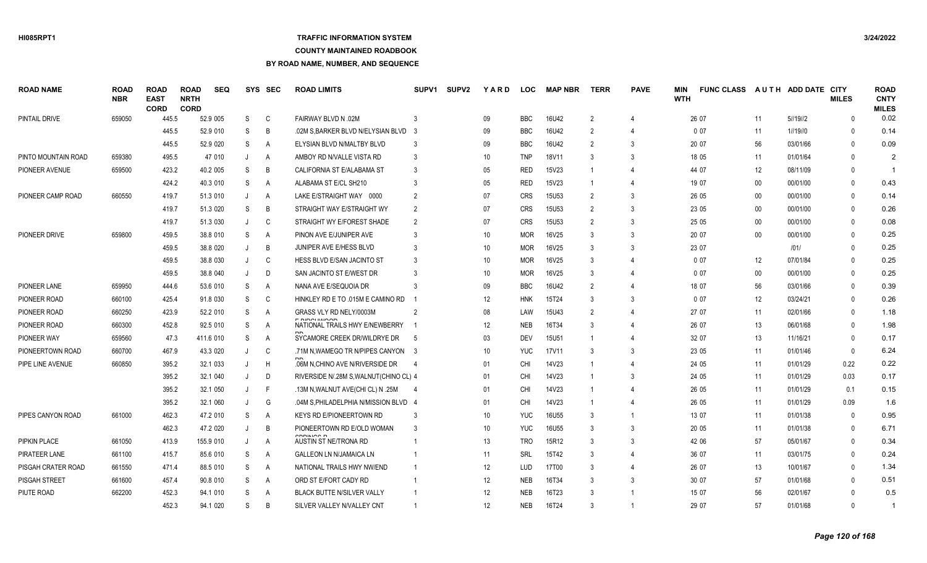## **TRAFFIC INFORMATION SYSTEM**

#### **COUNTY MAINTAINED ROADBOOK**

| <b>ROAD NAME</b>    | <b>ROAD</b><br><b>NBR</b> | <b>ROAD</b><br><b>EAST</b><br><b>CORD</b> | <b>ROAD</b><br><b>NRTH</b><br><b>CORD</b> | <b>SEQ</b> | SYS          | SEC          | <b>ROAD LIMITS</b>                              | SUPV <sub>1</sub> | <b>SUPV2</b> | YARD | <b>LOC</b> | <b>MAP NBR</b>    | <b>TERR</b>    | <b>PAVE</b>           | MIN<br><b>WTH</b> | <b>FUNC CLASS</b> |                   | AUTH ADD DATE CITY | <b>MILES</b> | <b>ROAD</b><br><b>CNTY</b><br><b>MILES</b> |
|---------------------|---------------------------|-------------------------------------------|-------------------------------------------|------------|--------------|--------------|-------------------------------------------------|-------------------|--------------|------|------------|-------------------|----------------|-----------------------|-------------------|-------------------|-------------------|--------------------|--------------|--------------------------------------------|
| PINTAIL DRIVE       | 659050                    | 445.5                                     |                                           | 52.9 005   | S            | C            | FAIRWAY BLVD N 02M                              |                   |              | 09   | <b>BBC</b> | 16U42             | 2              | 4                     |                   | 26 07             | 11                | 5//19//2           | $\mathbf{0}$ | 0.02                                       |
|                     |                           | 445.5                                     |                                           | 52.9 010   | S            | B            | .02M S, BARKER BLVD N/ELYSIAN BLVD              | - 3               |              | 09   | <b>BBC</b> | 16U42             |                | 4                     |                   | 0 0 7             | 11                | 1//19//0           | $\Omega$     | 0.14                                       |
|                     |                           | 445.5                                     |                                           | 52.9 020   | S            | A            | ELYSIAN BLVD N/MALTBY BLVD                      |                   |              | 09   | <b>BBC</b> | 16U42             | $\overline{2}$ | 3                     |                   | 20 07             | 56                | 03/01/66           | $\Omega$     | 0.09                                       |
| PINTO MOUNTAIN ROAD | 659380                    | 495.5                                     |                                           | 47 010     | J            | Α            | AMBOY RD N/VALLE VISTA RD                       |                   |              | 10   | <b>TNP</b> | 18V11             |                | 3                     |                   | 18 05             | 11                | 01/01/64           | $\Omega$     | $\overline{2}$                             |
| PIONEER AVENUE      | 659500                    | 423.2                                     |                                           | 40.2 005   | S            | B            | CALIFORNIA ST E/ALABAMA ST                      | -3                |              | 05   | <b>RED</b> | 15V23             |                | $\overline{4}$        |                   | 44 07             | 12                | 08/11/09           | $\mathbf{0}$ |                                            |
|                     |                           | 424.2                                     |                                           | 40.3 010   | S            | A            | ALABAMA ST E/CL SH210                           |                   |              | 05   | <b>RED</b> | 15V23             |                | $\overline{4}$        |                   | 19 07             | $00\,$            | 00/01/00           | $\mathbf{0}$ | 0.43                                       |
| PIONEER CAMP ROAD   | 660550                    | 419.7                                     |                                           | 51.3 010   | $\mathbf{J}$ | Α            | LAKE E/STRAIGHT WAY 0000                        | $\mathcal{P}$     |              | 07   | <b>CRS</b> | 15U53             | 2              | 3                     |                   | 26 05             | $00\,$            | 00/01/00           | $\Omega$     | 0.14                                       |
|                     |                           | 419.7                                     |                                           | 51.3 020   | S            | B            | STRAIGHT WAY E/STRAIGHT WY                      | $\overline{2}$    |              | 07   | <b>CRS</b> | 15U <sub>53</sub> | $\mathcal{P}$  | 3                     |                   | 23 05             | $00\,$            | 00/01/00           | $\Omega$     | 0.26                                       |
|                     |                           | 419.7                                     |                                           | 51.3 030   | J            | C            | STRAIGHT WY E/FOREST SHADE                      |                   |              | 07   | <b>CRS</b> | 15U <sub>53</sub> | $\mathcal{P}$  | 3                     |                   | 25 05             | $00\,$            | 00/01/00           | $\Omega$     | 0.08                                       |
| PIONEER DRIVE       | 659800                    | 459.5                                     |                                           | 38.8 010   | S            | Α            | PINON AVE E/JUNIPER AVE                         |                   |              | 10   | <b>MOR</b> | 16V25             | $\mathbf{3}$   | 3                     |                   | 20 07             | $00\,$            | 00/01/00           | $\Omega$     | 0.25                                       |
|                     |                           | 459.5                                     |                                           | 38.8 020   |              | B            | JUNIPER AVE E/HESS BLVD                         |                   |              | 10   | <b>MOR</b> | 16V25             |                | 3                     |                   | 23 07             |                   | 1011               | $\Omega$     | 0.25                                       |
|                     |                           | 459.5                                     |                                           | 38.8 030   | J            | C            | HESS BLVD E/SAN JACINTO ST                      |                   |              | 10   | <b>MOR</b> | 16V25             |                |                       |                   | 007               | $12 \overline{ }$ | 07/01/84           | $\Omega$     | 0.25                                       |
|                     |                           | 459.5                                     |                                           | 38.8 040   | J            | D            | SAN JACINTO ST E/WEST DR                        |                   |              | 10   | <b>MOR</b> | 16V25             |                |                       |                   | 007               | 00                | 00/01/00           | $\Omega$     | 0.25                                       |
| PIONEER LANE        | 659950                    | 444.6                                     |                                           | 53.6 010   | S            | A            | NANA AVE E/SEQUOIA DR                           |                   |              | 09   | <b>BBC</b> | 16U42             | $\mathcal{P}$  |                       |                   | 18 07             | 56                | 03/01/66           | $\Omega$     | 0.39                                       |
| PIONEER ROAD        | 660100                    | 425.4                                     |                                           | 91.8 030   | S            | $\mathsf{C}$ | HINKLEY RD E TO .015M E CAMINO RD               |                   |              | 12   | <b>HNK</b> | 15T24             |                | 3                     |                   | 007               | 12                | 03/24/21           | $\Omega$     | 0.26                                       |
| PIONEER ROAD        | 660250                    | 423.9                                     |                                           | 52.2 010   | S            | A            | GRASS VLY RD NELY/0003M                         | $\overline{2}$    |              | 08   | LAW        | 15U43             | $\overline{2}$ |                       |                   | 27 07             | 11                | 02/01/66           | $\Omega$     | 1.18                                       |
| PIONEER ROAD        | 660300                    | 452.8                                     |                                           | 92.5 010   | S            | A            | E DIDOLIMIOOP<br>NATIONAL TRAILS HWY E/NEWBERRY |                   |              | 12   | <b>NEB</b> | 16T34             | 3              | $\overline{4}$        |                   | 26 07             | 13                | 06/01/68           | $\mathbf{0}$ | 1.98                                       |
| PIONEER WAY         | 659560                    | 47.3                                      |                                           | 411.6 010  | S            | Α            | SYCAMORE CREEK DR/WILDRYE DR                    | -5                |              | 03   | <b>DEV</b> | <b>15U51</b>      |                | $\boldsymbol{\Delta}$ |                   | 32 07             | 13                | 11/16/21           | $\Omega$     | 0.17                                       |
| PIONEERTOWN ROAD    | 660700                    | 467.9                                     |                                           | 43.3 020   | $\cdot$      | C            | .71M N.WAMEGO TR N/PIPES CANYON 3               |                   |              | 10   | <b>YUC</b> | 17V11             |                | 3                     |                   | 23 05             | 11                | 01/01/46           | $\mathbf{0}$ | 6.24                                       |
| PIPE LINE AVENUE    | 660850                    | 395.2                                     |                                           | 32.1 033   | J            | H            | .06M N.CHINO AVE N/RIVERSIDE DR                 |                   |              | 01   | CHI        | 14V23             |                |                       |                   | 24 05             | 11                | 01/01/29           | 0.22         | 0.22                                       |
|                     |                           | 395.2                                     |                                           | 32.1 040   |              | D            | RIVERSIDE N/.28M S, WALNUT (CHINO CL) 4         |                   |              | 01   | CHI        | 14V23             |                | 3                     |                   | 24 05             | 11                | 01/01/29           | 0.03         | 0.17                                       |
|                     |                           | 395.2                                     |                                           | 32.1 050   | J            | F            | .13M N, WALNUT AVE(CHI CL) N .25M               |                   |              | 01   | <b>CHI</b> | 14V23             |                |                       |                   | 26 05             | 11                | 01/01/29           | 0.1          | 0.15                                       |
|                     |                           | 395.2                                     |                                           | 32.1 060   | J            | G            | .04M S, PHILADELPHIA N/MISSION BLVD 4           |                   |              | 01   | CHI        | 14V23             |                | 4                     |                   | 26 05             | 11                | 01/01/29           | 0.09         | 1.6                                        |
| PIPES CANYON ROAD   | 661000                    | 462.3                                     |                                           | 47.2 010   | S            | Α            | KEYS RD E/PIONEERTOWN RD                        |                   |              | 10   | <b>YUC</b> | 16U55             | 3              | -1                    |                   | 13 07             | 11                | 01/01/38           | $\mathbf{0}$ | 0.95                                       |
|                     |                           | 462.3                                     |                                           | 47.2 020   | J            | B            | PIONEERTOWN RD E/OLD WOMAN                      |                   |              | 10   | <b>YUC</b> | 16U55             |                | 3                     |                   | 20 05             | 11                | 01/01/38           | $\mathbf{0}$ | 6.71                                       |
| PIPKIN PLACE        | 661050                    | 413.9                                     |                                           | 155.9 010  | J            | Α            | ODDHIOO F<br>AUSTIN ST NE/TRONA RD              |                   |              | 13   | <b>TRO</b> | 15R12             | 3              | 3                     |                   | 42 06             | 57                | 05/01/67           | $\mathbf{0}$ | 0.34                                       |
| PIRATEER LANE       | 661100                    | 415.7                                     |                                           | 85.6 010   | S            | Α            | <b>GALLEON LN N/JAMAICA LN</b>                  |                   |              | 11   | SRL        | 15T42             | 3              | $\overline{4}$        |                   | 36 07             | 11                | 03/01/75           | $\Omega$     | 0.24                                       |
| PISGAH CRATER ROAD  | 661550                    | 471.4                                     |                                           | 88.5 010   | S            | A            | NATIONAL TRAILS HWY NW/END                      |                   |              | 12   | LUD        | 17T00             | $\mathbf{3}$   |                       |                   | 26 07             | 13                | 10/01/67           | $\Omega$     | 1.34                                       |
| PISGAH STREET       | 661600                    | 457.4                                     |                                           | 90.8 010   | S            | A            | ORD ST E/FORT CADY RD                           |                   |              | 12   | <b>NEB</b> | 16T34             | 3              | 3                     |                   | 30 07             | 57                | 01/01/68           | $\Omega$     | 0.51                                       |
| PIUTE ROAD          | 662200                    | 452.3                                     |                                           | 94.1 010   | S            | A            | BLACK BUTTE N/SILVER VALLY                      |                   |              | 12   | <b>NEB</b> | 16T23             |                |                       |                   | 15 07             | 56                | 02/01/67           | $\Omega$     | 0.5                                        |
|                     |                           | 452.3                                     |                                           | 94.1 020   | S.           | R.           | SILVER VALLEY N/VALLEY CNT                      |                   |              | 12   | <b>NEB</b> | 16T24             | $\mathbf{3}$   | $\overline{1}$        |                   | 29 07             | 57                | 01/01/68           | $\Omega$     | $\overline{1}$                             |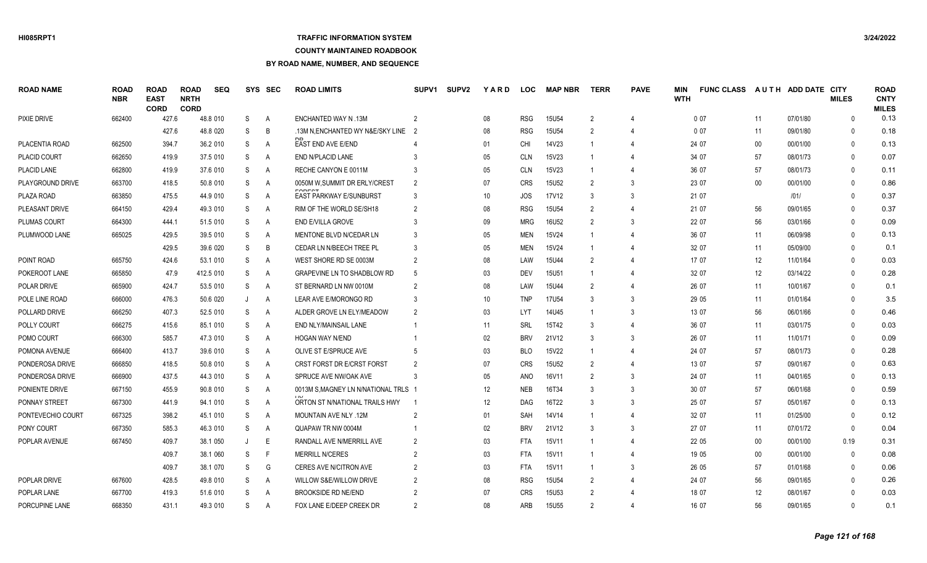### **TRAFFIC INFORMATION SYSTEM**

### **COUNTY MAINTAINED ROADBOOK**

| <b>ROAD NAME</b>    | <b>ROAD</b><br><b>NBR</b> | <b>ROAD</b><br><b>EAST</b><br><b>CORD</b> | <b>ROAD</b><br><b>NRTH</b><br><b>CORD</b> | <b>SEQ</b> | <b>SYS</b> | <b>SEC</b>     | <b>ROAD LIMITS</b>                              | SUPV <sub>1</sub> | <b>SUPV2</b> | YARD            | <b>LOC</b> | <b>MAP NBR</b>    | <b>TERR</b>   | <b>PAVE</b>    | <b>MIN</b><br><b>WTH</b> | <b>FUNC CLASS</b> |                   | AUTH ADD DATE CITY | <b>MILES</b> | <b>ROAD</b><br><b>CNTY</b><br><b>MILES</b> |
|---------------------|---------------------------|-------------------------------------------|-------------------------------------------|------------|------------|----------------|-------------------------------------------------|-------------------|--------------|-----------------|------------|-------------------|---------------|----------------|--------------------------|-------------------|-------------------|--------------------|--------------|--------------------------------------------|
| PIXIE DRIVE         | 662400                    | 427.6                                     |                                           | 48.8 010   | S          | A              | <b>ENCHANTED WAY N.13M</b>                      | $\mathcal{P}$     |              | 08              | <b>RSG</b> | 15U54             | $\mathcal{P}$ | $\overline{4}$ |                          | 007               | 11                | 07/01/80           | $\Omega$     | 0.13                                       |
|                     |                           | 427.6                                     |                                           | 48.8 020   | S          | B              | .13M N.ENCHANTED WY N&E/SKY LINE                | $\overline{2}$    |              | 08              | <b>RSG</b> | 15U54             |               |                |                          | 007               | 11                | 09/01/80           | $\Omega$     | 0.18                                       |
| PLACENTIA ROAD      | 662500                    | 394.7                                     |                                           | 36.2 010   | S          | A              | <b>EAST END AVE E/END</b>                       |                   |              | 01              | <b>CHI</b> | 14V23             |               | 4              |                          | 24 07             | 00                | 00/01/00           | $\Omega$     | 0.13                                       |
| <b>PLACID COURT</b> | 662650                    | 419.9                                     |                                           | 37.5 010   | S          | A              | <b>END N/PLACID LANE</b>                        |                   |              | 05              | <b>CLN</b> | 15V23             |               |                |                          | 34 07             | 57                | 08/01/73           | $\Omega$     | 0.07                                       |
| PLACID LANE         | 662800                    | 419.9                                     |                                           | 37.6 010   | S          | A              | RECHE CANYON E 0011M                            |                   |              | 05              | <b>CLN</b> | 15V23             |               |                |                          | 36 07             | 57                | 08/01/73           | $\Omega$     | 0.11                                       |
| PLAYGROUND DRIVE    | 663700                    | 418.5                                     |                                           | 50.8 010   | S          | $\overline{A}$ | 0050M W.SUMMIT DR ERLY/CREST                    |                   |              | 07              | <b>CRS</b> | 15U <sub>52</sub> | $\mathcal{P}$ | 3              |                          | 23 07             | $00\,$            | 00/01/00           | $\Omega$     | 0.86                                       |
| PLAZA ROAD          | 663850                    | 475.5                                     |                                           | 44.9 010   | S          | A              | <b>CODE01</b><br><b>EAST PARKWAY E/SUNBURST</b> | 3                 |              | 10 <sup>°</sup> | <b>JOS</b> | 17V12             | 3             | 3              |                          | 21 07             |                   | 1011               | $\Omega$     | 0.37                                       |
| PLEASANT DRIVE      | 664150                    | 429.4                                     |                                           | 49.3 010   | S          | A              | RIM OF THE WORLD SE/SH18                        | 2                 |              | 08              | <b>RSG</b> | <b>15U54</b>      | $\mathcal{P}$ | 4              |                          | 21 07             | 56                | 09/01/65           | $\Omega$     | 0.37                                       |
| PLUMAS COURT        | 664300                    | 444.1                                     |                                           | 51.5 010   | S          | A              | <b>END E/VILLA GROVE</b>                        |                   |              | 09              | <b>MRG</b> | 16U52             | $\mathcal{P}$ | 3              |                          | 22 07             | 56                | 03/01/66           | $\Omega$     | 0.09                                       |
| PLUMWOOD LANE       | 665025                    | 429.5                                     |                                           | 39.5 010   | S          | A              | MENTONE BLVD N/CEDAR LN                         | 3                 |              | 05              | <b>MEN</b> | 15V24             |               | 4              |                          | 36 07             | 11                | 06/09/98           | $\Omega$     | 0.13                                       |
|                     |                           | 429.5                                     |                                           | 39.6 020   | S          | B              | CEDAR LN N/BEECH TREE PL                        |                   |              | 05              | <b>MEN</b> | 15V24             |               | 4              |                          | 32 07             | 11                | 05/09/00           | $\Omega$     | 0.1                                        |
| POINT ROAD          | 665750                    | 424.6                                     |                                           | 53.1 010   | S          | A              | WEST SHORE RD SE 0003M                          | 2                 |              | 08              | LAW        | <b>15U44</b>      | $\mathcal{P}$ | 4              |                          | 17 07             | 12                | 11/01/64           | $\Omega$     | 0.03                                       |
| POKEROOT LANE       | 665850                    | 47.9                                      |                                           | 412.5 010  | S          | $\overline{A}$ | <b>GRAPEVINE LN TO SHADBLOW RD</b>              |                   |              | 03              | <b>DEV</b> | 15U51             |               |                |                          | 32 07             | $12 \overline{ }$ | 03/14/22           | $\Omega$     | 0.28                                       |
| POLAR DRIVE         | 665900                    | 424.7                                     |                                           | 53.5 010   | S          | A              | ST BERNARD LN NW 0010M                          |                   |              | 08              | LAW        | 15U44             | $\mathcal{P}$ |                |                          | 26 07             | 11                | 10/01/67           | $\Omega$     | 0.1                                        |
| POLE LINE ROAD      | 666000                    | 476.3                                     |                                           | 50.6 020   |            | A              | LEAR AVE E/MORONGO RD                           |                   |              | 10              | <b>TNP</b> | <b>17U54</b>      |               | 3              |                          | 29 05             | 11                | 01/01/64           | $\Omega$     | 3.5                                        |
| POLLARD DRIVE       | 666250                    | 407.3                                     |                                           | 52.5 010   | S          | A              | ALDER GROVE LN ELY/MEADOW                       | $\overline{2}$    |              | 03              | <b>LYT</b> | 14U45             |               | 3              |                          | 13 07             | 56                | 06/01/66           | $\Omega$     | 0.46                                       |
| POLLY COURT         | 666275                    | 415.6                                     |                                           | 85.1 010   | S          | A              | END NLY/MAINSAIL LANE                           |                   |              | 11              | SRL        | 15T42             | 3             | 4              |                          | 36 07             | 11                | 03/01/75           | $\Omega$     | 0.03                                       |
| POMO COURT          | 666300                    | 585.7                                     |                                           | 47.3 010   | S          | A              | <b>HOGAN WAY N/END</b>                          |                   |              | 02              | <b>BRV</b> | 21V12             |               | 3              |                          | 26 07             | 11                | 11/01/71           | $\Omega$     | 0.09                                       |
| POMONA AVENUE       | 666400                    | 413.7                                     |                                           | 39.6 010   | S          | A              | OLIVE ST E/SPRUCE AVE                           |                   |              | 03              | <b>BLO</b> | 15V22             |               | 4              |                          | 24 07             | 57                | 08/01/73           | $\Omega$     | 0.28                                       |
| PONDEROSA DRIVE     | 666850                    | 418.5                                     |                                           | 50.8 010   | S          | A              | CRST FORST DR E/CRST FORST                      |                   |              | 07              | <b>CRS</b> | <b>15U52</b>      | $\mathcal{P}$ | $\overline{4}$ |                          | 13 07             | 57                | 09/01/67           | $\Omega$     | 0.63                                       |
| PONDEROSA DRIVE     | 666900                    | 437.5                                     |                                           | 44.3 010   | S          | A              | SPRUCE AVE NW/OAK AVE                           |                   |              | 05              | <b>ANO</b> | 16V11             | $\mathcal{P}$ | 3              |                          | 24 07             | 11                | 04/01/65           | $\Omega$     | 0.13                                       |
| PONIENTE DRIVE      | 667150                    | 455.9                                     |                                           | 90.8 010   | S          | $\overline{A}$ | 0013M S.MAGNEY LN N/NATIONAL TRLS 1             |                   |              | 12              | <b>NEB</b> | 16T34             |               | 3              |                          | 30 07             | 57                | 06/01/68           | $\Omega$     | 0.59                                       |
| PONNAY STREET       | 667300                    | 441.9                                     |                                           | 94.1 010   | S          | A              | ORTON ST N/NATIONAL TRAILS HWY                  |                   |              | 12              | <b>DAG</b> | 16T22             | 3             | 3              |                          | 25 07             | 57                | 05/01/67           | $\Omega$     | 0.13                                       |
| PONTEVECHIO COURT   | 667325                    | 398.2                                     |                                           | 45.1 010   | S          | A              | MOUNTAIN AVE NLY .12M                           |                   |              | 01              | SAH        | 14V14             |               | $\overline{4}$ |                          | 32 07             | 11                | 01/25/00           | $\Omega$     | 0.12                                       |
| PONY COURT          | 667350                    | 585.3                                     |                                           | 46.3 010   | S          | A              | QUAPAW TR NW 0004M                              |                   |              | 02              | <b>BRV</b> | 21V12             | 3             | 3              |                          | 27 07             | 11                | 07/01/72           | $\Omega$     | 0.04                                       |
| POPLAR AVENUE       | 667450                    | 409.7                                     |                                           | 38.1 050   |            | E              | RANDALL AVE N/MERRILL AVE                       | $\overline{2}$    |              | 03              | <b>FTA</b> | 15V11             |               | $\overline{4}$ |                          | 22 05             | 00                | 00/01/00           | 0.19         | 0.31                                       |
|                     |                           | 409.7                                     |                                           | 38.1 060   | S          | F              | <b>MERRILL N/CERES</b>                          |                   |              | 03              | <b>FTA</b> | 15V11             |               | 4              |                          | 19 05             | 00                | 00/01/00           | $\Omega$     | 0.08                                       |
|                     |                           | 409.7                                     |                                           | 38.1 070   | S          | G              | CERES AVE N/CITRON AVE                          |                   |              | 03              | <b>FTA</b> | 15V11             |               | 3              |                          | 26 05             | 57                | 01/01/68           | $\Omega$     | 0.06                                       |
| POPLAR DRIVE        | 667600                    | 428.5                                     |                                           | 49.8 010   | S          | A              | <b>WILLOW S&amp;E/WILLOW DRIVE</b>              |                   |              | 08              | <b>RSG</b> | <b>15U54</b>      | $\mathcal{P}$ | 4              |                          | 24 07             | 56                | 09/01/65           | $\Omega$     | 0.26                                       |
| POPLAR LANE         | 667700                    | 419.3                                     |                                           | 51.6 010   | S          | A              | <b>BROOKSIDE RD NE/END</b>                      |                   |              | 07              | <b>CRS</b> | 15U <sub>53</sub> |               |                |                          | 18 07             | 12                | 08/01/67           | $\mathsf{O}$ | 0.03                                       |
| PORCUPINE LANE      | 668350                    | 431.1                                     |                                           | 49.3 010   | S.         | A              | FOX LANE E/DEEP CREEK DR                        |                   |              | 08              | ARB        | <b>15U55</b>      |               | $\overline{4}$ |                          | 16 07             | 56                | 09/01/65           | $\Omega$     | 0.1                                        |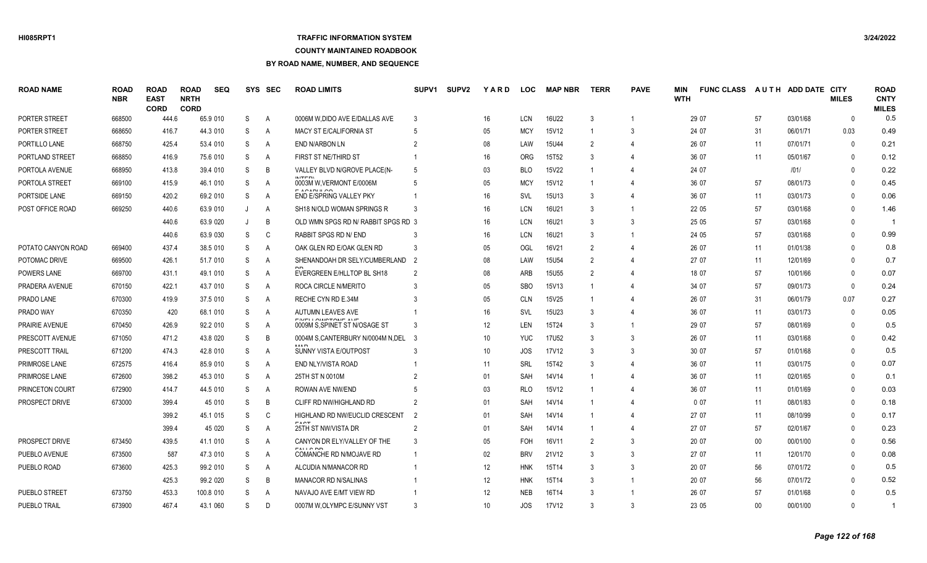### **TRAFFIC INFORMATION SYSTEM**

#### **COUNTY MAINTAINED ROADBOOK**

| <b>ROAD NAME</b>     | <b>ROAD</b><br><b>NBR</b> | <b>ROAD</b><br><b>EAST</b><br><b>CORD</b> | <b>ROAD</b><br><b>NRTH</b><br><b>CORD</b> | <b>SEQ</b> | SYS     | <b>SEC</b> | <b>ROAD LIMITS</b>                                              | SUPV <sub>1</sub> | <b>SUPV2</b> | YARD            | <b>LOC</b> | <b>MAP NBR</b>    | <b>TERR</b>   | <b>PAVE</b>   | MIN<br><b>WTH</b> | <b>FUNC CLASS</b> |        | AUTH ADD DATE CITY | <b>MILES</b> | <b>ROAD</b><br><b>CNTY</b><br><b>MILES</b> |
|----------------------|---------------------------|-------------------------------------------|-------------------------------------------|------------|---------|------------|-----------------------------------------------------------------|-------------------|--------------|-----------------|------------|-------------------|---------------|---------------|-------------------|-------------------|--------|--------------------|--------------|--------------------------------------------|
| PORTER STREET        | 668500                    | 444.6                                     |                                           | 65.9 010   | S.      | A          | 0006M W.DIDO AVE E/DALLAS AVE                                   |                   |              | 16              | <b>LCN</b> | 16U22             | 3             |               |                   | 29 07             | 57     | 03/01/68           | $\mathbf{0}$ | 0.5                                        |
| <b>PORTER STREET</b> | 668650                    | 416.7                                     |                                           | 44.3 010   | S       | A          | MACY ST E/CALIFORNIA ST                                         |                   |              | 05              | <b>MCY</b> | 15V12             |               | 3             |                   | 24 07             | 31     | 06/01/71           | 0.03         | 0.49                                       |
| PORTILLO LANE        | 668750                    | 425.4                                     |                                           | 53.4 010   | S       | A          | END N/ARBON LN                                                  |                   |              | 08              | LAW        | 15U44             | $\mathcal{P}$ |               |                   | 26 07             | 11     | 07/01/71           | $\Omega$     | 0.21                                       |
| PORTLAND STREET      | 668850                    | 416.9                                     |                                           | 75.6 010   | S       | Α          | FIRST ST NE/THIRD ST                                            |                   |              | 16              | <b>ORG</b> | 15T52             |               |               |                   | 36 07             | 11     | 05/01/67           | $\Omega$     | 0.12                                       |
| PORTOLA AVENUE       | 668950                    | 413.8                                     |                                           | 39.4 010   | S       | B          | VALLEY BLVD N/GROVE PLACE(N-                                    |                   |              | 03              | <b>BLO</b> | 15V22             |               |               |                   | 24 07             |        | 1011               | $\Omega$     | 0.22                                       |
| PORTOLA STREET       | 669100                    | 415.9                                     |                                           | 46.1 010   | S       | A          | 0003M W, VERMONT E/0006M                                        |                   |              | 05              | <b>MCY</b> | 15V12             |               |               |                   | 36 07             | 57     | 08/01/73           | $\Omega$     | 0.45                                       |
| PORTSIDE LANE        | 669150                    | 420.2                                     |                                           | 69.2 010   | S       | A          | F A O A D H B O C<br><b>END E/SPRING VALLEY PKY</b>             |                   |              | 16              | <b>SVL</b> | 15U13             | $\mathbf{3}$  |               |                   | 36 07             | 11     | 03/01/73           | $\Omega$     | 0.06                                       |
| POST OFFICE ROAD     | 669250                    | 440.6                                     |                                           | 63.9 010   | J       | Α          | SH18 N/OLD WOMAN SPRINGS R                                      |                   |              | 16              | <b>LCN</b> | 16U21             | 3             | -1            |                   | 22 05             | 57     | 03/01/68           | $\Omega$     | 1.46                                       |
|                      |                           | 440.6                                     |                                           | 63.9 020   | $\cdot$ | B          | OLD WMN SPGS RD N/ RABBIT SPGS RD 3                             |                   |              | 16              | <b>LCN</b> | 16U21             | 3             | 3             |                   | 25 05             | 57     | 03/01/68           | $\Omega$     |                                            |
|                      |                           | 440.6                                     |                                           | 63.9 030   | S       | C          | RABBIT SPGS RD N/ END                                           |                   |              | 16              | <b>LCN</b> | 16U21             | $\mathbf{3}$  | -1            |                   | 24 05             | 57     | 03/01/68           | $\Omega$     | 0.99                                       |
| POTATO CANYON ROAD   | 669400                    | 437.4                                     |                                           | 38.5 010   | S       | A          | OAK GLEN RD E/OAK GLEN RD                                       |                   |              | 05              | <b>OGL</b> | 16V21             |               | 4             |                   | 26 07             | 11     | 01/01/38           | $\Omega$     | 0.8                                        |
| POTOMAC DRIVE        | 669500                    | 426.1                                     |                                           | 51.7 010   | S       | A          | SHENANDOAH DR SELY/CUMBERLAND                                   | $\overline{2}$    |              | 08              | LAW        | <b>15U54</b>      | $\mathcal{P}$ | 4             |                   | 27 07             | 11     | 12/01/69           | $\Omega$     | 0.7                                        |
| <b>POWERS LANE</b>   | 669700                    | 431.1                                     |                                           | 49.1 010   | S       | A          | EVERGREEN E/HLLTOP BL SH18                                      |                   |              | 08              | ARB        | 15U <sub>55</sub> |               |               |                   | 18 07             | 57     | 10/01/66           | $\Omega$     | 0.07                                       |
| PRADERA AVENUE       | 670150                    | 422.1                                     |                                           | 43.7 010   | S       | A          | ROCA CIRCLE N/MERITO                                            |                   |              | 05              | <b>SBO</b> | 15V13             |               |               |                   | 34 07             | 57     | 09/01/73           | $\Omega$     | 0.24                                       |
| PRADO LANE           | 670300                    | 419.9                                     |                                           | 37.5 010   | S       | A          | RECHE CYN RD E.34M                                              |                   |              | 05              | <b>CLN</b> | 15V25             |               |               |                   | 26 07             | 31     | 06/01/79           | 0.07         | 0.27                                       |
| PRADO WAY            | 670350                    | 420                                       |                                           | 68.1 010   | S       | A          | <b>AUTUMN LEAVES AVE</b>                                        |                   |              | 16              | <b>SVL</b> | 15U23             | 3             |               |                   | 36 07             | 11     | 03/01/73           | $\Omega$     | 0.05                                       |
| PRAIRIE AVENUE       | 670450                    | 426.9                                     |                                           | 92.2 010   | S       | A          | <b>ENELL OWNTOWE AVE</b><br>0009M S, SPINET ST N/OSAGE ST       |                   |              | 12              | LEN        | 15T24             | 3             | -1            |                   | 29 07             | 57     | 08/01/69           | $\Omega$     | 0.5                                        |
| PRESCOTT AVENUE      | 671050                    | 471.2                                     |                                           | 43.8 020   | S       | B          | 0004M S.CANTERBURY N/0004M N.DEL                                | - 3               |              | 10 <sup>°</sup> | <b>YUC</b> | <b>17U52</b>      | 3             | 3             |                   | 26 07             | 11     | 03/01/68           | $\Omega$     | 0.42                                       |
| PRESCOTT TRAIL       | 671200                    | 474.3                                     |                                           | 42.8 010   | S       | Α          | SUNNY VISTA E/OUTPOST                                           |                   |              | 10              | JOS.       | 17V12             |               | 3             |                   | 30 07             | 57     | 01/01/68           | $\Omega$     | 0.5                                        |
| PRIMROSE LANE        | 672575                    | 416.4                                     |                                           | 85.9 010   | S       | A          | END NLY/VISTA ROAD                                              |                   |              | 11              | <b>SRL</b> | 15T42             |               |               |                   | 36 07             | 11     | 03/01/75           | $\Omega$     | 0.07                                       |
| PRIMROSE LANE        | 672600                    | 398.2                                     |                                           | 45.3 010   | S       | A          | 25TH ST N 0010M                                                 |                   |              | 01              | SAH        | 14V14             |               |               |                   | 36 07             | 11     | 02/01/65           | $\Omega$     | 0.1                                        |
| PRINCETON COURT      | 672900                    | 414.7                                     |                                           | 44.5 010   | S       | A          | ROWAN AVE NW/END                                                |                   |              | 03              | <b>RLO</b> | 15V12             |               |               |                   | 36 07             | 11     | 01/01/69           | $\Omega$     | 0.03                                       |
| PROSPECT DRIVE       | 673000                    | 399.4                                     |                                           | 45 010     | S       | B          | CLIFF RD NW/HIGHLAND RD                                         |                   |              | 01              | SAH        | 14V14             |               |               |                   | 007               | 11     | 08/01/83           | $\Omega$     | 0.18                                       |
|                      |                           | 399.2                                     |                                           | 45.1 015   | S       | C          | HIGHLAND RD NW/EUCLID CRESCENT                                  | $\overline{2}$    |              | 01              | SAH        | 14V14             |               |               |                   | 27 07             | 11     | 08/10/99           | $\Omega$     | 0.17                                       |
|                      |                           | 399.4                                     |                                           | 45 020     | S       | A          | 25TH ST NW/VISTA DR                                             |                   |              | 01              | SAH        | 14V14             |               | 4             |                   | 27 07             | 57     | 02/01/67           | $\Omega$     | 0.23                                       |
| PROSPECT DRIVE       | 673450                    | 439.5                                     |                                           | 41.1 010   | S       | Α          | CANYON DR ELY/VALLEY OF THE                                     |                   |              | 05              | <b>FOH</b> | 16V11             | $\mathcal{P}$ | 3             |                   | 20 07             | 00     | 00/01/00           | $\Omega$     | 0.56                                       |
| PUEBLO AVENUE        | 673500                    | 587                                       |                                           | 47.3 010   | S       | A          | $F$ <sub>ALLO</sub> $n$ <sub>D</sub><br>COMANCHE RD N/MOJAVE RD |                   |              | 02 <sub>2</sub> | <b>BRV</b> | 21V12             | 3             | 3             |                   | 27 07             | 11     | 12/01/70           | $\Omega$     | 0.08                                       |
| PUEBLO ROAD          | 673600                    | 425.3                                     |                                           | 99.2 010   | S       | A          | ALCUDIA N/MANACOR RD                                            |                   |              | 12              | <b>HNK</b> | 15T14             | $\mathbf{3}$  | 3             |                   | 20 07             | 56     | 07/01/72           | $\Omega$     | 0.5                                        |
|                      |                           | 425.3                                     |                                           | 99.2 020   | S       | B          | <b>MANACOR RD N/SALINAS</b>                                     |                   |              | 12              | <b>HNK</b> | 15T14             |               | -1            |                   | 20 07             | 56     | 07/01/72           | $\Omega$     | 0.52                                       |
| <b>PUEBLO STREET</b> | 673750                    | 453.3                                     |                                           | 100.8 010  | S       | A          | NAVAJO AVE E/MT VIEW RD                                         |                   |              | 12              | <b>NEB</b> | 16T14             |               |               |                   | 26 07             | 57     | 01/01/68           | $\Omega$     | 0.5                                        |
| <b>PUEBLO TRAIL</b>  | 673900                    | 467.4                                     |                                           | 43.1 060   | S.      | D          | 0007M W, OLYMPC E/SUNNY VST                                     |                   |              | 10 <sup>°</sup> | JOS.       | 17V12             |               | $\mathcal{R}$ |                   | 23 05             | $00\,$ | 00/01/00           | $\Omega$     | $\overline{1}$                             |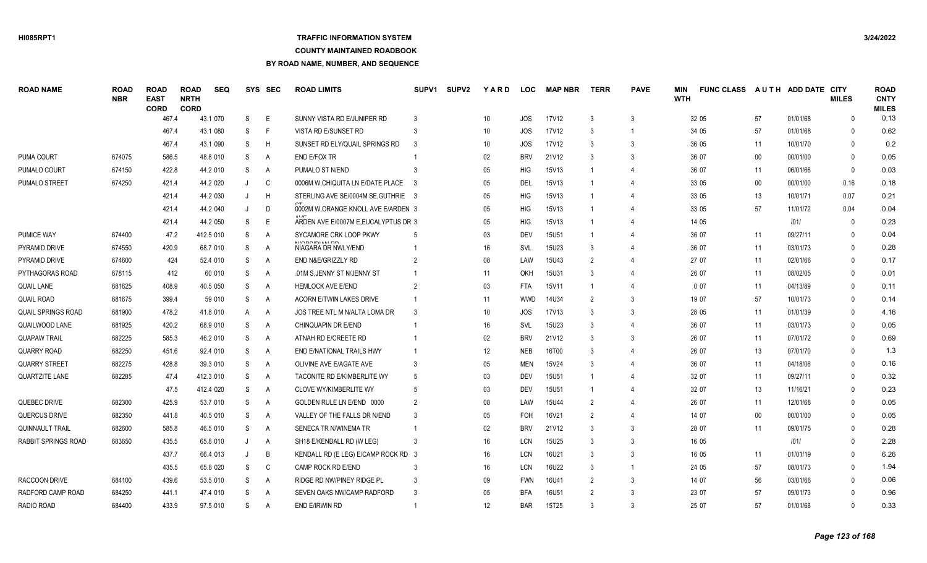### **TRAFFIC INFORMATION SYSTEM**

#### **COUNTY MAINTAINED ROADBOOK**

| <b>ROAD NAME</b>          | <b>ROAD</b><br><b>NBR</b> | <b>ROAD</b><br><b>EAST</b><br><b>CORD</b> | <b>ROAD</b><br><b>NRTH</b><br><b>CORD</b> | <b>SEQ</b> |         | SYS SEC | <b>ROAD LIMITS</b>                         | SUPV <sub>1</sub> | <b>SUPV2</b> | YARD            | <b>LOC</b> | <b>MAP NBR</b> | <b>TERR</b>    | <b>PAVE</b>           | MIN<br><b>WTH</b> | <b>FUNC CLASS</b> |    | AUTH ADD DATE CITY | <b>MILES</b> | <b>ROAD</b><br><b>CNTY</b><br><b>MILES</b> |
|---------------------------|---------------------------|-------------------------------------------|-------------------------------------------|------------|---------|---------|--------------------------------------------|-------------------|--------------|-----------------|------------|----------------|----------------|-----------------------|-------------------|-------------------|----|--------------------|--------------|--------------------------------------------|
|                           |                           | 467.4                                     |                                           | 43.1 070   | S       | E       | SUNNY VISTA RD E/JUNIPER RD                |                   |              | 10              | <b>JOS</b> | 17V12          | 3              | 3                     |                   | 32 05             | 57 | 01/01/68           | $\mathbf{0}$ | 0.13                                       |
|                           |                           | 467.4                                     |                                           | 43.1 080   | S       | F       | VISTA RD E/SUNSET RD                       |                   |              | 10 <sup>°</sup> | <b>JOS</b> | 17V12          |                |                       |                   | 34 05             | 57 | 01/01/68           | $\Omega$     | 0.62                                       |
|                           |                           | 467.4                                     |                                           | 43.1 090   | S       | H       | SUNSET RD ELY/QUAIL SPRINGS RD             |                   |              | 10              | JOS.       | 17V12          | 3              | 3                     |                   | 36 05             | 11 | 10/01/70           | $\Omega$     | 0.2                                        |
| <b>PUMA COURT</b>         | 674075                    | 586.5                                     |                                           | 48.8 010   | S       | Α       | <b>END E/FOX TR</b>                        |                   |              | $02\,$          | <b>BRV</b> | 21V12          |                | 3                     |                   | 36 07             | 00 | 00/01/00           | $\Omega$     | 0.05                                       |
| PUMALO COURT              | 674150                    | 422.8                                     |                                           | 44.2 010   | S       | A       | PUMALO ST N/END                            |                   |              | $05\,$          | <b>HIG</b> | 15V13          |                | 4                     |                   | 36 07             | 11 | 06/01/66           | 0            | 0.03                                       |
| <b>PUMALO STREET</b>      | 674250                    | 421.4                                     |                                           | 44.2 020   | J       | C       | 0006M W.CHIQUITA LN E/DATE PLACE 3         |                   |              | 05              | DEL        | 15V13          |                |                       |                   | 33 05             | 00 | 00/01/00           | 0.16         | 0.18                                       |
|                           |                           | 421.4                                     |                                           | 44.2 030   |         | H       | STERLING AVE SE/0004M SE, GUTHRIE 3        |                   |              | 05              | <b>HIG</b> | 15V13          |                |                       |                   | 33 05             | 13 | 10/01/71           | 0.07         | 0.21                                       |
|                           |                           | 421.4                                     |                                           | 44.2 040   |         | D       | 0002M W, ORANGE KNOLL AVE E/ARDEN 3        |                   |              | 05              | <b>HIG</b> | <b>15V13</b>   |                |                       |                   | 33 05             | 57 | 11/01/72           | 0.04         | 0.04                                       |
|                           |                           | 421.4                                     |                                           | 44.2 050   | S       | E       | ARDEN AVE E/0007M E, EUCALYPTUS DR 3       |                   |              | 05              | <b>HIG</b> | 15V13          |                |                       |                   | 14 05             |    | 1011               | $\mathbf{0}$ | 0.23                                       |
| <b>PUMICE WAY</b>         | 674400                    | 47.2                                      |                                           | 412.5 010  | S       | A       | SYCAMORE CRK LOOP PKWY                     |                   |              | 03              | <b>DEV</b> | 15U51          |                |                       |                   | 36 07             | 11 | 09/27/11           | $\mathbf{0}$ | 0.04                                       |
| PYRAMID DRIVE             | 674550                    | 420.9                                     |                                           | 68.7 010   | S       | A       | <b>NICOODIAN OD</b><br>NIAGARA DR NWLY/END |                   |              | 16              | SVL        | 15U23          |                | 4                     |                   | 36 07             | 11 | 03/01/73           | $\Omega$     | 0.28                                       |
| PYRAMID DRIVE             | 674600                    |                                           | 424                                       | 52.4 010   | S       | Α       | END N&E/GRIZZLY RD                         |                   |              | 08              | LAW        | 15U43          | $\overline{2}$ | $\overline{4}$        |                   | 27 07             | 11 | 02/01/66           | $\mathbf{0}$ | 0.17                                       |
| PYTHAGORAS ROAD           | 678115                    |                                           | 412                                       | 60 010     | S       | A       | .01M S, JENNY ST N/JENNY ST                |                   |              | 11              | OKH        | 15U31          |                |                       |                   | 26 07             | 11 | 08/02/05           | $\Omega$     | 0.01                                       |
| <b>QUAIL LANE</b>         | 681625                    | 408.9                                     |                                           | 40.5 050   | S       | A       | <b>HEMLOCK AVE E/END</b>                   | $\mathcal{P}$     |              | 03              | <b>FTA</b> | 15V11          |                | $\overline{4}$        |                   | 007               | 11 | 04/13/89           | $\Omega$     | 0.11                                       |
| <b>QUAIL ROAD</b>         | 681675                    | 399.4                                     |                                           | 59 010     | S       | A       | <b>ACORN E/TWIN LAKES DRIVE</b>            |                   |              | 11              | <b>WWD</b> | 14U34          | $\mathcal{P}$  | 3                     |                   | 19 07             | 57 | 10/01/73           | $\Omega$     | 0.14                                       |
| <b>QUAIL SPRINGS ROAD</b> | 681900                    | 478.2                                     |                                           | 41.8 010   | A       | A       | JOS TREE NTL M N/ALTA LOMA DR              | 3                 |              | 10 <sup>°</sup> | <b>JOS</b> | 17V13          | 3              | 3                     |                   | 28 05             | 11 | 01/01/39           | $\Omega$     | 4.16                                       |
| QUAILWOOD LANE            | 681925                    | 420.2                                     |                                           | 68.9 010   | S       | Α       | CHINQUAPIN DR E/END                        |                   |              | 16              | <b>SVL</b> | 15U23          | 3              | $\overline{4}$        |                   | 36 07             | 11 | 03/01/73           | $\mathbf{0}$ | 0.05                                       |
| <b>QUAPAW TRAIL</b>       | 682225                    | 585.3                                     |                                           | 46.2 010   | S       | Α       | ATNAH RD E/CREETE RD                       |                   |              | 02 <sub>2</sub> | <b>BRV</b> | 21V12          | $\mathbf{3}$   | 3                     |                   | 26 07             | 11 | 07/01/72           | $\Omega$     | 0.69                                       |
| <b>QUARRY ROAD</b>        | 682250                    | 451.6                                     |                                           | 92.4 010   | S       | Α       | END E/NATIONAL TRAILS HWY                  |                   |              | 12              | <b>NEB</b> | 16T00          |                | $\overline{4}$        |                   | 26 07             | 13 | 07/01/70           | $\mathbf{0}$ | 1.3                                        |
| <b>QUARRY STREET</b>      | 682275                    | 428.8                                     |                                           | 39.3 010   | S       | Α       | OLIVINE AVE E/AGATE AVE                    |                   |              | 05              | <b>MEN</b> | 15V24          |                |                       |                   | 36 07             | 11 | 04/18/06           | $\mathbf{0}$ | 0.16                                       |
| <b>QUARTZITE LANE</b>     | 682285                    | 47.4                                      |                                           | 412.3 010  | S       | A       | TACONITE RD E/KIMBERLITE WY                |                   |              | 03              | DEV        | 15U51          |                |                       |                   | 32 07             | 11 | 09/27/11           | $\mathbf{0}$ | 0.32                                       |
|                           |                           | 47.5                                      |                                           | 412.4 020  | S       | A       | CLOVE WY/KIMBERLITE WY                     |                   |              | 03              | <b>DEV</b> | <b>15U51</b>   |                |                       |                   | 32 07             | 13 | 11/16/21           | $\Omega$     | 0.23                                       |
| QUEBEC DRIVE              | 682300                    | 425.9                                     |                                           | 53.7 010   | S       | A       | GOLDEN RULE LN E/END 0000                  | $\overline{2}$    |              | 08              | LAW        | 15U44          | 2              | $\Delta$              |                   | 26 07             | 11 | 12/01/68           | $\Omega$     | 0.05                                       |
| QUERCUS DRIVE             | 682350                    | 441.8                                     |                                           | 40.5 010   | S       | A       | VALLEY OF THE FALLS DR N/END               |                   |              | 05              | <b>FOH</b> | 16V21          | $\mathcal{P}$  | $\boldsymbol{\Delta}$ |                   | 14 07             | 00 | 00/01/00           | $\Omega$     | 0.05                                       |
| QUINNAULT TRAIL           | 682600                    | 585.8                                     |                                           | 46.5 010   | S       | A       | SENECA TR N/WINEMA TR                      |                   |              | $02\,$          | <b>BRV</b> | 21V12          | $\mathbf{3}$   | 3                     |                   | 28 07             | 11 | 09/01/75           | $\Omega$     | 0.28                                       |
| RABBIT SPRINGS ROAD       | 683650                    | 435.5                                     |                                           | 65.8 010   | J       | A       | SH18 E/KENDALL RD (W LEG)                  |                   |              | 16              | <b>LCN</b> | <b>15U25</b>   | $\mathbf{3}$   | 3                     |                   | 16 05             |    | 1011               | $\Omega$     | 2.28                                       |
|                           |                           | 437.7                                     |                                           | 66.4 013   | $\cdot$ | B       | KENDALL RD (E LEG) E/CAMP ROCK RD 3        |                   |              | 16              | <b>LCN</b> | 16U21          | 3              | 3                     |                   | 16 05             | 11 | 01/01/19           | $\Omega$     | 6.26                                       |
|                           |                           | 435.5                                     |                                           | 65.8 020   | S       | C       | CAMP ROCK RD E/END                         |                   |              | 16              | <b>LCN</b> | 16U22          | $\mathbf{3}$   | -1                    |                   | 24 05             | 57 | 08/01/73           | $\Omega$     | 1.94                                       |
| <b>RACCOON DRIVE</b>      | 684100                    | 439.6                                     |                                           | 53.5 010   | S       | A       | RIDGE RD NW/PINEY RIDGE PL                 |                   |              | 09              | <b>FWN</b> | 16U41          |                | 3                     |                   | 14 07             | 56 | 03/01/66           | $\Omega$     | 0.06                                       |
| RADFORD CAMP ROAD         | 684250                    | 441.1                                     |                                           | 47.4 010   | S       | A       | SEVEN OAKS NW/CAMP RADFORD                 |                   |              | 05              | <b>BFA</b> | 16U51          |                | 3                     |                   | 23 07             | 57 | 09/01/73           | $\Omega$     | 0.96                                       |
| RADIO ROAD                | 684400                    | 433.9                                     |                                           | 97.5 010   | S.      | A       | END E/IRWIN RD                             |                   |              | 12              | <b>BAR</b> | 15T25          |                | 3                     |                   | 25 07             | 57 | 01/01/68           | $\Omega$     | 0.33                                       |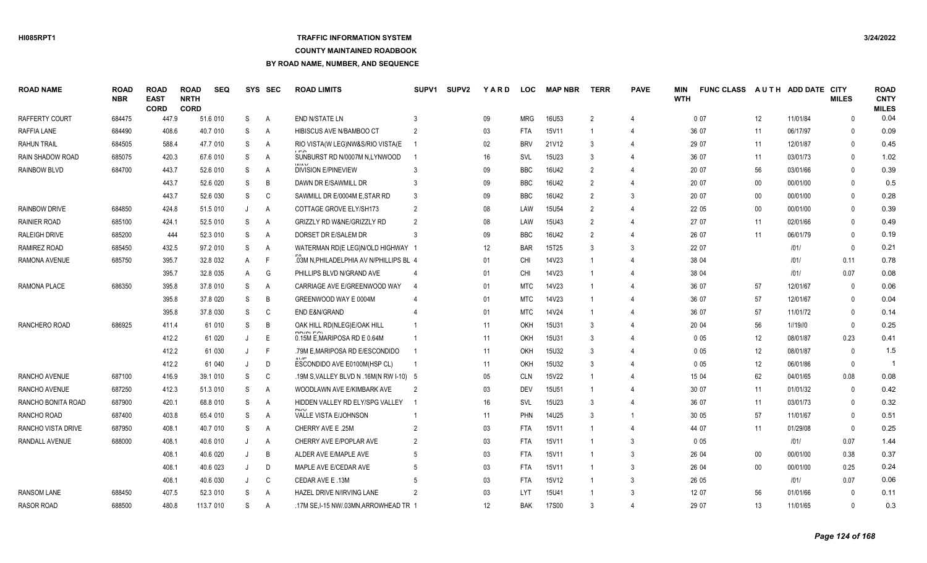## **TRAFFIC INFORMATION SYSTEM**

#### **COUNTY MAINTAINED ROADBOOK**

| <b>ROAD NAME</b>      | <b>ROAD</b><br><b>NBR</b> | <b>ROAD</b><br><b>EAST</b><br><b>CORD</b> | <b>ROAD</b><br><b>NRTH</b><br><b>CORD</b> | <b>SEQ</b> | SYS          | <b>SEC</b>   | <b>ROAD LIMITS</b>                            | SUPV1          | <b>SUPV2</b> | YARD | <b>LOC</b> | <b>MAP NBR</b> | <b>TERR</b>    | <b>PAVE</b>           | MIN<br><b>WTH</b> | <b>FUNC CLASS</b> | <b>AUTH</b>       | ADD DATE CITY | <b>MILES</b> | <b>ROAD</b><br><b>CNTY</b><br><b>MILES</b> |
|-----------------------|---------------------------|-------------------------------------------|-------------------------------------------|------------|--------------|--------------|-----------------------------------------------|----------------|--------------|------|------------|----------------|----------------|-----------------------|-------------------|-------------------|-------------------|---------------|--------------|--------------------------------------------|
| <b>RAFFERTY COURT</b> | 684475                    | 447.9                                     |                                           | 51.6 010   | S            | Α            | <b>END N/STATE LN</b>                         |                |              | 09   | <b>MRG</b> | 16U53          | $\overline{2}$ | 4                     |                   | 007               | 12                | 11/01/84      | $\mathbf{0}$ | 0.04                                       |
| RAFFIA LANE           | 684490                    | 408.6                                     |                                           | 40.7 010   | S            | Α            | HIBISCUS AVE N/BAMBOO CT                      | $\mathcal{P}$  |              | 03   | <b>FTA</b> | 15V11          |                |                       |                   | 36 07             | 11                | 06/17/97      | $\Omega$     | 0.09                                       |
| <b>RAHUN TRAIL</b>    | 684505                    | 588.4                                     |                                           | 47.7 010   | S            | A            | RIO VISTA(W LEG)NW&S/RIO VISTA(E              |                |              | 02   | <b>BRV</b> | 21V12          | 3              |                       |                   | 29 07             | 11                | 12/01/87      | $\mathbf{0}$ | 0.45                                       |
| RAIN SHADOW ROAD      | 685075                    | 420.3                                     |                                           | 67.6 010   | S            | A            | SUNBURST RD N/0007M N,LYNWOOD                 |                |              | 16   | SVL        | 15U23          |                | 4                     |                   | 36 07             | 11                | 03/01/73      | $\Omega$     | 1.02                                       |
| RAINBOW BLVD          | 684700                    | 443.7                                     |                                           | 52.6 010   | S            | Α            | <b>DIVISION E/PINEVIEW</b>                    |                |              | 09   | <b>BBC</b> | 16U42          | $\overline{2}$ | $\overline{4}$        |                   | 20 07             | 56                | 03/01/66      | $\Omega$     | 0.39                                       |
|                       |                           | 443.7                                     |                                           | 52.6 020   | S            | B            | DAWN DR E/SAWMILL DR                          |                |              | 09   | <b>BBC</b> | 16U42          | $\overline{2}$ |                       |                   | 20 07             | $00\,$            | 00/01/00      | $\Omega$     | 0.5                                        |
|                       |                           | 443.7                                     |                                           | 52.6 030   | S            | C            | SAWMILL DR E/0004M E, STAR RD                 |                |              | 09   | <b>BBC</b> | 16U42          | 2              | 3                     |                   | 20 07             | $00\,$            | 00/01/00      | $\Omega$     | 0.28                                       |
| <b>RAINBOW DRIVE</b>  | 684850                    | 424.8                                     |                                           | 51.5 010   | J            | Α            | COTTAGE GROVE ELY/SH173                       | $\overline{2}$ |              | 08   | LAW        | <b>15U54</b>   | $\overline{2}$ | 4                     |                   | 22 05             | $00\,$            | 00/01/00      | $\Omega$     | 0.39                                       |
| <b>RAINIER ROAD</b>   | 685100                    | 424.1                                     |                                           | 52.5 010   | S            | A            | GRIZZLY RD W&NE/GRIZZLY RD                    | $\mathcal{P}$  |              | 08   | LAW        | 15U43          | $\overline{2}$ | $\boldsymbol{\Delta}$ |                   | 27 07             | 11                | 02/01/66      | $\Omega$     | 0.49                                       |
| RALEIGH DRIVE         | 685200                    | 444                                       |                                           | 52.3 010   | S            | Α            | DORSET DR E/SALEM DR                          |                |              | 09   | <b>BBC</b> | 16U42          | $\overline{2}$ | $\boldsymbol{\Delta}$ |                   | 26 07             | 11                | 06/01/79      | $\mathbf{0}$ | 0.19                                       |
| RAMIREZ ROAD          | 685450                    | 432.5                                     |                                           | 97.2 010   | S            | Α            | WATERMAN RD(E LEG)N/OLD HIGHWAY               |                |              | 12   | <b>BAR</b> | 15T25          | $\mathcal{R}$  | 3                     |                   | 22 07             |                   | 1011          | $\mathbf{0}$ | 0.21                                       |
| RAMONA AVENUE         | 685750                    | 395.7                                     |                                           | 32.8 032   | A            | F            | .03M N, PHILADELPHIA AV N/PHILLIPS BL 4       |                |              | 01   | CHI        | 14V23          |                | 4                     |                   | 38 04             |                   | 1011          | 0.11         | 0.78                                       |
|                       |                           | 395.7                                     |                                           | 32.8 035   | A            | G            | PHILLIPS BLVD N/GRAND AVE                     |                |              | 01   | CHI        | 14V23          |                |                       |                   | 38 04             |                   | 1011          | 0.07         | 0.08                                       |
| <b>RAMONA PLACE</b>   | 686350                    | 395.8                                     |                                           | 37.8 010   | S            | A            | CARRIAGE AVE E/GREENWOOD WAY                  | 4              |              | 01   | <b>MTC</b> | 14V23          |                |                       |                   | 36 07             | 57                | 12/01/67      | $\Omega$     | 0.06                                       |
|                       |                           | 395.8                                     |                                           | 37.8 020   | S            | B            | GREENWOOD WAY E 0004M                         |                |              | 01   | <b>MTC</b> | 14V23          |                |                       |                   | 36 07             | 57                | 12/01/67      | $\Omega$     | 0.04                                       |
|                       |                           | 395.8                                     |                                           | 37.8 030   | S            | C            | <b>END E&amp;N/GRAND</b>                      |                |              | 01   | <b>MTC</b> | 14V24          |                |                       |                   | 36 07             | 57                | 11/01/72      | $\Omega$     | 0.14                                       |
| RANCHERO ROAD         | 686925                    | 411.4                                     |                                           | 61 010     | S            | B            | OAK HILL RD(NLEG)E/OAK HILL                   |                |              | 11   | <b>OKH</b> | 15U31          | 3              | 4                     |                   | 20 04             | 56                | 1//19//0      | $\mathbf{0}$ | 0.25                                       |
|                       |                           | 412.2                                     |                                           | 61 020     | $\mathbf{J}$ | E            | 0.15M E.MARIPOSA RD E 0.64M                   |                |              | 11   | OKH        | 15U31          | 3              |                       |                   | 005               | 12                | 08/01/87      | 0.23         | 0.41                                       |
|                       |                           | 412.2                                     |                                           | 61 030     | J            | F            | .79M E, MARIPOSA RD E/ESCONDIDO               |                |              | 11   | <b>OKH</b> | 15U32          |                |                       |                   | 005               | 12                | 08/01/87      | $\mathbf{0}$ | 1.5                                        |
|                       |                           | 412.2                                     |                                           | 61 040     | J            | D            | ESCONDIDO AVE E0100M(HSP CL)                  |                |              | 11   | <b>OKH</b> | 15U32          |                |                       |                   | 005               | $12 \overline{ }$ | 06/01/86      | $\mathbf{0}$ |                                            |
| RANCHO AVENUE         | 687100                    | 416.9                                     |                                           | 39.1 010   | S            | $\mathsf{C}$ | .19M S, VALLEY BLVD N .16M (N RW I-10) 5      |                |              | 05   | <b>CLN</b> | 15V22          |                |                       |                   | 15 04             | 62                | 04/01/65      | 0.08         | 0.08                                       |
| RANCHO AVENUE         | 687250                    | 412.3                                     |                                           | 51.3 010   | S            | A            | WOODLAWN AVE E/KIMBARK AVE                    |                |              | 03   | <b>DEV</b> | 15U51          |                |                       |                   | 30 07             | 11                | 01/01/32      | $\Omega$     | 0.42                                       |
| RANCHO BONITA ROAD    | 687900                    | 420.1                                     |                                           | 68.8 010   | S            | A            | HIDDEN VALLEY RD ELY/SPG VALLEY               |                |              | 16   | SVL        | 15U23          | 3              |                       |                   | 36 07             | 11                | 03/01/73      | $\Omega$     | 0.32                                       |
| RANCHO ROAD           | 687400                    | 403.8                                     |                                           | 65.4 010   | S            | A            | VALLE VISTA E/JOHNSON                         |                |              | 11   | PHN        | 14U25          | 3              | $\overline{1}$        |                   | 30 05             | 57                | 11/01/67      | $\Omega$     | 0.51                                       |
| RANCHO VISTA DRIVE    | 687950                    | 408.1                                     |                                           | 40.7 010   | S            | A            | CHERRY AVE E .25M                             |                |              | 03   | <b>FTA</b> | 15V11          |                | $\overline{4}$        |                   | 44 07             | 11                | 01/29/08      | $\mathbf{0}$ | 0.25                                       |
| <b>RANDALL AVENUE</b> | 688000                    | 408.1                                     |                                           | 40.6 010   | J            | Α            | CHERRY AVE E/POPLAR AVE                       | $\mathcal{P}$  |              | 03   | <b>FTA</b> | 15V11          |                | 3                     |                   | 0 0 5             |                   | 1011          | 0.07         | 1.44                                       |
|                       |                           | 408.1                                     |                                           | 40.6 020   | J            | B            | ALDER AVE E/MAPLE AVE                         |                |              | 03   | <b>FTA</b> | 15V11          |                | 3                     |                   | 26 04             | $00\,$            | 00/01/00      | 0.38         | 0.37                                       |
|                       |                           | 408.1                                     |                                           | 40.6 023   | $\cdot$      | D            | MAPLE AVE E/CEDAR AVE                         |                |              | 03   | <b>FTA</b> | 15V11          |                | 3                     |                   | 26 04             | $00\,$            | 00/01/00      | 0.25         | 0.24                                       |
|                       |                           | 408.1                                     |                                           | 40.6 030   | $\cdot$      | C            | CEDAR AVE E .13M                              |                |              | 03   | <b>FTA</b> | 15V12          |                | 3                     |                   | 26 05             |                   | 1011          | 0.07         | 0.06                                       |
| <b>RANSOM LANE</b>    | 688450                    | 407.5                                     |                                           | 52.3 010   | S            | A            | HAZEL DRIVE N/IRVING LANE                     |                |              | 03   | <b>LYT</b> | 15U41          |                | 3                     |                   | 12 07             | 56                | 01/01/66      | $\Omega$     | 0.11                                       |
| <b>RASOR ROAD</b>     | 688500                    | 480.8                                     |                                           | 113.7 010  | S.           | A            | .17M SE,I-15 NW/.03MN,ARROWHEAD TR $^{\circ}$ |                |              | 12   | <b>BAK</b> | 17S00          |                | 4                     |                   | 29 07             | 13                | 11/01/65      | $\Omega$     | 0.3                                        |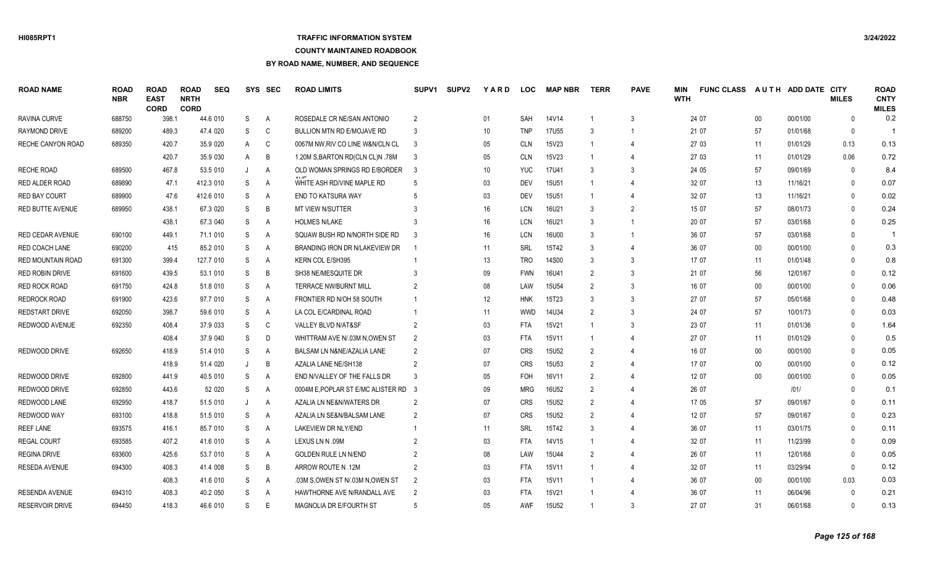## **TRAFFIC INFORMATION SYSTEM**

#### **COUNTY MAINTAINED ROADBOOK**

| <b>ROAD NAME</b>        | <b>ROAD</b><br><b>NBR</b> | <b>ROAD</b><br><b>EAST</b><br><b>CORD</b> | <b>ROAD</b><br><b>NRTH</b><br><b>CORD</b> | <b>SEQ</b> |    | SYS SEC        | <b>ROAD LIMITS</b>                   | SUPV <sub>1</sub> | <b>SUPV2</b> | <b>YARD</b> | <b>LOC</b> | <b>MAP NBR</b>    | <b>TERR</b>    | <b>PAVE</b>    | <b>MIN</b><br><b>WTH</b> | <b>FUNC CLASS</b> |        | AUTH ADD DATE CITY | <b>MILES</b> | <b>ROAD</b><br><b>CNTY</b><br><b>MILES</b> |
|-------------------------|---------------------------|-------------------------------------------|-------------------------------------------|------------|----|----------------|--------------------------------------|-------------------|--------------|-------------|------------|-------------------|----------------|----------------|--------------------------|-------------------|--------|--------------------|--------------|--------------------------------------------|
| RAVINA CURVE            | 688750                    | 398.1                                     |                                           | 44.6 010   | S  | $\mathsf{A}$   | ROSEDALE CR NE/SAN ANTONIO           | $\overline{2}$    |              | 01          | SAH        | 14V14             |                | 3              |                          | 24 07             | $00\,$ | 00/01/00           | $\Omega$     | 0.2                                        |
| <b>RAYMOND DRIVE</b>    | 689200                    | 489.3                                     |                                           | 47.4 020   | S  | C              | BULLION MTN RD E/MOJAVE RD           | 3                 |              | 10          | <b>TNP</b> | 17U55             | 3              |                |                          | 21 07             | 57     | 01/01/68           | $\mathbf{0}$ |                                            |
| RECHE CANYON ROAD       | 689350                    | 420.7                                     |                                           | 35.9 020   | A  | C              | 0067M NW, RIV CO LINE W&N/CLN CL     | 3                 |              | 05          | <b>CLN</b> | 15V23             |                | $\overline{4}$ |                          | 27 03             | 11     | 01/01/29           | 0.13         | 0.13                                       |
|                         |                           | 420.7                                     |                                           | 35.9 030   | A  | B              | 1.20M S, BARTON RD(CLN CL)N .78M     |                   |              | 05          | <b>CLN</b> | 15V23             |                | 4              |                          | 27 03             | 11     | 01/01/29           | 0.06         | 0.72                                       |
| <b>RECHE ROAD</b>       | 689500                    | 467.8                                     |                                           | 53.5 010   | J  | A              | OLD WOMAN SPRINGS RD E/BORDER        | -3                |              | 10          | <b>YUC</b> | 17U41             | 3              | 3              |                          | 24 05             | 57     | 09/01/69           | $\Omega$     | 8.4                                        |
| RED ALDER ROAD          | 689890                    | 47.1                                      |                                           | 412.3 010  | S  | A              | WHITE ASH RD/VINE MAPLE RD           | -5                |              | 03          | DEV        | <b>15U51</b>      |                | 4              |                          | 32 07             | 13     | 11/16/21           | $\Omega$     | 0.07                                       |
| <b>RED BAY COURT</b>    | 689900                    | 47.6                                      |                                           | 412.6 010  | S  | $\overline{A}$ | END TO KATSURA WAY                   |                   |              | 03          | <b>DEV</b> | <b>15U51</b>      |                | $\overline{4}$ |                          | 32 07             | 13     | 11/16/21           | $\Omega$     | 0.02                                       |
| <b>RED BUTTE AVENUE</b> | 689950                    | 438.1                                     |                                           | 67.3 020   | S  | B              | <b>MT VIEW N/SUTTER</b>              |                   |              | 16          | <b>LCN</b> | 16U21             | 3              | 2              |                          | 15 07             | 57     | 08/01/73           | $\Omega$     | 0.24                                       |
|                         |                           | 438.1                                     |                                           | 67.3 040   | S  | A              | <b>HOLMES N/LAKE</b>                 |                   |              | 16          | <b>LCN</b> | 16U21             | 3              | $\overline{1}$ |                          | 20 07             | 57     | 03/01/68           | $\Omega$     | 0.25                                       |
| <b>RED CEDAR AVENUE</b> | 690100                    | 449.1                                     |                                           | 71.1 010   | S  | A              | SQUAW BUSH RD N/NORTH SIDE RD        | 3                 |              | 16          | <b>LCN</b> | 16U00             | 3              | $\overline{1}$ |                          | 36 07             | 57     | 03/01/68           | $\mathbf{0}$ | -1                                         |
| RED COACH LANE          | 690200                    | 415                                       |                                           | 85.2 010   | S  | A              | BRANDING IRON DR N/LAKEVIEW DR       |                   |              | 11          | SRL        | 15T42             |                | 4              |                          | 36 07             | $00\,$ | 00/01/00           | $\Omega$     | 0.3                                        |
| RED MOUNTAIN ROAD       | 691300                    | 399.4                                     |                                           | 127.7 010  | S  | A              | KERN COL E/SH395                     |                   |              | 13          | <b>TRO</b> | <b>14S00</b>      | 3              | 3              |                          | 17 07             | 11     | 01/01/48           | $\mathbf{0}$ | 0.8                                        |
| <b>RED ROBIN DRIVE</b>  | 691600                    | 439.5                                     |                                           | 53.1 010   | S  | B              | SH38 NE/MESQUITE DR                  |                   |              | 09          | <b>FWN</b> | 16U41             | $\mathfrak{p}$ | 3              |                          | 21 07             | 56     | 12/01/67           | $\Omega$     | 0.12                                       |
| RED ROCK ROAD           | 691750                    | 424.8                                     |                                           | 51.8 010   | S  | $\overline{A}$ | <b>TERRACE NW/BURNT MILL</b>         |                   |              | 08          | LAW        | 15U54             | $\mathfrak{p}$ | 3              |                          | 16 07             | $00\,$ | 00/01/00           | $\Omega$     | 0.06                                       |
| <b>REDROCK ROAD</b>     | 691900                    | 423.6                                     |                                           | 97.7 010   | S  | A              | FRONTIER RD N/OH 58 SOUTH            |                   |              | 12          | <b>HNK</b> | 15T23             | 3              | 3              |                          | 27 07             | 57     | 05/01/68           | $\Omega$     | 0.48                                       |
| REDSTART DRIVE          | 692050                    | 398.7                                     |                                           | 59.6 010   | S  | $\overline{A}$ | LA COL E/CARDINAL ROAD               |                   |              | 11          | <b>WWD</b> | 14U34             | $\overline{2}$ | 3              |                          | 24 07             | 57     | 10/01/73           | $\Omega$     | 0.03                                       |
| REDWOOD AVENUE          | 692350                    | 408.4                                     |                                           | 37.9 033   | S  | C              | VALLEY BLVD N/AT&SF                  | $\overline{2}$    |              | 03          | <b>FTA</b> | 15V21             | $\overline{1}$ | 3              |                          | 23 07             | 11     | 01/01/36           | $\mathbf{0}$ | 1.64                                       |
|                         |                           | 408.4                                     |                                           | 37.9 040   | S  | D              | WHITTRAM AVE N/.03M N, OWEN ST       | $\overline{2}$    |              | 03          | <b>FTA</b> | 15V11             |                | $\overline{4}$ |                          | 27 07             | 11     | 01/01/29           | $\Omega$     | 0.5                                        |
| REDWOOD DRIVE           | 692650                    | 418.9                                     |                                           | 51.4 010   | S  | A              | BALSAM LN N&NE/AZALIA LANE           | $\overline{2}$    |              | 07          | <b>CRS</b> | 15U52             | $\overline{2}$ | $\overline{4}$ |                          | 16 07             | $00\,$ | 00/01/00           | $\mathbf{0}$ | 0.05                                       |
|                         |                           | 418.9                                     |                                           | 51.4 020   |    | B              | AZALIA LANE NE/SH138                 | 2                 |              | 07          | <b>CRS</b> | 15U <sub>53</sub> | $\overline{2}$ | $\overline{4}$ |                          | 17 07             | $00\,$ | 00/01/00           | $\mathbf{0}$ | 0.12                                       |
| REDWOOD DRIVE           | 692800                    | 441.9                                     |                                           | 40.5 010   | S  | A              | END N/VALLEY OF THE FALLS DR         | 3                 |              | 05          | <b>FOH</b> | 16V11             | $\mathcal{P}$  | 4              |                          | 12 07             | $00\,$ | 00/01/00           | $\mathbf{0}$ | 0.05                                       |
| REDWOOD DRIVE           | 692850                    | 443.6                                     |                                           | 52 020     | S  | A              | 0004M E, POPLAR ST E/MC ALISTER RD 3 |                   |              | 09          | <b>MRG</b> | 16U52             | $\mathfrak{p}$ | 4              |                          | 26 07             |        | 1011               | $\Omega$     | 0.1                                        |
| REDWOOD LANE            | 692950                    | 418.7                                     |                                           | 51.5 010   | J  | A              | AZALIA LN NE&N/WATERS DR             | 2                 |              | 07          | <b>CRS</b> | <b>15U52</b>      | $\overline{2}$ | $\overline{4}$ |                          | 17 05             | 57     | 09/01/67           | $\mathbf{0}$ | 0.11                                       |
| REDWOOD WAY             | 693100                    | 418.8                                     |                                           | 51.5 010   | S  | A              | AZALIA LN SE&N/BALSAM LANE           | 2                 |              | 07          | <b>CRS</b> | <b>15U52</b>      | $\mathfrak{p}$ | $\overline{4}$ |                          | 12 07             | 57     | 09/01/67           | $\Omega$     | 0.23                                       |
| <b>REEF LANE</b>        | 693575                    | 416.1                                     |                                           | 85.7 010   | S  | $\overline{A}$ | LAKEVIEW DR NLY/END                  |                   |              | 11          | SRL        | 15T42             | $\mathcal{R}$  | $\overline{4}$ |                          | 36 07             | 11     | 03/01/75           | $\Omega$     | 0.11                                       |
| REGAL COURT             | 693585                    | 407.2                                     |                                           | 41.6 010   | S  | $\mathsf{A}$   | LEXUS LN N .09M                      |                   |              | 03          | <b>FTA</b> | 14V15             |                | $\overline{4}$ |                          | 32 07             | 11     | 11/23/99           | $\Omega$     | 0.09                                       |
| REGINA DRIVE            | 693600                    | 425.6                                     |                                           | 53.7 010   | S  | A              | <b>GOLDEN RULE LN N/END</b>          |                   |              | 08          | LAW        | <b>15U44</b>      | $\mathcal{P}$  | $\overline{4}$ |                          | 26 07             | 11     | 12/01/68           | $\Omega$     | 0.05                                       |
| <b>RESEDA AVENUE</b>    | 694300                    | 408.3                                     |                                           | 41.4 008   | S  | B              | ARROW ROUTE N.12M                    | $\mathcal{P}$     |              | 03          | <b>FTA</b> | 15V11             |                | $\overline{4}$ |                          | 32 07             | 11     | 03/29/94           | $\Omega$     | 0.12                                       |
|                         |                           | 408.3                                     |                                           | 41.6 010   | S  | A              | .03M S,OWEN ST N/.03M N,OWEN ST      | $\mathcal{P}$     |              | 03          | <b>FTA</b> | 15V11             |                | $\overline{4}$ |                          | 36 07             | 00     | 00/01/00           | 0.03         | 0.03                                       |
| <b>RESENDA AVENUE</b>   | 694310                    | 408.3                                     |                                           | 40.2 050   | S  | A              | HAWTHORNE AVE N/RANDALL AVE          | 2                 |              | 03          | <b>FTA</b> | 15V21             |                |                |                          | 36 07             | 11     | 06/04/96           | $\Omega$     | 0.21                                       |
| <b>RESERVOIR DRIVE</b>  | 694450                    | 418.3                                     |                                           | 46.6 010   | S. | F              | <b>MAGNOLIA DR E/FOURTH ST</b>       |                   |              | $05\,$      | AWF        | <b>15U52</b>      |                | 3              |                          | 27 07             | 31     | 06/01/68           | $\Omega$     | 0.13                                       |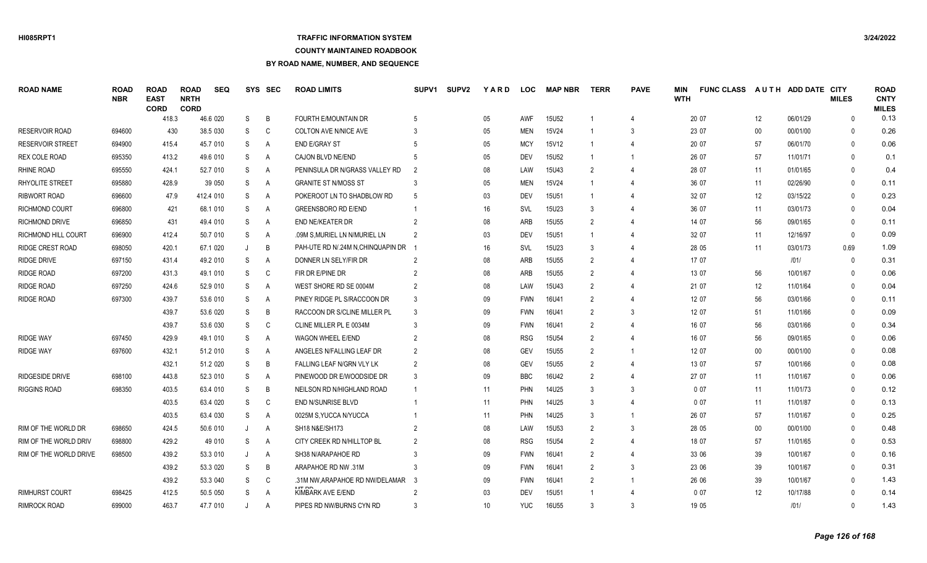### **TRAFFIC INFORMATION SYSTEM**

### **COUNTY MAINTAINED ROADBOOK**

| <b>ROAD NAME</b>           | <b>ROAD</b><br><b>NBR</b> | <b>ROAD</b><br><b>EAST</b><br><b>CORD</b> | <b>ROAD</b><br><b>NRTH</b><br><b>CORD</b> | <b>SEQ</b> | SYS          | <b>SEC</b> | <b>ROAD LIMITS</b>                | SUPV <sub>1</sub> | <b>SUPV2</b> | YARD            | <b>LOC</b> | <b>MAP NBR</b>    | <b>TERR</b>   | <b>PAVE</b>                 | MIN<br><b>WTH</b> | <b>FUNC CLASS</b> |        | AUTH ADD DATE CITY | <b>MILES</b> | <b>ROAD</b><br><b>CNTY</b><br><b>MILES</b> |
|----------------------------|---------------------------|-------------------------------------------|-------------------------------------------|------------|--------------|------------|-----------------------------------|-------------------|--------------|-----------------|------------|-------------------|---------------|-----------------------------|-------------------|-------------------|--------|--------------------|--------------|--------------------------------------------|
|                            |                           | 418.3                                     |                                           | 46.6 020   | S            | B          | <b>FOURTH E/MOUNTAIN DR</b>       |                   |              | $05\,$          | AWF        | <b>15U52</b>      |               | 4                           |                   | 20 07             | 12     | 06/01/29           | $\Omega$     | 0.13                                       |
| <b>RESERVOIR ROAD</b>      | 694600                    |                                           | 430                                       | 38.5 030   | S            | C          | <b>COLTON AVE N/NICE AVE</b>      |                   |              | 05              | <b>MEN</b> | 15V24             |               | 3                           |                   | 23 07             | 00     | 00/01/00           | $\Omega$     | 0.26                                       |
| <b>RESERVOIR STREET</b>    | 694900                    | 415.4                                     |                                           | 45.7 010   | S            | A          | <b>END E/GRAY ST</b>              |                   |              | 05              | <b>MCY</b> | 15V12             |               | 4                           |                   | 20 07             | 57     | 06/01/70           | $\Omega$     | 0.06                                       |
| <b>REX COLE ROAD</b>       | 695350                    | 413.2                                     |                                           | 49.6 010   | S            | Α          | CAJON BLVD NE/END                 |                   |              | 05              | <b>DEV</b> | <b>15U52</b>      |               | $\overline{1}$              |                   | 26 07             | 57     | 11/01/71           | $\Omega$     | 0.1                                        |
| <b>RHINE ROAD</b>          | 695550                    | 424.1                                     |                                           | 52.7 010   | S            | Α          | PENINSULA DR N/GRASS VALLEY RD    | 2                 |              | 08              | LAW        | 15U43             | 2             |                             |                   | 28 07             | 11     | 01/01/65           | $\Omega$     | 0.4                                        |
| RHYOLITE STREET            | 695880                    | 428.9                                     |                                           | 39 050     | S            | A          | <b>GRANITE ST N/MOSS ST</b>       |                   |              | 05              | <b>MEN</b> | 15V24             |               |                             |                   | 36 07             | 11     | 02/26/90           | $\Omega$     | 0.11                                       |
| <b>RIBWORT ROAD</b>        | 696600                    |                                           | 47.9                                      | 412.4 010  | S            | A          | POKEROOT LN TO SHADBLOW RD        |                   |              | 03              | <b>DEV</b> | <b>15U51</b>      |               |                             |                   | 32 07             | 12     | 03/15/22           | $\Omega$     | 0.23                                       |
| <b>RICHMOND COURT</b>      | 696800                    |                                           | 421                                       | 68.1 010   | S            | Α          | <b>GREENSBORO RD E/END</b>        |                   |              | 16              | <b>SVL</b> | 15U23             | 3             |                             |                   | 36 07             | 11     | 03/01/73           | $\Omega$     | 0.04                                       |
| RICHMOND DRIVE             | 696850                    |                                           | 431                                       | 49.4 010   | S            | A          | <b>END NE/KEATER DR</b>           |                   |              | 08              | ARB        | <b>15U55</b>      | $\mathcal{P}$ |                             |                   | 14 07             | 56     | 09/01/65           | $\Omega$     | 0.11                                       |
| <b>RICHMOND HILL COURT</b> | 696900                    | 412.4                                     |                                           | 50.7 010   | S            | A          | .09M S, MURIEL LN N/MURIEL LN     | $\mathcal{P}$     |              | 03              | <b>DEV</b> | 15U51             |               | $\overline{4}$              |                   | 32 07             | 11     | 12/16/97           | $\mathbf{0}$ | 0.09                                       |
| <b>RIDGE CREST ROAD</b>    | 698050                    | 420.1                                     |                                           | 67.1 020   | J            | B          | PAH-UTE RD N/.24M N.CHINQUAPIN DR |                   |              | 16              | <b>SVL</b> | 15U23             |               | 4                           |                   | 28 05             | 11     | 03/01/73           | 0.69         | 1.09                                       |
| <b>RIDGE DRIVE</b>         | 697150                    | 431.4                                     |                                           | 49.2 010   | S            | A          | DONNER LN SELY/FIR DR             |                   |              | 08              | ARB        | <b>15U55</b>      | $\mathcal{P}$ | 4                           |                   | 17 07             |        | 1011               | $\Omega$     | 0.31                                       |
| RIDGE ROAD                 | 697200                    | 431.3                                     |                                           | 49.1 010   | S            | C          | FIR DR E/PINE DR                  |                   |              | 08              | ARB        | <b>15U55</b>      | $\mathcal{P}$ |                             |                   | 13 07             | 56     | 10/01/67           | $\Omega$     | 0.06                                       |
| RIDGE ROAD                 | 697250                    | 424.6                                     |                                           | 52.9 010   | S            | A          | WEST SHORE RD SE 0004M            |                   |              | 08              | LAW        | 15U43             | 2             |                             |                   | 21 07             | 12     | 11/01/64           | $\Omega$     | 0.04                                       |
| RIDGE ROAD                 | 697300                    | 439.7                                     |                                           | 53.6 010   | S            | A          | PINEY RIDGE PL S/RACCOON DR       |                   |              | 09              | <b>FWN</b> | 16U41             | $\mathcal{P}$ |                             |                   | 12 07             | 56     | 03/01/66           | $\Omega$     | 0.11                                       |
|                            |                           | 439.7                                     |                                           | 53.6 020   | S            | B          | RACCOON DR S/CLINE MILLER PL      | $\mathbf{3}$      |              | 09              | <b>FWN</b> | 16U41             | 2             | 3                           |                   | 12 07             | 51     | 11/01/66           | $\Omega$     | 0.09                                       |
|                            |                           | 439.7                                     |                                           | 53.6 030   | S            | C          | CLINE MILLER PL E 0034M           |                   |              | 09              | <b>FWN</b> | 16U41             | 2             | $\boldsymbol{\Delta}$       |                   | 16 07             | 56     | 03/01/66           | $\Omega$     | 0.34                                       |
| <b>RIDGE WAY</b>           | 697450                    | 429.9                                     |                                           | 49.1 010   | S            | A          | <b>WAGON WHEEL E/END</b>          |                   |              | 08              | <b>RSG</b> | <b>15U54</b>      | $\mathcal{P}$ | 4                           |                   | 16 07             | 56     | 09/01/65           | $\Omega$     | 0.06                                       |
| <b>RIDGE WAY</b>           | 697600                    | 432.1                                     |                                           | 51.2 010   | S            | A          | ANGELES N/FALLING LEAF DR         | $\mathcal{P}$     |              | 08              | <b>GEV</b> | <b>15U55</b>      | $\mathcal{P}$ | $\overline{1}$              |                   | 12 07             | $00\,$ | 00/01/00           | $\Omega$     | 0.08                                       |
|                            |                           | 432.1                                     |                                           | 51.2 020   | S            | B          | FALLING LEAF N/GRN VLY LK         | $\overline{2}$    |              | 08              | <b>GEV</b> | <b>15U55</b>      | $\mathcal{P}$ | 4                           |                   | 13 07             | 57     | 10/01/66           | $\Omega$     | 0.08                                       |
| <b>RIDGESIDE DRIVE</b>     | 698100                    | 443.8                                     |                                           | 52.3 010   | S            | A          | PINEWOOD DR E/WOODSIDE DR         |                   |              | 09              | <b>BBC</b> | 16U42             | 2             |                             |                   | 27 07             | 11     | 11/01/67           | $\Omega$     | 0.06                                       |
| <b>RIGGINS ROAD</b>        | 698350                    | 403.5                                     |                                           | 63.4 010   | S            | B          | NEILSON RD N/HIGHLAND ROAD        |                   |              | 11              | PHN        | 14U25             |               | 3                           |                   | 007               | 11     | 11/01/73           | $\Omega$     | 0.12                                       |
|                            |                           | 403.5                                     |                                           | 63.4 020   | S            | C          | <b>END N/SUNRISE BLVD</b>         |                   |              | 11              | PHN        | 14U25             | 3             |                             |                   | 007               | 11     | 11/01/87           | $\Omega$     | 0.13                                       |
|                            |                           | 403.5                                     |                                           | 63.4 030   | S            | A          | 0025M S, YUCCA N/YUCCA            |                   |              | 11              | PHN        | 14U25             | 3             | $\overline{1}$              |                   | 26 07             | 57     | 11/01/67           | $\Omega$     | 0.25                                       |
| RIM OF THE WORLD DR        | 698650                    | 424.5                                     |                                           | 50.6 010   | $\mathsf{J}$ | A          | SH18 N&E/SH173                    |                   |              | 08              | LAW        | 15U <sub>53</sub> | $\mathcal{P}$ | 3                           |                   | 28 05             | $00\,$ | 00/01/00           | $\Omega$     | 0.48                                       |
| RIM OF THE WORLD DRIV      | 698800                    | 429.2                                     |                                           | 49 010     | S            | A          | CITY CREEK RD N/HILLTOP BL        | 2                 |              | 08              | <b>RSG</b> | <b>15U54</b>      | 2             | $\boldsymbol{\vartriangle}$ |                   | 18 07             | 57     | 11/01/65           | $\Omega$     | 0.53                                       |
| RIM OF THE WORLD DRIVE     | 698500                    | 439.2                                     |                                           | 53.3 010   | $\mathbf{J}$ | A          | SH38 N/ARAPAHOE RD                |                   |              | 09              | <b>FWN</b> | 16U41             | $\mathcal{P}$ | $\boldsymbol{\Delta}$       |                   | 33 06             | 39     | 10/01/67           | $\Omega$     | 0.16                                       |
|                            |                           | 439.2                                     |                                           | 53.3 020   | S            | B          | ARAPAHOE RD NW .31M               |                   |              | 09              | <b>FWN</b> | 16U41             | 2             | 3                           |                   | 23 06             | 39     | 10/01/67           | $\Omega$     | 0.31                                       |
|                            |                           | 439.2                                     |                                           | 53.3 040   | S            | C          | .31M NW ARAPAHOE RD NW/DELAMAR    |                   |              | 09              | <b>FWN</b> | 16U41             | $\mathcal{P}$ | $\overline{1}$              |                   | 26 06             | 39     | 10/01/67           | $\Omega$     | 1.43                                       |
| <b>RIMHURST COURT</b>      | 698425                    | 412.5                                     |                                           | 50.5 050   | S            | A          | KIMBARK AVE E/END                 |                   |              | 03              | <b>DEV</b> | 15U51             |               |                             |                   | 007               | 12     | 10/17/88           | $\Omega$     | 0.14                                       |
| <b>RIMROCK ROAD</b>        | 699000                    | 463.7                                     |                                           | 47.7 010   |              | A          | PIPES RD NW/BURNS CYN RD          |                   |              | 10 <sup>°</sup> | <b>YUC</b> | 16U55             | $\mathcal{R}$ | $\mathcal{R}$               |                   | 19 05             |        | 1011               | $\Omega$     | 1.43                                       |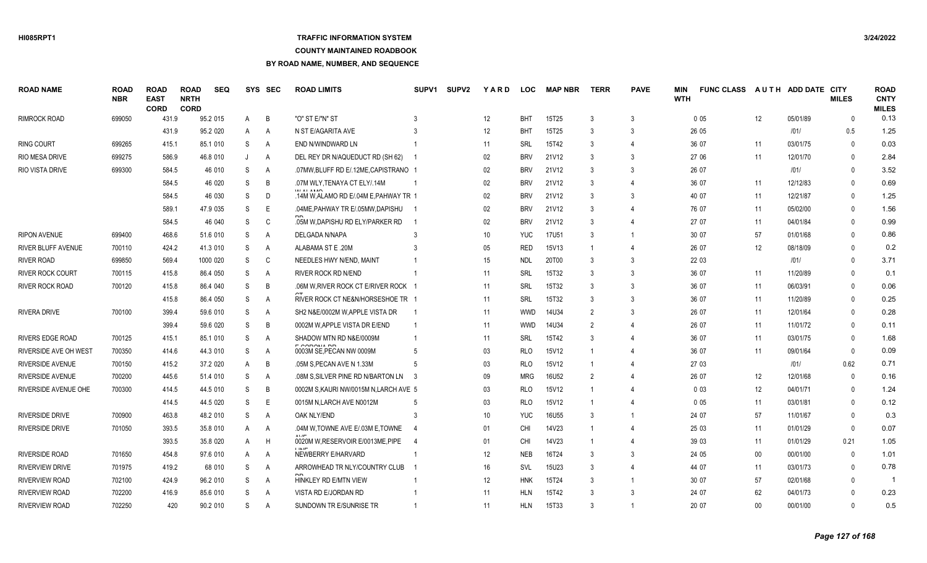### **TRAFFIC INFORMATION SYSTEM**

#### **COUNTY MAINTAINED ROADBOOK**

| <b>ROAD NAME</b>             | <b>ROAD</b><br><b>NBR</b> | <b>ROAD</b><br><b>EAST</b><br><b>CORD</b> | <b>ROAD</b><br><b>NRTH</b><br><b>CORD</b> | <b>SEQ</b> | SYS | <b>SEC</b> | <b>ROAD LIMITS</b>                                         | SUPV <sub>1</sub> | <b>SUPV2</b> | YARD            | <b>LOC</b> | <b>MAP NBR</b> | <b>TERR</b>    | <b>PAVE</b>    | MIN<br><b>WTH</b> | <b>FUNC CLASS</b> |        | AUTH ADD DATE CITY | <b>MILES</b> | <b>ROAD</b><br><b>CNTY</b><br><b>MILES</b> |
|------------------------------|---------------------------|-------------------------------------------|-------------------------------------------|------------|-----|------------|------------------------------------------------------------|-------------------|--------------|-----------------|------------|----------------|----------------|----------------|-------------------|-------------------|--------|--------------------|--------------|--------------------------------------------|
| <b>RIMROCK ROAD</b>          | 699050                    | 431.9                                     |                                           | 95.2 015   | A   | B          | "O" ST E/"N" ST                                            |                   |              | 12              | <b>BHT</b> | 15T25          | 3              | 3              |                   | 005               | 12     | 05/01/89           | $\Omega$     | 0.13                                       |
|                              |                           | 431.9                                     |                                           | 95.2 020   | A   | A          | N ST E/AGARITA AVE                                         |                   |              | 12              | BHT        | 15T25          | 3              | 3              |                   | 26 05             |        | 1011               | 0.5          | 1.25                                       |
| <b>RING COURT</b>            | 699265                    | 415.1                                     |                                           | 85.1 010   | S   | Α          | END N/WINDWARD LN                                          |                   |              | 11              | <b>SRL</b> | 15T42          | $\mathbf{3}$   | 4              |                   | 36 07             | 11     | 03/01/75           | $\Omega$     | 0.03                                       |
| RIO MESA DRIVE               | 699275                    | 586.9                                     |                                           | 46.8 010   | J   | Α          | DEL REY DR N/AQUEDUCT RD (SH 62)                           |                   |              | $02\,$          | <b>BRV</b> | 21V12          |                | 3              |                   | 27 06             | 11     | 12/01/70           | $\Omega$     | 2.84                                       |
| RIO VISTA DRIVE              | 699300                    | 584.5                                     |                                           | 46 010     | S   | Α          | .07MW, BLUFF RD E/.12ME, CAPISTRANO                        |                   |              | $02\,$          | <b>BRV</b> | 21V12          | 3              | 3              |                   | 26 07             |        | 1011               | $\Omega$     | 3.52                                       |
|                              |                           | 584.5                                     |                                           | 46 020     | S   | B          | .07M WLY, TENAYA CT ELY/.14M                               |                   |              | 02              | <b>BRV</b> | 21V12          | 3              |                |                   | 36 07             | 11     | 12/12/83           | $\Omega$     | 0.69                                       |
|                              |                           | 584.5                                     |                                           | 46 030     | S   | D          | <b>IALAL ARAO</b><br>14M W, ALAMO RD E/ 04M E, PAHWAY TR 1 |                   |              | 02 <sub>2</sub> | <b>BRV</b> | 21V12          | 3              | 3              |                   | 40 07             | 11     | 12/21/87           | $\Omega$     | 1.25                                       |
|                              |                           | 589.1                                     |                                           | 47.9 035   | S   | E          | .04ME, PAHWAY TR E/.05MW, DAPISHU                          |                   |              | $02\,$          | <b>BRV</b> | 21V12          | 3              | $\overline{4}$ |                   | 76 07             | 11     | 05/02/00           | $\Omega$     | 1.56                                       |
|                              |                           | 584.5                                     |                                           | 46 040     | S   | C          | .05M W, DAPISHU RD ELY/PARKER RD                           |                   |              | $02\,$          | <b>BRV</b> | 21V12          | 3              | $\overline{4}$ |                   | 27 07             | 11     | 04/01/84           | $\Omega$     | 0.99                                       |
| <b>RIPON AVENUE</b>          | 699400                    | 468.6                                     |                                           | 51.6 010   | S   | Α          | DELGADA N/NAPA                                             |                   |              | 10              | <b>YUC</b> | 17U51          | $\mathbf{3}$   | $\overline{1}$ |                   | 30 07             | 57     | 01/01/68           | $\mathbf{0}$ | 0.86                                       |
| RIVER BLUFF AVENUE           | 700110                    | 424.2                                     |                                           | 41.3 010   | S   | Α          | ALABAMA ST E .20M                                          |                   |              | 05              | <b>RED</b> | 15V13          |                | 4              |                   | 26 07             | 12     | 08/18/09           | $\Omega$     | 0.2                                        |
| <b>RIVER ROAD</b>            | 699850                    | 569.4                                     |                                           | 1000 020   | S   | C          | NEEDLES HWY N/END, MAINT                                   |                   |              | 15              | <b>NDL</b> | 20T00          | 3              | 3              |                   | 22 03             |        | 1011               | $\Omega$     | 3.71                                       |
| <b>RIVER ROCK COURT</b>      | 700115                    | 415.8                                     |                                           | 86.4 050   | S   | A          | RIVER ROCK RD N/END                                        |                   |              | 11              | SRL        | 15T32          | $\mathbf{3}$   | 3              |                   | 36 07             | 11     | 11/20/89           | $\Omega$     | 0.1                                        |
| RIVER ROCK ROAD              | 700120                    | 415.8                                     |                                           | 86.4 040   | S   | B          | .06M W, RIVER ROCK CT E/RIVER ROCK                         |                   |              | 11              | SRL        | 15T32          | $\mathbf{3}$   | 3              |                   | 36 07             | 11     | 06/03/91           | $\Omega$     | 0.06                                       |
|                              |                           | 415.8                                     |                                           | 86.4 050   | S   | A          | RIVER ROCK CT NE&N/HORSESHOE TR 1                          |                   |              | 11              | SRL        | 15T32          | 3              | 3              |                   | 36 07             | 11     | 11/20/89           | $\Omega$     | 0.25                                       |
| <b>RIVERA DRIVE</b>          | 700100                    | 399.4                                     |                                           | 59.6 010   | S   | A          | SH2 N&E/0002M W,APPLE VISTA DR                             |                   |              | 11              | <b>WWD</b> | 14U34          | $\overline{2}$ | 3              |                   | 26 07             | 11     | 12/01/64           | $\Omega$     | 0.28                                       |
|                              |                           | 399.4                                     |                                           | 59.6 020   | S   | B          | 0002M W, APPLE VISTA DR E/END                              |                   |              | 11              | <b>WWD</b> | 14U34          | $\mathcal{P}$  | $\overline{4}$ |                   | 26 07             | 11     | 11/01/72           | $\Omega$     | 0.11                                       |
| <b>RIVERS EDGE ROAD</b>      | 700125                    | 415.1                                     |                                           | 85.1 010   | S   | A          | SHADOW MTN RD N&E/0009M                                    |                   |              | 11              | <b>SRL</b> | 15T42          |                | 4              |                   | 36 07             | 11     | 03/01/75           | $\Omega$     | 1.68                                       |
| <b>RIVERSIDE AVE OH WEST</b> | 700350                    | 414.6                                     |                                           | 44.3 010   | S   | A          | <b>E CODOMA DE</b><br>0003M SE.PECAN NW 0009M              |                   |              | 03              | <b>RLO</b> | <b>15V12</b>   |                | 4              |                   | 36 07             | 11     | 09/01/64           | $\mathbf{0}$ | 0.09                                       |
| <b>RIVERSIDE AVENUE</b>      | 700150                    | 415.2                                     |                                           | 37.2 020   | A   | B          | .05M S, PECAN AVE N 1.33M                                  |                   |              | 03              | <b>RLO</b> | 15V12          |                |                |                   | 27 03             |        | 1011               | 0.62         | 0.71                                       |
| <b>RIVERSIDE AVENUE</b>      | 700200                    | 445.6                                     |                                           | 51.4 010   | S   | A          | .08M S, SILVER PINE RD N/BARTON LN 3                       |                   |              | 09              | <b>MRG</b> | 16U52          | $\mathcal{P}$  |                |                   | 26 07             | 12     | 12/01/68           | $\Omega$     | 0.16                                       |
| RIVERSIDE AVENUE OHE         | 700300                    | 414.5                                     |                                           | 44.5 010   | S   | B          | 0002M S, KAURI NW/0015M N, LARCH AVE 5                     |                   |              | 03              | <b>RLO</b> | 15V12          |                |                |                   | 0 0 3             | 12     | 04/01/71           | $\Omega$     | 1.24                                       |
|                              |                           | 414.5                                     |                                           | 44.5 020   | S   | E          | 0015M N,LARCH AVE N0012M                                   |                   |              | 03              | <b>RLO</b> | 15V12          |                |                |                   | 0 0 5             | 11     | 03/01/81           | $\Omega$     | 0.12                                       |
| <b>RIVERSIDE DRIVE</b>       | 700900                    | 463.8                                     |                                           | 48.2 010   | S   | Α          | OAK NLY/END                                                |                   |              | 10              | <b>YUC</b> | 16U55          |                |                |                   | 24 07             | 57     | 11/01/67           | $\mathbf{0}$ | 0.3                                        |
| <b>RIVERSIDE DRIVE</b>       | 701050                    | 393.5                                     |                                           | 35.8 010   | A   | Α          | .04M W, TOWNE AVE E/.03M E, TOWNE                          |                   |              | 01              | CHI        | 14V23          |                | $\overline{4}$ |                   | 25 03             | 11     | 01/01/29           | $\mathbf{0}$ | 0.07                                       |
|                              |                           | 393.5                                     |                                           | 35.8 020   | A   | H          | 0020M W, RESERVOIR E/0013ME, PIPE                          | $\overline{4}$    |              | 01              | CHI        | 14V23          |                | $\overline{4}$ |                   | 39 03             | 11     | 01/01/29           | 0.21         | 1.05                                       |
| <b>RIVERSIDE ROAD</b>        | 701650                    | 454.8                                     |                                           | 97.6 010   | A   | Α          | 1.15.10<br>NEWBERRY E/HARVARD                              |                   |              | 12              | <b>NEB</b> | 16T24          | 3              | 3              |                   | 24 05             | $00\,$ | 00/01/00           | $\mathbf{0}$ | 1.01                                       |
| <b>RIVERVIEW DRIVE</b>       | 701975                    | 419.2                                     |                                           | 68 010     | S   | A          | ARROWHEAD TR NLY/COUNTRY CLUB                              |                   |              | 16              | <b>SVL</b> | 15U23          | 3              |                |                   | 44 07             | 11     | 03/01/73           | $\Omega$     | 0.78                                       |
| <b>RIVERVIEW ROAD</b>        | 702100                    | 424.9                                     |                                           | 96.2 010   | S   | A          | HINKLEY RD E/MTN VIEW                                      |                   |              | 12              | <b>HNK</b> | 15T24          | $\mathbf{3}$   | $\overline{1}$ |                   | 30 07             | 57     | 02/01/68           | $\Omega$     |                                            |
| <b>RIVERVIEW ROAD</b>        | 702200                    | 416.9                                     |                                           | 85.6 010   | S   | A          | VISTA RD E/JORDAN RD                                       |                   |              | 11              | <b>HLN</b> | 15T42          |                | 3              |                   | 24 07             | 62     | 04/01/73           | $\Omega$     | 0.23                                       |
| <b>RIVERVIEW ROAD</b>        | 702250                    | 420                                       |                                           | 90.2 010   | S.  | A          | SUNDOWN TR E/SUNRISE TR                                    |                   |              | 11              | <b>HLN</b> | 15T33          | $\mathbf{3}$   | $\overline{1}$ |                   | 20 07             | $00\,$ | 00/01/00           | $\Omega$     | 0.5                                        |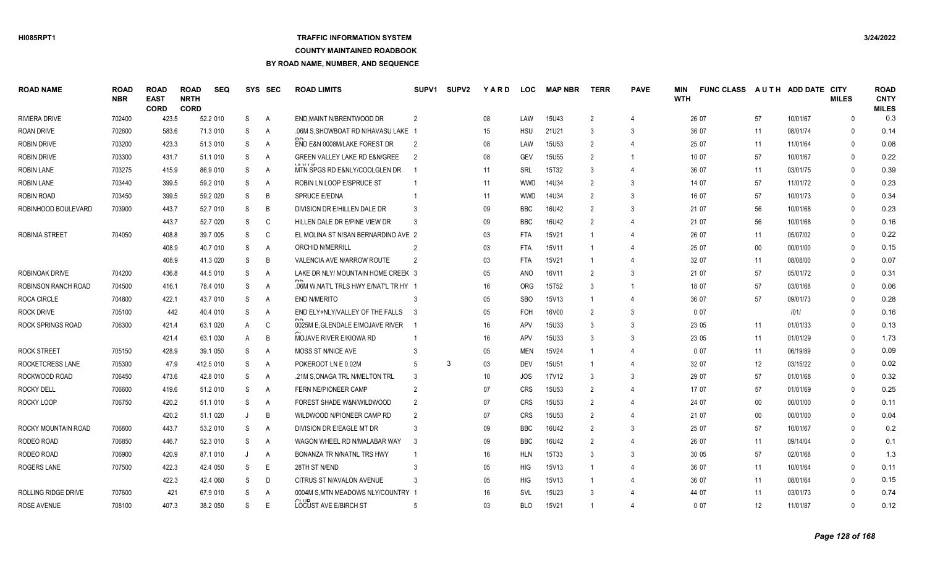## **TRAFFIC INFORMATION SYSTEM**

#### **COUNTY MAINTAINED ROADBOOK**

| ROAD NAME                  | <b>ROAD</b><br><b>NBR</b> | <b>ROAD</b><br><b>EAST</b><br><b>CORD</b> | <b>ROAD</b><br><b>NRTH</b><br><b>CORD</b> | <b>SEQ</b> |         | SYS SEC        | <b>ROAD LIMITS</b>                            | SUPV <sub>1</sub> | <b>SUPV2</b> | <b>YARD</b>     | <b>LOC</b> | <b>MAP NBR</b> | <b>TERR</b>    | <b>PAVE</b>           | MIN<br><b>WTH</b> | <b>FUNC CLASS</b> |                   | AUTH ADD DATE CITY | <b>MILES</b> | <b>ROAD</b><br><b>CNTY</b><br><b>MILES</b> |
|----------------------------|---------------------------|-------------------------------------------|-------------------------------------------|------------|---------|----------------|-----------------------------------------------|-------------------|--------------|-----------------|------------|----------------|----------------|-----------------------|-------------------|-------------------|-------------------|--------------------|--------------|--------------------------------------------|
| <b>RIVIERA DRIVE</b>       | 702400                    | 423.5                                     |                                           | 52.2 010   | S       | $\overline{A}$ | END.MAINT N/BRENTWOOD DR                      | $\mathcal{P}$     |              | 08              | LAW        | <b>15U43</b>   | 2              | $\Delta$              |                   | 26 07             | 57                | 10/01/67           | $\Omega$     | 0.3                                        |
| <b>ROAN DRIVE</b>          | 702600                    | 583.6                                     |                                           | 71.3 010   | S       | A              | .06M S.SHOWBOAT RD N/HAVASU LAKE              |                   |              | 15              | <b>HSU</b> | 21U21          | 3              | 3                     |                   | 36 07             | 11                | 08/01/74           | $\Omega$     | 0.14                                       |
| ROBIN DRIVE                | 703200                    | 423.3                                     |                                           | 51.3 010   | S       | A              | END E&N 0008M/LAKE FOREST DR                  | -2                |              | 08              | LAW        | <b>15U53</b>   | $\mathcal{P}$  | $\overline{4}$        |                   | 25 07             | 11                | 11/01/64           | $\Omega$     | 0.08                                       |
| ROBIN DRIVE                | 703300                    | 431.7                                     |                                           | 51.1 010   | S       | A              | <b>GREEN VALLEY LAKE RD E&amp;N/GREE</b>      | -2                |              | 08              | GEV        | <b>15U55</b>   | $\mathcal{P}$  | $\mathbf{1}$          |                   | 10 07             | 57                | 10/01/67           | $\Omega$     | 0.22                                       |
| <b>ROBIN LANE</b>          | 703275                    | 415.9                                     |                                           | 86.9 010   | S       | A              | MTN SPGS RD E&NLY/COOLGLEN DR                 |                   |              | 11              | SRL        | 15T32          | 3              | $\overline{4}$        |                   | 36 07             | 11                | 03/01/75           | $\Omega$     | 0.39                                       |
| <b>ROBIN LANE</b>          | 703440                    | 399.5                                     |                                           | 59.2 010   | S       | A              | ROBIN LN LOOP E/SPRUCE ST                     | - 1               |              | 11              | <b>WWD</b> | 14U34          | $\mathcal{P}$  | 3                     |                   | 14 07             | 57                | 11/01/72           | $\Omega$     | 0.23                                       |
| ROBIN ROAD                 | 703450                    | 399.5                                     |                                           | 59.2 020   | S       | $\overline{B}$ | <b>SPRUCE E/EDNA</b>                          |                   |              | 11              | <b>WWD</b> | 14U34          | $\mathfrak{p}$ | 3                     |                   | 16 07             | 57                | 10/01/73           | $\Omega$     | 0.34                                       |
| ROBINHOOD BOULEVARD        | 703900                    | 443.7                                     |                                           | 52.7 010   | S       | $\overline{B}$ | DIVISION DR E/HILLEN DALE DR                  | -3                |              | 09              | <b>BBC</b> | 16U42          | $\mathcal{P}$  | 3                     |                   | 21 07             | 56                | 10/01/68           | $\Omega$     | 0.23                                       |
|                            |                           | 443.7                                     |                                           | 52.7 020   | S       | C              | HILLEN DALE DR E/PINE VIEW DR                 | $\mathbf{3}$      |              | 09              | <b>BBC</b> | 16U42          | $\overline{2}$ | $\boldsymbol{\Delta}$ |                   | 21 07             | 56                | 10/01/68           | $\Omega$     | 0.16                                       |
| ROBINIA STREET             | 704050                    | 408.8                                     |                                           | 39.7 005   | S       | C              | EL MOLINA ST N/SAN BERNARDINO AVE 2           |                   |              | 03              | <b>FTA</b> | 15V21          | $\overline{1}$ | $\overline{4}$        |                   | 26 07             | 11                | 05/07/02           | $\Omega$     | 0.22                                       |
|                            |                           | 408.9                                     |                                           | 40.7 010   | S       | $\overline{A}$ | ORCHID N/MERRILL                              | 2                 |              | 03              | <b>FTA</b> | 15V11          |                | $\Delta$              |                   | 25 07             | $00\,$            | 00/01/00           | $\Omega$     | 0.15                                       |
|                            |                           | 408.9                                     |                                           | 41.3 020   | S       | B              | <b>VALENCIA AVE N/ARROW ROUTE</b>             | $\mathcal{P}$     |              | 03              | <b>FTA</b> | 15V21          | $\overline{1}$ | $\overline{4}$        |                   | 32 07             | 11                | 08/08/00           | $\Omega$     | 0.07                                       |
| ROBINOAK DRIVE             | 704200                    | 436.8                                     |                                           | 44.5 010   | S       | $\overline{A}$ | LAKE DR NLY/ MOUNTAIN HOME CREEK 3            |                   |              | 05              | <b>ANO</b> | 16V11          | $\mathfrak{p}$ | 3                     |                   | 21 07             | 57                | 05/01/72           | $\Omega$     | 0.31                                       |
| ROBINSON RANCH ROAD        | 704500                    | 416.1                                     |                                           | 78.4 010   | S       | $\overline{A}$ | .06M W.NAT'L TRLS HWY E/NAT'L TR HY 1         |                   |              | 16              | ORG        | 15T52          | $\mathcal{R}$  |                       |                   | 18 07             | 57                | 03/01/68           | $\Omega$     | 0.06                                       |
| ROCA CIRCLE                | 704800                    | 422.1                                     |                                           | 43.7 010   | S       | A              | <b>END N/MERITO</b>                           |                   |              | 05              | <b>SBO</b> | 15V13          | $\overline{1}$ | 4                     |                   | 36 07             | 57                | 09/01/73           | $\Omega$     | 0.28                                       |
| ROCK DRIVE                 | 705100                    | 442                                       |                                           | 40.4 010   | S.      | $\overline{A}$ | END ELY+NLY/VALLEY OF THE FALLS               | - 3               |              | $05\,$          | <b>FOH</b> | 16V00          | $\mathfrak{p}$ | 3                     |                   | 007               |                   | 1011               | $\Omega$     | 0.16                                       |
| ROCK SPRINGS ROAD          | 706300                    | 421.4                                     |                                           | 63.1 020   | A       | C              | 0025M E, GLENDALE E/MOJAVE RIVER              |                   |              | 16              | APV        | 15U33          | 3              | 3                     |                   | 23 05             | 11                | 01/01/33           | $\Omega$     | 0.13                                       |
|                            |                           | 421.4                                     |                                           | 63.1 030   | A       | B              | MOJAVE RIVER E/KIOWA RD                       |                   |              | 16              | APV        | 15U33          | 3              | 3                     |                   | 23 05             | 11                | 01/01/29           | $\Omega$     | 1.73                                       |
| <b>ROCK STREET</b>         | 705150                    | 428.9                                     |                                           | 39.1 050   | S       | $\overline{A}$ | MOSS ST N/NICE AVE                            | 3                 |              | 05              | <b>MEN</b> | 15V24          |                | $\boldsymbol{\Delta}$ |                   | 007               | 11                | 06/19/89           | $\Omega$     | 0.09                                       |
| ROCKETCRESS LANE           | 705300                    | 47.9                                      |                                           | 412.5 010  | S.      | A              | POKEROOT LN E 0.02M                           | 5                 | 3            | 03              | <b>DEV</b> | <b>15U51</b>   | $\overline{1}$ | $\Delta$              |                   | 32 07             | 12                | 03/15/22           | $\Omega$     | 0.02                                       |
| ROCKWOOD ROAD              | 706450                    | 473.6                                     |                                           | 42.8 010   | S       | A              | .21M S, ONAGA TRL N/MELTON TRL                | 3                 |              | 10 <sup>°</sup> | <b>JOS</b> | 17V12          | 3              | 3                     |                   | 29 07             | 57                | 01/01/68           | $\Omega$     | 0.32                                       |
| <b>ROCKY DELL</b>          | 706600                    | 419.6                                     |                                           | 51.2 010   | S       | $\overline{A}$ | <b>FERN NE/PIONEER CAMP</b>                   | $\mathfrak{p}$    |              | 07              | <b>CRS</b> | <b>15U53</b>   | $\mathcal{P}$  | $\Delta$              |                   | 17 07             | 57                | 01/01/69           | $\Omega$     | 0.25                                       |
| ROCKY LOOP                 | 706750                    | 420.2                                     |                                           | 51.1 010   | S       | A              | FOREST SHADE W&N/WILDWOOD                     | $\mathfrak{p}$    |              | 07              | <b>CRS</b> | <b>15U53</b>   | $\mathfrak{p}$ | $\overline{4}$        |                   | 24 07             | $00\,$            | 00/01/00           | $\Omega$     | 0.11                                       |
|                            |                           | 420.2                                     |                                           | 51.1 020   |         | B              | WILDWOOD N/PIONEER CAMP RD                    | $\mathfrak{p}$    |              | 07              | <b>CRS</b> | <b>15U53</b>   | $\mathcal{P}$  | $\overline{4}$        |                   | 21 07             | $00\,$            | 00/01/00           | $\Omega$     | 0.04                                       |
| ROCKY MOUNTAIN ROAD        | 706800                    | 443.7                                     |                                           | 53.2 010   | S       | A              | DIVISION DR E/EAGLE MT DR                     | 3                 |              | 09              | <b>BBC</b> | 16U42          | $\mathfrak{p}$ | 3                     |                   | 25 07             | 57                | 10/01/67           | $\Omega$     | 0.2                                        |
| RODEO ROAD                 | 706850                    | 446.7                                     |                                           | 52.3 010   | S       | A              | WAGON WHEEL RD N/MALABAR WAY                  | -3                |              | 09              | <b>BBC</b> | 16U42          | $\mathcal{P}$  | $\boldsymbol{\Delta}$ |                   | 26 07             | 11                | 09/14/04           | $\Omega$     | 0.1                                        |
| RODEO ROAD                 | 706900                    | 420.9                                     |                                           | 87.1 010   | $\cdot$ | A              | BONANZA TR N/NATNL TRS HWY                    |                   |              | 16              | <b>HLN</b> | 15T33          | 3              | 3                     |                   | 30 05             | 57                | 02/01/68           | $\Omega$     | 1.3                                        |
| ROGERS LANE                | 707500                    | 422.3                                     |                                           | 42.4 050   | S       | E              | 28TH ST N/END                                 | -3                |              | 05              | <b>HIG</b> | 15V13          | $\overline{1}$ | $\boldsymbol{\Delta}$ |                   | 36 07             | 11                | 10/01/64           | $\Omega$     | 0.11                                       |
|                            |                           | 422.3                                     |                                           | 42.4 060   | S       | D              | CITRUS ST N/AVALON AVENUE                     | 3                 |              | 05              | <b>HIG</b> | 15V13          |                | $\Delta$              |                   | 36 07             | 11                | 08/01/64           | $\Omega$     | 0.15                                       |
| <b>ROLLING RIDGE DRIVE</b> | 707600                    | 421                                       |                                           | 67.9 010   | S       | A              | 0004M S.MTN MEADOWS NLY/COUNTRY 1             |                   |              | 16              | <b>SVL</b> | 15U23          | 3              |                       |                   | 44 07             | 11                | 03/01/73           | $\Omega$     | 0.74                                       |
| <b>ROSE AVENUE</b>         | 708100                    | 407.3                                     |                                           | 38.2 050   | S.      | E              | $\sim$ $\sim$<br><b>LOCUST AVE E/BIRCH ST</b> | 5                 |              | 03              | <b>BLO</b> | 15V21          |                | $\overline{4}$        |                   | 0.07              | $12 \overline{ }$ | 11/01/87           | $\Omega$     | 0.12                                       |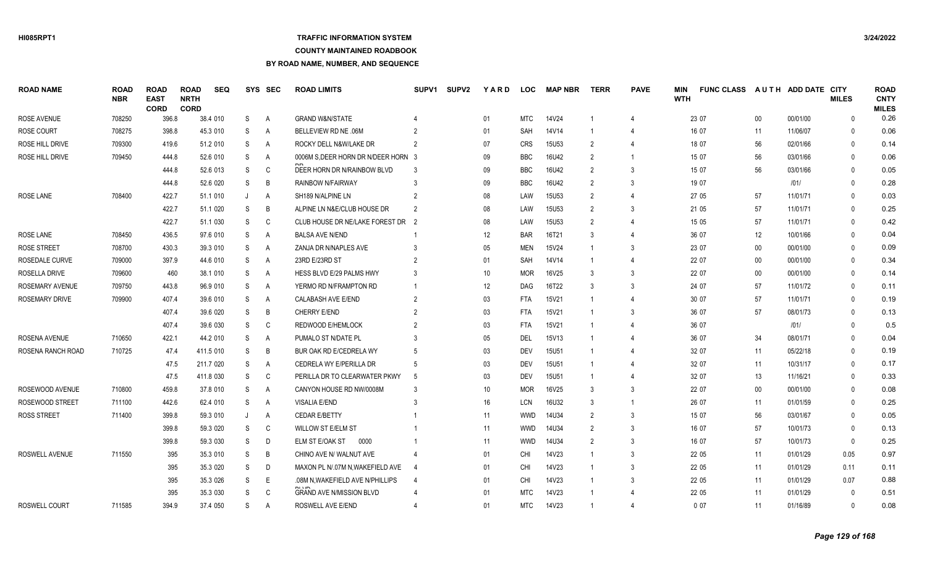## **TRAFFIC INFORMATION SYSTEM**

#### **COUNTY MAINTAINED ROADBOOK**

| <b>ROAD NAME</b>      | <b>ROAD</b><br><b>NBR</b> | <b>ROAD</b><br><b>EAST</b><br><b>CORD</b> | <b>ROAD</b><br><b>NRTH</b><br><b>CORD</b> | <b>SEQ</b> | SYS | <b>SEC</b> | <b>ROAD LIMITS</b>                  | SUPV <sub>1</sub> | <b>SUPV2</b> | YARD | <b>LOC</b> | <b>MAP NBR</b>    | <b>TERR</b>    | <b>PAVE</b>    | MIN<br><b>WTH</b> | <b>FUNC CLASS</b> |        | AUTH ADD DATE CITY | <b>MILES</b> | <b>ROAD</b><br><b>CNTY</b><br><b>MILES</b> |
|-----------------------|---------------------------|-------------------------------------------|-------------------------------------------|------------|-----|------------|-------------------------------------|-------------------|--------------|------|------------|-------------------|----------------|----------------|-------------------|-------------------|--------|--------------------|--------------|--------------------------------------------|
| <b>ROSE AVENUE</b>    | 708250                    | 396.8                                     |                                           | 38.4 010   | S.  | A          | <b>GRAND W&amp;N/STATE</b>          |                   |              | 01   | <b>MTC</b> | 14V24             |                | 4              |                   | 23 07             | $00\,$ | 00/01/00           | $\Omega$     | 0.26                                       |
| <b>ROSE COURT</b>     | 708275                    | 398.8                                     |                                           | 45.3 010   | S   | Α          | BELLEVIEW RD NE .06M                |                   |              | 01   | SAH        | 14V14             |                | 4              |                   | 16 07             | 11     | 11/06/07           | $\Omega$     | 0.06                                       |
| ROSE HILL DRIVE       | 709300                    | 419.6                                     |                                           | 51.2 010   | S   | A          | ROCKY DELL N&W/LAKE DR              | 2                 |              | 07   | <b>CRS</b> | 15U <sub>53</sub> | 2              | 4              |                   | 18 07             | 56     | 02/01/66           | $\Omega$     | 0.14                                       |
| ROSE HILL DRIVE       | 709450                    | 444.8                                     |                                           | 52.6 010   | S   | A          | 0006M S, DEER HORN DR N/DEER HORN 3 |                   |              | 09   | <b>BBC</b> | 16U42             | 2              | $\overline{1}$ |                   | 15 07             | 56     | 03/01/66           | $\Omega$     | 0.06                                       |
|                       |                           | 444.8                                     |                                           | 52.6 013   | S   | C          | DEER HORN DR N/RAINBOW BLVD         | 3                 |              | 09   | <b>BBC</b> | 16U42             | 2              | 3              |                   | 15 07             | 56     | 03/01/66           | $\Omega$     | 0.05                                       |
|                       |                           | 444.8                                     |                                           | 52.6 020   | S   | B          | RAINBOW N/FAIRWAY                   |                   |              | 09   | <b>BBC</b> | 16U42             | 2              | 3              |                   | 19 07             |        | 1011               | $\mathbf{0}$ | 0.28                                       |
| ROSE LANE             | 708400                    | 422.7                                     |                                           | 51.1 010   | J   | Α          | SH189 N/ALPINE LN                   |                   |              | 08   | LAW        | <b>15U53</b>      | $\overline{2}$ |                |                   | 27 05             | 57     | 11/01/71           | $\Omega$     | 0.03                                       |
|                       |                           | 422.7                                     |                                           | 51.1 020   | S   | B          | ALPINE LN N&E/CLUB HOUSE DR         | $\overline{2}$    |              | 08   | LAW        | <b>15U53</b>      | $\overline{2}$ | 3              |                   | 21 05             | 57     | 11/01/71           | $\mathbf{0}$ | 0.25                                       |
|                       |                           | 422.7                                     |                                           | 51.1 030   | S   | C          | CLUB HOUSE DR NE/LAKE FOREST DR 2   |                   |              | 08   | LAW        | <b>15U53</b>      |                | $\overline{4}$ |                   | 15 05             | 57     | 11/01/71           | $\mathbf{0}$ | 0.42                                       |
| <b>ROSE LANE</b>      | 708450                    | 436.5                                     |                                           | 97.6 010   | S   | Α          | <b>BALSA AVE N/END</b>              |                   |              | 12   | <b>BAR</b> | 16T21             | 3              | $\overline{4}$ |                   | 36 07             | 12     | 10/01/66           | $\mathbf{0}$ | 0.04                                       |
| <b>ROSE STREET</b>    | 708700                    | 430.3                                     |                                           | 39.3 010   | S   | Α          | ZANJA DR N/NAPLES AVE               |                   |              | 05   | <b>MEN</b> | 15V24             |                | 3              |                   | 23 07             | $00\,$ | 00/01/00           | $\mathbf{0}$ | 0.09                                       |
| ROSEDALE CURVE        | 709000                    | 397.9                                     |                                           | 44.6 010   | S   | Α          | 23RD E/23RD ST                      |                   |              | 01   | SAH        | 14V14             |                | 4              |                   | 22 07             | $00\,$ | 00/01/00           | $\Omega$     | 0.34                                       |
| ROSELLA DRIVE         | 709600                    | 460                                       |                                           | 38.1 010   | S   | Α          | HESS BLVD E/29 PALMS HWY            |                   |              | 10   | <b>MOR</b> | 16V25             | 3              | 3              |                   | 22 07             | $00\,$ | 00/01/00           | $\Omega$     | 0.14                                       |
| ROSEMARY AVENUE       | 709750                    | 443.8                                     |                                           | 96.9 010   | S   | A          | YERMO RD N/FRAMPTON RD              |                   |              | 12   | <b>DAG</b> | 16T22             | 3              | 3              |                   | 24 07             | 57     | 11/01/72           | $\Omega$     | 0.11                                       |
| <b>ROSEMARY DRIVE</b> | 709900                    | 407.4                                     |                                           | 39.6 010   | S   | Α          | CALABASH AVE E/END                  |                   |              | 03   | <b>FTA</b> | 15V21             |                | $\overline{4}$ |                   | 30 07             | 57     | 11/01/71           | $\Omega$     | 0.19                                       |
|                       |                           | 407.4                                     |                                           | 39.6 020   | S   | B          | <b>CHERRY E/END</b>                 |                   |              | 03   | <b>FTA</b> | 15V21             |                | $\mathbf{3}$   |                   | 36 07             | 57     | 08/01/73           | $\Omega$     | 0.13                                       |
|                       |                           | 407.4                                     |                                           | 39.6 030   | S   | C          | REDWOOD E/HEMLOCK                   |                   |              | 03   | <b>FTA</b> | 15V21             |                | $\overline{4}$ |                   | 36 07             |        | 1011               | $\mathbf{0}$ | 0.5                                        |
| ROSENA AVENUE         | 710650                    | 422.1                                     |                                           | 44.2 010   | S   | Α          | PUMALO ST N/DATE PL                 |                   |              | 05   | DEL        | 15V13             |                | 4              |                   | 36 07             | 34     | 08/01/71           | $\Omega$     | 0.04                                       |
| ROSENA RANCH ROAD     | 710725                    | 47.4                                      |                                           | 411.5 010  | S   | B          | BUR OAK RD E/CEDRELA WY             |                   |              | 03   | <b>DEV</b> | 15U51             |                | 4              |                   | 32 07             | 11     | 05/22/18           | $\mathbf{0}$ | 0.19                                       |
|                       |                           | 47.5                                      |                                           | 211.7 020  | S   | A          | CEDRELA WY E/PERILLA DR             |                   |              | 03   | <b>DEV</b> | <b>15U51</b>      |                |                |                   | 32 07             | 11     | 10/31/17           | $\Omega$     | 0.17                                       |
|                       |                           | 47.5                                      |                                           | 411.8 030  | S   | C          | PERILLA DR TO CLEARWATER PKWY       |                   |              | 03   | <b>DEV</b> | 15U51             |                |                |                   | 32 07             | 13     | 11/16/21           | $\Omega$     | 0.33                                       |
| ROSEWOOD AVENUE       | 710800                    | 459.8                                     |                                           | 37.8 010   | S   | Α          | CANYON HOUSE RD NW/0008M            |                   |              | 10   | <b>MOR</b> | 16V25             |                | 3              |                   | 22 07             | 00     | 00/01/00           | $\Omega$     | 0.08                                       |
| ROSEWOOD STREET       | 711100                    | 442.6                                     |                                           | 62.4 010   | S   | Α          | <b>VISALIA E/END</b>                |                   |              | 16   | <b>LCN</b> | 16U32             | -3             | $\overline{1}$ |                   | 26 07             | 11     | 01/01/59           | $\Omega$     | 0.25                                       |
| <b>ROSS STREET</b>    | 711400                    | 399.8                                     |                                           | 59.3 010   | J   | Α          | <b>CEDAR E/BETTY</b>                |                   |              | 11   | <b>WWD</b> | 14U34             | 2              | 3              |                   | 15 07             | 56     | 03/01/67           | $\Omega$     | 0.05                                       |
|                       |                           | 399.8                                     |                                           | 59.3 020   | S   | C          | <b>WILLOW ST E/ELM ST</b>           |                   |              | 11   | <b>WWD</b> | 14U34             | $\mathcal{P}$  | 3              |                   | 16 07             | 57     | 10/01/73           | $\Omega$     | 0.13                                       |
|                       |                           | 399.8                                     |                                           | 59.3 030   | S   | D          | ELM ST E/OAK ST<br>0000             |                   |              | 11   | <b>WWD</b> | 14U34             | $\mathcal{P}$  | 3              |                   | 16 07             | 57     | 10/01/73           | $\mathbf{0}$ | 0.25                                       |
| ROSWELL AVENUE        | 711550                    |                                           | 395                                       | 35.3 010   | S   | B          | CHINO AVE N/ WALNUT AVE             |                   |              | 01   | <b>CHI</b> | 14V23             |                | 3              |                   | 22 05             | 11     | 01/01/29           | 0.05         | 0.97                                       |
|                       |                           |                                           | 395                                       | 35.3 020   | S   | D          | MAXON PL N/.07M N.WAKEFIELD AVE     |                   |              | 01   | CHI        | 14V23             |                | 3              |                   | 22 05             | 11     | 01/01/29           | 0.11         | 0.11                                       |
|                       |                           | 395                                       |                                           | 35.3 026   | S   | Ε          | .08M N.WAKEFIELD AVE N/PHILLIPS     |                   |              | 01   | <b>CHI</b> | 14V23             |                | 3              |                   | 22 05             | 11     | 01/01/29           | 0.07         | 0.88                                       |
|                       |                           | 395                                       |                                           | 35.3 030   | S   | C          | <b>GRAND AVE N/MISSION BLVD</b>     |                   |              | 01   | <b>MTC</b> | 14V23             |                |                |                   | 22 05             | 11     | 01/01/29           | $\Omega$     | 0.51                                       |
| <b>ROSWELL COURT</b>  | 711585                    | 394.9                                     |                                           | 37.4 050   | S.  | A          | ROSWELL AVE E/END                   |                   |              | 01   | <b>MTC</b> | 14V23             |                | Δ              |                   | 0.07              | 11     | 01/16/89           | $\Omega$     | 0.08                                       |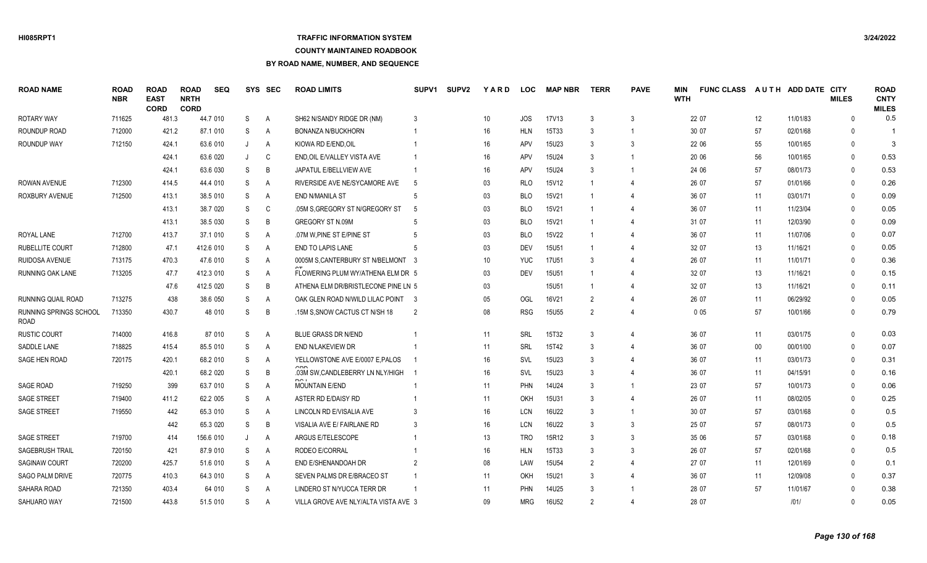# **TRAFFIC INFORMATION SYSTEM**

#### **COUNTY MAINTAINED ROADBOOK**

| <b>ROAD NAME</b>               | <b>ROAD</b><br><b>NBR</b> | <b>ROAD</b><br><b>EAST</b><br><b>CORD</b> | <b>ROAD</b><br><b>NRTH</b><br><b>CORD</b> | <b>SEQ</b> |   | SYS SEC        | <b>ROAD LIMITS</b>                   | SUPV1          | <b>SUPV2</b> | <b>YARD</b> | LOC        | <b>MAP NBR</b> | <b>TERR</b>    | <b>PAVE</b>              | <b>MIN</b><br><b>WTH</b> | <b>FUNC CLASS</b> |        | AUTH ADD DATE CITY | <b>MILES</b> | <b>ROAD</b><br><b>CNTY</b><br><b>MILES</b> |
|--------------------------------|---------------------------|-------------------------------------------|-------------------------------------------|------------|---|----------------|--------------------------------------|----------------|--------------|-------------|------------|----------------|----------------|--------------------------|--------------------------|-------------------|--------|--------------------|--------------|--------------------------------------------|
| <b>ROTARY WAY</b>              | 711625                    | 481.3                                     |                                           | 44.7 010   | S | $\overline{A}$ | SH62 N/SANDY RIDGE DR (NM)           | 3              |              | 10          | <b>JOS</b> | <b>17V13</b>   | $\mathbf{3}$   | 3                        |                          | 22 07             | 12     | 11/01/83           | <sup>0</sup> | 0.5                                        |
| ROUNDUP ROAD                   | 712000                    | 421.2                                     |                                           | 87.1 010   | S | A              | <b>BONANZA N/BUCKHORN</b>            |                |              | 16          | <b>HLN</b> | 15T33          | -3             |                          |                          | 30 07             | 57     | 02/01/68           | <sup>0</sup> |                                            |
| ROUNDUP WAY                    | 712150                    | 424.1                                     |                                           | 63.6 010   | J | A              | KIOWA RD E/END, OIL                  |                |              | 16          | APV        | 15U23          | $\mathbf{3}$   | 3                        |                          | 22 06             | 55     | 10/01/65           | $\Omega$     | 3                                          |
|                                |                           | 424.1                                     |                                           | 63.6 020   | J | C              | END.OIL E/VALLEY VISTA AVE           |                |              | 16          | APV        | 15U24          | 3              |                          |                          | 20 06             | 56     | 10/01/65           | $\Omega$     | 0.53                                       |
|                                |                           | 424.1                                     |                                           | 63.6 030   | S | B              | JAPATUL E/BELLVIEW AVE               |                |              | 16          | APV        | 15U24          | $\mathbf{3}$   |                          |                          | 24 06             | 57     | 08/01/73           | $\Omega$     | 0.53                                       |
| <b>ROWAN AVENUE</b>            | 712300                    | 414.5                                     |                                           | 44.4 010   | S | $\overline{A}$ | RIVERSIDE AVE NE/SYCAMORE AVE        | -5             |              | 03          | <b>RLO</b> | 15V12          |                | $\overline{4}$           |                          | 26 07             | 57     | 01/01/66           | $\Omega$     | 0.26                                       |
| <b>ROXBURY AVENUE</b>          | 712500                    | 413.1                                     |                                           | 38.5 010   | S | $\overline{A}$ | <b>END N/MANILA ST</b>               | 5              |              | 03          | <b>BLO</b> | 15V21          |                |                          |                          | 36 07             | 11     | 03/01/71           | $\Omega$     | 0.09                                       |
|                                |                           | 413.1                                     |                                           | 38.7 020   | S | C              | .05M S.GREGORY ST N/GREGORY ST       | -5             |              | 03          | <b>BLO</b> | 15V21          |                | $\overline{4}$           |                          | 36 07             | 11     | 11/23/04           | $\Omega$     | 0.05                                       |
|                                |                           | 413.1                                     |                                           | 38.5 030   | S | B              | GREGORY ST N.09M                     | 5              |              | 03          | <b>BLO</b> | 15V21          | -1             | $\boldsymbol{\Delta}$    |                          | 31 07             | 11     | 12/03/90           | $\mathbf{0}$ | 0.09                                       |
| ROYAL LANE                     | 712700                    | 413.7                                     |                                           | 37.1 010   | S | $\overline{A}$ | .07M W.PINE ST E/PINE ST             | 5              |              | 03          | <b>BLO</b> | 15V22          |                | Δ                        |                          | 36 07             | 11     | 11/07/06           | $\Omega$     | 0.07                                       |
| RUBELLITE COURT                | 712800                    | 47.1                                      |                                           | 412.6 010  | S | A              | <b>END TO LAPIS LANE</b>             |                |              | 03          | <b>DEV</b> | <b>15U51</b>   | $\overline{1}$ | $\overline{4}$           |                          | 32 07             | 13     | 11/16/21           | $\Omega$     | 0.05                                       |
| RUIDOSA AVENUE                 | 713175                    | 470.3                                     |                                           | 47.6 010   | S | $\overline{A}$ | 0005M S, CANTERBURY ST N/BELMONT 3   |                |              | 10          | <b>YUC</b> | <b>17U51</b>   | 3              | $\overline{4}$           |                          | 26 07             | 11     | 11/01/71           | $\mathbf{0}$ | 0.36                                       |
| <b>RUNNING OAK LANE</b>        | 713205                    | 47.7                                      |                                           | 412.3 010  | S | $\overline{A}$ | FLOWERING PLUM WY/ATHENA ELM DR 5    |                |              | 03          | <b>DEV</b> | <b>15U51</b>   |                | $\boldsymbol{\varDelta}$ |                          | 32 07             | 13     | 11/16/21           | $\Omega$     | 0.15                                       |
|                                |                           | 47.6                                      |                                           | 412.5 020  | S | B              | ATHENA ELM DR/BRISTLECONE PINE LN 5  |                |              | 03          |            | <b>15U51</b>   | $\overline{1}$ | $\boldsymbol{\Delta}$    |                          | 32 07             | 13     | 11/16/21           | $\Omega$     | 0.11                                       |
| RUNNING QUAIL ROAD             | 713275                    | 438                                       |                                           | 38.6 050   | S | A              | OAK GLEN ROAD N/WILD LILAC POINT 3   |                |              | 05          | OGL        | 16V21          | 2              | $\overline{4}$           |                          | 26 07             | 11     | 06/29/92           | $\Omega$     | 0.05                                       |
| RUNNING SPRINGS SCHOOL<br>ROAD | 713350                    | 430.7                                     |                                           | 48 010     | S | B              | .15M S, SNOW CACTUS CT N/SH 18       | $\overline{2}$ |              | 08          | <b>RSG</b> | 15U55          | $\overline{2}$ | $\Delta$                 |                          | 0 0 5             | 57     | 10/01/66           | $\Omega$     | 0.79                                       |
| RUSTIC COURT                   | 714000                    | 416.8                                     |                                           | 87 010     | S | $\overline{A}$ | BLUE GRASS DR N/END                  |                |              | 11          | <b>SRL</b> | 15T32          | 3              | 4                        |                          | 36 07             | 11     | 03/01/75           | $\Omega$     | 0.03                                       |
| SADDLE LANE                    | 718825                    | 415.4                                     |                                           | 85.5 010   | S | A              | <b>END N/LAKEVIEW DR</b>             |                |              | 11          | <b>SRL</b> | 15T42          | 3              | $\overline{4}$           |                          | 36 07             | $00\,$ | 00/01/00           | $\Omega$     | 0.07                                       |
| SAGE HEN ROAD                  | 720175                    | 420.1                                     |                                           | 68.2 010   | S | A              | YELLOWSTONE AVE E/0007 E, PALOS      |                |              | 16          | SVL        | 15U23          | 3              | $\overline{4}$           |                          | 36 07             | 11     | 03/01/73           | $\Omega$     | 0.31                                       |
|                                |                           | 420.1                                     |                                           | 68.2 020   | S | B              | .03M SW, CANDLEBERRY LN NLY/HIGH     |                |              | 16          | SVL        | 15U23          | 3              | $\overline{4}$           |                          | 36 07             | 11     | 04/15/91           | $\mathbf{0}$ | 0.16                                       |
| <b>SAGE ROAD</b>               | 719250                    | 399                                       |                                           | 63.7 010   | S | $\overline{A}$ | <b>MOUNTAIN E/END</b>                |                |              | 11          | PHN        | 14U24          | 3              |                          |                          | 23 07             | 57     | 10/01/73           | $\Omega$     | 0.06                                       |
| <b>SAGE STREET</b>             | 719400                    | 411.2                                     |                                           | 62.2 005   | S | A              | ASTER RD E/DAISY RD                  |                |              | 11          | OKH        | <b>15U31</b>   | 3              | 4                        |                          | 26 07             | 11     | 08/02/05           | $\Omega$     | 0.25                                       |
| SAGE STREET                    | 719550                    | 442                                       |                                           | 65.3 010   | S | A              | LINCOLN RD E/VISALIA AVE             | 3              |              | 16          | <b>LCN</b> | 16U22          | 3              |                          |                          | 30 07             | 57     | 03/01/68           | $\Omega$     | 0.5                                        |
|                                |                           | 442                                       |                                           | 65.3 020   | S | B              | VISALIA AVE E/ FAIRLANE RD           | $\mathbf{3}$   |              | 16          | <b>LCN</b> | 16U22          | $\mathbf{3}$   | 3                        |                          | 25 07             | 57     | 08/01/73           | <sup>0</sup> | 0.5                                        |
| SAGE STREET                    | 719700                    | 414                                       |                                           | 156.6 010  | J | A              | ARGUS E/TELESCOPE                    |                |              | 13          | <b>TRO</b> | 15R12          | 3              | 3                        |                          | 35 06             | 57     | 03/01/68           | $\Omega$     | 0.18                                       |
| <b>SAGEBRUSH TRAIL</b>         | 720150                    | 421                                       |                                           | 87.9 010   | S | A              | RODEO E/CORRAL                       |                |              | 16          | <b>HLN</b> | 15T33          | 3              | 3                        |                          | 26 07             | 57     | 02/01/68           | $\Omega$     | 0.5                                        |
| <b>SAGINAW COURT</b>           | 720200                    | 425.7                                     |                                           | 51.6 010   | S | A              | END E/SHENANDOAH DR                  | $\overline{2}$ |              | 08          | LAW        | <b>15U54</b>   | $\overline{2}$ | $\overline{4}$           |                          | 27 07             | 11     | 12/01/69           | $\Omega$     | 0.1                                        |
| <b>SAGO PALM DRIVE</b>         | 720775                    | 410.3                                     |                                           | 64.3 010   | S | A              | SEVEN PALMS DR E/BRACEO ST           |                |              | 11          | OKH        | 15U21          | 3              | $\overline{4}$           |                          | 36 07             | 11     | 12/09/08           | $\Omega$     | 0.37                                       |
| SAHARA ROAD                    | 721350                    | 403.4                                     |                                           | 64 010     | S | A              | LINDERO ST N/YUCCA TERR DR           |                |              | 11          | <b>PHN</b> | 14U25          | 3              |                          |                          | 28 07             | 57     | 11/01/67           | $\Omega$     | 0.38                                       |
| <b>SAHUARO WAY</b>             | 721500                    | 443.8                                     |                                           | 51.5 010   | S | A              | VILLA GROVE AVE NLY/ALTA VISTA AVE 3 |                |              | 09          | <b>MRG</b> | 16U52          | $\mathfrak{p}$ | $\Delta$                 |                          | 28 07             |        | 1011               | $\Omega$     | 0.05                                       |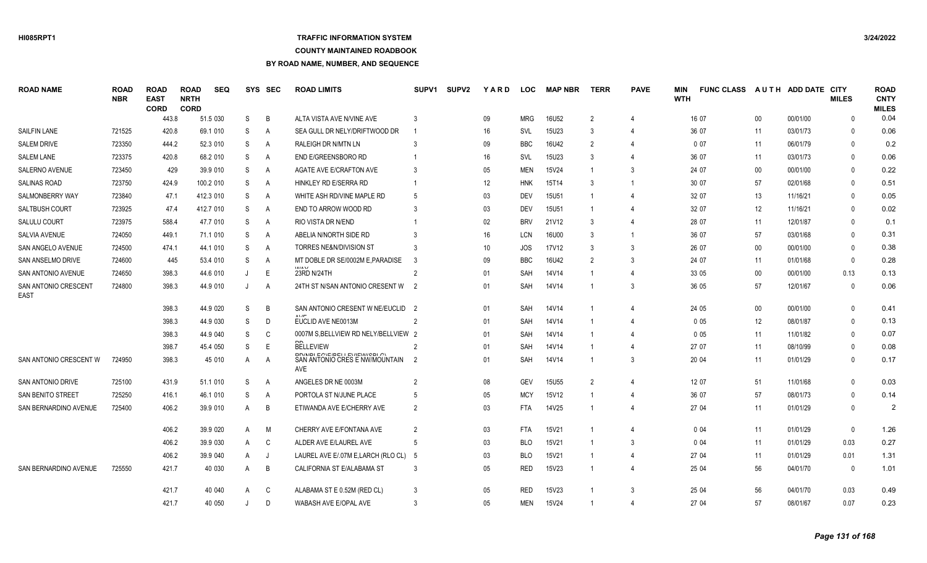### **TRAFFIC INFORMATION SYSTEM**

### **COUNTY MAINTAINED ROADBOOK**

| <b>ROAD NAME</b>                    | <b>ROAD</b><br><b>NBR</b> | <b>ROAD</b><br><b>EAST</b><br><b>CORD</b> | <b>ROAD</b><br><b>NRTH</b><br><b>CORD</b> | <b>SEQ</b> | SYS     | <b>SEC</b> | <b>ROAD LIMITS</b>                                                           | SUPV <sub>1</sub> | <b>SUPV2</b> | YARD   | <b>LOC</b> | <b>MAP NBR</b> | <b>TERR</b>    | <b>PAVE</b>                 | MIN<br><b>WTH</b> | <b>FUNC CLASS</b> |        | AUTH ADD DATE CITY | <b>MILES</b> | <b>ROAD</b><br><b>CNTY</b><br><b>MILES</b> |
|-------------------------------------|---------------------------|-------------------------------------------|-------------------------------------------|------------|---------|------------|------------------------------------------------------------------------------|-------------------|--------------|--------|------------|----------------|----------------|-----------------------------|-------------------|-------------------|--------|--------------------|--------------|--------------------------------------------|
|                                     |                           | 443.8                                     |                                           | 51.5 030   | S       | B          | ALTA VISTA AVE N/VINE AVE                                                    | 3                 |              | 09     | <b>MRG</b> | 16U52          | $\overline{2}$ | $\overline{4}$              |                   | 16 07             | $00\,$ | 00/01/00           | $\mathbf{0}$ | 0.04                                       |
| <b>SAILFIN LANE</b>                 | 721525                    | 420.8                                     |                                           | 69.1 010   | S       | Α          | SEA GULL DR NELY/DRIFTWOOD DR                                                |                   |              | 16     | <b>SVL</b> | 15U23          |                | $\overline{4}$              |                   | 36 07             | 11     | 03/01/73           | $\Omega$     | 0.06                                       |
| <b>SALEM DRIVE</b>                  | 723350                    | 444.2                                     |                                           | 52.3 010   | S       | A          | <b>RALEIGH DR N/MTN LN</b>                                                   |                   |              | 09     | <b>BBC</b> | 16U42          | $\mathcal{P}$  | $\Delta$                    |                   | 007               | 11     | 06/01/79           | $\Omega$     | 0.2                                        |
| SALEM LANE                          | 723375                    | 420.8                                     |                                           | 68.2 010   | S       | Α          | END E/GREENSBORO RD                                                          |                   |              | 16     | <b>SVL</b> | 15U23          |                | 4                           |                   | 36 07             | 11     | 03/01/73           | $\Omega$     | 0.06                                       |
| <b>SALERNO AVENUE</b>               | 723450                    | 429                                       |                                           | 39.9 010   | S       | Α          | AGATE AVE E/CRAFTON AVE                                                      |                   |              | 05     | <b>MEN</b> | 15V24          |                | 3                           |                   | 24 07             | 00     | 00/01/00           | $\Omega$     | 0.22                                       |
| <b>SALINAS ROAD</b>                 | 723750                    | 424.9                                     |                                           | 100.2 010  | S       | Α          | HINKLEY RD E/SERRA RD                                                        |                   |              | 12     | <b>HNK</b> | 15T14          | 3              |                             |                   | 30 07             | 57     | 02/01/68           | $\Omega$     | 0.51                                       |
| SALMONBERRY WAY                     | 723840                    | 47.1                                      |                                           | 412.3 010  | S       | Α          | WHITE ASH RD/VINE MAPLE RD                                                   |                   |              | 03     | <b>DEV</b> | <b>15U51</b>   |                |                             |                   | 32 07             | 13     | 11/16/21           | $\mathbf{0}$ | 0.05                                       |
| <b>SALTBUSH COURT</b>               | 723925                    | 47.4                                      |                                           | 412.7 010  | S       | Α          | END TO ARROW WOOD RD                                                         |                   |              | 03     | <b>DEV</b> | <b>15U51</b>   |                | 4                           |                   | 32 07             | 12     | 11/16/21           | $\mathbf{0}$ | 0.02                                       |
| <b>SALULU COURT</b>                 | 723975                    | 588.4                                     |                                           | 47.7 010   | S       | A          | <b>RIO VISTA DR N/END</b>                                                    |                   |              | $02\,$ | <b>BRV</b> | 21V12          | 3              | 4                           |                   | 28 07             | 11     | 12/01/87           | $\Omega$     | 0.1                                        |
| <b>SALVIA AVENUE</b>                | 724050                    | 449.1                                     |                                           | 71.1 010   | S       | Α          | ABELIA N/NORTH SIDE RD                                                       |                   |              | 16     | <b>LCN</b> | 16U00          |                | -1                          |                   | 36 07             | 57     | 03/01/68           | $\Omega$     | 0.31                                       |
| SAN ANGELO AVENUE                   | 724500                    | 474.1                                     |                                           | 44.1 010   | S       | Α          | <b>TORRES NE&amp;N/DIVISION ST</b>                                           |                   |              | 10     | JOS.       | 17V12          | 3              | 3                           |                   | 26 07             | $00\,$ | 00/01/00           | $\Omega$     | 0.38                                       |
| SAN ANSELMO DRIVE                   | 724600                    | 445                                       |                                           | 53.4 010   | S       | Α          | MT DOBLE DR SE/0002M E, PARADISE                                             | -3                |              | 09     | <b>BBC</b> | 16U42          |                | 3                           |                   | 24 07             | 11     | 01/01/68           | $\mathbf{0}$ | 0.28                                       |
| SAN ANTONIO AVENUE                  | 724650                    | 398.3                                     |                                           | 44.6 010   | J       | E          | <b><i>MAAM</i></b><br>23RD N/24TH                                            | 2                 |              | 01     | SAH        | 14V14          |                | 4                           |                   | 33 05             | $00\,$ | 00/01/00           | 0.13         | 0.13                                       |
| SAN ANTONIO CRESCENT<br><b>EAST</b> | 724800                    | 398.3                                     |                                           | 44.9 010   | J       | A          | 24TH ST N/SAN ANTONIO CRESENT W 2                                            |                   |              | 01     | SAH        | 14V14          |                | 3                           |                   | 36 05             | 57     | 12/01/67           | $\Omega$     | 0.06                                       |
|                                     |                           | 398.3                                     |                                           | 44.9 020   | S       | B          | SAN ANTONIO CRESENT W NE/EUCLID 2                                            |                   |              | 01     | <b>SAH</b> | 14V14          |                | 4                           |                   | 24 05             | $00\,$ | 00/01/00           | $\Omega$     | 0.41                                       |
|                                     |                           | 398.3                                     |                                           | 44.9 030   | S       | D          | EUCLID AVE NE0013M                                                           |                   |              | 01     | SAH        | 14V14          |                |                             |                   | 005               | 12     | 08/01/87           | $\mathbf{0}$ | 0.13                                       |
|                                     |                           | 398.3                                     |                                           | 44.9 040   | S       | C          | 0007M S, BELLVIEW RD NELY/BELLVIEW 2                                         |                   |              | 01     | SAH        | 14V14          |                | 4                           |                   | 005               | 11     | 11/01/82           | $\mathbf{0}$ | 0.07                                       |
|                                     |                           | 398.7                                     |                                           | 45.4 050   | S       | F          | <b>BELLEVIEW</b>                                                             |                   |              | 01     | <b>SAH</b> | 14V14          |                | 4                           |                   | 27 07             | 11     | 08/10/99           | $\Omega$     | 0.08                                       |
| SAN ANTONIO CRESCENT W              | 724950                    | 398.3                                     |                                           | 45 010     | A       | A          | DOAIDI CONCIDEU EVIEWIODI ON<br>SAN ANTONIO CRES E NW/MOUNTAIN<br><b>AVE</b> | -2                |              | 01     | <b>SAH</b> | 14V14          |                | 3                           |                   | 20 04             | 11     | 01/01/29           | $\Omega$     | 0.17                                       |
| SAN ANTONIO DRIVE                   | 725100                    | 431.9                                     |                                           | 51.1 010   | S       | Α          | ANGELES DR NE 0003M                                                          | $\overline{2}$    |              | 08     | <b>GEV</b> | 15U55          | $\mathcal{P}$  | $\overline{4}$              |                   | 12 07             | 51     | 11/01/68           | $\Omega$     | 0.03                                       |
| <b>SAN BENITO STREET</b>            | 725250                    | 416.1                                     |                                           | 46.1 010   | S       | A          | PORTOLA ST N/JUNE PLACE                                                      |                   |              | 05     | <b>MCY</b> | 15V12          |                | 4                           |                   | 36 07             | 57     | 08/01/73           | $\Omega$     | 0.14                                       |
| SAN BERNARDINO AVENUE               | 725400                    | 406.2                                     |                                           | 39.9 010   | A       | B          | ETIWANDA AVE E/CHERRY AVE                                                    | $\overline{2}$    |              | 03     | <b>FTA</b> | 14V25          |                | 4                           |                   | 27 04             | 11     | 01/01/29           | $\Omega$     | $\overline{2}$                             |
|                                     |                           | 406.2                                     |                                           | 39.9 020   | A       | M          | CHERRY AVE E/FONTANA AVE                                                     |                   |              | 03     | <b>FTA</b> | 15V21          |                | 4                           |                   | 004               | 11     | 01/01/29           | $\mathbf{0}$ | 1.26                                       |
|                                     |                           | 406.2                                     |                                           | 39.9 030   | A       | C          | ALDER AVE E/LAUREL AVE                                                       |                   |              | 03     | <b>BLO</b> | 15V21          |                | 3                           |                   | 004               | 11     | 01/01/29           | 0.03         | 0.27                                       |
|                                     |                           | 406.2                                     |                                           | 39.9 040   | A       | J          | LAUREL AVE E/.07M E, LARCH (RLO CL)                                          |                   |              | 03     | <b>BLO</b> | 15V21          |                | 4                           |                   | 27 04             | 11     | 01/01/29           | 0.01         | 1.31                                       |
| SAN BERNARDINO AVENUE               | 725550                    | 421.7                                     |                                           | 40 030     | A       | B          | CALIFORNIA ST E/ALABAMA ST                                                   | 3                 |              | $05\,$ | <b>RED</b> | 15V23          |                | $\overline{4}$              |                   | 25 04             | 56     | 04/01/70           | $\Omega$     | 1.01                                       |
|                                     |                           | 421.7                                     |                                           | 40 040     | A       | C          | ALABAMA ST E 0.52M (RED CL)                                                  |                   |              | 05     | <b>RED</b> | 15V23          |                | 3                           |                   | 25 04             | 56     | 04/01/70           | 0.03         | 0.49                                       |
|                                     |                           | 421.7                                     |                                           | 40 050     | $\cdot$ | D          | WABASH AVE E/OPAL AVE                                                        |                   |              | $05\,$ | <b>MEN</b> | 15V24          |                | $\boldsymbol{\vartriangle}$ |                   | 27 04             | 57     | 08/01/67           | 0.07         | 0.23                                       |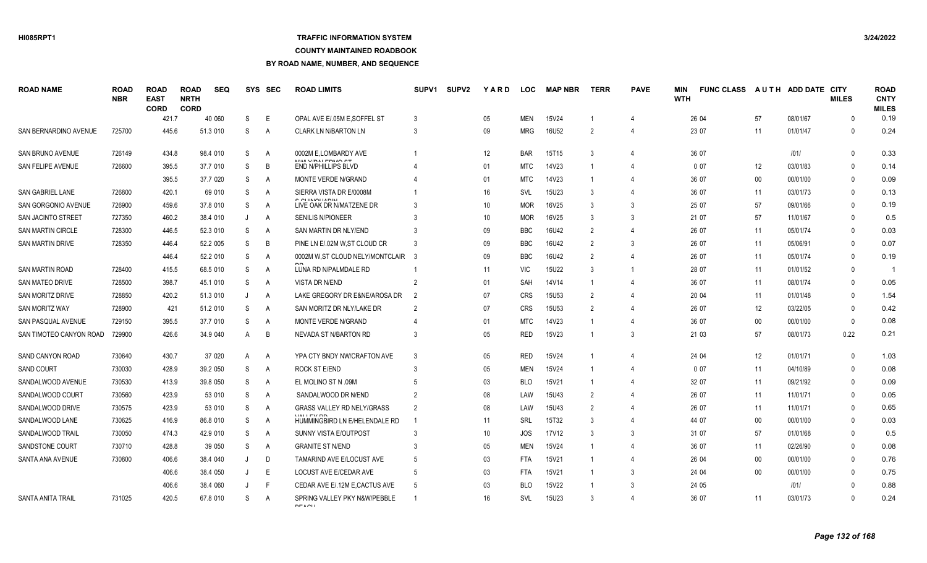### **TRAFFIC INFORMATION SYSTEM**

#### **COUNTY MAINTAINED ROADBOOK**

| <b>ROAD NAME</b>          | <b>ROAD</b><br><b>NBR</b> | <b>ROAD</b><br><b>EAST</b><br><b>CORD</b> | <b>ROAD</b><br><b>NRTH</b><br><b>CORD</b> | <b>SEQ</b> |              | SYS SEC        | <b>ROAD LIMITS</b>                                | SUPV <sub>1</sub> | <b>SUPV2</b> | YARD            | <b>LOC</b> | <b>MAP NBR</b> | <b>TERR</b>    | <b>PAVE</b>    | MIN<br><b>WTH</b> | <b>FUNC CLASS</b> |        | AUTH ADD DATE CITY | <b>MILES</b> | <b>ROAD</b><br><b>CNTY</b><br><b>MILES</b> |
|---------------------------|---------------------------|-------------------------------------------|-------------------------------------------|------------|--------------|----------------|---------------------------------------------------|-------------------|--------------|-----------------|------------|----------------|----------------|----------------|-------------------|-------------------|--------|--------------------|--------------|--------------------------------------------|
|                           |                           | 421.7                                     |                                           | 40 060     | S            | E              | OPAL AVE E/.05M E, SOFFEL ST                      | 3                 |              | 05              | <b>MEN</b> | 15V24          |                | $\overline{4}$ |                   | 26 04             | 57     | 08/01/67           | $\mathbf{0}$ | 0.19                                       |
| SAN BERNARDINO AVENUE     | 725700                    | 445.6                                     |                                           | 51.3 010   | <sub>S</sub> | A              | <b>CLARK LN N/BARTON LN</b>                       | 3                 |              | 09              | <b>MRG</b> | 16U52          | $\overline{2}$ |                |                   | 23 07             | 11     | 01/01/47           | $\Omega$     | 0.24                                       |
| <b>SAN BRUNO AVENUE</b>   | 726149                    | 434.8                                     |                                           | 98.4 010   | S.           | A              | 0002M E.LOMBARDY AVE                              |                   |              | 12              | <b>BAR</b> | 15T15          | $\mathcal{R}$  |                |                   | 36 07             |        | 1011               | $\Omega$     | 0.33                                       |
| SAN FELIPE AVENUE         | 726600                    | 395.5                                     |                                           | 37.7 010   | <sub>S</sub> | B              | ABAR VIDALEDMO OT<br><b>END N/PHILLIPS BLVD</b>   |                   |              | 01              | <b>MTC</b> | 14V23          |                |                |                   | 007               | 12     | 03/01/83           | $\Omega$     | 0.14                                       |
|                           |                           | 395.5                                     |                                           | 37.7 020   | <sub>S</sub> | A              | MONTE VERDE N/GRAND                               |                   |              | 01              | <b>MTC</b> | 14V23          |                |                |                   | 36 07             | $00\,$ | 00/01/00           | $\Omega$     | 0.09                                       |
| <b>SAN GABRIEL LANE</b>   | 726800                    | 420.1                                     |                                           | 69 010     | <sub>S</sub> | A              | SIERRA VISTA DR E/0008M<br><b>COUNDIMAIN</b>      |                   |              | 16              | <b>SVL</b> | 15U23          | -3             |                |                   | 36 07             | 11     | 03/01/73           | $\Omega$     | 0.13                                       |
| SAN GORGONIO AVENUE       | 726900                    | 459.6                                     |                                           | 37.8 010   | <sub>S</sub> | A              | LIVE OAK DR N/MATZENE DR                          | 3                 |              | 10 <sup>°</sup> | <b>MOR</b> | 16V25          | 3              | 3              |                   | 25 07             | 57     | 09/01/66           | $\Omega$     | 0.19                                       |
| <b>SAN JACINTO STREET</b> | 727350                    | 460.2                                     |                                           | 38.4 010   |              | A              | <b>SENILIS N/PIONEER</b>                          |                   |              | 10 <sup>°</sup> | <b>MOR</b> | 16V25          | $\mathcal{R}$  | 3              |                   | 21 07             | 57     | 11/01/67           | $\Omega$     | 0.5                                        |
| <b>SAN MARTIN CIRCLE</b>  | 728300                    | 446.5                                     |                                           | 52.3 010   | <sub>S</sub> | A              | SAN MARTIN DR NLY/END                             |                   |              | 09              | <b>BBC</b> | 16U42          | $\mathcal{P}$  |                |                   | 26 07             | 11     | 05/01/74           | $\Omega$     | 0.03                                       |
| <b>SAN MARTIN DRIVE</b>   | 728350                    | 446.4                                     |                                           | 52.2 005   | <sub>S</sub> | B              | PINE LN E/.02M W.ST CLOUD CR                      | 3                 |              | 09              | <b>BBC</b> | 16U42          | 2              | 3              |                   | 26 07             | 11     | 05/06/91           | $\Omega$     | 0.07                                       |
|                           |                           | 446.4                                     |                                           | 52.2 010   | <sub>S</sub> | $\overline{A}$ | 0002M W,ST CLOUD NELY/MONTCLAIR                   | -3                |              | 09              | <b>BBC</b> | 16U42          | $\overline{2}$ | $\overline{4}$ |                   | 26 07             | 11     | 05/01/74           | $\mathbf{0}$ | 0.19                                       |
| <b>SAN MARTIN ROAD</b>    | 728400                    | 415.5                                     |                                           | 68.5 010   | <sub>S</sub> | A              | LUNA RD N/PALMDALE RD                             |                   |              | 11              | <b>VIC</b> | 15U22          | 3              |                |                   | 28 07             | 11     | 01/01/52           | $\Omega$     |                                            |
| SAN MATEO DRIVE           | 728500                    | 398.7                                     |                                           | 45.1 010   | S            | $\overline{A}$ | VISTA DR N/END                                    |                   |              | 01              | SAH        | 14V14          |                | $\overline{4}$ |                   | 36 07             | 11     | 08/01/74           | $\Omega$     | 0.05                                       |
| <b>SAN MORITZ DRIVE</b>   | 728850                    | 420.2                                     |                                           | 51.3 010   | $\cdot$      | A              | LAKE GREGORY DR E&NE/AROSA DR                     | $\overline{2}$    |              | 07              | <b>CRS</b> | <b>15U53</b>   | $\mathcal{P}$  |                |                   | 20 04             | 11     | 01/01/48           | $\Omega$     | 1.54                                       |
| <b>SAN MORITZ WAY</b>     | 728900                    | 421                                       |                                           | 51.2 010   | S.           | A              | SAN MORITZ DR NLY/LAKE DR                         | $\overline{2}$    |              | 07              | <b>CRS</b> | <b>15U53</b>   | $\mathfrak{D}$ |                |                   | 26 07             | 12     | 03/22/05           | $\Omega$     | 0.42                                       |
| SAN PASQUAL AVENUE        | 729150                    | 395.5                                     |                                           | 37.7 010   | S.           | A              | MONTE VERDE N/GRAND                               |                   |              | 01              | <b>MTC</b> | 14V23          |                |                |                   | 36 07             | $00\,$ | 00/01/00           | $\Omega$     | 0.08                                       |
| SAN TIMOTEO CANYON ROAD   | 729900                    | 426.6                                     |                                           | 34.9 040   | A            | B.             | NEVADA ST N/BARTON RD                             | 3                 |              | 05              | <b>RED</b> | 15V23          |                | 3              |                   | 21 03             | 57     | 08/01/73           | 0.22         | 0.21                                       |
| SAND CANYON ROAD          | 730640                    | 430.7                                     |                                           | 37 020     | A            | $\overline{A}$ | YPA CTY BNDY NW/CRAFTON AVE                       | 3                 |              | 05              | <b>RED</b> | 15V24          |                |                |                   | 24 04             | 12     | 01/01/71           | $\mathbf{0}$ | 1.03                                       |
| <b>SAND COURT</b>         | 730030                    | 428.9                                     |                                           | 39.2 050   | <sub>S</sub> | A              | <b>ROCK ST E/END</b>                              |                   |              | 05              | <b>MEN</b> | 15V24          |                |                |                   | 007               | 11     | 04/10/89           | $\mathbf{0}$ | 0.08                                       |
| SANDALWOOD AVENUE         | 730530                    | 413.9                                     |                                           | 39.8 050   | <sub>S</sub> | A              | EL MOLINO ST N .09M                               |                   |              | 03              | <b>BLO</b> | 15V21          |                |                |                   | 32 07             | 11     | 09/21/92           | $\mathbf{0}$ | 0.09                                       |
| SANDALWOOD COURT          | 730560                    | 423.9                                     |                                           | 53 010     | S            | A              | SANDALWOOD DR N/END                               |                   |              | 08              | LAW        | 15U43          | $\overline{2}$ |                |                   | 26 07             | 11     | 11/01/71           | $\mathbf{0}$ | 0.05                                       |
| SANDALWOOD DRIVE          | 730575                    | 423.9                                     |                                           | 53 010     | <sub>S</sub> | A              | <b>GRASS VALLEY RD NELY/GRASS</b>                 | $\overline{2}$    |              | 08              | LAW        | 15U43          | $\mathcal{P}$  |                |                   | 26 07             | 11     | 11/01/71           | $\Omega$     | 0.65                                       |
| SANDALWOOD LANE           | 730625                    | 416.9                                     |                                           | 86.8 010   | <sub>S</sub> | A              | <b>MALLEM BB</b><br>HUMMINGBIRD LN E/HELENDALE RD |                   |              | 11              | SRL        | 15T32          | $\mathcal{R}$  |                |                   | 44 07             | $00\,$ | 00/01/00           | $\Omega$     | 0.03                                       |
| SANDALWOOD TRAIL          | 730050                    | 474.3                                     |                                           | 42.9 010   | <sub>S</sub> | A              | SUNNY VISTA E/OUTPOST                             | 3                 |              | 10 <sup>°</sup> | <b>JOS</b> | 17V12          | $\mathcal{R}$  | 3              |                   | 31 07             | 57     | 01/01/68           | $\Omega$     | 0.5                                        |
| SANDSTONE COURT           | 730710                    | 428.8                                     |                                           | 39 050     | <sub>S</sub> | A              | <b>GRANITE ST N/END</b>                           | 3                 |              | 05              | <b>MEN</b> | 15V24          |                |                |                   | 36 07             | 11     | 02/26/90           | $\Omega$     | 0.08                                       |
| SANTA ANA AVENUE          | 730800                    | 406.6                                     |                                           | 38.4 040   |              | D              | TAMARIND AVE E/LOCUST AVE                         | 5                 |              | 03              | <b>FTA</b> | 15V21          |                | $\overline{4}$ |                   | 26 04             | 00     | 00/01/00           | $\Omega$     | 0.76                                       |
|                           |                           | 406.6                                     |                                           | 38.4 050   |              | E              | LOCUST AVE E/CEDAR AVE                            | 5                 |              | 03              | <b>FTA</b> | 15V21          |                | 3              |                   | 24 04             | $00\,$ | 00/01/00           | $\Omega$     | 0.75                                       |
|                           |                           | 406.6                                     |                                           | 38.4 060   |              | F              | CEDAR AVE E/.12M E.CACTUS AVE                     | 5                 |              | 03              | <b>BLO</b> | 15V22          |                | 3              |                   | 24 05             |        | 1011               | $\Omega$     | 0.88                                       |
| SANTA ANITA TRAIL         | 731025                    | 420.5                                     |                                           | 67.8 010   | S            | A              | SPRING VALLEY PKY N&W/PEBBLE<br><b>DEAOU</b>      |                   |              | 16              | SVL        | 15U23          | 3              |                |                   | 36 07             | 11     | 03/01/73           | $\Omega$     | 0.24                                       |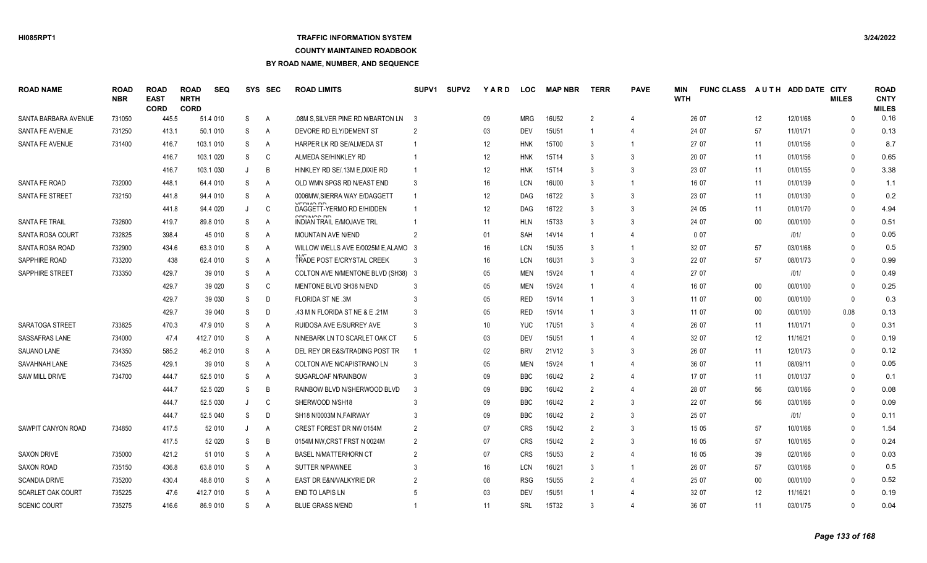## **TRAFFIC INFORMATION SYSTEM**

#### **COUNTY MAINTAINED ROADBOOK**

| <b>ROAD NAME</b>         | <b>ROAD</b><br><b>NBR</b> | <b>ROAD</b><br><b>EAST</b><br><b>CORD</b> | <b>ROAD</b><br><b>NRTH</b><br><b>CORD</b> | <b>SEQ</b> | SYS     | <b>SEC</b> | <b>ROAD LIMITS</b>                              | SUPV1          | <b>SUPV2</b> | YARD | <b>LOC</b> | <b>MAP NBR</b>    | <b>TERR</b>    | <b>PAVE</b>    | MIN<br><b>WTH</b> | <b>FUNC CLASS</b> |        | AUTH ADD DATE CITY | <b>MILES</b> | <b>ROAD</b><br><b>CNTY</b><br><b>MILES</b> |
|--------------------------|---------------------------|-------------------------------------------|-------------------------------------------|------------|---------|------------|-------------------------------------------------|----------------|--------------|------|------------|-------------------|----------------|----------------|-------------------|-------------------|--------|--------------------|--------------|--------------------------------------------|
| SANTA BARBARA AVENUE     | 731050                    | 445.5                                     |                                           | 51.4 010   | S       | Α          | .08M S, SILVER PINE RD N/BARTON LN 3            |                |              | 09   | <b>MRG</b> | 16U52             | $\overline{2}$ |                |                   | 26 07             | 12     | 12/01/68           | $\mathbf{0}$ | 0.16                                       |
| SANTA FE AVENUE          | 731250                    | 413.1                                     |                                           | 50.1 010   | S       | Α          | DEVORE RD ELY/DEMENT ST                         | $\overline{2}$ |              | 03   | <b>DEV</b> | 15U51             |                |                |                   | 24 07             | 57     | 11/01/71           | $\Omega$     | 0.13                                       |
| SANTA FE AVENUE          | 731400                    | 416.7                                     |                                           | 103.1 010  | S       | Α          | HARPER LK RD SE/ALMEDA ST                       |                |              | 12   | <b>HNK</b> | 15T00             | 3              | -1             |                   | 27 07             | 11     | 01/01/56           | $\mathbf{0}$ | 8.7                                        |
|                          |                           | 416.7                                     |                                           | 103.1 020  | S       | C          | ALMEDA SE/HINKLEY RD                            |                |              | 12   | <b>HNK</b> | 15T14             |                | 3              |                   | 20 07             | 11     | 01/01/56           | $\mathbf{0}$ | 0.65                                       |
|                          |                           | 416.7                                     |                                           | 103.1 030  | $\cdot$ | B          | HINKLEY RD SE/.13M E.DIXIE RD                   |                |              | 12   | <b>HNK</b> | 15T14             |                | 3              |                   | 23 07             | 11     | 01/01/55           | $\Omega$     | 3.38                                       |
| SANTA FE ROAD            | 732000                    | 448.1                                     |                                           | 64.4 010   | S       | A          | OLD WMN SPGS RD N/EAST END                      |                |              | 16   | <b>LCN</b> | 16U00             |                | -1             |                   | 16 07             | 11     | 01/01/39           | $\Omega$     | 1.1                                        |
| <b>SANTA FE STREET</b>   | 732150                    | 441.8                                     |                                           | 94.4 010   | S       | A          | 0006MW.SIERRA WAY E/DAGGETT                     |                |              | 12   | <b>DAG</b> | 16T22             | $\mathbf{3}$   | 3              |                   | 23 07             | 11     | 01/01/30           | $\Omega$     | 0.2                                        |
|                          |                           | 441.8                                     |                                           | 94.4 020   |         | C          | VEDMO DD<br>DAGGETT-YERMO RD E/HIDDEN           |                |              | 12   | <b>DAG</b> | 16T22             |                | 3              |                   | 24 05             | 11     | 01/01/70           | $\Omega$     | 4.94                                       |
| <b>SANTA FE TRAIL</b>    | 732600                    | 419.7                                     |                                           | 89.8 010   | S       | Α          | CODIMICS OF<br><b>INDIAN TRAIL E/MOJAVE TRL</b> |                |              | 11   | <b>HLN</b> | 15T33             | 3              | $\mathbf{3}$   |                   | 24 07             | 00     | 00/01/00           | $\Omega$     | 0.51                                       |
| SANTA ROSA COURT         | 732825                    | 398.4                                     |                                           | 45 010     | S       | A          | MOUNTAIN AVE N/END                              |                |              | 01   | SAH        | 14V14             |                | $\overline{4}$ |                   | 007               |        | 1011               | $\Omega$     | 0.05                                       |
| SANTA ROSA ROAD          | 732900                    | 434.6                                     |                                           | 63.3 010   | S       | Α          | WILLOW WELLS AVE E/0025M E,ALAMO 3              |                |              | 16   | <b>LCN</b> | 15U35             |                |                |                   | 32 07             | 57     | 03/01/68           | $\Omega$     | 0.5                                        |
| SAPPHIRE ROAD            | 733200                    | 438                                       |                                           | 62.4 010   | S       | Α          | TRADE POST E/CRYSTAL CREEK                      | 3              |              | 16   | <b>LCN</b> | 16U31             |                | 3              |                   | 22 07             | 57     | 08/01/73           | $\mathbf{0}$ | 0.99                                       |
| SAPPHIRE STREET          | 733350                    | 429.7                                     |                                           | 39 010     | S       | Α          | COLTON AVE N/MENTONE BLVD (SH38) 3              |                |              | 05   | <b>MEN</b> | 15V24             |                |                |                   | 27 07             |        | 1011               | $\Omega$     | 0.49                                       |
|                          |                           | 429.7                                     |                                           | 39 0 20    | S       | C          | MENTONE BLVD SH38 N/END                         |                |              | 05   | <b>MEN</b> | 15V24             |                |                |                   | 16 07             | $00\,$ | 00/01/00           | $\Omega$     | 0.25                                       |
|                          |                           | 429.7                                     |                                           | 39 030     | S       | D          | <b>FLORIDA ST NE .3M</b>                        |                |              | 05   | <b>RED</b> | 15V14             |                | 3              |                   | 11 07             | $00\,$ | 00/01/00           | $\Omega$     | 0.3                                        |
|                          |                           | 429.7                                     |                                           | 39 040     | S       | D          | 43 M N FLORIDA ST NE & E 21M                    |                |              | 05   | <b>RED</b> | 15V14             |                | 3              |                   | 11 07             | $00\,$ | 00/01/00           | 0.08         | 0.13                                       |
| SARATOGA STREET          | 733825                    | 470.3                                     |                                           | 47.9 010   | S       | A          | RUIDOSA AVE E/SURREY AVE                        |                |              | 10   | <b>YUC</b> | 17U51             | 3              | $\overline{4}$ |                   | 26 07             | 11     | 11/01/71           | $\mathbf{0}$ | 0.31                                       |
| SASSAFRAS LANE           | 734000                    | 47.4                                      |                                           | 412.7 010  | S       | Α          | NINEBARK LN TO SCARLET OAK CT                   | -5             |              | 03   | <b>DEV</b> | 15U51             |                | $\overline{4}$ |                   | 32 07             | 12     | 11/16/21           | $\mathbf{0}$ | 0.19                                       |
| SAUANO LANE              | 734350                    | 585.2                                     |                                           | 46.2 010   | S       | Α          | DEL REY DR E&S/TRADING POST TR                  |                |              | 02   | <b>BRV</b> | 21V12             | 3              | 3              |                   | 26 07             | 11     | 12/01/73           | $\mathbf{0}$ | 0.12                                       |
| SAVAHNAH LANE            | 734525                    | 429.1                                     |                                           | 39 010     | S       | Α          | COLTON AVE N/CAPISTRANO LN                      |                |              | 05   | <b>MEN</b> | 15V24             |                |                |                   | 36 07             | 11     | 08/09/11           | $\Omega$     | 0.05                                       |
| <b>SAW MILL DRIVE</b>    | 734700                    | 444.7                                     |                                           | 52.5 010   | S       | A          | SUGARLOAF N/RAINBOW                             |                |              | 09   | <b>BBC</b> | 16U42             | 2              |                |                   | 17 07             | 11     | 01/01/37           | $\Omega$     | 0.1                                        |
|                          |                           | 444.7                                     |                                           | 52.5 020   | S       | B          | RAINBOW BLVD N/SHERWOOD BLVD                    |                |              | 09   | <b>BBC</b> | 16U42             | $\mathcal{P}$  |                |                   | 28 07             | 56     | 03/01/66           | $\Omega$     | 0.08                                       |
|                          |                           | 444.7                                     |                                           | 52.5 030   | J       | C          | SHERWOOD N/SH18                                 |                |              | 09   | <b>BBC</b> | 16U42             | $\overline{2}$ | 3              |                   | 22 07             | 56     | 03/01/66           | $\Omega$     | 0.09                                       |
|                          |                           | 444.7                                     |                                           | 52.5 040   | S       | D          | SH18 N/0003M N, FAIRWAY                         |                |              | 09   | <b>BBC</b> | 16U42             | 2              | 3              |                   | 25 07             |        | 1011               | $\Omega$     | 0.11                                       |
| SAWPIT CANYON ROAD       | 734850                    | 417.5                                     |                                           | 52 010     | J       | Α          | CREST FOREST DR NW 0154M                        |                |              | 07   | <b>CRS</b> | 15U42             |                | 3              |                   | 15 05             | 57     | 10/01/68           | $\Omega$     | 1.54                                       |
|                          |                           | 417.5                                     |                                           | 52 020     | S       | B          | 0154M NW, CRST FRST N 0024M                     | $\overline{2}$ |              | 07   | <b>CRS</b> | 15U42             | 2              | 3              |                   | 16 05             | 57     | 10/01/65           | $\Omega$     | 0.24                                       |
| <b>SAXON DRIVE</b>       | 735000                    | 421.2                                     |                                           | 51 010     | S       | Α          | <b>BASEL N/MATTERHORN CT</b>                    |                |              | 07   | <b>CRS</b> | 15U <sub>53</sub> | 2              | $\overline{4}$ |                   | 16 05             | 39     | 02/01/66           | $\Omega$     | 0.03                                       |
| <b>SAXON ROAD</b>        | 735150                    | 436.8                                     |                                           | 63.8 010   | S       | Α          | <b>SUTTER N/PAWNEE</b>                          |                |              | 16   | <b>LCN</b> | 16U21             | $\mathbf{3}$   |                |                   | 26 07             | 57     | 03/01/68           | $\Omega$     | 0.5                                        |
| <b>SCANDIA DRIVE</b>     | 735200                    | 430.4                                     |                                           | 48.8 010   | S       | A          | EAST DR E&N/VALKYRIE DR                         |                |              | 08   | <b>RSG</b> | <b>15U55</b>      | $\mathcal{P}$  |                |                   | 25 07             | $00\,$ | 00/01/00           | $\Omega$     | 0.52                                       |
| <b>SCARLET OAK COURT</b> | 735225                    | 47.6                                      |                                           | 412.7 010  | S       | A          | <b>END TO LAPIS LN</b>                          |                |              | 03   | <b>DEV</b> | 15U51             |                |                |                   | 32 07             | 12     | 11/16/21           | $\Omega$     | 0.19                                       |
| <b>SCENIC COURT</b>      | 735275                    | 416.6                                     |                                           | 86.9 010   | S.      | A          | <b>BLUE GRASS N/END</b>                         |                |              | 11   | <b>SRL</b> | 15T32             | $\mathbf{3}$   |                |                   | 36 07             | 11     | 03/01/75           | $\Omega$     | 0.04                                       |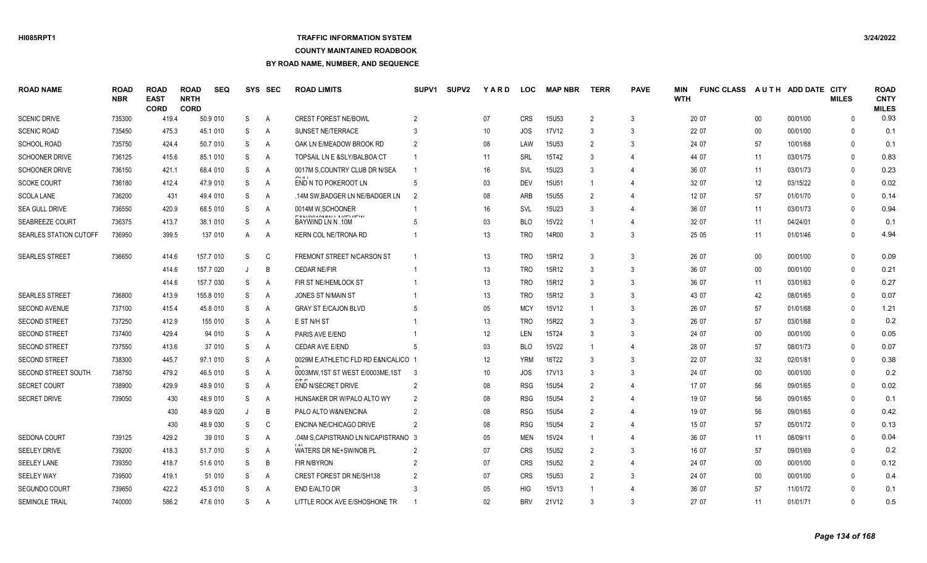### **TRAFFIC INFORMATION SYSTEM**

#### **COUNTY MAINTAINED ROADBOOK**

| ROAD NAME                     | <b>ROAD</b><br><b>NBR</b> | <b>ROAD</b><br><b>EAST</b><br><b>CORD</b> | <b>ROAD</b><br><b>NRTH</b><br><b>CORD</b> | <b>SEQ</b> |   | SYS SEC        | <b>ROAD LIMITS</b>                                    | SUPV1          | SUPV <sub>2</sub> | YARD            | <b>LOC</b> | <b>MAP NBR</b> | TERR           | <b>PAVE</b> | MIN<br><b>WTH</b> | <b>FUNC CLASS</b> | <b>AUTH</b> | ADD DATE CITY | <b>MILES</b> | <b>ROAD</b><br><b>CNTY</b><br><b>MILES</b> |
|-------------------------------|---------------------------|-------------------------------------------|-------------------------------------------|------------|---|----------------|-------------------------------------------------------|----------------|-------------------|-----------------|------------|----------------|----------------|-------------|-------------------|-------------------|-------------|---------------|--------------|--------------------------------------------|
| <b>SCENIC DRIVE</b>           | 735300                    | 419.4                                     |                                           | 50.9 010   | S | $\overline{A}$ | <b>CREST FOREST NE/BOWL</b>                           | $\overline{2}$ |                   | 07              | <b>CRS</b> | <b>15U53</b>   | $\overline{2}$ | 3           |                   | 20 07             | $00\,$      | 00/01/00      | $\Omega$     | 0.93                                       |
| <b>SCENIC ROAD</b>            | 735450                    | 475.3                                     |                                           | 45.1 010   | S | A              | SUNSET NE/TERRACE                                     | 3              |                   | 10 <sup>°</sup> | <b>JOS</b> | 17V12          | -3             | 3           |                   | 22 07             | 00          | 00/01/00      | $\Omega$     | 0.1                                        |
| <b>SCHOOL ROAD</b>            | 735750                    | 424.4                                     |                                           | 50.7 010   | S | $\overline{A}$ | OAK LN E/MEADOW BROOK RD                              | $\overline{2}$ |                   | 08              | LAW        | 15U53          | 2              | 3           |                   | 24 07             | 57          | 10/01/68      | $\mathbf{0}$ | 0.1                                        |
| SCHOONER DRIVE                | 736125                    | 415.6                                     |                                           | 85.1 010   | S | A              | TOPSAIL LN E & SLY/BALBOA CT                          |                |                   | 11              | SRL        | 15T42          |                | 4           |                   | 44 07             | 11          | 03/01/75      | $\Omega$     | 0.83                                       |
| <b>SCHOONER DRIVE</b>         | 736150                    | 421.1                                     |                                           | 68.4 010   | S | A              | 0017M S.COUNTRY CLUB DR N/SEA                         |                |                   | 16              | <b>SVL</b> | 15U23          | 3              | 4           |                   | 36 07             | 11          | 03/01/73      | $\Omega$     | 0.23                                       |
| <b>SCOKE COURT</b>            | 736180                    | 412.4                                     |                                           | 47.9 010   | S | $\overline{A}$ | END N TO POKEROOT LN                                  | -5             |                   | 03              | <b>DEV</b> | 15U51          |                | 4           |                   | 32 07             | 12          | 03/15/22      | $\Omega$     | 0.02                                       |
| <b>SCOLA LANE</b>             | 736200                    | 431                                       |                                           | 49.4 010   | S | A              | .14M SW.BADGER LN NE/BADGER LN                        | -2             |                   | 08              | ARB        | <b>15U55</b>   | $\overline{2}$ |             |                   | 12 07             | 57          | 01/01/70      | $\Omega$     | 0.14                                       |
| <b>SEA GULL DRIVE</b>         | 736550                    | 420.9                                     |                                           | 68.5 010   | S | $\overline{A}$ | 0014M W.SCHOONER                                      |                |                   | 16              | SVL        | 15U23          | 3              | 4           |                   | 36 07             | 11          | 03/01/73      | $\Omega$     | 0.94                                       |
| <b>SEABREEZE COURT</b>        | 736375                    | 413.7                                     |                                           | 38.1 010   | S | A              | <b>CONJONADAMALL AIZEVILENAL</b><br>BAYWIND LN N .10M |                |                   | 03              | <b>BLO</b> | 15V22          | -1             | $\Delta$    |                   | 32 07             | 11          | 04/24/01      | $\Omega$     | 0.1                                        |
| <b>SEARLES STATION CUTOFF</b> | 736950                    | 399.5                                     |                                           | 137 010    | A | A              | KERN COL NE/TRONA RD                                  |                |                   | 13              | <b>TRO</b> | 14R00          | 3              | 3           |                   | 25 05             | 11          | 01/01/46      | $\Omega$     | 4.94                                       |
| <b>SEARLES STREET</b>         | 736650                    | 414.6                                     |                                           | 157.7 010  | S | C              | <b>FREMONT STREET N/CARSON ST</b>                     |                |                   | 13              | <b>TRO</b> | 15R12          | 3              | 3           |                   | 26 07             | $00\,$      | 00/01/00      | $\Omega$     | 0.09                                       |
|                               |                           | 414.6                                     |                                           | 157.7 020  | J | B              | <b>CEDAR NE/FIR</b>                                   |                |                   | 13              | <b>TRO</b> | 15R12          | 3              | 3           |                   | 36 07             | $00\,$      | 00/01/00      | $\Omega$     | 0.21                                       |
|                               |                           | 414.6                                     |                                           | 157.7 030  | S | $\overline{A}$ | FIR ST NE/HEMLOCK ST                                  |                |                   | 13              | <b>TRO</b> | 15R12          | 3              | 3           |                   | 36 07             | 11          | 03/01/63      | $\Omega$     | 0.27                                       |
| <b>SEARLES STREET</b>         | 736800                    | 413.9                                     |                                           | 155.8 010  | S | $\overline{A}$ | JONES ST N/MAIN ST                                    |                |                   | 13              | <b>TRO</b> | 15R12          | 3              | 3           |                   | 43 07             | 42          | 08/01/65      | $\Omega$     | 0.07                                       |
| <b>SECOND AVENUE</b>          | 737100                    | 415.4                                     |                                           | 45.8 010   | S | $\overline{A}$ | <b>GRAY ST E/CAJON BLVD</b>                           | .5             |                   | 05              | <b>MCY</b> | 15V12          |                | 3           |                   | 26 07             | 57          | 01/01/68      | $\Omega$     | 1.21                                       |
| <b>SECOND STREET</b>          | 737250                    | 412.9                                     |                                           | 155 010    | S | $\overline{A}$ | E ST N/H ST                                           |                |                   | 13              | <b>TRO</b> | 15R22          | 3              | 3           |                   | 26 07             | 57          | 03/01/68      | $\Omega$     | 0.2                                        |
| <b>SECOND STREET</b>          | 737400                    | 429.4                                     |                                           | 94 010     | S | A              | <b>PARIS AVE E/END</b>                                |                |                   | $12 \,$         | <b>LEN</b> | 15T24          | 3              | 3           |                   | 24 07             | 00          | 00/01/00      | $\Omega$     | 0.05                                       |
| SECOND STREET                 | 737550                    | 413.6                                     |                                           | 37 010     | S | $\overline{A}$ | <b>CEDAR AVE E/END</b>                                | 5              |                   | 03              | <b>BLO</b> | 15V22          |                | 4           |                   | 28 07             | 57          | 08/01/73      | $\Omega$     | 0.07                                       |
| SECOND STREET                 | 738300                    | 445.7                                     |                                           | 97.1 010   | S | $\overline{A}$ | 0029M E, ATHLETIC FLD RD E&N/CALICO 1                 |                |                   | 12              | <b>YRM</b> | 16T22          | 3              | 3           |                   | 22 07             | 32          | 02/01/81      | $\Omega$     | 0.38                                       |
| SECOND STREET SOUTH           | 738750                    | 479.2                                     |                                           | 46.5 010   | S | A              | 0003MW,1ST ST WEST E/0003ME,1ST                       | -3             |                   | 10 <sup>°</sup> | <b>JOS</b> | <b>17V13</b>   | 3              | 3           |                   | 24 07             | $00\,$      | 00/01/00      | $\Omega$     | 0.2                                        |
| <b>SECRET COURT</b>           | 738900                    | 429.9                                     |                                           | 48.9 010   | S | $\overline{A}$ | <b>END N/SECRET DRIVE</b>                             | $\overline{2}$ |                   | 08              | <b>RSG</b> | <b>15U54</b>   | 2              | 4           |                   | 17 07             | 56          | 09/01/65      | $\Omega$     | 0.02                                       |
| <b>SECRET DRIVE</b>           | 739050                    | 430                                       |                                           | 48.9 010   | S | A              | HUNSAKER DR W/PALO ALTO WY                            | $\overline{2}$ |                   | 08              | <b>RSG</b> | <b>15U54</b>   | $\mathfrak{D}$ | 4           |                   | 19 07             | 56          | 09/01/65      | $\Omega$     | 0.1                                        |
|                               |                           | 430                                       |                                           | 48.9 020   |   | B              | PALO ALTO W&N/ENCINA                                  | $\overline{2}$ |                   | 08              | <b>RSG</b> | <b>15U54</b>   | 2              | 4           |                   | 19 07             | 56          | 09/01/65      | $\Omega$     | 0.42                                       |
|                               |                           | 430                                       |                                           | 48.9 030   | S | C              | ENCINA NE/CHICAGO DRIVE                               | $\mathcal{P}$  |                   | 08              | <b>RSG</b> | 15U54          | $\mathfrak{D}$ | $\Delta$    |                   | 15 07             | 57          | 05/01/72      | $\Omega$     | 0.13                                       |
| SEDONA COURT                  | 739125                    | 429.2                                     |                                           | 39 010     | S | $\overline{A}$ | .04M S, CAPISTRANO LN N/CAPISTRANO 3                  |                |                   | 05              | <b>MEN</b> | 15V24          |                |             |                   | 36 07             | 11          | 08/09/11      | $\Omega$     | 0.04                                       |
| <b>SEELEY DRIVE</b>           | 739200                    | 418.3                                     |                                           | 51.7 010   | S | A              | WATERS DR NE+SW/NOB PL                                | $\overline{2}$ |                   | 07              | <b>CRS</b> | 15U52          | 2              | 3           |                   | 16 07             | 57          | 09/01/69      | $\Omega$     | 0.2                                        |
| <b>SEELEY LANE</b>            | 739350                    | 418.7                                     |                                           | 51.6 010   | S | B              | FIR N/BYRON                                           |                |                   | 07              | <b>CRS</b> | <b>15U52</b>   | $\mathcal{P}$  | 4           |                   | 24 07             | $00\,$      | 00/01/00      | $\Omega$     | 0.12                                       |
| <b>SEELEY WAY</b>             | 739500                    | 419.1                                     |                                           | 51 010     | S | $\overline{A}$ | CREST FOREST DR NE/SH138                              | $\overline{2}$ |                   | 07              | <b>CRS</b> | <b>15U53</b>   | $\mathfrak{D}$ | 3           |                   | 24 07             | $00\,$      | 00/01/00      | $\Omega$     | 0.4                                        |
| <b>SEGUNDO COURT</b>          | 739650                    | 422.2                                     |                                           | 45.3 010   | S | $\overline{A}$ | END E/ALTO DR                                         | 3              |                   | 05              | <b>HIG</b> | 15V13          |                |             |                   | 36 07             | 57          | 11/01/72      | $\Omega$     | 0.1                                        |
| <b>SEMINOLE TRAIL</b>         | 740000                    | 586.2                                     |                                           | 47.6 010   | S | A              | LITTLE ROCK AVE E/SHOSHONE TR                         |                |                   | 02              | <b>BRV</b> | 21V12          | 3              | 3           |                   | 27 07             | 11          | 01/01/71      | $\Omega$     | 0.5                                        |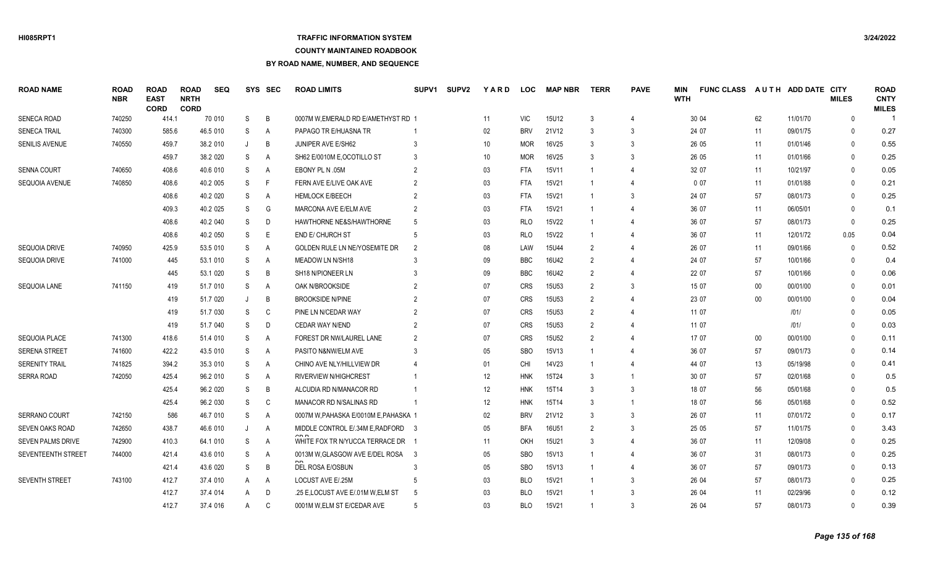## **TRAFFIC INFORMATION SYSTEM**

#### **COUNTY MAINTAINED ROADBOOK**

| <b>ROAD NAME</b>         | ROAD<br><b>NBR</b> | <b>ROAD</b><br><b>EAST</b><br><b>CORD</b> | <b>ROAD</b><br><b>NRTH</b><br><b>CORD</b> | <b>SEQ</b> |         | SYS SEC      | <b>ROAD LIMITS</b>                    | SUPV <sub>1</sub> | <b>SUPV2</b> | <b>YARD</b>     | <b>LOC</b> | <b>MAP NBR</b>    | <b>TERR</b>    | <b>PAVE</b>    | <b>MIN</b><br><b>WTH</b> | <b>FUNC CLASS</b> |        | AUTH ADD DATE CITY | <b>MILES</b> | <b>ROAD</b><br><b>CNTY</b><br><b>MILES</b> |
|--------------------------|--------------------|-------------------------------------------|-------------------------------------------|------------|---------|--------------|---------------------------------------|-------------------|--------------|-----------------|------------|-------------------|----------------|----------------|--------------------------|-------------------|--------|--------------------|--------------|--------------------------------------------|
| <b>SENECA ROAD</b>       | 740250             | 414.1                                     |                                           | 70 010     | S       | B            | 0007M W.EMERALD RD E/AMETHYST RD 1    |                   |              | 11              | <b>VIC</b> | 15U12             | 3              | 4              |                          | 30 04             | 62     | 11/01/70           | $\mathbf{0}$ |                                            |
| <b>SENECA TRAIL</b>      | 740300             | 585.6                                     |                                           | 46.5 010   | S       | A            | PAPAGO TR E/HUASNA TR                 |                   |              | 02              | <b>BRV</b> | 21V12             | 3              | 3              |                          | 24 07             | 11     | 09/01/75           | $\Omega$     | 0.27                                       |
| <b>SENILIS AVENUE</b>    | 740550             | 459.7                                     |                                           | 38.2 010   | $\cdot$ | B            | <b>JUNIPER AVE E/SH62</b>             | 3                 |              | 10 <sup>°</sup> | <b>MOR</b> | 16V25             | 3              | 3              |                          | 26 05             | 11     | 01/01/46           | $\Omega$     | 0.55                                       |
|                          |                    | 459.7                                     |                                           | 38.2 020   | S       | A            | SH62 E/0010M E.OCOTILLO ST            |                   |              | 10              | <b>MOR</b> | 16V25             |                | 3              |                          | 26 05             | 11     | 01/01/66           | $\Omega$     | 0.25                                       |
| <b>SENNA COURT</b>       | 740650             | 408.6                                     |                                           | 40.6 010   | S       | Α            | EBONY PL N .05M                       |                   |              | 03              | <b>FTA</b> | 15V11             |                | $\Delta$       |                          | 32 07             | 11     | 10/21/97           | $\Omega$     | 0.05                                       |
| SEQUOIA AVENUE           | 740850             | 408.6                                     |                                           | 40.2 005   | S       | F            | FERN AVE E/LIVE OAK AVE               |                   |              | 03              | <b>FTA</b> | 15V21             |                |                |                          | 0 0 7             | 11     | 01/01/88           | $\Omega$     | 0.21                                       |
|                          |                    | 408.6                                     |                                           | 40.2 020   | S       | A            | <b>HEMLOCK E/BEECH</b>                |                   |              | 03              | <b>FTA</b> | 15V21             |                | 3              |                          | 24 07             | 57     | 08/01/73           | $\Omega$     | 0.25                                       |
|                          |                    | 409.3                                     |                                           | 40.2 025   | S       | G            | MARCONA AVE E/ELM AVE                 | $\mathcal{P}$     |              | 03              | <b>FTA</b> | 15V21             | -1             |                |                          | 36 07             | 11     | 06/05/01           | $\Omega$     | 0.1                                        |
|                          |                    | 408.6                                     |                                           | 40.2 040   | S       | D            | HAWTHORNE NE&S/HAWTHORNE              | .5                |              | 03              | <b>RLO</b> | 15V22             |                | 4              |                          | 36 07             | 57     | 08/01/73           | $\Omega$     | 0.25                                       |
|                          |                    | 408.6                                     |                                           | 40.2 050   | S       | E            | END E/ CHURCH ST                      | -5                |              | 03              | <b>RLO</b> | 15V22             |                | 4              |                          | 36 07             | 11     | 12/01/72           | 0.05         | 0.04                                       |
| <b>SEQUOIA DRIVE</b>     | 740950             | 425.9                                     |                                           | 53.5 010   | S       | A            | GOLDEN RULE LN NE/YOSEMITE DR         | $\mathfrak{D}$    |              | 08              | LAW        | 15U44             | $\mathcal{P}$  | 4              |                          | 26 07             | 11     | 09/01/66           | $\Omega$     | 0.52                                       |
| <b>SEQUOIA DRIVE</b>     | 741000             | 445                                       |                                           | 53.1 010   | S       | Α            | MEADOW LN N/SH18                      |                   |              | 09              | <b>BBC</b> | 16U42             | $\mathcal{P}$  | 4              |                          | 24 07             | 57     | 10/01/66           | $\Omega$     | 0.4                                        |
|                          |                    | 445                                       |                                           | 53.1 020   | S       | B            | SH18 N/PIONEER LN                     |                   |              | 09              | <b>BBC</b> | 16U42             | $\mathcal{P}$  | $\Delta$       |                          | 22 07             | 57     | 10/01/66           | $\Omega$     | 0.06                                       |
| SEQUOIA LANE             | 741150             | 419                                       |                                           | 51.7 010   | S       | Α            | OAK N/BROOKSIDE                       |                   |              | 07              | <b>CRS</b> | 15U53             | $\mathcal{P}$  | 3              |                          | 15 07             | $00\,$ | 00/01/00           | $\Omega$     | 0.01                                       |
|                          |                    | 419                                       |                                           | 51.7 020   |         | B            | <b>BROOKSIDE N/PINE</b>               |                   |              | 07              | <b>CRS</b> | 15U <sub>53</sub> | $\mathcal{P}$  |                |                          | 23 07             | $00\,$ | 00/01/00           | $\Omega$     | 0.04                                       |
|                          |                    | 419                                       |                                           | 51.7 030   | S       | C            | PINE LN N/CEDAR WAY                   |                   |              | 07              | <b>CRS</b> | 15U53             | $\overline{2}$ |                |                          | 11 07             |        | 1011               | $\Omega$     | 0.05                                       |
|                          |                    | 419                                       |                                           | 51.7 040   | S       | D            | <b>CEDAR WAY N/END</b>                | $\mathcal{P}$     |              | 07              | <b>CRS</b> | 15U53             | $\mathcal{P}$  | $\Delta$       |                          | 11 07             |        | 1011               | $\Omega$     | 0.03                                       |
| <b>SEQUOIA PLACE</b>     | 741300             | 418.6                                     |                                           | 51.4 010   | S       | A            | FOREST DR NW/LAUREL LANE              | $\mathcal{P}$     |              | 07              | <b>CRS</b> | <b>15U52</b>      | $\mathcal{P}$  | $\Delta$       |                          | 17 07             | $00\,$ | 00/01/00           | $\Omega$     | 0.11                                       |
| <b>SERENA STREET</b>     | 741600             | 422.2                                     |                                           | 43.5 010   | S       | $\mathsf{A}$ | PASITO N&NW/ELM AVE                   | 3                 |              | 05              | <b>SBO</b> | 15V13             |                | $\Delta$       |                          | 36 07             | 57     | 09/01/73           | $\Omega$     | 0.14                                       |
| <b>SERENITY TRAIL</b>    | 741825             | 394.2                                     |                                           | 35.3 010   | S       | A            | CHINO AVE NLY/HILLVIEW DR             |                   |              | 01              | <b>CHI</b> | 14V23             |                | $\overline{4}$ |                          | 44 07             | 13     | 05/19/98           | $\Omega$     | 0.41                                       |
| <b>SERRA ROAD</b>        | 742050             | 425.4                                     |                                           | 96.2 010   | S       | A            | <b>RIVERVIEW N/HIGHCREST</b>          |                   |              | 12              | <b>HNK</b> | 15T24             | 3              | -1             |                          | 30 07             | 57     | 02/01/68           | $\Omega$     | 0.5                                        |
|                          |                    | 425.4                                     |                                           | 96.2 020   | S       | B            | ALCUDIA RD N/MANACOR RD               |                   |              | 12              | <b>HNK</b> | 15T14             | 3              | 3              |                          | 18 07             | 56     | 05/01/68           | $\Omega$     | 0.5                                        |
|                          |                    | 425.4                                     |                                           | 96.2 030   | S       | C            | <b>MANACOR RD N/SALINAS RD</b>        |                   |              | 12              | <b>HNK</b> | 15T14             | 3              | $\overline{1}$ |                          | 18 07             | 56     | 05/01/68           | $\Omega$     | 0.52                                       |
| <b>SERRANO COURT</b>     | 742150             | 586                                       |                                           | 46.7 010   | S       | A            | 0007M W, PAHASKA E/0010M E, PAHASKA 1 |                   |              | 02              | <b>BRV</b> | 21V12             | 3              | 3              |                          | 26 07             | 11     | 07/01/72           | $\Omega$     | 0.17                                       |
| <b>SEVEN OAKS ROAD</b>   | 742650             | 438.7                                     |                                           | 46.6 010   |         | Α            | MIDDLE CONTROL E/.34M E.RADFORD 3     |                   |              | 05              | <b>BFA</b> | 16U51             | $\mathcal{P}$  | 3              |                          | 25 05             | 57     | 11/01/75           | $\Omega$     | 3.43                                       |
| <b>SEVEN PALMS DRIVE</b> | 742900             | 410.3                                     |                                           | 64.1 010   | S       | $\mathsf{A}$ | WHITE FOX TR N/YUCCA TERRACE DR 1     |                   |              | 11              | OKH        | <b>15U21</b>      | 3              | 4              |                          | 36 07             | 11     | 12/09/08           | $\Omega$     | 0.25                                       |
| SEVENTEENTH STREET       | 744000             | 421.4                                     |                                           | 43.6 010   | S       | A            | 0013M W.GLASGOW AVE E/DEL ROSA 3      |                   |              | 05              | <b>SBO</b> | 15V13             |                | $\Delta$       |                          | 36 07             | 31     | 08/01/73           | $\Omega$     | 0.25                                       |
|                          |                    | 421.4                                     |                                           | 43.6 020   | S       | B            | DEL ROSA E/OSBUN                      |                   |              | 05              | <b>SBO</b> | 15V13             |                | $\Delta$       |                          | 36 07             | 57     | 09/01/73           | $\Omega$     | 0.13                                       |
| <b>SEVENTH STREET</b>    | 743100             | 412.7                                     |                                           | 37.4 010   | A       | A            | LOCUST AVE E/.25M                     |                   |              | 03              | <b>BLO</b> | 15V21             |                | 3              |                          | 26 04             | 57     | 08/01/73           | $\Omega$     | 0.25                                       |
|                          |                    | 412.7                                     |                                           | 37.4 014   | A       | D            | .25 E.LOCUST AVE E/.01M W.ELM ST      |                   |              | 03              | <b>BLO</b> | 15V21             |                | 3              |                          | 26 04             | 11     | 02/29/96           | $\Omega$     | 0.12                                       |
|                          |                    | 412.7                                     |                                           | 37.4 016   | A       | C            | 0001M W.ELM ST E/CEDAR AVE            |                   |              | 03              | <b>BLO</b> | 15V21             |                | 3              |                          | 26 04             | 57     | 08/01/73           | $\Omega$     | 0.39                                       |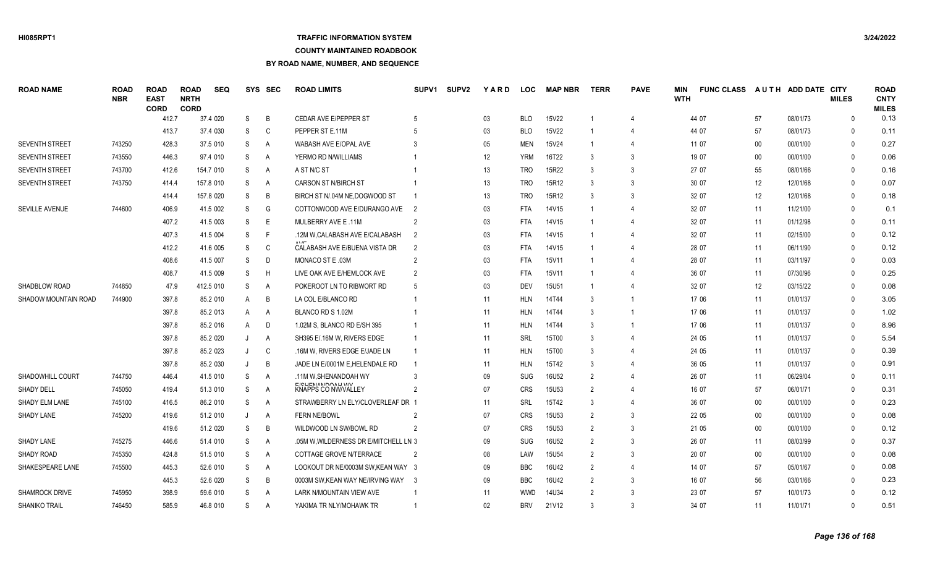### **TRAFFIC INFORMATION SYSTEM**

### **COUNTY MAINTAINED ROADBOOK**

| <b>ROAD NAME</b>        | <b>ROAD</b><br><b>NBR</b> | <b>ROAD</b><br><b>EAST</b><br><b>CORD</b> | <b>ROAD</b><br><b>NRTH</b><br><b>CORD</b> | <b>SEQ</b> |   | SYS SEC | <b>ROAD LIMITS</b>                                | SUPV <sub>1</sub> | <b>SUPV2</b> | <b>YARD</b> | <b>LOC</b> | <b>MAP NBR</b> | <b>TERR</b>    | <b>PAVE</b>              | <b>MIN</b><br><b>WTH</b> | <b>FUNC CLASS</b> |        | AUTH ADD DATE CITY | <b>MILES</b> | <b>ROAD</b><br><b>CNTY</b><br><b>MILES</b> |
|-------------------------|---------------------------|-------------------------------------------|-------------------------------------------|------------|---|---------|---------------------------------------------------|-------------------|--------------|-------------|------------|----------------|----------------|--------------------------|--------------------------|-------------------|--------|--------------------|--------------|--------------------------------------------|
|                         |                           | 412.7                                     |                                           | 37.4 020   | S | B       | <b>CEDAR AVE E/PEPPER ST</b>                      | -5                |              | 03          | <b>BLO</b> | 15V22          |                | $\Delta$                 |                          | 44 07             | 57     | 08/01/73           | $\Omega$     | 0.13                                       |
|                         |                           | 413.7                                     |                                           | 37.4 030   | S | C       | PEPPER ST E.11M                                   |                   |              | 03          | <b>BLO</b> | 15V22          |                | $\overline{\mathcal{L}}$ |                          | 44 07             | 57     | 08/01/73           | $\Omega$     | 0.11                                       |
| <b>SEVENTH STREET</b>   | 743250                    | 428.3                                     |                                           | 37.5 010   | S | A       | WABASH AVE E/OPAL AVE                             |                   |              | 05          | <b>MEN</b> | 15V24          |                | $\overline{4}$           |                          | 11 07             | 00     | 00/01/00           | $\Omega$     | 0.27                                       |
| <b>SEVENTH STREET</b>   | 743550                    | 446.3                                     |                                           | 97.4 010   | S | A       | YERMO RD N/WILLIAMS                               |                   |              | 12          | <b>YRM</b> | 16T22          |                | 3                        |                          | 19 07             | 00     | 00/01/00           | $\Omega$     | 0.06                                       |
| <b>SEVENTH STREET</b>   | 743700                    | 412.6                                     |                                           | 154.7 010  | S | A       | A ST N/C ST                                       |                   |              | 13          | <b>TRO</b> | 15R22          | 3              | 3                        |                          | 27 07             | 55     | 08/01/66           | $\Omega$     | 0.16                                       |
| <b>SEVENTH STREET</b>   | 743750                    | 414.4                                     |                                           | 157.8 010  | S | A       | <b>CARSON ST N/BIRCH ST</b>                       |                   |              | 13          | <b>TRO</b> | 15R12          | 3              | 3                        |                          | 30 07             | 12     | 12/01/68           | $\Omega$     | 0.07                                       |
|                         |                           | 414.4                                     |                                           | 157.8 020  | S | B       | BIRCH ST N/04M NE.DOGWOOD ST                      |                   |              | 13          | <b>TRO</b> | 15R12          | $\mathcal{R}$  | 3                        |                          | 32 07             | 12     | 12/01/68           | $\Omega$     | 0.18                                       |
| <b>SEVILLE AVENUE</b>   | 744600                    | 406.9                                     |                                           | 41.5 002   | S | G       | COTTONWOOD AVE E/DURANGO AVE                      | - 2               |              | 03          | <b>FTA</b> | 14V15          |                | $\Delta$                 |                          | 32 07             | 11     | 11/21/00           | $\Omega$     | 0.1                                        |
|                         |                           | 407.2                                     |                                           | 41.5 003   | S | E       | MULBERRY AVE E.11M                                | $\overline{2}$    |              | 03          | <b>FTA</b> | 14V15          |                | $\Delta$                 |                          | 32 07             | 11     | 01/12/98           | $\Omega$     | 0.11                                       |
|                         |                           | 407.3                                     |                                           | 41.5 004   | S | F       | .12M W, CALABASH AVE E/CALABASH                   | $\overline{2}$    |              | 03          | <b>FTA</b> | 14V15          |                | $\overline{\mathcal{L}}$ |                          | 32 07             | 11     | 02/15/00           | $\Omega$     | 0.12                                       |
|                         |                           | 412.2                                     |                                           | 41.6 005   | S | C       | CALABASH AVE E/BUENA VISTA DR                     | 2                 |              | 03          | <b>FTA</b> | 14V15          |                | $\Delta$                 |                          | 28 07             | 11     | 06/11/90           | $\Omega$     | 0.12                                       |
|                         |                           | 408.6                                     |                                           | 41.5 007   | S | D       | MONACO ST E .03M                                  | 2                 |              | 03          | <b>FTA</b> | 15V11          |                | 4                        |                          | 28 07             | 11     | 03/11/97           | $\Omega$     | 0.03                                       |
|                         |                           | 408.7                                     |                                           | 41.5 009   | S | H       | LIVE OAK AVE E/HEMLOCK AVE                        | 2                 |              | 03          | <b>FTA</b> | 15V11          |                | $\overline{\mathcal{L}}$ |                          | 36 07             | 11     | 07/30/96           | $\Omega$     | 0.25                                       |
| SHADBLOW ROAD           | 744850                    | 47.9                                      |                                           | 412.5 010  | S | A       | POKEROOT LN TO RIBWORT RD                         |                   |              | 03          | <b>DEV</b> | <b>15U51</b>   |                | 4                        |                          | 32 07             | 12     | 03/15/22           | $\Omega$     | 0.08                                       |
| SHADOW MOUNTAIN ROAD    | 744900                    | 397.8                                     |                                           | 85.2 010   | A | B       | LA COL E/BLANCO RD                                |                   |              | 11          | <b>HLN</b> | 14T44          | 3              | $\overline{1}$           |                          | 17 06             | 11     | 01/01/37           | $\Omega$     | 3.05                                       |
|                         |                           | 397.8                                     |                                           | 85.2 013   | A | A       | BLANCO RD S 1.02M                                 |                   |              | 11          | <b>HLN</b> | 14T44          | 3              | $\overline{1}$           |                          | 17 06             | 11     | 01/01/37           | $\Omega$     | 1.02                                       |
|                         |                           | 397.8                                     |                                           | 85.2 016   | A | D       | 1.02M S, BLANCO RD E/SH 395                       |                   |              | 11          | <b>HLN</b> | 14T44          | 3              | -1                       |                          | 17 06             | 11     | 01/01/37           | $\Omega$     | 8.96                                       |
|                         |                           | 397.8                                     |                                           | 85.2 020   |   | A       | SH395 E/.16M W, RIVERS EDGE                       |                   |              | 11          | SRL        | 15T00          |                | 4                        |                          | 24 05             | 11     | 01/01/37           | $\Omega$     | 5.54                                       |
|                         |                           | 397.8                                     |                                           | 85.2 023   |   | C       | .16M W, RIVERS EDGE E/JADE LN                     |                   |              | 11          | <b>HLN</b> | 15T00          |                | 4                        |                          | 24 05             | 11     | 01/01/37           | $\Omega$     | 0.39                                       |
|                         |                           | 397.8                                     |                                           | 85.2 030   |   | B       | JADE LN E/0001M E.HELENDALE RD                    |                   |              | 11          | <b>HLN</b> | 15T42          |                | $\overline{4}$           |                          | 36 05             | 11     | 01/01/37           | $\Omega$     | 0.91                                       |
| <b>SHADOWHILL COURT</b> | 744750                    | 446.4                                     |                                           | 41.5 010   | S | A       | .11M W, SHENANDOAH WY                             |                   |              | 09          | <b>SUG</b> | 16U52          | $\mathcal{P}$  | 4                        |                          | 26 07             | 11     | 06/29/04           | $\Omega$     | 0.11                                       |
| <b>SHADY DELL</b>       | 745050                    | 419.4                                     |                                           | 51.3 010   | S | A       | <b>EIOUENIANDO ALLIANZ</b><br>KNAPPS CO NW/VALLEY |                   |              | 07          | <b>CRS</b> | <b>15U53</b>   | 2              | 4                        |                          | 16 07             | 57     | 06/01/71           | $\Omega$     | 0.31                                       |
| SHADY ELM LANE          | 745100                    | 416.5                                     |                                           | 86.2 010   | S | A       | STRAWBERRY LN ELY/CLOVERLEAF DR 1                 |                   |              | 11          | SRL        | 15T42          | 3              | 4                        |                          | 36 07             | 00     | 00/01/00           | $\Omega$     | 0.23                                       |
| <b>SHADY LANE</b>       | 745200                    | 419.6                                     |                                           | 51.2 010   |   | A       | <b>FERN NE/BOWL</b>                               |                   |              | 07          | <b>CRS</b> | 15U53          | 2              | 3                        |                          | 22 05             | $00\,$ | 00/01/00           | $\Omega$     | 0.08                                       |
|                         |                           | 419.6                                     |                                           | 51.2 020   | S | B       | WILDWOOD LN SW/BOWL RD                            | 2                 |              | 07          | <b>CRS</b> | 15U53          | $\mathcal{P}$  | 3                        |                          | 21 05             | $00\,$ | 00/01/00           | $\Omega$     | 0.12                                       |
| <b>SHADY LANE</b>       | 745275                    | 446.6                                     |                                           | 51.4 010   | S | A       | .05M W.WILDERNESS DR E/MITCHELL LN 3              |                   |              | 09          | <b>SUG</b> | 16U52          |                | 3                        |                          | 26 07             | 11     | 08/03/99           | $\Omega$     | 0.37                                       |
| SHADY ROAD              | 745350                    | 424.8                                     |                                           | 51.5 010   | S | A       | COTTAGE GROVE N/TERRACE                           | $\overline{2}$    |              | 08          | LAW        | 15U54          | $\overline{2}$ | 3                        |                          | 20 07             | $00\,$ | 00/01/00           | $\Omega$     | 0.08                                       |
| SHAKESPEARE LANE        | 745500                    | 445.3                                     |                                           | 52.6 010   | S | A       | LOOKOUT DR NE/0003M SW, KEAN WAY 3                |                   |              | 09          | <b>BBC</b> | 16U42          | $\mathfrak{p}$ | $\overline{4}$           |                          | 14 07             | 57     | 05/01/67           | $\Omega$     | 0.08                                       |
|                         |                           | 445.3                                     |                                           | 52.6 020   | S | B       | 0003M SW, KEAN WAY NE/IRVING WAY                  | - 3               |              | 09          | <b>BBC</b> | 16U42          | 2              | 3                        |                          | 16 07             | 56     | 03/01/66           | $\Omega$     | 0.23                                       |
| <b>SHAMROCK DRIVE</b>   | 745950                    | 398.9                                     |                                           | 59.6 010   | S | A       | LARK N/MOUNTAIN VIEW AVE                          |                   |              | 11          | <b>WWD</b> | 14U34          | $\mathcal{P}$  | 3                        |                          | 23 07             | 57     | 10/01/73           | $\mathsf{O}$ | 0.12                                       |
| <b>SHANIKO TRAIL</b>    | 746450                    | 585.9                                     |                                           | 46.8 010   | S | A       | YAKIMA TR NLY/MOHAWK TR                           |                   |              | 02          | <b>BRV</b> | 21V12          |                | 3                        |                          | 34 07             | 11     | 11/01/71           | $\Omega$     | 0.51                                       |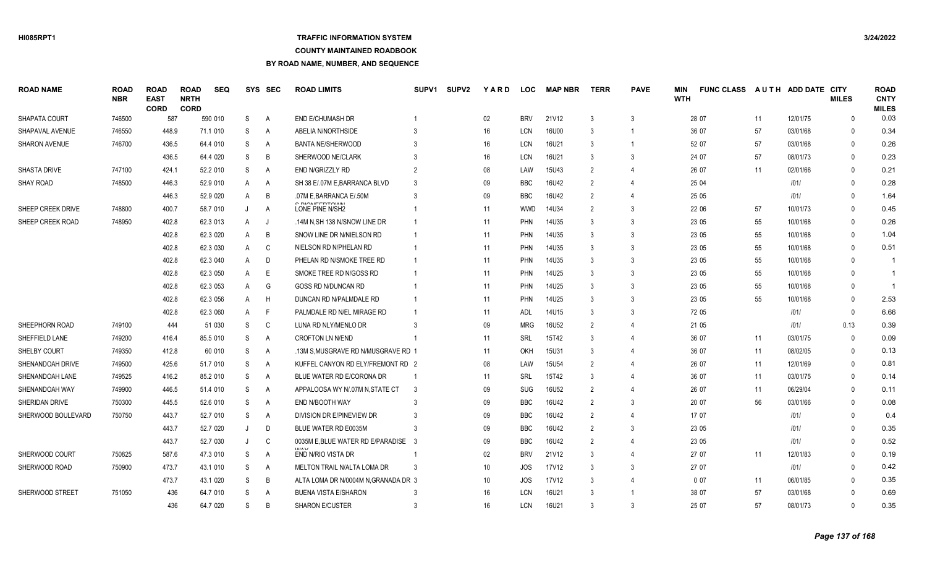### **TRAFFIC INFORMATION SYSTEM**

### **COUNTY MAINTAINED ROADBOOK**

| <b>ROAD NAME</b>     | <b>ROAD</b><br><b>NBR</b> | <b>ROAD</b><br><b>EAST</b><br><b>CORD</b> | <b>ROAD</b><br><b>NRTH</b><br><b>CORD</b> | <b>SEQ</b> | <b>SYS</b> | <b>SEC</b>     | <b>ROAD LIMITS</b>                        | SUPV <sub>1</sub> | <b>SUPV2</b> | YARD            | <b>LOC</b> | <b>MAP NBR</b>    | <b>TERR</b>    | <b>PAVE</b>    | MIN<br><b>WTH</b> | <b>FUNC CLASS</b> |    | AUTH ADD DATE CITY | <b>MILES</b> | <b>ROAD</b><br><b>CNTY</b><br><b>MILES</b> |
|----------------------|---------------------------|-------------------------------------------|-------------------------------------------|------------|------------|----------------|-------------------------------------------|-------------------|--------------|-----------------|------------|-------------------|----------------|----------------|-------------------|-------------------|----|--------------------|--------------|--------------------------------------------|
| SHAPATA COURT        | 746500                    | 587                                       |                                           | 590 010    | S          | A              | END E/CHUMASH DR                          |                   |              | $02\,$          | <b>BRV</b> | 21V12             | 3              | 3              |                   | 28 07             | 11 | 12/01/75           | $\Omega$     | 0.03                                       |
| SHAPAVAL AVENUE      | 746550                    | 448.9                                     |                                           | 71.1 010   | S          | A              | ABELIA N/NORTHSIDE                        |                   |              | 16              | <b>LCN</b> | 16U00             |                | -1             |                   | 36 07             | 57 | 03/01/68           | $\Omega$     | 0.34                                       |
| <b>SHARON AVENUE</b> | 746700                    | 436.5                                     |                                           | 64.4 010   | S          | A              | <b>BANTA NE/SHERWOOD</b>                  |                   |              | 16              | LCN        | 16U21             | 3              | -1             |                   | 52 07             | 57 | 03/01/68           | $\Omega$     | 0.26                                       |
|                      |                           | 436.5                                     |                                           | 64.4 020   | S          | B              | SHERWOOD NE/CLARK                         |                   |              | 16              | <b>LCN</b> | 16U21             |                | 3              |                   | 24 07             | 57 | 08/01/73           | $\Omega$     | 0.23                                       |
| SHASTA DRIVE         | 747100                    | 424.1                                     |                                           | 52.2 010   | S          | A              | END N/GRIZZLY RD                          |                   |              | 08              | LAW        | 15U43             | $\overline{2}$ | 4              |                   | 26 07             | 11 | 02/01/66           | $\Omega$     | 0.21                                       |
| <b>SHAY ROAD</b>     | 748500                    | 446.3                                     |                                           | 52.9 010   | A          | A              | SH 38 E/.07M E, BARRANCA BLVD             |                   |              | 09              | <b>BBC</b> | 16U42             | $\mathcal{P}$  | 4              |                   | 25 04             |    | 1011               | $\Omega$     | 0.28                                       |
|                      |                           | 446.3                                     |                                           | 52.9 020   | A          | B              | .07M E.BARRANCA E/.50M                    |                   |              | 09              | <b>BBC</b> | 16U42             | $\mathcal{P}$  |                |                   | 25 05             |    | 1011               | $\Omega$     | 1.64                                       |
| SHEEP CREEK DRIVE    | 748800                    | 400.7                                     |                                           | 58.7 010   |            | A              | <b>O DIONIFFRTOMAL</b><br>LONE PINE N/SH2 |                   |              | 11              | <b>WWD</b> | 14U34             | $\mathcal{P}$  | 3              |                   | 22 06             | 57 | 10/01/73           | $\Omega$     | 0.45                                       |
| SHEEP CREEK ROAD     | 748950                    | 402.8                                     |                                           | 62.3 013   | A          | J              | .14M N, SH 138 N/SNOW LINE DR             |                   |              | 11              | <b>PHN</b> | 14U35             | 3              | 3              |                   | 23 05             | 55 | 10/01/68           | $\Omega$     | 0.26                                       |
|                      |                           | 402.8                                     |                                           | 62.3 020   | A          | B              | SNOW LINE DR N/NIELSON RD                 |                   |              | 11              | <b>PHN</b> | 14U35             |                | 3              |                   | 23 05             | 55 | 10/01/68           | $\Omega$     | 1.04                                       |
|                      |                           | 402.8                                     |                                           | 62.3 030   | A          | C              | NIELSON RD N/PHELAN RD                    |                   |              | 11              | <b>PHN</b> | 14U35             |                | 3              |                   | 23 05             | 55 | 10/01/68           | $\Omega$     | 0.51                                       |
|                      |                           | 402.8                                     |                                           | 62.3 040   | A          | D              | PHELAN RD N/SMOKE TREE RD                 |                   |              | 11              | PHN        | 14U35             |                | 3              |                   | 23 05             | 55 | 10/01/68           | $\Omega$     | -1                                         |
|                      |                           | 402.8                                     |                                           | 62.3 050   | A          | E              | SMOKE TREE RD N/GOSS RD                   |                   |              | 11              | <b>PHN</b> | 14U25             | 3              | 3              |                   | 23 05             | 55 | 10/01/68           | $\Omega$     | $\overline{1}$                             |
|                      |                           | 402.8                                     |                                           | 62.3 053   | A          | G              | GOSS RD N/DUNCAN RD                       |                   |              | 11              | <b>PHN</b> | 14U25             | 3              | 3              |                   | 23 05             | 55 | 10/01/68           | $\Omega$     |                                            |
|                      |                           | 402.8                                     |                                           | 62.3 056   | A          | H              | DUNCAN RD N/PALMDALE RD                   |                   |              | 11              | PHN        | 14U25             |                | 3              |                   | 23 05             | 55 | 10/01/68           | $\Omega$     | 2.53                                       |
|                      |                           | 402.8                                     |                                           | 62.3 060   | A          | F              | PALMDALE RD N/EL MIRAGE RD                |                   |              | 11              | <b>ADL</b> | 14U15             | 3              | 3              |                   | 72 05             |    | 1011               | $\mathbf{0}$ | 6.66                                       |
| SHEEPHORN ROAD       | 749100                    | 444                                       |                                           | 51 030     | S          | C              | LUNA RD NLY/MENLO DR                      |                   |              | 09              | <b>MRG</b> | 16U52             | $\mathcal{P}$  | $\overline{4}$ |                   | 21 05             |    | 1011               | 0.13         | 0.39                                       |
| SHEFFIELD LANE       | 749200                    | 416.4                                     |                                           | 85.5 010   | S          | A              | <b>CROFTON LN N/END</b>                   |                   |              | 11              | SRL        | 15T42             |                | 4              |                   | 36 07             | 11 | 03/01/75           | $\mathbf{0}$ | 0.09                                       |
| SHELBY COURT         | 749350                    | 412.8                                     |                                           | 60 010     | S          | A              | .13M S, MUSGRAVE RD N/MUSGRAVE RD 1       |                   |              | 11              | OKH        | <b>15U31</b>      |                | $\overline{4}$ |                   | 36 07             | 11 | 08/02/05           | $\mathbf{0}$ | 0.13                                       |
| SHENANDOAH DRIVE     | 749500                    | 425.6                                     |                                           | 51.7 010   | S          | $\overline{A}$ | KUFFEL CANYON RD ELY/FREMONT RD 2         |                   |              | 08              | LAW        | 15U <sub>54</sub> |                |                |                   | 26 07             | 11 | 12/01/69           | $\mathbf{0}$ | 0.81                                       |
| SHENANDOAH LANE      | 749525                    | 416.2                                     |                                           | 85.2 010   | S          | A              | BLUE WATER RD E/CORONA DR                 |                   |              | 11              | SRL        | 15T42             | 3              | 4              |                   | 36 07             | 11 | 03/01/75           | $\Omega$     | 0.14                                       |
| SHENANDOAH WAY       | 749900                    | 446.5                                     |                                           | 51.4 010   | S          | Α              | APPALOOSA WY N/.07M N, STATE CT           | 3                 |              | 09              | <b>SUG</b> | 16U52             | $\mathcal{P}$  |                |                   | 26 07             | 11 | 06/29/04           | $\Omega$     | 0.11                                       |
| SHERIDAN DRIVE       | 750300                    | 445.5                                     |                                           | 52.6 010   | S          | A              | END N/BOOTH WAY                           |                   |              | 09              | <b>BBC</b> | 16U42             | $\overline{2}$ | 3              |                   | 20 07             | 56 | 03/01/66           | $\Omega$     | 0.08                                       |
| SHERWOOD BOULEVARD   | 750750                    | 443.7                                     |                                           | 52.7 010   | S          | $\overline{A}$ | DIVISION DR E/PINEVIEW DR                 |                   |              | 09              | <b>BBC</b> | 16U42             | $\mathcal{P}$  | $\Delta$       |                   | 17 07             |    | 1011               | $\mathbf{0}$ | 0.4                                        |
|                      |                           | 443.7                                     |                                           | 52.7 020   |            | D              | BLUE WATER RD E0035M                      |                   |              | 09              | <b>BBC</b> | 16U42             | $\overline{2}$ | 3              |                   | 23 05             |    | 1011               | $\Omega$     | 0.35                                       |
|                      |                           | 443.7                                     |                                           | 52.7 030   |            | C              | 0035M E, BLUE WATER RD E/PARADISE 3       |                   |              | 09              | <b>BBC</b> | 16U42             | $\mathcal{P}$  | 4              |                   | 23 05             |    | 1011               | $\Omega$     | 0.52                                       |
| SHERWOOD COURT       | 750825                    | 587.6                                     |                                           | 47.3 010   | S          | A              | <b>MAA1</b><br>END N/RIO VISTA DR         |                   |              | $02\,$          | <b>BRV</b> | 21V12             |                | $\overline{4}$ |                   | 27 07             | 11 | 12/01/83           | $\Omega$     | 0.19                                       |
| SHERWOOD ROAD        | 750900                    | 473.7                                     |                                           | 43.1 010   | S          | A              | MELTON TRAIL N/ALTA LOMA DR               | 3                 |              | 10 <sup>°</sup> | <b>JOS</b> | 17V12             | $\mathcal{R}$  | 3              |                   | 27 07             |    | 1011               | $\Omega$     | 0.42                                       |
|                      |                           | 473.7                                     |                                           | 43.1 020   | S          | B              | ALTA LOMA DR N/0004M N.GRANADA DR 3       |                   |              | 10              | JOS        | 17V12             |                |                |                   | 007               | 11 | 06/01/85           | $\Omega$     | 0.35                                       |
| SHERWOOD STREET      | 751050                    | 436                                       |                                           | 64.7 010   | S          | A              | <b>BUENA VISTA E/SHARON</b>               |                   |              | 16              | <b>LCN</b> | 16U21             |                |                |                   | 38 07             | 57 | 03/01/68           | $\Omega$     | 0.69                                       |
|                      |                           |                                           | 436                                       | 64.7 020   | S.         | R              | <b>SHARON E/CUSTER</b>                    |                   |              | 16              | <b>LCN</b> | 16U21             |                | 3              |                   | 25 07             | 57 | 08/01/73           | $\Omega$     | 0.35                                       |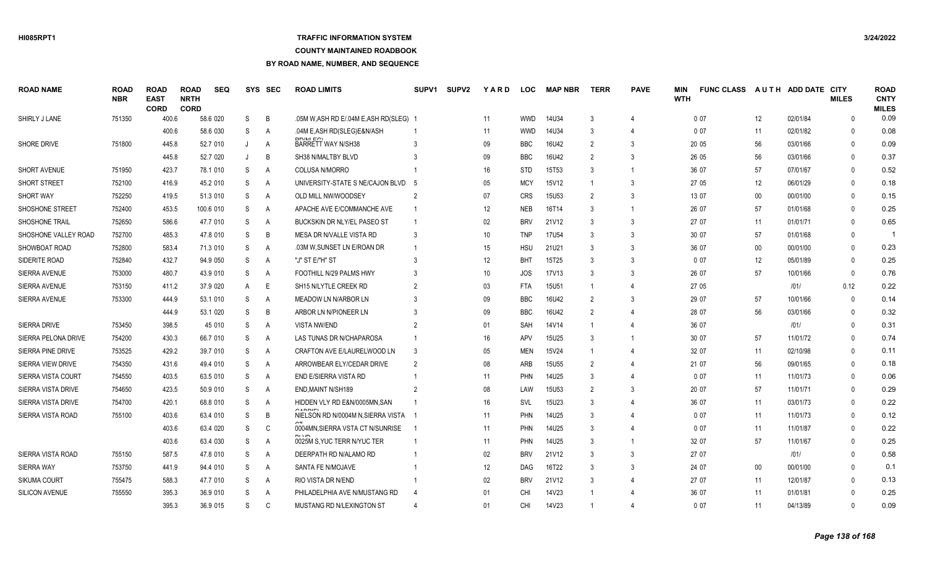### **TRAFFIC INFORMATION SYSTEM**

#### **COUNTY MAINTAINED ROADBOOK**

| <b>ROAD NAME</b>      | <b>ROAD</b><br><b>NBR</b> | <b>ROAD</b><br><b>EAST</b><br><b>CORD</b> | <b>ROAD</b><br><b>NRTH</b><br><b>CORD</b> | <b>SEQ</b> |    | SYS SEC      | <b>ROAD LIMITS</b>                      | <b>SUPV1</b> | <b>SUPV2</b> | YARD   | <b>LOC</b> | <b>MAP NBR</b> | <b>TERR</b>    | <b>PAVE</b>    | MIN<br><b>WTH</b> | <b>FUNC CLASS</b> |        | AUTH ADD DATE CITY | <b>MILES</b> | <b>ROAD</b><br><b>CNTY</b><br><b>MILES</b> |
|-----------------------|---------------------------|-------------------------------------------|-------------------------------------------|------------|----|--------------|-----------------------------------------|--------------|--------------|--------|------------|----------------|----------------|----------------|-------------------|-------------------|--------|--------------------|--------------|--------------------------------------------|
| SHIRLY J LANE         | 751350                    | 400.6                                     |                                           | 58.6 020   | S. | B            | .05M W, ASH RD E/.04M E, ASH RD(SLEG) 1 |              |              | 11     | <b>WWD</b> | 14U34          | -3             |                |                   | 007               | 12     | 02/01/84           | $\Omega$     | 0.09                                       |
|                       |                           | 400.6                                     |                                           | 58.6 030   | S  | A            | .04M E,ASH RD(SLEG)E&N/ASH              |              |              | 11     | <b>WWD</b> | 14U34          | 3              |                |                   | 007               | 11     | 02/01/82           |              | 0.08                                       |
| SHORE DRIVE           | 751800                    | 445.8                                     |                                           | 52.7 010   | J  | Α            | DD/MLDO'<br><b>BARRETT WAY N/SH38</b>   |              |              | 09     | <b>BBC</b> | 16U42          | 2              | 3              |                   | 20 05             | 56     | 03/01/66           | $\Omega$     | 0.09                                       |
|                       |                           | 445.8                                     |                                           | 52.7 020   | J  | B            | SH38 N/MALTBY BLVD                      |              |              | 09     | <b>BBC</b> | 16U42          | $\mathcal{P}$  | 3              |                   | 26 05             | 56     | 03/01/66           | $\Omega$     | 0.37                                       |
| SHORT AVENUE          | 751950                    | 423.7                                     |                                           | 78.1 010   | S  | Α            | <b>COLUSA N/MORRO</b>                   |              |              | 16     | <b>STD</b> | 15T53          | 3              | $\overline{1}$ |                   | 36 07             | 57     | 07/01/67           | $\Omega$     | 0.52                                       |
| SHORT STREET          | 752100                    | 416.9                                     |                                           | 45.2 010   | S  | Α            | UNIVERSITY-STATE S NE/CAJON BLVD 5      |              |              | 05     | <b>MCY</b> | 15V12          |                | 3              |                   | 27 05             | 12     | 06/01/29           | $\Omega$     | 0.18                                       |
| <b>SHORT WAY</b>      | 752250                    | 419.5                                     |                                           | 51.3 010   | S  | Α            | OLD MILL NW/WOODSEY                     |              |              | 07     | <b>CRS</b> | 15U53          | 2              | 3              |                   | 13 07             | 00     | 00/01/00           | $\Omega$     | 0.15                                       |
| SHOSHONE STREET       | 752400                    | 453.5                                     |                                           | 100.6 010  | S  | A            | APACHE AVE E/COMMANCHE AVE              |              |              | 12     | <b>NEB</b> | 16T14          | 3              | $\overline{1}$ |                   | 26 07             | 57     | 01/01/68           | $\Omega$     | 0.25                                       |
| SHOSHONE TRAIL        | 752650                    | 586.6                                     |                                           | 47.7 010   | S  | Α            | BUCKSKIN DR NLY/EL PASEO ST             |              |              | $02\,$ | <b>BRV</b> | 21V12          | -3             | 3              |                   | 27 07             | 11     | 01/01/71           | $\Omega$     | 0.65                                       |
| SHOSHONE VALLEY ROAD  | 752700                    | 485.3                                     |                                           | 47.8 010   | S  | B            | MESA DR N/VALLE VISTA RD                | -3           |              | 10     | <b>TNP</b> | 17U54          | 3              | 3              |                   | 30 07             | 57     | 01/01/68           | $\Omega$     | -1                                         |
| SHOWBOAT ROAD         | 752800                    | 583.4                                     |                                           | 71.3 010   | S  | A            | .03M W, SUNSET LN E/ROAN DR             |              |              | 15     | <b>HSU</b> | 21U21          |                | 3              |                   | 36 07             | $00\,$ | 00/01/00           | $\Omega$     | 0.23                                       |
| SIDERITE ROAD         | 752840                    | 432.7                                     |                                           | 94.9 050   | S  | A            | "J" ST E/"H" ST                         |              |              | 12     | <b>BHT</b> | 15T25          | 3              | 3              |                   | 007               | 12     | 05/01/89           | $\Omega$     | 0.25                                       |
| SIERRA AVENUE         | 753000                    | 480.7                                     |                                           | 43.9 010   | S  | A            | FOOTHILL N/29 PALMS HWY                 |              |              | 10     | <b>JOS</b> | 17V13          | 3              |                |                   | 26 07             | 57     | 10/01/66           | $\Omega$     | 0.76                                       |
| SIERRA AVENUE         | 753150                    | 411.2                                     |                                           | 37.9 020   | A  | E            | SH15 N/LYTLE CREEK RD                   |              |              | 03     | <b>FTA</b> | 15U51          |                |                |                   | 27 05             |        | 1011               | 0.12         | 0.22                                       |
| SIERRA AVENUE         | 753300                    | 444.9                                     |                                           | 53.1 010   | S  | A            | <b>MEADOW LN N/ARBOR LN</b>             |              |              | 09     | <b>BBC</b> | 16U42          | 2              | 3              |                   | 29 07             | 57     | 10/01/66           | $\Omega$     | 0.14                                       |
|                       |                           | 444.9                                     |                                           | 53.1 020   | S  | B            | ARBOR LN N/PIONEER LN                   |              |              | 09     | <b>BBC</b> | 16U42          | $\overline{2}$ |                |                   | 28 07             | 56     | 03/01/66           | $\Omega$     | 0.32                                       |
| SIERRA DRIVE          | 753450                    | 398.5                                     |                                           | 45 010     | S  | A            | <b>VISTA NW/END</b>                     |              |              | 01     | SAH        | 14V14          |                | $\overline{4}$ |                   | 36 07             |        | 1011               | $\Omega$     | 0.31                                       |
| SIERRA PELONA DRIVE   | 754200                    | 430.3                                     |                                           | 66.7 010   | S  | A            | LAS TUNAS DR N/CHAPAROSA                |              |              | 16     | APV        | 15U25          | 3              |                |                   | 30 07             | 57     | 11/01/72           | $\cup$       | 0.74                                       |
| SIERRA PINE DRIVE     | 753525                    | 429.2                                     |                                           | 39.7 010   | S  | A            | CRAFTON AVE E/LAURELWOOD LN             | 3            |              | 05     | <b>MEN</b> | 15V24          |                |                |                   | 32 07             | 11     | 02/10/98           | $\Omega$     | 0.11                                       |
| SIERRA VIEW DRIVE     | 754350                    | 431.6                                     |                                           | 49.4 010   | S  | A            | ARROWBEAR ELY/CEDAR DRIVE               |              |              | 08     | ARB        | <b>15U55</b>   | $\overline{2}$ |                |                   | 21 07             | 56     | 09/01/65           | $\Omega$     | 0.18                                       |
| SIERRA VISTA COURT    | 754550                    | 403.5                                     |                                           | 63.5 010   | S  | Α            | END E/SIERRA VISTA RD                   |              |              | 11     | <b>PHN</b> | 14U25          | 3              |                |                   | 007               | 11     | 11/01/73           | $\Omega$     | 0.06                                       |
| SIERRA VISTA DRIVE    | 754650                    | 423.5                                     |                                           | 50.9 010   | S  | Α            | END.MAINT N/SH189                       |              |              | 08     | LAW        | <b>15U53</b>   | $\overline{2}$ | 3              |                   | 20 07             | 57     | 11/01/71           | $\Omega$     | 0.29                                       |
| SIERRA VISTA DRIVE    | 754700                    | 420.1                                     |                                           | 68.8 010   | S  | Α            | HIDDEN VLY RD E&N/0005MN, SAN           |              |              | 16     | <b>SVL</b> | 15U23          | 3              |                |                   | 36 07             | 11     | 03/01/73           | $\Omega$     | 0.22                                       |
| SIERRA VISTA ROAD     | 755100                    | 403.6                                     |                                           | 63.4 010   | S  | B            | NIELSON RD N/0004M N, SIERRA VISTA      |              |              | 11     | PHN        | 14U25          | 3              |                |                   | 007               | 11     | 11/01/73           | $\Omega$     | 0.12                                       |
|                       |                           | 403.6                                     |                                           | 63.4 020   | S  | C            | 0004MN, SIERRA VSTA CT N/SUNRISE        |              |              | 11     | PHN        | 14U25          | $\mathcal{R}$  |                |                   | 007               | 11     | 11/01/87           | $\cup$       | 0.22                                       |
|                       |                           | 403.6                                     |                                           | 63.4 030   | S  | A            | 0025M S.YUC TERR N/YUC TER              |              |              | 11     | PHN        | 14U25          | $\mathcal{R}$  | $\overline{1}$ |                   | 32 07             | 57     | 11/01/67           | $\cup$       | 0.25                                       |
| SIERRA VISTA ROAD     | 755150                    | 587.5                                     |                                           | 47.8 010   | S  | $\mathsf{A}$ | DEERPATH RD N/ALAMO RD                  |              |              | 02     | <b>BRV</b> | 21V12          | -3             | 3              |                   | 27 07             |        | 1011               |              | 0.58                                       |
| <b>SIERRA WAY</b>     | 753750                    | 441.9                                     |                                           | 94.4 010   | S  | A            | SANTA FE N/MOJAVE                       |              |              | 12     | <b>DAG</b> | 16T22          | $\mathbf{3}$   | 3              |                   | 24 07             | $00\,$ | 00/01/00           | $\Omega$     | 0.1                                        |
| <b>SIKUMA COURT</b>   | 755475                    | 588.3                                     |                                           | 47.7 010   | S  | A            | <b>RIO VISTA DR N/END</b>               |              |              | 02     | <b>BRV</b> | 21V12          | 3              |                |                   | 27 07             | 11     | 12/01/87           | $\cup$       | 0.13                                       |
| <b>SILICON AVENUE</b> | 755550                    | 395.3                                     |                                           | 36.9 010   | S  | A            | PHILADELPHIA AVE N/MUSTANG RD           |              |              | 01     | CHI        | 14V23          |                |                |                   | 36 07             | 11     | 01/01/81           | $\Omega$     | 0.25                                       |
|                       |                           | 395.3                                     |                                           | 36.9 015   | S. | C            | MUSTANG RD N/LEXINGTON ST               |              |              | 01     | CHI        | 14V23          |                |                |                   | 0.07              | 11     | 04/13/89           | $\cup$       | 0.09                                       |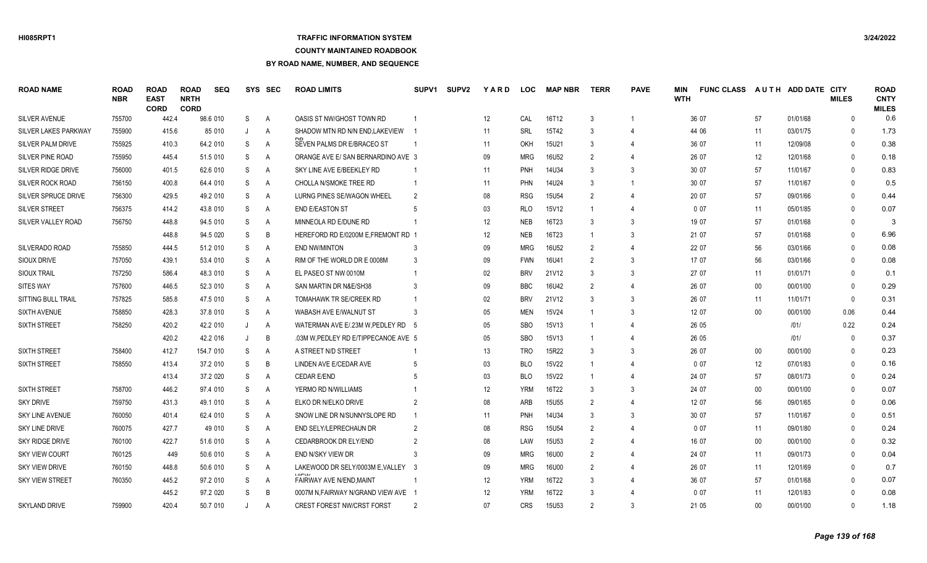# **TRAFFIC INFORMATION SYSTEM**

**COUNTY MAINTAINED ROADBOOK**

| <b>ROAD NAME</b>          | ROAD<br><b>NBR</b> | <b>ROAD</b><br><b>EAST</b><br><b>CORD</b> | <b>ROAD</b><br><b>NRTH</b><br><b>CORD</b> | <b>SEQ</b> |   | SYS SEC        | <b>ROAD LIMITS</b>                            | SUPV <sub>1</sub> | <b>SUPV2</b> | YARD              | <b>LOC</b> | <b>MAP NBR</b>    | <b>TERR</b>    | <b>PAVE</b>    | <b>MIN</b><br><b>WTH</b> | <b>FUNC CLASS</b> |        | AUTH ADD DATE CITY | <b>MILES</b> | <b>ROAD</b><br><b>CNTY</b><br><b>MILES</b> |
|---------------------------|--------------------|-------------------------------------------|-------------------------------------------|------------|---|----------------|-----------------------------------------------|-------------------|--------------|-------------------|------------|-------------------|----------------|----------------|--------------------------|-------------------|--------|--------------------|--------------|--------------------------------------------|
| <b>SILVER AVENUE</b>      | 755700             | 442.4                                     |                                           | 98.6 010   | S | A              | OASIS ST NW/GHOST TOWN RD                     |                   |              | 12                | CAL        | 16T12             | 3              |                |                          | 36 07             | 57     | 01/01/68           | $\Omega$     | 0.6                                        |
| SILVER LAKES PARKWAY      | 755900             | 415.6                                     |                                           | 85 010     | J | A              | SHADOW MTN RD N/N END.LAKEVIEW                |                   |              | 11                | SRL        | 15T42             | 3              | 4              |                          | 44 06             | 11     | 03/01/75           | $\Omega$     | 1.73                                       |
| <b>SILVER PALM DRIVE</b>  | 755925             | 410.3                                     |                                           | 64.2 010   | S | Α              | SEVEN PALMS DR E/BRACEO ST                    |                   |              | 11                | OKH        | 15U21             | 3              | $\overline{4}$ |                          | 36 07             | 11     | 12/09/08           | $\Omega$     | 0.38                                       |
| SILVER PINE ROAD          | 755950             | 445.4                                     |                                           | 51.5 010   | S | $\mathsf{A}$   | ORANGE AVE E/ SAN BERNARDINO AVE 3            |                   |              | 09                | <b>MRG</b> | 16U52             |                | $\Delta$       |                          | 26 07             | 12     | 12/01/68           | $\Omega$     | 0.18                                       |
| <b>SILVER RIDGE DRIVE</b> | 756000             | 401.5                                     |                                           | 62.6 010   | S | Α              | SKY LINE AVE E/BEEKLEY RD                     |                   |              | 11                | <b>PNH</b> | 14U34             |                | 3              |                          | 30 07             | 57     | 11/01/67           | $\Omega$     | 0.83                                       |
| <b>SILVER ROCK ROAD</b>   | 756150             | 400.8                                     |                                           | 64.4 010   | S | Α              | CHOLLA N/SMOKE TREE RD                        |                   |              | 11                | PHN        | 14U24             | 3              | -1             |                          | 30 07             | 57     | 11/01/67           | $\Omega$     | 0.5                                        |
| SILVER SPRUCE DRIVE       | 756300             | 429.5                                     |                                           | 49.2 010   | S | A              | <b>LURNG PINES SE/WAGON WHEEL</b>             | $\mathcal{P}$     |              | 08                | <b>RSG</b> | <b>15U54</b>      | $\mathcal{P}$  |                |                          | 20 07             | 57     | 09/01/66           | $\Omega$     | 0.44                                       |
| <b>SILVER STREET</b>      | 756375             | 414.2                                     |                                           | 43.8 010   | S | $\overline{A}$ | <b>END E/EASTON ST</b>                        |                   |              | 03                | <b>RLO</b> | 15V12             |                | 4              |                          | 007               | 11     | 05/01/85           | $\Omega$     | 0.07                                       |
| SILVER VALLEY ROAD        | 756750             | 448.8                                     |                                           | 94.5 010   | S | A              | MINNEOLA RD E/DUNE RD                         |                   |              | 12                | <b>NEB</b> | 16T23             | 3              | 3              |                          | 19 07             | 57     | 01/01/68           | $\Omega$     |                                            |
|                           |                    | 448.8                                     |                                           | 94.5 020   | S | B              | HEREFORD RD E/0200M E, FREMONT RD 1           |                   |              | 12                | <b>NEB</b> | 16T23             |                | 3              |                          | 21 07             | 57     | 01/01/68           | $\Omega$     | 6.96                                       |
| SILVERADO ROAD            | 755850             | 444.5                                     |                                           | 51.2 010   | S | $\mathsf{A}$   | <b>END NW/MINTON</b>                          | 3                 |              | 09                | <b>MRG</b> | 16U52             | $\mathcal{P}$  | $\overline{4}$ |                          | 22 07             | 56     | 03/01/66           | $\Omega$     | 0.08                                       |
| <b>SIOUX DRIVE</b>        | 757050             | 439.1                                     |                                           | 53.4 010   | S | A              | RIM OF THE WORLD DR E 0008M                   | 3                 |              | 09                | <b>FWN</b> | 16U41             | $\mathcal{P}$  | 3              |                          | 17 07             | 56     | 03/01/66           | $\Omega$     | 0.08                                       |
| SIOUX TRAIL               | 757250             | 586.4                                     |                                           | 48.3 010   | S | A              | EL PASEO ST NW 0010M                          |                   |              | 02                | <b>BRV</b> | 21V12             | 3              | 3              |                          | 27 07             | 11     | 01/01/71           | $\Omega$     | 0.1                                        |
| <b>SITES WAY</b>          | 757600             | 446.5                                     |                                           | 52.3 010   | S | Α              | SAN MARTIN DR N&E/SH38                        | 3                 |              | 09                | <b>BBC</b> | 16U42             | $\mathcal{P}$  |                |                          | 26 07             | $00\,$ | 00/01/00           | $\Omega$     | 0.29                                       |
| SITTING BULL TRAIL        | 757825             | 585.8                                     |                                           | 47.5 010   | S | A              | TOMAHAWK TR SE/CREEK RD                       |                   |              | 02                | <b>BRV</b> | 21V12             | 3              | 3              |                          | 26 07             | 11     | 11/01/71           | $\Omega$     | 0.31                                       |
| <b>SIXTH AVENUE</b>       | 758850             | 428.3                                     |                                           | 37.8 010   | S | A              | WABASH AVE E/WALNUT ST                        | 3                 |              | 05                | <b>MEN</b> | 15V24             |                | 3              |                          | 12 07             | $00\,$ | 00/01/00           | 0.06         | 0.44                                       |
| <b>SIXTH STREET</b>       | 758250             | 420.2                                     |                                           | 42.2 010   | J | A              | WATERMAN AVE E/.23M W, PEDLEY RD 5            |                   |              | 05                | <b>SBO</b> | 15V13             | -1             | $\Delta$       |                          | 26 05             |        | 1011               | 0.22         | 0.24                                       |
|                           |                    | 420.2                                     |                                           | 42.2 016   |   | B              | .03M W, PEDLEY RD E/TIPPECANOE AVE 5          |                   |              | 05                | <b>SBO</b> | 15V13             |                | $\Delta$       |                          | 26 05             |        | 1011               | $\Omega$     | 0.37                                       |
| <b>SIXTH STREET</b>       | 758400             | 412.7                                     |                                           | 154.7 010  | S | A              | A STREET N/D STREET                           |                   |              | 13                | <b>TRO</b> | 15R22             | 3              | 3              |                          | 26 07             | $00\,$ | 00/01/00           | $\Omega$     | 0.23                                       |
| <b>SIXTH STREET</b>       | 758550             | 413.4                                     |                                           | 37.2 010   | S | B              | LINDEN AVE E/CEDAR AVE                        |                   |              | 03                | <b>BLO</b> | 15V22             |                | $\Delta$       |                          | 007               | 12     | 07/01/83           | $\Omega$     | 0.16                                       |
|                           |                    | 413.4                                     |                                           | 37.2 020   | S | A              | <b>CEDAR E/END</b>                            |                   |              | 03                | <b>BLO</b> | 15V22             |                | $\Delta$       |                          | 24 07             | 57     | 08/01/73           | $\Omega$     | 0.24                                       |
| <b>SIXTH STREET</b>       | 758700             | 446.2                                     |                                           | 97.4 010   | S | Α              | YERMO RD N/WILLIAMS                           |                   |              | 12                | <b>YRM</b> | 16T22             | 3              | 3              |                          | 24 07             | $00\,$ | 00/01/00           | $\Omega$     | 0.07                                       |
| SKY DRIVE                 | 759750             | 431.3                                     |                                           | 49.1 010   | S | A              | ELKO DR N/ELKO DRIVE                          | $\overline{2}$    |              | 08                | ARB        | <b>15U55</b>      | $\overline{2}$ | $\Delta$       |                          | 12 07             | 56     | 09/01/65           | $\Omega$     | 0.06                                       |
| <b>SKY LINE AVENUE</b>    | 760050             | 401.4                                     |                                           | 62.4 010   | S | A              | SNOW LINE DR N/SUNNYSLOPE RD                  |                   |              | 11                | <b>PNH</b> | 14U34             | 3              | 3              |                          | 30 07             | 57     | 11/01/67           | $\Omega$     | 0.51                                       |
| SKY LINE DRIVE            | 760075             | 427.7                                     |                                           | 49 010     | S | Α              | END SELY/LEPRECHAUN DR                        | $\overline{2}$    |              | 08                | <b>RSG</b> | <b>15U54</b>      | $\overline{2}$ | $\Delta$       |                          | 007               | 11     | 09/01/80           | $\Omega$     | 0.24                                       |
| <b>SKY RIDGE DRIVE</b>    | 760100             | 422.7                                     |                                           | 51.6 010   | S | $\mathsf{A}$   | CEDARBROOK DR ELY/END                         | $\mathcal{P}$     |              | 08                | LAW        | 15U <sub>53</sub> | $\mathcal{P}$  | 4              |                          | 16 07             | $00\,$ | 00/01/00           | $\Omega$     | 0.32                                       |
| <b>SKY VIEW COURT</b>     | 760125             | 449                                       |                                           | 50.6 010   | S | A              | END N/SKY VIEW DR                             | 3                 |              | 09                | <b>MRG</b> | 16U00             | $\mathcal{P}$  | 4              |                          | 24 07             | 11     | 09/01/73           | $\Omega$     | 0.04                                       |
| <b>SKY VIEW DRIVE</b>     | 760150             | 448.8                                     |                                           | 50.6 010   | S | A              | LAKEWOOD DR SELY/0003M E.VALLEY 3             |                   |              | 09                | <b>MRG</b> | 16U00             | $\mathcal{P}$  | $\overline{4}$ |                          | 26 07             | 11     | 12/01/69           | $\Omega$     | 0.7                                        |
| <b>SKY VIEW STREET</b>    | 760350             | 445.2                                     |                                           | 97.2 010   | S | A              | $1/1$ $-14$<br><b>FAIRWAY AVE N/END.MAINT</b> |                   |              | $12 \overline{ }$ | <b>YRM</b> | 16T22             |                | $\overline{4}$ |                          | 36 07             | 57     | 01/01/68           | $\Omega$     | 0.07                                       |
|                           |                    | 445.2                                     |                                           | 97.2 020   | S | B              | 0007M N.FAIRWAY N/GRAND VIEW AVE 1            |                   |              | 12 <sup>°</sup>   | <b>YRM</b> | 16T22             |                |                |                          | 007               | 11     | 12/01/83           | $\Omega$     | 0.08                                       |
| <b>SKYLAND DRIVE</b>      | 759900             | 420.4                                     |                                           | 50.7 010   |   | A              | <b>CREST FOREST NW/CRST FORST</b>             |                   |              | 07                | <b>CRS</b> | <b>15U53</b>      |                | 3              |                          | 21 05             | $00\,$ | 00/01/00           | $\Omega$     | 1.18                                       |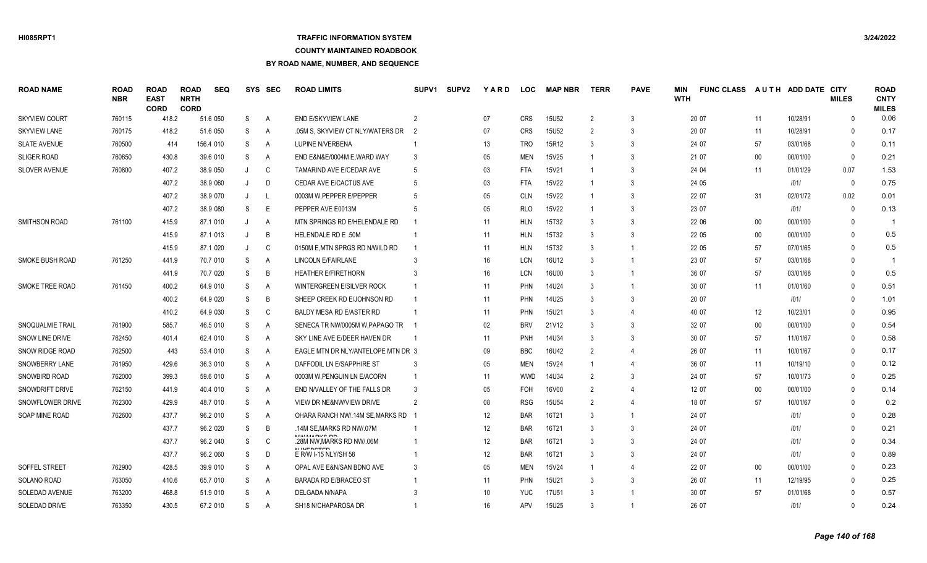## **TRAFFIC INFORMATION SYSTEM**

#### **COUNTY MAINTAINED ROADBOOK**

| <b>ROAD NAME</b>       | <b>ROAD</b><br><b>NBR</b> | <b>ROAD</b><br><b>EAST</b><br><b>CORD</b> | <b>ROAD</b><br><b>NRTH</b><br><b>CORD</b> | <b>SEQ</b> | <b>SYS</b> | <b>SEC</b>     | <b>ROAD LIMITS</b>                         | SUPV <sub>1</sub> | <b>SUPV2</b> | <b>YARD</b>     | <b>LOC</b> | <b>MAP NBR</b>    | <b>TERR</b>    | <b>PAVE</b>    | <b>MIN</b><br><b>WTH</b> | <b>FUNC CLASS</b> |        | AUTH ADD DATE CITY | <b>MILES</b> | <b>ROAD</b><br><b>CNTY</b><br><b>MILES</b> |
|------------------------|---------------------------|-------------------------------------------|-------------------------------------------|------------|------------|----------------|--------------------------------------------|-------------------|--------------|-----------------|------------|-------------------|----------------|----------------|--------------------------|-------------------|--------|--------------------|--------------|--------------------------------------------|
| <b>SKYVIEW COURT</b>   | 760115                    | 418.2                                     |                                           | 51.6 050   | S          | $\overline{A}$ | <b>END E/SKYVIEW LANE</b>                  | $\mathcal{P}$     |              | 07              | <b>CRS</b> | <b>15U52</b>      | 2              | 3              |                          | 20 07             | 11     | 10/28/91           | $\Omega$     | 0.06                                       |
| <b>SKYVIEW LANE</b>    | 760175                    | 418.2                                     |                                           | 51.6 050   | S          | A              | .05M S, SKYVIEW CT NLY/WATERS DR           | - 2               |              | 07              | <b>CRS</b> | 15U <sub>52</sub> | 2              | 3              |                          | 20 07             | 11     | 10/28/91           | $\Omega$     | 0.17                                       |
| <b>SLATE AVENUE</b>    | 760500                    | 414                                       |                                           | 156.4 010  | S          | $\overline{A}$ | LUPINE N/VERBENA                           |                   |              | 13              | <b>TRO</b> | 15R12             | 3              | 3              |                          | 24 07             | 57     | 03/01/68           | $\mathbf{0}$ | 0.11                                       |
| <b>SLIGER ROAD</b>     | 760650                    | 430.8                                     |                                           | 39.6 010   | S          | $\overline{A}$ | END E&N&E/0004M E, WARD WAY                |                   |              | 05              | <b>MEN</b> | 15V25             |                | 3              |                          | 21 07             | $00\,$ | 00/01/00           | $\Omega$     | 0.21                                       |
| <b>SLOVER AVENUE</b>   | 760800                    | 407.2                                     |                                           | 38.9 050   | J          | C              | TAMARIND AVE E/CEDAR AVE                   | -5                |              | 03              | <b>FTA</b> | 15V21             |                | 3              |                          | 24 04             | 11     | 01/01/29           | 0.07         | 1.53                                       |
|                        |                           | 407.2                                     |                                           | 38.9 060   | J          | D              | CEDAR AVE E/CACTUS AVE                     |                   |              | 03              | <b>FTA</b> | 15V22             |                | 3              |                          | 24 05             |        | 1011               | $\mathbf{0}$ | 0.75                                       |
|                        |                           | 407.2                                     |                                           | 38.9 070   |            | $\mathsf{L}$   | 0003M W, PEPPER E/PEPPER                   |                   |              | 05              | <b>CLN</b> | 15V22             |                | 3              |                          | 22 07             | 31     | 02/01/72           | 0.02         | 0.01                                       |
|                        |                           | 407.2                                     |                                           | 38.9 080   | S          | E              | PEPPER AVE E0013M                          |                   |              | 05              | <b>RLO</b> | 15V22             |                | 3              |                          | 23 07             |        | 1011               | $\Omega$     | 0.13                                       |
| <b>SMITHSON ROAD</b>   | 761100                    | 415.9                                     |                                           | 87.1 010   | J          | A              | MTN SPRINGS RD E/HELENDALE RD              |                   |              | 11              | <b>HLN</b> | 15T32             | -3             | 3              |                          | 22 06             | $00\,$ | 00/01/00           | $\Omega$     |                                            |
|                        |                           | 415.9                                     |                                           | 87.1 013   |            | B              | HELENDALE RD E .50M                        |                   |              | 11              | <b>HLN</b> | 15T32             | 3              | 3              |                          | 22 05             | $00\,$ | 00/01/00           | $\Omega$     | 0.5                                        |
|                        |                           | 415.9                                     |                                           | 87.1 020   | J          | C              | 0150M E.MTN SPRGS RD N/WILD RD             |                   |              | 11              | <b>HLN</b> | 15T32             |                | -1             |                          | 22 05             | 57     | 07/01/65           | $\Omega$     | 0.5                                        |
| <b>SMOKE BUSH ROAD</b> | 761250                    | 441.9                                     |                                           | 70.7 010   | S          | A              | LINCOLN E/FAIRLANE                         |                   |              | 16              | <b>LCN</b> | 16U12             | 3              | -1             |                          | 23 07             | 57     | 03/01/68           | $\Omega$     | $\overline{1}$                             |
|                        |                           | 441.9                                     |                                           | 70.7 020   | S          | B              | <b>HEATHER E/FIRETHORN</b>                 |                   |              | 16              | <b>LCN</b> | 16U00             | 3              | -1             |                          | 36 07             | 57     | 03/01/68           | $\Omega$     | 0.5                                        |
| SMOKE TREE ROAD        | 761450                    | 400.2                                     |                                           | 64.9 010   | S          | $\overline{A}$ | WINTERGREEN E/SILVER ROCK                  |                   |              | 11              | PHN        | 14U24             | $\mathbf{3}$   |                |                          | 30 07             | 11     | 01/01/60           | $\Omega$     | 0.51                                       |
|                        |                           | 400.2                                     |                                           | 64.9 020   | S          | B              | SHEEP CREEK RD E/JOHNSON RD                |                   |              | 11              | PHN        | 14U25             | -3             | 3              |                          | 20 07             |        | 1011               | $\Omega$     | 1.01                                       |
|                        |                           | 410.2                                     |                                           | 64.9 030   | S          | C              | BALDY MESA RD E/ASTER RD                   |                   |              | 11              | <b>PHN</b> | 15U21             | 3              | $\overline{4}$ |                          | 40 07             | 12     | 10/23/01           | $\mathbf{0}$ | 0.95                                       |
| SNOQUALMIE TRAIL       | 761900                    | 585.7                                     |                                           | 46.5 010   | S          | A              | SENECA TR NW/0005M W, PAPAGO TR            |                   |              | $02\,$          | <b>BRV</b> | 21V12             | -3             | 3              |                          | 32 07             | $00\,$ | 00/01/00           | $\mathbf{0}$ | 0.54                                       |
| SNOW LINE DRIVE        | 762450                    | 401.4                                     |                                           | 62.4 010   | S          | A              | SKY LINE AVE E/DEER HAVEN DR               |                   |              | 11              | PNH        | 14U34             |                | 3              |                          | 30 07             | 57     | 11/01/67           | $\Omega$     | 0.58                                       |
| SNOW RIDGE ROAD        | 762500                    | 443                                       |                                           | 53.4 010   | S          | A              | EAGLE MTN DR NLY/ANTELOPE MTN DR 3         |                   |              | 09              | <b>BBC</b> | 16U42             | $\mathcal{P}$  | 4              |                          | 26 07             | 11     | 10/01/67           | $\Omega$     | 0.17                                       |
| SNOWBERRY LANE         | 761950                    | 429.6                                     |                                           | 36.3 010   | S          | A              | DAFFODIL LN E/SAPPHIRE ST                  |                   |              | 05              | <b>MEN</b> | 15V24             |                | $\overline{4}$ |                          | 36 07             | 11     | 10/19/10           | $\Omega$     | 0.12                                       |
| SNOWBIRD ROAD          | 762000                    | 399.3                                     |                                           | 59.6 010   | S          | $\overline{A}$ | 0003M W PENGUIN LN E/ACORN                 |                   |              | 11              | <b>WWD</b> | 14U34             | 2              | 3              |                          | 24 07             | 57     | 10/01/73           | $\Omega$     | 0.25                                       |
| SNOWDRIFT DRIVE        | 762150                    | 441.9                                     |                                           | 40.4 010   | S          | A              | END N/VALLEY OF THE FALLS DR               | -3                |              | 05              | <b>FOH</b> | 16V00             | $\mathcal{P}$  | $\overline{4}$ |                          | 12 07             | 00     | 00/01/00           | $\Omega$     | 0.14                                       |
| SNOWFLOWER DRIVE       | 762300                    | 429.9                                     |                                           | 48.7 010   | S          | A              | VIEW DR NE&NW/VIEW DRIVE                   | 2                 |              | 08              | <b>RSG</b> | 15U54             | $\overline{2}$ | $\overline{4}$ |                          | 18 07             | 57     | 10/01/67           | $\Omega$     | 0.2                                        |
| SOAP MINE ROAD         | 762600                    | 437.7                                     |                                           | 96.2 010   | S          | A              | OHARA RANCH NW/.14M SE, MARKS RD           |                   |              | 12              | <b>BAR</b> | 16T21             | 3              | $\mathbf 1$    |                          | 24 07             |        | 1011               | $\Omega$     | 0.28                                       |
|                        |                           | 437.7                                     |                                           | 96.2 020   | S          | B              | .14M SE, MARKS RD NW/.07M                  |                   |              | 12              | <b>BAR</b> | 16T21             |                | 3              |                          | 24 07             |        | 1011               | $\Omega$     | 0.21                                       |
|                        |                           | 437.7                                     |                                           | 96.2 040   | S          | C              | ABALAADIZO DD<br>.28M NW, MARKS RD NW/.06M |                   |              | 12              | <b>BAR</b> | 16T21             | 3              | 3              |                          | 24 07             |        | 1011               | $\Omega$     | 0.34                                       |
|                        |                           | 437.7                                     |                                           | 96.2 060   | S          | D              | $\frac{1}{2}$<br>E R/W I-15 NLY/SH 58      |                   |              | 12              | <b>BAR</b> | 16T21             | $\mathbf{3}$   | 3              |                          | 24 07             |        | 1011               | $\Omega$     | 0.89                                       |
| <b>SOFFEL STREET</b>   | 762900                    | 428.5                                     |                                           | 39.9 010   | S          | $\overline{A}$ | OPAL AVE E&N/SAN BDNO AVE                  | 3                 |              | 05              | <b>MEN</b> | 15V24             |                | $\overline{4}$ |                          | 22 07             | $00\,$ | 00/01/00           | $\Omega$     | 0.23                                       |
| SOLANO ROAD            | 763050                    | 410.6                                     |                                           | 65.7 010   | S          | A              | <b>BARADA RD E/BRACEO ST</b>               |                   |              | 11              | PHN        | 15U21             | 3              | 3              |                          | 26 07             | 11     | 12/19/95           | $\Omega$     | 0.25                                       |
| SOLEDAD AVENUE         | 763200                    | 468.8                                     |                                           | 51.9 010   | S          | A              | <b>DELGADA N/NAPA</b>                      |                   |              | 10 <sup>°</sup> | <b>YUC</b> | 17U51             |                |                |                          | 30 07             | 57     | 01/01/68           | $\cap$       | 0.57                                       |
| <b>SOLEDAD DRIVE</b>   | 763350                    | 430.5                                     |                                           | 67.2 010   | S          | A              | SH18 N/CHAPAROSA DR                        |                   |              | 16              | APV        | <b>15U25</b>      | $\mathbf{3}$   | -1             |                          | 26 07             |        | 1011               | $\Omega$     | 0.24                                       |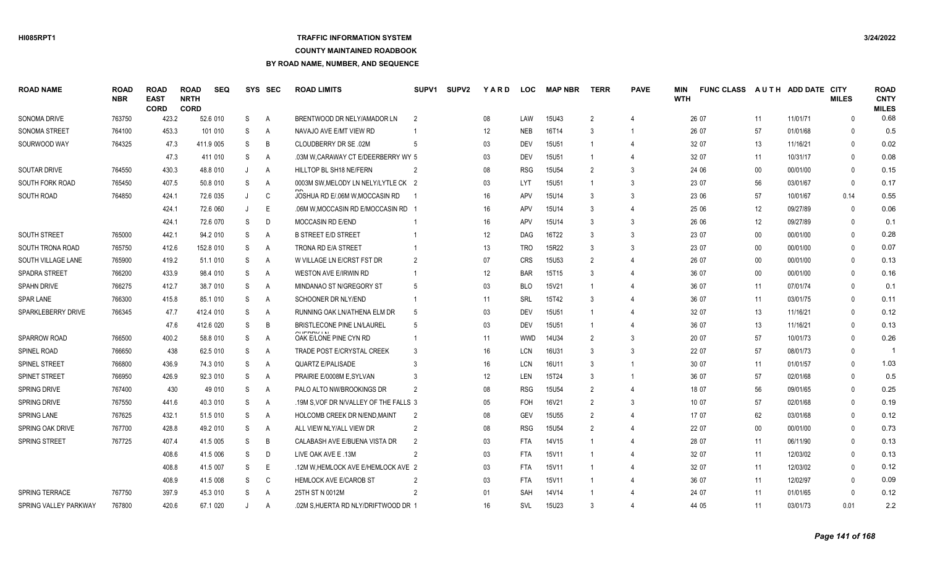## **TRAFFIC INFORMATION SYSTEM**

**COUNTY MAINTAINED ROADBOOK**

| <b>ROAD NAME</b>             | <b>ROAD</b><br><b>NBR</b> | <b>ROAD</b><br><b>EAST</b><br><b>CORD</b> | <b>ROAD</b><br><b>NRTH</b><br><b>CORD</b> | <b>SEQ</b> |         | SYS SEC        | <b>ROAD LIMITS</b>                    | SUPV <sub>1</sub> | <b>SUPV2</b> | YARD | <b>LOC</b> | <b>MAP NBR</b> | <b>TERR</b>    | <b>PAVE</b>    | MIN<br><b>WTH</b> | <b>FUNC CLASS</b> |        | AUTH ADD DATE CITY | <b>MILES</b> | <b>ROAD</b><br><b>CNTY</b><br><b>MILES</b> |
|------------------------------|---------------------------|-------------------------------------------|-------------------------------------------|------------|---------|----------------|---------------------------------------|-------------------|--------------|------|------------|----------------|----------------|----------------|-------------------|-------------------|--------|--------------------|--------------|--------------------------------------------|
| <b>SONOMA DRIVE</b>          | 763750                    | 423.2                                     |                                           | 52.6 010   | S       | A              | BRENTWOOD DR NELY/AMADOR LN           | $\mathcal{P}$     |              | 08   | LAW        | <b>15U43</b>   | $\overline{2}$ | 4              |                   | 26 07             | 11     | 11/01/71           | $\Omega$     | 0.68                                       |
| <b>SONOMA STREET</b>         | 764100                    | 453.3                                     |                                           | 101 010    | S       | A              | NAVAJO AVE E/MT VIEW RD               |                   |              | 12   | <b>NEB</b> | 16T14          | 3              | -1             |                   | 26 07             | 57     | 01/01/68           | $\Omega$     | 0.5                                        |
| SOURWOOD WAY                 | 764325                    | 47.3                                      |                                           | 411.9 005  | S       | B              | <b>CLOUDBERRY DR SE .02M</b>          | .5                |              | 03   | DEV        | <b>15U51</b>   | -1             | $\overline{4}$ |                   | 32 07             | 13     | 11/16/21           | $\Omega$     | 0.02                                       |
|                              |                           | 47.3                                      |                                           | 411 010    | S       | $\overline{A}$ | .03M W.CARAWAY CT E/DEERBERRY WY 5    |                   |              | 03   | DEV        | <b>15U51</b>   | -1             | 4              |                   | 32 07             | 11     | 10/31/17           | $\Omega$     | 0.08                                       |
| SOUTAR DRIVE                 | 764550                    | 430.3                                     |                                           | 48.8 010   | $\cdot$ | $\overline{A}$ | HILLTOP BL SH18 NE/FERN               | $\overline{2}$    |              | 08   | <b>RSG</b> | <b>15U54</b>   | $\mathfrak{D}$ | 3              |                   | 24 06             | $00\,$ | 00/01/00           | $\Omega$     | 0.15                                       |
| SOUTH FORK ROAD              | 765450                    | 407.5                                     |                                           | 50.8 010   | S       | A              | 0003M SW.MELODY LN NELY/LYTLE CK 2    |                   |              | 03   | <b>LYT</b> | <b>15U51</b>   | -1             | 3              |                   | 23 07             | 56     | 03/01/67           | $\Omega$     | 0.17                                       |
| SOUTH ROAD                   | 764850                    | 424.1                                     |                                           | 72.6 035   |         | C              | JOSHUA RD E/.06M W, MOCCASIN RD       |                   |              | 16   | APV        | 15U14          | 3              | 3              |                   | 23 06             | 57     | 10/01/67           | 0.14         | 0.55                                       |
|                              |                           | 424.1                                     |                                           | 72.6 060   | J       | E              | .06M W, MOCCASIN RD E/MOCCASIN RD     |                   |              | 16   | APV        | <b>15U14</b>   | 3              | 4              |                   | 25 06             | 12     | 09/27/89           | $\Omega$     | 0.06                                       |
|                              |                           | 424.1                                     |                                           | 72.6 070   | S       | D              | <b>MOCCASIN RD E/END</b>              |                   |              | 16   | <b>APV</b> | 15U14          | 3              | 3              |                   | 26 06             | 12     | 09/27/89           | $\Omega$     | 0.1                                        |
| <b>SOUTH STREET</b>          | 765000                    | 442.1                                     |                                           | 94.2 010   | S       | A              | <b>B STREET E/D STREET</b>            |                   |              | 12   | DAG        | 16T22          | 3              | 3              |                   | 23 07             | $00\,$ | 00/01/00           | $\Omega$     | 0.28                                       |
| SOUTH TRONA ROAD             | 765750                    | 412.6                                     |                                           | 152.8 010  | S       | A              | TRONA RD E/A STREET                   |                   |              | 13   | <b>TRO</b> | 15R22          | 3              | 3              |                   | 23 07             | $00\,$ | 00/01/00           | $\Omega$     | 0.07                                       |
| SOUTH VILLAGE LANE           | 765900                    | 419.2                                     |                                           | 51.1 010   | S       | $\overline{A}$ | W VILLAGE LN E/CRST FST DR            | 2                 |              | 07   | <b>CRS</b> | 15U53          | $\mathfrak{D}$ | 4              |                   | 26 07             | $00\,$ | 00/01/00           | $\mathbf{0}$ | 0.13                                       |
| <b>SPADRA STREET</b>         | 766200                    | 433.9                                     |                                           | 98.4 010   | S       | $\overline{A}$ | <b>WESTON AVE E/IRWIN RD</b>          |                   |              | 12   | <b>BAR</b> | 15T15          | 3              | 4              |                   | 36 07             | $00\,$ | 00/01/00           | $\Omega$     | 0.16                                       |
| SPAHN DRIVE                  | 766275                    | 412.7                                     |                                           | 38.7 010   | S       | $\overline{A}$ | MINDANAO ST N/GREGORY ST              | 5                 |              | 03   | <b>BLO</b> | 15V21          |                | 4              |                   | 36 07             | 11     | 07/01/74           | $\Omega$     | 0.1                                        |
| <b>SPAR LANE</b>             | 766300                    | 415.8                                     |                                           | 85.1 010   | S       | A              | SCHOONER DR NLY/END                   |                   |              | 11   | SRL        | 15T42          | 3              |                |                   | 36 07             | 11     | 03/01/75           | $\Omega$     | 0.11                                       |
| SPARKLEBERRY DRIVE           | 766345                    | 47.7                                      |                                           | 412.4 010  | S       | $\overline{A}$ | RUNNING OAK LN/ATHENA ELM DR          | 5                 |              | 03   | <b>DEV</b> | 15U51          |                | 4              |                   | 32 07             | 13     | 11/16/21           | $\Omega$     | 0.12                                       |
|                              |                           | 47.6                                      |                                           | 412.6 020  | S       | B              | BRISTLECONE PINE LN/LAUREL            | 5                 |              | 03   | <b>DEV</b> | <b>15U51</b>   | $\overline{1}$ | 4              |                   | 36 07             | 13     | 11/16/21           | $\mathbf{0}$ | 0.13                                       |
| SPARROW ROAD                 | 766500                    | 400.2                                     |                                           | 58.8 010   | S       | $\overline{A}$ | $O$ UEDDVIA<br>OAK E/LONE PINE CYN RD |                   |              | 11   | <b>WWD</b> | 14U34          | $\overline{2}$ | 3              |                   | 20 07             | 57     | 10/01/73           | $\Omega$     | 0.26                                       |
| SPINEL ROAD                  | 766650                    | 438                                       |                                           | 62.5 010   | S       | $\overline{A}$ | TRADE POST E/CRYSTAL CREEK            | 3                 |              | 16   | LCN        | 16U31          | 3              | 3              |                   | 22 07             | 57     | 08/01/73           | $\mathbf{0}$ | $\mathbf 1$                                |
| <b>SPINEL STREET</b>         | 766800                    | 436.9                                     |                                           | 74.3 010   | S       | $\overline{A}$ | <b>QUARTZ E/PALISADE</b>              | 3                 |              | 16   | <b>LCN</b> | 16U11          | 3              | $\mathbf{1}$   |                   | 30 07             | 11     | 01/01/57           | $\Omega$     | 1.03                                       |
| <b>SPINET STREET</b>         | 766950                    | 426.9                                     |                                           | 92.3 010   | S       | $\overline{A}$ | PRAIRIE E/0008M E, SYLVAN             | 3                 |              | 12   | LEN        | 15T24          | 3              | 1              |                   | 36 07             | 57     | 02/01/68           | $\mathbf{0}$ | 0.5                                        |
| SPRING DRIVE                 | 767400                    | 430                                       |                                           | 49 010     | S       | A              | PALO ALTO NW/BROOKINGS DR             | $\mathcal{P}$     |              | 08   | <b>RSG</b> | <b>15U54</b>   | 2              | 4              |                   | 18 07             | 56     | 09/01/65           | $\Omega$     | 0.25                                       |
| SPRING DRIVE                 | 767550                    | 441.6                                     |                                           | 40.3 010   | S       | $\overline{A}$ | 19M S, VOF DR N/VALLEY OF THE FALLS 3 |                   |              | 05   | <b>FOH</b> | 16V21          | 2              | 3              |                   | 10 07             | 57     | 02/01/68           | $\mathbf{0}$ | 0.19                                       |
| <b>SPRING LANE</b>           | 767625                    | 432.1                                     |                                           | 51.5 010   | S       | $\overline{A}$ | HOLCOMB CREEK DR N/END, MAINT         | $\overline{2}$    |              | 08   | <b>GEV</b> | <b>15U55</b>   | $\mathfrak{D}$ | 4              |                   | 17 07             | 62     | 03/01/68           | $\Omega$     | 0.12                                       |
| SPRING OAK DRIVE             | 767700                    | 428.8                                     |                                           | 49.2 010   | S       | A              | ALL VIEW NLY/ALL VIEW DR              | $\overline{2}$    |              | 08   | <b>RSG</b> | 15U54          | $\overline{2}$ | $\Delta$       |                   | 22 07             | $00\,$ | 00/01/00           | $\Omega$     | 0.73                                       |
| <b>SPRING STREET</b>         | 767725                    | 407.4                                     |                                           | 41.5 005   | S       | B              | CALABASH AVE E/BUENA VISTA DR         | $\mathcal{P}$     |              | 03   | <b>FTA</b> | 14V15          | -1             | 4              |                   | 28 07             | 11     | 06/11/90           | $\Omega$     | 0.13                                       |
|                              |                           | 408.6                                     |                                           | 41.5 006   | S       | D              | LIVE OAK AVE E.13M                    | $\mathcal{P}$     |              | 03   | FTA        | 15V11          |                | $\Delta$       |                   | 32 07             | 11     | 12/03/02           | $\Omega$     | 0.13                                       |
|                              |                           | 408.8                                     |                                           | 41.5 007   | S       | E              | .12M W, HEMLOCK AVE E/HEMLOCK AVE 2   |                   |              | 03   | <b>FTA</b> | 15V11          | -1             | $\Delta$       |                   | 32 07             | 11     | 12/03/02           | $\Omega$     | 0.12                                       |
|                              |                           | 408.9                                     |                                           | 41.5 008   | S       | C              | <b>HEMLOCK AVE E/CAROB ST</b>         | $\mathcal{P}$     |              | 03   | <b>FTA</b> | 15V11          | -1             | $\Delta$       |                   | 36 07             | 11     | 12/02/97           | $\Omega$     | 0.09                                       |
| <b>SPRING TERRACE</b>        | 767750                    | 397.9                                     |                                           | 45.3 010   | S       | $\overline{A}$ | 25TH ST N 0012M                       | 2                 |              | 01   | <b>SAH</b> | 14V14          |                |                |                   | 24 07             | 11     | 01/01/65           | $\Omega$     | 0.12                                       |
| <b>SPRING VALLEY PARKWAY</b> | 767800                    | 420.6                                     |                                           | 67.1 020   |         | A              | .02M S.HUERTA RD NLY/DRIFTWOOD DR 1   |                   |              | 16   | SVL        | 15U23          | $\mathcal{R}$  | $\Delta$       |                   | 44 05             | 11     | 03/01/73           | 0.01         | 2.2                                        |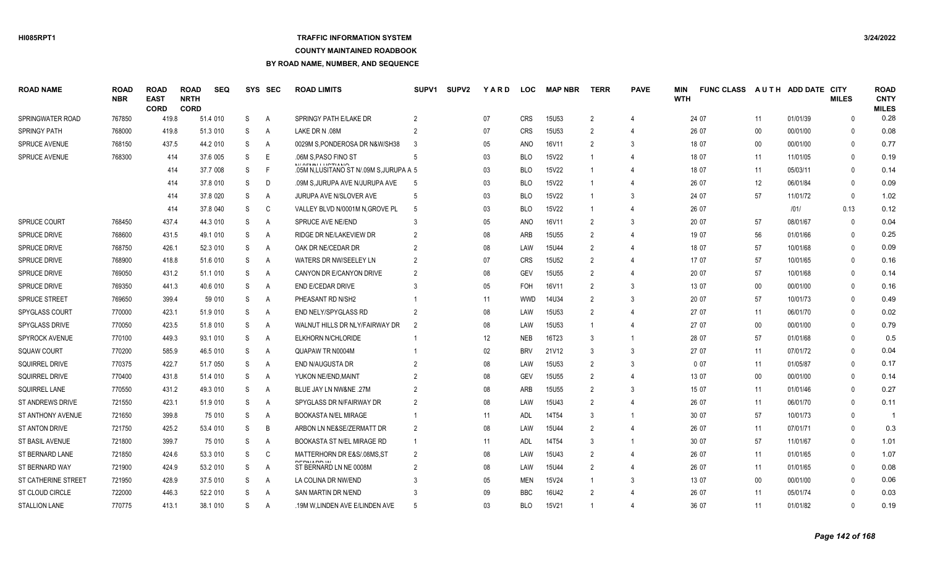## **TRAFFIC INFORMATION SYSTEM**

#### **COUNTY MAINTAINED ROADBOOK**

| <b>ROAD NAME</b>        | <b>ROAD</b><br><b>NBR</b> | <b>ROAD</b><br><b>EAST</b><br><b>CORD</b> | <b>ROAD</b><br><b>NRTH</b><br><b>CORD</b> | <b>SEQ</b> |              | SYS SEC        | <b>ROAD LIMITS</b>                                          | SUPV <sub>1</sub> | <b>SUPV2</b> | YARD | <b>LOC</b> | <b>MAP NBR</b>    | <b>TERR</b>    | <b>PAVE</b>    | MIN<br><b>WTH</b> | <b>FUNC CLASS</b> |                   | AUTH ADD DATE CITY | <b>MILES</b> | <b>ROAD</b><br><b>CNTY</b><br><b>MILES</b> |
|-------------------------|---------------------------|-------------------------------------------|-------------------------------------------|------------|--------------|----------------|-------------------------------------------------------------|-------------------|--------------|------|------------|-------------------|----------------|----------------|-------------------|-------------------|-------------------|--------------------|--------------|--------------------------------------------|
| SPRINGWATER ROAD        | 767850                    | 419.8                                     |                                           | 51.4 010   | S            | A              | SPRINGY PATH E/LAKE DR                                      | 2                 |              | 07   | <b>CRS</b> | <b>15U53</b>      | 2              |                |                   | 24 07             | 11                | 01/01/39           | $\Omega$     | 0.28                                       |
| <b>SPRINGY PATH</b>     | 768000                    | 419.8                                     |                                           | 51.3 010   | <sub>S</sub> | A              | LAKE DR N .08M                                              | $\overline{2}$    |              | 07   | <b>CRS</b> | <b>15U53</b>      | 2              |                |                   | 26 07             | $00\,$            | 00/01/00           | $\Omega$     | 0.08                                       |
| <b>SPRUCE AVENUE</b>    | 768150                    | 437.5                                     |                                           | 44.2 010   | S.           | A              | 0029M S, PONDEROSA DR N&W/SH38                              | 3                 |              | 05   | <b>ANO</b> | 16V11             | $\mathfrak{D}$ | 3              |                   | 18 07             | 00                | 00/01/00           | $\Omega$     | 0.77                                       |
| <b>SPRUCE AVENUE</b>    | 768300                    | 414                                       |                                           | 37.6 005   | <sub>S</sub> | Е              | .06M S, PASO FINO ST                                        |                   |              | 03   | <b>BLO</b> | 15V22             |                |                |                   | 18 07             | 11                | 11/01/05           | $\Omega$     | 0.19                                       |
|                         |                           | 414                                       |                                           | 37.7 008   | <sub>S</sub> | F              | U AFRIRI LUATIARD<br>.05M N,LUSITANO ST N/.09M S,JURUPA A 5 |                   |              | 03   | <b>BLO</b> | 15V22             |                |                |                   | 18 07             | 11                | 05/03/11           | $\Omega$     | 0.14                                       |
|                         |                           | 414                                       |                                           | 37.8 010   | <sub>S</sub> | D              | .09M S,JURUPA AVE N/JURUPA AVE                              |                   |              | 03   | <b>BLO</b> | <b>15V22</b>      |                |                |                   | 26 07             | $12 \overline{ }$ | 06/01/84           | $\Omega$     | 0.09                                       |
|                         |                           | 414                                       |                                           | 37.8 020   | <sub>S</sub> | A              | JURUPA AVE N/SLOVER AVE                                     | 5                 |              | 03   | <b>BLO</b> | <b>15V22</b>      |                | 3              |                   | 24 07             | 57                | 11/01/72           | $\Omega$     | 1.02                                       |
|                         |                           | 414                                       |                                           | 37.8 040   | <sub>S</sub> | C              | VALLEY BLVD N/0001M N, GROVE PL                             | -5                |              | 03   | <b>BLO</b> | 15V22             |                |                |                   | 26 07             |                   | 1011               | 0.13         | 0.12                                       |
| <b>SPRUCE COURT</b>     | 768450                    | 437.4                                     |                                           | 44.3 010   | -S           | A              | SPRUCE AVE NE/END                                           |                   |              | 05   | <b>ANO</b> | 16V11             | $\overline{2}$ | 3              |                   | 20 07             | 57                | 08/01/67           | $\mathbf{0}$ | 0.04                                       |
| <b>SPRUCE DRIVE</b>     | 768600                    | 431.5                                     |                                           | 49.1 010   | -S           | A              | RIDGE DR NE/LAKEVIEW DR                                     | 2                 |              | 08   | <b>ARB</b> | 15U <sub>55</sub> | 2              |                |                   | 19 07             | 56                | 01/01/66           | $\Omega$     | 0.25                                       |
| <b>SPRUCE DRIVE</b>     | 768750                    | 426.1                                     |                                           | 52.3 010   | -S           | A              | OAK DR NE/CEDAR DR                                          | 2                 |              | 08   | LAW        | 15U44             | $\overline{2}$ |                |                   | 18 07             | 57                | 10/01/68           | $\Omega$     | 0.09                                       |
| SPRUCE DRIVE            | 768900                    | 418.8                                     |                                           | 51.6 010   | <sub>S</sub> | A              | WATERS DR NW/SEELEY LN                                      | $\overline{2}$    |              | 07   | <b>CRS</b> | <b>15U52</b>      | 2              |                |                   | 17 07             | 57                | 10/01/65           | $\Omega$     | 0.16                                       |
| <b>SPRUCE DRIVE</b>     | 769050                    | 431.2                                     |                                           | 51.1 010   | <sub>S</sub> | $\overline{A}$ | CANYON DR E/CANYON DRIVE                                    | $\overline{2}$    |              | 08   | <b>GEV</b> | <b>15U55</b>      | $\mathfrak{D}$ |                |                   | 20 07             | 57                | 10/01/68           | $\Omega$     | 0.14                                       |
| <b>SPRUCE DRIVE</b>     | 769350                    | 441.3                                     |                                           | 40.6 010   | <sub>S</sub> | A              | <b>END E/CEDAR DRIVE</b>                                    |                   |              | 05   | <b>FOH</b> | 16V11             | $\mathfrak{D}$ | 3              |                   | 13 07             | $00\,$            | 00/01/00           | $\Omega$     | 0.16                                       |
| <b>SPRUCE STREET</b>    | 769650                    | 399.4                                     |                                           | 59 010     | <sub>S</sub> | $\overline{A}$ | PHEASANT RD N/SH2                                           |                   |              | 11   | <b>WWD</b> | 14U34             | $\mathfrak{D}$ | 3              |                   | 20 07             | 57                | 10/01/73           | $\Omega$     | 0.49                                       |
| SPYGLASS COURT          | 770000                    | 423.1                                     |                                           | 51.9 010   | <sub>S</sub> | A              | END NELY/SPYGLASS RD                                        |                   |              | 08   | LAW        | 15U53             | $\overline{2}$ |                |                   | 27 07             | 11                | 06/01/70           | $\mathbf{0}$ | 0.02                                       |
| SPYGLASS DRIVE          | 770050                    | 423.5                                     |                                           | 51.8 010   | <sub>S</sub> | A              | WALNUT HILLS DR NLY/FAIRWAY DR                              | $\mathcal{P}$     |              | 08   | LAW        | 15U53             |                |                |                   | 27 07             | $00\,$            | 00/01/00           | $\mathbf{0}$ | 0.79                                       |
| SPYROCK AVENUE          | 770100                    | 449.3                                     |                                           | 93.1 010   | <sub>S</sub> | A              | ELKHORN N/CHLORIDE                                          |                   |              | 12   | <b>NEB</b> | 16T23             | 3              |                |                   | 28 07             | 57                | 01/01/68           | $\Omega$     | 0.5                                        |
| <b>SQUAW COURT</b>      | 770200                    | 585.9                                     |                                           | 46.5 010   | <sub>S</sub> | $\overline{A}$ | QUAPAW TR N0004M                                            |                   |              | 02   | <b>BRV</b> | 21V12             | 3              | 3              |                   | 27 07             | 11                | 07/01/72           | $\mathbf{0}$ | 0.04                                       |
| <b>SQUIRREL DRIVE</b>   | 770375                    | 422.7                                     |                                           | 51.7 050   | <sub>S</sub> | A              | END N/AUGUSTA DR                                            |                   |              | 08   | LAW        | 15U <sub>53</sub> | 2              | 3              |                   | 007               | 11                | 01/05/87           | $\Omega$     | 0.17                                       |
| <b>SQUIRREL DRIVE</b>   | 770400                    | 431.8                                     |                                           | 51.4 010   | <sub>S</sub> | A              | YUKON NE/END, MAINT                                         | $\overline{2}$    |              | 08   | <b>GEV</b> | <b>15U55</b>      | 2              |                |                   | 13 07             | $00\,$            | 00/01/00           | $\Omega$     | 0.14                                       |
| <b>SQUIRREL LANE</b>    | 770550                    | 431.2                                     |                                           | 49.3 010   | <sub>S</sub> | A              | BLUE JAY LN NW&NE .27M                                      | $\overline{2}$    |              | 08   | ARB        | <b>15U55</b>      | $\mathfrak{D}$ | 3              |                   | 15 07             | 11                | 01/01/46           | $\Omega$     | 0.27                                       |
| <b>ST ANDREWS DRIVE</b> | 721550                    | 423.1                                     |                                           | 51.9 010   | <sub>S</sub> | A              | SPYGLASS DR N/FAIRWAY DR                                    | $\overline{2}$    |              | 08   | LAW        | 15U43             | $\overline{2}$ |                |                   | 26 07             | 11                | 06/01/70           | $\Omega$     | 0.11                                       |
| ST ANTHONY AVENUE       | 721650                    | 399.8                                     |                                           | 75 010     | S            | A              | <b>BOOKASTA N/EL MIRAGE</b>                                 |                   |              | 11   | <b>ADL</b> | 14T54             | $\mathcal{R}$  | $\overline{1}$ |                   | 30 07             | 57                | 10/01/73           | $\mathbf{0}$ |                                            |
| <b>ST ANTON DRIVE</b>   | 721750                    | 425.2                                     |                                           | 53.4 010   | <sub>S</sub> | B              | ARBON LN NE&SE/ZERMATT DR                                   | $\overline{2}$    |              | 08   | LAW        | 15U44             |                |                |                   | 26 07             | 11                | 07/01/71           | $\Omega$     | 0.3                                        |
| ST BASIL AVENUE         | 721800                    | 399.7                                     |                                           | 75 010     | <sub>S</sub> | A              | BOOKASTA ST N/EL MIRAGE RD                                  |                   |              | 11   | <b>ADL</b> | 14T54             |                |                |                   | 30 07             | 57                | 11/01/67           | $\Omega$     | 1.01                                       |
| ST BERNARD LANE         | 721850                    | 424.6                                     |                                           | 53.3 010   | S.           | $\mathsf{C}$   | MATTERHORN DR E&S/.08MS.ST                                  |                   |              | 08   | LAW        | 15U43             |                |                |                   | 26 07             | 11                | 01/01/65           | $\Omega$     | 1.07                                       |
| ST BERNARD WAY          | 721900                    | 424.9                                     |                                           | 53.2 010   | S.           | A              | ST BERNARD LN NE 0008M                                      | $\mathfrak{p}$    |              | 08   | LAW        | 15U44             | $\mathfrak{D}$ |                |                   | 26 07             | 11                | 01/01/65           | $\Omega$     | 0.08                                       |
| ST CATHERINE STREET     | 721950                    | 428.9                                     |                                           | 37.5 010   | -S           | A              | LA COLINA DR NW/END                                         |                   |              | 05   | <b>MEN</b> | 15V24             |                |                |                   | 13 07             | $00\,$            | 00/01/00           | $\Omega$     | 0.06                                       |
| <b>ST CLOUD CIRCLE</b>  | 722000                    | 446.3                                     |                                           | 52.2 010   | -S           | A              | SAN MARTIN DR N/END                                         |                   |              | 09   | <b>BBC</b> | 16U42             | $\mathcal{P}$  |                |                   | 26 07             | 11                | 05/01/74           | $\Omega$     | 0.03                                       |
| <b>STALLION LANE</b>    | 770775                    | 413.1                                     |                                           | 38.1 010   | S.           | A              | 19M W.LINDEN AVE E/LINDEN AVE                               |                   |              | 03   | <b>BLO</b> | 15V21             |                | Δ              |                   | 36 07             | 11                | 01/01/82           | $\Omega$     | 0.19                                       |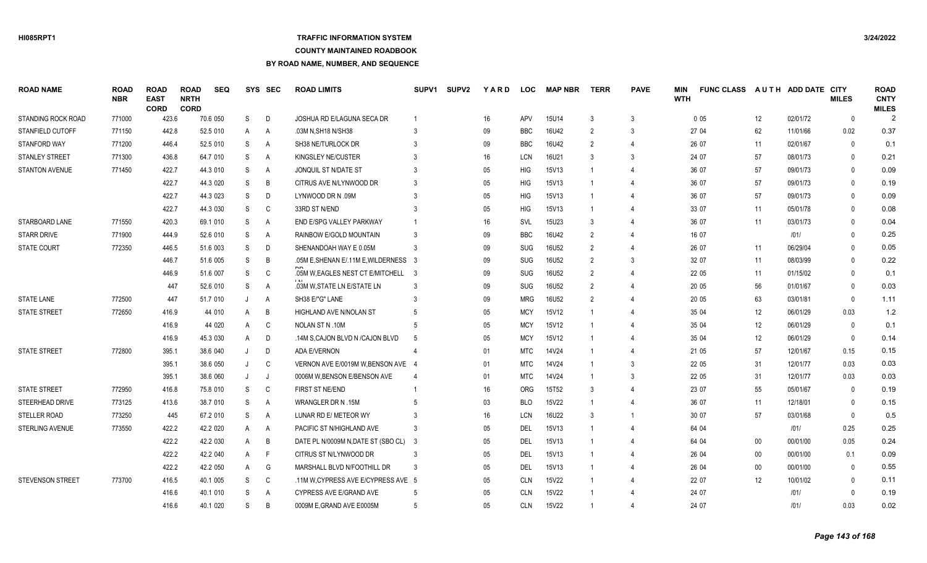## **TRAFFIC INFORMATION SYSTEM**

#### **COUNTY MAINTAINED ROADBOOK**

| <b>ROAD NAME</b>          | <b>ROAD</b><br><b>NBR</b> | <b>ROAD</b><br><b>EAST</b><br><b>CORD</b> | <b>ROAD</b><br><b>NRTH</b><br><b>CORD</b> | <b>SEQ</b> |              | SYS SEC        | <b>ROAD LIMITS</b>                    | SUPV <sub>1</sub> | <b>SUPV2</b> | YARD   | <b>LOC</b> | <b>MAP NBR</b> | <b>TERR</b>    | <b>PAVE</b>           | <b>MIN</b><br><b>WTH</b> | <b>FUNC CLASS</b> |        | AUTH ADD DATE CITY | <b>MILES</b> | <b>ROAD</b><br><b>CNTY</b><br><b>MILES</b> |
|---------------------------|---------------------------|-------------------------------------------|-------------------------------------------|------------|--------------|----------------|---------------------------------------|-------------------|--------------|--------|------------|----------------|----------------|-----------------------|--------------------------|-------------------|--------|--------------------|--------------|--------------------------------------------|
| <b>STANDING ROCK ROAD</b> | 771000                    | 423.6                                     |                                           | 70.6 050   | S            | D              | JOSHUA RD E/LAGUNA SECA DR            |                   |              | 16     | APV        | 15U14          | 3              | $\mathbf{3}$          |                          | 005               | 12     | 02/01/72           | $\mathbf{0}$ |                                            |
| STANFIELD CUTOFF          | 771150                    | 442.8                                     |                                           | 52.5 010   | A            | A              | .03M N, SH18 N/SH38                   |                   |              | 09     | <b>BBC</b> | 16U42          | $\overline{2}$ | 3                     |                          | 27 04             | 62     | 11/01/66           | 0.02         | 0.37                                       |
| STANFORD WAY              | 771200                    | 446.4                                     |                                           | 52.5 010   | <sub>S</sub> | A              | SH38 NE/TURLOCK DR                    |                   |              | 09     | <b>BBC</b> | 16U42          | 2              | 4                     |                          | 26 07             | 11     | 02/01/67           | $\Omega$     | 0.1                                        |
| <b>STANLEY STREET</b>     | 771300                    | 436.8                                     |                                           | 64.7 010   | <sub>S</sub> | A              | <b>KINGSLEY NE/CUSTER</b>             |                   |              | 16     | LCN        | 16U21          |                | 3                     |                          | 24 07             | 57     | 08/01/73           | $\Omega$     | 0.21                                       |
| <b>STANTON AVENUE</b>     | 771450                    | 422.7                                     |                                           | 44.3 010   | <sub>S</sub> | A              | JONQUIL ST N/DATE ST                  |                   |              | 05     | <b>HIG</b> | 15V13          |                | 4                     |                          | 36 07             | 57     | 09/01/73           | $\Omega$     | 0.09                                       |
|                           |                           | 422.7                                     |                                           | 44.3 020   | <sub>S</sub> | B              | CITRUS AVE N/LYNWOOD DR               | 3                 |              | 05     | <b>HIG</b> | 15V13          |                | 4                     |                          | 36 07             | 57     | 09/01/73           | $\Omega$     | 0.19                                       |
|                           |                           | 422.7                                     |                                           | 44.3 023   | -S           | D              | LYNWOOD DR N .09M                     |                   |              | 05     | <b>HIG</b> | 15V13          |                |                       |                          | 36 07             | 57     | 09/01/73           | $\Omega$     | 0.09                                       |
|                           |                           | 422.7                                     |                                           | 44.3 030   | <sub>S</sub> | C              | 33RD ST N/END                         |                   |              | 05     | <b>HIG</b> | <b>15V13</b>   |                |                       |                          | 33 07             | 11     | 05/01/78           | $\Omega$     | 0.08                                       |
| STARBOARD LANE            | 771550                    | 420.3                                     |                                           | 69.1 010   | S            | A              | END E/SPG VALLEY PARKWAY              |                   |              | 16     | <b>SVL</b> | 15U23          | -3             |                       |                          | 36 07             | 11     | 03/01/73           | $\mathbf{0}$ | 0.04                                       |
| STARR DRIVE               | 771900                    | 444.9                                     |                                           | 52.6 010   | S            | A              | RAINBOW E/GOLD MOUNTAIN               |                   |              | 09     | <b>BBC</b> | 16U42          | 2              | 4                     |                          | 16 07             |        | 101/               | 0            | 0.25                                       |
| <b>STATE COURT</b>        | 772350                    | 446.5                                     |                                           | 51.6 003   | <sub>S</sub> | D              | SHENANDOAH WAY E 0.05M                |                   |              | 09     | <b>SUG</b> | 16U52          |                | $\overline{4}$        |                          | 26 07             | 11     | 06/29/04           | $\Omega$     | 0.05                                       |
|                           |                           | 446.7                                     |                                           | 51.6 005   | <sub>S</sub> | B              | .05M E, SHENAN E/.11M E, WILDERNESS 3 |                   |              | 09     | <b>SUG</b> | 16U52          | 2              | 3                     |                          | 32 07             | 11     | 08/03/99           | $\Omega$     | 0.22                                       |
|                           |                           | 446.9                                     |                                           | 51.6 007   | <sub>S</sub> | C              | .05M W, EAGLES NEST CT E/MITCHELL     | 3                 |              | 09     | <b>SUG</b> | 16U52          | $\overline{2}$ | $\overline{4}$        |                          | 22 05             | 11     | 01/15/02           | $\Omega$     | 0.1                                        |
|                           |                           | 447                                       |                                           | 52.6 010   | <sub>S</sub> | $\overline{A}$ | .03M W, STATE LN E/STATE LN           | 3                 |              | 09     | <b>SUG</b> | 16U52          | 2              | 4                     |                          | 20 05             | 56     | 01/01/67           | $\Omega$     | 0.03                                       |
| <b>STATE LANE</b>         | 772500                    | 447                                       |                                           | 51.7 010   |              | A              | SH38 E/"G" LANE                       |                   |              | 09     | <b>MRG</b> | 16U52          | $\mathcal{P}$  | 4                     |                          | 20 05             | 63     | 03/01/81           | $\Omega$     | 1.11                                       |
| <b>STATE STREET</b>       | 772650                    | 416.9                                     |                                           | 44 010     | A            | B              | HIGHLAND AVE N/NOLAN ST               |                   |              | 05     | <b>MCY</b> | 15V12          |                | $\boldsymbol{\Delta}$ |                          | 35 04             | 12     | 06/01/29           | 0.03         | 1.2                                        |
|                           |                           | 416.9                                     |                                           | 44 020     | A            | C              | NOLAN ST N .10M                       |                   |              | 05     | <b>MCY</b> | 15V12          |                | $\overline{4}$        |                          | 35 04             | 12     | 06/01/29           | $\mathbf{0}$ | 0.1                                        |
|                           |                           | 416.9                                     |                                           | 45.3 030   | A            | D              | 14M S.CAJON BLVD N /CAJON BLVD        |                   |              | 05     | <b>MCY</b> | 15V12          |                | $\boldsymbol{\Delta}$ |                          | 35 04             | 12     | 06/01/29           | $\mathbf{0}$ | 0.14                                       |
| <b>STATE STREET</b>       | 772800                    | 395.1                                     |                                           | 38.6 040   | J            | D              | <b>ADA E/VERNON</b>                   |                   |              | 01     | <b>MTC</b> | 14V24          |                | $\overline{4}$        |                          | 21 05             | 57     | 12/01/67           | 0.15         | 0.15                                       |
|                           |                           | 395.1                                     |                                           | 38.6 050   |              | C              | VERNON AVE E/0019M W, BENSON AVE      |                   |              | 01     | <b>MTC</b> | 14V24          |                | 3                     |                          | 22 05             | 31     | 12/01/77           | 0.03         | 0.03                                       |
|                           |                           | 395.1                                     |                                           | 38.6 060   |              |                | 0006M W, BENSON E/BENSON AVE          |                   |              | 01     | <b>MTC</b> | 14V24          |                | 3                     |                          | 22 05             | 31     | 12/01/77           | 0.03         | 0.03                                       |
| <b>STATE STREET</b>       | 772950                    | 416.8                                     |                                           | 75.8 010   | <sub>S</sub> | C              | FIRST ST NE/END                       |                   |              | 16     | <b>ORG</b> | 15T52          |                |                       |                          | 23 07             | 55     | 05/01/67           | $\mathbf{0}$ | 0.19                                       |
| STEERHEAD DRIVE           | 773125                    | 413.6                                     |                                           | 38.7 010   | S            | A              | WRANGLER DR N .15M                    |                   |              | 03     | <b>BLO</b> | 15V22          |                | $\overline{4}$        |                          | 36 07             | 11     | 12/18/01           | $\mathbf{0}$ | 0.15                                       |
| <b>STELLER ROAD</b>       | 773250                    | 445                                       |                                           | 67.2 010   | S            | A              | LUNAR RD E/ METEOR WY                 |                   |              | 16     | <b>LCN</b> | 16U22          | $\mathbf{3}$   | $\overline{1}$        |                          | 30 07             | 57     | 03/01/68           | $\Omega$     | 0.5                                        |
| <b>STERLING AVENUE</b>    | 773550                    | 422.2                                     |                                           | 42.2 020   | A            | A              | PACIFIC ST N/HIGHLAND AVE             | -3                |              | 05     | DEL        | 15V13          |                | $\boldsymbol{\Delta}$ |                          | 64 04             |        | 1011               | 0.25         | 0.25                                       |
|                           |                           | 422.2                                     |                                           | 42.2 030   | A            | B              | DATE PL N/0009M N, DATE ST (SBO CL)   | -3                |              | 05     | <b>DEL</b> | 15V13          |                | 4                     |                          | 64 04             | $00\,$ | 00/01/00           | 0.05         | 0.24                                       |
|                           |                           | 422.2                                     |                                           | 42.2 040   | A            | F              | CITRUS ST N/LYNWOOD DR                | -3                |              | 05     | <b>DEL</b> | 15V13          |                | 4                     |                          | 26 04             | $00\,$ | 00/01/00           | 0.1          | 0.09                                       |
|                           |                           | 422.2                                     |                                           | 42.2 050   | A            | G              | MARSHALL BLVD N/FOOTHILL DR           | 3                 |              | 05     | <b>DEL</b> | 15V13          |                | 4                     |                          | 26 04             | $00\,$ | 00/01/00           | $\Omega$     | 0.55                                       |
| <b>STEVENSON STREET</b>   | 773700                    | 416.5                                     |                                           | 40.1 005   | -S           | $\mathsf{C}$   | 11M W.CYPRESS AVE E/CYPRESS AVE 5     |                   |              | 05     | <b>CLN</b> | 15V22          |                | 4                     |                          | 22 07             | 12     | 10/01/02           | $\Omega$     | 0.11                                       |
|                           |                           | 416.6                                     |                                           | 40.1 010   | S.           | A              | CYPRESS AVE E/GRAND AVE               |                   |              | 05     | <b>CLN</b> | 15V22          |                |                       |                          | 24 07             |        | 1011               | $\Omega$     | 0.19                                       |
|                           |                           | 416.6                                     |                                           | 40.1 020   | -S           | <b>B</b>       | 0009M E.GRAND AVE E0005M              |                   |              | $05\,$ | <b>CLN</b> | 15V22          |                | 4                     |                          | 24 07             |        | /01/               | 0.03         | 0.02                                       |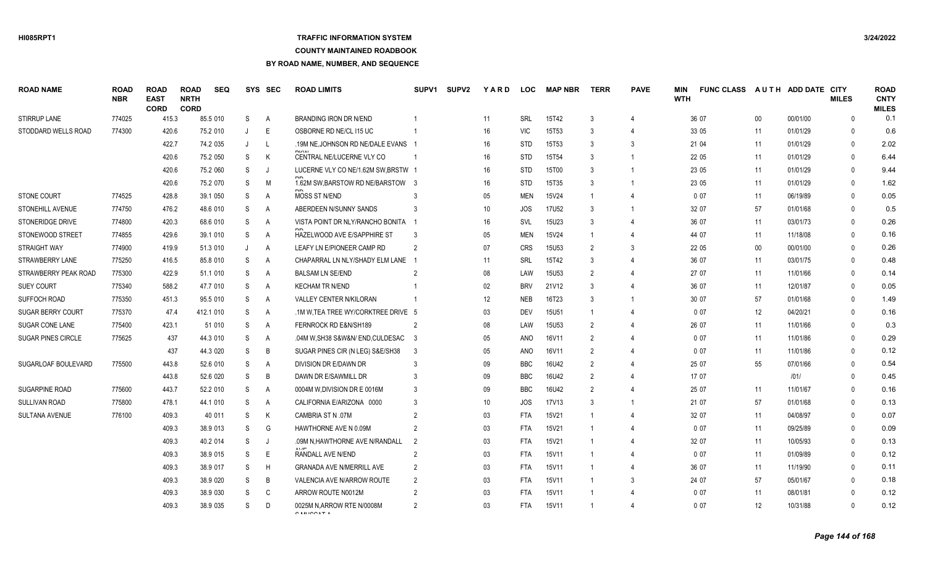# **TRAFFIC INFORMATION SYSTEM**

**COUNTY MAINTAINED ROADBOOK**

| <b>ROAD NAME</b>          | <b>ROAD</b><br><b>NBR</b> | <b>ROAD</b><br><b>EAST</b><br><b>CORD</b> | <b>ROAD</b><br><b>NRTH</b><br><b>CORD</b> | <b>SEQ</b> |   | SYS SEC        | <b>ROAD LIMITS</b>                      | <b>SUPV1</b> | <b>SUPV2</b> | <b>YARD</b> | <b>LOC</b> | <b>MAP NBR</b>    | <b>TERR</b>    | <b>PAVE</b>           | <b>MIN</b><br><b>WTH</b> | <b>FUNC CLASS</b> |        | AUTH ADD DATE CITY | <b>MILES</b> | <b>ROAD</b><br><b>CNTY</b><br><b>MILES</b> |
|---------------------------|---------------------------|-------------------------------------------|-------------------------------------------|------------|---|----------------|-----------------------------------------|--------------|--------------|-------------|------------|-------------------|----------------|-----------------------|--------------------------|-------------------|--------|--------------------|--------------|--------------------------------------------|
| <b>STIRRUP LANE</b>       | 774025                    | 415.3                                     |                                           | 85.5 010   | S | $\mathsf{A}$   | <b>BRANDING IRON DR N/END</b>           |              |              | 11          | SRL        | 15T42             | 3              | $\boldsymbol{\Delta}$ |                          | 36 07             | $00\,$ | 00/01/00           | $\Omega$     | 0.1                                        |
| STODDARD WELLS ROAD       | 774300                    | 420.6                                     |                                           | 75.2 010   | J | E              | OSBORNE RD NE/CL I15 UC                 |              |              | 16          | <b>VIC</b> | 15T53             | $\mathbf{3}$   | 4                     |                          | 33 05             | 11     | 01/01/29           | $\Omega$     | 0.6                                        |
|                           |                           | 422.7                                     |                                           | 74.2 035   | J | L              | .19M NE.JOHNSON RD NE/DALE EVANS        |              |              | 16          | STD.       | 15T53             | 3              | 3                     |                          | 21 04             | 11     | 01/01/29           | $\Omega$     | 2.02                                       |
|                           |                           | 420.6                                     |                                           | 75.2 050   | S | K              | CENTRAL NE/LUCERNE VLY CO               |              |              | 16          | <b>STD</b> | 15T54             | $\mathbf{3}$   | $\overline{1}$        |                          | 22 05             | 11     | 01/01/29           | $\Omega$     | 6.44                                       |
|                           |                           | 420.6                                     |                                           | 75.2 060   | S | J              | LUCERNE VLY CO NE/1.62M SW, BRSTW 1     |              |              | 16          | STD.       | 15T00             | 3              | $\overline{1}$        |                          | 23 05             | 11     | 01/01/29           | $\Omega$     | 9.44                                       |
|                           |                           | 420.6                                     |                                           | 75.2 070   | S | M              | 1.62M SW, BARSTOW RD NE/BARSTOW 3       |              |              | 16          | <b>STD</b> | 15T35             | $\mathbf{3}$   | $\overline{1}$        |                          | 23 05             | 11     | 01/01/29           | $\Omega$     | 1.62                                       |
| <b>STONE COURT</b>        | 774525                    | 428.8                                     |                                           | 39.1 050   | S | A              | <b>MOSS ST N/END</b>                    |              |              | 05          | <b>MEN</b> | 15V24             |                | $\overline{4}$        |                          | 007               | 11     | 06/19/89           | $\Omega$     | 0.05                                       |
| STONEHILL AVENUE          | 774750                    | 476.2                                     |                                           | 48.6 010   | S | $\overline{A}$ | ABERDEEN N/SUNNY SANDS                  |              |              | 10          | JOS        | <b>17U52</b>      | 3              |                       |                          | 32 07             | 57     | 01/01/68           | $\Omega$     | 0.5                                        |
| <b>STONERIDGE DRIVE</b>   | 774800                    | 420.3                                     |                                           | 68.6 010   | S | Α              | VISTA POINT DR NLY/RANCHO BONITA        |              |              | 16          | <b>SVL</b> | 15U23             |                | $\overline{4}$        |                          | 36 07             | 11     | 03/01/73           | $\Omega$     | 0.26                                       |
| STONEWOOD STREET          | 774855                    | 429.6                                     |                                           | 39.1 010   | S | $\overline{A}$ | HAZELWOOD AVE E/SAPPHIRE ST             |              |              | 05          | <b>MEN</b> | 15V24             |                | $\overline{4}$        |                          | 44 07             | 11     | 11/18/08           | $\Omega$     | 0.16                                       |
| <b>STRAIGHT WAY</b>       | 774900                    | 419.9                                     |                                           | 51.3 010   | J | A              | LEAFY LN E/PIONEER CAMP RD              |              |              | 07          | <b>CRS</b> | 15U <sub>53</sub> | $\mathcal{P}$  | 3                     |                          | 22 05             | $00\,$ | 00/01/00           | $\Omega$     | 0.26                                       |
| STRAWBERRY LANE           | 775250                    | 416.5                                     |                                           | 85.8 010   | S | $\overline{A}$ | CHAPARRAL LN NLY/SHADY ELM LANE         |              |              | 11          | SRL        | 15T42             | 3              | 4                     |                          | 36 07             | 11     | 03/01/75           | $\Omega$     | 0.48                                       |
| STRAWBERRY PEAK ROAD      | 775300                    | 422.9                                     |                                           | 51.1 010   | S | A              | <b>BALSAM LN SE/END</b>                 |              |              | 08          | LAW        | 15U53             |                | 4                     |                          | 27 07             | 11     | 11/01/66           | $\Omega$     | 0.14                                       |
| <b>SUEY COURT</b>         | 775340                    | 588.2                                     |                                           | 47.7 010   | S | Α              | <b>KECHAM TR N/END</b>                  |              |              | 02          | <b>BRV</b> | 21V12             | 3              | $\overline{4}$        |                          | 36 07             | 11     | 12/01/87           | $\Omega$     | 0.05                                       |
| SUFFOCH ROAD              | 775350                    | 451.3                                     |                                           | 95.5 010   | S | A              | VALLEY CENTER N/KILORAN                 |              |              | 12          | <b>NEB</b> | 16T23             | $\mathbf{3}$   | -1                    |                          | 30 07             | 57     | 01/01/68           | $\Omega$     | 1.49                                       |
| <b>SUGAR BERRY COURT</b>  | 775370                    | 47.4                                      |                                           | 412.1 010  | S | Α              | .1M W, TEA TREE WY/CORKTREE DRIVE 5     |              |              | 03          | <b>DEV</b> | <b>15U51</b>      |                |                       |                          | 007               | 12     | 04/20/21           | $\Omega$     | 0.16                                       |
| SUGAR CONE LANE           | 775400                    | 423.1                                     |                                           | 51 010     | S | $\overline{A}$ | FERNROCK RD E&N/SH189                   |              |              | 08          | LAW        | 15U53             |                |                       |                          | 26 07             | 11     | 11/01/66           | $\Omega$     | 0.3                                        |
| <b>SUGAR PINES CIRCLE</b> | 775625                    | 437                                       |                                           | 44.3 010   | S | Α              | .04M W, SH38 S&W&N/ END, CULDESAC       | - 3          |              | 05          | <b>ANO</b> | 16V11             | $\mathcal{P}$  | $\overline{4}$        |                          | 007               | 11     | 11/01/86           | $\Omega$     | 0.29                                       |
|                           |                           | 437                                       |                                           | 44.3 020   | S | B              | SUGAR PINES CIR (N LEG) S&E/SH38        |              |              | 05          | <b>ANO</b> | 16V11             | $\mathfrak{p}$ | $\overline{4}$        |                          | 007               | 11     | 11/01/86           | $\Omega$     | 0.12                                       |
| SUGARLOAF BOULEVARD       | 775500                    | 443.8                                     |                                           | 52.6 010   | S | A              | DIVISION DR E/DAWN DR                   |              |              | 09          | <b>BBC</b> | 16U42             | 2              | $\overline{4}$        |                          | 25 07             | 55     | 07/01/66           | $\Omega$     | 0.54                                       |
|                           |                           | 443.8                                     |                                           | 52.6 020   | S | B              | DAWN DR E/SAWMILL DR                    |              |              | 09          | <b>BBC</b> | 16U42             |                | $\overline{4}$        |                          | 17 07             |        | 1011               | $\Omega$     | 0.45                                       |
| SUGARPINE ROAD            | 775600                    | 443.7                                     |                                           | 52.2 010   | S | A              | 0004M W.DIVISION DR E 0016M             |              |              | 09          | <b>BBC</b> | 16U42             | $\mathcal{P}$  | $\overline{4}$        |                          | 25 07             | 11     | 11/01/67           | $\Omega$     | 0.16                                       |
| <b>SULLIVAN ROAD</b>      | 775800                    | 478.1                                     |                                           | 44.1 010   | S | $\overline{A}$ | CALIFORNIA E/ARIZONA 0000               |              |              | 10          | JOS        | 17V13             | $\mathbf{3}$   | -1                    |                          | 21 07             | 57     | 01/01/68           | $\Omega$     | 0.13                                       |
| <b>SULTANA AVENUE</b>     | 776100                    | 409.3                                     |                                           | 40 011     | S | K              | CAMBRIA ST N .07M                       |              |              | 03          | <b>FTA</b> | 15V21             |                | 4                     |                          | 32 07             | 11     | 04/08/97           | $\Omega$     | 0.07                                       |
|                           |                           | 409.3                                     |                                           | 38.9 013   | S | G              | HAWTHORNE AVE N 0.09M                   |              |              | 03          | <b>FTA</b> | 15V21             |                |                       |                          | 007               | 11     | 09/25/89           | $\Omega$     | 0.09                                       |
|                           |                           | 409.3                                     |                                           | 40.2 014   | S | J              | .09M N, HAWTHORNE AVE N/RANDALL         | 2            |              | 03          | <b>FTA</b> | 15V21             |                | 4                     |                          | 32 07             | 11     | 10/05/93           | $\Omega$     | 0.13                                       |
|                           |                           | 409.3                                     |                                           | 38.9 015   | S | E              | RANDALL AVE N/END                       |              |              | 03          | <b>FTA</b> | 15V11             |                | $\overline{4}$        |                          | 007               | 11     | 01/09/89           | $\Omega$     | 0.12                                       |
|                           |                           | 409.3                                     |                                           | 38.9 017   | S | H              | <b>GRANADA AVE N/MERRILL AVE</b>        | 2            |              | 03          | <b>FTA</b> | 15V11             |                | 4                     |                          | 36 07             | 11     | 11/19/90           | $\Omega$     | 0.11                                       |
|                           |                           | 409.3                                     |                                           | 38.9 020   | S | B              | VALENCIA AVE N/ARROW ROUTE              |              |              | 03          | <b>FTA</b> | 15V11             |                | 3                     |                          | 24 07             | 57     | 05/01/67           | $\mathbf{0}$ | 0.18                                       |
|                           |                           | 409.3                                     |                                           | 38.9 030   | S | C              | ARROW ROUTE N0012M                      |              |              | 03          | <b>FTA</b> | 15V11             |                | 4                     |                          | 007               | 11     | 08/01/81           | $\Omega$     | 0.12                                       |
|                           |                           | 409.3                                     |                                           | 38.9 035   | S | D              | 0025M N, ARROW RTE N/0008M<br>OMIOOAT A |              |              | 03          | <b>FTA</b> | 15V11             |                |                       |                          | 007               | 12     | 10/31/88           | $\Omega$     | 0.12                                       |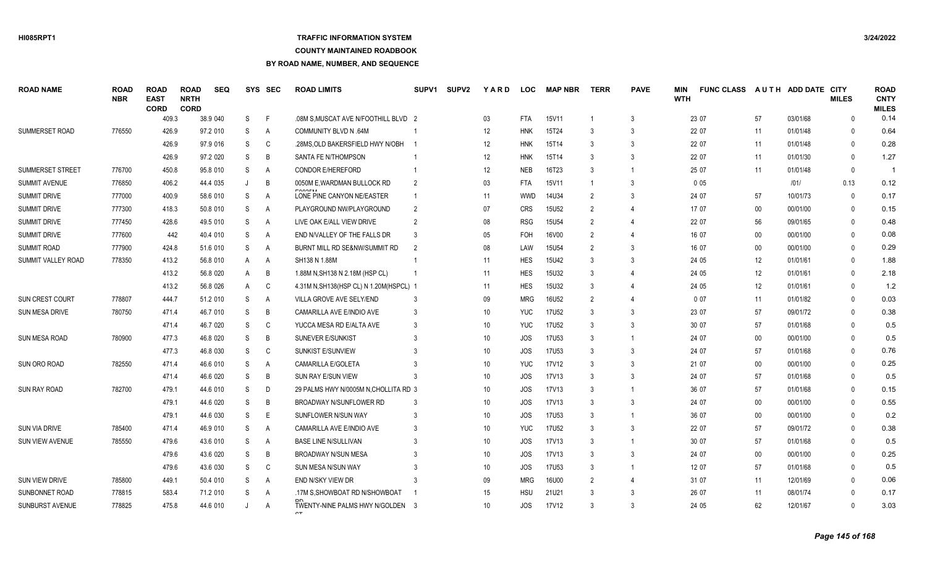## **TRAFFIC INFORMATION SYSTEM**

#### **COUNTY MAINTAINED ROADBOOK**

| <b>ROAD NAME</b>        | <b>ROAD</b><br><b>NBR</b> | <b>ROAD</b><br><b>EAST</b><br><b>CORD</b> | <b>ROAD</b><br><b>NRTH</b><br><b>CORD</b> | <b>SEQ</b> |         | SYS SEC | <b>ROAD LIMITS</b>                        | SUPV <sub>1</sub> | <b>SUPV2</b> | <b>YARD</b>     | <b>LOC</b> | <b>MAP NBR</b>    | <b>TERR</b>    | <b>PAVE</b>    | <b>MIN</b><br><b>WTH</b> | <b>FUNC CLASS</b> |        | AUTH ADD DATE CITY | <b>MILES</b> | <b>ROAD</b><br><b>CNTY</b><br><b>MILES</b> |
|-------------------------|---------------------------|-------------------------------------------|-------------------------------------------|------------|---------|---------|-------------------------------------------|-------------------|--------------|-----------------|------------|-------------------|----------------|----------------|--------------------------|-------------------|--------|--------------------|--------------|--------------------------------------------|
|                         |                           | 409.3                                     |                                           | 38.9 040   | S       | F       | .08M S.MUSCAT AVE N/FOOTHILL BLVD 2       |                   |              | 03              | FTA        | 15V11             |                | 3              |                          | 23 07             | 57     | 03/01/68           | $\Omega$     | 0.14                                       |
| <b>SUMMERSET ROAD</b>   | 776550                    | 426.9                                     |                                           | 97.2 010   | S       | A       | <b>COMMUNITY BLVD N .64M</b>              |                   |              | 12              | <b>HNK</b> | 15T24             | 3              | 3              |                          | 22 07             | 11     | 01/01/48           | $\Omega$     | 0.64                                       |
|                         |                           | 426.9                                     |                                           | 97.9 016   | S       | C       | .28MS, OLD BAKERSFIELD HWY N/OBH          |                   |              | 12              | <b>HNK</b> | 15T14             | 3              | 3              |                          | 22 07             | 11     | 01/01/48           | $\Omega$     | 0.28                                       |
|                         |                           | 426.9                                     |                                           | 97.2 020   | S       | B       | SANTA FE N/THOMPSON                       |                   |              | 12              | <b>HNK</b> | 15T14             | 3              | 3              |                          | 22 07             | 11     | 01/01/30           | $\Omega$     | 1.27                                       |
| <b>SUMMERSET STREET</b> | 776700                    | 450.8                                     |                                           | 95.8 010   | S       | A       | <b>CONDOR E/HEREFORD</b>                  |                   |              | 12              | <b>NEB</b> | 16T23             | 3              | $\overline{1}$ |                          | 25 07             | 11     | 01/01/48           | $\mathbf{0}$ | $\mathbf 1$                                |
| <b>SUMMIT AVENUE</b>    | 776850                    | 406.2                                     |                                           | 44.4 035   | $\cdot$ | B       | 0050M E.WARDMAN BULLOCK RD                | $\overline{2}$    |              | 03              | FTA        | 15V11             |                | 3              |                          | 0 0 5             |        | 1011               | 0.13         | 0.12                                       |
| <b>SUMMIT DRIVE</b>     | 777000                    | 400.9                                     |                                           | 58.6 010   | S       | A       | LONE PINE CANYON NE/EASTER                | -1                |              | 11              | <b>WWD</b> | 14U34             | $\overline{2}$ | 3              |                          | 24 07             | 57     | 10/01/73           | $\mathbf{0}$ | 0.17                                       |
| <b>SUMMIT DRIVE</b>     | 777300                    | 418.3                                     |                                           | 50.8 010   | S       | A       | PLAYGROUND NW/PLAYGROUND                  | 2                 |              | 07              | <b>CRS</b> | <b>15U52</b>      | $\mathcal{P}$  | 4              |                          | 17 07             | $00\,$ | 00/01/00           | $\Omega$     | 0.15                                       |
| <b>SUMMIT DRIVE</b>     | 777450                    | 428.6                                     |                                           | 49.5 010   | S       | A       | LIVE OAK E/ALL VIEW DRIVE                 | $\overline{2}$    |              | 08              | <b>RSG</b> | <b>15U54</b>      | $\mathcal{P}$  | $\overline{4}$ |                          | 22 07             | 56     | 09/01/65           | $\mathbf{0}$ | 0.48                                       |
| SUMMIT DRIVE            | 777600                    |                                           | 442                                       | 40.4 010   | S       | A       | END N/VALLEY OF THE FALLS DR              | 3                 |              | 05              | <b>FOH</b> | 16V00             | $\mathcal{P}$  | $\overline{4}$ |                          | 16 07             | $00\,$ | 00/01/00           | $\Omega$     | 0.08                                       |
| SUMMIT ROAD             | 777900                    | 424.8                                     |                                           | 51.6 010   | S       | A       | BURNT MILL RD SE&NW/SUMMIT RD             | 2                 |              | 08              | LAW        | 15U <sub>54</sub> | $\mathcal{P}$  | 3              |                          | 16 07             | $00\,$ | 00/01/00           | $\Omega$     | 0.29                                       |
| SUMMIT VALLEY ROAD      | 778350                    | 413.2                                     |                                           | 56.8 010   | A       | A       | SH138 N 1.88M                             |                   |              | 11              | <b>HES</b> | 15U42             | 3              | 3              |                          | 24 05             | 12     | 01/01/61           | $\Omega$     | 1.88                                       |
|                         |                           | 413.2                                     |                                           | 56.8 020   | A       | B       | 1.88M N, SH138 N 2.18M (HSP CL)           |                   |              | 11              | <b>HES</b> | 15U32             | 3              | 4              |                          | 24 05             | 12     | 01/01/61           | $\Omega$     | 2.18                                       |
|                         |                           | 413.2                                     |                                           | 56.8 026   | A       | C       | 4.31M N, SH138 (HSP CL) N 1.20M (HSPCL) 1 |                   |              | 11              | <b>HES</b> | 15U32             | 3              | $\overline{4}$ |                          | 24 05             | 12     | 01/01/61           | $\mathbf{0}$ | 1.2                                        |
| <b>SUN CREST COURT</b>  | 778807                    | 444.7                                     |                                           | 51.2 010   | S       | A       | VILLA GROVE AVE SELY/END                  | 3                 |              | 09              | <b>MRG</b> | 16U52             | $\mathcal{P}$  | 4              |                          | 007               | 11     | 01/01/82           | $\Omega$     | 0.03                                       |
| SUN MESA DRIVE          | 780750                    | 471.4                                     |                                           | 46.7 010   | S       | B       | CAMARILLA AVE E/INDIO AVE                 | 3                 |              | 10              | <b>YUC</b> | 17U52             | 3              | 3              |                          | 23 07             | 57     | 09/01/72           | $\Omega$     | 0.38                                       |
|                         |                           | 471.4                                     |                                           | 46.7 020   | S       | C       | YUCCA MESA RD E/ALTA AVE                  |                   |              | 10              | <b>YUC</b> | <b>17U52</b>      | 3              | 3              |                          | 30 07             | 57     | 01/01/68           | $\Omega$     | 0.5                                        |
| <b>SUN MESA ROAD</b>    | 780900                    | 477.3                                     |                                           | 46.8 020   | S       | B       | SUNEVER E/SUNKIST                         |                   |              | 10              | <b>JOS</b> | <b>17U53</b>      | 3              | $\overline{1}$ |                          | 24 07             | $00\,$ | 00/01/00           | $\Omega$     | 0.5                                        |
|                         |                           | 477.3                                     |                                           | 46.8 030   | S       | C       | SUNKIST E/SUNVIEW                         |                   |              | 10              | JOS        | 17U53             | 3              | 3              |                          | 24 07             | 57     | 01/01/68           | $\mathbf{0}$ | 0.76                                       |
| <b>SUN ORO ROAD</b>     | 782550                    | 471.4                                     |                                           | 46.6 010   | S       | A       | <b>CAMARILLA E/GOLETA</b>                 |                   |              | 10              | <b>YUC</b> | 17V12             |                | 3              |                          | 21 07             | $00\,$ | 00/01/00           | $\Omega$     | 0.25                                       |
|                         |                           | 471.4                                     |                                           | 46.6 020   | S       | B       | SUN RAY E/SUN VIEW                        |                   |              | 10              | JOS        | 17V13             | 3              | 3              |                          | 24 07             | 57     | 01/01/68           | $\mathbf{0}$ | 0.5                                        |
| <b>SUN RAY ROAD</b>     | 782700                    | 479.1                                     |                                           | 44.6 010   | S       | D       | 29 PALMS HWY N/0005M N, CHOLLITA RD 3     |                   |              | 10              | <b>JOS</b> | <b>17V13</b>      | 3              | $\overline{1}$ |                          | 36 07             | 57     | 01/01/68           | $\Omega$     | 0.15                                       |
|                         |                           | 479.1                                     |                                           | 44.6 020   | S       | B       | BROADWAY N/SUNFLOWER RD                   | -3                |              | 10              | <b>JOS</b> | 17V13             | 3              | 3              |                          | 24 07             | $00\,$ | 00/01/00           | $\Omega$     | 0.55                                       |
|                         |                           | 479.1                                     |                                           | 44.6 030   | S       | E       | SUNFLOWER N/SUN WAY                       | 3                 |              | 10              | JOS        | 17U53             | 3              | $\overline{1}$ |                          | 36 07             | $00\,$ | 00/01/00           | $\Omega$     | 0.2                                        |
| SUN VIA DRIVE           | 785400                    | 471.4                                     |                                           | 46.9 010   | S       | A       | CAMARILLA AVE E/INDIO AVE                 | 3                 |              | 10 <sup>°</sup> | <b>YUC</b> | 17U52             | 3              | 3              |                          | 22 07             | 57     | 09/01/72           | $\Omega$     | 0.38                                       |
| <b>SUN VIEW AVENUE</b>  | 785550                    | 479.6                                     |                                           | 43.6 010   | S       | A       | <b>BASE LINE N/SULLIVAN</b>               |                   |              | 10              | JOS        | 17V13             | 3              | $\overline{1}$ |                          | 30 07             | 57     | 01/01/68           | $\mathbf{0}$ | 0.5                                        |
|                         |                           | 479.6                                     |                                           | 43.6 020   | S       | B       | BROADWAY N/SUN MESA                       |                   |              | 10              | JOS        | 17V13             | 3              | 3              |                          | 24 07             | $00\,$ | 00/01/00           | $\Omega$     | 0.25                                       |
|                         |                           | 479.6                                     |                                           | 43.6 030   | S       | C       | <b>SUN MESA N/SUN WAY</b>                 |                   |              | 10              | JOS        | 17U53             | 3              | $\overline{1}$ |                          | 12 07             | 57     | 01/01/68           | $\Omega$     | 0.5                                        |
| SUN VIEW DRIVE          | 785800                    | 449.1                                     |                                           | 50.4 010   | S       | A       | END N/SKY VIEW DR                         |                   |              | 09              | <b>MRG</b> | 16U00             | $\overline{2}$ | $\overline{4}$ |                          | 31 07             | 11     | 12/01/69           | $\mathbf{0}$ | 0.06                                       |
| SUNBONNET ROAD          | 778815                    | 583.4                                     |                                           | 71.2 010   | S       | A       | .17M S.SHOWBOAT RD N/SHOWBOAT             |                   |              | 15              | <b>HSU</b> | 21U21             | 3              | 3              |                          | 26 07             | 11     | 08/01/74           | $\Omega$     | 0.17                                       |
| SUNBURST AVENUE         | 778825                    | 475.8                                     |                                           | 44.6 010   |         | A       | TWENTY-NINE PALMS HWY N/GOLDEN 3          |                   |              | 10              | JOS        | 17V12             | 3              | 3              |                          | 24 05             | 62     | 12/01/67           | $\mathsf{O}$ | 3.03                                       |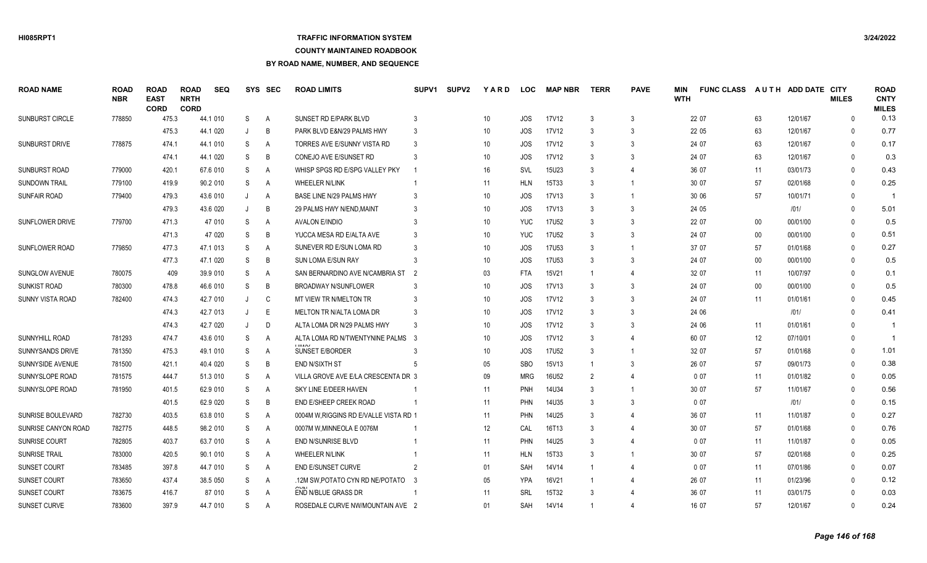## **TRAFFIC INFORMATION SYSTEM**

#### **COUNTY MAINTAINED ROADBOOK**

| <b>ROAD NAME</b>        | <b>ROAD</b><br><b>NBR</b> | <b>ROAD</b><br><b>EAST</b><br><b>CORD</b> | <b>ROAD</b><br><b>NRTH</b><br><b>CORD</b> | <b>SEQ</b> |    | SYS SEC        | <b>ROAD LIMITS</b>                     | SUPV <sub>1</sub> | <b>SUPV2</b> | YARD            | <b>LOC</b> | <b>MAP NBR</b> | <b>TERR</b>    | <b>PAVE</b>    | MIN<br><b>WTH</b> | <b>FUNC CLASS</b> |        | AUTH ADD DATE CITY | <b>MILES</b> | <b>ROAD</b><br><b>CNTY</b><br><b>MILES</b> |
|-------------------------|---------------------------|-------------------------------------------|-------------------------------------------|------------|----|----------------|----------------------------------------|-------------------|--------------|-----------------|------------|----------------|----------------|----------------|-------------------|-------------------|--------|--------------------|--------------|--------------------------------------------|
| <b>SUNBURST CIRCLE</b>  | 778850                    | 475.3                                     |                                           | 44.1 010   | S  | A              | <b>SUNSET RD E/PARK BLVD</b>           | 3                 |              | 10              | JOS        | 17V12          | 3              | 3              |                   | 22 07             | 63     | 12/01/67           | $\mathbf{0}$ | 0.13                                       |
|                         |                           | 475.3                                     |                                           | 44.1 020   | J  | B              | PARK BLVD E&N/29 PALMS HWY             | 3                 |              | 10 <sup>°</sup> | <b>JOS</b> | 17V12          | 3              | 3              |                   | 22 05             | 63     | 12/01/67           | $\Omega$     | 0.77                                       |
| SUNBURST DRIVE          | 778875                    | 474.1                                     |                                           | 44.1 010   | S  | A              | TORRES AVE E/SUNNY VISTA RD            | 3                 |              | 10              | JOS        | 17V12          | 3              | 3              |                   | 24 07             | 63     | 12/01/67           | $\Omega$     | 0.17                                       |
|                         |                           | 474.1                                     |                                           | 44.1 020   | S  | B              | CONEJO AVE E/SUNSET RD                 | 3                 |              | 10              | JOS        | 17V12          | 3              | 3              |                   | 24 07             | 63     | 12/01/67           | $\Omega$     | 0.3                                        |
| SUNBURST ROAD           | 779000                    | 420.1                                     |                                           | 67.6 010   | S  | A              | WHISP SPGS RD E/SPG VALLEY PKY         |                   |              | 16              | <b>SVL</b> | 15U23          | 3              | 4              |                   | 36 07             | 11     | 03/01/73           | $\Omega$     | 0.43                                       |
| <b>SUNDOWN TRAIL</b>    | 779100                    | 419.9                                     |                                           | 90.2 010   | S  | A              | <b>WHEELER N/LINK</b>                  |                   |              | 11              | <b>HLN</b> | 15T33          | 3              | $\mathbf{1}$   |                   | 30 07             | 57     | 02/01/68           | $\Omega$     | 0.25                                       |
| <b>SUNFAIR ROAD</b>     | 779400                    | 479.3                                     |                                           | 43.6 010   |    | $\overline{A}$ | BASE LINE N/29 PALMS HWY               | 3                 |              | 10              | <b>JOS</b> | 17V13          | 3              |                |                   | 30 06             | 57     | 10/01/71           | $\Omega$     |                                            |
|                         |                           | 479.3                                     |                                           | 43.6 020   | J  | B              | 29 PALMS HWY N/END, MAINT              | 3                 |              | 10              | <b>JOS</b> | <b>17V13</b>   | 3              | 3              |                   | 24 05             |        | 1011               | $\Omega$     | 5.01                                       |
| <b>SUNFLOWER DRIVE</b>  | 779700                    | 471.3                                     |                                           | 47 010     | S  | A              | <b>AVALON E/INDIO</b>                  | 3                 |              | 10 <sup>°</sup> | <b>YUC</b> | 17U52          | 3              | 3              |                   | 22 07             | $00\,$ | 00/01/00           | $\Omega$     | 0.5                                        |
|                         |                           | 471.3                                     |                                           | 47 020     | S  | B              | YUCCA MESA RD E/ALTA AVE               | 3                 |              | 10 <sup>°</sup> | <b>YUC</b> | 17U52          | 3              | 3              |                   | 24 07             | $00\,$ | 00/01/00           | $\Omega$     | 0.51                                       |
| SUNFLOWER ROAD          | 779850                    | 477.3                                     |                                           | 47.1 013   | S  | A              | SUNEVER RD E/SUN LOMA RD               | 3                 |              | 10 <sup>°</sup> | JOS        | 17U53          | 3              | 1              |                   | 37 07             | 57     | 01/01/68           | $\Omega$     | 0.27                                       |
|                         |                           | 477.3                                     |                                           | 47.1 020   | S  | B              | SUN LOMA E/SUN RAY                     | 3                 |              | 10              | <b>JOS</b> | <b>17U53</b>   | 3              | 3              |                   | 24 07             | $00\,$ | 00/01/00           | $\Omega$     | 0.5                                        |
| SUNGLOW AVENUE          | 780075                    | 409                                       |                                           | 39.9 010   | S  | $\overline{A}$ | SAN BERNARDINO AVE N/CAMBRIA ST 2      |                   |              | 03              | <b>FTA</b> | 15V21          | $\overline{1}$ | $\overline{4}$ |                   | 32 07             | 11     | 10/07/97           | $\Omega$     | 0.1                                        |
| SUNKIST ROAD            | 780300                    | 478.8                                     |                                           | 46.6 010   | S  | B              | <b>BROADWAY N/SUNFLOWER</b>            | 3                 |              | 10              | <b>JOS</b> | 17V13          | 3              | 3              |                   | 24 07             | $00\,$ | 00/01/00           | $\Omega$     | 0.5                                        |
| <b>SUNNY VISTA ROAD</b> | 782400                    | 474.3                                     |                                           | 42.7 010   |    | C              | MT VIEW TR N/MELTON TR                 | 3                 |              | 10              | <b>JOS</b> | 17V12          | 3              | 3              |                   | 24 07             | 11     | 01/01/61           | $\Omega$     | 0.45                                       |
|                         |                           | 474.3                                     |                                           | 42.7 013   |    | E              | MELTON TR N/ALTA LOMA DR               | 3                 |              | 10 <sup>°</sup> | <b>JOS</b> | <b>17V12</b>   | 3              | 3              |                   | 24 06             |        | 1011               | $\Omega$     | 0.41                                       |
|                         |                           | 474.3                                     |                                           | 42.7 020   | J  | D              | ALTA LOMA DR N/29 PALMS HWY            | 3                 |              | 10              | JOS        | 17V12          | 3              | 3              |                   | 24 06             | 11     | 01/01/61           | $\mathbf{0}$ | $\overline{1}$                             |
| SUNNYHILL ROAD          | 781293                    | 474.7                                     |                                           | 43.6 010   | S  | A              | ALTA LOMA RD N/TWENTYNINE PALMS 3      |                   |              | 10 <sup>°</sup> | <b>JOS</b> | <b>17V12</b>   | 3              | 4              |                   | 60 07             | 12     | 07/10/01           | $\Omega$     |                                            |
| SUNNYSANDS DRIVE        | 781350                    | 475.3                                     |                                           | 49.1 010   | S  | A              | SUNSET E/BORDER                        | 3                 |              | 10              | <b>JOS</b> | 17U52          | 3              | $\mathbf{1}$   |                   | 32 07             | 57     | 01/01/68           | $\mathbf{0}$ | 1.01                                       |
| SUNNYSIDE AVENUE        | 781500                    | 421.1                                     |                                           | 40.4 020   | S  | B              | <b>END N/SIXTH ST</b>                  | 5                 |              | 05              | <b>SBO</b> | 15V13          | -1             | 3              |                   | 26 07             | 57     | 09/01/73           | $\mathbf{0}$ | 0.38                                       |
| SUNNYSLOPE ROAD         | 781575                    | 444.7                                     |                                           | 51.3 010   | S  | $\overline{A}$ | VILLA GROVE AVE E/LA CRESCENTA DR 3    |                   |              | 09              | <b>MRG</b> | 16U52          | $\mathfrak{D}$ | 4              |                   | 007               | 11     | 01/01/82           | $\mathbf{0}$ | 0.05                                       |
| SUNNYSLOPE ROAD         | 781950                    | 401.5                                     |                                           | 62.9 010   | S  | A              | SKY LINE E/DEER HAVEN                  |                   |              | 11              | <b>PNH</b> | 14U34          | 3              | 1              |                   | 30 07             | 57     | 11/01/67           | $\Omega$     | 0.56                                       |
|                         |                           | 401.5                                     |                                           | 62.9 020   | S  | B              | END E/SHEEP CREEK ROAD                 |                   |              | 11              | <b>PHN</b> | 14U35          | 3              | 3              |                   | 007               |        | 1011               | $\mathbf{0}$ | 0.15                                       |
| SUNRISE BOULEVARD       | 782730                    | 403.5                                     |                                           | 63.8 010   | S  | A              | 0004M W, RIGGINS RD E/VALLE VISTA RD 1 |                   |              | 11              | <b>PHN</b> | 14U25          | 3              | 4              |                   | 36 07             | 11     | 11/01/87           | $\Omega$     | 0.27                                       |
| SUNRISE CANYON ROAD     | 782775                    | 448.5                                     |                                           | 98.2 010   | S  | $\overline{A}$ | 0007M W, MINNEOLA E 0076M              |                   |              | 12              | CAL        | 16T13          | 3              | 4              |                   | 30 07             | 57     | 01/01/68           | $\Omega$     | 0.76                                       |
| SUNRISE COURT           | 782805                    | 403.7                                     |                                           | 63.7 010   | S  | $\mathsf{A}$   | <b>END N/SUNRISE BLVD</b>              |                   |              | 11              | PHN        | 14U25          | 3              | 4              |                   | 007               | 11     | 11/01/87           | $\Omega$     | 0.05                                       |
| SUNRISE TRAIL           | 783000                    | 420.5                                     |                                           | 90.1 010   | S  | $\overline{A}$ | <b>WHEELER N/LINK</b>                  |                   |              | 11              | <b>HLN</b> | 15T33          | 3              |                |                   | 30 07             | 57     | 02/01/68           | $\Omega$     | 0.25                                       |
| <b>SUNSET COURT</b>     | 783485                    | 397.8                                     |                                           | 44.7 010   | S  | A              | <b>END E/SUNSET CURVE</b>              | $\mathcal{P}$     |              | 01              | <b>SAH</b> | 14V14          | -1             | $\Delta$       |                   | 007               | 11     | 07/01/86           | $\Omega$     | 0.07                                       |
| <b>SUNSET COURT</b>     | 783650                    | 437.4                                     |                                           | 38.5 050   | S  | $\overline{A}$ | 12M SW. POTATO CYN RD NE/POTATO 3      |                   |              | 05              | <b>YPA</b> | 16V21          | -1             | 4              |                   | 26 07             | 11     | 01/23/96           | $\Omega$     | 0.12                                       |
| <b>SUNSET COURT</b>     | 783675                    | 416.7                                     |                                           | 87 010     | S  | $\overline{A}$ | <b>END N/BLUE GRASS DR</b>             |                   |              | 11              | <b>SRL</b> | 15T32          | 3              |                |                   | 36 07             | 11     | 03/01/75           | $\Omega$     | 0.03                                       |
| SUNSET CURVE            | 783600                    | 397.9                                     |                                           | 44.7 010   | S. | A              | ROSEDALE CURVE NW/MOUNTAIN AVE 2       |                   |              | 01              | <b>SAH</b> | 14V14          |                | $\Delta$       |                   | 16 07             | 57     | 12/01/67           | $\Omega$     | 0.24                                       |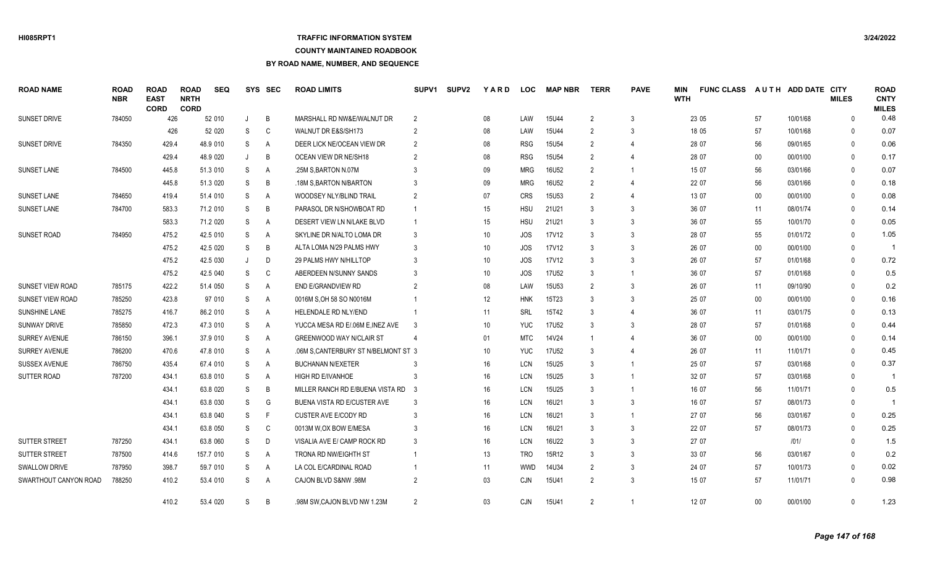## **TRAFFIC INFORMATION SYSTEM**

#### **COUNTY MAINTAINED ROADBOOK**

| <b>ROAD NAME</b>        | <b>ROAD</b><br><b>NBR</b> | <b>ROAD</b><br><b>EAST</b><br><b>CORD</b> | <b>ROAD</b><br><b>NRTH</b><br><b>CORD</b> | <b>SEQ</b> |   | SYS SEC | <b>ROAD LIMITS</b>                  | <b>SUPV1</b>   | <b>SUPV2</b> | YARD | <b>LOC</b> | <b>MAP NBR</b> | <b>TERR</b>    | <b>PAVE</b>    | MIN<br><b>WTH</b> | <b>FUNC CLASS</b> | <b>AUTH</b> | ADD DATE CITY | <b>MILES</b> | <b>ROAD</b><br><b>CNTY</b><br><b>MILES</b> |
|-------------------------|---------------------------|-------------------------------------------|-------------------------------------------|------------|---|---------|-------------------------------------|----------------|--------------|------|------------|----------------|----------------|----------------|-------------------|-------------------|-------------|---------------|--------------|--------------------------------------------|
| SUNSET DRIVE            | 784050                    | 426                                       |                                           | 52 010     | J | B       | MARSHALL RD NW&E/WALNUT DR          | $\overline{2}$ |              | 08   | LAW        | 15U44          | $\overline{2}$ | 3              |                   | 23 05             | 57          | 10/01/68      | 0            | 0.48                                       |
|                         |                           | 426                                       |                                           | 52 020     | S | C       | WALNUT DR E&S/SH173                 |                |              | 08   | LAW        | 15U44          |                | 3              |                   | 18 05             | 57          | 10/01/68      | $\Omega$     | 0.07                                       |
| <b>SUNSET DRIVE</b>     | 784350                    | 429.4                                     |                                           | 48.9 010   | S | A       | DEER LICK NE/OCEAN VIEW DR          | $\overline{2}$ |              | 08   | <b>RSG</b> | <b>15U54</b>   | $\overline{2}$ | 4              |                   | 28 07             | 56          | 09/01/65      | 0            | 0.06                                       |
|                         |                           | 429.4                                     |                                           | 48.9 020   | J | B       | OCEAN VIEW DR NE/SH18               |                |              | 08   | <b>RSG</b> | 15U54          | $\mathcal{P}$  | 4              |                   | 28 07             | 00          | 00/01/00      | $\mathbf{0}$ | 0.17                                       |
| SUNSET LANE             | 784500                    | 445.8                                     |                                           | 51.3 010   | S | A       | .25M S, BARTON N.07M                |                |              | 09   | <b>MRG</b> | 16U52          | $\overline{2}$ | $\overline{1}$ |                   | 15 07             | 56          | 03/01/66      | $\mathbf{0}$ | 0.07                                       |
|                         |                           | 445.8                                     |                                           | 51.3 020   | S | B       | .18M S.BARTON N/BARTON              |                |              | 09   | <b>MRG</b> | 16U52          | $\mathcal{P}$  | 4              |                   | 22 07             | 56          | 03/01/66      | $\Omega$     | 0.18                                       |
| SUNSET LANE             | 784650                    | 419.4                                     |                                           | 51.4 010   | S | A       | WOODSEY NLY/BLIND TRAIL             |                |              | 07   | <b>CRS</b> | 15U53          | $\mathcal{P}$  | 4              |                   | 13 07             | 00          | 00/01/00      | $\Omega$     | 0.08                                       |
| SUNSET LANE             | 784700                    | 583.3                                     |                                           | 71.2 010   | S | B       | PARASOL DR N/SHOWBOAT RD            |                |              | 15   | <b>HSU</b> | 21U21          | 3              | 3              |                   | 36 07             | 11          | 08/01/74      | 0            | 0.14                                       |
|                         |                           | 583.3                                     |                                           | 71.2 020   | S | A       | DESERT VIEW LN N/LAKE BLVD          |                |              | 15   | <b>HSU</b> | 21U21          |                | 3              |                   | 36 07             | 55          | 10/01/70      | 0            | 0.05                                       |
| SUNSET ROAD             | 784950                    | 475.2                                     |                                           | 42.5 010   | S | A       | SKYLINE DR N/ALTO LOMA DR           | 3              |              | 10   | <b>JOS</b> | 17V12          | 3              | 3              |                   | 28 07             | 55          | 01/01/72      | $\Omega$     | 1.05                                       |
|                         |                           | 475.2                                     |                                           | 42.5 020   | S | B       | ALTA LOMA N/29 PALMS HWY            |                |              | 10   | JOS        | 17V12          |                | 3              |                   | 26 07             | $00\,$      | 00/01/00      | $\Omega$     |                                            |
|                         |                           | 475.2                                     |                                           | 42.5 030   | J | D       | 29 PALMS HWY N/HILLTOP              |                |              | 10   | JOS        | 17V12          | 3              | 3              |                   | 26 07             | 57          | 01/01/68      | 0            | 0.72                                       |
|                         |                           | 475.2                                     |                                           | 42.5 040   | S | C       | ABERDEEN N/SUNNY SANDS              |                |              | 10   | JOS        | 17U52          | 3              | $\overline{1}$ |                   | 36 07             | 57          | 01/01/68      | $\Omega$     | 0.5                                        |
| <b>SUNSET VIEW ROAD</b> | 785175                    | 422.2                                     |                                           | 51.4 050   | S | A       | END E/GRANDVIEW RD                  |                |              | 08   | LAW        | 15U53          | $\mathcal{P}$  | 3              |                   | 26 07             | 11          | 09/10/90      | $\mathbf{0}$ | 0.2                                        |
| <b>SUNSET VIEW ROAD</b> | 785250                    | 423.8                                     |                                           | 97 010     | S | A       | 0016M S.OH 58 SO N0016M             |                |              | 12   | <b>HNK</b> | 15T23          | 3              | 3              |                   | 25 07             | $00\,$      | 00/01/00      | $\Omega$     | 0.16                                       |
| <b>SUNSHINE LANE</b>    | 785275                    | 416.7                                     |                                           | 86.2 010   | S | A       | HELENDALE RD NLY/END                |                |              | 11   | SRL        | 15T42          | 3              | 4              |                   | 36 07             | 11          | 03/01/75      | 0            | 0.13                                       |
| <b>SUNWAY DRIVE</b>     | 785850                    | 472.3                                     |                                           | 47.3 010   | S | A       | YUCCA MESA RD E/.06M E, INEZ AVE    | -3             |              | 10   | <b>YUC</b> | 17U52          |                | 3              |                   | 28 07             | 57          | 01/01/68      | 0            | 0.44                                       |
| SURREY AVENUE           | 786150                    | 396.1                                     |                                           | 37.9 010   | S | A       | <b>GREENWOOD WAY N/CLAIR ST</b>     |                |              | 01   | <b>MTC</b> | 14V24          |                | 4              |                   | 36 07             | $00\,$      | 00/01/00      | 0            | 0.14                                       |
| <b>SURREY AVENUE</b>    | 786200                    | 470.6                                     |                                           | 47.8 010   | S | A       | .06M S.CANTERBURY ST N/BELMONT ST 3 |                |              | 10   | <b>YUC</b> | 17U52          | 3              |                |                   | 26 07             | 11          | 11/01/71      | $\Omega$     | 0.45                                       |
| <b>SUSSEX AVENUE</b>    | 786750                    | 435.4                                     |                                           | 67.4 010   | S | A       | <b>BUCHANAN N/EXETER</b>            |                |              | 16   | <b>LCN</b> | 15U25          | 3              |                |                   | 25 07             | 57          | 03/01/68      | $\Omega$     | 0.37                                       |
| SUTTER ROAD             | 787200                    | 434.1                                     |                                           | 63.8 010   | S | A       | <b>HIGH RD E/IVANHOE</b>            |                |              | 16   | <b>LCN</b> | 15U25          |                | -1             |                   | 32 07             | 57          | 03/01/68      | 0            |                                            |
|                         |                           | 434.1                                     |                                           | 63.8 020   | S | B       | MILLER RANCH RD E/BUENA VISTA RD 3  |                |              | 16   | LCN        | 15U25          | 3              | $\overline{1}$ |                   | 16 07             | 56          | 11/01/71      | 0            | 0.5                                        |
|                         |                           | 434.1                                     |                                           | 63.8 030   | S | G       | BUENA VISTA RD E/CUSTER AVE         | -3             |              | 16   | <b>LCN</b> | 16U21          | 3              | 3              |                   | 16 07             | 57          | 08/01/73      | $\mathbf{0}$ |                                            |
|                         |                           | 434.1                                     |                                           | 63.8 040   | S | F       | CUSTER AVE E/CODY RD                |                |              | 16   | <b>LCN</b> | 16U21          |                | $\overline{1}$ |                   | 27 07             | 56          | 03/01/67      | $\Omega$     | 0.25                                       |
|                         |                           | 434.1                                     |                                           | 63.8 050   | S | C       | 0013M W,OX BOW E/MESA               |                |              | 16   | <b>LCN</b> | 16U21          | 3              | 3              |                   | 22 07             | 57          | 08/01/73      | 0            | 0.25                                       |
| <b>SUTTER STREET</b>    | 787250                    | 434.1                                     |                                           | 63.8 060   | S | D       | VISALIA AVE E/ CAMP ROCK RD         |                |              | 16   | <b>LCN</b> | 16U22          |                | 3              |                   | 27 07             |             | 1011          | 0            | 1.5                                        |
| SUTTER STREET           | 787500                    | 414.6                                     |                                           | 157.7 010  | S | A       | <b>TRONA RD NW/EIGHTH ST</b>        |                |              | 13   | <b>TRO</b> | 15R12          | 3              | 3              |                   | 33 07             | 56          | 03/01/67      | $\Omega$     | 0.2                                        |
| <b>SWALLOW DRIVE</b>    | 787950                    | 398.7                                     |                                           | 59.7 010   | S | A       | LA COL E/CARDINAL ROAD              |                |              | 11   | <b>WWD</b> | 14U34          |                | 3              |                   | 24 07             | 57          | 10/01/73      | $\mathbf{0}$ | 0.02                                       |
| SWARTHOUT CANYON ROAD   | 788250                    | 410.2                                     |                                           | 53.4 010   | S | A       | CAJON BLVD S&NW .98M                |                |              | 03   | CJN        | 15U41          | $\overline{2}$ | 3              |                   | 15 07             | 57          | 11/01/71      | $\mathbf{0}$ | 0.98                                       |
|                         |                           | 410.2                                     |                                           | 53.4 020   | S | B       | 98M SW, CAJON BLVD NW 1.23M         | $\mathcal{P}$  |              | 03   | <b>CJN</b> | 15U41          | 2              | -1             |                   | 12 07             | $00\,$      | 00/01/00      | $\Omega$     | 1.23                                       |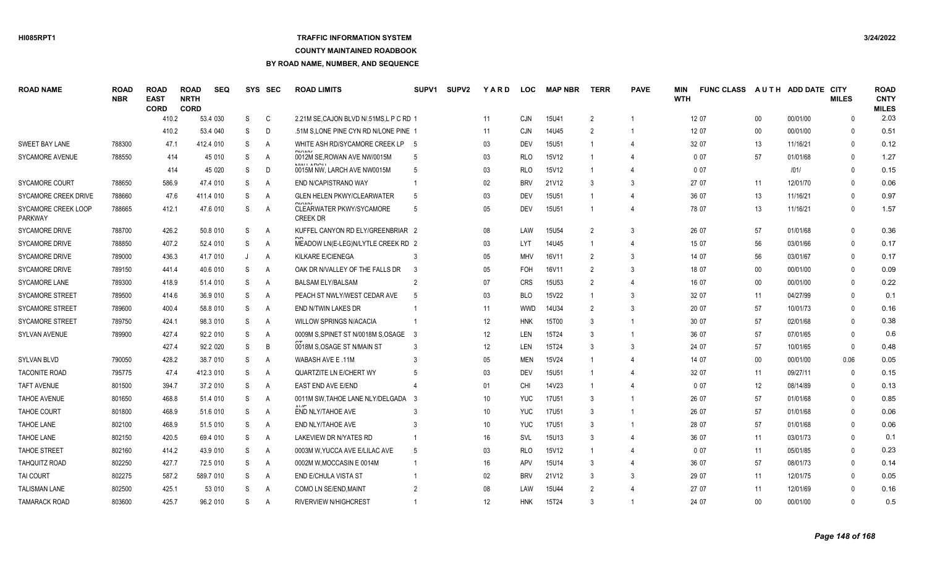### **TRAFFIC INFORMATION SYSTEM**

**COUNTY MAINTAINED ROADBOOK**

| <b>ROAD NAME</b>                      | <b>ROAD</b><br><b>NBR</b> | <b>ROAD</b><br><b>EAST</b><br><b>CORD</b> | <b>ROAD</b><br><b>NRTH</b><br><b>CORD</b> | <b>SEQ</b> |   | SYS SEC        | <b>ROAD LIMITS</b>                          | SUPV <sub>1</sub> | <b>SUPV2</b> | YARD            | <b>LOC</b> | <b>MAP NBR</b> | <b>TERR</b>    | <b>PAVE</b>   | MIN<br><b>WTH</b> | <b>FUNC CLASS</b> |        | AUTH ADD DATE CITY | <b>MILES</b> | <b>ROAD</b><br><b>CNTY</b><br><b>MILES</b> |
|---------------------------------------|---------------------------|-------------------------------------------|-------------------------------------------|------------|---|----------------|---------------------------------------------|-------------------|--------------|-----------------|------------|----------------|----------------|---------------|-------------------|-------------------|--------|--------------------|--------------|--------------------------------------------|
|                                       |                           | 410.2                                     |                                           | 53.4 030   | S | C              | 2.21M SE.CAJON BLVD N/.51MS.L P C RD 1      |                   |              | 11              | <b>CJN</b> | 15U41          | $\overline{2}$ |               |                   | 12 07             | $00\,$ | 00/01/00           | $\Omega$     | 2.03                                       |
|                                       |                           | 410.2                                     |                                           | 53.4 040   | S | D              | .51M S.LONE PINE CYN RD N/LONE PINE         |                   |              | 11              | <b>CJN</b> | 14U45          | $\overline{2}$ |               |                   | 12 07             | $00\,$ | 00/01/00           | $\Omega$     | 0.51                                       |
| <b>SWEET BAY LANE</b>                 | 788300                    | 47.1                                      |                                           | 412.4 010  | S | A              | WHITE ASH RD/SYCAMORE CREEK LP 5            |                   |              | 03              | <b>DEV</b> | 15U51          |                |               |                   | 32 07             | 13     | 11/16/21           | $\Omega$     | 0.12                                       |
| <b>SYCAMORE AVENUE</b>                | 788550                    |                                           | 414                                       | 45 010     | S | A              | DIAMA<br>0012M SE.ROWAN AVE NW/0015M        |                   |              | 03              | <b>RLO</b> | 15V12          |                |               |                   | 0 0 7             | 57     | 01/01/68           | $\Omega$     | 1.27                                       |
|                                       |                           |                                           | 414                                       | 45 020     | S | D              | 0015M NW, LARCH AVE NW0015M                 |                   |              | 03              | <b>RLO</b> | 15V12          |                |               |                   | 007               |        | 101/               | $\Omega$     | 0.15                                       |
| SYCAMORE COURT                        | 788650                    | 586.9                                     |                                           | 47.4 010   | S | $\overline{A}$ | END N/CAPISTRANO WAY                        |                   |              | 02              | <b>BRV</b> | 21V12          | 3              |               |                   | 27 07             | 11     | 12/01/70           | $\Omega$     | 0.06                                       |
| <b>SYCAMORE CREEK DRIVE</b>           | 788660                    | 47.6                                      |                                           | 411.4 010  | S | $\overline{A}$ | <b>GLEN HELEN PKWY/CLEARWATER</b>           |                   |              | 03              | <b>DEV</b> | 15U51          |                |               |                   | 36 07             | 13     | 11/16/21           | $\Omega$     | 0.97                                       |
| SYCAMORE CREEK LOOP<br><b>PARKWAY</b> | 788665                    | 412.1                                     |                                           | 47.6 010   | S | $\mathsf{A}$   | <b>CLEARWATER PKWY/SYCAMORE</b><br>CREEK DR | .5                |              | 05              | <b>DEV</b> | <b>15U51</b>   |                |               |                   | 78 07             | 13     | 11/16/21           | $\Omega$     | 1.57                                       |
| <b>SYCAMORE DRIVE</b>                 | 788700                    | 426.2                                     |                                           | 50.8 010   | S | $\mathsf{A}$   | KUFFEL CANYON RD ELY/GREENBRIAR 2           |                   |              | 08              | LAW        | <b>15U54</b>   | $\overline{2}$ | $\mathcal{R}$ |                   | 26 07             | 57     | 01/01/68           | $\Omega$     | 0.36                                       |
| SYCAMORE DRIVE                        | 788850                    | 407.2                                     |                                           | 52.4 010   | S | A              | MEADOW LN(E-LEG)N/LYTLE CREEK RD 2          |                   |              | 03              | <b>LYT</b> | 14U45          |                |               |                   | 15 07             | 56     | 03/01/66           | $\Omega$     | 0.17                                       |
| SYCAMORE DRIVE                        | 789000                    | 436.3                                     |                                           | 41.7 010   | J | A              | <b>KILKARE E/CIENEGA</b>                    |                   |              | 05              | <b>MHV</b> | 16V11          | $\overline{2}$ | 3             |                   | 14 07             | 56     | 03/01/67           | $\Omega$     | 0.17                                       |
| <b>SYCAMORE DRIVE</b>                 | 789150                    | 441.4                                     |                                           | 40.6 010   | S | A              | OAK DR N/VALLEY OF THE FALLS DR             |                   |              | 05              | <b>FOH</b> | 16V11          | $\mathfrak{p}$ |               |                   | 18 07             | $00\,$ | 00/01/00           | $\Omega$     | 0.09                                       |
| <b>SYCAMORE LANE</b>                  | 789300                    | 418.9                                     |                                           | 51.4 010   | S | A              | <b>BALSAM ELY/BALSAM</b>                    |                   |              | 07              | <b>CRS</b> | 15U53          | $\overline{2}$ |               |                   | 16 07             | $00\,$ | 00/01/00           | $\Omega$     | 0.22                                       |
| <b>SYCAMORE STREET</b>                | 789500                    | 414.6                                     |                                           | 36.9 010   | S | A              | PEACH ST NWLY/WEST CEDAR AVE                |                   |              | 03              | <b>BLO</b> | 15V22          |                | 3             |                   | 32 07             | 11     | 04/27/99           | $\Omega$     | 0.1                                        |
| <b>SYCAMORE STREET</b>                | 789600                    | 400.4                                     |                                           | 58.8 010   | S | $\overline{A}$ | END N/TWIN LAKES DR                         |                   |              | 11              | <b>WWD</b> | 14U34          | $\mathfrak{p}$ |               |                   | 20 07             | 57     | 10/01/73           | $\Omega$     | 0.16                                       |
| <b>SYCAMORE STREET</b>                | 789750                    | 424.1                                     |                                           | 98.3 010   | S | $\mathsf{A}$   | <b>WILLOW SPRINGS N/ACACIA</b>              |                   |              | 12              | <b>HNK</b> | 15T00          | 3              |               |                   | 30 07             | 57     | 02/01/68           | $\Omega$     | 0.38                                       |
| SYLVAN AVENUE                         | 789900                    | 427.4                                     |                                           | 92.2 010   | S | A              | 0009M S, SPINET ST N/0018M S, OSAGE 3       |                   |              | 12              | <b>LEN</b> | 15T24          | 3              | -1            |                   | 36 07             | 57     | 07/01/65           | $\Omega$     | 0.6                                        |
|                                       |                           | 427.4                                     |                                           | 92.2 020   | S | B              | 0018M S.OSAGE ST N/MAIN ST                  |                   |              | 12              | <b>LEN</b> | 15T24          | $\mathcal{R}$  | 3             |                   | 24 07             | 57     | 10/01/65           | $\Omega$     | 0.48                                       |
| <b>SYLVAN BLVD</b>                    | 790050                    | 428.2                                     |                                           | 38.7 010   | S | A              | WABASH AVE E.11M                            |                   |              | 05              | <b>MEN</b> | 15V24          |                |               |                   | 14 07             | $00\,$ | 00/01/00           | 0.06         | 0.05                                       |
| <b>TACONITE ROAD</b>                  | 795775                    | 47.4                                      |                                           | 412.3 010  | S | $\overline{A}$ | QUARTZITE LN E/CHERT WY                     |                   |              | 03              | <b>DEV</b> | 15U51          |                |               |                   | 32 07             | 11     | 09/27/11           | $\Omega$     | 0.15                                       |
| <b>TAFT AVENUE</b>                    | 801500                    | 394.7                                     |                                           | 37.2 010   | S | $\overline{A}$ | EAST END AVE E/END                          |                   |              | 01              | <b>CHI</b> | 14V23          |                |               |                   | 007               | 12     | 08/14/89           | $\cup$       | 0.13                                       |
| <b>TAHOE AVENUE</b>                   | 801650                    | 468.8                                     |                                           | 51.4 010   | S | A              | 0011M SW, TAHOE LANE NLY/DELGADA 3          |                   |              | 10              | <b>YUC</b> | <b>17U51</b>   | 3              |               |                   | 26 07             | 57     | 01/01/68           | $\cup$       | 0.85                                       |
| <b>TAHOE COURT</b>                    | 801800                    | 468.9                                     |                                           | 51.6 010   | S | A              | END NLY/TAHOE AVE                           |                   |              | 10              | <b>YUC</b> | <b>17U51</b>   | 3              |               |                   | 26 07             | 57     | 01/01/68           | $\Omega$     | 0.06                                       |
| <b>TAHOE LANE</b>                     | 802100                    | 468.9                                     |                                           | 51.5 010   | S | $\mathsf{A}$   | <b>END NLY/TAHOE AVE</b>                    |                   |              | 10 <sup>°</sup> | <b>YUC</b> | <b>17U51</b>   | 3              |               |                   | 28 07             | 57     | 01/01/68           | $\Omega$     | 0.06                                       |
| <b>TAHOE LANE</b>                     | 802150                    | 420.5                                     |                                           | 69.4 010   | S | $\overline{A}$ | LAKEVIEW DR N/YATES RD                      |                   |              | 16              | <b>SVL</b> | 15U13          | 3              |               |                   | 36 07             | 11     | 03/01/73           |              | 0.1                                        |
| <b>TAHOE STREET</b>                   | 802160                    | 414.2                                     |                                           | 43.9 010   | S | A              | 0003M W, YUCCA AVE E/LILAC AVE              |                   |              | 03              | <b>RLO</b> | 15V12          |                |               |                   | 007               | 11     | 05/01/85           | $\Omega$     | 0.23                                       |
| TAHQUITZ ROAD                         | 802250                    | 427.7                                     |                                           | 72.5 010   | S | A              | 0002M W, MOCCASIN E 0014M                   |                   |              | 16              | APV        | 15U14          | 3              |               |                   | 36 07             | 57     | 08/01/73           | $\Omega$     | 0.14                                       |
| <b>TAI COURT</b>                      | 802275                    | 587.2                                     |                                           | 589.7 010  | S | A              | <b>END E/CHULA VISTA ST</b>                 |                   |              | 02              | <b>BRV</b> | 21V12          | $\mathcal{R}$  | 3             |                   | 29 07             | 11     | 12/01/75           | $\Omega$     | 0.05                                       |
| <b>TALISMAN LANE</b>                  | 802500                    | 425.1                                     |                                           | 53 010     | S | $\overline{A}$ | COMO LN SE/END, MAINT                       |                   |              | 08              | LAW        | 15U44          | $\mathcal{P}$  |               |                   | 27 07             | 11     | 12/01/69           | $\Omega$     | 0.16                                       |
| <b>TAMARACK ROAD</b>                  | 803600                    | 425.7                                     |                                           | 96.2 010   | S | $\overline{A}$ | <b>RIVERVIEW N/HIGHCREST</b>                |                   |              | 12              | <b>HNK</b> | 15T24          | 3              |               |                   | 24 07             | $00\,$ | 00/01/00           | $\Omega$     | 0.5                                        |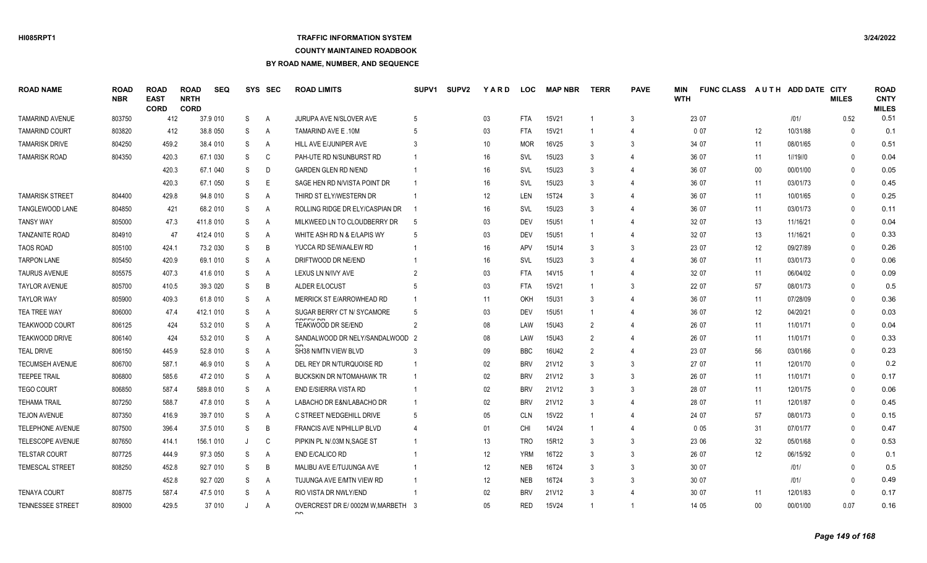# **TRAFFIC INFORMATION SYSTEM**

#### **COUNTY MAINTAINED ROADBOOK**

| <b>ROAD NAME</b>        | <b>ROAD</b><br><b>NBR</b> | <b>ROAD</b><br><b>EAST</b><br><b>CORD</b> | <b>ROAD</b><br><b>NRTH</b><br><b>CORD</b> | <b>SEQ</b> |   | SYS SEC      | <b>ROAD LIMITS</b>                   | SUPV <sub>1</sub> | <b>SUPV2</b> | YARD | <b>LOC</b> | <b>MAP NBR</b> | <b>TERR</b>    | <b>PAVE</b>    | MIN<br><b>WTH</b> | <b>FUNC CLASS</b> |        | AUTH ADD DATE CITY | <b>MILES</b> | <b>ROAD</b><br><b>CNTY</b><br><b>MILES</b> |
|-------------------------|---------------------------|-------------------------------------------|-------------------------------------------|------------|---|--------------|--------------------------------------|-------------------|--------------|------|------------|----------------|----------------|----------------|-------------------|-------------------|--------|--------------------|--------------|--------------------------------------------|
| <b>TAMARIND AVENUE</b>  | 803750                    | 412                                       |                                           | 37.9 010   | S | Α            | JURUPA AVE N/SLOVER AVE              | 5                 |              | 03   | <b>FTA</b> | 15V21          |                | 3              |                   | 23 07             |        | 1011               | 0.52         | 0.51                                       |
| <b>TAMARIND COURT</b>   | 803820                    | 412                                       |                                           | 38.8 050   | S | A            | TAMARIND AVE E.10M                   |                   |              | 03   | <b>FTA</b> | 15V21          |                |                |                   | 0 0 7             | 12     | 10/31/88           | $\Omega$     | 0.1                                        |
| <b>TAMARISK DRIVE</b>   | 804250                    | 459.2                                     |                                           | 38.4 010   | S | A            | HILL AVE E/JUNIPER AVE               |                   |              | 10   | <b>MOR</b> | 16V25          | 3              | 3              |                   | 34 07             | 11     | 08/01/65           | $\Omega$     | 0.51                                       |
| <b>TAMARISK ROAD</b>    | 804350                    | 420.3                                     |                                           | 67.1 030   | S | $\mathsf{C}$ | PAH-UTE RD N/SUNBURST RD             |                   |              | 16   | <b>SVL</b> | 15U23          | $\mathcal{R}$  |                |                   | 36 07             | 11     | 1//19//0           | $\Omega$     | 0.04                                       |
|                         |                           | 420.3                                     |                                           | 67.1 040   | S | D            | <b>GARDEN GLEN RD N/END</b>          |                   |              | 16   | <b>SVL</b> | <b>15U23</b>   | $\mathcal{R}$  |                |                   | 36 07             | 00     | 00/01/00           | $\Omega$     | 0.05                                       |
|                         |                           | 420.3                                     |                                           | 67.1 050   | S | E            | SAGE HEN RD N/VISTA POINT DR         |                   |              | 16   | SVL        | 15U23          | 3              |                |                   | 36 07             | 11     | 03/01/73           | $\Omega$     | 0.45                                       |
| <b>TAMARISK STREET</b>  | 804400                    | 429.8                                     |                                           | 94.8 010   | S | A            | THIRD ST ELY/WESTERN DR              |                   |              | 12   | <b>LEN</b> | 15T24          | $\mathcal{R}$  |                |                   | 36 07             | 11     | 10/01/65           | $\Omega$     | 0.25                                       |
| TANGLEWOOD LANE         | 804850                    | 421                                       |                                           | 68.2 010   | S | A            | ROLLING RIDGE DR ELY/CASPIAN DR      |                   |              | 16   | <b>SVL</b> | 15U23          | $\mathcal{R}$  |                |                   | 36 07             | 11     | 03/01/73           | $\Omega$     | 0.11                                       |
| <b>TANSY WAY</b>        | 805000                    | 47.3                                      |                                           | 411.8 010  | S | A            | MILKWEED LN TO CLOUDBERRY DR         |                   |              | 03   | <b>DEV</b> | <b>15U51</b>   |                |                |                   | 32 07             | 13     | 11/16/21           | $\Omega$     | 0.04                                       |
| TANZANITE ROAD          | 804910                    | 47                                        |                                           | 412.4 010  | S | A            | WHITE ASH RD N & E/LAPIS WY          |                   |              | 03   | <b>DEV</b> | <b>15U51</b>   |                |                |                   | 32 07             | 13     | 11/16/21           | $\Omega$     | 0.33                                       |
| <b>TAOS ROAD</b>        | 805100                    | 424.1                                     |                                           | 73.2 030   | S | B            | YUCCA RD SE/WAALEW RD                |                   |              | 16   | APV        | 15U14          | 3              | 3              |                   | 23 07             | 12     | 09/27/89           | $\Omega$     | 0.26                                       |
| <b>TARPON LANE</b>      | 805450                    | 420.9                                     |                                           | 69.1 010   | S | A            | DRIFTWOOD DR NE/END                  |                   |              | 16   | SVL        | 15U23          | 3              |                |                   | 36 07             | 11     | 03/01/73           | $\Omega$     | 0.06                                       |
| <b>TAURUS AVENUE</b>    | 805575                    | 407.3                                     |                                           | 41.6 010   | S | Α            | LEXUS LN N/IVY AVE                   |                   |              | 03   | <b>FTA</b> | 14V15          |                | 4              |                   | 32 07             | 11     | 06/04/02           | $\Omega$     | 0.09                                       |
| <b>TAYLOR AVENUE</b>    | 805700                    | 410.5                                     |                                           | 39.3 020   | S | B            | <b>ALDER E/LOCUST</b>                |                   |              | 03   | <b>FTA</b> | 15V21          |                | 3              |                   | 22 07             | 57     | 08/01/73           | $\Omega$     | 0.5                                        |
| <b>TAYLOR WAY</b>       | 805900                    | 409.3                                     |                                           | 61.8 010   | S | A            | MERRICK ST E/ARROWHEAD RD            |                   |              | 11   | OKH        | 15U31          | 3              |                |                   | 36 07             | 11     | 07/28/09           | $\Omega$     | 0.36                                       |
| TEA TREE WAY            | 806000                    | 47.4                                      |                                           | 412.1 010  | S | A            | SUGAR BERRY CT N/ SYCAMORE<br>OPTUDP |                   |              | 03   | <b>DEV</b> | <b>15U51</b>   |                |                |                   | 36 07             | 12     | 04/20/21           | $\Omega$     | 0.03                                       |
| <b>TEAKWOOD COURT</b>   | 806125                    | 424                                       |                                           | 53.2 010   | S | A            | <b>TEAKWOOD DR SE/END</b>            |                   |              | 08   | LAW        | 15U43          | $\overline{2}$ |                |                   | 26 07             | 11     | 11/01/71           | $\Omega$     | 0.04                                       |
| <b>TEAKWOOD DRIVE</b>   | 806140                    | 424                                       |                                           | 53.2 010   | S | A            | SANDALWOOD DR NELY/SANDALWOOD 2      |                   |              | 08   | LAW        | 15U43          | $\mathfrak{p}$ |                |                   | 26 07             | 11     | 11/01/71           | $\Omega$     | 0.33                                       |
| <b>TEAL DRIVE</b>       | 806150                    | 445.9                                     |                                           | 52.8 010   | S | A            | SH38 N/MTN VIEW BLVD                 |                   |              | 09   | <b>BBC</b> | 16U42          | $\overline{2}$ |                |                   | 23 07             | 56     | 03/01/66           | $\mathbf{0}$ | 0.23                                       |
| <b>TECUMSEH AVENUE</b>  | 806700                    | 587.1                                     |                                           | 46.9 010   | S | A            | DEL REY DR N/TURQUOISE RD            |                   |              | 02   | <b>BRV</b> | 21V12          | $\mathbf{3}$   | 3              |                   | 27 07             | 11     | 12/01/70           | $\Omega$     | 0.2                                        |
| <b>TEEPEE TRAIL</b>     | 806800                    | 585.6                                     |                                           | 47.2 010   | S | Α            | <b>BUCKSKIN DR N/TOMAHAWK TR</b>     |                   |              | 02   | <b>BRV</b> | 21V12          | $\mathcal{R}$  | 3              |                   | 26 07             | 11     | 11/01/71           | $\mathbf{0}$ | 0.17                                       |
| <b>TEGO COURT</b>       | 806850                    | 587.4                                     |                                           | 589.8 010  | S | A            | END E/SIERRA VISTA RD                |                   |              | 02   | <b>BRV</b> | 21V12          | $\mathcal{R}$  | 3              |                   | 28 07             | 11     | 12/01/75           | $\Omega$     | 0.06                                       |
| <b>TEHAMA TRAIL</b>     | 807250                    | 588.7                                     |                                           | 47.8 010   | S | Α            | LABACHO DR E&N/LABACHO DR            |                   |              | 02   | <b>BRV</b> | 21V12          | 3              |                |                   | 28 07             | 11     | 12/01/87           | $\mathbf{0}$ | 0.45                                       |
| <b>TEJON AVENUE</b>     | 807350                    | 416.9                                     |                                           | 39.7 010   | S | A            | C STREET N/EDGEHILL DRIVE            | .5                |              | 05   | <b>CLN</b> | 15V22          |                |                |                   | 24 07             | 57     | 08/01/73           | $\Omega$     | 0.15                                       |
| <b>TELEPHONE AVENUE</b> | 807500                    | 396.4                                     |                                           | 37.5 010   | S | B            | <b>FRANCIS AVE N/PHILLIP BLVD</b>    |                   |              | 01   | <b>CHI</b> | 14V24          |                |                |                   | 005               | 31     | 07/01/77           | $\mathbf{0}$ | 0.47                                       |
| <b>TELESCOPE AVENUE</b> | 807650                    | 414.1                                     |                                           | 156.1 010  | J | C            | PIPKIN PL N/.03M N.SAGE ST           |                   |              | 13   | <b>TRO</b> | 15R12          | 3              | 3              |                   | 23 06             | 32     | 05/01/68           | $\Omega$     | 0.53                                       |
| <b>TELSTAR COURT</b>    | 807725                    | 444.9                                     |                                           | 97.3 050   | S | A            | END E/CALICO RD                      |                   |              | 12   | <b>YRM</b> | 16T22          | 3              | 3              |                   | 26 07             | 12     | 06/15/92           | $\mathbf{0}$ | 0.1                                        |
| <b>TEMESCAL STREET</b>  | 808250                    | 452.8                                     |                                           | 92.7 010   | S | B            | MALIBU AVE E/TUJUNGA AVE             |                   |              | 12   | <b>NEB</b> | 16T24          | 3              | 3              |                   | 30 07             |        | 1011               | $\Omega$     | 0.5                                        |
|                         |                           | 452.8                                     |                                           | 92.7 020   | S | A            | TUJUNGA AVE E/MTN VIEW RD            |                   |              | 12   | <b>NEB</b> | 16T24          | 3              | 3              |                   | 30 07             |        | 1011               | $\mathbf{0}$ | 0.49                                       |
| <b>TENAYA COURT</b>     | 808775                    | 587.4                                     |                                           | 47.5 010   | S | Α            | RIO VISTA DR NWLY/END                |                   |              | 02   | <b>BRV</b> | 21V12          | 3              |                |                   | 30 07             | 11     | 12/01/83           | $\mathbf{0}$ | 0.17                                       |
| <b>TENNESSEE STREET</b> | 809000                    | 429.5                                     |                                           | 37 010     | J | A            | OVERCREST DR E/0002M W, MARBETH 3    |                   |              | 05   | <b>RED</b> | 15V24          |                | $\overline{1}$ |                   | 14 05             | $00\,$ | 00/01/00           | 0.07         | 0.16                                       |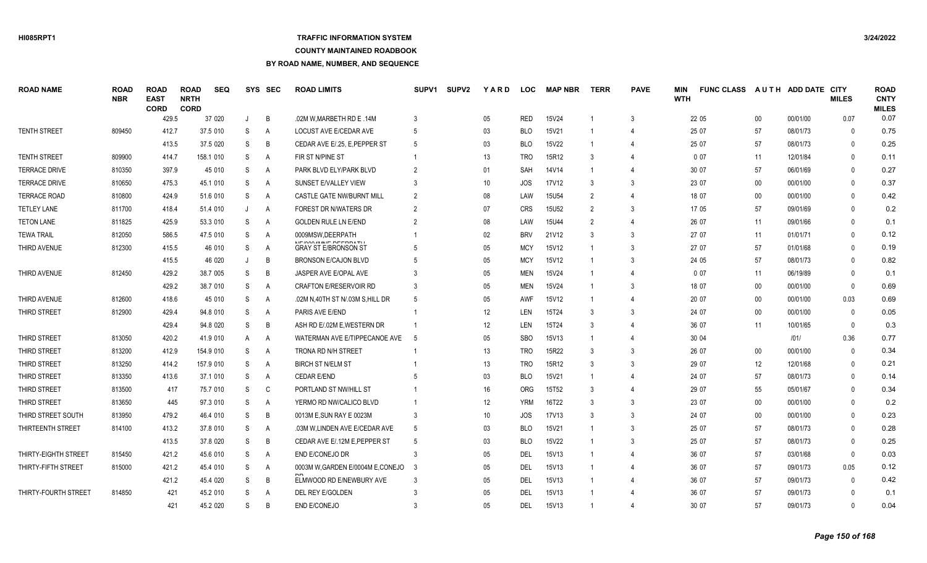## **TRAFFIC INFORMATION SYSTEM**

#### **COUNTY MAINTAINED ROADBOOK**

| <b>ROAD NAME</b>     | <b>ROAD</b><br><b>NBR</b> | <b>ROAD</b><br><b>EAST</b><br><b>CORD</b> | <b>ROAD</b><br><b>NRTH</b><br><b>CORD</b> | <b>SEQ</b> |              | SYS SEC | <b>ROAD LIMITS</b>                                           | SUPV <sub>1</sub> | <b>SUPV2</b> | YARD              | <b>LOC</b> | <b>MAP NBR</b> | <b>TERR</b>    | <b>PAVE</b>    | MIN<br><b>WTH</b> | <b>FUNC CLASS</b> |        | AUTH ADD DATE CITY | <b>MILES</b> | <b>ROAD</b><br><b>CNTY</b><br><b>MILES</b> |
|----------------------|---------------------------|-------------------------------------------|-------------------------------------------|------------|--------------|---------|--------------------------------------------------------------|-------------------|--------------|-------------------|------------|----------------|----------------|----------------|-------------------|-------------------|--------|--------------------|--------------|--------------------------------------------|
|                      |                           | 429.5                                     |                                           | 37 020     | $\mathsf{J}$ | B       | .02M W.MARBETH RD E .14M                                     |                   |              | $05\,$            | <b>RED</b> | 15V24          |                | 3              |                   | 22 05             | $00\,$ | 00/01/00           | 0.07         | 0.07                                       |
| <b>TENTH STREET</b>  | 809450                    | 412.7                                     |                                           | 37.5 010   | S            | A       | LOCUST AVE E/CEDAR AVE                                       |                   |              | 03                | <b>BLO</b> | 15V21          |                | 4              |                   | 25 07             | 57     | 08/01/73           | $\Omega$     | 0.75                                       |
|                      |                           | 413.5                                     |                                           | 37.5 020   | S            | B       | CEDAR AVE E/.25, E.PEPPER ST                                 |                   |              | 03                | <b>BLO</b> | 15V22          |                | 4              |                   | 25 07             | 57     | 08/01/73           | $\Omega$     | 0.25                                       |
| <b>TENTH STREET</b>  | 809900                    | 414.7                                     |                                           | 158.1 010  | S            | Α       | FIR ST N/PINE ST                                             |                   |              | 13                | <b>TRO</b> | 15R12          |                | 4              |                   | 007               | 11     | 12/01/84           | $\Omega$     | 0.11                                       |
| <b>TERRACE DRIVE</b> | 810350                    | 397.9                                     |                                           | 45 010     | S            | A       | PARK BLVD ELY/PARK BLVD                                      | 2                 |              | 01                | <b>SAH</b> | 14V14          |                | 4              |                   | 30 07             | 57     | 06/01/69           | $\Omega$     | 0.27                                       |
| <b>TERRACE DRIVE</b> | 810650                    | 475.3                                     |                                           | 45.1 010   | S            | Α       | SUNSET E/VALLEY VIEW                                         |                   |              | 10                | JOS.       | 17V12          | 3              | 3              |                   | 23 07             | $00\,$ | 00/01/00           | $\Omega$     | 0.37                                       |
| <b>TERRACE ROAD</b>  | 810800                    | 424.9                                     |                                           | 51.6 010   | S            | A       | CASTLE GATE NW/BURNT MILL                                    | $\mathcal{P}$     |              | 08                | LAW        | <b>15U54</b>   | $\mathcal{P}$  |                |                   | 18 07             | $00\,$ | 00/01/00           | $\Omega$     | 0.42                                       |
| <b>TETLEY LANE</b>   | 811700                    | 418.4                                     |                                           | 51.4 010   | J            | A       | <b>FOREST DR N/WATERS DR</b>                                 |                   |              | 07                | <b>CRS</b> | 15U52          |                | 3              |                   | 17 05             | 57     | 09/01/69           | $\Omega$     | 0.2                                        |
| <b>TETON LANE</b>    | 811825                    | 425.9                                     |                                           | 53.3 010   | S            | A       | <b>GOLDEN RULE LN E/END</b>                                  |                   |              | 08                | LAW        | 15U44          | $\overline{2}$ |                |                   | 26 07             | 11     | 09/01/66           | $\Omega$     | 0.1                                        |
| <b>TEWA TRAIL</b>    | 812050                    | 586.5                                     |                                           | 47.5 010   | S            | A       | 0009MSW, DEERPATH                                            |                   |              | 02 <sub>2</sub>   | <b>BRV</b> | 21V12          | $\mathcal{R}$  | 3              |                   | 27 07             | 11     | 01/01/71           | $\mathbf{0}$ | 0.12                                       |
| THIRD AVENUE         | 812300                    | 415.5                                     |                                           | 46 010     | S            | A       | <b>NIEIGOO HANIE BEEBDATU</b><br><b>GRAY ST E/BRONSON ST</b> |                   |              | 05                | <b>MCY</b> | 15V12          |                | 3              |                   | 27 07             | 57     | 01/01/68           | $\Omega$     | 0.19                                       |
|                      |                           | 415.5                                     |                                           | 46 020     | J            | B       | <b>BRONSON E/CAJON BLVD</b>                                  |                   |              | 05                | <b>MCY</b> | 15V12          |                | 3              |                   | 24 05             | 57     | 08/01/73           | $\Omega$     | 0.82                                       |
| THIRD AVENUE         | 812450                    | 429.2                                     |                                           | 38.7 005   | S            | B       | JASPER AVE E/OPAL AVE                                        |                   |              | 05                | <b>MEN</b> | 15V24          |                |                |                   | 007               | 11     | 06/19/89           | $\Omega$     | 0.1                                        |
|                      |                           | 429.2                                     |                                           | 38.7 010   | S            | A       | <b>CRAFTON E/RESERVOIR RD</b>                                |                   |              | 05                | <b>MEN</b> | 15V24          |                | 3              |                   | 18 07             | $00\,$ | 00/01/00           | $\mathbf{0}$ | 0.69                                       |
| THIRD AVENUE         | 812600                    | 418.6                                     |                                           | 45 010     | S            | A       | .02M N,40TH ST N/.03M S,HILL DR                              |                   |              | 05                | <b>AWF</b> | 15V12          |                | 4              |                   | 20 07             | $00\,$ | 00/01/00           | 0.03         | 0.69                                       |
| THIRD STREET         | 812900                    | 429.4                                     |                                           | 94.8 010   | S            | A       | PARIS AVE E/END                                              |                   |              | 12                | <b>LEN</b> | 15T24          | -3             | 3              |                   | 24 07             | $00\,$ | 00/01/00           | $\mathbf{0}$ | 0.05                                       |
|                      |                           | 429.4                                     |                                           | 94.8 020   | S            | B       | ASH RD E/.02M E, WESTERN DR                                  |                   |              | 12                | LEN        | 15T24          | 3              | $\overline{4}$ |                   | 36 07             | 11     | 10/01/65           | $\mathbf 0$  | 0.3                                        |
| THIRD STREET         | 813050                    | 420.2                                     |                                           | 41.9 010   | A            | Α       | WATERMAN AVE E/TIPPECANOE AVE                                | -5                |              | 05                | <b>SBO</b> | 15V13          |                | 4              |                   | 30 04             |        | 1011               | 0.36         | 0.77                                       |
| THIRD STREET         | 813200                    | 412.9                                     |                                           | 154.9 010  | S            | Α       | TRONA RD N/H STREET                                          |                   |              | 13                | <b>TRO</b> | 15R22          |                | 3              |                   | 26 07             | $00\,$ | 00/01/00           | $\mathbf{0}$ | 0.34                                       |
| THIRD STREET         | 813250                    | 414.2                                     |                                           | 157.9 010  | S            | Α       | <b>BIRCH ST N/ELM ST</b>                                     |                   |              | 13                | <b>TRO</b> | 15R12          |                | 3              |                   | 29 07             | 12     | 12/01/68           | $\mathbf{0}$ | 0.21                                       |
| THIRD STREET         | 813350                    | 413.6                                     |                                           | 37.1 010   | S            | A       | <b>CEDAR E/END</b>                                           |                   |              | 03                | <b>BLO</b> | 15V21          |                | 4              |                   | 24 07             | 57     | 08/01/73           | $\mathbf{0}$ | 0.14                                       |
| THIRD STREET         | 813500                    | 417                                       |                                           | 75.7 010   | S            | C       | PORTLAND ST NW/HILL ST                                       |                   |              | 16                | <b>ORG</b> | 15T52          |                |                |                   | 29 07             | 55     | 05/01/67           | $\Omega$     | 0.34                                       |
| THIRD STREET         | 813650                    | 445                                       |                                           | 97.3 010   | S            | A       | YERMO RD NW/CALICO BLVD                                      |                   |              | $12 \overline{ }$ | <b>YRM</b> | 16T22          | 3              | 3              |                   | 23 07             | $00\,$ | 00/01/00           | $\Omega$     | 0.2                                        |
| THIRD STREET SOUTH   | 813950                    | 479.2                                     |                                           | 46.4 010   | S            | B       | 0013M E, SUN RAY E 0023M                                     |                   |              | 10                | JOS.       | 17V13          | $\mathbf{3}$   | 3              |                   | 24 07             | $00\,$ | 00/01/00           | $\Omega$     | 0.23                                       |
| THIRTEENTH STREET    | 814100                    | 413.2                                     |                                           | 37.8 010   | S            | A       | .03M W, LINDEN AVE E/CEDAR AVE                               | -5                |              | 03                | <b>BLO</b> | 15V21          |                | 3              |                   | 25 07             | 57     | 08/01/73           | $\Omega$     | 0.28                                       |
|                      |                           | 413.5                                     |                                           | 37.8 020   | S            | B       | CEDAR AVE E/.12M E, PEPPER ST                                |                   |              | 03                | <b>BLO</b> | <b>15V22</b>   |                | 3              |                   | 25 07             | 57     | 08/01/73           | $\Omega$     | 0.25                                       |
| THIRTY-EIGHTH STREET | 815450                    | 421.2                                     |                                           | 45.6 010   | S            | A       | END E/CONEJO DR                                              | -3                |              | $05\,$            | <b>DEL</b> | 15V13          |                | 4              |                   | 36 07             | 57     | 03/01/68           | $\Omega$     | 0.03                                       |
| THIRTY-FIFTH STREET  | 815000                    | 421.2                                     |                                           | 45.4 010   | S            | A       | 0003M W.GARDEN E/0004M E.CONEJO                              | -3                |              | 05                | DEL        | 15V13          |                |                |                   | 36 07             | 57     | 09/01/73           | 0.05         | 0.12                                       |
|                      |                           | 421.2                                     |                                           | 45.4 020   | S            | B       | ELMWOOD RD E/NEWBURY AVE                                     |                   |              | 05                | DEL        | 15V13          |                |                |                   | 36 07             | 57     | 09/01/73           | $\Omega$     | 0.42                                       |
| THIRTY-FOURTH STREET | 814850                    | 421                                       |                                           | 45.2 010   | S            | A       | DEL REY E/GOLDEN                                             |                   |              | 05                | DEL        | 15V13          |                |                |                   | 36 07             | 57     | 09/01/73           | $\Omega$     | 0.1                                        |
|                      |                           | 421                                       |                                           | 45.2 020   | S.           | B.      | <b>END E/CONEJO</b>                                          |                   |              | 05                | <b>DEL</b> | 15V13          |                | Δ              |                   | 30 07             | 57     | 09/01/73           | $\Omega$     | 0.04                                       |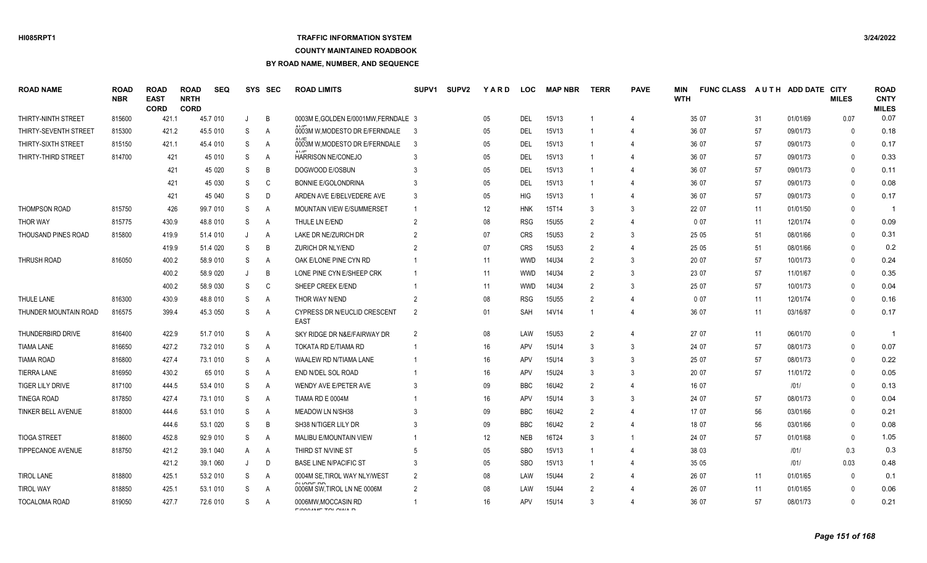# **TRAFFIC INFORMATION SYSTEM**

#### **COUNTY MAINTAINED ROADBOOK**

| <b>ROAD NAME</b>             | <b>ROAD</b><br><b>NBR</b> | <b>ROAD</b><br><b>EAST</b><br><b>CORD</b> | <b>ROAD</b><br><b>NRTH</b><br><b>CORD</b> | <b>SEQ</b> | <b>SYS</b> | <b>SEC</b>     | <b>ROAD LIMITS</b>                              | SUPV <sub>1</sub> | <b>SUPV2</b> | YARD   | <b>LOC</b> | <b>MAP NBR</b> | <b>TERR</b>    | <b>PAVE</b>    | MIN<br><b>WTH</b> | <b>FUNC CLASS</b> |    | AUTH ADD DATE CITY | <b>MILES</b> | <b>ROAD</b><br><b>CNTY</b><br><b>MILES</b> |
|------------------------------|---------------------------|-------------------------------------------|-------------------------------------------|------------|------------|----------------|-------------------------------------------------|-------------------|--------------|--------|------------|----------------|----------------|----------------|-------------------|-------------------|----|--------------------|--------------|--------------------------------------------|
| THIRTY-NINTH STREET          | 815600                    | 421.1                                     |                                           | 45.7 010   |            | B              | 0003M E.GOLDEN E/0001MW.FERNDALE 3              |                   |              | 05     | DEL        | 15V13          |                | 4              |                   | 35 07             | 31 | 01/01/69           | 0.07         | 0.07                                       |
| <b>THIRTY-SEVENTH STREET</b> | 815300                    | 421.2                                     |                                           | 45.5 010   | S          | A              | <b>A 1 / F</b><br>0003M W.MODESTO DR E/FERNDALE | -3                |              | 05     | DEL        | 15V13          |                | 4              |                   | 36 07             | 57 | 09/01/73           | $\Omega$     | 0.18                                       |
| THIRTY-SIXTH STREET          | 815150                    | 421.1                                     |                                           | 45.4 010   | S          | A              | 0003M W, MODESTO DR E/FERNDALE                  | -3                |              | 05     | DEL        | 15V13          |                | 4              |                   | 36 07             | 57 | 09/01/73           | $\Omega$     | 0.17                                       |
| THIRTY-THIRD STREET          | 814700                    | 421                                       |                                           | 45 010     | S          | A              | HARRISON NE/CONEJO                              |                   |              | 05     | DEL        | 15V13          |                |                |                   | 36 07             | 57 | 09/01/73           | $\Omega$     | 0.33                                       |
|                              |                           |                                           | 421                                       | 45 020     | S          | B              | DOGWOOD E/OSBUN                                 |                   |              | 05     | DEL        | 15V13          |                | $\overline{4}$ |                   | 36 07             | 57 | 09/01/73           | $\Omega$     | 0.11                                       |
|                              |                           |                                           | 421                                       | 45 030     | S          | C              | BONNIE E/GOLONDRINA                             |                   |              | 05     | DEL        | 15V13          |                | 4              |                   | 36 07             | 57 | 09/01/73           | $\Omega$     | 0.08                                       |
|                              |                           |                                           | 421                                       | 45 040     | S          | D              | ARDEN AVE E/BELVEDERE AVE                       | 3                 |              | 05     | HIG        | 15V13          |                | $\overline{4}$ |                   | 36 07             | 57 | 09/01/73           | $\Omega$     | 0.17                                       |
| THOMPSON ROAD                | 815750                    |                                           | 426                                       | 99.7 010   | S          | $\overline{A}$ | MOUNTAIN VIEW E/SUMMERSET                       |                   |              | 12     | <b>HNK</b> | 15T14          | 3              | 3              |                   | 22 07             | 11 | 01/01/50           | $\mathbf{0}$ |                                            |
| THOR WAY                     | 815775                    | 430.9                                     |                                           | 48.8 010   | S          | A              | THULE LN E/END                                  | 2                 |              | 08     | <b>RSG</b> | <b>15U55</b>   | $\overline{2}$ | $\overline{4}$ |                   | 007               | 11 | 12/01/74           | $\Omega$     | 0.09                                       |
| THOUSAND PINES ROAD          | 815800                    | 419.9                                     |                                           | 51.4 010   |            | A              | LAKE DR NE/ZURICH DR                            |                   |              | 07     | <b>CRS</b> | 15U53          | $\mathcal{P}$  | 3              |                   | 25 05             | 51 | 08/01/66           | $\mathbf{0}$ | 0.31                                       |
|                              |                           | 419.9                                     |                                           | 51.4 020   | S          | B              | ZURICH DR NLY/END                               |                   |              | 07     | <b>CRS</b> | 15U53          | 2              | $\overline{4}$ |                   | 25 05             | 51 | 08/01/66           | $\Omega$     | 0.2                                        |
| THRUSH ROAD                  | 816050                    | 400.2                                     |                                           | 58.9 010   | S          | A              | OAK E/LONE PINE CYN RD                          |                   |              | 11     | <b>WWD</b> | 14U34          | $\overline{2}$ | 3              |                   | 20 07             | 57 | 10/01/73           | $\mathbf{0}$ | 0.24                                       |
|                              |                           | 400.2                                     |                                           | 58.9 020   |            | B              | LONE PINE CYN E/SHEEP CRK                       |                   |              | 11     | <b>WWD</b> | 14U34          |                | 3              |                   | 23 07             | 57 | 11/01/67           | $\Omega$     | 0.35                                       |
|                              |                           | 400.2                                     |                                           | 58.9 030   | S          | C              | SHEEP CREEK E/END                               |                   |              | 11     | <b>WWD</b> | 14U34          | $\mathcal{P}$  | 3              |                   | 25 07             | 57 | 10/01/73           | $\Omega$     | 0.04                                       |
| THULE LANE                   | 816300                    | 430.9                                     |                                           | 48.8 010   | S          | $\overline{A}$ | THOR WAY N/END                                  |                   |              | $08\,$ | <b>RSG</b> | <b>15U55</b>   | $\overline{2}$ | 4              |                   | 007               | 11 | 12/01/74           | $\Omega$     | 0.16                                       |
| THUNDER MOUNTAIN ROAD        | 816575                    | 399.4                                     |                                           | 45.3 050   | S          | $\overline{A}$ | CYPRESS DR N/EUCLID CRESCENT<br><b>EAST</b>     | $\overline{2}$    |              | 01     | SAH        | 14V14          |                | $\overline{4}$ |                   | 36 07             | 11 | 03/16/87           | $\Omega$     | 0.17                                       |
| THUNDERBIRD DRIVE            | 816400                    | 422.9                                     |                                           | 51.7 010   | S          | A              | SKY RIDGE DR N&E/FAIRWAY DR                     | $\mathcal{P}$     |              | 08     | LAW        | <b>15U53</b>   | $\overline{2}$ | $\overline{4}$ |                   | 27 07             | 11 | 06/01/70           | $\mathbf{0}$ |                                            |
| <b>TIAMA LANE</b>            | 816650                    | 427.2                                     |                                           | 73.2 010   | S          | $\overline{A}$ | TOKATA RD E/TIAMA RD                            |                   |              | 16     | <b>APV</b> | 15U14          | 3              | 3              |                   | 24 07             | 57 | 08/01/73           | $\mathbf{0}$ | 0.07                                       |
| <b>TIAMA ROAD</b>            | 816800                    | 427.4                                     |                                           | 73.1 010   | S          | $\overline{A}$ | WAALEW RD N/TIAMA LANE                          |                   |              | 16     | APV        | 15U14          | 3              | 3              |                   | 25 07             | 57 | 08/01/73           | $\Omega$     | 0.22                                       |
| <b>TIERRA LANE</b>           | 816950                    | 430.2                                     |                                           | 65 010     | S          | Α              | END N/DEL SOL ROAD                              |                   |              | 16     | <b>APV</b> | 15U24          |                | 3              |                   | 20 07             | 57 | 11/01/72           | $\Omega$     | 0.05                                       |
| <b>TIGER LILY DRIVE</b>      | 817100                    | 444.5                                     |                                           | 53.4 010   | S          | A              | WENDY AVE E/PETER AVE                           |                   |              | 09     | <b>BBC</b> | 16U42          | $\overline{2}$ | $\overline{4}$ |                   | 16 07             |    | 1011               | $\Omega$     | 0.13                                       |
| <b>TINEGA ROAD</b>           | 817850                    | 427.4                                     |                                           | 73.1 010   | S          | $\overline{A}$ | TIAMA RD E 0004M                                |                   |              | 16     | APV        | 15U14          | 3              | 3              |                   | 24 07             | 57 | 08/01/73           | $\Omega$     | 0.04                                       |
| TINKER BELL AVENUE           | 818000                    | 444.6                                     |                                           | 53.1 010   | S          | $\overline{A}$ | <b>MEADOW LN N/SH38</b>                         |                   |              | 09     | <b>BBC</b> | 16U42          | $\mathcal{P}$  | 4              |                   | 17 07             | 56 | 03/01/66           | $\Omega$     | 0.21                                       |
|                              |                           | 444.6                                     |                                           | 53.1 020   | S          | B              | SH38 N/TIGER LILY DR                            |                   |              | 09     | <b>BBC</b> | 16U42          | $\overline{2}$ | $\overline{4}$ |                   | 18 07             | 56 | 03/01/66           | $\Omega$     | 0.08                                       |
| <b>TIOGA STREET</b>          | 818600                    | 452.8                                     |                                           | 92.9 010   | S          | A              | MALIBU E/MOUNTAIN VIEW                          |                   |              | 12     | <b>NEB</b> | 16T24          | 3              | $\overline{1}$ |                   | 24 07             | 57 | 01/01/68           | $\mathbf{0}$ | 1.05                                       |
| TIPPECANOE AVENUE            | 818750                    | 421.2                                     |                                           | 39.1 040   | A          | A              | THIRD ST N/VINE ST                              |                   |              | 05     | <b>SBO</b> | 15V13          |                | 4              |                   | 38 03             |    | 1011               | 0.3          | 0.3                                        |
|                              |                           | 421.2                                     |                                           | 39.1 060   |            | D              | <b>BASE LINE N/PACIFIC ST</b>                   |                   |              | $05\,$ | <b>SBO</b> | 15V13          |                | $\overline{4}$ |                   | 35 05             |    | 1011               | 0.03         | 0.48                                       |
| <b>TIROL LANE</b>            | 818800                    | 425.1                                     |                                           | 53.2 010   | S          | A              | 0004M SE, TIROL WAY NLY/WEST                    | $\overline{2}$    |              | 08     | LAW        | 15U44          | $\overline{2}$ | 4              |                   | 26 07             | 11 | 01/01/65           | $\mathbf{0}$ | 0.1                                        |
| <b>TIROL WAY</b>             | 818850                    | 425.1                                     |                                           | 53.1 010   | S          | A              | QUQDEED<br>0006M SW, TIROL LN NE 0006M          |                   |              | 08     | LAW        | <b>15U44</b>   |                |                |                   | 26 07             | 11 | 01/01/65           | $\Omega$     | 0.06                                       |
| TOCALOMA ROAD                | 819050                    | 427.7                                     |                                           | 72.6 010   | S          | A              | 0006MW, MOCCASIN RD<br>FIOODING TOLORIA D       |                   |              | 16     | <b>APV</b> | 15U14          | 3              | 4              |                   | 36 07             | 57 | 08/01/73           | $\Omega$     | 0.21                                       |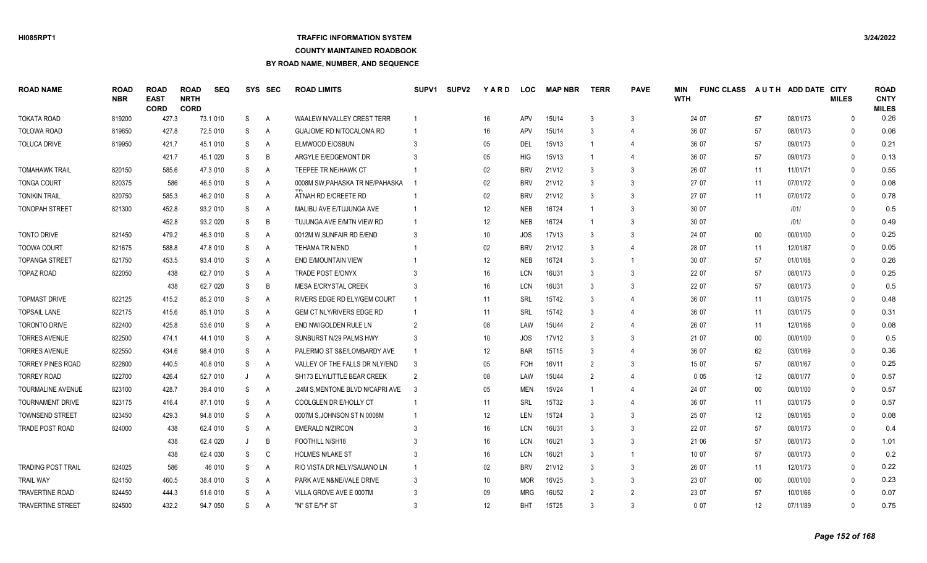# **TRAFFIC INFORMATION SYSTEM**

#### **COUNTY MAINTAINED ROADBOOK**

| <b>ROAD NAME</b>          | <b>ROAD</b><br><b>NBR</b> | <b>ROAD</b><br><b>EAST</b><br><b>CORD</b> | <b>ROAD</b><br><b>NRTH</b><br><b>CORD</b> | <b>SEQ</b> |         | SYS SEC        | <b>ROAD LIMITS</b>               | SUPV <sub>1</sub> | <b>SUPV2</b> | YARD            | LOC        | <b>MAP NBR</b> | <b>TERR</b>    | <b>PAVE</b>    | MIN<br><b>WTH</b> | <b>FUNC CLASS</b> |        | AUTH ADD DATE CITY | <b>MILES</b> | <b>ROAD</b><br><b>CNTY</b><br><b>MILES</b> |
|---------------------------|---------------------------|-------------------------------------------|-------------------------------------------|------------|---------|----------------|----------------------------------|-------------------|--------------|-----------------|------------|----------------|----------------|----------------|-------------------|-------------------|--------|--------------------|--------------|--------------------------------------------|
| <b>TOKATA ROAD</b>        | 819200                    | 427.3                                     |                                           | 73.1 010   | S       | $\overline{A}$ | WAALEW N/VALLEY CREST TERR       |                   |              | 16              | APV        | <b>15U14</b>   | 3              | 3              |                   | 24 07             | 57     | 08/01/73           | $\Omega$     | 0.26                                       |
| TOLOWA ROAD               | 819650                    | 427.8                                     |                                           | 72.5 010   | S       | A              | GUAJOME RD N/TOCALOMA RD         |                   |              | 16              | APV        | 15U14          | 3              | 4              |                   | 36 07             | 57     | 08/01/73           | $\Omega$     | 0.06                                       |
| TOLUCA DRIVE              | 819950                    | 421.7                                     |                                           | 45.1 010   | S       | A              | ELMWOOD E/OSBUN                  | 3                 |              | 05              | DEL        | 15V13          | $\overline{1}$ | $\overline{4}$ |                   | 36 07             | 57     | 09/01/73           | $\Omega$     | 0.21                                       |
|                           |                           | 421.7                                     |                                           | 45.1 020   | S       | B              | ARGYLE E/EDGEMONT DR             | 3                 |              | 05              | <b>HIG</b> | 15V13          | -1             | $\overline{4}$ |                   | 36 07             | 57     | 09/01/73           | $\Omega$     | 0.13                                       |
| TOMAHAWK TRAIL            | 820150                    | 585.6                                     |                                           | 47.3 010   | S       | A              | TEEPEE TR NE/HAWK CT             |                   |              | 02              | <b>BRV</b> | 21V12          | 3              | 3              |                   | 26 07             | 11     | 11/01/71           | $\Omega$     | 0.55                                       |
| <b>TONGA COURT</b>        | 820375                    | 586                                       |                                           | 46.5 010   | S       | $\overline{A}$ | 0008M SW, PAHASKA TR NE/PAHASKA  |                   |              | 02              | <b>BRV</b> | 21V12          | 3              | 3              |                   | 27 07             | 11     | 07/01/72           | $\Omega$     | 0.08                                       |
| TONIKIN TRAIL             | 820750                    | 585.3                                     |                                           | 46.2 010   | S       | $\overline{A}$ | ATNAH RD E/CREETE RD             |                   |              | 02              | <b>BRV</b> | 21V12          | 3              | 3              |                   | 27 07             | 11     | 07/01/72           | $\Omega$     | 0.78                                       |
| TONOPAH STREET            | 821300                    | 452.8                                     |                                           | 93.2 010   | S       | A              | MALIBU AVE E/TUJUNGA AVE         |                   |              | 12              | NEB        | 16T24          | -1             | 3              |                   | 30 07             |        | 1011               | $\Omega$     | 0.5                                        |
|                           |                           | 452.8                                     |                                           | 93.2 020   | S       | B              | TUJUNGA AVE E/MTN VIEW RD        |                   |              | 12              | NEB        | 16T24          |                | 3              |                   | 30 07             |        | 1011               | $\Omega$     | 0.49                                       |
| <b>TONTO DRIVE</b>        | 821450                    | 479.2                                     |                                           | 46.3 010   | S       | $\overline{A}$ | 0012M W, SUNFAIR RD E/END        | 3                 |              | 10 <sup>°</sup> | JOS        | <b>17V13</b>   | 3              | 3              |                   | 24 07             | $00\,$ | 00/01/00           | $\mathbf{0}$ | 0.25                                       |
| <b>TOOWA COURT</b>        | 821675                    | 588.8                                     |                                           | 47.8 010   | S       | A              | TEHAMA TR N/END                  |                   |              | 02              | <b>BRV</b> | 21V12          | 3              | $\overline{4}$ |                   | 28 07             | 11     | 12/01/87           | $\Omega$     | 0.05                                       |
| <b>TOPANGA STREET</b>     | 821750                    | 453.5                                     |                                           | 93.4 010   | S       | $\overline{A}$ | END E/MOUNTAIN VIEW              |                   |              | 12              | <b>NEB</b> | 16T24          | 3              | $\overline{1}$ |                   | 30 07             | 57     | 01/01/68           | $\mathbf{0}$ | 0.26                                       |
| TOPAZ ROAD                | 822050                    | 438                                       |                                           | 62.7 010   | S       | A              | <b>TRADE POST E/ONYX</b>         | 3                 |              | 16              | LCN        | 16U31          | 3              | 3              |                   | 22 07             | 57     | 08/01/73           | $\Omega$     | 0.25                                       |
|                           |                           | 438                                       |                                           | 62.7 020   | S       | B              | MESA E/CRYSTAL CREEK             | 3                 |              | 16              | LCN        | 16U31          | 3              | 3              |                   | 22 07             | 57     | 08/01/73           | $\Omega$     | 0.5                                        |
| <b>TOPMAST DRIVE</b>      | 822125                    | 415.2                                     |                                           | 85.2 010   | S       | A              | RIVERS EDGE RD ELY/GEM COURT     |                   |              | 11              | SRL        | 15T42          | 3              | 4              |                   | 36 07             | 11     | 03/01/75           | $\Omega$     | 0.48                                       |
| <b>TOPSAIL LANE</b>       | 822175                    | 415.6                                     |                                           | 85.1 010   | S       | $\overline{A}$ | GEM CT NLY/RIVERS EDGE RD        |                   |              | 11              | SRL        | 15T42          | 3              | 4              |                   | 36 07             | 11     | 03/01/75           | $\Omega$     | 0.31                                       |
| <b>TORONTO DRIVE</b>      | 822400                    | 425.8                                     |                                           | 53.6 010   | S       | A              | END NW/GOLDEN RULE LN            | $\overline{2}$    |              | 08              | LAW        | 15U44          | 2              | 4              |                   | 26 07             | 11     | 12/01/68           | $\mathbf{0}$ | 0.08                                       |
| <b>TORRES AVENUE</b>      | 822500                    | 474.1                                     |                                           | 44.1 010   | S       | A              | SUNBURST N/29 PALMS HWY          | 3                 |              | 10 <sup>1</sup> | JOS        | 17V12          | 3              | 3              |                   | 21 07             | $00\,$ | 00/01/00           | $\Omega$     | 0.5                                        |
| <b>TORRES AVENUE</b>      | 822550                    | 434.6                                     |                                           | 98.4 010   | S       | A              | PALERMO ST S&E/LOMBARDY AVE      |                   |              | 12              | <b>BAR</b> | 15T15          | 3              | $\overline{4}$ |                   | 36 07             | 62     | 03/01/69           | $\mathbf{0}$ | 0.36                                       |
| <b>TORREY PINES ROAD</b>  | 822800                    | 440.5                                     |                                           | 40.8 010   | S       | A              | VALLEY OF THE FALLS DR NLY/END   | 3                 |              | 05              | <b>FOH</b> | 16V11          | 2              | 3              |                   | 15 07             | 57     | 08/01/67           | $\mathbf{0}$ | 0.25                                       |
| TORREY ROAD               | 822700                    | 426.4                                     |                                           | 52.7 010   | $\cdot$ | A              | SH173 ELY/LITTLE BEAR CREEK      | $\overline{2}$    |              | 08              | LAW        | 15U44          | $\mathfrak{D}$ | 4              |                   | 005               | 12     | 08/01/77           | $\mathbf{0}$ | 0.57                                       |
| <b>TOURMALINE AVENUE</b>  | 823100                    | 428.7                                     |                                           | 39.4 010   | S       | A              | .24M S, MENTONE BLVD N/CAPRI AVE | -3                |              | 05              | <b>MEN</b> | 15V24          | -1             | 4              |                   | 24 07             | $00\,$ | 00/01/00           | $\Omega$     | 0.57                                       |
| TOURNAMENT DRIVE          | 823175                    | 416.4                                     |                                           | 87.1 010   | S       | $\overline{A}$ | COOLGLEN DR E/HOLLY CT           |                   |              | 11              | SRL        | 15T32          | 3              | 4              |                   | 36 07             | 11     | 03/01/75           | $\mathbf{0}$ | 0.57                                       |
| <b>TOWNSEND STREET</b>    | 823450                    | 429.3                                     |                                           | 94.8 010   | S       | A              | 0007M S, JOHNSON ST N 0008M      |                   |              | 12              | LEN        | 15T24          | 3              | 3              |                   | 25 07             | 12     | 09/01/65           | $\Omega$     | 0.08                                       |
| TRADE POST ROAD           | 824000                    | 438                                       |                                           | 62.4 010   | S       | $\overline{A}$ | <b>EMERALD N/ZIRCON</b>          | 3                 |              | 16              | LCN        | 16U31          | 3              | 3              |                   | 22 07             | 57     | 08/01/73           | $\Omega$     | 0.4                                        |
|                           |                           | 438                                       |                                           | 62.4 020   | J       | B              | FOOTHILL N/SH18                  | 3                 |              | 16              | LCN        | 16U21          | 3              | 3              |                   | 21 06             | 57     | 08/01/73           | $\Omega$     | 1.01                                       |
|                           |                           | 438                                       |                                           | 62.4 030   | S       | C              | <b>HOLMES N/LAKE ST</b>          | 3                 |              | 16              | LCN        | 16U21          | 3              | $\mathbf{1}$   |                   | 10 07             | 57     | 08/01/73           | $\Omega$     | 0.2                                        |
| <b>TRADING POST TRAIL</b> | 824025                    | 586                                       |                                           | 46 010     | S       | $\overline{A}$ | RIO VISTA DR NELY/SAUANO LN      |                   |              | 02              | <b>BRV</b> | 21V12          | 3              | 3              |                   | 26 07             | 11     | 12/01/73           | $\Omega$     | 0.22                                       |
| <b>TRAIL WAY</b>          | 824150                    | 460.5                                     |                                           | 38.4 010   | S       | $\overline{A}$ | PARK AVE N&NE/VALE DRIVE         | 3                 |              | 10              | <b>MOR</b> | 16V25          | $\mathcal{R}$  | 3              |                   | 23 07             | $00\,$ | 00/01/00           | $\Omega$     | 0.23                                       |
| TRAVERTINE ROAD           | 824450                    | 444.3                                     |                                           | 51.6 010   | S       | $\overline{A}$ | VILLA GROVE AVE E 0007M          | 3                 |              | 09              | <b>MRG</b> | 16U52          | $\mathfrak{D}$ | $\overline{2}$ |                   | 23 07             | 57     | 10/01/66           | $\Omega$     | 0.07                                       |
| <b>TRAVERTINE STREET</b>  | 824500                    | 432.2                                     |                                           | 94.7 050   | S.      | A              | "N" ST E/"H" ST                  |                   |              | 12              | <b>BHT</b> | 15T25          | $\mathcal{R}$  | 3              |                   | 0.07              | 12     | 07/11/89           | $\Omega$     | 0.75                                       |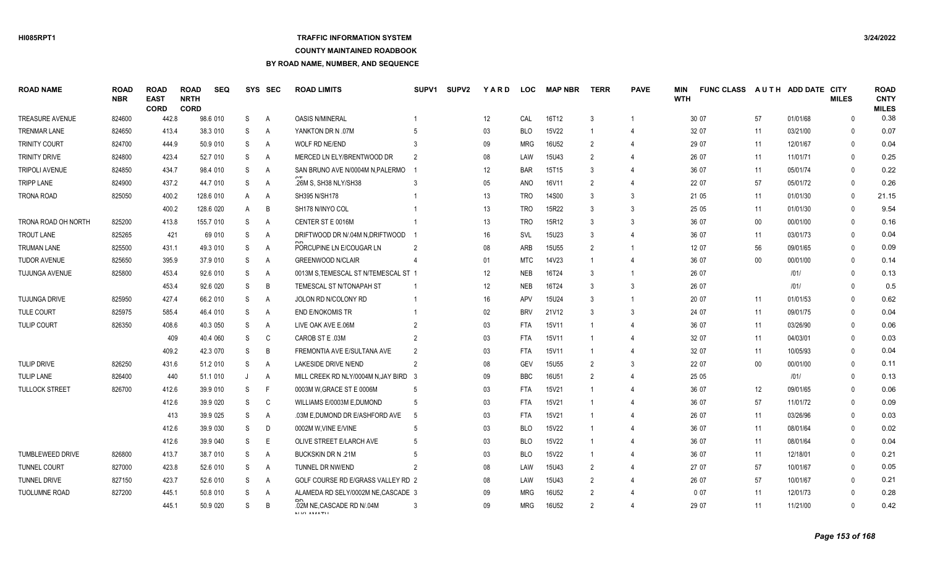## **TRAFFIC INFORMATION SYSTEM**

#### **COUNTY MAINTAINED ROADBOOK**

| <b>ROAD NAME</b>        | <b>ROAD</b><br><b>NBR</b> | <b>ROAD</b><br><b>EAST</b><br><b>CORD</b> | <b>ROAD</b><br><b>NRTH</b><br><b>CORD</b> | <b>SEQ</b> |   | SYS SEC        | <b>ROAD LIMITS</b>                                 | SUPV1          | <b>SUPV2</b> | YARD | <b>LOC</b> | <b>MAP NBR</b> | <b>TERR</b>    | <b>PAVE</b>    | <b>MIN</b><br><b>WTH</b> | <b>FUNC CLASS</b> |        | AUTH ADD DATE CITY | <b>MILES</b> | <b>ROAD</b><br><b>CNTY</b><br><b>MILES</b> |
|-------------------------|---------------------------|-------------------------------------------|-------------------------------------------|------------|---|----------------|----------------------------------------------------|----------------|--------------|------|------------|----------------|----------------|----------------|--------------------------|-------------------|--------|--------------------|--------------|--------------------------------------------|
| <b>TREASURE AVENUE</b>  | 824600                    | 442.8                                     |                                           | 98.6 010   | S | $\mathsf{A}$   | <b>OASIS N/MINERAL</b>                             |                |              | 12   | CAL        | 16T12          | 3              |                |                          | 30 07             | 57     | 01/01/68           | $\mathbf{0}$ | 0.38                                       |
| <b>TRENMAR LANE</b>     | 824650                    | 413.4                                     |                                           | 38.3 010   | S | A              | YANKTON DR N .07M                                  |                |              | 03   | <b>BLO</b> | <b>15V22</b>   |                | $\Delta$       |                          | 32 07             | 11     | 03/21/00           | $\Omega$     | 0.07                                       |
| <b>TRINITY COURT</b>    | 824700                    | 444.9                                     |                                           | 50.9 010   | S | A              | <b>WOLF RD NE/END</b>                              |                |              | 09   | <b>MRG</b> | 16U52          | $\overline{2}$ | $\overline{4}$ |                          | 29 07             | 11     | 12/01/67           | $\mathbf{0}$ | 0.04                                       |
| TRINITY DRIVE           | 824800                    | 423.4                                     |                                           | 52.7 010   | S | A              | MERCED LN ELY/BRENTWOOD DR                         |                |              | 08   | LAW        | 15U43          | $\mathcal{P}$  | $\overline{4}$ |                          | 26 07             | 11     | 11/01/71           | $\Omega$     | 0.25                                       |
| TRIPOLI AVENUE          | 824850                    | 434.7                                     |                                           | 98.4 010   | S | A              | SAN BRUNO AVE N/0004M N, PALERMO                   |                |              | 12   | <b>BAR</b> | 15T15          | 3              | $\overline{4}$ |                          | 36 07             | 11     | 05/01/74           | $\mathbf{0}$ | 0.22                                       |
| <b>TRIPP LANE</b>       | 824900                    | 437.2                                     |                                           | 44.7 010   | S | A              | .26M S. SH38 NLY/SH38                              |                |              | 05   | <b>ANO</b> | 16V11          | $\overline{2}$ | $\overline{4}$ |                          | 22 07             | 57     | 05/01/72           | $\Omega$     | 0.26                                       |
| <b>TRONA ROAD</b>       | 825050                    | 400.2                                     |                                           | 128.6 010  | A | A              | SH395 N/SH178                                      |                |              | 13   | <b>TRO</b> | 14S00          | 3              | 3              |                          | 21 05             | 11     | 01/01/30           | $\Omega$     | 21.15                                      |
|                         |                           | 400.2                                     |                                           | 128.6 020  | A | B              | SH178 N/INYO COL                                   |                |              | 13   | <b>TRO</b> | 15R22          | 3              | 3              |                          | 25 05             | 11     | 01/01/30           | $\Omega$     | 9.54                                       |
| TRONA ROAD OH NORTH     | 825200                    | 413.8                                     |                                           | 155.7 010  | S | A              | CENTER ST E 0016M                                  |                |              | 13   | <b>TRO</b> | 15R12          | 3              | 3              |                          | 36 07             | $00\,$ | 00/01/00           | $\Omega$     | 0.16                                       |
| <b>TROUT LANE</b>       | 825265                    | 421                                       |                                           | 69 010     | S | A              | DRIFTWOOD DR N/.04M N.DRIFTWOOD                    |                |              | 16   | SVL        | 15U23          | 3              | 4              |                          | 36 07             | 11     | 03/01/73           | $\Omega$     | 0.04                                       |
| <b>TRUMAN LANE</b>      | 825500                    | 431.1                                     |                                           | 49.3 010   | S | A              | PORCUPINE LN E/COUGAR LN                           | $\overline{2}$ |              | 08   | ARB        | 15U55          | $\overline{2}$ | $\overline{1}$ |                          | 12 07             | 56     | 09/01/65           | $\mathbf{0}$ | 0.09                                       |
| <b>TUDOR AVENUE</b>     | 825650                    | 395.9                                     |                                           | 37.9 010   | S | A              | <b>GREENWOOD N/CLAIR</b>                           |                |              | 01   | <b>MTC</b> | 14V23          |                | 4              |                          | 36 07             | $00\,$ | 00/01/00           | $\Omega$     | 0.14                                       |
| TUJUNGA AVENUE          | 825800                    | 453.4                                     |                                           | 92.6 010   | S | A              | 0013M S, TEMESCAL ST N/TEMESCAL ST 1               |                |              | 12   | <b>NEB</b> | 16T24          | 3              | $\overline{1}$ |                          | 26 07             |        | 1011               | $\Omega$     | 0.13                                       |
|                         |                           | 453.4                                     |                                           | 92.6 020   | S | B              | TEMESCAL ST N/TONAPAH ST                           |                |              | 12   | <b>NEB</b> | 16T24          | 3              | 3              |                          | 26 07             |        | 1011               | $\Omega$     | 0.5                                        |
| TUJUNGA DRIVE           | 825950                    | 427.4                                     |                                           | 66.2 010   | S | $\overline{A}$ | JOLON RD N/COLONY RD                               |                |              | 16   | <b>APV</b> | 15U24          | 3              | $\overline{1}$ |                          | 20 07             | 11     | 01/01/53           | $\Omega$     | 0.62                                       |
| <b>TULE COURT</b>       | 825975                    | 585.4                                     |                                           | 46.4 010   | S | A              | <b>END E/NOKOMIS TR</b>                            |                |              | 02   | <b>BRV</b> | 21V12          | 3              | 3              |                          | 24 07             | 11     | 09/01/75           | $\Omega$     | 0.04                                       |
| <b>TULIP COURT</b>      | 826350                    | 408.6                                     |                                           | 40.3 050   | S | A              | LIVE OAK AVE E.06M                                 |                |              | 03   | <b>FTA</b> | 15V11          |                | $\Delta$       |                          | 36 07             | 11     | 03/26/90           | $\Omega$     | 0.06                                       |
|                         |                           | 409                                       |                                           | 40.4 060   | S | C              | CAROB ST E .03M                                    |                |              | 03   | <b>FTA</b> | 15V11          |                | 4              |                          | 32 07             | 11     | 04/03/01           | $\Omega$     | 0.03                                       |
|                         |                           | 409.2                                     |                                           | 42.3 070   | S | B              | FREMONTIA AVE E/SULTANA AVE                        |                |              | 03   | <b>FTA</b> | 15V11          | -1             | $\overline{4}$ |                          | 32 07             | 11     | 10/05/93           | $\mathbf{0}$ | 0.04                                       |
| <b>TULIP DRIVE</b>      | 826250                    | 431.6                                     |                                           | 51.2 010   | S | A              | <b>LAKESIDE DRIVE N/END</b>                        | $\mathfrak{p}$ |              | 08   | <b>GEV</b> | 15U55          | $\mathcal{P}$  | 3              |                          | 22 07             | $00\,$ | 00/01/00           | $\Omega$     | 0.11                                       |
| <b>TULIP LANE</b>       | 826400                    | 440                                       |                                           | 51.1 010   | J | Α              | MILL CREEK RD NLY/0004M N, JAY BIRD                | -3             |              | 09   | <b>BBC</b> | 16U51          |                | $\Delta$       |                          | 25 05             |        | 1011               | $\mathbf{0}$ | 0.13                                       |
| <b>TULLOCK STREET</b>   | 826700                    | 412.6                                     |                                           | 39.9 010   | S | F              | 0003M W, GRACE ST E 0006M                          | -5             |              | 03   | <b>FTA</b> | 15V21          |                | $\Delta$       |                          | 36 07             | 12     | 09/01/65           | $\Omega$     | 0.06                                       |
|                         |                           | 412.6                                     |                                           | 39.9 020   | S | C              | WILLIAMS E/0003M E, DUMOND                         |                |              | 03   | <b>FTA</b> | 15V21          |                |                |                          | 36 07             | 57     | 11/01/72           | $\mathbf{0}$ | 0.09                                       |
|                         |                           | 413                                       |                                           | 39.9 025   | S | $\overline{A}$ | .03M E.DUMOND DR E/ASHFORD AVE                     | -5             |              | 03   | <b>FTA</b> | 15V21          |                | $\Delta$       |                          | 26 07             | 11     | 03/26/96           | $\Omega$     | 0.03                                       |
|                         |                           | 412.6                                     |                                           | 39.9 030   | S | D              | 0002M W.VINE E/VINE                                |                |              | 03   | <b>BLO</b> | 15V22          |                |                |                          | 36 07             | 11     | 08/01/64           | $\Omega$     | 0.02                                       |
|                         |                           | 412.6                                     |                                           | 39.9 040   | S | E              | OLIVE STREET E/LARCH AVE                           |                |              | 03   | <b>BLO</b> | 15V22          |                | $\overline{4}$ |                          | 36 07             | 11     | 08/01/64           | $\Omega$     | 0.04                                       |
| <b>TUMBLEWEED DRIVE</b> | 826800                    | 413.7                                     |                                           | 38.7 010   | S | $\overline{A}$ | <b>BUCKSKIN DR N .21M</b>                          |                |              | 03   | <b>BLO</b> | 15V22          | -1             | $\overline{4}$ |                          | 36 07             | 11     | 12/18/01           | $\mathbf{0}$ | 0.21                                       |
| <b>TUNNEL COURT</b>     | 827000                    | 423.8                                     |                                           | 52.6 010   | S | $\overline{A}$ | <b>TUNNEL DR NW/END</b>                            |                |              | 08   | LAW        | 15U43          | $\mathcal{P}$  | $\overline{4}$ |                          | 27 07             | 57     | 10/01/67           | $\Omega$     | 0.05                                       |
| <b>TUNNEL DRIVE</b>     | 827150                    | 423.7                                     |                                           | 52.6 010   | S | A              | GOLF COURSE RD E/GRASS VALLEY RD 2                 |                |              | 08   | LAW        | 15U43          | $\mathcal{P}$  | $\overline{4}$ |                          | 26 07             | 57     | 10/01/67           | $\mathbf{0}$ | 0.21                                       |
| TUOLUMNE ROAD           | 827200                    | 445.1                                     |                                           | 50.8 010   | S | A              | ALAMEDA RD SELY/0002M NE, CASCADE 3                |                |              | 09   | <b>MRG</b> | 16U52          | $\mathcal{P}$  | $\overline{4}$ |                          | 007               | 11     | 12/01/73           | $\Omega$     | 0.28                                       |
|                         |                           | 445.1                                     |                                           | 50.9 020   | S | B              | .02M NE, CASCADE RD N/.04M<br><b>ALIZE ANAATLE</b> |                |              | 09   | <b>MRG</b> | 16U52          | $\mathcal{P}$  | $\overline{4}$ |                          | 29 07             | 11     | 11/21/00           | $\Omega$     | 0.42                                       |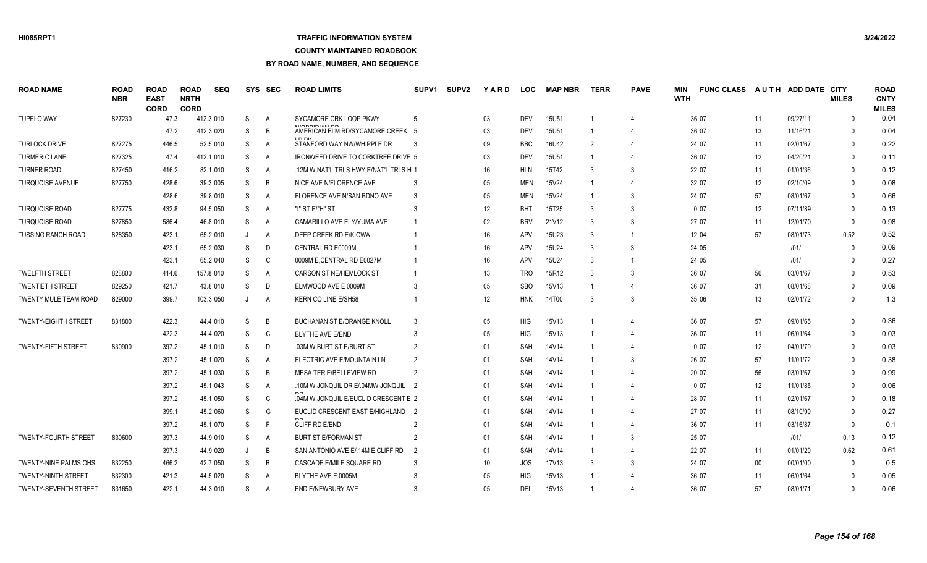# **TRAFFIC INFORMATION SYSTEM**

#### **COUNTY MAINTAINED ROADBOOK**

| <b>ROAD NAME</b>             | <b>ROAD</b><br><b>NBR</b> | <b>ROAD</b><br><b>EAST</b><br><b>CORD</b> | <b>ROAD</b><br><b>NRTH</b><br><b>CORD</b> | <b>SEQ</b> | <b>SYS</b> | <b>SEC</b>   | <b>ROAD LIMITS</b>                             | SUPV1          | <b>SUPV2</b> | YARD | <b>LOC</b> | <b>MAP NBR</b> | <b>TERR</b>   | <b>PAVE</b>              | MIN<br><b>WTH</b> | <b>FUNC CLASS</b> |        | AUTH ADD DATE CITY | <b>MILES</b> | <b>ROAD</b><br><b>CNTY</b><br><b>MILES</b> |
|------------------------------|---------------------------|-------------------------------------------|-------------------------------------------|------------|------------|--------------|------------------------------------------------|----------------|--------------|------|------------|----------------|---------------|--------------------------|-------------------|-------------------|--------|--------------------|--------------|--------------------------------------------|
| <b>TUPELO WAY</b>            | 827230                    |                                           | 47.3                                      | 412.3 010  | S          | A            | SYCAMORE CRK LOOP PKWY<br><b>NICROIDIAN DR</b> |                |              | 03   | <b>DEV</b> | 15U51          |               |                          |                   | 36 07             | 11     | 09/27/11           | $\mathbf{0}$ | 0.04                                       |
|                              |                           |                                           | 47.2                                      | 412.3 020  | S          | B            | AMERICAN ELM RD/SYCAMORE CREEK 5               |                |              | 03   | <b>DEV</b> | 15U51          |               | $\overline{4}$           |                   | 36 07             | 13     | 11/16/21           | $\Omega$     | 0.04                                       |
| <b>TURLOCK DRIVE</b>         | 827275                    | 446.5                                     |                                           | 52.5 010   | S          | A            | STANFORD WAY NW/WHIPPLE DR                     |                |              | 09   | <b>BBC</b> | 16U42          | $\mathcal{P}$ |                          |                   | 24 07             | 11     | 02/01/67           | $\Omega$     | 0.22                                       |
| <b>TURMERIC LANE</b>         | 827325                    | 47.4                                      |                                           | 412.1 010  | S          | A            | IRONWEED DRIVE TO CORKTREE DRIVE 5             |                |              | 03   | <b>DEV</b> | 15U51          |               |                          |                   | 36 07             | 12     | 04/20/21           | $\mathbf{0}$ | 0.11                                       |
| <b>TURNER ROAD</b>           | 827450                    | 416.2                                     |                                           | 82.1 010   | S          | A            | .12M W, NAT'L TRLS HWY E/NAT'L TRLS H 1        |                |              | 16   | <b>HLN</b> | 15T42          |               | 3                        |                   | 22 07             | 11     | 01/01/36           | $\Omega$     | 0.12                                       |
| <b>TURQUOISE AVENUE</b>      | 827750                    | 428.6                                     |                                           | 39.3 005   | S          | B            | NICE AVE N/FLORENCE AVE                        |                |              | 05   | <b>MEN</b> | 15V24          |               |                          |                   | 32 07             | 12     | 02/10/09           | $\Omega$     | 0.08                                       |
|                              |                           | 428.6                                     |                                           | 39.8 010   | S          | A            | FLORENCE AVE N/SAN BDNO AVE                    |                |              | 05   | <b>MEN</b> | 15V24          |               | 3                        |                   | 24 07             | 57     | 08/01/67           | $\Omega$     | 0.66                                       |
| <b>TURQUOISE ROAD</b>        | 827775                    | 432.8                                     |                                           | 94.5 050   | S          | A            | "I" ST E/"H" ST                                |                |              | 12   | <b>BHT</b> | 15T25          |               | 3                        |                   | 007               | 12     | 07/11/89           | $\mathbf{0}$ | 0.13                                       |
| <b>TURQUOISE ROAD</b>        | 827850                    | 586.4                                     |                                           | 46.8 010   | S          | A            | CAMARILLO AVE ELY/YUMA AVE                     |                |              | 02   | <b>BRV</b> | 21V12          | 3             | 3                        |                   | 27 07             | 11     | 12/01/70           | $\mathbf{0}$ | 0.98                                       |
| <b>TUSSING RANCH ROAD</b>    | 828350                    | 423.1                                     |                                           | 65.2 010   |            | A            | DEEP CREEK RD E/KIOWA                          |                |              | 16   | <b>APV</b> | 15U23          | 3             | -1                       |                   | 12 04             | 57     | 08/01/73           | 0.52         | 0.52                                       |
|                              |                           | 423.1                                     |                                           | 65.2 030   | S          | D            | CENTRAL RD E0009M                              |                |              | 16   | APV        | 15U24          |               | 3                        |                   | 24 05             |        | 1011               | $\Omega$     | 0.09                                       |
|                              |                           | 423.1                                     |                                           | 65.2 040   | S          | C            | 0009M E,CENTRAL RD E0027M                      |                |              | 16   | <b>APV</b> | 15U24          |               | -1                       |                   | 24 05             |        | 1011               | 0            | 0.27                                       |
| <b>TWELFTH STREET</b>        | 828800                    | 414.6                                     |                                           | 157.8 010  | S          | A            | CARSON ST NE/HEMLOCK ST                        |                |              | 13   | <b>TRO</b> | 15R12          |               | 3                        |                   | 36 07             | 56     | 03/01/67           | $\Omega$     | 0.53                                       |
| <b>TWENTIETH STREET</b>      | 829250                    | 421.7                                     |                                           | 43.8 010   | S          | D            | ELMWOOD AVE E 0009M                            |                |              | 05   | <b>SBO</b> | 15V13          |               | $\overline{\mathcal{L}}$ |                   | 36 07             | 31     | 08/01/68           | $\mathbf{0}$ | 0.09                                       |
| TWENTY MULE TEAM ROAD        | 829000                    | 399.7                                     |                                           | 103.3 050  |            | A            | KERN CO LINE E/SH58                            |                |              | 12   | <b>HNK</b> | 14T00          | 3             | 3                        |                   | 35 06             | 13     | 02/01/72           | $\Omega$     | 1.3                                        |
| <b>TWENTY-EIGHTH STREET</b>  | 831800                    | 422.3                                     |                                           | 44.4 010   | S          | B            | <b>BUCHANAN ST E/ORANGE KNOLL</b>              | 3              |              | 05   | <b>HIG</b> | 15V13          |               | $\overline{4}$           |                   | 36 07             | 57     | 09/01/65           | $\Omega$     | 0.36                                       |
|                              |                           | 422.3                                     |                                           | 44.4 020   | S          | C            | <b>BLYTHE AVE E/END</b>                        |                |              | 05   | HIG        | 15V13          |               |                          |                   | 36 07             | 11     | 06/01/64           | $\Omega$     | 0.03                                       |
| <b>TWENTY-FIFTH STREET</b>   | 830900                    | 397.2                                     |                                           | 45.1 010   | S          | D            | .03M W, BURT ST E/BURT ST                      | 2              |              | 01   | SAH        | 14V14          |               |                          |                   | 007               | 12     | 04/01/79           | $\Omega$     | 0.03                                       |
|                              |                           | 397.2                                     |                                           | 45.1 020   | S          | A            | ELECTRIC AVE E/MOUNTAIN LN                     | 2              |              | 01   | <b>SAH</b> | 14V14          |               | 3                        |                   | 26 07             | 57     | 11/01/72           | $\Omega$     | 0.38                                       |
|                              |                           | 397.2                                     |                                           | 45.1 030   | S          | B            | <b>MESA TER E/BELLEVIEW RD</b>                 |                |              | 01   | <b>SAH</b> | 14V14          |               |                          |                   | 20 07             | 56     | 03/01/67           | $\Omega$     | 0.99                                       |
|                              |                           | 397.2                                     |                                           | 45.1 043   | S          | A            | .10M W,JONQUIL DR E/.04MW,JONQUIL              |                |              | 01   | <b>SAH</b> | 14V14          |               |                          |                   | 007               | 12     | 11/01/85           | $\mathbf{0}$ | 0.06                                       |
|                              |                           | 397.2                                     |                                           | 45.1 050   | S          | $\mathsf{C}$ | .04M W, JONQUIL E/EUCLID CRESCENT E 2          |                |              | 01   | SAH        | 14V14          |               |                          |                   | 28 07             | 11     | 02/01/67           | $\Omega$     | 0.18                                       |
|                              |                           | 399.1                                     |                                           | 45.2 060   | S          | G            | EUCLID CRESCENT EAST E/HIGHLAND 2              |                |              | 01   | <b>SAH</b> | 14V14          |               |                          |                   | 27 07             | 11     | 08/10/99           | $\Omega$     | 0.27                                       |
|                              |                           | 397.2                                     |                                           | 45.1 070   | S          | F            | CLIFF RD E/END                                 |                |              | 01   | SAH        | 14V14          |               | 4                        |                   | 36 07             | 11     | 03/16/87           | $\mathbf{0}$ | 0.1                                        |
| <b>TWENTY-FOURTH STREET</b>  | 830600                    | 397.3                                     |                                           | 44.9 010   | S          | A            | <b>BURT ST E/FORMAN ST</b>                     |                |              | 01   | <b>SAH</b> | 14V14          |               | 3                        |                   | 25 07             |        | 1011               | 0.13         | 0.12                                       |
|                              |                           | 397.3                                     |                                           | 44.9 020   |            | B            | SAN ANTONIO AVE E/.14M E,CLIFF RD              | $\overline{2}$ |              | 01   | <b>SAH</b> | 14V14          |               | 4                        |                   | 22 07             | 11     | 01/01/29           | 0.62         | 0.61                                       |
| <b>TWENTY-NINE PALMS OHS</b> | 832250                    | 466.2                                     |                                           | 42.7 050   | S          | B            | CASCADE E/MILE SQUARE RD                       |                |              | 10   | JOS        | <b>17V13</b>   | 3             | 3                        |                   | 24 07             | $00\,$ | 00/01/00           | $\Omega$     | 0.5                                        |
| <b>TWENTY-NINTH STREET</b>   | 832300                    | 421.3                                     |                                           | 44.5 020   | S          | A            | BLYTHE AVE E 0005M                             |                |              | 05   | <b>HIG</b> | 15V13          |               |                          |                   | 36 07             | 11     | 06/01/64           | $\Omega$     | 0.05                                       |
| <b>TWENTY-SEVENTH STREET</b> | 831650                    | 422.1                                     |                                           | 44.3 010   | S          | A            | END E/NEWBURY AVE                              |                |              | 05   | DEL        | 15V13          |               |                          |                   | 36 07             | 57     | 08/01/71           | $\Omega$     | 0.06                                       |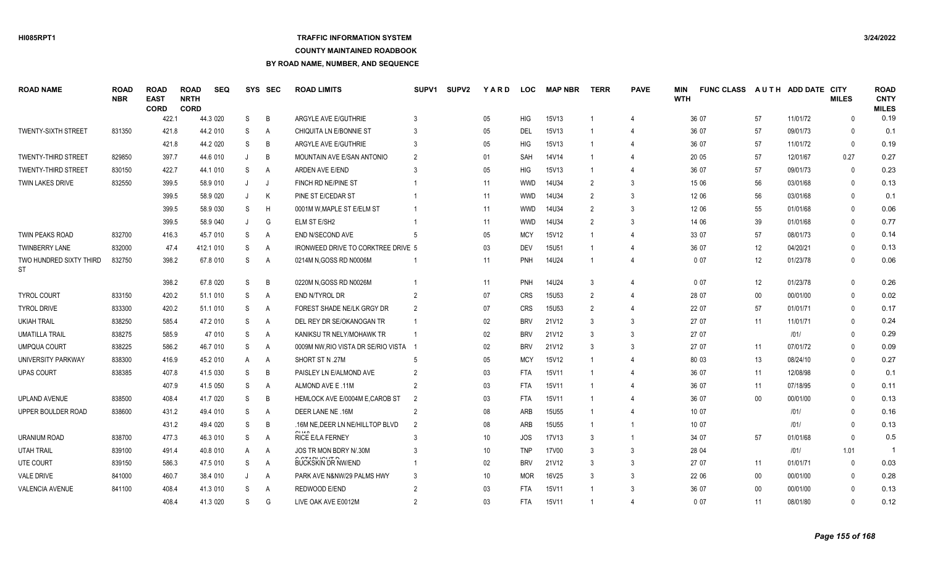## **TRAFFIC INFORMATION SYSTEM**

### **COUNTY MAINTAINED ROADBOOK**

| <b>ROAD NAME</b>                     | <b>ROAD</b><br><b>NBR</b> | <b>ROAD</b><br><b>EAST</b><br><b>CORD</b> | <b>ROAD</b><br><b>NRTH</b><br><b>CORD</b> | <b>SEQ</b> |         | SYS SEC | <b>ROAD LIMITS</b>                         | SUPV <sub>1</sub> | <b>SUPV2</b> | YARD            | <b>LOC</b> | <b>MAP NBR</b>    | <b>TERR</b>    | <b>PAVE</b>           | MIN<br><b>WTH</b> | <b>FUNC CLASS</b> |                   | AUTH ADD DATE CITY | <b>MILES</b> | <b>ROAD</b><br><b>CNTY</b><br><b>MILES</b> |
|--------------------------------------|---------------------------|-------------------------------------------|-------------------------------------------|------------|---------|---------|--------------------------------------------|-------------------|--------------|-----------------|------------|-------------------|----------------|-----------------------|-------------------|-------------------|-------------------|--------------------|--------------|--------------------------------------------|
|                                      |                           | 422.1                                     |                                           | 44.3 020   | S       | B       | ARGYLE AVE E/GUTHRIE                       |                   |              | $05\,$          | <b>HIG</b> | 15V13             |                |                       |                   | 36 07             | 57                | 11/01/72           | $\Omega$     | 0.19                                       |
| <b>TWENTY-SIXTH STREET</b>           | 831350                    | 421.8                                     |                                           | 44.2 010   | S       | A       | CHIQUITA LN E/BONNIE ST                    |                   |              | 05              | DEL        | 15V13             |                |                       |                   | 36 07             | 57                | 09/01/73           | $\Omega$     | 0.1                                        |
|                                      |                           | 421.8                                     |                                           | 44.2 020   | S       | B       | ARGYLE AVE E/GUTHRIE                       |                   |              | $05\,$          | <b>HIG</b> | 15V13             |                | $\Delta$              |                   | 36 07             | 57                | 11/01/72           | $\mathbf{0}$ | 0.19                                       |
| <b>TWENTY-THIRD STREET</b>           | 829850                    | 397.7                                     |                                           | 44.6 010   | J       | B       | MOUNTAIN AVE E/SAN ANTONIO                 | $\mathcal{P}$     |              | 01              | <b>SAH</b> | 14V14             |                | 4                     |                   | 20 05             | 57                | 12/01/67           | 0.27         | 0.27                                       |
| <b>TWENTY-THIRD STREET</b>           | 830150                    | 422.7                                     |                                           | 44.1 010   | S       | Α       | ARDEN AVE E/END                            |                   |              | 05              | HIG        | 15V13             |                | $\boldsymbol{\Delta}$ |                   | 36 07             | 57                | 09/01/73           | $\mathbf{0}$ | 0.23                                       |
| TWIN LAKES DRIVE                     | 832550                    | 399.5                                     |                                           | 58.9 010   | $\cdot$ | J       | FINCH RD NE/PINE ST                        |                   |              | 11              | <b>WWD</b> | 14U34             | 2              | 3                     |                   | 15 06             | 56                | 03/01/68           | $\Omega$     | 0.13                                       |
|                                      |                           | 399.5                                     |                                           | 58.9 020   |         | K       | PINE ST E/CEDAR ST                         |                   |              | 11              | <b>WWD</b> | 14U34             |                | 3                     |                   | 12 06             | 56                | 03/01/68           | $\Omega$     | 0.1                                        |
|                                      |                           | 399.5                                     |                                           | 58.9 030   | S       | H       | 0001M W.MAPLE ST E/ELM ST                  |                   |              | 11              | <b>WWD</b> | 14U34             | 2              | 3                     |                   | 12 06             | 55                | 01/01/68           | $\Omega$     | 0.06                                       |
|                                      |                           | 399.5                                     |                                           | 58.9 040   | J       | G       | ELM ST E/SH2                               |                   |              | 11              | <b>WWD</b> | 14U34             | $\mathcal{P}$  | 3                     |                   | 14 06             | 39                | 01/01/68           | $\Omega$     | 0.77                                       |
| <b>TWIN PEAKS ROAD</b>               | 832700                    | 416.3                                     |                                           | 45.7 010   | S       | Α       | END N/SECOND AVE                           |                   |              | 05              | <b>MCY</b> | 15V12             |                | 4                     |                   | 33 07             | 57                | 08/01/73           | $\Omega$     | 0.14                                       |
| <b>TWINBERRY LANE</b>                | 832000                    | 47.4                                      |                                           | 412.1 010  | S       | A       | <b>IRONWEED DRIVE TO CORKTREE DRIVE 5</b>  |                   |              | 03              | <b>DEV</b> | <b>15U51</b>      |                | 4                     |                   | 36 07             | 12                | 04/20/21           | $\Omega$     | 0.13                                       |
| TWO HUNDRED SIXTY THIRD<br><b>ST</b> | 832750                    | 398.2                                     |                                           | 67.8 010   | S       | A       | 0214M N, GOSS RD N0006M                    |                   |              | 11              | <b>PNH</b> | 14U24             |                | 4                     |                   | 007               | $12 \overline{ }$ | 01/23/78           | $\Omega$     | 0.06                                       |
|                                      |                           | 398.2                                     |                                           | 67.8 020   | S       | B       | 0220M N, GOSS RD N0026M                    |                   |              | 11              | <b>PNH</b> | 14U24             | 3              |                       |                   | 007               | 12                | 01/23/78           | $\mathbf{0}$ | 0.26                                       |
| <b>TYROL COURT</b>                   | 833150                    | 420.2                                     |                                           | 51.1 010   | S       | Α       | END N/TYROL DR                             |                   |              | 07              | <b>CRS</b> | 15U <sub>53</sub> | $\overline{2}$ | $\overline{4}$        |                   | 28 07             | $00\,$            | 00/01/00           | $\Omega$     | 0.02                                       |
| <b>TYROL DRIVE</b>                   | 833300                    | 420.2                                     |                                           | 51.1 010   | S       | Α       | FOREST SHADE NE/LK GRGY DR                 |                   |              | 07              | <b>CRS</b> | 15U <sub>53</sub> | $\mathcal{P}$  | 4                     |                   | 22 07             | 57                | 01/01/71           | $\Omega$     | 0.17                                       |
| <b>UKIAH TRAIL</b>                   | 838250                    | 585.4                                     |                                           | 47.2 010   | S       | A       | DEL REY DR SE/OKANOGAN TR                  |                   |              | 02              | <b>BRV</b> | 21V12             | 3              | 3                     |                   | 27 07             | 11                | 11/01/71           | $\Omega$     | 0.24                                       |
| <b>UMATILLA TRAIL</b>                | 838275                    | 585.9                                     |                                           | 47 010     | S       | A       | KANIKSU TR NELY/MOHAWK TR                  |                   |              | 02 <sub>2</sub> | <b>BRV</b> | 21V12             | $\mathbf{3}$   | 3                     |                   | 27 07             |                   | 1011               | $\Omega$     | 0.29                                       |
| <b>UMPQUA COURT</b>                  | 838225                    | 586.2                                     |                                           | 46.7 010   | S       | A       | 0009M NW, RIO VISTA DR SE/RIO VISTA        |                   |              | $02\,$          | <b>BRV</b> | 21V12             |                | 3                     |                   | 27 07             | 11                | 07/01/72           | $\Omega$     | 0.09                                       |
| UNIVERSITY PARKWAY                   | 838300                    | 416.9                                     |                                           | 45.2 010   | A       | Α       | SHORT ST N .27M                            |                   |              | 05              | <b>MCY</b> | 15V12             |                |                       |                   | 80 03             | 13                | 08/24/10           | $\Omega$     | 0.27                                       |
| <b>UPAS COURT</b>                    | 838385                    | 407.8                                     |                                           | 41.5 030   | S       | B       | PAISLEY LN E/ALMOND AVE                    |                   |              | 03              | <b>FTA</b> | 15V11             |                |                       |                   | 36 07             | 11                | 12/08/98           | $\Omega$     | 0.1                                        |
|                                      |                           | 407.9                                     |                                           | 41.5 050   | S       | A       | ALMOND AVE E .11M                          | $\mathcal{P}$     |              | 03              | <b>FTA</b> | 15V11             |                |                       |                   | 36 07             | 11                | 07/18/95           | $\Omega$     | 0.11                                       |
| <b>UPLAND AVENUE</b>                 | 838500                    | 408.4                                     |                                           | 41.7 020   | S       | B       | HEMLOCK AVE E/0004M E.CAROB ST             | 2                 |              | 03              | <b>FTA</b> | 15V11             |                | 4                     |                   | 36 07             | $00\,$            | 00/01/00           | $\Omega$     | 0.13                                       |
| UPPER BOULDER ROAD                   | 838600                    | 431.2                                     |                                           | 49.4 010   | S       | A       | DEER LANE NE .16M                          |                   |              | 08              | ARB        | 15U55             |                | 4                     |                   | 10 07             |                   | 1011               | $\Omega$     | 0.16                                       |
|                                      |                           | 431.2                                     |                                           | 49.4 020   | S       | B       | .16M NE, DEER LN NE/HILLTOP BLVD           | $\overline{2}$    |              | 08              | ARB        | <b>15U55</b>      |                | $\overline{1}$        |                   | 10 07             |                   | 1011               | $\Omega$     | 0.13                                       |
| <b>URANIUM ROAD</b>                  | 838700                    | 477.3                                     |                                           | 46.3 010   | S       | Α       | <b>RICE E/LA FERNEY</b>                    |                   |              | 10              | JOS.       | 17V13             |                | -1                    |                   | 34 07             | 57                | 01/01/68           | $\Omega$     | 0.5                                        |
| <b>UTAH TRAIL</b>                    | 839100                    | 491.4                                     |                                           | 40.8 010   | A       | Α       | JOS TR MON BDRY N/.30M                     |                   |              | 10 <sup>°</sup> | <b>TNP</b> | 17V00             | 3              | 3                     |                   | 28 04             |                   | 1011               | 1.01         | $\overline{1}$                             |
| UTE COURT                            | 839150                    | 586.3                                     |                                           | 47.5 010   | S       | Α       | 0.07101101170<br><b>BUCKSKIN DR NW/END</b> |                   |              | 02              | <b>BRV</b> | 21V12             | 3              | 3                     |                   | 27 07             | 11                | 01/01/71           | $\mathbf{0}$ | 0.03                                       |
| <b>VALE DRIVE</b>                    | 841000                    | 460.7                                     |                                           | 38.4 010   | J       | Α       | PARK AVE N&NW/29 PALMS HWY                 |                   |              | 10              | <b>MOR</b> | 16V25             |                | 3                     |                   | 22 06             | 00                | 00/01/00           | $\Omega$     | 0.28                                       |
| <b>VALENCIA AVENUE</b>               | 841100                    | 408.4                                     |                                           | 41.3 010   | S       | Α       | REDWOOD E/END                              |                   |              | 03              | <b>FTA</b> | 15V11             |                | 3                     |                   | 36 07             | 00                | 00/01/00           | $\Omega$     | 0.13                                       |
|                                      |                           | 408.4                                     |                                           | 41.3 020   | S.      | G       | LIVE OAK AVE E0012M                        |                   |              | 03              | <b>FTA</b> | 15V11             |                | 4                     |                   | 0.07              | 11                | 08/01/80           | $\Omega$     | 0.12                                       |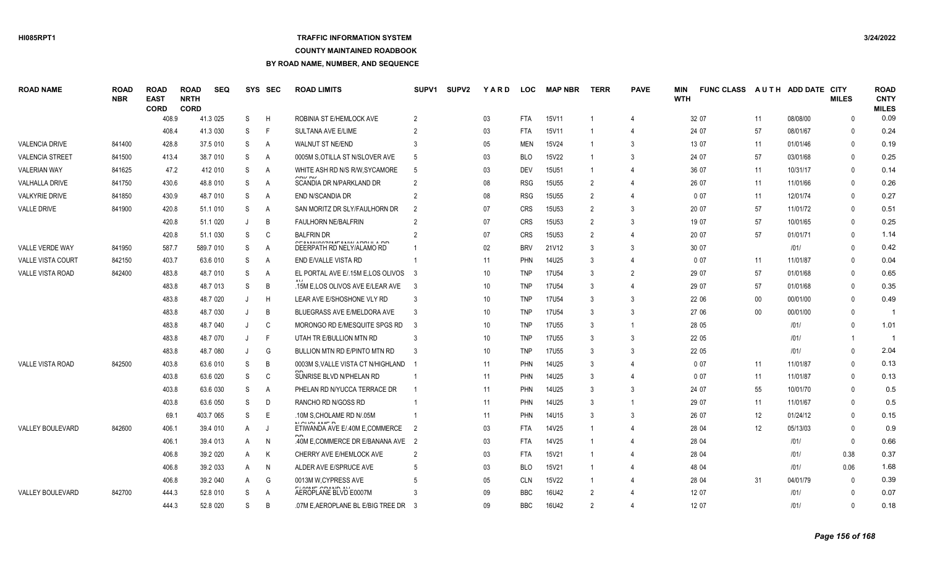### **TRAFFIC INFORMATION SYSTEM**

### **COUNTY MAINTAINED ROADBOOK**

| <b>ROAD NAME</b>         | <b>ROAD</b><br><b>NBR</b> | <b>ROAD</b><br><b>EAST</b><br><b>CORD</b> | <b>ROAD</b><br><b>NRTH</b><br><b>CORD</b> | <b>SEQ</b> |              | SYS SEC        | <b>ROAD LIMITS</b>                                              | SUPV1                   | SUPV <sub>2</sub> | YARD | <b>LOC</b> | <b>MAP NBR</b> | <b>TERR</b>    | <b>PAVE</b>    | MIN<br><b>WTH</b> | <b>FUNC CLASS</b> |        | AUTH ADD DATE CITY | <b>MILES</b> | <b>ROAD</b><br><b>CNTY</b><br><b>MILES</b> |
|--------------------------|---------------------------|-------------------------------------------|-------------------------------------------|------------|--------------|----------------|-----------------------------------------------------------------|-------------------------|-------------------|------|------------|----------------|----------------|----------------|-------------------|-------------------|--------|--------------------|--------------|--------------------------------------------|
|                          |                           | 408.9                                     |                                           | 41.3 025   | S            | H              | ROBINIA ST E/HEMLOCK AVE                                        | 2                       |                   | 03   | <b>FTA</b> | 15V11          |                |                |                   | 32 07             | 11     | 08/08/00           | $\mathbf{0}$ | 0.09                                       |
|                          |                           | 408.4                                     |                                           | 41.3 030   | S            | F              | SULTANA AVE E/LIME                                              | $\overline{2}$          |                   | 03   | <b>FTA</b> | 15V11          |                |                |                   | 24 07             | 57     | 08/01/67           | $\Omega$     | 0.24                                       |
| <b>VALENCIA DRIVE</b>    | 841400                    | 428.8                                     |                                           | 37.5 010   | <sub>S</sub> | Α              | WALNUT ST NE/END                                                | 3                       |                   | 05   | <b>MEN</b> | 15V24          |                | 3              |                   | 13 07             | 11     | 01/01/46           | $\mathbf{0}$ | 0.19                                       |
| <b>VALENCIA STREET</b>   | 841500                    | 413.4                                     |                                           | 38.7 010   | -S           | Α              | 0005M S, OTILLA ST N/SLOVER AVE                                 | 5                       |                   | 03   | <b>BLO</b> | 15V22          |                | 3              |                   | 24 07             | 57     | 03/01/68           | $\mathbf{0}$ | 0.25                                       |
| <b>VALERIAN WAY</b>      | 841625                    | 47.2                                      |                                           | 412 010    | -S           | A              | WHITE ASH RD N/S R/W.SYCAMORE                                   | -5                      |                   | 03   | <b>DEV</b> | <b>15U51</b>   |                |                |                   | 36 07             | 11     | 10/31/17           | $\Omega$     | 0.14                                       |
| VALHALLA DRIVE           | 841750                    | 430.6                                     |                                           | 48.8 010   | -S           | Α              | 0.01701<br>SCANDIA DR N/PARKLAND DR                             | $\overline{2}$          |                   | 08   | <b>RSG</b> | <b>15U55</b>   | $\overline{2}$ |                |                   | 26 07             | 11     | 11/01/66           | $\Omega$     | 0.26                                       |
| <b>VALKYRIE DRIVE</b>    | 841850                    | 430.9                                     |                                           | 48.7 010   | -S           | A              | END N/SCANDIA DR                                                | $\overline{2}$          |                   | 08   | <b>RSG</b> | <b>15U55</b>   | $\overline{2}$ |                |                   | 007               | 11     | 12/01/74           | $\Omega$     | 0.27                                       |
| <b>VALLE DRIVE</b>       | 841900                    | 420.8                                     |                                           | 51.1 010   | -S           | Α              | SAN MORITZ DR SLY/FAULHORN DR                                   | $\overline{2}$          |                   | 07   | <b>CRS</b> | <b>15U53</b>   | $\mathfrak{p}$ | 3              |                   | 20 07             | 57     | 11/01/72           | $\Omega$     | 0.51                                       |
|                          |                           | 420.8                                     |                                           | 51.1 020   |              | B              | <b>FAULHORN NE/BALFRIN</b>                                      | $\overline{2}$          |                   | 07   | <b>CRS</b> | <b>15U53</b>   | $\overline{2}$ | 3              |                   | 19 07             | 57     | 10/01/65           | $\Omega$     | 0.25                                       |
|                          |                           | 420.8                                     |                                           | 51.1 030   | S            | C              | <b>BALFRIN DR</b>                                               | $\overline{2}$          |                   | 07   | <b>CRS</b> | 15U53          | $\overline{2}$ |                |                   | 20 07             | 57     | 01/01/71           | $\mathbf{0}$ | 1.14                                       |
| VALLE VERDE WAY          | 841950                    | 587.7                                     |                                           | 589.7 010  | <sub>S</sub> | Α              | OF GABAI/OOZOME GABAI ADDI IL A DD<br>DEERPATH RD NELY/ALAMO RD |                         |                   | 02   | <b>BRV</b> | 21V12          | 3              | 3              |                   | 30 07             |        | 1011               | $\mathbf{0}$ | 0.42                                       |
| <b>VALLE VISTA COURT</b> | 842150                    | 403.7                                     |                                           | 63.6 010   | -S           | Α              | END E/VALLE VISTA RD                                            |                         |                   | 11   | <b>PHN</b> | 14U25          | 3              | $\overline{4}$ |                   | 0 0 7             | 11     | 11/01/87           | $\mathbf{0}$ | 0.04                                       |
| <b>VALLE VISTA ROAD</b>  | 842400                    | 483.8                                     |                                           | 48.7 010   | -S           | Α              | EL PORTAL AVE E/.15M E.LOS OLIVOS                               | $\overline{\mathbf{3}}$ |                   | 10   | <b>TNP</b> | <b>17U54</b>   | 3              | $\mathfrak{p}$ |                   | 29 07             | 57     | 01/01/68           | $\Omega$     | 0.65                                       |
|                          |                           | 483.8                                     |                                           | 48.7 013   | -S           | $\overline{B}$ | .15M E.LOS OLIVOS AVE E/LEAR AVE                                | -3                      |                   | 10   | <b>TNP</b> | <b>17U54</b>   | 3              |                |                   | 29 07             | 57     | 01/01/68           | $\Omega$     | 0.35                                       |
|                          |                           | 483.8                                     |                                           | 48.7 020   |              | H              | LEAR AVE E/SHOSHONE VLY RD                                      | -3                      |                   | 10   | <b>TNP</b> | <b>17U54</b>   | 3              | 3              |                   | 22 06             | $00\,$ | 00/01/00           | $\Omega$     | 0.49                                       |
|                          |                           | 483.8                                     |                                           | 48.7 030   |              | B              | BLUEGRASS AVE E/MELDORA AVE                                     | -3                      |                   | 10   | <b>TNP</b> | 17U54          | 3              | 3              |                   | 27 06             | $00\,$ | 00/01/00           | $\Omega$     |                                            |
|                          |                           | 483.8                                     |                                           | 48.7 040   |              | C              | MORONGO RD E/MESQUITE SPGS RD                                   | -3                      |                   | 10   | <b>TNP</b> | 17U55          | 3              | $\overline{1}$ |                   | 28 05             |        | 1011               | $\Omega$     | 1.01                                       |
|                          |                           | 483.8                                     |                                           | 48.7 070   |              | F              | UTAH TR E/BULLION MTN RD                                        | 3                       |                   | 10   | <b>TNP</b> | 17U55          | 3              | 3              |                   | 22 05             |        | /01/               |              | -1                                         |
|                          |                           | 483.8                                     |                                           | 48.7 080   |              | G              | BULLION MTN RD E/PINTO MTN RD                                   | -3                      |                   | 10   | <b>TNP</b> | 17U55          | 3              | 3              |                   | 22 05             |        | 1011               | $\mathbf{0}$ | 2.04                                       |
| <b>VALLE VISTA ROAD</b>  | 842500                    | 403.8                                     |                                           | 63.6 010   | <sub>S</sub> | B              | 0003M S, VALLE VISTA CT N/HIGHLAND                              |                         |                   | 11   | <b>PHN</b> | 14U25          | 3              |                |                   | 0 0 7             | 11     | 11/01/87           | $\mathbf{0}$ | 0.13                                       |
|                          |                           | 403.8                                     |                                           | 63.6 020   | S            | C              | SUNRISE BLVD N/PHELAN RD                                        |                         |                   | 11   | <b>PHN</b> | 14U25          | 3              |                |                   | 007               | 11     | 11/01/87           | $\Omega$     | 0.13                                       |
|                          |                           | 403.8                                     |                                           | 63.6 030   | -S           | A              | PHELAN RD N/YUCCA TERRACE DR                                    |                         |                   | 11   | <b>PHN</b> | 14U25          | 3              | 3              |                   | 24 07             | 55     | 10/01/70           | $\Omega$     | 0.5                                        |
|                          |                           | 403.8                                     |                                           | 63.6 050   | -S           | D              | RANCHO RD N/GOSS RD                                             |                         |                   | 11   | <b>PHN</b> | 14U25          | 3              |                |                   | 29 07             | 11     | 11/01/67           | $\Omega$     | 0.5                                        |
|                          |                           | 69.1                                      |                                           | 403.7 065  | S            | E              | 10M S.CHOLAME RD N/ 05M                                         |                         |                   | 11   | <b>PHN</b> | 14U15          | 3              | 3              |                   | 26 07             | 12     | 01/24/12           | $\Omega$     | 0.15                                       |
| VALLEY BOULEVARD         | 842600                    | 406.1                                     |                                           | 39.4 010   | A            |                | <b>NOUGLANED</b><br>ETIWANDA AVE E/.40M E,COMMERCE              |                         |                   | 03   | <b>FTA</b> | 14V25          |                |                |                   | 28 04             | 12     | 05/13/03           | $\Omega$     | 0.9                                        |
|                          |                           | 406.1                                     |                                           | 39.4 013   | A            | N              | 40M E,COMMERCE DR E/BANANA AVE 2                                |                         |                   | 03   | <b>FTA</b> | 14V25          |                |                |                   | 28 04             |        | 1011               | $\mathbf 0$  | 0.66                                       |
|                          |                           | 406.8                                     |                                           | 39.2 020   | A            | K              | CHERRY AVE E/HEMLOCK AVE                                        | $\overline{2}$          |                   | 03   | <b>FTA</b> | 15V21          |                |                |                   | 28 04             |        | 1011               | 0.38         | 0.37                                       |
|                          |                           | 406.8                                     |                                           | 39.2 033   | A            | N              | ALDER AVE E/SPRUCE AVE                                          | 5                       |                   | 03   | <b>BLO</b> | 15V21          |                |                |                   | 48 04             |        | 1011               | 0.06         | 1.68                                       |
|                          |                           | 406.8                                     |                                           | 39.2 040   | A            | G              | 0013M W, CYPRESS AVE                                            | 5                       |                   | 05   | <b>CLN</b> | 15V22          |                |                |                   | 28 04             | 31     | 04/01/79           | $\mathbf{0}$ | 0.39                                       |
| VALLEY BOULEVARD         | 842700                    | 444.3                                     |                                           | 52.8 010   | -S           | A              | FIANIE ABILIB ILI<br>AEROPLANE BLVD E0007M                      | 3                       |                   | 09   | <b>BBC</b> | 16U42          |                |                |                   | 12 07             |        | 1011               | $\Omega$     | 0.07                                       |
|                          |                           | 444.3                                     |                                           | 52.8 020   | <sub>S</sub> | $\overline{R}$ | 07M E.AEROPLANE BL E/BIG TREE DR                                |                         |                   | 0.9  | <b>BBC</b> | 16U42          | $\mathcal{P}$  |                |                   | 12 07             |        | 1011               | $\Omega$     | 0.18                                       |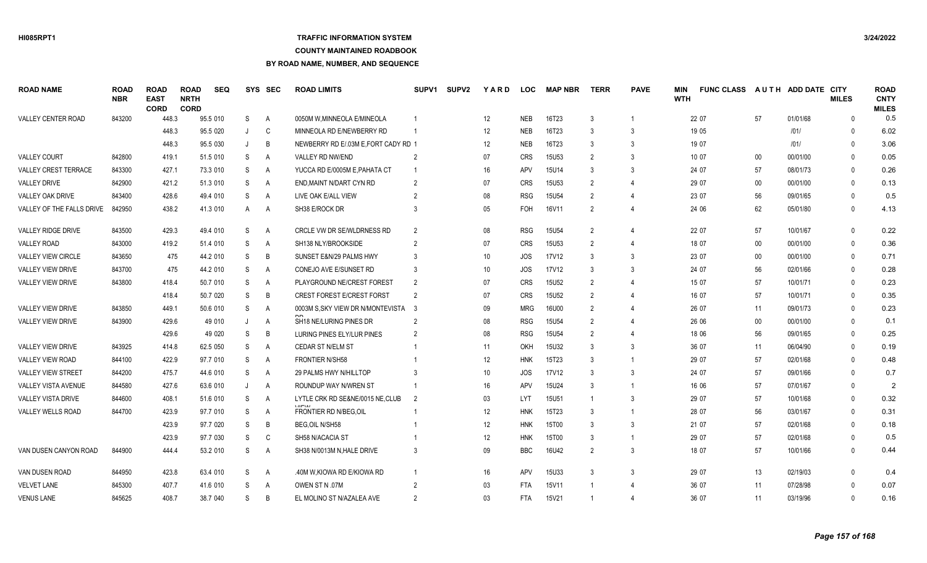## **TRAFFIC INFORMATION SYSTEM**

#### **COUNTY MAINTAINED ROADBOOK**

| <b>ROAD NAME</b>            | <b>ROAD</b><br><b>NBR</b> | <b>ROAD</b><br><b>EAST</b><br><b>CORD</b> | <b>ROAD</b><br><b>NRTH</b><br><b>CORD</b> | <b>SEQ</b> |   | SYS SEC        | <b>ROAD LIMITS</b>                   | <b>SUPV1</b>   | <b>SUPV2</b> | YARD | <b>LOC</b> | <b>MAP NBR</b>    | <b>TERR</b>    | <b>PAVE</b>          | MIN<br><b>WTH</b> | <b>FUNC CLASS</b> |        | AUTH ADD DATE CITY | <b>MILES</b> | <b>ROAD</b><br><b>CNTY</b><br><b>MILES</b> |
|-----------------------------|---------------------------|-------------------------------------------|-------------------------------------------|------------|---|----------------|--------------------------------------|----------------|--------------|------|------------|-------------------|----------------|----------------------|-------------------|-------------------|--------|--------------------|--------------|--------------------------------------------|
| VALLEY CENTER ROAD          | 843200                    | 448.3                                     |                                           | 95.5 010   | S | A              | 0050M W, MINNEOLA E/MINEOLA          |                |              | 12   | <b>NEB</b> | 16T23             | -3             |                      |                   | 22 07             | 57     | 01/01/68           | $\mathbf{0}$ | 0.5                                        |
|                             |                           | 448.3                                     |                                           | 95.5 020   | J | C              | MINNEOLA RD E/NEWBERRY RD            |                |              | 12   | <b>NEB</b> | 16T23             | 3              | 3                    |                   | 19 05             |        | 1011               | $\Omega$     | 6.02                                       |
|                             |                           | 448.3                                     |                                           | 95.5 030   | J | B              | NEWBERRY RD E/.03M E, FORT CADY RD 1 |                |              | 12   | <b>NEB</b> | 16T23             | $\mathbf{3}$   | 3                    |                   | 19 07             |        | 1011               | $\mathbf{0}$ | 3.06                                       |
| <b>VALLEY COURT</b>         | 842800                    | 419.1                                     |                                           | 51.5 010   | S | A              | <b>VALLEY RD NW/END</b>              | -2             |              | 07   | <b>CRS</b> | <b>15U53</b>      | $\mathcal{P}$  | 3                    |                   | 10 07             | $00\,$ | 00/01/00           | $\Omega$     | 0.05                                       |
| <b>VALLEY CREST TERRACE</b> | 843300                    | 427.1                                     |                                           | 73.3 010   | S | A              | YUCCA RD E/0005M E.PAHATA CT         |                |              | 16   | <b>APV</b> | <b>15U14</b>      | $\mathcal{R}$  | 3                    |                   | 24 07             | 57     | 08/01/73           | $\Omega$     | 0.26                                       |
| <b>VALLEY DRIVE</b>         | 842900                    | 421.2                                     |                                           | 51.3 010   | S | Α              | END, MAINT N/DART CYN RD             | $\mathcal{P}$  |              | 07   | <b>CRS</b> | 15U53             | 2              |                      |                   | 29 07             | $00\,$ | 00/01/00           | $\Omega$     | 0.13                                       |
| VALLEY OAK DRIVE            | 843400                    | 428.6                                     |                                           | 49.4 010   | S | Α              | LIVE OAK E/ALL VIEW                  |                |              | 08   | <b>RSG</b> | 15U <sub>54</sub> | $\mathfrak{p}$ | 4                    |                   | 23 07             | 56     | 09/01/65           | $\Omega$     | 0.5                                        |
| VALLEY OF THE FALLS DRIVE   | 842950                    | 438.2                                     |                                           | 41.3 010   | A | A              | SH38 E/ROCK DR                       |                |              | 05   | FOH        | 16V11             | $\overline{2}$ | $\overline{4}$       |                   | 24 06             | 62     | 05/01/80           | $\Omega$     | 4.13                                       |
| <b>VALLEY RIDGE DRIVE</b>   | 843500                    | 429.3                                     |                                           | 49.4 010   | S | $\overline{A}$ | CRCLE VW DR SE/WLDRNESS RD           | $\mathfrak{p}$ |              | 08   | <b>RSG</b> | <b>15U54</b>      | $\overline{2}$ | $\overline{4}$       |                   | 22 07             | 57     | 10/01/67           | $\Omega$     | 0.22                                       |
| <b>VALLEY ROAD</b>          | 843000                    | 419.2                                     |                                           | 51.4 010   | S | A              | SH138 NLY/BROOKSIDE                  |                |              | 07   | <b>CRS</b> | 15U53             | $\overline{2}$ | 4                    |                   | 18 07             | $00\,$ | 00/01/00           | $\mathbf{0}$ | 0.36                                       |
| <b>VALLEY VIEW CIRCLE</b>   | 843650                    | 475                                       |                                           | 44.2 010   | S | B              | SUNSET E&N/29 PALMS HWY              |                |              | 10   | JOS        | 17V12             |                | 3                    |                   | 23 07             | $00\,$ | 00/01/00           | $\Omega$     | 0.71                                       |
| <b>VALLEY VIEW DRIVE</b>    | 843700                    | 475                                       |                                           | 44.2 010   | S | A              | CONEJO AVE E/SUNSET RD               |                |              | 10   | JOS        | 17V12             | 3              | 3                    |                   | 24 07             | 56     | 02/01/66           | $\Omega$     | 0.28                                       |
| <b>VALLEY VIEW DRIVE</b>    | 843800                    | 418.4                                     |                                           | 50.7 010   | S | Α              | PLAYGROUND NE/CREST FOREST           | $\mathcal{P}$  |              | 07   | <b>CRS</b> | <b>15U52</b>      | $\mathcal{P}$  |                      |                   | 15 07             | 57     | 10/01/71           | $\Omega$     | 0.23                                       |
|                             |                           | 418.4                                     |                                           | 50.7 020   | S | B              | CREST FOREST E/CREST FORST           | $\mathfrak{p}$ |              | 07   | <b>CRS</b> | 15U52             | $\mathfrak{p}$ |                      |                   | 16 07             | 57     | 10/01/71           | $\mathbf{0}$ | 0.35                                       |
| <b>VALLEY VIEW DRIVE</b>    | 843850                    | 449.1                                     |                                           | 50.6 010   | S | A              | 0003M S.SKY VIEW DR N/MONTEVISTA 3   |                |              | 09   | <b>MRG</b> | 16U00             | $\mathcal{P}$  | 4                    |                   | 26 07             | 11     | 09/01/73           | $\Omega$     | 0.23                                       |
| <b>VALLEY VIEW DRIVE</b>    | 843900                    | 429.6                                     |                                           | 49 010     | J | Α              | SH18 NE/LURING PINES DR              |                |              | 08   | <b>RSG</b> | 15U <sub>54</sub> |                | $\overline{4}$       |                   | 26 06             | $00\,$ | 00/01/00           | $\Omega$     | 0.1                                        |
|                             |                           | 429.6                                     |                                           | 49 020     | S | B              | LURING PINES ELY/LUR PINES           | $\mathcal{P}$  |              | 08   | <b>RSG</b> | 15U <sub>54</sub> | $\mathcal{P}$  |                      |                   | 18 06             | 56     | 09/01/65           | $\Omega$     | 0.25                                       |
| VALLEY VIEW DRIVE           | 843925                    | 414.8                                     |                                           | 62.5 050   | S | Α              | <b>CEDAR ST N/ELM ST</b>             |                |              | 11   | OKH        | 15U32             |                | 3                    |                   | 36 07             | 11     | 06/04/90           | $\Omega$     | 0.19                                       |
| <b>VALLEY VIEW ROAD</b>     | 844100                    | 422.9                                     |                                           | 97.7 010   | S | A              | <b>FRONTIER N/SH58</b>               |                |              | 12   | <b>HNK</b> | 15T23             |                |                      |                   | 29 07             | 57     | 02/01/68           | $\Omega$     | 0.48                                       |
| <b>VALLEY VIEW STREET</b>   | 844200                    | 475.7                                     |                                           | 44.6 010   | S | $\overline{A}$ | 29 PALMS HWY N/HILLTOP               |                |              | 10   | <b>JOS</b> | 17V12             | $\mathcal{R}$  | 3                    |                   | 24 07             | 57     | 09/01/66           | $\Omega$     | 0.7                                        |
| VALLEY VISTA AVENUE         | 844580                    | 427.6                                     |                                           | 63.6 010   | J | Α              | ROUNDUP WAY N/WREN ST                |                |              | 16   | APV        | 15U24             | 3              | $\overline{1}$       |                   | 16 06             | 57     | 07/01/67           | $\mathbf{0}$ |                                            |
| <b>VALLEY VISTA DRIVE</b>   | 844600                    | 408.1                                     |                                           | 51.6 010   | S | A              | LYTLE CRK RD SE&NE/0015 NE, CLUB     | -2             |              | 03   | LYT.       | <b>15U51</b>      |                | 3                    |                   | 29 07             | 57     | 10/01/68           | $\Omega$     | 0.32                                       |
| VALLEY WELLS ROAD           | 844700                    | 423.9                                     |                                           | 97.7 010   | S | A              | FRONTIER RD N/BEG, OIL               |                |              | 12   | <b>HNK</b> | 15T23             | $\mathcal{R}$  | $\overline{1}$       |                   | 28 07             | 56     | 03/01/67           | $\Omega$     | 0.31                                       |
|                             |                           | 423.9                                     |                                           | 97.7 020   | S | B              | BEG, OIL N/SH58                      |                |              | 12   | <b>HNK</b> | 15T00             | 3              | 3                    |                   | 21 07             | 57     | 02/01/68           | $\Omega$     | 0.18                                       |
|                             |                           | 423.9                                     |                                           | 97.7 030   | S | C              | SH58 N/ACACIA ST                     |                |              | 12   | <b>HNK</b> | 15T00             | 3              | $\blacktriangleleft$ |                   | 29 07             | 57     | 02/01/68           | $\Omega$     | 0.5                                        |
| VAN DUSEN CANYON ROAD       | 844900                    | 444.4                                     |                                           | 53.2 010   | S | A              | SH38 N/0013M N, HALE DRIVE           | 3              |              | 09   | <b>BBC</b> | 16U42             | 2              | 3                    |                   | 18 07             | 57     | 10/01/66           | $\Omega$     | 0.44                                       |
| VAN DUSEN ROAD              | 844950                    | 423.8                                     |                                           | 63.4 010   | S | $\overline{A}$ | .40M W,KIOWA RD E/KIOWA RD           |                |              | 16   | APV        | 15U33             | $\mathcal{R}$  | 3                    |                   | 29 07             | 13     | 02/19/03           | $\Omega$     | 0.4                                        |
| <b>VELVET LANE</b>          | 845300                    | 407.7                                     |                                           | 41.6 010   | S | A              | OWEN ST N .07M                       |                |              | 03   | <b>FTA</b> | 15V11             |                |                      |                   | 36 07             | 11     | 07/28/98           | $\mathsf{O}$ | 0.07                                       |
| <b>VENUS LANE</b>           | 845625                    | 408.7                                     |                                           | 38.7 040   | S | B              | EL MOLINO ST N/AZALEA AVE            |                |              | 03   | <b>FTA</b> | 15V21             |                | 4                    |                   | 36 07             | 11     | 03/19/96           | $\Omega$     | 0.16                                       |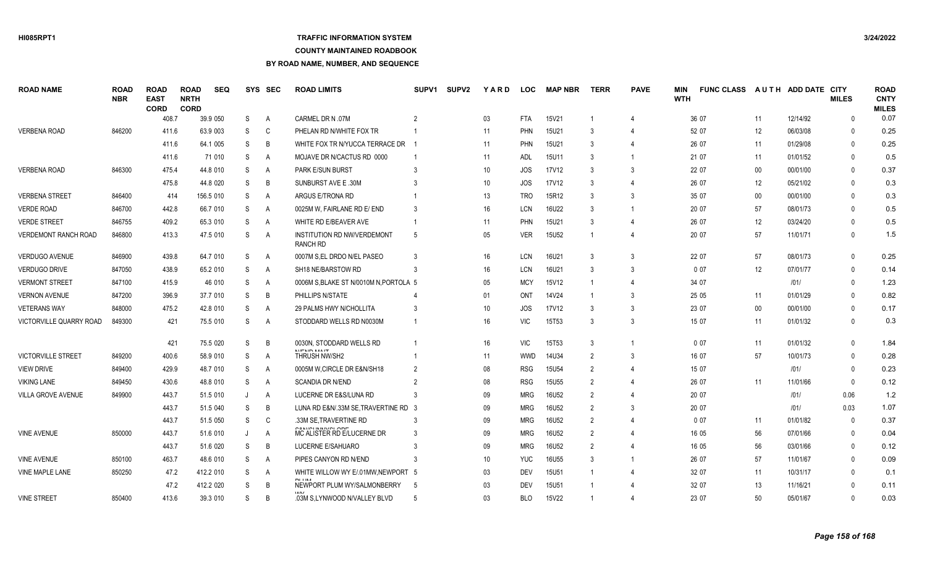### **TRAFFIC INFORMATION SYSTEM**

**COUNTY MAINTAINED ROADBOOK**

| <b>ROAD NAME</b>            | <b>ROAD</b><br><b>NBR</b> | <b>ROAD</b><br><b>EAST</b><br><b>CORD</b> | <b>ROAD</b><br><b>NRTH</b><br><b>CORD</b> | <b>SEQ</b> | <b>SYS</b> | <b>SEC</b>     | <b>ROAD LIMITS</b>                         | SUPV <sub>1</sub> | <b>SUPV2</b> | YARD            | <b>LOC</b> | <b>MAP NBR</b>    | <b>TERR</b>    | <b>PAVE</b>    | MIN<br><b>WTH</b> | <b>FUNC CLASS</b> |        | AUTH ADD DATE CITY | <b>MILES</b> | <b>ROAD</b><br><b>CNTY</b><br><b>MILES</b> |
|-----------------------------|---------------------------|-------------------------------------------|-------------------------------------------|------------|------------|----------------|--------------------------------------------|-------------------|--------------|-----------------|------------|-------------------|----------------|----------------|-------------------|-------------------|--------|--------------------|--------------|--------------------------------------------|
|                             |                           | 408.7                                     |                                           | 39.9 050   | S          | $\overline{A}$ | CARMEL DR N .07M                           | 2                 |              | 03              | FTA        | 15V21             |                |                |                   | 36 07             | 11     | 12/14/92           | $\Omega$     | 0.07                                       |
| <b>VERBENA ROAD</b>         | 846200                    | 411.6                                     |                                           | 63.9 003   | S          | C              | PHELAN RD N/WHITE FOX TR                   |                   |              | 11              | <b>PHN</b> | 15U21             | -3             | 4              |                   | 52 07             | 12     | 06/03/08           | $\mathbf{0}$ | 0.25                                       |
|                             |                           | 411.6                                     |                                           | 64.1 005   | S          | B              | WHITE FOX TR N/YUCCA TERRACE DR            |                   |              | 11              | <b>PHN</b> | 15U21             |                | 4              |                   | 26 07             | 11     | 01/29/08           | $\Omega$     | 0.25                                       |
|                             |                           | 411.6                                     |                                           | 71 010     | S          | A              | MOJAVE DR N/CACTUS RD 0000                 |                   |              | 11              | ADL        | 15U11             | 3              | $\overline{1}$ |                   | 21 07             | 11     | 01/01/52           | $\Omega$     | 0.5                                        |
| <b>VERBENA ROAD</b>         | 846300                    | 475.4                                     |                                           | 44.8 010   | S          | A              | PARK E/SUN BURST                           |                   |              | 10              | JOS        | 17V12             | 3              | 3              |                   | 22 07             | $00\,$ | 00/01/00           | $\Omega$     | 0.37                                       |
|                             |                           | 475.8                                     |                                           | 44.8 020   | S          | B              | SUNBURST AVE E .30M                        |                   |              | 10              | <b>JOS</b> | 17V12             |                | $\overline{4}$ |                   | 26 07             | 12     | 05/21/02           | $\Omega$     | 0.3                                        |
| <b>VERBENA STREET</b>       | 846400                    | 414                                       |                                           | 156.5 010  | S          | A              | ARGUS E/TRONA RD                           |                   |              | 13              | <b>TRO</b> | 15R12             | 3              | 3              |                   | 35 07             | $00\,$ | 00/01/00           | $\Omega$     | 0.3                                        |
| <b>VERDE ROAD</b>           | 846700                    | 442.8                                     |                                           | 66.7 010   | S          | A              | 0025M W, FAIRLANE RD E/ END                |                   |              | 16              | <b>LCN</b> | 16U22             |                | $\overline{1}$ |                   | 20 07             | 57     | 08/01/73           | $\mathbf{0}$ | 0.5                                        |
| <b>VERDE STREET</b>         | 846755                    | 409.2                                     |                                           | 65.3 010   | S          | A              | WHITE RD E/BEAVER AVE                      |                   |              | 11              | <b>PHN</b> | 15U21             | 3              | 4              |                   | 26 07             | 12     | 03/24/20           | $\Omega$     | 0.5                                        |
| <b>VERDEMONT RANCH ROAD</b> | 846800                    | 413.3                                     |                                           | 47.5 010   | S          | $\overline{A}$ | INSTITUTION RD NW/VERDEMONT<br>RANCH RD    |                   |              | $05\,$          | <b>VER</b> | 15U52             |                | 4              |                   | 20 07             | 57     | 11/01/71           | $\Omega$     | 1.5                                        |
| <b>VERDUGO AVENUE</b>       | 846900                    | 439.8                                     |                                           | 64.7 010   | S          | A              | 0007M S.EL DRDO N/EL PASEO                 | 3                 |              | 16              | LCN        | 16U21             | 3              | 3              |                   | 22 07             | 57     | 08/01/73           | $\Omega$     | 0.25                                       |
| <b>VERDUGO DRIVE</b>        | 847050                    | 438.9                                     |                                           | 65.2 010   | S          | A              | SH18 NE/BARSTOW RD                         |                   |              | 16              | <b>LCN</b> | 16U21             | 3              | 3              |                   | 007               | 12     | 07/01/77           | $\Omega$     | 0.14                                       |
| <b>VERMONT STREET</b>       | 847100                    | 415.9                                     |                                           | 46 010     | S          | A              | 0006M S, BLAKE ST N/0010M N, PORTOLA 5     |                   |              | 05              | <b>MCY</b> | 15V12             |                | 4              |                   | 34 07             |        | 1011               | $\Omega$     | 1.23                                       |
| <b>VERNON AVENUE</b>        | 847200                    | 396.9                                     |                                           | 37.7 010   | S          | B              | PHILLIPS N/STATE                           |                   |              | 01              | ONT        | 14V24             |                | 3              |                   | 25 05             | 11     | 01/01/29           | $\Omega$     | 0.82                                       |
| <b>VETERANS WAY</b>         | 848000                    | 475.2                                     |                                           | 42.8 010   | S          | A              | 29 PALMS HWY N/CHOLLITA                    |                   |              | 10 <sup>°</sup> | <b>JOS</b> | 17V12             | 3              | 3              |                   | 23 07             | $00\,$ | 00/01/00           | $\Omega$     | 0.17                                       |
| VICTORVILLE QUARRY ROAD     | 849300                    | 421                                       |                                           | 75.5 010   | S          | A              | STODDARD WELLS RD N0030M                   |                   |              | 16              | <b>VIC</b> | 15T53             | 3              | 3              |                   | 15 07             | 11     | 01/01/32           | $\mathbf{0}$ | 0.3                                        |
|                             |                           | 421                                       |                                           | 75.5 020   | S          | B              | 0030N, STODDARD WELLS RD<br>NUCKID MAIT    |                   |              | 16              | <b>VIC</b> | 15T53             | 3              | $\overline{1}$ |                   | 007               | 11     | 01/01/32           | $\Omega$     | 1.84                                       |
| <b>VICTORVILLE STREET</b>   | 849200                    | 400.6                                     |                                           | 58.9 010   | S          | A              | THRUSH NW/SH2                              |                   |              | 11              | <b>WWD</b> | 14U34             |                | 3              |                   | 16 07             | 57     | 10/01/73           | $\mathbf{0}$ | 0.28                                       |
| <b>VIEW DRIVE</b>           | 849400                    | 429.9                                     |                                           | 48.7 010   | S          | A              | 0005M W.CIRCLE DR E&N/SH18                 | $\overline{2}$    |              | 08              | <b>RSG</b> | 15U54             | $\overline{2}$ |                |                   | 15 07             |        | 1011               | $\Omega$     | 0.23                                       |
| <b>VIKING LANE</b>          | 849450                    | 430.6                                     |                                           | 48.8 010   | S          | A              | <b>SCANDIA DR N/END</b>                    |                   |              | 08              | <b>RSG</b> | 15U55             | $\mathcal{P}$  | 4              |                   | 26 07             | 11     | 11/01/66           | $\Omega$     | 0.12                                       |
| VILLA GROVE AVENUE          | 849900                    | 443.7                                     |                                           | 51.5 010   |            | A              | LUCERNE DR E&S/LUNA RD                     |                   |              | 09              | <b>MRG</b> | 16U52             | 2              | 4              |                   | 20 07             |        | 1011               | 0.06         | 1.2                                        |
|                             |                           | 443.7                                     |                                           | 51.5 040   | S          | B              | LUNA RD E&N/.33M SE, TRAVERTINE RD 3       |                   |              | 09              | <b>MRG</b> | 16U <sub>52</sub> | $\mathcal{P}$  | 3              |                   | 20 07             |        | 1011               | 0.03         | 1.07                                       |
|                             |                           | 443.7                                     |                                           | 51.5 050   | S          | C              | .33M SE, TRAVERTINE RD<br>CONTINUINING OUT |                   |              | 09              | <b>MRG</b> | 16U52             | $\mathcal{P}$  | $\overline{4}$ |                   | 007               | 11     | 01/01/82           | $\Omega$     | 0.37                                       |
| <b>VINE AVENUE</b>          | 850000                    | 443.7                                     |                                           | 51.6 010   |            | A              | MC ALISTER RD E/LUCERNE DR                 | -3                |              | 09              | <b>MRG</b> | 16U52             | $\overline{2}$ | 4              |                   | 16 05             | 56     | 07/01/66           | $\mathbf{0}$ | 0.04                                       |
|                             |                           | 443.7                                     |                                           | 51.6 020   | S          | B              | LUCERNE E/SAHUARO                          |                   |              | 09              | <b>MRG</b> | 16U52             | $\mathcal{P}$  | 4              |                   | 16 05             | 56     | 03/01/66           | $\mathbf{0}$ | 0.12                                       |
| <b>VINE AVENUE</b>          | 850100                    | 463.7                                     |                                           | 48.6 010   | S          | A              | PIPES CANYON RD N/END                      |                   |              | 10              | <b>YUC</b> | 16U55             |                | -1             |                   | 26 07             | 57     | 11/01/67           | $\Omega$     | 0.09                                       |
| <b>VINE MAPLE LANE</b>      | 850250                    | 47.2                                      |                                           | 412.2 010  | S          | Α              | WHITE WILLOW WY E/.01MW, NEWPORT 5         |                   |              | 03              | <b>DEV</b> | 15U51             |                |                |                   | 32 07             | 11     | 10/31/17           | $\Omega$     | 0.1                                        |
|                             |                           | 47.2                                      |                                           | 412.2 020  | S          | B              | NEWPORT PLUM WY/SALMONBERRY                |                   |              | 03              | <b>DEV</b> | 15U51             |                |                |                   | 32 07             | 13     | 11/16/21           | $\mathsf{O}$ | 0.11                                       |
| <b>VINE STREET</b>          | 850400                    | 413.6                                     |                                           | 39.3 010   | S          | B              | .03M S.LYNWOOD N/VALLEY BLVD               |                   |              | 03              | <b>BLO</b> | 15V22             |                | $\overline{4}$ |                   | 23 07             | 50     | 05/01/67           | $\Omega$     | 0.03                                       |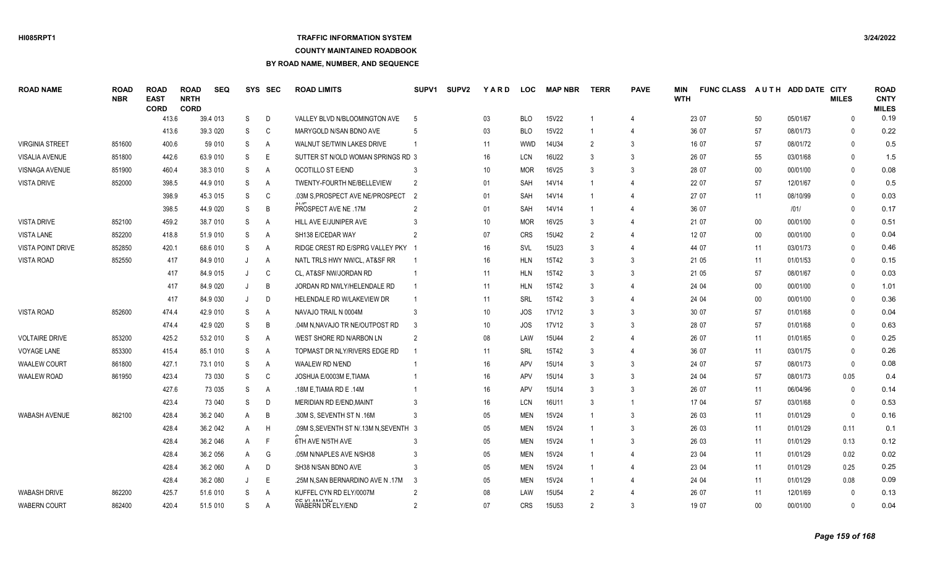### **TRAFFIC INFORMATION SYSTEM**

### **COUNTY MAINTAINED ROADBOOK**

| <b>ROAD NAME</b>         | <b>ROAD</b><br><b>NBR</b> | <b>ROAD</b><br><b>EAST</b><br><b>CORD</b> | <b>ROAD</b><br><b>NRTH</b><br><b>CORD</b> | <b>SEQ</b> | SYS            | <b>SEC</b> | <b>ROAD LIMITS</b>                       | SUPV1          | <b>SUPV2</b> | YARD            | <b>LOC</b> | <b>MAP NBR</b>    | <b>TERR</b>    | <b>PAVE</b>    | MIN<br><b>WTH</b> | <b>FUNC CLASS</b> |        | AUTH ADD DATE CITY | <b>MILES</b> | <b>ROAD</b><br><b>CNTY</b><br><b>MILES</b> |
|--------------------------|---------------------------|-------------------------------------------|-------------------------------------------|------------|----------------|------------|------------------------------------------|----------------|--------------|-----------------|------------|-------------------|----------------|----------------|-------------------|-------------------|--------|--------------------|--------------|--------------------------------------------|
|                          |                           | 413.6                                     |                                           | 39.4 013   | S              | D          | VALLEY BLVD N/BLOOMINGTON AVE            |                |              | 03              | <b>BLO</b> | <b>15V22</b>      |                | 4              |                   | 23 07             | 50     | 05/01/67           | $\mathbf{0}$ | 0.19                                       |
|                          |                           | 413.6                                     |                                           | 39.3 020   | S              | C          | MARYGOLD N/SAN BDNO AVE                  |                |              | 03              | <b>BLO</b> | 15V22             |                | $\overline{4}$ |                   | 36 07             | 57     | 08/01/73           | $\Omega$     | 0.22                                       |
| <b>VIRGINIA STREET</b>   | 851600                    | 400.6                                     |                                           | 59 010     | S              | Α          | WALNUT SE/TWIN LAKES DRIVE               |                |              | 11              | <b>WWD</b> | 14U34             | $\overline{2}$ | 3              |                   | 16 07             | 57     | 08/01/72           | $\mathbf{0}$ | 0.5                                        |
| VISALIA AVENUE           | 851800                    | 442.6                                     |                                           | 63.9 010   | S              | E          | SUTTER ST N/OLD WOMAN SPRINGS RD 3       |                |              | 16              | <b>LCN</b> | 16U22             |                | 3              |                   | 26 07             | 55     | 03/01/68           | $\mathbf{0}$ | 1.5                                        |
| <b>VISNAGA AVENUE</b>    | 851900                    | 460.4                                     |                                           | 38.3 010   | S              | A          | <b>OCOTILLO ST E/END</b>                 |                |              | 10              | <b>MOR</b> | 16V25             |                | 3              |                   | 28 07             | $00\,$ | 00/01/00           | $\Omega$     | 0.08                                       |
| <b>VISTA DRIVE</b>       | 852000                    | 398.5                                     |                                           | 44.9 010   | S              | A          | TWENTY-FOURTH NE/BELLEVIEW               |                |              | 01              | SAH        | 14V14             |                | 4              |                   | 22 07             | 57     | 12/01/67           | $\Omega$     | 0.5                                        |
|                          |                           | 398.9                                     |                                           | 45.3 015   | S              | C          | .03M S.PROSPECT AVE NE/PROSPECT          | $\overline{2}$ |              | 01              | SAH        | 14V14             |                | 4              |                   | 27 07             | 11     | 08/10/99           | $\Omega$     | 0.03                                       |
|                          |                           | 398.5                                     |                                           | 44.9 020   | S              | B          | PROSPECT AVE NE .17M                     | $\mathcal{P}$  |              | 01              | <b>SAH</b> | 14V14             |                | 4              |                   | 36 07             |        | 1011               | $\Omega$     | 0.17                                       |
| <b>VISTA DRIVE</b>       | 852100                    | 459.2                                     |                                           | 38.7 010   | S              | Α          | HILL AVE E/JUNIPER AVE                   |                |              | 10 <sup>°</sup> | <b>MOR</b> | 16V25             | -3             | 4              |                   | 21 07             | 00     | 00/01/00           | $\Omega$     | 0.51                                       |
| <b>VISTA LANE</b>        | 852200                    | 418.8                                     |                                           | 51.9 010   | S              | Α          | SH138 E/CEDAR WAY                        |                |              | 07              | <b>CRS</b> | 15U42             | $\mathcal{P}$  | $\overline{4}$ |                   | 12 07             | $00\,$ | 00/01/00           | $\mathbf{0}$ | 0.04                                       |
| <b>VISTA POINT DRIVE</b> | 852850                    | 420.1                                     |                                           | 68.6 010   | S              | Α          | RIDGE CREST RD E/SPRG VALLEY PKY         |                |              | 16              | SVL        | 15U23             |                | $\overline{4}$ |                   | 44 07             | 11     | 03/01/73           | $\mathbf{0}$ | 0.46                                       |
| <b>VISTA ROAD</b>        | 852550                    | 417                                       |                                           | 84.9 010   | J              | Α          | NATL TRLS HWY NW/CL, AT&SF RR            |                |              | 16              | <b>HLN</b> | 15T42             |                | 3              |                   | 21 05             | 11     | 01/01/53           | $\mathbf{0}$ | 0.15                                       |
|                          |                           | 417                                       |                                           | 84.9 015   | $\cdot$        | C          | CL, AT&SF NW/JORDAN RD                   |                |              | 11              | <b>HLN</b> | 15T42             |                | 3              |                   | 21 05             | 57     | 08/01/67           | $\Omega$     | 0.03                                       |
|                          |                           | 417                                       |                                           | 84.9 020   |                | B          | JORDAN RD NWLY/HELENDALE RD              |                |              | 11              | <b>HLN</b> | 15T42             | $\mathbf{3}$   |                |                   | 24 04             | $00\,$ | 00/01/00           | $\Omega$     | 1.01                                       |
|                          |                           | 417                                       |                                           | 84.9 030   | J              | D          | HELENDALE RD W/LAKEVIEW DR               |                |              | 11              | SRL        | 15T42             |                |                |                   | 24 04             | $00\,$ | 00/01/00           | $\Omega$     | 0.36                                       |
| <b>VISTA ROAD</b>        | 852600                    | 474.4                                     |                                           | 42.9 010   | S              | A          | NAVAJO TRAIL N 0004M                     | 3              |              | 10 <sup>°</sup> | <b>JOS</b> | 17V12             | 3              | 3              |                   | 30 07             | 57     | 01/01/68           | $\Omega$     | 0.04                                       |
|                          |                           | 474.4                                     |                                           | 42.9 020   | S              | B          | .04M N, NAVAJO TR NE/OUTPOST RD          |                |              | 10              | <b>JOS</b> | 17V12             | 3              | 3              |                   | 28 07             | 57     | 01/01/68           | $\Omega$     | 0.63                                       |
| <b>VOLTAIRE DRIVE</b>    | 853200                    | 425.2                                     |                                           | 53.2 010   | S              | Α          | WEST SHORE RD N/ARBON LN                 | -2             |              | 08              | LAW        | 15U44             |                | $\overline{4}$ |                   | 26 07             | 11     | 01/01/65           | $\Omega$     | 0.25                                       |
| <b>VOYAGE LANE</b>       | 853300                    | 415.4                                     |                                           | 85.1 010   | S              | Α          | TOPMAST DR NLY/RIVERS EDGE RD            |                |              | 11              | <b>SRL</b> | 15T42             |                | $\overline{4}$ |                   | 36 07             | 11     | 03/01/75           | $\mathbf{0}$ | 0.26                                       |
| <b>WAALEW COURT</b>      | 861800                    | 427.1                                     |                                           | 73.1 010   | S              | Α          | <b>WAALEW RD N/END</b>                   |                |              | 16              | APV        | 15U14             | 3              | 3              |                   | 24 07             | 57     | 08/01/73           | $\mathbf{0}$ | 0.08                                       |
| <b>WAALEW ROAD</b>       | 861950                    | 423.4                                     |                                           | 73 030     | S              | C          | JOSHUA E/0003M E, TIAMA                  |                |              | 16              | APV        | 15U14             | $\mathcal{R}$  | 3              |                   | 24 04             | 57     | 08/01/73           | 0.05         | 0.4                                        |
|                          |                           | 427.6                                     |                                           | 73 035     | S              | A          | .18M E.TIAMA RD E .14M                   |                |              | 16              | APV        | <b>15U14</b>      |                | 3              |                   | 26 07             | 11     | 06/04/96           | $\Omega$     | 0.14                                       |
|                          |                           | 423.4                                     |                                           | 73 040     | S              | D          | MERIDIAN RD E/END, MAINT                 |                |              | 16              | <b>LCN</b> | 16U11             | 3              | $\overline{1}$ |                   | 17 04             | 57     | 03/01/68           | $\Omega$     | 0.53                                       |
| <b>WABASH AVENUE</b>     | 862100                    | 428.4                                     |                                           | 36.2 040   | A              | B          | .30M S, SEVENTH ST N .16M                |                |              | 05              | <b>MEN</b> | 15V24             |                | 3              |                   | 26 03             | 11     | 01/01/29           | $\mathbf{0}$ | 0.16                                       |
|                          |                           | 428.4                                     |                                           | 36.2 042   | A              | H          | .09M S, SEVENTH ST N/.13M N, SEVENTH 3   |                |              | 05              | <b>MEN</b> | 15V24             |                | 3              |                   | 26 03             | 11     | 01/01/29           | 0.11         | 0.1                                        |
|                          |                           | 428.4                                     |                                           | 36.2 046   | A              | F          | 6TH AVE N/5TH AVE                        |                |              | 05              | <b>MEN</b> | 15V24             |                | 3              |                   | 26 03             | 11     | 01/01/29           | 0.13         | 0.12                                       |
|                          |                           | 428.4                                     |                                           | 36.2 056   | A              | G          | .05M N/NAPLES AVE N/SH38                 |                |              | 05              | <b>MEN</b> | 15V24             |                | $\overline{4}$ |                   | 23 04             | 11     | 01/01/29           | 0.02         | 0.02                                       |
|                          |                           | 428.4                                     |                                           | 36.2 060   | $\overline{A}$ | D          | SH38 N/SAN BDNO AVE                      |                |              | 05              | <b>MEN</b> | 15V24             |                |                |                   | 23 04             | 11     | 01/01/29           | 0.25         | 0.25                                       |
|                          |                           | 428.4                                     |                                           | 36.2 080   | J              | E          | .25M N, SAN BERNARDINO AVE N .17M        | -3             |              | 05              | <b>MEN</b> | 15V24             |                | $\overline{4}$ |                   | 24 04             | 11     | 01/01/29           | 0.08         | 0.09                                       |
| <b>WABASH DRIVE</b>      | 862200                    | 425.7                                     |                                           | 51.6 010   | S              | A          | KUFFEL CYN RD ELY/0007M                  |                |              | 08              | LAW        | 15U <sub>54</sub> |                |                |                   | 26 07             | 11     | 12/01/69           | $\Omega$     | 0.13                                       |
| <b>WABERN COURT</b>      | 862400                    | 420.4                                     |                                           | 51.5 010   | S.             | A          | OF IZLAMATLE<br><b>WABERN DR ELY/END</b> |                |              | 07              | <b>CRS</b> | <b>15U53</b>      | $\mathcal{P}$  | $\mathcal{R}$  |                   | 19 07             | $00\,$ | 00/01/00           | $\Omega$     | 0.04                                       |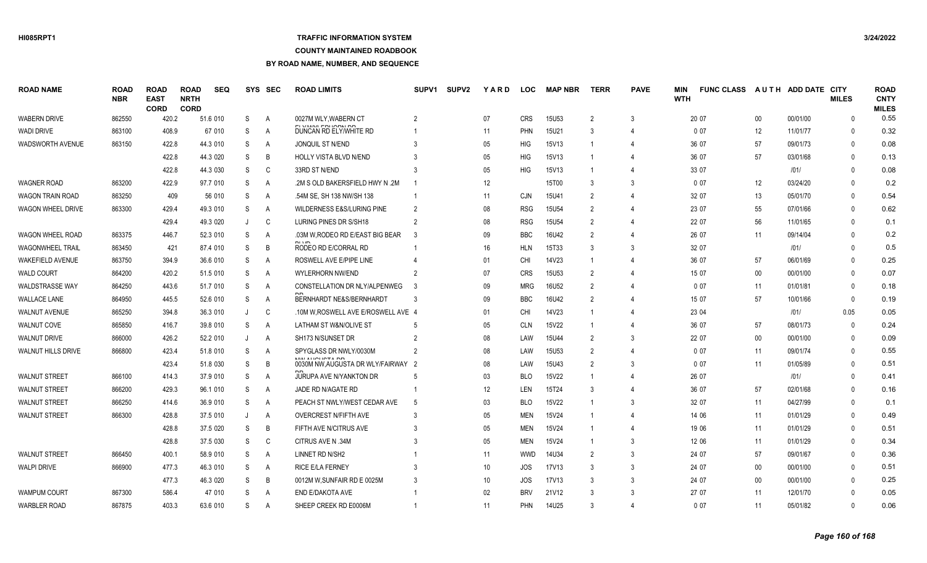## **TRAFFIC INFORMATION SYSTEM**

**COUNTY MAINTAINED ROADBOOK**

| <b>ROAD NAME</b>          | <b>ROAD</b><br><b>NBR</b> | <b>ROAD</b><br><b>EAST</b><br><b>CORD</b> | <b>ROAD</b><br><b>NRTH</b><br><b>CORD</b> | <b>SEQ</b> |    | SYS SEC        | <b>ROAD LIMITS</b>                                     | <b>SUPV1</b>  | <b>SUPV2</b> | YARD | <b>LOC</b> | <b>MAP NBR</b>    | <b>TERR</b>    | <b>PAVE</b>              | MIN<br><b>WTH</b> | <b>FUNC CLASS</b> |                   | AUTH ADD DATE CITY | <b>MILES</b> | <b>ROAD</b><br><b>CNTY</b><br><b>MILES</b> |
|---------------------------|---------------------------|-------------------------------------------|-------------------------------------------|------------|----|----------------|--------------------------------------------------------|---------------|--------------|------|------------|-------------------|----------------|--------------------------|-------------------|-------------------|-------------------|--------------------|--------------|--------------------------------------------|
| <b>WABERN DRIVE</b>       | 862550                    | 420.2                                     |                                           | 51.6 010   | S  | A              | 0027M WLY.WABERN CT                                    | $\mathcal{P}$ |              | 07   | <b>CRS</b> | <b>15U53</b>      | 2              | 3                        |                   | 20 07             | $00\,$            | 00/01/00           | $\mathbf{0}$ | 0.55                                       |
| <b>WADI DRIVE</b>         | 863100                    | 408.9                                     |                                           | 67 010     | S  | A              | <b>ELVALARE EDUCANTAD</b><br>DUNCAN RD ELY/WHITE RD    |               |              | 11   | <b>PHN</b> | 15U21             |                |                          |                   | 0 0 7             | 12                | 11/01/77           | $\Omega$     | 0.32                                       |
| <b>WADSWORTH AVENUE</b>   | 863150                    | 422.8                                     |                                           | 44.3 010   | S  | A              | <b>JONQUIL ST N/END</b>                                |               |              | 05   | HIG        | 15V13             |                | $\overline{4}$           |                   | 36 07             | 57                | 09/01/73           | $\Omega$     | 0.08                                       |
|                           |                           | 422.8                                     |                                           | 44.3 020   | S  | B              | <b>HOLLY VISTA BLVD N/END</b>                          |               |              | 05   | <b>HIG</b> | 15V13             |                | $\overline{4}$           |                   | 36 07             | 57                | 03/01/68           | $\Omega$     | 0.13                                       |
|                           |                           | 422.8                                     |                                           | 44.3 030   | S  | C              | 33RD ST N/END                                          |               |              | 05   | HIG        | 15V13             |                | $\overline{4}$           |                   | 33 07             |                   | 1011               | $\Omega$     | 0.08                                       |
| <b>WAGNER ROAD</b>        | 863200                    | 422.9                                     |                                           | 97.7 010   | S  | A              | .2M S OLD BAKERSFIELD HWY N .2M                        |               |              | 12   |            | 15T00             | 3              | 3                        |                   | 007               | $12 \overline{ }$ | 03/24/20           | $\Omega$     | 0.2                                        |
| WAGON TRAIN ROAD          | 863250                    |                                           | 409                                       | 56 010     | S  | A              | .54M SE, SH 138 NW/SH 138                              |               |              | 11   | <b>CJN</b> | 15U41             | $\mathcal{P}$  |                          |                   | 32 07             | 13                | 05/01/70           | $\Omega$     | 0.54                                       |
| WAGON WHEEL DRIVE         | 863300                    | 429.4                                     |                                           | 49.3 010   | S  | A              | WILDERNESS E&S/LURING PINE                             |               |              | 08   | <b>RSG</b> | <b>15U54</b>      | $\mathcal{P}$  |                          |                   | 23 07             | 55                | 07/01/66           | $\Omega$     | 0.62                                       |
|                           |                           | 429.4                                     |                                           | 49.3 020   |    | C              | LURING PINES DR S/SH18                                 | $\mathcal{P}$ |              | 08   | <b>RSG</b> | 15U54             | $\overline{2}$ | $\overline{4}$           |                   | 22 07             | 56                | 11/01/65           | $\Omega$     | 0.1                                        |
| WAGON WHEEL ROAD          | 863375                    | 446.7                                     |                                           | 52.3 010   | S  | A              | .03M W, RODEO RD E/EAST BIG BEAR                       | -3            |              | 09   | <b>BBC</b> | 16U42             | 2              | $\overline{4}$           |                   | 26 07             | 11                | 09/14/04           | $\mathbf{0}$ | 0.2                                        |
| <b>WAGONWHEEL TRAIL</b>   | 863450                    |                                           | 421                                       | 87.4 010   | S  | B              | D110<br>RODEO RD E/CORRAL RD                           |               |              | 16   | <b>HLN</b> | 15T33             |                | 3                        |                   | 32 07             |                   | 1011               | $\Omega$     | 0.5                                        |
| WAKEFIELD AVENUE          | 863750                    | 394.9                                     |                                           | 36.6 010   | S  | Α              | ROSWELL AVE E/PIPE LINE                                |               |              | 01   | CHI        | 14V23             |                | $\overline{4}$           |                   | 36 07             | 57                | 06/01/69           | $\mathbf{0}$ | 0.25                                       |
| <b>WALD COURT</b>         | 864200                    | 420.2                                     |                                           | 51.5 010   | S  | $\overline{A}$ | <b>WYLERHORN NW/END</b>                                |               |              | 07   | <b>CRS</b> | 15U <sub>53</sub> | $\overline{2}$ |                          |                   | 15 07             | $00\,$            | 00/01/00           | $\Omega$     | 0.07                                       |
| <b>WALDSTRASSE WAY</b>    | 864250                    | 443.6                                     |                                           | 51.7 010   | S  | $\overline{A}$ | CONSTELLATION DR NLY/ALPENWEG                          | -3            |              | 09   | <b>MRG</b> | 16U52             | 2              |                          |                   | 007               | 11                | 01/01/81           | $\Omega$     | 0.18                                       |
| <b>WALLACE LANE</b>       | 864950                    | 445.5                                     |                                           | 52.6 010   | S  | $\overline{A}$ | BERNHARDT NE&S/BERNHARDT                               |               |              | 09   | <b>BBC</b> | 16U42             | $\mathcal{P}$  |                          |                   | 15 07             | 57                | 10/01/66           | $\mathbf{0}$ | 0.19                                       |
| WALNUT AVENUE             | 865250                    | 394.8                                     |                                           | 36.3 010   |    | C              | .10M W, ROSWELL AVE E/ROSWELL AVE 4                    |               |              | 01   | CHI        | 14V23             |                | $\overline{4}$           |                   | 23 04             |                   | 1011               | 0.05         | 0.05                                       |
| WALNUT COVE               | 865850                    | 416.7                                     |                                           | 39.8 010   | S  | $\overline{A}$ | LATHAM ST W&N/OLIVE ST                                 |               |              | 05   | <b>CLN</b> | 15V22             |                | $\overline{4}$           |                   | 36 07             | 57                | 08/01/73           | $\mathbf{0}$ | 0.24                                       |
| <b>WALNUT DRIVE</b>       | 866000                    | 426.2                                     |                                           | 52.2 010   |    | A              | SH173 N/SUNSET DR                                      |               |              | 08   | LAW        | 15U44             | $\overline{2}$ | 3                        |                   | 22 07             | $00\,$            | 00/01/00           | $\mathbf{0}$ | 0.09                                       |
| <b>WALNUT HILLS DRIVE</b> | 866800                    | 423.4                                     |                                           | 51.8 010   | S  | A              | SPYGLASS DR NWLY/0030M                                 | $\mathcal{P}$ |              | 08   | LAW        | <b>15U53</b>      | $\overline{2}$ | $\overline{4}$           |                   | 0 0 7             | 11                | 09/01/74           | $\mathbf{0}$ | 0.55                                       |
|                           |                           | 423.4                                     |                                           | 51.8 030   | S  | B              | ABALALIOLICTA DD<br>0030M NW, AUGUSTA DR WLY/FAIRWAY 2 |               |              | 08   | LAW        | 15U43             | $\overline{2}$ | 3                        |                   | 007               | 11                | 01/05/89           | $\mathbf{0}$ | 0.51                                       |
| <b>WALNUT STREET</b>      | 866100                    | 414.3                                     |                                           | 37.9 010   | S  | $\overline{A}$ | JURUPA AVE N/YANKTON DR                                |               |              | 03   | <b>BLO</b> | 15V22             |                | $\overline{4}$           |                   | 26 07             |                   | 1011               | $\mathbf{0}$ | 0.41                                       |
| <b>WALNUT STREET</b>      | 866200                    | 429.3                                     |                                           | 96.1 010   | S  | $\overline{A}$ | JADE RD N/AGATE RD                                     |               |              | 12   | <b>LEN</b> | 15T24             |                | $\overline{4}$           |                   | 36 07             | 57                | 02/01/68           | $\Omega$     | 0.16                                       |
| <b>WALNUT STREET</b>      | 866250                    | 414.6                                     |                                           | 36.9 010   | S  | A              | PEACH ST NWLY/WEST CEDAR AVE                           | -5            |              | 03   | <b>BLO</b> | 15V22             |                | 3                        |                   | 32 07             | 11                | 04/27/99           | $\Omega$     | 0.1                                        |
| <b>WALNUT STREET</b>      | 866300                    | 428.8                                     |                                           | 37.5 010   | J  | A              | OVERCREST N/FIFTH AVE                                  |               |              | 05   | <b>MEN</b> | 15V24             |                | $\overline{4}$           |                   | 14 06             | 11                | 01/01/29           | $\Omega$     | 0.49                                       |
|                           |                           | 428.8                                     |                                           | 37.5 020   | S  | B              | FIFTH AVE N/CITRUS AVE                                 |               |              | 05   | <b>MEN</b> | 15V24             |                | $\boldsymbol{\varDelta}$ |                   | 19 06             | 11                | 01/01/29           | $\Omega$     | 0.51                                       |
|                           |                           | 428.8                                     |                                           | 37.5 030   | S  | C              | <b>CITRUS AVE N.34M</b>                                |               |              | 05   | <b>MEN</b> | 15V24             |                | 3                        |                   | 12 06             | 11                | 01/01/29           | $\Omega$     | 0.34                                       |
| WALNUT STREET             | 866450                    | 400.1                                     |                                           | 58.9 010   | S  | A              | LINNET RD N/SH2                                        |               |              | 11   | <b>WWD</b> | 14U34             | $\mathcal{P}$  | 3                        |                   | 24 07             | 57                | 09/01/67           | $\Omega$     | 0.36                                       |
| <b>WALPI DRIVE</b>        | 866900                    | 477.3                                     |                                           | 46.3 010   | S  | A              | <b>RICE E/LA FERNEY</b>                                |               |              | 10   | <b>JOS</b> | 17V13             | $\mathbf{3}$   | 3                        |                   | 24 07             | $00\,$            | 00/01/00           | $\Omega$     | 0.51                                       |
|                           |                           | 477.3                                     |                                           | 46.3 020   | S  | B              | 0012M W.SUNFAIR RD E 0025M                             |               |              | 10   | JOS.       | 17V13             |                | 3                        |                   | 24 07             | $00\,$            | 00/01/00           | $\Omega$     | 0.25                                       |
| <b>WAMPUM COURT</b>       | 867300                    | 586.4                                     |                                           | 47 010     | S  | A              | <b>END E/DAKOTA AVE</b>                                |               |              | 02   | <b>BRV</b> | 21V12             |                | 3                        |                   | 27 07             | 11                | 12/01/70           | $\Omega$     | 0.05                                       |
| <b>WARBLER ROAD</b>       | 867875                    | 403.3                                     |                                           | 63.6 010   | S. | A              | SHEEP CREEK RD E0006M                                  |               |              | 11   | <b>PHN</b> | 14U25             | $\mathcal{R}$  | Δ                        |                   | 0.07              | 11                | 05/01/82           | $\Omega$     | 0.06                                       |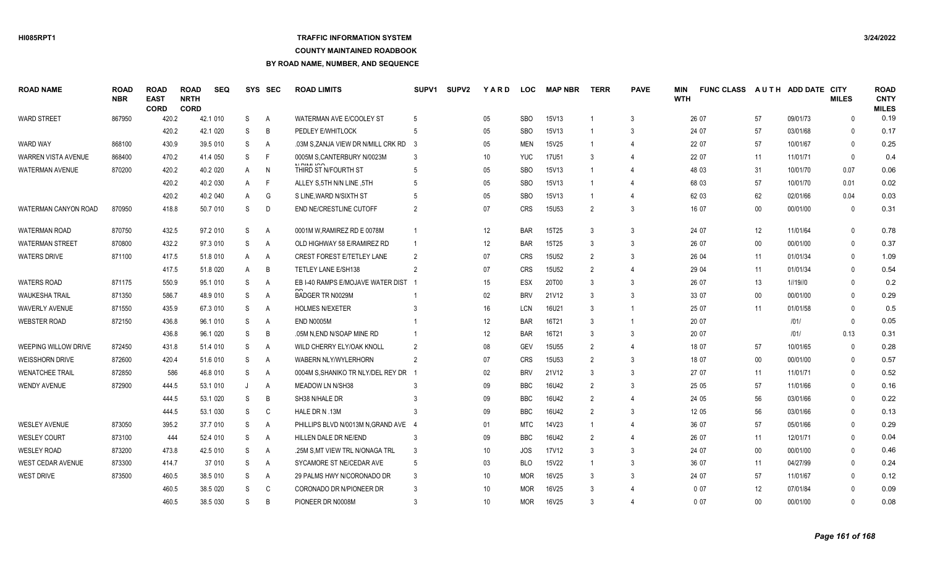## **TRAFFIC INFORMATION SYSTEM**

#### **COUNTY MAINTAINED ROADBOOK**

| <b>ROAD NAME</b>         | <b>ROAD</b><br><b>NBR</b> | <b>ROAD</b><br><b>EAST</b><br><b>CORD</b> | <b>ROAD</b><br><b>NRTH</b><br><b>CORD</b> | <b>SEQ</b> | <b>SYS</b> | SEC            | <b>ROAD LIMITS</b>                   | <b>SUPV1</b>   | <b>SUPV2</b> | YARD            | <b>LOC</b> | <b>MAP NBR</b> | TERR           | <b>PAVE</b>    | <b>MIN</b><br><b>WTH</b> | <b>FUNC CLASS</b> |        | AUTH ADD DATE CITY | <b>MILES</b> | <b>ROAD</b><br><b>CNTY</b><br><b>MILES</b> |
|--------------------------|---------------------------|-------------------------------------------|-------------------------------------------|------------|------------|----------------|--------------------------------------|----------------|--------------|-----------------|------------|----------------|----------------|----------------|--------------------------|-------------------|--------|--------------------|--------------|--------------------------------------------|
| <b>WARD STREET</b>       | 867950                    | 420.2                                     |                                           | 42.1 010   | S          | Α              | WATERMAN AVE E/COOLEY ST             | -5             |              | 05              | <b>SBO</b> | 15V13          |                | 3              |                          | 26 07             | 57     | 09/01/73           | $\mathbf{0}$ | 0.19                                       |
|                          |                           | 420.2                                     |                                           | 42.1 020   | S          | B              | PEDLEY E/WHITLOCK                    |                |              | 05              | <b>SBO</b> | 15V13          |                | 3              |                          | 24 07             | 57     | 03/01/68           | $\Omega$     | 0.17                                       |
| <b>WARD WAY</b>          | 868100                    | 430.9                                     |                                           | 39.5 010   | S          | $\overline{A}$ | .03M S.ZANJA VIEW DR N/MILL CRK RD 3 |                |              | 05              | <b>MEN</b> | 15V25          |                | $\overline{4}$ |                          | 22 07             | 57     | 10/01/67           | $\Omega$     | 0.25                                       |
| WARREN VISTA AVENUE      | 868400                    | 470.2                                     |                                           | 41.4 050   | S          | F              | 0005M S.CANTERBURY N/0023M           | -3             |              | 10              | <b>YUC</b> | <b>17U51</b>   | 3              | $\overline{4}$ |                          | 22 07             | 11     | 11/01/71           | $\mathbf{0}$ | 0.4                                        |
| <b>WATERMAN AVENUE</b>   | 870200                    | 420.2                                     |                                           | 40.2 020   | A          | N              | 1.511100<br>THIRD ST N/FOURTH ST     |                |              | 05              | <b>SBO</b> | 15V13          |                | $\overline{4}$ |                          | 48 03             | 31     | 10/01/70           | 0.07         | 0.06                                       |
|                          |                           | 420.2                                     |                                           | 40.2 030   | A          | F              | ALLEY S.5TH N/N LINE .5TH            | -5             |              | 05              | <b>SBO</b> | <b>15V13</b>   |                | 4              |                          | 68 03             | 57     | 10/01/70           | 0.01         | 0.02                                       |
|                          |                           | 420.2                                     |                                           | 40.2 040   | A          | G              | S LINE, WARD N/SIXTH ST              |                |              | 05              | <b>SBO</b> | 15V13          |                | 4              |                          | 62 03             | 62     | 02/01/66           | 0.04         | 0.03                                       |
| WATERMAN CANYON ROAD     | 870950                    | 418.8                                     |                                           | 50.7 010   | S          | D              | END NE/CRESTLINE CUTOFF              | $\overline{2}$ |              | 07              | <b>CRS</b> | 15U53          | $\overline{2}$ | 3              |                          | 16 07             | $00\,$ | 00/01/00           | $\mathbf{0}$ | 0.31                                       |
| <b>WATERMAN ROAD</b>     | 870750                    | 432.5                                     |                                           | 97.2 010   | S          | $\overline{A}$ | 0001M W.RAMIREZ RD E 0078M           |                |              | 12              | <b>BAR</b> | 15T25          | 3              | 3              |                          | 24 07             | 12     | 11/01/64           | $\Omega$     | 0.78                                       |
| <b>WATERMAN STREET</b>   | 870800                    | 432.2                                     |                                           | 97.3 010   | S          | $\overline{A}$ | OLD HIGHWAY 58 E/RAMIREZ RD          |                |              | 12              | <b>BAR</b> | 15T25          | 3              | 3              |                          | 26 07             | $00\,$ | 00/01/00           | $\mathbf{0}$ | 0.37                                       |
| <b>WATERS DRIVE</b>      | 871100                    | 417.5                                     |                                           | 51.8 010   | A          | A              | <b>CREST FOREST E/TETLEY LANE</b>    | $\overline{2}$ |              | 07              | <b>CRS</b> | <b>15U52</b>   | $\mathfrak{p}$ | 3              |                          | 26 04             | 11     | 01/01/34           | $\Omega$     | 1.09                                       |
|                          |                           | 417.5                                     |                                           | 51.8 020   | A          | B              | <b>TETLEY LANE E/SH138</b>           |                |              | 07              | <b>CRS</b> | <b>15U52</b>   | $\mathcal{P}$  | 4              |                          | 29 04             | 11     | 01/01/34           | $\Omega$     | 0.54                                       |
| <b>WATERS ROAD</b>       | 871175                    | 550.9                                     |                                           | 95.1 010   | S          | A              | EB I-40 RAMPS E/MOJAVE WATER DIST    |                |              | 15              | <b>ESX</b> | 20T00          | 3              | 3              |                          | 26 07             | 13     | 1//19//0           | $\Omega$     | 0.2                                        |
| <b>WAUKESHA TRAIL</b>    | 871350                    | 586.7                                     |                                           | 48.9 010   | S          | $\overline{A}$ | BADGER TR N0029M                     |                |              | 02              | <b>BRV</b> | 21V12          | 3              | 3              |                          | 33 07             | $00\,$ | 00/01/00           | $\Omega$     | 0.29                                       |
| <b>WAVERLY AVENUE</b>    | 871550                    | 435.9                                     |                                           | 67.3 010   | S          | Α              | <b>HOLMES N/EXETER</b>               |                |              | 16              | <b>LCN</b> | 16U21          | 3              | $\overline{1}$ |                          | 25 07             | 11     | 01/01/58           | $\Omega$     | 0.5                                        |
| <b>WEBSTER ROAD</b>      | 872150                    | 436.8                                     |                                           | 96.1 010   | S          | $\overline{A}$ | END N0005M                           |                |              | 12              | <b>BAR</b> | 16T21          | 3              | $\overline{1}$ |                          | 20 07             |        | /01/               | $\Omega$     | 0.05                                       |
|                          |                           | 436.8                                     |                                           | 96.1 020   | S          | B              | 05M N, END N/SOAP MINE RD            |                |              | 12              | <b>BAR</b> | 16T21          | 3              | 3              |                          | 20 07             |        | 1011               | 0.13         | 0.31                                       |
| WEEPING WILLOW DRIVE     | 872450                    | 431.8                                     |                                           | 51.4 010   | S          | $\overline{A}$ | WILD CHERRY ELY/OAK KNOLL            | $\overline{2}$ |              | $08\,$          | GEV        | 15U55          | $\overline{2}$ | 4              |                          | 18 07             | 57     | 10/01/65           | $\mathbf{0}$ | 0.28                                       |
| <b>WEISSHORN DRIVE</b>   | 872600                    | 420.4                                     |                                           | 51.6 010   | S          | Α              | WABERN NLY/WYLERHORN                 | $\mathcal{P}$  |              | 07              | <b>CRS</b> | <b>15U53</b>   | $\mathcal{P}$  | 3              |                          | 18 07             | $00\,$ | 00/01/00           | $\Omega$     | 0.57                                       |
| WENATCHEE TRAIL          | 872850                    |                                           | 586                                       | 46.8 010   | S          | A              | 0004M S.SHANIKO TR NLY/DEL REY DR    |                |              | 02              | <b>BRV</b> | 21V12          | 3              | 3              |                          | 27 07             | 11     | 11/01/71           | $\Omega$     | 0.52                                       |
| <b>WENDY AVENUE</b>      | 872900                    | 444.5                                     |                                           | 53.1 010   |            | $\overline{A}$ | MEADOW LN N/SH38                     |                |              | 09              | <b>BBC</b> | 16U42          | 2              | 3              |                          | 25 05             | 57     | 11/01/66           | $\Omega$     | 0.16                                       |
|                          |                           | 444.5                                     |                                           | 53.1 020   | S          | B              | SH38 N/HALE DR                       |                |              | 09              | <b>BBC</b> | 16U42          | $\mathcal{P}$  | $\overline{4}$ |                          | 24 05             | 56     | 03/01/66           | $\Omega$     | 0.22                                       |
|                          |                           | 444.5                                     |                                           | 53.1 030   | S          | C              | HALE DR N .13M                       |                |              | 09              | <b>BBC</b> | 16U42          | $\mathfrak{p}$ | 3              |                          | 12 05             | 56     | 03/01/66           | $\Omega$     | 0.13                                       |
| <b>WESLEY AVENUE</b>     | 873050                    | 395.2                                     |                                           | 37.7 010   | S          | A              | PHILLIPS BLVD N/0013M N, GRAND AVE 4 |                |              | 01              | <b>MTC</b> | 14V23          |                | 4              |                          | 36 07             | 57     | 05/01/66           | $\Omega$     | 0.29                                       |
| <b>WESLEY COURT</b>      | 873100                    | 444                                       |                                           | 52.4 010   | S          | Α              | HILLEN DALE DR NE/END                |                |              | 09              | BBC        | 16U42          |                | $\overline{4}$ |                          | 26 07             | 11     | 12/01/71           | $\mathbf{0}$ | 0.04                                       |
| WESLEY ROAD              | 873200                    | 473.8                                     |                                           | 42.5 010   | S          | Α              | .25M S.MT VIEW TRL N/ONAGA TRL       | 3              |              | 10              | JOS        | 17V12          | 3              | 3              |                          | 24 07             | $00\,$ | 00/01/00           | $\Omega$     | 0.46                                       |
| <b>WEST CEDAR AVENUE</b> | 873300                    | 414.7                                     |                                           | 37 010     | S          | A              | SYCAMORE ST NE/CEDAR AVE             | -5             |              | 03              | <b>BLO</b> | 15V22          |                | 3              |                          | 36 07             | 11     | 04/27/99           | $\Omega$     | 0.24                                       |
| <b>WEST DRIVE</b>        | 873500                    | 460.5                                     |                                           | 38.5 010   | S          | A              | 29 PALMS HWY N/CORONADO DR           | 3              |              | 10              | <b>MOR</b> | 16V25          | 3              | 3              |                          | 24 07             | 57     | 11/01/67           | $\Omega$     | 0.12                                       |
|                          |                           | 460.5                                     |                                           | 38.5 020   | S          | C              | CORONADO DR N/PIONEER DR             |                |              | 10              | <b>MOR</b> | 16V25          |                |                |                          | 007               | 12     | 07/01/84           | $\Omega$     | 0.09                                       |
|                          |                           | 460.5                                     |                                           | 38.5 030   | S          | B              | PIONEER DR N0008M                    |                |              | 10 <sup>1</sup> | <b>MOR</b> | 16V25          | $\mathcal{R}$  | $\overline{4}$ |                          | 007               | $00\,$ | 00/01/00           | $\Omega$     | 0.08                                       |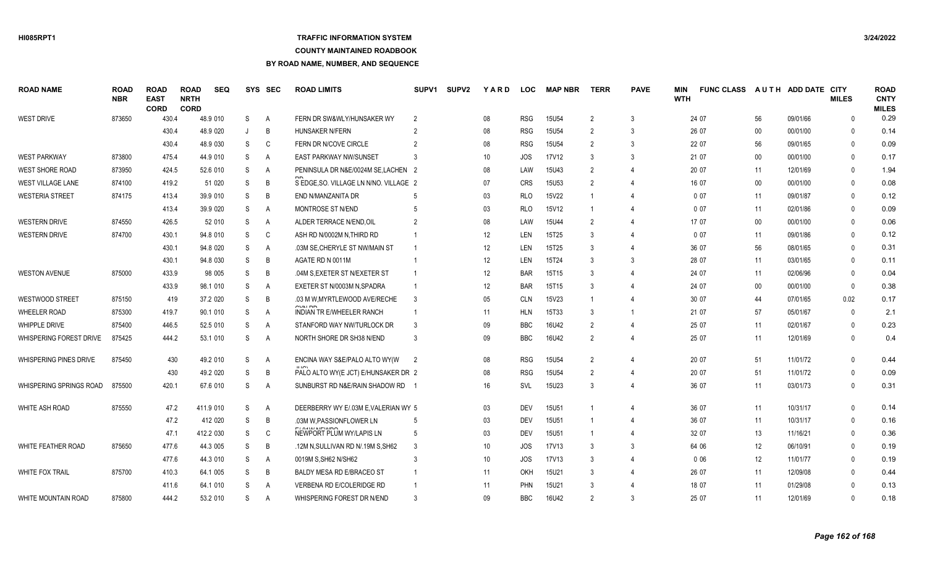## **TRAFFIC INFORMATION SYSTEM**

#### **COUNTY MAINTAINED ROADBOOK**

| <b>ROAD NAME</b>              | ROAD<br><b>NBR</b> | <b>ROAD</b><br><b>EAST</b><br><b>CORD</b> | <b>ROAD</b><br><b>NRTH</b><br><b>CORD</b> | <b>SEQ</b> | <b>SYS</b> | <b>SEC</b>     | <b>ROAD LIMITS</b>                     | SUPV1         | <b>SUPV2</b> | YARD | <b>LOC</b> | <b>MAP NBR</b>    | <b>TERR</b>    | <b>PAVE</b>    | MIN<br><b>WTH</b> | <b>FUNC CLASS</b> |        | AUTH ADD DATE | <b>CITY</b><br><b>MILES</b> | <b>ROAD</b><br><b>CNTY</b><br><b>MILES</b> |
|-------------------------------|--------------------|-------------------------------------------|-------------------------------------------|------------|------------|----------------|----------------------------------------|---------------|--------------|------|------------|-------------------|----------------|----------------|-------------------|-------------------|--------|---------------|-----------------------------|--------------------------------------------|
| <b>WEST DRIVE</b>             | 873650             | 430.4                                     |                                           | 48.9 010   | S          | $\overline{A}$ | FERN DR SW&WLY/HUNSAKER WY             | $\mathcal{P}$ |              | 08   | <b>RSG</b> | <b>15U54</b>      | $\overline{2}$ | 3              |                   | 24 07             | 56     | 09/01/66      | $\Omega$                    | 0.29                                       |
|                               |                    | 430.4                                     |                                           | 48.9 020   |            | B              | <b>HUNSAKER N/FERN</b>                 |               |              | 08   | <b>RSG</b> | 15U54             | -2             | 3              |                   | 26 07             | 00     | 00/01/00      | $\mathbf{0}$                | 0.14                                       |
|                               |                    | 430.4                                     |                                           | 48.9 030   | S          | C              | FERN DR N/COVE CIRCLE                  |               |              | 08   | <b>RSG</b> | <b>15U54</b>      | $\mathcal{P}$  | 3              |                   | 22 07             | 56     | 09/01/65      | $\Omega$                    | 0.09                                       |
| <b>WEST PARKWAY</b>           | 873800             | 475.4                                     |                                           | 44.9 010   | S          | A              | <b>EAST PARKWAY NW/SUNSET</b>          |               |              | 10   | <b>JOS</b> | 17V12             |                | 3              |                   | 21 07             | $00\,$ | 00/01/00      | $\Omega$                    | 0.17                                       |
| <b>WEST SHORE ROAD</b>        | 873950             | 424.5                                     |                                           | 52.6 010   | S          | A              | PENINSULA DR N&E/0024M SE, LACHEN 2    |               |              | 08   | LAW        | 15U43             | $\overline{2}$ |                |                   | 20 07             | 11     | 12/01/69      | $\mathbf{0}$                | 1.94                                       |
| <b>WEST VILLAGE LANE</b>      | 874100             | 419.2                                     |                                           | 51 020     | S          | B              | S EDGE, SO. VILLAGE LN N/NO. VILLAGE 2 |               |              | 07   | <b>CRS</b> | 15U53             | 2              |                |                   | 16 07             | $00\,$ | 00/01/00      | $\Omega$                    | 0.08                                       |
| <b>WESTERIA STREET</b>        | 874175             | 413.4                                     |                                           | 39.9 010   | S          | B              | END N/MANZANITA DR                     |               |              | 03   | <b>RLO</b> | 15V22             |                |                |                   | 007               | 11     | 09/01/87      | $\Omega$                    | 0.12                                       |
|                               |                    | 413.4                                     |                                           | 39.9 020   | S          | A              | MONTROSE ST N/END                      |               |              | 03   | <b>RLO</b> | 15V12             |                |                |                   | 007               | 11     | 02/01/86      | $\Omega$                    | 0.09                                       |
| <b>WESTERN DRIVE</b>          | 874550             | 426.5                                     |                                           | 52 010     | S          | A              | ALDER TERRACE N/END, OIL               |               |              | 08   | LAW        | 15U44             | 2              |                |                   | 17 07             | 00     | 00/01/00      | $\Omega$                    | 0.06                                       |
| <b>WESTERN DRIVE</b>          | 874700             | 430.1                                     |                                           | 94.8 010   | S          | C              | ASH RD N/0002M N, THIRD RD             |               |              | 12   | <b>LEN</b> | 15T25             |                |                |                   | 007               | 11     | 09/01/86      | $\mathbf{0}$                | 0.12                                       |
|                               |                    | 430.1                                     |                                           | 94.8 020   | S          | A              | .03M SE.CHERYLE ST NW/MAIN ST          |               |              | 12   | LEN        | 15T25             |                |                |                   | 36 07             | 56     | 08/01/65      | $\Omega$                    | 0.31                                       |
|                               |                    | 430.1                                     |                                           | 94.8 030   | S          | B              | AGATE RD N 0011M                       |               |              | 12   | LEN        | 15T24             | 3              | 3              |                   | 28 07             | 11     | 03/01/65      | $\mathbf{0}$                | 0.11                                       |
| <b>WESTON AVENUE</b>          | 875000             | 433.9                                     |                                           | 98 005     | S          | B              | .04M S, EXETER ST N/EXETER ST          |               |              | 12   | <b>BAR</b> | 15T15             |                |                |                   | 24 07             | 11     | 02/06/96      | $\Omega$                    | 0.04                                       |
|                               |                    | 433.9                                     |                                           | 98.1 010   | S          | $\overline{A}$ | EXETER ST N/0003M N, SPADRA            |               |              | 12   | <b>BAR</b> | 15T15             | 3              | $\overline{4}$ |                   | 24 07             | 00     | 00/01/00      | $\Omega$                    | 0.38                                       |
| <b>WESTWOOD STREET</b>        | 875150             | 419                                       |                                           | 37.2 020   | S          | B              | .03 M W, MYRTLEWOOD AVE/RECHE<br>Q(M)  | -3            |              | 05   | <b>CLN</b> | 15V23             |                | 4              |                   | 30 07             | 44     | 07/01/65      | 0.02                        | 0.17                                       |
| <b>WHEELER ROAD</b>           | 875300             | 419.7                                     |                                           | 90.1 010   | S          | A              | <b>INDIAN TR E/WHEELER RANCH</b>       |               |              | 11   | <b>HLN</b> | 15T33             |                |                |                   | 21 07             | 57     | 05/01/67      | $\mathbf{0}$                | 2.1                                        |
| <b>WHIPPLE DRIVE</b>          | 875400             | 446.5                                     |                                           | 52.5 010   | S          | Α              | STANFORD WAY NW/TURLOCK DR             | -3            |              | 09   | <b>BBC</b> | 16U42             | $\overline{2}$ | 4              |                   | 25 07             | 11     | 02/01/67      | $\Omega$                    | 0.23                                       |
| WHISPERING FOREST DRIVE       | 875425             | 444.2                                     |                                           | 53.1 010   | S          | $\overline{A}$ | NORTH SHORE DR SH38 N/END              |               |              | 09   | <b>BBC</b> | 16U42             | 2              | $\overline{4}$ |                   | 25 07             | 11     | 12/01/69      | $\Omega$                    | 0.4                                        |
| <b>WHISPERING PINES DRIVE</b> | 875450             | 430                                       |                                           | 49.2 010   | S          | A              | ENCINA WAY S&E/PALO ALTO WY(W          | 2             |              | 08   | <b>RSG</b> | 15U <sub>54</sub> | $\overline{2}$ | $\overline{4}$ |                   | 20 07             | 51     | 11/01/72      | $\mathbf{0}$                | 0.44                                       |
|                               |                    | 430                                       |                                           | 49.2 020   | S          | B              | PALO ALTO WY(E JCT) E/HUNSAKER DR 2    |               |              | 08   | <b>RSG</b> | <b>15U54</b>      | $\mathcal{P}$  |                |                   | 20 07             | 51     | 11/01/72      | $\Omega$                    | 0.09                                       |
| WHISPERING SPRINGS ROAD       | 875500             | 420.1                                     |                                           | 67.6 010   | S          | A              | SUNBURST RD N&E/RAIN SHADOW RD         |               |              | 16   | SVL        | 15U23             | 3              | $\overline{4}$ |                   | 36 07             | 11     | 03/01/73      | $\mathbf{0}$                | 0.31                                       |
| <b>WHITE ASH ROAD</b>         | 875550             | 47.2                                      |                                           | 411.9 010  | S          | $\overline{A}$ | DEERBERRY WY E/.03M E.VALERIAN WY 5    |               |              | 03   | <b>DEV</b> | <b>15U51</b>      |                |                |                   | 36 07             | 11     | 10/31/17      | $\Omega$                    | 0.14                                       |
|                               |                    | 47.2                                      |                                           | 412 020    | S          | B              | .03M W, PASSIONFLOWER LN               |               |              | 03   | <b>DEV</b> | <b>15U51</b>      |                |                |                   | 36 07             | 11     | 10/31/17      | $\mathbf{0}$                | 0.16                                       |
|                               |                    | 47.1                                      |                                           | 412.2 030  | S          | C              | NEWPORT PLUM WY/LAPIS LN               | -5            |              | 03   | DEV        | 15U51             |                | 4              |                   | 32 07             | 13     | 11/16/21      | $\Omega$                    | 0.36                                       |
| WHITE FEATHER ROAD            | 875650             | 477.6                                     |                                           | 44.3 005   | S          | B              | .12M N, SULLIVAN RD N/.19M S, SH62     |               |              | 10   | JOS.       | 17V13             | 3              | 3              |                   | 64 06             | 12     | 06/10/91      | $\mathbf{0}$                | 0.19                                       |
|                               |                    | 477.6                                     |                                           | 44.3 010   | S          | A              | 0019M S, SH62 N/SH62                   |               |              | 10   | JOS        | 17V13             |                |                |                   | 006               | 12     | 11/01/77      | $\mathbf{0}$                | 0.19                                       |
| <b>WHITE FOX TRAIL</b>        | 875700             | 410.3                                     |                                           | 64.1 005   | S          | B              | BALDY MESA RD E/BRACEO ST              |               |              | 11   | <b>OKH</b> | 15U21             | 3              |                |                   | 26 07             | 11     | 12/09/08      | $\Omega$                    | 0.44                                       |
|                               |                    | 411.6                                     |                                           | 64.1 010   | S          | A              | <b>VERBENA RD E/COLERIDGE RD</b>       |               |              | 11   | <b>PHN</b> | 15U21             |                |                |                   | 18 07             | 11     | 01/29/08      | $\Omega$                    | 0.13                                       |
| <b>WHITE MOUNTAIN ROAD</b>    | 875800             | 444.2                                     |                                           | 53.2 010   | S          | A              | WHISPERING FOREST DR N/END             |               |              | 09   | <b>BBC</b> | 16U42             | $\mathcal{P}$  | $\mathcal{R}$  |                   | 25 07             | 11     | 12/01/69      | $\Omega$                    | 0.18                                       |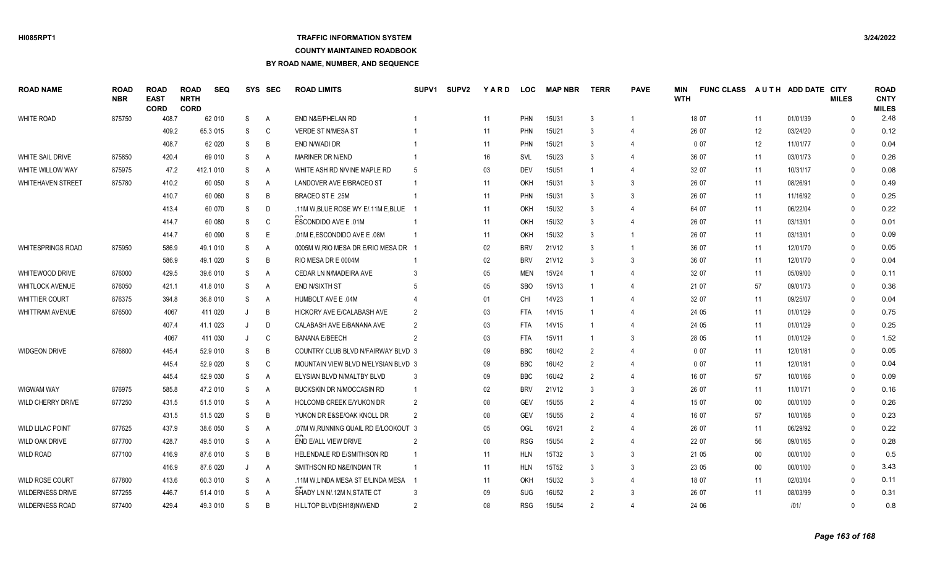## **TRAFFIC INFORMATION SYSTEM**

#### **COUNTY MAINTAINED ROADBOOK**

| <b>ROAD NAME</b>         | <b>ROAD</b><br><b>NBR</b> | <b>ROAD</b><br><b>EAST</b><br><b>CORD</b> | <b>ROAD</b><br><b>NRTH</b><br><b>CORD</b> | <b>SEQ</b> | SYS     | <b>SEC</b> | <b>ROAD LIMITS</b>                  | <b>SUPV1</b>   | <b>SUPV2</b> | <b>YARD</b> | <b>LOC</b> | <b>MAP NBR</b>    | <b>TERR</b>    | <b>PAVE</b>    | MIN<br><b>WTH</b> | <b>FUNC CLASS</b> |        | AUTH ADD DATE CITY | <b>MILES</b> | <b>ROAD</b><br><b>CNTY</b><br><b>MILES</b> |
|--------------------------|---------------------------|-------------------------------------------|-------------------------------------------|------------|---------|------------|-------------------------------------|----------------|--------------|-------------|------------|-------------------|----------------|----------------|-------------------|-------------------|--------|--------------------|--------------|--------------------------------------------|
| <b>WHITE ROAD</b>        | 875750                    | 408.7                                     |                                           | 62 010     | S.      | A          | END N&E/PHELAN RD                   |                |              | 11          | <b>PHN</b> | <b>15U31</b>      | 3              |                |                   | 18 07             | 11     | 01/01/39           | $\Omega$     | 2.48                                       |
|                          |                           | 409.2                                     |                                           | 65.3 015   | S       | C          | <b>VERDE ST N/MESA ST</b>           |                |              | 11          | PHN        | 15U21             | 3              |                |                   | 26 07             | 12     | 03/24/20           | $\Omega$     | 0.12                                       |
|                          |                           | 408.7                                     |                                           | 62 020     | S       | B          | END N/WADI DR                       |                |              | 11          | PHN        | 15U21             |                |                |                   | 007               | 12     | 11/01/77           | $\Omega$     | 0.04                                       |
| WHITE SAIL DRIVE         | 875850                    | 420.4                                     |                                           | 69 010     | S       | Α          | <b>MARINER DR N/END</b>             |                |              | 16          | SVL        | 15U23             |                |                |                   | 36 07             | 11     | 03/01/73           | $\Omega$     | 0.26                                       |
| WHITE WILLOW WAY         | 875975                    | 47.2                                      |                                           | 412.1 010  | S       | Α          | WHITE ASH RD N/VINE MAPLE RD        |                |              | 03          | <b>DEV</b> | 15U51             |                |                |                   | 32 07             | 11     | 10/31/17           | $\Omega$     | 0.08                                       |
| <b>WHITEHAVEN STREET</b> | 875780                    | 410.2                                     |                                           | 60 050     | S       | Α          | LANDOVER AVE E/BRACEO ST            |                |              | 11          | <b>OKH</b> | 15U31             |                | 3              |                   | 26 07             | 11     | 08/26/91           | $\mathbf{0}$ | 0.49                                       |
|                          |                           | 410.7                                     |                                           | 60 060     | S       | B          | BRACEO ST E .25M                    |                |              | 11          | PHN        | 15U31             |                | 3              |                   | 26 07             | 11     | 11/16/92           | $\mathbf{0}$ | 0.25                                       |
|                          |                           | 413.4                                     |                                           | 60 070     | S       | D          | .11M W, BLUE ROSE WY E/.11M E, BLUE |                |              | 11          | <b>OKH</b> | 15U32             |                |                |                   | 64 07             | 11     | 06/22/04           | $\mathbf{0}$ | 0.22                                       |
|                          |                           | 414.7                                     |                                           | 60 080     | S       | C          | ESCONDIDO AVE E .01M                |                |              | 11          | OKH        | 15U32             |                | $\overline{4}$ |                   | 26 07             | 11     | 03/13/01           | $\Omega$     | 0.01                                       |
|                          |                           | 414.7                                     |                                           | 60 090     | S       | E          | .01M E,ESCONDIDO AVE E .08M         |                |              | 11          | OKH        | 15U32             | 3              | $\overline{1}$ |                   | 26 07             | 11     | 03/13/01           | $\mathbf{0}$ | 0.09                                       |
| <b>WHITESPRINGS ROAD</b> | 875950                    | 586.9                                     |                                           | 49.1 010   | S       | Α          | 0005M W, RIO MESA DR E/RIO MESA DR  |                |              | 02          | <b>BRV</b> | 21V12             | 3              | $\overline{1}$ |                   | 36 07             | 11     | 12/01/70           | $\mathbf{0}$ | 0.05                                       |
|                          |                           | 586.9                                     |                                           | 49.1 020   | S       | B          | RIO MESA DR E 0004M                 |                |              | 02          | <b>BRV</b> | 21V12             | 3              | 3              |                   | 36 07             | 11     | 12/01/70           | $\Omega$     | 0.04                                       |
| WHITEWOOD DRIVE          | 876000                    | 429.5                                     |                                           | 39.6 010   | S       | Α          | CEDAR LN N/MADEIRA AVE              |                |              | 05          | <b>MEN</b> | 15V24             |                |                |                   | 32 07             | 11     | 05/09/00           | $\Omega$     | 0.11                                       |
| WHITLOCK AVENUE          | 876050                    | 421.1                                     |                                           | 41.8 010   | S       | A          | END N/SIXTH ST                      |                |              | 05          | <b>SBO</b> | 15V13             |                |                |                   | 21 07             | 57     | 09/01/73           | $\Omega$     | 0.36                                       |
| <b>WHITTIER COURT</b>    | 876375                    | 394.8                                     |                                           | 36.8 010   | S       | Α          | HUMBOLT AVE E .04M                  |                |              | 01          | CHI        | 14V23             |                |                |                   | 32 07             | 11     | 09/25/07           | $\Omega$     | 0.04                                       |
| WHITTRAM AVENUE          | 876500                    | 4067                                      |                                           | 411 020    | J       | B          | HICKORY AVE E/CALABASH AVE          |                |              | 03          | <b>FTA</b> | 14V15             |                |                |                   | 24 05             | 11     | 01/01/29           | $\mathbf{0}$ | 0.75                                       |
|                          |                           | 407.4                                     |                                           | 41.1 023   | $\cdot$ | D          | CALABASH AVE E/BANANA AVE           | $\overline{2}$ |              | 03          | <b>FTA</b> | 14V15             |                | $\overline{4}$ |                   | 24 05             | 11     | 01/01/29           | $\mathbf{0}$ | 0.25                                       |
|                          |                           | 4067                                      |                                           | 411 030    | J       | C          | <b>BANANA E/BEECH</b>               |                |              | 03          | <b>FTA</b> | 15V11             |                | 3              |                   | 28 05             | 11     | 01/01/29           | $\Omega$     | 1.52                                       |
| <b>WIDGEON DRIVE</b>     | 876800                    | 445.4                                     |                                           | 52.9 010   | S       | B          | COUNTRY CLUB BLVD N/FAIRWAY BLVD 3  |                |              | 09          | <b>BBC</b> | 16U42             | 2              |                |                   | 007               | 11     | 12/01/81           | $\Omega$     | 0.05                                       |
|                          |                           | 445.4                                     |                                           | 52.9 020   | S       | C          | MOUNTAIN VIEW BLVD N/ELYSIAN BLVD 3 |                |              | 09          | <b>BBC</b> | 16U42             | $\mathcal{P}$  |                |                   | 007               | 11     | 12/01/81           | $\Omega$     | 0.04                                       |
|                          |                           | 445.4                                     |                                           | 52.9 030   | S       | A          | ELYSIAN BLVD N/MALTBY BLVD          | 3              |              | 09          | <b>BBC</b> | 16U42             | 2              |                |                   | 16 07             | 57     | 10/01/66           | $\Omega$     | 0.09                                       |
| WIGWAM WAY               | 876975                    | 585.8                                     |                                           | 47.2 010   | S       | Α          | <b>BUCKSKIN DR N/MOCCASIN RD</b>    |                |              | $02\,$      | <b>BRV</b> | 21V12             | $\mathbf{3}$   | 3              |                   | 26 07             | 11     | 11/01/71           | $\Omega$     | 0.16                                       |
| <b>WILD CHERRY DRIVE</b> | 877250                    | 431.5                                     |                                           | 51.5 010   | S       | Α          | HOLCOMB CREEK E/YUKON DR            | $\overline{2}$ |              | 08          | GEV        | 15U <sub>55</sub> | $\overline{2}$ |                |                   | 15 07             | $00\,$ | 00/01/00           | $\Omega$     | 0.26                                       |
|                          |                           | 431.5                                     |                                           | 51.5 020   | S       | B          | YUKON DR E&SE/OAK KNOLL DR          | $\mathcal{P}$  |              | 08          | <b>GEV</b> | 15U <sub>55</sub> | $\mathcal{P}$  |                |                   | 16 07             | 57     | 10/01/68           | $\Omega$     | 0.23                                       |
| <b>WILD LILAC POINT</b>  | 877625                    | 437.9                                     |                                           | 38.6 050   | S       | Α          | .07M W.RUNNING QUAIL RD E/LOOKOUT 3 |                |              | 05          | <b>OGL</b> | 16V21             |                | 4              |                   | 26 07             | 11     | 06/29/92           | $\Omega$     | 0.22                                       |
| WILD OAK DRIVE           | 877700                    | 428.7                                     |                                           | 49.5 010   | S       | Α          | END E/ALL VIEW DRIVE                |                |              | 08          | <b>RSG</b> | <b>15U54</b>      | $\mathcal{P}$  | $\overline{4}$ |                   | 22 07             | 56     | 09/01/65           | $\Omega$     | 0.28                                       |
| <b>WILD ROAD</b>         | 877100                    | 416.9                                     |                                           | 87.6 010   | S       | B          | HELENDALE RD E/SMITHSON RD          |                |              | 11          | <b>HLN</b> | 15T32             |                | 3              |                   | 21 05             | $00\,$ | 00/01/00           | $\Omega$     | 0.5                                        |
|                          |                           | 416.9                                     |                                           | 87.6 020   | $\cdot$ | A          | SMITHSON RD N&E/INDIAN TR           |                |              | 11          | <b>HLN</b> | 15T52             | $\mathbf{3}$   | 3              |                   | 23 05             | $00\,$ | 00/01/00           | $\Omega$     | 3.43                                       |
| WILD ROSE COURT          | 877800                    | 413.6                                     |                                           | 60.3 010   | S       | Α          | .11M W.LINDA MESA ST E/LINDA MESA   |                |              | 11          | <b>OKH</b> | 15U32             |                |                |                   | 18 07             | 11     | 02/03/04           | $\Omega$     | 0.11                                       |
| <b>WILDERNESS DRIVE</b>  | 877255                    | 446.7                                     |                                           | 51.4 010   | S       | A          | SHADY LN N/.12M N.STATE CT          |                |              | 09          | <b>SUG</b> | 16U <sub>52</sub> | 2              | 3              |                   | 26 07             | 11     | 08/03/99           | $\cap$       | 0.31                                       |
| <b>WILDERNESS ROAD</b>   | 877400                    | 429.4                                     |                                           | 49.3 010   | S.      | <b>B</b>   | HILLTOP BLVD(SH18)NW/END            |                |              | 08          | <b>RSG</b> | <b>15U54</b>      | 2              |                |                   | 24 06             |        | 1011               | $\mathsf{O}$ | 0.8                                        |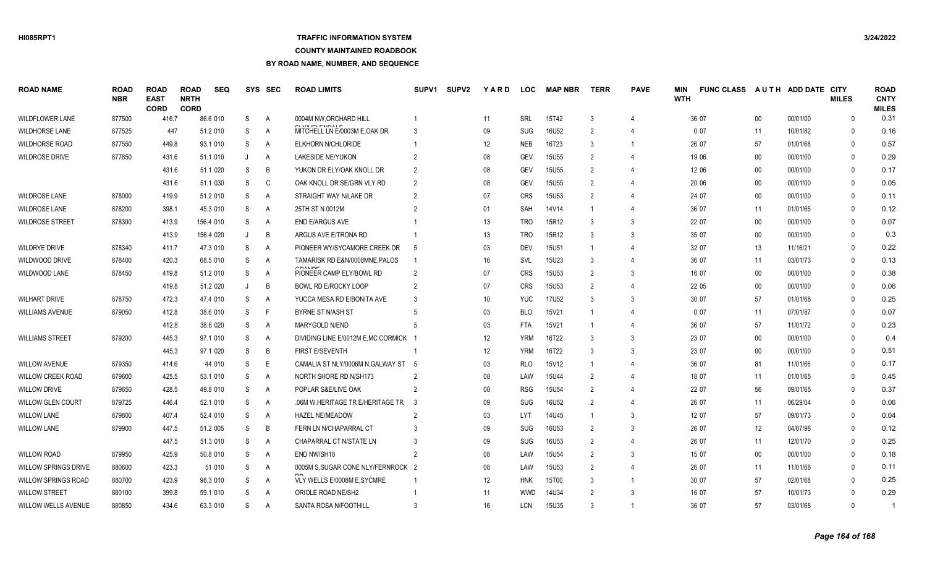## **TRAFFIC INFORMATION SYSTEM**

#### **COUNTY MAINTAINED ROADBOOK**

| <b>ROAD NAME</b>            | <b>ROAD</b><br><b>NBR</b> | <b>ROAD</b><br><b>EAST</b><br><b>CORD</b> | <b>ROAD</b><br><b>NRTH</b><br><b>CORD</b> | <b>SEQ</b> |              | SYS SEC        | <b>ROAD LIMITS</b>                                   | <b>SUPV1</b>   | <b>SUPV2</b> | YARD | <b>LOC</b> | <b>MAP NBR</b>    | <b>TERR</b>    | <b>PAVE</b>             | <b>MIN</b><br><b>WTH</b> | <b>FUNC CLASS</b> |        | AUTH ADD DATE CITY | <b>MILES</b> | <b>ROAD</b><br><b>CNTY</b><br><b>MILES</b> |
|-----------------------------|---------------------------|-------------------------------------------|-------------------------------------------|------------|--------------|----------------|------------------------------------------------------|----------------|--------------|------|------------|-------------------|----------------|-------------------------|--------------------------|-------------------|--------|--------------------|--------------|--------------------------------------------|
| <b>WILDFLOWER LANE</b>      | 877500                    | 416.7                                     |                                           | 86.6 010   | S            | A              | 0004M NW.ORCHARD HILL                                |                |              | 11   | SRL        | 15T42             | -3             | 4                       |                          | 36 07             | 00     | 00/01/00           | $\Omega$     | 0.31                                       |
| <b>WILDHORSE LANE</b>       | 877525                    | 447                                       |                                           | 51.2 010   | S            | A              | <b>CLVAIDLEMALE</b><br>MITCHELL LN E/0003M E, OAK DR |                |              | 09   | <b>SUG</b> | 16U52             | $\overline{2}$ | 4                       |                          | 007               | 11     | 10/01/82           | $\Omega$     | 0.16                                       |
| <b>WILDHORSE ROAD</b>       | 877550                    | 449.8                                     |                                           | 93.1 010   | S            | A              | ELKHORN N/CHLORIDE                                   |                |              | 12   | <b>NEB</b> | 16T23             | 3              | -1                      |                          | 26 07             | 57     | 01/01/68           | $\Omega$     | 0.57                                       |
| <b>WILDROSE DRIVE</b>       | 877850                    | 431.6                                     |                                           | 51.1 010   | J            | A              | <b>LAKESIDE NE/YUKON</b>                             |                |              | 08   | <b>GEV</b> | <b>15U55</b>      | $\mathcal{P}$  | 4                       |                          | 19 06             | $00\,$ | 00/01/00           | $\Omega$     | 0.29                                       |
|                             |                           | 431.6                                     |                                           | 51.1 020   | S            | B              | YUKON DR ELY/OAK KNOLL DR                            | $\overline{2}$ |              | 08   | <b>GEV</b> | <b>15U55</b>      | $\mathfrak{p}$ | $\overline{4}$          |                          | 12 06             | $00\,$ | 00/01/00           | $\Omega$     | 0.17                                       |
|                             |                           | 431.6                                     |                                           | 51.1 030   | S            | C              | OAK KNOLL DR SE/GRN VLY RD                           | $\mathcal{P}$  |              | 08   | <b>GEV</b> | <b>15U55</b>      | $\mathfrak{p}$ | 4                       |                          | 20 06             | $00\,$ | 00/01/00           | $\Omega$     | 0.05                                       |
| <b>WILDROSE LANE</b>        | 878000                    | 419.9                                     |                                           | 51.2 010   | S            | A              | STRAIGHT WAY N/LAKE DR                               |                |              | 07   | <b>CRS</b> | 15U53             | $\mathfrak{p}$ |                         |                          | 24 07             | $00\,$ | 00/01/00           | $\Omega$     | 0.11                                       |
| <b>WILDROSE LANE</b>        | 878200                    | 398.1                                     |                                           | 45.3 010   | S            | $\overline{A}$ | 25TH ST N 0012M                                      |                |              | 01   | SAH        | 14V14             |                | $\overline{4}$          |                          | 36 07             | 11     | 01/01/65           | $\mathbf{0}$ | 0.12                                       |
| <b>WILDROSE STREET</b>      | 878300                    | 413.9                                     |                                           | 156.4 010  | S            | $\overline{A}$ | <b>END E/ARGUS AVE</b>                               |                |              | 13   | <b>TRO</b> | 15R12             | 3              | 3                       |                          | 22 07             | $00\,$ | 00/01/00           | $\Omega$     | 0.07                                       |
|                             |                           | 413.9                                     |                                           | 156.4 020  | J            | B              | ARGUS AVE E/TRONA RD                                 |                |              | 13   | <b>TRO</b> | 15R12             | -3             | 3                       |                          | 35 07             | $00\,$ | 00/01/00           | $\mathbf{0}$ | 0.3                                        |
| <b>WILDRYE DRIVE</b>        | 878340                    | 411.7                                     |                                           | 47.3 010   | S            | $\overline{A}$ | PIONEER WY/SYCAMORE CREEK DR                         | -5             |              | 03   | <b>DEV</b> | 15U51             |                | $\overline{4}$          |                          | 32 07             | 13     | 11/16/21           | $\Omega$     | 0.22                                       |
| <b>WILDWOOD DRIVE</b>       | 878400                    | 420.3                                     |                                           | 68.5 010   | S            | A              | TAMARISK RD E&N/0008MNE.PALOS                        |                |              | 16   | SVL        | 15U23             | 3              | 4                       |                          | 36 07             | 11     | 03/01/73           | $\Omega$     | 0.13                                       |
| <b>WILDWOOD LANE</b>        | 878450                    | 419.8                                     |                                           | 51.2 010   | S            | A              | 001100<br>PIONEER CAMP ELY/BOWL RD                   | 2              |              | 07   | <b>CRS</b> | <b>15U53</b>      | $\mathcal{P}$  | 3                       |                          | 16 07             | $00\,$ | 00/01/00           | $\Omega$     | 0.38                                       |
|                             |                           | 419.8                                     |                                           | 51.2 020   | $\mathbf{J}$ | B              | <b>BOWL RD E/ROCKY LOOP</b>                          | 2              |              | 07   | <b>CRS</b> | <b>15U53</b>      | $\mathcal{P}$  |                         |                          | 22 05             | $00\,$ | 00/01/00           | $\Omega$     | 0.06                                       |
| <b>WILHART DRIVE</b>        | 878750                    | 472.3                                     |                                           | 47.4 010   | S            | A              | YUCCA MESA RD E/BONITA AVE                           |                |              | 10   | <b>YUC</b> | 17U <sub>52</sub> | $\mathcal{R}$  | 3                       |                          | 30 07             | 57     | 01/01/68           | $\Omega$     | 0.25                                       |
| <b>WILLIAMS AVENUE</b>      | 879050                    | 412.8                                     |                                           | 38.6 010   | S            | F              | BYRNE ST N/ASH ST                                    |                |              | 03   | <b>BLO</b> | 15V21             |                | 4                       |                          | 0 0 7             | 11     | 07/01/87           | $\Omega$     | 0.07                                       |
|                             |                           | 412.8                                     |                                           | 38.6 020   | S            | A              | MARYGOLD N/END                                       |                |              | 03   | <b>FTA</b> | 15V21             |                | 4                       |                          | 36 07             | 57     | 11/01/72           | $\Omega$     | 0.23                                       |
| <b>WILLIAMS STREET</b>      | 879200                    | 445.3                                     |                                           | 97.1 010   | S            | $\overline{A}$ | DIVIDING LINE E/0012M E, MC CORMICK                  |                |              | 12   | <b>YRM</b> | 16T22             |                | 3                       |                          | 23 07             | $00\,$ | 00/01/00           | $\Omega$     | 0.4                                        |
|                             |                           | 445.3                                     |                                           | 97.1 020   | S            | B              | <b>FIRST E/SEVENTH</b>                               |                |              | 12   | <b>YRM</b> | 16T22             | 3              | 3                       |                          | 23 07             | 00     | 00/01/00           | $\Omega$     | 0.51                                       |
| <b>WILLOW AVENUE</b>        | 879350                    | 414.6                                     |                                           | 44 010     | S            | E              | CAMALIA ST NLY/0006M N.GALWAY ST 5                   |                |              | 03   | <b>RLO</b> | 15V12             |                | 4                       |                          | 36 07             | 81     | 11/01/66           | $\Omega$     | 0.17                                       |
| <b>WILLOW CREEK ROAD</b>    | 879600                    | 425.5                                     |                                           | 53.1 010   | S            | A              | NORTH SHORE RD N/SH173                               |                |              | 08   | LAW        | <b>15U44</b>      | 2              | 4                       |                          | 18 07             | 11     | 01/01/65           | $\Omega$     | 0.45                                       |
| <b>WILLOW DRIVE</b>         | 879650                    | 428.5                                     |                                           | 49.8 010   | S            | A              | POPLAR S&E/LIVE OAK                                  |                |              | 08   | <b>RSG</b> | 15U54             | $\mathfrak{p}$ | 4                       |                          | 22 07             | 56     | 09/01/65           | $\Omega$     | 0.37                                       |
| <b>WILLOW GLEN COURT</b>    | 879725                    | 446.4                                     |                                           | 52.1 010   | S            | Α              | .06M W.HERITAGE TR E/HERITAGE TR 3                   |                |              | 09   | <b>SUG</b> | 16U52             | 2              | $\overline{4}$          |                          | 26 07             | 11     | 06/29/04           | $\Omega$     | 0.06                                       |
| <b>WILLOW LANE</b>          | 879800                    | 407.4                                     |                                           | 52.4 010   | S            | Α              | <b>HAZEL NE/MEADOW</b>                               |                |              | 03   | <b>LYT</b> | 14U45             |                | 3                       |                          | 12 07             | 57     | 09/01/73           | $\mathbf{0}$ | 0.04                                       |
| <b>WILLOW LANE</b>          | 879900                    | 447.5                                     |                                           | 51.2 005   | S            | B              | FERN LN N/CHAPARRAL CT                               |                |              | 09   | <b>SUG</b> | 16U53             | $\overline{2}$ | 3                       |                          | 26 07             | 12     | 04/07/98           | $\Omega$     | 0.12                                       |
|                             |                           | 447.5                                     |                                           | 51.3 010   | S            | A              | CHAPARRAL CT N/STATE LN                              |                |              | 09   | <b>SUG</b> | 16U53             | $\overline{2}$ | $\overline{4}$          |                          | 26 07             | 11     | 12/01/70           | $\mathbf{0}$ | 0.25                                       |
| <b>WILLOW ROAD</b>          | 879950                    | 425.9                                     |                                           | 50.8 010   | S            | $\overline{A}$ | END NW/SH18                                          |                |              | 08   | LAW        | <b>15U54</b>      |                | 3                       |                          | 15 07             | $00\,$ | 00/01/00           | $\mathbf{0}$ | 0.18                                       |
| <b>WILLOW SPRINGS DRIVE</b> | 880600                    | 423.3                                     |                                           | 51 010     | S            | $\overline{A}$ | 0005M S, SUGAR CONE NLY/FERNROCK 2                   |                |              | 08   | LAW        | 15U53             | $\overline{2}$ | 4                       |                          | 26 07             | 11     | 11/01/66           | $\mathbf{0}$ | 0.11                                       |
| <b>WILLOW SPRINGS ROAD</b>  | 880700                    | 423.9                                     |                                           | 98.3 010   | S            | Α              | VLY WELLS E/0008M E, SYCMRE                          |                |              | 12   | <b>HNK</b> | 15T00             |                | -1                      |                          | 30 07             | 57     | 02/01/68           | $\Omega$     | 0.25                                       |
| <b>WILLOW STREET</b>        | 880100                    | 399.8                                     |                                           | 59.1 010   | S            | A              | ORIOLE ROAD NE/SH2                                   |                |              | 11   | <b>WWD</b> | 14U34             | $\mathcal{P}$  | 3                       |                          | 16 07             | 57     | 10/01/73           | $\Omega$     | 0.29                                       |
| WILLOW WELLS AVENUE         | 880850                    | 434.6                                     |                                           | 63.3 010   | S.           | A              | SANTA ROSA N/FOOTHILL                                |                |              | 16   | <b>LCN</b> | 15U35             |                | $\overline{\mathbf{1}}$ |                          | 36 07             | 57     | 03/01/68           | $\Omega$     | $\overline{1}$                             |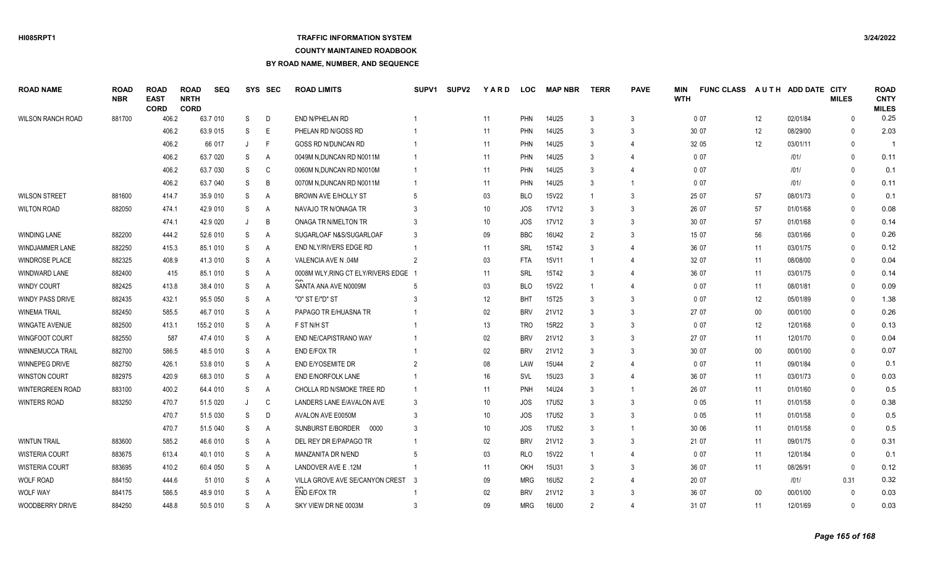## **TRAFFIC INFORMATION SYSTEM**

#### **COUNTY MAINTAINED ROADBOOK**

| <b>ROAD NAME</b>         | <b>ROAD</b><br><b>NBR</b> | <b>ROAD</b><br><b>EAST</b><br><b>CORD</b> | <b>ROAD</b><br><b>NRTH</b><br><b>CORD</b> | <b>SEQ</b> |              | SYS SEC        | <b>ROAD LIMITS</b>                 | <b>SUPV1</b>   | <b>SUPV2</b> | YARD | <b>LOC</b> | <b>MAP NBR</b> | <b>TERR</b>    | <b>PAVE</b>  | <b>MIN</b><br><b>WTH</b> | <b>FUNC CLASS</b> |        | AUTH ADD DATE CITY | <b>MILES</b> | <b>ROAD</b><br><b>CNTY</b><br><b>MILES</b> |
|--------------------------|---------------------------|-------------------------------------------|-------------------------------------------|------------|--------------|----------------|------------------------------------|----------------|--------------|------|------------|----------------|----------------|--------------|--------------------------|-------------------|--------|--------------------|--------------|--------------------------------------------|
| <b>WILSON RANCH ROAD</b> | 881700                    | 406.2                                     |                                           | 63.7 010   | S            | D              | END N/PHELAN RD                    |                |              | 11   | <b>PHN</b> | 14U25          | 3              | $\mathbf{3}$ |                          | 007               | 12     | 02/01/84           | $\Omega$     | 0.25                                       |
|                          |                           | 406.2                                     |                                           | 63.9 015   | S            | E              | PHELAN RD N/GOSS RD                |                |              | 11   | PHN        | 14U25          | 3              |              |                          | 30 07             | 12     | 08/29/00           | $\Omega$     | 2.03                                       |
|                          |                           | 406.2                                     |                                           | 66 017     |              | F              | GOSS RD N/DUNCAN RD                |                |              | 11   | <b>PHN</b> | 14U25          | 3              |              |                          | 32 05             | 12     | 03/01/11           | $\Omega$     | $\overline{1}$                             |
|                          |                           | 406.2                                     |                                           | 63.7 020   | S            | A              | 0049M N.DUNCAN RD N0011M           |                |              | 11   | <b>PHN</b> | 14U25          | 3              |              |                          | 0 0 7             |        | 101/               | $\cup$       | 0.11                                       |
|                          |                           | 406.2                                     |                                           | 63.7 030   | S            | C              | 0060M N.DUNCAN RD N0010M           |                |              | 11   | <b>PHN</b> | 14U25          | 3              |              |                          | 0 0 7             |        | 1011               | $\Omega$     | 0.1                                        |
|                          |                           | 406.2                                     |                                           | 63.7 040   | <sub>S</sub> | B              | 0070M N, DUNCAN RD N0011M          |                |              | 11   | <b>PHN</b> | 14U25          | 3              |              |                          | 0 0 7             |        | 101/               | $\Omega$     | 0.11                                       |
| <b>WILSON STREET</b>     | 881600                    | 414.7                                     |                                           | 35.9 010   | S            | A              | <b>BROWN AVE E/HOLLY ST</b>        |                |              | 03   | <b>BLO</b> | <b>15V22</b>   |                |              |                          | 25 07             | 57     | 08/01/73           |              | 0.1                                        |
| <b>WILTON ROAD</b>       | 882050                    | 474.1                                     |                                           | 42.9 010   | S            | A              | NAVAJO TR N/ONAGA TR               |                |              | 10   | <b>JOS</b> | 17V12          | 3              |              |                          | 26 07             | 57     | 01/01/68           | $\Omega$     | 0.08                                       |
|                          |                           | 474.1                                     |                                           | 42.9 020   |              | B              | ONAGA TR N/MELTON TR               |                |              | 10   | <b>JOS</b> | 17V12          | -3             |              |                          | 30 07             | 57     | 01/01/68           | $\Omega$     | 0.14                                       |
| <b>WINDING LANE</b>      | 882200                    | 444.2                                     |                                           | 52.6 010   | S            | A              | SUGARLOAF N&S/SUGARLOAF            | 3              |              | 09   | <b>BBC</b> | 16U42          | $\overline{2}$ | 3            |                          | 15 07             | 56     | 03/01/66           | $\Omega$     | 0.26                                       |
| <b>WINDJAMMER LANE</b>   | 882250                    | 415.3                                     |                                           | 85.1 010   | S            | A              | END NLY/RIVERS EDGE RD             |                |              | 11   | <b>SRL</b> | 15T42          | 3              |              |                          | 36 07             | 11     | 03/01/75           | $\Omega$     | 0.12                                       |
| <b>WINDROSE PLACE</b>    | 882325                    | 408.9                                     |                                           | 41.3 010   | S            | A              | VALENCIA AVE N .04M                | $\overline{2}$ |              | 03   | <b>FTA</b> | 15V11          |                |              |                          | 32 07             | 11     | 08/08/00           | $\Omega$     | 0.04                                       |
| <b>WINDWARD LANE</b>     | 882400                    |                                           | 415                                       | 85.1 010   | S            | A              | 0008M WLY, RING CT ELY/RIVERS EDGE |                |              | 11   | <b>SRL</b> | 15T42          | 3              |              |                          | 36 07             | 11     | 03/01/75           | $\Omega$     | 0.14                                       |
| <b>WINDY COURT</b>       | 882425                    | 413.8                                     |                                           | 38.4 010   | S            | $\overline{A}$ | SANTA ANA AVE N0009M               |                |              | 03   | <b>BLO</b> | <b>15V22</b>   |                |              |                          | 007               | 11     | 08/01/81           | $\Omega$     | 0.09                                       |
| <b>WINDY PASS DRIVE</b>  | 882435                    | 432.1                                     |                                           | 95.5 050   | S            | A              | "O" ST E/"D" ST                    |                |              | 12   | <b>BHT</b> | 15T25          | 3              | $\mathbf{3}$ |                          | 007               | 12     | 05/01/89           | $\Omega$     | 1.38                                       |
| <b>WINEMA TRAIL</b>      | 882450                    | 585.5                                     |                                           | 46.7 010   | S            | $\overline{A}$ | PAPAGO TR E/HUASNA TR              |                |              | 02   | <b>BRV</b> | 21V12          | 3              |              |                          | 27 07             | $00\,$ | 00/01/00           | $\Omega$     | 0.26                                       |
| <b>WINGATE AVENUE</b>    | 882500                    | 413.1                                     |                                           | 155.2 010  | S            | A              | F ST N/H ST                        |                |              | 13   | <b>TRO</b> | 15R22          | 3              | 3            |                          | 007               | 12     | 12/01/68           | $\Omega$     | 0.13                                       |
| WINGFOOT COURT           | 882550                    | 587                                       |                                           | 47.4 010   | S            | A              | END NE/CAPISTRANO WAY              |                |              | 02   | <b>BRV</b> | 21V12          | 3              |              |                          | 27 07             | 11     | 12/01/70           | $\Omega$     | 0.04                                       |
| WINNEMUCCA TRAIL         | 882700                    | 586.5                                     |                                           | 48.5 010   | S            | A              | END E/FOX TR                       |                |              | 02   | <b>BRV</b> | 21V12          | 3              | 3            |                          | 30 07             | $00\,$ | 00/01/00           | $\Omega$     | 0.07                                       |
| WINNEPEG DRIVE           | 882750                    | 426.1                                     |                                           | 53.8 010   | S            | A              | END E/YOSEMITE DR                  |                |              | 08   | LAW        | 15U44          | $\overline{2}$ |              |                          | 007               | 11     | 09/01/84           | $\Omega$     | 0.1                                        |
| <b>WINSTON COURT</b>     | 882975                    | 420.9                                     |                                           | 68.3 010   | S            | $\overline{A}$ | END E/NORFOLK LANE                 |                |              | 16   | SVL        | 15U23          | 3              |              |                          | 36 07             | 11     | 03/01/73           | $\Omega$     | 0.03                                       |
| <b>WINTERGREEN ROAD</b>  | 883100                    | 400.2                                     |                                           | 64.4 010   | S            | A              | CHOLLA RD N/SMOKE TREE RD          |                |              | 11   | PNH        | 14U24          | 3              |              |                          | 26 07             | 11     | 01/01/60           | $\Omega$     | 0.5                                        |
| <b>WINTERS ROAD</b>      | 883250                    | 470.7                                     |                                           | 51.5 020   |              | C              | LANDERS LANE E/AVALON AVE          | 3              |              | 10   | <b>JOS</b> | 17U52          | 3              |              |                          | 0 0 5             | 11     | 01/01/58           |              | 0.38                                       |
|                          |                           | 470.7                                     |                                           | 51.5 030   | S            | D              | AVALON AVE E0050M                  | 3              |              | 10   | <b>JOS</b> | <b>17U52</b>   | 3              |              |                          | 0 0 5             | 11     | 01/01/58           |              | 0.5                                        |
|                          |                           | 470.7                                     |                                           | 51.5 040   | S            | $\overline{A}$ | SUNBURST E/BORDER<br>0000          |                |              | 10   | <b>JOS</b> | 17U52          | 3              |              |                          | 30 06             | 11     | 01/01/58           |              | 0.5                                        |
| <b>WINTUN TRAIL</b>      | 883600                    | 585.2                                     |                                           | 46.6 010   | S            | A              | DEL REY DR E/PAPAGO TR             |                |              | 02   | <b>BRV</b> | 21V12          | 3              | $\mathbf{3}$ |                          | 21 07             | 11     | 09/01/75           | $\Omega$     | 0.31                                       |
| <b>WISTERIA COURT</b>    | 883675                    | 613.4                                     |                                           | 40.1 010   | S            | A              | MANZANITA DR N/END                 |                |              | 03   | <b>RLO</b> | 15V22          |                |              |                          | 007               | 11     | 12/01/84           | $\Omega$     | 0.1                                        |
| <b>WISTERIA COURT</b>    | 883695                    | 410.2                                     |                                           | 60.4 050   | S.           | A              | LANDOVER AVE E.12M                 |                |              | 11   | OKH        | <b>15U31</b>   | $\mathcal{R}$  | $\mathbf{3}$ |                          | 36 07             | 11     | 08/26/91           | $\Omega$     | 0.12                                       |
| <b>WOLF ROAD</b>         | 884150                    | 444.6                                     |                                           | 51 010     | S            | A              | VILLA GROVE AVE SE/CANYON CREST 3  |                |              | 09   | <b>MRG</b> | 16U52          | $\mathfrak{p}$ |              |                          | 20 07             |        | /01/               | 0.31         | 0.32                                       |
| <b>WOLF WAY</b>          | 884175                    | 586.5                                     |                                           | 48.9 010   | S            | A              | END E/FOX TR                       |                |              | 02   | <b>BRV</b> | 21V12          | $\mathcal{R}$  |              |                          | 36 07             | $00\,$ | 00/01/00           | $\Omega$     | 0.03                                       |
| <b>WOODBERRY DRIVE</b>   | 884250                    | 448.8                                     |                                           | 50.5 010   | S.           | A              | SKY VIEW DR NE 0003M               | 3              |              | 09   | <b>MRG</b> | 16U00          | $\mathfrak{p}$ | Δ            |                          | 31 07             | 11     | 12/01/69           | $\Omega$     | 0.03                                       |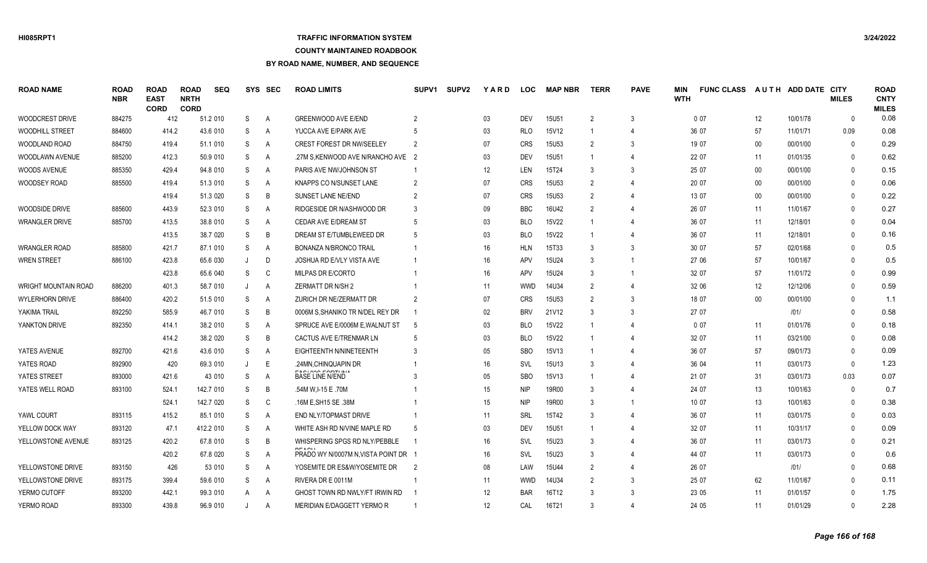## **TRAFFIC INFORMATION SYSTEM**

#### **COUNTY MAINTAINED ROADBOOK**

| <b>ROAD NAME</b>       | <b>ROAD</b><br><b>NBR</b> | <b>ROAD</b><br><b>EAST</b><br><b>CORD</b> | <b>ROAD</b><br><b>NRTH</b><br><b>CORD</b> | <b>SEQ</b> |   | SYS SEC        | <b>ROAD LIMITS</b>                        | SUPV <sub>1</sub> | <b>SUPV2</b> | <b>YARD</b>     | <b>LOC</b> | <b>MAP NBR</b>    | <b>TERR</b>    | <b>PAVE</b>    | <b>MIN</b><br><b>WTH</b> | <b>FUNC CLASS</b> |        | AUTH ADD DATE CITY | <b>MILES</b> | <b>ROAD</b><br><b>CNTY</b><br><b>MILES</b> |
|------------------------|---------------------------|-------------------------------------------|-------------------------------------------|------------|---|----------------|-------------------------------------------|-------------------|--------------|-----------------|------------|-------------------|----------------|----------------|--------------------------|-------------------|--------|--------------------|--------------|--------------------------------------------|
| <b>WOODCREST DRIVE</b> | 884275                    | 412                                       |                                           | 51.2 010   | S | $\mathsf{A}$   | <b>GREENWOOD AVE E/END</b>                | $\mathcal{P}$     |              | 03              | <b>DEV</b> | <b>15U51</b>      | $\overline{2}$ | 3              |                          | 007               | 12     | 10/01/78           | $\mathbf{0}$ | 0.08                                       |
| <b>WOODHILL STREET</b> | 884600                    | 414.2                                     |                                           | 43.6 010   | S | A              | YUCCA AVE E/PARK AVE                      |                   |              | 03              | <b>RLO</b> | 15V12             |                | 4              |                          | 36 07             | 57     | 11/01/71           | 0.09         | 0.08                                       |
| <b>WOODLAND ROAD</b>   | 884750                    | 419.4                                     |                                           | 51.1 010   | S | A              | <b>CREST FOREST DR NW/SEELEY</b>          | $\mathcal{P}$     |              | 07              | <b>CRS</b> | 15U53             | $\mathcal{P}$  | 3              |                          | 19 07             | $00\,$ | 00/01/00           | $\Omega$     | 0.29                                       |
| <b>WOODLAWN AVENUE</b> | 885200                    | 412.3                                     |                                           | 50.9 010   | S | A              | 27M S, KENWOOD AVE N/RANCHO AVE 2         |                   |              | 03              | <b>DEV</b> | <b>15U51</b>      |                | $\overline{4}$ |                          | 22 07             | 11     | 01/01/35           | $\Omega$     | 0.62                                       |
| <b>WOODS AVENUE</b>    | 885350                    | 429.4                                     |                                           | 94.8 010   | S | A              | PARIS AVE NW/JOHNSON ST                   |                   |              | 12              | LEN        | 15T24             | 3              | 3              |                          | 25 07             | 00     | 00/01/00           | $\Omega$     | 0.15                                       |
| WOODSEY ROAD           | 885500                    | 419.4                                     |                                           | 51.3 010   | S | A              | KNAPPS CO N/SUNSET LANE                   | $\overline{2}$    |              | 07              | <b>CRS</b> | <b>15U53</b>      | $\mathcal{P}$  | 4              |                          | 20 07             | $00\,$ | 00/01/00           | $\Omega$     | 0.06                                       |
|                        |                           | 419.4                                     |                                           | 51.3 020   | S | B              | SUNSET LANE NE/END                        |                   |              | 07              | <b>CRS</b> | 15U53             | $\mathcal{P}$  |                |                          | 13 07             | $00\,$ | 00/01/00           | $\Omega$     | 0.22                                       |
| WOODSIDE DRIVE         | 885600                    | 443.9                                     |                                           | 52.3 010   | S | A              | RIDGESIDE DR N/ASHWOOD DR                 |                   |              | 09              | <b>BBC</b> | 16U42             | $\mathcal{P}$  |                |                          | 26 07             | 11     | 11/01/67           | $\Omega$     | 0.27                                       |
| <b>WRANGLER DRIVE</b>  | 885700                    | 413.5                                     |                                           | 38.8 010   | S | A              | CEDAR AVE E/DREAM ST                      | -5                |              | 03              | <b>BLO</b> | 15V22             |                | $\Delta$       |                          | 36 07             | 11     | 12/18/01           | $\Omega$     | 0.04                                       |
|                        |                           | 413.5                                     |                                           | 38.7 020   | S | B              | DREAM ST E/TUMBLEWEED DR                  | -5                |              | 03              | <b>BLO</b> | 15V22             |                | $\overline{4}$ |                          | 36 07             | 11     | 12/18/01           | $\Omega$     | 0.16                                       |
| <b>WRANGLER ROAD</b>   | 885800                    | 421.7                                     |                                           | 87.1 010   | S | A              | BONANZA N/BRONCO TRAIL                    |                   |              | 16              | <b>HLN</b> | 15T33             |                | 3              |                          | 30 07             | 57     | 02/01/68           | $\Omega$     | 0.5                                        |
| <b>WREN STREET</b>     | 886100                    | 423.8                                     |                                           | 65.6 030   | J | D              | JOSHUA RD E/VLY VISTA AVE                 |                   |              | 16              | APV        | 15U24             | 3              | $\overline{1}$ |                          | 27 06             | 57     | 10/01/67           | $\Omega$     | 0.5                                        |
|                        |                           | 423.8                                     |                                           | 65.6 040   | S | C              | MILPAS DR E/CORTO                         |                   |              | 16              | APV        | 15U24             | 3              | $\overline{1}$ |                          | 32 07             | 57     | 11/01/72           | $\Omega$     | 0.99                                       |
| WRIGHT MOUNTAIN ROAD   | 886200                    | 401.3                                     |                                           | 58.7 010   |   | $\overline{A}$ | ZERMATT DR N/SH 2                         |                   |              | 11              | <b>WWD</b> | 14U34             | $\mathcal{P}$  | 4              |                          | 32 06             | 12     | 12/12/06           | $\Omega$     | 0.59                                       |
| <b>WYLERHORN DRIVE</b> | 886400                    | 420.2                                     |                                           | 51.5 010   | S | A              | ZURICH DR NE/ZERMATT DR                   | $\overline{2}$    |              | 07              | <b>CRS</b> | 15U <sub>53</sub> | $\mathcal{P}$  | 3              |                          | 18 07             | $00\,$ | 00/01/00           | $\Omega$     | 1.1                                        |
| YAKIMA TRAIL           | 892250                    | 585.9                                     |                                           | 46.7 010   | S | B              | 0006M S.SHANIKO TR N/DEL REY DR           |                   |              | 02              | <b>BRV</b> | 21V12             | 3              | 3              |                          | 27 07             |        | 1011               | $\Omega$     | 0.58                                       |
| YANKTON DRIVE          | 892350                    | 414.1                                     |                                           | 38.2 010   | S | A              | SPRUCE AVE E/0006M E, WALNUT ST           | -5                |              | 03              | <b>BLO</b> | 15V22             |                | $\overline{4}$ |                          | 007               | 11     | 01/01/76           | $\mathbf{0}$ | 0.18                                       |
|                        |                           | 414.2                                     |                                           | 38.2 020   | S | B              | CACTUS AVE E/TRENMAR LN                   | -5                |              | 03              | <b>BLO</b> | 15V22             |                | $\overline{4}$ |                          | 32 07             | 11     | 03/21/00           | $\Omega$     | 0.08                                       |
| YATES AVENUE           | 892700                    | 421.6                                     |                                           | 43.6 010   | S | A              | EIGHTEENTH N/NINETEENTH                   |                   |              | 05              | <b>SBO</b> | 15V13             |                | $\overline{4}$ |                          | 36 07             | 57     | 09/01/73           | $\mathbf{0}$ | 0.09                                       |
| YATES ROAD             | 892900                    | 420                                       |                                           | 69.3 010   | J | E              | .24MN, CHINQUAPIN DR                      |                   |              | 16              | SVL        | 15U13             | 3              | $\overline{4}$ |                          | 36 04             | 11     | 03/01/73           | $\mathbf{0}$ | 1.23                                       |
| YATES STREET           | 893000                    | 421.6                                     |                                           | 43 010     | S | A              | FROLOGO FORTUNA<br><b>BASE LINE N/END</b> |                   |              | 05              | <b>SBO</b> | 15V13             |                | $\overline{4}$ |                          | 21 07             | 31     | 03/01/73           | 0.03         | 0.07                                       |
| YATES WELL ROAD        | 893100                    | 524.1                                     |                                           | 142.7 010  | S | B              | .54M W,I-15 E .70M                        |                   |              | 15              | <b>NIP</b> | 19R00             | 3              | 4              |                          | 24 07             | 13     | 10/01/63           | $\mathbf{0}$ | 0.7                                        |
|                        |                           | 524.1                                     |                                           | 142.7 020  | S | C              | .16M E, SH15 SE .38M                      |                   |              | 15              | <b>NIP</b> | 19R00             | 3              | $\overline{1}$ |                          | 10 07             | 13     | 10/01/63           | $\mathbf{0}$ | 0.38                                       |
| YAWL COURT             | 893115                    | 415.2                                     |                                           | 85.1 010   | S | $\overline{A}$ | END NLY/TOPMAST DRIVE                     |                   |              | 11              | SRL        | 15T42             | 3              | $\overline{4}$ |                          | 36 07             | 11     | 03/01/75           | $\Omega$     | 0.03                                       |
| YELLOW DOCK WAY        | 893120                    | 47.1                                      |                                           | 412.2 010  | S | $\overline{A}$ | WHITE ASH RD N/VINE MAPLE RD              | -5                |              | 03              | <b>DEV</b> | 15U51             |                | $\overline{4}$ |                          | 32 07             | 11     | 10/31/17           | $\Omega$     | 0.09                                       |
| YELLOWSTONE AVENUE     | 893125                    | 420.2                                     |                                           | 67.8 010   | S | B              | WHISPERING SPGS RD NLY/PEBBLE             |                   |              | 16              | SVL        | 15U23             | 3              | $\overline{4}$ |                          | 36 07             | 11     | 03/01/73           | $\Omega$     | 0.21                                       |
|                        |                           | 420.2                                     |                                           | 67.8 020   | S | A              | PRADO WY N/0007M N, VISTA POINT DR        |                   |              | 16              | SVL        | 15U23             | 3              | $\overline{4}$ |                          | 44 07             | 11     | 03/01/73           | $\Omega$     | 0.6                                        |
| YELLOWSTONE DRIVE      | 893150                    | 426                                       |                                           | 53 010     | S | A              | YOSEMITE DR ES&W/YOSEMITE DR              | 2                 |              | 08              | LAW        | 15U44             | $\mathfrak{p}$ | $\overline{4}$ |                          | 26 07             |        | 1011               | $\Omega$     | 0.68                                       |
| YELLOWSTONE DRIVE      | 893175                    | 399.4                                     |                                           | 59.6 010   | S | A              | RIVERA DR E 0011M                         |                   |              | 11              | <b>WWD</b> | 14U34             | $\mathcal{P}$  | 3              |                          | 25 07             | 62     | 11/01/67           | $\Omega$     | 0.11                                       |
| YERMO CUTOFF           | 893200                    | 442.1                                     |                                           | 99.3 010   | A | A              | GHOST TOWN RD NWLY/FT IRWIN RD            |                   |              | 12 <sup>°</sup> | <b>BAR</b> | 16T12             |                | 3              |                          | 23 05             | 11     | 01/01/57           | $\Omega$     | 1.75                                       |
| YERMO ROAD             | 893300                    | 439.8                                     |                                           | 96.9 010   |   | A              | MERIDIAN E/DAGGETT YERMOR                 |                   |              | 12              | <b>CAL</b> | 16T21             |                | $\overline{4}$ |                          | 24 05             | 11     | 01/01/29           | $\Omega$     | 2.28                                       |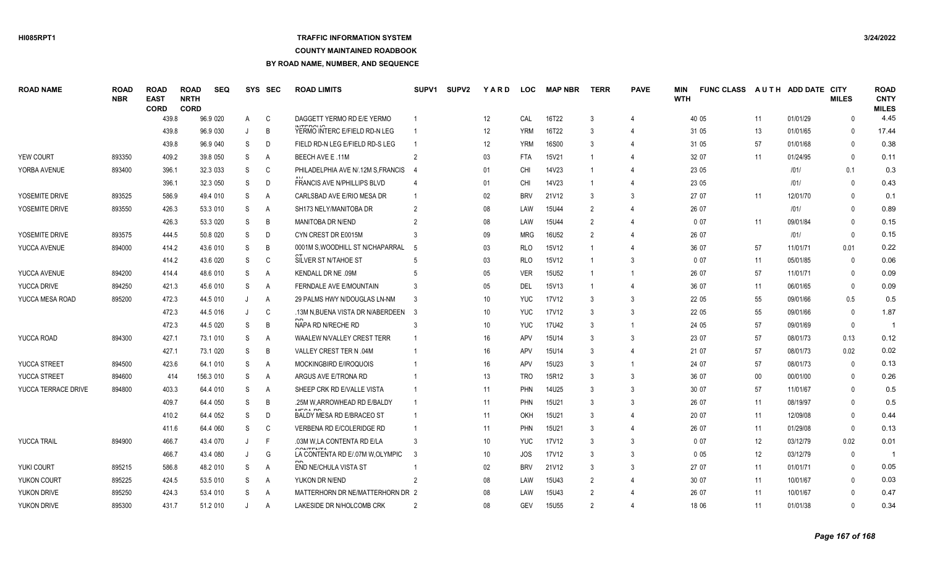### **TRAFFIC INFORMATION SYSTEM**

#### **COUNTY MAINTAINED ROADBOOK**

| <b>ROAD NAME</b>    | <b>ROAD</b><br><b>NBR</b> | <b>ROAD</b><br><b>EAST</b><br><b>CORD</b> | <b>ROAD</b><br><b>NRTH</b><br><b>CORD</b> | <b>SEQ</b> | <b>SYS</b>   | <b>SEC</b>     | <b>ROAD LIMITS</b>                                | SUPV <sub>1</sub> | <b>SUPV2</b> | YARD            | <b>LOC</b> | <b>MAP NBR</b> | <b>TERR</b>    | <b>PAVE</b>              | MIN<br><b>WTH</b> | <b>FUNC CLASS</b> |        | AUTH ADD DATE CITY | <b>MILES</b> | <b>ROAD</b><br><b>CNTY</b><br><b>MILES</b> |
|---------------------|---------------------------|-------------------------------------------|-------------------------------------------|------------|--------------|----------------|---------------------------------------------------|-------------------|--------------|-----------------|------------|----------------|----------------|--------------------------|-------------------|-------------------|--------|--------------------|--------------|--------------------------------------------|
|                     |                           | 439.8                                     |                                           | 96.9 020   | A            | C              | DAGGETT YERMO RD E/E YERMO                        |                   |              | 12              | <b>CAL</b> | 16T22          |                |                          |                   | 40 05             | 11     | 01/01/29           | $\mathbf{0}$ | 4.45                                       |
|                     |                           | 439.8                                     |                                           | 96.9 030   |              | B              | <b>INITEDOUO</b><br>YERMO INTERC E/FIELD RD-N LEG |                   |              | 12              | <b>YRM</b> | 16T22          | -3             |                          |                   | 31 05             | 13     | 01/01/65           | $\Omega$     | 17.44                                      |
|                     |                           | 439.8                                     |                                           | 96.9 040   | S            | D              | FIELD RD-N LEG E/FIELD RD-S LEG                   |                   |              | 12              | <b>YRM</b> | <b>16S00</b>   | 3              |                          |                   | 31 05             | 57     | 01/01/68           | $\mathbf{0}$ | 0.38                                       |
| <b>YEW COURT</b>    | 893350                    | 409.2                                     |                                           | 39.8 050   | S            | A              | <b>BEECH AVE E.11M</b>                            |                   |              | 03              | <b>FTA</b> | 15V21          |                | $\boldsymbol{\varDelta}$ |                   | 32 07             | 11     | 01/24/95           | $\mathbf{0}$ | 0.11                                       |
| YORBA AVENUE        | 893400                    | 396.1                                     |                                           | 32.3 033   | S            | $\mathsf{C}$   | PHILADELPHIA AVE N/.12M S.FRANCIS                 |                   |              | 01              | <b>CHI</b> | 14V23          |                | $\overline{4}$           |                   | 23 05             |        | 1011               | 0.1          | 0.3                                        |
|                     |                           | 396.1                                     |                                           | 32.3 050   | S            | D              | <b>FRANCIS AVE N/PHILLIPS BLVD</b>                |                   |              | 01              | CHI        | 14V23          |                |                          |                   | 23 05             |        | 1011               | $\Omega$     | 0.43                                       |
| YOSEMITE DRIVE      | 893525                    | 586.9                                     |                                           | 49.4 010   | <sub>S</sub> | $\overline{A}$ | CARLSBAD AVE E/RIO MESA DR                        |                   |              | 02              | <b>BRV</b> | 21V12          | 3              | 3                        |                   | 27 07             | 11     | 12/01/70           | $\Omega$     | 0.1                                        |
| YOSEMITE DRIVE      | 893550                    | 426.3                                     |                                           | 53.3 010   | S            | A              | SH173 NELY/MANITOBA DR                            | $\overline{2}$    |              | 08              | LAW        | 15U44          | $\mathcal{P}$  |                          |                   | 26 07             |        | 1011               | $\Omega$     | 0.89                                       |
|                     |                           | 426.3                                     |                                           | 53.3 020   | S            | B              | MANITOBA DR N/END                                 |                   |              | 08              | LAW        | 15U44          | $\overline{2}$ |                          |                   | 007               | 11     | 09/01/84           | $\Omega$     | 0.15                                       |
| YOSEMITE DRIVE      | 893575                    | 444.5                                     |                                           | 50.8 020   | S            | D              | CYN CREST DR E0015M                               |                   |              | 09              | <b>MRG</b> | 16U52          | $\mathcal{P}$  |                          |                   | 26 07             |        | 1011               | $\mathbf{0}$ | 0.15                                       |
| YUCCA AVENUE        | 894000                    | 414.2                                     |                                           | 43.6 010   | S            | B              | 0001M S, WOODHILL ST N/CHAPARRAL                  | -5                |              | 03              | <b>RLO</b> | 15V12          |                | $\overline{4}$           |                   | 36 07             | 57     | 11/01/71           | 0.01         | 0.22                                       |
|                     |                           | 414.2                                     |                                           | 43.6 020   | S            | C              | SILVER ST N/TAHOE ST                              |                   |              | 03              | <b>RLO</b> | 15V12          |                | 3                        |                   | 007               | 11     | 05/01/85           | $\mathbf{0}$ | 0.06                                       |
| YUCCA AVENUE        | 894200                    | 414.4                                     |                                           | 48.6 010   | S            | $\overline{A}$ | KENDALL DR NE .09M                                |                   |              | 05              | <b>VER</b> | 15U52          |                |                          |                   | 26 07             | 57     | 11/01/71           | $\Omega$     | 0.09                                       |
| YUCCA DRIVE         | 894250                    | 421.3                                     |                                           | 45.6 010   | <sub>S</sub> | A              | <b>FERNDALE AVE E/MOUNTAIN</b>                    |                   |              | 05              | DEL        | 15V13          |                |                          |                   | 36 07             | 11     | 06/01/65           | $\Omega$     | 0.09                                       |
| YUCCA MESA ROAD     | 895200                    | 472.3                                     |                                           | 44.5 010   |              | A              | 29 PALMS HWY N/DOUGLAS LN-NM                      |                   |              | 10 <sup>°</sup> | <b>YUC</b> | 17V12          |                | 3                        |                   | 22 05             | 55     | 09/01/66           | 0.5          | 0.5                                        |
|                     |                           | 472.3                                     |                                           | 44.5 016   |              | C              | .13M N, BUENA VISTA DR N/ABERDEEN                 | -3                |              | 10 <sup>°</sup> | <b>YUC</b> | 17V12          | 3              | 3                        |                   | 22 05             | 55     | 09/01/66           | $\Omega$     | 1.87                                       |
|                     |                           | 472.3                                     |                                           | 44.5 020   | S            | B              | NAPA RD N/RECHE RD                                |                   |              | 10              | <b>YUC</b> | 17U42          | $\mathbf{3}$   | $\overline{1}$           |                   | 24 05             | 57     | 09/01/69           | 0            | -1                                         |
| YUCCA ROAD          | 894300                    | 427.1                                     |                                           | 73.1 010   | S            | A              | WAALEW N/VALLEY CREST TERR                        |                   |              | 16              | <b>APV</b> | 15U14          |                | 3                        |                   | 23 07             | 57     | 08/01/73           | 0.13         | 0.12                                       |
|                     |                           | 427.1                                     |                                           | 73.1 020   | S            | B              | VALLEY CREST TER N .04M                           |                   |              | 16              | <b>APV</b> | 15U14          |                | 4                        |                   | 21 07             | 57     | 08/01/73           | 0.02         | 0.02                                       |
| <b>YUCCA STREET</b> | 894500                    | 423.6                                     |                                           | 64.1 010   | S            | $\overline{A}$ | MOCKINGBIRD E/IROQUOIS                            |                   |              | 16              | APV        | 15U23          | 3              | $\overline{1}$           |                   | 24 07             | 57     | 08/01/73           | $\mathbf{0}$ | 0.13                                       |
| YUCCA STREET        | 894600                    |                                           | 414                                       | 156.3 010  | S            | A              | ARGUS AVE E/TRONA RD                              |                   |              | 13              | <b>TRO</b> | 15R12          | $\mathcal{R}$  | 3                        |                   | 36 07             | $00\,$ | 00/01/00           | $\Omega$     | 0.26                                       |
| YUCCA TERRACE DRIVE | 894800                    | 403.3                                     |                                           | 64.4 010   | S            | A              | SHEEP CRK RD E/VALLE VISTA                        |                   |              | 11              | PHN        | 14U25          |                | 3                        |                   | 30 07             | 57     | 11/01/67           | $\Omega$     | 0.5                                        |
|                     |                           | 409.7                                     |                                           | 64.4 050   | S            | B              | 25M W.ARROWHEAD RD E/BALDY                        |                   |              | 11              | PHN        | 15U21          |                | 3                        |                   | 26 07             | 11     | 08/19/97           | $\Omega$     | 0.5                                        |
|                     |                           | 410.2                                     |                                           | 64.4 052   | S            | D              | BALDY MESA RD E/BRACEO ST                         |                   |              | 11              | OKH        | 15U21          | $\mathbf{3}$   | $\overline{4}$           |                   | 20 07             | 11     | 12/09/08           | $\Omega$     | 0.44                                       |
|                     |                           | 411.6                                     |                                           | 64.4 060   | S            | C              | VERBENA RD E/COLERIDGE RD                         |                   |              | 11              | <b>PHN</b> | 15U21          |                | $\overline{4}$           |                   | 26 07             | 11     | 01/29/08           | $\mathbf{0}$ | 0.13                                       |
| <b>YUCCA TRAIL</b>  | 894900                    | 466.7                                     |                                           | 43.4 070   |              | F              | .03M W,LA CONTENTA RD E/LA                        | -3                |              | 10              | <b>YUC</b> | 17V12          | 3              | 3                        |                   | 0 0 7             | 12     | 03/12/79           | 0.02         | 0.01                                       |
|                     |                           | 466.7                                     |                                           | 43.4 080   |              | G              | 001177171<br>LA CONTENTA RD E/.07M W, OLYMPIC     | -3                |              | 10              | <b>JOS</b> | 17V12          | 3              | 3                        |                   | 005               | 12     | 03/12/79           | $\mathbf{0}$ |                                            |
| YUKI COURT          | 895215                    | 586.8                                     |                                           | 48.2 010   | S            | $\overline{A}$ | END NE/CHULA VISTA ST                             |                   |              | 02              | <b>BRV</b> | 21V12          | 3              | 3                        |                   | 27 07             | 11     | 01/01/71           | $\Omega$     | 0.05                                       |
| YUKON COURT         | 895225                    | 424.5                                     |                                           | 53.5 010   | S            | A              | YUKON DR N/END                                    |                   |              | 08              | LAW        | 15U43          | $\overline{2}$ |                          |                   | 30 07             | 11     | 10/01/67           | $\Omega$     | 0.03                                       |
| YUKON DRIVE         | 895250                    | 424.3                                     |                                           | 53.4 010   | S            | A              | MATTERHORN DR NE/MATTERHORN DR 2                  |                   |              | 08              | LAW        | 15U43          |                |                          |                   | 26 07             | 11     | 10/01/67           | $\cap$       | 0.47                                       |
| <b>YUKON DRIVE</b>  | 895300                    | 431.7                                     |                                           | 51.2 010   |              | A              | LAKESIDE DR N/HOLCOMB CRK                         |                   |              | 08              | <b>GEV</b> | <b>15U55</b>   | $\mathfrak{D}$ |                          |                   | 18 06             | 11     | 01/01/38           | $\Omega$     | 0.34                                       |